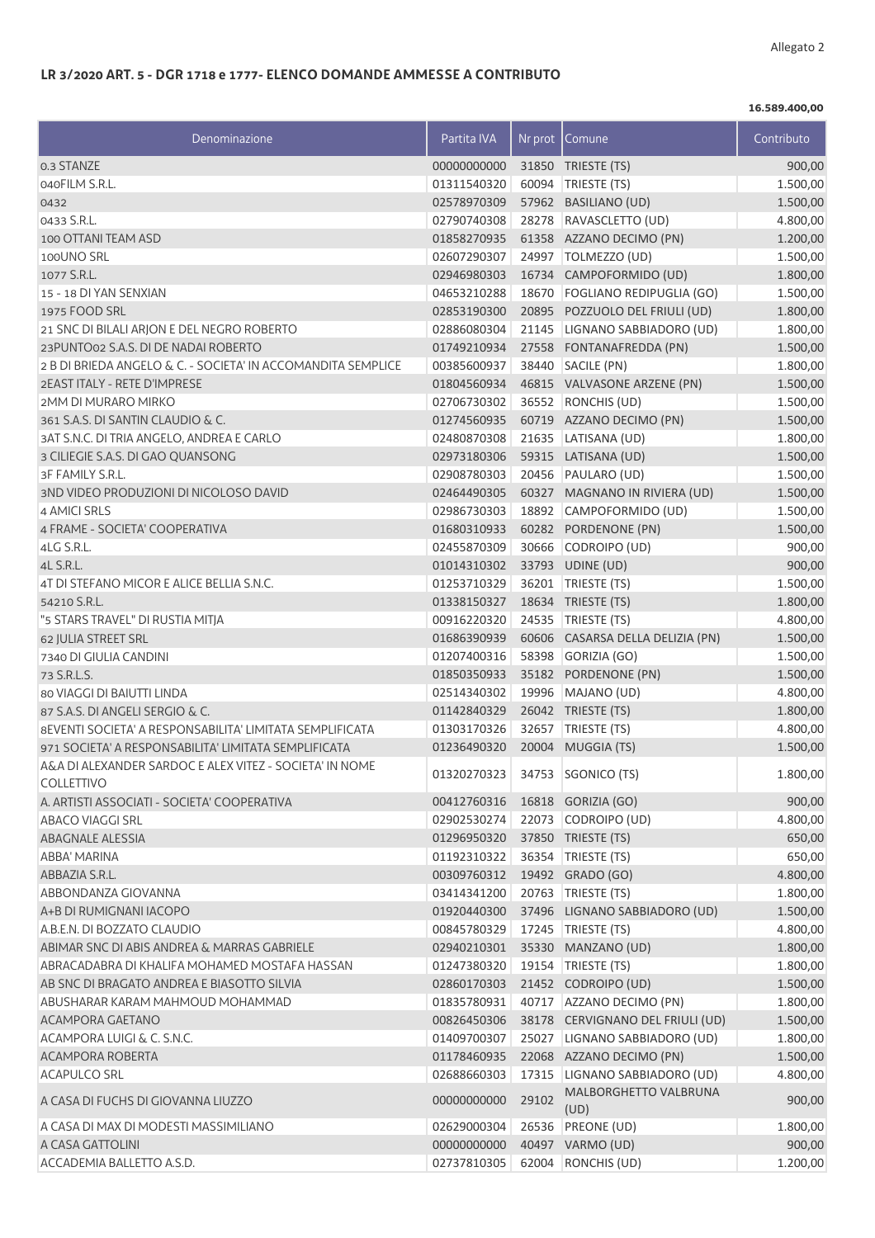## **LR 3/2020 ART. 5 - DGR 1718 e 1777- ELENCO DOMANDE AMMESSE A CONTRIBUTO**

**16.589.400,00**

| Denominazione                                                | Partita IVA | Nr prot | Comune                           | Contributo |
|--------------------------------------------------------------|-------------|---------|----------------------------------|------------|
| 0.3 STANZE                                                   | 00000000000 |         | 31850 TRIESTE (TS)               | 900,00     |
| 040FILM S.R.L.                                               | 01311540320 |         | 60094 TRIESTE (TS)               | 1.500,00   |
| 0432                                                         | 02578970309 |         | 57962 BASILIANO (UD)             | 1.500,00   |
| 0433 S.R.L.                                                  | 02790740308 |         | 28278 RAVASCLETTO (UD)           | 4.800,00   |
| 100 OTTANI TEAM ASD                                          | 01858270935 |         | 61358 AZZANO DECIMO (PN)         | 1.200,00   |
| 100UNO SRL                                                   | 02607290307 |         | 24997   TOLMEZZO (UD)            | 1.500,00   |
| 1077 S.R.L.                                                  | 02946980303 |         | 16734 CAMPOFORMIDO (UD)          | 1.800,00   |
| 15 - 18 DI YAN SENXIAN                                       | 04653210288 |         | 18670 FOGLIANO REDIPUGLIA (GO)   | 1.500,00   |
| 1975 FOOD SRL                                                | 02853190300 |         | 20895 POZZUOLO DEL FRIULI (UD)   | 1.800,00   |
| 21 SNC DI BILALI ARJON E DEL NEGRO ROBERTO                   | 02886080304 |         | 21145   LIGNANO SABBIADORO (UD)  | 1.800,00   |
| 23PUNTO02 S.A.S. DI DE NADAI ROBERTO                         | 01749210934 |         | 27558 FONTANAFREDDA (PN)         | 1.500,00   |
| 2 B DI BRIEDA ANGELO & C. - SOCIETA' IN ACCOMANDITA SEMPLICE | 00385600937 |         | 38440 SACILE (PN)                | 1.800,00   |
| 2EAST ITALY - RETE D'IMPRESE                                 | 01804560934 |         | 46815 VALVASONE ARZENE (PN)      | 1.500,00   |
| 2MM DI MURARO MIRKO                                          | 02706730302 |         | 36552 RONCHIS (UD)               | 1.500,00   |
| 361 S.A.S. DI SANTIN CLAUDIO & C.                            | 01274560935 |         | 60719 AZZANO DECIMO (PN)         | 1.500,00   |
| 3AT S.N.C. DI TRIA ANGELO, ANDREA E CARLO                    | 02480870308 |         | 21635 LATISANA (UD)              | 1.800,00   |
| 3 CILIEGIE S.A.S. DI GAO QUANSONG                            | 02973180306 |         | 59315 LATISANA (UD)              | 1.500,00   |
| 3F FAMILY S.R.L.                                             | 02908780303 |         | 20456 PAULARO (UD)               | 1.500,00   |
| 3ND VIDEO PRODUZIONI DI NICOLOSO DAVID                       | 02464490305 |         | 60327 MAGNANO IN RIVIERA (UD)    | 1.500,00   |
| 4 AMICI SRLS                                                 | 02986730303 |         | 18892 CAMPOFORMIDO (UD)          | 1.500,00   |
| 4 FRAME - SOCIETA' COOPERATIVA                               | 01680310933 |         | 60282 PORDENONE (PN)             | 1.500,00   |
| 4LG S.R.L.                                                   | 02455870309 |         | 30666 CODROIPO (UD)              | 900,00     |
| 4L S.R.L.                                                    | 01014310302 |         | 33793 UDINE (UD)                 | 900,00     |
| 4T DI STEFANO MICOR E ALICE BELLIA S.N.C.                    | 01253710329 |         | 36201   TRIESTE (TS)             | 1.500,00   |
| 54210 S.R.L.                                                 | 01338150327 |         | 18634 TRIESTE (TS)               | 1.800,00   |
| "5 STARS TRAVEL" DI RUSTIA MITJA                             | 00916220320 |         | 24535 TRIESTE (TS)               | 4.800,00   |
| 62 JULIA STREET SRL                                          | 01686390939 | 60606   | CASARSA DELLA DELIZIA (PN)       | 1.500,00   |
| 7340 DI GIULIA CANDINI                                       | 01207400316 |         | 58398 GORIZIA (GO)               | 1.500,00   |
| 73 S.R.L.S.                                                  | 01850350933 |         | 35182 PORDENONE (PN)             | 1.500,00   |
| 80 VIAGGI DI BAIUTTI LINDA                                   | 02514340302 |         | 19996 MAJANO (UD)                | 4.800,00   |
| 87 S.A.S. DI ANGELI SERGIO & C.                              | 01142840329 |         | 26042 TRIESTE (TS)               | 1.800,00   |
| 8EVENTI SOCIETA' A RESPONSABILITA' LIMITATA SEMPLIFICATA     | 01303170326 |         | 32657 TRIESTE (TS)               | 4.800,00   |
| 971 SOCIETA' A RESPONSABILITA' LIMITATA SEMPLIFICATA         | 01236490320 |         | 20004 MUGGIA (TS)                | 1.500,00   |
| A&A DI ALEXANDER SARDOC E ALEX VITEZ - SOCIETA' IN NOME      |             |         |                                  |            |
| <b>COLLETTIVO</b>                                            |             |         | 01320270323 34753 SGONICO (TS)   | 1.800,00   |
| A. ARTISTI ASSOCIATI - SOCIETA' COOPERATIVA                  | 00412760316 |         | 16818 GORIZIA (GO)               | 900,00     |
| ABACO VIAGGI SRL                                             | 02902530274 |         | 22073 CODROIPO (UD)              | 4.800,00   |
| <b>ABAGNALE ALESSIA</b>                                      | 01296950320 |         | 37850 TRIESTE (TS)               | 650,00     |
| ABBA' MARINA                                                 | 01192310322 |         | 36354 TRIESTE (TS)               | 650,00     |
| ABBAZIA S.R.L.                                               | 00309760312 |         | 19492 GRADO (GO)                 | 4.800,00   |
| ABBONDANZA GIOVANNA                                          | 03414341200 |         | 20763 TRIESTE (TS)               | 1.800,00   |
| A+B DI RUMIGNANI IACOPO                                      | 01920440300 |         | 37496 LIGNANO SABBIADORO (UD)    | 1.500,00   |
| A.B.E.N. DI BOZZATO CLAUDIO                                  | 00845780329 |         | 17245   TRIESTE (TS)             | 4.800,00   |
| ABIMAR SNC DI ABIS ANDREA & MARRAS GABRIELE                  | 02940210301 |         | 35330 MANZANO (UD)               | 1.800,00   |
| ABRACADABRA DI KHALIFA MOHAMED MOSTAFA HASSAN                | 01247380320 |         | 19154   TRIESTE (TS)             | 1.800,00   |
| AB SNC DI BRAGATO ANDREA E BIASOTTO SILVIA                   | 02860170303 |         | 21452 CODROIPO (UD)              | 1.500,00   |
| ABUSHARAR KARAM MAHMOUD MOHAMMAD                             | 01835780931 |         | 40717 AZZANO DECIMO (PN)         | 1.800,00   |
| ACAMPORA GAETANO                                             | 00826450306 |         | 38178 CERVIGNANO DEL FRIULI (UD) | 1.500,00   |
| ACAMPORA LUIGI & C. S.N.C.                                   | 01409700307 |         | 25027 LIGNANO SABBIADORO (UD)    | 1.800,00   |
| ACAMPORA ROBERTA                                             | 01178460935 |         | 22068 AZZANO DECIMO (PN)         | 1.500,00   |
| <b>ACAPULCO SRL</b>                                          | 02688660303 |         | 17315   LIGNANO SABBIADORO (UD)  | 4.800,00   |
| A CASA DI FUCHS DI GIOVANNA LIUZZO                           | 00000000000 | 29102   | MALBORGHETTO VALBRUNA<br>(UD)    | 900,00     |
| A CASA DI MAX DI MODESTI MASSIMILIANO                        | 02629000304 |         | 26536 PREONE (UD)                | 1.800,00   |
| A CASA GATTOLINI                                             | 00000000000 |         | 40497 VARMO (UD)                 | 900,00     |
| ACCADEMIA BALLETTO A.S.D.                                    | 02737810305 |         | 62004 RONCHIS (UD)               | 1.200,00   |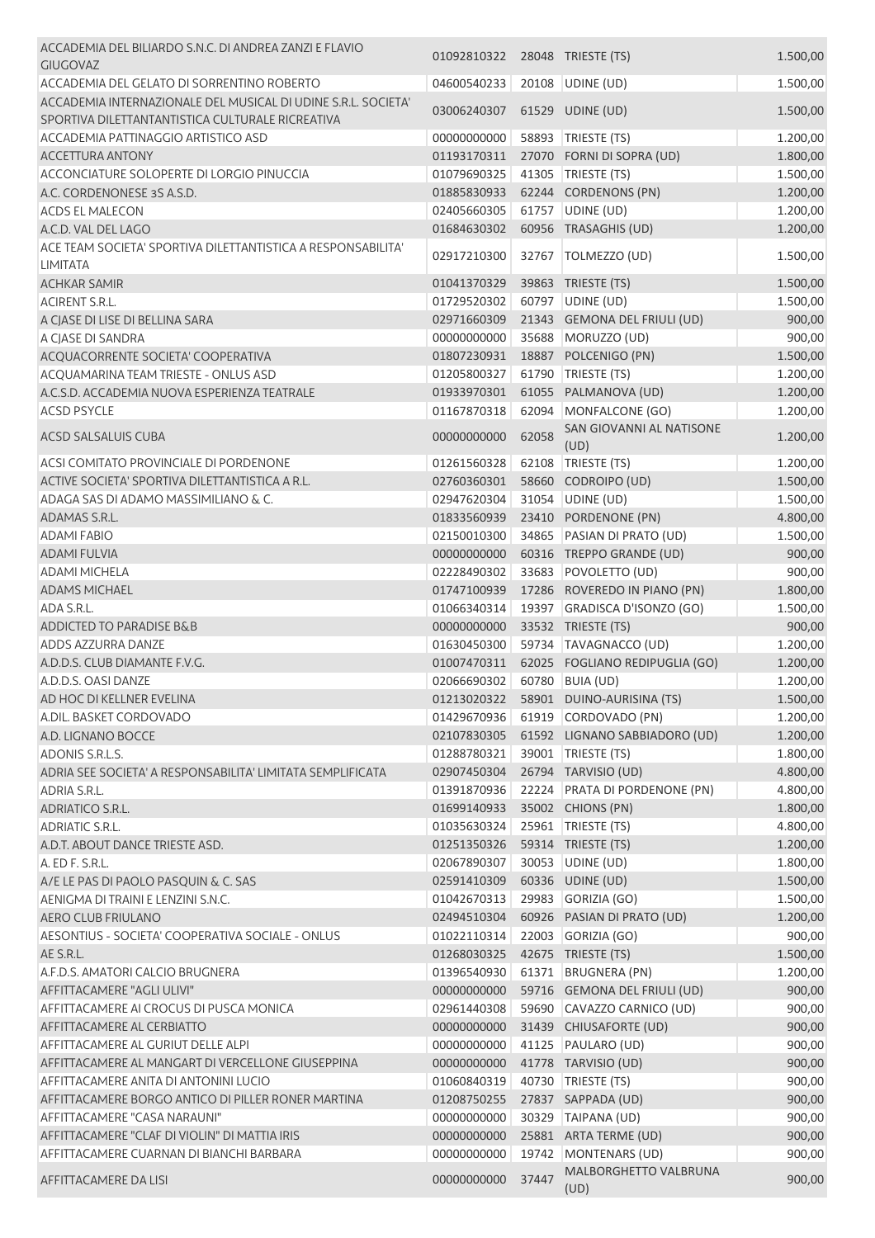| ACCADEMIA DEL BILIARDO S.N.C. DI ANDREA ZANZI E FLAVIO<br><b>GIUGOVAZ</b>                                         | 01092810322 28048 TRIESTE (TS) |       |                                             | 1.500,00           |
|-------------------------------------------------------------------------------------------------------------------|--------------------------------|-------|---------------------------------------------|--------------------|
| ACCADEMIA DEL GELATO DI SORRENTINO ROBERTO                                                                        | 04600540233                    |       | 20108 UDINE (UD)                            | 1.500,00           |
| ACCADEMIA INTERNAZIONALE DEL MUSICAL DI UDINE S.R.L. SOCIETA'<br>SPORTIVA DILETTANTANTISTICA CULTURALE RICREATIVA | 03006240307                    |       | 61529 UDINE (UD)                            | 1.500,00           |
| ACCADEMIA PATTINAGGIO ARTISTICO ASD                                                                               | 00000000000                    |       | 58893 TRIESTE (TS)                          | 1.200,00           |
| <b>ACCETTURA ANTONY</b>                                                                                           | 01193170311                    |       | 27070 FORNI DI SOPRA (UD)                   | 1.800,00           |
| ACCONCIATURE SOLOPERTE DI LORGIO PINUCCIA                                                                         | 01079690325                    |       | 41305   TRIESTE (TS)                        | 1.500,00           |
| A.C. CORDENONESE 3S A.S.D.                                                                                        | 01885830933                    |       | 62244 CORDENONS (PN)                        | 1.200,00           |
| <b>ACDS EL MALECON</b>                                                                                            | 02405660305                    |       | 61757 UDINE (UD)                            | 1.200,00           |
| A.C.D. VAL DEL LAGO                                                                                               | 01684630302                    |       | 60956 TRASAGHIS (UD)                        | 1.200,00           |
| ACE TEAM SOCIETA' SPORTIVA DILETTANTISTICA A RESPONSABILITA'<br><b>LIMITATA</b>                                   | 02917210300                    |       | 32767   TOLMEZZO (UD)                       | 1.500,00           |
| <b>ACHKAR SAMIR</b>                                                                                               | 01041370329                    |       | 39863 TRIESTE (TS)                          | 1.500,00           |
| <b>ACIRENT S.R.L.</b>                                                                                             | 01729520302                    |       | 60797 UDINE (UD)                            | 1.500,00           |
| A CJASE DI LISE DI BELLINA SARA                                                                                   | 02971660309                    |       | 21343 GEMONA DEL FRIULI (UD)                | 900,00             |
| A CJASE DI SANDRA                                                                                                 | 00000000000                    |       | 35688 MORUZZO (UD)                          | 900,00             |
| ACQUACORRENTE SOCIETA' COOPERATIVA                                                                                | 01807230931                    |       | 18887 POLCENIGO (PN)                        | 1.500,00           |
| ACQUAMARINA TEAM TRIESTE - ONLUS ASD                                                                              | 01205800327                    |       | 61790 TRIESTE (TS)                          | 1.200,00           |
| A.C.S.D. ACCADEMIA NUOVA ESPERIENZA TEATRALE                                                                      | 01933970301                    |       | 61055 PALMANOVA (UD)                        | 1.200,00           |
| <b>ACSD PSYCLE</b>                                                                                                | 01167870318                    |       | 62094 MONFALCONE (GO)                       | 1.200,00           |
|                                                                                                                   | 00000000000                    |       | SAN GIOVANNI AL NATISONE                    |                    |
| ACSD SALSALUIS CUBA                                                                                               |                                | 62058 | (UD)                                        | 1.200,00           |
| ACSI COMITATO PROVINCIALE DI PORDENONE                                                                            | 01261560328                    |       | 62108 TRIESTE (TS)                          | 1.200,00           |
| ACTIVE SOCIETA' SPORTIVA DILETTANTISTICA A R.L.                                                                   | 02760360301                    |       | 58660 CODROIPO (UD)                         | 1.500,00           |
| ADAGA SAS DI ADAMO MASSIMILIANO & C.                                                                              | 02947620304                    |       | 31054 UDINE (UD)                            | 1.500,00           |
| ADAMAS S.R.L.                                                                                                     | 01833560939                    |       | 23410 PORDENONE (PN)                        | 4.800,00           |
| <b>ADAMI FABIO</b>                                                                                                | 02150010300                    |       | 34865 PASIAN DI PRATO (UD)                  | 1.500,00           |
| <b>ADAMI FULVIA</b>                                                                                               | 00000000000                    |       | 60316 TREPPO GRANDE (UD)                    | 900,00             |
| <b>ADAMI MICHELA</b>                                                                                              | 02228490302                    | 33683 | POVOLETTO (UD)                              | 900,00             |
| <b>ADAMS MICHAEL</b>                                                                                              | 01747100939                    |       | 17286 ROVEREDO IN PIANO (PN)                | 1.800,00           |
| ADA S.R.L.                                                                                                        | 01066340314                    |       | 19397 GRADISCA D'ISONZO (GO)                | 1.500,00           |
| <b>ADDICTED TO PARADISE B&amp;B</b>                                                                               | 00000000000                    |       | 33532 TRIESTE (TS)                          | 900,00             |
| ADDS AZZURRA DANZE                                                                                                | 01630450300                    |       | 59734 TAVAGNACCO (UD)                       | 1.200,00           |
| A.D.D.S. CLUB DIAMANTE F.V.G.                                                                                     | 01007470311                    |       | 62025 FOGLIANO REDIPUGLIA (GO)              | 1.200,00           |
| A.D.D.S. OASI DANZE                                                                                               | 02066690302                    |       | 60780 BUIA (UD)                             | 1.200,00           |
| AD HOC DI KELLNER EVELINA                                                                                         |                                |       | 01213020322    58901    DUINO-AURISINA (TS) | 1.500,00           |
| A.DIL. BASKET CORDOVADO                                                                                           | 01429670936                    |       | 61919 CORDOVADO (PN)                        | 1.200,00           |
| A.D. LIGNANO BOCCE                                                                                                | 02107830305                    |       | 61592 LIGNANO SABBIADORO (UD)               | 1.200,00           |
| ADONIS S.R.L.S.                                                                                                   | 01288780321                    |       | 39001   TRIESTE (TS)                        | 1.800,00           |
| ADRIA SEE SOCIETA' A RESPONSABILITA' LIMITATA SEMPLIFICATA                                                        | 02907450304                    |       | 26794 TARVISIO (UD)                         | 4.800,00           |
| ADRIA S.R.L.                                                                                                      | 01391870936                    |       | 22224 PRATA DI PORDENONE (PN)               | 4.800,00           |
| <b>ADRIATICO S.R.L.</b>                                                                                           | 01699140933                    |       | 35002 CHIONS (PN)                           | 1.800,00           |
| <b>ADRIATIC S.R.L.</b>                                                                                            | 01035630324                    |       | 25961   TRIESTE (TS)                        | 4.800,00           |
| A.D.T. ABOUT DANCE TRIESTE ASD.                                                                                   | 01251350326                    |       | 59314 TRIESTE (TS)                          | 1.200,00           |
| A. ED F. S.R.L.                                                                                                   | 02067890307                    | 30053 | UDINE (UD)                                  | 1.800,00           |
| A/E LE PAS DI PAOLO PASQUIN & C. SAS                                                                              | 02591410309                    |       | 60336 UDINE (UD)                            | 1.500,00           |
| AENIGMA DI TRAINI E LENZINI S.N.C.                                                                                | 01042670313                    |       | 29983 GORIZIA (GO)                          | 1.500,00           |
| AERO CLUB FRIULANO                                                                                                | 02494510304                    |       | 60926 PASIAN DI PRATO (UD)                  | 1.200,00           |
| AESONTIUS - SOCIETA' COOPERATIVA SOCIALE - ONLUS<br>AE S.R.L.                                                     | 01022110314<br>01268030325     |       | 22003 GORIZIA (GO)<br>42675 TRIESTE (TS)    | 900,00<br>1.500,00 |
| A.F.D.S. AMATORI CALCIO BRUGNERA                                                                                  | 01396540930                    |       | 61371 BRUGNERA (PN)                         | 1.200,00           |
| AFFITTACAMERE "AGLI ULIVI"                                                                                        | 00000000000                    |       | 59716 GEMONA DEL FRIULI (UD)                | 900,00             |
|                                                                                                                   | 02961440308                    |       | 59690 CAVAZZO CARNICO (UD)                  |                    |
| AFFITTACAMERE AI CROCUS DI PUSCA MONICA                                                                           | 00000000000                    |       | 31439 CHIUSAFORTE (UD)                      | 900,00             |
| AFFITTACAMERE AL CERBIATTO                                                                                        |                                |       |                                             | 900,00             |
| AFFITTACAMERE AL GURIUT DELLE ALPI<br>AFFITTACAMERE AL MANGART DI VERCELLONE GIUSEPPINA                           | 00000000000<br>00000000000     |       | 41125 PAULARO (UD)<br>41778 TARVISIO (UD)   | 900,00             |
|                                                                                                                   |                                |       | 40730 TRIESTE (TS)                          | 900,00             |
| AFFITTACAMERE ANITA DI ANTONINI LUCIO                                                                             | 01060840319                    |       |                                             | 900,00             |
| AFFITTACAMERE BORGO ANTICO DI PILLER RONER MARTINA                                                                | 01208750255                    |       | 27837 SAPPADA (UD)                          | 900,00             |
| AFFITTACAMERE "CASA NARAUNI"                                                                                      | 00000000000                    |       | 30329 TAIPANA (UD)                          | 900,00             |
| AFFITTACAMERE "CLAF DI VIOLIN" DI MATTIA IRIS<br>AFFITTACAMERE CUARNAN DI BIANCHI BARBARA                         | 00000000000<br>00000000000     | 19742 | 25881 ARTA TERME (UD)<br>MONTENARS (UD)     | 900,00<br>900,00   |
|                                                                                                                   |                                |       | MALBORGHETTO VALBRUNA                       |                    |
| AFFITTACAMERE DA LISI                                                                                             | 00000000000                    | 37447 | (UD)                                        | 900,00             |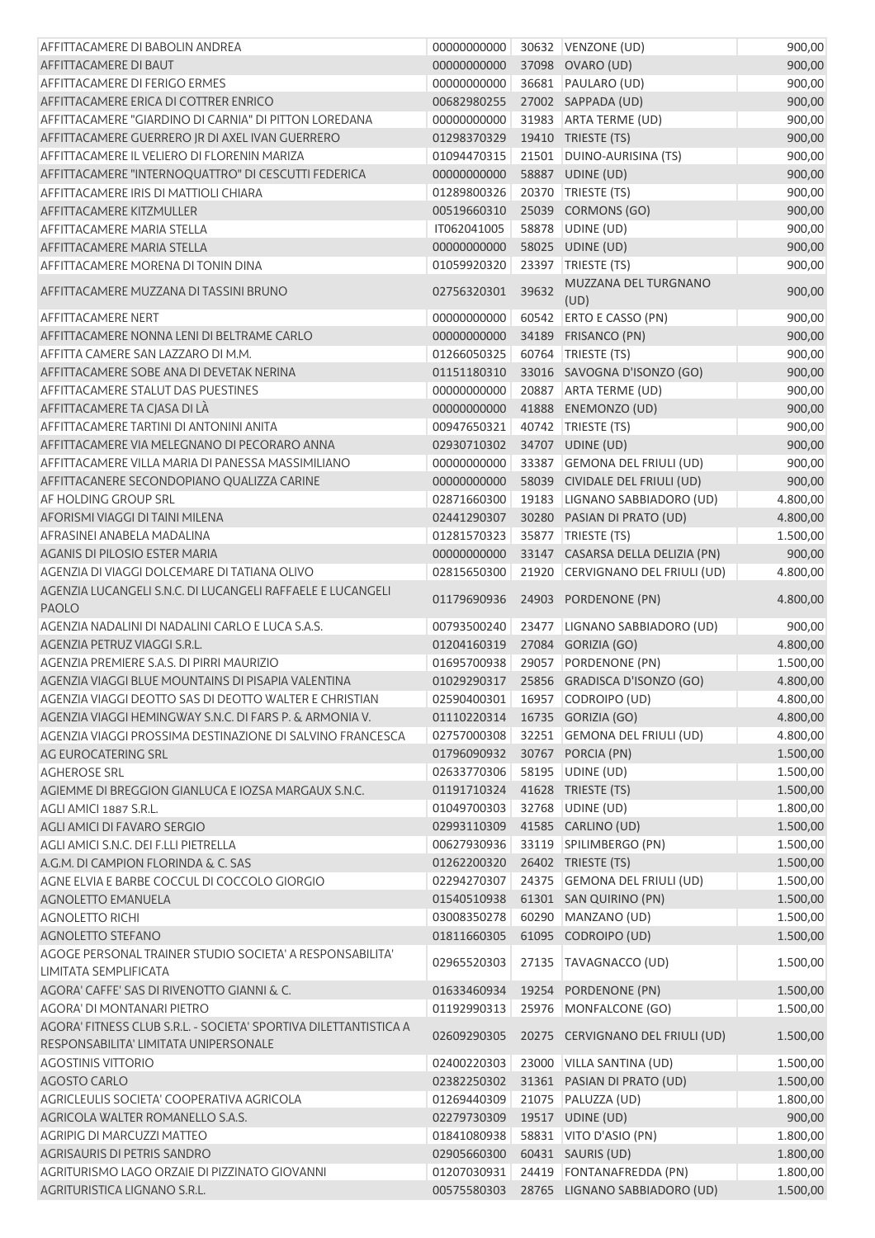| AFFITTACAMERE DI BABOLIN ANDREA                                                     | 00000000000                      |       | 30632   VENZONE (UD)                         | 900,00               |
|-------------------------------------------------------------------------------------|----------------------------------|-------|----------------------------------------------|----------------------|
| AFFITTACAMERE DI BAUT                                                               | 00000000000                      |       | 37098 OVARO (UD)                             | 900,00               |
| AFFITTACAMERE DI FERIGO ERMES                                                       | 00000000000                      |       | 36681 PAULARO (UD)                           | 900,00               |
| AFFITTACAMERE ERICA DI COTTRER ENRICO                                               | 00682980255                      |       | 27002 SAPPADA (UD)                           | 900,00               |
| AFFITTACAMERE "GIARDINO DI CARNIA" DI PITTON LOREDANA                               | 00000000000                      |       | 31983 ARTA TERME (UD)                        | 900,00               |
| AFFITTACAMERE GUERRERO IR DI AXEL IVAN GUERRERO                                     | 01298370329                      |       | 19410 TRIESTE (TS)                           | 900,00               |
| AFFITTACAMERE IL VELIERO DI FLORENIN MARIZA                                         | 01094470315                      |       | 21501 DUINO-AURISINA (TS)                    | 900,00               |
| AFFITTACAMERE "INTERNOQUATTRO" DI CESCUTTI FEDERICA                                 | 00000000000                      |       | 58887 UDINE (UD)                             | 900,00               |
| AFFITTACAMERE IRIS DI MATTIOLI CHIARA                                               | 01289800326                      |       | 20370 TRIESTE (TS)                           | 900,00               |
| AFFITTACAMERE KITZMULLER                                                            | 00519660310                      |       | 25039 CORMONS (GO)                           | 900,00               |
| <b>AFFITTACAMERE MARIA STELLA</b>                                                   | IT062041005                      |       | 58878 UDINE (UD)                             | 900,00               |
| AFFITTACAMERE MARIA STELLA                                                          | 00000000000                      |       | 58025 UDINE (UD)                             | 900,00               |
| AFFITTACAMERE MORENA DI TONIN DINA                                                  | 01059920320                      |       | 23397 TRIESTE (TS)                           | 900,00               |
| AFFITTACAMERE MUZZANA DI TASSINI BRUNO                                              | 02756320301                      | 39632 | MUZZANA DEL TURGNANO<br>(UD)                 | 900,00               |
| <b>AFFITTACAMERE NERT</b>                                                           | 00000000000                      |       | 60542 ERTO E CASSO (PN)                      | 900,00               |
| AFFITTACAMERE NONNA LENI DI BELTRAME CARLO                                          | 00000000000                      |       | 34189 FRISANCO (PN)                          | 900,00               |
| AFFITTA CAMERE SAN LAZZARO DI M.M.                                                  | 01266050325                      |       | 60764 TRIESTE (TS)                           | 900,00               |
| AFFITTACAMERE SOBE ANA DI DEVETAK NERINA                                            | 01151180310                      |       | 33016 SAVOGNA D'ISONZO (GO)                  | 900,00               |
| AFFITTACAMERE STALUT DAS PUESTINES                                                  | 00000000000                      |       | 20887 ARTA TERME (UD)                        | 900,00               |
| AFFITTACAMERE TA CJASA DI LÀ                                                        | 00000000000                      |       | 41888 ENEMONZO (UD)                          | 900,00               |
| AFFITTACAMERE TARTINI DI ANTONINI ANITA                                             | 00947650321                      |       | 40742 TRIESTE (TS)                           | 900,00               |
| AFFITTACAMERE VIA MELEGNANO DI PECORARO ANNA                                        | 02930710302                      |       | 34707 UDINE (UD)                             | 900,00               |
| AFFITTACAMERE VILLA MARIA DI PANESSA MASSIMILIANO                                   | 00000000000                      |       | 33387 GEMONA DEL FRIULI (UD)                 | 900,00               |
| AFFITTACANERE SECONDOPIANO QUALIZZA CARINE                                          | 00000000000                      |       | 58039 CIVIDALE DEL FRIULI (UD)               | 900,00               |
| AF HOLDING GROUP SRL                                                                | 02871660300                      |       | 19183 LIGNANO SABBIADORO (UD)                | 4.800,00             |
| AFORISMI VIAGGI DI TAINI MILENA                                                     | 02441290307                      |       | 30280 PASIAN DI PRATO (UD)                   | 4.800,00             |
| AFRASINEI ANABELA MADALINA                                                          | 01281570323                      |       | 35877   TRIESTE (TS)                         | 1.500,00             |
| <b>AGANIS DI PILOSIO ESTER MARIA</b>                                                | 00000000000                      |       | 33147 CASARSA DELLA DELIZIA (PN)             | 900,00               |
| AGENZIA DI VIAGGI DOLCEMARE DI TATIANA OLIVO                                        | 02815650300                      |       | 21920 CERVIGNANO DEL FRIULI (UD)             | 4.800,00             |
| AGENZIA LUCANGELI S.N.C. DI LUCANGELI RAFFAELE E LUCANGELI<br><b>PAOLO</b>          | 01179690936                      |       | 24903 PORDENONE (PN)                         | 4.800,00             |
| AGENZIA NADALINI DI NADALINI CARLO E LUCA S.A.S.                                    | 00793500240                      |       | 23477 LIGNANO SABBIADORO (UD)                | 900,00               |
| AGENZIA PETRUZ VIAGGI S.R.L.                                                        | 01204160319                      |       | 27084 GORIZIA (GO)                           | 4.800,00             |
| AGENZIA PREMIERE S.A.S. DI PIRRI MAURIZIO                                           | 01695700938                      |       | 29057 PORDENONE (PN)                         | 1.500,00             |
| AGENZIA VIAGGI BLUE MOUNTAINS DI PISAPIA VALENTINA                                  |                                  |       | 01029290317 25856 GRADISCA D'ISONZO (GO)     | 4.800,00             |
| AGENZIA VIAGGI DEOTTO SAS DI DEOTTO WALTER E CHRISTIAN                              |                                  |       | 02590400301  16957  CODROIPO (UD)            | 4.800,00             |
| AGENZIA VIAGGI HEMINGWAY S.N.C. DI FARS P. & ARMONIA V.                             | 01110220314  16735  GORIZIA (GO) |       |                                              | 4.800,00             |
| AGENZIA VIAGGI PROSSIMA DESTINAZIONE DI SALVINO FRANCESCA                           | 02757000308                      |       | 32251 GEMONA DEL FRIULI (UD)                 | 4.800,00             |
| AG EUROCATERING SRL                                                                 | 01796090932                      |       | 30767 PORCIA (PN)                            | 1.500,00             |
| <b>AGHEROSE SRL</b>                                                                 | 02633770306                      |       | 58195 UDINE (UD)                             | 1.500,00             |
| AGIEMME DI BREGGION GIANLUCA E IOZSA MARGAUX S.N.C.                                 | 01191710324                      |       | 41628 TRIESTE (TS)                           | 1.500,00             |
| AGLI AMICI 1887 S.R.L.                                                              | 01049700303                      |       | 32768 UDINE (UD)                             | 1.800,00             |
| AGLI AMICI DI FAVARO SERGIO                                                         | 02993110309                      |       | 41585 CARLINO (UD)                           | 1.500,00             |
| AGLI AMICI S.N.C. DEI F.LLI PIETRELLA                                               | 00627930936                      |       | 33119 SPILIMBERGO (PN)                       | 1.500,00             |
| A.G.M. DI CAMPION FLORINDA & C. SAS<br>AGNE ELVIA E BARBE COCCUL DI COCCOLO GIORGIO | 01262200320                      |       | 26402 TRIESTE (TS)                           | 1.500,00             |
|                                                                                     | 02294270307                      |       | 24375 GEMONA DEL FRIULI (UD)                 | 1.500,00             |
| <b>AGNOLETTO EMANUELA</b><br><b>AGNOLETTO RICHI</b>                                 | 01540510938<br>03008350278       |       | 61301 SAN QUIRINO (PN)<br>60290 MANZANO (UD) | 1.500,00<br>1.500,00 |
| <b>AGNOLETTO STEFANO</b>                                                            | 01811660305                      |       | 61095 CODROIPO (UD)                          | 1.500,00             |
| AGOGE PERSONAL TRAINER STUDIO SOCIETA' A RESPONSABILITA'                            |                                  |       |                                              |                      |
| LIMITATA SEMPLIFICATA                                                               | 02965520303                      |       | 27135 TAVAGNACCO (UD)                        | 1.500,00             |
| AGORA' CAFFE' SAS DI RIVENOTTO GIANNI & C.                                          | 01633460934                      |       | 19254 PORDENONE (PN)                         | 1.500,00             |
| AGORA' DI MONTANARI PIETRO                                                          | 01192990313                      |       | 25976 MONFALCONE (GO)                        | 1.500,00             |
| AGORA' FITNESS CLUB S.R.L. - SOCIETA' SPORTIVA DILETTANTISTICA A                    |                                  |       |                                              |                      |
| RESPONSABILITA' LIMITATA UNIPERSONALE                                               | 02609290305                      |       | 20275 CERVIGNANO DEL FRIULI (UD)             | 1.500,00             |
| <b>AGOSTINIS VITTORIO</b>                                                           | 02400220303                      |       | 23000 VILLA SANTINA (UD)                     | 1.500,00             |
| <b>AGOSTO CARLO</b>                                                                 | 02382250302                      |       | 31361 PASIAN DI PRATO (UD)                   | 1.500,00             |
| AGRICLEULIS SOCIETA' COOPERATIVA AGRICOLA                                           | 01269440309                      |       | 21075 PALUZZA (UD)                           | 1.800,00             |
| AGRICOLA WALTER ROMANELLO S.A.S.                                                    | 02279730309                      |       | 19517 UDINE (UD)                             | 900,00               |
| AGRIPIG DI MARCUZZI MATTEO                                                          | 01841080938                      |       | 58831 VITO D'ASIO (PN)                       | 1.800,00             |
| AGRISAURIS DI PETRIS SANDRO                                                         | 02905660300                      |       | 60431 SAURIS (UD)                            | 1.800,00             |
| AGRITURISMO LAGO ORZAIE DI PIZZINATO GIOVANNI                                       | 01207030931                      |       | 24419 FONTANAFREDDA (PN)                     | 1.800,00             |
| AGRITURISTICA LIGNANO S.R.L.                                                        | 00575580303                      |       | 28765 LIGNANO SABBIADORO (UD)                | 1.500,00             |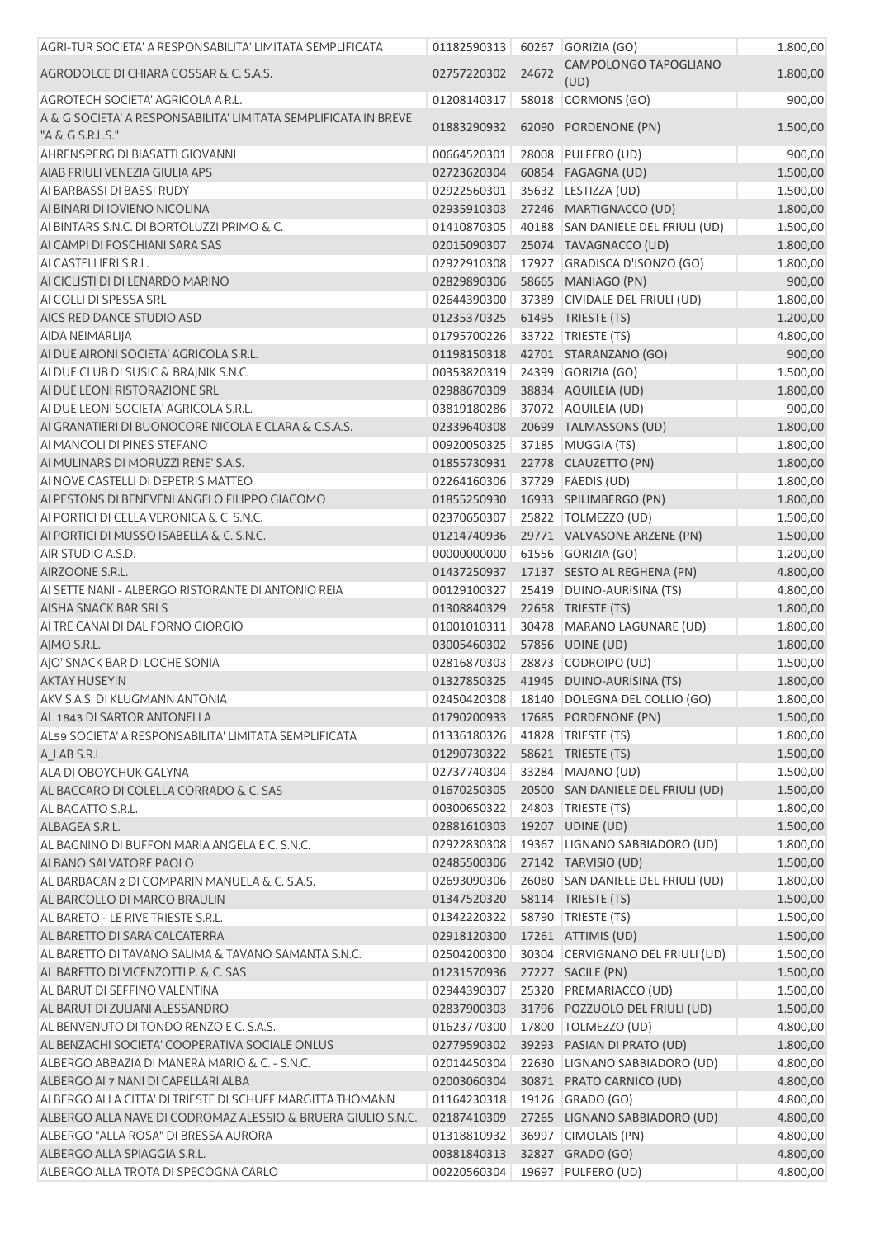| AGRI-TUR SOCIETA' A RESPONSABILITA' LIMITATA SEMPLIFICATA                           | 01182590313 |       | 60267 GORIZIA (GO)                        | 1.800,00 |
|-------------------------------------------------------------------------------------|-------------|-------|-------------------------------------------|----------|
| AGRODOLCE DI CHIARA COSSAR & C. S.A.S.                                              | 02757220302 | 24672 | CAMPOLONGO TAPOGLIANO<br>(UD)             | 1.800,00 |
| AGROTECH SOCIETA' AGRICOLA A R.L.                                                   | 01208140317 |       | 58018 CORMONS (GO)                        | 900,00   |
| A & G SOCIETA' A RESPONSABILITA' LIMITATA SEMPLIFICATA IN BREVE<br>"A & G S.R.L.S." | 01883290932 |       | 62090 PORDENONE (PN)                      | 1.500,00 |
| AHRENSPERG DI BIASATTI GIOVANNI                                                     | 00664520301 |       | 28008 PULFERO (UD)                        | 900,00   |
| AIAB FRIULI VENEZIA GIULIA APS                                                      | 02723620304 |       | 60854 FAGAGNA (UD)                        | 1.500,00 |
| AI BARBASSI DI BASSI RUDY                                                           | 02922560301 |       | 35632 LESTIZZA (UD)                       | 1.500,00 |
| AI BINARI DI IOVIENO NICOLINA                                                       | 02935910303 |       | 27246 MARTIGNACCO (UD)                    | 1.800,00 |
| AI BINTARS S.N.C. DI BORTOLUZZI PRIMO & C.                                          | 01410870305 |       | 40188 SAN DANIELE DEL FRIULI (UD)         | 1.500,00 |
| AI CAMPI DI FOSCHIANI SARA SAS                                                      | 02015090307 |       | 25074 TAVAGNACCO (UD)                     | 1.800,00 |
| AI CASTELLIERI S.R.L.                                                               | 02922910308 |       | 17927 GRADISCA D'ISONZO (GO)              | 1.800,00 |
| AI CICLISTI DI DI LENARDO MARINO                                                    | 02829890306 |       | 58665 MANIAGO (PN)                        | 900,00   |
| AI COLLI DI SPESSA SRL                                                              | 02644390300 |       | 37389 CIVIDALE DEL FRIULI (UD)            | 1.800,00 |
| AICS RED DANCE STUDIO ASD                                                           | 01235370325 |       | 61495 TRIESTE (TS)                        | 1.200,00 |
| AIDA NEIMARLIJA                                                                     | 01795700226 |       | 33722 TRIESTE (TS)                        | 4.800,00 |
| AI DUE AIRONI SOCIETA' AGRICOLA S.R.L.                                              |             |       | 01198150318  42701  STARANZANO (GO)       | 900,00   |
| AI DUE CLUB DI SUSIC & BRAINIK S.N.C.                                               | 00353820319 |       | 24399 GORIZIA (GO)                        | 1.500,00 |
| AI DUE LEONI RISTORAZIONE SRL                                                       | 02988670309 |       | 38834 AQUILEIA (UD)                       | 1.800,00 |
| AI DUE LEONI SOCIETA' AGRICOLA S.R.L.                                               | 03819180286 |       | 37072 AQUILEIA (UD)                       | 900,00   |
| AI GRANATIERI DI BUONOCORE NICOLA E CLARA & C.S.A.S.                                | 02339640308 |       | 20699 TALMASSONS (UD)                     | 1.800,00 |
| AI MANCOLI DI PINES STEFANO                                                         | 00920050325 |       | 37185 MUGGIA (TS)                         | 1.800,00 |
| AI MULINARS DI MORUZZI RENE' S.A.S.                                                 | 01855730931 |       | 22778 CLAUZETTO (PN)                      | 1.800,00 |
| AI NOVE CASTELLI DI DEPETRIS MATTEO                                                 | 02264160306 |       | 37729   FAEDIS (UD)                       | 1.800,00 |
| AI PESTONS DI BENEVENI ANGELO FILIPPO GIACOMO                                       | 01855250930 |       | 16933 SPILIMBERGO (PN)                    | 1.800,00 |
| AI PORTICI DI CELLA VERONICA & C. S.N.C.                                            | 02370650307 |       | 25822 TOLMEZZO (UD)                       | 1.500,00 |
| AI PORTICI DI MUSSO ISABELLA & C. S.N.C.                                            | 01214740936 |       | 29771 VALVASONE ARZENE (PN)               | 1.500,00 |
| AIR STUDIO A.S.D.                                                                   | 00000000000 |       | 61556 GORIZIA (GO)                        | 1.200,00 |
| AIRZOONE S.R.L.                                                                     | 01437250937 |       | 17137 SESTO AL REGHENA (PN)               | 4.800,00 |
| AI SETTE NANI - ALBERGO RISTORANTE DI ANTONIO REIA                                  | 00129100327 |       | 25419 DUINO-AURISINA (TS)                 | 4.800,00 |
| AISHA SNACK BAR SRLS                                                                | 01308840329 |       | 22658 TRIESTE (TS)                        | 1.800,00 |
| AI TRE CANAI DI DAL FORNO GIORGIO                                                   | 01001010311 |       | 30478 MARANO LAGUNARE (UD)                | 1.800,00 |
| AJMO S.R.L.                                                                         | 03005460302 |       | 57856 UDINE (UD)                          | 1.800,00 |
| AIO' SNACK BAR DI LOCHE SONIA                                                       | 02816870303 |       | 28873 CODROIPO (UD)                       | 1.500,00 |
| <b>AKTAY HUSEYIN</b>                                                                |             |       | 01327850325 41945 DUINO-AURISINA (TS)     | 1.800,00 |
| AKV S.A.S. DI KLUGMANN ANTONIA                                                      |             |       | 02450420308 18140 DOLEGNA DEL COLLIO (GO) | 1.800,00 |
| AL 1843 DI SARTOR ANTONELLA                                                         | 01790200933 |       | 17685 PORDENONE (PN)                      | 1.500,00 |
| AL59 SOCIETA' A RESPONSABILITA' LIMITATA SEMPLIFICATA                               | 01336180326 |       | 41828   TRIESTE (TS)                      | 1.800,00 |
| A LAB S.R.L.                                                                        | 01290730322 |       | 58621 TRIESTE (TS)                        | 1.500,00 |
| ALA DI OBOYCHUK GALYNA                                                              | 02737740304 |       | 33284 MAJANO (UD)                         | 1.500,00 |
| AL BACCARO DI COLELLA CORRADO & C. SAS                                              | 01670250305 |       | 20500 SAN DANIELE DEL FRIULI (UD)         | 1.500,00 |
| AL BAGATTO S.R.L.                                                                   | 00300650322 |       | 24803 TRIESTE (TS)                        | 1.800,00 |
| ALBAGEA S.R.L.                                                                      | 02881610303 |       | 19207 UDINE (UD)                          | 1.500,00 |
| AL BAGNINO DI BUFFON MARIA ANGELA E C. S.N.C.                                       | 02922830308 |       | 19367 LIGNANO SABBIADORO (UD)             | 1.800,00 |
| ALBANO SALVATORE PAOLO                                                              | 02485500306 |       | 27142 TARVISIO (UD)                       | 1.500,00 |
| AL BARBACAN 2 DI COMPARIN MANUELA & C. S.A.S.                                       | 02693090306 |       | 26080 SAN DANIELE DEL FRIULI (UD)         | 1.800,00 |
| AL BARCOLLO DI MARCO BRAULIN                                                        | 01347520320 |       | 58114 TRIESTE (TS)                        | 1.500,00 |
| AL BARETO - LE RIVE TRIESTE S.R.L.                                                  | 01342220322 |       | 58790 TRIESTE (TS)                        | 1.500,00 |
| AL BARETTO DI SARA CALCATERRA                                                       | 02918120300 |       | 17261 ATTIMIS (UD)                        | 1.500,00 |
| AL BARETTO DI TAVANO SALIMA & TAVANO SAMANTA S.N.C.                                 | 02504200300 |       | 30304 CERVIGNANO DEL FRIULI (UD)          | 1.500,00 |
| AL BARETTO DI VICENZOTTI P. & C. SAS                                                | 01231570936 |       | 27227 SACILE (PN)                         | 1.500,00 |
| AL BARUT DI SEFFINO VALENTINA                                                       | 02944390307 |       | 25320 PREMARIACCO (UD)                    | 1.500,00 |
| AL BARUT DI ZULIANI ALESSANDRO                                                      | 02837900303 |       | 31796 POZZUOLO DEL FRIULI (UD)            | 1.500,00 |
|                                                                                     |             |       | 17800 TOLMEZZO (UD)                       |          |
| AL BENVENUTO DI TONDO RENZO E C. S.A.S.                                             | 01623770300 |       |                                           | 4.800,00 |
| AL BENZACHI SOCIETA' COOPERATIVA SOCIALE ONLUS                                      | 02779590302 |       | 39293 PASIAN DI PRATO (UD)                | 1.800,00 |
| ALBERGO ABBAZIA DI MANERA MARIO & C. - S.N.C.                                       | 02014450304 |       | 22630 LIGNANO SABBIADORO (UD)             | 4.800,00 |
| ALBERGO AI 7 NANI DI CAPELLARI ALBA                                                 | 02003060304 |       | 30871 PRATO CARNICO (UD)                  | 4.800,00 |
| ALBERGO ALLA CITTA' DI TRIESTE DI SCHUFF MARGITTA THOMANN                           | 01164230318 |       | 19126 GRADO (GO)                          | 4.800,00 |
| ALBERGO ALLA NAVE DI CODROMAZ ALESSIO & BRUERA GIULIO S.N.C.                        | 02187410309 |       | 27265 LIGNANO SABBIADORO (UD)             | 4.800,00 |
| ALBERGO "ALLA ROSA" DI BRESSA AURORA                                                | 01318810932 |       | 36997 CIMOLAIS (PN)                       | 4.800,00 |
| ALBERGO ALLA SPIAGGIA S.R.L.                                                        | 00381840313 |       | 32827 GRADO (GO)                          | 4.800,00 |
| ALBERGO ALLA TROTA DI SPECOGNA CARLO                                                | 00220560304 |       | 19697 PULFERO (UD)                        | 4.800,00 |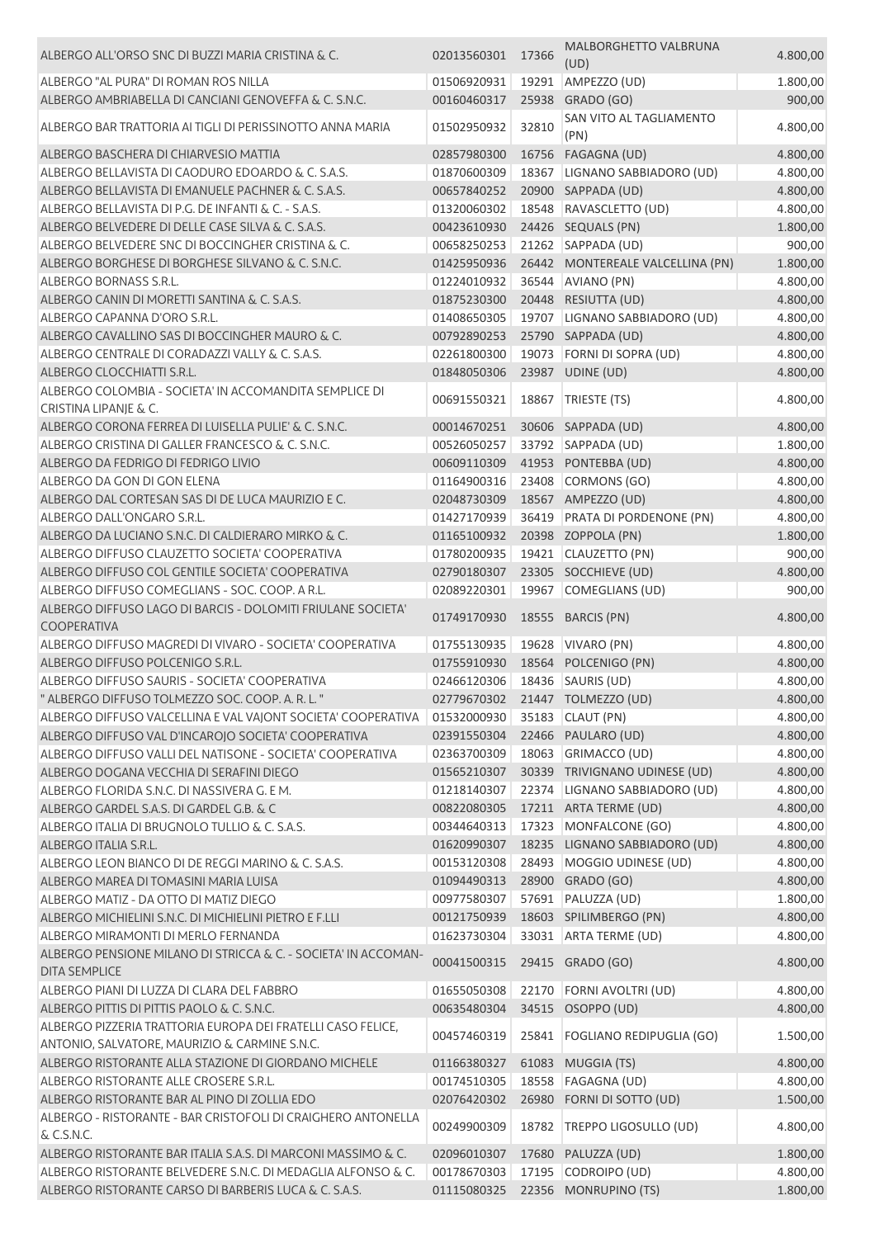| ALBERGO ALL'ORSO SNC DI BUZZI MARIA CRISTINA & C.                                                            | 02013560301                  | 17366 | MALBORGHETTO VALBRUNA<br>(UD)    | 4.800,00             |
|--------------------------------------------------------------------------------------------------------------|------------------------------|-------|----------------------------------|----------------------|
| ALBERGO "AL PURA" DI ROMAN ROS NILLA                                                                         | 01506920931                  | 19291 | AMPEZZO (UD)                     | 1.800,00             |
| ALBERGO AMBRIABELLA DI CANCIANI GENOVEFFA & C. S.N.C.                                                        | 00160460317                  |       | 25938 GRADO (GO)                 | 900,00               |
| ALBERGO BAR TRATTORIA AI TIGLI DI PERISSINOTTO ANNA MARIA                                                    | 01502950932                  | 32810 | SAN VITO AL TAGLIAMENTO<br>(PN)  | 4.800,00             |
| ALBERGO BASCHERA DI CHIARVESIO MATTIA                                                                        | 02857980300                  |       | 16756 FAGAGNA (UD)               | 4.800,00             |
| ALBERGO BELLAVISTA DI CAODURO EDOARDO & C. S.A.S.                                                            | 01870600309                  | 18367 | LIGNANO SABBIADORO (UD)          | 4.800,00             |
| ALBERGO BELLAVISTA DI EMANUELE PACHNER & C. S.A.S.                                                           | 00657840252                  |       | 20900 SAPPADA (UD)               | 4.800,00             |
| ALBERGO BELLAVISTA DI P.G. DE INFANTI & C. - S.A.S.                                                          | 01320060302                  | 18548 | RAVASCLETTO (UD)                 | 4.800,00             |
| ALBERGO BELVEDERE DI DELLE CASE SILVA & C. S.A.S.                                                            | 00423610930                  |       | 24426 SEQUALS (PN)               | 1.800,00             |
| ALBERGO BELVEDERE SNC DI BOCCINGHER CRISTINA & C.                                                            | 00658250253                  |       | 21262 SAPPADA (UD)               | 900,00               |
| ALBERGO BORGHESE DI BORGHESE SILVANO & C. S.N.C.                                                             |                              |       | 26442 MONTEREALE VALCELLINA (PN) |                      |
| ALBERGO BORNASS S.R.L.                                                                                       | 01425950936<br>01224010932   |       | 36544 AVIANO (PN)                | 1.800,00<br>4.800,00 |
| ALBERGO CANIN DI MORETTI SANTINA & C. S.A.S.                                                                 | 01875230300                  |       | 20448 RESIUTTA (UD)              | 4.800,00             |
| ALBERGO CAPANNA D'ORO S.R.L.                                                                                 | 01408650305                  | 19707 | LIGNANO SABBIADORO (UD)          | 4.800,00             |
| ALBERGO CAVALLINO SAS DI BOCCINGHER MAURO & C.                                                               | 00792890253                  |       | 25790 SAPPADA (UD)               | 4.800,00             |
| ALBERGO CENTRALE DI CORADAZZI VALLY & C. S.A.S.                                                              | 02261800300                  |       | 19073 FORNI DI SOPRA (UD)        | 4.800,00             |
|                                                                                                              |                              |       |                                  | 4.800,00             |
| ALBERGO CLOCCHIATTI S.R.L.                                                                                   | 01848050306                  |       | 23987 UDINE (UD)                 |                      |
| ALBERGO COLOMBIA - SOCIETA' IN ACCOMANDITA SEMPLICE DI<br>CRISTINA LIPANJE & C.                              | 00691550321                  | 18867 | TRIESTE (TS)                     | 4.800,00             |
| ALBERGO CORONA FERREA DI LUISELLA PULIE' & C. S.N.C.                                                         | 00014670251                  |       | 30606 SAPPADA (UD)               | 4.800,00             |
| ALBERGO CRISTINA DI GALLER FRANCESCO & C. S.N.C.                                                             | 00526050257                  |       | 33792 SAPPADA (UD)               | 1.800,00             |
| ALBERGO DA FEDRIGO DI FEDRIGO LIVIO                                                                          | 00609110309                  |       | 41953 PONTEBBA (UD)              | 4.800,00             |
| ALBERGO DA GON DI GON ELENA                                                                                  | 01164900316                  |       | 23408 CORMONS (GO)               | 4.800,00             |
| ALBERGO DAL CORTESAN SAS DI DE LUCA MAURIZIO E C.                                                            | 02048730309                  |       | 18567 AMPEZZO (UD)               | 4.800,00             |
| ALBERGO DALL'ONGARO S.R.L.                                                                                   | 01427170939                  | 36419 | PRATA DI PORDENONE (PN)          | 4.800,00             |
| ALBERGO DA LUCIANO S.N.C. DI CALDIERARO MIRKO & C.                                                           | 01165100932                  |       | 20398 ZOPPOLA (PN)               | 1.800,00             |
| ALBERGO DIFFUSO CLAUZETTO SOCIETA' COOPERATIVA                                                               | 01780200935                  | 19421 | CLAUZETTO (PN)                   | 900,00               |
| ALBERGO DIFFUSO COL GENTILE SOCIETA' COOPERATIVA                                                             | 02790180307                  |       | 23305 SOCCHIEVE (UD)             | 4.800,00             |
| ALBERGO DIFFUSO COMEGLIANS - SOC. COOP. A R.L.                                                               | 02089220301                  |       | 19967 COMEGLIANS (UD)            | 900,00               |
| ALBERGO DIFFUSO LAGO DI BARCIS - DOLOMITI FRIULANE SOCIETA'<br><b>COOPERATIVA</b>                            | 01749170930                  |       | 18555 BARCIS (PN)                | 4.800,00             |
| ALBERGO DIFFUSO MAGREDI DI VIVARO - SOCIETA' COOPERATIVA                                                     | 01755130935                  |       | 19628 VIVARO (PN)                | 4.800,00             |
| ALBERGO DIFFUSO POLCENIGO S.R.L.                                                                             | 01755910930                  |       | 18564 POLCENIGO (PN)             | 4.800,00             |
| ALBERGO DIFFUSO SAURIS - SOCIETA' COOPERATIVA                                                                | 02466120306                  |       | 18436   SAURIS (UD)              | 4.800,00             |
| " ALBERGO DIFFUSO TOLMEZZO SOC. COOP. A. R. L. "                                                             |                              |       | 02779670302 21447 TOLMEZZO (UD)  | 4.800,00             |
| ALBERGO DIFFUSO VALCELLINA E VAL VAJONT SOCIETA' COOPERATIVA                                                 | 01532000930 35183 CLAUT (PN) |       |                                  | 4.800,00             |
| ALBERGO DIFFUSO VAL D'INCAROJO SOCIETA' COOPERATIVA                                                          | 02391550304                  |       | 22466 PAULARO (UD)               | 4.800,00             |
| ALBERGO DIFFUSO VALLI DEL NATISONE - SOCIETA' COOPERATIVA                                                    | 02363700309                  |       | 18063 GRIMACCO (UD)              | 4.800,00             |
| ALBERGO DOGANA VECCHIA DI SERAFINI DIEGO                                                                     | 01565210307                  |       | 30339 TRIVIGNANO UDINESE (UD)    | 4.800,00             |
| ALBERGO FLORIDA S.N.C. DI NASSIVERA G. E M.                                                                  | 01218140307                  |       | 22374 LIGNANO SABBIADORO (UD)    | 4.800,00             |
| ALBERGO GARDEL S.A.S. DI GARDEL G.B. & C                                                                     | 00822080305                  |       | 17211 ARTA TERME (UD)            | 4.800,00             |
| ALBERGO ITALIA DI BRUGNOLO TULLIO & C. S.A.S.                                                                | 00344640313                  |       | 17323 MONFALCONE (GO)            | 4.800,00             |
| ALBERGO ITALIA S.R.L.                                                                                        | 01620990307                  |       | 18235 LIGNANO SABBIADORO (UD)    | 4.800,00             |
| ALBERGO LEON BIANCO DI DE REGGI MARINO & C. S.A.S.                                                           | 00153120308                  | 28493 | MOGGIO UDINESE (UD)              | 4.800,00             |
| ALBERGO MAREA DI TOMASINI MARIA LUISA                                                                        | 01094490313                  |       | 28900 GRADO (GO)                 | 4.800,00             |
| ALBERGO MATIZ - DA OTTO DI MATIZ DIEGO                                                                       | 00977580307                  |       | 57691 PALUZZA (UD)               | 1.800,00             |
| ALBERGO MICHIELINI S.N.C. DI MICHIELINI PIETRO E F.LLI                                                       | 00121750939                  |       | 18603 SPILIMBERGO (PN)           | 4.800,00             |
| ALBERGO MIRAMONTI DI MERLO FERNANDA                                                                          | 01623730304                  |       | 33031 ARTA TERME (UD)            | 4.800,00             |
| ALBERGO PENSIONE MILANO DI STRICCA & C. - SOCIETA' IN ACCOMAN-                                               | 00041500315                  |       | 29415 GRADO (GO)                 | 4.800,00             |
| <b>DITA SEMPLICE</b>                                                                                         |                              |       |                                  |                      |
| ALBERGO PIANI DI LUZZA DI CLARA DEL FABBRO                                                                   | 01655050308                  | 22170 | FORNI AVOLTRI (UD)               | 4.800,00             |
| ALBERGO PITTIS DI PITTIS PAOLO & C. S.N.C.                                                                   | 00635480304                  |       | 34515 OSOPPO (UD)                | 4.800,00             |
| ALBERGO PIZZERIA TRATTORIA EUROPA DEI FRATELLI CASO FELICE,<br>ANTONIO, SALVATORE, MAURIZIO & CARMINE S.N.C. | 00457460319                  | 25841 | <b>FOGLIANO REDIPUGLIA (GO)</b>  | 1.500,00             |
| ALBERGO RISTORANTE ALLA STAZIONE DI GIORDANO MICHELE                                                         | 01166380327                  |       | 61083 MUGGIA (TS)                | 4.800,00             |
| ALBERGO RISTORANTE ALLE CROSERE S.R.L.                                                                       | 00174510305                  | 18558 | <b>FAGAGNA (UD)</b>              | 4.800,00             |
| ALBERGO RISTORANTE BAR AL PINO DI ZOLLIA EDO                                                                 | 02076420302                  |       | 26980 FORNI DI SOTTO (UD)        | 1.500,00             |
| ALBERGO - RISTORANTE - BAR CRISTOFOLI DI CRAIGHERO ANTONELLA<br>& C.S.N.C.                                   | 00249900309                  | 18782 | TREPPO LIGOSULLO (UD)            | 4.800,00             |
| ALBERGO RISTORANTE BAR ITALIA S.A.S. DI MARCONI MASSIMO & C.                                                 | 02096010307                  | 17680 | PALUZZA (UD)                     | 1.800,00             |
| ALBERGO RISTORANTE BELVEDERE S.N.C. DI MEDAGLIA ALFONSO & C.                                                 | 00178670303                  |       | 17195 CODROIPO (UD)              | 4.800,00             |
| ALBERGO RISTORANTE CARSO DI BARBERIS LUCA & C. S.A.S.                                                        | 01115080325                  |       | 22356 MONRUPINO (TS)             | 1.800,00             |
|                                                                                                              |                              |       |                                  |                      |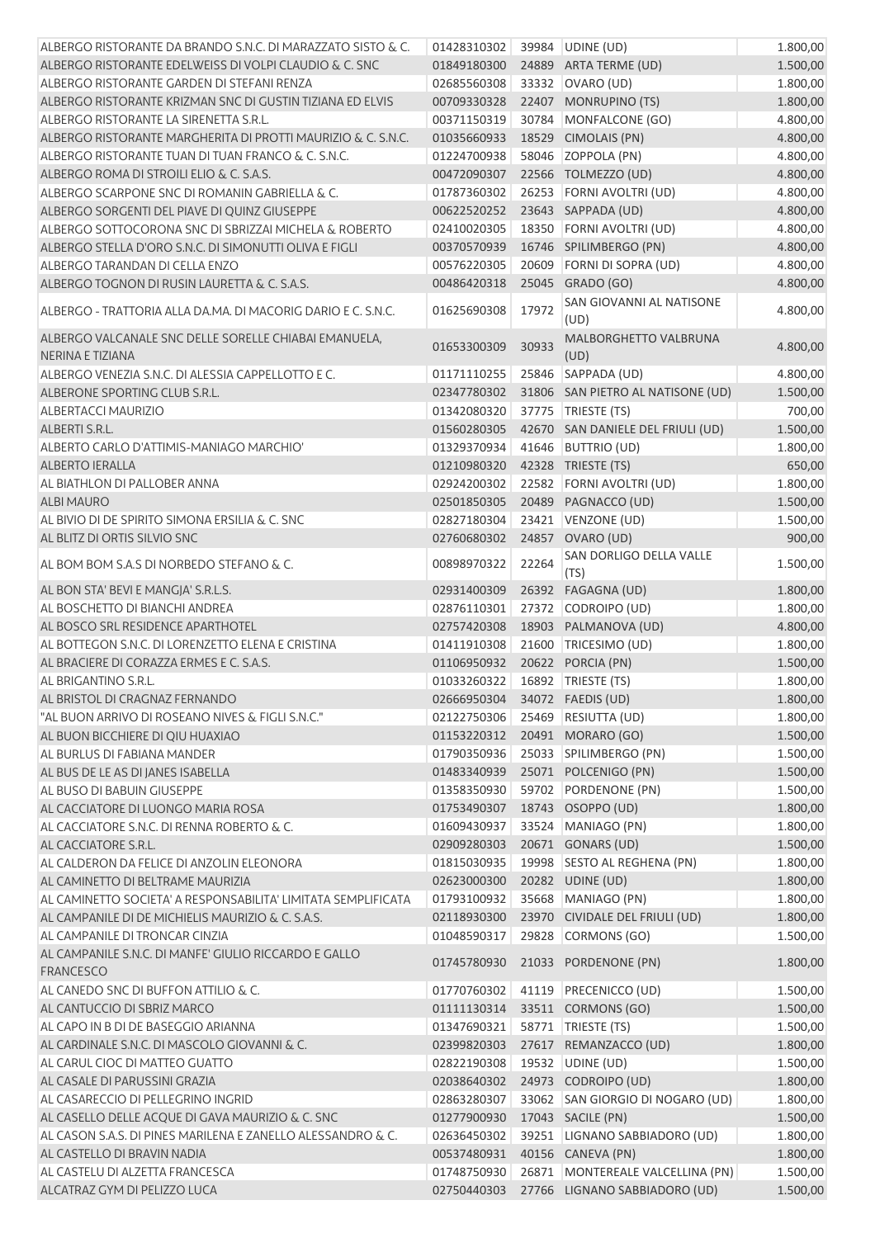| ALBERGO RISTORANTE DA BRANDO S.N.C. DI MARAZZATO SISTO & C.               | 01428310302 39984 UDINE (UD)  |       |                                      | 1.800,00 |
|---------------------------------------------------------------------------|-------------------------------|-------|--------------------------------------|----------|
| ALBERGO RISTORANTE EDELWEISS DI VOLPI CLAUDIO & C. SNC                    | 01849180300                   |       | 24889 ARTA TERME (UD)                | 1.500,00 |
| ALBERGO RISTORANTE GARDEN DI STEFANI RENZA                                | 02685560308                   |       | 33332 OVARO (UD)                     | 1.800,00 |
| ALBERGO RISTORANTE KRIZMAN SNC DI GUSTIN TIZIANA ED ELVIS                 | 00709330328                   |       | 22407 MONRUPINO (TS)                 | 1.800,00 |
| ALBERGO RISTORANTE LA SIRENETTA S.R.L.                                    | 00371150319                   |       | 30784 MONFALCONE (GO)                | 4.800,00 |
| ALBERGO RISTORANTE MARGHERITA DI PROTTI MAURIZIO & C. S.N.C.              | 01035660933                   |       | 18529 CIMOLAIS (PN)                  | 4.800,00 |
| ALBERGO RISTORANTE TUAN DI TUAN FRANCO & C. S.N.C.                        | 01224700938                   |       | 58046 ZOPPOLA (PN)                   | 4.800,00 |
| ALBERGO ROMA DI STROILI ELIO & C. S.A.S.                                  | 00472090307                   |       | 22566 TOLMEZZO (UD)                  | 4.800,00 |
| ALBERGO SCARPONE SNC DI ROMANIN GABRIELLA & C.                            | 01787360302                   |       | 26253 FORNI AVOLTRI (UD)             | 4.800,00 |
| ALBERGO SORGENTI DEL PIAVE DI QUINZ GIUSEPPE                              | 00622520252                   |       | 23643 SAPPADA (UD)                   | 4.800,00 |
| ALBERGO SOTTOCORONA SNC DI SBRIZZAI MICHELA & ROBERTO                     | 02410020305                   |       | 18350 FORNI AVOLTRI (UD)             | 4.800,00 |
| ALBERGO STELLA D'ORO S.N.C. DI SIMONUTTI OLIVA E FIGLI                    | 00370570939                   |       | 16746 SPILIMBERGO (PN)               | 4.800,00 |
| ALBERGO TARANDAN DI CELLA ENZO                                            | 00576220305                   | 20609 | FORNI DI SOPRA (UD)                  | 4.800,00 |
| ALBERGO TOGNON DI RUSIN LAURETTA & C. S.A.S.                              | 00486420318                   |       | 25045 GRADO (GO)                     | 4.800,00 |
| ALBERGO - TRATTORIA ALLA DA.MA. DI MACORIG DARIO E C. S.N.C.              | 01625690308                   | 17972 | SAN GIOVANNI AL NATISONE<br>(UD)     | 4.800,00 |
| ALBERGO VALCANALE SNC DELLE SORELLE CHIABAI EMANUELA,<br>NERINA E TIZIANA | 01653300309                   | 30933 | <b>MALBORGHETTO VALBRUNA</b><br>(UD) | 4.800,00 |
| ALBERGO VENEZIA S.N.C. DI ALESSIA CAPPELLOTTO E C.                        | 01171110255                   |       | 25846 SAPPADA (UD)                   | 4.800,00 |
| ALBERONE SPORTING CLUB S.R.L.                                             | 02347780302                   |       | 31806 SAN PIETRO AL NATISONE (UD)    | 1.500,00 |
| <b>ALBERTACCI MAURIZIO</b>                                                | 01342080320                   |       | 37775   TRIESTE (TS)                 | 700,00   |
| ALBERTI S.R.L.                                                            | 01560280305                   |       | 42670 SAN DANIELE DEL FRIULI (UD)    | 1.500,00 |
| ALBERTO CARLO D'ATTIMIS-MANIAGO MARCHIO'                                  | 01329370934                   |       | 41646 BUTTRIO (UD)                   | 1.800,00 |
| <b>ALBERTO IERALLA</b>                                                    | 01210980320                   |       | 42328 TRIESTE (TS)                   | 650,00   |
| AL BIATHLON DI PALLOBER ANNA                                              | 02924200302                   |       | 22582 FORNI AVOLTRI (UD)             | 1.800,00 |
| <b>ALBI MAURO</b>                                                         | 02501850305                   |       | 20489 PAGNACCO (UD)                  | 1.500,00 |
| AL BIVIO DI DE SPIRITO SIMONA ERSILIA & C. SNC                            | 02827180304                   |       | 23421 VENZONE (UD)                   | 1.500,00 |
| AL BLITZ DI ORTIS SILVIO SNC                                              | 02760680302                   |       | 24857 OVARO (UD)                     | 900,00   |
| AL BOM BOM S.A.S DI NORBEDO STEFANO & C.                                  | 00898970322                   | 22264 | SAN DORLIGO DELLA VALLE<br>(TS)      | 1.500,00 |
| AL BON STA' BEVI E MANGJA' S.R.L.S.                                       | 02931400309                   |       | 26392 FAGAGNA (UD)                   | 1.800,00 |
| AL BOSCHETTO DI BIANCHI ANDREA                                            | 02876110301                   |       | 27372 CODROIPO (UD)                  | 1.800,00 |
| AL BOSCO SRL RESIDENCE APARTHOTEL                                         | 02757420308                   |       | 18903 PALMANOVA (UD)                 | 4.800,00 |
| AL BOTTEGON S.N.C. DI LORENZETTO ELENA E CRISTINA                         | 01411910308                   | 21600 | TRICESIMO (UD)                       | 1.800,00 |
| AL BRACIERE DI CORAZZA ERMES E C. S.A.S.                                  | 01106950932                   |       | 20622 PORCIA (PN)                    | 1.500,00 |
| AL BRIGANTINO S.R.L.                                                      | 01033260322                   |       | 16892 TRIESTE (TS)                   | 1.800,00 |
| AL BRISTOL DI CRAGNAZ FERNANDO                                            | 02666950304 34072 FAEDIS (UD) |       |                                      | 1.800,00 |
| "AL BUON ARRIVO DI ROSEANO NIVES & FIGLI S.N.C."                          |                               |       | 02122750306 25469 RESIUTTA (UD)      | 1.800,00 |
| AL BUON BICCHIERE DI QIU HUAXIAO                                          |                               |       | 01153220312 20491 MORARO (GO)        | 1.500,00 |
| AL BURLUS DI FABIANA MANDER                                               | 01790350936                   |       | 25033 SPILIMBERGO (PN)               | 1.500,00 |
| AL BUS DE LE AS DI JANES ISABELLA                                         | 01483340939                   |       | 25071 POLCENIGO (PN)                 | 1.500,00 |
| AL BUSO DI BABUIN GIUSEPPE                                                | 01358350930                   |       | 59702 PORDENONE (PN)                 | 1.500,00 |
| AL CACCIATORE DI LUONGO MARIA ROSA                                        | 01753490307                   |       | 18743 OSOPPO (UD)                    | 1.800,00 |
| AL CACCIATORE S.N.C. DI RENNA ROBERTO & C.                                | 01609430937                   |       | 33524 MANIAGO (PN)                   | 1.800,00 |
| AL CACCIATORE S.R.L.                                                      | 02909280303                   |       | 20671 GONARS (UD)                    | 1.500,00 |
| AL CALDERON DA FELICE DI ANZOLIN ELEONORA                                 | 01815030935                   |       | 19998 SESTO AL REGHENA (PN)          | 1.800,00 |
| AL CAMINETTO DI BELTRAME MAURIZIA                                         | 02623000300                   |       | 20282 UDINE (UD)                     | 1.800,00 |
| AL CAMINETTO SOCIETA' A RESPONSABILITA' LIMITATA SEMPLIFICATA             | 01793100932                   |       | 35668 MANIAGO (PN)                   | 1.800,00 |
| AL CAMPANILE DI DE MICHIELIS MAURIZIO & C. S.A.S.                         | 02118930300                   |       | 23970 CIVIDALE DEL FRIULI (UD)       | 1.800,00 |
| AL CAMPANILE DI TRONCAR CINZIA                                            | 01048590317                   |       | 29828 CORMONS (GO)                   | 1.500,00 |
| AL CAMPANILE S.N.C. DI MANFE' GIULIO RICCARDO E GALLO<br><b>FRANCESCO</b> | 01745780930                   |       | 21033 PORDENONE (PN)                 | 1.800,00 |
| AL CANEDO SNC DI BUFFON ATTILIO & C.                                      | 01770760302                   |       | 41119 PRECENICCO (UD)                | 1.500,00 |
| AL CANTUCCIO DI SBRIZ MARCO                                               | 01111130314                   |       | 33511 CORMONS (GO)                   | 1.500,00 |
| AL CAPO IN B DI DE BASEGGIO ARIANNA                                       | 01347690321                   |       | 58771   TRIESTE (TS)                 | 1.500,00 |
| AL CARDINALE S.N.C. DI MASCOLO GIOVANNI & C.                              | 02399820303                   |       | 27617 REMANZACCO (UD)                | 1.800,00 |
| AL CARUL CIOC DI MATTEO GUATTO                                            | 02822190308                   |       | 19532 UDINE (UD)                     | 1.500,00 |
| AL CASALE DI PARUSSINI GRAZIA                                             | 02038640302                   |       | 24973 CODROIPO (UD)                  | 1.800,00 |
| AL CASARECCIO DI PELLEGRINO INGRID                                        | 02863280307                   |       | 33062 SAN GIORGIO DI NOGARO (UD)     | 1.800,00 |
| AL CASELLO DELLE ACQUE DI GAVA MAURIZIO & C. SNC                          | 01277900930                   |       | 17043 SACILE (PN)                    | 1.500,00 |
| AL CASON S.A.S. DI PINES MARILENA E ZANELLO ALESSANDRO & C.               | 02636450302                   |       | 39251 LIGNANO SABBIADORO (UD)        | 1.800,00 |
| AL CASTELLO DI BRAVIN NADIA                                               | 00537480931                   |       | 40156 CANEVA (PN)                    | 1.800,00 |
| AL CASTELU DI ALZETTA FRANCESCA                                           | 01748750930                   |       | 26871 MONTEREALE VALCELLINA (PN)     | 1.500,00 |
| ALCATRAZ GYM DI PELIZZO LUCA                                              | 02750440303                   |       | 27766 LIGNANO SABBIADORO (UD)        | 1.500,00 |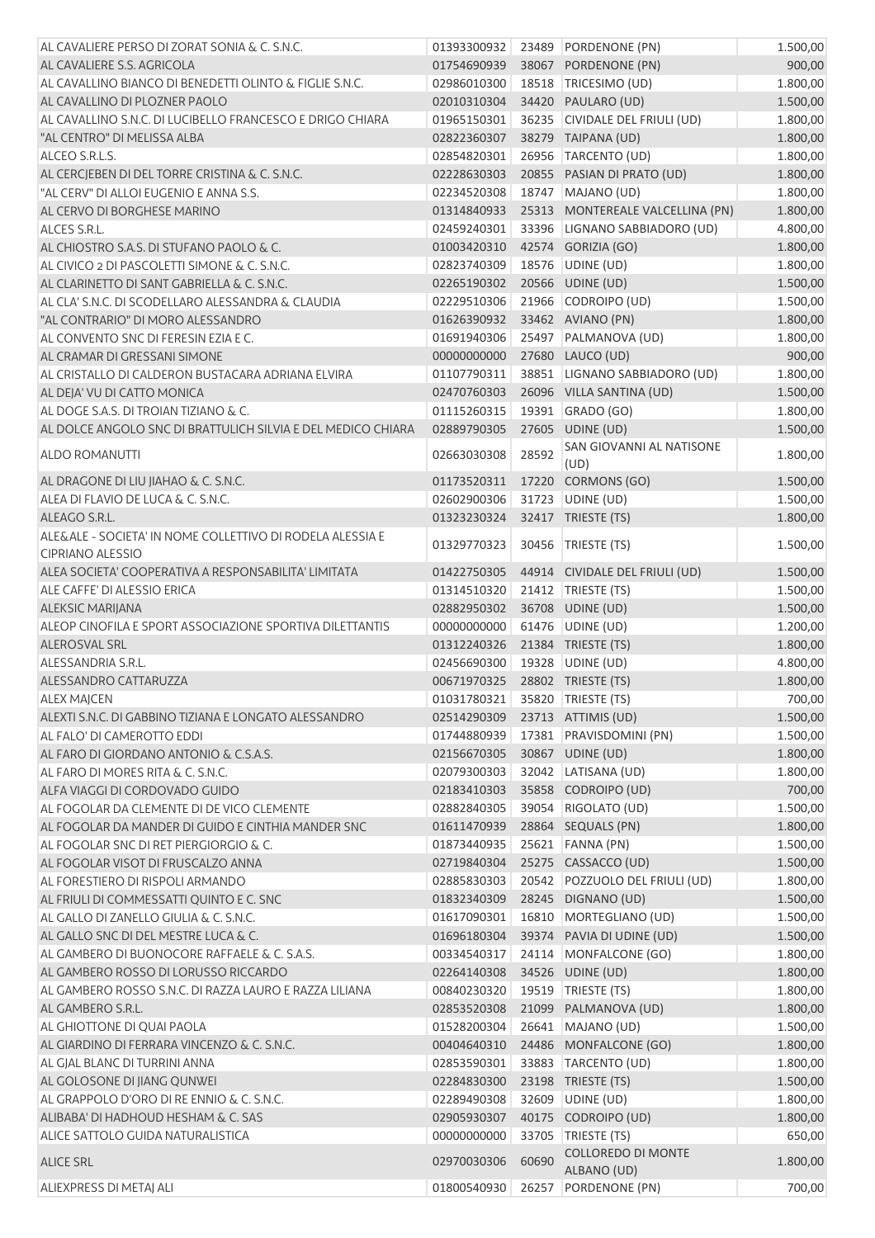| AL CAVALIERE PERSO DI ZORAT SONIA & C. S.N.C.                                        | 01393300932 |       | 23489 PORDENONE (PN)                     | 1.500,00 |
|--------------------------------------------------------------------------------------|-------------|-------|------------------------------------------|----------|
| AL CAVALIERE S.S. AGRICOLA                                                           | 01754690939 |       | 38067 PORDENONE (PN)                     | 900,00   |
| AL CAVALLINO BIANCO DI BENEDETTI OLINTO & FIGLIE S.N.C.                              | 02986010300 |       | 18518 TRICESIMO (UD)                     | 1.800,00 |
| AL CAVALLINO DI PLOZNER PAOLO                                                        | 02010310304 |       | 34420 PAULARO (UD)                       | 1.500,00 |
| AL CAVALLINO S.N.C. DI LUCIBELLO FRANCESCO E DRIGO CHIARA                            | 01965150301 |       | 36235 CIVIDALE DEL FRIULI (UD)           | 1.800,00 |
| "AL CENTRO" DI MELISSA ALBA                                                          | 02822360307 |       | 38279 TAIPANA (UD)                       | 1.800,00 |
| ALCEO S.R.L.S.                                                                       | 02854820301 |       | 26956 TARCENTO (UD)                      | 1.800,00 |
| AL CERCJEBEN DI DEL TORRE CRISTINA & C. S.N.C.                                       | 02228630303 |       | 20855 PASIAN DI PRATO (UD)               | 1.800,00 |
| "AL CERV" DI ALLOI EUGENIO E ANNA S.S.                                               | 02234520308 |       | 18747 MAJANO (UD)                        | 1.800,00 |
| AL CERVO DI BORGHESE MARINO                                                          | 01314840933 |       | 25313 MONTEREALE VALCELLINA (PN)         | 1.800,00 |
| ALCES S.R.L.                                                                         | 02459240301 |       | 33396 LIGNANO SABBIADORO (UD)            | 4.800,00 |
| AL CHIOSTRO S.A.S. DI STUFANO PAOLO & C.                                             | 01003420310 |       | 42574 GORIZIA (GO)                       | 1.800,00 |
| AL CIVICO 2 DI PASCOLETTI SIMONE & C. S.N.C.                                         | 02823740309 |       | 18576 UDINE (UD)                         | 1.800,00 |
| AL CLARINETTO DI SANT GABRIELLA & C. S.N.C.                                          | 02265190302 |       | 20566 UDINE (UD)                         | 1.500,00 |
| AL CLA' S.N.C. DI SCODELLARO ALESSANDRA & CLAUDIA                                    | 02229510306 |       | 21966 CODROIPO (UD)                      | 1.500,00 |
| "AL CONTRARIO" DI MORO ALESSANDRO                                                    | 01626390932 |       | 33462 AVIANO (PN)                        | 1.800,00 |
| AL CONVENTO SNC DI FERESIN EZIA E C.                                                 | 01691940306 |       | 25497 PALMANOVA (UD)                     | 1.800,00 |
| AL CRAMAR DI GRESSANI SIMONE                                                         | 00000000000 |       | 27680 LAUCO (UD)                         | 900,00   |
|                                                                                      |             |       |                                          |          |
| AL CRISTALLO DI CALDERON BUSTACARA ADRIANA ELVIRA                                    | 01107790311 |       | 38851 LIGNANO SABBIADORO (UD)            | 1.800,00 |
| AL DEJA' VU DI CATTO MONICA                                                          | 02470760303 |       | 26096 VILLA SANTINA (UD)                 | 1.500,00 |
| AL DOGE S.A.S. DI TROIAN TIZIANO & C.                                                | 01115260315 |       | 19391 GRADO (GO)                         | 1.800,00 |
| AL DOLCE ANGOLO SNC DI BRATTULICH SILVIA E DEL MEDICO CHIARA                         | 02889790305 |       | 27605 UDINE (UD)                         | 1.500,00 |
| ALDO ROMANUTTI                                                                       | 02663030308 | 28592 | SAN GIOVANNI AL NATISONE<br>(UD)         | 1.800,00 |
| AL DRAGONE DI LIU JIAHAO & C. S.N.C.                                                 | 01173520311 |       | 17220 CORMONS (GO)                       | 1.500,00 |
| ALEA DI FLAVIO DE LUCA & C. S.N.C.                                                   | 02602900306 |       | 31723 UDINE (UD)                         | 1.500,00 |
| ALEAGO S.R.L.                                                                        |             |       |                                          |          |
|                                                                                      | 01323230324 |       | 32417 TRIESTE (TS)                       | 1.800,00 |
| ALE&ALE - SOCIETA' IN NOME COLLETTIVO DI RODELA ALESSIA E<br><b>CIPRIANO ALESSIO</b> | 01329770323 | 30456 | TRIESTE (TS)                             | 1.500,00 |
| ALEA SOCIETA' COOPERATIVA A RESPONSABILITA' LIMITATA                                 | 01422750305 |       | 44914 CIVIDALE DEL FRIULI (UD)           | 1.500,00 |
| ALE CAFFE' DI ALESSIO ERICA                                                          | 01314510320 |       | 21412   TRIESTE (TS)                     | 1.500,00 |
| <b>ALEKSIC MARIJANA</b>                                                              | 02882950302 |       | 36708 UDINE (UD)                         | 1.500,00 |
| ALEOP CINOFILA E SPORT ASSOCIAZIONE SPORTIVA DILETTANTIS                             | 00000000000 |       | 61476 UDINE (UD)                         | 1.200,00 |
| ALEROSVAL SRL                                                                        | 01312240326 |       | 21384 TRIESTE (TS)                       | 1.800,00 |
| ALESSANDRIA S.R.L.                                                                   | 02456690300 |       | 19328 UDINE (UD)                         | 4.800,00 |
| ALESSANDRO CATTARUZZA                                                                | 00671970325 |       | 28802 TRIESTE (TS)                       | 1.800,00 |
| <b>ALEX MAJCEN</b>                                                                   | 01031780321 |       | 35820   TRIESTE (TS)                     | 700,00   |
| ALEXTI S.N.C. DI GABBINO TIZIANA E LONGATO ALESSANDRO                                | 02514290309 |       | 23713 ATTIMIS (UD)                       | 1.500,00 |
| AL FALO' DI CAMEROTTO EDDI                                                           | 01744880939 |       | 17381 PRAVISDOMINI (PN)                  | 1.500,00 |
| AL FARO DI GIORDANO ANTONIO & C.S.A.S.                                               | 02156670305 |       | 30867 UDINE (UD)                         | 1.800,00 |
| AL FARO DI MORES RITA & C. S.N.C.                                                    | 02079300303 |       | 32042 LATISANA (UD)                      |          |
|                                                                                      |             |       |                                          | 1.800,00 |
| ALFA VIAGGI DI CORDOVADO GUIDO                                                       | 02183410303 |       | 35858 CODROIPO (UD)                      | 700,00   |
| AL FOGOLAR DA CLEMENTE DI DE VICO CLEMENTE                                           | 02882840305 | 39054 | RIGOLATO (UD)                            | 1.500,00 |
| AL FOGOLAR DA MANDER DI GUIDO E CINTHIA MANDER SNC                                   | 01611470939 |       | 28864 SEQUALS (PN)                       | 1.800,00 |
| AL FOGOLAR SNC DI RET PIERGIORGIO & C.                                               | 01873440935 | 25621 | FANNA (PN)                               | 1.500,00 |
| AL FOGOLAR VISOT DI FRUSCALZO ANNA                                                   | 02719840304 |       | 25275 CASSACCO (UD)                      | 1.500,00 |
| AL FORESTIERO DI RISPOLI ARMANDO                                                     | 02885830303 |       | 20542 POZZUOLO DEL FRIULI (UD)           | 1.800,00 |
| AL FRIULI DI COMMESSATTI QUINTO E C. SNC                                             | 01832340309 |       | 28245 DIGNANO (UD)                       | 1.500,00 |
| AL GALLO DI ZANELLO GIULIA & C. S.N.C.                                               | 01617090301 |       | 16810 MORTEGLIANO (UD)                   | 1.500,00 |
| AL GALLO SNC DI DEL MESTRE LUCA & C.                                                 | 01696180304 |       | 39374 PAVIA DI UDINE (UD)                | 1.500,00 |
| AL GAMBERO DI BUONOCORE RAFFAELE & C. S.A.S.                                         | 00334540317 |       | 24114 MONFALCONE (GO)                    | 1.800,00 |
| AL GAMBERO ROSSO DI LORUSSO RICCARDO                                                 | 02264140308 |       | 34526 UDINE (UD)                         | 1.800,00 |
| AL GAMBERO ROSSO S.N.C. DI RAZZA LAURO E RAZZA LILIANA                               | 00840230320 |       | 19519 TRIESTE (TS)                       | 1.800,00 |
| AL GAMBERO S.R.L.                                                                    | 02853520308 |       | 21099 PALMANOVA (UD)                     | 1.800,00 |
| AL GHIOTTONE DI QUAI PAOLA                                                           | 01528200304 |       | 26641 MAJANO (UD)                        | 1.500,00 |
| AL GIARDINO DI FERRARA VINCENZO & C. S.N.C.                                          | 00404640310 |       | 24486 MONFALCONE (GO)                    | 1.800,00 |
| AL GJAL BLANC DI TURRINI ANNA                                                        | 02853590301 |       | 33883 TARCENTO (UD)                      | 1.800,00 |
|                                                                                      |             |       |                                          |          |
| AL GOLOSONE DI JIANG QUNWEI                                                          | 02284830300 |       | 23198 TRIESTE (TS)                       | 1.500,00 |
| AL GRAPPOLO D'ORO DI RE ENNIO & C. S.N.C.                                            | 02289490308 |       | 32609 UDINE (UD)                         | 1.800,00 |
| ALIBABA' DI HADHOUD HESHAM & C. SAS                                                  | 02905930307 |       | 40175 CODROIPO (UD)                      | 1.800,00 |
| ALICE SATTOLO GUIDA NATURALISTICA                                                    | 00000000000 | 33705 | TRIESTE (TS)                             | 650,00   |
| <b>ALICE SRL</b>                                                                     | 02970030306 | 60690 | <b>COLLOREDO DI MONTE</b><br>ALBANO (UD) | 1.800,00 |
| ALIEXPRESS DI METAJ ALI                                                              | 01800540930 | 26257 | PORDENONE (PN)                           | 700,00   |
|                                                                                      |             |       |                                          |          |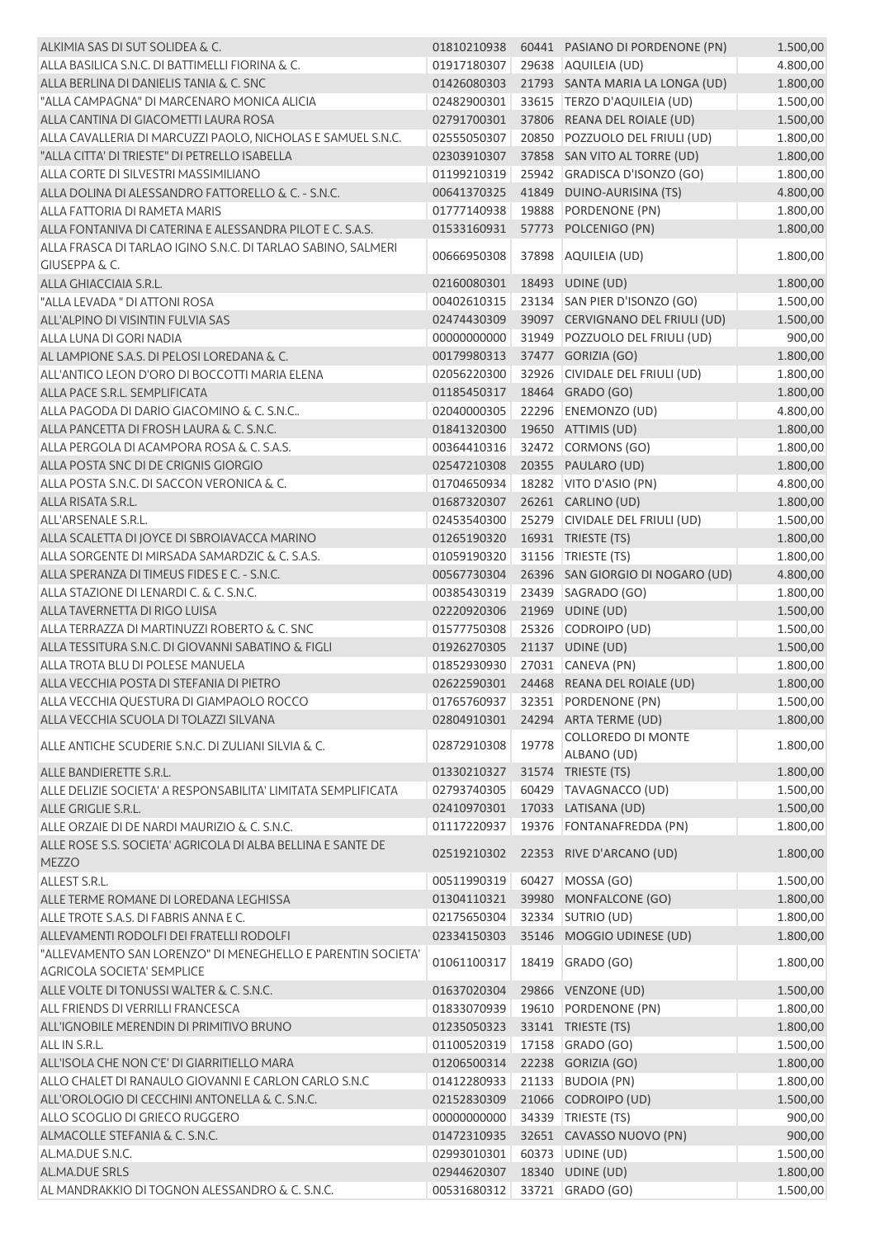| ALKIMIA SAS DI SUT SOLIDEA & C.                                                                  |                              |       | 01810210938    60441    PASIANO DI PORDENONE (PN) | 1.500,00 |
|--------------------------------------------------------------------------------------------------|------------------------------|-------|---------------------------------------------------|----------|
| ALLA BASILICA S.N.C. DI BATTIMELLI FIORINA & C.                                                  | 01917180307                  |       | 29638 AQUILEIA (UD)                               | 4.800,00 |
| ALLA BERLINA DI DANIELIS TANIA & C. SNC                                                          | 01426080303                  |       | 21793 SANTA MARIA LA LONGA (UD)                   | 1.800,00 |
| "ALLA CAMPAGNA" DI MARCENARO MONICA ALICIA                                                       | 02482900301                  |       | 33615 TERZO D'AQUILEIA (UD)                       | 1.500,00 |
| ALLA CANTINA DI GIACOMETTI LAURA ROSA                                                            | 02791700301                  |       | 37806 REANA DEL ROIALE (UD)                       | 1.500,00 |
| ALLA CAVALLERIA DI MARCUZZI PAOLO, NICHOLAS E SAMUEL S.N.C.                                      | 02555050307                  |       | 20850 POZZUOLO DEL FRIULI (UD)                    | 1.800,00 |
| "ALLA CITTA' DI TRIESTE" DI PETRELLO ISABELLA                                                    | 02303910307                  |       | 37858 SAN VITO AL TORRE (UD)                      | 1.800,00 |
| ALLA CORTE DI SILVESTRI MASSIMILIANO                                                             | 01199210319                  |       | 25942 GRADISCA D'ISONZO (GO)                      | 1.800,00 |
| ALLA DOLINA DI ALESSANDRO FATTORELLO & C. - S.N.C.                                               | 00641370325                  |       | 41849 DUINO-AURISINA (TS)                         | 4.800,00 |
| ALLA FATTORIA DI RAMETA MARIS                                                                    | 01777140938                  |       | 19888 PORDENONE (PN)                              | 1.800,00 |
| ALLA FONTANIVA DI CATERINA E ALESSANDRA PILOT E C. S.A.S.                                        | 01533160931                  |       | 57773 POLCENIGO (PN)                              | 1.800,00 |
| ALLA FRASCA DI TARLAO IGINO S.N.C. DI TARLAO SABINO, SALMERI                                     |                              |       |                                                   |          |
| <b>GIUSEPPA &amp; C.</b>                                                                         | 00666950308                  |       | 37898 AQUILEIA (UD)                               | 1.800,00 |
| ALLA GHIACCIAIA S.R.L.                                                                           | 02160080301                  |       | 18493 UDINE (UD)                                  | 1.800,00 |
| "ALLA LEVADA" DI ATTONI ROSA                                                                     | 00402610315                  |       | 23134 SAN PIER D'ISONZO (GO)                      | 1.500,00 |
| ALL'ALPINO DI VISINTIN FULVIA SAS                                                                | 02474430309                  |       | 39097 CERVIGNANO DEL FRIULI (UD)                  | 1.500,00 |
| ALLA LUNA DI GORI NADIA                                                                          | 00000000000                  |       | 31949 POZZUOLO DEL FRIULI (UD)                    | 900,00   |
| AL LAMPIONE S.A.S. DI PELOSI LOREDANA & C.                                                       | 00179980313                  |       | 37477 GORIZIA (GO)                                | 1.800,00 |
| ALL'ANTICO LEON D'ORO DI BOCCOTTI MARIA ELENA                                                    | 02056220300                  |       | 32926 CIVIDALE DEL FRIULI (UD)                    | 1.800,00 |
| ALLA PACE S.R.L. SEMPLIFICATA                                                                    | 01185450317                  |       | 18464 GRADO (GO)                                  | 1.800,00 |
| ALLA PAGODA DI DARIO GIACOMINO & C. S.N.C                                                        | 02040000305                  |       | 22296 ENEMONZO (UD)                               | 4.800,00 |
| ALLA PANCETTA DI FROSH LAURA & C. S.N.C.                                                         | 01841320300                  |       | 19650 ATTIMIS (UD)                                | 1.800,00 |
| ALLA PERGOLA DI ACAMPORA ROSA & C. S.A.S.                                                        | 00364410316                  |       | 32472 CORMONS (GO)                                | 1.800,00 |
| ALLA POSTA SNC DI DE CRIGNIS GIORGIO                                                             | 02547210308                  |       | 20355 PAULARO (UD)                                | 1.800,00 |
| ALLA POSTA S.N.C. DI SACCON VERONICA & C.                                                        | 01704650934                  |       | 18282 VITO D'ASIO (PN)                            | 4.800,00 |
| ALLA RISATA S.R.L.                                                                               | 01687320307                  |       | 26261 CARLINO (UD)                                | 1.800,00 |
| ALL'ARSENALE S.R.L.                                                                              | 02453540300                  |       | 25279 CIVIDALE DEL FRIULI (UD)                    | 1.500,00 |
| ALLA SCALETTA DI JOYCE DI SBROIAVACCA MARINO                                                     | 01265190320                  |       | 16931 TRIESTE (TS)                                | 1.800,00 |
| ALLA SORGENTE DI MIRSADA SAMARDZIC & C. S.A.S.                                                   | 01059190320                  |       | 31156   TRIESTE (TS)                              | 1.800,00 |
| ALLA SPERANZA DI TIMEUS FIDES E C. - S.N.C.                                                      | 00567730304                  |       | 26396 SAN GIORGIO DI NOGARO (UD)                  | 4.800,00 |
| ALLA STAZIONE DI LENARDI C. & C. S.N.C.                                                          | 00385430319                  |       | 23439 SAGRADO (GO)                                | 1.800,00 |
| ALLA TAVERNETTA DI RIGO LUISA                                                                    | 02220920306                  |       | 21969 UDINE (UD)                                  | 1.500,00 |
| ALLA TERRAZZA DI MARTINUZZI ROBERTO & C. SNC                                                     | 01577750308                  |       | 25326 CODROIPO (UD)                               | 1.500,00 |
| ALLA TESSITURA S.N.C. DI GIOVANNI SABATINO & FIGLI                                               | 01926270305                  |       | 21137 UDINE (UD)                                  | 1.500,00 |
| ALLA TROTA BLU DI POLESE MANUELA                                                                 | 01852930930                  |       | 27031 CANEVA (PN)                                 | 1.800,00 |
| ALLA VECCHIA POSTA DI STEFANIA DI PIETRO                                                         |                              |       | 02622590301 24468 REANA DEL ROIALE (UD)           | 1.800,00 |
| ALLA VECCHIA QUESTURA DI GIAMPAOLO ROCCO                                                         |                              |       | 01765760937 32351 PORDENONE (PN)                  | 1.500,00 |
| ALLA VECCHIA SCUOLA DI TOLAZZI SILVANA                                                           | 02804910301                  |       | 24294 ARTA TERME (UD)                             | 1.800,00 |
| ALLE ANTICHE SCUDERIE S.N.C. DI ZULIANI SILVIA & C.                                              | 02872910308                  | 19778 | COLLOREDO DI MONTE                                | 1.800,00 |
|                                                                                                  |                              |       | ALBANO (UD)                                       |          |
| ALLE BANDIERETTE S.R.L.                                                                          | 01330210327                  |       | 31574 TRIESTE (TS)                                | 1.800,00 |
| ALLE DELIZIE SOCIETA' A RESPONSABILITA' LIMITATA SEMPLIFICATA                                    | 02793740305                  |       | 60429 TAVAGNACCO (UD)                             | 1.500,00 |
| ALLE GRIGLIE S.R.L.                                                                              | 02410970301                  |       | 17033 LATISANA (UD)                               | 1.500,00 |
| ALLE ORZAIE DI DE NARDI MAURIZIO & C. S.N.C.                                                     | 01117220937                  |       | 19376 FONTANAFREDDA (PN)                          | 1.800,00 |
| ALLE ROSE S.S. SOCIETA' AGRICOLA DI ALBA BELLINA E SANTE DE<br><b>MEZZO</b>                      | 02519210302                  |       | 22353 RIVE D'ARCANO (UD)                          | 1.800,00 |
| ALLEST S.R.L.                                                                                    | 00511990319                  |       | 60427 MOSSA (GO)                                  | 1.500,00 |
| ALLE TERME ROMANE DI LOREDANA LEGHISSA                                                           | 01304110321                  |       | 39980 MONFALCONE (GO)                             | 1.800,00 |
| ALLE TROTE S.A.S. DI FABRIS ANNA E C.                                                            | 02175650304                  |       | 32334 SUTRIO (UD)                                 | 1.800,00 |
| ALLEVAMENTI RODOLFI DEI FRATELLI RODOLFI                                                         | 02334150303                  |       | 35146 MOGGIO UDINESE (UD)                         | 1.800,00 |
| "ALLEVAMENTO SAN LORENZO" DI MENEGHELLO E PARENTIN SOCIETA'<br><b>AGRICOLA SOCIETA' SEMPLICE</b> | 01061100317                  | 18419 | GRADO (GO)                                        | 1.800,00 |
| ALLE VOLTE DI TONUSSI WALTER & C. S.N.C.                                                         | 01637020304                  |       | 29866 VENZONE (UD)                                | 1.500,00 |
| ALL FRIENDS DI VERRILLI FRANCESCA                                                                | 01833070939                  |       | 19610 PORDENONE (PN)                              | 1.800,00 |
| ALL'IGNOBILE MERENDIN DI PRIMITIVO BRUNO                                                         | 01235050323                  |       | 33141 TRIESTE (TS)                                | 1.800,00 |
| ALL IN S.R.L.                                                                                    | 01100520319                  |       | 17158 GRADO (GO)                                  | 1.500,00 |
| ALL'ISOLA CHE NON C'E' DI GIARRITIELLO MARA                                                      | 01206500314                  |       | 22238 GORIZIA (GO)                                | 1.800,00 |
| ALLO CHALET DI RANAULO GIOVANNI E CARLON CARLO S.N.C                                             | 01412280933                  |       | 21133 BUDOIA (PN)                                 | 1.800,00 |
| ALL'OROLOGIO DI CECCHINI ANTONELLA & C. S.N.C.                                                   | 02152830309                  |       | 21066 CODROIPO (UD)                               | 1.500,00 |
| ALLO SCOGLIO DI GRIECO RUGGERO                                                                   | 00000000000                  |       | 34339 TRIESTE (TS)                                | 900,00   |
| ALMACOLLE STEFANIA & C. S.N.C.                                                                   | 01472310935                  |       | 32651 CAVASSO NUOVO (PN)                          | 900,00   |
| AL.MA.DUE S.N.C.                                                                                 | 02993010301                  |       | 60373 UDINE (UD)                                  | 1.500,00 |
| AL.MA.DUE SRLS                                                                                   | 02944620307                  |       | 18340 UDINE (UD)                                  | 1.800,00 |
| AL MANDRAKKIO DI TOGNON ALESSANDRO & C. S.N.C.                                                   | 00531680312 33721 GRADO (GO) |       |                                                   | 1.500,00 |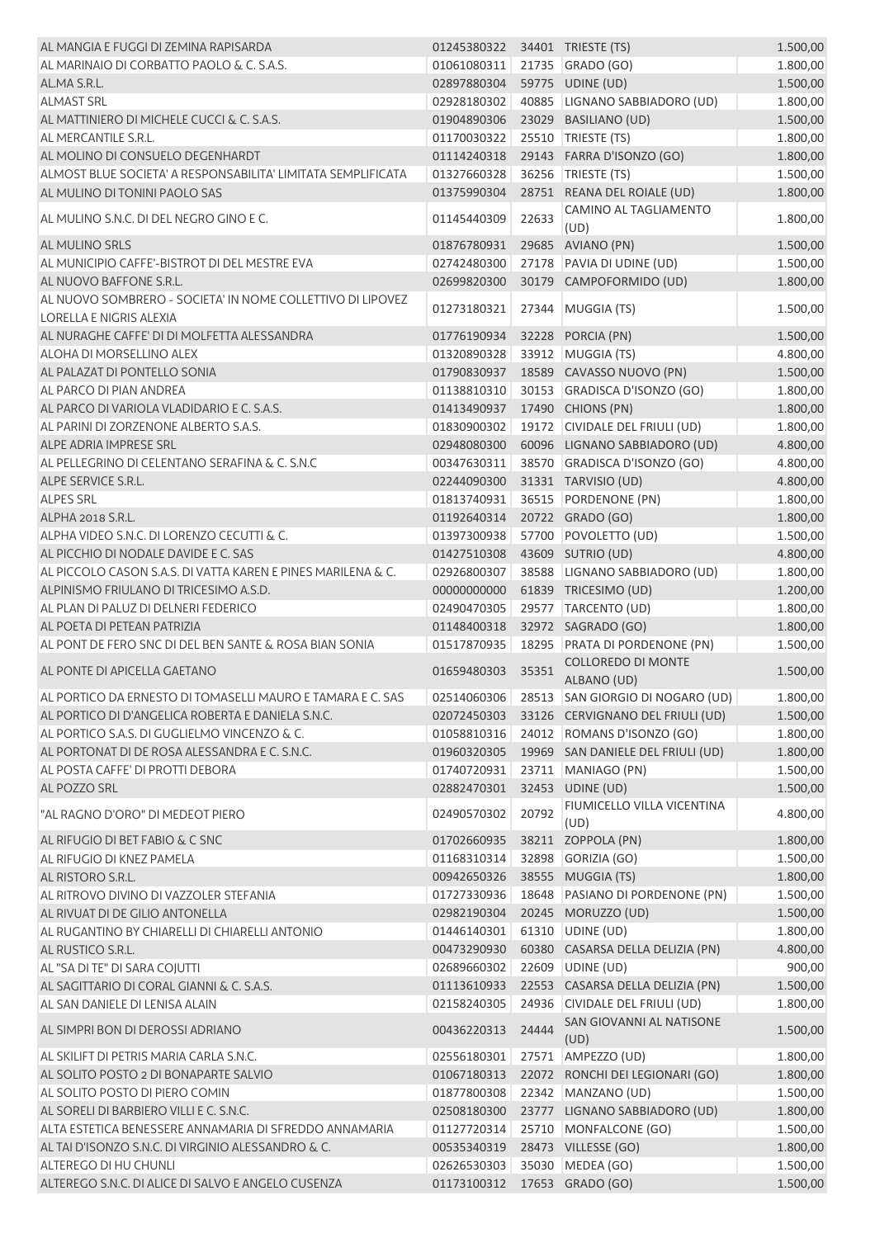| AL MANGIA E FUGGI DI ZEMINA RAPISARDA                        | 01245380322 34401 TRIESTE (TS) |       |                                              | 1.500,00 |
|--------------------------------------------------------------|--------------------------------|-------|----------------------------------------------|----------|
| AL MARINAIO DI CORBATTO PAOLO & C. S.A.S.                    | 01061080311                    |       | 21735 GRADO (GO)                             | 1.800,00 |
| AL.MA S.R.L.                                                 | 02897880304                    |       | 59775 UDINE (UD)                             | 1.500,00 |
| <b>ALMAST SRL</b>                                            | 02928180302                    |       | 40885 LIGNANO SABBIADORO (UD)                | 1.800,00 |
| AL MATTINIERO DI MICHELE CUCCI & C. S.A.S.                   | 01904890306                    |       | 23029 BASILIANO (UD)                         | 1.500,00 |
| AL MERCANTILE S.R.L.                                         | 01170030322                    |       | 25510 TRIESTE (TS)                           | 1.800,00 |
| AL MOLINO DI CONSUELO DEGENHARDT                             | 01114240318                    |       | 29143 FARRA D'ISONZO (GO)                    | 1.800,00 |
| ALMOST BLUE SOCIETA' A RESPONSABILITA' LIMITATA SEMPLIFICATA | 01327660328                    |       | 36256 TRIESTE (TS)                           | 1.500,00 |
| AL MULINO DI TONINI PAOLO SAS                                | 01375990304                    |       | 28751 REANA DEL ROIALE (UD)                  | 1.800,00 |
|                                                              |                                |       | CAMINO AL TAGLIAMENTO                        |          |
| AL MULINO S.N.C. DI DEL NEGRO GINO E C.                      | 01145440309                    | 22633 | (UD)                                         | 1.800,00 |
| AL MULINO SRLS                                               | 01876780931                    |       | 29685 AVIANO (PN)                            | 1.500,00 |
| AL MUNICIPIO CAFFE'-BISTROT DI DEL MESTRE EVA                | 02742480300                    |       | 27178 PAVIA DI UDINE (UD)                    | 1.500,00 |
| AL NUOVO BAFFONE S.R.L.                                      | 02699820300                    |       | 30179 CAMPOFORMIDO (UD)                      | 1.800,00 |
| AL NUOVO SOMBRERO - SOCIETA' IN NOME COLLETTIVO DI LIPOVEZ   | 01273180321                    | 27344 | MUGGIA (TS)                                  | 1.500,00 |
| <b>LORELLA E NIGRIS ALEXIA</b>                               |                                |       |                                              |          |
| AL NURAGHE CAFFE' DI DI MOLFETTA ALESSANDRA                  | 01776190934                    |       | 32228 PORCIA (PN)                            | 1.500,00 |
| ALOHA DI MORSELLINO ALEX                                     | 01320890328                    |       | 33912 MUGGIA (TS)                            | 4.800,00 |
| AL PALAZAT DI PONTELLO SONIA                                 | 01790830937                    |       | 18589 CAVASSO NUOVO (PN)                     | 1.500,00 |
| AL PARCO DI PIAN ANDREA                                      | 01138810310                    |       | 30153 GRADISCA D'ISONZO (GO)                 | 1.800,00 |
| AL PARCO DI VARIOLA VLADIDARIO E C. S.A.S.                   | 01413490937                    |       | 17490 CHIONS (PN)                            | 1.800,00 |
| AL PARINI DI ZORZENONE ALBERTO S.A.S.                        | 01830900302                    |       | 19172 CIVIDALE DEL FRIULI (UD)               | 1.800,00 |
| ALPE ADRIA IMPRESE SRL                                       | 02948080300                    |       | 60096 LIGNANO SABBIADORO (UD)                | 4.800,00 |
| AL PELLEGRINO DI CELENTANO SERAFINA & C. S.N.C               | 00347630311                    |       | 38570 GRADISCA D'ISONZO (GO)                 | 4.800,00 |
| ALPE SERVICE S.R.L.                                          | 02244090300                    |       | 31331 TARVISIO (UD)                          | 4.800,00 |
| <b>ALPES SRL</b>                                             | 01813740931                    |       | 36515 PORDENONE (PN)                         | 1.800,00 |
| ALPHA 2018 S.R.L.                                            | 01192640314                    |       | 20722 GRADO (GO)                             | 1.800,00 |
| ALPHA VIDEO S.N.C. DI LORENZO CECUTTI & C.                   | 01397300938                    |       | 57700 POVOLETTO (UD)                         | 1.500,00 |
| AL PICCHIO DI NODALE DAVIDE E C. SAS                         | 01427510308                    |       | 43609 SUTRIO (UD)                            | 4.800,00 |
| AL PICCOLO CASON S.A.S. DI VATTA KAREN E PINES MARILENA & C. |                                |       | 38588 LIGNANO SABBIADORO (UD)                |          |
|                                                              | 02926800307                    |       |                                              | 1.800,00 |
| ALPINISMO FRIULANO DI TRICESIMO A.S.D.                       | 00000000000                    |       | 61839 TRICESIMO (UD)                         | 1.200,00 |
| AL PLAN DI PALUZ DI DELNERI FEDERICO                         | 02490470305                    |       | 29577 TARCENTO (UD)                          | 1.800,00 |
| AL POETA DI PETEAN PATRIZIA                                  | 01148400318                    |       | 32972 SAGRADO (GO)                           | 1.800,00 |
| AL PONT DE FERO SNC DI DEL BEN SANTE & ROSA BIAN SONIA       | 01517870935                    |       | 18295 PRATA DI PORDENONE (PN)                | 1.500,00 |
| AL PONTE DI APICELLA GAETANO                                 | 01659480303                    | 35351 | COLLOREDO DI MONTE<br>ALBANO (UD)            | 1.500,00 |
| AL PORTICO DA ERNESTO DI TOMASELLI MAURO E TAMARA E C. SAS   |                                |       | 02514060306 28513 SAN GIORGIO DI NOGARO (UD) | 1.800,00 |
| AL PORTICO DI D'ANGELICA ROBERTA E DANIELA S.N.C.            |                                |       | 02072450303 33126 CERVIGNANO DEL FRIULI (UD) | 1.500,00 |
| AL PORTICO S.A.S. DI GUGLIELMO VINCENZO & C.                 | 01058810316                    |       | 24012 ROMANS D'ISONZO (GO)                   | 1.800,00 |
| AL PORTONAT DI DE ROSA ALESSANDRA E C. S.N.C.                | 01960320305                    |       | 19969 SAN DANIELE DEL FRIULI (UD)            | 1.800,00 |
| AL POSTA CAFFE' DI PROTTI DEBORA                             | 01740720931                    |       | 23711 MANIAGO (PN)                           | 1.500,00 |
| AL POZZO SRL                                                 | 02882470301                    |       | 32453 UDINE (UD)                             | 1.500,00 |
|                                                              |                                |       | FIUMICELLO VILLA VICENTINA                   |          |
| "AL RAGNO D'ORO" DI MEDEOT PIERO                             | 02490570302                    | 20792 | (UD)                                         | 4.800,00 |
| AL RIFUGIO DI BET FABIO & C SNC                              | 01702660935                    |       | 38211 ZOPPOLA (PN)                           | 1.800,00 |
| AL RIFUGIO DI KNEZ PAMELA                                    | 01168310314                    |       | 32898 GORIZIA (GO)                           | 1.500,00 |
| AL RISTORO S.R.L.                                            | 00942650326                    |       | 38555 MUGGIA (TS)                            | 1.800,00 |
| AL RITROVO DIVINO DI VAZZOLER STEFANIA                       | 01727330936                    |       | 18648 PASIANO DI PORDENONE (PN)              | 1.500,00 |
| AL RIVUAT DI DE GILIO ANTONELLA                              | 02982190304                    |       | 20245 MORUZZO (UD)                           | 1.500,00 |
| AL RUGANTINO BY CHIARELLI DI CHIARELLI ANTONIO               | 01446140301                    |       | 61310 UDINE (UD)                             | 1.800,00 |
| AL RUSTICO S.R.L.                                            | 00473290930                    |       | 60380 CASARSA DELLA DELIZIA (PN)             | 4.800,00 |
| AL "SA DI TE" DI SARA COJUTTI                                | 02689660302                    |       | 22609 UDINE (UD)                             | 900,00   |
| AL SAGITTARIO DI CORAL GIANNI & C. S.A.S.                    | 01113610933                    |       | 22553 CASARSA DELLA DELIZIA (PN)             | 1.500,00 |
| AL SAN DANIELE DI LENISA ALAIN                               | 02158240305                    |       | 24936 CIVIDALE DEL FRIULI (UD)               | 1.800,00 |
|                                                              |                                |       | SAN GIOVANNI AL NATISONE                     |          |
| AL SIMPRI BON DI DEROSSI ADRIANO                             | 00436220313                    | 24444 | (UD)                                         | 1.500,00 |
| AL SKILIFT DI PETRIS MARIA CARLA S.N.C.                      | 02556180301                    |       | 27571   AMPEZZO (UD)                         | 1.800,00 |
| AL SOLITO POSTO 2 DI BONAPARTE SALVIO                        | 01067180313                    |       | 22072 RONCHI DEI LEGIONARI (GO)              | 1.800,00 |
| AL SOLITO POSTO DI PIERO COMIN                               | 01877800308                    |       | 22342 MANZANO (UD)                           | 1.500,00 |
| AL SORELI DI BARBIERO VILLI E C. S.N.C.                      | 02508180300                    |       | 23777 LIGNANO SABBIADORO (UD)                | 1.800,00 |
| ALTA ESTETICA BENESSERE ANNAMARIA DI SFREDDO ANNAMARIA       | 01127720314                    |       | 25710 MONFALCONE (GO)                        | 1.500,00 |
| AL TAI D'ISONZO S.N.C. DI VIRGINIO ALESSANDRO & C.           | 00535340319                    |       | 28473 VILLESSE (GO)                          | 1.800,00 |
| <b>ALTEREGO DI HU CHUNLI</b>                                 | 02626530303                    |       | 35030 MEDEA (GO)                             | 1.500,00 |
| ALTEREGO S.N.C. DI ALICE DI SALVO E ANGELO CUSENZA           | 01173100312 17653 GRADO (GO)   |       |                                              | 1.500,00 |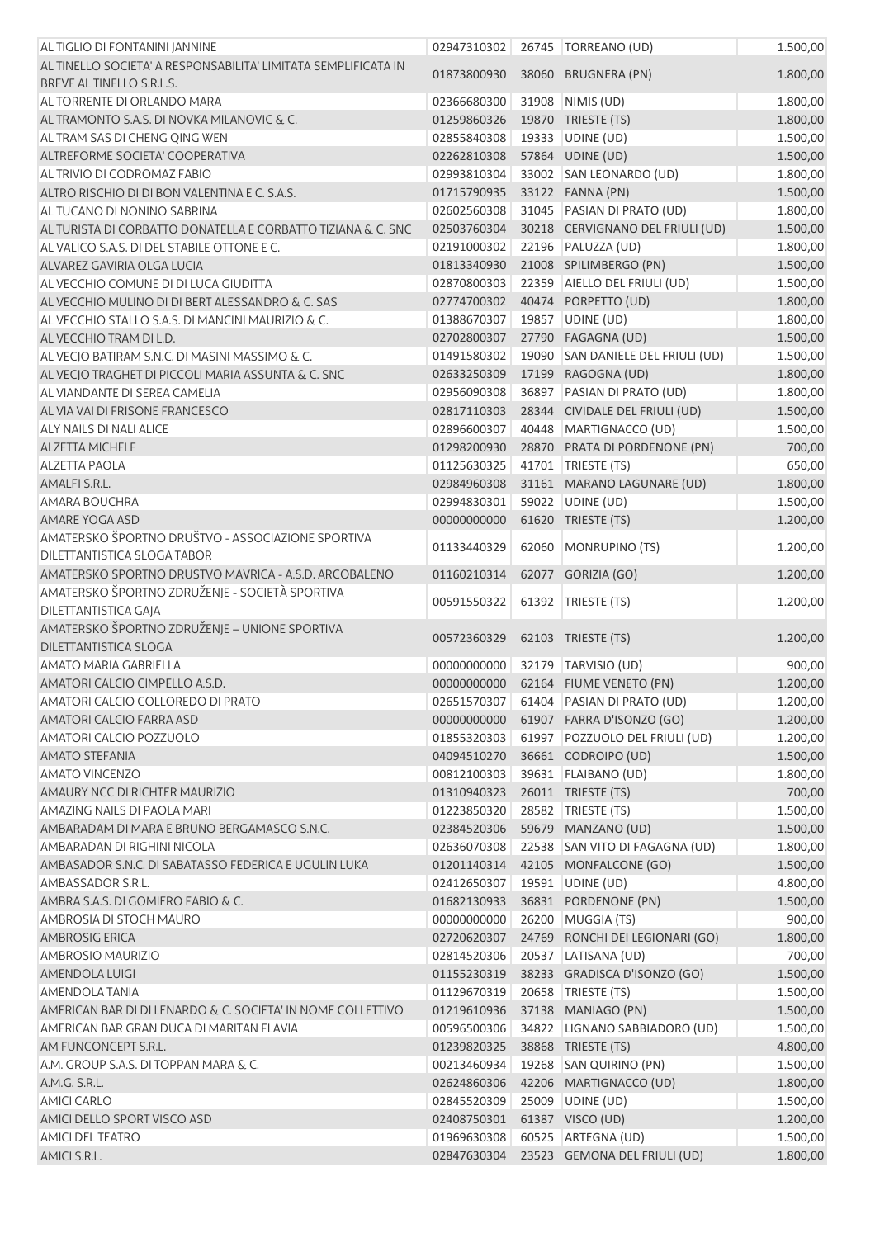| AL TIGLIO DI FONTANINI JANNINE                                                   | 02947310302 | 26745 TORREANO (UD)                    | 1.500,00 |
|----------------------------------------------------------------------------------|-------------|----------------------------------------|----------|
| AL TINELLO SOCIETA' A RESPONSABILITA' LIMITATA SEMPLIFICATA IN                   | 01873800930 | 38060 BRUGNERA (PN)                    | 1.800,00 |
| BREVE AL TINELLO S.R.L.S.                                                        |             |                                        |          |
| AL TORRENTE DI ORLANDO MARA                                                      | 02366680300 | 31908 NIMIS (UD)                       | 1.800,00 |
| AL TRAMONTO S.A.S. DI NOVKA MILANOVIC & C.                                       | 01259860326 | 19870 TRIESTE (TS)                     | 1.800,00 |
| AL TRAM SAS DI CHENG QING WEN                                                    | 02855840308 | 19333 UDINE (UD)                       | 1.500,00 |
| ALTREFORME SOCIETA' COOPERATIVA                                                  | 02262810308 | 57864 UDINE (UD)                       | 1.500,00 |
| AL TRIVIO DI CODROMAZ FABIO                                                      | 02993810304 | 33002 SAN LEONARDO (UD)                | 1.800,00 |
| ALTRO RISCHIO DI DI BON VALENTINA E C. S.A.S.                                    | 01715790935 | 33122 FANNA (PN)                       | 1.500,00 |
| AL TUCANO DI NONINO SABRINA                                                      | 02602560308 | 31045 PASIAN DI PRATO (UD)             | 1.800,00 |
| AL TURISTA DI CORBATTO DONATELLA E CORBATTO TIZIANA & C. SNC                     | 02503760304 | 30218 CERVIGNANO DEL FRIULI (UD)       | 1.500,00 |
| AL VALICO S.A.S. DI DEL STABILE OTTONE E C.                                      | 02191000302 | 22196 PALUZZA (UD)                     | 1.800,00 |
| ALVAREZ GAVIRIA OLGA LUCIA                                                       | 01813340930 | 21008 SPILIMBERGO (PN)                 | 1.500,00 |
| AL VECCHIO COMUNE DI DI LUCA GIUDITTA                                            | 02870800303 | 22359 AIELLO DEL FRIULI (UD)           | 1.500,00 |
| AL VECCHIO MULINO DI DI BERT ALESSANDRO & C. SAS                                 | 02774700302 | 40474 PORPETTO (UD)                    | 1.800,00 |
| AL VECCHIO STALLO S.A.S. DI MANCINI MAURIZIO & C.                                | 01388670307 | 19857 UDINE (UD)                       | 1.800,00 |
| AL VECCHIO TRAM DI L.D.                                                          | 02702800307 | 27790 FAGAGNA (UD)                     | 1.500,00 |
| AL VECJO BATIRAM S.N.C. DI MASINI MASSIMO & C.                                   | 01491580302 | 19090 SAN DANIELE DEL FRIULI (UD)      | 1.500,00 |
| AL VECJO TRAGHET DI PICCOLI MARIA ASSUNTA & C. SNC                               | 02633250309 | 17199 RAGOGNA (UD)                     | 1.800,00 |
| AL VIANDANTE DI SEREA CAMELIA                                                    | 02956090308 | 36897 PASIAN DI PRATO (UD)             | 1.800,00 |
| AL VIA VAI DI FRISONE FRANCESCO                                                  | 02817110303 | 28344 CIVIDALE DEL FRIULI (UD)         | 1.500,00 |
| <b>ALY NAILS DI NALI ALICE</b>                                                   | 02896600307 | 40448 MARTIGNACCO (UD)                 | 1.500,00 |
| <b>ALZETTA MICHELE</b>                                                           | 01298200930 | 28870 PRATA DI PORDENONE (PN)          | 700,00   |
| <b>ALZETTA PAOLA</b>                                                             | 01125630325 | 41701 TRIESTE (TS)                     | 650,00   |
| AMALFI S.R.L.                                                                    | 02984960308 | 31161 MARANO LAGUNARE (UD)             | 1.800,00 |
| <b>AMARA BOUCHRA</b>                                                             | 02994830301 | 59022 UDINE (UD)                       | 1.500,00 |
| AMARE YOGA ASD                                                                   | 00000000000 | 61620 TRIESTE (TS)                     | 1.200,00 |
| AMATERSKO ŠPORTNO DRUŠTVO - ASSOCIAZIONE SPORTIVA<br>DILETTANTISTICA SLOGA TABOR | 01133440329 | 62060 MONRUPINO (TS)                   | 1.200,00 |
| AMATERSKO SPORTNO DRUSTVO MAVRICA - A.S.D. ARCOBALENO                            | 01160210314 | 62077 GORIZIA (GO)                     | 1.200,00 |
| AMATERSKO ŠPORTNO ZDRUŽENJE - SOCIETÀ SPORTIVA<br>DILETTANTISTICA GAJA           | 00591550322 | 61392 TRIESTE (TS)                     | 1.200,00 |
| AMATERSKO ŠPORTNO ZDRUŽENJE - UNIONE SPORTIVA                                    | 00572360329 | 62103 TRIESTE (TS)                     | 1.200,00 |
| DILETTANTISTICA SLOGA                                                            |             |                                        |          |
| <b>AMATO MARIA GABRIELLA</b>                                                     | 00000000000 | 32179 TARVISIO (UD)                    | 900,00   |
| AMATORI CALCIO CIMPELLO A.S.D.                                                   |             | 00000000000 62164 FIUME VENETO (PN)    | 1.200,00 |
| AMATORI CALCIO COLLOREDO DI PRATO                                                |             | 02651570307 61404 PASIAN DI PRATO (UD) | 1.200,00 |
| AMATORI CALCIO FARRA ASD                                                         | 00000000000 | 61907 FARRA D'ISONZO (GO)              | 1.200,00 |
| AMATORI CALCIO POZZUOLO                                                          | 01855320303 | 61997 POZZUOLO DEL FRIULI (UD)         | 1.200,00 |
| <b>AMATO STEFANIA</b>                                                            | 04094510270 | 36661 CODROIPO (UD)                    | 1.500,00 |
| <b>AMATO VINCENZO</b>                                                            | 00812100303 | 39631 FLAIBANO (UD)                    | 1.800,00 |
| AMAURY NCC DI RICHTER MAURIZIO                                                   | 01310940323 | 26011 TRIESTE (TS)                     | 700,00   |
| AMAZING NAILS DI PAOLA MARI                                                      | 01223850320 | 28582 TRIESTE (TS)                     | 1.500,00 |
| AMBARADAM DI MARA E BRUNO BERGAMASCO S.N.C.                                      | 02384520306 | 59679 MANZANO (UD)                     | 1.500,00 |
| AMBARADAN DI RIGHINI NICOLA                                                      | 02636070308 | 22538 SAN VITO DI FAGAGNA (UD)         | 1.800,00 |
| AMBASADOR S.N.C. DI SABATASSO FEDERICA E UGULIN LUKA                             | 01201140314 | 42105 MONFALCONE (GO)                  | 1.500,00 |
| AMBASSADOR S.R.L.                                                                | 02412650307 | 19591   UDINE (UD)                     | 4.800,00 |
| AMBRA S.A.S. DI GOMIERO FABIO & C.                                               | 01682130933 | 36831 PORDENONE (PN)                   | 1.500,00 |
| AMBROSIA DI STOCH MAURO                                                          | 00000000000 | 26200 MUGGIA (TS)                      | 900,00   |
| AMBROSIG ERICA                                                                   | 02720620307 | 24769 RONCHI DEI LEGIONARI (GO)        | 1.800,00 |
| AMBROSIO MAURIZIO                                                                | 02814520306 | 20537 LATISANA (UD)                    | 700,00   |
| AMENDOLA LUIGI                                                                   | 01155230319 | 38233 GRADISCA D'ISONZO (GO)           | 1.500,00 |
| AMENDOLA TANIA                                                                   | 01129670319 | 20658 TRIESTE (TS)                     | 1.500,00 |
| AMERICAN BAR DI DI LENARDO & C. SOCIETA' IN NOME COLLETTIVO                      | 01219610936 | 37138 MANIAGO (PN)                     | 1.500,00 |
| AMERICAN BAR GRAN DUCA DI MARITAN FLAVIA                                         | 00596500306 | 34822   LIGNANO SABBIADORO (UD)        | 1.500,00 |
| AM FUNCONCEPT S.R.L.                                                             | 01239820325 | 38868 TRIESTE (TS)                     | 4.800,00 |
| A.M. GROUP S.A.S. DI TOPPAN MARA & C.                                            | 00213460934 | 19268 SAN QUIRINO (PN)                 | 1.500,00 |
| A.M.G. S.R.L.                                                                    | 02624860306 | 42206 MARTIGNACCO (UD)                 | 1.800,00 |
| <b>AMICI CARLO</b>                                                               | 02845520309 | 25009 UDINE (UD)                       | 1.500,00 |
| AMICI DELLO SPORT VISCO ASD                                                      | 02408750301 | 61387 VISCO (UD)                       | 1.200,00 |
| <b>AMICI DEL TEATRO</b>                                                          | 01969630308 | 60525 ARTEGNA (UD)                     | 1.500,00 |
| AMICI S.R.L.                                                                     | 02847630304 | 23523 GEMONA DEL FRIULI (UD)           | 1.800,00 |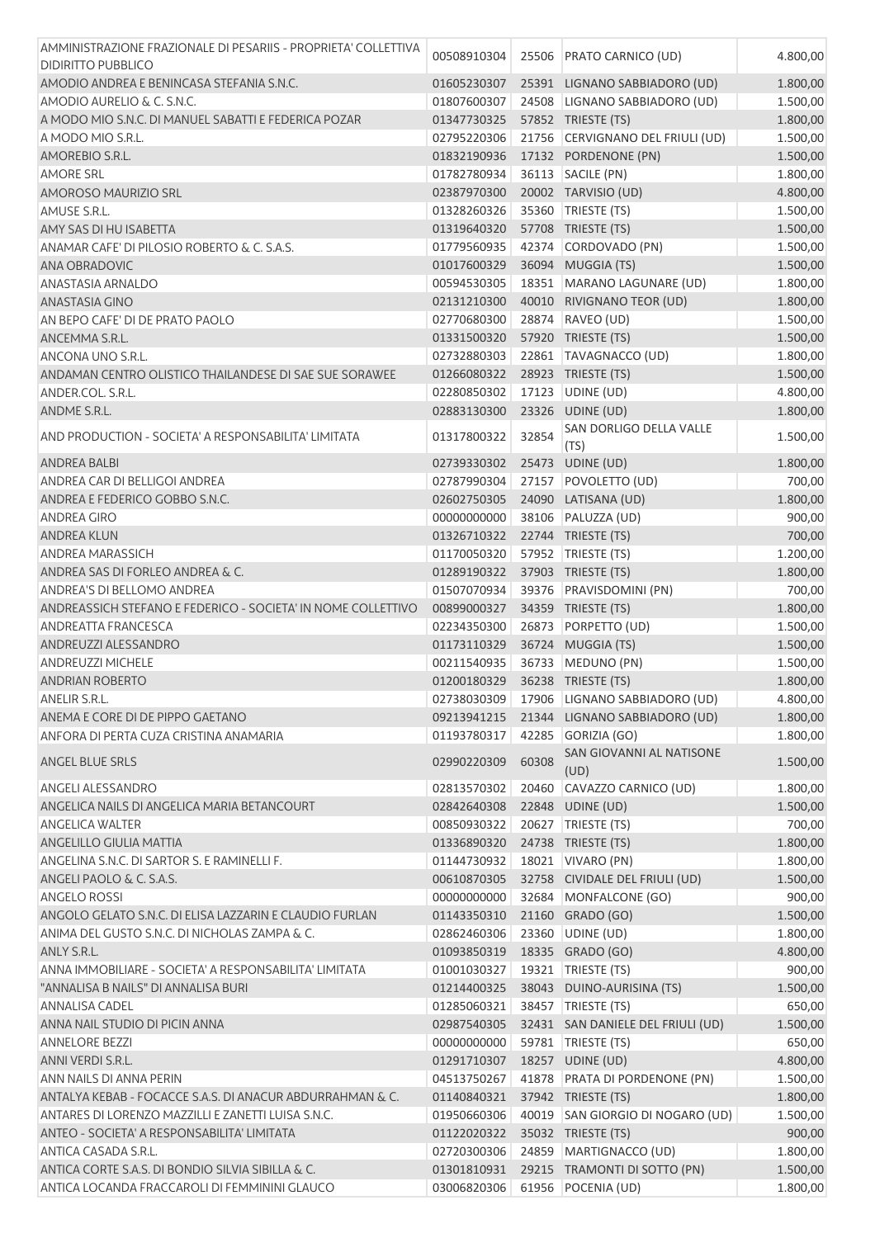| AMMINISTRAZIONE FRAZIONALE DI PESARIIS - PROPRIETA' COLLETTIVA | 00508910304 |       | 25506 PRATO CARNICO (UD)                  | 4.800,00 |
|----------------------------------------------------------------|-------------|-------|-------------------------------------------|----------|
| <b>DIDIRITTO PUBBLICO</b>                                      |             |       |                                           |          |
| AMODIO ANDREA E BENINCASA STEFANIA S.N.C.                      | 01605230307 |       | 25391 LIGNANO SABBIADORO (UD)             | 1.800,00 |
| AMODIO AURELIO & C. S.N.C.                                     | 01807600307 |       | 24508 LIGNANO SABBIADORO (UD)             | 1.500,00 |
| A MODO MIO S.N.C. DI MANUEL SABATTI E FEDERICA POZAR           | 01347730325 |       | 57852 TRIESTE (TS)                        | 1.800,00 |
| A MODO MIO S.R.L.                                              | 02795220306 |       | 21756 CERVIGNANO DEL FRIULI (UD)          | 1.500,00 |
| AMOREBIO S.R.L.                                                | 01832190936 |       | 17132 PORDENONE (PN)                      | 1.500,00 |
| <b>AMORE SRL</b>                                               | 01782780934 |       | 36113   SACILE (PN)                       | 1.800,00 |
| AMOROSO MAURIZIO SRL                                           | 02387970300 |       | 20002 TARVISIO (UD)                       | 4.800,00 |
| AMUSE S.R.L.                                                   | 01328260326 |       | 35360 TRIESTE (TS)                        | 1.500,00 |
| AMY SAS DI HU ISABETTA                                         | 01319640320 |       | 57708 TRIESTE (TS)                        | 1.500,00 |
| ANAMAR CAFE' DI PILOSIO ROBERTO & C. S.A.S.                    | 01779560935 |       | 42374 CORDOVADO (PN)                      | 1.500,00 |
| ANA OBRADOVIC                                                  | 01017600329 |       | 36094 MUGGIA (TS)                         | 1.500,00 |
| ANASTASIA ARNALDO                                              | 00594530305 |       | 18351 MARANO LAGUNARE (UD)                | 1.800,00 |
| ANASTASIA GINO                                                 | 02131210300 |       | 40010 RIVIGNANO TEOR (UD)                 | 1.800,00 |
| AN BEPO CAFE' DI DE PRATO PAOLO                                | 02770680300 |       | 28874 RAVEO (UD)                          | 1.500,00 |
| ANCEMMA S.R.L.                                                 | 01331500320 |       | 57920 TRIESTE (TS)                        | 1.500,00 |
| ANCONA UNO S.R.L.                                              | 02732880303 |       | 22861   TAVAGNACCO (UD)                   | 1.800,00 |
| ANDAMAN CENTRO OLISTICO THAILANDESE DI SAE SUE SORAWEE         | 01266080322 |       | 28923 TRIESTE (TS)                        | 1.500,00 |
| ANDER.COL. S.R.L.                                              | 02280850302 |       | 17123 UDINE (UD)                          | 4.800,00 |
| ANDME S.R.L.                                                   | 02883130300 |       | 23326 UDINE (UD)                          | 1.800,00 |
| AND PRODUCTION - SOCIETA' A RESPONSABILITA' LIMITATA           | 01317800322 | 32854 | SAN DORLIGO DELLA VALLE                   | 1.500,00 |
|                                                                |             |       | (TS)                                      |          |
| ANDREA BALBI                                                   | 02739330302 |       | 25473 UDINE (UD)                          | 1.800,00 |
| ANDREA CAR DI BELLIGOI ANDREA                                  | 02787990304 |       | 27157 POVOLETTO (UD)                      | 700,00   |
| ANDREA E FEDERICO GOBBO S.N.C.                                 | 02602750305 |       | 24090 LATISANA (UD)                       | 1.800,00 |
| <b>ANDREA GIRO</b>                                             | 00000000000 |       | 38106 PALUZZA (UD)                        | 900,00   |
| <b>ANDREA KLUN</b>                                             | 01326710322 |       | 22744 TRIESTE (TS)                        | 700,00   |
| <b>ANDREA MARASSICH</b>                                        | 01170050320 |       | 57952 TRIESTE (TS)                        | 1.200,00 |
| ANDREA SAS DI FORLEO ANDREA & C.                               | 01289190322 |       | 37903 TRIESTE (TS)                        | 1.800,00 |
| ANDREA'S DI BELLOMO ANDREA                                     | 01507070934 | 39376 | PRAVISDOMINI (PN)                         | 700,00   |
| ANDREASSICH STEFANO E FEDERICO - SOCIETA' IN NOME COLLETTIVO   | 00899000327 |       | 34359 TRIESTE (TS)                        | 1.800,00 |
| <b>ANDREATTA FRANCESCA</b>                                     | 02234350300 |       | 26873 PORPETTO (UD)                       | 1.500,00 |
| ANDREUZZI ALESSANDRO                                           | 01173110329 |       | 36724 MUGGIA (TS)                         | 1.500,00 |
| <b>ANDREUZZI MICHELE</b>                                       | 00211540935 |       | 36733 MEDUNO (PN)                         | 1.500,00 |
| <b>ANDRIAN ROBERTO</b>                                         | 01200180329 |       | 36238 TRIESTE (TS)                        | 1.800,00 |
| ANELIR S.R.L.                                                  |             |       | 02738030309 17906 LIGNANO SABBIADORO (UD) | 4.800,00 |
| ANEMA E CORE DI DE PIPPO GAETANO                               | 09213941215 |       | 21344 LIGNANO SABBIADORO (UD)             | 1.800,00 |
| ANFORA DI PERTA CUZA CRISTINA ANAMARIA                         | 01193780317 | 42285 | GORIZIA (GO)                              | 1.800,00 |
| ANGEL BLUE SRLS                                                | 02990220309 | 60308 | SAN GIOVANNI AL NATISONE<br>(UD)          | 1.500,00 |
| <b>ANGELI ALESSANDRO</b>                                       | 02813570302 | 20460 | CAVAZZO CARNICO (UD)                      | 1.800,00 |
| ANGELICA NAILS DI ANGELICA MARIA BETANCOURT                    | 02842640308 |       | 22848 UDINE (UD)                          | 1.500,00 |
| <b>ANGELICA WALTER</b>                                         | 00850930322 |       |                                           |          |
| <b>ANGELILLO GIULIA MATTIA</b>                                 |             |       | 20627 TRIESTE (TS)<br>24738 TRIESTE (TS)  | 700,00   |
| ANGELINA S.N.C. DI SARTOR S. E RAMINELLI F.                    | 01336890320 |       |                                           | 1.800,00 |
|                                                                | 01144730932 |       | 18021 VIVARO (PN)                         | 1.800,00 |
| ANGELI PAOLO & C. S.A.S.                                       | 00610870305 |       | 32758 CIVIDALE DEL FRIULI (UD)            | 1.500,00 |
| <b>ANGELO ROSSI</b>                                            | 00000000000 | 32684 | MONFALCONE (GO)                           | 900,00   |
| ANGOLO GELATO S.N.C. DI ELISA LAZZARIN E CLAUDIO FURLAN        | 01143350310 |       | 21160 GRADO (GO)                          | 1.500,00 |
| ANIMA DEL GUSTO S.N.C. DI NICHOLAS ZAMPA & C.                  | 02862460306 | 23360 | UDINE (UD)                                | 1.800,00 |
| ANLY S.R.L.                                                    | 01093850319 |       | 18335 GRADO (GO)                          | 4.800,00 |
| ANNA IMMOBILIARE - SOCIETA' A RESPONSABILITA' LIMITATA         | 01001030327 |       | 19321   TRIESTE (TS)                      | 900,00   |
| "ANNALISA B NAILS" DI ANNALISA BURI                            | 01214400325 |       | 38043 DUINO-AURISINA (TS)                 | 1.500,00 |
| <b>ANNALISA CADEL</b>                                          | 01285060321 |       | 38457 TRIESTE (TS)                        | 650,00   |
| ANNA NAIL STUDIO DI PICIN ANNA                                 | 02987540305 |       | 32431 SAN DANIELE DEL FRIULI (UD)         | 1.500,00 |
| <b>ANNELORE BEZZI</b>                                          | 00000000000 |       | 59781   TRIESTE (TS)                      | 650,00   |
| ANNI VERDI S.R.L.                                              | 01291710307 |       | 18257 UDINE (UD)                          | 4.800,00 |
| ANN NAILS DI ANNA PERIN                                        | 04513750267 |       | 41878 PRATA DI PORDENONE (PN)             | 1.500,00 |
| ANTALYA KEBAB - FOCACCE S.A.S. DI ANACUR ABDURRAHMAN & C.      | 01140840321 |       | 37942 TRIESTE (TS)                        | 1.800,00 |
| ANTARES DI LORENZO MAZZILLI E ZANETTI LUISA S.N.C.             | 01950660306 |       | 40019 SAN GIORGIO DI NOGARO (UD)          | 1.500,00 |
| ANTEO - SOCIETA' A RESPONSABILITA' LIMITATA                    | 01122020322 |       | 35032 TRIESTE (TS)                        | 900,00   |
| ANTICA CASADA S.R.L.                                           | 02720300306 |       | 24859   MARTIGNACCO (UD)                  | 1.800,00 |
| ANTICA CORTE S.A.S. DI BONDIO SILVIA SIBILLA & C.              | 01301810931 |       | 29215 TRAMONTI DI SOTTO (PN)              | 1.500,00 |
| ANTICA LOCANDA FRACCAROLI DI FEMMININI GLAUCO                  | 03006820306 |       | 61956 POCENIA (UD)                        | 1.800,00 |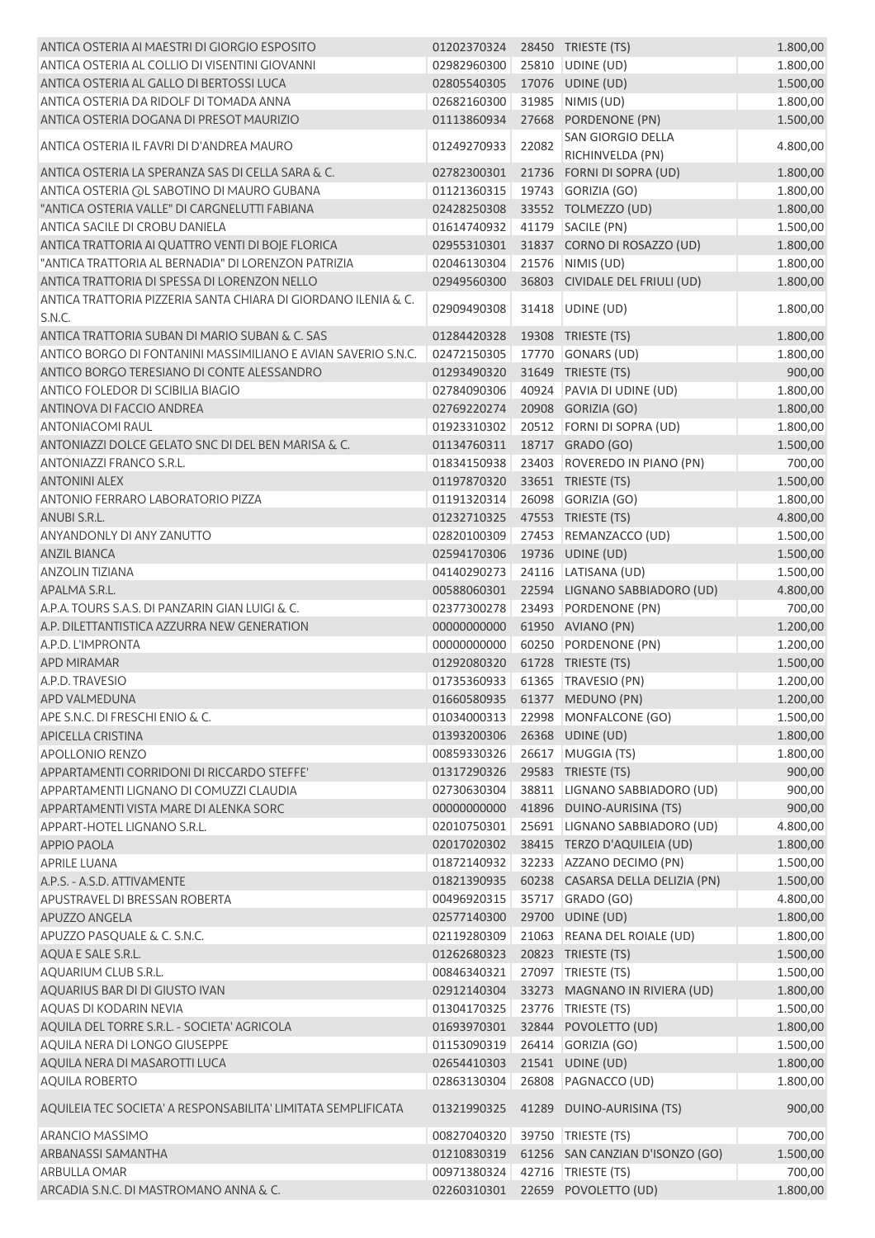| ANTICA OSTERIA AI MAESTRI DI GIORGIO ESPOSITO                  | 01202370324 28450 TRIESTE (TS) |       |                                       | 1.800,00 |
|----------------------------------------------------------------|--------------------------------|-------|---------------------------------------|----------|
| ANTICA OSTERIA AL COLLIO DI VISENTINI GIOVANNI                 | 02982960300                    |       | 25810 UDINE (UD)                      | 1.800,00 |
| ANTICA OSTERIA AL GALLO DI BERTOSSI LUCA                       | 02805540305                    |       | 17076 UDINE (UD)                      | 1.500,00 |
| ANTICA OSTERIA DA RIDOLF DI TOMADA ANNA                        | 02682160300                    |       | 31985 NIMIS (UD)                      | 1.800,00 |
| ANTICA OSTERIA DOGANA DI PRESOT MAURIZIO                       | 01113860934                    |       | 27668 PORDENONE (PN)                  | 1.500,00 |
| ANTICA OSTERIA IL FAVRI DI D'ANDREA MAURO                      | 01249270933                    | 22082 | SAN GIORGIO DELLA<br>RICHINVELDA (PN) | 4.800,00 |
| ANTICA OSTERIA LA SPERANZA SAS DI CELLA SARA & C.              | 02782300301                    |       | 21736 FORNI DI SOPRA (UD)             | 1.800,00 |
| ANTICA OSTERIA (OL SABOTINO DI MAURO GUBANA                    | 01121360315                    |       | 19743 GORIZIA (GO)                    | 1.800,00 |
| "ANTICA OSTERIA VALLE" DI CARGNELUTTI FABIANA                  | 02428250308                    |       | 33552 TOLMEZZO (UD)                   | 1.800,00 |
| ANTICA SACILE DI CROBU DANIELA                                 | 01614740932                    |       | 41179 SACILE (PN)                     | 1.500,00 |
| ANTICA TRATTORIA AI QUATTRO VENTI DI BOJE FLORICA              | 02955310301                    |       | 31837 CORNO DI ROSAZZO (UD)           | 1.800,00 |
| "ANTICA TRATTORIA AL BERNADIA" DI LORENZON PATRIZIA            | 02046130304                    |       | 21576 NIMIS (UD)                      | 1.800,00 |
| ANTICA TRATTORIA DI SPESSA DI LORENZON NELLO                   | 02949560300                    |       | 36803 CIVIDALE DEL FRIULI (UD)        | 1.800,00 |
| ANTICA TRATTORIA PIZZERIA SANTA CHIARA DI GIORDANO ILENIA & C. |                                |       |                                       |          |
| S.N.C.                                                         | 02909490308                    |       | 31418 UDINE (UD)                      | 1.800,00 |
| ANTICA TRATTORIA SUBAN DI MARIO SUBAN & C. SAS                 | 01284420328                    |       | 19308 TRIESTE (TS)                    | 1.800,00 |
| ANTICO BORGO DI FONTANINI MASSIMILIANO E AVIAN SAVERIO S.N.C.  | 02472150305                    |       | 17770 GONARS (UD)                     | 1.800,00 |
| ANTICO BORGO TERESIANO DI CONTE ALESSANDRO                     | 01293490320                    |       | 31649 TRIESTE (TS)                    | 900,00   |
| ANTICO FOLEDOR DI SCIBILIA BIAGIO                              | 02784090306                    |       | 40924 PAVIA DI UDINE (UD)             | 1.800,00 |
| ANTINOVA DI FACCIO ANDREA                                      | 02769220274                    |       | 20908 GORIZIA (GO)                    | 1.800,00 |
| <b>ANTONIACOMI RAUL</b>                                        | 01923310302                    |       | 20512 FORNI DI SOPRA (UD)             | 1.800,00 |
| ANTONIAZZI DOLCE GELATO SNC DI DEL BEN MARISA & C.             | 01134760311                    |       | 18717 GRADO (GO)                      | 1.500,00 |
| ANTONIAZZI FRANCO S.R.L.                                       | 01834150938                    |       | 23403 ROVEREDO IN PIANO (PN)          | 700,00   |
| <b>ANTONINI ALEX</b>                                           | 01197870320                    |       | 33651 TRIESTE (TS)                    | 1.500,00 |
| ANTONIO FERRARO LABORATORIO PIZZA                              | 01191320314                    |       | 26098 GORIZIA (GO)                    | 1.800,00 |
| ANUBI S.R.L.                                                   | 01232710325                    |       | 47553 TRIESTE (TS)                    | 4.800,00 |
| ANYANDONLY DI ANY ZANUTTO                                      | 02820100309                    |       | 27453 REMANZACCO (UD)                 | 1.500,00 |
| <b>ANZIL BIANCA</b>                                            | 02594170306                    |       | 19736 UDINE (UD)                      | 1.500,00 |
| <b>ANZOLIN TIZIANA</b>                                         | 04140290273                    |       | 24116 LATISANA (UD)                   | 1.500,00 |
| APALMA S.R.L.                                                  | 00588060301                    |       | 22594 LIGNANO SABBIADORO (UD)         | 4.800,00 |
| A.P.A. TOURS S.A.S. DI PANZARIN GIAN LUIGI & C.                | 02377300278                    |       | 23493 PORDENONE (PN)                  | 700,00   |
| A.P. DILETTANTISTICA AZZURRA NEW GENERATION                    | 00000000000                    |       | 61950 AVIANO (PN)                     | 1.200,00 |
| A.P.D. L'IMPRONTA                                              | 00000000000                    |       | 60250 PORDENONE (PN)                  | 1.200,00 |
| <b>APD MIRAMAR</b>                                             | 01292080320                    |       | 61728 TRIESTE (TS)                    | 1.500,00 |
| A.P.D. TRAVESIO                                                |                                |       | 01735360933 61365 TRAVESIO (PN)       | 1.200,00 |
| APD VALMEDUNA                                                  |                                |       | 01660580935 61377 MEDUNO (PN)         | 1.200,00 |
| APE S.N.C. DI FRESCHI ENIO & C.                                | 01034000313                    |       | 22998 MONFALCONE (GO)                 | 1.500,00 |
| APICELLA CRISTINA                                              | 01393200306                    |       | 26368 UDINE (UD)                      | 1.800,00 |
| APOLLONIO RENZO                                                | 00859330326                    |       | 26617 MUGGIA (TS)                     | 1.800,00 |
| APPARTAMENTI CORRIDONI DI RICCARDO STEFFE'                     | 01317290326                    |       | 29583 TRIESTE (TS)                    | 900,00   |
| APPARTAMENTI LIGNANO DI COMUZZI CLAUDIA                        | 02730630304                    |       | 38811 LIGNANO SABBIADORO (UD)         | 900,00   |
| APPARTAMENTI VISTA MARE DI ALENKA SORC                         | 00000000000                    |       | 41896 DUINO-AURISINA (TS)             | 900,00   |
| APPART-HOTEL LIGNANO S.R.L.                                    | 02010750301                    |       | 25691 LIGNANO SABBIADORO (UD)         | 4.800,00 |
| <b>APPIO PAOLA</b>                                             | 02017020302                    |       | 38415 TERZO D'AQUILEIA (UD)           | 1.800,00 |
| <b>APRILE LUANA</b>                                            | 01872140932                    |       | 32233 AZZANO DECIMO (PN)              | 1.500,00 |
| A.P.S. - A.S.D. ATTIVAMENTE                                    | 01821390935                    |       | 60238 CASARSA DELLA DELIZIA (PN)      | 1.500,00 |
| APUSTRAVEL DI BRESSAN ROBERTA                                  | 00496920315                    |       | 35717 GRADO (GO)                      | 4.800,00 |
| APUZZO ANGELA                                                  | 02577140300                    |       | 29700 UDINE (UD)                      | 1.800,00 |
| APUZZO PASQUALE & C. S.N.C.                                    | 02119280309                    |       | 21063 REANA DEL ROIALE (UD)           | 1.800,00 |
| AQUA E SALE S.R.L.                                             | 01262680323                    |       | 20823 TRIESTE (TS)                    | 1.500,00 |
| AQUARIUM CLUB S.R.L.                                           | 00846340321                    |       | 27097 TRIESTE (TS)                    | 1.500,00 |
| AQUARIUS BAR DI DI GIUSTO IVAN                                 | 02912140304                    |       | 33273 MAGNANO IN RIVIERA (UD)         | 1.800,00 |
| <b>AQUAS DI KODARIN NEVIA</b>                                  | 01304170325                    |       | 23776   TRIESTE (TS)                  | 1.500,00 |
| AQUILA DEL TORRE S.R.L. - SOCIETA' AGRICOLA                    | 01693970301                    |       | 32844 POVOLETTO (UD)                  | 1.800,00 |
| AQUILA NERA DI LONGO GIUSEPPE                                  | 01153090319                    |       | 26414 GORIZIA (GO)                    | 1.500,00 |
| AQUILA NERA DI MASAROTTI LUCA                                  | 02654410303                    |       | 21541 UDINE (UD)                      | 1.800,00 |
| <b>AQUILA ROBERTO</b>                                          | 02863130304                    |       | 26808 PAGNACCO (UD)                   | 1.800,00 |
| AQUILEIA TEC SOCIETA' A RESPONSABILITA' LIMITATA SEMPLIFICATA  | 01321990325                    |       | 41289 DUINO-AURISINA (TS)             | 900,00   |
| ARANCIO MASSIMO                                                | 00827040320                    |       | 39750   TRIESTE (TS)                  | 700,00   |
| ARBANASSI SAMANTHA                                             | 01210830319                    |       | 61256 SAN CANZIAN D'ISONZO (GO)       | 1.500,00 |
| ARBULLA OMAR                                                   | 00971380324                    |       | 42716   TRIESTE (TS)                  | 700,00   |
| ARCADIA S.N.C. DI MASTROMANO ANNA & C.                         | 02260310301                    |       | 22659 POVOLETTO (UD)                  | 1.800,00 |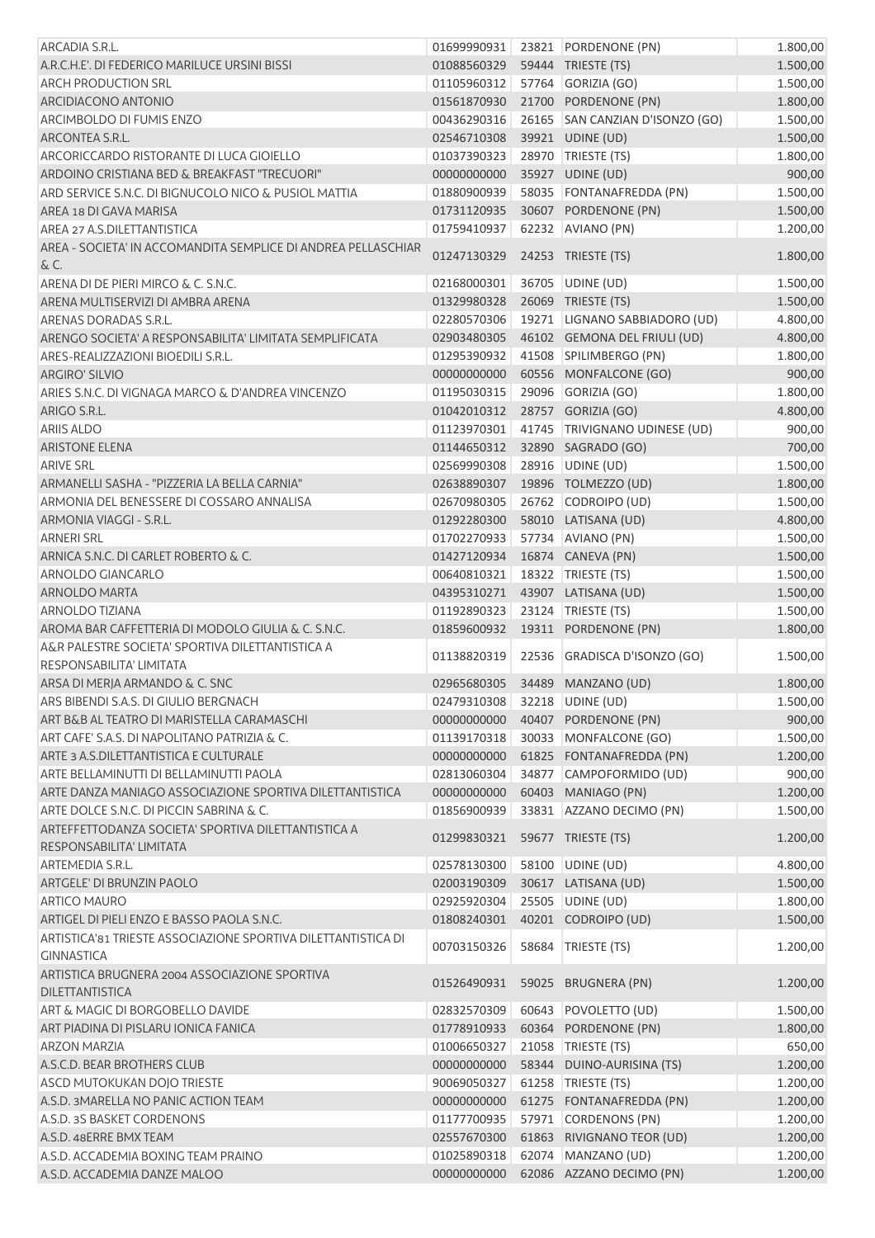| ARCADIA S.R.L.                                                                  | 01699990931 |       | 23821 PORDENONE (PN)            | 1.800,00 |
|---------------------------------------------------------------------------------|-------------|-------|---------------------------------|----------|
| A.R.C.H.E'. DI FEDERICO MARILUCE URSINI BISSI                                   | 01088560329 |       | 59444 TRIESTE (TS)              | 1.500,00 |
| <b>ARCH PRODUCTION SRL</b>                                                      | 01105960312 |       | 57764 GORIZIA (GO)              | 1.500,00 |
| ARCIDIACONO ANTONIO                                                             | 01561870930 |       | 21700 PORDENONE (PN)            | 1.800,00 |
| <b>ARCIMBOLDO DI FUMIS ENZO</b>                                                 | 00436290316 |       | 26165 SAN CANZIAN D'ISONZO (GO) | 1.500,00 |
| ARCONTEA S.R.L.                                                                 | 02546710308 |       | 39921 UDINE (UD)                | 1.500,00 |
| ARCORICCARDO RISTORANTE DI LUCA GIOIELLO                                        | 01037390323 |       | 28970 TRIESTE (TS)              | 1.800,00 |
| ARDOINO CRISTIANA BED & BREAKFAST "TRECUORI"                                    | 00000000000 |       | 35927 UDINE (UD)                | 900,00   |
| ARD SERVICE S.N.C. DI BIGNUCOLO NICO & PUSIOL MATTIA                            | 01880900939 |       | 58035 FONTANAFREDDA (PN)        | 1.500,00 |
| AREA 18 DI GAVA MARISA                                                          | 01731120935 |       | 30607 PORDENONE (PN)            | 1.500,00 |
| AREA 27 A.S.DILETTANTISTICA                                                     | 01759410937 |       | 62232 AVIANO (PN)               | 1.200,00 |
| AREA - SOCIETA' IN ACCOMANDITA SEMPLICE DI ANDREA PELLASCHIAR<br>& C.           | 01247130329 |       | 24253 TRIESTE (TS)              | 1.800,00 |
| ARENA DI DE PIERI MIRCO & C. S.N.C.                                             | 02168000301 |       | 36705 UDINE (UD)                | 1.500,00 |
| ARENA MULTISERVIZI DI AMBRA ARENA                                               | 01329980328 |       | 26069 TRIESTE (TS)              | 1.500,00 |
| ARENAS DORADAS S.R.L.                                                           | 02280570306 |       | 19271 LIGNANO SABBIADORO (UD)   | 4.800,00 |
| ARENGO SOCIETA' A RESPONSABILITA' LIMITATA SEMPLIFICATA                         | 02903480305 |       | 46102 GEMONA DEL FRIULI (UD)    | 4.800,00 |
| ARES-REALIZZAZIONI BIOEDILI S.R.L.                                              | 01295390932 |       | 41508 SPILIMBERGO (PN)          | 1.800,00 |
| ARGIRO' SILVIO                                                                  | 00000000000 |       | 60556 MONFALCONE (GO)           | 900,00   |
| ARIES S.N.C. DI VIGNAGA MARCO & D'ANDREA VINCENZO                               | 01195030315 |       | 29096 GORIZIA (GO)              | 1.800,00 |
| ARIGO S.R.L.                                                                    | 01042010312 |       | 28757 GORIZIA (GO)              | 4.800,00 |
| <b>ARIIS ALDO</b>                                                               | 01123970301 |       | 41745 TRIVIGNANO UDINESE (UD)   | 900,00   |
| <b>ARISTONE ELENA</b>                                                           | 01144650312 |       | 32890 SAGRADO (GO)              | 700,00   |
| <b>ARIVE SRL</b>                                                                | 02569990308 |       | 28916 UDINE (UD)                | 1.500,00 |
| ARMANELLI SASHA - "PIZZERIA LA BELLA CARNIA"                                    | 02638890307 |       | 19896 TOLMEZZO (UD)             | 1.800,00 |
| ARMONIA DEL BENESSERE DI COSSARO ANNALISA                                       | 02670980305 |       | 26762 CODROIPO (UD)             | 1.500,00 |
| ARMONIA VIAGGI - S.R.L.                                                         | 01292280300 |       | 58010 LATISANA (UD)             | 4.800,00 |
| <b>ARNERI SRL</b>                                                               | 01702270933 |       | 57734 AVIANO (PN)               | 1.500,00 |
| ARNICA S.N.C. DI CARLET ROBERTO & C.                                            | 01427120934 |       | 16874 CANEVA (PN)               | 1.500,00 |
| ARNOLDO GIANCARLO                                                               | 00640810321 |       | 18322 TRIESTE (TS)              | 1.500,00 |
| <b>ARNOLDO MARTA</b>                                                            | 04395310271 |       | 43907 LATISANA (UD)             | 1.500,00 |
| <b>ARNOLDO TIZIANA</b>                                                          | 01192890323 |       | 23124 TRIESTE (TS)              | 1.500,00 |
| AROMA BAR CAFFETTERIA DI MODOLO GIULIA & C. S.N.C.                              | 01859600932 |       | 19311 PORDENONE (PN)            | 1.800,00 |
| A&R PALESTRE SOCIETA' SPORTIVA DILETTANTISTICA A                                |             |       |                                 |          |
| RESPONSABILITA' LIMITATA                                                        | 01138820319 | 22536 | GRADISCA D'ISONZO (GO)          | 1.500,00 |
| ARSA DI MERJA ARMANDO & C. SNC                                                  | 02965680305 |       | 34489 MANZANO (UD)              | 1.800,00 |
| ARS BIBENDI S.A.S. DI GIULIO BERGNACH                                           | 02479310308 |       | 32218 UDINE (UD)                | 1.500,00 |
| ART B&B AL TEATRO DI MARISTELLA CARAMASCHI                                      | 00000000000 |       | 40407 PORDENONE (PN)            | 900,00   |
| ART CAFE' S.A.S. DI NAPOLITANO PATRIZIA & C.                                    | 01139170318 |       | 30033 MONFALCONE (GO)           | 1.500,00 |
| ARTE 3 A.S.DILETTANTISTICA E CULTURALE                                          | 00000000000 |       | 61825 FONTANAFREDDA (PN)        | 1.200,00 |
| ARTE BELLAMINUTTI DI BELLAMINUTTI PAOLA                                         | 02813060304 |       | 34877 CAMPOFORMIDO (UD)         | 900,00   |
| ARTE DANZA MANIAGO ASSOCIAZIONE SPORTIVA DILETTANTISTICA                        | 00000000000 |       | 60403 MANIAGO (PN)              | 1.200,00 |
| ARTE DOLCE S.N.C. DI PICCIN SABRINA & C.                                        | 01856900939 |       | 33831 AZZANO DECIMO (PN)        | 1.500,00 |
| ARTEFFETTODANZA SOCIETA' SPORTIVA DILETTANTISTICA A<br>RESPONSABILITA' LIMITATA | 01299830321 |       | 59677 TRIESTE (TS)              | 1.200,00 |
| ARTEMEDIA S.R.L.                                                                | 02578130300 |       | 58100 UDINE (UD)                | 4.800,00 |
| ARTGELE' DI BRUNZIN PAOLO                                                       | 02003190309 |       | 30617 LATISANA (UD)             | 1.500,00 |
| <b>ARTICO MAURO</b>                                                             | 02925920304 |       | 25505 UDINE (UD)                | 1.800,00 |
| ARTIGEL DI PIELI ENZO E BASSO PAOLA S.N.C.                                      | 01808240301 |       | 40201 CODROIPO (UD)             | 1.500,00 |
| ARTISTICA'81 TRIESTE ASSOCIAZIONE SPORTIVA DILETTANTISTICA DI                   | 00703150326 | 58684 | TRIESTE (TS)                    | 1.200,00 |
| <b>GINNASTICA</b>                                                               |             |       |                                 |          |
| ARTISTICA BRUGNERA 2004 ASSOCIAZIONE SPORTIVA<br><b>DILETTANTISTICA</b>         | 01526490931 |       | 59025 BRUGNERA (PN)             | 1.200,00 |
| ART & MAGIC DI BORGOBELLO DAVIDE                                                | 02832570309 |       | 60643 POVOLETTO (UD)            | 1.500,00 |
| ART PIADINA DI PISLARU IONICA FANICA                                            | 01778910933 |       | 60364 PORDENONE (PN)            | 1.800,00 |
| <b>ARZON MARZIA</b>                                                             | 01006650327 |       | 21058 TRIESTE (TS)              | 650,00   |
| A.S.C.D. BEAR BROTHERS CLUB                                                     | 00000000000 |       | 58344 DUINO-AURISINA (TS)       | 1.200,00 |
| ASCD MUTOKUKAN DOJO TRIESTE                                                     | 90069050327 |       | 61258 TRIESTE (TS)              | 1.200,00 |
| A.S.D. 3MARELLA NO PANIC ACTION TEAM                                            | 00000000000 |       | 61275 FONTANAFREDDA (PN)        | 1.200,00 |
| A.S.D. 3S BASKET CORDENONS                                                      | 01177700935 |       | 57971 CORDENONS (PN)            | 1.200,00 |
| A.S.D. 48ERRE BMX TEAM                                                          | 02557670300 |       | 61863 RIVIGNANO TEOR (UD)       | 1.200,00 |
| A.S.D. ACCADEMIA BOXING TEAM PRAINO                                             | 01025890318 |       | 62074   MANZANO (UD)            | 1.200,00 |
| A.S.D. ACCADEMIA DANZE MALOO                                                    | 00000000000 |       | 62086 AZZANO DECIMO (PN)        | 1.200,00 |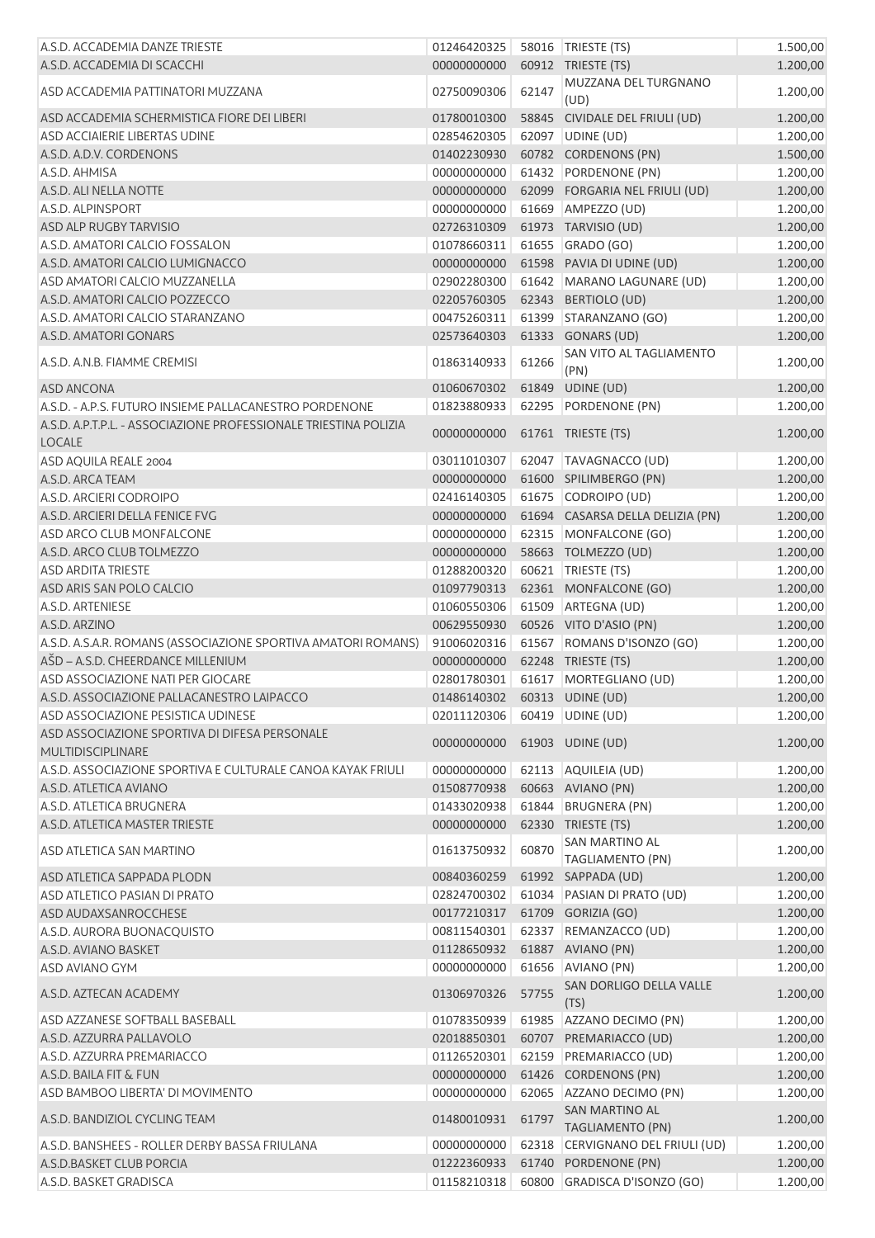| A.S.D. ACCADEMIA DANZE TRIESTE                                            | 01246420325                    |       | 58016   TRIESTE (TS)               | 1.500,00 |
|---------------------------------------------------------------------------|--------------------------------|-------|------------------------------------|----------|
| A.S.D. ACCADEMIA DI SCACCHI                                               | 00000000000                    |       | 60912 TRIESTE (TS)                 | 1.200,00 |
| ASD ACCADEMIA PATTINATORI MUZZANA                                         | 02750090306                    | 62147 | MUZZANA DEL TURGNANO<br>(UD)       | 1.200,00 |
| ASD ACCADEMIA SCHERMISTICA FIORE DEI LIBERI                               | 01780010300                    |       | 58845 CIVIDALE DEL FRIULI (UD)     | 1.200,00 |
| ASD ACCIAIERIE LIBERTAS UDINE                                             | 02854620305                    |       | 62097 UDINE (UD)                   | 1.200,00 |
| A.S.D. A.D.V. CORDENONS                                                   | 01402230930                    |       | 60782 CORDENONS (PN)               | 1.500,00 |
| A.S.D. AHMISA                                                             | 00000000000                    |       | 61432 PORDENONE (PN)               | 1.200,00 |
| A.S.D. ALI NELLA NOTTE                                                    | 00000000000                    |       | 62099 FORGARIA NEL FRIULI (UD)     | 1.200,00 |
| A.S.D. ALPINSPORT                                                         | 00000000000                    |       | 61669 AMPEZZO (UD)                 | 1.200,00 |
| ASD ALP RUGBY TARVISIO                                                    | 02726310309                    |       | 61973 TARVISIO (UD)                | 1.200,00 |
| A.S.D. AMATORI CALCIO FOSSALON                                            | 01078660311                    |       | 61655 GRADO (GO)                   | 1.200,00 |
| A.S.D. AMATORI CALCIO LUMIGNACCO                                          | 00000000000                    |       | 61598 PAVIA DI UDINE (UD)          | 1.200,00 |
| ASD AMATORI CALCIO MUZZANELLA                                             | 02902280300                    |       | 61642 MARANO LAGUNARE (UD)         | 1.200,00 |
| A.S.D. AMATORI CALCIO POZZECCO                                            | 02205760305                    |       | 62343 BERTIOLO (UD)                | 1.200,00 |
| A.S.D. AMATORI CALCIO STARANZANO                                          | 00475260311                    |       | 61399 STARANZANO (GO)              | 1.200,00 |
| A.S.D. AMATORI GONARS                                                     | 02573640303                    |       | 61333 GONARS (UD)                  | 1.200,00 |
| A.S.D. A.N.B. FIAMME CREMISI                                              | 01863140933                    | 61266 | SAN VITO AL TAGLIAMENTO<br>(PN)    | 1.200,00 |
| ASD ANCONA                                                                | 01060670302                    |       | 61849 UDINE (UD)                   | 1.200,00 |
| A.S.D. - A.P.S. FUTURO INSIEME PALLACANESTRO PORDENONE                    | 01823880933                    |       | 62295 PORDENONE (PN)               | 1.200,00 |
| A.S.D. A.P.T.P.L. - ASSOCIAZIONE PROFESSIONALE TRIESTINA POLIZIA          |                                |       |                                    |          |
| <b>LOCALE</b>                                                             | 00000000000 61761 TRIESTE (TS) |       |                                    | 1.200,00 |
| ASD AQUILA REALE 2004                                                     | 03011010307                    |       | 62047   TAVAGNACCO (UD)            | 1.200,00 |
| A.S.D. ARCA TEAM                                                          | 00000000000                    |       | 61600 SPILIMBERGO (PN)             | 1.200,00 |
| A.S.D. ARCIERI CODROIPO                                                   | 02416140305                    |       | 61675 CODROIPO (UD)                | 1.200,00 |
| A.S.D. ARCIERI DELLA FENICE FVG                                           | 00000000000                    |       | 61694 CASARSA DELLA DELIZIA (PN)   | 1.200,00 |
| ASD ARCO CLUB MONFALCONE                                                  | 00000000000                    |       | 62315 MONFALCONE (GO)              | 1.200,00 |
| A.S.D. ARCO CLUB TOLMEZZO                                                 | 00000000000                    |       | 58663 TOLMEZZO (UD)                | 1.200,00 |
| <b>ASD ARDITA TRIESTE</b>                                                 | 01288200320                    |       | 60621   TRIESTE (TS)               | 1.200,00 |
| ASD ARIS SAN POLO CALCIO                                                  | 01097790313                    |       | 62361 MONFALCONE (GO)              | 1.200,00 |
| A.S.D. ARTENIESE                                                          | 01060550306                    |       | 61509 ARTEGNA (UD)                 | 1.200,00 |
| A.S.D. ARZINO                                                             | 00629550930                    |       | 60526 VITO D'ASIO (PN)             | 1.200,00 |
| A.S.D. A.S.A.R. ROMANS (ASSOCIAZIONE SPORTIVA AMATORI ROMANS)             | 91006020316                    |       | 61567 ROMANS D'ISONZO (GO)         | 1.200,00 |
| AŠD - A.S.D. CHEERDANCE MILLENIUM                                         | 00000000000                    |       | 62248 TRIESTE (TS)                 | 1.200,00 |
| ASD ASSOCIAZIONE NATI PER GIOCARE                                         | 02801780301                    |       | 61617 MORTEGLIANO (UD)             | 1.200,00 |
| A.S.D. ASSOCIAZIONE PALLACANESTRO LAIPACCO                                |                                |       | 01486140302    60313    UDINE (UD) | 1.200,00 |
| ASD ASSOCIAZIONE PESISTICA UDINESE                                        | 02011120306                    |       | 60419 UDINE (UD)                   | 1.200,00 |
| ASD ASSOCIAZIONE SPORTIVA DI DIFESA PERSONALE<br><b>MULTIDISCIPLINARE</b> | 00000000000                    |       | 61903 UDINE (UD)                   | 1.200,00 |
| A.S.D. ASSOCIAZIONE SPORTIVA E CULTURALE CANOA KAYAK FRIULI               | 00000000000                    |       | 62113 AQUILEIA (UD)                | 1.200,00 |
| A.S.D. ATLETICA AVIANO                                                    | 01508770938                    |       | 60663 AVIANO (PN)                  | 1.200,00 |
| A.S.D. ATLETICA BRUGNERA                                                  | 01433020938                    |       | 61844 BRUGNERA (PN)                | 1.200,00 |
| A.S.D. ATLETICA MASTER TRIESTE                                            | 00000000000                    |       | 62330 TRIESTE (TS)                 | 1.200,00 |
| ASD ATLETICA SAN MARTINO                                                  | 01613750932                    | 60870 | SAN MARTINO AL<br>TAGLIAMENTO (PN) | 1.200,00 |
| ASD ATLETICA SAPPADA PLODN                                                | 00840360259                    |       | 61992 SAPPADA (UD)                 | 1.200,00 |
| ASD ATLETICO PASIAN DI PRATO                                              | 02824700302                    |       | 61034 PASIAN DI PRATO (UD)         | 1.200,00 |
| ASD AUDAXSANROCCHESE                                                      | 00177210317                    |       | 61709 GORIZIA (GO)                 | 1.200,00 |
| A.S.D. AURORA BUONACQUISTO                                                | 00811540301                    |       | 62337 REMANZACCO (UD)              | 1.200,00 |
| A.S.D. AVIANO BASKET                                                      | 01128650932                    |       | 61887 AVIANO (PN)                  | 1.200,00 |
| ASD AVIANO GYM                                                            | 00000000000                    |       | 61656 AVIANO (PN)                  | 1.200,00 |
| A.S.D. AZTECAN ACADEMY                                                    | 01306970326                    | 57755 | SAN DORLIGO DELLA VALLE<br>(TS)    | 1.200,00 |
| ASD AZZANESE SOFTBALL BASEBALL                                            | 01078350939                    |       | 61985 AZZANO DECIMO (PN)           | 1.200,00 |
| A.S.D. AZZURRA PALLAVOLO                                                  | 02018850301                    |       | 60707 PREMARIACCO (UD)             | 1.200,00 |
| A.S.D. AZZURRA PREMARIACCO                                                | 01126520301                    | 62159 | PREMARIACCO (UD)                   | 1.200,00 |
| A.S.D. BAILA FIT & FUN                                                    | 00000000000                    |       | 61426 CORDENONS (PN)               | 1.200,00 |
| ASD BAMBOO LIBERTA' DI MOVIMENTO                                          | 00000000000                    |       | 62065 AZZANO DECIMO (PN)           | 1.200,00 |
| A.S.D. BANDIZIOL CYCLING TEAM                                             | 01480010931                    | 61797 | SAN MARTINO AL                     | 1.200,00 |
|                                                                           |                                |       | TAGLIAMENTO (PN)                   |          |
| A.S.D. BANSHEES - ROLLER DERBY BASSA FRIULANA                             | 00000000000                    |       | 62318 CERVIGNANO DEL FRIULI (UD)   | 1.200,00 |
| A.S.D.BASKET CLUB PORCIA                                                  | 01222360933                    |       | 61740 PORDENONE (PN)               | 1.200,00 |
| A.S.D. BASKET GRADISCA                                                    | 01158210318                    |       | 60800 GRADISCA D'ISONZO (GO)       | 1.200,00 |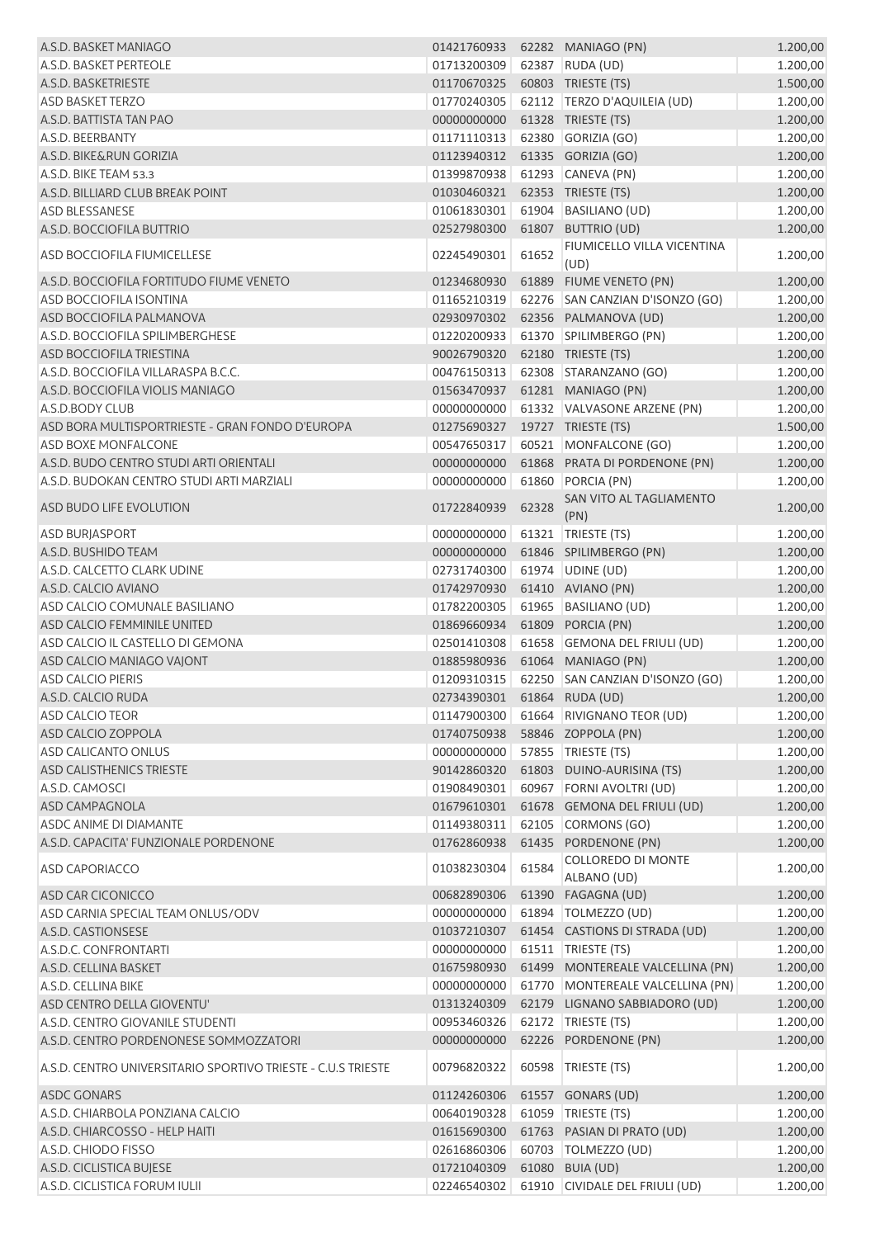| A.S.D. BASKET MANIAGO                                        | 01421760933                 |       | 62282 MANIAGO (PN)                    | 1.200,00 |
|--------------------------------------------------------------|-----------------------------|-------|---------------------------------------|----------|
| A.S.D. BASKET PERTEOLE                                       | 01713200309                 |       | 62387 RUDA (UD)                       | 1.200,00 |
| A.S.D. BASKETRIESTE                                          | 01170670325                 |       | 60803 TRIESTE (TS)                    | 1.500,00 |
| <b>ASD BASKET TERZO</b>                                      | 01770240305                 |       | 62112   TERZO D'AQUILEIA (UD)         | 1.200,00 |
| A.S.D. BATTISTA TAN PAO                                      | 00000000000                 |       | 61328 TRIESTE (TS)                    | 1.200,00 |
| A.S.D. BEERBANTY                                             | 01171110313                 |       | 62380 GORIZIA (GO)                    | 1.200,00 |
| A.S.D. BIKE&RUN GORIZIA                                      | 01123940312                 |       | 61335 GORIZIA (GO)                    | 1.200,00 |
| A.S.D. BIKE TEAM 53.3                                        | 01399870938                 |       | 61293 CANEVA (PN)                     | 1.200,00 |
| A.S.D. BILLIARD CLUB BREAK POINT                             | 01030460321                 |       | 62353 TRIESTE (TS)                    | 1.200,00 |
| <b>ASD BLESSANESE</b>                                        | 01061830301                 |       | 61904 BASILIANO (UD)                  | 1.200,00 |
| A.S.D. BOCCIOFILA BUTTRIO                                    | 02527980300                 |       | 61807 BUTTRIO (UD)                    | 1.200,00 |
|                                                              |                             |       | FIUMICELLO VILLA VICENTINA            |          |
| <b>ASD BOCCIOFILA FIUMICELLESE</b>                           | 02245490301                 | 61652 | (UD)                                  | 1.200,00 |
| A.S.D. BOCCIOFILA FORTITUDO FIUME VENETO                     | 01234680930                 | 61889 | FIUME VENETO (PN)                     | 1.200,00 |
| ASD BOCCIOFILA ISONTINA                                      | 01165210319                 |       | 62276 SAN CANZIAN D'ISONZO (GO)       | 1.200,00 |
| ASD BOCCIOFILA PALMANOVA                                     | 02930970302                 |       | 62356 PALMANOVA (UD)                  | 1.200,00 |
| A.S.D. BOCCIOFILA SPILIMBERGHESE                             | 01220200933                 |       | 61370 SPILIMBERGO (PN)                | 1.200,00 |
| ASD BOCCIOFILA TRIESTINA                                     | 90026790320                 |       | 62180 TRIESTE (TS)                    | 1.200,00 |
| A.S.D. BOCCIOFILA VILLARASPA B.C.C.                          | 00476150313                 |       | 62308 STARANZANO (GO)                 | 1.200,00 |
| A.S.D. BOCCIOFILA VIOLIS MANIAGO                             | 01563470937                 |       | 61281 MANIAGO (PN)                    | 1.200,00 |
| A.S.D.BODY CLUB                                              | 00000000000                 |       | 61332 VALVASONE ARZENE (PN)           | 1.200,00 |
| ASD BORA MULTISPORTRIESTE - GRAN FONDO D'EUROPA              | 01275690327                 |       | 19727 TRIESTE (TS)                    | 1.500,00 |
| <b>ASD BOXE MONFALCONE</b>                                   | 00547650317                 |       | 60521 MONFALCONE (GO)                 | 1.200,00 |
| A.S.D. BUDO CENTRO STUDI ARTI ORIENTALI                      | 00000000000                 |       | 61868 PRATA DI PORDENONE (PN)         | 1.200,00 |
| A.S.D. BUDOKAN CENTRO STUDI ARTI MARZIALI                    | 00000000000                 |       | 61860 PORCIA (PN)                     | 1.200,00 |
|                                                              |                             |       | SAN VITO AL TAGLIAMENTO               |          |
| ASD BUDO LIFE EVOLUTION                                      | 01722840939                 | 62328 | (PN)                                  | 1.200,00 |
| <b>ASD BURJASPORT</b>                                        | 00000000000                 |       | 61321 TRIESTE (TS)                    | 1.200,00 |
| A.S.D. BUSHIDO TEAM                                          | 00000000000                 |       | 61846 SPILIMBERGO (PN)                | 1.200,00 |
| A.S.D. CALCETTO CLARK UDINE                                  | 02731740300                 |       | 61974 UDINE (UD)                      | 1.200,00 |
| A.S.D. CALCIO AVIANO                                         | 01742970930                 |       | 61410 AVIANO (PN)                     | 1.200,00 |
| ASD CALCIO COMUNALE BASILIANO                                | 01782200305                 |       | 61965 BASILIANO (UD)                  | 1.200,00 |
| ASD CALCIO FEMMINILE UNITED                                  | 01869660934                 |       | 61809 PORCIA (PN)                     | 1.200,00 |
| ASD CALCIO IL CASTELLO DI GEMONA                             | 02501410308                 |       | 61658 GEMONA DEL FRIULI (UD)          | 1.200,00 |
| ASD CALCIO MANIAGO VAJONT                                    | 01885980936                 |       | 61064 MANIAGO (PN)                    | 1.200,00 |
| <b>ASD CALCIO PIERIS</b>                                     | 01209310315                 |       | 62250 SAN CANZIAN D'ISONZO (GO)       | 1.200,00 |
| A.S.D. CALCIO RUDA                                           | 02734390301 61864 RUDA (UD) |       |                                       | 1.200,00 |
| ASD CALCIO TEOR                                              |                             |       | 01147900300 61664 RIVIGNANO TEOR (UD) | 1.200,00 |
| ASD CALCIO ZOPPOLA                                           | 01740750938                 |       | 58846 ZOPPOLA (PN)                    | 1.200,00 |
| ASD CALICANTO ONLUS                                          | 00000000000                 |       | 57855 TRIESTE (TS)                    | 1.200,00 |
| ASD CALISTHENICS TRIESTE                                     | 90142860320                 |       | 61803 DUINO-AURISINA (TS)             | 1.200,00 |
| A.S.D. CAMOSCI                                               | 01908490301                 |       | 60967 FORNI AVOLTRI (UD)              | 1.200,00 |
| <b>ASD CAMPAGNOLA</b>                                        | 01679610301                 |       | 61678 GEMONA DEL FRIULI (UD)          | 1.200,00 |
| <b>ASDC ANIME DI DIAMANTE</b>                                | 01149380311                 |       | 62105 CORMONS (GO)                    | 1.200,00 |
| A.S.D. CAPACITA' FUNZIONALE PORDENONE                        | 01762860938                 |       | 61435 PORDENONE (PN)                  | 1.200,00 |
|                                                              |                             |       | <b>COLLOREDO DI MONTE</b>             |          |
| <b>ASD CAPORIACCO</b>                                        | 01038230304                 | 61584 | ALBANO (UD)                           | 1.200,00 |
| ASD CAR CICONICCO                                            | 00682890306                 |       | 61390 FAGAGNA (UD)                    | 1.200,00 |
| ASD CARNIA SPECIAL TEAM ONLUS/ODV                            | 00000000000                 |       | 61894   TOLMEZZO (UD)                 | 1.200,00 |
| A.S.D. CASTIONSESE                                           | 01037210307                 |       | 61454 CASTIONS DI STRADA (UD)         | 1.200,00 |
| A.S.D.C. CONFRONTARTI                                        | 00000000000                 |       | 61511   TRIESTE (TS)                  | 1.200,00 |
| A.S.D. CELLINA BASKET                                        | 01675980930                 |       | 61499 MONTEREALE VALCELLINA (PN)      | 1.200,00 |
| A.S.D. CELLINA BIKE                                          | 00000000000                 |       | 61770 MONTEREALE VALCELLINA (PN)      | 1.200,00 |
| ASD CENTRO DELLA GIOVENTU'                                   | 01313240309                 |       | 62179 LIGNANO SABBIADORO (UD)         | 1.200,00 |
| A.S.D. CENTRO GIOVANILE STUDENTI                             | 00953460326                 |       | 62172 TRIESTE (TS)                    | 1.200,00 |
| A.S.D. CENTRO PORDENONESE SOMMOZZATORI                       | 00000000000                 |       | 62226 PORDENONE (PN)                  | 1.200,00 |
|                                                              |                             |       |                                       |          |
| A.S.D. CENTRO UNIVERSITARIO SPORTIVO TRIESTE - C.U.S TRIESTE | 00796820322                 |       | 60598 TRIESTE (TS)                    | 1.200,00 |
| ASDC GONARS                                                  | 01124260306                 |       | 61557 GONARS (UD)                     | 1.200,00 |
| A.S.D. CHIARBOLA PONZIANA CALCIO                             | 00640190328                 |       | 61059 TRIESTE (TS)                    | 1.200,00 |
| A.S.D. CHIARCOSSO - HELP HAITI                               | 01615690300                 |       | 61763 PASIAN DI PRATO (UD)            | 1.200,00 |
| A.S.D. CHIODO FISSO                                          | 02616860306                 |       | 60703   TOLMEZZO (UD)                 | 1.200,00 |
| A.S.D. CICLISTICA BUJESE                                     | 01721040309                 |       | 61080 BUIA (UD)                       | 1.200,00 |
| A.S.D. CICLISTICA FORUM IULII                                | 02246540302                 |       | 61910 CIVIDALE DEL FRIULI (UD)        | 1.200,00 |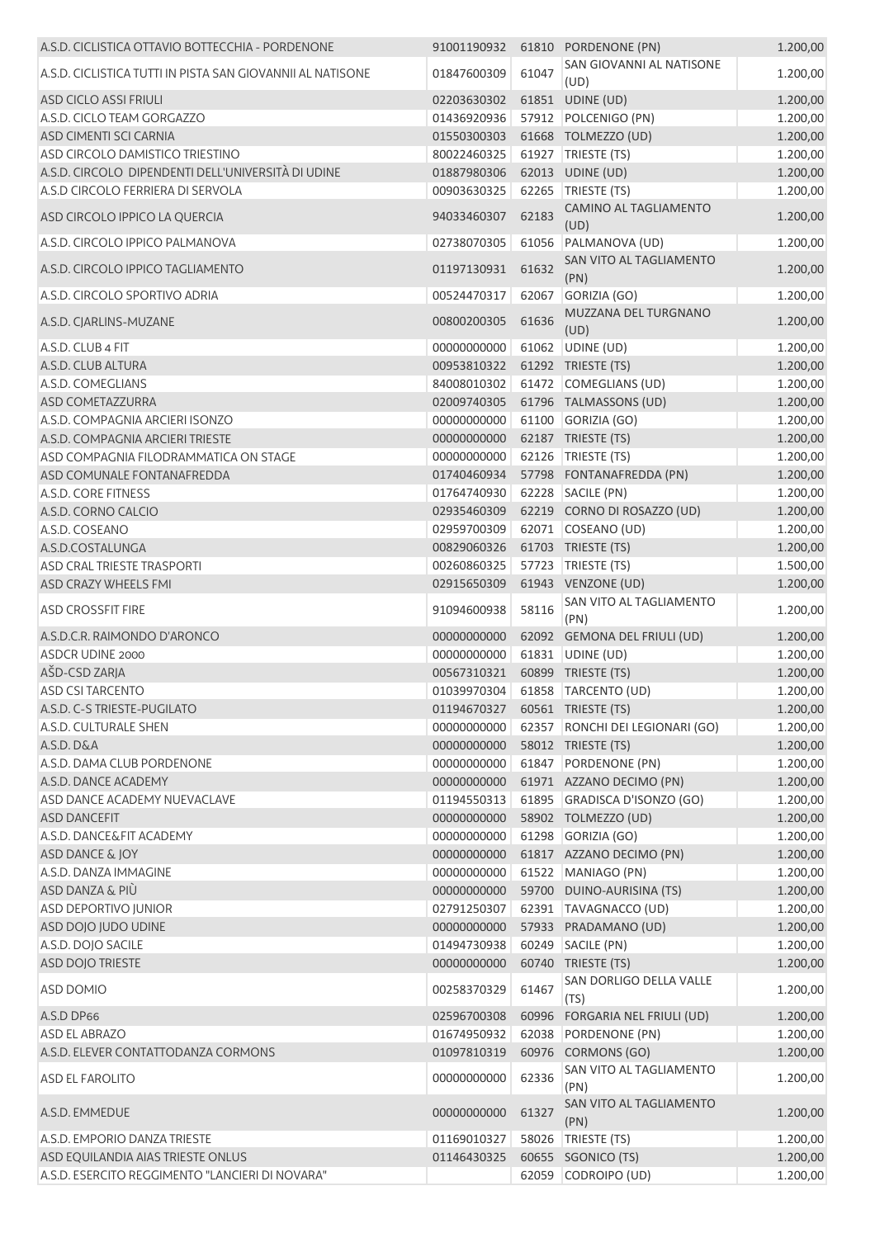| A.S.D. CICLISTICA OTTAVIO BOTTECCHIA - PORDENONE           | 91001190932 |       | 61810 PORDENONE (PN)             | 1.200,00 |
|------------------------------------------------------------|-------------|-------|----------------------------------|----------|
| A.S.D. CICLISTICA TUTTI IN PISTA SAN GIOVANNII AL NATISONE | 01847600309 | 61047 | SAN GIOVANNI AL NATISONE<br>(UD) | 1.200,00 |
| ASD CICLO ASSI FRIULI                                      | 02203630302 |       | 61851 UDINE (UD)                 | 1.200,00 |
| A.S.D. CICLO TEAM GORGAZZO                                 | 01436920936 |       | 57912 POLCENIGO (PN)             | 1.200,00 |
| ASD CIMENTI SCI CARNIA                                     | 01550300303 |       | 61668 TOLMEZZO (UD)              | 1.200,00 |
| ASD CIRCOLO DAMISTICO TRIESTINO                            | 80022460325 |       | 61927   TRIESTE (TS)             | 1.200,00 |
| A.S.D. CIRCOLO DIPENDENTI DELL'UNIVERSITÀ DI UDINE         | 01887980306 |       | 62013 UDINE (UD)                 | 1.200,00 |
| A.S.D CIRCOLO FERRIERA DI SERVOLA                          | 00903630325 |       | 62265 TRIESTE (TS)               | 1.200,00 |
| ASD CIRCOLO IPPICO LA QUERCIA                              | 94033460307 | 62183 | CAMINO AL TAGLIAMENTO<br>(UD)    | 1.200,00 |
| A.S.D. CIRCOLO IPPICO PALMANOVA                            | 02738070305 |       | 61056 PALMANOVA (UD)             | 1.200,00 |
| A.S.D. CIRCOLO IPPICO TAGLIAMENTO                          | 01197130931 | 61632 | SAN VITO AL TAGLIAMENTO<br>(PN)  | 1.200,00 |
| A.S.D. CIRCOLO SPORTIVO ADRIA                              | 00524470317 | 62067 | GORIZIA (GO)                     | 1.200,00 |
| A.S.D. CJARLINS-MUZANE                                     | 00800200305 | 61636 | MUZZANA DEL TURGNANO<br>(UD)     | 1.200,00 |
| A.S.D. CLUB 4 FIT                                          | 00000000000 |       | 61062 UDINE (UD)                 | 1.200,00 |
| A.S.D. CLUB ALTURA                                         | 00953810322 |       | 61292 TRIESTE (TS)               | 1.200,00 |
| A.S.D. COMEGLIANS                                          | 84008010302 |       | 61472 COMEGLIANS (UD)            | 1.200,00 |
| ASD COMETAZZURRA                                           | 02009740305 |       | 61796 TALMASSONS (UD)            | 1.200,00 |
| A.S.D. COMPAGNIA ARCIERI ISONZO                            | 00000000000 |       | 61100 GORIZIA (GO)               | 1.200,00 |
| A.S.D. COMPAGNIA ARCIERI TRIESTE                           | 00000000000 |       | 62187 TRIESTE (TS)               | 1.200,00 |
| ASD COMPAGNIA FILODRAMMATICA ON STAGE                      | 00000000000 |       | 62126 TRIESTE (TS)               | 1.200,00 |
| ASD COMUNALE FONTANAFREDDA                                 | 01740460934 |       | 57798 FONTANAFREDDA (PN)         | 1.200,00 |
| A.S.D. CORE FITNESS                                        | 01764740930 |       | 62228 SACILE (PN)                | 1.200,00 |
| A.S.D. CORNO CALCIO                                        | 02935460309 |       | 62219 CORNO DI ROSAZZO (UD)      | 1.200,00 |
| A.S.D. COSEANO                                             | 02959700309 |       | 62071 COSEANO (UD)               | 1.200,00 |
| A.S.D.COSTALUNGA                                           | 00829060326 |       | 61703 TRIESTE (TS)               | 1.200,00 |
| <b>ASD CRAL TRIESTE TRASPORTI</b>                          | 00260860325 |       | 57723 TRIESTE (TS)               | 1.500,00 |
| ASD CRAZY WHEELS FMI                                       | 02915650309 |       | 61943 VENZONE (UD)               | 1.200,00 |
| <b>ASD CROSSFIT FIRE</b>                                   | 91094600938 | 58116 | SAN VITO AL TAGLIAMENTO<br>(PN)  | 1.200,00 |
| A.S.D.C.R. RAIMONDO D'ARONCO                               | 00000000000 |       | 62092 GEMONA DEL FRIULI (UD)     | 1.200,00 |
| ASDCR UDINE 2000                                           | 00000000000 |       | 61831 UDINE (UD)                 | 1.200,00 |
| AŠD-CSD ZARJA                                              | 00567310321 |       | 60899 TRIESTE (TS)               | 1.200,00 |
| <b>ASD CSI TARCENTO</b>                                    | 01039970304 |       | 61858 TARCENTO (UD)              | 1.200,00 |
| A.S.D. C-S TRIESTE-PUGILATO                                | 01194670327 |       | 60561 TRIESTE (TS)               | 1.200,00 |
| A.S.D. CULTURALE SHEN                                      | 00000000000 |       | 62357 RONCHI DEI LEGIONARI (GO)  | 1.200,00 |
| A.S.D. D&A                                                 | 00000000000 |       | 58012 TRIESTE (TS)               | 1.200,00 |
| A.S.D. DAMA CLUB PORDENONE                                 | 00000000000 |       | 61847 PORDENONE (PN)             | 1.200,00 |
| A.S.D. DANCE ACADEMY                                       | 00000000000 |       | 61971 AZZANO DECIMO (PN)         | 1.200,00 |
| ASD DANCE ACADEMY NUEVACLAVE                               | 01194550313 |       | 61895 GRADISCA D'ISONZO (GO)     | 1.200,00 |
| <b>ASD DANCEFIT</b>                                        | 00000000000 |       | 58902 TOLMEZZO (UD)              | 1.200,00 |
| A.S.D. DANCE&FIT ACADEMY                                   | 00000000000 |       | 61298 GORIZIA (GO)               | 1.200,00 |
| ASD DANCE & JOY                                            | 00000000000 |       | 61817 AZZANO DECIMO (PN)         | 1.200,00 |
| A.S.D. DANZA IMMAGINE                                      | 00000000000 |       | 61522 MANIAGO (PN)               | 1.200,00 |
| ASD DANZA & PIÙ                                            | 00000000000 |       | 59700 DUINO-AURISINA (TS)        | 1.200,00 |
| <b>ASD DEPORTIVO JUNIOR</b>                                | 02791250307 |       | 62391 TAVAGNACCO (UD)            | 1.200,00 |
| ASD DOJO JUDO UDINE                                        | 00000000000 |       | 57933 PRADAMANO (UD)             | 1.200,00 |
| A.S.D. DOJO SACILE                                         | 01494730938 |       | 60249 SACILE (PN)                | 1.200,00 |
| ASD DOJO TRIESTE                                           | 00000000000 |       | 60740 TRIESTE (TS)               | 1.200,00 |
| ASD DOMIO                                                  | 00258370329 | 61467 | SAN DORLIGO DELLA VALLE<br>(TS)  | 1.200,00 |
| A.S.D DP66                                                 | 02596700308 |       | 60996 FORGARIA NEL FRIULI (UD)   | 1.200,00 |
| <b>ASD EL ABRAZO</b>                                       | 01674950932 |       | 62038 PORDENONE (PN)             | 1.200,00 |
| A.S.D. ELEVER CONTATTODANZA CORMONS                        | 01097810319 |       | 60976 CORMONS (GO)               | 1.200,00 |
| ASD EL FAROLITO                                            | 00000000000 | 62336 | SAN VITO AL TAGLIAMENTO<br>(PN)  | 1.200,00 |
| A.S.D. EMMEDUE                                             | 00000000000 | 61327 | SAN VITO AL TAGLIAMENTO<br>(PN)  | 1.200,00 |
| A.S.D. EMPORIO DANZA TRIESTE                               | 01169010327 |       | 58026 TRIESTE (TS)               | 1.200,00 |
| ASD EQUILANDIA AIAS TRIESTE ONLUS                          | 01146430325 |       | 60655 SGONICO (TS)               | 1.200,00 |
| A.S.D. ESERCITO REGGIMENTO "LANCIERI DI NOVARA"            |             |       | 62059 CODROIPO (UD)              | 1.200,00 |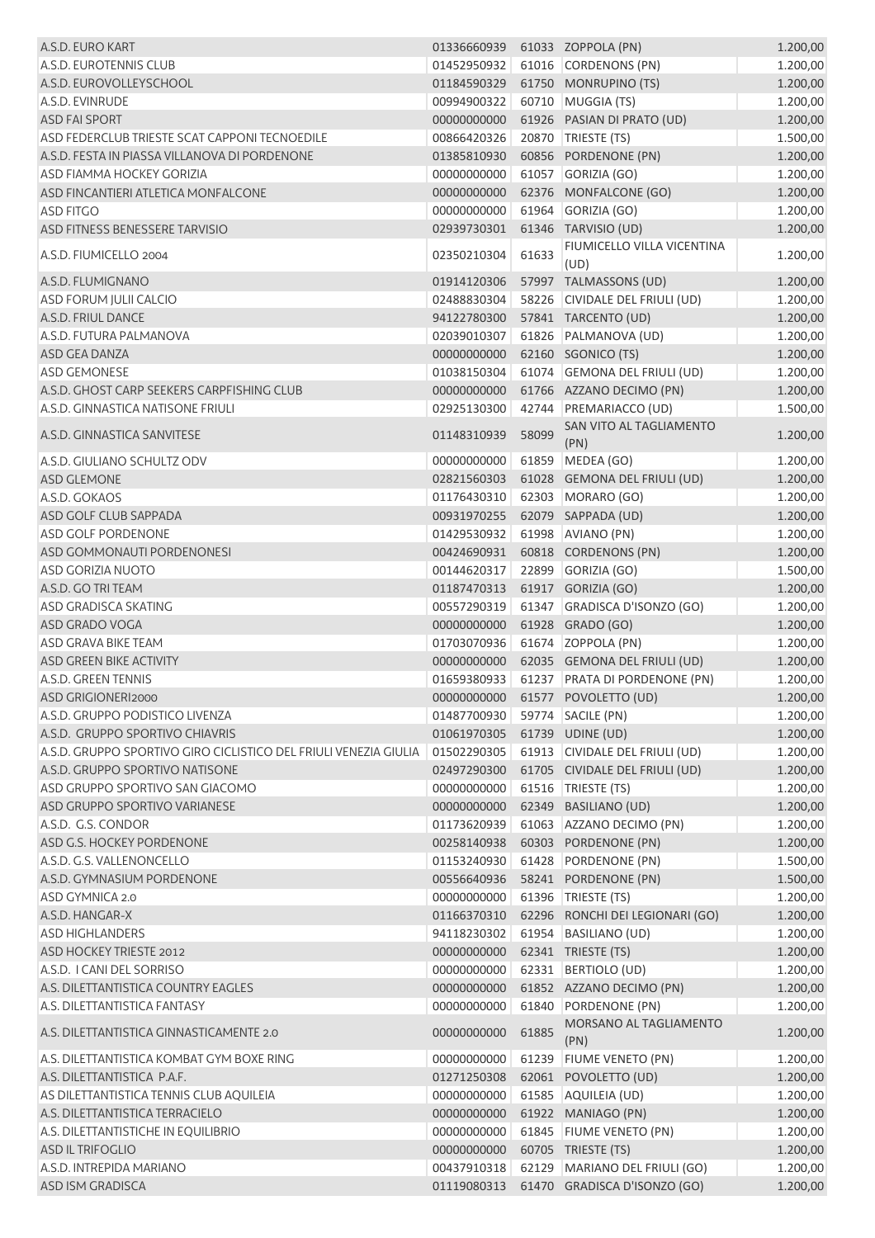| A.S.D. EURO KART                                                 | 01336660939 61033 ZOPPOLA (PN) |       |                                  | 1.200,00 |
|------------------------------------------------------------------|--------------------------------|-------|----------------------------------|----------|
| A.S.D. EUROTENNIS CLUB                                           | 01452950932                    |       | 61016 CORDENONS (PN)             | 1.200,00 |
| A.S.D. EUROVOLLEYSCHOOL                                          | 01184590329                    |       | 61750 MONRUPINO (TS)             | 1.200,00 |
| A.S.D. EVINRUDE                                                  | 00994900322                    |       | 60710 MUGGIA (TS)                | 1.200,00 |
| <b>ASD FAI SPORT</b>                                             | 00000000000                    |       | 61926 PASIAN DI PRATO (UD)       | 1.200,00 |
| ASD FEDERCLUB TRIESTE SCAT CAPPONI TECNOEDILE                    | 00866420326                    |       | 20870 TRIESTE (TS)               | 1.500,00 |
| A.S.D. FESTA IN PIASSA VILLANOVA DI PORDENONE                    | 01385810930                    |       | 60856 PORDENONE (PN)             | 1.200,00 |
| <b>ASD FIAMMA HOCKEY GORIZIA</b>                                 | 00000000000                    |       | 61057 GORIZIA (GO)               | 1.200,00 |
| ASD FINCANTIERI ATLETICA MONFALCONE                              | 00000000000                    |       | 62376 MONFALCONE (GO)            | 1.200,00 |
| <b>ASD FITGO</b>                                                 | 00000000000                    |       | 61964 GORIZIA (GO)               | 1.200,00 |
| ASD FITNESS BENESSERE TARVISIO                                   | 02939730301                    |       | 61346 TARVISIO (UD)              | 1.200,00 |
|                                                                  |                                |       | FIUMICELLO VILLA VICENTINA       |          |
| A.S.D. FIUMICELLO 2004                                           | 02350210304                    | 61633 | (UD)                             | 1.200,00 |
| A.S.D. FLUMIGNANO                                                | 01914120306                    |       | 57997 TALMASSONS (UD)            | 1.200,00 |
| <b>ASD FORUM JULII CALCIO</b>                                    | 02488830304                    |       | 58226 CIVIDALE DEL FRIULI (UD)   | 1.200,00 |
| A.S.D. FRIUL DANCE                                               | 94122780300                    |       | 57841 TARCENTO (UD)              | 1.200,00 |
| A.S.D. FUTURA PALMANOVA                                          | 02039010307                    |       | 61826 PALMANOVA (UD)             | 1.200,00 |
| ASD GEA DANZA                                                    | 00000000000                    |       | 62160 SGONICO (TS)               | 1.200,00 |
| <b>ASD GEMONESE</b>                                              | 01038150304                    |       | 61074 GEMONA DEL FRIULI (UD)     | 1.200,00 |
| A.S.D. GHOST CARP SEEKERS CARPFISHING CLUB                       | 00000000000                    |       | 61766 AZZANO DECIMO (PN)         | 1.200,00 |
|                                                                  | 02925130300                    |       |                                  |          |
| A.S.D. GINNASTICA NATISONE FRIULI                                |                                |       | 42744 PREMARIACCO (UD)           | 1.500,00 |
| A.S.D. GINNASTICA SANVITESE                                      | 01148310939                    | 58099 | SAN VITO AL TAGLIAMENTO<br>(PN)  | 1.200,00 |
| A.S.D. GIULIANO SCHULTZ ODV                                      | 00000000000                    |       | 61859 MEDEA (GO)                 | 1.200,00 |
| ASD GLEMONE                                                      | 02821560303                    |       | 61028 GEMONA DEL FRIULI (UD)     | 1.200,00 |
| A.S.D. GOKAOS                                                    | 01176430310                    |       | 62303 MORARO (GO)                | 1.200,00 |
| ASD GOLF CLUB SAPPADA                                            | 00931970255                    |       | 62079 SAPPADA (UD)               | 1.200,00 |
| ASD GOLF PORDENONE                                               | 01429530932                    |       | 61998 AVIANO (PN)                | 1.200,00 |
|                                                                  |                                |       | 60818 CORDENONS (PN)             |          |
| ASD GOMMONAUTI PORDENONESI                                       | 00424690931                    |       |                                  | 1.200,00 |
| <b>ASD GORIZIA NUOTO</b>                                         | 00144620317                    |       | 22899 GORIZIA (GO)               | 1.500,00 |
| A.S.D. GO TRI TEAM                                               | 01187470313                    |       | 61917 GORIZIA (GO)               | 1.200,00 |
| ASD GRADISCA SKATING                                             | 00557290319                    |       | 61347 GRADISCA D'ISONZO (GO)     | 1.200,00 |
| ASD GRADO VOGA                                                   | 00000000000                    |       | 61928 GRADO (GO)                 | 1.200,00 |
| ASD GRAVA BIKE TEAM                                              | 01703070936                    |       | 61674 ZOPPOLA (PN)               | 1.200,00 |
| ASD GREEN BIKE ACTIVITY                                          | 00000000000                    |       | 62035 GEMONA DEL FRIULI (UD)     | 1.200,00 |
| A.S.D. GREEN TENNIS                                              | 01659380933                    |       | 61237 PRATA DI PORDENONE (PN)    | 1.200,00 |
| ASD GRIGIONERI2000                                               |                                |       | 00000000000 61577 POVOLETTO (UD) | 1.200,00 |
| A.S.D. GRUPPO PODISTICO LIVENZA                                  | 01487700930 59774 SACILE (PN)  |       |                                  | 1.200,00 |
| A.S.D. GRUPPO SPORTIVO CHIAVRIS                                  | 01061970305                    |       | 61739 UDINE (UD)                 | 1.200,00 |
| A.S.D. GRUPPO SPORTIVO GIRO CICLISTICO DEL FRIULI VENEZIA GIULIA | 01502290305                    |       | 61913 CIVIDALE DEL FRIULI (UD)   | 1.200,00 |
| A.S.D. GRUPPO SPORTIVO NATISONE                                  | 02497290300                    |       | 61705 CIVIDALE DEL FRIULI (UD)   | 1.200,00 |
| ASD GRUPPO SPORTIVO SAN GIACOMO                                  | 00000000000                    |       | 61516 TRIESTE (TS)               | 1.200,00 |
| ASD GRUPPO SPORTIVO VARIANESE                                    | 00000000000                    |       | 62349 BASILIANO (UD)             | 1.200,00 |
| A.S.D. G.S. CONDOR                                               | 01173620939                    |       | 61063 AZZANO DECIMO (PN)         | 1.200,00 |
| ASD G.S. HOCKEY PORDENONE                                        | 00258140938                    |       | 60303 PORDENONE (PN)             | 1.200,00 |
| A.S.D. G.S. VALLENONCELLO                                        | 01153240930                    |       | 61428 PORDENONE (PN)             | 1.500,00 |
| A.S.D. GYMNASIUM PORDENONE                                       | 00556640936                    |       | 58241 PORDENONE (PN)             | 1.500,00 |
| ASD GYMNICA 2.0                                                  | 00000000000                    |       | 61396   TRIESTE (TS)             | 1.200,00 |
| A.S.D. HANGAR-X                                                  | 01166370310                    |       | 62296 RONCHI DEI LEGIONARI (GO)  | 1.200,00 |
| <b>ASD HIGHLANDERS</b>                                           | 94118230302                    |       | 61954 BASILIANO (UD)             | 1.200,00 |
| ASD HOCKEY TRIESTE 2012                                          | 00000000000                    |       | 62341 TRIESTE (TS)               | 1.200,00 |
| A.S.D. I CANI DEL SORRISO                                        | 00000000000                    |       | 62331 BERTIOLO (UD)              | 1.200,00 |
| A.S. DILETTANTISTICA COUNTRY EAGLES                              | 00000000000                    |       | 61852 AZZANO DECIMO (PN)         |          |
| A.S. DILETTANTISTICA FANTASY                                     | 00000000000                    |       | 61840 PORDENONE (PN)             | 1.200,00 |
|                                                                  |                                |       | MORSANO AL TAGLIAMENTO           | 1.200,00 |
| A.S. DILETTANTISTICA GINNASTICAMENTE 2.0                         | 00000000000                    | 61885 | (PN)                             | 1.200,00 |
| A.S. DILETTANTISTICA KOMBAT GYM BOXE RING                        | 00000000000                    |       | 61239 FIUME VENETO (PN)          | 1.200,00 |
| A.S. DILETTANTISTICA P.A.F.                                      | 01271250308                    |       | 62061 POVOLETTO (UD)             | 1.200,00 |
| AS DILETTANTISTICA TENNIS CLUB AQUILEIA                          | 00000000000                    |       | 61585 AQUILEIA (UD)              | 1.200,00 |
| A.S. DILETTANTISTICA TERRACIELO                                  | 00000000000                    |       | 61922 MANIAGO (PN)               | 1.200,00 |
| A.S. DILETTANTISTICHE IN EQUILIBRIO                              | 00000000000                    |       | 61845 FIUME VENETO (PN)          | 1.200,00 |
| <b>ASD IL TRIFOGLIO</b>                                          | 00000000000                    |       | 60705 TRIESTE (TS)               | 1.200,00 |
| A.S.D. INTREPIDA MARIANO                                         | 00437910318                    |       | 62129 MARIANO DEL FRIULI (GO)    | 1.200,00 |
| <b>ASD ISM GRADISCA</b>                                          | 01119080313                    |       | 61470 GRADISCA D'ISONZO (GO)     | 1.200,00 |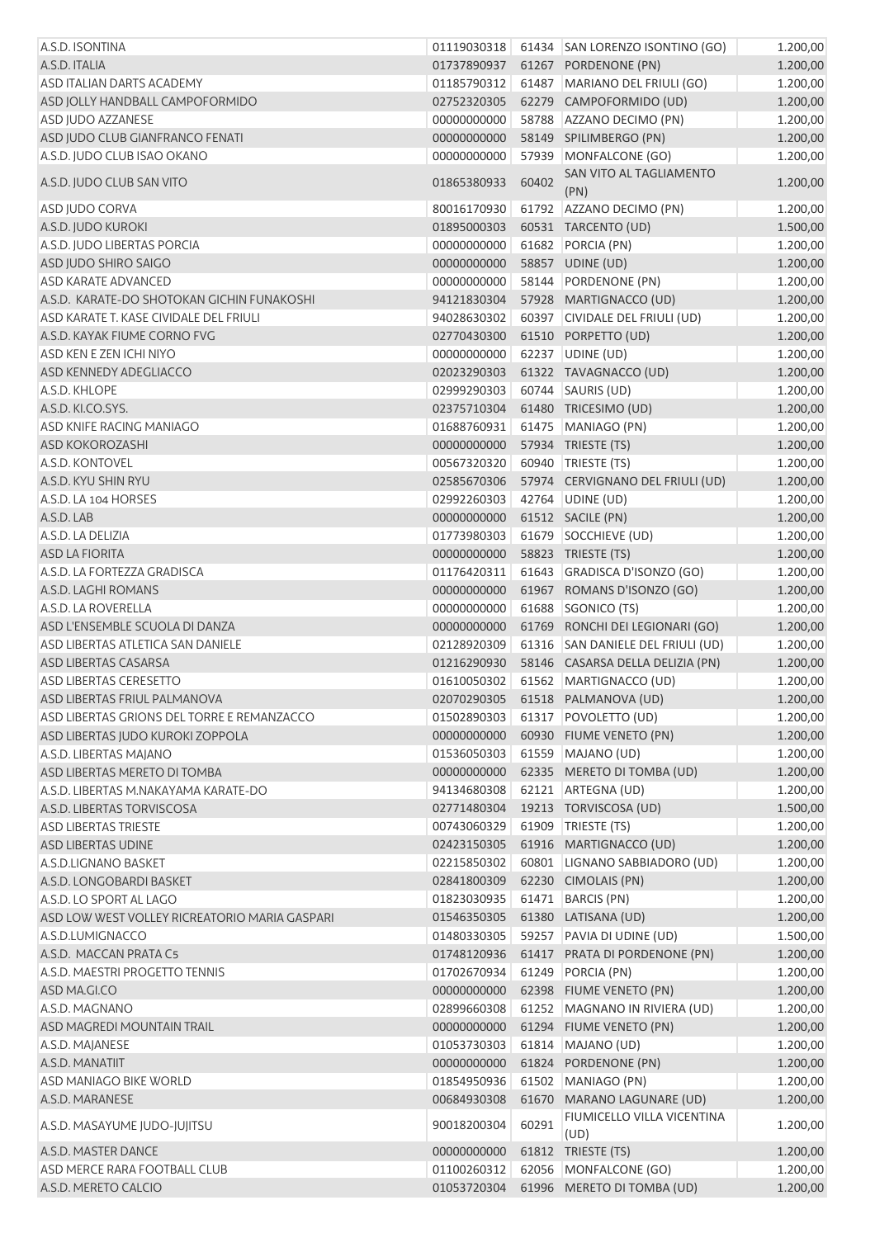| A.S.D. ISONTINA                               | 01119030318 |       | 61434 SAN LORENZO ISONTINO (GO)        | 1.200,00 |
|-----------------------------------------------|-------------|-------|----------------------------------------|----------|
| A.S.D. ITALIA                                 | 01737890937 |       | 61267 PORDENONE (PN)                   | 1.200,00 |
| ASD ITALIAN DARTS ACADEMY                     | 01185790312 |       | 61487 MARIANO DEL FRIULI (GO)          | 1.200,00 |
| ASD JOLLY HANDBALL CAMPOFORMIDO               | 02752320305 |       | 62279 CAMPOFORMIDO (UD)                | 1.200,00 |
| ASD JUDO AZZANESE                             | 00000000000 |       | 58788 AZZANO DECIMO (PN)               | 1.200,00 |
| ASD JUDO CLUB GIANFRANCO FENATI               | 00000000000 |       | 58149 SPILIMBERGO (PN)                 | 1.200,00 |
| A.S.D. JUDO CLUB ISAO OKANO                   | 00000000000 |       | 57939 MONFALCONE (GO)                  | 1.200,00 |
| A.S.D. JUDO CLUB SAN VITO                     | 01865380933 | 60402 | SAN VITO AL TAGLIAMENTO<br>(PN)        | 1.200,00 |
| ASD JUDO CORVA                                | 80016170930 |       | 61792 AZZANO DECIMO (PN)               | 1.200,00 |
| A.S.D. JUDO KUROKI                            | 01895000303 |       | 60531 TARCENTO (UD)                    | 1.500,00 |
| A.S.D. JUDO LIBERTAS PORCIA                   | 00000000000 |       | 61682 PORCIA (PN)                      | 1.200,00 |
| ASD JUDO SHIRO SAIGO                          | 00000000000 |       | 58857 UDINE (UD)                       | 1.200,00 |
| <b>ASD KARATE ADVANCED</b>                    | 00000000000 |       | 58144 PORDENONE (PN)                   | 1.200,00 |
| A.S.D. KARATE-DO SHOTOKAN GICHIN FUNAKOSHI    | 94121830304 |       | 57928 MARTIGNACCO (UD)                 | 1.200,00 |
| ASD KARATE T. KASE CIVIDALE DEL FRIULI        | 94028630302 |       | 60397 CIVIDALE DEL FRIULI (UD)         | 1.200,00 |
| A.S.D. KAYAK FIUME CORNO FVG                  | 02770430300 |       | 61510 PORPETTO (UD)                    | 1.200,00 |
| ASD KEN E ZEN ICHI NIYO                       | 00000000000 |       | 62237 UDINE (UD)                       | 1.200,00 |
| ASD KENNEDY ADEGLIACCO                        | 02023290303 |       | 61322 TAVAGNACCO (UD)                  | 1.200,00 |
| A.S.D. KHLOPE                                 | 02999290303 |       | 60744   SAURIS (UD)                    | 1.200,00 |
| A.S.D. KI.CO.SYS.                             | 02375710304 |       | 61480 TRICESIMO (UD)                   | 1.200,00 |
| ASD KNIFE RACING MANIAGO                      | 01688760931 |       | 61475 MANIAGO (PN)                     | 1.200,00 |
| <b>ASD KOKOROZASHI</b>                        | 00000000000 |       | 57934 TRIESTE (TS)                     | 1.200,00 |
| A.S.D. KONTOVEL                               | 00567320320 |       | 60940   TRIESTE (TS)                   | 1.200,00 |
| A.S.D. KYU SHIN RYU                           | 02585670306 |       | 57974 CERVIGNANO DEL FRIULI (UD)       | 1.200,00 |
| A.S.D. LA 104 HORSES                          | 02992260303 |       | 42764 UDINE (UD)                       | 1.200,00 |
| A.S.D. LAB                                    | 00000000000 |       | 61512 SACILE (PN)                      | 1.200,00 |
| A.S.D. LA DELIZIA                             | 01773980303 |       | 61679 SOCCHIEVE (UD)                   | 1.200,00 |
| <b>ASD LA FIORITA</b>                         | 00000000000 |       | 58823 TRIESTE (TS)                     | 1.200,00 |
| A.S.D. LA FORTEZZA GRADISCA                   | 01176420311 |       | 61643 GRADISCA D'ISONZO (GO)           | 1.200,00 |
| A.S.D. LAGHI ROMANS                           | 00000000000 |       | 61967 ROMANS D'ISONZO (GO)             | 1.200,00 |
| A.S.D. LA ROVERELLA                           | 00000000000 |       | 61688 SGONICO (TS)                     | 1.200,00 |
| ASD L'ENSEMBLE SCUOLA DI DANZA                | 00000000000 |       | 61769 RONCHI DEI LEGIONARI (GO)        | 1.200,00 |
| ASD LIBERTAS ATLETICA SAN DANIELE             | 02128920309 |       | 61316 SAN DANIELE DEL FRIULI (UD)      | 1.200,00 |
| <b>ASD LIBERTAS CASARSA</b>                   | 01216290930 |       | 58146 CASARSA DELLA DELIZIA (PN)       | 1.200,00 |
| <b>ASD LIBERTAS CERESETTO</b>                 |             |       | 01610050302 61562 MARTIGNACCO (UD)     | 1.200,00 |
| ASD LIBERTAS FRIUL PALMANOVA                  |             |       | 02070290305    61518    PALMANOVA (UD) | 1.200,00 |
| ASD LIBERTAS GRIONS DEL TORRE E REMANZACCO    | 01502890303 |       | 61317 POVOLETTO (UD)                   | 1.200,00 |
| ASD LIBERTAS JUDO KUROKI ZOPPOLA              | 00000000000 |       | 60930 FIUME VENETO (PN)                | 1.200,00 |
| A.S.D. LIBERTAS MAJANO                        | 01536050303 |       | 61559 MAJANO (UD)                      | 1.200,00 |
| ASD LIBERTAS MERETO DI TOMBA                  | 00000000000 |       | 62335 MERETO DI TOMBA (UD)             | 1.200,00 |
| A.S.D. LIBERTAS M.NAKAYAMA KARATE-DO          | 94134680308 |       | 62121 ARTEGNA (UD)                     | 1.200,00 |
| A.S.D. LIBERTAS TORVISCOSA                    | 02771480304 |       | 19213 TORVISCOSA (UD)                  | 1.500,00 |
| <b>ASD LIBERTAS TRIESTE</b>                   | 00743060329 |       | 61909   TRIESTE (TS)                   | 1.200,00 |
| ASD LIBERTAS UDINE                            | 02423150305 |       | 61916 MARTIGNACCO (UD)                 | 1.200,00 |
| A.S.D.LIGNANO BASKET                          | 02215850302 |       | 60801 LIGNANO SABBIADORO (UD)          | 1.200,00 |
| A.S.D. LONGOBARDI BASKET                      | 02841800309 |       | 62230 CIMOLAIS (PN)                    | 1.200,00 |
| A.S.D. LO SPORT AL LAGO                       | 01823030935 | 61471 | <b>BARCIS (PN)</b>                     | 1.200,00 |
| ASD LOW WEST VOLLEY RICREATORIO MARIA GASPARI | 01546350305 |       | 61380 LATISANA (UD)                    | 1.200,00 |
| A.S.D.LUMIGNACCO                              | 01480330305 |       | 59257 PAVIA DI UDINE (UD)              | 1.500,00 |
| A.S.D. MACCAN PRATA C5                        | 01748120936 |       | 61417 PRATA DI PORDENONE (PN)          | 1.200,00 |
| A.S.D. MAESTRI PROGETTO TENNIS                | 01702670934 |       | 61249 PORCIA (PN)                      | 1.200,00 |
| ASD MA.GI.CO                                  | 00000000000 |       | 62398 FIUME VENETO (PN)                | 1.200,00 |
| A.S.D. MAGNANO                                | 02899660308 |       | 61252 MAGNANO IN RIVIERA (UD)          | 1.200,00 |
| ASD MAGREDI MOUNTAIN TRAIL                    | 00000000000 |       | 61294 FIUME VENETO (PN)                | 1.200,00 |
| A.S.D. MAJANESE                               | 01053730303 |       | 61814 MAJANO (UD)                      | 1.200,00 |
| A.S.D. MANATIIT                               | 00000000000 |       | 61824 PORDENONE (PN)                   | 1.200,00 |
| <b>ASD MANIAGO BIKE WORLD</b>                 | 01854950936 |       | 61502 MANIAGO (PN)                     | 1.200,00 |
| A.S.D. MARANESE                               | 00684930308 | 61670 | MARANO LAGUNARE (UD)                   | 1.200,00 |
| A.S.D. MASAYUME JUDO-JUJITSU                  | 90018200304 | 60291 | FIUMICELLO VILLA VICENTINA<br>(UD)     | 1.200,00 |
| A.S.D. MASTER DANCE                           | 00000000000 |       | 61812 TRIESTE (TS)                     | 1.200,00 |
| ASD MERCE RARA FOOTBALL CLUB                  | 01100260312 |       | 62056 MONFALCONE (GO)                  | 1.200,00 |
| A.S.D. MERETO CALCIO                          | 01053720304 |       | 61996 MERETO DI TOMBA (UD)             | 1.200,00 |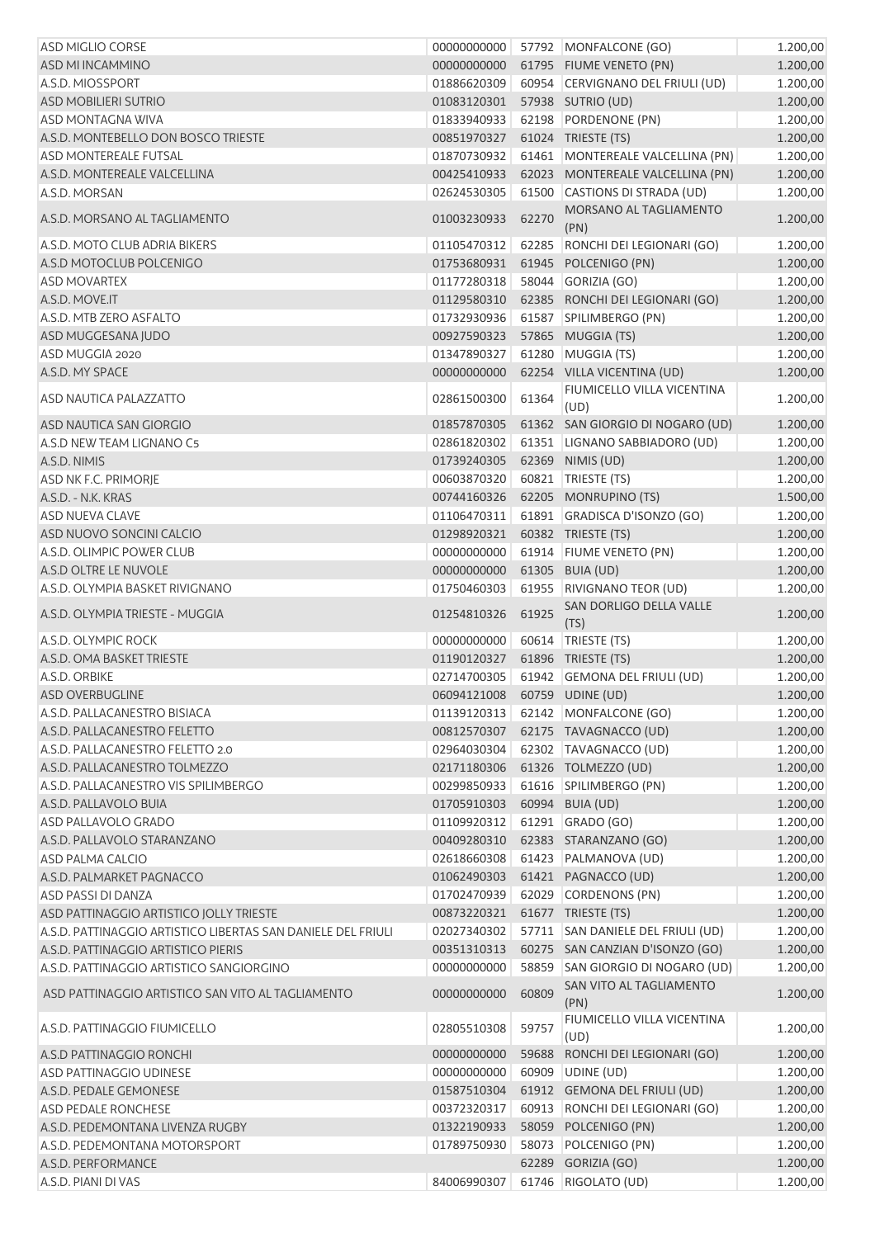| <b>ASD MIGLIO CORSE</b>                                      | 00000000000                                     |       | 57792 MONFALCONE (GO)                                 | 1.200,00             |
|--------------------------------------------------------------|-------------------------------------------------|-------|-------------------------------------------------------|----------------------|
| ASD MI INCAMMINO                                             | 00000000000                                     |       | 61795 FIUME VENETO (PN)                               | 1.200,00             |
| A.S.D. MIOSSPORT                                             | 01886620309                                     |       | 60954 CERVIGNANO DEL FRIULI (UD)                      | 1.200,00             |
| <b>ASD MOBILIERI SUTRIO</b>                                  | 01083120301                                     |       | 57938 SUTRIO (UD)                                     | 1.200,00             |
| <b>ASD MONTAGNA WIVA</b>                                     | 01833940933                                     |       | 62198 PORDENONE (PN)                                  | 1.200,00             |
| A.S.D. MONTEBELLO DON BOSCO TRIESTE                          | 00851970327                                     |       | 61024 TRIESTE (TS)                                    | 1.200,00             |
| <b>ASD MONTEREALE FUTSAL</b>                                 | 01870730932                                     |       | 61461 MONTEREALE VALCELLINA (PN)                      | 1.200,00             |
| A.S.D. MONTEREALE VALCELLINA                                 | 00425410933                                     |       | 62023 MONTEREALE VALCELLINA (PN)                      | 1.200,00             |
| A.S.D. MORSAN                                                | 02624530305                                     |       | 61500 CASTIONS DI STRADA (UD)                         | 1.200,00             |
| A.S.D. MORSANO AL TAGLIAMENTO                                | 01003230933                                     | 62270 | MORSANO AL TAGLIAMENTO<br>(PN)                        | 1.200,00             |
| A.S.D. MOTO CLUB ADRIA BIKERS                                | 01105470312                                     |       | 62285 RONCHI DEI LEGIONARI (GO)                       | 1.200,00             |
| A.S.D MOTOCLUB POLCENIGO                                     | 01753680931                                     |       | 61945 POLCENIGO (PN)                                  | 1.200,00             |
| <b>ASD MOVARTEX</b>                                          | 01177280318                                     |       | 58044 GORIZIA (GO)                                    | 1.200,00             |
| A.S.D. MOVE.IT                                               | 01129580310                                     |       | 62385 RONCHI DEI LEGIONARI (GO)                       | 1.200,00             |
| A.S.D. MTB ZERO ASFALTO                                      | 01732930936                                     |       | 61587 SPILIMBERGO (PN)                                | 1.200,00             |
| ASD MUGGESANA JUDO                                           | 00927590323                                     |       | 57865 MUGGIA (TS)                                     | 1.200,00             |
| ASD MUGGIA 2020                                              | 01347890327                                     |       | 61280 MUGGIA (TS)                                     | 1.200,00             |
| A.S.D. MY SPACE                                              | 00000000000                                     |       | 62254 VILLA VICENTINA (UD)                            | 1.200,00             |
| ASD NAUTICA PALAZZATTO                                       | 02861500300                                     | 61364 | FIUMICELLO VILLA VICENTINA<br>(UD)                    | 1.200,00             |
| ASD NAUTICA SAN GIORGIO                                      | 01857870305                                     |       | 61362 SAN GIORGIO DI NOGARO (UD)                      | 1.200,00             |
| A.S.D NEW TEAM LIGNANO C5                                    | 02861820302                                     |       | 61351   LIGNANO SABBIADORO (UD)                       | 1.200,00             |
| A.S.D. NIMIS                                                 | 01739240305                                     |       | 62369 NIMIS (UD)                                      | 1.200,00             |
| ASD NK F.C. PRIMORJE                                         | 00603870320                                     |       | 60821   TRIESTE (TS)                                  | 1.200,00             |
| A.S.D. - N.K. KRAS                                           | 00744160326                                     |       | 62205 MONRUPINO (TS)                                  | 1.500,00             |
| <b>ASD NUEVA CLAVE</b>                                       | 01106470311                                     |       | 61891 GRADISCA D'ISONZO (GO)                          | 1.200,00             |
| ASD NUOVO SONCINI CALCIO                                     | 01298920321                                     |       | 60382 TRIESTE (TS)                                    | 1.200,00             |
| A.S.D. OLIMPIC POWER CLUB                                    | 00000000000                                     |       | 61914 FIUME VENETO (PN)                               | 1.200,00             |
| A.S.D OLTRE LE NUVOLE                                        | 00000000000                                     |       | 61305 BUIA (UD)                                       | 1.200,00             |
| A.S.D. OLYMPIA BASKET RIVIGNANO                              | 01750460303                                     |       | 61955 RIVIGNANO TEOR (UD)                             | 1.200,00             |
|                                                              |                                                 |       | SAN DORLIGO DELLA VALLE                               |                      |
| A.S.D. OLYMPIA TRIESTE - MUGGIA                              | 01254810326                                     | 61925 | (TS)<br>60614 TRIESTE (TS)                            | 1.200,00<br>1.200,00 |
| A.S.D. OLYMPIC ROCK                                          | 00000000000                                     |       | 61896 TRIESTE (TS)                                    |                      |
| A.S.D. OMA BASKET TRIESTE                                    | 01190120327                                     |       |                                                       | 1.200,00             |
| A.S.D. ORBIKE<br><b>ASD OVERBUGLINE</b>                      | 02714700305<br>06094121008   60759   UDINE (UD) |       | 61942 GEMONA DEL FRIULI (UD)                          | 1.200,00             |
| A.S.D. PALLACANESTRO BISIACA                                 |                                                 |       | 01139120313 62142 MONFALCONE (GO)                     | 1.200,00             |
| A.S.D. PALLACANESTRO FELETTO                                 | 00812570307                                     |       | 62175 TAVAGNACCO (UD)                                 | 1.200,00             |
| A.S.D. PALLACANESTRO FELETTO 2.0                             | 02964030304                                     |       | 62302 TAVAGNACCO (UD)                                 | 1.200,00<br>1.200,00 |
| A.S.D. PALLACANESTRO TOLMEZZO                                | 02171180306                                     |       | 61326 TOLMEZZO (UD)                                   | 1.200,00             |
| A.S.D. PALLACANESTRO VIS SPILIMBERGO                         |                                                 |       | 61616 SPILIMBERGO (PN)                                |                      |
|                                                              | 00299850933<br>01705910303                      |       |                                                       | 1.200,00             |
| A.S.D. PALLAVOLO BUIA<br>ASD PALLAVOLO GRADO                 |                                                 |       | 60994 BUIA (UD)                                       | 1.200,00             |
|                                                              | 01109920312                                     |       | 61291 GRADO (GO)                                      | 1.200,00             |
| A.S.D. PALLAVOLO STARANZANO                                  | 00409280310                                     |       | 62383 STARANZANO (GO)                                 | 1.200,00             |
| ASD PALMA CALCIO                                             | 02618660308                                     |       | 61423 PALMANOVA (UD)                                  | 1.200,00             |
| A.S.D. PALMARKET PAGNACCO                                    | 01062490303                                     |       | 61421 PAGNACCO (UD)                                   | 1.200,00             |
| ASD PASSI DI DANZA                                           | 01702470939                                     |       | 62029 CORDENONS (PN)                                  | 1.200,00             |
| ASD PATTINAGGIO ARTISTICO JOLLY TRIESTE                      | 00873220321                                     |       | 61677 TRIESTE (TS)                                    | 1.200,00             |
| A.S.D. PATTINAGGIO ARTISTICO LIBERTAS SAN DANIELE DEL FRIULI | 02027340302                                     |       | 57711 SAN DANIELE DEL FRIULI (UD)                     | 1.200,00             |
| A.S.D. PATTINAGGIO ARTISTICO PIERIS                          | 00351310313                                     |       | 60275 SAN CANZIAN D'ISONZO (GO)                       | 1.200,00             |
| A.S.D. PATTINAGGIO ARTISTICO SANGIORGINO                     | 00000000000                                     | 58859 | SAN GIORGIO DI NOGARO (UD)<br>SAN VITO AL TAGLIAMENTO | 1.200,00             |
| ASD PATTINAGGIO ARTISTICO SAN VITO AL TAGLIAMENTO            | 00000000000                                     | 60809 | (PN)                                                  | 1.200,00             |
| A.S.D. PATTINAGGIO FIUMICELLO                                | 02805510308                                     | 59757 | FIUMICELLO VILLA VICENTINA<br>(UD)                    | 1.200,00             |
| A.S.D PATTINAGGIO RONCHI                                     | 00000000000                                     |       | 59688 RONCHI DEI LEGIONARI (GO)                       | 1.200,00             |
| ASD PATTINAGGIO UDINESE                                      | 00000000000                                     |       | 60909 UDINE (UD)                                      | 1.200,00             |
| A.S.D. PEDALE GEMONESE                                       | 01587510304                                     |       | 61912 GEMONA DEL FRIULI (UD)                          | 1.200,00             |
| <b>ASD PEDALE RONCHESE</b>                                   | 00372320317                                     |       | 60913 RONCHI DEI LEGIONARI (GO)                       | 1.200,00             |
| A.S.D. PEDEMONTANA LIVENZA RUGBY                             | 01322190933                                     |       | 58059 POLCENIGO (PN)                                  | 1.200,00             |
| A.S.D. PEDEMONTANA MOTORSPORT                                | 01789750930                                     |       | 58073 POLCENIGO (PN)                                  | 1.200,00             |
| A.S.D. PERFORMANCE                                           |                                                 |       | 62289 GORIZIA (GO)                                    | 1.200,00             |
| A.S.D. PIANI DI VAS                                          | 84006990307                                     |       | 61746 RIGOLATO (UD)                                   | 1.200,00             |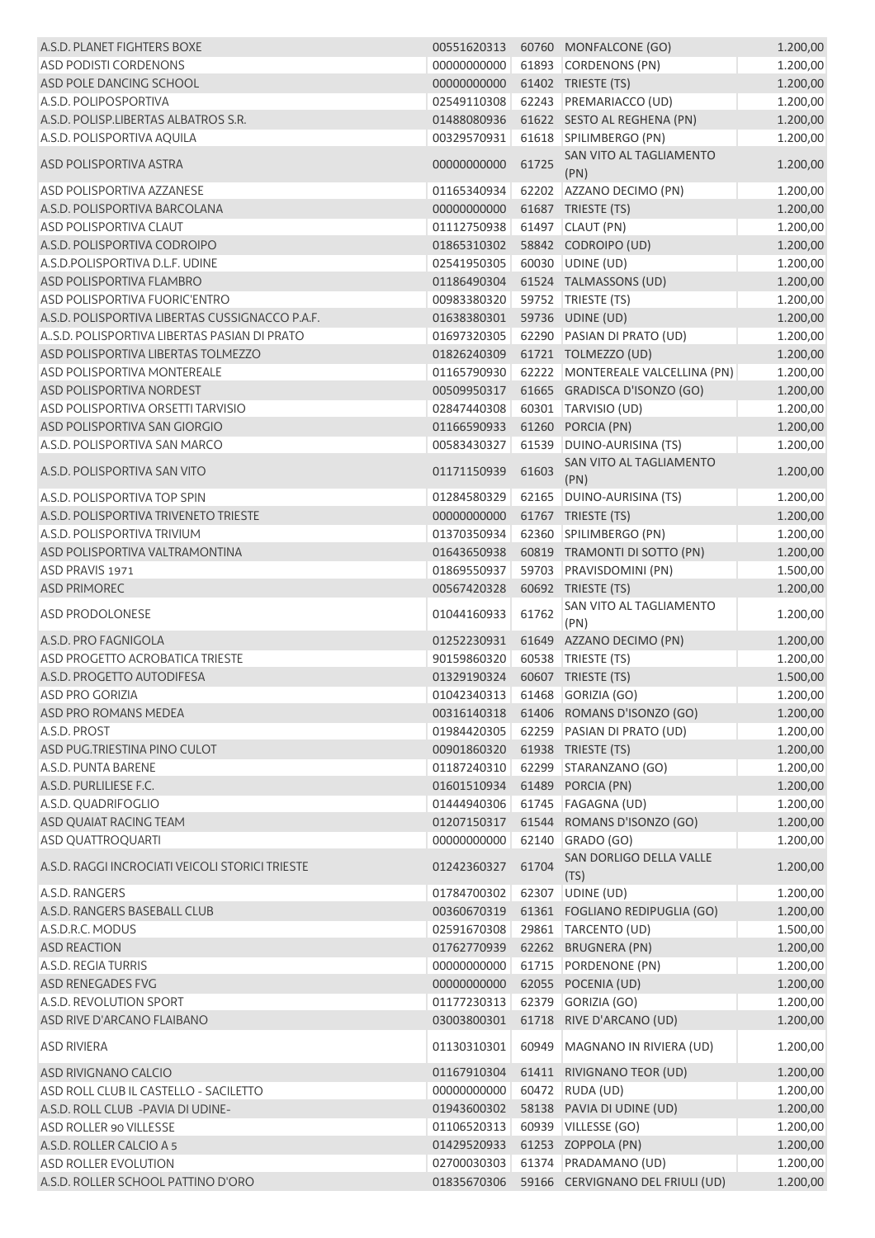| A.S.D. PLANET FIGHTERS BOXE                     | 00551620313 |       | 60760 MONFALCONE (GO)            | 1.200,00 |
|-------------------------------------------------|-------------|-------|----------------------------------|----------|
| <b>ASD PODISTI CORDENONS</b>                    | 00000000000 |       | 61893 CORDENONS (PN)             | 1.200,00 |
| ASD POLE DANCING SCHOOL                         | 00000000000 |       | 61402 TRIESTE (TS)               | 1.200,00 |
| A.S.D. POLIPOSPORTIVA                           | 02549110308 |       | 62243 PREMARIACCO (UD)           | 1.200,00 |
| A.S.D. POLISP.LIBERTAS ALBATROS S.R.            | 01488080936 |       | 61622 SESTO AL REGHENA (PN)      | 1.200,00 |
| A.S.D. POLISPORTIVA AQUILA                      | 00329570931 |       | 61618 SPILIMBERGO (PN)           | 1.200,00 |
| ASD POLISPORTIVA ASTRA                          | 00000000000 | 61725 | SAN VITO AL TAGLIAMENTO<br>(PN)  | 1.200,00 |
| <b>ASD POLISPORTIVA AZZANESE</b>                | 01165340934 |       | 62202 AZZANO DECIMO (PN)         | 1.200,00 |
| A.S.D. POLISPORTIVA BARCOLANA                   | 00000000000 |       | 61687 TRIESTE (TS)               | 1.200,00 |
| <b>ASD POLISPORTIVA CLAUT</b>                   | 01112750938 |       | 61497 CLAUT (PN)                 | 1.200,00 |
| A.S.D. POLISPORTIVA CODROIPO                    | 01865310302 |       | 58842 CODROIPO (UD)              | 1.200,00 |
| A.S.D.POLISPORTIVA D.L.F. UDINE                 | 02541950305 |       | 60030 UDINE (UD)                 | 1.200,00 |
| ASD POLISPORTIVA FLAMBRO                        | 01186490304 |       | 61524 TALMASSONS (UD)            | 1.200,00 |
| ASD POLISPORTIVA FUORIC'ENTRO                   | 00983380320 |       | 59752 TRIESTE (TS)               | 1.200,00 |
| A.S.D. POLISPORTIVA LIBERTAS CUSSIGNACCO P.A.F. | 01638380301 |       | 59736 UDINE (UD)                 | 1.200,00 |
| A., S.D. POLISPORTIVA LIBERTAS PASIAN DI PRATO  | 01697320305 |       | 62290 PASIAN DI PRATO (UD)       | 1.200,00 |
| ASD POLISPORTIVA LIBERTAS TOLMEZZO              | 01826240309 |       | 61721 TOLMEZZO (UD)              | 1.200,00 |
| <b>ASD POLISPORTIVA MONTEREALE</b>              | 01165790930 |       | 62222 MONTEREALE VALCELLINA (PN) | 1.200,00 |
| ASD POLISPORTIVA NORDEST                        | 00509950317 |       | 61665 GRADISCA D'ISONZO (GO)     | 1.200,00 |
| ASD POLISPORTIVA ORSETTI TARVISIO               | 02847440308 |       | 60301 TARVISIO (UD)              | 1.200,00 |
| ASD POLISPORTIVA SAN GIORGIO                    | 01166590933 |       | 61260 PORCIA (PN)                | 1.200,00 |
| A.S.D. POLISPORTIVA SAN MARCO                   | 00583430327 |       | 61539 DUINO-AURISINA (TS)        | 1.200,00 |
| A.S.D. POLISPORTIVA SAN VITO                    | 01171150939 | 61603 | SAN VITO AL TAGLIAMENTO<br>(PN)  | 1.200,00 |
| A.S.D. POLISPORTIVA TOP SPIN                    | 01284580329 |       | 62165   DUINO-AURISINA (TS)      | 1.200,00 |
| A.S.D. POLISPORTIVA TRIVENETO TRIESTE           | 00000000000 |       | 61767 TRIESTE (TS)               | 1.200,00 |
| A.S.D. POLISPORTIVA TRIVIUM                     | 01370350934 |       | 62360 SPILIMBERGO (PN)           | 1.200,00 |
| ASD POLISPORTIVA VALTRAMONTINA                  | 01643650938 |       | 60819 TRAMONTI DI SOTTO (PN)     | 1.200,00 |
| ASD PRAVIS 1971                                 | 01869550937 |       | 59703 PRAVISDOMINI (PN)          | 1.500,00 |
| <b>ASD PRIMOREC</b>                             | 00567420328 |       | 60692 TRIESTE (TS)               | 1.200,00 |
| <b>ASD PRODOLONESE</b>                          | 01044160933 | 61762 | SAN VITO AL TAGLIAMENTO<br>(PN)  | 1.200,00 |
| A.S.D. PRO FAGNIGOLA                            | 01252230931 |       | 61649 AZZANO DECIMO (PN)         | 1.200,00 |
| <b>ASD PROGETTO ACROBATICA TRIESTE</b>          | 90159860320 |       | 60538 TRIESTE (TS)               | 1.200,00 |
| A.S.D. PROGETTO AUTODIFESA                      | 01329190324 |       | 60607 TRIESTE (TS)               | 1.500,00 |
| <b>ASD PRO GORIZIA</b>                          | 01042340313 |       | 61468 GORIZIA (GO)               | 1.200,00 |
| ASD PRO ROMANS MEDEA                            | 00316140318 |       | 61406 ROMANS D'ISONZO (GO)       | 1.200,00 |
| A.S.D. PROST                                    | 01984420305 |       | 62259 PASIAN DI PRATO (UD)       | 1.200,00 |
| ASD PUG.TRIESTINA PINO CULOT                    | 00901860320 |       | 61938 TRIESTE (TS)               | 1.200,00 |
| A.S.D. PUNTA BARENE                             | 01187240310 |       | 62299 STARANZANO (GO)            | 1.200,00 |
| A.S.D. PURLILIESE F.C.                          | 01601510934 |       | 61489 PORCIA (PN)                | 1.200,00 |
| A.S.D. QUADRIFOGLIO                             | 01444940306 |       | 61745   FAGAGNA (UD)             | 1.200,00 |
| ASD QUAIAT RACING TEAM                          | 01207150317 |       | 61544 ROMANS D'ISONZO (GO)       | 1.200,00 |
| <b>ASD QUATTROQUARTI</b>                        | 00000000000 |       | 62140 GRADO (GO)                 | 1.200,00 |
| A.S.D. RAGGI INCROCIATI VEICOLI STORICI TRIESTE | 01242360327 | 61704 | SAN DORLIGO DELLA VALLE<br>(TS)  | 1.200,00 |
| A.S.D. RANGERS                                  | 01784700302 |       | 62307 UDINE (UD)                 | 1.200,00 |
| A.S.D. RANGERS BASEBALL CLUB                    | 00360670319 |       | 61361 FOGLIANO REDIPUGLIA (GO)   | 1.200,00 |
| A.S.D.R.C. MODUS                                | 02591670308 |       | 29861   TARCENTO (UD)            | 1.500,00 |
| <b>ASD REACTION</b>                             | 01762770939 |       | 62262 BRUGNERA (PN)              | 1.200,00 |
| A.S.D. REGIA TURRIS                             | 00000000000 |       | 61715 PORDENONE (PN)             | 1.200,00 |
| ASD RENEGADES FVG                               | 00000000000 |       | 62055 POCENIA (UD)               | 1.200,00 |
| A.S.D. REVOLUTION SPORT                         | 01177230313 |       | 62379 GORIZIA (GO)               | 1.200,00 |
| ASD RIVE D'ARCANO FLAIBANO                      | 03003800301 |       | 61718 RIVE D'ARCANO (UD)         | 1.200,00 |
| ASD RIVIERA                                     | 01130310301 | 60949 | MAGNANO IN RIVIERA (UD)          | 1.200,00 |
| ASD RIVIGNANO CALCIO                            | 01167910304 |       | 61411 RIVIGNANO TEOR (UD)        | 1.200,00 |
| ASD ROLL CLUB IL CASTELLO - SACILETTO           | 00000000000 |       | 60472 RUDA (UD)                  | 1.200,00 |
| A.S.D. ROLL CLUB - PAVIA DI UDINE-              | 01943600302 |       | 58138 PAVIA DI UDINE (UD)        | 1.200,00 |
| ASD ROLLER 90 VILLESSE                          | 01106520313 |       | 60939 VILLESSE (GO)              | 1.200,00 |
| A.S.D. ROLLER CALCIO A 5                        | 01429520933 |       | 61253 ZOPPOLA (PN)               | 1.200,00 |
| ASD ROLLER EVOLUTION                            | 02700030303 |       | 61374 PRADAMANO (UD)             | 1.200,00 |
| A.S.D. ROLLER SCHOOL PATTINO D'ORO              | 01835670306 |       | 59166 CERVIGNANO DEL FRIULI (UD) | 1.200,00 |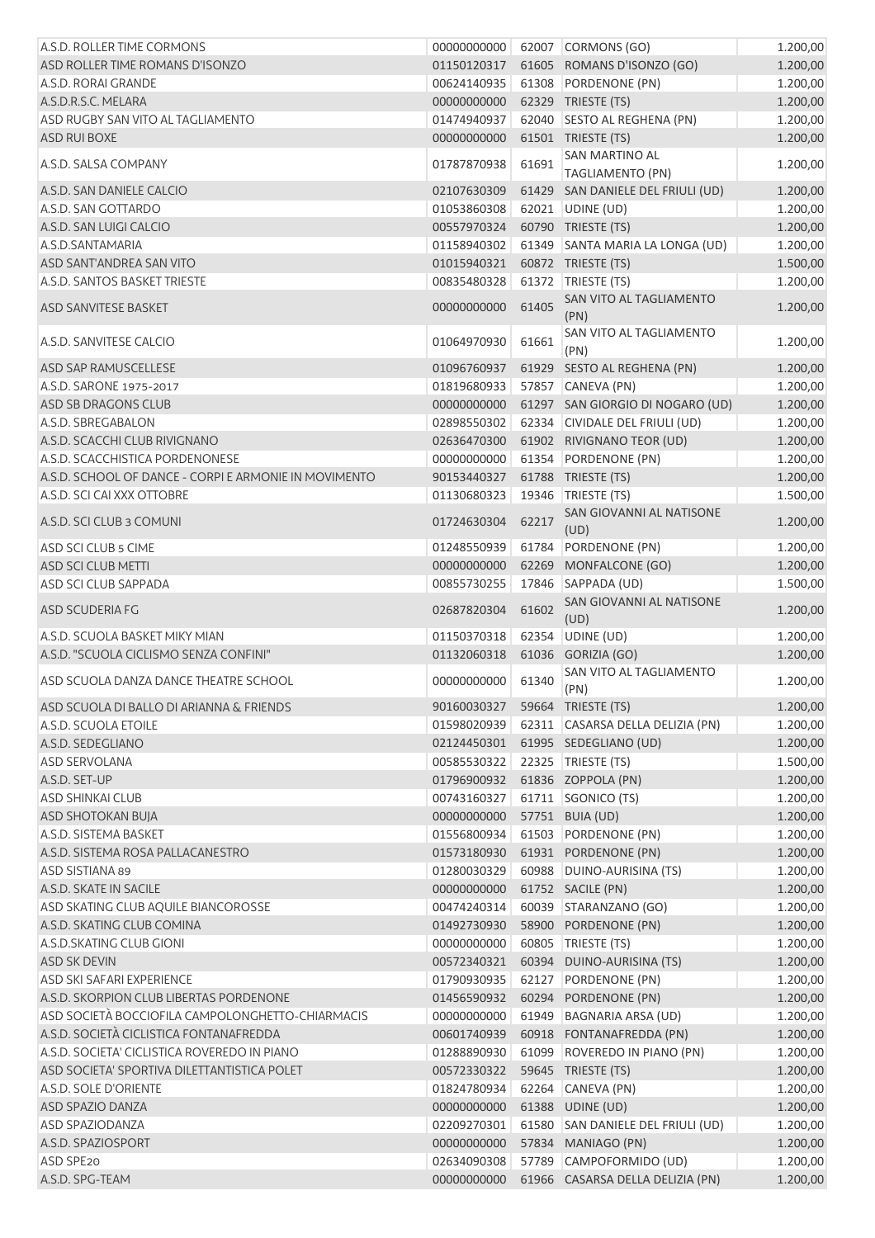| A.S.D. ROLLER TIME CORMONS                            | 00000000000 |       | 62007 CORMONS (GO)                        | 1.200,00 |
|-------------------------------------------------------|-------------|-------|-------------------------------------------|----------|
| ASD ROLLER TIME ROMANS D'ISONZO                       | 01150120317 |       | 61605 ROMANS D'ISONZO (GO)                | 1.200,00 |
| A.S.D. RORAI GRANDE                                   | 00624140935 |       | 61308 PORDENONE (PN)                      | 1.200,00 |
| A.S.D.R.S.C. MELARA                                   | 00000000000 |       | 62329 TRIESTE (TS)                        | 1.200,00 |
| ASD RUGBY SAN VITO AL TAGLIAMENTO                     | 01474940937 |       | 62040 SESTO AL REGHENA (PN)               | 1.200,00 |
| <b>ASD RUI BOXE</b>                                   | 00000000000 |       | 61501 TRIESTE (TS)                        | 1.200,00 |
| A.S.D. SALSA COMPANY                                  | 01787870938 | 61691 | SAN MARTINO AL<br><b>TAGLIAMENTO (PN)</b> | 1.200,00 |
| A.S.D. SAN DANIELE CALCIO                             | 02107630309 |       | 61429 SAN DANIELE DEL FRIULI (UD)         | 1.200,00 |
| A.S.D. SAN GOTTARDO                                   | 01053860308 |       | 62021 UDINE (UD)                          | 1.200,00 |
| A.S.D. SAN LUIGI CALCIO                               | 00557970324 |       | 60790 TRIESTE (TS)                        | 1.200,00 |
| A.S.D.SANTAMARIA                                      | 01158940302 |       | 61349 SANTA MARIA LA LONGA (UD)           | 1.200,00 |
| ASD SANT'ANDREA SAN VITO                              | 01015940321 |       | 60872 TRIESTE (TS)                        | 1.500,00 |
| A.S.D. SANTOS BASKET TRIESTE                          | 00835480328 |       | 61372 TRIESTE (TS)                        | 1.200,00 |
| ASD SANVITESE BASKET                                  | 00000000000 | 61405 | SAN VITO AL TAGLIAMENTO<br>(PN)           | 1.200,00 |
| A.S.D. SANVITESE CALCIO                               | 01064970930 | 61661 | SAN VITO AL TAGLIAMENTO<br>(PN)           | 1.200,00 |
| ASD SAP RAMUSCELLESE                                  | 01096760937 |       | 61929 SESTO AL REGHENA (PN)               | 1.200,00 |
| A.S.D. SARONE 1975-2017                               | 01819680933 |       | 57857 CANEVA (PN)                         | 1.200,00 |
| ASD SB DRAGONS CLUB                                   | 00000000000 |       | 61297 SAN GIORGIO DI NOGARO (UD)          | 1.200,00 |
| A.S.D. SBREGABALON                                    | 02898550302 |       | 62334 CIVIDALE DEL FRIULI (UD)            | 1.200,00 |
| A.S.D. SCACCHI CLUB RIVIGNANO                         | 02636470300 |       | 61902 RIVIGNANO TEOR (UD)                 |          |
|                                                       |             |       |                                           | 1.200,00 |
| A.S.D. SCACCHISTICA PORDENONESE                       | 00000000000 |       | 61354 PORDENONE (PN)                      | 1.200,00 |
| A.S.D. SCHOOL OF DANCE - CORPI E ARMONIE IN MOVIMENTO | 90153440327 |       | 61788 TRIESTE (TS)                        | 1.200,00 |
| A.S.D. SCI CAI XXX OTTOBRE                            | 01130680323 | 19346 | TRIESTE (TS)                              | 1.500,00 |
| A.S.D. SCI CLUB 3 COMUNI                              | 01724630304 | 62217 | SAN GIOVANNI AL NATISONE<br>(UD)          | 1.200,00 |
| ASD SCI CLUB 5 CIME                                   | 01248550939 |       | 61784 PORDENONE (PN)                      | 1.200,00 |
| ASD SCI CLUB METTI                                    | 00000000000 |       | 62269 MONFALCONE (GO)                     | 1.200,00 |
| ASD SCI CLUB SAPPADA                                  | 00855730255 | 17846 | SAPPADA (UD)                              | 1.500,00 |
| ASD SCUDERIA FG                                       | 02687820304 | 61602 | SAN GIOVANNI AL NATISONE<br>(UD)          | 1.200,00 |
| A.S.D. SCUOLA BASKET MIKY MIAN                        | 01150370318 |       | 62354 UDINE (UD)                          | 1.200,00 |
| A.S.D. "SCUOLA CICLISMO SENZA CONFINI"                | 01132060318 | 61036 | GORIZIA (GO)                              | 1.200,00 |
| ASD SCUOLA DANZA DANCE THEATRE SCHOOL                 | 00000000000 | 61340 | SAN VITO AL TAGLIAMENTO<br>(PN)           | 1.200,00 |
| ASD SCUOLA DI BALLO DI ARIANNA & FRIENDS              | 90160030327 |       | 59664 TRIESTE (TS)                        | 1.200,00 |
| A.S.D. SCUOLA ETOILE                                  | 01598020939 |       | 62311 CASARSA DELLA DELIZIA (PN)          | 1.200,00 |
| A.S.D. SEDEGLIANO                                     | 02124450301 |       | 61995 SEDEGLIANO (UD)                     | 1.200,00 |
| <b>ASD SERVOLANA</b>                                  | 00585530322 |       | 22325 TRIESTE (TS)                        | 1.500,00 |
| A.S.D. SET-UP                                         | 01796900932 |       | 61836 ZOPPOLA (PN)                        | 1.200,00 |
| ASD SHINKAI CLUB                                      | 00743160327 |       | 61711 SGONICO (TS)                        | 1.200,00 |
|                                                       | 00000000000 |       |                                           |          |
| ASD SHOTOKAN BUJA                                     | 01556800934 |       | 57751 BUIA (UD)                           | 1.200,00 |
| A.S.D. SISTEMA BASKET                                 |             |       | 61503 PORDENONE (PN)                      | 1.200,00 |
| A.S.D. SISTEMA ROSA PALLACANESTRO                     | 01573180930 |       | 61931 PORDENONE (PN)                      | 1.200,00 |
| ASD SISTIANA 89                                       | 01280030329 |       | 60988 DUINO-AURISINA (TS)                 | 1.200,00 |
| A.S.D. SKATE IN SACILE                                | 00000000000 |       | 61752 SACILE (PN)                         | 1.200,00 |
| ASD SKATING CLUB AQUILE BIANCOROSSE                   | 00474240314 |       | 60039 STARANZANO (GO)                     | 1.200,00 |
| A.S.D. SKATING CLUB COMINA                            | 01492730930 |       | 58900 PORDENONE (PN)                      | 1.200,00 |
| A.S.D.SKATING CLUB GIONI                              | 00000000000 |       | 60805   TRIESTE (TS)                      | 1.200,00 |
| <b>ASD SK DEVIN</b>                                   | 00572340321 |       | 60394 DUINO-AURISINA (TS)                 | 1.200,00 |
| <b>ASD SKI SAFARI EXPERIENCE</b>                      | 01790930935 | 62127 | PORDENONE (PN)                            | 1.200,00 |
| A.S.D. SKORPION CLUB LIBERTAS PORDENONE               | 01456590932 | 60294 | PORDENONE (PN)                            | 1.200,00 |
| ASD SOCIETÀ BOCCIOFILA CAMPOLONGHETTO-CHIARMACIS      | 00000000000 | 61949 | <b>BAGNARIA ARSA (UD)</b>                 | 1.200,00 |
| A.S.D. SOCIETÀ CICLISTICA FONTANAFREDDA               | 00601740939 |       | 60918 FONTANAFREDDA (PN)                  | 1.200,00 |
| A.S.D. SOCIETA' CICLISTICA ROVEREDO IN PIANO          | 01288890930 |       | 61099 ROVEREDO IN PIANO (PN)              | 1.200,00 |
| ASD SOCIETA' SPORTIVA DILETTANTISTICA POLET           | 00572330322 |       | 59645 TRIESTE (TS)                        | 1.200,00 |
| A.S.D. SOLE D'ORIENTE                                 | 01824780934 |       | 62264 CANEVA (PN)                         | 1.200,00 |
| ASD SPAZIO DANZA                                      | 00000000000 |       | 61388 UDINE (UD)                          | 1.200,00 |
| ASD SPAZIODANZA                                       | 02209270301 |       | 61580 SAN DANIELE DEL FRIULI (UD)         | 1.200,00 |
| A.S.D. SPAZIOSPORT                                    | 00000000000 |       | 57834 MANIAGO (PN)                        | 1.200,00 |
| ASD SPE20                                             | 02634090308 |       | 57789 CAMPOFORMIDO (UD)                   | 1.200,00 |
| A.S.D. SPG-TEAM                                       | 00000000000 |       | 61966 CASARSA DELLA DELIZIA (PN)          | 1.200,00 |
|                                                       |             |       |                                           |          |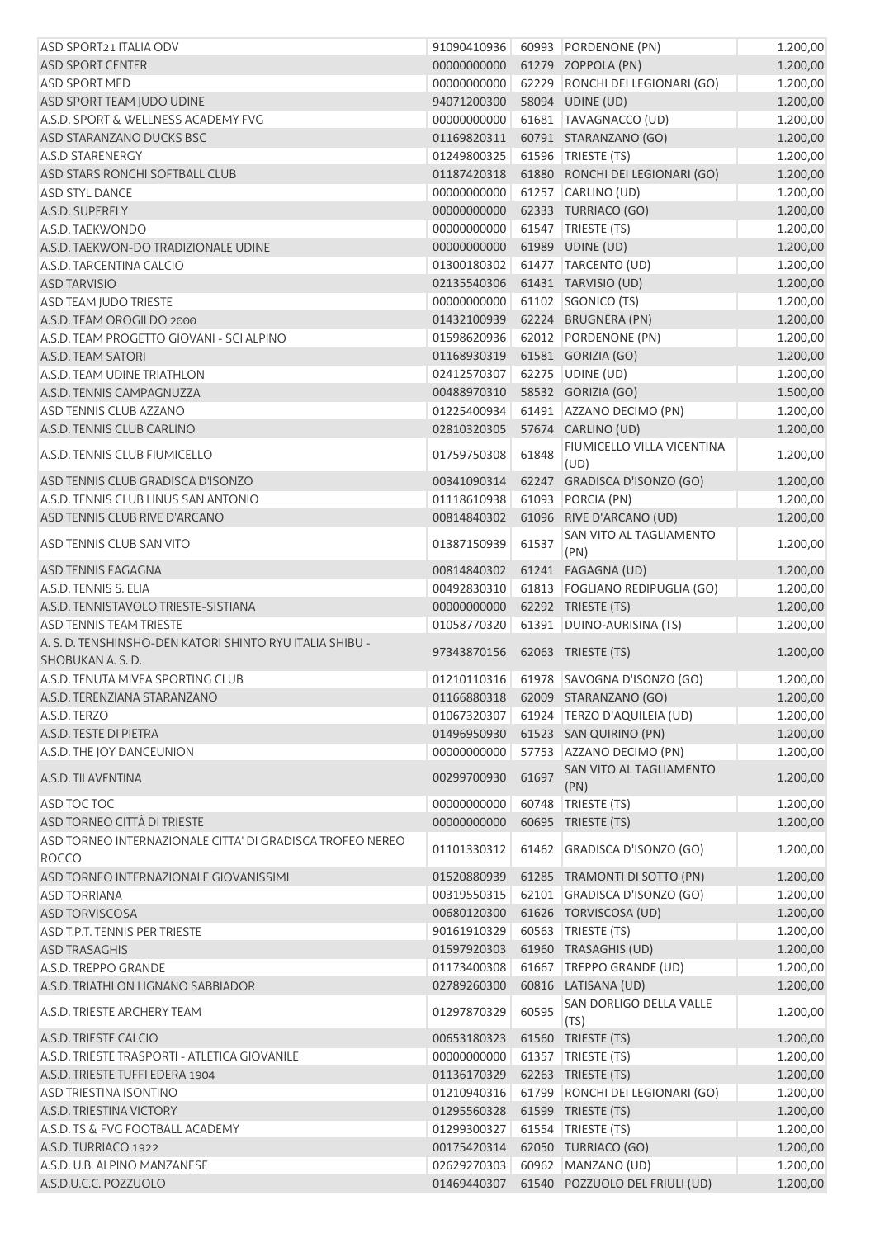| ASD SPORT21 ITALIA ODV                                    | 91090410936 |       | 60993 PORDENONE (PN)                    | 1.200,00 |
|-----------------------------------------------------------|-------------|-------|-----------------------------------------|----------|
| ASD SPORT CENTER                                          | 00000000000 |       | 61279 ZOPPOLA (PN)                      | 1.200,00 |
| <b>ASD SPORT MED</b>                                      | 00000000000 |       | 62229 RONCHI DEI LEGIONARI (GO)         | 1.200,00 |
| ASD SPORT TEAM JUDO UDINE                                 | 94071200300 |       | 58094 UDINE (UD)                        | 1.200,00 |
| A.S.D. SPORT & WELLNESS ACADEMY FVG                       | 00000000000 |       | 61681   TAVAGNACCO (UD)                 | 1.200,00 |
| ASD STARANZANO DUCKS BSC                                  | 01169820311 |       | 60791 STARANZANO (GO)                   | 1.200,00 |
| A.S.D STARENERGY                                          | 01249800325 |       | 61596 TRIESTE (TS)                      | 1.200,00 |
| ASD STARS RONCHI SOFTBALL CLUB                            | 01187420318 |       | 61880 RONCHI DEI LEGIONARI (GO)         | 1.200,00 |
| <b>ASD STYL DANCE</b>                                     | 00000000000 |       | 61257 CARLINO (UD)                      | 1.200,00 |
| A.S.D. SUPERFLY                                           | 00000000000 |       | 62333 TURRIACO (GO)                     | 1.200,00 |
| A.S.D. TAEKWONDO                                          | 00000000000 |       | 61547   TRIESTE (TS)                    | 1.200,00 |
| A.S.D. TAEKWON-DO TRADIZIONALE UDINE                      | 00000000000 |       | 61989 UDINE (UD)                        | 1.200,00 |
| A.S.D. TARCENTINA CALCIO                                  | 01300180302 |       | 61477 TARCENTO (UD)                     | 1.200,00 |
| <b>ASD TARVISIO</b>                                       | 02135540306 |       | 61431 TARVISIO (UD)                     | 1.200,00 |
| <b>ASD TEAM JUDO TRIESTE</b>                              | 00000000000 |       | 61102 SGONICO (TS)                      | 1.200,00 |
| A.S.D. TEAM OROGILDO 2000                                 | 01432100939 |       | 62224 BRUGNERA (PN)                     | 1.200,00 |
| A.S.D. TEAM PROGETTO GIOVANI - SCI ALPINO                 | 01598620936 |       | 62012 PORDENONE (PN)                    | 1.200,00 |
| A.S.D. TEAM SATORI                                        | 01168930319 |       | 61581 GORIZIA (GO)                      | 1.200,00 |
| A.S.D. TEAM UDINE TRIATHLON                               | 02412570307 |       | 62275 UDINE (UD)                        | 1.200,00 |
| A.S.D. TENNIS CAMPAGNUZZA                                 | 00488970310 |       | 58532 GORIZIA (GO)                      | 1.500,00 |
| ASD TENNIS CLUB AZZANO                                    | 01225400934 |       | 61491 AZZANO DECIMO (PN)                | 1.200,00 |
| A.S.D. TENNIS CLUB CARLINO                                | 02810320305 |       | 57674 CARLINO (UD)                      | 1.200,00 |
|                                                           |             |       | FIUMICELLO VILLA VICENTINA              |          |
| A.S.D. TENNIS CLUB FIUMICELLO                             | 01759750308 | 61848 | (UD)                                    | 1.200,00 |
| ASD TENNIS CLUB GRADISCA D'ISONZO                         | 00341090314 |       | 62247 GRADISCA D'ISONZO (GO)            | 1.200,00 |
| A.S.D. TENNIS CLUB LINUS SAN ANTONIO                      | 01118610938 |       | 61093 PORCIA (PN)                       | 1.200,00 |
| ASD TENNIS CLUB RIVE D'ARCANO                             | 00814840302 |       | 61096 RIVE D'ARCANO (UD)                | 1.200,00 |
|                                                           |             |       | SAN VITO AL TAGLIAMENTO                 |          |
| ASD TENNIS CLUB SAN VITO                                  | 01387150939 | 61537 | (PN)                                    | 1.200,00 |
| ASD TENNIS FAGAGNA                                        | 00814840302 |       | 61241 FAGAGNA (UD)                      | 1.200,00 |
| A.S.D. TENNIS S. ELIA                                     | 00492830310 |       | 61813   FOGLIANO REDIPUGLIA (GO)        | 1.200,00 |
| A.S.D. TENNISTAVOLO TRIESTE-SISTIANA                      | 00000000000 |       | 62292 TRIESTE (TS)                      | 1.200,00 |
| <b>ASD TENNIS TEAM TRIESTE</b>                            | 01058770320 |       | 61391 DUINO-AURISINA (TS)               | 1.200,00 |
| A. S. D. TENSHINSHO-DEN KATORI SHINTO RYU ITALIA SHIBU -  |             |       |                                         |          |
| SHOBUKAN A. S. D.                                         | 97343870156 |       | 62063 TRIESTE (TS)                      | 1.200,00 |
| A.S.D. TENUTA MIVEA SPORTING CLUB                         |             |       | 01210110316 61978 SAVOGNA D'ISONZO (GO) | 1.200,00 |
| A.S.D. TERENZIANA STARANZANO                              |             |       | 01166880318    62009    STARANZANO (GO) | 1.200,00 |
| A.S.D. TERZO                                              | 01067320307 |       | 61924 TERZO D'AQUILEIA (UD)             | 1.200,00 |
| A.S.D. TESTE DI PIETRA                                    | 01496950930 |       | 61523 SAN QUIRINO (PN)                  | 1.200,00 |
| A.S.D. THE JOY DANCEUNION                                 |             |       | 57753 AZZANO DECIMO (PN)                | 1.200,00 |
|                                                           | 00000000000 |       |                                         |          |
|                                                           |             |       | SAN VITO AL TAGLIAMENTO                 |          |
| A.S.D. TILAVENTINA                                        | 00299700930 | 61697 | (PN)                                    | 1.200,00 |
| ASD TOC TOC                                               | 00000000000 |       | 60748   TRIESTE (TS)                    | 1.200,00 |
| ASD TORNEO CITTÀ DI TRIESTE                               | 00000000000 |       | 60695 TRIESTE (TS)                      | 1.200,00 |
| ASD TORNEO INTERNAZIONALE CITTA' DI GRADISCA TROFEO NEREO |             |       |                                         |          |
| <b>ROCCO</b>                                              | 01101330312 |       | 61462 GRADISCA D'ISONZO (GO)            | 1.200,00 |
| ASD TORNEO INTERNAZIONALE GIOVANISSIMI                    | 01520880939 |       | 61285 TRAMONTI DI SOTTO (PN)            | 1.200,00 |
| <b>ASD TORRIANA</b>                                       | 00319550315 |       | 62101 GRADISCA D'ISONZO (GO)            | 1.200,00 |
| <b>ASD TORVISCOSA</b>                                     | 00680120300 |       | 61626 TORVISCOSA (UD)                   | 1.200,00 |
| ASD T.P.T. TENNIS PER TRIESTE                             | 90161910329 |       | 60563 TRIESTE (TS)                      | 1.200,00 |
| <b>ASD TRASAGHIS</b>                                      | 01597920303 |       | 61960 TRASAGHIS (UD)                    | 1.200,00 |
| A.S.D. TREPPO GRANDE                                      | 01173400308 |       | 61667 TREPPO GRANDE (UD)                | 1.200,00 |
| A.S.D. TRIATHLON LIGNANO SABBIADOR                        | 02789260300 |       | 60816 LATISANA (UD)                     | 1.200,00 |
|                                                           |             |       | SAN DORLIGO DELLA VALLE                 |          |
| A.S.D. TRIESTE ARCHERY TEAM                               | 01297870329 | 60595 | (TS)                                    | 1.200,00 |
| A.S.D. TRIESTE CALCIO                                     | 00653180323 |       | 61560 TRIESTE (TS)                      | 1.200,00 |
| A.S.D. TRIESTE TRASPORTI - ATLETICA GIOVANILE             | 00000000000 |       | 61357   TRIESTE (TS)                    | 1.200,00 |
| A.S.D. TRIESTE TUFFI EDERA 1904                           | 01136170329 |       | 62263 TRIESTE (TS)                      | 1.200,00 |
| <b>ASD TRIESTINA ISONTINO</b>                             | 01210940316 |       | 61799 RONCHI DEI LEGIONARI (GO)         | 1.200,00 |
| A.S.D. TRIESTINA VICTORY                                  | 01295560328 |       | 61599 TRIESTE (TS)                      | 1.200,00 |
| A.S.D. TS & FVG FOOTBALL ACADEMY                          | 01299300327 | 61554 | TRIESTE (TS)                            | 1.200,00 |
| A.S.D. TURRIACO 1922                                      | 00175420314 |       | 62050 TURRIACO (GO)                     | 1.200,00 |
| A.S.D. U.B. ALPINO MANZANESE                              | 02629270303 |       | 60962 MANZANO (UD)                      | 1.200,00 |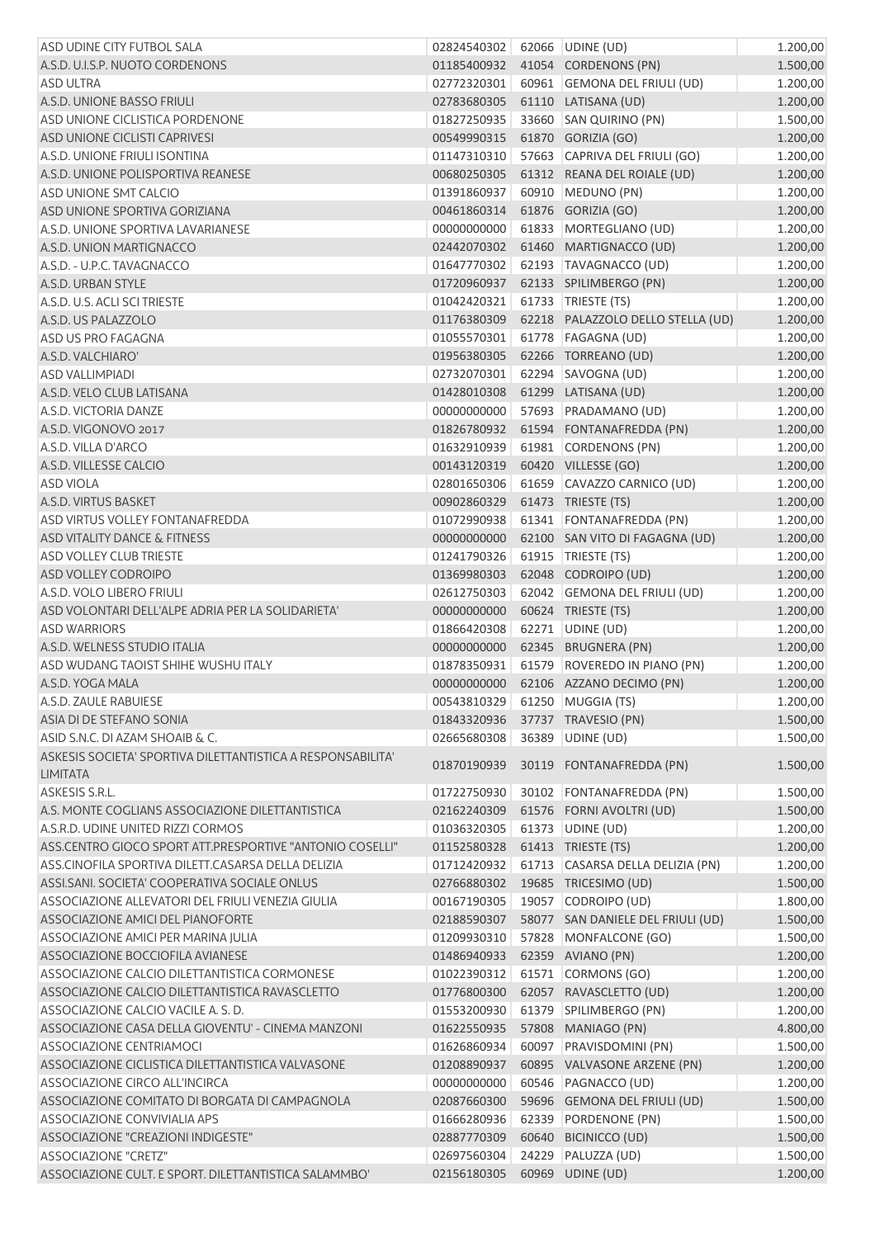| ASD UDINE CITY FUTBOL SALA                                                     | 02824540302                   |       | 62066 UDINE (UD)                                                     | 1.200,00             |
|--------------------------------------------------------------------------------|-------------------------------|-------|----------------------------------------------------------------------|----------------------|
| A.S.D. U.I.S.P. NUOTO CORDENONS                                                | 01185400932                   |       | 41054 CORDENONS (PN)                                                 | 1.500,00             |
| ASD ULTRA                                                                      | 02772320301                   |       | 60961 GEMONA DEL FRIULI (UD)                                         | 1.200,00             |
| A.S.D. UNIONE BASSO FRIULI                                                     | 02783680305                   |       | 61110 LATISANA (UD)                                                  | 1.200,00             |
| ASD UNIONE CICLISTICA PORDENONE                                                | 01827250935                   |       | 33660 SAN QUIRINO (PN)                                               | 1.500,00             |
| ASD UNIONE CICLISTI CAPRIVESI                                                  | 00549990315                   |       | 61870 GORIZIA (GO)                                                   | 1.200,00             |
| A.S.D. UNIONE FRIULI ISONTINA                                                  | 01147310310                   |       | 57663 CAPRIVA DEL FRIULI (GO)                                        | 1.200,00             |
| A.S.D. UNIONE POLISPORTIVA REANESE                                             | 00680250305                   |       | 61312 REANA DEL ROIALE (UD)                                          | 1.200,00             |
| ASD UNIONE SMT CALCIO                                                          | 01391860937                   |       | 60910 MEDUNO (PN)                                                    | 1.200,00             |
| ASD UNIONE SPORTIVA GORIZIANA                                                  | 00461860314                   |       | 61876 GORIZIA (GO)                                                   | 1.200,00             |
| A.S.D. UNIONE SPORTIVA LAVARIANESE                                             | 00000000000                   |       | 61833 MORTEGLIANO (UD)                                               | 1.200,00             |
| A.S.D. UNION MARTIGNACCO                                                       | 02442070302                   |       | 61460 MARTIGNACCO (UD)                                               | 1.200,00             |
| A.S.D. - U.P.C. TAVAGNACCO                                                     | 01647770302                   |       | 62193 TAVAGNACCO (UD)                                                | 1.200,00             |
| A.S.D. URBAN STYLE                                                             | 01720960937                   |       | 62133 SPILIMBERGO (PN)                                               | 1.200,00             |
| A.S.D. U.S. ACLI SCI TRIESTE                                                   | 01042420321                   |       | 61733   TRIESTE (TS)                                                 | 1.200,00             |
| A.S.D. US PALAZZOLO                                                            | 01176380309                   |       | 62218 PALAZZOLO DELLO STELLA (UD)                                    | 1.200,00             |
| ASD US PRO FAGAGNA                                                             | 01055570301                   |       | 61778 FAGAGNA (UD)                                                   | 1.200,00             |
| A.S.D. VALCHIARO'                                                              | 01956380305                   |       | 62266 TORREANO (UD)                                                  | 1.200,00             |
| <b>ASD VALLIMPIADI</b>                                                         | 02732070301                   |       | 62294 SAVOGNA (UD)                                                   | 1.200,00             |
| A.S.D. VELO CLUB LATISANA                                                      | 01428010308                   |       | 61299 LATISANA (UD)                                                  | 1.200,00             |
| A.S.D. VICTORIA DANZE                                                          | 00000000000                   |       | 57693 PRADAMANO (UD)                                                 | 1.200,00             |
| A.S.D. VIGONOVO 2017                                                           | 01826780932                   |       | 61594 FONTANAFREDDA (PN)                                             | 1.200,00             |
| A.S.D. VILLA D'ARCO                                                            | 01632910939                   |       | 61981 CORDENONS (PN)                                                 | 1.200,00             |
| A.S.D. VILLESSE CALCIO                                                         | 00143120319                   |       | 60420 VILLESSE (GO)                                                  | 1.200,00             |
| <b>ASD VIOLA</b>                                                               | 02801650306                   |       | 61659 CAVAZZO CARNICO (UD)                                           | 1.200,00             |
| A.S.D. VIRTUS BASKET                                                           | 00902860329                   |       | 61473 TRIESTE (TS)                                                   |                      |
| ASD VIRTUS VOLLEY FONTANAFREDDA                                                | 01072990938                   |       | 61341   FONTANAFREDDA (PN)                                           | 1.200,00             |
| ASD VITALITY DANCE & FITNESS                                                   | 00000000000                   |       | 62100 SAN VITO DI FAGAGNA (UD)                                       | 1.200,00             |
| <b>ASD VOLLEY CLUB TRIESTE</b>                                                 | 01241790326                   |       | 61915   TRIESTE (TS)                                                 | 1.200,00             |
| ASD VOLLEY CODROIPO                                                            | 01369980303                   |       | 62048 CODROIPO (UD)                                                  | 1.200,00             |
| A.S.D. VOLO LIBERO FRIULI                                                      | 02612750303                   |       | 62042 GEMONA DEL FRIULI (UD)                                         | 1.200,00             |
| ASD VOLONTARI DELL'ALPE ADRIA PER LA SOLIDARIETA'                              | 00000000000                   |       | 60624 TRIESTE (TS)                                                   | 1.200,00             |
| <b>ASD WARRIORS</b>                                                            | 01866420308                   |       | 62271 UDINE (UD)                                                     | 1.200,00             |
| A.S.D. WELNESS STUDIO ITALIA                                                   | 00000000000                   |       | 62345 BRUGNERA (PN)                                                  | 1.200,00             |
| ASD WUDANG TAOIST SHIHE WUSHU ITALY                                            |                               |       |                                                                      | 1.200,00             |
|                                                                                | 01878350931                   |       | 61579 ROVEREDO IN PIANO (PN)<br>00000000000 62106 AZZANO DECIMO (PN) | 1.200,00<br>1.200,00 |
| A.S.D. YOGA MALA<br>A.S.D. ZAULE RABUIESE                                      | 00543810329 61250 MUGGIA (TS) |       |                                                                      | 1.200,00             |
|                                                                                |                               |       |                                                                      |                      |
| ASIA DI DE STEFANO SONIA<br>ASID S.N.C. DI AZAM SHOAIB & C.                    | 01843320936                   |       | 37737 TRAVESIO (PN)                                                  | 1.500,00<br>1.500,00 |
|                                                                                | 02665680308                   |       | 36389 UDINE (UD)                                                     |                      |
| ASKESIS SOCIETA' SPORTIVA DILETTANTISTICA A RESPONSABILITA'<br><b>LIMITATA</b> | 01870190939                   |       | 30119 FONTANAFREDDA (PN)                                             | 1.500,00             |
| ASKESIS S.R.L.                                                                 | 01722750930                   |       | 30102 FONTANAFREDDA (PN)                                             | 1.500,00             |
| A.S. MONTE COGLIANS ASSOCIAZIONE DILETTANTISTICA                               | 02162240309                   |       | 61576 FORNI AVOLTRI (UD)                                             | 1.500,00             |
| A.S.R.D. UDINE UNITED RIZZI CORMOS                                             | 01036320305                   |       | 61373 UDINE (UD)                                                     | 1.200,00             |
| ASS.CENTRO GIOCO SPORT ATT.PRESPORTIVE "ANTONIO COSELLI"                       | 01152580328                   |       | 61413 TRIESTE (TS)                                                   | 1.200,00             |
| ASS.CINOFILA SPORTIVA DILETT.CASARSA DELLA DELIZIA                             | 01712420932                   |       | 61713 CASARSA DELLA DELIZIA (PN)                                     | 1.200,00             |
| ASSI.SANI. SOCIETA' COOPERATIVA SOCIALE ONLUS                                  | 02766880302                   |       | 19685 TRICESIMO (UD)                                                 | 1.500,00             |
| ASSOCIAZIONE ALLEVATORI DEL FRIULI VENEZIA GIULIA                              | 00167190305                   |       | 19057 CODROIPO (UD)                                                  | 1.800,00             |
| ASSOCIAZIONE AMICI DEL PIANOFORTE                                              | 02188590307                   |       | 58077 SAN DANIELE DEL FRIULI (UD)                                    | 1.500,00             |
| ASSOCIAZIONE AMICI PER MARINA JULIA                                            | 01209930310                   |       | 57828 MONFALCONE (GO)                                                | 1.500,00             |
| ASSOCIAZIONE BOCCIOFILA AVIANESE                                               | 01486940933                   |       | 62359 AVIANO (PN)                                                    | 1.200,00             |
| ASSOCIAZIONE CALCIO DILETTANTISTICA CORMONESE                                  | 01022390312                   |       | 61571 CORMONS (GO)                                                   | 1.200,00             |
| ASSOCIAZIONE CALCIO DILETTANTISTICA RAVASCLETTO                                | 01776800300                   |       | 62057 RAVASCLETTO (UD)                                               | 1.200,00             |
| ASSOCIAZIONE CALCIO VACILE A. S. D.                                            | 01553200930                   |       | 61379 SPILIMBERGO (PN)                                               | 1.200,00             |
| ASSOCIAZIONE CASA DELLA GIOVENTU' - CINEMA MANZONI                             | 01622550935                   |       | 57808 MANIAGO (PN)                                                   | 4.800,00             |
| ASSOCIAZIONE CENTRIAMOCI                                                       | 01626860934                   |       | 60097 PRAVISDOMINI (PN)                                              | 1.500,00             |
| ASSOCIAZIONE CICLISTICA DILETTANTISTICA VALVASONE                              | 01208890937                   |       | 60895 VALVASONE ARZENE (PN)                                          | 1.200,00             |
| ASSOCIAZIONE CIRCO ALL'INCIRCA                                                 | 00000000000                   |       | 60546 PAGNACCO (UD)                                                  | 1.200,00             |
| ASSOCIAZIONE COMITATO DI BORGATA DI CAMPAGNOLA                                 | 02087660300                   |       | 59696 GEMONA DEL FRIULI (UD)                                         | 1.500,00             |
| ASSOCIAZIONE CONVIVIALIA APS                                                   | 01666280936                   |       | 62339 PORDENONE (PN)                                                 | 1.500,00             |
| ASSOCIAZIONE "CREAZIONI INDIGESTE"                                             | 02887770309                   |       | 60640 BICINICCO (UD)                                                 | 1.500,00             |
| ASSOCIAZIONE "CRETZ"                                                           | 02697560304                   | 24229 | PALUZZA (UD)                                                         | 1.500,00             |
| ASSOCIAZIONE CULT. E SPORT. DILETTANTISTICA SALAMMBO'                          | 02156180305                   |       | 60969 UDINE (UD)                                                     | 1.200,00             |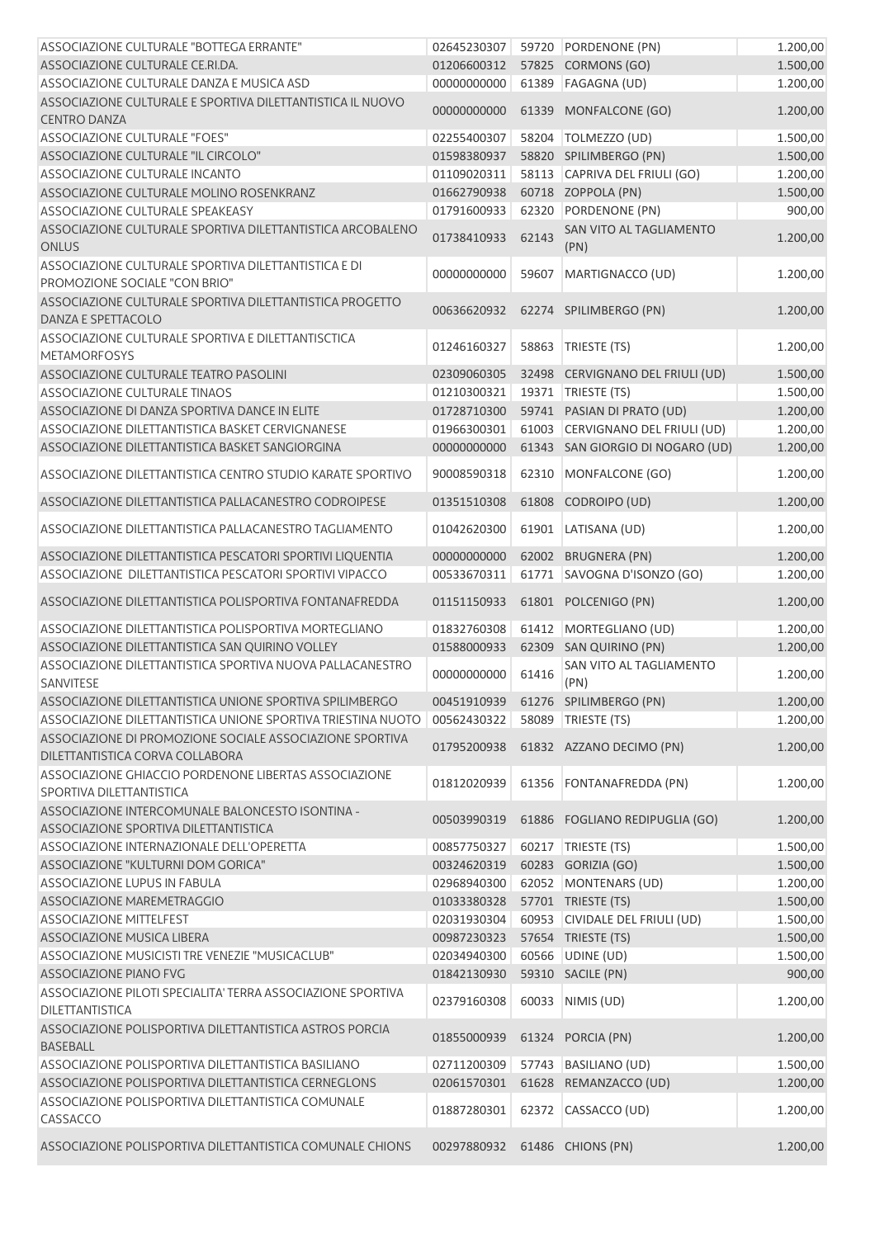| ASSOCIAZIONE CULTURALE "BOTTEGA ERRANTE"                                                    | 02645230307 |       | 59720 PORDENONE (PN)             | 1.200,00 |
|---------------------------------------------------------------------------------------------|-------------|-------|----------------------------------|----------|
| ASSOCIAZIONE CULTURALE CE.RI.DA.                                                            | 01206600312 |       | 57825 CORMONS (GO)               | 1.500,00 |
| ASSOCIAZIONE CULTURALE DANZA E MUSICA ASD                                                   | 0000000000  |       | 61389 FAGAGNA (UD)               | 1.200,00 |
| ASSOCIAZIONE CULTURALE E SPORTIVA DILETTANTISTICA IL NUOVO<br><b>CENTRO DANZA</b>           | 00000000000 |       | 61339 MONFALCONE (GO)            | 1.200,00 |
| ASSOCIAZIONE CULTURALE "FOES"                                                               | 02255400307 |       | 58204 TOLMEZZO (UD)              | 1.500,00 |
| ASSOCIAZIONE CULTURALE "IL CIRCOLO"                                                         | 01598380937 |       | 58820 SPILIMBERGO (PN)           | 1.500,00 |
| ASSOCIAZIONE CULTURALE INCANTO                                                              | 01109020311 |       | 58113 CAPRIVA DEL FRIULI (GO)    | 1.200,00 |
| ASSOCIAZIONE CULTURALE MOLINO ROSENKRANZ                                                    | 01662790938 |       | 60718 ZOPPOLA (PN)               | 1.500,00 |
| ASSOCIAZIONE CULTURALE SPEAKEASY                                                            | 01791600933 |       | 62320 PORDENONE (PN)             | 900,00   |
| ASSOCIAZIONE CULTURALE SPORTIVA DILETTANTISTICA ARCOBALENO<br><b>ONLUS</b>                  | 01738410933 | 62143 | SAN VITO AL TAGLIAMENTO<br>(PN)  | 1.200,00 |
| ASSOCIAZIONE CULTURALE SPORTIVA DILETTANTISTICA E DI<br>PROMOZIONE SOCIALE "CON BRIO"       | 00000000000 | 59607 | MARTIGNACCO (UD)                 | 1.200,00 |
| ASSOCIAZIONE CULTURALE SPORTIVA DILETTANTISTICA PROGETTO<br>DANZA E SPETTACOLO              | 00636620932 |       | 62274 SPILIMBERGO (PN)           | 1.200,00 |
| ASSOCIAZIONE CULTURALE SPORTIVA E DILETTANTISCTICA<br><b>METAMORFOSYS</b>                   | 01246160327 |       | 58863   TRIESTE (TS)             | 1.200,00 |
| ASSOCIAZIONE CULTURALE TEATRO PASOLINI                                                      | 02309060305 |       | 32498 CERVIGNANO DEL FRIULI (UD) | 1.500,00 |
| <b>ASSOCIAZIONE CULTURALE TINAOS</b>                                                        | 01210300321 |       | 19371   TRIESTE (TS)             | 1.500,00 |
| ASSOCIAZIONE DI DANZA SPORTIVA DANCE IN ELITE                                               | 01728710300 |       | 59741 PASIAN DI PRATO (UD)       | 1.200,00 |
| ASSOCIAZIONE DILETTANTISTICA BASKET CERVIGNANESE                                            | 01966300301 |       | 61003 CERVIGNANO DEL FRIULI (UD) | 1.200,00 |
| ASSOCIAZIONE DILETTANTISTICA BASKET SANGIORGINA                                             | 00000000000 |       | 61343 SAN GIORGIO DI NOGARO (UD) | 1.200,00 |
| ASSOCIAZIONE DILETTANTISTICA CENTRO STUDIO KARATE SPORTIVO                                  | 90008590318 |       | 62310 MONFALCONE (GO)            | 1.200,00 |
| ASSOCIAZIONE DILETTANTISTICA PALLACANESTRO CODROIPESE                                       | 01351510308 |       | 61808 CODROIPO (UD)              | 1.200,00 |
| ASSOCIAZIONE DILETTANTISTICA PALLACANESTRO TAGLIAMENTO                                      | 01042620300 |       | 61901 LATISANA (UD)              | 1.200,00 |
| ASSOCIAZIONE DILETTANTISTICA PESCATORI SPORTIVI LIQUENTIA                                   | 00000000000 |       | 62002 BRUGNERA (PN)              | 1.200,00 |
| ASSOCIAZIONE DILETTANTISTICA PESCATORI SPORTIVI VIPACCO                                     | 00533670311 | 61771 | SAVOGNA D'ISONZO (GO)            | 1.200,00 |
| ASSOCIAZIONE DILETTANTISTICA POLISPORTIVA FONTANAFREDDA                                     | 01151150933 |       | 61801 POLCENIGO (PN)             | 1.200,00 |
| ASSOCIAZIONE DILETTANTISTICA POLISPORTIVA MORTEGLIANO                                       | 01832760308 |       | 61412 MORTEGLIANO (UD)           | 1.200,00 |
| ASSOCIAZIONE DILETTANTISTICA SAN QUIRINO VOLLEY                                             | 01588000933 |       | 62309 SAN QUIRINO (PN)           | 1.200,00 |
| ASSOCIAZIONE DILETTANTISTICA SPORTIVA NUOVA PALLACANESTRO<br>SANVITESE                      | 00000000000 | 61416 | SAN VITO AL TAGLIAMENTO<br>(PN)  | 1.200,00 |
| ASSOCIAZIONE DILETTANTISTICA UNIONE SPORTIVA SPILIMBERGO                                    | 00451910939 |       | 61276 SPILIMBERGO (PN)           | 1.200,00 |
| ASSOCIAZIONE DILETTANTISTICA UNIONE SPORTIVA TRIESTINA NUOTO                                | 00562430322 |       | 58089 TRIESTE (TS)               | 1.200,00 |
| ASSOCIAZIONE DI PROMOZIONE SOCIALE ASSOCIAZIONE SPORTIVA<br>DILETTANTISTICA CORVA COLLABORA | 01795200938 |       | 61832 AZZANO DECIMO (PN)         | 1.200,00 |
| ASSOCIAZIONE GHIACCIO PORDENONE LIBERTAS ASSOCIAZIONE<br>SPORTIVA DILETTANTISTICA           | 01812020939 |       | 61356 FONTANAFREDDA (PN)         | 1.200,00 |
| ASSOCIAZIONE INTERCOMUNALE BALONCESTO ISONTINA -<br>ASSOCIAZIONE SPORTIVA DILETTANTISTICA   | 00503990319 |       | 61886 FOGLIANO REDIPUGLIA (GO)   | 1.200,00 |
| ASSOCIAZIONE INTERNAZIONALE DELL'OPERETTA                                                   | 00857750327 |       | 60217 TRIESTE (TS)               | 1.500,00 |
| ASSOCIAZIONE "KULTURNI DOM GORICA"                                                          | 00324620319 |       | 60283 GORIZIA (GO)               | 1.500,00 |
| ASSOCIAZIONE LUPUS IN FABULA                                                                | 02968940300 |       | 62052 MONTENARS (UD)             | 1.200,00 |
| ASSOCIAZIONE MAREMETRAGGIO                                                                  | 01033380328 |       | 57701 TRIESTE (TS)               | 1.500,00 |
| <b>ASSOCIAZIONE MITTELFEST</b>                                                              | 02031930304 |       | 60953 CIVIDALE DEL FRIULI (UD)   | 1.500,00 |
| <b>ASSOCIAZIONE MUSICA LIBERA</b>                                                           | 00987230323 |       | 57654 TRIESTE (TS)               | 1.500,00 |
| ASSOCIAZIONE MUSICISTI TRE VENEZIE "MUSICACLUB"                                             | 02034940300 |       | 60566 UDINE (UD)                 | 1.500,00 |
| ASSOCIAZIONE PIANO FVG                                                                      | 01842130930 |       | 59310 SACILE (PN)                | 900,00   |
| ASSOCIAZIONE PILOTI SPECIALITA' TERRA ASSOCIAZIONE SPORTIVA                                 |             |       |                                  |          |
| <b>DILETTANTISTICA</b>                                                                      | 02379160308 | 60033 | NIMIS (UD)                       | 1.200,00 |
| ASSOCIAZIONE POLISPORTIVA DILETTANTISTICA ASTROS PORCIA<br><b>BASEBALL</b>                  | 01855000939 |       | 61324 PORCIA (PN)                | 1.200,00 |
| ASSOCIAZIONE POLISPORTIVA DILETTANTISTICA BASILIANO                                         | 02711200309 |       | 57743 BASILIANO (UD)             | 1.500,00 |
| ASSOCIAZIONE POLISPORTIVA DILETTANTISTICA CERNEGLONS                                        | 02061570301 |       | 61628 REMANZACCO (UD)            | 1.200,00 |
| ASSOCIAZIONE POLISPORTIVA DILETTANTISTICA COMUNALE<br>CASSACCO                              | 01887280301 |       | 62372 CASSACCO (UD)              | 1.200,00 |
| ASSOCIAZIONE POLISPORTIVA DILETTANTISTICA COMUNALE CHIONS                                   | 00297880932 |       | 61486 CHIONS (PN)                | 1.200,00 |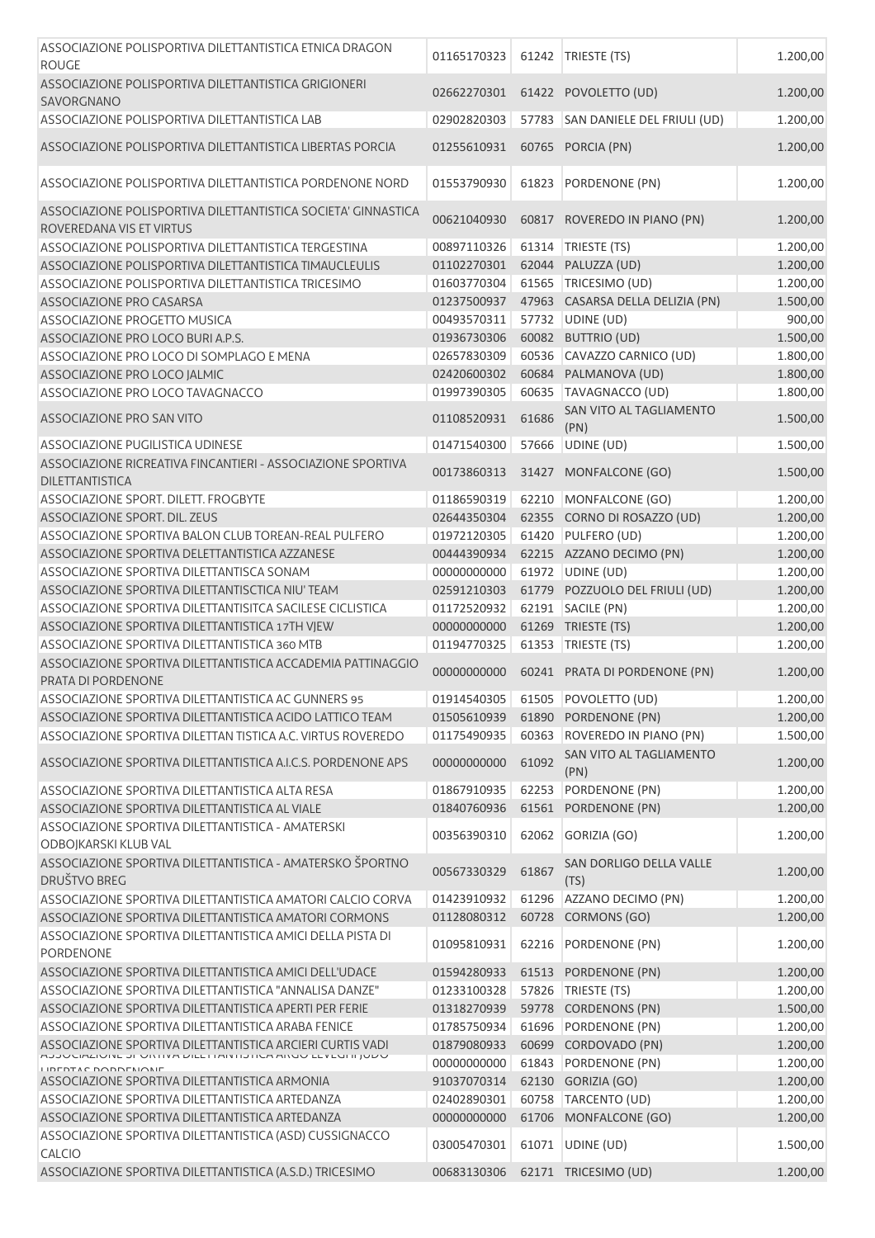| ASSOCIAZIONE POLISPORTIVA DILETTANTISTICA ETNICA DRAGON<br><b>ROUGE</b>                             | 01165170323 |       | 61242 TRIESTE (TS)                     | 1.200,00 |
|-----------------------------------------------------------------------------------------------------|-------------|-------|----------------------------------------|----------|
| ASSOCIAZIONE POLISPORTIVA DILETTANTISTICA GRIGIONERI<br>SAVORGNANO                                  | 02662270301 |       | 61422 POVOLETTO (UD)                   | 1.200,00 |
| ASSOCIAZIONE POLISPORTIVA DILETTANTISTICA LAB                                                       | 02902820303 | 57783 | SAN DANIELE DEL FRIULI (UD)            | 1.200,00 |
| ASSOCIAZIONE POLISPORTIVA DILETTANTISTICA LIBERTAS PORCIA                                           | 01255610931 | 60765 | PORCIA (PN)                            | 1.200,00 |
| ASSOCIAZIONE POLISPORTIVA DILETTANTISTICA PORDENONE NORD                                            | 01553790930 | 61823 | PORDENONE (PN)                         | 1.200,00 |
| ASSOCIAZIONE POLISPORTIVA DILETTANTISTICA SOCIETA' GINNASTICA<br>ROVEREDANA VIS ET VIRTUS           | 00621040930 |       | 60817 ROVEREDO IN PIANO (PN)           | 1.200,00 |
| ASSOCIAZIONE POLISPORTIVA DILETTANTISTICA TERGESTINA                                                | 00897110326 |       | 61314   TRIESTE (TS)                   | 1.200,00 |
| ASSOCIAZIONE POLISPORTIVA DILETTANTISTICA TIMAUCLEULIS                                              | 01102270301 |       | 62044 PALUZZA (UD)                     | 1.200,00 |
| ASSOCIAZIONE POLISPORTIVA DILETTANTISTICA TRICESIMO                                                 | 01603770304 |       | 61565 TRICESIMO (UD)                   | 1.200,00 |
| ASSOCIAZIONE PRO CASARSA                                                                            | 01237500937 | 47963 | CASARSA DELLA DELIZIA (PN)             | 1.500,00 |
| <b>ASSOCIAZIONE PROGETTO MUSICA</b>                                                                 | 00493570311 |       | 57732 UDINE (UD)                       | 900,00   |
| ASSOCIAZIONE PRO LOCO BURI A.P.S.                                                                   | 01936730306 |       | 60082 BUTTRIO (UD)                     | 1.500,00 |
| ASSOCIAZIONE PRO LOCO DI SOMPLAGO E MENA                                                            | 02657830309 |       | 60536 CAVAZZO CARNICO (UD)             | 1.800,00 |
| ASSOCIAZIONE PRO LOCO JALMIC                                                                        | 02420600302 |       | 60684 PALMANOVA (UD)                   | 1.800,00 |
| ASSOCIAZIONE PRO LOCO TAVAGNACCO                                                                    | 01997390305 | 60635 | TAVAGNACCO (UD)                        | 1.800,00 |
| ASSOCIAZIONE PRO SAN VITO                                                                           | 01108520931 | 61686 | SAN VITO AL TAGLIAMENTO<br>(PN)        | 1.500,00 |
| ASSOCIAZIONE PUGILISTICA UDINESE                                                                    | 01471540300 | 57666 | UDINE (UD)                             | 1.500,00 |
| ASSOCIAZIONE RICREATIVA FINCANTIERI - ASSOCIAZIONE SPORTIVA<br><b>DILETTANTISTICA</b>               | 00173860313 |       | 31427 MONFALCONE (GO)                  | 1.500,00 |
| ASSOCIAZIONE SPORT. DILETT. FROGBYTE                                                                | 01186590319 | 62210 | MONFALCONE (GO)                        | 1.200,00 |
| ASSOCIAZIONE SPORT. DIL. ZEUS                                                                       | 02644350304 |       | 62355 CORNO DI ROSAZZO (UD)            | 1.200,00 |
| ASSOCIAZIONE SPORTIVA BALON CLUB TOREAN-REAL PULFERO                                                | 01972120305 | 61420 | PULFERO (UD)                           | 1.200,00 |
| ASSOCIAZIONE SPORTIVA DELETTANTISTICA AZZANESE                                                      | 00444390934 |       | 62215 AZZANO DECIMO (PN)               | 1.200,00 |
| ASSOCIAZIONE SPORTIVA DILETTANTISCA SONAM                                                           | 00000000000 |       | 61972 UDINE (UD)                       | 1.200,00 |
| ASSOCIAZIONE SPORTIVA DILETTANTISCTICA NIU' TEAM                                                    | 02591210303 |       | 61779 POZZUOLO DEL FRIULI (UD)         | 1.200,00 |
| ASSOCIAZIONE SPORTIVA DILETTANTISITCA SACILESE CICLISTICA                                           | 01172520932 |       | 62191 SACILE (PN)                      | 1.200,00 |
| ASSOCIAZIONE SPORTIVA DILETTANTISTICA 17TH VJEW                                                     | 00000000000 |       | 61269 TRIESTE (TS)                     | 1.200,00 |
| ASSOCIAZIONE SPORTIVA DILETTANTISTICA 360 MTB                                                       | 01194770325 |       | 61353 TRIESTE (TS)                     | 1.200,00 |
| ASSOCIAZIONE SPORTIVA DILETTANTISTICA ACCADEMIA PATTINAGGIO<br>PRATA DI PORDENONE                   | 00000000000 |       | 60241 PRATA DI PORDENONE (PN)          | 1.200,00 |
| ASSOCIAZIONE SPORTIVA DILETTANTISTICA AC GUNNERS 95                                                 | 01914540305 |       | 61505 POVOLETTO (UD)                   | 1.200,00 |
| ASSOCIAZIONE SPORTIVA DILETTANTISTICA ACIDO LATTICO TEAM                                            | 01505610939 |       | 61890 PORDENONE (PN)                   | 1.200,00 |
| ASSOCIAZIONE SPORTIVA DILETTAN TISTICA A.C. VIRTUS ROVEREDO                                         | 01175490935 | 60363 | ROVEREDO IN PIANO (PN)                 | 1.500,00 |
| ASSOCIAZIONE SPORTIVA DILETTANTISTICA A.I.C.S. PORDENONE APS                                        | 00000000000 | 61092 | SAN VITO AL TAGLIAMENTO<br>(PN)        | 1.200,00 |
| ASSOCIAZIONE SPORTIVA DILETTANTISTICA ALTA RESA                                                     | 01867910935 | 62253 | PORDENONE (PN)                         | 1.200,00 |
| ASSOCIAZIONE SPORTIVA DILETTANTISTICA AL VIALE<br>ASSOCIAZIONE SPORTIVA DILETTANTISTICA - AMATERSKI | 01840760936 | 61561 | PORDENONE (PN)                         | 1.200,00 |
| ODBOJKARSKI KLUB VAL                                                                                | 00356390310 | 62062 | GORIZIA (GO)                           | 1.200,00 |
| ASSOCIAZIONE SPORTIVA DILETTANTISTICA - AMATERSKO ŠPORTNO<br><b>DRUŠTVO BREG</b>                    | 00567330329 | 61867 | <b>SAN DORLIGO DELLA VALLE</b><br>(TS) | 1.200,00 |
| ASSOCIAZIONE SPORTIVA DILETTANTISTICA AMATORI CALCIO CORVA                                          | 01423910932 | 61296 | AZZANO DECIMO (PN)                     | 1.200,00 |
| ASSOCIAZIONE SPORTIVA DILETTANTISTICA AMATORI CORMONS                                               | 01128080312 |       | 60728 CORMONS (GO)                     | 1.200,00 |
| ASSOCIAZIONE SPORTIVA DILETTANTISTICA AMICI DELLA PISTA DI<br><b>PORDENONE</b>                      | 01095810931 | 62216 | PORDENONE (PN)                         | 1.200,00 |
| ASSOCIAZIONE SPORTIVA DILETTANTISTICA AMICI DELL'UDACE                                              | 01594280933 | 61513 | PORDENONE (PN)                         | 1.200,00 |
| ASSOCIAZIONE SPORTIVA DILETTANTISTICA "ANNALISA DANZE"                                              | 01233100328 | 57826 | TRIESTE (TS)                           | 1.200,00 |
| ASSOCIAZIONE SPORTIVA DILETTANTISTICA APERTI PER FERIE                                              | 01318270939 |       | 59778 CORDENONS (PN)                   | 1.500,00 |
| ASSOCIAZIONE SPORTIVA DILETTANTISTICA ARABA FENICE                                                  | 01785750934 | 61696 | PORDENONE (PN)                         | 1.200,00 |
| ASSOCIAZIONE SPORTIVA DILETTANTISTICA ARCIERI CURTIS VADI                                           | 01879080933 |       | 60699 CORDOVADO (PN)                   | 1.200,00 |
| AJJUUHZIUNE JPURTIVA DILETTANTIJTIUA ARUU LEVEUNI JUDU                                              | 00000000000 | 61843 | PORDENONE (PN)                         | 1.200,00 |
| <b>IIDEDTAC DODDENIONE</b><br>ASSOCIAZIONE SPORTIVA DILETTANTISTICA ARMONIA                         | 91037070314 |       | 62130 GORIZIA (GO)                     | 1.200,00 |
| ASSOCIAZIONE SPORTIVA DILETTANTISTICA ARTEDANZA                                                     | 02402890301 | 60758 | TARCENTO (UD)                          | 1.200,00 |
| ASSOCIAZIONE SPORTIVA DILETTANTISTICA ARTEDANZA                                                     | 00000000000 | 61706 | MONFALCONE (GO)                        | 1.200,00 |
| ASSOCIAZIONE SPORTIVA DILETTANTISTICA (ASD) CUSSIGNACCO                                             | 03005470301 | 61071 | UDINE (UD)                             | 1.500,00 |
| <b>CALCIO</b>                                                                                       |             |       |                                        |          |
| ASSOCIAZIONE SPORTIVA DILETTANTISTICA (A.S.D.) TRICESIMO                                            | 00683130306 |       | 62171 TRICESIMO (UD)                   | 1.200,00 |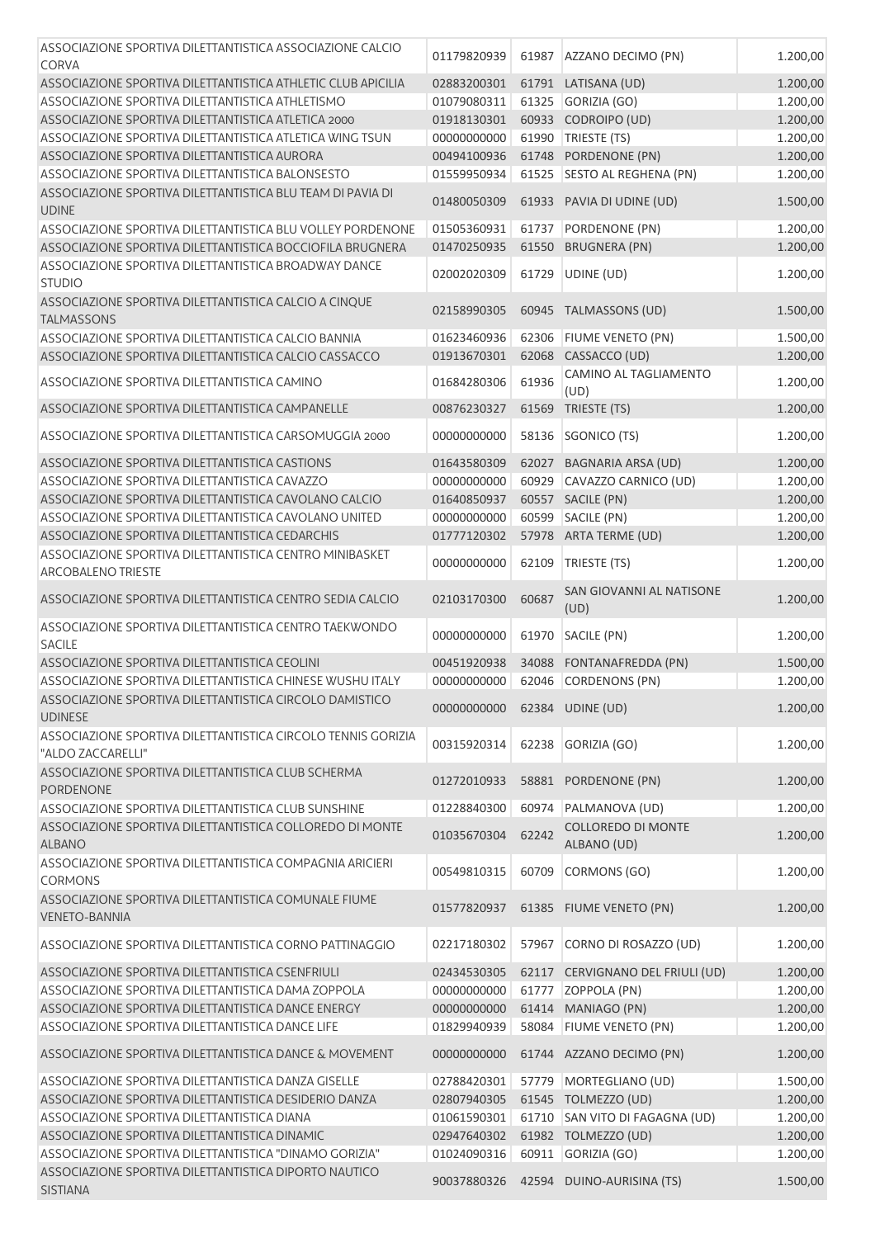| ASSOCIAZIONE SPORTIVA DILETTANTISTICA ASSOCIAZIONE CALCIO<br><b>CORVA</b>            | 01179820939 |       | 61987 AZZANO DECIMO (PN)         | 1.200,00 |
|--------------------------------------------------------------------------------------|-------------|-------|----------------------------------|----------|
|                                                                                      |             |       |                                  |          |
| ASSOCIAZIONE SPORTIVA DILETTANTISTICA ATHLETIC CLUB APICILIA                         | 02883200301 |       | 61791 LATISANA (UD)              | 1.200,00 |
| ASSOCIAZIONE SPORTIVA DILETTANTISTICA ATHLETISMO                                     | 01079080311 |       | 61325 GORIZIA (GO)               | 1.200,00 |
| ASSOCIAZIONE SPORTIVA DILETTANTISTICA ATLETICA 2000                                  | 01918130301 |       | 60933 CODROIPO (UD)              | 1.200,00 |
| ASSOCIAZIONE SPORTIVA DILETTANTISTICA ATLETICA WING TSUN                             | 00000000000 | 61990 | TRIESTE (TS)                     | 1.200,00 |
| ASSOCIAZIONE SPORTIVA DILETTANTISTICA AURORA                                         | 00494100936 |       | 61748 PORDENONE (PN)             | 1.200,00 |
| ASSOCIAZIONE SPORTIVA DILETTANTISTICA BALONSESTO                                     | 01559950934 |       | 61525 SESTO AL REGHENA (PN)      | 1.200,00 |
| ASSOCIAZIONE SPORTIVA DILETTANTISTICA BLU TEAM DI PAVIA DI<br><b>UDINE</b>           | 01480050309 |       | 61933 PAVIA DI UDINE (UD)        | 1.500,00 |
| ASSOCIAZIONE SPORTIVA DILETTANTISTICA BLU VOLLEY PORDENONE                           | 01505360931 | 61737 | PORDENONE (PN)                   | 1.200,00 |
| ASSOCIAZIONE SPORTIVA DILETTANTISTICA BOCCIOFILA BRUGNERA                            | 01470250935 |       | 61550 BRUGNERA (PN)              | 1.200,00 |
| ASSOCIAZIONE SPORTIVA DILETTANTISTICA BROADWAY DANCE<br><b>STUDIO</b>                | 02002020309 | 61729 | UDINE (UD)                       | 1.200,00 |
| ASSOCIAZIONE SPORTIVA DILETTANTISTICA CALCIO A CINQUE<br><b>TALMASSONS</b>           | 02158990305 |       | 60945 TALMASSONS (UD)            | 1.500,00 |
| ASSOCIAZIONE SPORTIVA DILETTANTISTICA CALCIO BANNIA                                  | 01623460936 | 62306 | <b>FIUME VENETO (PN)</b>         | 1.500,00 |
| ASSOCIAZIONE SPORTIVA DILETTANTISTICA CALCIO CASSACCO                                | 01913670301 | 62068 | CASSACCO (UD)                    | 1.200,00 |
|                                                                                      |             |       | CAMINO AL TAGLIAMENTO            |          |
| ASSOCIAZIONE SPORTIVA DILETTANTISTICA CAMINO                                         | 01684280306 | 61936 | (UD)                             | 1.200,00 |
| ASSOCIAZIONE SPORTIVA DILETTANTISTICA CAMPANELLE                                     | 00876230327 | 61569 | TRIESTE (TS)                     | 1.200,00 |
| ASSOCIAZIONE SPORTIVA DILETTANTISTICA CARSOMUGGIA 2000                               | 00000000000 | 58136 | SGONICO (TS)                     | 1.200,00 |
| ASSOCIAZIONE SPORTIVA DILETTANTISTICA CASTIONS                                       | 01643580309 | 62027 | <b>BAGNARIA ARSA (UD)</b>        | 1.200,00 |
| ASSOCIAZIONE SPORTIVA DILETTANTISTICA CAVAZZO                                        | 00000000000 | 60929 | CAVAZZO CARNICO (UD)             | 1.200,00 |
| ASSOCIAZIONE SPORTIVA DILETTANTISTICA CAVOLANO CALCIO                                | 01640850937 |       | 60557 SACILE (PN)                | 1.200,00 |
| ASSOCIAZIONE SPORTIVA DILETTANTISTICA CAVOLANO UNITED                                | 00000000000 | 60599 | SACILE (PN)                      | 1.200,00 |
| ASSOCIAZIONE SPORTIVA DILETTANTISTICA CEDARCHIS                                      | 01777120302 |       | 57978 ARTA TERME (UD)            | 1.200,00 |
| ASSOCIAZIONE SPORTIVA DILETTANTISTICA CENTRO MINIBASKET<br><b>ARCOBALENO TRIESTE</b> | 00000000000 | 62109 | TRIESTE (TS)                     | 1.200,00 |
| ASSOCIAZIONE SPORTIVA DILETTANTISTICA CENTRO SEDIA CALCIO                            | 02103170300 | 60687 | SAN GIOVANNI AL NATISONE         | 1.200,00 |
|                                                                                      |             |       | (UD)                             |          |
| ASSOCIAZIONE SPORTIVA DILETTANTISTICA CENTRO TAEKWONDO<br><b>SACILE</b>              | 00000000000 | 61970 | SACILE (PN)                      | 1.200,00 |
| ASSOCIAZIONE SPORTIVA DILETTANTISTICA CEOLINI                                        | 00451920938 | 34088 | FONTANAFREDDA (PN)               | 1.500,00 |
| ASSOCIAZIONE SPORTIVA DILETTANTISTICA CHINESE WUSHU ITALY                            | 00000000000 |       | 62046 CORDENONS (PN)             | 1.200,00 |
| ASSOCIAZIONE SPORTIVA DILETTANTISTICA CIRCOLO DAMISTICO<br><b>UDINESE</b>            | 00000000000 |       | 62384 UDINE (UD)                 | 1.200,00 |
| ASSOCIAZIONE SPORTIVA DILETTANTISTICA CIRCOLO TENNIS GORIZIA<br>"ALDO ZACCARELLI"    | 00315920314 | 62238 | GORIZIA (GO)                     | 1.200,00 |
| ASSOCIAZIONE SPORTIVA DILETTANTISTICA CLUB SCHERMA                                   | 01272010933 |       | 58881 PORDENONE (PN)             | 1.200,00 |
| <b>PORDENONE</b><br>ASSOCIAZIONE SPORTIVA DILETTANTISTICA CLUB SUNSHINE              | 01228840300 | 60974 | PALMANOVA (UD)                   | 1.200,00 |
| ASSOCIAZIONE SPORTIVA DILETTANTISTICA COLLOREDO DI MONTE                             |             |       | COLLOREDO DI MONTE               |          |
| <b>ALBANO</b>                                                                        | 01035670304 | 62242 | ALBANO (UD)                      | 1.200,00 |
| ASSOCIAZIONE SPORTIVA DILETTANTISTICA COMPAGNIA ARICIERI<br><b>CORMONS</b>           | 00549810315 | 60709 | CORMONS (GO)                     | 1.200,00 |
| ASSOCIAZIONE SPORTIVA DILETTANTISTICA COMUNALE FIUME<br><b>VENETO-BANNIA</b>         | 01577820937 |       | 61385 FIUME VENETO (PN)          | 1.200,00 |
| ASSOCIAZIONE SPORTIVA DILETTANTISTICA CORNO PATTINAGGIO                              | 02217180302 | 57967 | CORNO DI ROSAZZO (UD)            | 1.200,00 |
| ASSOCIAZIONE SPORTIVA DILETTANTISTICA CSENFRIULI                                     | 02434530305 |       | 62117 CERVIGNANO DEL FRIULI (UD) | 1.200,00 |
| ASSOCIAZIONE SPORTIVA DILETTANTISTICA DAMA ZOPPOLA                                   | 00000000000 |       | 61777 ZOPPOLA (PN)               | 1.200,00 |
| ASSOCIAZIONE SPORTIVA DILETTANTISTICA DANCE ENERGY                                   | 00000000000 |       | 61414 MANIAGO (PN)               | 1.200,00 |
| ASSOCIAZIONE SPORTIVA DILETTANTISTICA DANCE LIFE                                     | 01829940939 |       | 58084 FIUME VENETO (PN)          | 1.200,00 |
| ASSOCIAZIONE SPORTIVA DILETTANTISTICA DANCE & MOVEMENT                               | 00000000000 |       | 61744 AZZANO DECIMO (PN)         | 1.200,00 |
|                                                                                      |             |       |                                  |          |
| ASSOCIAZIONE SPORTIVA DILETTANTISTICA DANZA GISELLE                                  | 02788420301 |       | 57779 MORTEGLIANO (UD)           | 1.500,00 |
| ASSOCIAZIONE SPORTIVA DILETTANTISTICA DESIDERIO DANZA                                | 02807940305 |       | 61545 TOLMEZZO (UD)              | 1.200,00 |
| ASSOCIAZIONE SPORTIVA DILETTANTISTICA DIANA                                          | 01061590301 |       | 61710 SAN VITO DI FAGAGNA (UD)   | 1.200,00 |
| ASSOCIAZIONE SPORTIVA DILETTANTISTICA DINAMIC                                        | 02947640302 |       | 61982 TOLMEZZO (UD)              | 1.200,00 |
| ASSOCIAZIONE SPORTIVA DILETTANTISTICA "DINAMO GORIZIA"                               | 01024090316 |       | 60911 GORIZIA (GO)               | 1.200,00 |
| ASSOCIAZIONE SPORTIVA DILETTANTISTICA DIPORTO NAUTICO<br><b>SISTIANA</b>             | 90037880326 |       | 42594 DUINO-AURISINA (TS)        | 1.500,00 |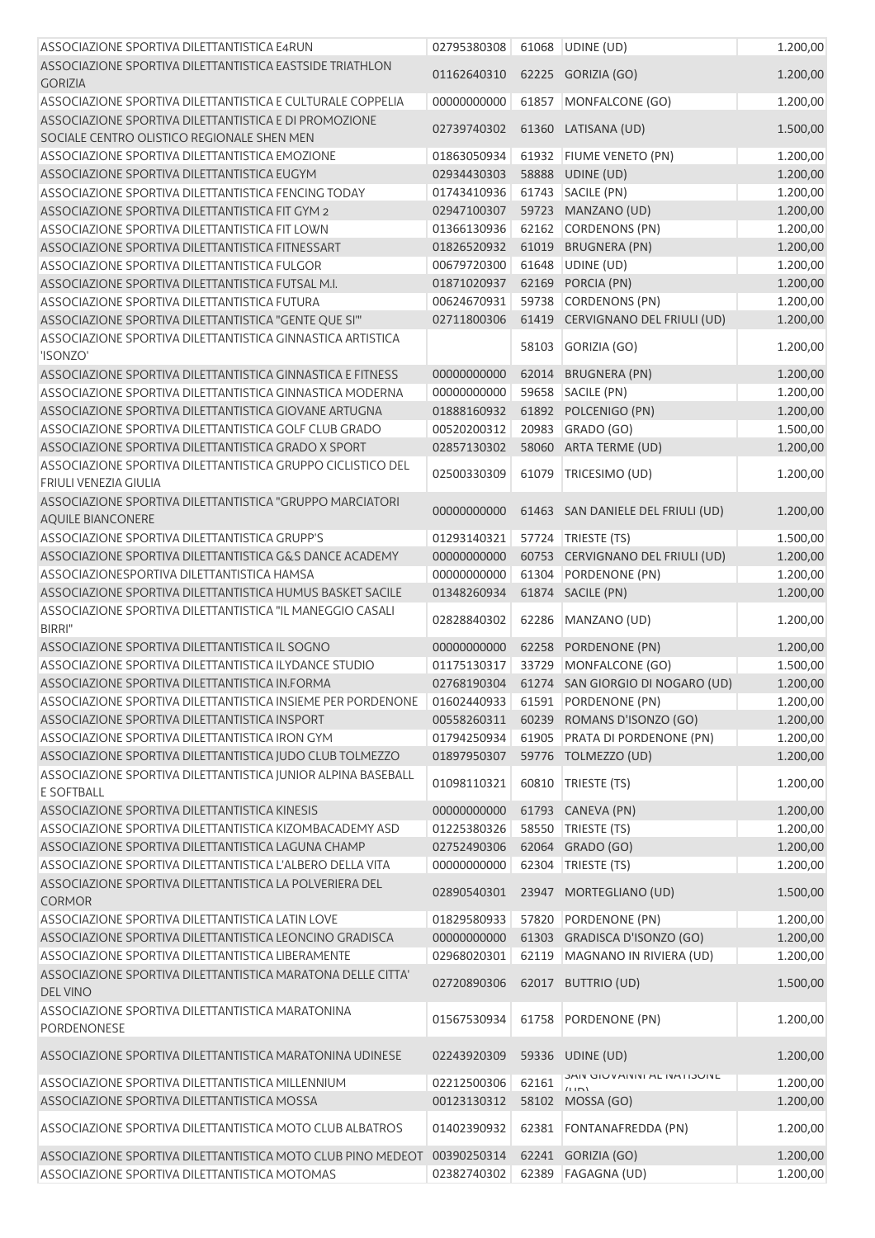| ASSOCIAZIONE SPORTIVA DILETTANTISTICA E4RUN                                                                          | 02795380308                |                | 61068 UDINE (UD)                               | 1.200,00             |
|----------------------------------------------------------------------------------------------------------------------|----------------------------|----------------|------------------------------------------------|----------------------|
| ASSOCIAZIONE SPORTIVA DILETTANTISTICA EASTSIDE TRIATHLON<br><b>GORIZIA</b>                                           | 01162640310                |                | 62225 GORIZIA (GO)                             | 1.200,00             |
| ASSOCIAZIONE SPORTIVA DILETTANTISTICA E CULTURALE COPPELIA                                                           | 00000000000                |                | 61857 MONFALCONE (GO)                          | 1.200,00             |
| ASSOCIAZIONE SPORTIVA DILETTANTISTICA E DI PROMOZIONE<br>SOCIALE CENTRO OLISTICO REGIONALE SHEN MEN                  | 02739740302                |                | 61360 LATISANA (UD)                            | 1.500,00             |
| ASSOCIAZIONE SPORTIVA DILETTANTISTICA EMOZIONE                                                                       | 01863050934                |                | 61932 FIUME VENETO (PN)                        | 1.200,00             |
| ASSOCIAZIONE SPORTIVA DILETTANTISTICA EUGYM                                                                          | 02934430303                | 58888          | UDINE (UD)                                     | 1.200,00             |
| ASSOCIAZIONE SPORTIVA DILETTANTISTICA FENCING TODAY                                                                  | 01743410936                | 61743          | SACILE (PN)                                    | 1.200,00             |
| ASSOCIAZIONE SPORTIVA DILETTANTISTICA FIT GYM 2                                                                      | 02947100307                |                | 59723 MANZANO (UD)                             | 1.200,00             |
| ASSOCIAZIONE SPORTIVA DILETTANTISTICA FIT LOWN                                                                       | 01366130936                |                | 62162 CORDENONS (PN)                           | 1.200,00             |
| ASSOCIAZIONE SPORTIVA DILETTANTISTICA FITNESSART                                                                     | 01826520932                |                | 61019 BRUGNERA (PN)                            | 1.200,00             |
| ASSOCIAZIONE SPORTIVA DILETTANTISTICA FULGOR                                                                         | 00679720300                |                | 61648 UDINE (UD)                               | 1.200,00             |
| ASSOCIAZIONE SPORTIVA DILETTANTISTICA FUTSAL M.I.                                                                    | 01871020937                |                | 62169 PORCIA (PN)                              | 1.200,00             |
| ASSOCIAZIONE SPORTIVA DILETTANTISTICA FUTURA                                                                         | 00624670931                |                | 59738 CORDENONS (PN)                           | 1.200,00             |
| ASSOCIAZIONE SPORTIVA DILETTANTISTICA "GENTE QUE SI"                                                                 | 02711800306                |                | 61419 CERVIGNANO DEL FRIULI (UD)               | 1.200,00             |
| ASSOCIAZIONE SPORTIVA DILETTANTISTICA GINNASTICA ARTISTICA<br>'ISONZO'                                               |                            | 58103          | GORIZIA (GO)                                   | 1.200,00             |
| ASSOCIAZIONE SPORTIVA DILETTANTISTICA GINNASTICA E FITNESS                                                           | 00000000000                | 62014          | <b>BRUGNERA (PN)</b>                           | 1.200,00             |
| ASSOCIAZIONE SPORTIVA DILETTANTISTICA GINNASTICA MODERNA                                                             | 00000000000                |                | 59658 SACILE (PN)                              | 1.200,00             |
| ASSOCIAZIONE SPORTIVA DILETTANTISTICA GIOVANE ARTUGNA                                                                | 01888160932                |                | 61892 POLCENIGO (PN)                           | 1.200,00             |
| ASSOCIAZIONE SPORTIVA DILETTANTISTICA GOLF CLUB GRADO                                                                | 00520200312                | 20983          | GRADO (GO)                                     | 1.500,00             |
| ASSOCIAZIONE SPORTIVA DILETTANTISTICA GRADO X SPORT                                                                  | 02857130302                |                | 58060 ARTA TERME (UD)                          | 1.200,00             |
| ASSOCIAZIONE SPORTIVA DILETTANTISTICA GRUPPO CICLISTICO DEL<br>FRIULI VENEZIA GIULIA                                 | 02500330309                | 61079          | TRICESIMO (UD)                                 | 1.200,00             |
| ASSOCIAZIONE SPORTIVA DILETTANTISTICA "GRUPPO MARCIATORI<br><b>AQUILE BIANCONERE</b>                                 | 00000000000                |                | 61463 SAN DANIELE DEL FRIULI (UD)              | 1.200,00             |
| ASSOCIAZIONE SPORTIVA DILETTANTISTICA GRUPP'S                                                                        | 01293140321                | 57724          | TRIESTE (TS)                                   | 1.500,00             |
| ASSOCIAZIONE SPORTIVA DILETTANTISTICA G&S DANCE ACADEMY                                                              | 00000000000                |                | 60753 CERVIGNANO DEL FRIULI (UD)               | 1.200,00             |
| ASSOCIAZIONESPORTIVA DILETTANTISTICA HAMSA                                                                           | 00000000000                | 61304          | PORDENONE (PN)                                 | 1.200,00             |
| ASSOCIAZIONE SPORTIVA DILETTANTISTICA HUMUS BASKET SACILE                                                            | 01348260934                |                | 61874 SACILE (PN)                              | 1.200,00             |
| ASSOCIAZIONE SPORTIVA DILETTANTISTICA "IL MANEGGIO CASALI<br><b>BIRRI"</b>                                           | 02828840302                | 62286          | MANZANO (UD)                                   | 1.200,00             |
| ASSOCIAZIONE SPORTIVA DILETTANTISTICA IL SOGNO                                                                       | 00000000000                | 62258          | PORDENONE (PN)                                 | 1.200,00             |
| ASSOCIAZIONE SPORTIVA DILETTANTISTICA ILYDANCE STUDIO                                                                | 01175130317                | 33729          | MONFALCONE (GO)                                | 1.500,00             |
| ASSOCIAZIONE SPORTIVA DILETTANTISTICA IN FORMA                                                                       | 02768190304                |                | 61274 SAN GIORGIO DI NOGARO (UD)               | 1.200,00             |
| ASSOCIAZIONE SPORTIVA DILETTANTISTICA INSIEME PER PORDENONE                                                          | 01602440933                |                | 61591 PORDENONE (PN)                           | 1.200,00             |
| ASSOCIAZIONE SPORTIVA DILETTANTISTICA INSPORT                                                                        | 00558260311                |                | 60239 ROMANS D'ISONZO (GO)                     | 1.200,00             |
| ASSOCIAZIONE SPORTIVA DILETTANTISTICA IRON GYM                                                                       | 01794250934                |                | 61905 PRATA DI PORDENONE (PN)                  | 1.200,00             |
| ASSOCIAZIONE SPORTIVA DILETTANTISTICA JUDO CLUB TOLMEZZO                                                             | 01897950307                |                | 59776 TOLMEZZO (UD)                            | 1.200,00             |
| ASSOCIAZIONE SPORTIVA DILETTANTISTICA JUNIOR ALPINA BASEBALL<br><b>E SOFTBALL</b>                                    | 01098110321                |                | 60810 TRIESTE (TS)                             | 1.200,00             |
| ASSOCIAZIONE SPORTIVA DILETTANTISTICA KINESIS                                                                        |                            |                |                                                |                      |
| ASSOCIAZIONE SPORTIVA DILETTANTISTICA KIZOMBACADEMY ASD                                                              | 00000000000<br>01225380326 | 61793          | CANEVA (PN)<br>TRIESTE (TS)                    | 1.200,00             |
| ASSOCIAZIONE SPORTIVA DILETTANTISTICA LAGUNA CHAMP                                                                   |                            | 58550          |                                                | 1.200,00             |
|                                                                                                                      | 02752490306                |                | 62064 GRADO (GO)<br>TRIESTE (TS)               | 1.200,00             |
| ASSOCIAZIONE SPORTIVA DILETTANTISTICA L'ALBERO DELLA VITA<br>ASSOCIAZIONE SPORTIVA DILETTANTISTICA LA POLVERIERA DEL | 00000000000<br>02890540301 | 62304<br>23947 | MORTEGLIANO (UD)                               | 1.200,00<br>1.500,00 |
| <b>CORMOR</b>                                                                                                        |                            |                |                                                |                      |
| ASSOCIAZIONE SPORTIVA DILETTANTISTICA LATIN LOVE                                                                     | 01829580933                |                | 57820 PORDENONE (PN)                           | 1.200,00             |
| ASSOCIAZIONE SPORTIVA DILETTANTISTICA LEONCINO GRADISCA                                                              | 00000000000                | 61303          | GRADISCA D'ISONZO (GO)                         | 1.200,00             |
| ASSOCIAZIONE SPORTIVA DILETTANTISTICA LIBERAMENTE                                                                    | 02968020301                |                | 62119 MAGNANO IN RIVIERA (UD)                  | 1.200,00             |
| ASSOCIAZIONE SPORTIVA DILETTANTISTICA MARATONA DELLE CITTA'<br><b>DEL VINO</b>                                       | 02720890306                |                | 62017 BUTTRIO (UD)                             | 1.500,00             |
| ASSOCIAZIONE SPORTIVA DILETTANTISTICA MARATONINA<br>PORDENONESE                                                      | 01567530934                | 61758          | PORDENONE (PN)                                 | 1.200,00             |
| ASSOCIAZIONE SPORTIVA DILETTANTISTICA MARATONINA UDINESE                                                             | 02243920309                |                | 59336 UDINE (UD)                               | 1.200,00             |
| ASSOCIAZIONE SPORTIVA DILETTANTISTICA MILLENNIUM                                                                     | 02212500306                | 62161          | <b>JAIN UIU VAININI AL INATIJUINL</b><br>(11D) | 1.200,00             |
| ASSOCIAZIONE SPORTIVA DILETTANTISTICA MOSSA                                                                          | 00123130312                | 58102          | MOSSA (GO)                                     | 1.200,00             |
| ASSOCIAZIONE SPORTIVA DILETTANTISTICA MOTO CLUB ALBATROS                                                             | 01402390932                | 62381          | <b>FONTANAFREDDA (PN)</b>                      | 1.200,00             |
| ASSOCIAZIONE SPORTIVA DILETTANTISTICA MOTO CLUB PINO MEDEOT<br>ASSOCIAZIONE SPORTIVA DILETTANTISTICA MOTOMAS         | 00390250314<br>02382740302 |                | 62241 GORIZIA (GO)<br>62389 FAGAGNA (UD)       | 1.200,00<br>1.200,00 |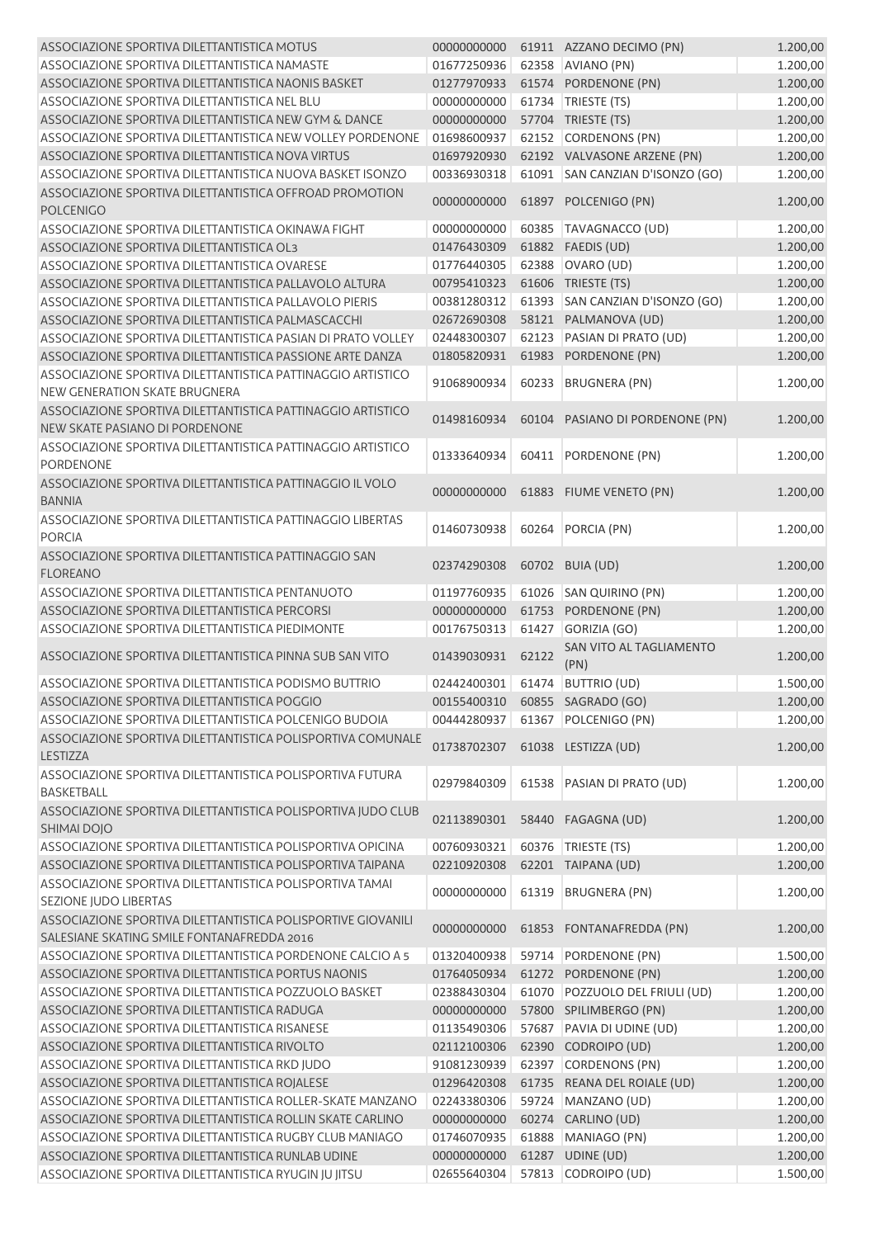| ASSOCIAZIONE SPORTIVA DILETTANTISTICA MOTUS                                | 00000000000                    |       | 61911 AZZANO DECIMO (PN)             | 1.200,00 |
|----------------------------------------------------------------------------|--------------------------------|-------|--------------------------------------|----------|
| ASSOCIAZIONE SPORTIVA DILETTANTISTICA NAMASTE                              | 01677250936                    |       | 62358 AVIANO (PN)                    | 1.200,00 |
| ASSOCIAZIONE SPORTIVA DILETTANTISTICA NAONIS BASKET                        | 01277970933                    |       | 61574 PORDENONE (PN)                 | 1.200,00 |
| ASSOCIAZIONE SPORTIVA DILETTANTISTICA NEL BLU                              | 00000000000                    |       | 61734   TRIESTE (TS)                 | 1.200,00 |
| ASSOCIAZIONE SPORTIVA DILETTANTISTICA NEW GYM & DANCE                      | 00000000000                    |       | 57704 TRIESTE (TS)                   | 1.200,00 |
| ASSOCIAZIONE SPORTIVA DILETTANTISTICA NEW VOLLEY PORDENONE                 | 01698600937                    |       | 62152 CORDENONS (PN)                 | 1.200,00 |
| ASSOCIAZIONE SPORTIVA DILETTANTISTICA NOVA VIRTUS                          | 01697920930                    |       | 62192 VALVASONE ARZENE (PN)          | 1.200,00 |
| ASSOCIAZIONE SPORTIVA DILETTANTISTICA NUOVA BASKET ISONZO                  | 00336930318                    |       | 61091 SAN CANZIAN D'ISONZO (GO)      | 1.200,00 |
| ASSOCIAZIONE SPORTIVA DILETTANTISTICA OFFROAD PROMOTION                    |                                |       |                                      |          |
| <b>POLCENIGO</b>                                                           | 00000000000                    |       | 61897 POLCENIGO (PN)                 | 1.200,00 |
| ASSOCIAZIONE SPORTIVA DILETTANTISTICA OKINAWA FIGHT                        | 00000000000                    |       | 60385   TAVAGNACCO (UD)              | 1.200,00 |
| ASSOCIAZIONE SPORTIVA DILETTANTISTICA OL3                                  | 01476430309                    |       | 61882 FAEDIS (UD)                    | 1.200,00 |
| ASSOCIAZIONE SPORTIVA DILETTANTISTICA OVARESE                              | 01776440305                    | 62388 | OVARO (UD)                           | 1.200,00 |
| ASSOCIAZIONE SPORTIVA DILETTANTISTICA PALLAVOLO ALTURA                     | 00795410323                    |       | 61606 TRIESTE (TS)                   | 1.200,00 |
| ASSOCIAZIONE SPORTIVA DILETTANTISTICA PALLAVOLO PIERIS                     | 00381280312                    | 61393 | SAN CANZIAN D'ISONZO (GO)            | 1.200,00 |
| ASSOCIAZIONE SPORTIVA DILETTANTISTICA PALMASCACCHI                         | 02672690308                    |       | 58121 PALMANOVA (UD)                 | 1.200,00 |
| ASSOCIAZIONE SPORTIVA DILETTANTISTICA PASIAN DI PRATO VOLLEY               | 02448300307                    | 62123 | PASIAN DI PRATO (UD)                 | 1.200,00 |
| ASSOCIAZIONE SPORTIVA DILETTANTISTICA PASSIONE ARTE DANZA                  | 01805820931                    |       | 61983 PORDENONE (PN)                 | 1.200,00 |
| ASSOCIAZIONE SPORTIVA DILETTANTISTICA PATTINAGGIO ARTISTICO                |                                |       |                                      |          |
| <b>NEW GENERATION SKATE BRUGNERA</b>                                       | 91068900934                    | 60233 | <b>BRUGNERA (PN)</b>                 | 1.200,00 |
| ASSOCIAZIONE SPORTIVA DILETTANTISTICA PATTINAGGIO ARTISTICO                | 01498160934                    |       | 60104 PASIANO DI PORDENONE (PN)      | 1.200,00 |
| NEW SKATE PASIANO DI PORDENONE                                             |                                |       |                                      |          |
| ASSOCIAZIONE SPORTIVA DILETTANTISTICA PATTINAGGIO ARTISTICO                | 01333640934                    |       |                                      |          |
| <b>PORDENONE</b>                                                           |                                | 60411 | PORDENONE (PN)                       | 1.200,00 |
| ASSOCIAZIONE SPORTIVA DILETTANTISTICA PATTINAGGIO IL VOLO<br><b>BANNIA</b> | 00000000000                    |       | 61883 FIUME VENETO (PN)              | 1.200,00 |
| ASSOCIAZIONE SPORTIVA DILETTANTISTICA PATTINAGGIO LIBERTAS                 |                                |       |                                      |          |
| <b>PORCIA</b>                                                              | 01460730938                    |       | 60264 PORCIA (PN)                    | 1.200,00 |
| ASSOCIAZIONE SPORTIVA DILETTANTISTICA PATTINAGGIO SAN                      |                                |       |                                      |          |
| <b>FLOREANO</b>                                                            | 02374290308                    |       | 60702 BUIA (UD)                      | 1.200,00 |
|                                                                            |                                |       |                                      |          |
| ASSOCIAZIONE SPORTIVA DILETTANTISTICA PENTANUOTO                           | 01197760935                    | 61026 | SAN QUIRINO (PN)                     | 1.200,00 |
| ASSOCIAZIONE SPORTIVA DILETTANTISTICA PERCORSI                             | 00000000000                    | 61753 | PORDENONE (PN)                       | 1.200,00 |
| ASSOCIAZIONE SPORTIVA DILETTANTISTICA PIEDIMONTE                           | 00176750313                    | 61427 | GORIZIA (GO)                         | 1.200,00 |
| ASSOCIAZIONE SPORTIVA DILETTANTISTICA PINNA SUB SAN VITO                   | 01439030931                    | 62122 | SAN VITO AL TAGLIAMENTO<br>(PN)      | 1.200,00 |
| ASSOCIAZIONE SPORTIVA DILETTANTISTICA PODISMO BUTTRIO                      | 02442400301 61474 BUTTRIO (UD) |       |                                      | 1.500,00 |
| ASSOCIAZIONE SPORTIVA DILETTANTISTICA POGGIO                               |                                |       | 00155400310    60855    SAGRADO (GO) | 1.200,00 |
| ASSOCIAZIONE SPORTIVA DILETTANTISTICA POLCENIGO BUDOIA                     | 00444280937                    |       | 61367 POLCENIGO (PN)                 | 1.200,00 |
| ASSOCIAZIONE SPORTIVA DILETTANTISTICA POLISPORTIVA COMUNALE                |                                |       |                                      |          |
| LESTIZZA                                                                   | 01738702307                    |       | 61038 LESTIZZA (UD)                  | 1.200,00 |
| ASSOCIAZIONE SPORTIVA DILETTANTISTICA POLISPORTIVA FUTURA                  |                                |       |                                      |          |
| <b>BASKETBALL</b>                                                          | 02979840309                    | 61538 | PASIAN DI PRATO (UD)                 | 1.200,00 |
| ASSOCIAZIONE SPORTIVA DILETTANTISTICA POLISPORTIVA JUDO CLUB               |                                |       |                                      |          |
|                                                                            | 02113890301                    |       | 58440 FAGAGNA (UD)                   | 1.200,00 |
| SHIMAI DOJO                                                                |                                |       |                                      |          |
| ASSOCIAZIONE SPORTIVA DILETTANTISTICA POLISPORTIVA OPICINA                 | 00760930321                    |       | 60376   TRIESTE (TS)                 | 1.200,00 |
| ASSOCIAZIONE SPORTIVA DILETTANTISTICA POLISPORTIVA TAIPANA                 | 02210920308                    |       | 62201 TAIPANA (UD)                   | 1.200,00 |
| ASSOCIAZIONE SPORTIVA DILETTANTISTICA POLISPORTIVA TAMAI                   | 00000000000                    | 61319 | <b>BRUGNERA (PN)</b>                 | 1.200,00 |
| SEZIONE JUDO LIBERTAS                                                      |                                |       |                                      |          |
| ASSOCIAZIONE SPORTIVA DILETTANTISTICA POLISPORTIVE GIOVANILI               | 00000000000                    | 61853 | <b>FONTANAFREDDA (PN)</b>            | 1.200,00 |
| SALESIANE SKATING SMILE FONTANAFREDDA 2016                                 |                                |       |                                      |          |
| ASSOCIAZIONE SPORTIVA DILETTANTISTICA PORDENONE CALCIO A 5                 | 01320400938                    | 59714 | PORDENONE (PN)                       | 1.500,00 |
| ASSOCIAZIONE SPORTIVA DILETTANTISTICA PORTUS NAONIS                        | 01764050934                    |       | 61272 PORDENONE (PN)                 | 1.200,00 |
| ASSOCIAZIONE SPORTIVA DILETTANTISTICA POZZUOLO BASKET                      | 02388430304                    |       | 61070 POZZUOLO DEL FRIULI (UD)       | 1.200,00 |
| ASSOCIAZIONE SPORTIVA DILETTANTISTICA RADUGA                               | 00000000000                    |       | 57800 SPILIMBERGO (PN)               | 1.200,00 |
| ASSOCIAZIONE SPORTIVA DILETTANTISTICA RISANESE                             | 01135490306                    | 57687 | PAVIA DI UDINE (UD)                  | 1.200,00 |
| ASSOCIAZIONE SPORTIVA DILETTANTISTICA RIVOLTO                              | 02112100306                    |       | 62390 CODROIPO (UD)                  | 1.200,00 |
| ASSOCIAZIONE SPORTIVA DILETTANTISTICA RKD JUDO                             | 91081230939                    |       | 62397 CORDENONS (PN)                 | 1.200,00 |
| ASSOCIAZIONE SPORTIVA DILETTANTISTICA ROJALESE                             | 01296420308                    |       | 61735 REANA DEL ROIALE (UD)          | 1.200,00 |
| ASSOCIAZIONE SPORTIVA DILETTANTISTICA ROLLER-SKATE MANZANO                 | 02243380306                    | 59724 | MANZANO (UD)                         | 1.200,00 |
| ASSOCIAZIONE SPORTIVA DILETTANTISTICA ROLLIN SKATE CARLINO                 |                                |       |                                      |          |
|                                                                            | 00000000000                    |       | 60274 CARLINO (UD)                   | 1.200,00 |
| ASSOCIAZIONE SPORTIVA DILETTANTISTICA RUGBY CLUB MANIAGO                   | 01746070935                    |       | 61888 MANIAGO (PN)                   | 1.200,00 |
| ASSOCIAZIONE SPORTIVA DILETTANTISTICA RUNLAB UDINE                         | 00000000000                    |       | 61287 UDINE (UD)                     | 1.200,00 |
| ASSOCIAZIONE SPORTIVA DILETTANTISTICA RYUGIN JU JITSU                      | 02655640304                    |       | 57813 CODROIPO (UD)                  | 1.500,00 |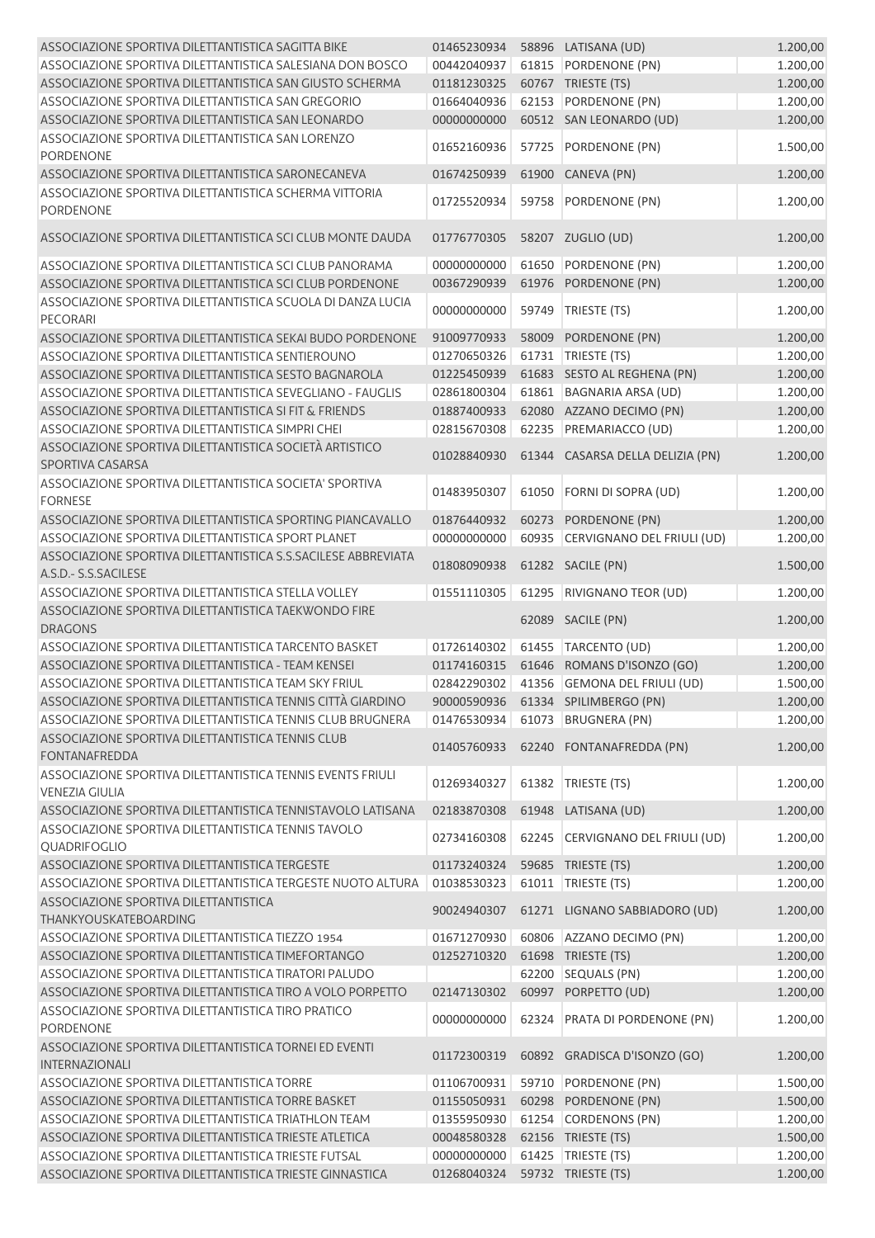| ASSOCIAZIONE SPORTIVA DILETTANTISTICA SAGITTA BIKE                                    | 01465230934 |       | 58896 LATISANA (UD)                      | 1.200,00 |
|---------------------------------------------------------------------------------------|-------------|-------|------------------------------------------|----------|
| ASSOCIAZIONE SPORTIVA DILETTANTISTICA SALESIANA DON BOSCO                             | 00442040937 |       | 61815 PORDENONE (PN)                     | 1.200,00 |
| ASSOCIAZIONE SPORTIVA DILETTANTISTICA SAN GIUSTO SCHERMA                              | 01181230325 |       | 60767 TRIESTE (TS)                       | 1.200,00 |
| ASSOCIAZIONE SPORTIVA DILETTANTISTICA SAN GREGORIO                                    | 01664040936 | 62153 | PORDENONE (PN)                           | 1.200,00 |
| ASSOCIAZIONE SPORTIVA DILETTANTISTICA SAN LEONARDO                                    | 00000000000 |       | 60512 SAN LEONARDO (UD)                  | 1.200,00 |
| ASSOCIAZIONE SPORTIVA DILETTANTISTICA SAN LORENZO<br><b>PORDENONE</b>                 | 01652160936 | 57725 | PORDENONE (PN)                           | 1.500,00 |
| ASSOCIAZIONE SPORTIVA DILETTANTISTICA SARONECANEVA                                    | 01674250939 | 61900 | CANEVA (PN)                              | 1.200,00 |
| ASSOCIAZIONE SPORTIVA DILETTANTISTICA SCHERMA VITTORIA<br><b>PORDENONE</b>            | 01725520934 | 59758 | PORDENONE (PN)                           | 1.200,00 |
| ASSOCIAZIONE SPORTIVA DILETTANTISTICA SCI CLUB MONTE DAUDA                            | 01776770305 |       | 58207 ZUGLIO (UD)                        | 1.200,00 |
| ASSOCIAZIONE SPORTIVA DILETTANTISTICA SCI CLUB PANORAMA                               | 00000000000 | 61650 | PORDENONE (PN)                           | 1.200,00 |
| ASSOCIAZIONE SPORTIVA DILETTANTISTICA SCI CLUB PORDENONE                              | 00367290939 | 61976 | PORDENONE (PN)                           | 1.200,00 |
| ASSOCIAZIONE SPORTIVA DILETTANTISTICA SCUOLA DI DANZA LUCIA<br><b>PECORARI</b>        | 00000000000 | 59749 | TRIESTE (TS)                             | 1.200,00 |
| ASSOCIAZIONE SPORTIVA DILETTANTISTICA SEKAI BUDO PORDENONE                            | 91009770933 | 58009 | PORDENONE (PN)                           | 1.200,00 |
| ASSOCIAZIONE SPORTIVA DILETTANTISTICA SENTIEROUNO                                     | 01270650326 |       | 61731   TRIESTE (TS)                     | 1.200,00 |
| ASSOCIAZIONE SPORTIVA DILETTANTISTICA SESTO BAGNAROLA                                 | 01225450939 |       | 61683 SESTO AL REGHENA (PN)              | 1.200,00 |
| ASSOCIAZIONE SPORTIVA DILETTANTISTICA SEVEGLIANO - FAUGLIS                            | 02861800304 | 61861 | <b>BAGNARIA ARSA (UD)</b>                | 1.200,00 |
| ASSOCIAZIONE SPORTIVA DILETTANTISTICA SI FIT & FRIENDS                                | 01887400933 | 62080 | AZZANO DECIMO (PN)                       | 1.200,00 |
| ASSOCIAZIONE SPORTIVA DILETTANTISTICA SIMPRI CHEI                                     | 02815670308 | 62235 | PREMARIACCO (UD)                         | 1.200,00 |
| ASSOCIAZIONE SPORTIVA DILETTANTISTICA SOCIETÀ ARTISTICO<br>SPORTIVA CASARSA           | 01028840930 |       | 61344 CASARSA DELLA DELIZIA (PN)         | 1.200,00 |
| ASSOCIAZIONE SPORTIVA DILETTANTISTICA SOCIETA' SPORTIVA<br><b>FORNESE</b>             | 01483950307 | 61050 | FORNI DI SOPRA (UD)                      | 1.200,00 |
| ASSOCIAZIONE SPORTIVA DILETTANTISTICA SPORTING PIANCAVALLO                            | 01876440932 | 60273 | PORDENONE (PN)                           | 1.200,00 |
| ASSOCIAZIONE SPORTIVA DILETTANTISTICA SPORT PLANET                                    | 00000000000 | 60935 | CERVIGNANO DEL FRIULI (UD)               | 1.200,00 |
| ASSOCIAZIONE SPORTIVA DILETTANTISTICA S.S.SACILESE ABBREVIATA<br>A.S.D.- S.S.SACILESE | 01808090938 |       | 61282 SACILE (PN)                        | 1.500,00 |
| ASSOCIAZIONE SPORTIVA DILETTANTISTICA STELLA VOLLEY                                   | 01551110305 | 61295 | RIVIGNANO TEOR (UD)                      | 1.200,00 |
| ASSOCIAZIONE SPORTIVA DILETTANTISTICA TAEKWONDO FIRE<br><b>DRAGONS</b>                |             |       | 62089 SACILE (PN)                        | 1.200,00 |
| ASSOCIAZIONE SPORTIVA DILETTANTISTICA TARCENTO BASKET                                 | 01726140302 |       | 61455 TARCENTO (UD)                      | 1.200,00 |
| ASSOCIAZIONE SPORTIVA DILETTANTISTICA - TEAM KENSEI                                   | 01174160315 |       | 61646 ROMANS D'ISONZO (GO)               | 1.200,00 |
| ASSOCIAZIONE SPORTIVA DILETTANTISTICA TEAM SKY FRIUL                                  | 02842290302 |       | 41356 GEMONA DEL FRIULI (UD)             | 1.500,00 |
| ASSOCIAZIONE SPORTIVA DILETTANTISTICA TENNIS CITTÀ GIARDINO                           |             |       | 90000590936    61334    SPILIMBERGO (PN) | 1.200,00 |
| ASSOCIAZIONE SPORTIVA DILETTANTISTICA TENNIS CLUB BRUGNERA                            | 01476530934 |       | 61073 BRUGNERA (PN)                      | 1.200,00 |
| ASSOCIAZIONE SPORTIVA DILETTANTISTICA TENNIS CLUB<br><b>FONTANAFREDDA</b>             | 01405760933 |       | 62240 FONTANAFREDDA (PN)                 | 1.200,00 |
| ASSOCIAZIONE SPORTIVA DILETTANTISTICA TENNIS EVENTS FRIULI<br><b>VENEZIA GIULIA</b>   | 01269340327 |       | 61382 TRIESTE (TS)                       | 1.200,00 |
| ASSOCIAZIONE SPORTIVA DILETTANTISTICA TENNISTAVOLO LATISANA                           | 02183870308 |       | 61948 LATISANA (UD)                      | 1.200,00 |
| ASSOCIAZIONE SPORTIVA DILETTANTISTICA TENNIS TAVOLO<br>QUADRIFOGLIO                   | 02734160308 | 62245 | CERVIGNANO DEL FRIULI (UD)               | 1.200,00 |
| ASSOCIAZIONE SPORTIVA DILETTANTISTICA TERGESTE                                        | 01173240324 |       | 59685 TRIESTE (TS)                       | 1.200,00 |
| ASSOCIAZIONE SPORTIVA DILETTANTISTICA TERGESTE NUOTO ALTURA                           | 01038530323 | 61011 | TRIESTE (TS)                             | 1.200,00 |
| ASSOCIAZIONE SPORTIVA DILETTANTISTICA<br>THANKYOUSKATEBOARDING                        | 90024940307 |       | 61271 LIGNANO SABBIADORO (UD)            | 1.200,00 |
| ASSOCIAZIONE SPORTIVA DILETTANTISTICA TIEZZO 1954                                     | 01671270930 |       | 60806 AZZANO DECIMO (PN)                 | 1.200,00 |
| ASSOCIAZIONE SPORTIVA DILETTANTISTICA TIMEFORTANGO                                    | 01252710320 |       | 61698 TRIESTE (TS)                       | 1.200,00 |
| ASSOCIAZIONE SPORTIVA DILETTANTISTICA TIRATORI PALUDO                                 |             |       | 62200 SEQUALS (PN)                       | 1.200,00 |
| ASSOCIAZIONE SPORTIVA DILETTANTISTICA TIRO A VOLO PORPETTO                            | 02147130302 | 60997 | PORPETTO (UD)                            | 1.200,00 |
| ASSOCIAZIONE SPORTIVA DILETTANTISTICA TIRO PRATICO<br><b>PORDENONE</b>                | 00000000000 | 62324 | PRATA DI PORDENONE (PN)                  | 1.200,00 |
| ASSOCIAZIONE SPORTIVA DILETTANTISTICA TORNEI ED EVENTI<br><b>INTERNAZIONALI</b>       | 01172300319 |       | 60892 GRADISCA D'ISONZO (GO)             | 1.200,00 |
| ASSOCIAZIONE SPORTIVA DILETTANTISTICA TORRE                                           | 01106700931 |       | 59710 PORDENONE (PN)                     | 1.500,00 |
| ASSOCIAZIONE SPORTIVA DILETTANTISTICA TORRE BASKET                                    | 01155050931 |       | 60298 PORDENONE (PN)                     | 1.500,00 |
| ASSOCIAZIONE SPORTIVA DILETTANTISTICA TRIATHLON TEAM                                  | 01355950930 |       | 61254 CORDENONS (PN)                     | 1.200,00 |
| ASSOCIAZIONE SPORTIVA DILETTANTISTICA TRIESTE ATLETICA                                | 00048580328 |       | 62156 TRIESTE (TS)                       | 1.500,00 |
| ASSOCIAZIONE SPORTIVA DILETTANTISTICA TRIESTE FUTSAL                                  | 00000000000 | 61425 | TRIESTE (TS)                             | 1.200,00 |
| ASSOCIAZIONE SPORTIVA DILETTANTISTICA TRIESTE GINNASTICA                              | 01268040324 |       | 59732 TRIESTE (TS)                       | 1.200,00 |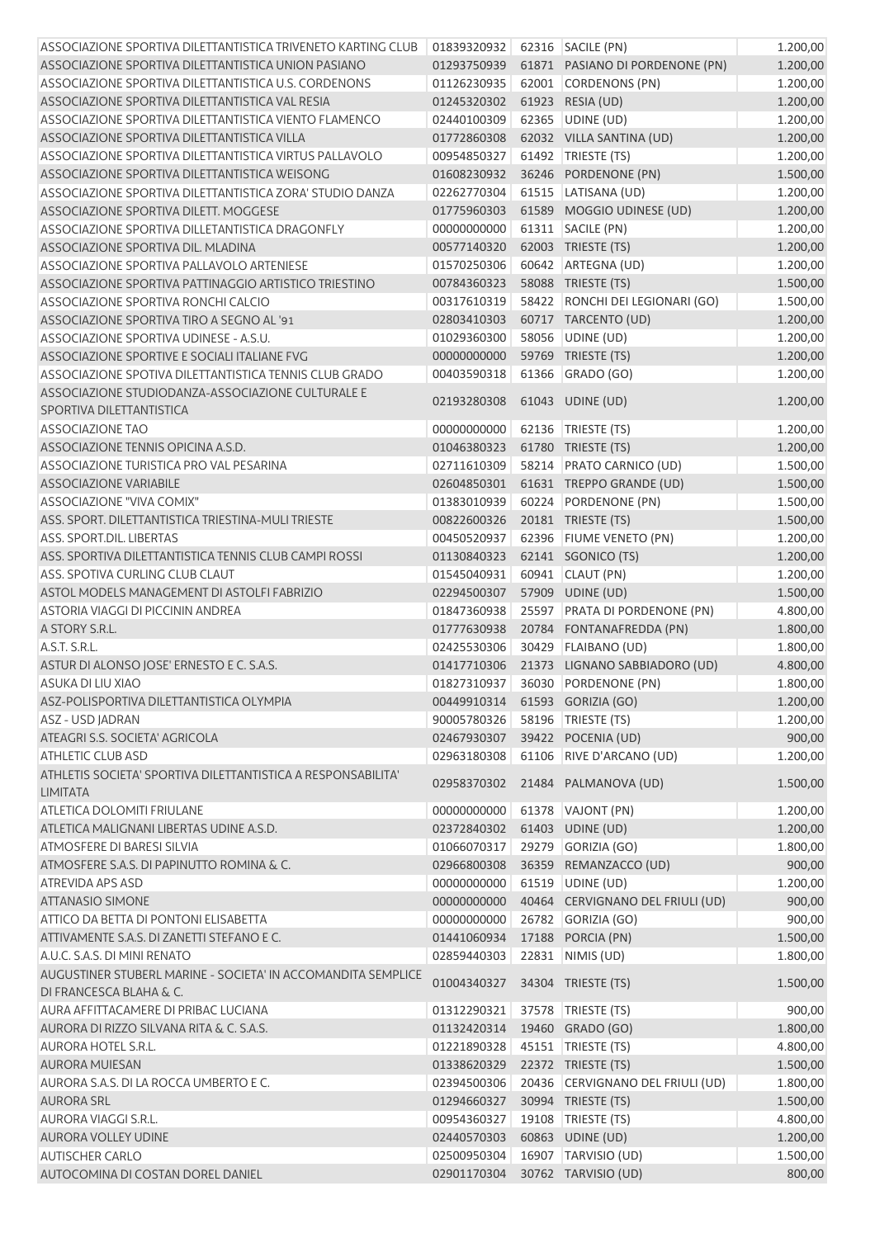| ASSOCIAZIONE SPORTIVA DILETTANTISTICA TRIVENETO KARTING CLUB                    | 01839320932 62316 SACILE (PN) |       |                                      | 1.200,00 |
|---------------------------------------------------------------------------------|-------------------------------|-------|--------------------------------------|----------|
| ASSOCIAZIONE SPORTIVA DILETTANTISTICA UNION PASIANO                             | 01293750939                   |       | 61871 PASIANO DI PORDENONE (PN)      | 1.200,00 |
| ASSOCIAZIONE SPORTIVA DILETTANTISTICA U.S. CORDENONS                            | 01126230935                   |       | 62001 CORDENONS (PN)                 | 1.200,00 |
| ASSOCIAZIONE SPORTIVA DILETTANTISTICA VAL RESIA                                 | 01245320302                   |       | 61923 RESIA (UD)                     | 1.200,00 |
| ASSOCIAZIONE SPORTIVA DILETTANTISTICA VIENTO FLAMENCO                           | 02440100309                   |       | 62365 UDINE (UD)                     | 1.200,00 |
| ASSOCIAZIONE SPORTIVA DILETTANTISTICA VILLA                                     | 01772860308                   |       | 62032 VILLA SANTINA (UD)             | 1.200,00 |
| ASSOCIAZIONE SPORTIVA DILETTANTISTICA VIRTUS PALLAVOLO                          | 00954850327                   |       | 61492 TRIESTE (TS)                   | 1.200,00 |
| ASSOCIAZIONE SPORTIVA DILETTANTISTICA WEISONG                                   | 01608230932                   |       | 36246 PORDENONE (PN)                 | 1.500,00 |
| ASSOCIAZIONE SPORTIVA DILETTANTISTICA ZORA' STUDIO DANZA                        | 02262770304                   |       | 61515   LATISANA (UD)                | 1.200,00 |
| ASSOCIAZIONE SPORTIVA DILETT, MOGGESE                                           |                               |       |                                      |          |
|                                                                                 | 01775960303                   |       | 61589 MOGGIO UDINESE (UD)            | 1.200,00 |
| ASSOCIAZIONE SPORTIVA DILLETANTISTICA DRAGONFLY                                 | 00000000000                   |       | 61311 SACILE (PN)                    | 1.200,00 |
| ASSOCIAZIONE SPORTIVA DIL. MLADINA                                              | 00577140320                   |       | 62003 TRIESTE (TS)                   | 1.200,00 |
| ASSOCIAZIONE SPORTIVA PALLAVOLO ARTENIESE                                       | 01570250306                   |       | 60642 ARTEGNA (UD)                   | 1.200,00 |
| ASSOCIAZIONE SPORTIVA PATTINAGGIO ARTISTICO TRIESTINO                           | 00784360323                   |       | 58088 TRIESTE (TS)                   | 1.500,00 |
| ASSOCIAZIONE SPORTIVA RONCHI CALCIO                                             | 00317610319                   | 58422 | RONCHI DEI LEGIONARI (GO)            | 1.500,00 |
| ASSOCIAZIONE SPORTIVA TIRO A SEGNO AL '91                                       | 02803410303                   |       | 60717 TARCENTO (UD)                  | 1.200,00 |
| ASSOCIAZIONE SPORTIVA UDINESE - A.S.U.                                          | 01029360300                   |       | 58056 UDINE (UD)                     | 1.200,00 |
| ASSOCIAZIONE SPORTIVE E SOCIALI ITALIANE FVG                                    | 00000000000                   |       | 59769 TRIESTE (TS)                   | 1.200,00 |
| ASSOCIAZIONE SPOTIVA DILETTANTISTICA TENNIS CLUB GRADO                          | 00403590318                   |       | 61366 GRADO (GO)                     | 1.200,00 |
| ASSOCIAZIONE STUDIODANZA-ASSOCIAZIONE CULTURALE E                               |                               |       |                                      |          |
| SPORTIVA DILETTANTISTICA                                                        | 02193280308                   |       | 61043 UDINE (UD)                     | 1.200,00 |
| <b>ASSOCIAZIONE TAO</b>                                                         | 00000000000                   |       | 62136   TRIESTE (TS)                 | 1.200,00 |
| ASSOCIAZIONE TENNIS OPICINA A.S.D.                                              | 01046380323                   |       | 61780 TRIESTE (TS)                   | 1.200,00 |
| ASSOCIAZIONE TURISTICA PRO VAL PESARINA                                         | 02711610309                   |       | 58214 PRATO CARNICO (UD)             | 1.500,00 |
| <b>ASSOCIAZIONE VARIABILE</b>                                                   | 02604850301                   |       | 61631 TREPPO GRANDE (UD)             | 1.500,00 |
| ASSOCIAZIONE "VIVA COMIX"                                                       | 01383010939                   |       | 60224 PORDENONE (PN)                 | 1.500,00 |
| ASS. SPORT. DILETTANTISTICA TRIESTINA-MULI TRIESTE                              | 00822600326                   |       | 20181 TRIESTE (TS)                   | 1.500,00 |
| <b>ASS. SPORT.DIL. LIBERTAS</b>                                                 | 00450520937                   |       | 62396 FIUME VENETO (PN)              | 1.200,00 |
| ASS. SPORTIVA DILETTANTISTICA TENNIS CLUB CAMPI ROSSI                           | 01130840323                   |       | 62141 SGONICO (TS)                   | 1.200,00 |
| ASS. SPOTIVA CURLING CLUB CLAUT                                                 | 01545040931                   |       | 60941 CLAUT (PN)                     |          |
|                                                                                 |                               |       |                                      | 1.200,00 |
| ASTOL MODELS MANAGEMENT DI ASTOLFI FABRIZIO                                     | 02294500307                   |       | 57909 UDINE (UD)                     | 1.500,00 |
| ASTORIA VIAGGI DI PICCININ ANDREA                                               | 01847360938                   |       | 25597 PRATA DI PORDENONE (PN)        | 4.800,00 |
| A STORY S.R.L.                                                                  | 01777630938                   |       | 20784 FONTANAFREDDA (PN)             | 1.800,00 |
| A.S.T. S.R.L.                                                                   | 02425530306                   |       | 30429 FLAIBANO (UD)                  | 1.800,00 |
| ASTUR DI ALONSO JOSE' ERNESTO E C. S.A.S.                                       | 01417710306                   |       | 21373 LIGNANO SABBIADORO (UD)        | 4.800,00 |
| ASUKA DI LIU XIAO                                                               | 01827310937                   |       | 36030 PORDENONE (PN)                 | 1.800,00 |
| ASZ-POLISPORTIVA DILETTANTISTICA OLYMPIA                                        |                               |       | 00449910314    61593    GORIZIA (GO) | 1.200,00 |
| <b>ASZ - USD JADRAN</b>                                                         | 90005780326                   |       | 58196   TRIESTE (TS)                 | 1.200,00 |
| ATEAGRI S.S. SOCIETA' AGRICOLA                                                  | 02467930307                   |       | 39422 POCENIA (UD)                   | 900,00   |
| <b>ATHLETIC CLUB ASD</b>                                                        | 02963180308                   |       | 61106 RIVE D'ARCANO (UD)             | 1.200,00 |
| ATHLETIS SOCIETA' SPORTIVA DILETTANTISTICA A RESPONSABILITA'<br><b>LIMITATA</b> | 02958370302                   |       | 21484 PALMANOVA (UD)                 | 1.500,00 |
| <b>ATLETICA DOLOMITI FRIULANE</b>                                               | 00000000000                   |       | 61378 VAJONT (PN)                    | 1.200,00 |
| ATLETICA MALIGNANI LIBERTAS UDINE A.S.D.                                        | 02372840302                   |       | 61403 UDINE (UD)                     | 1.200,00 |
| <b>ATMOSFERE DI BARESI SILVIA</b>                                               | 01066070317                   |       | 29279 GORIZIA (GO)                   | 1.800,00 |
| ATMOSFERE S.A.S. DI PAPINUTTO ROMINA & C.                                       | 02966800308                   |       | 36359 REMANZACCO (UD)                | 900,00   |
| <b>ATREVIDA APS ASD</b>                                                         | 00000000000                   |       | 61519 UDINE (UD)                     | 1.200,00 |
| <b>ATTANASIO SIMONE</b>                                                         | 00000000000                   |       | 40464 CERVIGNANO DEL FRIULI (UD)     | 900,00   |
| ATTICO DA BETTA DI PONTONI ELISABETTA                                           | 00000000000                   |       | 26782 GORIZIA (GO)                   | 900,00   |
| ATTIVAMENTE S.A.S. DI ZANETTI STEFANO E C.                                      | 01441060934                   |       | 17188 PORCIA (PN)                    | 1.500,00 |
| A.U.C. S.A.S. DI MINI RENATO                                                    | 02859440303                   |       | 22831 NIMIS (UD)                     | 1.800,00 |
| AUGUSTINER STUBERL MARINE - SOCIETA' IN ACCOMANDITA SEMPLICE                    |                               |       |                                      |          |
| DI FRANCESCA BLAHA & C.                                                         | 01004340327                   |       | 34304 TRIESTE (TS)                   | 1.500,00 |
| AURA AFFITTACAMERE DI PRIBAC LUCIANA                                            | 01312290321                   |       | 37578 TRIESTE (TS)                   | 900,00   |
| AURORA DI RIZZO SILVANA RITA & C. S.A.S.                                        | 01132420314                   |       | 19460 GRADO (GO)                     | 1.800,00 |
| <b>AURORA HOTEL S.R.L.</b>                                                      | 01221890328                   |       | 45151   TRIESTE (TS)                 | 4.800,00 |
| <b>AURORA MUIESAN</b>                                                           | 01338620329                   |       | 22372 TRIESTE (TS)                   | 1.500,00 |
| AURORA S.A.S. DI LA ROCCA UMBERTO E C.                                          | 02394500306                   |       | 20436 CERVIGNANO DEL FRIULI (UD)     | 1.800,00 |
| <b>AURORA SRL</b>                                                               | 01294660327                   |       | 30994 TRIESTE (TS)                   | 1.500,00 |
| AURORA VIAGGI S.R.L.                                                            | 00954360327                   |       | 19108   TRIESTE (TS)                 | 4.800,00 |
| AURORA VOLLEY UDINE                                                             | 02440570303                   |       | 60863 UDINE (UD)                     | 1.200,00 |
| <b>AUTISCHER CARLO</b>                                                          | 02500950304                   |       | 16907 TARVISIO (UD)                  | 1.500,00 |
| AUTOCOMINA DI COSTAN DOREL DANIEL                                               | 02901170304                   |       | 30762 TARVISIO (UD)                  | 800,00   |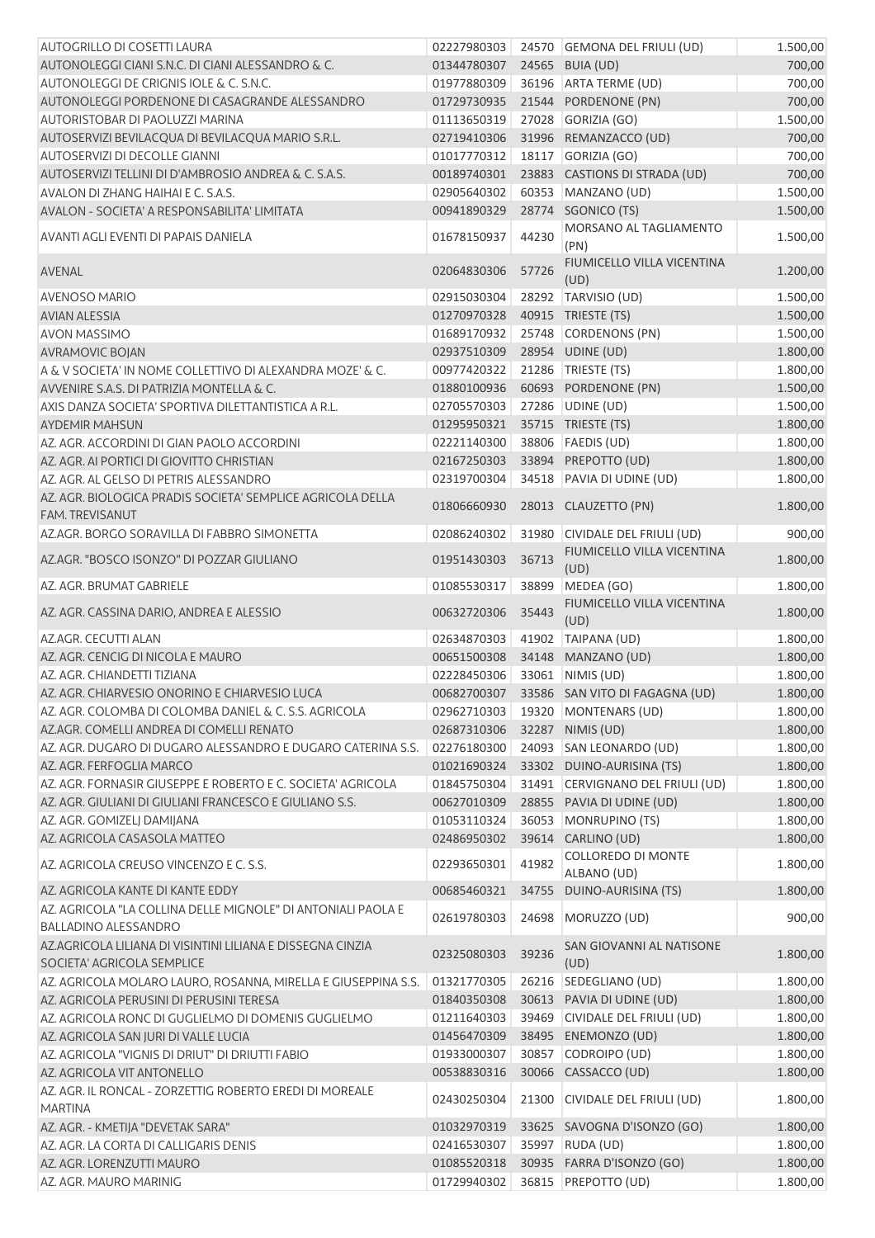| AUTOGRILLO DI COSETTI LAURA                                                                 | 02227980303 |       | 24570 GEMONA DEL FRIULI (UD)       | 1.500,00 |
|---------------------------------------------------------------------------------------------|-------------|-------|------------------------------------|----------|
| AUTONOLEGGI CIANI S.N.C. DI CIANI ALESSANDRO & C.                                           | 01344780307 |       | 24565 BUIA (UD)                    | 700,00   |
| AUTONOLEGGI DE CRIGNIS IOLE & C. S.N.C.                                                     | 01977880309 |       | 36196 ARTA TERME (UD)              | 700,00   |
| AUTONOLEGGI PORDENONE DI CASAGRANDE ALESSANDRO                                              | 01729730935 |       | 21544 PORDENONE (PN)               | 700,00   |
| AUTORISTOBAR DI PAOLUZZI MARINA                                                             | 01113650319 |       | 27028 GORIZIA (GO)                 | 1.500,00 |
| AUTOSERVIZI BEVILACQUA DI BEVILACQUA MARIO S.R.L.                                           | 02719410306 |       | 31996 REMANZACCO (UD)              | 700,00   |
| <b>AUTOSERVIZI DI DECOLLE GIANNI</b>                                                        | 01017770312 |       | 18117 GORIZIA (GO)                 | 700,00   |
| AUTOSERVIZI TELLINI DI D'AMBROSIO ANDREA & C. S.A.S.                                        | 00189740301 |       | 23883 CASTIONS DI STRADA (UD)      | 700,00   |
| AVALON DI ZHANG HAIHAI E C. S.A.S.                                                          | 02905640302 |       | 60353 MANZANO (UD)                 | 1.500,00 |
| AVALON - SOCIETA' A RESPONSABILITA' LIMITATA                                                | 00941890329 |       | 28774 SGONICO (TS)                 | 1.500,00 |
| AVANTI AGLI EVENTI DI PAPAIS DANIELA                                                        | 01678150937 | 44230 | MORSANO AL TAGLIAMENTO             | 1.500,00 |
|                                                                                             |             |       | (PN)                               |          |
| AVENAL                                                                                      | 02064830306 | 57726 | FIUMICELLO VILLA VICENTINA<br>(UD) | 1.200,00 |
| <b>AVENOSO MARIO</b>                                                                        | 02915030304 |       | 28292 TARVISIO (UD)                | 1.500,00 |
| <b>AVIAN ALESSIA</b>                                                                        | 01270970328 |       | 40915 TRIESTE (TS)                 | 1.500,00 |
| <b>AVON MASSIMO</b>                                                                         | 01689170932 |       | 25748 CORDENONS (PN)               | 1.500,00 |
| <b>AVRAMOVIC BOJAN</b>                                                                      | 02937510309 |       | 28954 UDINE (UD)                   | 1.800,00 |
| A & V SOCIETA' IN NOME COLLETTIVO DI ALEXANDRA MOZE' & C.                                   | 00977420322 |       | 21286 TRIESTE (TS)                 | 1.800,00 |
| AVVENIRE S.A.S. DI PATRIZIA MONTELLA & C.                                                   | 01880100936 |       | 60693 PORDENONE (PN)               | 1.500,00 |
| AXIS DANZA SOCIETA' SPORTIVA DILETTANTISTICA A R.L.                                         | 02705570303 |       | 27286 UDINE (UD)                   | 1.500,00 |
| <b>AYDEMIR MAHSUN</b>                                                                       | 01295950321 |       | 35715 TRIESTE (TS)                 | 1.800,00 |
| AZ. AGR. ACCORDINI DI GIAN PAOLO ACCORDINI                                                  | 02221140300 |       | 38806   FAEDIS (UD)                | 1.800,00 |
| AZ. AGR. AI PORTICI DI GIOVITTO CHRISTIAN                                                   | 02167250303 |       | 33894 PREPOTTO (UD)                | 1.800,00 |
| AZ. AGR. AL GELSO DI PETRIS ALESSANDRO                                                      | 02319700304 |       | 34518 PAVIA DI UDINE (UD)          | 1.800,00 |
| AZ. AGR. BIOLOGICA PRADIS SOCIETA' SEMPLICE AGRICOLA DELLA                                  |             |       |                                    |          |
| FAM. TREVISANUT                                                                             | 01806660930 |       | 28013 CLAUZETTO (PN)               | 1.800,00 |
| AZ.AGR. BORGO SORAVILLA DI FABBRO SIMONETTA                                                 | 02086240302 |       | 31980 CIVIDALE DEL FRIULI (UD)     | 900,00   |
| AZ.AGR. "BOSCO ISONZO" DI POZZAR GIULIANO                                                   | 01951430303 | 36713 | FIUMICELLO VILLA VICENTINA<br>(UD) | 1.800,00 |
| AZ. AGR. BRUMAT GABRIELE                                                                    | 01085530317 | 38899 | MEDEA (GO)                         | 1.800,00 |
| AZ. AGR. CASSINA DARIO, ANDREA E ALESSIO                                                    | 00632720306 | 35443 | FIUMICELLO VILLA VICENTINA<br>(UD) | 1.800,00 |
| AZ.AGR. CECUTTI ALAN                                                                        | 02634870303 | 41902 | TAIPANA (UD)                       | 1.800,00 |
| AZ. AGR. CENCIG DI NICOLA E MAURO                                                           | 00651500308 | 34148 | MANZANO (UD)                       | 1.800,00 |
| AZ. AGR. CHIANDETTI TIZIANA                                                                 | 02228450306 |       | 33061 NIMIS (UD)                   | 1.800,00 |
| AZ. AGR. CHIARVESIO ONORINO E CHIARVESIO LUCA                                               | 00682700307 |       | 33586 SAN VITO DI FAGAGNA (UD)     | 1.800,00 |
| AZ. AGR. COLOMBA DI COLOMBA DANIEL & C. S.S. AGRICOLA                                       | 02962710303 |       | 19320   MONTENARS (UD)             | 1.800,00 |
| AZ.AGR. COMELLI ANDREA DI COMELLI RENATO                                                    | 02687310306 |       | 32287 NIMIS (UD)                   | 1.800,00 |
| AZ. AGR. DUGARO DI DUGARO ALESSANDRO E DUGARO CATERINA S.S.                                 | 02276180300 |       | 24093 SAN LEONARDO (UD)            | 1.800,00 |
| AZ. AGR. FERFOGLIA MARCO                                                                    | 01021690324 |       | 33302 DUINO-AURISINA (TS)          | 1.800,00 |
| AZ. AGR. FORNASIR GIUSEPPE E ROBERTO E C. SOCIETA' AGRICOLA                                 | 01845750304 |       | 31491 CERVIGNANO DEL FRIULI (UD)   | 1.800,00 |
| AZ. AGR. GIULIANI DI GIULIANI FRANCESCO E GIULIANO S.S.                                     | 00627010309 |       | 28855 PAVIA DI UDINE (UD)          | 1.800,00 |
| AZ. AGR. GOMIZELJ DAMIJANA                                                                  | 01053110324 | 36053 | MONRUPINO (TS)                     | 1.800,00 |
| AZ. AGRICOLA CASASOLA MATTEO                                                                | 02486950302 |       | 39614 CARLINO (UD)                 | 1.800,00 |
| AZ. AGRICOLA CREUSO VINCENZO E C. S.S.                                                      | 02293650301 | 41982 | <b>COLLOREDO DI MONTE</b>          | 1.800,00 |
|                                                                                             |             |       | ALBANO (UD)                        |          |
| AZ. AGRICOLA KANTE DI KANTE EDDY                                                            | 00685460321 | 34755 | DUINO-AURISINA (TS)                | 1.800,00 |
| AZ. AGRICOLA "LA COLLINA DELLE MIGNOLE" DI ANTONIALI PAOLA E<br><b>BALLADINO ALESSANDRO</b> | 02619780303 | 24698 | MORUZZO (UD)                       | 900,00   |
| AZ.AGRICOLA LILIANA DI VISINTINI LILIANA E DISSEGNA CINZIA                                  |             |       | SAN GIOVANNI AL NATISONE           |          |
| SOCIETA' AGRICOLA SEMPLICE                                                                  | 02325080303 | 39236 | (UD)                               | 1.800,00 |
| AZ. AGRICOLA MOLARO LAURO, ROSANNA, MIRELLA E GIUSEPPINA S.S.                               | 01321770305 |       | 26216   SEDEGLIANO (UD)            | 1.800,00 |
| AZ. AGRICOLA PERUSINI DI PERUSINI TERESA                                                    | 01840350308 |       | 30613 PAVIA DI UDINE (UD)          | 1.800,00 |
| AZ. AGRICOLA RONC DI GUGLIELMO DI DOMENIS GUGLIELMO                                         | 01211640303 |       | 39469 CIVIDALE DEL FRIULI (UD)     | 1.800,00 |
| AZ. AGRICOLA SAN JURI DI VALLE LUCIA                                                        | 01456470309 | 38495 | ENEMONZO (UD)                      | 1.800,00 |
| AZ. AGRICOLA "VIGNIS DI DRIUT" DI DRIUTTI FABIO                                             | 01933000307 |       | 30857 CODROIPO (UD)                | 1.800,00 |
| AZ. AGRICOLA VIT ANTONELLO                                                                  | 00538830316 |       | 30066 CASSACCO (UD)                | 1.800,00 |
| AZ. AGR. IL RONCAL - ZORZETTIG ROBERTO EREDI DI MOREALE                                     |             |       |                                    |          |
| <b>MARTINA</b>                                                                              | 02430250304 |       | 21300 CIVIDALE DEL FRIULI (UD)     | 1.800,00 |
| AZ. AGR. - KMETIJA "DEVETAK SARA"                                                           | 01032970319 |       | 33625 SAVOGNA D'ISONZO (GO)        | 1.800,00 |
| AZ. AGR. LA CORTA DI CALLIGARIS DENIS                                                       | 02416530307 | 35997 | RUDA (UD)                          | 1.800,00 |
| AZ. AGR. LORENZUTTI MAURO                                                                   | 01085520318 |       | 30935 FARRA D'ISONZO (GO)          | 1.800,00 |
| AZ. AGR. MAURO MARINIG                                                                      | 01729940302 |       | 36815 PREPOTTO (UD)                | 1.800,00 |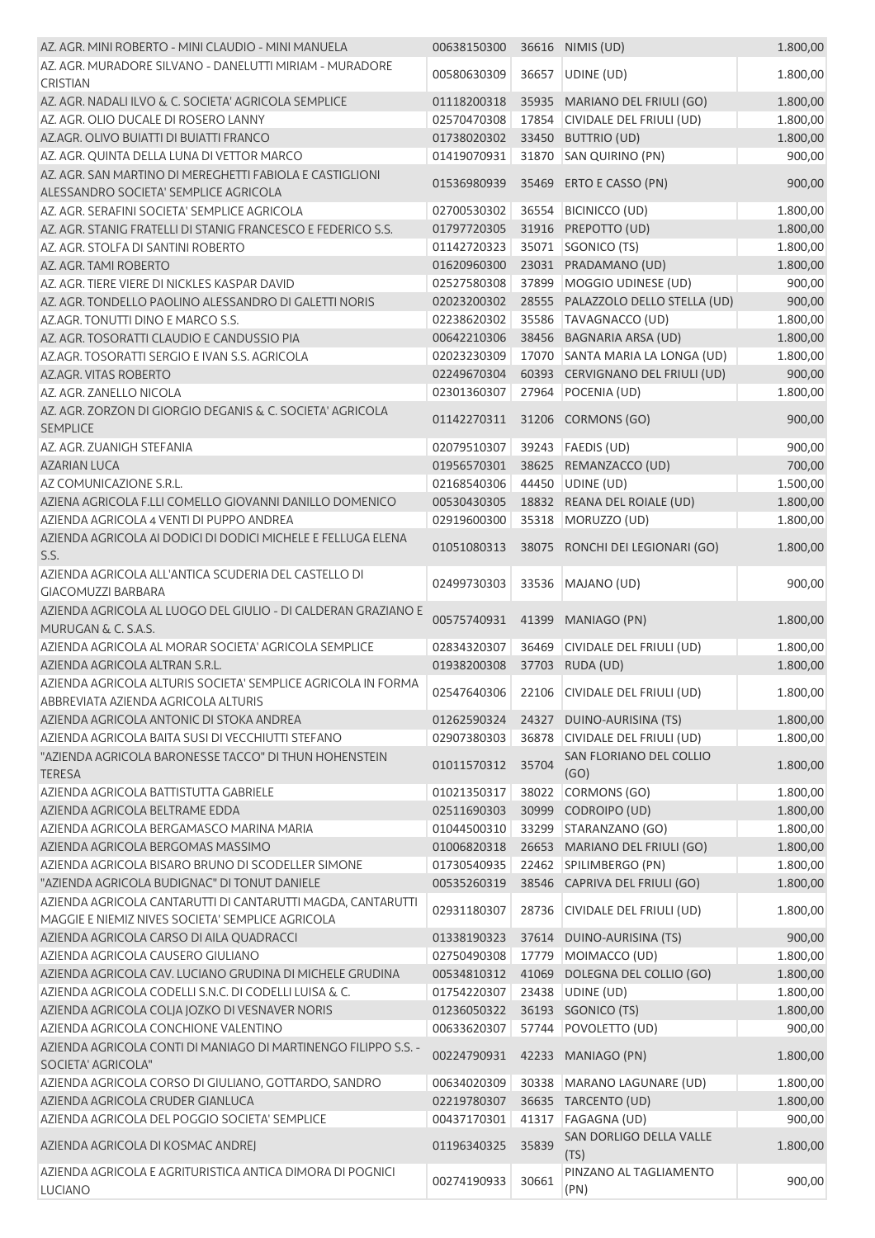| AZ. AGR. MINI ROBERTO - MINI CLAUDIO - MINI MANUELA                                                             | 00638150300                |       | 36616 NIMIS (UD)                            | 1.800,00             |
|-----------------------------------------------------------------------------------------------------------------|----------------------------|-------|---------------------------------------------|----------------------|
| AZ. AGR. MURADORE SILVANO - DANELUTTI MIRIAM - MURADORE<br><b>CRISTIAN</b>                                      | 00580630309                |       | 36657 UDINE (UD)                            | 1.800,00             |
| AZ. AGR. NADALI ILVO & C. SOCIETA' AGRICOLA SEMPLICE                                                            | 01118200318                |       | 35935 MARIANO DEL FRIULI (GO)               | 1.800,00             |
| AZ. AGR. OLIO DUCALE DI ROSERO LANNY                                                                            | 02570470308                |       | 17854 CIVIDALE DEL FRIULI (UD)              | 1.800,00             |
| AZ.AGR. OLIVO BUIATTI DI BUIATTI FRANCO                                                                         | 01738020302                |       | 33450 BUTTRIO (UD)                          | 1.800,00             |
| AZ. AGR. QUINTA DELLA LUNA DI VETTOR MARCO                                                                      | 01419070931                |       | 31870 SAN QUIRINO (PN)                      | 900,00               |
| AZ. AGR. SAN MARTINO DI MEREGHETTI FABIOLA E CASTIGLIONI<br>ALESSANDRO SOCIETA' SEMPLICE AGRICOLA               | 01536980939                |       | 35469 ERTO E CASSO (PN)                     | 900,00               |
| AZ. AGR. SERAFINI SOCIETA' SEMPLICE AGRICOLA                                                                    |                            |       |                                             |                      |
| AZ. AGR. STANIG FRATELLI DI STANIG FRANCESCO E FEDERICO S.S.                                                    | 02700530302<br>01797720305 |       | 36554 BICINICCO (UD)<br>31916 PREPOTTO (UD) | 1.800,00<br>1.800,00 |
| AZ. AGR. STOLFA DI SANTINI ROBERTO                                                                              | 01142720323                |       | 35071 SGONICO (TS)                          | 1.800,00             |
| AZ. AGR. TAMI ROBERTO                                                                                           | 01620960300                |       | 23031 PRADAMANO (UD)                        | 1.800,00             |
| AZ. AGR. TIERE VIERE DI NICKLES KASPAR DAVID                                                                    | 02527580308                | 37899 | MOGGIO UDINESE (UD)                         | 900,00               |
| AZ. AGR. TONDELLO PAOLINO ALESSANDRO DI GALETTI NORIS                                                           | 02023200302                |       | 28555 PALAZZOLO DELLO STELLA (UD)           | 900,00               |
| AZ.AGR. TONUTTI DINO E MARCO S.S.                                                                               | 02238620302                |       | 35586 TAVAGNACCO (UD)                       | 1.800,00             |
| AZ. AGR. TOSORATTI CLAUDIO E CANDUSSIO PIA                                                                      | 00642210306                |       | 38456 BAGNARIA ARSA (UD)                    | 1.800,00             |
| AZ.AGR. TOSORATTI SERGIO E IVAN S.S. AGRICOLA                                                                   | 02023230309                |       | 17070 SANTA MARIA LA LONGA (UD)             | 1.800,00             |
| AZ.AGR. VITAS ROBERTO                                                                                           | 02249670304                |       | 60393 CERVIGNANO DEL FRIULI (UD)            | 900,00               |
| AZ. AGR. ZANELLO NICOLA                                                                                         | 02301360307                |       | 27964 POCENIA (UD)                          | 1.800,00             |
| AZ. AGR. ZORZON DI GIORGIO DEGANIS & C. SOCIETA' AGRICOLA                                                       |                            |       |                                             |                      |
| <b>SEMPLICE</b>                                                                                                 | 01142270311                |       | 31206 CORMONS (GO)                          | 900,00               |
| AZ. AGR. ZUANIGH STEFANIA                                                                                       | 02079510307                |       | 39243   FAEDIS (UD)                         | 900,00               |
| <b>AZARIAN LUCA</b>                                                                                             | 01956570301                |       | 38625 REMANZACCO (UD)                       | 700,00               |
| AZ COMUNICAZIONE S.R.L.                                                                                         | 02168540306                |       | 44450 UDINE (UD)                            | 1.500,00             |
| AZIENA AGRICOLA F.LLI COMELLO GIOVANNI DANILLO DOMENICO                                                         | 00530430305                |       | 18832 REANA DEL ROIALE (UD)                 | 1.800,00             |
| AZIENDA AGRICOLA 4 VENTI DI PUPPO ANDREA                                                                        | 02919600300                |       | 35318 MORUZZO (UD)                          | 1.800,00             |
| AZIENDA AGRICOLA AI DODICI DI DODICI MICHELE E FELLUGA ELENA<br>S.S.                                            | 01051080313                |       | 38075 RONCHI DEI LEGIONARI (GO)             | 1.800,00             |
| AZIENDA AGRICOLA ALL'ANTICA SCUDERIA DEL CASTELLO DI<br><b>GIACOMUZZI BARBARA</b>                               | 02499730303                |       | 33536 MAJANO (UD)                           | 900,00               |
| AZIENDA AGRICOLA AL LUOGO DEL GIULIO - DI CALDERAN GRAZIANO E<br>MURUGAN & C. S.A.S.                            | 00575740931                | 41399 | MANIAGO (PN)                                | 1.800,00             |
| AZIENDA AGRICOLA AL MORAR SOCIETA' AGRICOLA SEMPLICE<br>AZIENDA AGRICOLA ALTRAN S.R.L.                          | 02834320307<br>01938200308 | 36469 | CIVIDALE DEL FRIULI (UD)<br>37703 RUDA (UD) | 1.800,00<br>1.800,00 |
| AZIENDA AGRICOLA ALTURIS SOCIETA' SEMPLICE AGRICOLA IN FORMA<br>ABBREVIATA AZIENDA AGRICOLA ALTURIS             | 02547640306                |       | 22106 CIVIDALE DEL FRIULI (UD)              | 1.800,00             |
| AZIENDA AGRICOLA ANTONIC DI STOKA ANDREA                                                                        | 01262590324                |       | 24327 DUINO-AURISINA (TS)                   | 1.800,00             |
| AZIENDA AGRICOLA BAITA SUSI DI VECCHIUTTI STEFANO                                                               | 02907380303                | 36878 | CIVIDALE DEL FRIULI (UD)                    | 1.800,00             |
| "AZIENDA AGRICOLA BARONESSE TACCO" DI THUN HOHENSTEIN<br><b>TERESA</b>                                          | 01011570312                | 35704 | SAN FLORIANO DEL COLLIO<br>(GO)             | 1.800,00             |
| AZIENDA AGRICOLA BATTISTUTTA GABRIELE                                                                           | 01021350317                |       | 38022 CORMONS (GO)                          | 1.800,00             |
| AZIENDA AGRICOLA BELTRAME EDDA                                                                                  | 02511690303                | 30999 | CODROIPO (UD)                               | 1.800,00             |
| AZIENDA AGRICOLA BERGAMASCO MARINA MARIA                                                                        | 01044500310                |       | 33299 STARANZANO (GO)                       | 1.800,00             |
| AZIENDA AGRICOLA BERGOMAS MASSIMO                                                                               | 01006820318                |       | 26653 MARIANO DEL FRIULI (GO)               | 1.800,00             |
| AZIENDA AGRICOLA BISARO BRUNO DI SCODELLER SIMONE                                                               | 01730540935                |       | 22462 SPILIMBERGO (PN)                      | 1.800,00             |
| "AZIENDA AGRICOLA BUDIGNAC" DI TONUT DANIELE                                                                    | 00535260319                |       | 38546 CAPRIVA DEL FRIULI (GO)               | 1.800,00             |
| AZIENDA AGRICOLA CANTARUTTI DI CANTARUTTI MAGDA, CANTARUTTI<br>MAGGIE E NIEMIZ NIVES SOCIETA' SEMPLICE AGRICOLA | 02931180307                | 28736 | CIVIDALE DEL FRIULI (UD)                    | 1.800,00             |
| AZIENDA AGRICOLA CARSO DI AILA QUADRACCI                                                                        | 01338190323                |       | 37614 DUINO-AURISINA (TS)                   | 900,00               |
| AZIENDA AGRICOLA CAUSERO GIULIANO                                                                               | 02750490308                |       | 17779 MOIMACCO (UD)                         | 1.800,00             |
| AZIENDA AGRICOLA CAV. LUCIANO GRUDINA DI MICHELE GRUDINA                                                        | 00534810312                |       | 41069 DOLEGNA DEL COLLIO (GO)               | 1.800,00             |
| AZIENDA AGRICOLA CODELLI S.N.C. DI CODELLI LUISA & C.                                                           | 01754220307                |       | 23438 UDINE (UD)                            | 1.800,00             |
| AZIENDA AGRICOLA COLJA JOZKO DI VESNAVER NORIS                                                                  | 01236050322                |       | 36193 SGONICO (TS)                          | 1.800,00             |
| AZIENDA AGRICOLA CONCHIONE VALENTINO                                                                            | 00633620307                |       | 57744 POVOLETTO (UD)                        | 900,00               |
| AZIENDA AGRICOLA CONTI DI MANIAGO DI MARTINENGO FILIPPO S.S. -<br>SOCIETA' AGRICOLA"                            | 00224790931                |       | 42233 MANIAGO (PN)                          | 1.800,00             |
| AZIENDA AGRICOLA CORSO DI GIULIANO, GOTTARDO, SANDRO                                                            | 00634020309                |       | 30338 MARANO LAGUNARE (UD)                  | 1.800,00             |
| AZIENDA AGRICOLA CRUDER GIANLUCA                                                                                | 02219780307                |       | 36635 TARCENTO (UD)                         | 1.800,00             |
| AZIENDA AGRICOLA DEL POGGIO SOCIETA' SEMPLICE                                                                   | 00437170301                | 41317 | <b>FAGAGNA (UD)</b>                         | 900,00               |
| AZIENDA AGRICOLA DI KOSMAC ANDREJ                                                                               | 01196340325                | 35839 | SAN DORLIGO DELLA VALLE<br>(TS)             | 1.800,00             |
| AZIENDA AGRICOLA E AGRITURISTICA ANTICA DIMORA DI POGNICI<br><b>LUCIANO</b>                                     | 00274190933                | 30661 | PINZANO AL TAGLIAMENTO<br>(PN)              | 900,00               |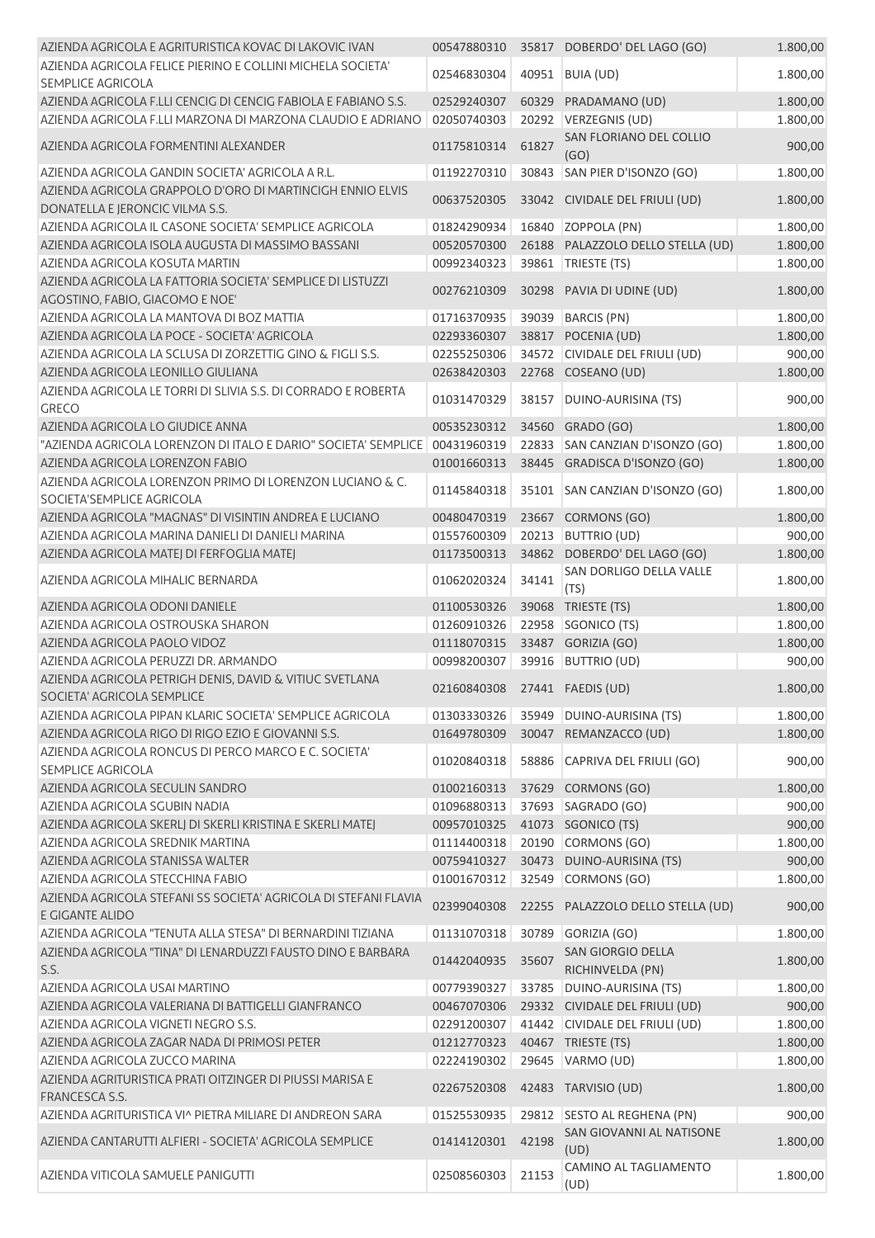| AZIENDA AGRICOLA E AGRITURISTICA KOVAC DI LAKOVIC IVAN                                        | 00547880310                   |       | 35817 DOBERDO' DEL LAGO (GO)          | 1.800,00 |
|-----------------------------------------------------------------------------------------------|-------------------------------|-------|---------------------------------------|----------|
| AZIENDA AGRICOLA FELICE PIERINO E COLLINI MICHELA SOCIETA'<br>SEMPLICE AGRICOLA               | 02546830304                   |       | 40951 BUIA (UD)                       | 1.800,00 |
| AZIENDA AGRICOLA F.LLI CENCIG DI CENCIG FABIOLA E FABIANO S.S.                                | 02529240307                   |       | 60329 PRADAMANO (UD)                  | 1.800,00 |
| AZIENDA AGRICOLA F.LLI MARZONA DI MARZONA CLAUDIO E ADRIANO                                   | 02050740303                   |       | 20292 VERZEGNIS (UD)                  | 1.800,00 |
| AZIENDA AGRICOLA FORMENTINI ALEXANDER                                                         | 01175810314                   | 61827 | SAN FLORIANO DEL COLLIO<br>(GO)       | 900,00   |
| AZIENDA AGRICOLA GANDIN SOCIETA' AGRICOLA A R.L.                                              | 01192270310                   |       | 30843 SAN PIER D'ISONZO (GO)          | 1.800,00 |
| AZIENDA AGRICOLA GRAPPOLO D'ORO DI MARTINCIGH ENNIO ELVIS<br>DONATELLA E JERONCIC VILMA S.S.  | 00637520305                   |       | 33042 CIVIDALE DEL FRIULI (UD)        | 1.800,00 |
| AZIENDA AGRICOLA IL CASONE SOCIETA' SEMPLICE AGRICOLA                                         | 01824290934                   |       | 16840 ZOPPOLA (PN)                    | 1.800,00 |
| AZIENDA AGRICOLA ISOLA AUGUSTA DI MASSIMO BASSANI                                             | 00520570300                   |       | 26188 PALAZZOLO DELLO STELLA (UD)     | 1.800,00 |
| AZIENDA AGRICOLA KOSUTA MARTIN                                                                | 00992340323                   |       | 39861   TRIESTE (TS)                  | 1.800,00 |
| AZIENDA AGRICOLA LA FATTORIA SOCIETA' SEMPLICE DI LISTUZZI<br>AGOSTINO, FABIO, GIACOMO E NOE' | 00276210309                   |       | 30298 PAVIA DI UDINE (UD)             | 1.800,00 |
| AZIENDA AGRICOLA LA MANTOVA DI BOZ MATTIA                                                     | 01716370935                   | 39039 | <b>BARCIS (PN)</b>                    | 1.800,00 |
| AZIENDA AGRICOLA LA POCE - SOCIETA' AGRICOLA                                                  | 02293360307                   |       | 38817 POCENIA (UD)                    | 1.800,00 |
| AZIENDA AGRICOLA LA SCLUSA DI ZORZETTIG GINO & FIGLI S.S.                                     | 02255250306                   |       | 34572 CIVIDALE DEL FRIULI (UD)        | 900,00   |
| AZIENDA AGRICOLA LEONILLO GIULIANA                                                            | 02638420303                   |       | 22768 COSEANO (UD)                    | 1.800,00 |
| AZIENDA AGRICOLA LE TORRI DI SLIVIA S.S. DI CORRADO E ROBERTA<br><b>GRECO</b>                 | 01031470329                   | 38157 | DUINO-AURISINA (TS)                   | 900,00   |
| AZIENDA AGRICOLA LO GIUDICE ANNA                                                              | 00535230312                   | 34560 | GRADO (GO)                            | 1.800,00 |
| "AZIENDA AGRICOLA LORENZON DI ITALO E DARIO" SOCIETA' SEMPLICE                                | 00431960319                   |       | 22833 SAN CANZIAN D'ISONZO (GO)       | 1.800,00 |
| AZIENDA AGRICOLA LORENZON FABIO                                                               | 01001660313                   |       | 38445 GRADISCA D'ISONZO (GO)          | 1.800,00 |
| AZIENDA AGRICOLA LORENZON PRIMO DI LORENZON LUCIANO & C.<br>SOCIETA'SEMPLICE AGRICOLA         | 01145840318                   |       | 35101 SAN CANZIAN D'ISONZO (GO)       | 1.800,00 |
| AZIENDA AGRICOLA "MAGNAS" DI VISINTIN ANDREA E LUCIANO                                        | 00480470319                   |       | 23667 CORMONS (GO)                    | 1.800,00 |
| AZIENDA AGRICOLA MARINA DANIELI DI DANIELI MARINA                                             | 01557600309                   | 20213 | <b>BUTTRIO (UD)</b>                   | 900,00   |
| AZIENDA AGRICOLA MATEJ DI FERFOGLIA MATEJ                                                     | 01173500313                   |       | 34862 DOBERDO' DEL LAGO (GO)          | 1.800,00 |
| AZIENDA AGRICOLA MIHALIC BERNARDA                                                             | 01062020324                   | 34141 | SAN DORLIGO DELLA VALLE<br>(TS)       | 1.800,00 |
| AZIENDA AGRICOLA ODONI DANIELE                                                                | 01100530326                   |       | 39068 TRIESTE (TS)                    | 1.800,00 |
| AZIENDA AGRICOLA OSTROUSKA SHARON                                                             | 01260910326                   | 22958 | SGONICO (TS)                          | 1.800,00 |
| AZIENDA AGRICOLA PAOLO VIDOZ                                                                  | 01118070315                   |       | 33487 GORIZIA (GO)                    | 1.800,00 |
| AZIENDA AGRICOLA PERUZZI DR. ARMANDO                                                          | 00998200307                   | 39916 | <b>BUTTRIO (UD)</b>                   | 900,00   |
| AZIENDA AGRICOLA PETRIGH DENIS, DAVID & VITIUC SVETLANA<br>SOCIETA' AGRICOLA SEMPLICE         | 02160840308 27441 FAEDIS (UD) |       |                                       | 1.800,00 |
| AZIENDA AGRICOLA PIPAN KLARIC SOCIETA' SEMPLICE AGRICOLA                                      | 01303330326                   |       | 35949 DUINO-AURISINA (TS)             | 1.800,00 |
| AZIENDA AGRICOLA RIGO DI RIGO EZIO E GIOVANNI S.S.                                            | 01649780309                   | 30047 | REMANZACCO (UD)                       | 1.800,00 |
| AZIENDA AGRICOLA RONCUS DI PERCO MARCO E C. SOCIETA'<br><b>SEMPLICE AGRICOLA</b>              | 01020840318                   | 58886 | CAPRIVA DEL FRIULI (GO)               | 900,00   |
| AZIENDA AGRICOLA SECULIN SANDRO                                                               | 01002160313                   | 37629 | CORMONS (GO)                          | 1.800,00 |
| AZIENDA AGRICOLA SGUBIN NADIA                                                                 | 01096880313                   |       | 37693 SAGRADO (GO)                    | 900,00   |
| AZIENDA AGRICOLA SKERLJ DI SKERLI KRISTINA E SKERLI MATEJ                                     | 00957010325                   |       | 41073 SGONICO (TS)                    | 900,00   |
| AZIENDA AGRICOLA SREDNIK MARTINA                                                              | 01114400318                   |       | 20190 CORMONS (GO)                    | 1.800,00 |
| AZIENDA AGRICOLA STANISSA WALTER                                                              | 00759410327                   |       | 30473 DUINO-AURISINA (TS)             | 900,00   |
| AZIENDA AGRICOLA STECCHINA FABIO                                                              | 01001670312                   |       | 32549 CORMONS (GO)                    | 1.800,00 |
| AZIENDA AGRICOLA STEFANI SS SOCIETA' AGRICOLA DI STEFANI FLAVIA<br>E GIGANTE ALIDO            | 02399040308                   |       | 22255 PALAZZOLO DELLO STELLA (UD)     | 900,00   |
| AZIENDA AGRICOLA "TENUTA ALLA STESA" DI BERNARDINI TIZIANA                                    | 01131070318                   | 30789 | GORIZIA (GO)                          | 1.800,00 |
| AZIENDA AGRICOLA "TINA" DI LENARDUZZI FAUSTO DINO E BARBARA<br>S.S.                           | 01442040935                   | 35607 | SAN GIORGIO DELLA<br>RICHINVELDA (PN) | 1.800,00 |
| AZIENDA AGRICOLA USAI MARTINO                                                                 | 00779390327                   | 33785 | DUINO-AURISINA (TS)                   | 1.800,00 |
| AZIENDA AGRICOLA VALERIANA DI BATTIGELLI GIANFRANCO                                           | 00467070306                   |       | 29332 CIVIDALE DEL FRIULI (UD)        | 900,00   |
| AZIENDA AGRICOLA VIGNETI NEGRO S.S.                                                           | 02291200307                   |       | 41442 CIVIDALE DEL FRIULI (UD)        | 1.800,00 |
| AZIENDA AGRICOLA ZAGAR NADA DI PRIMOSI PETER                                                  | 01212770323                   |       | 40467 TRIESTE (TS)                    | 1.800,00 |
| AZIENDA AGRICOLA ZUCCO MARINA                                                                 | 02224190302                   |       | 29645 VARMO (UD)                      | 1.800,00 |
| AZIENDA AGRITURISTICA PRATI OITZINGER DI PIUSSI MARISA E<br>FRANCESCA S.S.                    | 02267520308                   |       | 42483 TARVISIO (UD)                   | 1.800,00 |
| AZIENDA AGRITURISTICA VI^ PIETRA MILIARE DI ANDREON SARA                                      | 01525530935                   |       | 29812 SESTO AL REGHENA (PN)           | 900,00   |
| AZIENDA CANTARUTTI ALFIERI - SOCIETA' AGRICOLA SEMPLICE                                       | 01414120301                   | 42198 | SAN GIOVANNI AL NATISONE<br>(UD)      | 1.800,00 |
| AZIENDA VITICOLA SAMUELE PANIGUTTI                                                            | 02508560303                   | 21153 | CAMINO AL TAGLIAMENTO<br>(UD)         | 1.800,00 |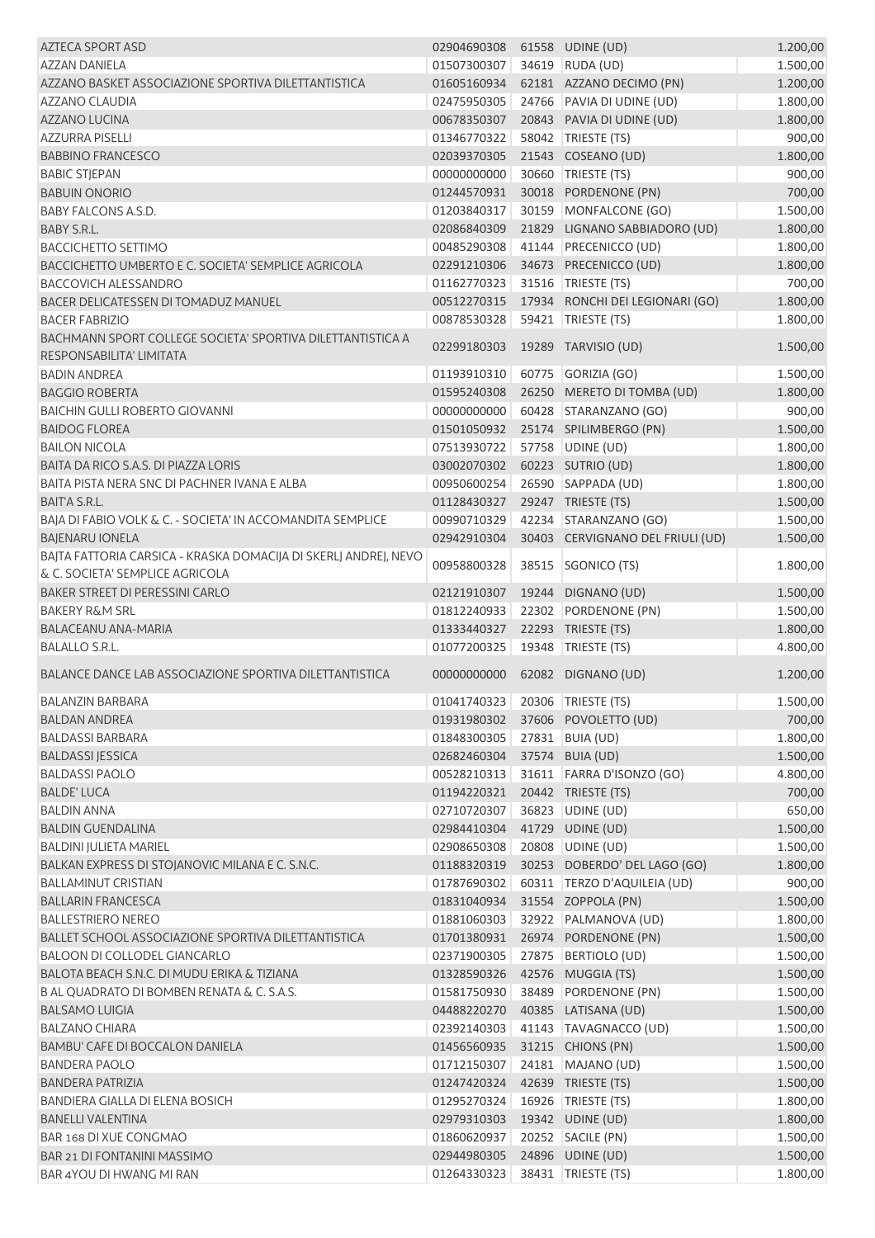| <b>AZTECA SPORT ASD</b>                                                                            | 02904690308 |       | 61558 UDINE (UD)                 | 1.200,00             |
|----------------------------------------------------------------------------------------------------|-------------|-------|----------------------------------|----------------------|
| <b>AZZAN DANIELA</b>                                                                               | 01507300307 |       | 34619 RUDA (UD)                  | 1.500,00             |
| AZZANO BASKET ASSOCIAZIONE SPORTIVA DILETTANTISTICA                                                | 01605160934 |       | 62181 AZZANO DECIMO (PN)         | 1.200,00             |
| AZZANO CLAUDIA                                                                                     | 02475950305 |       | 24766 PAVIA DI UDINE (UD)        | 1.800,00             |
| <b>AZZANO LUCINA</b>                                                                               | 00678350307 |       | 20843 PAVIA DI UDINE (UD)        | 1.800,00             |
| <b>AZZURRA PISELLI</b>                                                                             | 01346770322 |       | 58042 TRIESTE (TS)               | 900,00               |
| <b>BABBINO FRANCESCO</b>                                                                           | 02039370305 |       | 21543 COSEANO (UD)               | 1.800,00             |
| <b>BABIC STJEPAN</b>                                                                               | 00000000000 |       | 30660 TRIESTE (TS)               | 900,00               |
| <b>BABUIN ONORIO</b>                                                                               | 01244570931 |       | 30018 PORDENONE (PN)             | 700,00               |
| <b>BABY FALCONS A.S.D.</b>                                                                         | 01203840317 |       | 30159 MONFALCONE (GO)            | 1.500,00             |
| BABY S.R.L.                                                                                        | 02086840309 |       | 21829 LIGNANO SABBIADORO (UD)    | 1.800,00             |
| <b>BACCICHETTO SETTIMO</b>                                                                         | 00485290308 |       | 41144 PRECENICCO (UD)            | 1.800,00             |
| BACCICHETTO UMBERTO E C. SOCIETA' SEMPLICE AGRICOLA                                                | 02291210306 |       | 34673 PRECENICCO (UD)            | 1.800,00             |
| <b>BACCOVICH ALESSANDRO</b>                                                                        | 01162770323 |       | 31516   TRIESTE (TS)             | 700,00               |
| BACER DELICATESSEN DI TOMADUZ MANUEL                                                               | 00512270315 |       | 17934 RONCHI DEI LEGIONARI (GO)  | 1.800,00             |
|                                                                                                    | 00878530328 |       | 59421   TRIESTE (TS)             | 1.800,00             |
| <b>BACER FABRIZIO</b>                                                                              |             |       |                                  |                      |
| BACHMANN SPORT COLLEGE SOCIETA' SPORTIVA DILETTANTISTICA A<br>RESPONSABILITA' LIMITATA             | 02299180303 |       | 19289 TARVISIO (UD)              | 1.500,00             |
| <b>BADIN ANDREA</b>                                                                                | 01193910310 |       | 60775 GORIZIA (GO)               | 1.500,00             |
| <b>BAGGIO ROBERTA</b>                                                                              | 01595240308 |       | 26250 MERETO DI TOMBA (UD)       | 1.800,00             |
| <b>BAICHIN GULLI ROBERTO GIOVANNI</b>                                                              | 00000000000 |       | 60428 STARANZANO (GO)            | 900,00               |
| <b>BAIDOG FLOREA</b>                                                                               | 01501050932 |       | 25174 SPILIMBERGO (PN)           | 1.500,00             |
| <b>BAILON NICOLA</b>                                                                               | 07513930722 |       | 57758 UDINE (UD)                 | 1.800,00             |
| BAITA DA RICO S.A.S. DI PIAZZA LORIS                                                               | 03002070302 |       | 60223 SUTRIO (UD)                | 1.800,00             |
| BAITA PISTA NERA SNC DI PACHNER IVANA E ALBA                                                       | 00950600254 |       | 26590 SAPPADA (UD)               | 1.800,00             |
| BAIT'A S.R.L.                                                                                      | 01128430327 |       | 29247 TRIESTE (TS)               | 1.500,00             |
| BAJA DI FABIO VOLK & C. - SOCIETA' IN ACCOMANDITA SEMPLICE                                         | 00990710329 |       | 42234 STARANZANO (GO)            | 1.500,00             |
| <b>BAJENARU IONELA</b>                                                                             | 02942910304 |       | 30403 CERVIGNANO DEL FRIULI (UD) | 1.500,00             |
| BAJTA FATTORIA CARSICA - KRASKA DOMACIJA DI SKERLJ ANDREJ, NEVO<br>& C. SOCIETA' SEMPLICE AGRICOLA | 00958800328 | 38515 | SGONICO (TS)                     | 1.800,00             |
| BAKER STREET DI PERESSINI CARLO                                                                    | 02121910307 |       | 19244 DIGNANO (UD)               | 1.500,00             |
| <b>BAKERY R&amp;M SRL</b>                                                                          | 01812240933 |       | 22302 PORDENONE (PN)             |                      |
| <b>BALACEANU ANA-MARIA</b>                                                                         | 01333440327 |       | 22293 TRIESTE (TS)               | 1.500,00<br>1.800,00 |
| <b>BALALLO S.R.L.</b>                                                                              |             |       | 19348 TRIESTE (TS)               |                      |
|                                                                                                    | 01077200325 |       |                                  | 4.800,00             |
| BALANCE DANCE LAB ASSOCIAZIONE SPORTIVA DILETTANTISTICA                                            | 00000000000 |       | 62082 DIGNANO (UD)               | 1.200,00             |
| BALANZIN BARBARA                                                                                   | 01041740323 |       | 20306   TRIESTE (TS)             | 1.500,00             |
| <b>BALDAN ANDREA</b>                                                                               | 01931980302 |       | 37606 POVOLETTO (UD)             | 700,00               |
| <b>BALDASSI BARBARA</b>                                                                            | 01848300305 |       | 27831 BUIA (UD)                  | 1.800,00             |
| <b>BALDASSI JESSICA</b>                                                                            | 02682460304 |       | 37574 BUIA (UD)                  | 1.500,00             |
| <b>BALDASSI PAOLO</b>                                                                              | 00528210313 |       | 31611 FARRA D'ISONZO (GO)        | 4.800,00             |
| <b>BALDE' LUCA</b>                                                                                 | 01194220321 |       | 20442 TRIESTE (TS)               | 700,00               |
| <b>BALDIN ANNA</b>                                                                                 | 02710720307 | 36823 | UDINE (UD)                       | 650,00               |
| <b>BALDIN GUENDALINA</b>                                                                           | 02984410304 |       | 41729 UDINE (UD)                 | 1.500,00             |
| <b>BALDINI JULIETA MARIEL</b>                                                                      | 02908650308 |       | 20808 UDINE (UD)                 | 1.500,00             |
| BALKAN EXPRESS DI STOJANOVIC MILANA E C. S.N.C.                                                    | 01188320319 |       | 30253 DOBERDO' DEL LAGO (GO)     | 1.800,00             |
| BALLAMINUT CRISTIAN                                                                                | 01787690302 |       | 60311   TERZO D'AQUILEIA (UD)    | 900,00               |
| <b>BALLARIN FRANCESCA</b>                                                                          | 01831040934 |       | 31554 ZOPPOLA (PN)               | 1.500,00             |
| <b>BALLESTRIERO NEREO</b>                                                                          | 01881060303 |       | 32922 PALMANOVA (UD)             | 1.800,00             |
| BALLET SCHOOL ASSOCIAZIONE SPORTIVA DILETTANTISTICA                                                | 01701380931 |       | 26974 PORDENONE (PN)             | 1.500,00             |
| BALOON DI COLLODEL GIANCARLO                                                                       | 02371900305 | 27875 | BERTIOLO (UD)                    | 1.500,00             |
| BALOTA BEACH S.N.C. DI MUDU ERIKA & TIZIANA                                                        | 01328590326 | 42576 | MUGGIA (TS)                      | 1.500,00             |
|                                                                                                    | 01581750930 |       | 38489 PORDENONE (PN)             |                      |
| B AL QUADRATO DI BOMBEN RENATA & C. S.A.S.                                                         |             |       |                                  | 1.500,00             |
| <b>BALSAMO LUIGIA</b>                                                                              | 04488220270 |       | 40385 LATISANA (UD)              | 1.500,00             |
| BALZANO CHIARA                                                                                     | 02392140303 |       | 41143   TAVAGNACCO (UD)          | 1.500,00             |
| BAMBU' CAFE DI BOCCALON DANIELA                                                                    | 01456560935 |       | 31215 CHIONS (PN)                | 1.500,00             |
| <b>BANDERA PAOLO</b>                                                                               | 01712150307 |       | 24181   MAJANO (UD)              | 1.500,00             |
| <b>BANDERA PATRIZIA</b>                                                                            | 01247420324 |       | 42639 TRIESTE (TS)               | 1.500,00             |
| <b>BANDIERA GIALLA DI ELENA BOSICH</b>                                                             | 01295270324 |       | 16926 TRIESTE (TS)               | 1.800,00             |
| <b>BANELLI VALENTINA</b>                                                                           | 02979310303 |       | 19342 UDINE (UD)                 | 1.800,00             |
| BAR 168 DI XUE CONGMAO                                                                             | 01860620937 |       | 20252 SACILE (PN)                | 1.500,00             |
| BAR 21 DI FONTANINI MASSIMO                                                                        | 02944980305 |       | 24896 UDINE (UD)                 | 1.500,00             |
| BAR 4YOU DI HWANG MI RAN                                                                           | 01264330323 |       | 38431 TRIESTE (TS)               | 1.800,00             |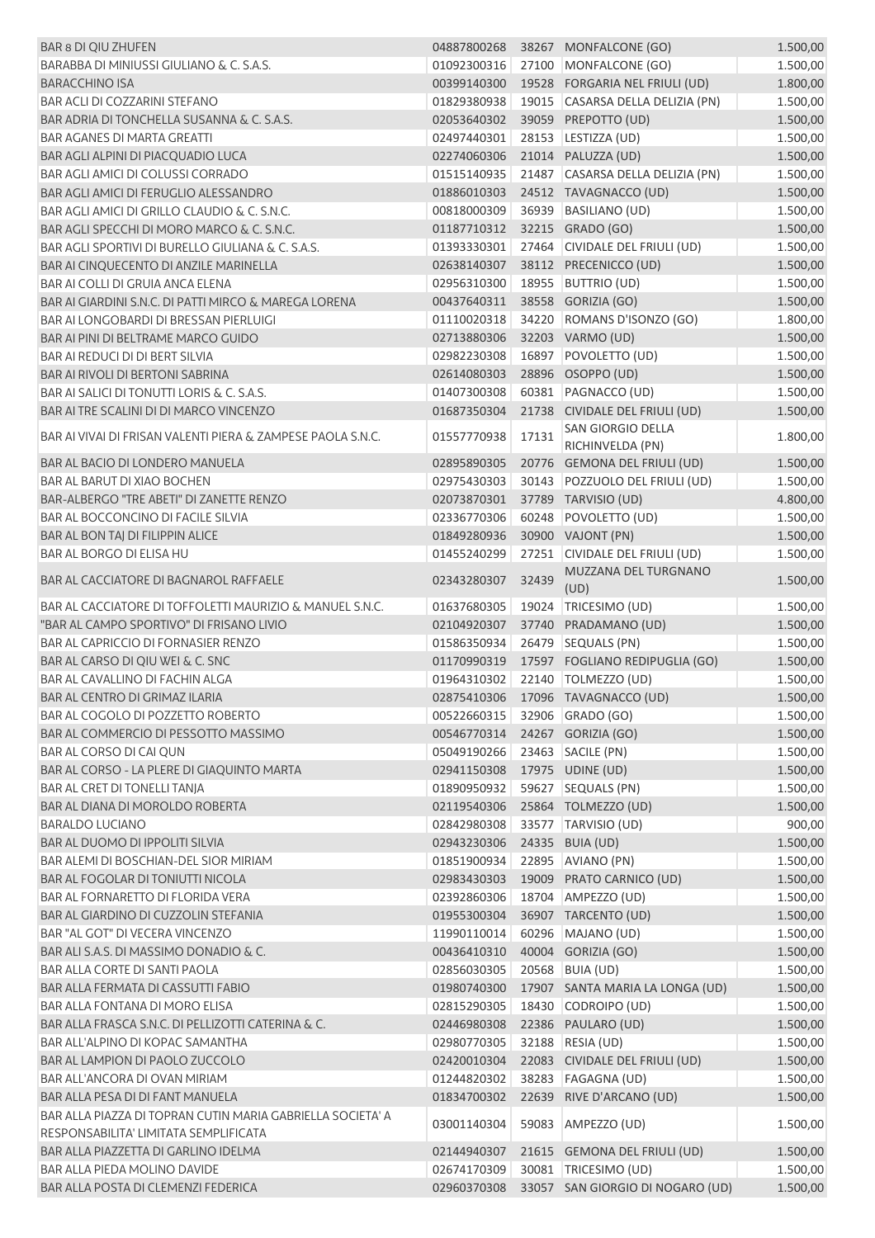| BAR 8 DI QIU ZHUFEN                                                                                 | 04887800268                  |       | 38267 MONFALCONE (GO)             | 1.500,00 |
|-----------------------------------------------------------------------------------------------------|------------------------------|-------|-----------------------------------|----------|
| BARABBA DI MINIUSSI GIULIANO & C. S.A.S.                                                            | 01092300316                  |       | 27100 MONFALCONE (GO)             | 1.500,00 |
| <b>BARACCHINO ISA</b>                                                                               | 00399140300                  |       | 19528 FORGARIA NEL FRIULI (UD)    | 1.800,00 |
| <b>BAR ACLI DI COZZARINI STEFANO</b>                                                                | 01829380938                  |       | 19015 CASARSA DELLA DELIZIA (PN)  | 1.500,00 |
| BAR ADRIA DI TONCHELLA SUSANNA & C. S.A.S.                                                          | 02053640302                  |       | 39059 PREPOTTO (UD)               | 1.500,00 |
| <b>BAR AGANES DI MARTA GREATTI</b>                                                                  | 02497440301                  |       | 28153 LESTIZZA (UD)               | 1.500,00 |
| BAR AGLI ALPINI DI PIACQUADIO LUCA                                                                  | 02274060306                  |       | 21014 PALUZZA (UD)                | 1.500,00 |
| BAR AGLI AMICI DI COLUSSI CORRADO                                                                   | 01515140935                  |       | 21487 CASARSA DELLA DELIZIA (PN)  | 1.500,00 |
| BAR AGLI AMICI DI FERUGLIO ALESSANDRO                                                               | 01886010303                  |       | 24512 TAVAGNACCO (UD)             | 1.500,00 |
| BAR AGLI AMICI DI GRILLO CLAUDIO & C. S.N.C.                                                        | 00818000309                  |       | 36939 BASILIANO (UD)              | 1.500,00 |
| BAR AGLI SPECCHI DI MORO MARCO & C. S.N.C.                                                          | 01187710312                  |       | 32215 GRADO (GO)                  | 1.500,00 |
| BAR AGLI SPORTIVI DI BURELLO GIULIANA & C. S.A.S.                                                   | 01393330301                  |       | 27464 CIVIDALE DEL FRIULI (UD)    | 1.500,00 |
| BAR AI CINQUECENTO DI ANZILE MARINELLA                                                              | 02638140307                  |       | 38112 PRECENICCO (UD)             | 1.500,00 |
| BAR AI COLLI DI GRUIA ANCA ELENA                                                                    | 02956310300                  |       | 18955 BUTTRIO (UD)                | 1.500,00 |
| BAR AI GIARDINI S.N.C. DI PATTI MIRCO & MAREGA LORENA                                               | 00437640311                  |       | 38558 GORIZIA (GO)                | 1.500,00 |
| BAR AI LONGOBARDI DI BRESSAN PIERLUIGI                                                              | 01110020318                  |       | 34220 ROMANS D'ISONZO (GO)        | 1.800,00 |
| BAR AI PINI DI BELTRAME MARCO GUIDO                                                                 | 02713880306                  |       | 32203 VARMO (UD)                  | 1.500,00 |
| <b>BAR AI REDUCI DI DI BERT SILVIA</b>                                                              | 02982230308                  |       | 16897 POVOLETTO (UD)              | 1.500,00 |
| <b>BAR AI RIVOLI DI BERTONI SABRINA</b>                                                             | 02614080303                  |       | 28896 OSOPPO (UD)                 | 1.500,00 |
| BAR AI SALICI DI TONUTTI LORIS & C. S.A.S.                                                          | 01407300308                  |       | 60381 PAGNACCO (UD)               | 1.500,00 |
| BAR AI TRE SCALINI DI DI MARCO VINCENZO                                                             | 01687350304                  | 21738 | CIVIDALE DEL FRIULI (UD)          | 1.500,00 |
| BAR AI VIVAI DI FRISAN VALENTI PIERA & ZAMPESE PAOLA S.N.C.                                         |                              |       | <b>SAN GIORGIO DELLA</b>          |          |
|                                                                                                     | 01557770938                  | 17131 | RICHINVELDA (PN)                  | 1.800,00 |
| BAR AL BACIO DI LONDERO MANUELA                                                                     | 02895890305                  |       | 20776 GEMONA DEL FRIULI (UD)      | 1.500,00 |
| <b>BAR AL BARUT DI XIAO BOCHEN</b>                                                                  | 02975430303                  |       | 30143 POZZUOLO DEL FRIULI (UD)    | 1.500,00 |
| BAR-ALBERGO "TRE ABETI" DI ZANETTE RENZO                                                            | 02073870301                  |       | 37789 TARVISIO (UD)               | 4.800,00 |
| BAR AL BOCCONCINO DI FACILE SILVIA                                                                  | 02336770306                  |       | 60248 POVOLETTO (UD)              | 1.500,00 |
| BAR AL BON TAJ DI FILIPPIN ALICE                                                                    | 01849280936                  |       | 30900 VAJONT (PN)                 | 1.500,00 |
| BAR AL BORGO DI ELISA HU                                                                            | 01455240299                  |       | 27251 CIVIDALE DEL FRIULI (UD)    | 1.500,00 |
| BAR AL CACCIATORE DI BAGNAROL RAFFAELE                                                              | 02343280307                  | 32439 | MUZZANA DEL TURGNANO<br>(UD)      | 1.500,00 |
| BAR AL CACCIATORE DI TOFFOLETTI MAURIZIO & MANUEL S.N.C.                                            | 01637680305                  |       | 19024   TRICESIMO (UD)            | 1.500,00 |
| "BAR AL CAMPO SPORTIVO" DI FRISANO LIVIO                                                            | 02104920307                  |       | 37740 PRADAMANO (UD)              | 1.500,00 |
| <b>BAR AL CAPRICCIO DI FORNASIER RENZO</b>                                                          | 01586350934                  |       | 26479 SEQUALS (PN)                | 1.500,00 |
| BAR AL CARSO DI QIU WEI & C. SNC                                                                    | 01170990319                  |       | 17597 FOGLIANO REDIPUGLIA (GO)    | 1.500,00 |
| BAR AL CAVALLINO DI FACHIN ALGA                                                                     | 01964310302                  |       | 22140   TOLMEZZO (UD)             | 1.500,00 |
| BAR AL CENTRO DI GRIMAZ ILARIA                                                                      |                              |       | 02875410306 17096 TAVAGNACCO (UD) | 1.500,00 |
| BAR AL COGOLO DI POZZETTO ROBERTO                                                                   | 00522660315 32906 GRADO (GO) |       |                                   | 1.500,00 |
| BAR AL COMMERCIO DI PESSOTTO MASSIMO                                                                | 00546770314                  |       | 24267 GORIZIA (GO)                | 1.500,00 |
| BAR AL CORSO DI CAI QUN                                                                             | 05049190266                  |       | 23463 SACILE (PN)                 | 1.500,00 |
| BAR AL CORSO - LA PLERE DI GIAQUINTO MARTA                                                          | 02941150308 17975 UDINE (UD) |       |                                   | 1.500,00 |
| BAR AL CRET DI TONELLI TANJA                                                                        | 01890950932                  |       | 59627 SEQUALS (PN)                | 1.500,00 |
| BAR AL DIANA DI MOROLDO ROBERTA                                                                     | 02119540306                  |       | 25864 TOLMEZZO (UD)               | 1.500,00 |
| <b>BARALDO LUCIANO</b>                                                                              | 02842980308                  |       | 33577 TARVISIO (UD)               | 900,00   |
| BAR AL DUOMO DI IPPOLITI SILVIA                                                                     | 02943230306                  |       |                                   |          |
| <b>BAR ALEMI DI BOSCHIAN-DEL SIOR MIRIAM</b>                                                        |                              |       | 24335 BUIA (UD)                   | 1.500,00 |
|                                                                                                     | 01851900934                  |       | 22895 AVIANO (PN)                 | 1.500,00 |
| BAR AL FOGOLAR DI TONIUTTI NICOLA                                                                   | 02983430303                  |       | 19009 PRATO CARNICO (UD)          | 1.500,00 |
| BAR AL FORNARETTO DI FLORIDA VERA                                                                   | 02392860306                  |       | 18704   AMPEZZO (UD)              | 1.500,00 |
| BAR AL GIARDINO DI CUZZOLIN STEFANIA                                                                | 01955300304                  |       | 36907 TARCENTO (UD)               | 1.500,00 |
| BAR "AL GOT" DI VECERA VINCENZO                                                                     | 11990110014                  |       | 60296 MAJANO (UD)                 | 1.500,00 |
| BAR ALI S.A.S. DI MASSIMO DONADIO & C.                                                              | 00436410310                  |       | 40004 GORIZIA (GO)                | 1.500,00 |
| <b>BAR ALLA CORTE DI SANTI PAOLA</b>                                                                | 02856030305                  |       | 20568 BUIA (UD)                   | 1.500,00 |
| <b>BAR ALLA FERMATA DI CASSUTTI FABIO</b>                                                           | 01980740300                  |       | 17907 SANTA MARIA LA LONGA (UD)   | 1.500,00 |
| BAR ALLA FONTANA DI MORO ELISA                                                                      | 02815290305                  |       | 18430 CODROIPO (UD)               | 1.500,00 |
| BAR ALLA FRASCA S.N.C. DI PELLIZOTTI CATERINA & C.                                                  | 02446980308                  |       | 22386 PAULARO (UD)                | 1.500,00 |
| BAR ALL'ALPINO DI KOPAC SAMANTHA                                                                    | 02980770305                  |       | 32188 RESIA (UD)                  | 1.500,00 |
| BAR AL LAMPION DI PAOLO ZUCCOLO                                                                     | 02420010304                  |       | 22083 CIVIDALE DEL FRIULI (UD)    | 1.500,00 |
| BAR ALL'ANCORA DI OVAN MIRIAM                                                                       | 01244820302                  |       | 38283 FAGAGNA (UD)                | 1.500,00 |
| BAR ALLA PESA DI DI FANT MANUELA                                                                    | 01834700302                  |       | 22639 RIVE D'ARCANO (UD)          | 1.500,00 |
| BAR ALLA PIAZZA DI TOPRAN CUTIN MARIA GABRIELLA SOCIETA' A<br>RESPONSABILITA' LIMITATA SEMPLIFICATA | 03001140304                  |       | 59083 AMPEZZO (UD)                | 1.500,00 |
| BAR ALLA PIAZZETTA DI GARLINO IDELMA                                                                | 02144940307                  |       | 21615 GEMONA DEL FRIULI (UD)      | 1.500,00 |
| BAR ALLA PIEDA MOLINO DAVIDE                                                                        | 02674170309                  |       | 30081   TRICESIMO (UD)            | 1.500,00 |
| BAR ALLA POSTA DI CLEMENZI FEDERICA                                                                 | 02960370308                  |       | 33057 SAN GIORGIO DI NOGARO (UD)  | 1.500,00 |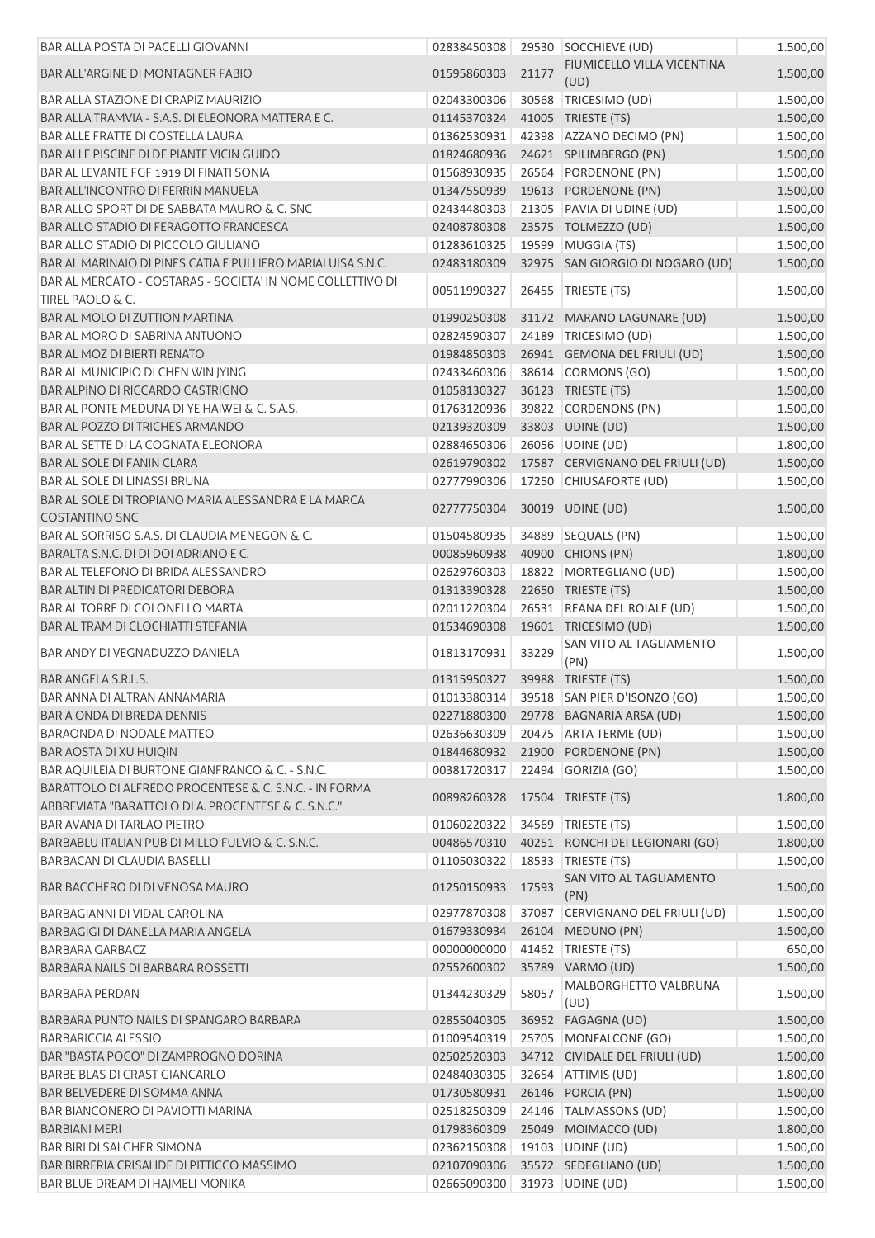| BAR ALLA POSTA DI PACELLI GIOVANNI                                                                            |             |       | 02838450308 29530 SOCCHIEVE (UD)         | 1.500,00 |
|---------------------------------------------------------------------------------------------------------------|-------------|-------|------------------------------------------|----------|
| <b>BAR ALL'ARGINE DI MONTAGNER FABIO</b>                                                                      | 01595860303 | 21177 | FIUMICELLO VILLA VICENTINA<br>(UD)       | 1.500,00 |
| <b>BAR ALLA STAZIONE DI CRAPIZ MAURIZIO</b>                                                                   | 02043300306 |       | 30568 TRICESIMO (UD)                     | 1.500,00 |
| BAR ALLA TRAMVIA - S.A.S. DI ELEONORA MATTERA E C.                                                            | 01145370324 |       | 41005 TRIESTE (TS)                       | 1.500,00 |
| <b>BAR ALLE FRATTE DI COSTELLA LAURA</b>                                                                      | 01362530931 |       | 42398 AZZANO DECIMO (PN)                 | 1.500,00 |
| BAR ALLE PISCINE DI DE PIANTE VICIN GUIDO                                                                     | 01824680936 |       | 24621 SPILIMBERGO (PN)                   | 1.500,00 |
| BAR AL LEVANTE FGF 1919 DI FINATI SONIA                                                                       | 01568930935 |       | 26564 PORDENONE (PN)                     | 1.500,00 |
| <b>BAR ALL'INCONTRO DI FERRIN MANUELA</b>                                                                     | 01347550939 |       | 19613 PORDENONE (PN)                     | 1.500,00 |
| BAR ALLO SPORT DI DE SABBATA MAURO & C. SNC                                                                   | 02434480303 |       | 21305 PAVIA DI UDINE (UD)                | 1.500,00 |
| BAR ALLO STADIO DI FERAGOTTO FRANCESCA                                                                        | 02408780308 |       | 23575 TOLMEZZO (UD)                      | 1.500,00 |
| BAR ALLO STADIO DI PICCOLO GIULIANO                                                                           | 01283610325 |       | 19599 MUGGIA (TS)                        | 1.500,00 |
| BAR AL MARINAIO DI PINES CATIA E PULLIERO MARIALUISA S.N.C.                                                   | 02483180309 |       | 32975 SAN GIORGIO DI NOGARO (UD)         | 1.500,00 |
| BAR AL MERCATO - COSTARAS - SOCIETA' IN NOME COLLETTIVO DI<br>TIREL PAOLO & C.                                | 00511990327 |       | 26455   TRIESTE (TS)                     | 1.500,00 |
| BAR AL MOLO DI ZUTTION MARTINA                                                                                | 01990250308 |       | 31172 MARANO LAGUNARE (UD)               | 1.500,00 |
| BAR AL MORO DI SABRINA ANTUONO                                                                                | 02824590307 |       | 24189 TRICESIMO (UD)                     | 1.500,00 |
| <b>BAR AL MOZ DI BIERTI RENATO</b>                                                                            | 01984850303 |       | 26941 GEMONA DEL FRIULI (UD)             | 1.500,00 |
| BAR AL MUNICIPIO DI CHEN WIN JYING                                                                            | 02433460306 |       | 38614 CORMONS (GO)                       | 1.500,00 |
| <b>BAR ALPINO DI RICCARDO CASTRIGNO</b>                                                                       | 01058130327 |       | 36123 TRIESTE (TS)                       | 1.500,00 |
| BAR AL PONTE MEDUNA DI YE HAIWEI & C. S.A.S.                                                                  | 01763120936 |       | 39822 CORDENONS (PN)                     | 1.500,00 |
| BAR AL POZZO DI TRICHES ARMANDO                                                                               | 02139320309 |       | 33803 UDINE (UD)                         | 1.500,00 |
| <b>BAR AL SETTE DI LA COGNATA ELEONORA</b>                                                                    | 02884650306 |       | 26056 UDINE (UD)                         | 1.800,00 |
| <b>BAR AL SOLE DI FANIN CLARA</b>                                                                             | 02619790302 |       | 17587 CERVIGNANO DEL FRIULI (UD)         | 1.500,00 |
| <b>BAR AL SOLE DI LINASSI BRUNA</b>                                                                           | 02777990306 |       | 17250 CHIUSAFORTE (UD)                   | 1.500,00 |
| BAR AL SOLE DI TROPIANO MARIA ALESSANDRA E LA MARCA                                                           | 02777750304 |       | 30019 UDINE (UD)                         | 1.500,00 |
| <b>COSTANTINO SNC</b>                                                                                         |             |       |                                          |          |
| BAR AL SORRISO S.A.S. DI CLAUDIA MENEGON & C.                                                                 | 01504580935 |       | 34889 SEQUALS (PN)                       | 1.500,00 |
| BARALTA S.N.C. DI DI DOI ADRIANO E C.                                                                         | 00085960938 |       | 40900 CHIONS (PN)                        | 1.800,00 |
| BAR AL TELEFONO DI BRIDA ALESSANDRO                                                                           | 02629760303 |       | 18822 MORTEGLIANO (UD)                   | 1.500,00 |
| BAR ALTIN DI PREDICATORI DEBORA                                                                               | 01313390328 |       | 22650 TRIESTE (TS)                       | 1.500,00 |
| <b>BAR AL TORRE DI COLONELLO MARTA</b>                                                                        | 02011220304 |       | 26531 REANA DEL ROIALE (UD)              | 1.500,00 |
| <b>BAR AL TRAM DI CLOCHIATTI STEFANIA</b>                                                                     | 01534690308 |       | 19601 TRICESIMO (UD)                     | 1.500,00 |
| <b>BAR ANDY DI VEGNADUZZO DANIELA</b>                                                                         | 01813170931 | 33229 | SAN VITO AL TAGLIAMENTO<br>(PN)          | 1.500,00 |
| <b>BAR ANGELA S.R.L.S.</b>                                                                                    | 01315950327 |       | 39988 TRIESTE (TS)                       | 1.500,00 |
| BAR ANNA DI ALTRAN ANNAMARIA                                                                                  |             |       | 01013380314 39518 SAN PIER D'ISONZO (GO) | 1.500,00 |
| BAR A ONDA DI BREDA DENNIS                                                                                    |             |       | 02271880300 29778 BAGNARIA ARSA (UD)     | 1.500,00 |
| <b>BARAONDA DI NODALE MATTEO</b>                                                                              | 02636630309 |       | 20475 ARTA TERME (UD)                    | 1.500,00 |
| BAR AOSTA DI XU HUIQIN                                                                                        | 01844680932 |       | 21900 PORDENONE (PN)                     | 1.500,00 |
| BAR AQUILEIA DI BURTONE GIANFRANCO & C. - S.N.C.                                                              | 00381720317 |       | 22494 GORIZIA (GO)                       | 1.500,00 |
| BARATTOLO DI ALFREDO PROCENTESE & C. S.N.C. - IN FORMA<br>ABBREVIATA "BARATTOLO DI A. PROCENTESE & C. S.N.C." | 00898260328 |       | 17504 TRIESTE (TS)                       | 1.800,00 |
| BAR AVANA DI TARLAO PIETRO                                                                                    | 01060220322 |       | 34569 TRIESTE (TS)                       | 1.500,00 |
| BARBABLU ITALIAN PUB DI MILLO FULVIO & C. S.N.C.                                                              | 00486570310 |       | 40251 RONCHI DEI LEGIONARI (GO)          | 1.800,00 |
| BARBACAN DI CLAUDIA BASELLI                                                                                   | 01105030322 |       | 18533 TRIESTE (TS)                       | 1.500,00 |
| <b>BAR BACCHERO DI DI VENOSA MAURO</b>                                                                        | 01250150933 | 17593 | SAN VITO AL TAGLIAMENTO<br>(PN)          | 1.500,00 |
| BARBAGIANNI DI VIDAL CAROLINA                                                                                 | 02977870308 |       | 37087 CERVIGNANO DEL FRIULI (UD)         | 1.500,00 |
| BARBAGIGI DI DANELLA MARIA ANGELA                                                                             | 01679330934 |       | 26104 MEDUNO (PN)                        | 1.500,00 |
| BARBARA GARBACZ                                                                                               | 00000000000 |       | 41462 TRIESTE (TS)                       | 650,00   |
| BARBARA NAILS DI BARBARA ROSSETTI                                                                             | 02552600302 |       | 35789 VARMO (UD)                         | 1.500,00 |
| BARBARA PERDAN                                                                                                | 01344230329 | 58057 | MALBORGHETTO VALBRUNA                    | 1.500,00 |
|                                                                                                               |             |       | (UD)                                     |          |
| BARBARA PUNTO NAILS DI SPANGARO BARBARA                                                                       | 02855040305 |       | 36952 FAGAGNA (UD)                       | 1.500,00 |
| <b>BARBARICCIA ALESSIO</b>                                                                                    | 01009540319 |       | 25705 MONFALCONE (GO)                    | 1.500,00 |
| BAR "BASTA POCO" DI ZAMPROGNO DORINA                                                                          | 02502520303 |       | 34712 CIVIDALE DEL FRIULI (UD)           | 1.500,00 |
| BARBE BLAS DI CRAST GIANCARLO                                                                                 | 02484030305 |       | 32654 ATTIMIS (UD)                       | 1.800,00 |
| BAR BELVEDERE DI SOMMA ANNA                                                                                   | 01730580931 |       | 26146 PORCIA (PN)                        | 1.500,00 |
| <b>BAR BIANCONERO DI PAVIOTTI MARINA</b>                                                                      | 02518250309 |       | 24146   TALMASSONS (UD)                  | 1.500,00 |
| <b>BARBIANI MERI</b>                                                                                          | 01798360309 |       | 25049 MOIMACCO (UD)                      | 1.800,00 |
| BAR BIRI DI SALGHER SIMONA                                                                                    | 02362150308 |       | 19103 UDINE (UD)                         | 1.500,00 |
| BAR BIRRERIA CRISALIDE DI PITTICCO MASSIMO                                                                    | 02107090306 |       | 35572 SEDEGLIANO (UD)                    | 1.500,00 |
| BAR BLUE DREAM DI HAJMELI MONIKA                                                                              | 02665090300 |       | 31973   UDINE (UD)                       | 1.500,00 |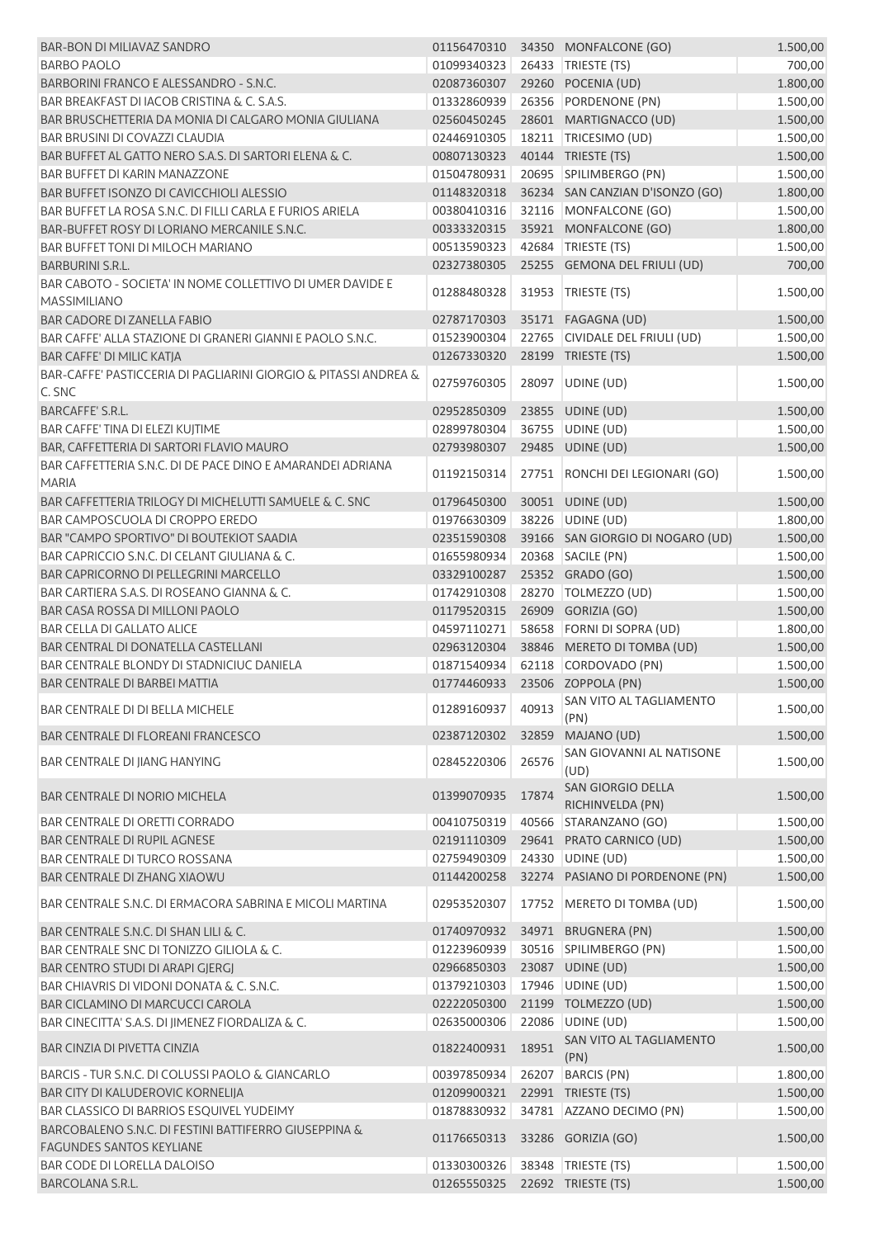| <b>BAR-BON DI MILIAVAZ SANDRO</b>                               |                                |       | 01156470310 34350 MONFALCONE (GO)          | 1.500,00 |
|-----------------------------------------------------------------|--------------------------------|-------|--------------------------------------------|----------|
| <b>BARBO PAOLO</b>                                              | 01099340323                    |       | 26433 TRIESTE (TS)                         | 700,00   |
| BARBORINI FRANCO E ALESSANDRO - S.N.C.                          | 02087360307                    |       | 29260 POCENIA (UD)                         | 1.800,00 |
| BAR BREAKFAST DI IACOB CRISTINA & C. S.A.S.                     | 01332860939                    |       | 26356 PORDENONE (PN)                       | 1.500,00 |
| BAR BRUSCHETTERIA DA MONIA DI CALGARO MONIA GIULIANA            | 02560450245                    |       | 28601 MARTIGNACCO (UD)                     | 1.500,00 |
| <b>BAR BRUSINI DI COVAZZI CLAUDIA</b>                           | 02446910305                    |       | 18211   TRICESIMO (UD)                     | 1.500,00 |
| BAR BUFFET AL GATTO NERO S.A.S. DI SARTORI ELENA & C.           | 00807130323                    |       | 40144 TRIESTE (TS)                         | 1.500,00 |
| <b>BAR BUFFET DI KARIN MANAZZONE</b>                            | 01504780931                    |       | 20695 SPILIMBERGO (PN)                     | 1.500,00 |
| BAR BUFFET ISONZO DI CAVICCHIOLI ALESSIO                        | 01148320318                    |       | 36234 SAN CANZIAN D'ISONZO (GO)            | 1.800,00 |
| BAR BUFFET LA ROSA S.N.C. DI FILLI CARLA E FURIOS ARIELA        | 00380410316                    |       | 32116 MONFALCONE (GO)                      | 1.500,00 |
| BAR-BUFFET ROSY DI LORIANO MERCANILE S.N.C.                     | 00333320315                    |       | 35921 MONFALCONE (GO)                      | 1.800,00 |
| <b>BAR BUFFET TONI DI MILOCH MARIANO</b>                        | 00513590323                    |       | 42684 TRIESTE (TS)                         | 1.500,00 |
| <b>BARBURINI S.R.L.</b>                                         | 02327380305                    |       | 25255 GEMONA DEL FRIULI (UD)               | 700,00   |
| BAR CABOTO - SOCIETA' IN NOME COLLETTIVO DI UMER DAVIDE E       |                                |       |                                            |          |
| <b>MASSIMILIANO</b>                                             | 01288480328                    | 31953 | TRIESTE (TS)                               | 1.500,00 |
| <b>BAR CADORE DI ZANELLA FABIO</b>                              | 02787170303                    |       | 35171 FAGAGNA (UD)                         | 1.500,00 |
| BAR CAFFE' ALLA STAZIONE DI GRANERI GIANNI E PAOLO S.N.C.       | 01523900304                    |       | 22765 CIVIDALE DEL FRIULI (UD)             | 1.500,00 |
| BAR CAFFE' DI MILIC KATJA                                       | 01267330320                    |       | 28199 TRIESTE (TS)                         | 1.500,00 |
| BAR-CAFFE' PASTICCERIA DI PAGLIARINI GIORGIO & PITASSI ANDREA & |                                |       |                                            |          |
| C. SNC                                                          | 02759760305                    |       | 28097 UDINE (UD)                           | 1.500,00 |
| BARCAFFE' S.R.L.                                                | 02952850309                    |       | 23855 UDINE (UD)                           | 1.500,00 |
| BAR CAFFE' TINA DI ELEZI KUJTIME                                | 02899780304                    |       | 36755   UDINE (UD)                         | 1.500,00 |
| BAR, CAFFETTERIA DI SARTORI FLAVIO MAURO                        | 02793980307                    |       | 29485 UDINE (UD)                           | 1.500,00 |
| BAR CAFFETTERIA S.N.C. DI DE PACE DINO E AMARANDEI ADRIANA      |                                |       |                                            |          |
| <b>MARIA</b>                                                    | 01192150314                    |       | 27751 RONCHI DEI LEGIONARI (GO)            | 1.500,00 |
| BAR CAFFETTERIA TRILOGY DI MICHELUTTI SAMUELE & C. SNC          | 01796450300                    |       | 30051 UDINE (UD)                           | 1.500,00 |
| BAR CAMPOSCUOLA DI CROPPO EREDO                                 | 01976630309                    |       | 38226 UDINE (UD)                           | 1.800,00 |
| BAR "CAMPO SPORTIVO" DI BOUTEKIOT SAADIA                        | 02351590308                    |       | 39166 SAN GIORGIO DI NOGARO (UD)           | 1.500,00 |
| BAR CAPRICCIO S.N.C. DI CELANT GIULIANA & C.                    | 01655980934                    |       | 20368 SACILE (PN)                          | 1.500,00 |
| BAR CAPRICORNO DI PELLEGRINI MARCELLO                           | 03329100287                    |       | 25352 GRADO (GO)                           | 1.500,00 |
| BAR CARTIERA S.A.S. DI ROSEANO GIANNA & C.                      | 01742910308                    |       | 28270 TOLMEZZO (UD)                        | 1.500,00 |
| BAR CASA ROSSA DI MILLONI PAOLO                                 | 01179520315                    |       | 26909 GORIZIA (GO)                         | 1.500,00 |
| <b>BAR CELLA DI GALLATO ALICE</b>                               | 04597110271                    |       | 58658 FORNI DI SOPRA (UD)                  | 1.800,00 |
| BAR CENTRAL DI DONATELLA CASTELLANI                             |                                |       |                                            | 1.500,00 |
| BAR CENTRALE BLONDY DI STADNICIUC DANIELA                       | 02963120304                    |       | 38846 MERETO DI TOMBA (UD)                 |          |
| <b>BAR CENTRALE DI BARBEI MATTIA</b>                            | 01871540934                    |       | 62118 CORDOVADO (PN)<br>23506 ZOPPOLA (PN) | 1.500,00 |
|                                                                 | 01774460933                    |       | SAN VITO AL TAGLIAMENTO                    | 1.500,00 |
| <b>BAR CENTRALE DI DI BELLA MICHELE</b>                         | 01289160937                    | 40913 | (PN)                                       | 1.500,00 |
| <b>BAR CENTRALE DI FLOREANI FRANCESCO</b>                       | 02387120302                    | 32859 | MAJANO (UD)                                | 1.500,00 |
|                                                                 |                                |       | SAN GIOVANNI AL NATISONE                   |          |
| BAR CENTRALE DI JIANG HANYING                                   | 02845220306                    | 26576 | (UD)                                       | 1.500,00 |
|                                                                 |                                |       | SAN GIORGIO DELLA                          |          |
| <b>BAR CENTRALE DI NORIO MICHELA</b>                            | 01399070935                    | 17874 | RICHINVELDA (PN)                           | 1.500,00 |
| <b>BAR CENTRALE DI ORETTI CORRADO</b>                           | 00410750319                    |       | 40566 STARANZANO (GO)                      | 1.500,00 |
| <b>BAR CENTRALE DI RUPIL AGNESE</b>                             | 02191110309                    |       | 29641 PRATO CARNICO (UD)                   | 1.500,00 |
| <b>BAR CENTRALE DI TURCO ROSSANA</b>                            | 02759490309                    |       | 24330 UDINE (UD)                           | 1.500,00 |
| BAR CENTRALE DI ZHANG XIAOWU                                    | 01144200258                    |       | 32274 PASIANO DI PORDENONE (PN)            | 1.500,00 |
| BAR CENTRALE S.N.C. DI ERMACORA SABRINA E MICOLI MARTINA        | 02953520307                    |       | 17752   MERETO DI TOMBA (UD)               | 1.500,00 |
| BAR CENTRALE S.N.C. DI SHAN LILI & C.                           | 01740970932                    |       | 34971 BRUGNERA (PN)                        | 1.500,00 |
| BAR CENTRALE SNC DI TONIZZO GILIOLA & C.                        | 01223960939                    |       | 30516 SPILIMBERGO (PN)                     | 1.500,00 |
| BAR CENTRO STUDI DI ARAPI GJERGJ                                | 02966850303                    |       | 23087 UDINE (UD)                           | 1.500,00 |
| BAR CHIAVRIS DI VIDONI DONATA & C. S.N.C.                       | 01379210303                    |       | 17946 UDINE (UD)                           | 1.500,00 |
| BAR CICLAMINO DI MARCUCCI CAROLA                                | 02222050300                    |       | 21199 TOLMEZZO (UD)                        | 1.500,00 |
| BAR CINECITTA' S.A.S. DI JIMENEZ FIORDALIZA & C.                | 02635000306                    | 22086 | UDINE (UD)                                 | 1.500,00 |
| <b>BAR CINZIA DI PIVETTA CINZIA</b>                             | 01822400931                    | 18951 | SAN VITO AL TAGLIAMENTO<br>(PN)            | 1.500,00 |
| BARCIS - TUR S.N.C. DI COLUSSI PAOLO & GIANCARLO                | 00397850934                    | 26207 | <b>BARCIS (PN)</b>                         | 1.800,00 |
| BAR CITY DI KALUDEROVIC KORNELIJA                               | 01209900321                    |       | 22991 TRIESTE (TS)                         | 1.500,00 |
| BAR CLASSICO DI BARRIOS ESQUIVEL YUDEIMY                        | 01878830932                    |       | 34781 AZZANO DECIMO (PN)                   | 1.500,00 |
| BARCOBALENO S.N.C. DI FESTINI BATTIFERRO GIUSEPPINA &           |                                |       |                                            |          |
| <b>FAGUNDES SANTOS KEYLIANE</b>                                 | 01176650313                    |       | 33286 GORIZIA (GO)                         | 1.500,00 |
| BAR CODE DI LORELLA DALOISO                                     | 01330300326                    |       | 38348 TRIESTE (TS)                         | 1.500,00 |
| BARCOLANA S.R.L.                                                | 01265550325 22692 TRIESTE (TS) |       |                                            | 1.500,00 |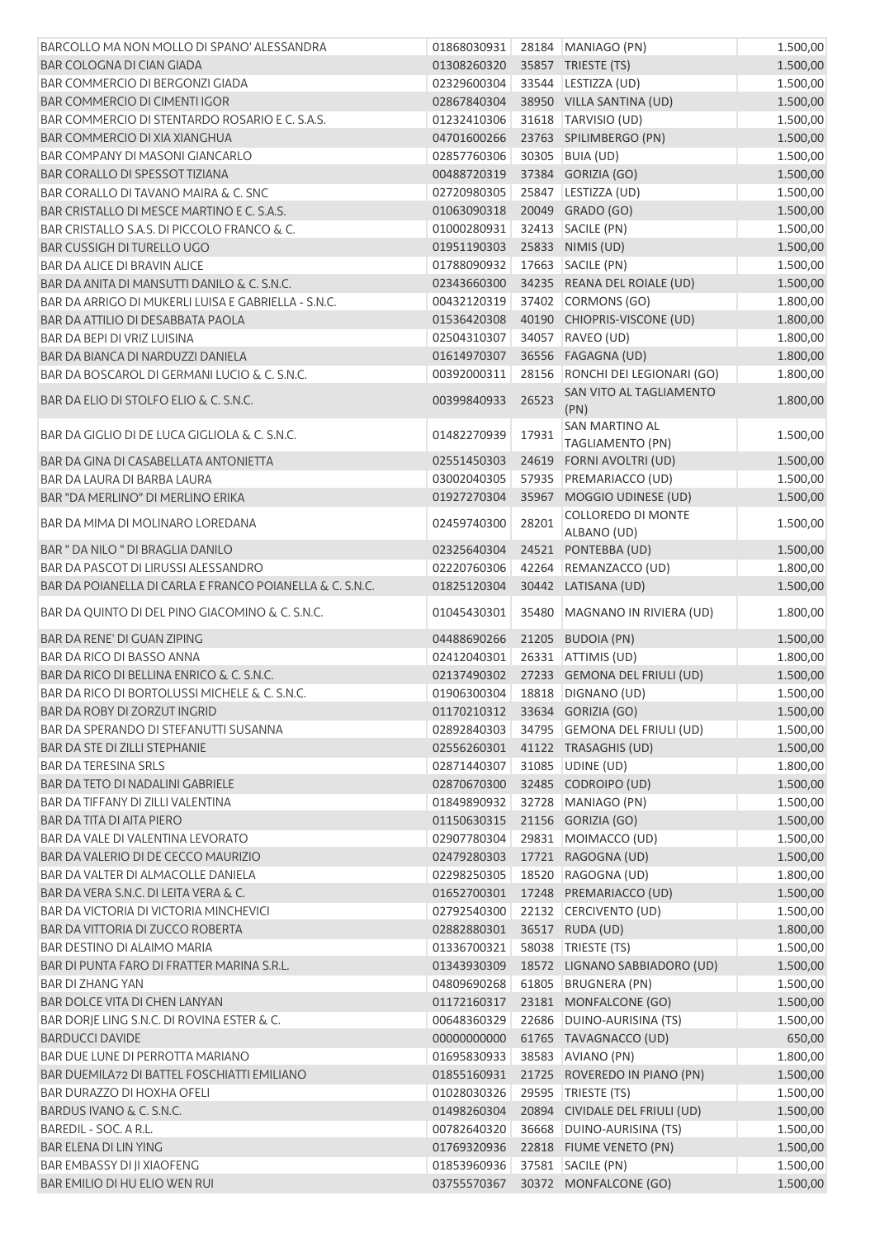| BARCOLLO MA NON MOLLO DI SPANO' ALESSANDRA               | 01868030931                    |       | 28184 MANIAGO (PN)                                    | 1.500,00             |
|----------------------------------------------------------|--------------------------------|-------|-------------------------------------------------------|----------------------|
| BAR COLOGNA DI CIAN GIADA                                | 01308260320                    |       | 35857 TRIESTE (TS)                                    | 1.500,00             |
| <b>BAR COMMERCIO DI BERGONZI GIADA</b>                   | 02329600304                    |       | 33544 LESTIZZA (UD)                                   | 1.500,00             |
| <b>BAR COMMERCIO DI CIMENTI IGOR</b>                     | 02867840304                    |       | 38950 VILLA SANTINA (UD)                              | 1.500,00             |
| BAR COMMERCIO DI STENTARDO ROSARIO E C. S.A.S.           | 01232410306                    |       | 31618 TARVISIO (UD)                                   | 1.500,00             |
| <b>BAR COMMERCIO DI XIA XIANGHUA</b>                     | 04701600266                    |       | 23763 SPILIMBERGO (PN)                                | 1.500,00             |
| <b>BAR COMPANY DI MASONI GIANCARLO</b>                   | 02857760306                    |       | 30305 BUIA (UD)                                       | 1.500,00             |
| <b>BAR CORALLO DI SPESSOT TIZIANA</b>                    | 00488720319                    |       | 37384 GORIZIA (GO)                                    | 1.500,00             |
| BAR CORALLO DI TAVANO MAIRA & C. SNC                     | 02720980305                    |       | 25847 LESTIZZA (UD)                                   | 1.500,00             |
| BAR CRISTALLO DI MESCE MARTINO E C. S.A.S.               | 01063090318                    |       | 20049 GRADO (GO)                                      | 1.500,00             |
| BAR CRISTALLO S.A.S. DI PICCOLO FRANCO & C.              | 01000280931                    |       | 32413 SACILE (PN)                                     | 1.500,00             |
| <b>BAR CUSSIGH DI TURELLO UGO</b>                        | 01951190303                    |       | 25833 NIMIS (UD)                                      | 1.500,00             |
| <b>BAR DA ALICE DI BRAVIN ALICE</b>                      | 01788090932                    |       | 17663 SACILE (PN)                                     | 1.500,00             |
| BAR DA ANITA DI MANSUTTI DANILO & C. S.N.C.              | 02343660300                    |       | 34235 REANA DEL ROIALE (UD)                           | 1.500,00             |
| BAR DA ARRIGO DI MUKERLI LUISA E GABRIELLA - S.N.C.      | 00432120319                    |       | 37402 CORMONS (GO)                                    | 1.800,00             |
| BAR DA ATTILIO DI DESABBATA PAOLA                        | 01536420308                    |       | 40190 CHIOPRIS-VISCONE (UD)                           | 1.800,00             |
| <b>BAR DA BEPI DI VRIZ LUISINA</b>                       | 02504310307                    |       | 34057 RAVEO (UD)                                      | 1.800,00             |
| BAR DA BIANCA DI NARDUZZI DANIELA                        | 01614970307                    |       | 36556 FAGAGNA (UD)                                    | 1.800,00             |
| BAR DA BOSCAROL DI GERMANI LUCIO & C. S.N.C.             | 00392000311                    |       | 28156 RONCHI DEI LEGIONARI (GO)                       | 1.800,00             |
| BAR DA ELIO DI STOLFO ELIO & C. S.N.C.                   | 00399840933                    | 26523 | SAN VITO AL TAGLIAMENTO<br>(PN)                       | 1.800,00             |
| BAR DA GIGLIO DI DE LUCA GIGLIOLA & C. S.N.C.            | 01482270939                    | 17931 | SAN MARTINO AL<br><b>TAGLIAMENTO (PN)</b>             | 1.500,00             |
| BAR DA GINA DI CASABELLATA ANTONIETTA                    | 02551450303                    |       | 24619 FORNI AVOLTRI (UD)                              | 1.500,00             |
| BAR DA LAURA DI BARBA LAURA                              | 03002040305                    |       | 57935 PREMARIACCO (UD)                                | 1.500,00             |
| BAR "DA MERLINO" DI MERLINO ERIKA                        | 01927270304                    |       | 35967 MOGGIO UDINESE (UD)                             | 1.500,00             |
|                                                          |                                |       | COLLOREDO DI MONTE                                    |                      |
| BAR DA MIMA DI MOLINARO LOREDANA                         | 02459740300                    | 28201 | ALBANO (UD)                                           | 1.500,00             |
| BAR " DA NILO " DI BRAGLIA DANILO                        | 02325640304                    |       | 24521 PONTEBBA (UD)                                   | 1.500,00             |
| <b>BAR DA PASCOT DI LIRUSSI ALESSANDRO</b>               | 02220760306                    |       | 42264 REMANZACCO (UD)                                 | 1.800,00             |
| BAR DA POIANELLA DI CARLA E FRANCO POIANELLA & C. S.N.C. | 01825120304                    |       | 30442 LATISANA (UD)                                   | 1.500,00             |
| BAR DA QUINTO DI DEL PINO GIACOMINO & C. S.N.C.          | 01045430301                    | 35480 | MAGNANO IN RIVIERA (UD)                               | 1.800,00             |
| BAR DA RENE' DI GUAN ZIPING                              | 04488690266                    |       | 21205 BUDOIA (PN)                                     | 1.500,00             |
| <b>BAR DA RICO DI BASSO ANNA</b>                         | 02412040301                    |       | 26331 ATTIMIS (UD)                                    | 1.800,00             |
| BAR DA RICO DI BELLINA ENRICO & C. S.N.C.                | 02137490302                    |       | 27233 GEMONA DEL FRIULI (UD)                          | 1.500,00             |
| BAR DA RICO DI BORTOLUSSI MICHELE & C. S.N.C.            | 01906300304                    |       | 18818 DIGNANO (UD)                                    | 1.500,00             |
| BAR DA ROBY DI ZORZUT INGRID                             | 01170210312 33634 GORIZIA (GO) |       |                                                       | 1.500,00             |
| BAR DA SPERANDO DI STEFANUTTI SUSANNA                    | 02892840303                    |       | 34795 GEMONA DEL FRIULI (UD)                          | 1.500,00             |
| BAR DA STE DI ZILLI STEPHANIE                            | 02556260301                    |       | 41122 TRASAGHIS (UD)                                  | 1.500,00             |
| <b>BAR DA TERESINA SRLS</b>                              | 02871440307                    |       | 31085 UDINE (UD)                                      | 1.800,00             |
| BAR DA TETO DI NADALINI GABRIELE                         | 02870670300                    |       | 32485 CODROIPO (UD)                                   | 1.500,00             |
| BAR DA TIFFANY DI ZILLI VALENTINA                        | 01849890932                    |       | 32728 MANIAGO (PN)                                    | 1.500,00             |
| BAR DA TITA DI AITA PIERO                                | 01150630315                    |       | 21156 GORIZIA (GO)                                    | 1.500,00             |
| BAR DA VALE DI VALENTINA LEVORATO                        | 02907780304                    |       | 29831 MOIMACCO (UD)                                   | 1.500,00             |
| BAR DA VALERIO DI DE CECCO MAURIZIO                      | 02479280303                    |       | 17721 RAGOGNA (UD)                                    | 1.500,00             |
| BAR DA VALTER DI ALMACOLLE DANIELA                       | 02298250305                    |       | 18520 RAGOGNA (UD)                                    | 1.800,00             |
| BAR DA VERA S.N.C. DI LEITA VERA & C.                    | 01652700301                    |       | 17248 PREMARIACCO (UD)                                | 1.500,00             |
| <b>BAR DA VICTORIA DI VICTORIA MINCHEVICI</b>            | 02792540300                    |       | 22132 CERCIVENTO (UD)                                 | 1.500,00             |
| BAR DA VITTORIA DI ZUCCO ROBERTA                         | 02882880301                    |       | 36517 RUDA (UD)                                       | 1.800,00             |
| BAR DESTINO DI ALAIMO MARIA                              | 01336700321                    |       | 58038 TRIESTE (TS)                                    | 1.500,00             |
| BAR DI PUNTA FARO DI FRATTER MARINA S.R.L.               | 01343930309                    |       | 18572 LIGNANO SABBIADORO (UD)                         | 1.500,00             |
| <b>BAR DI ZHANG YAN</b>                                  | 04809690268                    |       | 61805 BRUGNERA (PN)                                   | 1.500,00             |
| BAR DOLCE VITA DI CHEN LANYAN                            | 01172160317                    |       | 23181 MONFALCONE (GO)                                 | 1.500,00             |
| BAR DORJE LING S.N.C. DI ROVINA ESTER & C.               | 00648360329                    |       | 22686 DUINO-AURISINA (TS)                             | 1.500,00             |
| <b>BARDUCCI DAVIDE</b>                                   | 00000000000                    |       | 61765 TAVAGNACCO (UD)                                 | 650,00               |
| BAR DUE LUNE DI PERROTTA MARIANO                         | 01695830933                    |       | 38583 AVIANO (PN)                                     | 1.800,00             |
| BAR DUEMILA72 DI BATTEL FOSCHIATTI EMILIANO              | 01855160931                    |       | 21725 ROVEREDO IN PIANO (PN)                          |                      |
| <b>BAR DURAZZO DI HOXHA OFELI</b>                        | 01028030326                    |       | 29595   TRIESTE (TS)                                  | 1.500,00             |
| BARDUS IVANO & C. S.N.C.                                 |                                |       |                                                       | 1.500,00             |
| BAREDIL - SOC. A R.L.                                    | 01498260304<br>00782640320     | 36668 | 20894 CIVIDALE DEL FRIULI (UD)<br>DUINO-AURISINA (TS) | 1.500,00<br>1.500,00 |
| <b>BAR ELENA DI LIN YING</b>                             | 01769320936                    |       | 22818 FIUME VENETO (PN)                               | 1.500,00             |
| <b>BAR EMBASSY DI JI XIAOFENG</b>                        | 01853960936                    |       | 37581 SACILE (PN)                                     | 1.500,00             |
| BAR EMILIO DI HU ELIO WEN RUI                            |                                |       | 03755570367 30372 MONFALCONE (GO)                     | 1.500,00             |
|                                                          |                                |       |                                                       |                      |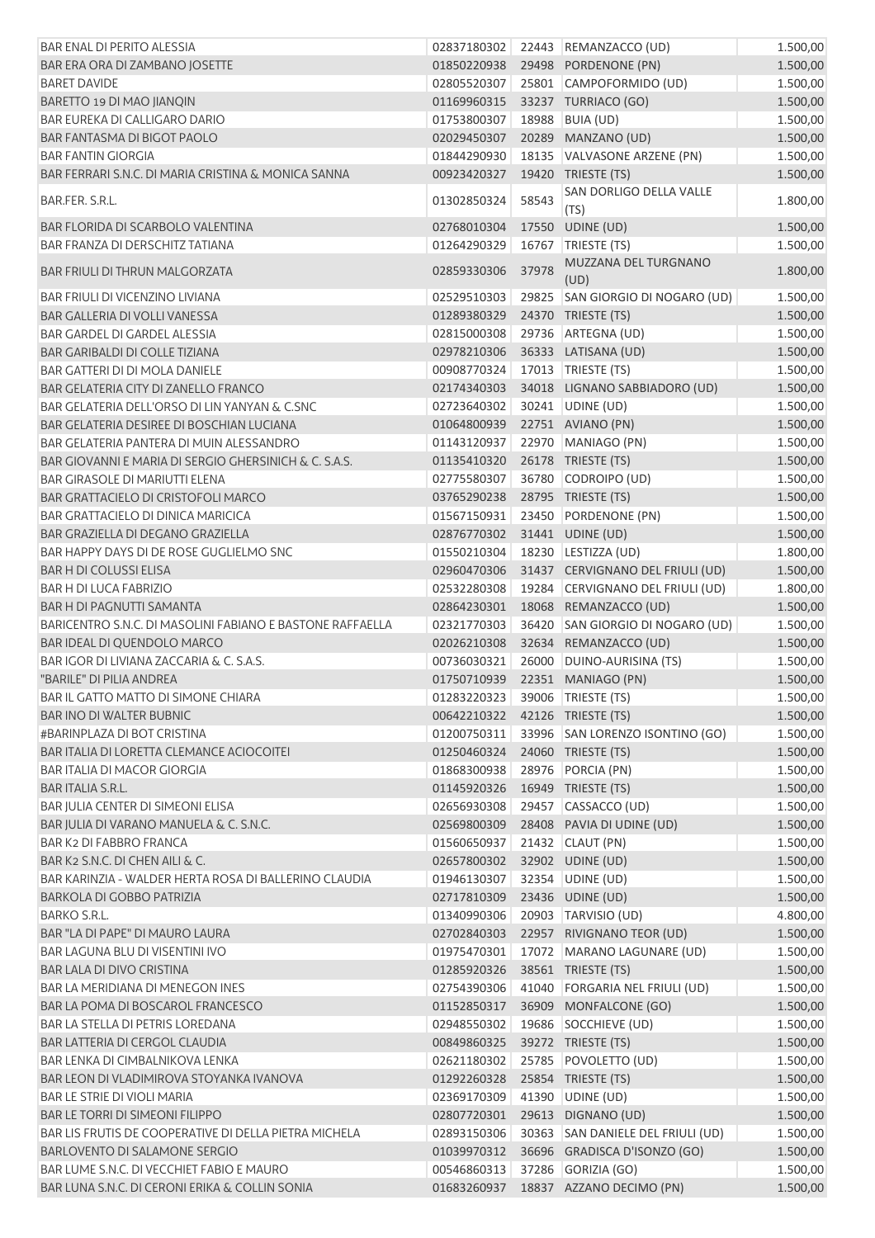| <b>BAR ENAL DI PERITO ALESSIA</b>                         |                                  |       | 02837180302 22443 REMANZACCO (UD)    | 1.500,00 |
|-----------------------------------------------------------|----------------------------------|-------|--------------------------------------|----------|
| BAR ERA ORA DI ZAMBANO JOSETTE                            | 01850220938                      |       | 29498 PORDENONE (PN)                 | 1.500,00 |
| <b>BARET DAVIDE</b>                                       | 02805520307                      |       | 25801 CAMPOFORMIDO (UD)              | 1.500,00 |
| BARETTO 19 DI MAO JIANQIN                                 | 01169960315                      |       | 33237 TURRIACO (GO)                  | 1.500,00 |
| <b>BAR EUREKA DI CALLIGARO DARIO</b>                      | 01753800307                      |       | 18988 BUIA (UD)                      | 1.500,00 |
| BAR FANTASMA DI BIGOT PAOLO                               | 02029450307                      |       | 20289 MANZANO (UD)                   | 1.500,00 |
| <b>BAR FANTIN GIORGIA</b>                                 | 01844290930                      |       | 18135 VALVASONE ARZENE (PN)          | 1.500,00 |
| BAR FERRARI S.N.C. DI MARIA CRISTINA & MONICA SANNA       | 00923420327                      |       | 19420 TRIESTE (TS)                   | 1.500,00 |
| BAR.FER. S.R.L.                                           | 01302850324                      | 58543 | SAN DORLIGO DELLA VALLE<br>(TS)      | 1.800,00 |
| BAR FLORIDA DI SCARBOLO VALENTINA                         | 02768010304                      |       | 17550 UDINE (UD)                     | 1.500,00 |
| <b>BAR FRANZA DI DERSCHITZ TATIANA</b>                    | 01264290329                      |       | 16767   TRIESTE (TS)                 | 1.500,00 |
| <b>BAR FRIULI DI THRUN MALGORZATA</b>                     | 02859330306                      | 37978 | MUZZANA DEL TURGNANO<br>(UD)         | 1.800,00 |
| <b>BAR FRIULI DI VICENZINO LIVIANA</b>                    | 02529510303                      |       | 29825 SAN GIORGIO DI NOGARO (UD)     | 1.500,00 |
| BAR GALLERIA DI VOLLI VANESSA                             | 01289380329                      |       | 24370 TRIESTE (TS)                   | 1.500,00 |
| <b>BAR GARDEL DI GARDEL ALESSIA</b>                       | 02815000308                      |       | 29736 ARTEGNA (UD)                   | 1.500,00 |
| <b>BAR GARIBALDI DI COLLE TIZIANA</b>                     | 02978210306                      |       | 36333 LATISANA (UD)                  | 1.500,00 |
| <b>BAR GATTERI DI DI MOLA DANIELE</b>                     | 00908770324                      |       | 17013   TRIESTE (TS)                 | 1.500,00 |
| <b>BAR GELATERIA CITY DI ZANELLO FRANCO</b>               | 02174340303                      |       | 34018 LIGNANO SABBIADORO (UD)        | 1.500,00 |
| BAR GELATERIA DELL'ORSO DI LIN YANYAN & C.SNC             | 02723640302                      |       | 30241 UDINE (UD)                     | 1.500,00 |
| BAR GELATERIA DESIREE DI BOSCHIAN LUCIANA                 | 01064800939                      |       | 22751 AVIANO (PN)                    | 1.500,00 |
| BAR GELATERIA PANTERA DI MUIN ALESSANDRO                  | 01143120937                      |       | 22970 MANIAGO (PN)                   | 1.500,00 |
| BAR GIOVANNI E MARIA DI SERGIO GHERSINICH & C. S.A.S.     | 01135410320                      |       | 26178 TRIESTE (TS)                   | 1.500,00 |
| <b>BAR GIRASOLE DI MARIUTTI ELENA</b>                     | 02775580307                      |       | 36780 CODROIPO (UD)                  | 1.500,00 |
|                                                           |                                  |       |                                      |          |
| BAR GRATTACIELO DI CRISTOFOLI MARCO                       | 03765290238                      |       | 28795 TRIESTE (TS)                   | 1.500,00 |
| <b>BAR GRATTACIELO DI DINICA MARICICA</b>                 | 01567150931                      |       | 23450 PORDENONE (PN)                 | 1.500,00 |
| BAR GRAZIELLA DI DEGANO GRAZIELLA                         | 02876770302                      |       | 31441 UDINE (UD)                     | 1.500,00 |
| BAR HAPPY DAYS DI DE ROSE GUGLIELMO SNC                   | 01550210304                      |       | 18230 LESTIZZA (UD)                  | 1.800,00 |
| <b>BAR H DI COLUSSI ELISA</b>                             | 02960470306                      |       | 31437 CERVIGNANO DEL FRIULI (UD)     | 1.500,00 |
| <b>BAR H DI LUCA FABRIZIO</b>                             | 02532280308                      |       | 19284 CERVIGNANO DEL FRIULI (UD)     | 1.800,00 |
| <b>BAR H DI PAGNUTTI SAMANTA</b>                          | 02864230301                      |       | 18068 REMANZACCO (UD)                | 1.500,00 |
| BARICENTRO S.N.C. DI MASOLINI FABIANO E BASTONE RAFFAELLA | 02321770303                      |       | 36420 SAN GIORGIO DI NOGARO (UD)     | 1.500,00 |
| BAR IDEAL DI QUENDOLO MARCO                               | 02026210308                      |       | 32634 REMANZACCO (UD)                | 1.500,00 |
| BAR IGOR DI LIVIANA ZACCARIA & C. S.A.S.                  | 00736030321                      |       | 26000 DUINO-AURISINA (TS)            | 1.500,00 |
| "BARILE" DI PILIA ANDREA                                  | 01750710939                      |       | 22351 MANIAGO (PN)                   | 1.500,00 |
| BAR IL GATTO MATTO DI SIMONE CHIARA                       | 01283220323 39006 TRIESTE (TS)   |       |                                      | 1.500,00 |
| <b>BAR INO DI WALTER BUBNIC</b>                           | 00642210322  42126  TRIESTE (TS) |       |                                      | 1.500,00 |
| #BARINPLAZA DI BOT CRISTINA                               | 01200750311                      |       | 33996 SAN LORENZO ISONTINO (GO)      | 1.500,00 |
| <b>BAR ITALIA DI LORETTA CLEMANCE ACIOCOITEI</b>          | 01250460324                      |       | 24060 TRIESTE (TS)                   | 1.500,00 |
| <b>BAR ITALIA DI MACOR GIORGIA</b>                        | 01868300938                      |       | 28976 PORCIA (PN)                    | 1.500,00 |
| <b>BAR ITALIA S.R.L.</b>                                  | 01145920326                      |       | 16949 TRIESTE (TS)                   | 1.500,00 |
| BAR JULIA CENTER DI SIMEONI ELISA                         | 02656930308                      |       | 29457 CASSACCO (UD)                  | 1.500,00 |
| BAR JULIA DI VARANO MANUELA & C. S.N.C.                   | 02569800309                      |       | 28408 PAVIA DI UDINE (UD)            | 1.500,00 |
| <b>BAR K2 DI FABBRO FRANCA</b>                            | 01560650937                      |       | 21432 CLAUT (PN)                     | 1.500,00 |
| BAR K2 S.N.C. DI CHEN AILI & C.                           | 02657800302                      |       | 32902 UDINE (UD)                     | 1.500,00 |
| BAR KARINZIA - WALDER HERTA ROSA DI BALLERINO CLAUDIA     | 01946130307                      |       | 32354   UDINE (UD)                   | 1.500,00 |
| <b>BARKOLA DI GOBBO PATRIZIA</b>                          | 02717810309                      |       | 23436 UDINE (UD)                     | 1.500,00 |
| <b>BARKO S.R.L.</b>                                       | 01340990306                      |       | 20903   TARVISIO (UD)                | 4.800,00 |
| BAR "LA DI PAPE" DI MAURO LAURA                           | 02702840303                      |       | 22957 RIVIGNANO TEOR (UD)            | 1.500,00 |
| <b>BAR LAGUNA BLU DI VISENTINI IVO</b>                    | 01975470301                      |       | 17072 MARANO LAGUNARE (UD)           | 1.500,00 |
| BAR LALA DI DIVO CRISTINA                                 | 01285920326                      |       | 38561 TRIESTE (TS)                   | 1.500,00 |
| <b>BAR LA MERIDIANA DI MENEGON INES</b>                   | 02754390306                      |       | 41040 FORGARIA NEL FRIULI (UD)       | 1.500,00 |
| BAR LA POMA DI BOSCAROL FRANCESCO                         | 01152850317                      |       | 36909 MONFALCONE (GO)                | 1.500,00 |
| BAR LA STELLA DI PETRIS LOREDANA                          | 02948550302                      |       | 19686 SOCCHIEVE (UD)                 | 1.500,00 |
| <b>BAR LATTERIA DI CERGOL CLAUDIA</b>                     | 00849860325                      |       | 39272 TRIESTE (TS)                   | 1.500,00 |
| BAR LENKA DI CIMBALNIKOVA LENKA                           | 02621180302                      |       | 25785 POVOLETTO (UD)                 | 1.500,00 |
| BAR LEON DI VLADIMIROVA STOYANKA IVANOVA                  | 01292260328                      |       | 25854 TRIESTE (TS)                   | 1.500,00 |
| BAR LE STRIE DI VIOLI MARIA                               | 02369170309                      |       | 41390 UDINE (UD)                     | 1.500,00 |
| <b>BAR LE TORRI DI SIMEONI FILIPPO</b>                    | 02807720301                      |       | 29613 DIGNANO (UD)                   | 1.500,00 |
| BAR LIS FRUTIS DE COOPERATIVE DI DELLA PIETRA MICHELA     | 02893150306                      |       | 30363 SAN DANIELE DEL FRIULI (UD)    | 1.500,00 |
| <b>BARLOVENTO DI SALAMONE SERGIO</b>                      | 01039970312                      |       | 36696 GRADISCA D'ISONZO (GO)         | 1.500,00 |
| BAR LUME S.N.C. DI VECCHIET FABIO E MAURO                 | 00546860313                      |       | 37286 GORIZIA (GO)                   | 1.500,00 |
| BAR LUNA S.N.C. DI CERONI ERIKA & COLLIN SONIA            |                                  |       | 01683260937 18837 AZZANO DECIMO (PN) | 1.500,00 |
|                                                           |                                  |       |                                      |          |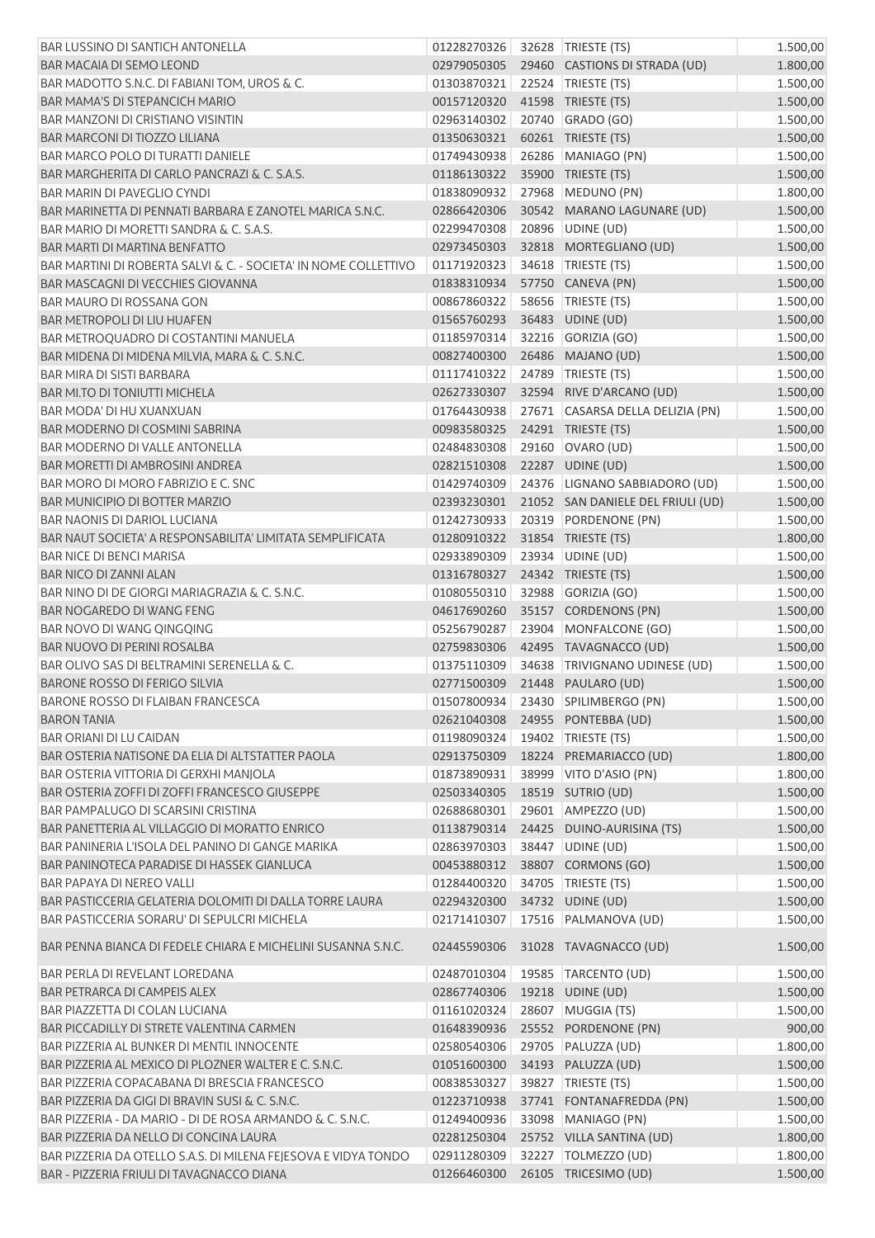| <b>BAR LUSSINO DI SANTICH ANTONELLA</b>                         | 01228270326 | 32628 TRIESTE (TS)                 | 1.500,00             |
|-----------------------------------------------------------------|-------------|------------------------------------|----------------------|
| BAR MACAIA DI SEMO LEOND                                        | 02979050305 | 29460 CASTIONS DI STRADA (UD)      | 1.800,00             |
| BAR MADOTTO S.N.C. DI FABIANI TOM, UROS & C.                    | 01303870321 | 22524 TRIESTE (TS)                 | 1.500,00             |
| <b>BAR MAMA'S DI STEPANCICH MARIO</b>                           | 00157120320 | 41598 TRIESTE (TS)                 | 1.500,00             |
| <b>BAR MANZONI DI CRISTIANO VISINTIN</b>                        | 02963140302 | 20740 GRADO (GO)                   | 1.500,00             |
| <b>BAR MARCONI DI TIOZZO LILIANA</b>                            | 01350630321 | 60261 TRIESTE (TS)                 | 1.500,00             |
| <b>BAR MARCO POLO DI TURATTI DANIELE</b>                        | 01749430938 | 26286 MANIAGO (PN)                 | 1.500,00             |
| BAR MARGHERITA DI CARLO PANCRAZI & C. S.A.S.                    | 01186130322 | 35900 TRIESTE (TS)                 | 1.500,00             |
| <b>BAR MARIN DI PAVEGLIO CYNDI</b>                              | 01838090932 | 27968 MEDUNO (PN)                  | 1.800,00             |
| BAR MARINETTA DI PENNATI BARBARA E ZANOTEL MARICA S.N.C.        | 02866420306 | 30542 MARANO LAGUNARE (UD)         | 1.500,00             |
| BAR MARIO DI MORETTI SANDRA & C. S.A.S.                         | 02299470308 | 20896 UDINE (UD)                   | 1.500,00             |
| BAR MARTI DI MARTINA BENFATTO                                   | 02973450303 | 32818 MORTEGLIANO (UD)             | 1.500,00             |
| BAR MARTINI DI ROBERTA SALVI & C. - SOCIETA' IN NOME COLLETTIVO | 01171920323 | 34618 TRIESTE (TS)                 | 1.500,00             |
| BAR MASCAGNI DI VECCHIES GIOVANNA                               | 01838310934 | 57750 CANEVA (PN)                  | 1.500,00             |
| BAR MAURO DI ROSSANA GON                                        | 00867860322 | 58656   TRIESTE (TS)               | 1.500,00             |
| <b>BAR METROPOLI DI LIU HUAFEN</b>                              | 01565760293 | 36483 UDINE (UD)                   | 1.500,00             |
| <b>BAR METROQUADRO DI COSTANTINI MANUELA</b>                    | 01185970314 | 32216 GORIZIA (GO)                 | 1.500,00             |
| BAR MIDENA DI MIDENA MILVIA, MARA & C. S.N.C.                   | 00827400300 | 26486 MAJANO (UD)                  | 1.500,00             |
| <b>BAR MIRA DI SISTI BARBARA</b>                                | 01117410322 | 24789 TRIESTE (TS)                 | 1.500,00             |
| <b>BAR MI.TO DI TONIUTTI MICHELA</b>                            | 02627330307 | 32594 RIVE D'ARCANO (UD)           | 1.500,00             |
| BAR MODA' DI HU XUANXUAN                                        | 01764430938 | 27671 CASARSA DELLA DELIZIA (PN)   | 1.500,00             |
| <b>BAR MODERNO DI COSMINI SABRINA</b>                           | 00983580325 | 24291 TRIESTE (TS)                 | 1.500,00             |
| BAR MODERNO DI VALLE ANTONELLA                                  | 02484830308 | 29160 OVARO (UD)                   | 1.500,00             |
| <b>BAR MORETTI DI AMBROSINI ANDREA</b>                          | 02821510308 | 22287 UDINE (UD)                   | 1.500,00             |
| BAR MORO DI MORO FABRIZIO E C. SNC                              | 01429740309 | 24376 LIGNANO SABBIADORO (UD)      | 1.500,00             |
| <b>BAR MUNICIPIO DI BOTTER MARZIO</b>                           | 02393230301 | 21052 SAN DANIELE DEL FRIULI (UD)  |                      |
| <b>BAR NAONIS DI DARIOL LUCIANA</b>                             | 01242730933 | 20319 PORDENONE (PN)               | 1.500,00             |
| BAR NAUT SOCIETA' A RESPONSABILITA' LIMITATA SEMPLIFICATA       | 01280910322 | 31854 TRIESTE (TS)                 | 1.500,00<br>1.800,00 |
| <b>BAR NICE DI BENCI MARISA</b>                                 | 02933890309 | 23934 UDINE (UD)                   |                      |
| <b>BAR NICO DI ZANNI ALAN</b>                                   | 01316780327 | 24342 TRIESTE (TS)                 | 1.500,00             |
| BAR NINO DI DE GIORGI MARIAGRAZIA & C. S.N.C.                   |             |                                    | 1.500,00             |
| BAR NOGAREDO DI WANG FENG                                       | 01080550310 | 32988 GORIZIA (GO)                 | 1.500,00             |
|                                                                 | 04617690260 | 35157 CORDENONS (PN)               | 1.500,00             |
| BAR NOVO DI WANG QINGQING                                       | 05256790287 | 23904 MONFALCONE (GO)              | 1.500,00             |
| <b>BAR NUOVO DI PERINI ROSALBA</b>                              | 02759830306 | 42495 TAVAGNACCO (UD)              | 1.500,00             |
| BAR OLIVO SAS DI BELTRAMINI SERENELLA & C.                      | 01375110309 | 34638 TRIVIGNANO UDINESE (UD)      | 1.500,00             |
| <b>BARONE ROSSO DI FERIGO SILVIA</b>                            | 02771500309 | 21448 PAULARO (UD)                 | 1.500,00             |
| BARONE ROSSO DI FLAIBAN FRANCESCA                               |             | 01507800934 23430 SPILIMBERGO (PN) | 1.500,00             |
| <b>BARON TANIA</b>                                              | 02621040308 | 24955 PONTEBBA (UD)                | 1.500,00             |
| <b>BAR ORIANI DI LU CAIDAN</b>                                  | 01198090324 | 19402 TRIESTE (TS)                 | 1.500,00             |
| BAR OSTERIA NATISONE DA ELIA DI ALTSTATTER PAOLA                | 02913750309 | 18224 PREMARIACCO (UD)             | 1.800,00             |
| BAR OSTERIA VITTORIA DI GERXHI MANJOLA                          | 01873890931 | 38999 VITO D'ASIO (PN)             | 1.800,00             |
| BAR OSTERIA ZOFFI DI ZOFFI FRANCESCO GIUSEPPE                   | 02503340305 | 18519 SUTRIO (UD)                  | 1.500,00             |
| <b>BAR PAMPALUGO DI SCARSINI CRISTINA</b>                       | 02688680301 | 29601 AMPEZZO (UD)                 | 1.500,00             |
| BAR PANETTERIA AL VILLAGGIO DI MORATTO ENRICO                   | 01138790314 | 24425 DUINO-AURISINA (TS)          | 1.500,00             |
| BAR PANINERIA L'ISOLA DEL PANINO DI GANGE MARIKA                | 02863970303 | 38447 UDINE (UD)                   | 1.500,00             |
| BAR PANINOTECA PARADISE DI HASSEK GIANLUCA                      | 00453880312 | 38807 CORMONS (GO)                 | 1.500,00             |
| <b>BAR PAPAYA DI NEREO VALLI</b>                                | 01284400320 | 34705   TRIESTE (TS)               | 1.500,00             |
| BAR PASTICCERIA GELATERIA DOLOMITI DI DALLA TORRE LAURA         | 02294320300 | 34732 UDINE (UD)                   | 1.500,00             |
| BAR PASTICCERIA SORARU' DI SEPULCRI MICHELA                     | 02171410307 | 17516 PALMANOVA (UD)               | 1.500,00             |
| BAR PENNA BIANCA DI FEDELE CHIARA E MICHELINI SUSANNA S.N.C.    | 02445590306 | 31028 TAVAGNACCO (UD)              | 1.500,00             |
| BAR PERLA DI REVELANT LOREDANA                                  | 02487010304 | 19585   TARCENTO (UD)              | 1.500,00             |
| BAR PETRARCA DI CAMPEIS ALEX                                    | 02867740306 | 19218 UDINE (UD)                   | 1.500,00             |
| BAR PIAZZETTA DI COLAN LUCIANA                                  | 01161020324 | 28607 MUGGIA (TS)                  | 1.500,00             |
| BAR PICCADILLY DI STRETE VALENTINA CARMEN                       | 01648390936 | 25552 PORDENONE (PN)               | 900,00               |
| BAR PIZZERIA AL BUNKER DI MENTIL INNOCENTE                      | 02580540306 | 29705 PALUZZA (UD)                 | 1.800,00             |
| BAR PIZZERIA AL MEXICO DI PLOZNER WALTER E C. S.N.C.            | 01051600300 | 34193 PALUZZA (UD)                 | 1.500,00             |
| BAR PIZZERIA COPACABANA DI BRESCIA FRANCESCO                    | 00838530327 | 39827   TRIESTE (TS)               | 1.500,00             |
| BAR PIZZERIA DA GIGI DI BRAVIN SUSI & C. S.N.C.                 | 01223710938 | 37741 FONTANAFREDDA (PN)           | 1.500,00             |
| BAR PIZZERIA - DA MARIO - DI DE ROSA ARMANDO & C. S.N.C.        | 01249400936 | 33098 MANIAGO (PN)                 | 1.500,00             |
| BAR PIZZERIA DA NELLO DI CONCINA LAURA                          | 02281250304 | 25752 VILLA SANTINA (UD)           | 1.800,00             |
| BAR PIZZERIA DA OTELLO S.A.S. DI MILENA FEJESOVA E VIDYA TONDO  | 02911280309 | 32227 TOLMEZZO (UD)                | 1.800,00             |
| BAR - PIZZERIA FRIULI DI TAVAGNACCO DIANA                       | 01266460300 | 26105 TRICESIMO (UD)               | 1.500,00             |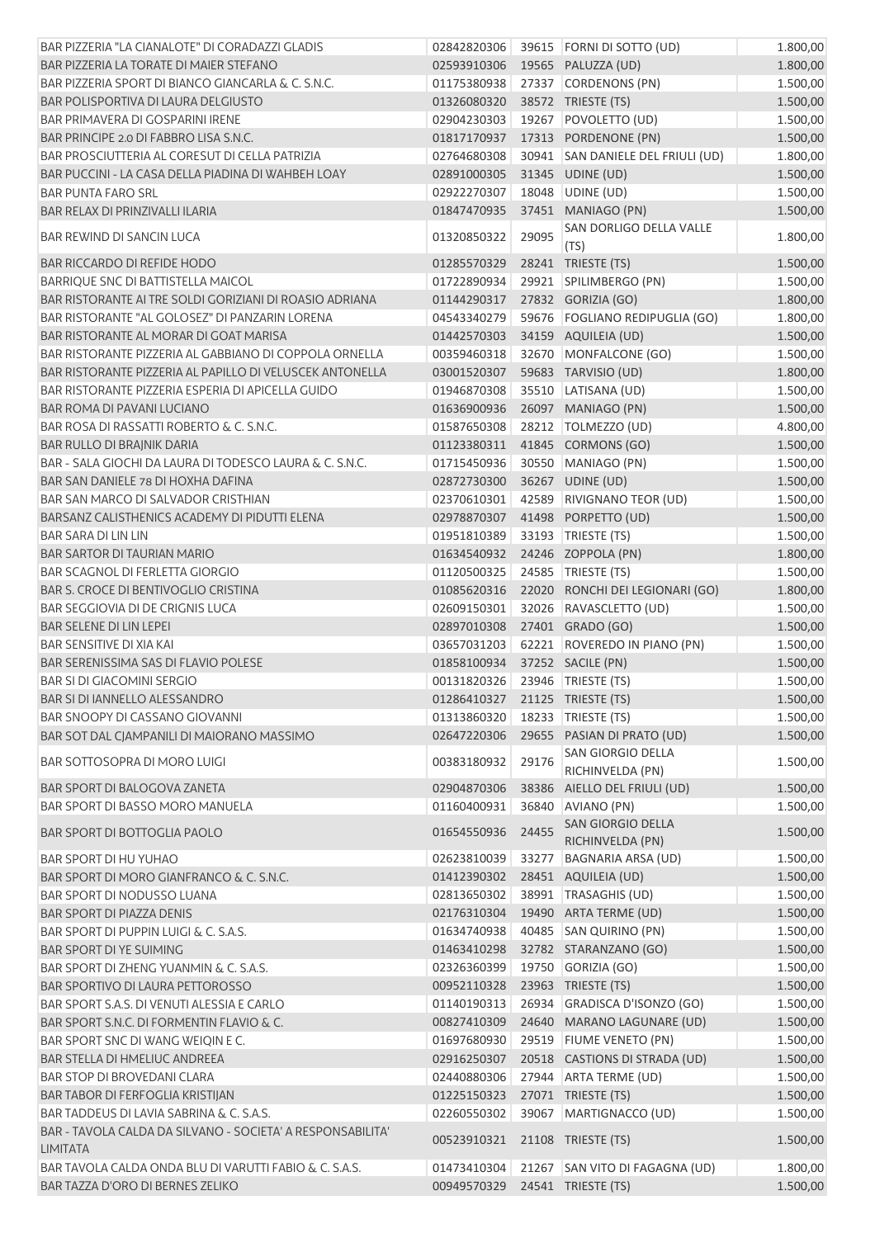| BAR PIZZERIA "LA CIANALOTE" DI CORADAZZI GLADIS                               | 02842820306                    |       | 39615 FORNI DI SOTTO (UD)             | 1.800,00 |
|-------------------------------------------------------------------------------|--------------------------------|-------|---------------------------------------|----------|
| BAR PIZZERIA LA TORATE DI MAIER STEFANO                                       | 02593910306                    |       | 19565 PALUZZA (UD)                    | 1.800,00 |
| BAR PIZZERIA SPORT DI BIANCO GIANCARLA & C. S.N.C.                            | 01175380938                    |       | 27337 CORDENONS (PN)                  | 1.500,00 |
| BAR POLISPORTIVA DI LAURA DELGIUSTO                                           | 01326080320                    |       | 38572 TRIESTE (TS)                    | 1.500,00 |
| <b>BAR PRIMAVERA DI GOSPARINI IRENE</b>                                       | 02904230303                    |       | 19267 POVOLETTO (UD)                  | 1.500,00 |
| BAR PRINCIPE 2.0 DI FABBRO LISA S.N.C.                                        | 01817170937                    |       | 17313 PORDENONE (PN)                  | 1.500,00 |
| BAR PROSCIUTTERIA AL CORESUT DI CELLA PATRIZIA                                | 02764680308                    |       | 30941 SAN DANIELE DEL FRIULI (UD)     | 1.800,00 |
| BAR PUCCINI - LA CASA DELLA PIADINA DI WAHBEH LOAY                            | 02891000305                    |       | 31345 UDINE (UD)                      | 1.500,00 |
| <b>BAR PUNTA FARO SRL</b>                                                     | 02922270307                    |       | 18048 UDINE (UD)                      | 1.500,00 |
| BAR RELAX DI PRINZIVALLI ILARIA                                               | 01847470935                    |       | 37451 MANIAGO (PN)                    | 1.500,00 |
| <b>BAR REWIND DI SANCIN LUCA</b>                                              | 01320850322                    | 29095 | SAN DORLIGO DELLA VALLE<br>(TS)       | 1.800,00 |
| <b>BAR RICCARDO DI REFIDE HODO</b>                                            | 01285570329                    |       | 28241 TRIESTE (TS)                    | 1.500,00 |
| BARRIQUE SNC DI BATTISTELLA MAICOL                                            | 01722890934                    |       | 29921 SPILIMBERGO (PN)                | 1.500,00 |
| BAR RISTORANTE AI TRE SOLDI GORIZIANI DI ROASIO ADRIANA                       | 01144290317                    |       | 27832 GORIZIA (GO)                    | 1.800,00 |
| BAR RISTORANTE "AL GOLOSEZ" DI PANZARIN LORENA                                | 04543340279                    |       | 59676 FOGLIANO REDIPUGLIA (GO)        | 1.800,00 |
| BAR RISTORANTE AL MORAR DI GOAT MARISA                                        | 01442570303                    |       | 34159 AQUILEIA (UD)                   | 1.500,00 |
| BAR RISTORANTE PIZZERIA AL GABBIANO DI COPPOLA ORNELLA                        | 00359460318                    |       | 32670 MONFALCONE (GO)                 | 1.500,00 |
| BAR RISTORANTE PIZZERIA AL PAPILLO DI VELUSCEK ANTONELLA                      | 03001520307                    |       | 59683 TARVISIO (UD)                   | 1.800,00 |
| BAR RISTORANTE PIZZERIA ESPERIA DI APICELLA GUIDO                             | 01946870308                    |       | 35510 LATISANA (UD)                   | 1.500,00 |
| BAR ROMA DI PAVANI LUCIANO                                                    | 01636900936                    |       | 26097 MANIAGO (PN)                    | 1.500,00 |
| BAR ROSA DI RASSATTI ROBERTO & C. S.N.C.                                      | 01587650308                    |       | 28212 TOLMEZZO (UD)                   | 4.800,00 |
| BAR RULLO DI BRAJNIK DARIA                                                    | 01123380311                    |       | 41845 CORMONS (GO)                    | 1.500,00 |
| BAR - SALA GIOCHI DA LAURA DI TODESCO LAURA & C. S.N.C.                       | 01715450936                    |       | 30550 MANIAGO (PN)                    | 1.500,00 |
| BAR SAN DANIELE 78 DI HOXHA DAFINA                                            | 02872730300                    |       | 36267 UDINE (UD)                      | 1.500,00 |
| <b>BAR SAN MARCO DI SALVADOR CRISTHIAN</b>                                    | 02370610301                    |       | 42589 RIVIGNANO TEOR (UD)             | 1.500,00 |
| BARSANZ CALISTHENICS ACADEMY DI PIDUTTI ELENA                                 | 02978870307                    |       | 41498 PORPETTO (UD)                   | 1.500,00 |
| <b>BAR SARA DI LIN LIN</b>                                                    | 01951810389                    |       | 33193   TRIESTE (TS)                  | 1.500,00 |
| <b>BAR SARTOR DI TAURIAN MARIO</b>                                            | 01634540932                    |       | 24246 ZOPPOLA (PN)                    | 1.800,00 |
| <b>BAR SCAGNOL DI FERLETTA GIORGIO</b>                                        | 01120500325                    |       | 24585   TRIESTE (TS)                  | 1.500,00 |
| <b>BAR S. CROCE DI BENTIVOGLIO CRISTINA</b>                                   | 01085620316                    |       | 22020 RONCHI DEI LEGIONARI (GO)       | 1.800,00 |
| <b>BAR SEGGIOVIA DI DE CRIGNIS LUCA</b>                                       | 02609150301                    |       | 32026 RAVASCLETTO (UD)                | 1.500,00 |
| <b>BAR SELENE DI LIN LEPEI</b>                                                | 02897010308                    |       | 27401 GRADO (GO)                      | 1.500,00 |
| <b>BAR SENSITIVE DI XIA KAI</b>                                               | 03657031203                    |       | 62221 ROVEREDO IN PIANO (PN)          | 1.500,00 |
| BAR SERENISSIMA SAS DI FLAVIO POLESE                                          | 01858100934                    |       | 37252 SACILE (PN)                     | 1.500,00 |
| <b>BAR SI DI GIACOMINI SERGIO</b>                                             | 00131820326 23946 TRIESTE (TS) |       |                                       | 1.500,00 |
| BAR SI DI IANNELLO ALESSANDRO                                                 | 01286410327 21125 TRIESTE (TS) |       |                                       | 1.500,00 |
| BAR SNOOPY DI CASSANO GIOVANNI                                                | 01313860320                    |       | 18233 TRIESTE (TS)                    | 1.500,00 |
| BAR SOT DAL CJAMPANILI DI MAIORANO MASSIMO                                    | 02647220306                    | 29655 | PASIAN DI PRATO (UD)                  |          |
|                                                                               |                                |       | SAN GIORGIO DELLA                     | 1.500,00 |
| BAR SOTTOSOPRA DI MORO LUIGI                                                  | 00383180932                    | 29176 | RICHINVELDA (PN)                      | 1.500,00 |
| BAR SPORT DI BALOGOVA ZANETA                                                  | 02904870306                    | 38386 | AIELLO DEL FRIULI (UD)                | 1.500,00 |
| BAR SPORT DI BASSO MORO MANUELA                                               | 01160400931                    |       | 36840 AVIANO (PN)                     | 1.500,00 |
| <b>BAR SPORT DI BOTTOGLIA PAOLO</b>                                           | 01654550936                    | 24455 | SAN GIORGIO DELLA<br>RICHINVELDA (PN) | 1.500,00 |
| BAR SPORT DI HU YUHAO                                                         | 02623810039                    | 33277 | BAGNARIA ARSA (UD)                    | 1.500,00 |
| BAR SPORT DI MORO GIANFRANCO & C. S.N.C.                                      | 01412390302                    |       | 28451 AQUILEIA (UD)                   | 1.500,00 |
| BAR SPORT DI NODUSSO LUANA                                                    | 02813650302                    |       | 38991   TRASAGHIS (UD)                | 1.500,00 |
| BAR SPORT DI PIAZZA DENIS                                                     | 02176310304                    |       | 19490 ARTA TERME (UD)                 | 1.500,00 |
| BAR SPORT DI PUPPIN LUIGI & C. S.A.S.                                         | 01634740938                    |       | 40485 SAN QUIRINO (PN)                | 1.500,00 |
| BAR SPORT DI YE SUIMING                                                       | 01463410298                    |       | 32782 STARANZANO (GO)                 | 1.500,00 |
| BAR SPORT DI ZHENG YUANMIN & C. S.A.S.                                        | 02326360399                    |       | 19750 GORIZIA (GO)                    | 1.500,00 |
| <b>BAR SPORTIVO DI LAURA PETTOROSSO</b>                                       | 00952110328                    |       | 23963 TRIESTE (TS)                    | 1.500,00 |
| BAR SPORT S.A.S. DI VENUTI ALESSIA E CARLO                                    | 01140190313                    |       | 26934 GRADISCA D'ISONZO (GO)          | 1.500,00 |
| BAR SPORT S.N.C. DI FORMENTIN FLAVIO & C.                                     |                                |       |                                       |          |
|                                                                               | 00827410309                    |       | 24640 MARANO LAGUNARE (UD)            | 1.500,00 |
| BAR SPORT SNC DI WANG WEIQIN E C.                                             | 01697680930                    |       | 29519 FIUME VENETO (PN)               | 1.500,00 |
| BAR STELLA DI HMELIUC ANDREEA                                                 | 02916250307                    |       | 20518 CASTIONS DI STRADA (UD)         | 1.500,00 |
| <b>BAR STOP DI BROVEDANI CLARA</b>                                            | 02440880306                    |       | 27944 ARTA TERME (UD)                 | 1.500,00 |
| <b>BAR TABOR DI FERFOGLIA KRISTIJAN</b>                                       | 01225150323                    |       | 27071 TRIESTE (TS)                    | 1.500,00 |
| BAR TADDEUS DI LAVIA SABRINA & C. S.A.S.                                      | 02260550302                    |       | 39067 MARTIGNACCO (UD)                | 1.500,00 |
| BAR - TAVOLA CALDA DA SILVANO - SOCIETA' A RESPONSABILITA'<br><b>LIMITATA</b> | 00523910321                    |       | 21108 TRIESTE (TS)                    | 1.500,00 |
| BAR TAVOLA CALDA ONDA BLU DI VARUTTI FABIO & C. S.A.S.                        | 01473410304                    |       | 21267 SAN VITO DI FAGAGNA (UD)        | 1.800,00 |
| BAR TAZZA D'ORO DI BERNES ZELIKO                                              | 00949570329                    |       | 24541 TRIESTE (TS)                    | 1.500,00 |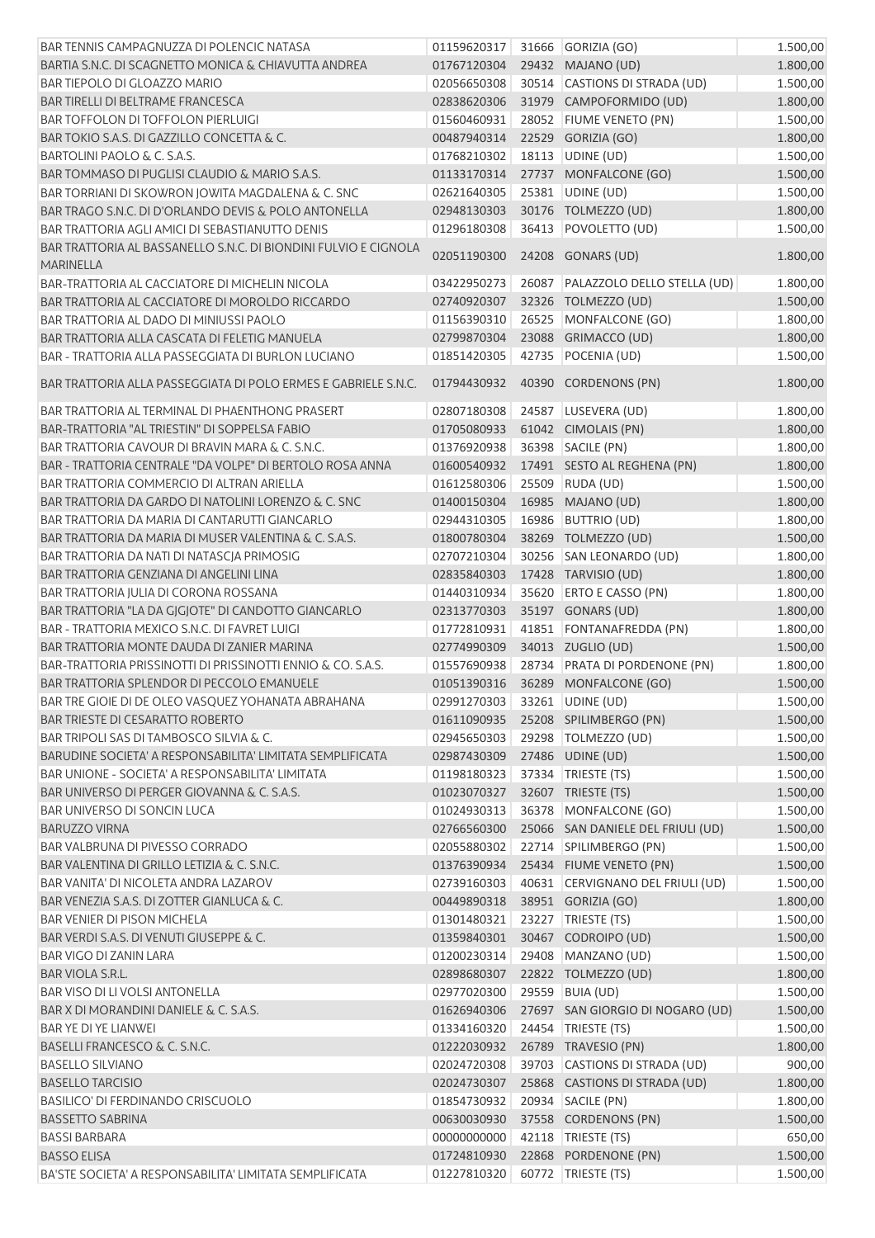| BAR TENNIS CAMPAGNUZZA DI POLENCIC NATASA                       | 01159620317                  |       | 31666 GORIZIA (GO)                | 1.500,00 |
|-----------------------------------------------------------------|------------------------------|-------|-----------------------------------|----------|
| BARTIA S.N.C. DI SCAGNETTO MONICA & CHIAVUTTA ANDREA            | 01767120304                  |       | 29432 MAJANO (UD)                 | 1.800,00 |
| <b>BAR TIEPOLO DI GLOAZZO MARIO</b>                             | 02056650308                  |       | 30514 CASTIONS DI STRADA (UD)     | 1.500,00 |
| BAR TIRELLI DI BELTRAME FRANCESCA                               | 02838620306                  |       | 31979 CAMPOFORMIDO (UD)           | 1.800,00 |
| <b>BAR TOFFOLON DI TOFFOLON PIERLUIGI</b>                       | 01560460931                  |       | 28052 FIUME VENETO (PN)           | 1.500,00 |
| BAR TOKIO S.A.S. DI GAZZILLO CONCETTA & C.                      | 00487940314                  |       | 22529 GORIZIA (GO)                | 1.800,00 |
| BARTOLINI PAOLO & C. S.A.S.                                     | 01768210302                  |       | 18113 UDINE (UD)                  | 1.500,00 |
| BAR TOMMASO DI PUGLISI CLAUDIO & MARIO S.A.S.                   | 01133170314                  |       | 27737 MONFALCONE (GO)             | 1.500,00 |
| BAR TORRIANI DI SKOWRON JOWITA MAGDALENA & C. SNC               | 02621640305                  |       | 25381 UDINE (UD)                  | 1.500,00 |
| BAR TRAGO S.N.C. DI D'ORLANDO DEVIS & POLO ANTONELLA            | 02948130303                  |       | 30176 TOLMEZZO (UD)               | 1.800,00 |
| BAR TRATTORIA AGLI AMICI DI SEBASTIANUTTO DENIS                 | 01296180308                  |       | 36413 POVOLETTO (UD)              | 1.500,00 |
| BAR TRATTORIA AL BASSANELLO S.N.C. DI BIONDINI FULVIO E CIGNOLA |                              |       |                                   |          |
| <b>MARINELLA</b>                                                | 02051190300                  |       | 24208 GONARS (UD)                 | 1.800,00 |
| BAR-TRATTORIA AL CACCIATORE DI MICHELIN NICOLA                  | 03422950273                  |       | 26087 PALAZZOLO DELLO STELLA (UD) | 1.800,00 |
| BAR TRATTORIA AL CACCIATORE DI MOROLDO RICCARDO                 | 02740920307                  |       | 32326 TOLMEZZO (UD)               | 1.500,00 |
| <b>BAR TRATTORIA AL DADO DI MINIUSSI PAOLO</b>                  | 01156390310                  |       | 26525 MONFALCONE (GO)             | 1.800,00 |
| BAR TRATTORIA ALLA CASCATA DI FELETIG MANUELA                   | 02799870304                  |       | 23088 GRIMACCO (UD)               | 1.800,00 |
| BAR - TRATTORIA ALLA PASSEGGIATA DI BURLON LUCIANO              | 01851420305                  |       | 42735 POCENIA (UD)                | 1.500,00 |
|                                                                 |                              |       |                                   |          |
| BAR TRATTORIA ALLA PASSEGGIATA DI POLO ERMES E GABRIELE S.N.C.  | 01794430932                  |       | 40390 CORDENONS (PN)              | 1.800,00 |
| BAR TRATTORIA AL TERMINAL DI PHAENTHONG PRASERT                 | 02807180308                  |       | 24587 LUSEVERA (UD)               | 1.800,00 |
| BAR-TRATTORIA "AL TRIESTIN" DI SOPPELSA FABIO                   | 01705080933                  |       | 61042 CIMOLAIS (PN)               | 1.800,00 |
| BAR TRATTORIA CAVOUR DI BRAVIN MARA & C. S.N.C.                 | 01376920938                  |       | 36398 SACILE (PN)                 | 1.800,00 |
| BAR - TRATTORIA CENTRALE "DA VOLPE" DI BERTOLO ROSA ANNA        | 01600540932                  |       | 17491 SESTO AL REGHENA (PN)       | 1.800,00 |
| <b>BAR TRATTORIA COMMERCIO DI ALTRAN ARIELLA</b>                | 01612580306                  | 25509 | RUDA (UD)                         | 1.500,00 |
| BAR TRATTORIA DA GARDO DI NATOLINI LORENZO & C. SNC             | 01400150304                  |       | 16985 MAJANO (UD)                 | 1.800,00 |
| BAR TRATTORIA DA MARIA DI CANTARUTTI GIANCARLO                  | 02944310305                  | 16986 | <b>BUTTRIO (UD)</b>               | 1.800,00 |
| BAR TRATTORIA DA MARIA DI MUSER VALENTINA & C. S.A.S.           | 01800780304                  |       | 38269 TOLMEZZO (UD)               | 1.500,00 |
| BAR TRATTORIA DA NATI DI NATASCJA PRIMOSIG                      | 02707210304                  |       | 30256 SAN LEONARDO (UD)           | 1.800,00 |
| BAR TRATTORIA GENZIANA DI ANGELINI LINA                         | 02835840303                  |       | 17428 TARVISIO (UD)               | 1.800,00 |
| BAR TRATTORIA JULIA DI CORONA ROSSANA                           | 01440310934                  |       | 35620 ERTO E CASSO (PN)           | 1.800,00 |
| BAR TRATTORIA "LA DA GJGJOTE" DI CANDOTTO GIANCARLO             | 02313770303                  |       | 35197 GONARS (UD)                 | 1.800,00 |
| <b>BAR - TRATTORIA MEXICO S.N.C. DI FAVRET LUIGI</b>            | 01772810931                  |       | 41851 FONTANAFREDDA (PN)          | 1.800,00 |
| BAR TRATTORIA MONTE DAUDA DI ZANIER MARINA                      | 02774990309                  |       | 34013 ZUGLIO (UD)                 | 1.500,00 |
| BAR-TRATTORIA PRISSINOTTI DI PRISSINOTTI ENNIO & CO. S.A.S.     | 01557690938                  |       | 28734 PRATA DI PORDENONE (PN)     | 1.800,00 |
| BAR TRATTORIA SPLENDOR DI PECCOLO EMANUELE                      | 01051390316                  |       | 36289 MONFALCONE (GO)             | 1.500,00 |
| BAR TRE GIOIE DI DE OLEO VASQUEZ YOHANATA ABRAHANA              | 02991270303 33261 UDINE (UD) |       |                                   | 1.500,00 |
| <b>BAR TRIESTE DI CESARATTO ROBERTO</b>                         | 01611090935                  |       | 25208 SPILIMBERGO (PN)            | 1.500,00 |
| BAR TRIPOLI SAS DI TAMBOSCO SILVIA & C.                         | 02945650303                  |       | 29298 TOLMEZZO (UD)               | 1.500,00 |
| BARUDINE SOCIETA' A RESPONSABILITA' LIMITATA SEMPLIFICATA       | 02987430309                  |       | 27486 UDINE (UD)                  | 1.500,00 |
| BAR UNIONE - SOCIETA' A RESPONSABILITA' LIMITATA                | 01198180323                  |       | 37334 TRIESTE (TS)                | 1.500,00 |
| BAR UNIVERSO DI PERGER GIOVANNA & C. S.A.S.                     | 01023070327                  |       | 32607 TRIESTE (TS)                | 1.500,00 |
| <b>BAR UNIVERSO DI SONCIN LUCA</b>                              | 01024930313                  |       | 36378 MONFALCONE (GO)             | 1.500,00 |
| <b>BARUZZO VIRNA</b>                                            | 02766560300                  |       | 25066 SAN DANIELE DEL FRIULI (UD) | 1.500,00 |
| BAR VALBRUNA DI PIVESSO CORRADO                                 | 02055880302                  |       | 22714 SPILIMBERGO (PN)            | 1.500,00 |
| BAR VALENTINA DI GRILLO LETIZIA & C. S.N.C.                     | 01376390934                  |       | 25434 FIUME VENETO (PN)           | 1.500,00 |
| BAR VANITA' DI NICOLETA ANDRA LAZAROV                           | 02739160303                  |       | 40631 CERVIGNANO DEL FRIULI (UD)  | 1.500,00 |
| BAR VENEZIA S.A.S. DI ZOTTER GIANLUCA & C.                      | 00449890318                  |       | 38951 GORIZIA (GO)                | 1.800,00 |
| <b>BAR VENIER DI PISON MICHELA</b>                              | 01301480321                  |       | 23227 TRIESTE (TS)                | 1.500,00 |
| BAR VERDI S.A.S. DI VENUTI GIUSEPPE & C.                        | 01359840301                  |       | 30467 CODROIPO (UD)               | 1.500,00 |
| <b>BAR VIGO DI ZANIN LARA</b>                                   | 01200230314                  |       | 29408 MANZANO (UD)                | 1.500,00 |
| BAR VIOLA S.R.L.                                                | 02898680307                  |       | 22822 TOLMEZZO (UD)               | 1.800,00 |
| <b>BAR VISO DI LI VOLSI ANTONELLA</b>                           | 02977020300                  |       | 29559 BUIA (UD)                   | 1.500,00 |
|                                                                 | 01626940306                  |       |                                   |          |
| BAR X DI MORANDINI DANIELE & C. S.A.S.                          |                              |       | 27697 SAN GIORGIO DI NOGARO (UD)  | 1.500,00 |
| BAR YE DI YE LIANWEI<br>BASELLI FRANCESCO & C. S.N.C.           | 01334160320<br>01222030932   |       | 24454   TRIESTE (TS)              | 1.500,00 |
|                                                                 |                              |       | 26789 TRAVESIO (PN)               | 1.800,00 |
| <b>BASELLO SILVIANO</b>                                         | 02024720308                  |       | 39703 CASTIONS DI STRADA (UD)     | 900,00   |
| <b>BASELLO TARCISIO</b>                                         | 02024730307                  |       | 25868 CASTIONS DI STRADA (UD)     | 1.800,00 |
| <b>BASILICO' DI FERDINANDO CRISCUOLO</b>                        | 01854730932                  |       | 20934 SACILE (PN)                 | 1.800,00 |
| <b>BASSETTO SABRINA</b>                                         | 00630030930                  |       | 37558 CORDENONS (PN)              | 1.500,00 |
| <b>BASSI BARBARA</b>                                            | 00000000000                  |       | 42118   TRIESTE (TS)              | 650,00   |
| <b>BASSO ELISA</b>                                              | 01724810930                  |       | 22868 PORDENONE (PN)              | 1.500,00 |
| BA'STE SOCIETA' A RESPONSABILITA' LIMITATA SEMPLIFICATA         | 01227810320                  |       | 60772 TRIESTE (TS)                | 1.500,00 |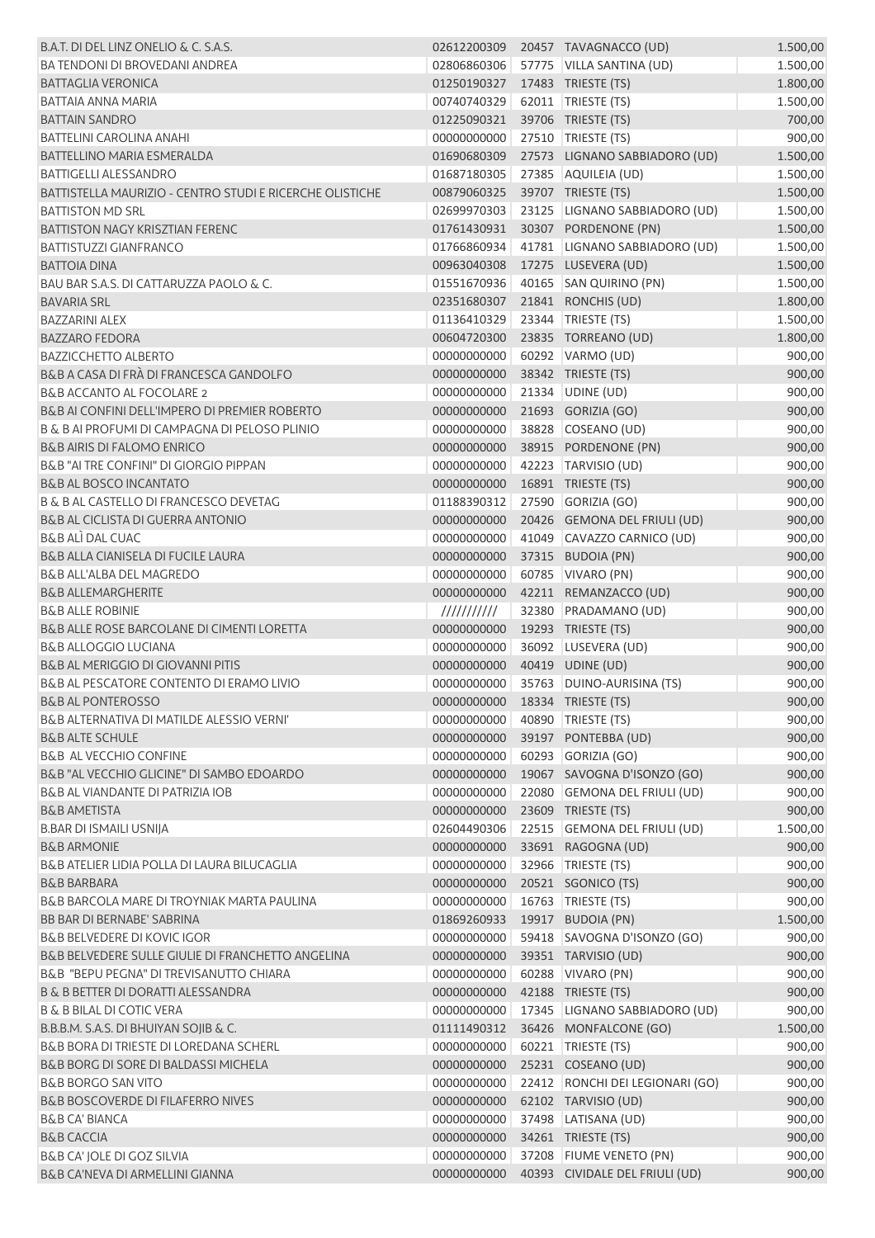| B.A.T. DI DEL LINZ ONELIO & C. S.A.S.                    | 02612200309   | 20457 TAVAGNACCO (UD)           | 1.500,00 |
|----------------------------------------------------------|---------------|---------------------------------|----------|
| <b>BA TENDONI DI BROVEDANI ANDREA</b>                    | 02806860306   | 57775 VILLA SANTINA (UD)        | 1.500,00 |
| <b>BATTAGLIA VERONICA</b>                                | 01250190327   | 17483 TRIESTE (TS)              | 1.800,00 |
| <b>BATTAIA ANNA MARIA</b>                                | 00740740329   | 62011   TRIESTE (TS)            | 1.500,00 |
| <b>BATTAIN SANDRO</b>                                    | 01225090321   | 39706 TRIESTE (TS)              | 700,00   |
| <b>BATTELINI CAROLINA ANAHI</b>                          | 00000000000   | 27510 TRIESTE (TS)              | 900,00   |
| <b>BATTELLINO MARIA ESMERALDA</b>                        | 01690680309   | 27573 LIGNANO SABBIADORO (UD)   | 1.500,00 |
| <b>BATTIGELLI ALESSANDRO</b>                             | 01687180305   | 27385 AQUILEIA (UD)             | 1.500,00 |
| BATTISTELLA MAURIZIO - CENTRO STUDI E RICERCHE OLISTICHE | 00879060325   | 39707 TRIESTE (TS)              | 1.500,00 |
| <b>BATTISTON MD SRL</b>                                  | 02699970303   | 23125 LIGNANO SABBIADORO (UD)   |          |
|                                                          |               | 30307 PORDENONE (PN)            | 1.500,00 |
| <b>BATTISTON NAGY KRISZTIAN FERENC</b>                   | 01761430931   |                                 | 1.500,00 |
| <b>BATTISTUZZI GIANFRANCO</b>                            | 01766860934   | 41781 LIGNANO SABBIADORO (UD)   | 1.500,00 |
| <b>BATTOIA DINA</b>                                      | 00963040308   | 17275 LUSEVERA (UD)             | 1.500,00 |
| BAU BAR S.A.S. DI CATTARUZZA PAOLO & C.                  | 01551670936   | 40165 SAN QUIRINO (PN)          | 1.500,00 |
| <b>BAVARIA SRL</b>                                       | 02351680307   | 21841 RONCHIS (UD)              | 1.800,00 |
| <b>BAZZARINI ALEX</b>                                    | 01136410329   | 23344 TRIESTE (TS)              | 1.500,00 |
| <b>BAZZARO FEDORA</b>                                    | 00604720300   | 23835 TORREANO (UD)             | 1.800,00 |
| <b>BAZZICCHETTO ALBERTO</b>                              | 00000000000   | 60292 VARMO (UD)                | 900,00   |
| B&B A CASA DI FRÀ DI FRANCESCA GANDOLFO                  | 00000000000   | 38342 TRIESTE (TS)              | 900,00   |
| B&B ACCANTO AL FOCOLARE 2                                | 00000000000   | 21334 UDINE (UD)                | 900,00   |
| B&B AI CONFINI DELL'IMPERO DI PREMIER ROBERTO            | 00000000000   | 21693 GORIZIA (GO)              | 900,00   |
| B & B AI PROFUMI DI CAMPAGNA DI PELOSO PLINIO            | 00000000000   | 38828 COSEANO (UD)              | 900,00   |
| <b>B&amp;B AIRIS DI FALOMO ENRICO</b>                    | 00000000000   | 38915 PORDENONE (PN)            | 900,00   |
| <b>B&amp;B "AI TRE CONFINI" DI GIORGIO PIPPAN</b>        | 00000000000   | 42223 TARVISIO (UD)             | 900,00   |
| <b>B&amp;B AL BOSCO INCANTATO</b>                        | 00000000000   | 16891 TRIESTE (TS)              | 900,00   |
| <b>B &amp; B AL CASTELLO DI FRANCESCO DEVETAG</b>        | 01188390312   | 27590 GORIZIA (GO)              | 900,00   |
| <b>B&amp;B AL CICLISTA DI GUERRA ANTONIO</b>             | 00000000000   | 20426 GEMONA DEL FRIULI (UD)    | 900,00   |
| <b>B&amp;B ALI DAL CUAC</b>                              | 00000000000   | 41049 CAVAZZO CARNICO (UD)      | 900,00   |
| <b>B&amp;B ALLA CIANISELA DI FUCILE LAURA</b>            | 00000000000   | 37315 BUDOIA (PN)               | 900,00   |
| <b>B&amp;B ALL'ALBA DEL MAGREDO</b>                      | 00000000000   | 60785 VIVARO (PN)               |          |
| <b>B&amp;B ALLEMARGHERITE</b>                            |               |                                 | 900,00   |
|                                                          | 00000000000   | 42211 REMANZACCO (UD)           | 900,00   |
| <b>B&amp;B ALLE ROBINIE</b>                              | $\frac{1}{1}$ | 32380 PRADAMANO (UD)            | 900,00   |
| B&B ALLE ROSE BARCOLANE DI CIMENTI LORETTA               | 00000000000   | 19293 TRIESTE (TS)              | 900,00   |
| <b>B&amp;B ALLOGGIO LUCIANA</b>                          | 00000000000   | 36092 LUSEVERA (UD)             | 900,00   |
| B&B AL MERIGGIO DI GIOVANNI PITIS                        | 00000000000   | 40419 UDINE (UD)                | 900,00   |
| B&B AL PESCATORE CONTENTO DI ERAMO LIVIO                 | 00000000000   | 35763 DUINO-AURISINA (TS)       | 900,00   |
| B&B AL PONTEROSSO                                        |               | 00000000000 18334 TRIESTE (TS)  | 900,00   |
| B&B ALTERNATIVA DI MATILDE ALESSIO VERNI'                | 0000000000    | 40890 TRIESTE (TS)              | 900,00   |
| <b>B&amp;B ALTE SCHULE</b>                               | 00000000000   | 39197 PONTEBBA (UD)             | 900,00   |
| <b>B&amp;B AL VECCHIO CONFINE</b>                        | 00000000000   | 60293 GORIZIA (GO)              | 900,00   |
| B&B "AL VECCHIO GLICINE" DI SAMBO EDOARDO                | 00000000000   | 19067 SAVOGNA D'ISONZO (GO)     | 900,00   |
| <b>B&amp;B AL VIANDANTE DI PATRIZIA IOB</b>              | 00000000000   | 22080 GEMONA DEL FRIULI (UD)    | 900,00   |
| <b>B&amp;B AMETISTA</b>                                  | 00000000000   | 23609 TRIESTE (TS)              | 900,00   |
| <b>B.BAR DI ISMAILI USNIJA</b>                           | 02604490306   | 22515 GEMONA DEL FRIULI (UD)    | 1.500,00 |
| <b>B&amp;B ARMONIE</b>                                   | 00000000000   | 33691 RAGOGNA (UD)              | 900,00   |
| B&B ATELIER LIDIA POLLA DI LAURA BILUCAGLIA              | 00000000000   | 32966   TRIESTE (TS)            | 900,00   |
| <b>B&amp;B BARBARA</b>                                   | 00000000000   | 20521 SGONICO (TS)              | 900,00   |
| B&B BARCOLA MARE DI TROYNIAK MARTA PAULINA               | 00000000000   | 16763   TRIESTE (TS)            | 900,00   |
| <b>BB BAR DI BERNABE' SABRINA</b>                        | 01869260933   | 19917 BUDOIA (PN)               | 1.500,00 |
| <b>B&amp;B BELVEDERE DI KOVIC IGOR</b>                   | 00000000000   | 59418 SAVOGNA D'ISONZO (GO)     | 900,00   |
| B&B BELVEDERE SULLE GIULIE DI FRANCHETTO ANGELINA        | 00000000000   | 39351 TARVISIO (UD)             | 900,00   |
| <b>B&amp;B "BEPU PEGNA" DI TREVISANUTTO CHIARA</b>       | 00000000000   | 60288 VIVARO (PN)               | 900,00   |
| <b>B &amp; B BETTER DI DORATTI ALESSANDRA</b>            | 00000000000   | 42188 TRIESTE (TS)              | 900,00   |
|                                                          |               |                                 |          |
| <b>B &amp; B BILAL DI COTIC VERA</b>                     | 00000000000   | 17345   LIGNANO SABBIADORO (UD) | 900,00   |
| B.B.B.M. S.A.S. DI BHUIYAN SOJIB & C.                    | 01111490312   | 36426 MONFALCONE (GO)           | 1.500,00 |
| B&B BORA DI TRIESTE DI LOREDANA SCHERL                   | 00000000000   | 60221   TRIESTE (TS)            | 900,00   |
| B&B BORG DI SORE DI BALDASSI MICHELA                     | 00000000000   | 25231 COSEANO (UD)              | 900,00   |
| <b>B&amp;B BORGO SAN VITO</b>                            | 00000000000   | 22412 RONCHI DEI LEGIONARI (GO) | 900,00   |
| <b>B&amp;B BOSCOVERDE DI FILAFERRO NIVES</b>             | 00000000000   | 62102 TARVISIO (UD)             | 900,00   |
| <b>B&amp;B CA' BIANCA</b>                                | 00000000000   | 37498 LATISANA (UD)             | 900,00   |
| <b>B&amp;B CACCIA</b>                                    | 00000000000   | 34261 TRIESTE (TS)              | 900,00   |
| B&B CA' JOLE DI GOZ SILVIA                               | 00000000000   | 37208 FIUME VENETO (PN)         | 900,00   |
| B&B CA'NEVA DI ARMELLINI GIANNA                          | 00000000000   | 40393 CIVIDALE DEL FRIULI (UD)  | 900,00   |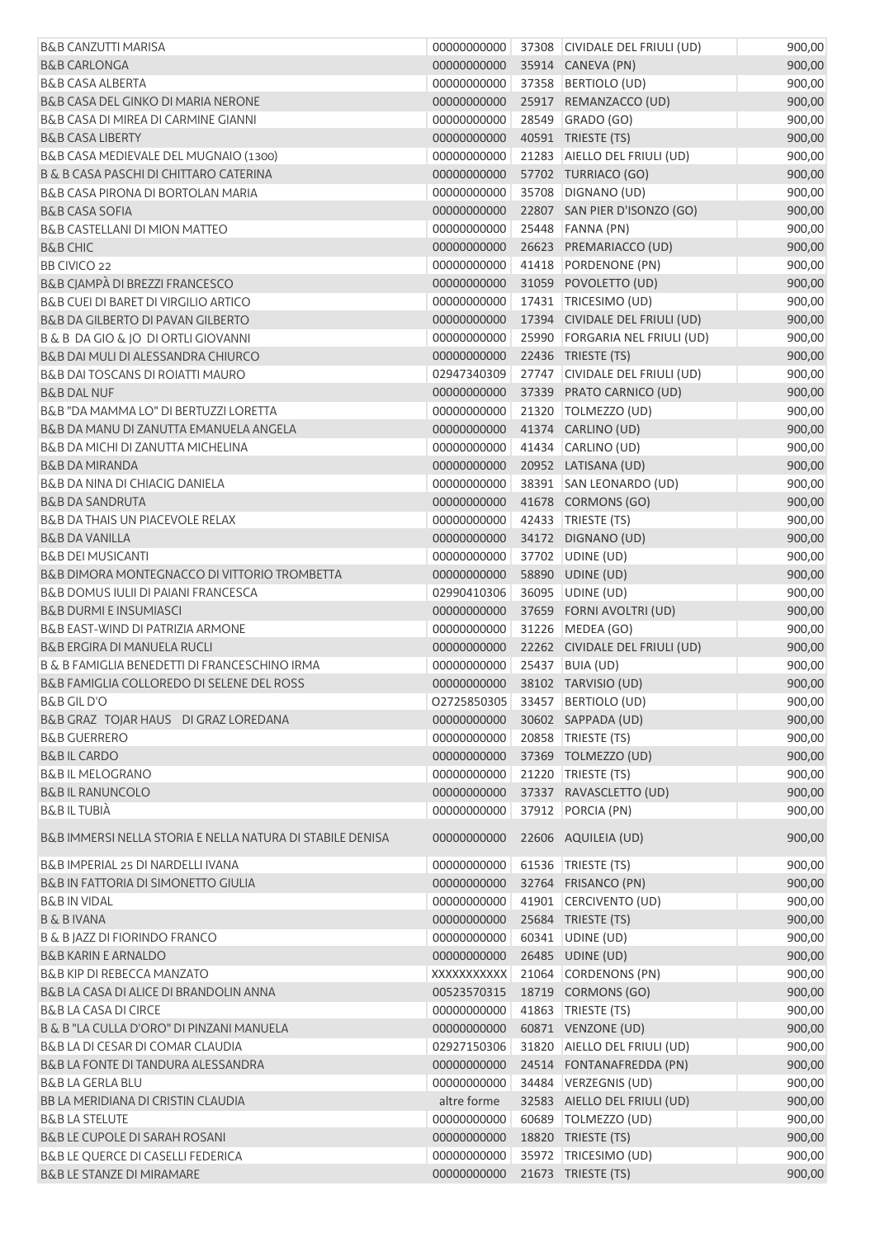| <b>B&amp;B CANZUTTI MARISA</b>                            | 00000000000                     | 37308 CIVIDALE DEL FRIULI (UD)  | 900,00 |
|-----------------------------------------------------------|---------------------------------|---------------------------------|--------|
| <b>B&amp;B CARLONGA</b>                                   | 00000000000                     | 35914 CANEVA (PN)               | 900,00 |
| <b>B&amp;B CASA ALBERTA</b>                               | 00000000000                     | 37358 BERTIOLO (UD)             | 900,00 |
| B&B CASA DEL GINKO DI MARIA NERONE                        | 00000000000                     | 25917 REMANZACCO (UD)           | 900,00 |
| B&B CASA DI MIREA DI CARMINE GIANNI                       | 00000000000                     | 28549 GRADO (GO)                | 900,00 |
| <b>B&amp;B CASA LIBERTY</b>                               | 00000000000                     | 40591 TRIESTE (TS)              | 900,00 |
| B&B CASA MEDIEVALE DEL MUGNAIO (1300)                     | 00000000000                     | 21283 AIELLO DEL FRIULI (UD)    | 900,00 |
| B & B CASA PASCHI DI CHITTARO CATERINA                    | 00000000000                     | 57702 TURRIACO (GO)             | 900,00 |
| B&B CASA PIRONA DI BORTOLAN MARIA                         | 00000000000                     | 35708 DIGNANO (UD)              | 900,00 |
| <b>B&amp;B CASA SOFIA</b>                                 | 00000000000                     | 22807 SAN PIER D'ISONZO (GO)    | 900,00 |
| <b>B&amp;B CASTELLANI DI MION MATTEO</b>                  | 00000000000                     | 25448 FANNA (PN)                | 900,00 |
| <b>B&amp;B CHIC</b>                                       | 00000000000                     | 26623 PREMARIACCO (UD)          | 900,00 |
| BB CIVICO 22                                              | 00000000000                     | 41418 PORDENONE (PN)            | 900,00 |
| B&B CJAMPÀ DI BREZZI FRANCESCO                            | 00000000000                     | 31059 POVOLETTO (UD)            | 900,00 |
| B&B CUEI DI BARET DI VIRGILIO ARTICO                      | 00000000000                     | 17431 TRICESIMO (UD)            | 900,00 |
| B&B DA GILBERTO DI PAVAN GILBERTO                         | 00000000000                     | 17394 CIVIDALE DEL FRIULI (UD)  | 900,00 |
| B & B DA GIO & JO DI ORTLI GIOVANNI                       | 00000000000                     | 25990 FORGARIA NEL FRIULI (UD)  | 900,00 |
| B&B DAI MULI DI ALESSANDRA CHIURCO                        | 00000000000                     | 22436 TRIESTE (TS)              | 900,00 |
| <b>B&amp;B DAI TOSCANS DI ROIATTI MAURO</b>               | 02947340309                     | 27747 CIVIDALE DEL FRIULI (UD)  | 900,00 |
| <b>B&amp;B DAL NUF</b>                                    | 00000000000                     | 37339 PRATO CARNICO (UD)        | 900,00 |
| B&B "DA MAMMA LO" DI BERTUZZI LORETTA                     | 00000000000                     | 21320 TOLMEZZO (UD)             | 900,00 |
| B&B DA MANU DI ZANUTTA EMANUELA ANGELA                    | 00000000000                     | 41374 CARLINO (UD)              | 900,00 |
| B&B DA MICHI DI ZANUTTA MICHELINA                         | 00000000000                     | 41434 CARLINO (UD)              | 900,00 |
| <b>B&amp;B DA MIRANDA</b>                                 | 00000000000                     | 20952 LATISANA (UD)             | 900,00 |
| B&B DA NINA DI CHIACIG DANIELA                            | 00000000000                     | 38391 SAN LEONARDO (UD)         | 900,00 |
| <b>B&amp;B DA SANDRUTA</b>                                | 00000000000                     | 41678 CORMONS (GO)              | 900,00 |
| <b>B&amp;B DA THAIS UN PIACEVOLE RELAX</b>                | 00000000000                     | 42433 TRIESTE (TS)              | 900,00 |
| <b>B&amp;B DA VANILLA</b>                                 | 00000000000                     | 34172 DIGNANO (UD)              | 900,00 |
| <b>B&amp;B DEI MUSICANTI</b>                              | 00000000000                     | 37702 UDINE (UD)                | 900,00 |
| B&B DIMORA MONTEGNACCO DI VITTORIO TROMBETTA              | 00000000000                     | 58890 UDINE (UD)                | 900,00 |
| B&B DOMUS IULII DI PAIANI FRANCESCA                       | 02990410306                     | 36095 UDINE (UD)                | 900,00 |
| <b>B&amp;B DURMI E INSUMIASCI</b>                         | 00000000000                     | 37659 FORNI AVOLTRI (UD)        | 900,00 |
| B&B EAST-WIND DI PATRIZIA ARMONE                          | 00000000000                     | 31226 MEDEA (GO)                | 900,00 |
| <b>B&amp;B ERGIRA DI MANUELA RUCLI</b>                    | 00000000000                     | 22262 CIVIDALE DEL FRIULI (UD)  | 900,00 |
| B & B FAMIGLIA BENEDETTI DI FRANCESCHINO IRMA             | 00000000000                     | 25437 BUIA (UD)                 | 900,00 |
| B&B FAMIGLIA COLLOREDO DI SELENE DEL ROSS                 | 00000000000 38102 TARVISIO (UD) |                                 | 900,00 |
| <b>B&amp;B GIL D'O</b>                                    |                                 | 02725850305 33457 BERTIOLO (UD) | 900,00 |
| B&B GRAZ TOJAR HAUS DI GRAZ LOREDANA                      | 00000000000                     | 30602 SAPPADA (UD)              | 900,00 |
| <b>B&amp;B GUERRERO</b>                                   | 00000000000                     | 20858 TRIESTE (TS)              | 900,00 |
| <b>B&amp;BIL CARDO</b>                                    | 00000000000                     | 37369 TOLMEZZO (UD)             | 900,00 |
| <b>B&amp;B IL MELOGRANO</b>                               | 00000000000                     | 21220 TRIESTE (TS)              | 900,00 |
| <b>B&amp;BIL RANUNCOLO</b>                                | 00000000000                     | 37337 RAVASCLETTO (UD)          | 900,00 |
| <b>B&amp;BILTUBIÀ</b>                                     | 00000000000                     | 37912 PORCIA (PN)               | 900,00 |
|                                                           |                                 |                                 |        |
| B&B IMMERSI NELLA STORIA E NELLA NATURA DI STABILE DENISA | 00000000000                     | 22606 AQUILEIA (UD)             | 900,00 |
| B&B IMPERIAL 25 DI NARDELLI IVANA                         | 00000000000                     | 61536   TRIESTE (TS)            | 900,00 |
| B&B IN FATTORIA DI SIMONETTO GIULIA                       | 00000000000                     | 32764 FRISANCO (PN)             | 900,00 |
| <b>B&amp;B IN VIDAL</b>                                   | 00000000000                     | 41901 CERCIVENTO (UD)           | 900,00 |
| <b>B &amp; B IVANA</b>                                    | 00000000000                     | 25684 TRIESTE (TS)              | 900,00 |
| B & B JAZZ DI FIORINDO FRANCO                             | 00000000000                     | 60341 UDINE (UD)                | 900,00 |
| <b>B&amp;B KARIN E ARNALDO</b>                            | 00000000000                     | 26485 UDINE (UD)                | 900,00 |
| <b>B&amp;B KIP DI REBECCA MANZATO</b>                     | XXXXXXXXXX                      | 21064 CORDENONS (PN)            | 900,00 |
| B&B LA CASA DI ALICE DI BRANDOLIN ANNA                    | 00523570315                     | 18719 CORMONS (GO)              | 900,00 |
| <b>B&amp;B LA CASA DI CIRCE</b>                           | 00000000000                     | 41863   TRIESTE (TS)            | 900,00 |
| B & B "LA CULLA D'ORO" DI PINZANI MANUELA                 | 00000000000                     | 60871 VENZONE (UD)              | 900,00 |
| B&B LA DI CESAR DI COMAR CLAUDIA                          | 02927150306                     | 31820 AIELLO DEL FRIULI (UD)    | 900,00 |
| B&B LA FONTE DI TANDURA ALESSANDRA                        | 00000000000                     | 24514 FONTANAFREDDA (PN)        | 900,00 |
| <b>B&amp;B LA GERLA BLU</b>                               | 00000000000                     | 34484 VERZEGNIS (UD)            | 900,00 |
| BB LA MERIDIANA DI CRISTIN CLAUDIA                        | altre forme                     | 32583 AIELLO DEL FRIULI (UD)    | 900,00 |
| <b>B&amp;B LA STELUTE</b>                                 | 00000000000                     | 60689   TOLMEZZO (UD)           | 900,00 |
| <b>B&amp;B LE CUPOLE DI SARAH ROSANI</b>                  | 00000000000                     | 18820 TRIESTE (TS)              | 900,00 |
| B&B LE QUERCE DI CASELLI FEDERICA                         | 00000000000                     | 35972 TRICESIMO (UD)            | 900,00 |
| B&B LE STANZE DI MIRAMARE                                 | 00000000000                     | 21673 TRIESTE (TS)              | 900,00 |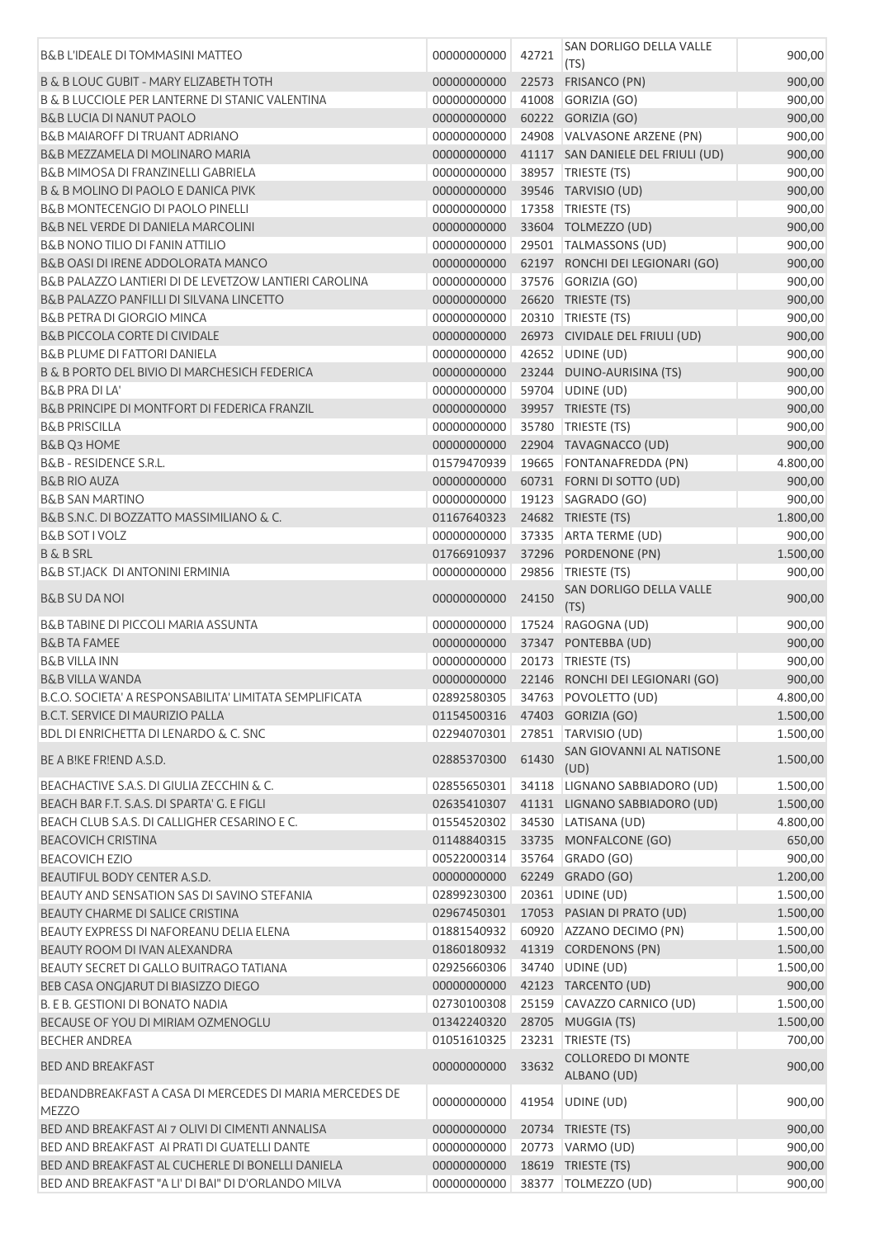| <b>B&amp;B L'IDEALE DI TOMMASINI MATTEO</b>                             | 00000000000                      | 42721 | SAN DORLIGO DELLA VALLE<br>(TS)         | 900,00             |
|-------------------------------------------------------------------------|----------------------------------|-------|-----------------------------------------|--------------------|
| <b>B &amp; B LOUC GUBIT - MARY ELIZABETH TOTH</b>                       | 00000000000                      | 22573 | FRISANCO (PN)                           | 900,00             |
| <b>B &amp; B LUCCIOLE PER LANTERNE DI STANIC VALENTINA</b>              | 00000000000                      | 41008 | GORIZIA (GO)                            | 900,00             |
| B&B LUCIA DI NANUT PAOLO                                                | 00000000000                      |       | 60222 GORIZIA (GO)                      | 900,00             |
| <b>B&amp;B MAIAROFF DI TRUANT ADRIANO</b>                               | 00000000000                      |       | 24908 VALVASONE ARZENE (PN)             | 900,00             |
| B&B MEZZAMELA DI MOLINARO MARIA                                         | 00000000000                      |       | 41117 SAN DANIELE DEL FRIULI (UD)       | 900,00             |
| B&B MIMOSA DI FRANZINELLI GABRIELA                                      | 00000000000                      |       | 38957 TRIESTE (TS)                      | 900,00             |
| B & B MOLINO DI PAOLO E DANICA PIVK                                     | 00000000000                      |       | 39546 TARVISIO (UD)                     | 900,00             |
| <b>B&amp;B MONTECENGIO DI PAOLO PINELLI</b>                             | 00000000000                      |       | 17358 TRIESTE (TS)                      | 900,00             |
| B&B NEL VERDE DI DANIELA MARCOLINI                                      | 00000000000                      |       | 33604 TOLMEZZO (UD)                     | 900,00             |
| <b>B&amp;B NONO TILIO DI FANIN ATTILIO</b>                              | 00000000000                      |       | 29501   TALMASSONS (UD)                 | 900,00             |
| B&B OASI DI IRENE ADDOLORATA MANCO                                      | 00000000000                      |       | 62197 RONCHI DEI LEGIONARI (GO)         | 900,00             |
| B&B PALAZZO LANTIERI DI DE LEVETZOW LANTIERI CAROLINA                   | 00000000000                      |       | 37576 GORIZIA (GO)                      | 900,00             |
| B&B PALAZZO PANFILLI DI SILVANA LINCETTO                                | 00000000000                      |       | 26620 TRIESTE (TS)                      | 900,00             |
| <b>B&amp;B PETRA DI GIORGIO MINCA</b>                                   | 00000000000                      |       | 20310   TRIESTE (TS)                    | 900,00             |
| <b>B&amp;B PICCOLA CORTE DI CIVIDALE</b>                                | 00000000000                      |       | 26973 CIVIDALE DEL FRIULI (UD)          | 900,00             |
| <b>B&amp;B PLUME DI FATTORI DANIELA</b>                                 | 00000000000                      |       | 42652 UDINE (UD)                        | 900,00             |
| B & B PORTO DEL BIVIO DI MARCHESICH FEDERICA                            | 00000000000                      |       | 23244 DUINO-AURISINA (TS)               | 900,00             |
| <b>B&amp;B PRA DI LA'</b>                                               | 00000000000                      |       | 59704 UDINE (UD)                        | 900,00             |
| B&B PRINCIPE DI MONTFORT DI FEDERICA FRANZIL                            | 00000000000                      |       | 39957 TRIESTE (TS)                      | 900,00             |
| <b>B&amp;B PRISCILLA</b>                                                | 00000000000                      |       | 35780 TRIESTE (TS)                      | 900,00             |
| B&B Q3 HOME                                                             | 00000000000                      |       | 22904 TAVAGNACCO (UD)                   | 900,00             |
| <b>B&amp;B - RESIDENCE S.R.L.</b>                                       | 01579470939                      |       | 19665 FONTANAFREDDA (PN)                | 4.800,00           |
| <b>B&amp;B RIO AUZA</b>                                                 | 00000000000                      |       | 60731 FORNI DI SOTTO (UD)               | 900,00             |
| <b>B&amp;B SAN MARTINO</b>                                              | 00000000000                      |       | 19123   SAGRADO (GO)                    | 900,00             |
| B&B S.N.C. DI BOZZATTO MASSIMILIANO & C.                                | 01167640323                      |       | 24682 TRIESTE (TS)                      | 1.800,00           |
| <b>B&amp;B SOT I VOLZ</b>                                               | 00000000000                      |       | 37335 ARTA TERME (UD)                   | 900,00             |
| <b>B &amp; B SRL</b>                                                    | 01766910937                      |       | 37296 PORDENONE (PN)                    | 1.500,00           |
| <b>B&amp;B ST.JACK DI ANTONINI ERMINIA</b>                              | 00000000000                      | 29856 | TRIESTE (TS)                            | 900,00             |
| <b>B&amp;B SU DA NOI</b>                                                | 00000000000                      | 24150 | SAN DORLIGO DELLA VALLE<br>(TS)         | 900,00             |
| B&B TABINE DI PICCOLI MARIA ASSUNTA                                     | 00000000000                      |       | 17524 RAGOGNA (UD)                      | 900,00             |
| <b>B&amp;B TA FAMEE</b>                                                 | 00000000000                      |       | 37347 PONTEBBA (UD)                     | 900,00             |
| <b>B&amp;B VILLA INN</b>                                                | 00000000000                      |       | 20173   TRIESTE (TS)                    | 900,00             |
| <b>B&amp;B VILLA WANDA</b>                                              | 00000000000                      |       | 22146 RONCHI DEI LEGIONARI (GO)         | 900,00             |
| B.C.O. SOCIETA' A RESPONSABILITA' LIMITATA SEMPLIFICATA                 |                                  |       | 02892580305 34763 POVOLETTO (UD)        | 4.800,00           |
| B.C.T. SERVICE DI MAURIZIO PALLA                                        | 01154500316  47403  GORIZIA (GO) |       |                                         | 1.500,00           |
| BDL DI ENRICHETTA DI LENARDO & C. SNC                                   | 02294070301                      |       | 27851 TARVISIO (UD)                     | 1.500,00           |
| BE A BIKE FRIEND A.S.D.                                                 | 02885370300                      | 61430 | SAN GIOVANNI AL NATISONE<br>(UD)        | 1.500,00           |
| BEACHACTIVE S.A.S. DI GIULIA ZECCHIN & C.                               | 02855650301                      |       | 34118 LIGNANO SABBIADORO (UD)           | 1.500,00           |
| BEACH BAR F.T. S.A.S. DI SPARTA' G. E FIGLI                             | 02635410307                      |       | 41131 LIGNANO SABBIADORO (UD)           | 1.500,00           |
| BEACH CLUB S.A.S. DI CALLIGHER CESARINO E C.                            | 01554520302                      |       | 34530 LATISANA (UD)                     | 4.800,00           |
| <b>BEACOVICH CRISTINA</b>                                               | 01148840315                      |       | 33735 MONFALCONE (GO)                   | 650,00             |
| <b>BEACOVICH EZIO</b>                                                   | 00522000314                      |       | 35764 GRADO (GO)                        | 900,00             |
| BEAUTIFUL BODY CENTER A.S.D.                                            | 00000000000                      |       | 62249 GRADO (GO)                        | 1.200,00           |
| BEAUTY AND SENSATION SAS DI SAVINO STEFANIA                             | 02899230300                      |       | 20361 UDINE (UD)                        | 1.500,00           |
| BEAUTY CHARME DI SALICE CRISTINA                                        | 02967450301                      |       | 17053 PASIAN DI PRATO (UD)              | 1.500,00           |
| BEAUTY EXPRESS DI NAFOREANU DELIA ELENA                                 | 01881540932                      |       | 60920 AZZANO DECIMO (PN)                | 1.500,00           |
| BEAUTY ROOM DI IVAN ALEXANDRA                                           | 01860180932                      |       | 41319 CORDENONS (PN)                    | 1.500,00           |
| BEAUTY SECRET DI GALLO BUITRAGO TATIANA                                 | 02925660306                      |       | 34740 UDINE (UD)                        | 1.500,00           |
| BEB CASA ONGJARUT DI BIASIZZO DIEGO                                     | 00000000000                      |       | 42123 TARCENTO (UD)                     | 900,00             |
| B. E B. GESTIONI DI BONATO NADIA                                        | 02730100308                      |       | 25159 CAVAZZO CARNICO (UD)              | 1.500,00           |
| BECAUSE OF YOU DI MIRIAM OZMENOGLU<br><b>BECHER ANDREA</b>              | 01342240320<br>01051610325       |       | 28705 MUGGIA (TS)<br>23231 TRIESTE (TS) | 1.500,00<br>700,00 |
|                                                                         |                                  |       | COLLOREDO DI MONTE                      |                    |
| <b>BED AND BREAKFAST</b>                                                | 00000000000                      | 33632 | ALBANO (UD)                             | 900,00             |
| BEDANDBREAKFAST A CASA DI MERCEDES DI MARIA MERCEDES DE<br><b>MEZZO</b> | 00000000000                      |       | 41954 UDINE (UD)                        | 900,00             |
| BED AND BREAKFAST AI 7 OLIVI DI CIMENTI ANNALISA                        | 00000000000                      |       | 20734 TRIESTE (TS)                      | 900,00             |
| BED AND BREAKFAST AI PRATI DI GUATELLI DANTE                            | 00000000000                      |       | 20773 VARMO (UD)                        | 900,00             |
| BED AND BREAKFAST AL CUCHERLE DI BONELLI DANIELA                        | 00000000000                      |       | 18619 TRIESTE (TS)                      | 900,00             |
| BED AND BREAKFAST "A LI' DI BAI" DI D'ORLANDO MILVA                     | 00000000000                      |       | 38377 TOLMEZZO (UD)                     | 900,00             |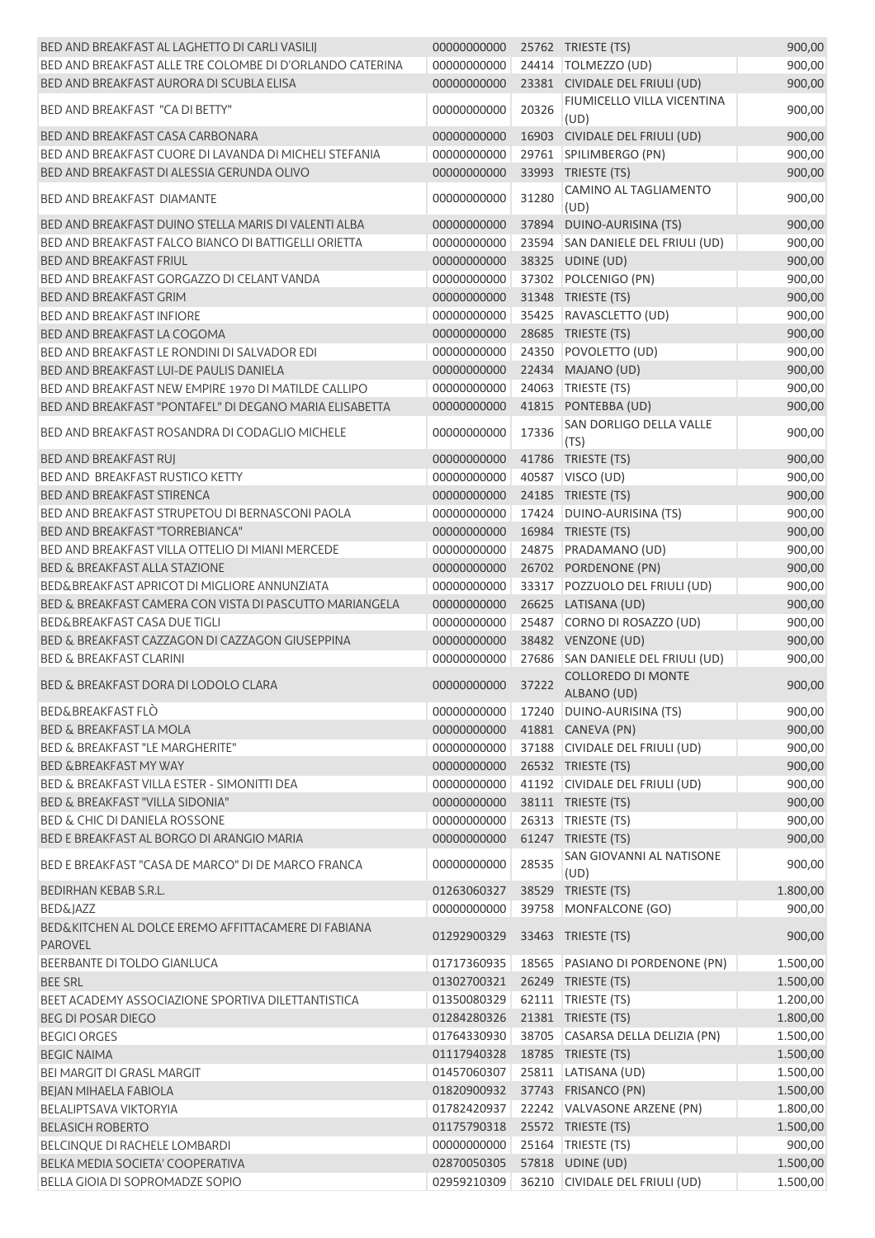| BED AND BREAKFAST AL LAGHETTO DI CARLI VASILIJ                        | 00000000000 |       | 25762 TRIESTE (TS)                       | 900,00   |
|-----------------------------------------------------------------------|-------------|-------|------------------------------------------|----------|
| BED AND BREAKFAST ALLE TRE COLOMBE DI D'ORLANDO CATERINA              | 00000000000 |       | 24414   TOLMEZZO (UD)                    | 900,00   |
| BED AND BREAKFAST AURORA DI SCUBLA ELISA                              | 00000000000 |       | 23381 CIVIDALE DEL FRIULI (UD)           | 900,00   |
| BED AND BREAKFAST "CA DI BETTY"                                       | 00000000000 | 20326 | FIUMICELLO VILLA VICENTINA<br>(UD)       | 900,00   |
| BED AND BREAKFAST CASA CARBONARA                                      | 00000000000 |       | 16903 CIVIDALE DEL FRIULI (UD)           | 900,00   |
| BED AND BREAKFAST CUORE DI LAVANDA DI MICHELI STEFANIA                | 00000000000 |       | 29761 SPILIMBERGO (PN)                   | 900,00   |
| BED AND BREAKFAST DI ALESSIA GERUNDA OLIVO                            | 00000000000 |       | 33993 TRIESTE (TS)                       | 900,00   |
| <b>BED AND BREAKFAST DIAMANTE</b>                                     | 00000000000 | 31280 | CAMINO AL TAGLIAMENTO                    | 900,00   |
| BED AND BREAKFAST DUINO STELLA MARIS DI VALENTI ALBA                  | 00000000000 | 37894 | (UD)<br>DUINO-AURISINA (TS)              | 900,00   |
| BED AND BREAKFAST FALCO BIANCO DI BATTIGELLI ORIETTA                  |             |       |                                          |          |
|                                                                       | 00000000000 |       | 23594 SAN DANIELE DEL FRIULI (UD)        | 900,00   |
| <b>BED AND BREAKFAST FRIUL</b>                                        | 00000000000 |       | 38325 UDINE (UD)                         | 900,00   |
| BED AND BREAKFAST GORGAZZO DI CELANT VANDA                            | 00000000000 |       | 37302 POLCENIGO (PN)                     | 900,00   |
| <b>BED AND BREAKFAST GRIM</b>                                         | 00000000000 |       | 31348 TRIESTE (TS)                       | 900,00   |
| <b>BED AND BREAKFAST INFIORE</b>                                      | 00000000000 |       | 35425 RAVASCLETTO (UD)                   | 900,00   |
| <b>BED AND BREAKFAST LA COGOMA</b>                                    | 00000000000 |       | 28685 TRIESTE (TS)                       | 900,00   |
| BED AND BREAKFAST LE RONDINI DI SALVADOR EDI                          | 00000000000 |       | 24350 POVOLETTO (UD)                     | 900,00   |
| BED AND BREAKFAST LUI-DE PAULIS DANIELA                               | 00000000000 |       | 22434 MAJANO (UD)                        | 900,00   |
| BED AND BREAKFAST NEW EMPIRE 1970 DI MATILDE CALLIPO                  | 00000000000 | 24063 | TRIESTE (TS)                             | 900,00   |
| BED AND BREAKFAST "PONTAFEL" DI DEGANO MARIA ELISABETTA               | 00000000000 |       | 41815 PONTEBBA (UD)                      | 900,00   |
| BED AND BREAKFAST ROSANDRA DI CODAGLIO MICHELE                        | 00000000000 | 17336 | SAN DORLIGO DELLA VALLE<br>(TS)          | 900,00   |
| <b>BED AND BREAKFAST RUJ</b>                                          | 00000000000 |       | 41786 TRIESTE (TS)                       | 900,00   |
| BED AND BREAKFAST RUSTICO KETTY                                       | 00000000000 |       | 40587 VISCO (UD)                         | 900,00   |
| <b>BED AND BREAKFAST STIRENCA</b>                                     |             |       |                                          |          |
|                                                                       | 00000000000 |       | 24185 TRIESTE (TS)                       | 900,00   |
| BED AND BREAKFAST STRUPETOU DI BERNASCONI PAOLA                       | 00000000000 |       | 17424 DUINO-AURISINA (TS)                | 900,00   |
| BED AND BREAKFAST "TORREBIANCA"                                       | 00000000000 |       | 16984 TRIESTE (TS)                       | 900,00   |
| BED AND BREAKFAST VILLA OTTELIO DI MIANI MERCEDE                      | 00000000000 |       | 24875 PRADAMANO (UD)                     | 900,00   |
| <b>BED &amp; BREAKFAST ALLA STAZIONE</b>                              | 00000000000 |       | 26702 PORDENONE (PN)                     | 900,00   |
| BED&BREAKFAST APRICOT DI MIGLIORE ANNUNZIATA                          | 00000000000 |       | 33317 POZZUOLO DEL FRIULI (UD)           | 900,00   |
| BED & BREAKFAST CAMERA CON VISTA DI PASCUTTO MARIANGELA               | 00000000000 |       | 26625 LATISANA (UD)                      | 900,00   |
| <b>BED&amp;BREAKFAST CASA DUE TIGLI</b>                               | 00000000000 |       | 25487 CORNO DI ROSAZZO (UD)              | 900,00   |
| BED & BREAKFAST CAZZAGON DI CAZZAGON GIUSEPPINA                       | 00000000000 |       | 38482 VENZONE (UD)                       | 900,00   |
| <b>BED &amp; BREAKFAST CLARINI</b>                                    | 00000000000 |       | 27686 SAN DANIELE DEL FRIULI (UD)        | 900,00   |
| BED & BREAKFAST DORA DI LODOLO CLARA                                  | 00000000000 | 37222 | <b>COLLOREDO DI MONTE</b><br>ALBANO (UD) | 900,00   |
| <b>BED&amp;BREAKFAST FLO</b>                                          | 00000000000 |       | 17240 DUINO-AURISINA (TS)                | 900,00   |
| <b>BED &amp; BREAKFAST LA MOLA</b>                                    | 00000000000 |       | 41881 CANEVA (PN)                        | 900,00   |
| <b>BED &amp; BREAKFAST "LE MARGHERITE"</b>                            | 00000000000 |       | 37188 CIVIDALE DEL FRIULI (UD)           | 900,00   |
| BED & BREAKFAST MY WAY                                                | 00000000000 |       | 26532 TRIESTE (TS)                       | 900,00   |
| BED & BREAKFAST VILLA ESTER - SIMONITTI DEA                           | 00000000000 |       | 41192 CIVIDALE DEL FRIULI (UD)           | 900,00   |
| <b>BED &amp; BREAKFAST "VILLA SIDONIA"</b>                            | 00000000000 |       | 38111 TRIESTE (TS)                       | 900,00   |
| <b>BED &amp; CHIC DI DANIELA ROSSONE</b>                              | 00000000000 |       | 26313 TRIESTE (TS)                       | 900,00   |
| BED E BREAKFAST AL BORGO DI ARANGIO MARIA                             | 00000000000 |       | 61247 TRIESTE (TS)                       | 900,00   |
|                                                                       |             |       | SAN GIOVANNI AL NATISONE                 |          |
| BED E BREAKFAST "CASA DE MARCO" DI DE MARCO FRANCA                    | 00000000000 | 28535 | (UD)                                     | 900,00   |
| BEDIRHAN KEBAB S.R.L.                                                 | 01263060327 |       | 38529 TRIESTE (TS)                       | 1.800,00 |
| <b>BED&amp;JAZZ</b>                                                   | 00000000000 |       | 39758 MONFALCONE (GO)                    | 900,00   |
| BED&KITCHEN AL DOLCE EREMO AFFITTACAMERE DI FABIANA<br><b>PAROVEL</b> | 01292900329 |       | 33463 TRIESTE (TS)                       | 900,00   |
| BEERBANTE DI TOLDO GIANLUCA                                           | 01717360935 |       | 18565 PASIANO DI PORDENONE (PN)          | 1.500,00 |
| <b>BEE SRL</b>                                                        | 01302700321 |       | 26249 TRIESTE (TS)                       | 1.500,00 |
| BEET ACADEMY ASSOCIAZIONE SPORTIVA DILETTANTISTICA                    | 01350080329 |       | 62111   TRIESTE (TS)                     | 1.200,00 |
| <b>BEG DI POSAR DIEGO</b>                                             | 01284280326 |       | 21381 TRIESTE (TS)                       | 1.800,00 |
| <b>BEGICI ORGES</b>                                                   | 01764330930 |       | 38705 CASARSA DELLA DELIZIA (PN)         | 1.500,00 |
| <b>BEGIC NAIMA</b>                                                    | 01117940328 |       | 18785 TRIESTE (TS)                       | 1.500,00 |
| <b>BEI MARGIT DI GRASL MARGIT</b>                                     | 01457060307 |       | 25811 LATISANA (UD)                      |          |
|                                                                       |             |       |                                          | 1.500,00 |
| <b>BEJAN MIHAELA FABIOLA</b>                                          | 01820900932 |       | 37743 FRISANCO (PN)                      | 1.500,00 |
| <b>BELALIPTSAVA VIKTORYIA</b>                                         | 01782420937 |       | 22242 VALVASONE ARZENE (PN)              | 1.800,00 |
| <b>BELASICH ROBERTO</b>                                               | 01175790318 |       | 25572 TRIESTE (TS)                       | 1.500,00 |
| BELCINQUE DI RACHELE LOMBARDI                                         | 00000000000 |       | 25164 TRIESTE (TS)                       | 900,00   |
| BELKA MEDIA SOCIETA' COOPERATIVA                                      | 02870050305 |       | 57818 UDINE (UD)                         | 1.500,00 |
| BELLA GIOIA DI SOPROMADZE SOPIO                                       | 02959210309 |       | 36210 CIVIDALE DEL FRIULI (UD)           | 1.500,00 |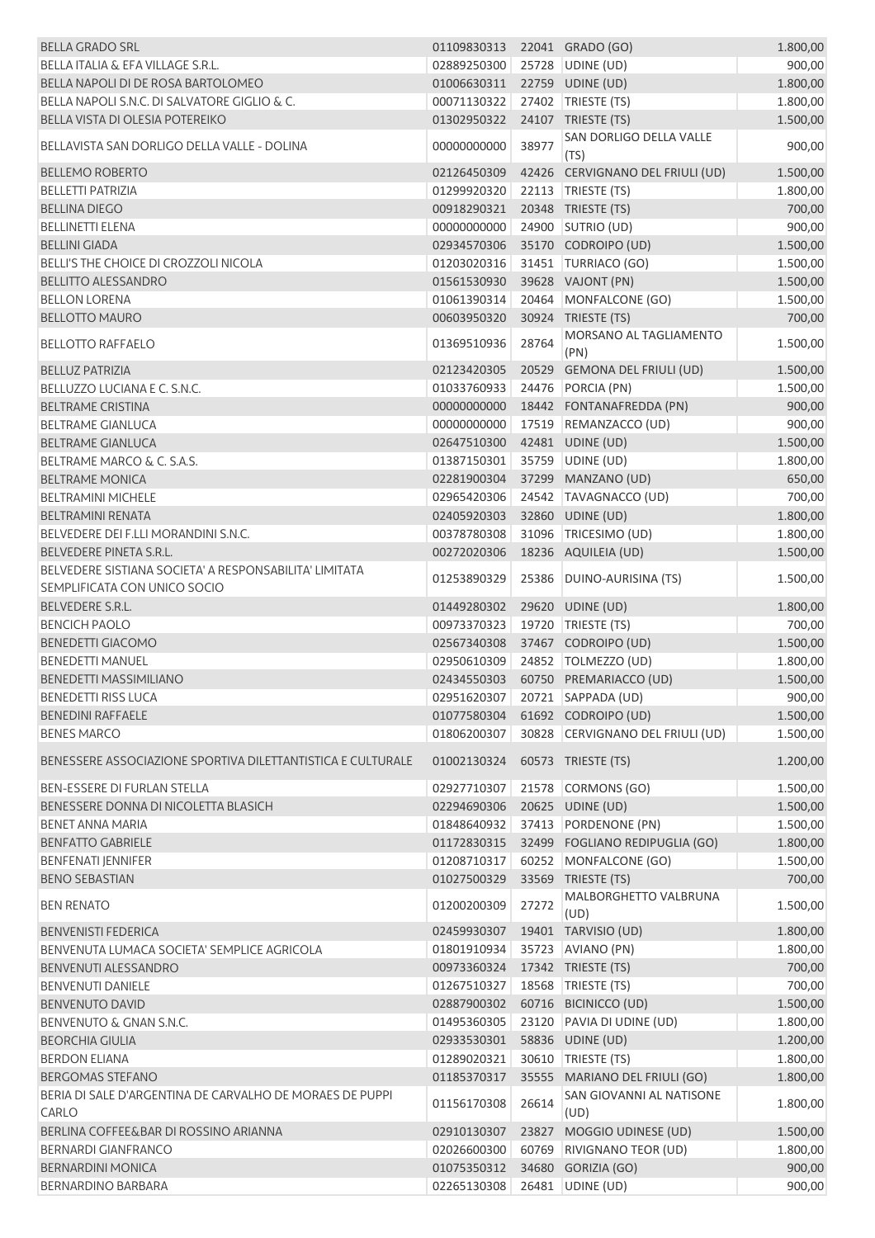| <b>BELLA GRADO SRL</b>                                      | 01109830313 22041 GRADO (GO) |       |                                                        | 1.800,00             |
|-------------------------------------------------------------|------------------------------|-------|--------------------------------------------------------|----------------------|
| BELLA ITALIA & EFA VILLAGE S.R.L.                           | 02889250300                  |       | 25728 UDINE (UD)                                       | 900,00               |
| BELLA NAPOLI DI DE ROSA BARTOLOMEO                          | 01006630311                  |       | 22759 UDINE (UD)                                       | 1.800,00             |
| BELLA NAPOLI S.N.C. DI SALVATORE GIGLIO & C.                | 00071130322                  |       | 27402 TRIESTE (TS)                                     | 1.800,00             |
| BELLA VISTA DI OLESIA POTEREIKO                             | 01302950322                  |       | 24107 TRIESTE (TS)                                     | 1.500,00             |
| BELLAVISTA SAN DORLIGO DELLA VALLE - DOLINA                 | 00000000000                  | 38977 | SAN DORLIGO DELLA VALLE<br>(TS)                        | 900,00               |
| <b>BELLEMO ROBERTO</b>                                      | 02126450309                  |       | 42426 CERVIGNANO DEL FRIULI (UD)                       | 1.500,00             |
| <b>BELLETTI PATRIZIA</b>                                    | 01299920320                  |       | 22113   TRIESTE (TS)                                   | 1.800,00             |
| <b>BELLINA DIEGO</b>                                        | 00918290321                  |       | 20348 TRIESTE (TS)                                     | 700,00               |
| <b>BELLINETTI ELENA</b>                                     | 00000000000                  |       | 24900 SUTRIO (UD)                                      | 900,00               |
| <b>BELLINI GIADA</b>                                        | 02934570306                  |       | 35170 CODROIPO (UD)                                    | 1.500,00             |
| BELLI'S THE CHOICE DI CROZZOLI NICOLA                       | 01203020316                  |       | 31451 TURRIACO (GO)                                    | 1.500,00             |
| <b>BELLITTO ALESSANDRO</b>                                  | 01561530930                  |       | 39628 VAJONT (PN)                                      | 1.500,00             |
| <b>BELLON LORENA</b>                                        | 01061390314                  |       | 20464 MONFALCONE (GO)                                  | 1.500,00             |
| <b>BELLOTTO MAURO</b>                                       | 00603950320                  |       | 30924 TRIESTE (TS)                                     | 700,00               |
| <b>BELLOTTO RAFFAELO</b>                                    | 01369510936                  | 28764 | MORSANO AL TAGLIAMENTO<br>(PN)                         | 1.500,00             |
| <b>BELLUZ PATRIZIA</b>                                      | 02123420305                  |       | 20529 GEMONA DEL FRIULI (UD)                           | 1.500,00             |
| BELLUZZO LUCIANA E C. S.N.C.                                | 01033760933                  |       | 24476 PORCIA (PN)                                      | 1.500,00             |
| <b>BELTRAME CRISTINA</b>                                    | 00000000000                  |       | 18442 FONTANAFREDDA (PN)                               | 900,00               |
| <b>BELTRAME GIANLUCA</b>                                    | 00000000000                  |       | 17519 REMANZACCO (UD)                                  | 900,00               |
| <b>BELTRAME GIANLUCA</b>                                    | 02647510300                  |       | 42481 UDINE (UD)                                       | 1.500,00             |
| BELTRAME MARCO & C. S.A.S.                                  | 01387150301                  |       | 35759 UDINE (UD)                                       | 1.800,00             |
| <b>BELTRAME MONICA</b>                                      | 02281900304                  |       | 37299 MANZANO (UD)                                     | 650,00               |
| <b>BELTRAMINI MICHELE</b>                                   | 02965420306                  |       | 24542 TAVAGNACCO (UD)                                  | 700,00               |
| <b>BELTRAMINI RENATA</b>                                    | 02405920303                  |       | 32860 UDINE (UD)                                       | 1.800,00             |
| BELVEDERE DEI F.LLI MORANDINI S.N.C.                        | 00378780308                  |       | 31096 TRICESIMO (UD)                                   | 1.800,00             |
| <b>BELVEDERE PINETA S.R.L.</b>                              | 00272020306                  |       | 18236 AQUILEIA (UD)                                    | 1.500,00             |
| BELVEDERE SISTIANA SOCIETA' A RESPONSABILITA' LIMITATA      | 01253890329                  |       | 25386 DUINO-AURISINA (TS)                              | 1.500,00             |
| SEMPLIFICATA CON UNICO SOCIO                                |                              |       |                                                        |                      |
| BELVEDERE S.R.L.                                            | 01449280302                  |       | 29620 UDINE (UD)                                       | 1.800,00             |
| <b>BENCICH PAOLO</b>                                        | 00973370323                  |       | 19720   TRIESTE (TS)                                   | 700,00               |
| <b>BENEDETTI GIACOMO</b>                                    | 02567340308                  |       | 37467 CODROIPO (UD)                                    | 1.500,00             |
| <b>BENEDETTI MANUEL</b>                                     | 02950610309                  |       | 24852 TOLMEZZO (UD)                                    | 1.800,00             |
| <b>BENEDETTI MASSIMILIANO</b>                               | 02434550303                  |       | 60750 PREMARIACCO (UD)                                 | 1.500,00             |
| <b>BENEDETTI RISS LUCA</b>                                  |                              |       | 02951620307 20721 SAPPADA (UD)                         | 900,00               |
| <b>BENEDINI RAFFAELE</b>                                    |                              |       | 01077580304 61692 CODROIPO (UD)                        | 1.500,00             |
| <b>BENES MARCO</b>                                          | 01806200307<br>01002130324   |       | 30828 CERVIGNANO DEL FRIULI (UD)<br>60573 TRIESTE (TS) | 1.500,00<br>1.200,00 |
| BENESSERE ASSOCIAZIONE SPORTIVA DILETTANTISTICA E CULTURALE |                              |       |                                                        |                      |
| <b>BEN-ESSERE DI FURLAN STELLA</b>                          | 02927710307                  |       | 21578 CORMONS (GO)                                     | 1.500,00             |
| BENESSERE DONNA DI NICOLETTA BLASICH                        | 02294690306                  |       | 20625 UDINE (UD)                                       | 1.500,00             |
| <b>BENET ANNA MARIA</b>                                     | 01848640932                  |       | 37413 PORDENONE (PN)                                   | 1.500,00             |
| <b>BENFATTO GABRIELE</b>                                    | 01172830315                  |       | 32499 FOGLIANO REDIPUGLIA (GO)                         | 1.800,00             |
| <b>BENFENATI JENNIFER</b>                                   | 01208710317                  |       | 60252 MONFALCONE (GO)                                  | 1.500,00             |
| <b>BENO SEBASTIAN</b>                                       | 01027500329                  |       | 33569 TRIESTE (TS)                                     | 700,00               |
| <b>BEN RENATO</b>                                           | 01200200309                  | 27272 | MALBORGHETTO VALBRUNA<br>(UD)                          | 1.500,00             |
| <b>BENVENISTI FEDERICA</b>                                  | 02459930307                  |       | 19401 TARVISIO (UD)                                    | 1.800,00             |
| BENVENUTA LUMACA SOCIETA' SEMPLICE AGRICOLA                 | 01801910934                  |       | 35723 AVIANO (PN)                                      | 1.800,00             |
| <b>BENVENUTI ALESSANDRO</b>                                 | 00973360324                  |       | 17342 TRIESTE (TS)                                     | 700,00               |
| <b>BENVENUTI DANIELE</b>                                    | 01267510327                  |       | 18568   TRIESTE (TS)                                   | 700,00               |
| <b>BENVENUTO DAVID</b>                                      | 02887900302                  |       | 60716 BICINICCO (UD)                                   | 1.500,00             |
| BENVENUTO & GNAN S.N.C.                                     | 01495360305                  |       | 23120 PAVIA DI UDINE (UD)                              | 1.800,00             |
| <b>BEORCHIA GIULIA</b>                                      | 02933530301                  |       | 58836 UDINE (UD)                                       | 1.200,00             |
| <b>BERDON ELIANA</b>                                        | 01289020321                  |       | 30610 TRIESTE (TS)                                     | 1.800,00             |
| <b>BERGOMAS STEFANO</b>                                     | 01185370317                  |       | 35555 MARIANO DEL FRIULI (GO)                          | 1.800,00             |
| BERIA DI SALE D'ARGENTINA DE CARVALHO DE MORAES DE PUPPI    |                              |       | SAN GIOVANNI AL NATISONE                               |                      |
| <b>CARLO</b>                                                | 01156170308                  | 26614 | (UD)                                                   | 1.800,00             |
| BERLINA COFFEE&BAR DI ROSSINO ARIANNA                       | 02910130307                  |       | 23827 MOGGIO UDINESE (UD)                              | 1.500,00             |
| <b>BERNARDI GIANFRANCO</b>                                  | 02026600300                  |       | 60769 RIVIGNANO TEOR (UD)                              | 1.800,00             |
| <b>BERNARDINI MONICA</b>                                    | 01075350312                  |       | 34680 GORIZIA (GO)                                     | 900,00               |
| <b>BERNARDINO BARBARA</b>                                   | 02265130308                  |       | 26481 UDINE (UD)                                       | 900,00               |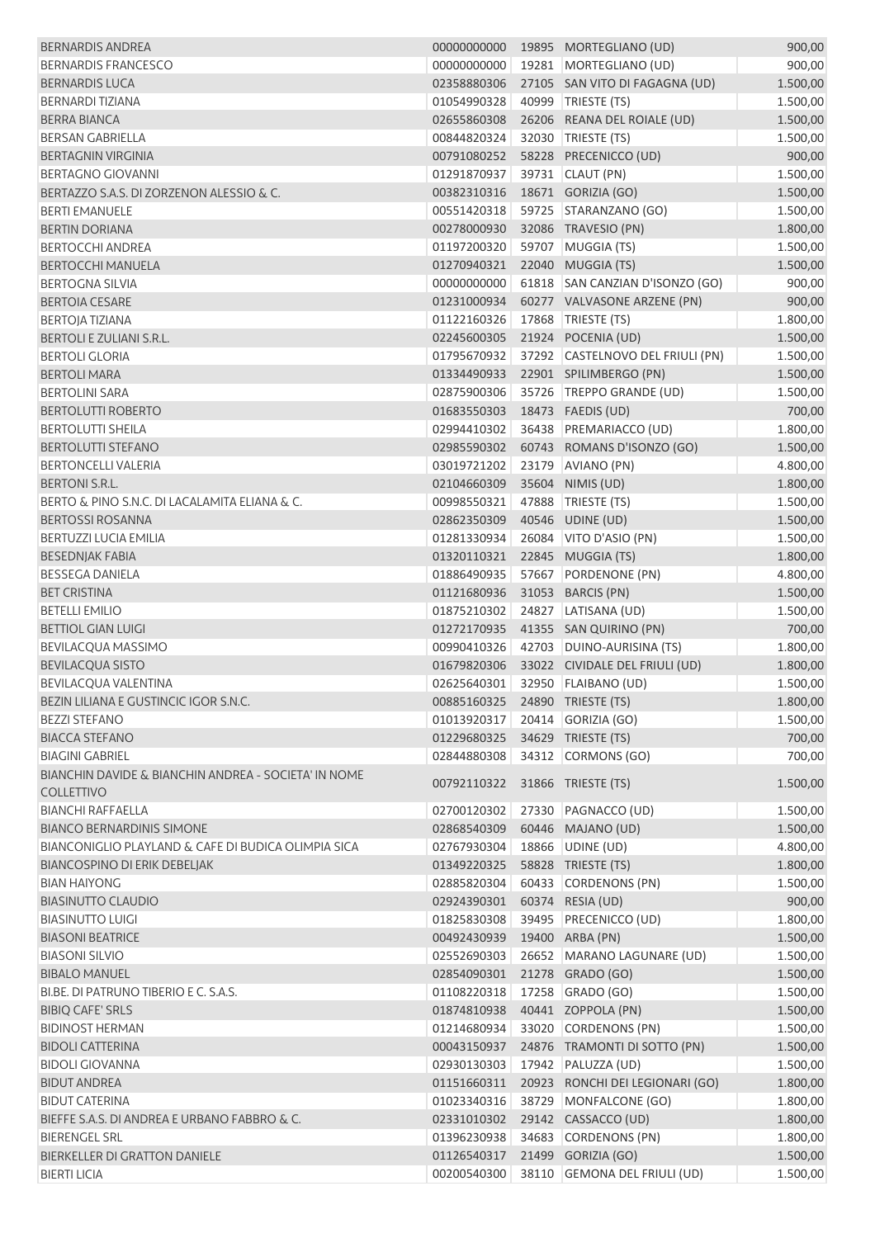| <b>BERNARDIS ANDREA</b>                                                   | 00000000000 |       | 19895 MORTEGLIANO (UD)           | 900,00   |
|---------------------------------------------------------------------------|-------------|-------|----------------------------------|----------|
| <b>BERNARDIS FRANCESCO</b>                                                | 00000000000 |       | 19281   MORTEGLIANO (UD)         | 900,00   |
| <b>BERNARDIS LUCA</b>                                                     | 02358880306 |       | 27105 SAN VITO DI FAGAGNA (UD)   | 1.500,00 |
| <b>BERNARDI TIZIANA</b>                                                   | 01054990328 |       | 40999 TRIESTE (TS)               | 1.500,00 |
| <b>BERRA BIANCA</b>                                                       | 02655860308 |       | 26206 REANA DEL ROIALE (UD)      | 1.500,00 |
| <b>BERSAN GABRIELLA</b>                                                   | 00844820324 |       | 32030 TRIESTE (TS)               | 1.500,00 |
| <b>BERTAGNIN VIRGINIA</b>                                                 | 00791080252 |       | 58228 PRECENICCO (UD)            | 900,00   |
| <b>BERTAGNO GIOVANNI</b>                                                  | 01291870937 |       | 39731 CLAUT (PN)                 | 1.500,00 |
| BERTAZZO S.A.S. DI ZORZENON ALESSIO & C.                                  | 00382310316 |       | 18671 GORIZIA (GO)               | 1.500,00 |
| <b>BERTI EMANUELE</b>                                                     | 00551420318 |       | 59725 STARANZANO (GO)            | 1.500,00 |
|                                                                           | 00278000930 |       |                                  |          |
| <b>BERTIN DORIANA</b>                                                     | 01197200320 |       | 32086 TRAVESIO (PN)              | 1.800,00 |
| <b>BERTOCCHI ANDREA</b>                                                   |             |       | 59707 MUGGIA (TS)                | 1.500,00 |
| <b>BERTOCCHI MANUELA</b>                                                  | 01270940321 |       | 22040 MUGGIA (TS)                | 1.500,00 |
| <b>BERTOGNA SILVIA</b>                                                    | 00000000000 |       | 61818 SAN CANZIAN D'ISONZO (GO)  | 900,00   |
| <b>BERTOIA CESARE</b>                                                     | 01231000934 |       | 60277 VALVASONE ARZENE (PN)      | 900,00   |
| <b>BERTOJA TIZIANA</b>                                                    | 01122160326 |       | 17868   TRIESTE (TS)             | 1.800,00 |
| <b>BERTOLI E ZULIANI S.R.L.</b>                                           | 02245600305 |       | 21924 POCENIA (UD)               | 1.500,00 |
| <b>BERTOLI GLORIA</b>                                                     | 01795670932 |       | 37292 CASTELNOVO DEL FRIULI (PN) | 1.500,00 |
| <b>BERTOLI MARA</b>                                                       | 01334490933 |       | 22901 SPILIMBERGO (PN)           | 1.500,00 |
| <b>BERTOLINI SARA</b>                                                     | 02875900306 |       | 35726 TREPPO GRANDE (UD)         | 1.500,00 |
| <b>BERTOLUTTI ROBERTO</b>                                                 | 01683550303 |       | 18473  FAEDIS (UD)               | 700,00   |
| <b>BERTOLUTTI SHEILA</b>                                                  | 02994410302 |       | 36438 PREMARIACCO (UD)           | 1.800,00 |
| <b>BERTOLUTTI STEFANO</b>                                                 | 02985590302 |       | 60743 ROMANS D'ISONZO (GO)       | 1.500,00 |
| <b>BERTONCELLI VALERIA</b>                                                | 03019721202 |       | 23179 AVIANO (PN)                | 4.800,00 |
| BERTONI S.R.L.                                                            | 02104660309 |       | 35604 NIMIS (UD)                 | 1.800,00 |
| BERTO & PINO S.N.C. DI LACALAMITA ELIANA & C.                             | 00998550321 |       | 47888 TRIESTE (TS)               | 1.500,00 |
| <b>BERTOSSI ROSANNA</b>                                                   | 02862350309 |       | 40546 UDINE (UD)                 | 1.500,00 |
| <b>BERTUZZI LUCIA EMILIA</b>                                              | 01281330934 |       | 26084 VITO D'ASIO (PN)           | 1.500,00 |
| <b>BESEDNJAK FABIA</b>                                                    | 01320110321 |       | 22845 MUGGIA (TS)                | 1.800,00 |
| <b>BESSEGA DANIELA</b>                                                    | 01886490935 | 57667 | PORDENONE (PN)                   | 4.800,00 |
| <b>BET CRISTINA</b>                                                       | 01121680936 |       | 31053 BARCIS (PN)                |          |
| <b>BETELLI EMILIO</b>                                                     |             |       |                                  | 1.500,00 |
| <b>BETTIOL GIAN LUIGI</b>                                                 | 01875210302 |       | 24827 LATISANA (UD)              | 1.500,00 |
|                                                                           | 01272170935 |       | 41355 SAN QUIRINO (PN)           | 700,00   |
| <b>BEVILACQUA MASSIMO</b>                                                 | 00990410326 |       | 42703 DUINO-AURISINA (TS)        | 1.800,00 |
| <b>BEVILACQUA SISTO</b>                                                   | 01679820306 |       | 33022 CIVIDALE DEL FRIULI (UD)   | 1.800,00 |
| BEVILACQUA VALENTINA                                                      | 02625640301 |       | 32950 FLAIBANO (UD)              | 1.500,00 |
| BEZIN LILIANA E GUSTINCIC IGOR S.N.C.                                     |             |       | 00885160325 24890 TRIESTE (TS)   | 1.800,00 |
| <b>BEZZI STEFANO</b>                                                      | 01013920317 |       | 20414 GORIZIA (GO)               | 1.500,00 |
| <b>BIACCA STEFANO</b>                                                     | 01229680325 |       | 34629 TRIESTE (TS)               | 700,00   |
| <b>BIAGINI GABRIEL</b>                                                    | 02844880308 |       | 34312 CORMONS (GO)               | 700,00   |
| BIANCHIN DAVIDE & BIANCHIN ANDREA - SOCIETA' IN NOME<br><b>COLLETTIVO</b> | 00792110322 |       | 31866 TRIESTE (TS)               | 1.500,00 |
| <b>BIANCHI RAFFAELLA</b>                                                  | 02700120302 |       | 27330 PAGNACCO (UD)              | 1.500,00 |
| <b>BIANCO BERNARDINIS SIMONE</b>                                          | 02868540309 |       | 60446 MAJANO (UD)                | 1.500,00 |
| BIANCONIGLIO PLAYLAND & CAFE DI BUDICA OLIMPIA SICA                       | 02767930304 |       | 18866 UDINE (UD)                 | 4.800,00 |
| BIANCOSPINO DI ERIK DEBELJAK                                              | 01349220325 |       | 58828 TRIESTE (TS)               | 1.800,00 |
| <b>BIAN HAIYONG</b>                                                       | 02885820304 |       | 60433 CORDENONS (PN)             | 1.500,00 |
| <b>BIASINUTTO CLAUDIO</b>                                                 | 02924390301 |       | 60374 RESIA (UD)                 | 900,00   |
| <b>BIASINUTTO LUIGI</b>                                                   | 01825830308 |       | 39495 PRECENICCO (UD)            | 1.800,00 |
| <b>BIASONI BEATRICE</b>                                                   | 00492430939 |       | 19400 ARBA (PN)                  | 1.500,00 |
| <b>BIASONI SILVIO</b>                                                     | 02552690303 |       | 26652 MARANO LAGUNARE (UD)       |          |
|                                                                           |             |       |                                  | 1.500,00 |
| <b>BIBALO MANUEL</b>                                                      | 02854090301 |       | 21278 GRADO (GO)                 | 1.500,00 |
| BI.BE. DI PATRUNO TIBERIO E C. S.A.S.                                     | 01108220318 |       | 17258 GRADO (GO)                 | 1.500,00 |
| <b>BIBIQ CAFE' SRLS</b>                                                   | 01874810938 |       | 40441 ZOPPOLA (PN)               | 1.500,00 |
| <b>BIDINOST HERMAN</b>                                                    | 01214680934 |       | 33020 CORDENONS (PN)             | 1.500,00 |
| <b>BIDOLI CATTERINA</b>                                                   | 00043150937 |       | 24876 TRAMONTI DI SOTTO (PN)     | 1.500,00 |
| <b>BIDOLI GIOVANNA</b>                                                    | 02930130303 |       | 17942 PALUZZA (UD)               | 1.500,00 |
| <b>BIDUT ANDREA</b>                                                       | 01151660311 |       | 20923 RONCHI DEI LEGIONARI (GO)  | 1.800,00 |
| <b>BIDUT CATERINA</b>                                                     | 01023340316 |       | 38729 MONFALCONE (GO)            | 1.800,00 |
| BIEFFE S.A.S. DI ANDREA E URBANO FABBRO & C.                              | 02331010302 |       | 29142 CASSACCO (UD)              | 1.800,00 |
| <b>BIERENGEL SRL</b>                                                      | 01396230938 |       | 34683 CORDENONS (PN)             | 1.800,00 |
| BIERKELLER DI GRATTON DANIELE                                             | 01126540317 |       | 21499 GORIZIA (GO)               | 1.500,00 |
| <b>BIERTI LICIA</b>                                                       | 00200540300 |       | 38110 GEMONA DEL FRIULI (UD)     | 1.500,00 |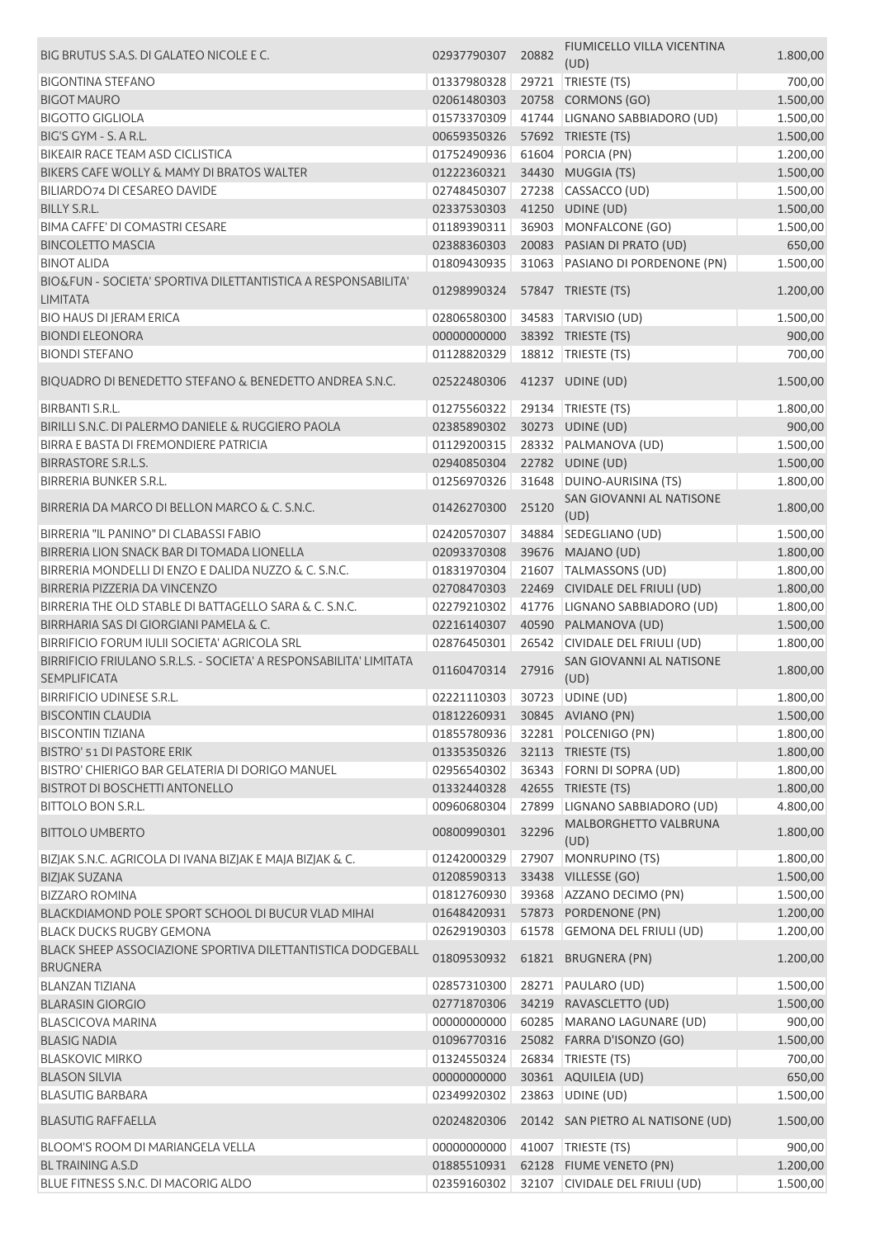| BIG BRUTUS S.A.S. DI GALATEO NICOLE E C.                                                  | 02937790307                   | 20882 | FIUMICELLO VILLA VICENTINA<br>(UD) | 1.800,00 |
|-------------------------------------------------------------------------------------------|-------------------------------|-------|------------------------------------|----------|
| <b>BIGONTINA STEFANO</b>                                                                  | 01337980328                   | 29721 | TRIESTE (TS)                       | 700,00   |
| <b>BIGOT MAURO</b>                                                                        | 02061480303                   |       | 20758 CORMONS (GO)                 | 1.500,00 |
| <b>BIGOTTO GIGLIOLA</b>                                                                   | 01573370309                   |       | 41744 LIGNANO SABBIADORO (UD)      | 1.500,00 |
| BIG'S GYM - S. A R.L.                                                                     | 00659350326                   |       | 57692 TRIESTE (TS)                 | 1.500,00 |
| <b>BIKEAIR RACE TEAM ASD CICLISTICA</b>                                                   | 01752490936                   |       | 61604 PORCIA (PN)                  | 1.200,00 |
| BIKERS CAFE WOLLY & MAMY DI BRATOS WALTER                                                 | 01222360321                   |       | 34430 MUGGIA (TS)                  | 1.500,00 |
| BILIARDO74 DI CESAREO DAVIDE                                                              | 02748450307                   |       | 27238 CASSACCO (UD)                | 1.500,00 |
| BILLY S.R.L.                                                                              | 02337530303                   |       | 41250 UDINE (UD)                   | 1.500,00 |
| <b>BIMA CAFFE' DI COMASTRI CESARE</b>                                                     |                               |       | 36903 MONFALCONE (GO)              |          |
| <b>BINCOLETTO MASCIA</b>                                                                  | 01189390311                   |       |                                    | 1.500,00 |
|                                                                                           | 02388360303                   |       | 20083 PASIAN DI PRATO (UD)         | 650,00   |
| <b>BINOT ALIDA</b>                                                                        | 01809430935                   |       | 31063 PASIANO DI PORDENONE (PN)    | 1.500,00 |
| BIO&FUN - SOCIETA' SPORTIVA DILETTANTISTICA A RESPONSABILITA'<br><b>LIMITATA</b>          | 01298990324                   |       | 57847 TRIESTE (TS)                 | 1.200,00 |
| <b>BIO HAUS DI JERAM ERICA</b>                                                            | 02806580300                   |       | 34583 TARVISIO (UD)                | 1.500,00 |
| <b>BIONDI ELEONORA</b>                                                                    | 00000000000                   |       | 38392 TRIESTE (TS)                 | 900,00   |
| <b>BIONDI STEFANO</b>                                                                     | 01128820329                   |       | 18812   TRIESTE (TS)               | 700,00   |
|                                                                                           |                               |       |                                    |          |
| BIQUADRO DI BENEDETTO STEFANO & BENEDETTO ANDREA S.N.C.                                   | 02522480306                   |       | 41237 UDINE (UD)                   | 1.500,00 |
| <b>BIRBANTI S.R.L.</b>                                                                    | 01275560322                   |       | 29134 TRIESTE (TS)                 | 1.800,00 |
| BIRILLI S.N.C. DI PALERMO DANIELE & RUGGIERO PAOLA                                        | 02385890302                   |       | 30273 UDINE (UD)                   | 900,00   |
| BIRRA E BASTA DI FREMONDIERE PATRICIA                                                     | 01129200315                   |       | 28332 PALMANOVA (UD)               | 1.500,00 |
| <b>BIRRASTORE S.R.L.S.</b>                                                                | 02940850304                   |       | 22782 UDINE (UD)                   | 1.500,00 |
| <b>BIRRERIA BUNKER S.R.L.</b>                                                             | 01256970326                   |       | 31648 DUINO-AURISINA (TS)          | 1.800,00 |
|                                                                                           |                               |       | SAN GIOVANNI AL NATISONE           |          |
| BIRRERIA DA MARCO DI BELLON MARCO & C. S.N.C.                                             | 01426270300                   | 25120 | (UD)                               | 1.800,00 |
| BIRRERIA "IL PANINO" DI CLABASSI FABIO                                                    | 02420570307                   |       | 34884 SEDEGLIANO (UD)              | 1.500,00 |
| BIRRERIA LION SNACK BAR DI TOMADA LIONELLA                                                | 02093370308                   |       | 39676 MAJANO (UD)                  | 1.800,00 |
| BIRRERIA MONDELLI DI ENZO E DALIDA NUZZO & C. S.N.C.                                      | 01831970304                   |       | 21607 TALMASSONS (UD)              | 1.800,00 |
| BIRRERIA PIZZERIA DA VINCENZO                                                             | 02708470303                   |       | 22469 CIVIDALE DEL FRIULI (UD)     | 1.800,00 |
| BIRRERIA THE OLD STABLE DI BATTAGELLO SARA & C. S.N.C.                                    | 02279210302                   |       | 41776 LIGNANO SABBIADORO (UD)      | 1.800,00 |
| BIRRHARIA SAS DI GIORGIANI PAMELA & C.                                                    | 02216140307                   | 40590 | PALMANOVA (UD)                     | 1.500,00 |
| BIRRIFICIO FORUM IULII SOCIETA' AGRICOLA SRL                                              | 02876450301                   | 26542 | CIVIDALE DEL FRIULI (UD)           | 1.800,00 |
| BIRRIFICIO FRIULANO S.R.L.S. - SOCIETA' A RESPONSABILITA' LIMITATA<br><b>SEMPLIFICATA</b> | 01160470314                   | 27916 | SAN GIOVANNI AL NATISONE<br>(UD)   | 1.800,00 |
| BIRRIFICIO UDINESE S.R.L.                                                                 |                               |       |                                    | 1.800,00 |
|                                                                                           | 02221110303 30723 UDINE (UD)  |       |                                    |          |
| <b>BISCONTIN CLAUDIA</b>                                                                  | 01812260931 30845 AVIANO (PN) |       |                                    | 1.500,00 |
| <b>BISCONTIN TIZIANA</b>                                                                  | 01855780936                   |       | 32281 POLCENIGO (PN)               | 1.800,00 |
| <b>BISTRO' 51 DI PASTORE ERIK</b>                                                         | 01335350326                   |       | 32113 TRIESTE (TS)                 | 1.800,00 |
| BISTRO' CHIERIGO BAR GELATERIA DI DORIGO MANUEL                                           | 02956540302                   |       | 36343 FORNI DI SOPRA (UD)          | 1.800,00 |
| <b>BISTROT DI BOSCHETTI ANTONELLO</b>                                                     | 01332440328                   |       | 42655 TRIESTE (TS)                 | 1.800,00 |
| <b>BITTOLO BON S.R.L.</b>                                                                 | 00960680304                   |       | 27899 LIGNANO SABBIADORO (UD)      | 4.800,00 |
| <b>BITTOLO UMBERTO</b>                                                                    | 00800990301                   | 32296 | MALBORGHETTO VALBRUNA<br>(UD)      | 1.800,00 |
| BIZJAK S.N.C. AGRICOLA DI IVANA BIZJAK E MAJA BIZJAK & C.                                 | 01242000329                   |       | 27907 MONRUPINO (TS)               | 1.800,00 |
| <b>BIZJAK SUZANA</b>                                                                      | 01208590313                   |       | 33438 VILLESSE (GO)                | 1.500,00 |
| <b>BIZZARO ROMINA</b>                                                                     | 01812760930                   |       | 39368 AZZANO DECIMO (PN)           | 1.500,00 |
| BLACKDIAMOND POLE SPORT SCHOOL DI BUCUR VLAD MIHAI                                        | 01648420931                   |       | 57873 PORDENONE (PN)               | 1.200,00 |
| <b>BLACK DUCKS RUGBY GEMONA</b>                                                           | 02629190303                   |       | 61578 GEMONA DEL FRIULI (UD)       |          |
| BLACK SHEEP ASSOCIAZIONE SPORTIVA DILETTANTISTICA DODGEBALL                               | 01809530932                   |       | 61821 BRUGNERA (PN)                | 1.200,00 |
| <b>BRUGNERA</b>                                                                           |                               |       |                                    | 1.200,00 |
| <b>BLANZAN TIZIANA</b>                                                                    | 02857310300                   |       | 28271 PAULARO (UD)                 | 1.500,00 |
| <b>BLARASIN GIORGIO</b>                                                                   | 02771870306                   |       | 34219 RAVASCLETTO (UD)             | 1.500,00 |
| <b>BLASCICOVA MARINA</b>                                                                  | 00000000000                   |       | 60285 MARANO LAGUNARE (UD)         | 900,00   |
| <b>BLASIG NADIA</b>                                                                       | 01096770316                   |       | 25082 FARRA D'ISONZO (GO)          | 1.500,00 |
| <b>BLASKOVIC MIRKO</b>                                                                    | 01324550324                   |       | 26834 TRIESTE (TS)                 | 700,00   |
| <b>BLASON SILVIA</b>                                                                      | 00000000000                   |       | 30361 AQUILEIA (UD)                | 650,00   |
| <b>BLASUTIG BARBARA</b>                                                                   | 02349920302                   |       | 23863 UDINE (UD)                   | 1.500,00 |
| <b>BLASUTIG RAFFAELLA</b>                                                                 | 02024820306                   |       | 20142 SAN PIETRO AL NATISONE (UD)  | 1.500,00 |
|                                                                                           |                               |       |                                    |          |
| BLOOM'S ROOM DI MARIANGELA VELLA                                                          | 00000000000                   |       | 41007   TRIESTE (TS)               | 900,00   |
| <b>BL TRAINING A.S.D</b>                                                                  | 01885510931                   |       | 62128 FIUME VENETO (PN)            | 1.200,00 |
| BLUE FITNESS S.N.C. DI MACORIG ALDO                                                       | 02359160302                   |       | 32107 CIVIDALE DEL FRIULI (UD)     | 1.500,00 |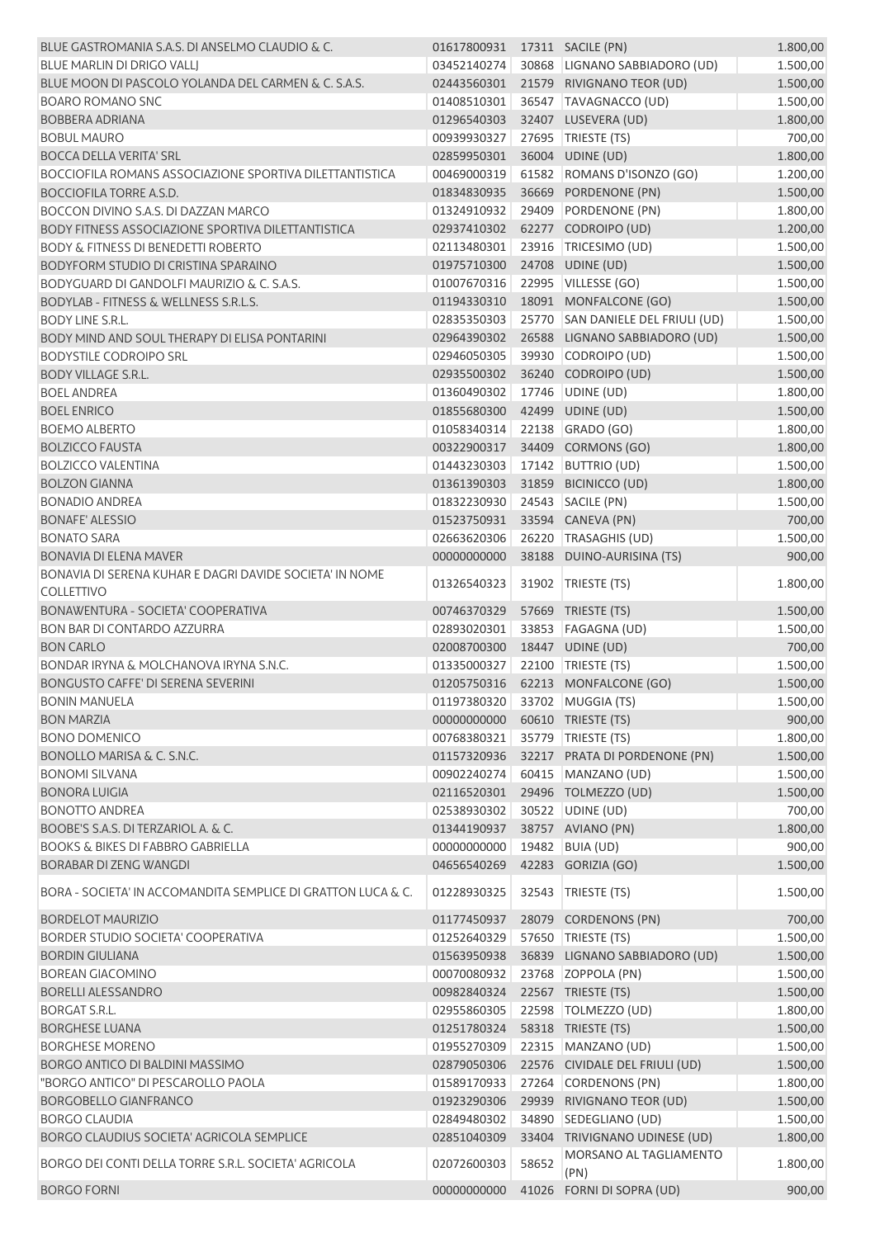| BLUE GASTROMANIA S.A.S. DI ANSELMO CLAUDIO & C.              | 01617800931 |       | 17311 SACILE (PN)                 | 1.800,00 |
|--------------------------------------------------------------|-------------|-------|-----------------------------------|----------|
| <b>BLUE MARLIN DI DRIGO VALLI</b>                            | 03452140274 |       | 30868 LIGNANO SABBIADORO (UD)     | 1.500,00 |
| BLUE MOON DI PASCOLO YOLANDA DEL CARMEN & C. S.A.S.          | 02443560301 |       | 21579 RIVIGNANO TEOR (UD)         | 1.500,00 |
| <b>BOARO ROMANO SNC</b>                                      | 01408510301 |       | 36547 TAVAGNACCO (UD)             | 1.500,00 |
| <b>BOBBERA ADRIANA</b>                                       | 01296540303 |       | 32407 LUSEVERA (UD)               | 1.800,00 |
| <b>BOBUL MAURO</b>                                           | 00939930327 |       | 27695 TRIESTE (TS)                | 700,00   |
| <b>BOCCA DELLA VERITA' SRL</b>                               | 02859950301 |       | 36004 UDINE (UD)                  | 1.800,00 |
| BOCCIOFILA ROMANS ASSOCIAZIONE SPORTIVA DILETTANTISTICA      | 00469000319 |       | 61582 ROMANS D'ISONZO (GO)        | 1.200,00 |
| <b>BOCCIOFILA TORRE A.S.D.</b>                               | 01834830935 |       | 36669 PORDENONE (PN)              | 1.500,00 |
| BOCCON DIVINO S.A.S. DI DAZZAN MARCO                         | 01324910932 |       | 29409 PORDENONE (PN)              | 1.800,00 |
| BODY FITNESS ASSOCIAZIONE SPORTIVA DILETTANTISTICA           | 02937410302 |       | 62277 CODROIPO (UD)               | 1.200,00 |
| <b>BODY &amp; FITNESS DI BENEDETTI ROBERTO</b>               | 02113480301 |       | 23916   TRICESIMO (UD)            | 1.500,00 |
| BODYFORM STUDIO DI CRISTINA SPARAINO                         | 01975710300 |       | 24708 UDINE (UD)                  | 1.500,00 |
| BODYGUARD DI GANDOLFI MAURIZIO & C. S.A.S.                   | 01007670316 |       | 22995   VILLESSE (GO)             | 1.500,00 |
| <b>BODYLAB - FITNESS &amp; WELLNESS S.R.L.S.</b>             | 01194330310 |       | 18091 MONFALCONE (GO)             | 1.500,00 |
| <b>BODY LINE S.R.L.</b>                                      | 02835350303 |       | 25770 SAN DANIELE DEL FRIULI (UD) | 1.500,00 |
| BODY MIND AND SOUL THERAPY DI ELISA PONTARINI                | 02964390302 |       | 26588 LIGNANO SABBIADORO (UD)     | 1.500,00 |
| <b>BODYSTILE CODROIPO SRL</b>                                | 02946050305 |       | 39930 CODROIPO (UD)               | 1.500,00 |
| <b>BODY VILLAGE S.R.L.</b>                                   | 02935500302 |       | 36240 CODROIPO (UD)               | 1.500,00 |
| <b>BOEL ANDREA</b>                                           | 01360490302 |       | 17746 UDINE (UD)                  | 1.800,00 |
| <b>BOEL ENRICO</b>                                           | 01855680300 |       | 42499 UDINE (UD)                  | 1.500,00 |
| <b>BOEMO ALBERTO</b>                                         | 01058340314 |       | 22138 GRADO (GO)                  | 1.800,00 |
| <b>BOLZICCO FAUSTA</b>                                       | 00322900317 |       | 34409 CORMONS (GO)                | 1.800,00 |
| <b>BOLZICCO VALENTINA</b>                                    | 01443230303 |       | 17142 BUTTRIO (UD)                | 1.500,00 |
| <b>BOLZON GIANNA</b>                                         | 01361390303 |       | 31859 BICINICCO (UD)              | 1.800,00 |
| <b>BONADIO ANDREA</b>                                        | 01832230930 |       | 24543 SACILE (PN)                 | 1.500,00 |
| <b>BONAFE' ALESSIO</b>                                       | 01523750931 |       | 33594 CANEVA (PN)                 | 700,00   |
| <b>BONATO SARA</b>                                           | 02663620306 |       | 26220 TRASAGHIS (UD)              | 1.500,00 |
| <b>BONAVIA DI ELENA MAVER</b>                                | 00000000000 |       | 38188 DUINO-AURISINA (TS)         | 900,00   |
| BONAVIA DI SERENA KUHAR E DAGRI DAVIDE SOCIETA' IN NOME      | 01326540323 | 31902 | TRIESTE (TS)                      | 1.800,00 |
| <b>COLLETTIVO</b>                                            |             |       |                                   |          |
| BONAWENTURA - SOCIETA' COOPERATIVA                           | 00746370329 |       | 57669 TRIESTE (TS)                | 1.500,00 |
| BON BAR DI CONTARDO AZZURRA                                  | 02893020301 |       | 33853   FAGAGNA (UD)              | 1.500,00 |
| <b>BON CARLO</b>                                             | 02008700300 |       | 18447 UDINE (UD)                  | 700,00   |
| BONDAR IRYNA & MOLCHANOVA IRYNA S.N.C.                       | 01335000327 |       | 22100 TRIESTE (TS)                | 1.500,00 |
| <b>BONGUSTO CAFFE' DI SERENA SEVERINI</b>                    | 01205750316 |       | 62213 MONFALCONE (GO)             | 1.500,00 |
| <b>BONIN MANUELA</b>                                         | 01197380320 |       | 33702 MUGGIA (TS)                 | 1.500,00 |
| <b>BON MARZIA</b>                                            | 00000000000 |       | 60610 TRIESTE (TS)                | 900,00   |
| <b>BONO DOMENICO</b>                                         | 00768380321 |       | 35779 TRIESTE (TS)                | 1.800,00 |
| BONOLLO MARISA & C. S.N.C.                                   | 01157320936 |       | 32217 PRATA DI PORDENONE (PN)     | 1.500,00 |
| <b>BONOMI SILVANA</b>                                        | 00902240274 |       | 60415 MANZANO (UD)                | 1.500,00 |
| <b>BONORA LUIGIA</b>                                         | 02116520301 |       | 29496 TOLMEZZO (UD)               | 1.500,00 |
| <b>BONOTTO ANDREA</b>                                        | 02538930302 |       | 30522 UDINE (UD)                  | 700,00   |
| BOOBE'S S.A.S. DI TERZARIOL A. & C.                          | 01344190937 |       | 38757 AVIANO (PN)                 | 1.800,00 |
| <b>BOOKS &amp; BIKES DI FABBRO GABRIELLA</b>                 | 00000000000 |       | 19482 BUIA (UD)                   | 900,00   |
| <b>BORABAR DI ZENG WANGDI</b>                                | 04656540269 |       | 42283 GORIZIA (GO)                | 1.500,00 |
| BORA - SOCIETA' IN ACCOMANDITA SEMPLICE DI GRATTON LUCA & C. | 01228930325 | 32543 | TRIESTE (TS)                      | 1.500,00 |
| <b>BORDELOT MAURIZIO</b>                                     | 01177450937 |       | 28079 CORDENONS (PN)              | 700,00   |
| <b>BORDER STUDIO SOCIETA' COOPERATIVA</b>                    | 01252640329 |       | 57650 TRIESTE (TS)                | 1.500,00 |
| <b>BORDIN GIULIANA</b>                                       | 01563950938 |       | 36839 LIGNANO SABBIADORO (UD)     | 1.500,00 |
| <b>BOREAN GIACOMINO</b>                                      | 00070080932 |       | 23768 ZOPPOLA (PN)                | 1.500,00 |
| <b>BORELLI ALESSANDRO</b>                                    | 00982840324 |       | 22567 TRIESTE (TS)                | 1.500,00 |
| <b>BORGAT S.R.L.</b>                                         | 02955860305 |       | 22598   TOLMEZZO (UD)             | 1.800,00 |
| <b>BORGHESE LUANA</b>                                        | 01251780324 |       | 58318 TRIESTE (TS)                | 1.500,00 |
| <b>BORGHESE MORENO</b>                                       | 01955270309 |       | 22315 MANZANO (UD)                | 1.500,00 |
| BORGO ANTICO DI BALDINI MASSIMO                              | 02879050306 |       | 22576 CIVIDALE DEL FRIULI (UD)    | 1.500,00 |
| "BORGO ANTICO" DI PESCAROLLO PAOLA                           | 01589170933 |       | 27264 CORDENONS (PN)              | 1.800,00 |
| <b>BORGOBELLO GIANFRANCO</b>                                 | 01923290306 |       | 29939 RIVIGNANO TEOR (UD)         | 1.500,00 |
| <b>BORGO CLAUDIA</b>                                         | 02849480302 |       | 34890 SEDEGLIANO (UD)             | 1.500,00 |
| BORGO CLAUDIUS SOCIETA' AGRICOLA SEMPLICE                    | 02851040309 |       | 33404 TRIVIGNANO UDINESE (UD)     | 1.800,00 |
| BORGO DEI CONTI DELLA TORRE S.R.L. SOCIETA' AGRICOLA         | 02072600303 | 58652 | MORSANO AL TAGLIAMENTO            | 1.800,00 |
| <b>BORGO FORNI</b>                                           | 00000000000 |       | (PN)<br>41026 FORNI DI SOPRA (UD) | 900,00   |
|                                                              |             |       |                                   |          |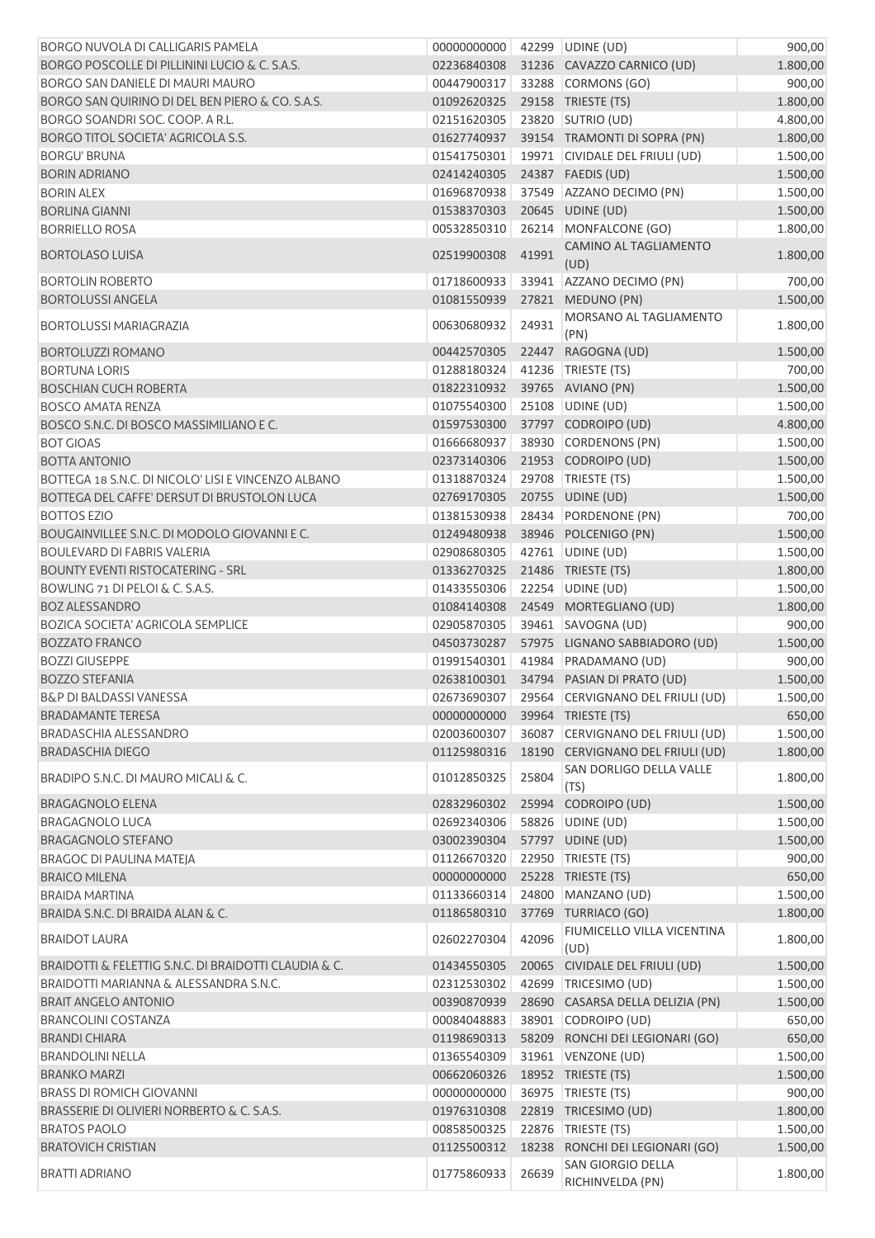| <b>BORGO NUVOLA DI CALLIGARIS PAMELA</b>              | 00000000000 42299 UDINE (UD) |       |                                              | 900,00   |
|-------------------------------------------------------|------------------------------|-------|----------------------------------------------|----------|
| BORGO POSCOLLE DI PILLININI LUCIO & C. S.A.S.         | 02236840308                  |       | 31236 CAVAZZO CARNICO (UD)                   | 1.800,00 |
| BORGO SAN DANIELE DI MAURI MAURO                      | 00447900317                  |       | 33288 CORMONS (GO)                           | 900,00   |
| BORGO SAN QUIRINO DI DEL BEN PIERO & CO. S.A.S.       | 01092620325                  |       | 29158 TRIESTE (TS)                           | 1.800,00 |
| BORGO SOANDRI SOC. COOP. A R.L.                       | 02151620305                  |       | 23820 SUTRIO (UD)                            | 4.800,00 |
| <b>BORGO TITOL SOCIETA' AGRICOLA S.S.</b>             | 01627740937                  |       | 39154 TRAMONTI DI SOPRA (PN)                 | 1.800,00 |
| <b>BORGU' BRUNA</b>                                   | 01541750301                  |       | 19971 CIVIDALE DEL FRIULI (UD)               | 1.500,00 |
| <b>BORIN ADRIANO</b>                                  | 02414240305                  |       | 24387 FAEDIS (UD)                            | 1.500,00 |
| <b>BORIN ALEX</b>                                     | 01696870938                  |       | 37549 AZZANO DECIMO (PN)                     | 1.500,00 |
| <b>BORLINA GIANNI</b>                                 | 01538370303                  |       | 20645 UDINE (UD)                             | 1.500,00 |
| <b>BORRIELLO ROSA</b>                                 | 00532850310                  |       | 26214 MONFALCONE (GO)                        | 1.800,00 |
| <b>BORTOLASO LUISA</b>                                | 02519900308                  | 41991 | CAMINO AL TAGLIAMENTO<br>(UD)                | 1.800,00 |
| <b>BORTOLIN ROBERTO</b>                               | 01718600933                  |       | 33941 AZZANO DECIMO (PN)                     | 700,00   |
| <b>BORTOLUSSI ANGELA</b>                              | 01081550939                  |       | 27821 MEDUNO (PN)                            | 1.500,00 |
| <b>BORTOLUSSI MARIAGRAZIA</b>                         | 00630680932                  | 24931 | MORSANO AL TAGLIAMENTO<br>(PN)               | 1.800,00 |
| <b>BORTOLUZZI ROMANO</b>                              | 00442570305                  |       | 22447 RAGOGNA (UD)                           | 1.500,00 |
| <b>BORTUNA LORIS</b>                                  | 01288180324                  |       | 41236   TRIESTE (TS)                         | 700,00   |
| <b>BOSCHIAN CUCH ROBERTA</b>                          | 01822310932                  |       | 39765 AVIANO (PN)                            | 1.500,00 |
| <b>BOSCO AMATA RENZA</b>                              | 01075540300                  |       | 25108 UDINE (UD)                             | 1.500,00 |
| BOSCO S.N.C. DI BOSCO MASSIMILIANO E C.               | 01597530300                  |       | 37797 CODROIPO (UD)                          | 4.800,00 |
| <b>BOT GIOAS</b>                                      | 01666680937                  |       | 38930 CORDENONS (PN)                         | 1.500,00 |
| <b>BOTTA ANTONIO</b>                                  | 02373140306                  |       | 21953 CODROIPO (UD)                          | 1.500,00 |
| BOTTEGA 18 S.N.C. DI NICOLO' LISI E VINCENZO ALBANO   | 01318870324                  |       | 29708   TRIESTE (TS)                         | 1.500,00 |
| BOTTEGA DEL CAFFE' DERSUT DI BRUSTOLON LUCA           | 02769170305                  |       | 20755 UDINE (UD)                             | 1.500,00 |
| <b>BOTTOS EZIO</b>                                    | 01381530938                  |       | 28434 PORDENONE (PN)                         | 700,00   |
| BOUGAINVILLEE S.N.C. DI MODOLO GIOVANNI E C.          | 01249480938                  |       | 38946 POLCENIGO (PN)                         | 1.500,00 |
| <b>BOULEVARD DI FABRIS VALERIA</b>                    | 02908680305                  |       | 42761 UDINE (UD)                             | 1.500,00 |
| <b>BOUNTY EVENTI RISTOCATERING - SRL</b>              | 01336270325                  |       | 21486 TRIESTE (TS)                           | 1.800,00 |
|                                                       |                              |       |                                              |          |
| BOWLING 71 DI PELOI & C. S.A.S.                       | 01433550306                  |       | 22254 UDINE (UD)                             | 1.500,00 |
| <b>BOZ ALESSANDRO</b>                                 | 01084140308                  |       | 24549 MORTEGLIANO (UD)                       | 1.800,00 |
| <b>BOZICA SOCIETA' AGRICOLA SEMPLICE</b>              | 02905870305                  |       | 39461 SAVOGNA (UD)                           | 900,00   |
| <b>BOZZATO FRANCO</b>                                 | 04503730287                  |       | 57975 LIGNANO SABBIADORO (UD)                | 1.500,00 |
| <b>BOZZI GIUSEPPE</b>                                 | 01991540301                  |       | 41984 PRADAMANO (UD)                         | 900,00   |
| <b>BOZZO STEFANIA</b>                                 | 02638100301                  |       | 34794 PASIAN DI PRATO (UD)                   | 1.500,00 |
| <b>B&amp;P DI BALDASSI VANESSA</b>                    |                              |       | 02673690307 29564 CERVIGNANO DEL FRIULI (UD) | 1.500,00 |
| <b>BRADAMANTE TERESA</b>                              | 00000000000                  |       | 39964 TRIESTE (TS)                           | 650,00   |
| BRADASCHIA ALESSANDRO                                 | 02003600307                  |       | 36087 CERVIGNANO DEL FRIULI (UD)             | 1.500,00 |
| <b>BRADASCHIA DIEGO</b>                               | 01125980316                  |       | 18190 CERVIGNANO DEL FRIULI (UD)             | 1.800,00 |
| BRADIPO S.N.C. DI MAURO MICALI & C.                   | 01012850325                  | 25804 | SAN DORLIGO DELLA VALLE<br>(TS)              | 1.800,00 |
| <b>BRAGAGNOLO ELENA</b>                               | 02832960302                  |       | 25994 CODROIPO (UD)                          | 1.500,00 |
| <b>BRAGAGNOLO LUCA</b>                                | 02692340306                  |       | 58826 UDINE (UD)                             | 1.500,00 |
| <b>BRAGAGNOLO STEFANO</b>                             | 03002390304                  |       | 57797 UDINE (UD)                             | 1.500,00 |
| BRAGOC DI PAULINA MATEJA                              | 01126670320                  |       | 22950 TRIESTE (TS)                           | 900,00   |
| <b>BRAICO MILENA</b>                                  | 00000000000                  |       | 25228 TRIESTE (TS)                           | 650,00   |
| <b>BRAIDA MARTINA</b>                                 | 01133660314                  |       | 24800 MANZANO (UD)                           | 1.500,00 |
| BRAIDA S.N.C. DI BRAIDA ALAN & C.                     | 01186580310                  |       | 37769 TURRIACO (GO)                          | 1.800,00 |
| <b>BRAIDOT LAURA</b>                                  | 02602270304                  | 42096 | FIUMICELLO VILLA VICENTINA<br>(UD)           | 1.800,00 |
| BRAIDOTTI & FELETTIG S.N.C. DI BRAIDOTTI CLAUDIA & C. | 01434550305                  |       | 20065 CIVIDALE DEL FRIULI (UD)               | 1.500,00 |
| <b>BRAIDOTTI MARIANNA &amp; ALESSANDRA S.N.C.</b>     | 02312530302                  |       | 42699 TRICESIMO (UD)                         | 1.500,00 |
| <b>BRAIT ANGELO ANTONIO</b>                           | 00390870939                  |       | 28690 CASARSA DELLA DELIZIA (PN)             | 1.500,00 |
| BRANCOLINI COSTANZA                                   | 00084048883                  |       | 38901 CODROIPO (UD)                          | 650,00   |
| <b>BRANDI CHIARA</b>                                  | 01198690313                  |       | 58209 RONCHI DEI LEGIONARI (GO)              | 650,00   |
| <b>BRANDOLINI NELLA</b>                               | 01365540309                  |       | 31961 VENZONE (UD)                           | 1.500,00 |
| <b>BRANKO MARZI</b>                                   | 00662060326                  |       | 18952 TRIESTE (TS)                           | 1.500,00 |
| <b>BRASS DI ROMICH GIOVANNI</b>                       | 00000000000                  |       | 36975   TRIESTE (TS)                         | 900,00   |
| BRASSERIE DI OLIVIERI NORBERTO & C. S.A.S.            | 01976310308                  |       | 22819 TRICESIMO (UD)                         | 1.800,00 |
| <b>BRATOS PAOLO</b>                                   | 00858500325                  | 22876 | TRIESTE (TS)                                 | 1.500,00 |
| <b>BRATOVICH CRISTIAN</b>                             | 01125500312                  | 18238 | RONCHI DEI LEGIONARI (GO)                    | 1.500,00 |
|                                                       |                              |       | SAN GIORGIO DELLA                            |          |
| <b>BRATTI ADRIANO</b>                                 | 01775860933                  | 26639 | RICHINVELDA (PN)                             | 1.800,00 |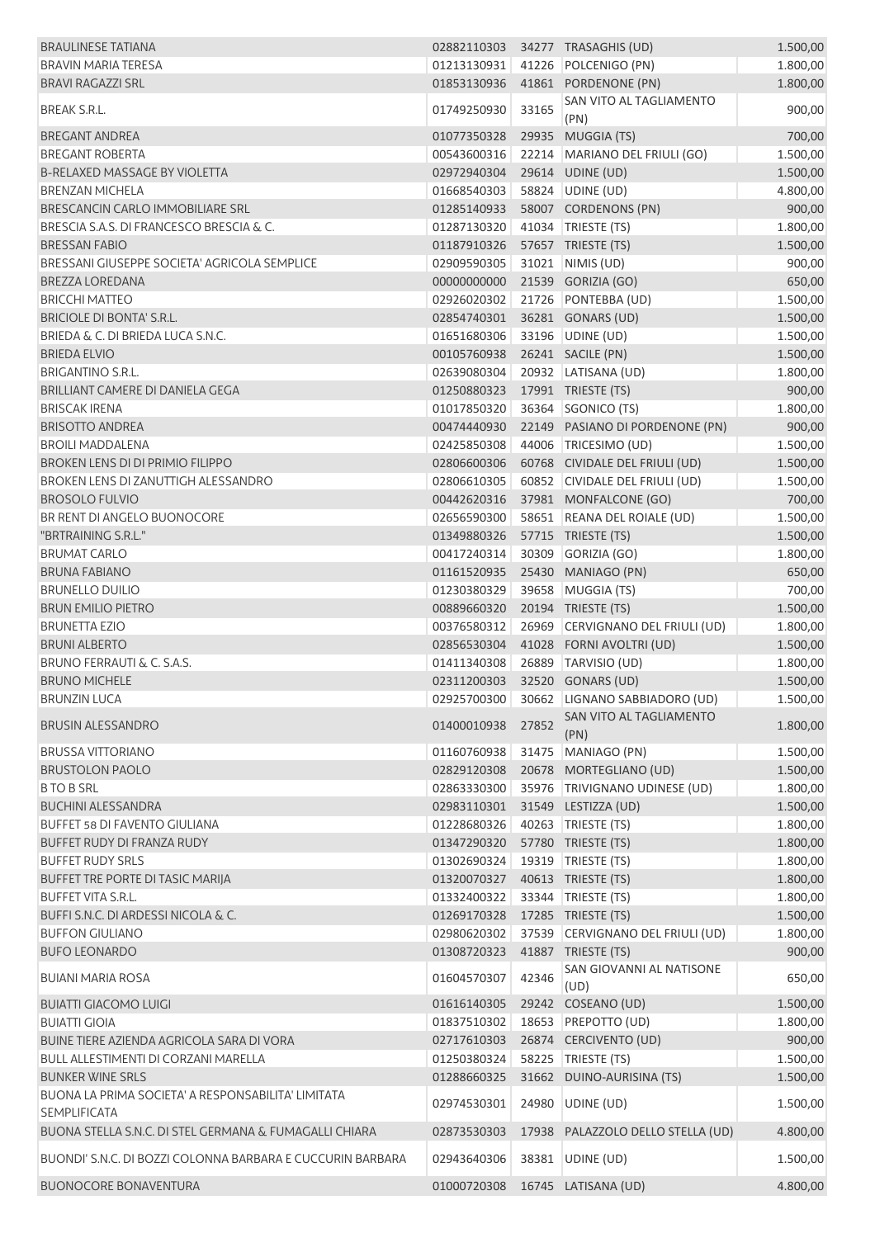| <b>BRAULINESE TATIANA</b>                                  |             |       | 02882110303 34277 TRASAGHIS (UD)          | 1.500,00 |
|------------------------------------------------------------|-------------|-------|-------------------------------------------|----------|
| <b>BRAVIN MARIA TERESA</b>                                 | 01213130931 |       | 41226 POLCENIGO (PN)                      | 1.800,00 |
| <b>BRAVI RAGAZZI SRL</b>                                   | 01853130936 |       | 41861 PORDENONE (PN)                      | 1.800,00 |
| <b>BREAK S.R.L.</b>                                        | 01749250930 | 33165 | SAN VITO AL TAGLIAMENTO<br>(PN)           | 900,00   |
| <b>BREGANT ANDREA</b>                                      | 01077350328 |       | 29935 MUGGIA (TS)                         | 700,00   |
| <b>BREGANT ROBERTA</b>                                     | 00543600316 |       | 22214 MARIANO DEL FRIULI (GO)             | 1.500,00 |
| <b>B-RELAXED MASSAGE BY VIOLETTA</b>                       | 02972940304 |       | 29614 UDINE (UD)                          | 1.500,00 |
| <b>BRENZAN MICHELA</b>                                     | 01668540303 |       | 58824 UDINE (UD)                          | 4.800,00 |
| BRESCANCIN CARLO IMMOBILIARE SRL                           | 01285140933 |       | 58007 CORDENONS (PN)                      | 900,00   |
| BRESCIA S.A.S. DI FRANCESCO BRESCIA & C.                   | 01287130320 |       | 41034 TRIESTE (TS)                        | 1.800,00 |
| <b>BRESSAN FABIO</b>                                       | 01187910326 |       | 57657 TRIESTE (TS)                        | 1.500,00 |
| BRESSANI GIUSEPPE SOCIETA' AGRICOLA SEMPLICE               | 02909590305 |       | 31021 NIMIS (UD)                          | 900,00   |
| BREZZA LOREDANA                                            | 00000000000 |       | 21539 GORIZIA (GO)                        | 650,00   |
| <b>BRICCHI MATTEO</b>                                      | 02926020302 |       | 21726 PONTEBBA (UD)                       | 1.500,00 |
| BRICIOLE DI BONTA' S.R.L.                                  | 02854740301 |       | 36281 GONARS (UD)                         | 1.500,00 |
| BRIEDA & C. DI BRIEDA LUCA S.N.C.                          | 01651680306 |       | 33196 UDINE (UD)                          | 1.500,00 |
| <b>BRIEDA ELVIO</b>                                        | 00105760938 |       | 26241 SACILE (PN)                         | 1.500,00 |
| <b>BRIGANTINO S.R.L.</b>                                   | 02639080304 |       | 20932 LATISANA (UD)                       |          |
| BRILLIANT CAMERE DI DANIELA GEGA                           | 01250880323 |       | 17991 TRIESTE (TS)                        | 1.800,00 |
|                                                            |             |       |                                           | 900,00   |
| <b>BRISCAK IRENA</b>                                       | 01017850320 |       | 36364 SGONICO (TS)                        | 1.800,00 |
| <b>BRISOTTO ANDREA</b>                                     | 00474440930 |       | 22149 PASIANO DI PORDENONE (PN)           | 900,00   |
| <b>BROILI MADDALENA</b>                                    | 02425850308 |       | 44006 TRICESIMO (UD)                      | 1.500,00 |
| <b>BROKEN LENS DI DI PRIMIO FILIPPO</b>                    | 02806600306 |       | 60768 CIVIDALE DEL FRIULI (UD)            | 1.500,00 |
| BROKEN LENS DI ZANUTTIGH ALESSANDRO                        | 02806610305 |       | 60852 CIVIDALE DEL FRIULI (UD)            | 1.500,00 |
| <b>BROSOLO FULVIO</b>                                      | 00442620316 |       | 37981 MONFALCONE (GO)                     | 700,00   |
| BR RENT DI ANGELO BUONOCORE                                | 02656590300 |       | 58651 REANA DEL ROIALE (UD)               | 1.500,00 |
| "BRTRAINING S.R.L."                                        | 01349880326 |       | 57715 TRIESTE (TS)                        | 1.500,00 |
| <b>BRUMAT CARLO</b>                                        | 00417240314 |       | 30309 GORIZIA (GO)                        | 1.800,00 |
| <b>BRUNA FABIANO</b>                                       | 01161520935 |       | 25430 MANIAGO (PN)                        | 650,00   |
| <b>BRUNELLO DUILIO</b>                                     | 01230380329 | 39658 | MUGGIA (TS)                               | 700,00   |
| <b>BRUN EMILIO PIETRO</b>                                  | 00889660320 |       | 20194 TRIESTE (TS)                        | 1.500,00 |
| <b>BRUNETTA EZIO</b>                                       | 00376580312 |       | 26969 CERVIGNANO DEL FRIULI (UD)          | 1.800,00 |
| <b>BRUNI ALBERTO</b>                                       | 02856530304 |       | 41028 FORNI AVOLTRI (UD)                  | 1.500,00 |
| BRUNO FERRAUTI & C. S.A.S.                                 | 01411340308 |       | 26889 TARVISIO (UD)                       | 1.800,00 |
| <b>BRUNO MICHELE</b>                                       | 02311200303 |       | 32520 GONARS (UD)                         | 1.500,00 |
| <b>BRUNZIN LUCA</b>                                        |             |       | 02925700300 30662 LIGNANO SABBIADORO (UD) | 1.500,00 |
| <b>BRUSIN ALESSANDRO</b>                                   | 01400010938 | 27852 | SAN VITO AL TAGLIAMENTO<br>(PN)           | 1.800,00 |
| <b>BRUSSA VITTORIANO</b>                                   | 01160760938 |       | 31475 MANIAGO (PN)                        | 1.500,00 |
| <b>BRUSTOLON PAOLO</b>                                     | 02829120308 |       | 20678 MORTEGLIANO (UD)                    | 1.500,00 |
| <b>BTO B SRL</b>                                           | 02863330300 |       | 35976 TRIVIGNANO UDINESE (UD)             | 1.800,00 |
| <b>BUCHINI ALESSANDRA</b>                                  | 02983110301 |       | 31549 LESTIZZA (UD)                       | 1.500,00 |
| <b>BUFFET 58 DI FAVENTO GIULIANA</b>                       | 01228680326 |       | 40263 TRIESTE (TS)                        | 1.800,00 |
| <b>BUFFET RUDY DI FRANZA RUDY</b>                          | 01347290320 |       | 57780 TRIESTE (TS)                        | 1.800,00 |
| <b>BUFFET RUDY SRLS</b>                                    | 01302690324 |       | 19319 TRIESTE (TS)                        | 1.800,00 |
| BUFFET TRE PORTE DI TASIC MARIJA                           | 01320070327 |       | 40613 TRIESTE (TS)                        | 1.800,00 |
| <b>BUFFET VITA S.R.L.</b>                                  | 01332400322 |       | 33344 TRIESTE (TS)                        | 1.800,00 |
| BUFFI S.N.C. DI ARDESSI NICOLA & C.                        | 01269170328 |       | 17285 TRIESTE (TS)                        | 1.500,00 |
| <b>BUFFON GIULIANO</b>                                     | 02980620302 |       | 37539 CERVIGNANO DEL FRIULI (UD)          | 1.800,00 |
| <b>BUFO LEONARDO</b>                                       | 01308720323 |       | 41887 TRIESTE (TS)                        | 900,00   |
| <b>BUIANI MARIA ROSA</b>                                   | 01604570307 | 42346 | SAN GIOVANNI AL NATISONE<br>(UD)          | 650,00   |
| <b>BUIATTI GIACOMO LUIGI</b>                               | 01616140305 |       | 29242 COSEANO (UD)                        | 1.500,00 |
| <b>BUIATTI GIOIA</b>                                       | 01837510302 | 18653 | <b>PREPOTTO (UD)</b>                      | 1.800,00 |
| BUINE TIERE AZIENDA AGRICOLA SARA DI VORA                  | 02717610303 |       | 26874 CERCIVENTO (UD)                     | 900,00   |
| <b>BULL ALLESTIMENTI DI CORZANI MARELLA</b>                | 01250380324 | 58225 | TRIESTE (TS)                              | 1.500,00 |
| <b>BUNKER WINE SRLS</b>                                    | 01288660325 |       | 31662 DUINO-AURISINA (TS)                 | 1.500,00 |
| BUONA LA PRIMA SOCIETA' A RESPONSABILITA' LIMITATA         |             |       |                                           |          |
| <b>SEMPLIFICATA</b>                                        | 02974530301 | 24980 | UDINE (UD)                                | 1.500,00 |
| BUONA STELLA S.N.C. DI STEL GERMANA & FUMAGALLI CHIARA     | 02873530303 |       | 17938 PALAZZOLO DELLO STELLA (UD)         | 4.800,00 |
|                                                            |             |       |                                           |          |
| BUONDI' S.N.C. DI BOZZI COLONNA BARBARA E CUCCURIN BARBARA | 02943640306 | 38381 | UDINE (UD)                                | 1.500,00 |
| <b>BUONOCORE BONAVENTURA</b>                               | 01000720308 |       | 16745 LATISANA (UD)                       | 4.800,00 |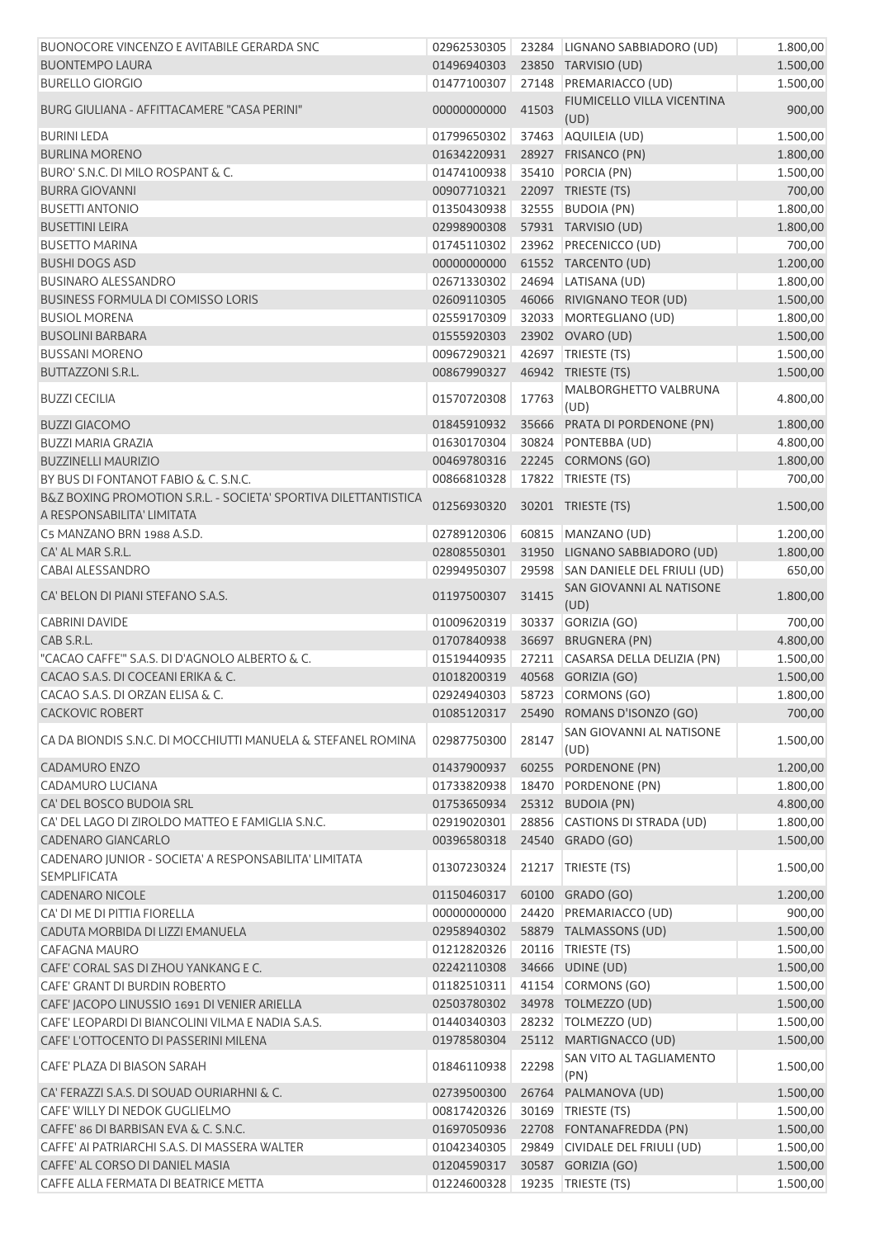| BUONOCORE VINCENZO E AVITABILE GERARDA SNC                                   | 02962530305                    |       | 23284 LIGNANO SABBIADORO (UD)          | 1.800,00 |
|------------------------------------------------------------------------------|--------------------------------|-------|----------------------------------------|----------|
| <b>BUONTEMPO LAURA</b>                                                       | 01496940303                    |       | 23850 TARVISIO (UD)                    | 1.500,00 |
| <b>BURELLO GIORGIO</b>                                                       | 01477100307                    |       | 27148 PREMARIACCO (UD)                 | 1.500,00 |
| BURG GIULIANA - AFFITTACAMERE "CASA PERINI"                                  | 00000000000                    | 41503 | FIUMICELLO VILLA VICENTINA<br>(UD)     | 900,00   |
| <b>BURINI LEDA</b>                                                           | 01799650302                    |       | 37463 AQUILEIA (UD)                    | 1.500,00 |
| <b>BURLINA MORENO</b>                                                        | 01634220931                    |       | 28927 FRISANCO (PN)                    | 1.800,00 |
| BURO' S.N.C. DI MILO ROSPANT & C.                                            | 01474100938                    |       | 35410 PORCIA (PN)                      | 1.500,00 |
| <b>BURRA GIOVANNI</b>                                                        | 00907710321                    |       | 22097 TRIESTE (TS)                     | 700,00   |
| <b>BUSETTI ANTONIO</b>                                                       | 01350430938                    |       | 32555 BUDOIA (PN)                      | 1.800,00 |
| <b>BUSETTINI LEIRA</b>                                                       | 02998900308                    |       | 57931 TARVISIO (UD)                    | 1.800,00 |
|                                                                              |                                |       |                                        |          |
| <b>BUSETTO MARINA</b>                                                        | 01745110302                    |       | 23962 PRECENICCO (UD)                  | 700,00   |
| <b>BUSHI DOGS ASD</b>                                                        | 00000000000                    |       | 61552 TARCENTO (UD)                    | 1.200,00 |
| <b>BUSINARO ALESSANDRO</b>                                                   | 02671330302                    |       | 24694 LATISANA (UD)                    | 1.800,00 |
| <b>BUSINESS FORMULA DI COMISSO LORIS</b>                                     | 02609110305                    |       | 46066 RIVIGNANO TEOR (UD)              | 1.500,00 |
| <b>BUSIOL MORENA</b>                                                         | 02559170309                    |       | 32033 MORTEGLIANO (UD)                 | 1.800,00 |
| <b>BUSOLINI BARBARA</b>                                                      | 01555920303                    |       | 23902 OVARO (UD)                       | 1.500,00 |
| <b>BUSSANI MORENO</b>                                                        | 00967290321                    |       | 42697 TRIESTE (TS)                     | 1.500,00 |
| <b>BUTTAZZONI S.R.L.</b>                                                     | 00867990327                    |       | 46942 TRIESTE (TS)                     | 1.500,00 |
| <b>BUZZI CECILIA</b>                                                         | 01570720308                    | 17763 | MALBORGHETTO VALBRUNA<br>(UD)          | 4.800,00 |
| <b>BUZZI GIACOMO</b>                                                         | 01845910932                    |       | 35666 PRATA DI PORDENONE (PN)          | 1.800,00 |
| <b>BUZZI MARIA GRAZIA</b>                                                    | 01630170304                    |       | 30824 PONTEBBA (UD)                    | 4.800,00 |
| <b>BUZZINELLI MAURIZIO</b>                                                   | 00469780316                    |       | 22245 CORMONS (GO)                     | 1.800,00 |
| BY BUS DI FONTANOT FABIO & C. S.N.C.                                         | 00866810328                    |       | 17822 TRIESTE (TS)                     | 700,00   |
| B&Z BOXING PROMOTION S.R.L. - SOCIETA' SPORTIVA DILETTANTISTICA              |                                |       |                                        |          |
| A RESPONSABILITA' LIMITATA                                                   | 01256930320                    |       | 30201 TRIESTE (TS)                     | 1.500,00 |
| C5 MANZANO BRN 1988 A.S.D.                                                   | 02789120306                    |       | 60815 MANZANO (UD)                     | 1.200,00 |
| CA' AL MAR S.R.L.                                                            | 02808550301                    |       | 31950 LIGNANO SABBIADORO (UD)          | 1.800,00 |
| <b>CABAI ALESSANDRO</b>                                                      | 02994950307                    |       | 29598 SAN DANIELE DEL FRIULI (UD)      | 650,00   |
| CA' BELON DI PIANI STEFANO S.A.S.                                            | 01197500307                    | 31415 | SAN GIOVANNI AL NATISONE<br>(UD)       | 1.800,00 |
| <b>CABRINI DAVIDE</b>                                                        | 01009620319                    |       | 30337 GORIZIA (GO)                     | 700,00   |
| CAB S.R.L.                                                                   | 01707840938                    |       | 36697 BRUGNERA (PN)                    | 4.800,00 |
| "CACAO CAFFE" S.A.S. DI D'AGNOLO ALBERTO & C.                                | 01519440935                    |       | 27211 CASARSA DELLA DELIZIA (PN)       | 1.500,00 |
| CACAO S.A.S. DI COCEANI ERIKA & C.                                           | 01018200319                    |       | 40568 GORIZIA (GO)                     | 1.500,00 |
| CACAO S.A.S. DI ORZAN ELISA & C.                                             |                                |       | 02924940303 58723 CORMONS (GO)         | 1.800,00 |
| <b>CACKOVIC ROBERT</b>                                                       |                                |       | 01085120317 25490 ROMANS D'ISONZO (GO) | 700,00   |
| CA DA BIONDIS S.N.C. DI MOCCHIUTTI MANUELA & STEFANEL ROMINA                 | 02987750300                    | 28147 | SAN GIOVANNI AL NATISONE               | 1.500,00 |
|                                                                              |                                |       | (UD)                                   |          |
| CADAMURO ENZO                                                                | 01437900937                    |       | 60255 PORDENONE (PN)                   | 1.200,00 |
| CADAMURO LUCIANA                                                             | 01733820938                    |       | 18470 PORDENONE (PN)                   | 1.800,00 |
| CA' DEL BOSCO BUDOIA SRL                                                     | 01753650934                    |       | 25312 BUDOIA (PN)                      | 4.800,00 |
| CA' DEL LAGO DI ZIROLDO MATTEO E FAMIGLIA S.N.C.                             | 02919020301                    |       | 28856 CASTIONS DI STRADA (UD)          | 1.800,00 |
| CADENARO GIANCARLO                                                           | 00396580318                    |       | 24540 GRADO (GO)                       | 1.500,00 |
| CADENARO JUNIOR - SOCIETA' A RESPONSABILITA' LIMITATA<br><b>SEMPLIFICATA</b> | 01307230324                    |       | 21217 TRIESTE (TS)                     | 1.500,00 |
| <b>CADENARO NICOLE</b>                                                       | 01150460317                    |       | 60100 GRADO (GO)                       | 1.200,00 |
| CA' DI ME DI PITTIA FIORELLA                                                 | 00000000000                    |       | 24420 PREMARIACCO (UD)                 | 900,00   |
| CADUTA MORBIDA DI LIZZI EMANUELA                                             | 02958940302                    |       | 58879 TALMASSONS (UD)                  | 1.500,00 |
| <b>CAFAGNA MAURO</b>                                                         | 01212820326                    |       | 20116   TRIESTE (TS)                   | 1.500,00 |
| CAFE' CORAL SAS DI ZHOU YANKANG E C.                                         | 02242110308                    |       | 34666 UDINE (UD)                       | 1.500,00 |
|                                                                              |                                |       |                                        |          |
| CAFE' GRANT DI BURDIN ROBERTO                                                | 01182510311                    |       | 41154 CORMONS (GO)                     | 1.500,00 |
| CAFE' JACOPO LINUSSIO 1691 DI VENIER ARIELLA                                 | 02503780302                    |       | 34978 TOLMEZZO (UD)                    | 1.500,00 |
| CAFE' LEOPARDI DI BIANCOLINI VILMA E NADIA S.A.S.                            | 01440340303                    |       | 28232 TOLMEZZO (UD)                    | 1.500,00 |
| CAFE' L'OTTOCENTO DI PASSERINI MILENA                                        | 01978580304                    |       | 25112 MARTIGNACCO (UD)                 | 1.500,00 |
| CAFE' PLAZA DI BIASON SARAH                                                  | 01846110938                    | 22298 | SAN VITO AL TAGLIAMENTO<br>(PN)        | 1.500,00 |
| CA' FERAZZI S.A.S. DI SOUAD OURIARHNI & C.                                   | 02739500300                    |       | 26764 PALMANOVA (UD)                   | 1.500,00 |
| CAFE' WILLY DI NEDOK GUGLIELMO                                               | 00817420326                    |       | 30169   TRIESTE (TS)                   | 1.500,00 |
| CAFFE' 86 DI BARBISAN EVA & C. S.N.C.                                        | 01697050936                    |       | 22708 FONTANAFREDDA (PN)               | 1.500,00 |
| CAFFE' AI PATRIARCHI S.A.S. DI MASSERA WALTER                                | 01042340305                    |       | 29849 CIVIDALE DEL FRIULI (UD)         | 1.500,00 |
| CAFFE' AL CORSO DI DANIEL MASIA                                              | 01204590317                    |       | 30587 GORIZIA (GO)                     | 1.500,00 |
| CAFFE ALLA FERMATA DI BEATRICE METTA                                         | 01224600328 19235 TRIESTE (TS) |       |                                        | 1.500,00 |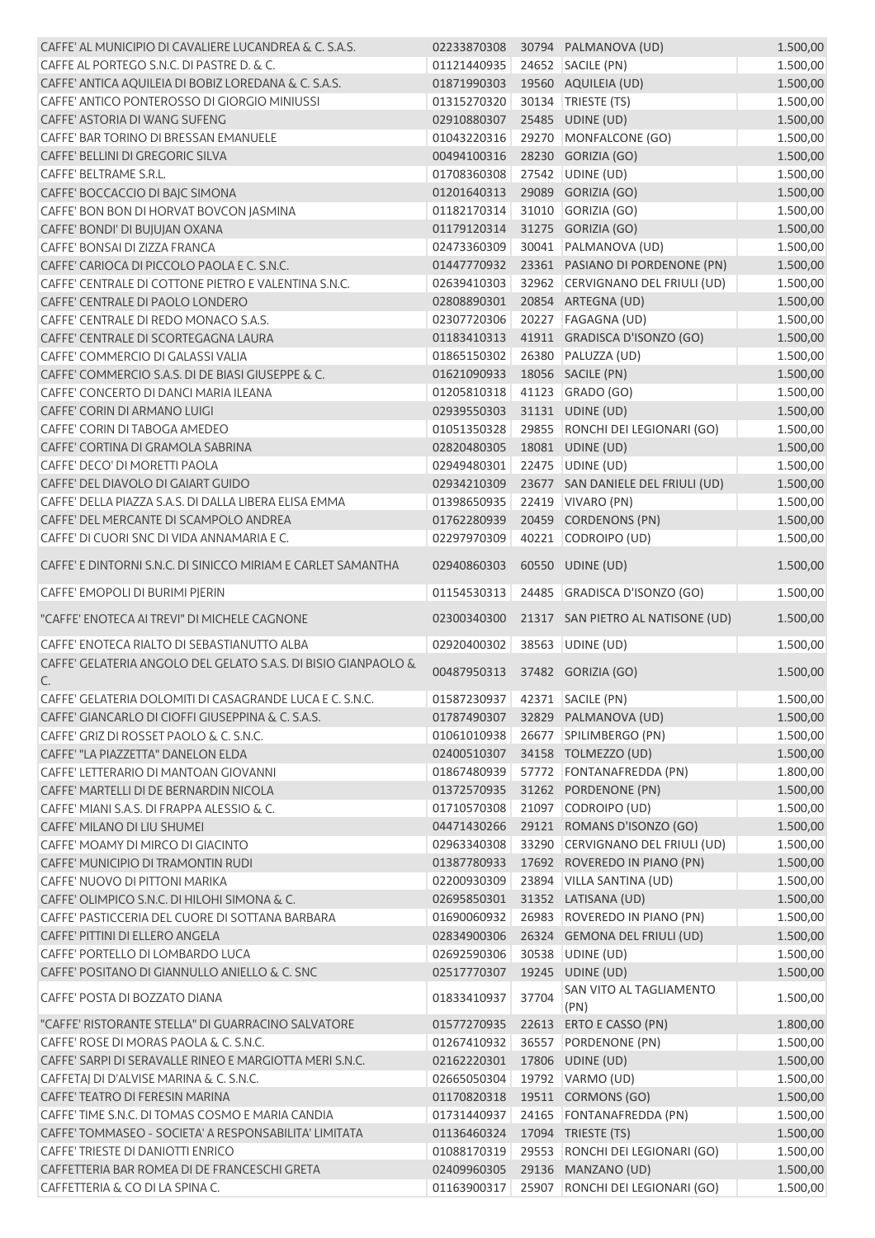| CAFFE' AL MUNICIPIO DI CAVALIERE LUCANDREA & C. S.A.S.         |                               |       | 02233870308 30794 PALMANOVA (UD)            | 1.500,00 |
|----------------------------------------------------------------|-------------------------------|-------|---------------------------------------------|----------|
| CAFFE AL PORTEGO S.N.C. DI PASTRE D. & C.                      | 01121440935                   |       | 24652 SACILE (PN)                           | 1.500,00 |
|                                                                | 01871990303                   |       |                                             |          |
| CAFFE' ANTICA AQUILEIA DI BOBIZ LOREDANA & C. S.A.S.           |                               |       | 19560 AQUILEIA (UD)                         | 1.500,00 |
| CAFFE' ANTICO PONTEROSSO DI GIORGIO MINIUSSI                   | 01315270320                   |       | 30134   TRIESTE (TS)                        | 1.500,00 |
| CAFFE' ASTORIA DI WANG SUFENG                                  | 02910880307                   |       | 25485 UDINE (UD)                            | 1.500,00 |
| CAFFE' BAR TORINO DI BRESSAN EMANUELE                          | 01043220316                   |       | 29270 MONFALCONE (GO)                       | 1.500,00 |
| CAFFE' BELLINI DI GREGORIC SILVA                               | 00494100316                   |       | 28230 GORIZIA (GO)                          | 1.500,00 |
| CAFFE' BELTRAME S.R.L.                                         | 01708360308                   |       | 27542 UDINE (UD)                            | 1.500,00 |
| CAFFE' BOCCACCIO DI BAJC SIMONA                                | 01201640313                   |       | 29089 GORIZIA (GO)                          | 1.500,00 |
| CAFFE' BON BON DI HORVAT BOVCON JASMINA                        | 01182170314                   |       | 31010 GORIZIA (GO)                          | 1.500,00 |
| CAFFE' BONDI' DI BUJUJAN OXANA                                 | 01179120314                   |       | 31275 GORIZIA (GO)                          | 1.500,00 |
| CAFFE' BONSAI DI ZIZZA FRANCA                                  | 02473360309                   |       | 30041 PALMANOVA (UD)                        | 1.500,00 |
| CAFFE' CARIOCA DI PICCOLO PAOLA E C. S.N.C.                    | 01447770932                   |       | 23361 PASIANO DI PORDENONE (PN)             | 1.500,00 |
| CAFFE' CENTRALE DI COTTONE PIETRO E VALENTINA S.N.C.           | 02639410303                   |       | 32962 CERVIGNANO DEL FRIULI (UD)            | 1.500,00 |
| CAFFE' CENTRALE DI PAOLO LONDERO                               | 02808890301                   |       | 20854 ARTEGNA (UD)                          | 1.500,00 |
| CAFFE' CENTRALE DI REDO MONACO S.A.S.                          | 02307720306                   |       | 20227 FAGAGNA (UD)                          | 1.500,00 |
| CAFFE' CENTRALE DI SCORTEGAGNA LAURA                           | 01183410313                   |       | 41911 GRADISCA D'ISONZO (GO)                | 1.500,00 |
|                                                                |                               |       |                                             |          |
| CAFFE' COMMERCIO DI GALASSI VALIA                              | 01865150302                   |       | 26380 PALUZZA (UD)                          | 1.500,00 |
| CAFFE' COMMERCIO S.A.S. DI DE BIASI GIUSEPPE & C.              | 01621090933                   |       | 18056 SACILE (PN)                           | 1.500,00 |
| CAFFE' CONCERTO DI DANCI MARIA ILEANA                          | 01205810318                   |       | 41123 GRADO (GO)                            | 1.500,00 |
| CAFFE' CORIN DI ARMANO LUIGI                                   | 02939550303                   |       | 31131 UDINE (UD)                            | 1.500,00 |
| CAFFE' CORIN DI TABOGA AMEDEO                                  | 01051350328                   |       | 29855 RONCHI DEI LEGIONARI (GO)             | 1.500,00 |
| CAFFE' CORTINA DI GRAMOLA SABRINA                              | 02820480305                   |       | 18081 UDINE (UD)                            | 1.500,00 |
| CAFFE' DECO' DI MORETTI PAOLA                                  | 02949480301                   |       | 22475 UDINE (UD)                            | 1.500,00 |
| CAFFE' DEL DIAVOLO DI GAIART GUIDO                             | 02934210309                   |       | 23677 SAN DANIELE DEL FRIULI (UD)           | 1.500,00 |
| CAFFE' DELLA PIAZZA S.A.S. DI DALLA LIBERA ELISA EMMA          | 01398650935                   |       | 22419 VIVARO (PN)                           | 1.500,00 |
| CAFFE' DEL MERCANTE DI SCAMPOLO ANDREA                         | 01762280939                   |       | 20459 CORDENONS (PN)                        | 1.500,00 |
| CAFFE' DI CUORI SNC DI VIDA ANNAMARIA E C.                     | 02297970309                   |       | 40221 CODROIPO (UD)                         | 1.500,00 |
| CAFFE' E DINTORNI S.N.C. DI SINICCO MIRIAM E CARLET SAMANTHA   | 02940860303                   |       | 60550 UDINE (UD)                            | 1.500,00 |
| CAFFE' EMOPOLI DI BURIMI PJERIN                                | 01154530313                   |       | 24485 GRADISCA D'ISONZO (GO)                | 1.500,00 |
| "CAFFE' ENOTECA AI TREVI" DI MICHELE CAGNONE                   | 02300340300                   |       | 21317 SAN PIETRO AL NATISONE (UD)           | 1.500,00 |
| CAFFE' ENOTECA RIALTO DI SEBASTIANUTTO ALBA                    | 02920400302                   |       | 38563 UDINE (UD)                            | 1.500,00 |
| CAFFE' GELATERIA ANGOLO DEL GELATO S.A.S. DI BISIO GIANPAOLO & |                               |       |                                             |          |
| C.                                                             | 00487950313                   |       | 37482 GORIZIA (GO)                          | 1.500,00 |
| CAFFE' GELATERIA DOLOMITI DI CASAGRANDE LUCA E C. S.N.C.       | 01587230937 42371 SACILE (PN) |       |                                             | 1.500,00 |
| CAFFE' GIANCARLO DI CIOFFI GIUSEPPINA & C. S.A.S.              |                               |       | 01787490307 32829 PALMANOVA (UD)            | 1.500,00 |
| CAFFE' GRIZ DI ROSSET PAOLO & C. S.N.C.                        | 01061010938                   |       | 26677 SPILIMBERGO (PN)                      | 1.500,00 |
| CAFFE' "LA PIAZZETTA" DANELON ELDA                             | 02400510307                   |       | 34158 TOLMEZZO (UD)                         | 1.500,00 |
| CAFFE' LETTERARIO DI MANTOAN GIOVANNI                          | 01867480939                   |       | 57772 FONTANAFREDDA (PN)                    | 1.800,00 |
| CAFFE' MARTELLI DI DE BERNARDIN NICOLA                         | 01372570935                   |       | 31262 PORDENONE (PN)                        | 1.500,00 |
| CAFFE' MIANI S.A.S. DI FRAPPA ALESSIO & C.                     | 01710570308                   |       | 21097 CODROIPO (UD)                         | 1.500,00 |
| CAFFE' MILANO DI LIU SHUMEI                                    | 04471430266                   |       | 29121 ROMANS D'ISONZO (GO)                  |          |
|                                                                |                               |       |                                             | 1.500,00 |
| CAFFE' MOAMY DI MIRCO DI GIACINTO                              | 02963340308                   |       | 33290 CERVIGNANO DEL FRIULI (UD)            | 1.500,00 |
| CAFFE' MUNICIPIO DI TRAMONTIN RUDI                             | 01387780933                   |       | 17692 ROVEREDO IN PIANO (PN)                | 1.500,00 |
| CAFFE' NUOVO DI PITTONI MARIKA                                 | 02200930309                   |       | 23894 VILLA SANTINA (UD)                    | 1.500,00 |
| CAFFE' OLIMPICO S.N.C. DI HILOHI SIMONA & C.                   | 02695850301                   |       | 31352 LATISANA (UD)                         | 1.500,00 |
| CAFFE' PASTICCERIA DEL CUORE DI SOTTANA BARBARA                | 01690060932                   |       | 26983 ROVEREDO IN PIANO (PN)                | 1.500,00 |
| CAFFE' PITTINI DI ELLERO ANGELA                                | 02834900306                   |       | 26324 GEMONA DEL FRIULI (UD)                | 1.500,00 |
| CAFFE' PORTELLO DI LOMBARDO LUCA                               | 02692590306                   |       | 30538 UDINE (UD)                            | 1.500,00 |
| CAFFE' POSITANO DI GIANNULLO ANIELLO & C. SNC                  | 02517770307                   |       | 19245 UDINE (UD)                            | 1.500,00 |
| CAFFE' POSTA DI BOZZATO DIANA                                  | 01833410937                   | 37704 | SAN VITO AL TAGLIAMENTO<br>(PN)             | 1.500,00 |
| "CAFFE' RISTORANTE STELLA" DI GUARRACINO SALVATORE             | 01577270935                   |       | 22613 ERTO E CASSO (PN)                     | 1.800,00 |
| CAFFE' ROSE DI MORAS PAOLA & C. S.N.C.                         | 01267410932                   |       | 36557 PORDENONE (PN)                        | 1.500,00 |
| CAFFE' SARPI DI SERAVALLE RINEO E MARGIOTTA MERI S.N.C.        | 02162220301                   |       | 17806 UDINE (UD)                            | 1.500,00 |
|                                                                | 02665050304                   |       | 19792 VARMO (UD)                            | 1.500,00 |
| CAFFETAJ DI D'ALVISE MARINA & C. S.N.C.                        |                               |       |                                             |          |
| CAFFE' TEATRO DI FERESIN MARINA                                | 01170820318                   |       | 19511 CORMONS (GO)                          | 1.500,00 |
| CAFFE' TIME S.N.C. DI TOMAS COSMO E MARIA CANDIA               | 01731440937                   |       | 24165 FONTANAFREDDA (PN)                    | 1.500,00 |
| CAFFE' TOMMASEO - SOCIETA' A RESPONSABILITA' LIMITATA          | 01136460324                   |       | 17094 TRIESTE (TS)                          | 1.500,00 |
| CAFFE' TRIESTE DI DANIOTTI ENRICO                              | 01088170319                   |       | 29553 RONCHI DEI LEGIONARI (GO)             | 1.500,00 |
| CAFFETTERIA BAR ROMEA DI DE FRANCESCHI GRETA                   | 02409960305                   |       | 29136 MANZANO (UD)                          | 1.500,00 |
| CAFFETTERIA & CO DI LA SPINA C.                                |                               |       | 01163900317 25907 RONCHI DEI LEGIONARI (GO) | 1.500,00 |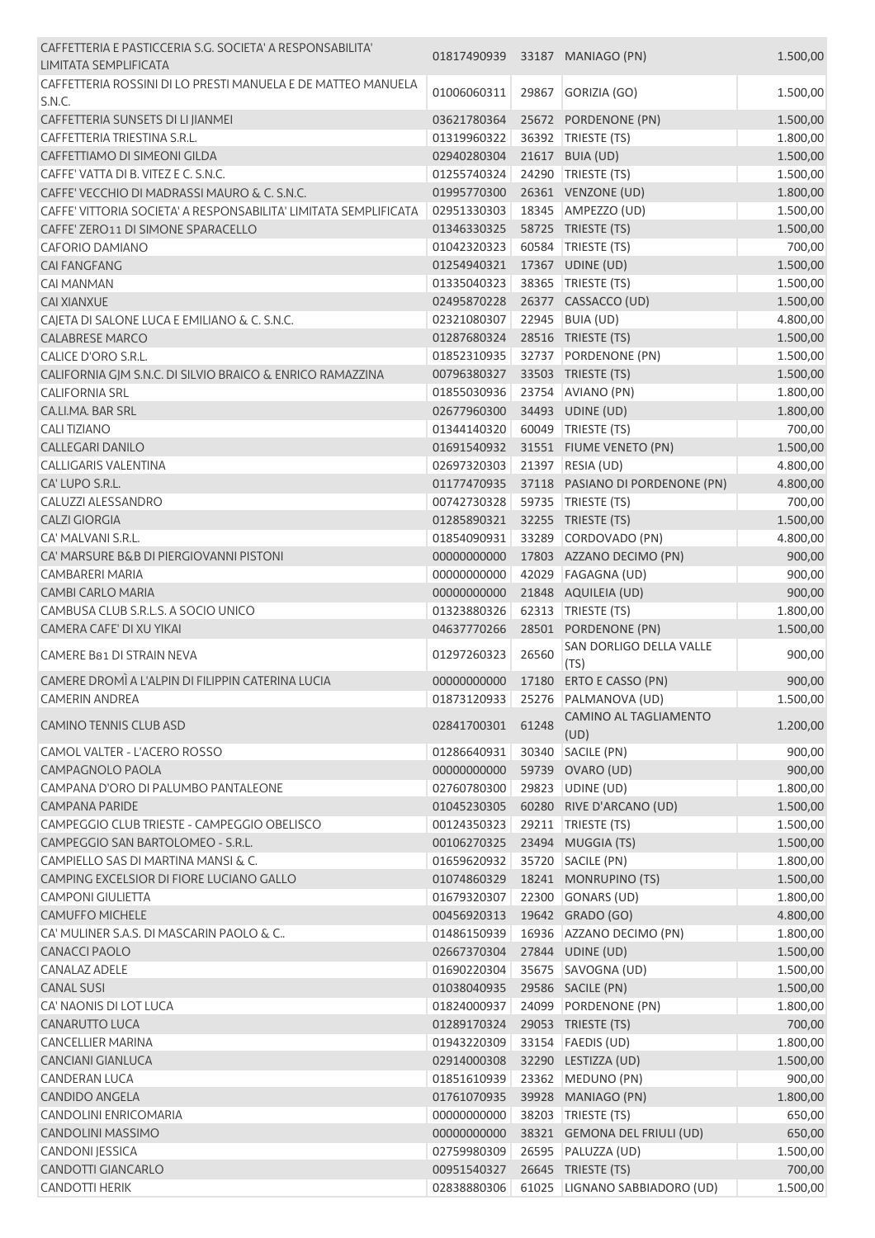| CAFFETTERIA E PASTICCERIA S.G. SOCIETA' A RESPONSABILITA'<br>LIMITATA SEMPLIFICATA | 01817490939                |       | 33187 MANIAGO (PN)               | 1.500,00           |
|------------------------------------------------------------------------------------|----------------------------|-------|----------------------------------|--------------------|
| CAFFETTERIA ROSSINI DI LO PRESTI MANUELA E DE MATTEO MANUELA<br>S.N.C.             | 01006060311                | 29867 | GORIZIA (GO)                     | 1.500,00           |
| CAFFETTERIA SUNSETS DI LI JIANMEI                                                  | 03621780364                |       | 25672 PORDENONE (PN)             | 1.500,00           |
| CAFFETTERIA TRIESTINA S.R.L.                                                       | 01319960322                | 36392 | TRIESTE (TS)                     | 1.800,00           |
| CAFFETTIAMO DI SIMEONI GILDA                                                       | 02940280304                |       | 21617 BUIA (UD)                  | 1.500,00           |
| CAFFE' VATTA DI B. VITEZ E C. S.N.C.                                               | 01255740324                |       | 24290 TRIESTE (TS)               | 1.500,00           |
| CAFFE' VECCHIO DI MADRASSI MAURO & C. S.N.C.                                       | 01995770300                |       | 26361 VENZONE (UD)               | 1.800,00           |
| CAFFE' VITTORIA SOCIETA' A RESPONSABILITA' LIMITATA SEMPLIFICATA                   | 02951330303                |       | 18345 AMPEZZO (UD)               | 1.500,00           |
| CAFFE' ZERO11 DI SIMONE SPARACELLO                                                 | 01346330325                |       | 58725 TRIESTE (TS)               | 1.500,00           |
| <b>CAFORIO DAMIANO</b>                                                             | 01042320323                |       | 60584 TRIESTE (TS)               | 700,00             |
| <b>CAI FANGFANG</b>                                                                | 01254940321                |       | 17367 UDINE (UD)                 | 1.500,00           |
| <b>CAI MANMAN</b>                                                                  | 01335040323                |       | 38365 TRIESTE (TS)               | 1.500,00           |
| <b>CAI XIANXUE</b>                                                                 | 02495870228                |       | 26377 CASSACCO (UD)              | 1.500,00           |
| CAJETA DI SALONE LUCA E EMILIANO & C. S.N.C.                                       | 02321080307                | 22945 | BUIA (UD)                        | 4.800,00           |
| <b>CALABRESE MARCO</b>                                                             | 01287680324                |       | 28516 TRIESTE (TS)               | 1.500,00           |
| CALICE D'ORO S.R.L.                                                                | 01852310935                |       | 32737 PORDENONE (PN)             | 1.500,00           |
| CALIFORNIA GJM S.N.C. DI SILVIO BRAICO & ENRICO RAMAZZINA                          | 00796380327                |       | 33503 TRIESTE (TS)               | 1.500,00           |
| <b>CALIFORNIA SRL</b>                                                              | 01855030936                |       | 23754 AVIANO (PN)                | 1.800,00           |
| CA.LI.MA. BAR SRL                                                                  | 02677960300                |       | 34493 UDINE (UD)                 | 1.800,00           |
| <b>CALITIZIANO</b>                                                                 | 01344140320                |       | 60049 TRIESTE (TS)               | 700,00             |
| <b>CALLEGARI DANILO</b>                                                            | 01691540932                |       | 31551 FIUME VENETO (PN)          | 1.500,00           |
| <b>CALLIGARIS VALENTINA</b>                                                        | 02697320303                |       | 21397 RESIA (UD)                 | 4.800,00           |
| CA' LUPO S.R.L.                                                                    | 01177470935                |       | 37118 PASIANO DI PORDENONE (PN)  | 4.800,00           |
| <b>CALUZZI ALESSANDRO</b>                                                          | 00742730328                |       | 59735   TRIESTE (TS)             | 700,00             |
| <b>CALZI GIORGIA</b>                                                               | 01285890321                |       | 32255 TRIESTE (TS)               | 1.500,00           |
| CA' MALVANI S.R.L.                                                                 | 01854090931                |       | 33289 CORDOVADO (PN)             | 4.800,00           |
| CA' MARSURE B&B DI PIERGIOVANNI PISTONI                                            | 00000000000                |       | 17803 AZZANO DECIMO (PN)         | 900,00             |
| <b>CAMBARERI MARIA</b>                                                             | 00000000000                |       | 42029 FAGAGNA (UD)               | 900,00             |
| <b>CAMBI CARLO MARIA</b>                                                           | 00000000000                |       | 21848 AQUILEIA (UD)              | 900,00             |
| CAMBUSA CLUB S.R.L.S. A SOCIO UNICO                                                | 01323880326                |       | 62313 TRIESTE (TS)               | 1.800,00           |
| CAMERA CAFE' DI XU YIKAI                                                           | 04637770266                |       | 28501 PORDENONE (PN)             | 1.500,00           |
| <b>CAMERE B81 DI STRAIN NEVA</b>                                                   | 01297260323                | 26560 | SAN DORLIGO DELLA VALLE<br>(TS)  | 900,00             |
| CAMERE DROMÌ A L'ALPIN DI FILIPPIN CATERINA LUCIA                                  | 00000000000                |       | 17180 ERTO E CASSO (PN)          | 900,00             |
| CAMERIN ANDREA                                                                     |                            |       | 01873120933 25276 PALMANOVA (UD) | 1.500,00           |
|                                                                                    |                            |       | CAMINO AL TAGLIAMENTO            |                    |
| <b>CAMINO TENNIS CLUB ASD</b><br>CAMOL VALTER - L'ACERO ROSSO                      | 02841700301<br>01286640931 | 61248 | (UD)<br>30340 SACILE (PN)        | 1.200,00<br>900,00 |
| CAMPAGNOLO PAOLA                                                                   | 00000000000                |       | 59739 OVARO (UD)                 | 900,00             |
| CAMPANA D'ORO DI PALUMBO PANTALEONE                                                | 02760780300                |       | 29823 UDINE (UD)                 | 1.800,00           |
| <b>CAMPANA PARIDE</b>                                                              | 01045230305                |       | 60280 RIVE D'ARCANO (UD)         | 1.500,00           |
| CAMPEGGIO CLUB TRIESTE - CAMPEGGIO OBELISCO                                        | 00124350323                |       | 29211   TRIESTE (TS)             | 1.500,00           |
| CAMPEGGIO SAN BARTOLOMEO - S.R.L.                                                  | 00106270325                |       | 23494 MUGGIA (TS)                | 1.500,00           |
| CAMPIELLO SAS DI MARTINA MANSI & C.                                                | 01659620932                | 35720 | SACILE (PN)                      | 1.800,00           |
| CAMPING EXCELSIOR DI FIORE LUCIANO GALLO                                           | 01074860329                |       | 18241 MONRUPINO (TS)             | 1.500,00           |
| <b>CAMPONI GIULIETTA</b>                                                           | 01679320307                |       | 22300 GONARS (UD)                | 1.800,00           |
| <b>CAMUFFO MICHELE</b>                                                             | 00456920313                |       | 19642 GRADO (GO)                 | 4.800,00           |
| CA' MULINER S.A.S. DI MASCARIN PAOLO & C                                           | 01486150939                |       | 16936 AZZANO DECIMO (PN)         | 1.800,00           |
| <b>CANACCI PAOLO</b>                                                               | 02667370304                |       | 27844 UDINE (UD)                 | 1.500,00           |
| <b>CANALAZ ADELE</b>                                                               | 01690220304                |       | 35675 SAVOGNA (UD)               | 1.500,00           |
| <b>CANAL SUSI</b>                                                                  | 01038040935                |       | 29586 SACILE (PN)                | 1.500,00           |
| CA' NAONIS DI LOT LUCA                                                             | 01824000937                |       | 24099 PORDENONE (PN)             | 1.800,00           |
| CANARUTTO LUCA                                                                     | 01289170324                |       | 29053 TRIESTE (TS)               | 700,00             |
| <b>CANCELLIER MARINA</b>                                                           | 01943220309                |       | 33154 FAEDIS (UD)                | 1.800,00           |
| <b>CANCIANI GIANLUCA</b>                                                           | 02914000308                |       | 32290 LESTIZZA (UD)              | 1.500,00           |
| <b>CANDERAN LUCA</b>                                                               | 01851610939                |       | 23362 MEDUNO (PN)                | 900,00             |
| <b>CANDIDO ANGELA</b>                                                              | 01761070935                |       | 39928 MANIAGO (PN)               | 1.800,00           |
| <b>CANDOLINI ENRICOMARIA</b>                                                       | 00000000000                |       | 38203 TRIESTE (TS)               | 650,00             |
| CANDOLINI MASSIMO                                                                  | 00000000000                |       | 38321 GEMONA DEL FRIULI (UD)     | 650,00             |
| <b>CANDONI JESSICA</b>                                                             | 02759980309                |       | 26595 PALUZZA (UD)               | 1.500,00           |
| CANDOTTI GIANCARLO                                                                 | 00951540327                |       | 26645 TRIESTE (TS)               | 700,00             |
| <b>CANDOTTI HERIK</b>                                                              | 02838880306                |       | 61025 LIGNANO SABBIADORO (UD)    | 1.500,00           |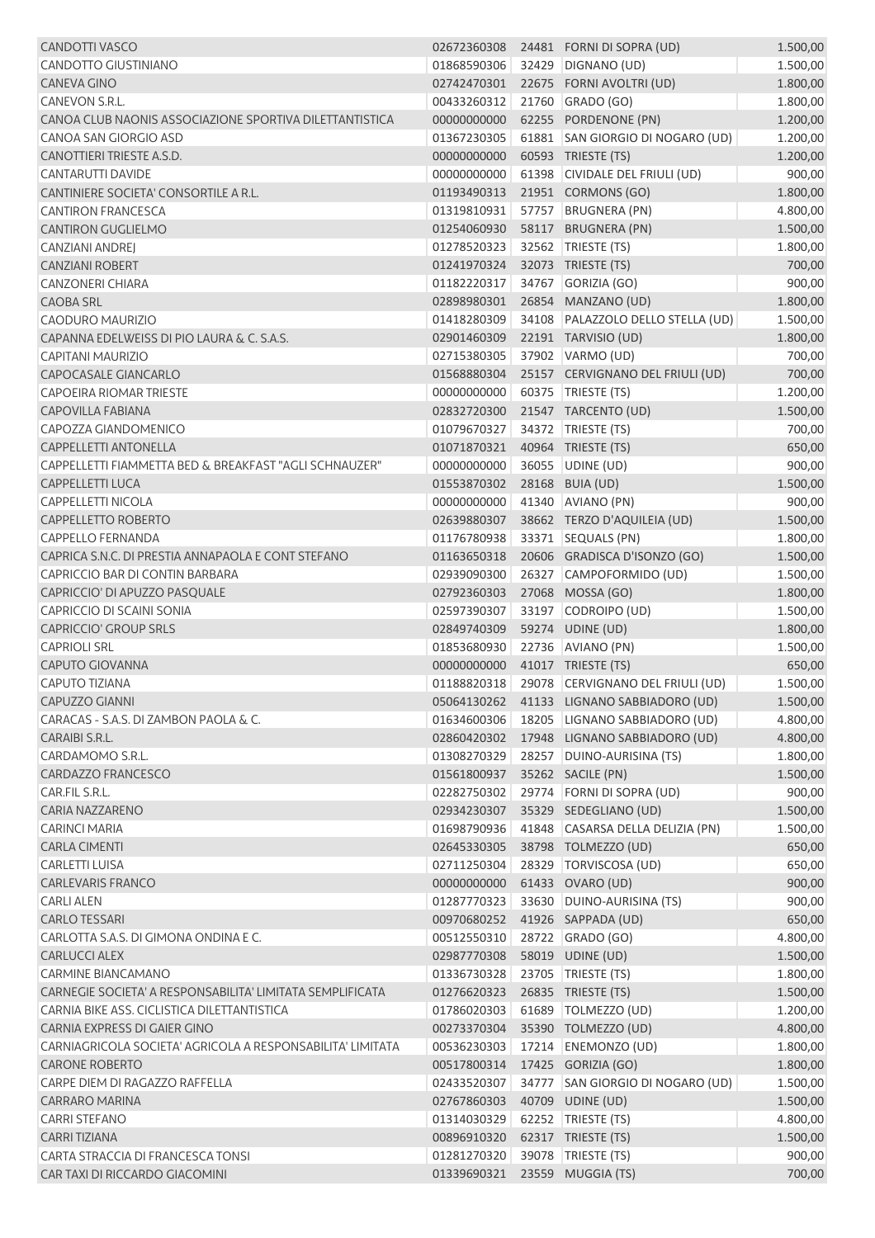| <b>CANDOTTI VASCO</b>                                      | 02672360308                   |       | 24481 FORNI DI SOPRA (UD)                 | 1.500,00             |
|------------------------------------------------------------|-------------------------------|-------|-------------------------------------------|----------------------|
| CANDOTTO GIUSTINIANO                                       | 01868590306                   |       | 32429 DIGNANO (UD)                        | 1.500,00             |
| <b>CANEVA GINO</b>                                         | 02742470301                   |       | 22675 FORNI AVOLTRI (UD)                  | 1.800,00             |
| CANEVON S.R.L.                                             | 00433260312                   |       | 21760 GRADO (GO)                          | 1.800,00             |
| CANOA CLUB NAONIS ASSOCIAZIONE SPORTIVA DILETTANTISTICA    | 00000000000                   |       | 62255 PORDENONE (PN)                      | 1.200,00             |
| CANOA SAN GIORGIO ASD                                      | 01367230305                   |       | 61881 SAN GIORGIO DI NOGARO (UD)          | 1.200,00             |
| CANOTTIERI TRIESTE A.S.D.                                  | 00000000000                   |       | 60593 TRIESTE (TS)                        | 1.200,00             |
| <b>CANTARUTTI DAVIDE</b>                                   | 00000000000                   | 61398 | CIVIDALE DEL FRIULI (UD)                  | 900,00               |
| CANTINIERE SOCIETA' CONSORTILE A R.L.                      | 01193490313                   |       | 21951 CORMONS (GO)                        | 1.800,00             |
| <b>CANTIRON FRANCESCA</b>                                  | 01319810931                   | 57757 | <b>BRUGNERA (PN)</b>                      | 4.800,00             |
| <b>CANTIRON GUGLIELMO</b>                                  | 01254060930                   |       | 58117 BRUGNERA (PN)                       | 1.500,00             |
| <b>CANZIANI ANDREJ</b>                                     | 01278520323                   |       | 32562 TRIESTE (TS)                        | 1.800,00             |
| <b>CANZIANI ROBERT</b>                                     | 01241970324                   |       | 32073 TRIESTE (TS)                        | 700,00               |
| <b>CANZONERI CHIARA</b>                                    | 01182220317                   |       | 34767 GORIZIA (GO)                        | 900,00               |
| <b>CAOBA SRL</b>                                           | 02898980301                   |       | 26854 MANZANO (UD)                        | 1.800,00             |
| CAODURO MAURIZIO                                           | 01418280309                   |       | 34108 PALAZZOLO DELLO STELLA (UD)         | 1.500,00             |
| CAPANNA EDELWEISS DI PIO LAURA & C. S.A.S.                 | 02901460309                   |       | 22191 TARVISIO (UD)                       | 1.800,00             |
| CAPITANI MAURIZIO                                          | 02715380305                   |       | 37902 VARMO (UD)                          | 700,00               |
| CAPOCASALE GIANCARLO                                       | 01568880304                   |       | 25157 CERVIGNANO DEL FRIULI (UD)          | 700,00               |
| <b>CAPOEIRA RIOMAR TRIESTE</b>                             | 00000000000                   |       | 60375 TRIESTE (TS)                        | 1.200,00             |
| <b>CAPOVILLA FABIANA</b>                                   | 02832720300                   |       | 21547 TARCENTO (UD)                       | 1.500,00             |
| CAPOZZA GIANDOMENICO                                       | 01079670327                   |       | 34372 TRIESTE (TS)                        | 700,00               |
| <b>CAPPELLETTI ANTONELLA</b>                               | 01071870321                   |       | 40964 TRIESTE (TS)                        | 650,00               |
| CAPPELLETTI FIAMMETTA BED & BREAKFAST "AGLI SCHNAUZER"     | 00000000000                   |       | 36055 UDINE (UD)                          | 900,00               |
| <b>CAPPELLETTI LUCA</b>                                    | 01553870302                   |       | 28168 BUIA (UD)                           | 1.500,00             |
| <b>CAPPELLETTI NICOLA</b>                                  | 00000000000                   |       | 41340 AVIANO (PN)                         | 900,00               |
| <b>CAPPELLETTO ROBERTO</b>                                 | 02639880307                   |       | 38662 TERZO D'AQUILEIA (UD)               | 1.500,00             |
| <b>CAPPELLO FERNANDA</b>                                   | 01176780938                   |       | 33371 SEQUALS (PN)                        | 1.800,00             |
| CAPRICA S.N.C. DI PRESTIA ANNAPAOLA E CONT STEFANO         | 01163650318                   |       | 20606 GRADISCA D'ISONZO (GO)              | 1.500,00             |
| CAPRICCIO BAR DI CONTIN BARBARA                            | 02939090300                   |       | 26327 CAMPOFORMIDO (UD)                   | 1.500,00             |
| CAPRICCIO' DI APUZZO PASQUALE                              | 02792360303                   |       | 27068 MOSSA (GO)                          | 1.800,00             |
| CAPRICCIO DI SCAINI SONIA                                  | 02597390307                   |       | 33197 CODROIPO (UD)                       | 1.500,00             |
| <b>CAPRICCIO' GROUP SRLS</b>                               | 02849740309                   |       | 59274 UDINE (UD)                          | 1.800,00             |
| <b>CAPRIOLI SRL</b>                                        | 01853680930                   |       | 22736 AVIANO (PN)                         | 1.500,00             |
| <b>CAPUTO GIOVANNA</b>                                     | 00000000000                   |       | 41017 TRIESTE (TS)                        | 650,00               |
| CAPUTO TIZIANA                                             | 01188820318                   |       | 29078 CERVIGNANO DEL FRIULI (UD)          | 1.500,00             |
| <b>CAPUZZO GIANNI</b>                                      |                               |       | 05064130262 41133 LIGNANO SABBIADORO (UD) |                      |
| CARACAS - S.A.S. DI ZAMBON PAOLA & C.                      | 01634600306                   |       | 18205 LIGNANO SABBIADORO (UD)             | 1.500,00<br>4.800,00 |
| CARAIBI S.R.L.                                             |                               |       |                                           |                      |
| CARDAMOMO S.R.L.                                           | 02860420302                   |       | 17948 LIGNANO SABBIADORO (UD)             | 4.800,00             |
| CARDAZZO FRANCESCO                                         | 01308270329                   |       | 28257 DUINO-AURISINA (TS)                 | 1.800,00             |
|                                                            | 01561800937                   |       | 35262 SACILE (PN)                         | 1.500,00             |
| CAR.FIL S.R.L.                                             | 02282750302                   |       | 29774 FORNI DI SOPRA (UD)                 | 900,00               |
| <b>CARIA NAZZARENO</b>                                     | 02934230307                   |       | 35329 SEDEGLIANO (UD)                     | 1.500,00             |
| <b>CARINCI MARIA</b>                                       | 01698790936                   |       | 41848 CASARSA DELLA DELIZIA (PN)          | 1.500,00             |
| <b>CARLA CIMENTI</b>                                       | 02645330305                   |       | 38798 TOLMEZZO (UD)                       | 650,00               |
| CARLETTI LUISA                                             | 02711250304                   |       | 28329 TORVISCOSA (UD)                     | 650,00               |
| <b>CARLEVARIS FRANCO</b>                                   | 00000000000                   |       | 61433 OVARO (UD)                          | 900,00               |
| <b>CARLI ALEN</b>                                          | 01287770323                   |       | 33630 DUINO-AURISINA (TS)                 | 900,00               |
| <b>CARLO TESSARI</b>                                       | 00970680252                   |       | 41926 SAPPADA (UD)                        | 650,00               |
| CARLOTTA S.A.S. DI GIMONA ONDINA E C.                      | 00512550310                   |       | 28722 GRADO (GO)                          | 4.800,00             |
| <b>CARLUCCI ALEX</b>                                       | 02987770308                   |       | 58019 UDINE (UD)                          | 1.500,00             |
| CARMINE BIANCAMANO                                         | 01336730328                   |       | 23705 TRIESTE (TS)                        | 1.800,00             |
| CARNEGIE SOCIETA' A RESPONSABILITA' LIMITATA SEMPLIFICATA  | 01276620323                   |       | 26835 TRIESTE (TS)                        | 1.500,00             |
| CARNIA BIKE ASS. CICLISTICA DILETTANTISTICA                | 01786020303                   |       | 61689   TOLMEZZO (UD)                     | 1.200,00             |
| CARNIA EXPRESS DI GAIER GINO                               | 00273370304                   |       | 35390 TOLMEZZO (UD)                       | 4.800,00             |
| CARNIAGRICOLA SOCIETA' AGRICOLA A RESPONSABILITA' LIMITATA | 00536230303                   |       | 17214 ENEMONZO (UD)                       | 1.800,00             |
| <b>CARONE ROBERTO</b>                                      | 00517800314                   |       | 17425 GORIZIA (GO)                        | 1.800,00             |
| CARPE DIEM DI RAGAZZO RAFFELLA                             | 02433520307                   |       | 34777 SAN GIORGIO DI NOGARO (UD)          | 1.500,00             |
| <b>CARRARO MARINA</b>                                      | 02767860303                   |       | 40709 UDINE (UD)                          | 1.500,00             |
| <b>CARRI STEFANO</b>                                       | 01314030329                   |       | 62252 TRIESTE (TS)                        | 4.800,00             |
| <b>CARRI TIZIANA</b>                                       | 00896910320                   |       | 62317 TRIESTE (TS)                        | 1.500,00             |
| CARTA STRACCIA DI FRANCESCA TONSI                          | 01281270320                   |       | 39078   TRIESTE (TS)                      | 900,00               |
| CAR TAXI DI RICCARDO GIACOMINI                             | 01339690321 23559 MUGGIA (TS) |       |                                           | 700,00               |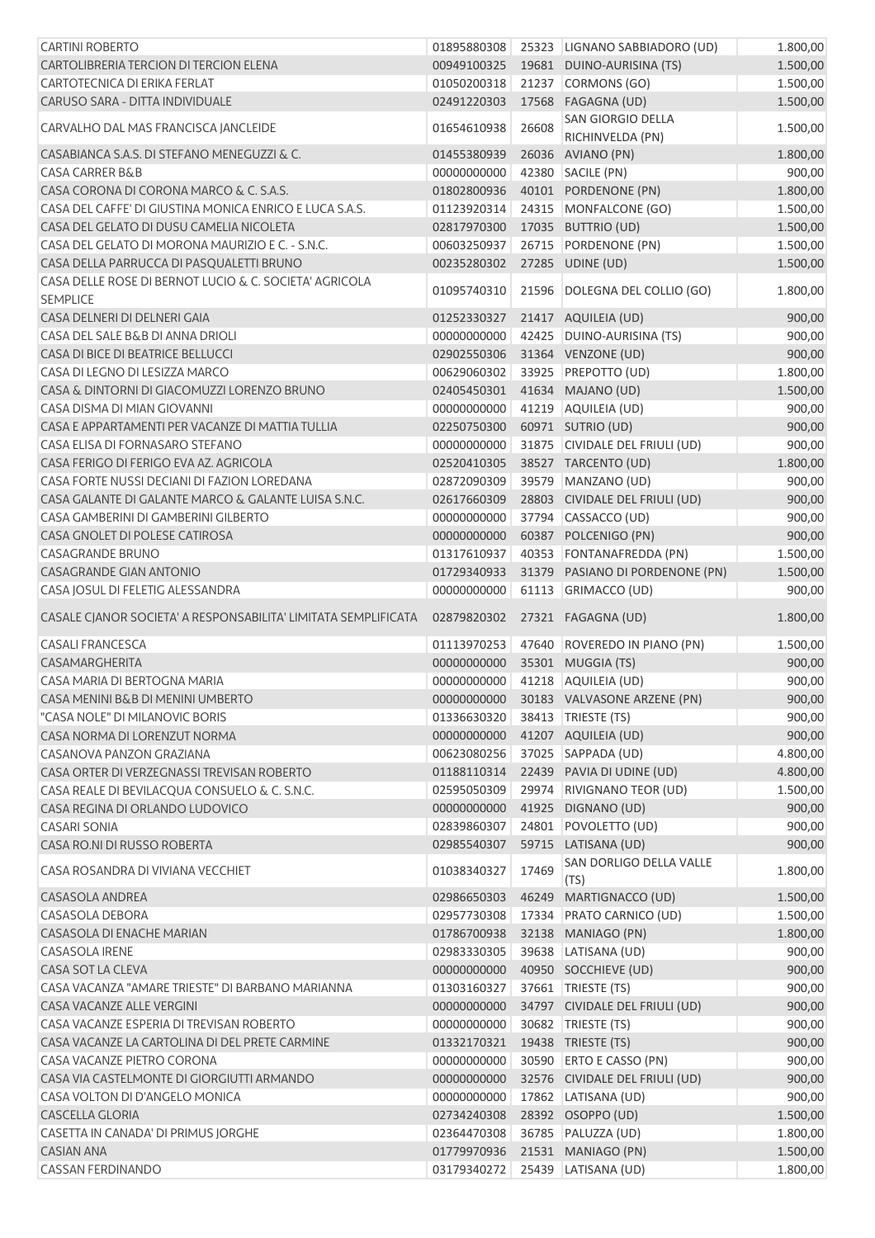| <b>CARTINI ROBERTO</b>                                                    | 01895880308 |       | 25323 LIGNANO SABBIADORO (UD)           | 1.800,00 |
|---------------------------------------------------------------------------|-------------|-------|-----------------------------------------|----------|
| CARTOLIBRERIA TERCION DI TERCION ELENA                                    | 00949100325 |       | 19681 DUINO-AURISINA (TS)               | 1.500,00 |
| CARTOTECNICA DI ERIKA FERLAT                                              | 01050200318 |       | 21237 CORMONS (GO)                      | 1.500,00 |
| CARUSO SARA - DITTA INDIVIDUALE                                           | 02491220303 |       | 17568 FAGAGNA (UD)                      | 1.500,00 |
| CARVALHO DAL MAS FRANCISCA JANCLEIDE                                      | 01654610938 | 26608 | SAN GIORGIO DELLA<br>RICHINVELDA (PN)   | 1.500,00 |
| CASABIANCA S.A.S. DI STEFANO MENEGUZZI & C.                               | 01455380939 |       | 26036 AVIANO (PN)                       | 1.800,00 |
| <b>CASA CARRER B&amp;B</b>                                                | 00000000000 |       | 42380 SACILE (PN)                       | 900,00   |
| CASA CORONA DI CORONA MARCO & C. S.A.S.                                   | 01802800936 |       | 40101 PORDENONE (PN)                    | 1.800,00 |
| CASA DEL CAFFE' DI GIUSTINA MONICA ENRICO E LUCA S.A.S.                   | 01123920314 |       | 24315 MONFALCONE (GO)                   | 1.500,00 |
| CASA DEL GELATO DI DUSU CAMELIA NICOLETA                                  | 02817970300 |       | 17035 BUTTRIO (UD)                      | 1.500,00 |
| CASA DEL GELATO DI MORONA MAURIZIO E C. - S.N.C.                          | 00603250937 |       | 26715 PORDENONE (PN)                    | 1.500,00 |
| CASA DELLA PARRUCCA DI PASQUALETTI BRUNO                                  | 00235280302 |       | 27285 UDINE (UD)                        | 1.500,00 |
| CASA DELLE ROSE DI BERNOT LUCIO & C. SOCIETA' AGRICOLA<br><b>SEMPLICE</b> | 01095740310 |       | 21596 DOLEGNA DEL COLLIO (GO)           | 1.800,00 |
| CASA DELNERI DI DELNERI GAIA                                              | 01252330327 |       | 21417 AQUILEIA (UD)                     | 900,00   |
| CASA DEL SALE B&B DI ANNA DRIOLI                                          | 00000000000 | 42425 | DUINO-AURISINA (TS)                     | 900,00   |
| CASA DI BICE DI BEATRICE BELLUCCI                                         | 02902550306 |       | 31364 VENZONE (UD)                      | 900,00   |
| CASA DI LEGNO DI LESIZZA MARCO                                            | 00629060302 |       | 33925 PREPOTTO (UD)                     | 1.800,00 |
| CASA & DINTORNI DI GIACOMUZZI LORENZO BRUNO                               | 02405450301 |       | 41634 MAJANO (UD)                       | 1.500,00 |
| CASA DISMA DI MIAN GIOVANNI                                               | 00000000000 |       | 41219 AQUILEIA (UD)                     | 900,00   |
| CASA E APPARTAMENTI PER VACANZE DI MATTIA TULLIA                          | 02250750300 |       | 60971 SUTRIO (UD)                       | 900,00   |
| CASA ELISA DI FORNASARO STEFANO                                           | 00000000000 |       | 31875 CIVIDALE DEL FRIULI (UD)          | 900,00   |
| CASA FERIGO DI FERIGO EVA AZ. AGRICOLA                                    | 02520410305 |       | 38527 TARCENTO (UD)                     | 1.800,00 |
| CASA FORTE NUSSI DECIANI DI FAZION LOREDANA                               | 02872090309 |       | 39579 MANZANO (UD)                      | 900,00   |
| CASA GALANTE DI GALANTE MARCO & GALANTE LUISA S.N.C.                      | 02617660309 | 28803 | CIVIDALE DEL FRIULI (UD)                | 900,00   |
| CASA GAMBERINI DI GAMBERINI GILBERTO                                      | 00000000000 |       | 37794 CASSACCO (UD)                     | 900,00   |
| CASA GNOLET DI POLESE CATIROSA                                            | 00000000000 |       | 60387 POLCENIGO (PN)                    | 900,00   |
| <b>CASAGRANDE BRUNO</b>                                                   | 01317610937 |       | 40353 FONTANAFREDDA (PN)                | 1.500,00 |
| <b>CASAGRANDE GIAN ANTONIO</b>                                            | 01729340933 |       | 31379 PASIANO DI PORDENONE (PN)         | 1.500,00 |
| CASA JOSUL DI FELETIG ALESSANDRA                                          | 00000000000 |       | 61113 GRIMACCO (UD)                     | 900,00   |
| CASALE CJANOR SOCIETA' A RESPONSABILITA' LIMITATA SEMPLIFICATA            | 02879820302 |       | 27321 FAGAGNA (UD)                      | 1.800,00 |
| <b>CASALI FRANCESCA</b>                                                   | 01113970253 |       | 47640 ROVEREDO IN PIANO (PN)            | 1.500,00 |
| CASAMARGHERITA                                                            | 00000000000 |       | 35301 MUGGIA (TS)                       | 900,00   |
| CASA MARIA DI BERTOGNA MARIA                                              | 00000000000 |       | 41218 AQUILEIA (UD)                     | 900,00   |
| CASA MENINI B&B DI MENINI UMBERTO                                         |             |       | 00000000000 30183 VALVASONE ARZENE (PN) | 900,00   |
| "CASA NOLE" DI MILANOVIC BORIS                                            | 01336630320 |       | 38413   TRIESTE (TS)                    | 900,00   |
| CASA NORMA DI LORENZUT NORMA                                              | 00000000000 |       | 41207 AQUILEIA (UD)                     | 900,00   |
| CASANOVA PANZON GRAZIANA                                                  | 00623080256 |       | 37025 SAPPADA (UD)                      | 4.800,00 |
| CASA ORTER DI VERZEGNASSI TREVISAN ROBERTO                                | 01188110314 |       | 22439 PAVIA DI UDINE (UD)               | 4.800,00 |
| CASA REALE DI BEVILACQUA CONSUELO & C. S.N.C.                             | 02595050309 |       | 29974 RIVIGNANO TEOR (UD)               | 1.500,00 |
| CASA REGINA DI ORLANDO LUDOVICO                                           | 00000000000 |       | 41925 DIGNANO (UD)                      | 900,00   |
| <b>CASARI SONIA</b>                                                       | 02839860307 |       | 24801 POVOLETTO (UD)                    | 900,00   |
| CASA RO.NI DI RUSSO ROBERTA                                               | 02985540307 |       | 59715 LATISANA (UD)                     | 900,00   |
| CASA ROSANDRA DI VIVIANA VECCHIET                                         | 01038340327 | 17469 | SAN DORLIGO DELLA VALLE<br>(TS)         | 1.800,00 |
| CASASOLA ANDREA                                                           | 02986650303 | 46249 | MARTIGNACCO (UD)                        | 1.500,00 |
| CASASOLA DEBORA                                                           | 02957730308 |       | 17334 PRATO CARNICO (UD)                | 1.500,00 |
| <b>CASASOLA DI ENACHE MARIAN</b>                                          | 01786700938 |       | 32138 MANIAGO (PN)                      | 1.800,00 |
| <b>CASASOLA IRENE</b>                                                     | 02983330305 |       | 39638 LATISANA (UD)                     | 900,00   |
| CASA SOT LA CLEVA                                                         | 00000000000 |       | 40950 SOCCHIEVE (UD)                    | 900,00   |
| CASA VACANZA "AMARE TRIESTE" DI BARBANO MARIANNA                          | 01303160327 |       | 37661   TRIESTE (TS)                    | 900,00   |
| CASA VACANZE ALLE VERGINI                                                 | 00000000000 |       | 34797 CIVIDALE DEL FRIULI (UD)          | 900,00   |
| CASA VACANZE ESPERIA DI TREVISAN ROBERTO                                  | 00000000000 |       | 30682 TRIESTE (TS)                      | 900,00   |
| CASA VACANZE LA CARTOLINA DI DEL PRETE CARMINE                            | 01332170321 |       | 19438 TRIESTE (TS)                      | 900,00   |
| CASA VACANZE PIETRO CORONA                                                | 00000000000 |       | 30590 ERTO E CASSO (PN)                 | 900,00   |
| CASA VIA CASTELMONTE DI GIORGIUTTI ARMANDO                                | 00000000000 |       | 32576 CIVIDALE DEL FRIULI (UD)          | 900,00   |
| CASA VOLTON DI D'ANGELO MONICA                                            | 00000000000 |       | 17862 LATISANA (UD)                     | 900,00   |
| CASCELLA GLORIA                                                           | 02734240308 |       | 28392 OSOPPO (UD)                       | 1.500,00 |
| CASETTA IN CANADA' DI PRIMUS JORGHE                                       | 02364470308 |       | 36785 PALUZZA (UD)                      | 1.800,00 |
| <b>CASIAN ANA</b>                                                         | 01779970936 |       | 21531 MANIAGO (PN)                      | 1.500,00 |
| <b>CASSAN FERDINANDO</b>                                                  | 03179340272 |       | 25439 LATISANA (UD)                     | 1.800,00 |
|                                                                           |             |       |                                         |          |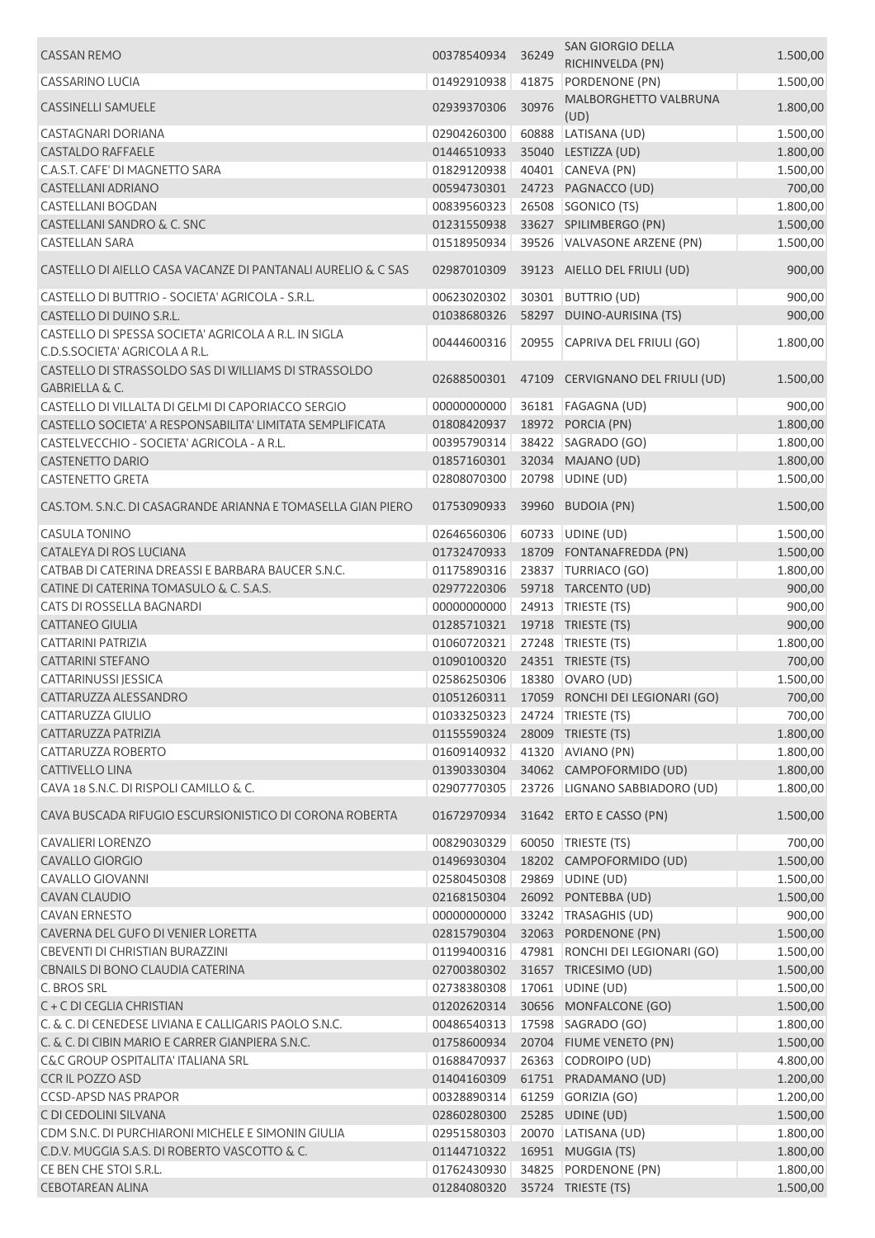| <b>CASSAN REMO</b>                                                                     | 00378540934                    | 36249 | <b>SAN GIORGIO DELLA</b>                    | 1.500,00 |
|----------------------------------------------------------------------------------------|--------------------------------|-------|---------------------------------------------|----------|
| <b>CASSARINO LUCIA</b>                                                                 | 01492910938                    | 41875 | RICHINVELDA (PN)<br>PORDENONE (PN)          | 1.500,00 |
| <b>CASSINELLI SAMUELE</b>                                                              | 02939370306                    | 30976 | MALBORGHETTO VALBRUNA                       | 1.800,00 |
|                                                                                        |                                |       | (UD)                                        |          |
| <b>CASTAGNARI DORIANA</b>                                                              | 02904260300                    | 60888 | LATISANA (UD)                               | 1.500,00 |
| <b>CASTALDO RAFFAELE</b>                                                               | 01446510933                    |       | 35040 LESTIZZA (UD)                         | 1.800,00 |
| C.A.S.T. CAFE' DI MAGNETTO SARA                                                        | 01829120938                    |       | 40401 CANEVA (PN)                           | 1.500,00 |
| <b>CASTELLANI ADRIANO</b>                                                              | 00594730301                    |       | 24723 PAGNACCO (UD)                         | 700,00   |
| <b>CASTELLANI BOGDAN</b>                                                               | 00839560323                    |       | 26508 SGONICO (TS)                          | 1.800,00 |
| <b>CASTELLANI SANDRO &amp; C. SNC</b>                                                  | 01231550938                    |       | 33627 SPILIMBERGO (PN)                      | 1.500,00 |
| <b>CASTELLAN SARA</b>                                                                  | 01518950934                    |       | 39526 VALVASONE ARZENE (PN)                 | 1.500,00 |
| CASTELLO DI AIELLO CASA VACANZE DI PANTANALI AURELIO & C SAS                           | 02987010309                    |       | 39123 AIELLO DEL FRIULI (UD)                | 900,00   |
| CASTELLO DI BUTTRIO - SOCIETA' AGRICOLA - S.R.L.                                       | 00623020302                    |       | 30301 BUTTRIO (UD)                          | 900,00   |
| CASTELLO DI DUINO S.R.L.                                                               | 01038680326                    |       | 58297 DUINO-AURISINA (TS)                   | 900,00   |
| CASTELLO DI SPESSA SOCIETA' AGRICOLA A R.L. IN SIGLA<br>C.D.S.SOCIETA' AGRICOLA A R.L. | 00444600316                    |       | 20955 CAPRIVA DEL FRIULI (GO)               | 1.800,00 |
| CASTELLO DI STRASSOLDO SAS DI WILLIAMS DI STRASSOLDO                                   |                                |       |                                             |          |
| <b>GABRIELLA &amp; C.</b>                                                              | 02688500301                    |       | 47109 CERVIGNANO DEL FRIULI (UD)            | 1.500,00 |
| CASTELLO DI VILLALTA DI GELMI DI CAPORIACCO SERGIO                                     | 00000000000                    |       | 36181   FAGAGNA (UD)                        | 900,00   |
| CASTELLO SOCIETA' A RESPONSABILITA' LIMITATA SEMPLIFICATA                              | 01808420937                    |       | 18972 PORCIA (PN)                           | 1.800,00 |
| CASTELVECCHIO - SOCIETA' AGRICOLA - A R.L.                                             | 00395790314                    |       | 38422 SAGRADO (GO)                          | 1.800,00 |
| <b>CASTENETTO DARIO</b>                                                                | 01857160301                    |       | 32034 MAJANO (UD)                           | 1.800,00 |
| <b>CASTENETTO GRETA</b>                                                                | 02808070300                    |       | 20798 UDINE (UD)                            | 1.500,00 |
|                                                                                        |                                |       |                                             |          |
| CAS.TOM. S.N.C. DI CASAGRANDE ARIANNA E TOMASELLA GIAN PIERO                           | 01753090933                    |       | 39960 BUDOIA (PN)                           | 1.500,00 |
| <b>CASULA TONINO</b>                                                                   | 02646560306                    |       | 60733 UDINE (UD)                            | 1.500,00 |
| CATALEYA DI ROS LUCIANA                                                                | 01732470933                    |       | 18709 FONTANAFREDDA (PN)                    | 1.500,00 |
| CATBAB DI CATERINA DREASSI E BARBARA BAUCER S.N.C.                                     | 01175890316                    |       | 23837 TURRIACO (GO)                         | 1.800,00 |
| CATINE DI CATERINA TOMASULO & C. S.A.S.                                                | 02977220306                    |       | 59718 TARCENTO (UD)                         | 900,00   |
| CATS DI ROSSELLA BAGNARDI                                                              | 00000000000                    |       | 24913   TRIESTE (TS)                        | 900,00   |
| <b>CATTANEO GIULIA</b>                                                                 | 01285710321                    |       | 19718 TRIESTE (TS)                          | 900,00   |
| <b>CATTARINI PATRIZIA</b>                                                              | 01060720321                    |       | 27248 TRIESTE (TS)                          | 1.800,00 |
| <b>CATTARINI STEFANO</b>                                                               | 01090100320                    |       | 24351 TRIESTE (TS)                          | 700,00   |
| CATTARINUSSI JESSICA                                                                   | 02586250306                    |       | 18380 OVARO (UD)                            | 1.500,00 |
| CATTARUZZA ALESSANDRO                                                                  |                                |       | 01051260311 17059 RONCHI DEI LEGIONARI (GO) | 700,00   |
| CATTARUZZA GIULIO                                                                      | 01033250323 24724 TRIESTE (TS) |       |                                             | 700,00   |
| CATTARUZZA PATRIZIA                                                                    | 01155590324                    |       | 28009 TRIESTE (TS)                          | 1.800,00 |
| CATTARUZZA ROBERTO                                                                     | 01609140932                    |       | 41320 AVIANO (PN)                           | 1.800,00 |
| <b>CATTIVELLO LINA</b>                                                                 | 01390330304                    |       | 34062 CAMPOFORMIDO (UD)                     | 1.800,00 |
| CAVA 18 S.N.C. DI RISPOLI CAMILLO & C.                                                 | 02907770305                    |       | 23726 LIGNANO SABBIADORO (UD)               | 1.800,00 |
|                                                                                        |                                |       |                                             |          |
| CAVA BUSCADA RIFUGIO ESCURSIONISTICO DI CORONA ROBERTA                                 | 01672970934                    |       | 31642 ERTO E CASSO (PN)                     | 1.500,00 |
| <b>CAVALIERI LORENZO</b>                                                               | 00829030329                    |       | 60050 TRIESTE (TS)                          | 700,00   |
| <b>CAVALLO GIORGIO</b>                                                                 | 01496930304                    |       | 18202 CAMPOFORMIDO (UD)                     | 1.500,00 |
| <b>CAVALLO GIOVANNI</b>                                                                | 02580450308                    |       | 29869 UDINE (UD)                            | 1.500,00 |
| <b>CAVAN CLAUDIO</b>                                                                   | 02168150304                    |       | 26092 PONTEBBA (UD)                         | 1.500,00 |
| <b>CAVAN ERNESTO</b>                                                                   | 00000000000                    |       | 33242 TRASAGHIS (UD)                        | 900,00   |
| CAVERNA DEL GUFO DI VENIER LORETTA                                                     | 02815790304                    |       | 32063 PORDENONE (PN)                        | 1.500,00 |
| CBEVENTI DI CHRISTIAN BURAZZINI                                                        | 01199400316                    |       | 47981 RONCHI DEI LEGIONARI (GO)             | 1.500,00 |
| CBNAILS DI BONO CLAUDIA CATERINA                                                       | 02700380302                    |       | 31657 TRICESIMO (UD)                        | 1.500,00 |
| C. BROS SRL                                                                            | 02738380308                    | 17061 | UDINE (UD)                                  | 1.500,00 |
| C + C DI CEGLIA CHRISTIAN                                                              | 01202620314                    |       | 30656 MONFALCONE (GO)                       | 1.500,00 |
| C. & C. DI CENEDESE LIVIANA E CALLIGARIS PAOLO S.N.C.                                  | 00486540313                    |       | 17598 SAGRADO (GO)                          | 1.800,00 |
| C. & C. DI CIBIN MARIO E CARRER GIANPIERA S.N.C.                                       | 01758600934                    |       | 20704 FIUME VENETO (PN)                     | 1.500,00 |
| <b>C&amp;C GROUP OSPITALITA' ITALIANA SRL</b>                                          | 01688470937                    |       | 26363 CODROIPO (UD)                         | 4.800,00 |
| <b>CCRIL POZZO ASD</b>                                                                 | 01404160309                    |       | 61751 PRADAMANO (UD)                        | 1.200,00 |
| <b>CCSD-APSD NAS PRAPOR</b>                                                            | 00328890314                    |       | 61259 GORIZIA (GO)                          | 1.200,00 |
| C DI CEDOLINI SILVANA                                                                  | 02860280300                    |       | 25285 UDINE (UD)                            | 1.500,00 |
| CDM S.N.C. DI PURCHIARONI MICHELE E SIMONIN GIULIA                                     | 02951580303                    |       | 20070 LATISANA (UD)                         | 1.800,00 |
|                                                                                        |                                |       |                                             |          |
| C.D.V. MUGGIA S.A.S. DI ROBERTO VASCOTTO & C.                                          | 01144710322                    |       | 16951 MUGGIA (TS)                           | 1.800,00 |
| CE BEN CHE STOI S.R.L.                                                                 | 01762430930                    |       | 34825 PORDENONE (PN)                        | 1.800,00 |
| <b>CEBOTAREAN ALINA</b>                                                                | 01284080320 35724 TRIESTE (TS) |       |                                             | 1.500,00 |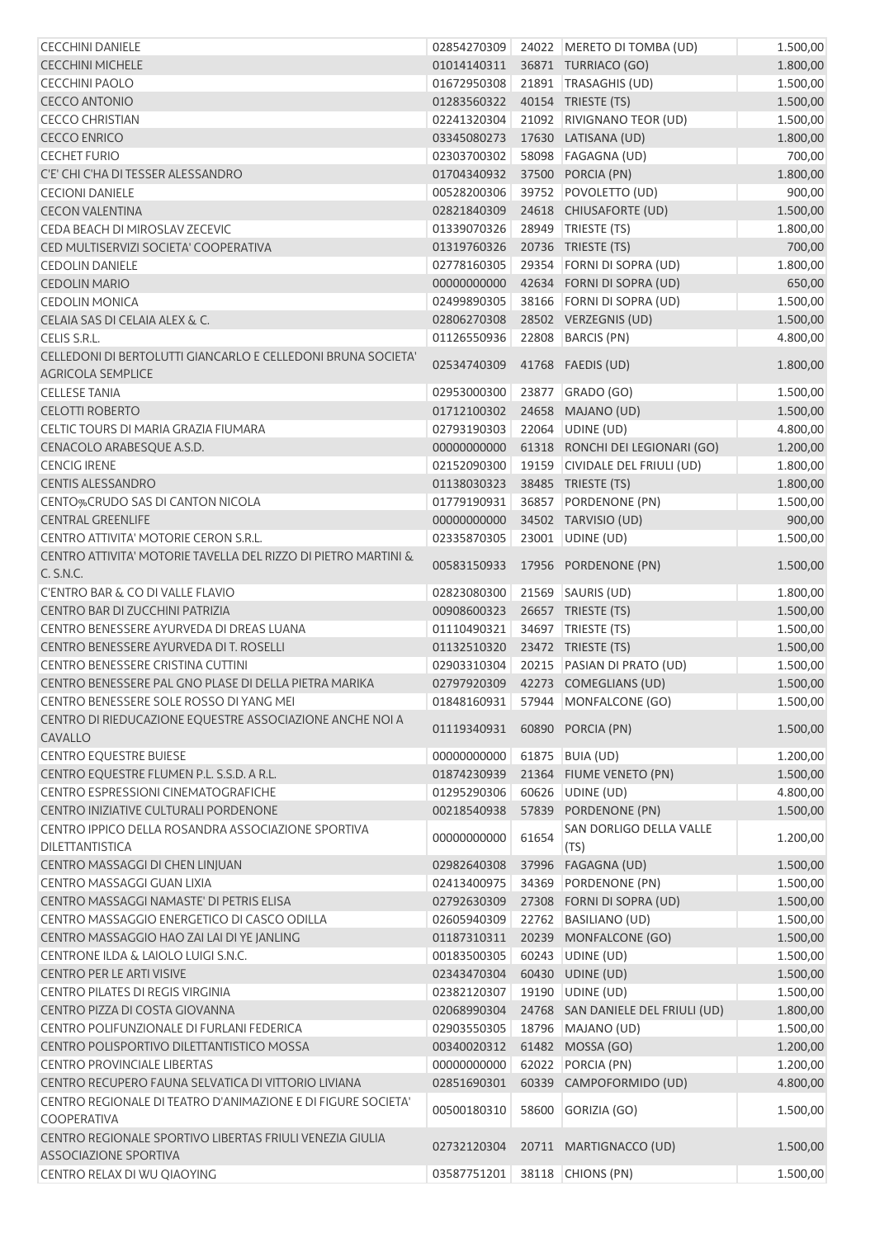| <b>CECCHINI DANIELE</b>                                                           | 02854270309                         |       | 24022 MERETO DI TOMBA (UD)        | 1.500,00 |
|-----------------------------------------------------------------------------------|-------------------------------------|-------|-----------------------------------|----------|
| <b>CECCHINI MICHELE</b>                                                           | 01014140311                         |       | 36871 TURRIACO (GO)               | 1.800,00 |
| <b>CECCHINI PAOLO</b>                                                             | 01672950308                         |       | 21891   TRASAGHIS (UD)            | 1.500,00 |
| <b>CECCO ANTONIO</b>                                                              | 01283560322                         |       | 40154 TRIESTE (TS)                | 1.500,00 |
| <b>CECCO CHRISTIAN</b>                                                            | 02241320304                         |       | 21092 RIVIGNANO TEOR (UD)         | 1.500,00 |
| <b>CECCO ENRICO</b>                                                               | 03345080273                         |       | 17630 LATISANA (UD)               | 1.800,00 |
| <b>CECHET FURIO</b>                                                               | 02303700302                         |       | 58098 FAGAGNA (UD)                | 700,00   |
| C'E' CHI C'HA DI TESSER ALESSANDRO                                                | 01704340932                         |       | 37500 PORCIA (PN)                 | 1.800,00 |
| <b>CECIONI DANIELE</b>                                                            | 00528200306                         |       | 39752 POVOLETTO (UD)              | 900,00   |
| <b>CECON VALENTINA</b>                                                            | 02821840309                         |       | 24618 CHIUSAFORTE (UD)            | 1.500,00 |
| CEDA BEACH DI MIROSLAV ZECEVIC                                                    | 01339070326                         |       | 28949 TRIESTE (TS)                | 1.800,00 |
| CED MULTISERVIZI SOCIETA' COOPERATIVA                                             | 01319760326                         |       | 20736 TRIESTE (TS)                | 700,00   |
| <b>CEDOLIN DANIELE</b>                                                            | 02778160305                         |       | 29354 FORNI DI SOPRA (UD)         | 1.800,00 |
| <b>CEDOLIN MARIO</b>                                                              | 00000000000                         |       | 42634 FORNI DI SOPRA (UD)         | 650,00   |
| <b>CEDOLIN MONICA</b>                                                             | 02499890305                         |       | 38166 FORNI DI SOPRA (UD)         | 1.500,00 |
| CELAIA SAS DI CELAIA ALEX & C.                                                    | 02806270308                         |       | 28502 VERZEGNIS (UD)              | 1.500,00 |
| CELIS S.R.L.                                                                      | 01126550936                         |       | 22808 BARCIS (PN)                 | 4.800,00 |
| CELLEDONI DI BERTOLUTTI GIANCARLO E CELLEDONI BRUNA SOCIETA'                      |                                     |       |                                   |          |
| <b>AGRICOLA SEMPLICE</b>                                                          | 02534740309                         |       | 41768 FAEDIS (UD)                 | 1.800,00 |
| <b>CELLESE TANIA</b>                                                              | 02953000300                         |       | 23877 GRADO (GO)                  | 1.500,00 |
| <b>CELOTTI ROBERTO</b>                                                            | 01712100302                         |       | 24658 MAJANO (UD)                 | 1.500,00 |
| CELTIC TOURS DI MARIA GRAZIA FIUMARA                                              | 02793190303                         |       | 22064 UDINE (UD)                  | 4.800,00 |
| CENACOLO ARABESQUE A.S.D.                                                         | 00000000000                         |       | 61318 RONCHI DEI LEGIONARI (GO)   | 1.200,00 |
| <b>CENCIG IRENE</b>                                                               | 02152090300                         |       | 19159 CIVIDALE DEL FRIULI (UD)    | 1.800,00 |
| <b>CENTIS ALESSANDRO</b>                                                          | 01138030323                         |       | 38485 TRIESTE (TS)                | 1.800,00 |
| CENTO%CRUDO SAS DI CANTON NICOLA                                                  | 01779190931                         | 36857 | PORDENONE (PN)                    | 1.500,00 |
| <b>CENTRAL GREENLIFE</b>                                                          | 00000000000                         |       | 34502 TARVISIO (UD)               | 900,00   |
| CENTRO ATTIVITA' MOTORIE CERON S.R.L.                                             | 02335870305                         |       | 23001 UDINE (UD)                  | 1.500,00 |
| CENTRO ATTIVITA' MOTORIE TAVELLA DEL RIZZO DI PIETRO MARTINI &<br>C. S.N.C.       | 00583150933                         |       | 17956 PORDENONE (PN)              | 1.500,00 |
| C'ENTRO BAR & CO DI VALLE FLAVIO                                                  | 02823080300                         |       | 21569 SAURIS (UD)                 | 1.800,00 |
| CENTRO BAR DI ZUCCHINI PATRIZIA                                                   | 00908600323                         |       | 26657 TRIESTE (TS)                | 1.500,00 |
| CENTRO BENESSERE AYURVEDA DI DREAS LUANA                                          | 01110490321                         |       | 34697 TRIESTE (TS)                | 1.500,00 |
| CENTRO BENESSERE AYURVEDA DI T. ROSELLI                                           | 01132510320                         |       | 23472 TRIESTE (TS)                | 1.500,00 |
| CENTRO BENESSERE CRISTINA CUTTINI                                                 | 02903310304                         |       | 20215 PASIAN DI PRATO (UD)        | 1.500,00 |
| CENTRO BENESSERE PAL GNO PLASE DI DELLA PIETRA MARIKA                             | 02797920309                         |       | 42273 COMEGLIANS (UD)             | 1.500,00 |
| CENTRO BENESSERE SOLE ROSSO DI YANG MEI                                           |                                     |       | 01848160931 57944 MONFALCONE (GO) | 1.500,00 |
| CENTRO DI RIEDUCAZIONE EQUESTRE ASSOCIAZIONE ANCHE NOI A                          |                                     |       |                                   |          |
| CAVALLO                                                                           | 01119340931    60890    PORCIA (PN) |       |                                   | 1.500,00 |
| <b>CENTRO EQUESTRE BUIESE</b>                                                     | 00000000000                         |       | 61875 BUIA (UD)                   | 1.200,00 |
| CENTRO EQUESTRE FLUMEN P.L. S.S.D. A R.L.                                         | 01874230939                         |       | 21364 FIUME VENETO (PN)           | 1.500,00 |
| CENTRO ESPRESSIONI CINEMATOGRAFICHE                                               | 01295290306                         | 60626 | UDINE (UD)                        | 4.800,00 |
| CENTRO INIZIATIVE CULTURALI PORDENONE                                             | 00218540938                         |       | 57839 PORDENONE (PN)              | 1.500,00 |
| CENTRO IPPICO DELLA ROSANDRA ASSOCIAZIONE SPORTIVA<br>DILETTANTISTICA             | 00000000000                         | 61654 | SAN DORLIGO DELLA VALLE<br>(TS)   | 1.200,00 |
| CENTRO MASSAGGI DI CHEN LINJUAN                                                   | 02982640308                         | 37996 | FAGAGNA (UD)                      | 1.500,00 |
| CENTRO MASSAGGI GUAN LIXIA                                                        | 02413400975                         | 34369 | PORDENONE (PN)                    | 1.500,00 |
| CENTRO MASSAGGI NAMASTE' DI PETRIS ELISA                                          | 02792630309                         |       | 27308 FORNI DI SOPRA (UD)         | 1.500,00 |
| CENTRO MASSAGGIO ENERGETICO DI CASCO ODILLA                                       | 02605940309                         |       | 22762 BASILIANO (UD)              | 1.500,00 |
| CENTRO MASSAGGIO HAO ZAI LAI DI YE JANLING                                        | 01187310311                         |       | 20239 MONFALCONE (GO)             | 1.500,00 |
| CENTRONE ILDA & LAIOLO LUIGI S.N.C.                                               | 00183500305                         |       | 60243 UDINE (UD)                  | 1.500,00 |
| CENTRO PER LE ARTI VISIVE                                                         | 02343470304                         |       | 60430 UDINE (UD)                  | 1.500,00 |
| CENTRO PILATES DI REGIS VIRGINIA                                                  | 02382120307                         |       | 19190 UDINE (UD)                  | 1.500,00 |
| CENTRO PIZZA DI COSTA GIOVANNA                                                    | 02068990304                         |       | 24768 SAN DANIELE DEL FRIULI (UD) | 1.800,00 |
| CENTRO POLIFUNZIONALE DI FURLANI FEDERICA                                         | 02903550305                         |       | 18796   MAJANO (UD)               | 1.500,00 |
| CENTRO POLISPORTIVO DILETTANTISTICO MOSSA                                         | 00340020312                         |       | 61482 MOSSA (GO)                  | 1.200,00 |
| <b>CENTRO PROVINCIALE LIBERTAS</b>                                                | 00000000000                         |       | 62022 PORCIA (PN)                 | 1.200,00 |
| CENTRO RECUPERO FAUNA SELVATICA DI VITTORIO LIVIANA                               | 02851690301                         |       | 60339 CAMPOFORMIDO (UD)           | 4.800,00 |
| CENTRO REGIONALE DI TEATRO D'ANIMAZIONE E DI FIGURE SOCIETA'                      |                                     |       |                                   |          |
| <b>COOPERATIVA</b>                                                                | 00500180310                         | 58600 | GORIZIA (GO)                      | 1.500,00 |
| CENTRO REGIONALE SPORTIVO LIBERTAS FRIULI VENEZIA GIULIA<br>ASSOCIAZIONE SPORTIVA | 02732120304                         |       | 20711 MARTIGNACCO (UD)            | 1.500,00 |
| CENTRO RELAX DI WU QIAOYING                                                       | 03587751201                         |       | 38118 CHIONS (PN)                 | 1.500,00 |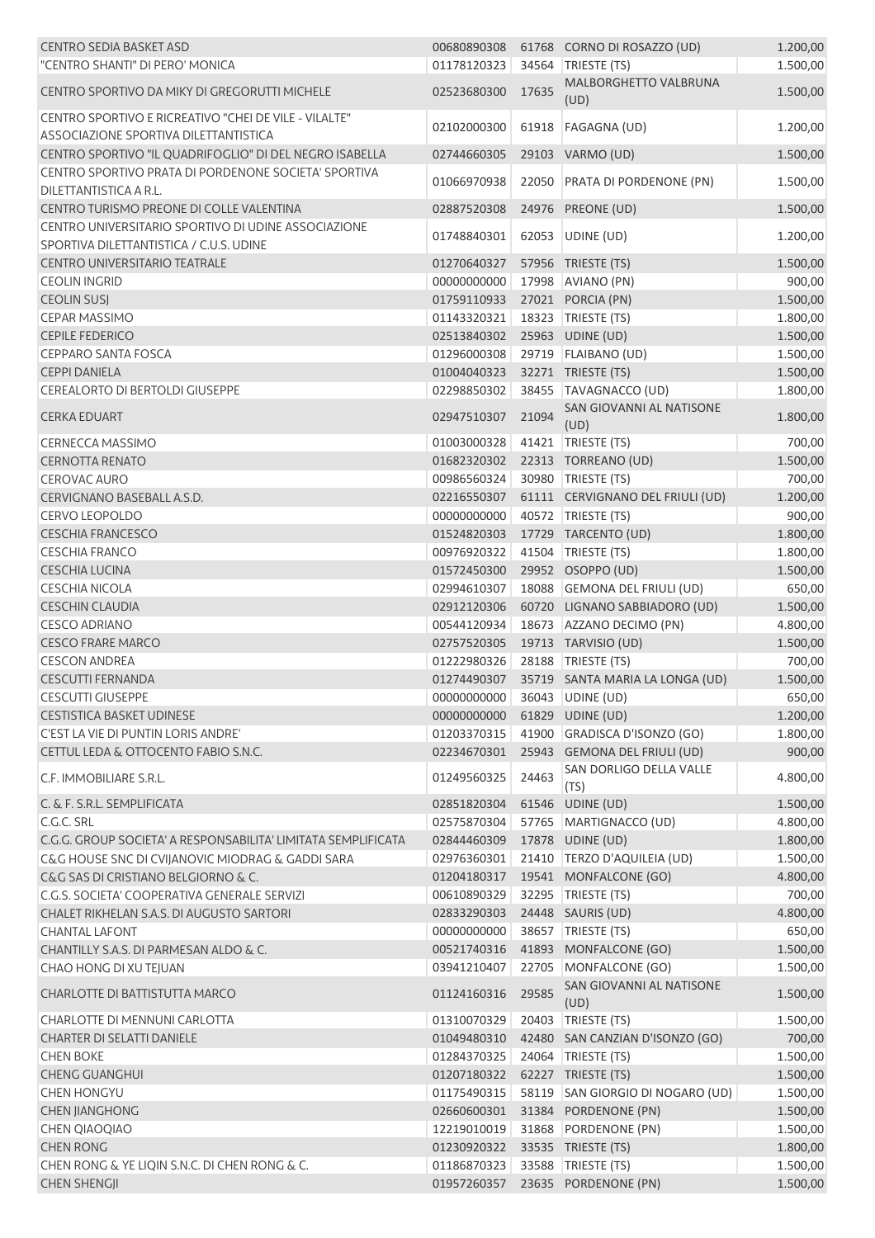| <b>CENTRO SEDIA BASKET ASD</b>                                                                 | 00680890308                  |       | 61768 CORNO DI ROSAZZO (UD)                 | 1.200,00 |
|------------------------------------------------------------------------------------------------|------------------------------|-------|---------------------------------------------|----------|
| "CENTRO SHANTI" DI PERO' MONICA                                                                | 01178120323                  | 34564 | TRIESTE (TS)                                | 1.500,00 |
| CENTRO SPORTIVO DA MIKY DI GREGORUTTI MICHELE                                                  | 02523680300                  | 17635 | MALBORGHETTO VALBRUNA<br>(UD)               | 1.500,00 |
| CENTRO SPORTIVO E RICREATIVO "CHEI DE VILE - VILALTE"<br>ASSOCIAZIONE SPORTIVA DILETTANTISTICA | 02102000300                  |       | 61918 FAGAGNA (UD)                          | 1.200,00 |
| CENTRO SPORTIVO "IL QUADRIFOGLIO" DI DEL NEGRO ISABELLA                                        | 02744660305                  |       | 29103 VARMO (UD)                            | 1.500,00 |
| CENTRO SPORTIVO PRATA DI PORDENONE SOCIETA' SPORTIVA<br>DILETTANTISTICA A R.L.                 | 01066970938                  |       | 22050 PRATA DI PORDENONE (PN)               | 1.500,00 |
| CENTRO TURISMO PREONE DI COLLE VALENTINA                                                       | 02887520308                  |       | 24976 PREONE (UD)                           | 1.500,00 |
| CENTRO UNIVERSITARIO SPORTIVO DI UDINE ASSOCIAZIONE<br>SPORTIVA DILETTANTISTICA / C.U.S. UDINE | 01748840301                  |       | 62053 UDINE (UD)                            | 1.200,00 |
| <b>CENTRO UNIVERSITARIO TEATRALE</b>                                                           | 01270640327                  |       | 57956 TRIESTE (TS)                          | 1.500,00 |
| <b>CEOLIN INGRID</b>                                                                           | 00000000000                  |       | 17998 AVIANO (PN)                           | 900,00   |
| <b>CEOLIN SUSJ</b>                                                                             | 01759110933                  |       | 27021 PORCIA (PN)                           | 1.500,00 |
| <b>CEPAR MASSIMO</b>                                                                           | 01143320321                  |       | 18323 TRIESTE (TS)                          | 1.800,00 |
| <b>CEPILE FEDERICO</b>                                                                         | 02513840302 25963 UDINE (UD) |       |                                             | 1.500,00 |
| <b>CEPPARO SANTA FOSCA</b>                                                                     | 01296000308                  |       | 29719 FLAIBANO (UD)                         | 1.500,00 |
| <b>CEPPI DANIELA</b>                                                                           | 01004040323                  |       | 32271 TRIESTE (TS)                          | 1.500,00 |
|                                                                                                |                              |       |                                             |          |
| <b>CEREALORTO DI BERTOLDI GIUSEPPE</b>                                                         | 02298850302                  |       | 38455 TAVAGNACCO (UD)                       | 1.800,00 |
| <b>CERKA EDUART</b>                                                                            | 02947510307                  | 21094 | SAN GIOVANNI AL NATISONE<br>(UD)            | 1.800,00 |
| <b>CERNECCA MASSIMO</b>                                                                        | 01003000328                  |       | 41421 TRIESTE (TS)                          | 700,00   |
| <b>CERNOTTA RENATO</b>                                                                         | 01682320302                  |       | 22313 TORREANO (UD)                         | 1.500,00 |
| <b>CEROVAC AURO</b>                                                                            | 00986560324                  |       | 30980 TRIESTE (TS)                          | 700,00   |
| CERVIGNANO BASEBALL A.S.D.                                                                     | 02216550307                  |       | 61111 CERVIGNANO DEL FRIULI (UD)            | 1.200,00 |
| <b>CERVO LEOPOLDO</b>                                                                          | 00000000000                  |       | 40572 TRIESTE (TS)                          | 900,00   |
| <b>CESCHIA FRANCESCO</b>                                                                       | 01524820303                  |       | 17729 TARCENTO (UD)                         | 1.800,00 |
| <b>CESCHIA FRANCO</b>                                                                          | 00976920322                  |       | 41504   TRIESTE (TS)                        | 1.800,00 |
| <b>CESCHIA LUCINA</b>                                                                          | 01572450300                  |       | 29952 OSOPPO (UD)                           | 1.500,00 |
| <b>CESCHIA NICOLA</b>                                                                          | 02994610307                  |       | 18088 GEMONA DEL FRIULI (UD)                | 650,00   |
| <b>CESCHIN CLAUDIA</b>                                                                         | 02912120306                  |       | 60720 LIGNANO SABBIADORO (UD)               | 1.500,00 |
| <b>CESCO ADRIANO</b>                                                                           | 00544120934                  |       | 18673 AZZANO DECIMO (PN)                    | 4.800,00 |
| <b>CESCO FRARE MARCO</b>                                                                       | 02757520305                  |       | 19713 TARVISIO (UD)                         | 1.500,00 |
| <b>CESCON ANDREA</b>                                                                           | 01222980326                  |       | 28188   TRIESTE (TS)                        | 700,00   |
| <b>CESCUTTI FERNANDA</b>                                                                       |                              |       | 01274490307 35719 SANTA MARIA LA LONGA (UD) | 1.500,00 |
| <b>CESCUTTI GIUSEPPE</b>                                                                       | 00000000000 36043 UDINE (UD) |       |                                             | 650,00   |
| <b>CESTISTICA BASKET UDINESE</b>                                                               | 00000000000                  |       | 61829 UDINE (UD)                            | 1.200,00 |
| C'EST LA VIE DI PUNTIN LORIS ANDRE'                                                            | 01203370315                  |       | 41900 GRADISCA D'ISONZO (GO)                | 1.800,00 |
|                                                                                                |                              | 25943 | <b>GEMONA DEL FRIULI (UD)</b>               |          |
| CETTUL LEDA & OTTOCENTO FABIO S.N.C.                                                           | 02234670301                  |       |                                             | 900,00   |
| C.F. IMMOBILIARE S.R.L.                                                                        | 01249560325                  | 24463 | SAN DORLIGO DELLA VALLE<br>(TS)             | 4.800,00 |
| C. & F. S.R.L. SEMPLIFICATA                                                                    | 02851820304                  |       | 61546 UDINE (UD)                            | 1.500,00 |
| C.G.C. SRL                                                                                     | 02575870304                  |       | 57765 MARTIGNACCO (UD)                      | 4.800,00 |
| C.G.G. GROUP SOCIETA' A RESPONSABILITA' LIMITATA SEMPLIFICATA                                  | 02844460309                  |       | 17878 UDINE (UD)                            | 1.800,00 |
| C&G HOUSE SNC DI CVIJANOVIC MIODRAG & GADDI SARA                                               | 02976360301                  |       | 21410   TERZO D'AQUILEIA (UD)               | 1.500,00 |
| C&G SAS DI CRISTIANO BELGIORNO & C.                                                            | 01204180317                  |       | 19541 MONFALCONE (GO)                       | 4.800,00 |
| C.G.S. SOCIETA' COOPERATIVA GENERALE SERVIZI                                                   | 00610890329                  |       | 32295 TRIESTE (TS)                          | 700,00   |
| CHALET RIKHELAN S.A.S. DI AUGUSTO SARTORI                                                      | 02833290303                  |       | 24448 SAURIS (UD)                           | 4.800,00 |
| <b>CHANTAL LAFONT</b>                                                                          | 00000000000                  | 38657 | TRIESTE (TS)                                | 650,00   |
| CHANTILLY S.A.S. DI PARMESAN ALDO & C.                                                         | 00521740316                  |       | 41893 MONFALCONE (GO)                       | 1.500,00 |
| CHAO HONG DI XU TEJUAN                                                                         | 03941210407                  |       | 22705 MONFALCONE (GO)                       | 1.500,00 |
| CHARLOTTE DI BATTISTUTTA MARCO                                                                 | 01124160316                  | 29585 | SAN GIOVANNI AL NATISONE<br>(UD)            | 1.500,00 |
| CHARLOTTE DI MENNUNI CARLOTTA                                                                  | 01310070329                  | 20403 | TRIESTE (TS)                                | 1.500,00 |
| <b>CHARTER DI SELATTI DANIELE</b>                                                              | 01049480310                  |       | 42480 SAN CANZIAN D'ISONZO (GO)             | 700,00   |
| <b>CHEN BOKE</b>                                                                               | 01284370325                  |       | 24064 TRIESTE (TS)                          | 1.500,00 |
| <b>CHENG GUANGHUI</b>                                                                          | 01207180322                  |       | 62227 TRIESTE (TS)                          | 1.500,00 |
| <b>CHEN HONGYU</b>                                                                             | 01175490315                  |       | 58119 SAN GIORGIO DI NOGARO (UD)            | 1.500,00 |
| <b>CHEN JIANGHONG</b>                                                                          | 02660600301                  |       | 31384 PORDENONE (PN)                        | 1.500,00 |
| <b>CHEN QIAOQIAO</b>                                                                           | 12219010019                  |       | 31868 PORDENONE (PN)                        | 1.500,00 |
| <b>CHEN RONG</b>                                                                               | 01230920322                  |       | 33535 TRIESTE (TS)                          | 1.800,00 |
| CHEN RONG & YE LIQIN S.N.C. DI CHEN RONG & C.                                                  | 01186870323                  |       | 33588 TRIESTE (TS)                          | 1.500,00 |
| <b>CHEN SHENGJI</b>                                                                            |                              |       | 01957260357 23635 PORDENONE (PN)            | 1.500,00 |
|                                                                                                |                              |       |                                             |          |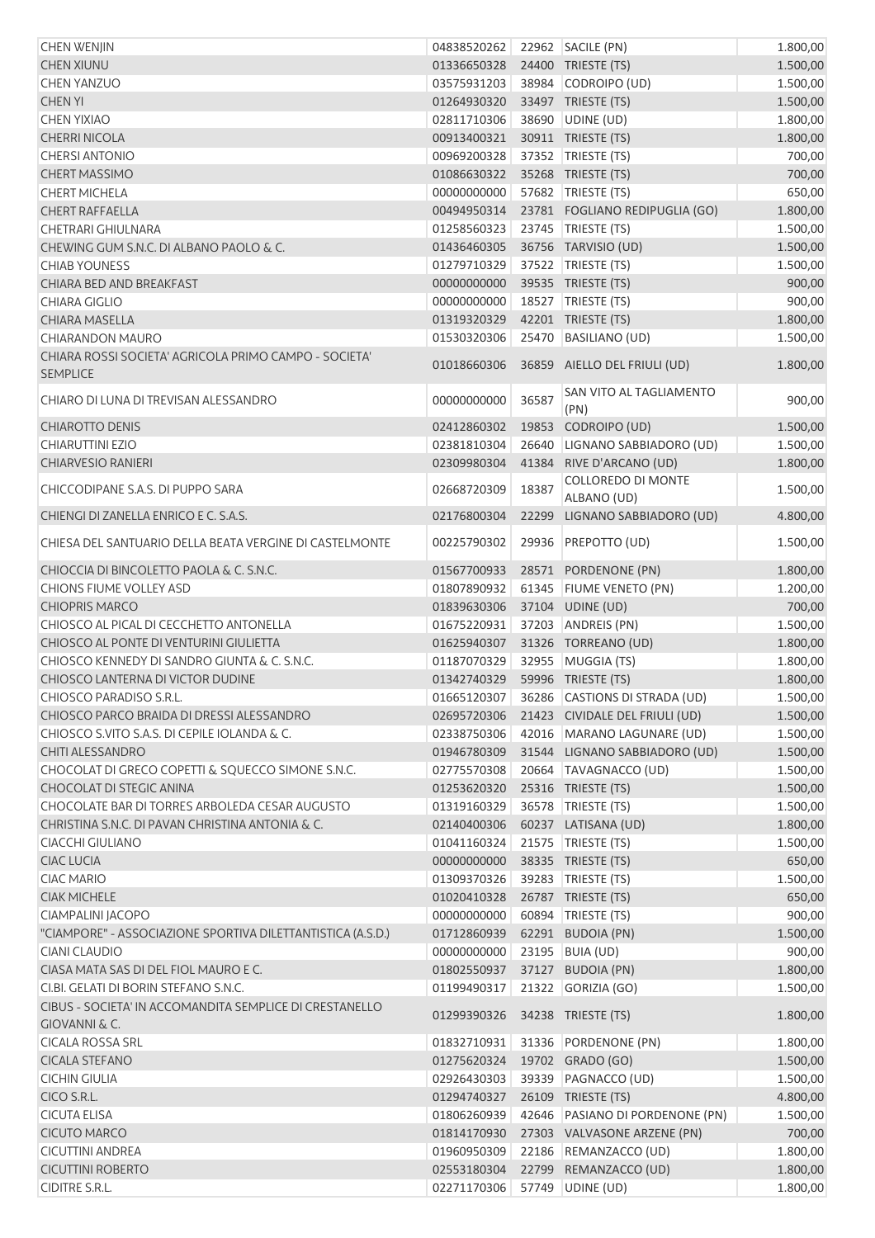| <b>CHEN WENJIN</b>                                          | 04838520262                  |       | 22962 SACILE (PN)                          | 1.800,00 |
|-------------------------------------------------------------|------------------------------|-------|--------------------------------------------|----------|
| <b>CHEN XIUNU</b>                                           | 01336650328                  |       | 24400 TRIESTE (TS)                         | 1.500,00 |
| <b>CHEN YANZUO</b>                                          | 03575931203                  |       | 38984 CODROIPO (UD)                        | 1.500,00 |
| <b>CHEN YI</b>                                              | 01264930320                  |       | 33497 TRIESTE (TS)                         | 1.500,00 |
| <b>CHEN YIXIAO</b>                                          | 02811710306                  |       | 38690 UDINE (UD)                           | 1.800,00 |
| <b>CHERRI NICOLA</b>                                        | 00913400321                  |       | 30911 TRIESTE (TS)                         | 1.800,00 |
| <b>CHERSI ANTONIO</b>                                       | 00969200328                  |       | 37352 TRIESTE (TS)                         | 700,00   |
| <b>CHERT MASSIMO</b>                                        | 01086630322                  |       | 35268 TRIESTE (TS)                         | 700,00   |
| <b>CHERT MICHELA</b>                                        | 00000000000                  |       | 57682 TRIESTE (TS)                         | 650,00   |
| <b>CHERT RAFFAELLA</b>                                      | 00494950314                  |       | 23781 FOGLIANO REDIPUGLIA (GO)             | 1.800,00 |
| CHETRARI GHIULNARA                                          | 01258560323                  |       | 23745 TRIESTE (TS)                         | 1.500,00 |
| CHEWING GUM S.N.C. DI ALBANO PAOLO & C.                     | 01436460305                  |       | 36756 TARVISIO (UD)                        | 1.500,00 |
| <b>CHIAB YOUNESS</b>                                        | 01279710329                  |       | 37522 TRIESTE (TS)                         | 1.500,00 |
| CHIARA BED AND BREAKFAST                                    | 00000000000                  |       | 39535 TRIESTE (TS)                         | 900,00   |
| <b>CHIARA GIGLIO</b>                                        | 00000000000                  |       | 18527   TRIESTE (TS)                       | 900,00   |
| <b>CHIARA MASELLA</b>                                       | 01319320329                  |       | 42201 TRIESTE (TS)                         | 1.800,00 |
| <b>CHIARANDON MAURO</b>                                     | 01530320306                  |       | 25470 BASILIANO (UD)                       | 1.500,00 |
| CHIARA ROSSI SOCIETA' AGRICOLA PRIMO CAMPO - SOCIETA'       |                              |       |                                            |          |
| <b>SEMPLICE</b>                                             | 01018660306                  |       | 36859 AIELLO DEL FRIULI (UD)               | 1.800,00 |
| CHIARO DI LUNA DI TREVISAN ALESSANDRO                       | 00000000000                  | 36587 | SAN VITO AL TAGLIAMENTO<br>(PN)            | 900,00   |
| <b>CHIAROTTO DENIS</b>                                      | 02412860302                  |       | 19853 CODROIPO (UD)                        | 1.500,00 |
| <b>CHIARUTTINI EZIO</b>                                     | 02381810304                  |       | 26640 LIGNANO SABBIADORO (UD)              | 1.500,00 |
| <b>CHIARVESIO RANIERI</b>                                   | 02309980304                  | 41384 | RIVE D'ARCANO (UD)                         | 1.800,00 |
|                                                             |                              |       | <b>COLLOREDO DI MONTE</b>                  |          |
| CHICCODIPANE S.A.S. DI PUPPO SARA                           | 02668720309                  | 18387 | ALBANO (UD)                                | 1.500,00 |
| CHIENGI DI ZANELLA ENRICO E C. S.A.S.                       | 02176800304                  | 22299 | LIGNANO SABBIADORO (UD)                    | 4.800,00 |
| CHIESA DEL SANTUARIO DELLA BEATA VERGINE DI CASTELMONTE     | 00225790302                  |       | 29936 PREPOTTO (UD)                        | 1.500,00 |
| CHIOCCIA DI BINCOLETTO PAOLA & C. S.N.C.                    | 01567700933                  |       | 28571 PORDENONE (PN)                       | 1.800,00 |
| CHIONS FIUME VOLLEY ASD                                     | 01807890932                  |       | 61345 FIUME VENETO (PN)                    | 1.200,00 |
| <b>CHIOPRIS MARCO</b>                                       | 01839630306                  |       | 37104 UDINE (UD)                           | 700,00   |
| CHIOSCO AL PICAL DI CECCHETTO ANTONELLA                     | 01675220931                  |       | 37203 ANDREIS (PN)                         | 1.500,00 |
| CHIOSCO AL PONTE DI VENTURINI GIULIETTA                     |                              |       |                                            |          |
|                                                             | 01625940307                  |       | 31326 TORREANO (UD)                        | 1.800,00 |
| CHIOSCO KENNEDY DI SANDRO GIUNTA & C. S.N.C.                | 01187070329                  |       | 32955 MUGGIA (TS)                          | 1.800,00 |
| CHIOSCO LANTERNA DI VICTOR DUDINE                           | 01342740329                  |       | 59996 TRIESTE (TS)                         | 1.800,00 |
| CHIOSCO PARADISO S.R.L.                                     |                              |       | 01665120307 36286 CASTIONS DI STRADA (UD)  | 1.500,00 |
| CHIOSCO PARCO BRAIDA DI DRESSI ALESSANDRO                   |                              |       | 02695720306 21423 CIVIDALE DEL FRIULI (UD) | 1.500,00 |
| CHIOSCO S.VITO S.A.S. DI CEPILE IOLANDA & C.                | 02338750306                  |       | 42016 MARANO LAGUNARE (UD)                 | 1.500,00 |
| <b>CHITI ALESSANDRO</b>                                     | 01946780309                  |       | 31544 LIGNANO SABBIADORO (UD)              | 1.500,00 |
| CHOCOLAT DI GRECO COPETTI & SQUECCO SIMONE S.N.C.           | 02775570308                  |       | 20664   TAVAGNACCO (UD)                    | 1.500,00 |
| CHOCOLAT DI STEGIC ANINA                                    | 01253620320                  |       | 25316 TRIESTE (TS)                         | 1.500,00 |
| CHOCOLATE BAR DI TORRES ARBOLEDA CESAR AUGUSTO              | 01319160329                  |       | 36578   TRIESTE (TS)                       | 1.500,00 |
| CHRISTINA S.N.C. DI PAVAN CHRISTINA ANTONIA & C.            | 02140400306                  |       | 60237 LATISANA (UD)                        | 1.800,00 |
| CIACCHI GIULIANO                                            | 01041160324                  |       | 21575   TRIESTE (TS)                       | 1.500,00 |
| <b>CIAC LUCIA</b>                                           | 00000000000                  |       | 38335 TRIESTE (TS)                         | 650,00   |
| <b>CIAC MARIO</b>                                           | 01309370326                  |       | 39283 TRIESTE (TS)                         | 1.500,00 |
| <b>CIAK MICHELE</b>                                         | 01020410328                  |       | 26787 TRIESTE (TS)                         | 650,00   |
| CIAMPALINI JACOPO                                           | 00000000000                  |       | 60894 TRIESTE (TS)                         | 900,00   |
| "CIAMPORE" - ASSOCIAZIONE SPORTIVA DILETTANTISTICA (A.S.D.) | 01712860939                  |       | 62291 BUDOIA (PN)                          | 1.500,00 |
| <b>CIANI CLAUDIO</b>                                        | 00000000000                  |       | 23195 BUIA (UD)                            | 900,00   |
| CIASA MATA SAS DI DEL FIOL MAURO E C.                       | 01802550937                  |       | 37127 BUDOIA (PN)                          | 1.800,00 |
| CI.BI. GELATI DI BORIN STEFANO S.N.C.                       | 01199490317                  |       | 21322 GORIZIA (GO)                         | 1.500,00 |
| CIBUS - SOCIETA' IN ACCOMANDITA SEMPLICE DI CRESTANELLO     |                              |       |                                            |          |
| <b>GIOVANNI &amp; C.</b>                                    | 01299390326                  |       | 34238 TRIESTE (TS)                         | 1.800,00 |
| <b>CICALA ROSSA SRL</b>                                     | 01832710931                  |       | 31336 PORDENONE (PN)                       | 1.800,00 |
| <b>CICALA STEFANO</b>                                       | 01275620324                  |       | 19702 GRADO (GO)                           | 1.500,00 |
| <b>CICHIN GIULIA</b>                                        | 02926430303                  |       | 39339 PAGNACCO (UD)                        | 1.500,00 |
| CICO S.R.L.                                                 | 01294740327                  |       | 26109 TRIESTE (TS)                         | 4.800,00 |
| <b>CICUTA ELISA</b>                                         | 01806260939                  |       | 42646 PASIANO DI PORDENONE (PN)            | 1.500,00 |
| <b>CICUTO MARCO</b>                                         | 01814170930                  |       | 27303 VALVASONE ARZENE (PN)                | 700,00   |
| CICUTTINI ANDREA                                            | 01960950309                  |       | 22186 REMANZACCO (UD)                      | 1.800,00 |
| <b>CICUTTINI ROBERTO</b>                                    | 02553180304                  |       | 22799 REMANZACCO (UD)                      | 1.800,00 |
| <b>CIDITRE S.R.L.</b>                                       | 02271170306 57749 UDINE (UD) |       |                                            | 1.800,00 |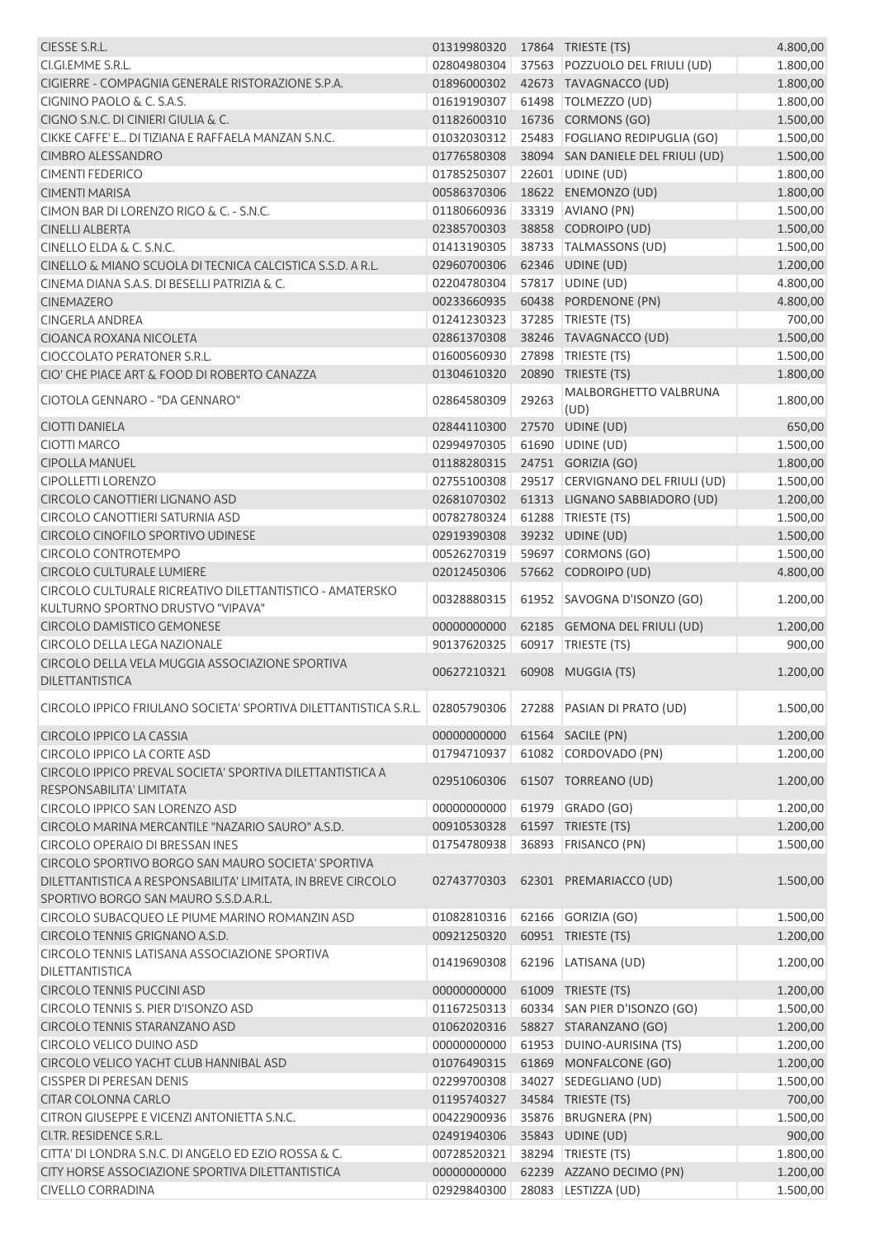| CIESSE S.R.L.                                                    | 01319980320 |       | 17864 TRIESTE (TS)                | 4.800,00 |
|------------------------------------------------------------------|-------------|-------|-----------------------------------|----------|
| CI.GI.EMME S.R.L.                                                | 02804980304 |       | 37563 POZZUOLO DEL FRIULI (UD)    | 1.800,00 |
| CIGIERRE - COMPAGNIA GENERALE RISTORAZIONE S.P.A.                | 01896000302 |       | 42673 TAVAGNACCO (UD)             | 1.800,00 |
| CIGNINO PAOLO & C. S.A.S.                                        | 01619190307 |       | 61498   TOLMEZZO (UD)             | 1.800,00 |
| CIGNO S.N.C. DI CINIERI GIULIA & C.                              | 01182600310 |       | 16736 CORMONS (GO)                | 1.500,00 |
| CIKKE CAFFE' E DI TIZIANA E RAFFAELA MANZAN S.N.C.               | 01032030312 |       | 25483 FOGLIANO REDIPUGLIA (GO)    | 1.500,00 |
| <b>CIMBRO ALESSANDRO</b>                                         | 01776580308 |       | 38094 SAN DANIELE DEL FRIULI (UD) | 1.500,00 |
| <b>CIMENTI FEDERICO</b>                                          | 01785250307 |       | 22601 UDINE (UD)                  | 1.800,00 |
| <b>CIMENTI MARISA</b>                                            | 00586370306 |       | 18622 ENEMONZO (UD)               | 1.800,00 |
| CIMON BAR DI LORENZO RIGO & C. - S.N.C.                          | 01180660936 |       | 33319 AVIANO (PN)                 | 1.500,00 |
| <b>CINELLI ALBERTA</b>                                           | 02385700303 |       | 38858 CODROIPO (UD)               | 1.500,00 |
| CINELLO ELDA & C. S.N.C.                                         | 01413190305 |       | 38733 TALMASSONS (UD)             | 1.500,00 |
| CINELLO & MIANO SCUOLA DI TECNICA CALCISTICA S.S.D. A R.L.       | 02960700306 |       | 62346 UDINE (UD)                  | 1.200,00 |
| CINEMA DIANA S.A.S. DI BESELLI PATRIZIA & C.                     | 02204780304 |       | 57817 UDINE (UD)                  | 4.800,00 |
| <b>CINEMAZERO</b>                                                | 00233660935 |       | 60438 PORDENONE (PN)              | 4.800,00 |
| <b>CINGERLA ANDREA</b>                                           | 01241230323 |       | 37285   TRIESTE (TS)              | 700,00   |
| CIOANCA ROXANA NICOLETA                                          | 02861370308 |       | 38246 TAVAGNACCO (UD)             | 1.500,00 |
| CIOCCOLATO PERATONER S.R.L.                                      | 01600560930 |       | 27898   TRIESTE (TS)              | 1.500,00 |
| CIO' CHE PIACE ART & FOOD DI ROBERTO CANAZZA                     | 01304610320 |       | 20890 TRIESTE (TS)                | 1.800,00 |
| CIOTOLA GENNARO - "DA GENNARO"                                   | 02864580309 | 29263 | MALBORGHETTO VALBRUNA             | 1.800,00 |
|                                                                  |             |       | (UD)                              |          |
| <b>CIOTTI DANIELA</b>                                            | 02844110300 |       | 27570 UDINE (UD)                  | 650,00   |
| CIOTTI MARCO                                                     | 02994970305 |       | 61690 UDINE (UD)                  | 1.500,00 |
| <b>CIPOLLA MANUEL</b>                                            | 01188280315 |       | 24751 GORIZIA (GO)                | 1.800,00 |
| <b>CIPOLLETTI LORENZO</b>                                        | 02755100308 |       | 29517 CERVIGNANO DEL FRIULI (UD)  | 1.500,00 |
| CIRCOLO CANOTTIERI LIGNANO ASD                                   | 02681070302 |       | 61313 LIGNANO SABBIADORO (UD)     | 1.200,00 |
| CIRCOLO CANOTTIERI SATURNIA ASD                                  | 00782780324 |       | 61288 TRIESTE (TS)                | 1.500,00 |
| CIRCOLO CINOFILO SPORTIVO UDINESE                                | 02919390308 |       | 39232 UDINE (UD)                  | 1.500,00 |
| <b>CIRCOLO CONTROTEMPO</b>                                       | 00526270319 |       | 59697 CORMONS (GO)                | 1.500,00 |
| <b>CIRCOLO CULTURALE LUMIERE</b>                                 | 02012450306 |       | 57662 CODROIPO (UD)               | 4.800,00 |
| CIRCOLO CULTURALE RICREATIVO DILETTANTISTICO - AMATERSKO         | 00328880315 |       | 61952 SAVOGNA D'ISONZO (GO)       | 1.200,00 |
| KULTURNO SPORTNO DRUSTVO "VIPAVA"                                |             |       |                                   |          |
| <b>CIRCOLO DAMISTICO GEMONESE</b>                                | 00000000000 |       | 62185 GEMONA DEL FRIULI (UD)      | 1.200,00 |
| <b>CIRCOLO DELLA LEGA NAZIONALE</b>                              | 90137620325 |       | 60917   TRIESTE (TS)              | 900,00   |
| CIRCOLO DELLA VELA MUGGIA ASSOCIAZIONE SPORTIVA                  | 00627210321 |       | 60908 MUGGIA (TS)                 | 1.200,00 |
| <b>DILETTANTISTICA</b>                                           |             |       |                                   |          |
| CIRCOLO IPPICO FRIULANO SOCIETA' SPORTIVA DILETTANTISTICA S.R.L. | 02805790306 |       | 27288 PASIAN DI PRATO (UD)        | 1.500,00 |
|                                                                  |             |       |                                   |          |
| CIRCOLO IPPICO LA CASSIA                                         | 00000000000 |       | 61564 SACILE (PN)                 | 1.200,00 |
| <b>CIRCOLO IPPICO LA CORTE ASD</b>                               | 01794710937 |       | 61082 CORDOVADO (PN)              | 1.200,00 |
| CIRCOLO IPPICO PREVAL SOCIETA' SPORTIVA DILETTANTISTICA A        | 02951060306 |       | 61507 TORREANO (UD)               | 1.200,00 |
| RESPONSABILITA' LIMITATA                                         |             |       |                                   |          |
| CIRCOLO IPPICO SAN LORENZO ASD                                   | 00000000000 |       | 61979 GRADO (GO)                  | 1.200,00 |
| CIRCOLO MARINA MERCANTILE "NAZARIO SAURO" A.S.D.                 | 00910530328 |       | 61597 TRIESTE (TS)                | 1.200,00 |
| <b>CIRCOLO OPERAIO DI BRESSAN INES</b>                           | 01754780938 |       | 36893 FRISANCO (PN)               | 1.500,00 |
| CIRCOLO SPORTIVO BORGO SAN MAURO SOCIETA' SPORTIVA               |             |       |                                   |          |
| DILETTANTISTICA A RESPONSABILITA' LIMITATA, IN BREVE CIRCOLO     | 02743770303 |       | 62301 PREMARIACCO (UD)            | 1.500,00 |
| SPORTIVO BORGO SAN MAURO S.S.D.A.R.L.                            |             |       |                                   |          |
| CIRCOLO SUBACQUEO LE PIUME MARINO ROMANZIN ASD                   | 01082810316 |       | 62166 GORIZIA (GO)                | 1.500,00 |
| CIRCOLO TENNIS GRIGNANO A.S.D.                                   | 00921250320 |       | 60951 TRIESTE (TS)                | 1.200,00 |
| CIRCOLO TENNIS LATISANA ASSOCIAZIONE SPORTIVA                    | 01419690308 | 62196 | LATISANA (UD)                     | 1.200,00 |
| DILETTANTISTICA                                                  |             |       |                                   |          |
| <b>CIRCOLO TENNIS PUCCINI ASD</b>                                | 00000000000 |       | 61009 TRIESTE (TS)                | 1.200,00 |
| CIRCOLO TENNIS S. PIER D'ISONZO ASD                              | 01167250313 |       | 60334 SAN PIER D'ISONZO (GO)      | 1.500,00 |
| CIRCOLO TENNIS STARANZANO ASD                                    | 01062020316 |       | 58827 STARANZANO (GO)             | 1.200,00 |
| CIRCOLO VELICO DUINO ASD                                         | 00000000000 |       | 61953 DUINO-AURISINA (TS)         | 1.200,00 |
| CIRCOLO VELICO YACHT CLUB HANNIBAL ASD                           | 01076490315 |       | 61869 MONFALCONE (GO)             | 1.200,00 |
| <b>CISSPER DI PERESAN DENIS</b>                                  | 02299700308 |       | 34027 SEDEGLIANO (UD)             | 1.500,00 |
| <b>CITAR COLONNA CARLO</b>                                       | 01195740327 |       | 34584 TRIESTE (TS)                | 700,00   |
| CITRON GIUSEPPE E VICENZI ANTONIETTA S.N.C.                      | 00422900936 |       | 35876 BRUGNERA (PN)               | 1.500,00 |
| CI.TR. RESIDENCE S.R.L.                                          | 02491940306 |       | 35843 UDINE (UD)                  | 900,00   |
| CITTA' DI LONDRA S.N.C. DI ANGELO ED EZIO ROSSA & C.             | 00728520321 |       | 38294 TRIESTE (TS)                | 1.800,00 |
| CITY HORSE ASSOCIAZIONE SPORTIVA DILETTANTISTICA                 | 00000000000 |       | 62239 AZZANO DECIMO (PN)          | 1.200,00 |
| <b>CIVELLO CORRADINA</b>                                         | 02929840300 |       | 28083 LESTIZZA (UD)               | 1.500,00 |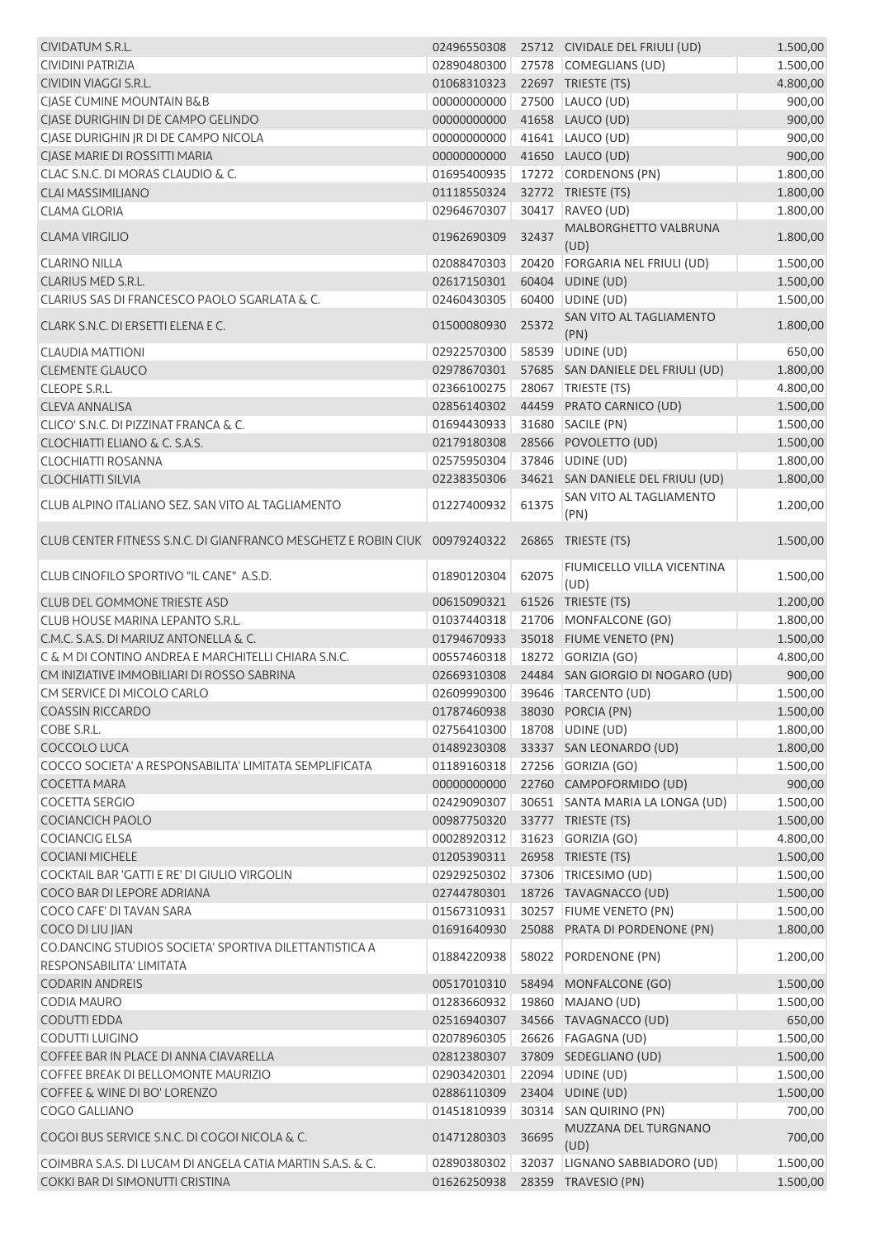| CIVIDATUM S.R.L.                                                           | 02496550308 |       | 25712 CIVIDALE DEL FRIULI (UD)     | 1.500,00 |
|----------------------------------------------------------------------------|-------------|-------|------------------------------------|----------|
| <b>CIVIDINI PATRIZIA</b>                                                   | 02890480300 |       | 27578 COMEGLIANS (UD)              | 1.500,00 |
| CIVIDIN VIAGGI S.R.L.                                                      | 01068310323 |       | 22697 TRIESTE (TS)                 | 4.800,00 |
| CIASE CUMINE MOUNTAIN B&B                                                  | 00000000000 |       | 27500 LAUCO (UD)                   | 900,00   |
| CJASE DURIGHIN DI DE CAMPO GELINDO                                         | 00000000000 |       | 41658 LAUCO (UD)                   | 900,00   |
| CJASE DURIGHIN JR DI DE CAMPO NICOLA                                       | 00000000000 |       | 41641 LAUCO (UD)                   | 900,00   |
| CJASE MARIE DI ROSSITTI MARIA                                              | 00000000000 |       | 41650 LAUCO (UD)                   | 900,00   |
| CLAC S.N.C. DI MORAS CLAUDIO & C.                                          | 01695400935 |       | 17272 CORDENONS (PN)               | 1.800,00 |
| <b>CLAI MASSIMILIANO</b>                                                   |             |       |                                    | 1.800,00 |
|                                                                            | 01118550324 |       | 32772 TRIESTE (TS)                 |          |
| <b>CLAMA GLORIA</b>                                                        | 02964670307 | 30417 | RAVEO (UD)                         | 1.800,00 |
| <b>CLAMA VIRGILIO</b>                                                      | 01962690309 | 32437 | MALBORGHETTO VALBRUNA<br>(UD)      | 1.800,00 |
| <b>CLARINO NILLA</b>                                                       | 02088470303 |       | 20420 FORGARIA NEL FRIULI (UD)     | 1.500,00 |
| CLARIUS MED S.R.L.                                                         | 02617150301 |       | 60404 UDINE (UD)                   | 1.500,00 |
| CLARIUS SAS DI FRANCESCO PAOLO SGARLATA & C.                               | 02460430305 |       | 60400 UDINE (UD)                   | 1.500,00 |
| CLARK S.N.C. DI ERSETTI ELENA E C.                                         | 01500080930 | 25372 | SAN VITO AL TAGLIAMENTO            | 1.800,00 |
|                                                                            |             |       | (PN)                               |          |
| <b>CLAUDIA MATTIONI</b>                                                    | 02922570300 |       | 58539 UDINE (UD)                   | 650,00   |
| <b>CLEMENTE GLAUCO</b>                                                     | 02978670301 |       | 57685 SAN DANIELE DEL FRIULI (UD)  | 1.800,00 |
| <b>CLEOPE S.R.L.</b>                                                       | 02366100275 |       | 28067 TRIESTE (TS)                 | 4.800,00 |
| <b>CLEVA ANNALISA</b>                                                      | 02856140302 |       | 44459 PRATO CARNICO (UD)           | 1.500,00 |
| CLICO' S.N.C. DI PIZZINAT FRANCA & C.                                      | 01694430933 |       | 31680 SACILE (PN)                  | 1.500,00 |
| CLOCHIATTI ELIANO & C. S.A.S.                                              | 02179180308 |       | 28566 POVOLETTO (UD)               | 1.500,00 |
| <b>CLOCHIATTI ROSANNA</b>                                                  | 02575950304 |       | 37846 UDINE (UD)                   | 1.800,00 |
| <b>CLOCHIATTI SILVIA</b>                                                   | 02238350306 |       | 34621 SAN DANIELE DEL FRIULI (UD)  | 1.800,00 |
|                                                                            |             |       | SAN VITO AL TAGLIAMENTO            |          |
| CLUB ALPINO ITALIANO SEZ. SAN VITO AL TAGLIAMENTO                          | 01227400932 | 61375 | (PN)                               | 1.200,00 |
| CLUB CENTER FITNESS S.N.C. DI GIANFRANCO MESGHETZ E ROBIN CIUK 00979240322 |             |       | 26865 TRIESTE (TS)                 | 1.500,00 |
| CLUB CINOFILO SPORTIVO "IL CANE" A.S.D.                                    | 01890120304 | 62075 | FIUMICELLO VILLA VICENTINA<br>(UD) | 1.500,00 |
| <b>CLUB DEL GOMMONE TRIESTE ASD</b>                                        | 00615090321 |       | 61526 TRIESTE (TS)                 | 1.200,00 |
| CLUB HOUSE MARINA LEPANTO S.R.L.                                           | 01037440318 |       | 21706 MONFALCONE (GO)              | 1.800,00 |
| C.M.C. S.A.S. DI MARIUZ ANTONELLA & C.                                     | 01794670933 |       | 35018 FIUME VENETO (PN)            | 1.500,00 |
| C & M DI CONTINO ANDREA E MARCHITELLI CHIARA S.N.C.                        | 00557460318 |       | 18272 GORIZIA (GO)                 | 4.800,00 |
| CM INIZIATIVE IMMOBILIARI DI ROSSO SABRINA                                 | 02669310308 |       | 24484 SAN GIORGIO DI NOGARO (UD)   | 900,00   |
|                                                                            |             |       |                                    |          |
| CM SERVICE DI MICOLO CARLO                                                 | 02609990300 |       | 39646 TARCENTO (UD)                | 1.500,00 |
| <b>COASSIN RICCARDO</b>                                                    | 01787460938 |       | 38030 PORCIA (PN)                  | 1.500,00 |
| COBE S.R.L.                                                                | 02756410300 |       | 18708 UDINE (UD)                   | 1.800,00 |
| COCCOLO LUCA                                                               | 01489230308 |       | 33337 SAN LEONARDO (UD)            | 1.800,00 |
| COCCO SOCIETA' A RESPONSABILITA' LIMITATA SEMPLIFICATA                     | 01189160318 |       | 27256 GORIZIA (GO)                 | 1.500,00 |
| <b>COCETTA MARA</b>                                                        | 00000000000 |       | 22760 CAMPOFORMIDO (UD)            | 900,00   |
| <b>COCETTA SERGIO</b>                                                      | 02429090307 |       | 30651 SANTA MARIA LA LONGA (UD)    | 1.500,00 |
| <b>COCIANCICH PAOLO</b>                                                    | 00987750320 |       | 33777 TRIESTE (TS)                 | 1.500,00 |
| <b>COCIANCIG ELSA</b>                                                      | 00028920312 |       | 31623 GORIZIA (GO)                 | 4.800,00 |
| <b>COCIANI MICHELE</b>                                                     | 01205390311 |       | 26958 TRIESTE (TS)                 | 1.500,00 |
| COCKTAIL BAR 'GATTI E RE' DI GIULIO VIRGOLIN                               | 02929250302 | 37306 | TRICESIMO (UD)                     | 1.500,00 |
| COCO BAR DI LEPORE ADRIANA                                                 | 02744780301 |       | 18726 TAVAGNACCO (UD)              | 1.500,00 |
|                                                                            |             |       |                                    |          |
| COCO CAFE' DI TAVAN SARA                                                   | 01567310931 |       | 30257 FIUME VENETO (PN)            | 1.500,00 |
| COCO DI LIU JIAN                                                           | 01691640930 |       | 25088 PRATA DI PORDENONE (PN)      | 1.800,00 |
| CO.DANCING STUDIOS SOCIETA' SPORTIVA DILETTANTISTICA A                     | 01884220938 | 58022 | PORDENONE (PN)                     | 1.200,00 |
| RESPONSABILITA' LIMITATA                                                   |             |       |                                    |          |
| <b>CODARIN ANDREIS</b>                                                     | 00517010310 |       | 58494 MONFALCONE (GO)              | 1.500,00 |
| <b>CODIA MAURO</b>                                                         | 01283660932 |       | 19860 MAJANO (UD)                  | 1.500,00 |
| CODUTTI EDDA                                                               | 02516940307 |       | 34566 TAVAGNACCO (UD)              | 650,00   |
| CODUTTI LUIGINO                                                            | 02078960305 |       | 26626   FAGAGNA (UD)               | 1.500,00 |
| COFFEE BAR IN PLACE DI ANNA CIAVARELLA                                     | 02812380307 |       | 37809 SEDEGLIANO (UD)              | 1.500,00 |
| COFFEE BREAK DI BELLOMONTE MAURIZIO                                        | 02903420301 |       | 22094 UDINE (UD)                   | 1.500,00 |
| <b>COFFEE &amp; WINE DI BO' LORENZO</b>                                    | 02886110309 |       | 23404 UDINE (UD)                   | 1.500,00 |
| COGO GALLIANO                                                              | 01451810939 |       | 30314 SAN QUIRINO (PN)             | 700,00   |
| COGOI BUS SERVICE S.N.C. DI COGOI NICOLA & C.                              | 01471280303 | 36695 | MUZZANA DEL TURGNANO               | 700,00   |
|                                                                            |             |       | (UD)                               |          |
| COIMBRA S.A.S. DI LUCAM DI ANGELA CATIA MARTIN S.A.S. & C.                 | 02890380302 |       | 32037 LIGNANO SABBIADORO (UD)      | 1.500,00 |
| COKKI BAR DI SIMONUTTI CRISTINA                                            | 01626250938 |       | 28359 TRAVESIO (PN)                | 1.500,00 |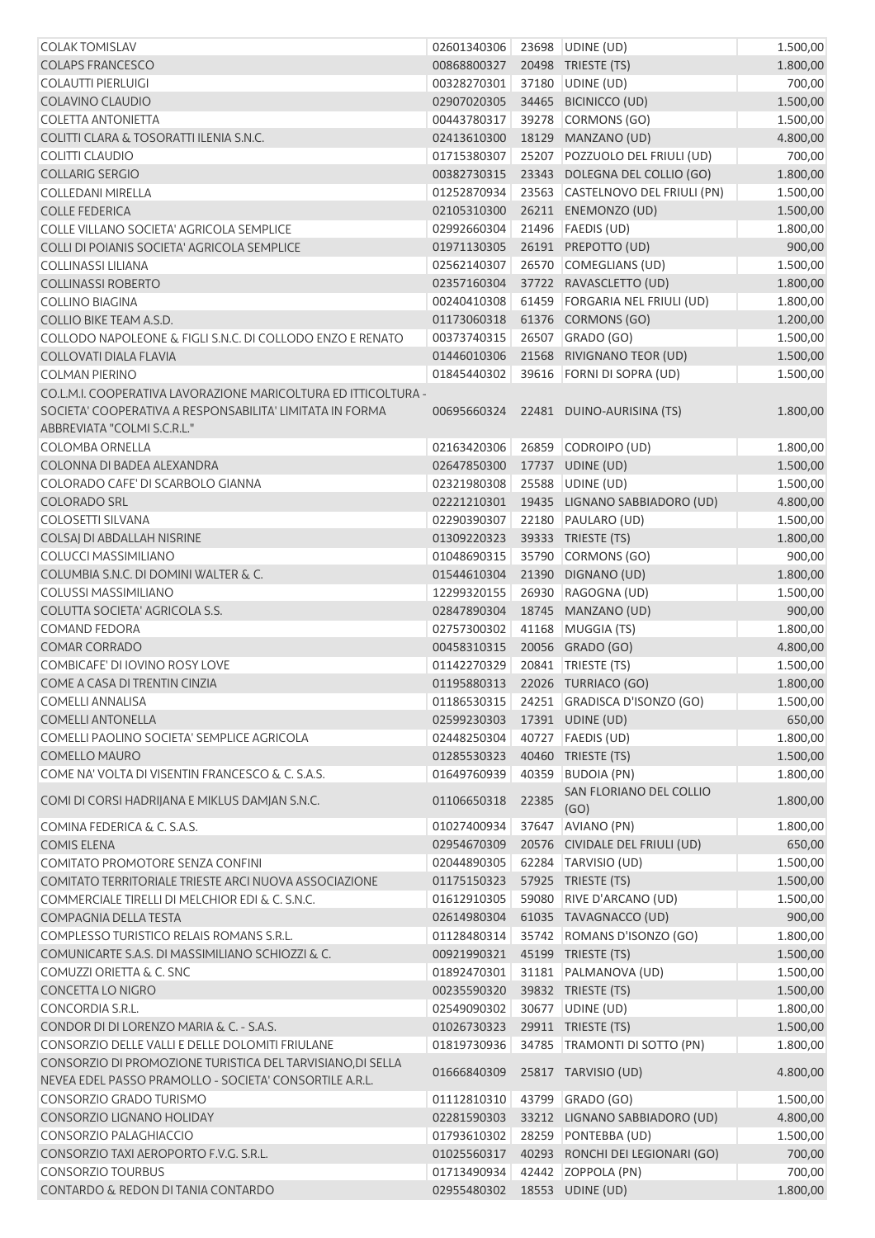| <b>COLAK TOMISLAV</b>                                                                                                                                     | 02601340306 23698 UDINE (UD) |       |                                  | 1.500,00 |
|-----------------------------------------------------------------------------------------------------------------------------------------------------------|------------------------------|-------|----------------------------------|----------|
| <b>COLAPS FRANCESCO</b>                                                                                                                                   | 00868800327                  |       | 20498 TRIESTE (TS)               | 1.800,00 |
| <b>COLAUTTI PIERLUIGI</b>                                                                                                                                 | 00328270301                  |       | 37180 UDINE (UD)                 | 700,00   |
| COLAVINO CLAUDIO                                                                                                                                          | 02907020305                  |       | 34465 BICINICCO (UD)             | 1.500,00 |
| <b>COLETTA ANTONIETTA</b>                                                                                                                                 | 00443780317                  |       | 39278 CORMONS (GO)               | 1.500,00 |
| COLITTI CLARA & TOSORATTI ILENIA S.N.C.                                                                                                                   | 02413610300                  |       | 18129 MANZANO (UD)               | 4.800,00 |
| <b>COLITTI CLAUDIO</b>                                                                                                                                    | 01715380307                  | 25207 | POZZUOLO DEL FRIULI (UD)         | 700,00   |
| <b>COLLARIG SERGIO</b>                                                                                                                                    | 00382730315                  |       | 23343 DOLEGNA DEL COLLIO (GO)    | 1.800,00 |
| <b>COLLEDANI MIRELLA</b>                                                                                                                                  | 01252870934                  |       | 23563 CASTELNOVO DEL FRIULI (PN) | 1.500,00 |
| <b>COLLE FEDERICA</b>                                                                                                                                     | 02105310300                  |       | 26211 ENEMONZO (UD)              | 1.500,00 |
| COLLE VILLANO SOCIETA' AGRICOLA SEMPLICE                                                                                                                  | 02992660304                  |       | 21496   FAEDIS (UD)              | 1.800,00 |
| COLLI DI POIANIS SOCIETA' AGRICOLA SEMPLICE                                                                                                               | 01971130305                  |       | 26191 PREPOTTO (UD)              | 900,00   |
| COLLINASSI LILIANA                                                                                                                                        | 02562140307                  |       | 26570 COMEGLIANS (UD)            | 1.500,00 |
| <b>COLLINASSI ROBERTO</b>                                                                                                                                 | 02357160304                  |       | 37722 RAVASCLETTO (UD)           | 1.800,00 |
| <b>COLLINO BIAGINA</b>                                                                                                                                    | 00240410308                  |       | 61459 FORGARIA NEL FRIULI (UD)   | 1.800,00 |
| COLLIO BIKE TEAM A.S.D.                                                                                                                                   | 01173060318                  |       | 61376 CORMONS (GO)               | 1.200,00 |
| COLLODO NAPOLEONE & FIGLI S.N.C. DI COLLODO ENZO E RENATO                                                                                                 | 00373740315                  |       | 26507 GRADO (GO)                 | 1.500,00 |
| <b>COLLOVATI DIALA FLAVIA</b>                                                                                                                             | 01446010306                  |       | 21568 RIVIGNANO TEOR (UD)        | 1.500,00 |
| <b>COLMAN PIERINO</b>                                                                                                                                     | 01845440302                  |       | 39616 FORNI DI SOPRA (UD)        | 1.500,00 |
| CO.L.M.I. COOPERATIVA LAVORAZIONE MARICOLTURA ED ITTICOLTURA -<br>SOCIETA' COOPERATIVA A RESPONSABILITA' LIMITATA IN FORMA<br>ABBREVIATA "COLMI S.C.R.L." | 00695660324                  |       | 22481 DUINO-AURISINA (TS)        | 1.800,00 |
| <b>COLOMBA ORNELLA</b>                                                                                                                                    | 02163420306                  |       | 26859 CODROIPO (UD)              | 1.800,00 |
| COLONNA DI BADEA ALEXANDRA                                                                                                                                | 02647850300                  |       | 17737 UDINE (UD)                 | 1.500,00 |
| COLORADO CAFE' DI SCARBOLO GIANNA                                                                                                                         | 02321980308                  |       | 25588 UDINE (UD)                 | 1.500,00 |
| <b>COLORADO SRL</b>                                                                                                                                       | 02221210301                  |       | 19435 LIGNANO SABBIADORO (UD)    | 4.800,00 |
| <b>COLOSETTI SILVANA</b>                                                                                                                                  | 02290390307                  |       | 22180 PAULARO (UD)               | 1.500,00 |
| COLSAJ DI ABDALLAH NISRINE                                                                                                                                | 01309220323                  |       | 39333 TRIESTE (TS)               | 1.800,00 |
| <b>COLUCCI MASSIMILIANO</b>                                                                                                                               | 01048690315                  |       | 35790 CORMONS (GO)               | 900,00   |
| COLUMBIA S.N.C. DI DOMINI WALTER & C.                                                                                                                     | 01544610304                  |       | 21390 DIGNANO (UD)               | 1.800,00 |
| <b>COLUSSI MASSIMILIANO</b>                                                                                                                               | 12299320155                  |       | 26930 RAGOGNA (UD)               | 1.500,00 |
| COLUTTA SOCIETA' AGRICOLA S.S.                                                                                                                            | 02847890304                  |       | 18745 MANZANO (UD)               | 900,00   |
| <b>COMAND FEDORA</b>                                                                                                                                      | 02757300302                  |       | 41168 MUGGIA (TS)                | 1.800,00 |
| <b>COMAR CORRADO</b>                                                                                                                                      | 00458310315                  |       | 20056 GRADO (GO)                 | 4.800,00 |
| COMBICAFE' DI IOVINO ROSY LOVE                                                                                                                            | 01142270329                  |       | 20841   TRIESTE (TS)             | 1.500,00 |
| COME A CASA DI TRENTIN CINZIA                                                                                                                             | 01195880313                  |       | 22026 TURRIACO (GO)              | 1.800,00 |
| <b>COMELLI ANNALISA</b>                                                                                                                                   | 01186530315                  |       | 24251 GRADISCA D'ISONZO (GO)     | 1.500,00 |
| <b>COMELLI ANTONELLA</b>                                                                                                                                  | 02599230303                  |       | 17391 UDINE (UD)                 | 650,00   |
| COMELLI PAOLINO SOCIETA' SEMPLICE AGRICOLA                                                                                                                | 02448250304                  |       | 40727   FAEDIS (UD)              | 1.800,00 |
| <b>COMELLO MAURO</b>                                                                                                                                      | 01285530323                  |       | 40460 TRIESTE (TS)               | 1.500,00 |
| COME NA' VOLTA DI VISENTIN FRANCESCO & C. S.A.S.                                                                                                          | 01649760939                  | 40359 | <b>BUDOIA (PN)</b>               | 1.800,00 |
| COMI DI CORSI HADRIJANA E MIKLUS DAMJAN S.N.C.                                                                                                            | 01106650318                  | 22385 | SAN FLORIANO DEL COLLIO<br>(GO)  | 1.800,00 |
| COMINA FEDERICA & C. S.A.S.                                                                                                                               | 01027400934                  | 37647 | AVIANO (PN)                      | 1.800,00 |
| <b>COMIS ELENA</b>                                                                                                                                        | 02954670309                  |       | 20576 CIVIDALE DEL FRIULI (UD)   | 650,00   |
| COMITATO PROMOTORE SENZA CONFINI                                                                                                                          | 02044890305                  |       | 62284 TARVISIO (UD)              | 1.500,00 |
| COMITATO TERRITORIALE TRIESTE ARCI NUOVA ASSOCIAZIONE                                                                                                     | 01175150323                  |       | 57925 TRIESTE (TS)               | 1.500,00 |
| COMMERCIALE TIRELLI DI MELCHIOR EDI & C. S.N.C.                                                                                                           | 01612910305                  |       | 59080 RIVE D'ARCANO (UD)         | 1.500,00 |
| COMPAGNIA DELLA TESTA                                                                                                                                     | 02614980304                  |       | 61035 TAVAGNACCO (UD)            | 900,00   |
| COMPLESSO TURISTICO RELAIS ROMANS S.R.L.                                                                                                                  | 01128480314                  |       | 35742 ROMANS D'ISONZO (GO)       | 1.800,00 |
| COMUNICARTE S.A.S. DI MASSIMILIANO SCHIOZZI & C.                                                                                                          | 00921990321                  |       | 45199 TRIESTE (TS)               | 1.500,00 |
| COMUZZI ORIETTA & C. SNC                                                                                                                                  | 01892470301                  |       | 31181   PALMANOVA (UD)           | 1.500,00 |
| CONCETTA LO NIGRO                                                                                                                                         | 00235590320                  |       | 39832 TRIESTE (TS)               | 1.500,00 |
| CONCORDIA S.R.L.                                                                                                                                          | 02549090302                  |       | 30677 UDINE (UD)                 | 1.800,00 |
| CONDOR DI DI LORENZO MARIA & C. - S.A.S.                                                                                                                  | 01026730323                  |       | 29911 TRIESTE (TS)               | 1.500,00 |
| CONSORZIO DELLE VALLI E DELLE DOLOMITI FRIULANE                                                                                                           | 01819730936                  |       | 34785 TRAMONTI DI SOTTO (PN)     | 1.800,00 |
| CONSORZIO DI PROMOZIONE TURISTICA DEL TARVISIANO, DI SELLA<br>NEVEA EDEL PASSO PRAMOLLO - SOCIETA' CONSORTILE A.R.L.                                      | 01666840309                  |       | 25817 TARVISIO (UD)              | 4.800,00 |
| CONSORZIO GRADO TURISMO                                                                                                                                   | 01112810310                  |       | 43799 GRADO (GO)                 | 1.500,00 |
| CONSORZIO LIGNANO HOLIDAY                                                                                                                                 | 02281590303                  |       | 33212 LIGNANO SABBIADORO (UD)    | 4.800,00 |
| CONSORZIO PALAGHIACCIO                                                                                                                                    | 01793610302                  |       | 28259 PONTEBBA (UD)              | 1.500,00 |
| CONSORZIO TAXI AEROPORTO F.V.G. S.R.L.                                                                                                                    | 01025560317                  |       | 40293 RONCHI DEI LEGIONARI (GO)  | 700,00   |
| <b>CONSORZIO TOURBUS</b>                                                                                                                                  | 01713490934                  |       | 42442 ZOPPOLA (PN)               | 700,00   |
| CONTARDO & REDON DI TANIA CONTARDO                                                                                                                        | 02955480302                  |       | 18553 UDINE (UD)                 | 1.800,00 |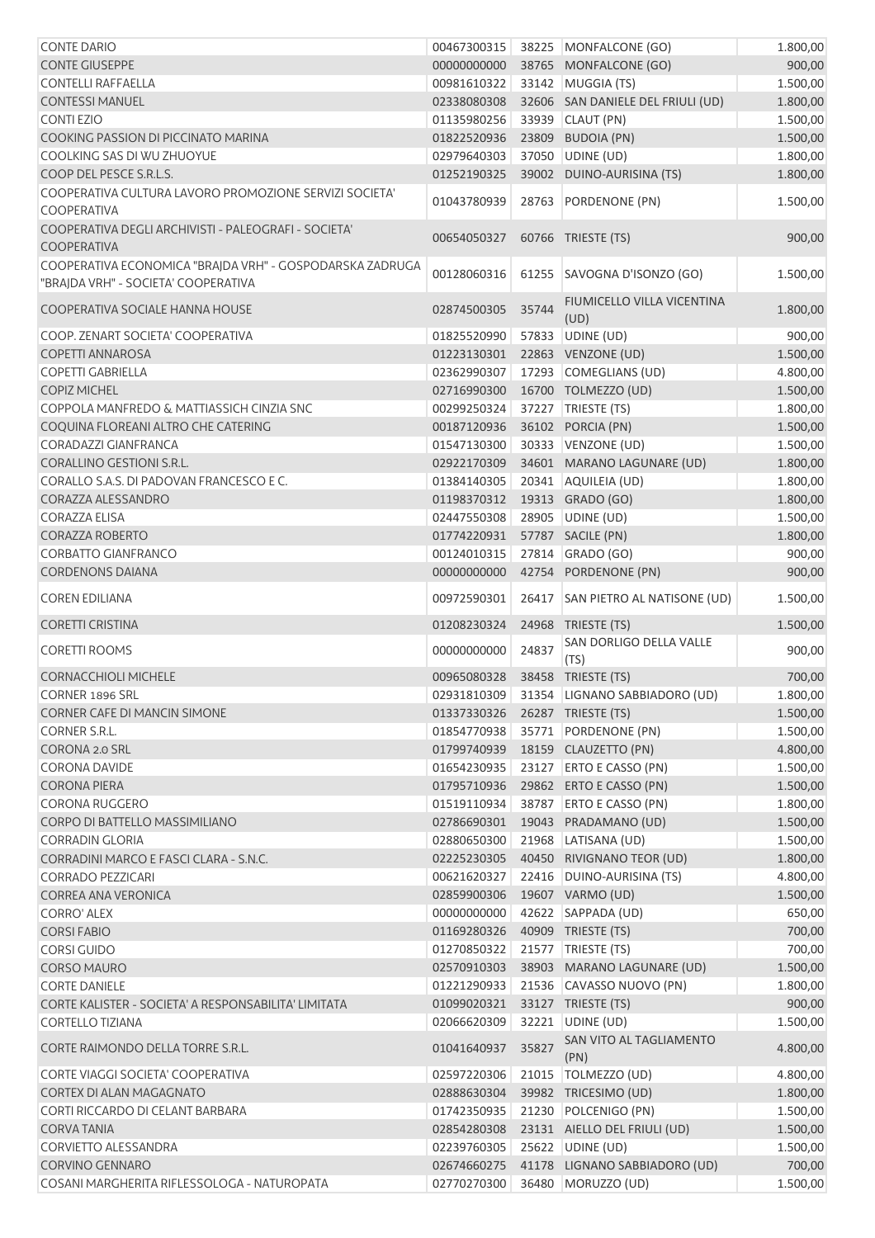| <b>CONTE DARIO</b>                                                                              | 00467300315                    |       | 38225 MONFALCONE (GO)                             | 1.800,00             |
|-------------------------------------------------------------------------------------------------|--------------------------------|-------|---------------------------------------------------|----------------------|
| <b>CONTE GIUSEPPE</b>                                                                           | 00000000000                    |       | 38765 MONFALCONE (GO)                             | 900,00               |
| <b>CONTELLI RAFFAELLA</b>                                                                       | 00981610322                    |       | 33142 MUGGIA (TS)                                 | 1.500,00             |
| <b>CONTESSI MANUEL</b>                                                                          | 02338080308                    |       | 32606 SAN DANIELE DEL FRIULI (UD)                 | 1.800,00             |
| <b>CONTI EZIO</b>                                                                               | 01135980256                    |       | 33939 CLAUT (PN)                                  | 1.500,00             |
| COOKING PASSION DI PICCINATO MARINA                                                             | 01822520936                    |       | 23809 BUDOIA (PN)                                 | 1.500,00             |
| COOLKING SAS DI WU ZHUOYUE                                                                      | 02979640303                    |       | 37050 UDINE (UD)                                  | 1.800,00             |
| COOP DEL PESCE S.R.L.S.                                                                         | 01252190325                    |       | 39002 DUINO-AURISINA (TS)                         | 1.800,00             |
| COOPERATIVA CULTURA LAVORO PROMOZIONE SERVIZI SOCIETA'<br><b>COOPERATIVA</b>                    | 01043780939                    |       | 28763 PORDENONE (PN)                              | 1.500,00             |
| COOPERATIVA DEGLI ARCHIVISTI - PALEOGRAFI - SOCIETA'<br><b>COOPERATIVA</b>                      | 00654050327                    |       | 60766 TRIESTE (TS)                                | 900,00               |
| COOPERATIVA ECONOMICA "BRAJDA VRH" - GOSPODARSKA ZADRUGA<br>"BRAJDA VRH" - SOCIETA' COOPERATIVA | 00128060316                    |       | 61255 SAVOGNA D'ISONZO (GO)                       | 1.500,00             |
| COOPERATIVA SOCIALE HANNA HOUSE                                                                 | 02874500305                    | 35744 | FIUMICELLO VILLA VICENTINA<br>(UD)                | 1.800,00             |
| COOP. ZENART SOCIETA' COOPERATIVA                                                               | 01825520990                    |       | 57833 UDINE (UD)                                  | 900,00               |
| <b>COPETTI ANNAROSA</b>                                                                         | 01223130301                    |       | 22863 VENZONE (UD)                                | 1.500,00             |
| <b>COPETTI GABRIELLA</b>                                                                        | 02362990307                    |       | 17293 COMEGLIANS (UD)                             | 4.800,00             |
| <b>COPIZ MICHEL</b>                                                                             | 02716990300                    |       | 16700 TOLMEZZO (UD)                               | 1.500,00             |
| COPPOLA MANFREDO & MATTIASSICH CINZIA SNC                                                       | 00299250324                    |       | 37227 TRIESTE (TS)                                | 1.800,00             |
| COQUINA FLOREANI ALTRO CHE CATERING                                                             | 00187120936                    |       | 36102 PORCIA (PN)                                 | 1.500,00             |
| <b>CORADAZZI GIANFRANCA</b>                                                                     | 01547130300                    |       | 30333 VENZONE (UD)                                | 1.500,00             |
| <b>CORALLINO GESTIONI S.R.L.</b>                                                                | 02922170309                    |       | 34601 MARANO LAGUNARE (UD)                        | 1.800,00             |
| CORALLO S.A.S. DI PADOVAN FRANCESCO E C.                                                        | 01384140305                    |       | 20341 AQUILEIA (UD)                               | 1.800,00             |
| CORAZZA ALESSANDRO                                                                              | 01198370312                    |       | 19313 GRADO (GO)                                  | 1.800,00             |
| <b>CORAZZA ELISA</b>                                                                            | 02447550308                    |       | 28905 UDINE (UD)                                  | 1.500,00             |
| <b>CORAZZA ROBERTO</b>                                                                          | 01774220931                    |       | 57787 SACILE (PN)                                 | 1.800,00             |
| <b>CORBATTO GIANFRANCO</b>                                                                      | 00124010315                    |       | 27814 GRADO (GO)                                  | 900,00               |
| <b>CORDENONS DAIANA</b>                                                                         | 00000000000                    |       | 42754 PORDENONE (PN)                              | 900,00               |
| <b>COREN EDILIANA</b>                                                                           | 00972590301                    |       | 26417 SAN PIETRO AL NATISONE (UD)                 | 1.500,00             |
|                                                                                                 |                                |       |                                                   |                      |
| <b>CORETTI CRISTINA</b>                                                                         | 01208230324                    |       | 24968 TRIESTE (TS)                                | 1.500,00             |
| <b>CORETTI ROOMS</b>                                                                            | 00000000000                    | 24837 | SAN DORLIGO DELLA VALLE<br>(TS)                   | 900,00               |
| <b>CORNACCHIOLI MICHELE</b>                                                                     | 00965080328                    |       | 38458 TRIESTE (TS)                                | 700,00               |
| <b>CORNER 1896 SRL</b>                                                                          |                                |       | 02931810309 31354 LIGNANO SABBIADORO (UD)         | 1.800,00             |
| <b>CORNER CAFE DI MANCIN SIMONE</b>                                                             | 01337330326 26287 TRIESTE (TS) |       |                                                   | 1.500,00             |
| <b>CORNER S.R.L.</b>                                                                            | 01854770938                    |       | 35771 PORDENONE (PN)                              | 1.500,00             |
| CORONA 2.0 SRL                                                                                  | 01799740939                    |       | 18159 CLAUZETTO (PN)                              | 4.800,00             |
| <b>CORONA DAVIDE</b>                                                                            | 01654230935                    |       | 23127 ERTO E CASSO (PN)                           |                      |
| <b>CORONA PIERA</b>                                                                             | 01795710936                    |       | 29862 ERTO E CASSO (PN)                           | 1.500,00             |
| CORONA RUGGERO                                                                                  | 01519110934                    |       | 38787 ERTO E CASSO (PN)                           | 1.500,00             |
| CORPO DI BATTELLO MASSIMILIANO                                                                  |                                |       |                                                   | 1.800,00             |
| <b>CORRADIN GLORIA</b>                                                                          | 02880650300                    |       | 02786690301 19043 PRADAMANO (UD)                  | 1.500,00             |
| CORRADINI MARCO E FASCI CLARA - S.N.C.                                                          | 02225230305                    |       | 21968 LATISANA (UD)                               | 1.500,00             |
| <b>CORRADO PEZZICARI</b>                                                                        |                                |       | 40450 RIVIGNANO TEOR (UD)                         | 1.800,00             |
| <b>CORREA ANA VERONICA</b>                                                                      | 00621620327                    |       | 22416 DUINO-AURISINA (TS)                         | 4.800,00             |
| <b>CORRO' ALEX</b>                                                                              | 02859900306                    |       | 19607 VARMO (UD)                                  | 1.500,00             |
| <b>CORSIFABIO</b>                                                                               | 00000000000                    |       | 42622 SAPPADA (UD)                                | 650,00               |
|                                                                                                 | 01169280326                    |       | 40909 TRIESTE (TS)                                | 700,00               |
| <b>CORSI GUIDO</b>                                                                              | 01270850322                    |       | 21577   TRIESTE (TS)                              | 700,00               |
| <b>CORSO MAURO</b>                                                                              | 02570910303                    |       | 38903 MARANO LAGUNARE (UD)                        | 1.500,00             |
| <b>CORTE DANIELE</b>                                                                            | 01221290933                    |       | 21536 CAVASSO NUOVO (PN)                          | 1.800,00             |
| CORTE KALISTER - SOCIETA' A RESPONSABILITA' LIMITATA                                            | 01099020321                    |       | 33127 TRIESTE (TS)                                | 900,00               |
| <b>CORTELLO TIZIANA</b><br>CORTE RAIMONDO DELLA TORRE S.R.L.                                    | 02066620309<br>01041640937     | 35827 | 32221 UDINE (UD)<br>SAN VITO AL TAGLIAMENTO       | 1.500,00<br>4.800,00 |
|                                                                                                 |                                |       | (PN)                                              |                      |
| CORTE VIAGGI SOCIETA' COOPERATIVA<br><b>CORTEX DI ALAN MAGAGNATO</b>                            | 02597220306                    |       | 21015   TOLMEZZO (UD)                             | 4.800,00             |
|                                                                                                 | 02888630304                    |       | 39982 TRICESIMO (UD)                              | 1.800,00             |
| CORTI RICCARDO DI CELANT BARBARA                                                                | 01742350935                    |       | 21230 POLCENIGO (PN)                              | 1.500,00             |
| <b>CORVATANIA</b>                                                                               | 02854280308                    |       | 23131 AIELLO DEL FRIULI (UD)                      | 1.500,00             |
| <b>CORVIETTO ALESSANDRA</b><br><b>CORVINO GENNARO</b>                                           | 02239760305<br>02674660275     |       | 25622 UDINE (UD)<br>41178 LIGNANO SABBIADORO (UD) | 1.500,00<br>700,00   |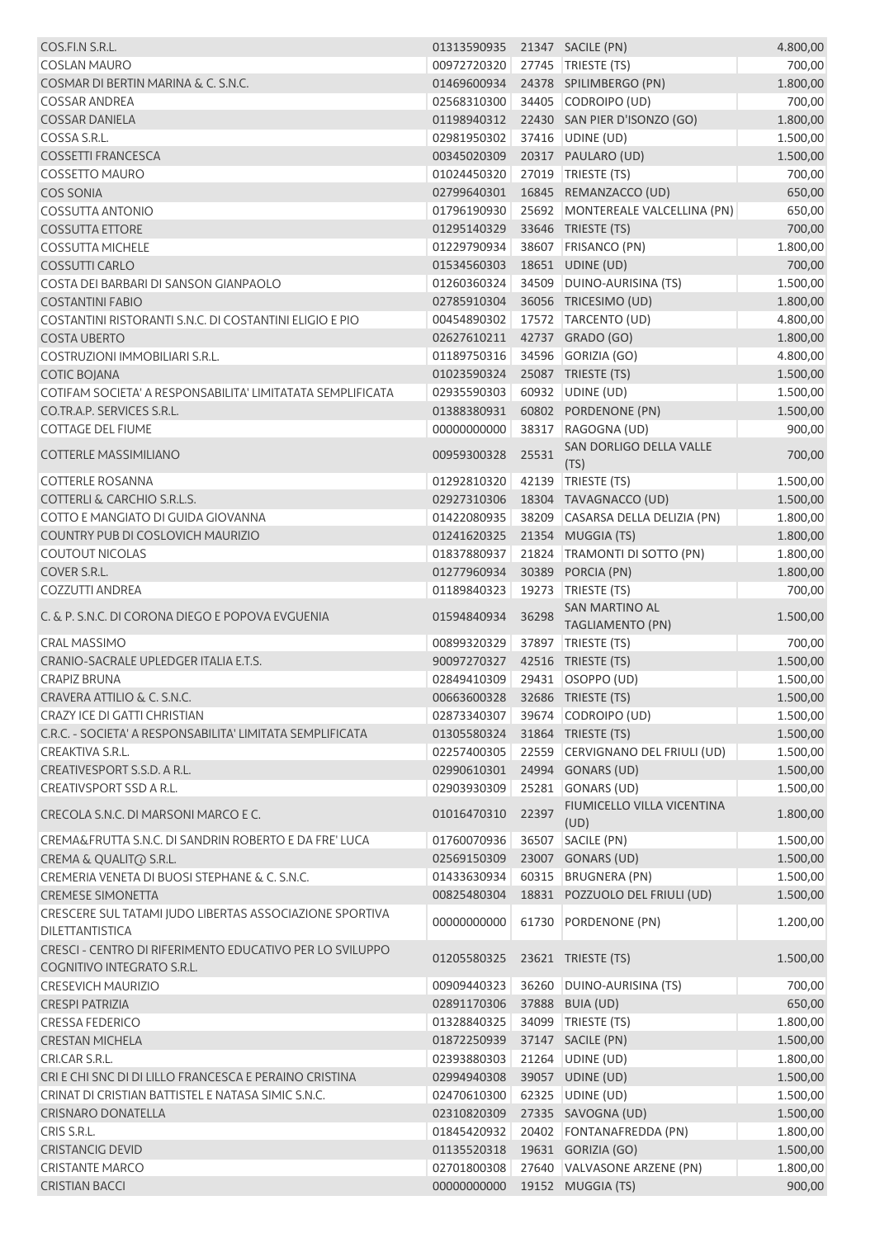| COS.FI.N S.R.L.                                                                        | 01313590935 21347 SACILE (PN)  |       |                                                        | 4.800,00             |
|----------------------------------------------------------------------------------------|--------------------------------|-------|--------------------------------------------------------|----------------------|
| <b>COSLAN MAURO</b>                                                                    | 00972720320                    |       | 27745 TRIESTE (TS)                                     | 700,00               |
| COSMAR DI BERTIN MARINA & C. S.N.C.                                                    | 01469600934                    |       | 24378 SPILIMBERGO (PN)                                 | 1.800,00             |
| <b>COSSAR ANDREA</b>                                                                   | 02568310300                    |       | 34405 CODROIPO (UD)                                    | 700,00               |
| <b>COSSAR DANIELA</b>                                                                  | 01198940312                    |       | 22430 SAN PIER D'ISONZO (GO)                           | 1.800,00             |
| COSSA S.R.L.                                                                           | 02981950302                    |       | 37416 UDINE (UD)                                       | 1.500,00             |
| <b>COSSETTI FRANCESCA</b>                                                              | 00345020309                    |       | 20317 PAULARO (UD)                                     | 1.500,00             |
| <b>COSSETTO MAURO</b>                                                                  | 01024450320                    |       | 27019 TRIESTE (TS)                                     | 700,00               |
| <b>COS SONIA</b>                                                                       | 02799640301                    |       | 16845 REMANZACCO (UD)                                  | 650,00               |
| <b>COSSUTTA ANTONIO</b>                                                                | 01796190930                    |       | 25692 MONTEREALE VALCELLINA (PN)                       | 650,00               |
| <b>COSSUTTA ETTORE</b>                                                                 | 01295140329                    |       | 33646 TRIESTE (TS)                                     | 700,00               |
| <b>COSSUTTA MICHELE</b>                                                                | 01229790934                    |       | 38607 FRISANCO (PN)                                    | 1.800,00             |
| <b>COSSUTTI CARLO</b>                                                                  | 01534560303                    |       | 18651 UDINE (UD)                                       | 700,00               |
| COSTA DEI BARBARI DI SANSON GIANPAOLO                                                  | 01260360324                    |       | 34509 DUINO-AURISINA (TS)                              | 1.500,00             |
| <b>COSTANTINI FABIO</b>                                                                | 02785910304                    |       | 36056 TRICESIMO (UD)                                   | 1.800,00             |
| COSTANTINI RISTORANTI S.N.C. DI COSTANTINI ELIGIO E PIO                                | 00454890302                    |       | 17572 TARCENTO (UD)                                    | 4.800,00             |
| <b>COSTA UBERTO</b>                                                                    | 02627610211                    |       | 42737 GRADO (GO)                                       | 1.800,00             |
| COSTRUZIONI IMMOBILIARI S.R.L.                                                         | 01189750316                    |       | 34596 GORIZIA (GO)                                     | 4.800,00             |
| <b>COTIC BOJANA</b>                                                                    | 01023590324                    |       | 25087 TRIESTE (TS)                                     | 1.500,00             |
| COTIFAM SOCIETA' A RESPONSABILITA' LIMITATATA SEMPLIFICATA                             | 02935590303                    |       | 60932 UDINE (UD)                                       | 1.500,00             |
| CO.TR.A.P. SERVICES S.R.L.                                                             | 01388380931                    |       | 60802 PORDENONE (PN)                                   | 1.500,00             |
| <b>COTTAGE DEL FIUME</b>                                                               | 00000000000                    | 38317 | RAGOGNA (UD)                                           | 900,00               |
| <b>COTTERLE MASSIMILIANO</b>                                                           | 00959300328                    | 25531 | SAN DORLIGO DELLA VALLE<br>(TS)                        | 700,00               |
| <b>COTTERLE ROSANNA</b>                                                                | 01292810320                    |       | 42139 TRIESTE (TS)                                     | 1.500,00             |
| <b>COTTERLI &amp; CARCHIO S.R.L.S.</b>                                                 | 02927310306                    |       | 18304 TAVAGNACCO (UD)                                  | 1.500,00             |
| COTTO E MANGIATO DI GUIDA GIOVANNA                                                     | 01422080935                    |       | 38209 CASARSA DELLA DELIZIA (PN)                       | 1.800,00             |
| COUNTRY PUB DI COSLOVICH MAURIZIO                                                      | 01241620325                    |       | 21354 MUGGIA (TS)                                      | 1.800,00             |
| <b>COUTOUT NICOLAS</b>                                                                 | 01837880937                    |       | 21824 TRAMONTI DI SOTTO (PN)                           | 1.800,00             |
| COVER S.R.L.                                                                           | 01277960934                    |       | 30389 PORCIA (PN)                                      | 1.800,00             |
| <b>COZZUTTI ANDREA</b>                                                                 | 01189840323                    | 19273 | TRIESTE (TS)                                           | 700,00               |
| C. & P. S.N.C. DI CORONA DIEGO E POPOVA EVGUENIA                                       | 01594840934                    | 36298 | <b>SAN MARTINO AL</b><br><b>TAGLIAMENTO (PN)</b>       | 1.500,00             |
| <b>CRAL MASSIMO</b>                                                                    | 00899320329                    | 37897 | TRIESTE (TS)                                           | 700,00               |
| CRANIO-SACRALE UPLEDGER ITALIA E.T.S.                                                  | 90097270327                    |       | 42516 TRIESTE (TS)                                     | 1.500,00             |
| <b>CRAPIZ BRUNA</b>                                                                    | 02849410309                    |       | 29431 OSOPPO (UD)                                      | 1.500,00             |
| CRAVERA ATTILIO & C. S.N.C.                                                            | 00663600328 32686 TRIESTE (TS) |       |                                                        | 1.500,00             |
| CRAZY ICE DI GATTI CHRISTIAN                                                           | 02873340307                    |       | 39674 CODROIPO (UD)                                    | 1.500,00             |
| C.R.C. - SOCIETA' A RESPONSABILITA' LIMITATA SEMPLIFICATA                              | 01305580324                    |       | 31864 TRIESTE (TS)                                     | 1.500,00             |
| CREAKTIVA S.R.L.                                                                       | 02257400305                    |       | 22559 CERVIGNANO DEL FRIULI (UD)                       | 1.500,00             |
| CREATIVESPORT S.S.D. A R.L.                                                            | 02990610301                    |       | 24994 GONARS (UD)                                      | 1.500,00             |
| CREATIVSPORT SSD A R.L.                                                                | 02903930309                    |       | 25281 GONARS (UD)                                      | 1.500,00             |
| CRECOLA S.N.C. DI MARSONI MARCO E C.                                                   | 01016470310                    | 22397 | FIUMICELLO VILLA VICENTINA                             | 1.800,00             |
| CREMA&FRUTTA S.N.C. DI SANDRIN ROBERTO E DA FRE' LUCA                                  |                                |       | (UD)                                                   |                      |
|                                                                                        | 01760070936                    |       | 36507 SACILE (PN)                                      | 1.500,00             |
| CREMA & QUALITO S.R.L.<br>CREMERIA VENETA DI BUOSI STEPHANE & C. S.N.C.                | 02569150309<br>01433630934     |       | 23007 GONARS (UD)<br>60315 BRUGNERA (PN)               | 1.500,00             |
|                                                                                        |                                |       |                                                        | 1.500,00             |
| <b>CREMESE SIMONETTA</b><br>CRESCERE SUL TATAMI JUDO LIBERTAS ASSOCIAZIONE SPORTIVA    | 00825480304<br>00000000000     |       | 18831 POZZUOLO DEL FRIULI (UD)<br>61730 PORDENONE (PN) | 1.500,00<br>1.200,00 |
| DILETTANTISTICA                                                                        |                                |       |                                                        |                      |
| CRESCI - CENTRO DI RIFERIMENTO EDUCATIVO PER LO SVILUPPO<br>COGNITIVO INTEGRATO S.R.L. | 01205580325                    |       | 23621 TRIESTE (TS)                                     | 1.500,00             |
| <b>CRESEVICH MAURIZIO</b>                                                              | 00909440323                    |       | 36260 DUINO-AURISINA (TS)                              | 700,00               |
| <b>CRESPI PATRIZIA</b>                                                                 | 02891170306                    |       | 37888 BUIA (UD)                                        | 650,00               |
| <b>CRESSA FEDERICO</b>                                                                 | 01328840325                    |       | 34099 TRIESTE (TS)                                     | 1.800,00             |
| <b>CRESTAN MICHELA</b>                                                                 | 01872250939                    |       | 37147 SACILE (PN)                                      | 1.500,00             |
| CRI.CAR S.R.L.                                                                         | 02393880303                    |       | 21264 UDINE (UD)                                       | 1.800,00             |
| CRI E CHI SNC DI DI LILLO FRANCESCA E PERAINO CRISTINA                                 | 02994940308                    |       | 39057 UDINE (UD)                                       | 1.500,00             |
| CRINAT DI CRISTIAN BATTISTEL E NATASA SIMIC S.N.C.                                     | 02470610300                    |       | 62325 UDINE (UD)                                       | 1.500,00             |
| <b>CRISNARO DONATELLA</b>                                                              | 02310820309                    |       | 27335 SAVOGNA (UD)                                     | 1.500,00             |
| CRIS S.R.L.                                                                            | 01845420932                    |       | 20402 FONTANAFREDDA (PN)                               | 1.800,00             |
| <b>CRISTANCIG DEVID</b>                                                                | 01135520318                    |       | 19631 GORIZIA (GO)                                     | 1.500,00             |
| <b>CRISTANTE MARCO</b>                                                                 | 02701800308                    |       | 27640 VALVASONE ARZENE (PN)                            | 1.800,00             |
| <b>CRISTIAN BACCI</b>                                                                  | 00000000000                    |       | 19152 MUGGIA (TS)                                      | 900,00               |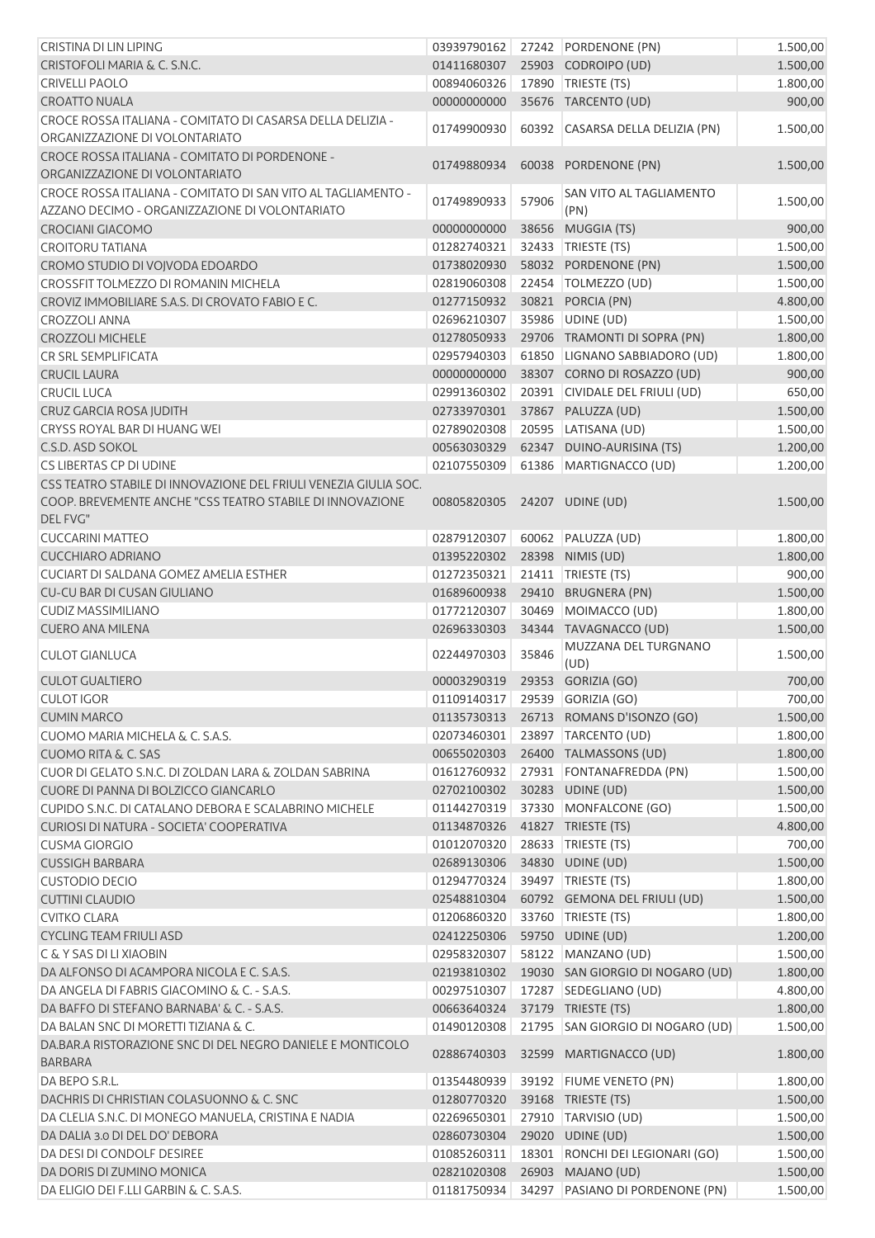| CRISTINA DI LIN LIPING                                                       | 03939790162                    |       | 27242 PORDENONE (PN)             | 1.500,00 |
|------------------------------------------------------------------------------|--------------------------------|-------|----------------------------------|----------|
| CRISTOFOLI MARIA & C. S.N.C.                                                 | 01411680307                    |       | 25903 CODROIPO (UD)              | 1.500,00 |
| <b>CRIVELLI PAOLO</b>                                                        | 00894060326                    |       | 17890   TRIESTE (TS)             | 1.800,00 |
| <b>CROATTO NUALA</b>                                                         | 00000000000                    |       | 35676 TARCENTO (UD)              | 900,00   |
| CROCE ROSSA ITALIANA - COMITATO DI CASARSA DELLA DELIZIA -                   |                                |       |                                  |          |
| ORGANIZZAZIONE DI VOLONTARIATO                                               | 01749900930                    |       | 60392 CASARSA DELLA DELIZIA (PN) | 1.500,00 |
| CROCE ROSSA ITALIANA - COMITATO DI PORDENONE -                               | 01749880934                    |       | 60038 PORDENONE (PN)             | 1.500,00 |
| ORGANIZZAZIONE DI VOLONTARIATO                                               |                                |       |                                  |          |
| CROCE ROSSA ITALIANA - COMITATO DI SAN VITO AL TAGLIAMENTO -                 | 01749890933                    | 57906 | SAN VITO AL TAGLIAMENTO          | 1.500,00 |
| AZZANO DECIMO - ORGANIZZAZIONE DI VOLONTARIATO                               |                                |       | (PN)                             |          |
| <b>CROCIANI GIACOMO</b>                                                      | 00000000000                    |       | 38656 MUGGIA (TS)                | 900,00   |
| <b>CROITORU TATIANA</b>                                                      | 01282740321                    |       | 32433 TRIESTE (TS)               | 1.500,00 |
| CROMO STUDIO DI VOJVODA EDOARDO                                              | 01738020930                    |       | 58032 PORDENONE (PN)             | 1.500,00 |
| CROSSFIT TOLMEZZO DI ROMANIN MICHELA                                         | 02819060308                    |       | 22454   TOLMEZZO (UD)            | 1.500,00 |
| CROVIZ IMMOBILIARE S.A.S. DI CROVATO FABIO E C.                              | 01277150932                    |       | 30821 PORCIA (PN)                | 4.800,00 |
| <b>CROZZOLI ANNA</b>                                                         | 02696210307                    |       | 35986 UDINE (UD)                 | 1.500,00 |
| <b>CROZZOLI MICHELE</b>                                                      | 01278050933                    |       | 29706 TRAMONTI DI SOPRA (PN)     | 1.800,00 |
| CR SRL SEMPLIFICATA                                                          | 02957940303                    |       | 61850 LIGNANO SABBIADORO (UD)    | 1.800,00 |
| <b>CRUCIL LAURA</b>                                                          | 00000000000                    |       | 38307 CORNO DI ROSAZZO (UD)      | 900,00   |
| <b>CRUCIL LUCA</b>                                                           | 02991360302                    |       | 20391 CIVIDALE DEL FRIULI (UD)   | 650,00   |
| CRUZ GARCIA ROSA JUDITH                                                      | 02733970301                    |       | 37867 PALUZZA (UD)               | 1.500,00 |
| CRYSS ROYAL BAR DI HUANG WEI                                                 | 02789020308                    |       | 20595 LATISANA (UD)              | 1.500,00 |
| C.S.D. ASD SOKOL                                                             | 00563030329                    |       | 62347 DUINO-AURISINA (TS)        | 1.200,00 |
| CS LIBERTAS CP DI UDINE                                                      | 02107550309                    |       | 61386 MARTIGNACCO (UD)           | 1.200,00 |
| CSS TEATRO STABILE DI INNOVAZIONE DEL FRIULI VENEZIA GIULIA SOC.             |                                |       |                                  |          |
| COOP. BREVEMENTE ANCHE "CSS TEATRO STABILE DI INNOVAZIONE                    | 00805820305                    |       | 24207 UDINE (UD)                 | 1.500,00 |
| DEL FVG"                                                                     |                                |       |                                  |          |
| <b>CUCCARINI MATTEO</b>                                                      | 02879120307                    |       | 60062 PALUZZA (UD)               | 1.800,00 |
| <b>CUCCHIARO ADRIANO</b>                                                     | 01395220302                    |       | 28398 NIMIS (UD)                 | 1.800,00 |
| CUCIART DI SALDANA GOMEZ AMELIA ESTHER                                       | 01272350321                    |       | 21411   TRIESTE (TS)             | 900,00   |
| <b>CU-CU BAR DI CUSAN GIULIANO</b>                                           | 01689600938                    |       | 29410 BRUGNERA (PN)              | 1.500,00 |
| <b>CUDIZ MASSIMILIANO</b>                                                    | 01772120307                    |       | 30469 MOIMACCO (UD)              | 1.800,00 |
| <b>CUERO ANA MILENA</b>                                                      | 02696330303                    |       | 34344 TAVAGNACCO (UD)            | 1.500,00 |
|                                                                              |                                |       |                                  |          |
| <b>CULOT GIANLUCA</b>                                                        | 02244970303                    | 35846 | MUZZANA DEL TURGNANO             | 1.500,00 |
|                                                                              |                                |       | (UD)                             |          |
| <b>CULOT GUALTIERO</b>                                                       | 00003290319 29353 GORIZIA (GO) |       |                                  | 700,00   |
| <b>CULOT IGOR</b>                                                            | 01109140317 29539 GORIZIA (GO) |       |                                  | 700,00   |
| <b>CUMIN MARCO</b>                                                           | 01135730313                    |       | 26713 ROMANS D'ISONZO (GO)       | 1.500,00 |
| CUOMO MARIA MICHELA & C. S.A.S.                                              | 02073460301                    |       | 23897 TARCENTO (UD)              | 1.800,00 |
| <b>CUOMO RITA &amp; C. SAS</b>                                               | 00655020303                    |       | 26400 TALMASSONS (UD)            | 1.800,00 |
| CUOR DI GELATO S.N.C. DI ZOLDAN LARA & ZOLDAN SABRINA                        | 01612760932                    |       | 27931 FONTANAFREDDA (PN)         | 1.500,00 |
| CUORE DI PANNA DI BOLZICCO GIANCARLO                                         | 02702100302                    |       | 30283 UDINE (UD)                 | 1.500,00 |
| CUPIDO S.N.C. DI CATALANO DEBORA E SCALABRINO MICHELE                        | 01144270319                    |       | 37330 MONFALCONE (GO)            | 1.500,00 |
| CURIOSI DI NATURA - SOCIETA' COOPERATIVA                                     | 01134870326                    |       | 41827 TRIESTE (TS)               | 4.800,00 |
| <b>CUSMA GIORGIO</b>                                                         | 01012070320                    |       | 28633 TRIESTE (TS)               | 700,00   |
| <b>CUSSIGH BARBARA</b>                                                       | 02689130306                    |       | 34830 UDINE (UD)                 | 1.500,00 |
| <b>CUSTODIO DECIO</b>                                                        | 01294770324                    |       | 39497   TRIESTE (TS)             | 1.800,00 |
| <b>CUTTINI CLAUDIO</b>                                                       | 02548810304                    |       | 60792 GEMONA DEL FRIULI (UD)     | 1.500,00 |
| <b>CVITKO CLARA</b>                                                          | 01206860320                    |       | 33760 TRIESTE (TS)               | 1.800,00 |
| <b>CYCLING TEAM FRIULI ASD</b>                                               | 02412250306                    |       | 59750 UDINE (UD)                 | 1.200,00 |
| C & Y SAS DI LI XIAOBIN                                                      | 02958320307                    |       | 58122 MANZANO (UD)               | 1.500,00 |
| DA ALFONSO DI ACAMPORA NICOLA E C. S.A.S.                                    | 02193810302                    |       | 19030 SAN GIORGIO DI NOGARO (UD) | 1.800,00 |
| DA ANGELA DI FABRIS GIACOMINO & C. - S.A.S.                                  | 00297510307                    |       | 17287   SEDEGLIANO (UD)          | 4.800,00 |
| DA BAFFO DI STEFANO BARNABA' & C. - S.A.S.                                   | 00663640324                    |       | 37179 TRIESTE (TS)               | 1.800,00 |
| DA BALAN SNC DI MORETTI TIZIANA & C.                                         | 01490120308                    |       | 21795 SAN GIORGIO DI NOGARO (UD) | 1.500,00 |
| DA.BAR.A RISTORAZIONE SNC DI DEL NEGRO DANIELE E MONTICOLO<br><b>BARBARA</b> | 02886740303                    |       | 32599 MARTIGNACCO (UD)           | 1.800,00 |
| DA BEPO S.R.L.                                                               | 01354480939                    |       | 39192 FIUME VENETO (PN)          | 1.800,00 |
| DACHRIS DI CHRISTIAN COLASUONNO & C. SNC                                     | 01280770320                    |       | 39168 TRIESTE (TS)               | 1.500,00 |
| DA CLELIA S.N.C. DI MONEGO MANUELA, CRISTINA E NADIA                         | 02269650301                    |       | 27910 TARVISIO (UD)              | 1.500,00 |
| DA DALIA 3.0 DI DEL DO' DEBORA                                               | 02860730304                    |       | 29020 UDINE (UD)                 | 1.500,00 |
| DA DESI DI CONDOLF DESIREE                                                   | 01085260311                    |       | 18301 RONCHI DEI LEGIONARI (GO)  | 1.500,00 |
| DA DORIS DI ZUMINO MONICA                                                    | 02821020308                    |       | 26903 MAJANO (UD)                | 1.500,00 |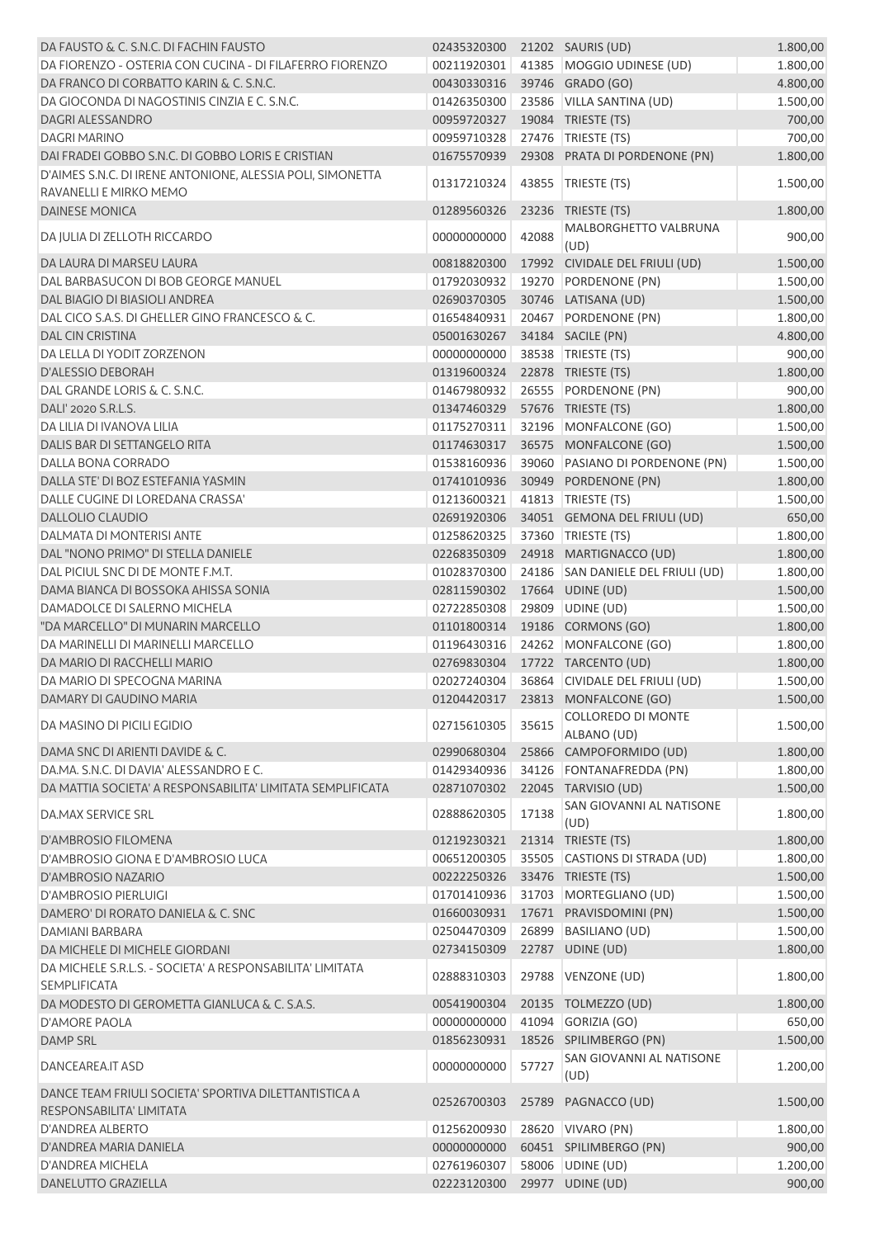| DA FAUSTO & C. S.N.C. DI FACHIN FAUSTO                                            | 02435320300 21202 SAURIS (UD) |       |                                            | 1.800,00 |
|-----------------------------------------------------------------------------------|-------------------------------|-------|--------------------------------------------|----------|
| DA FIORENZO - OSTERIA CON CUCINA - DI FILAFERRO FIORENZO                          | 00211920301                   |       | 41385 MOGGIO UDINESE (UD)                  | 1.800,00 |
| DA FRANCO DI CORBATTO KARIN & C. S.N.C.                                           | 00430330316                   |       | 39746 GRADO (GO)                           | 4.800,00 |
| DA GIOCONDA DI NAGOSTINIS CINZIA E C. S.N.C.                                      | 01426350300                   |       | 23586 VILLA SANTINA (UD)                   | 1.500,00 |
| DAGRI ALESSANDRO                                                                  | 00959720327                   |       | 19084 TRIESTE (TS)                         | 700,00   |
| <b>DAGRI MARINO</b>                                                               | 00959710328                   |       | 27476   TRIESTE (TS)                       | 700,00   |
| DAI FRADEI GOBBO S.N.C. DI GOBBO LORIS E CRISTIAN                                 | 01675570939                   |       | 29308 PRATA DI PORDENONE (PN)              | 1.800,00 |
| D'AIMES S.N.C. DI IRENE ANTONIONE, ALESSIA POLI, SIMONETTA                        |                               |       |                                            |          |
| RAVANELLI E MIRKO MEMO                                                            | 01317210324                   |       | 43855 TRIESTE (TS)                         | 1.500,00 |
| <b>DAINESE MONICA</b>                                                             | 01289560326                   |       | 23236 TRIESTE (TS)                         | 1.800,00 |
|                                                                                   |                               |       | MALBORGHETTO VALBRUNA                      |          |
| DA JULIA DI ZELLOTH RICCARDO                                                      | 00000000000                   | 42088 | (UD)                                       | 900,00   |
| DA LAURA DI MARSEU LAURA                                                          | 00818820300                   |       | 17992 CIVIDALE DEL FRIULI (UD)             | 1.500,00 |
| DAL BARBASUCON DI BOB GEORGE MANUEL                                               | 01792030932                   |       | 19270 PORDENONE (PN)                       | 1.500,00 |
| DAL BIAGIO DI BIASIOLI ANDREA                                                     | 02690370305                   |       | 30746 LATISANA (UD)                        | 1.500,00 |
| DAL CICO S.A.S. DI GHELLER GINO FRANCESCO & C.                                    | 01654840931                   |       | 20467 PORDENONE (PN)                       | 1.800,00 |
| <b>DAL CIN CRISTINA</b>                                                           | 05001630267                   |       | 34184 SACILE (PN)                          | 4.800,00 |
| DA LELLA DI YODIT ZORZENON                                                        | 00000000000                   |       | 38538 TRIESTE (TS)                         | 900,00   |
| <b>D'ALESSIO DEBORAH</b>                                                          | 01319600324                   |       | 22878 TRIESTE (TS)                         | 1.800,00 |
| DAL GRANDE LORIS & C. S.N.C.                                                      | 01467980932                   |       | 26555 PORDENONE (PN)                       | 900,00   |
| DALI' 2020 S.R.L.S.                                                               | 01347460329                   |       | 57676 TRIESTE (TS)                         | 1.800,00 |
| DA LILIA DI IVANOVA LILIA                                                         | 01175270311                   |       | 32196 MONFALCONE (GO)                      | 1.500,00 |
| DALIS BAR DI SETTANGELO RITA                                                      | 01174630317                   |       | 36575 MONFALCONE (GO)                      | 1.500,00 |
| DALLA BONA CORRADO                                                                | 01538160936                   |       | 39060 PASIANO DI PORDENONE (PN)            | 1.500,00 |
| DALLA STE' DI BOZ ESTEFANIA YASMIN                                                | 01741010936                   |       | 30949 PORDENONE (PN)                       | 1.800,00 |
| DALLE CUGINE DI LOREDANA CRASSA'                                                  | 01213600321                   |       | 41813   TRIESTE (TS)                       | 1.500,00 |
| <b>DALLOLIO CLAUDIO</b>                                                           | 02691920306                   |       | 34051 GEMONA DEL FRIULI (UD)               | 650,00   |
| DALMATA DI MONTERISI ANTE                                                         | 01258620325                   |       | 37360 TRIESTE (TS)                         | 1.800,00 |
| DAL "NONO PRIMO" DI STELLA DANIELE                                                | 02268350309                   |       | 24918 MARTIGNACCO (UD)                     | 1.800,00 |
| DAL PICIUL SNC DI DE MONTE F.M.T.                                                 | 01028370300                   |       | 24186 SAN DANIELE DEL FRIULI (UD)          | 1.800,00 |
| DAMA BIANCA DI BOSSOKA AHISSA SONIA                                               | 02811590302                   |       | 17664 UDINE (UD)                           | 1.500,00 |
| DAMADOLCE DI SALERNO MICHELA                                                      | 02722850308                   |       | 29809 UDINE (UD)                           | 1.500,00 |
| "DA MARCELLO" DI MUNARIN MARCELLO                                                 | 01101800314                   |       | 19186 CORMONS (GO)                         | 1.800,00 |
| DA MARINELLI DI MARINELLI MARCELLO                                                | 01196430316                   |       | 24262 MONFALCONE (GO)                      | 1.800,00 |
| DA MARIO DI RACCHELLI MARIO                                                       |                               |       | 02769830304 17722 TARCENTO (UD)            | 1.800,00 |
| DA MARIO DI SPECOGNA MARINA                                                       |                               |       | 02027240304 36864 CIVIDALE DEL FRIULI (UD) | 1.500,00 |
| DAMARY DI GAUDINO MARIA                                                           |                               |       | 01204420317 23813 MONFALCONE (GO)          | 1.500,00 |
|                                                                                   |                               |       | COLLOREDO DI MONTE                         |          |
| DA MASINO DI PICILI EGIDIO                                                        | 02715610305                   | 35615 | ALBANO (UD)                                | 1.500,00 |
| DAMA SNC DI ARIENTI DAVIDE & C.                                                   | 02990680304                   |       | 25866 CAMPOFORMIDO (UD)                    | 1.800,00 |
| DA, MA, S, N, C, DI DAVIA' ALESSANDRO E C.                                        | 01429340936                   |       | 34126 FONTANAFREDDA (PN)                   | 1.800,00 |
| DA MATTIA SOCIETA' A RESPONSABILITA' LIMITATA SEMPLIFICATA                        | 02871070302                   |       | 22045 TARVISIO (UD)                        | 1.500,00 |
|                                                                                   |                               |       | SAN GIOVANNI AL NATISONE                   |          |
| <b>DA.MAX SERVICE SRL</b>                                                         | 02888620305                   | 17138 | (UD)                                       | 1.800,00 |
| D'AMBROSIO FILOMENA                                                               | 01219230321                   |       | 21314 TRIESTE (TS)                         | 1.800,00 |
| D'AMBROSIO GIONA E D'AMBROSIO LUCA                                                | 00651200305                   |       | 35505 CASTIONS DI STRADA (UD)              | 1.800,00 |
| D'AMBROSIO NAZARIO                                                                | 00222250326                   |       | 33476 TRIESTE (TS)                         | 1.500,00 |
| <b>D'AMBROSIO PIERLUIGI</b>                                                       | 01701410936                   |       | 31703 MORTEGLIANO (UD)                     | 1.500,00 |
| DAMERO' DI RORATO DANIELA & C. SNC                                                | 01660030931                   |       | 17671 PRAVISDOMINI (PN)                    | 1.500,00 |
| <b>DAMIANI BARBARA</b>                                                            | 02504470309                   |       | 26899 BASILIANO (UD)                       | 1.500,00 |
| DA MICHELE DI MICHELE GIORDANI                                                    | 02734150309                   |       | 22787 UDINE (UD)                           | 1.800,00 |
| DA MICHELE S.R.L.S. - SOCIETA' A RESPONSABILITA' LIMITATA                         |                               |       |                                            |          |
| <b>SEMPLIFICATA</b>                                                               | 02888310303                   |       | 29788 VENZONE (UD)                         | 1.800,00 |
| DA MODESTO DI GEROMETTA GIANLUCA & C. S.A.S.                                      | 00541900304                   |       | 20135 TOLMEZZO (UD)                        | 1.800,00 |
| <b>D'AMORE PAOLA</b>                                                              | 00000000000                   | 41094 | GORIZIA (GO)                               | 650,00   |
| <b>DAMP SRL</b>                                                                   | 01856230931                   |       | 18526 SPILIMBERGO (PN)                     | 1.500,00 |
| <b>DANCEAREA.IT ASD</b>                                                           | 00000000000                   | 57727 | SAN GIOVANNI AL NATISONE<br>(UD)           | 1.200,00 |
| DANCE TEAM FRIULI SOCIETA' SPORTIVA DILETTANTISTICA A<br>RESPONSABILITA' LIMITATA | 02526700303                   |       | 25789 PAGNACCO (UD)                        | 1.500,00 |
| D'ANDREA ALBERTO                                                                  | 01256200930                   |       | 28620 VIVARO (PN)                          | 1.800,00 |
| D'ANDREA MARIA DANIELA                                                            | 00000000000                   |       | 60451 SPILIMBERGO (PN)                     | 900,00   |
| D'ANDREA MICHELA                                                                  | 02761960307                   |       | 58006 UDINE (UD)                           | 1.200,00 |
| DANELUTTO GRAZIELLA                                                               | 02223120300                   |       | 29977 UDINE (UD)                           | 900,00   |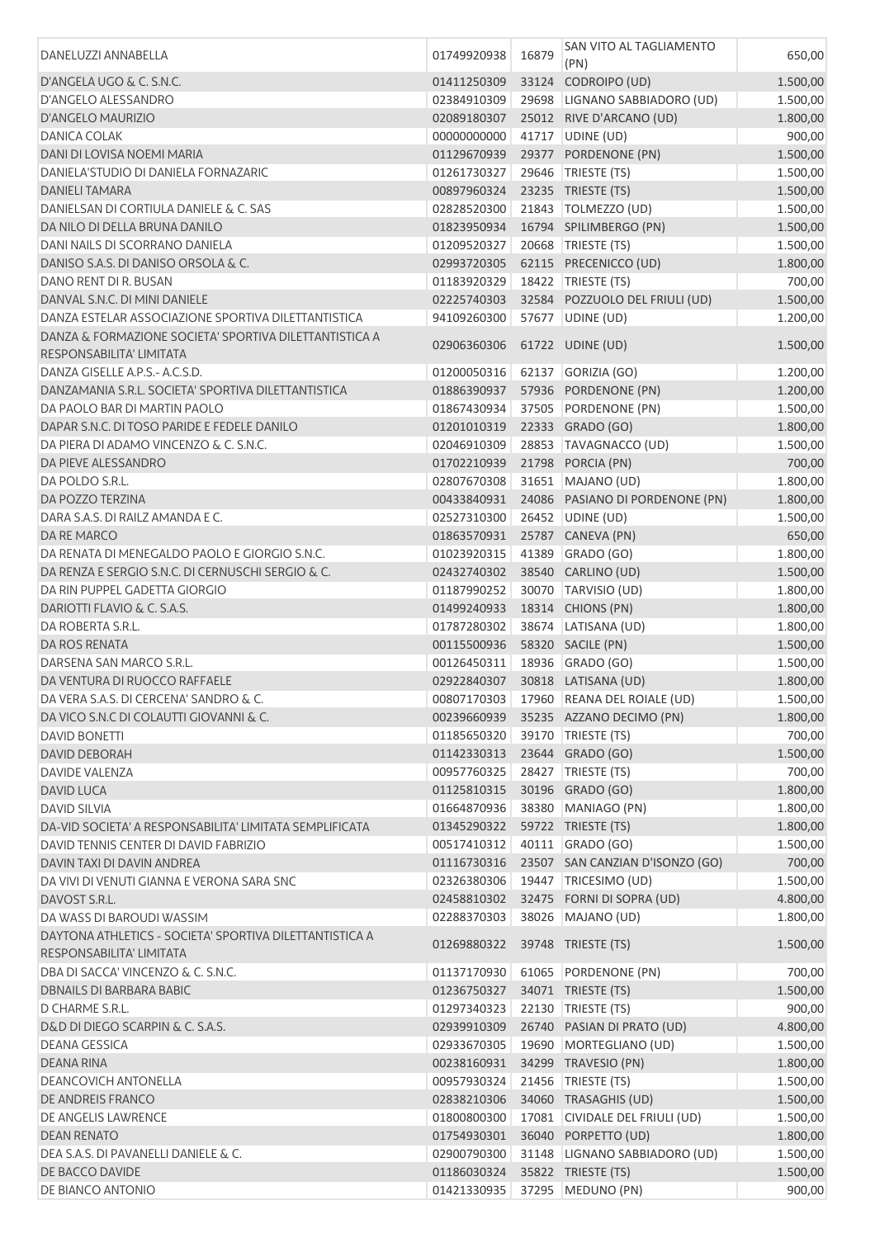| DANELUZZI ANNABELLA                                                                 | 01749920938 | 16879 | SAN VITO AL TAGLIAMENTO<br>(PN)         | 650,00   |
|-------------------------------------------------------------------------------------|-------------|-------|-----------------------------------------|----------|
| D'ANGELA UGO & C. S.N.C.                                                            | 01411250309 |       | 33124 CODROIPO (UD)                     | 1.500,00 |
| D'ANGELO ALESSANDRO                                                                 | 02384910309 |       | 29698 LIGNANO SABBIADORO (UD)           | 1.500,00 |
| <b>D'ANGELO MAURIZIO</b>                                                            | 02089180307 |       | 25012 RIVE D'ARCANO (UD)                | 1.800,00 |
| <b>DANICA COLAK</b>                                                                 | 00000000000 |       | 41717 UDINE (UD)                        | 900,00   |
| DANI DI LOVISA NOEMI MARIA                                                          | 01129670939 |       | 29377 PORDENONE (PN)                    | 1.500,00 |
| DANIELA'STUDIO DI DANIELA FORNAZARIC                                                | 01261730327 |       | 29646   TRIESTE (TS)                    | 1.500,00 |
| DANIELI TAMARA                                                                      | 00897960324 |       | 23235 TRIESTE (TS)                      | 1.500,00 |
| DANIELSAN DI CORTIULA DANIELE & C. SAS                                              | 02828520300 |       | 21843   TOLMEZZO (UD)                   | 1.500,00 |
| DA NILO DI DELLA BRUNA DANILO                                                       | 01823950934 |       | 16794 SPILIMBERGO (PN)                  | 1.500,00 |
| DANI NAILS DI SCORRANO DANIELA                                                      | 01209520327 |       | 20668 TRIESTE (TS)                      | 1.500,00 |
| DANISO S.A.S. DI DANISO ORSOLA & C.                                                 | 02993720305 |       | 62115 PRECENICCO (UD)                   | 1.800,00 |
| DANO RENT DI R. BUSAN                                                               | 01183920329 |       | 18422 TRIESTE (TS)                      | 700,00   |
| DANVAL S.N.C. DI MINI DANIELE                                                       | 02225740303 |       | 32584 POZZUOLO DEL FRIULI (UD)          | 1.500,00 |
| DANZA ESTELAR ASSOCIAZIONE SPORTIVA DILETTANTISTICA                                 | 94109260300 |       | 57677 UDINE (UD)                        | 1.200,00 |
| DANZA & FORMAZIONE SOCIETA' SPORTIVA DILETTANTISTICA A                              | 02906360306 |       | 61722 UDINE (UD)                        |          |
| RESPONSABILITA' LIMITATA                                                            |             |       |                                         | 1.500,00 |
| DANZA GISELLE A.P.S.- A.C.S.D.                                                      | 01200050316 |       | 62137 GORIZIA (GO)                      | 1.200,00 |
| DANZAMANIA S.R.L. SOCIETA' SPORTIVA DILETTANTISTICA                                 | 01886390937 |       | 57936 PORDENONE (PN)                    | 1.200,00 |
| DA PAOLO BAR DI MARTIN PAOLO                                                        | 01867430934 |       | 37505 PORDENONE (PN)                    | 1.500,00 |
| DAPAR S.N.C. DI TOSO PARIDE E FEDELE DANILO                                         | 01201010319 |       | 22333 GRADO (GO)                        | 1.800,00 |
| DA PIERA DI ADAMO VINCENZO & C. S.N.C.                                              | 02046910309 |       | 28853 TAVAGNACCO (UD)                   | 1.500,00 |
| DA PIEVE ALESSANDRO                                                                 | 01702210939 |       | 21798 PORCIA (PN)                       | 700,00   |
| DA POLDO S.R.L.                                                                     | 02807670308 |       | 31651   MAJANO (UD)                     | 1.800,00 |
| DA POZZO TERZINA                                                                    | 00433840931 |       | 24086 PASIANO DI PORDENONE (PN)         | 1.800,00 |
| DARA S.A.S. DI RAILZ AMANDA E C.                                                    | 02527310300 |       | 26452 UDINE (UD)                        | 1.500,00 |
| DA RE MARCO                                                                         | 01863570931 |       | 25787 CANEVA (PN)                       | 650,00   |
| DA RENATA DI MENEGALDO PAOLO E GIORGIO S.N.C.                                       | 01023920315 |       | 41389 GRADO (GO)                        | 1.800,00 |
| DA RENZA E SERGIO S.N.C. DI CERNUSCHI SERGIO & C.                                   | 02432740302 |       | 38540 CARLINO (UD)                      | 1.500,00 |
| DA RIN PUPPEL GADETTA GIORGIO                                                       | 01187990252 |       | 30070 TARVISIO (UD)                     | 1.800,00 |
| DARIOTTI FLAVIO & C. S.A.S.                                                         | 01499240933 |       | 18314 CHIONS (PN)                       | 1.800,00 |
| DA ROBERTA S.R.L.                                                                   | 01787280302 |       | 38674 LATISANA (UD)                     | 1.800,00 |
| DA ROS RENATA                                                                       | 00115500936 |       | 58320 SACILE (PN)                       | 1.500,00 |
| DARSENA SAN MARCO S.R.L.                                                            | 00126450311 |       | 18936 GRADO (GO)                        | 1.500,00 |
| DA VENTURA DI RUOCCO RAFFAELE                                                       | 02922840307 |       | 30818 LATISANA (UD)                     | 1.800,00 |
| DA VERA S.A.S. DI CERCENA' SANDRO & C.                                              |             |       | 00807170303 17960 REANA DEL ROIALE (UD) | 1.500,00 |
| DA VICO S.N.C DI COLAUTTI GIOVANNI & C.                                             |             |       | 00239660939 35235 AZZANO DECIMO (PN)    | 1.800,00 |
| <b>DAVID BONETTI</b>                                                                | 01185650320 |       | 39170   TRIESTE (TS)                    | 700,00   |
| <b>DAVID DEBORAH</b>                                                                | 01142330313 |       | 23644 GRADO (GO)                        | 1.500,00 |
| <b>DAVIDE VALENZA</b>                                                               | 00957760325 |       | 28427 TRIESTE (TS)                      | 700,00   |
| <b>DAVID LUCA</b>                                                                   | 01125810315 |       | 30196 GRADO (GO)                        | 1.800,00 |
| <b>DAVID SILVIA</b>                                                                 | 01664870936 |       | 38380 MANIAGO (PN)                      | 1.800,00 |
| DA-VID SOCIETA' A RESPONSABILITA' LIMITATA SEMPLIFICATA                             | 01345290322 |       | 59722 TRIESTE (TS)                      | 1.800,00 |
| DAVID TENNIS CENTER DI DAVID FABRIZIO                                               | 00517410312 |       | 40111 GRADO (GO)                        | 1.500,00 |
| DAVIN TAXI DI DAVIN ANDREA                                                          | 01116730316 |       | 23507 SAN CANZIAN D'ISONZO (GO)         | 700,00   |
| DA VIVI DI VENUTI GIANNA E VERONA SARA SNC                                          | 02326380306 |       | 19447 TRICESIMO (UD)                    | 1.500,00 |
| DAVOST S.R.L.                                                                       | 02458810302 |       | 32475 FORNI DI SOPRA (UD)               | 4.800,00 |
| DA WASS DI BAROUDI WASSIM                                                           | 02288370303 |       | 38026 MAJANO (UD)                       | 1.800,00 |
| DAYTONA ATHLETICS - SOCIETA' SPORTIVA DILETTANTISTICA A<br>RESPONSABILITA' LIMITATA | 01269880322 |       | 39748 TRIESTE (TS)                      | 1.500,00 |
| DBA DI SACCA' VINCENZO & C. S.N.C.                                                  | 01137170930 |       | 61065 PORDENONE (PN)                    | 700,00   |
| <b>DBNAILS DI BARBARA BABIC</b>                                                     | 01236750327 |       | 34071 TRIESTE (TS)                      | 1.500,00 |
| D CHARME S.R.L.                                                                     | 01297340323 |       | 22130 TRIESTE (TS)                      | 900,00   |
| D&D DI DIEGO SCARPIN & C. S.A.S.                                                    | 02939910309 |       | 26740 PASIAN DI PRATO (UD)              | 4.800,00 |
| <b>DEANA GESSICA</b>                                                                | 02933670305 |       | 19690 MORTEGLIANO (UD)                  | 1.500,00 |
| <b>DEANA RINA</b>                                                                   | 00238160931 |       | 34299 TRAVESIO (PN)                     | 1.800,00 |
| <b>DEANCOVICH ANTONELLA</b>                                                         | 00957930324 |       | 21456   TRIESTE (TS)                    | 1.500,00 |
| DE ANDREIS FRANCO                                                                   | 02838210306 |       | 34060 TRASAGHIS (UD)                    | 1.500,00 |
| DE ANGELIS LAWRENCE                                                                 | 01800800300 |       | 17081 CIVIDALE DEL FRIULI (UD)          | 1.500,00 |
| <b>DEAN RENATO</b>                                                                  | 01754930301 |       | 36040 PORPETTO (UD)                     | 1.800,00 |
| DEA S.A.S. DI PAVANELLI DANIELE & C.                                                | 02900790300 |       | 31148 LIGNANO SABBIADORO (UD)           | 1.500,00 |
| DE BACCO DAVIDE                                                                     | 01186030324 |       | 35822 TRIESTE (TS)                      | 1.500,00 |
| DE BIANCO ANTONIO                                                                   | 01421330935 |       | 37295 MEDUNO (PN)                       | 900,00   |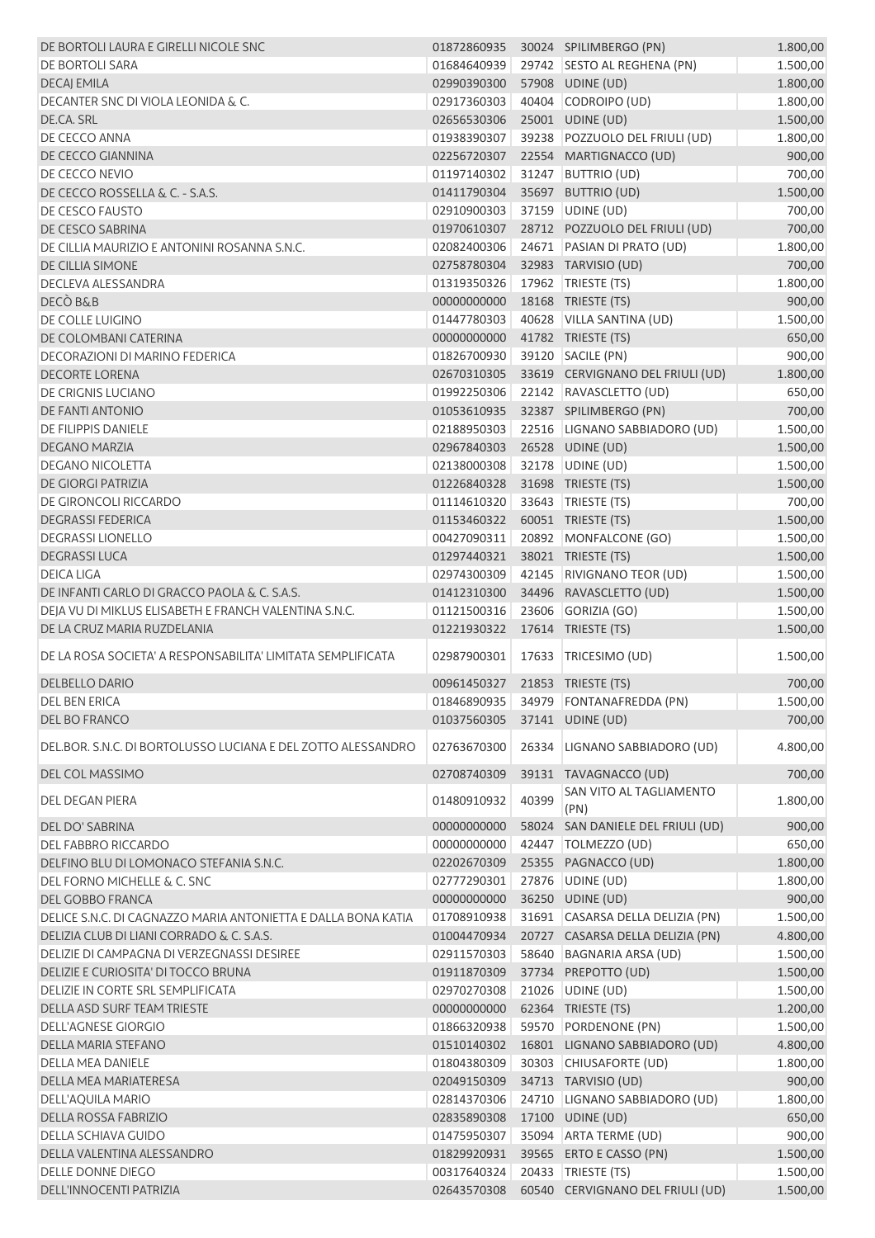| DE BORTOLI LAURA E GIRELLI NICOLE SNC                         | 01872860935                    |       | 30024 SPILIMBERGO (PN)               | 1.800,00 |
|---------------------------------------------------------------|--------------------------------|-------|--------------------------------------|----------|
| <b>DE BORTOLI SARA</b>                                        | 01684640939                    |       | 29742 SESTO AL REGHENA (PN)          | 1.500,00 |
| <b>DECAJ EMILA</b>                                            | 02990390300                    |       | 57908 UDINE (UD)                     | 1.800,00 |
| DECANTER SNC DI VIOLA LEONIDA & C.                            | 02917360303                    |       | 40404 CODROIPO (UD)                  | 1.800,00 |
| DE.CA. SRL                                                    | 02656530306                    |       | 25001 UDINE (UD)                     | 1.500,00 |
| DE CECCO ANNA                                                 | 01938390307                    |       | 39238 POZZUOLO DEL FRIULI (UD)       | 1.800,00 |
| DE CECCO GIANNINA                                             | 02256720307                    |       | 22554 MARTIGNACCO (UD)               | 900,00   |
| DE CECCO NEVIO                                                | 01197140302                    |       | 31247 BUTTRIO (UD)                   | 700,00   |
| DE CECCO ROSSELLA & C. - S.A.S.                               | 01411790304                    |       | 35697 BUTTRIO (UD)                   | 1.500,00 |
| DE CESCO FAUSTO                                               | 02910900303                    |       | 37159 UDINE (UD)                     | 700,00   |
| DE CESCO SABRINA                                              | 01970610307                    |       | 28712 POZZUOLO DEL FRIULI (UD)       | 700,00   |
| DE CILLIA MAURIZIO E ANTONINI ROSANNA S.N.C.                  | 02082400306                    |       | 24671 PASIAN DI PRATO (UD)           | 1.800,00 |
| DE CILLIA SIMONE                                              | 02758780304                    |       | 32983 TARVISIO (UD)                  | 700,00   |
| DECLEVA ALESSANDRA                                            | 01319350326                    |       | 17962 TRIESTE (TS)                   | 1.800,00 |
| DECÒ B&B                                                      | 00000000000                    |       | 18168 TRIESTE (TS)                   | 900,00   |
|                                                               | 01447780303                    |       | 40628 VILLA SANTINA (UD)             |          |
| DE COLLE LUIGINO                                              |                                |       |                                      | 1.500,00 |
| DE COLOMBANI CATERINA                                         | 00000000000                    |       | 41782 TRIESTE (TS)                   | 650,00   |
| <b>DECORAZIONI DI MARINO FEDERICA</b>                         | 01826700930                    |       | 39120 SACILE (PN)                    | 900,00   |
| <b>DECORTE LORENA</b>                                         | 02670310305                    |       | 33619 CERVIGNANO DEL FRIULI (UD)     | 1.800,00 |
| DE CRIGNIS LUCIANO                                            | 01992250306                    |       | 22142 RAVASCLETTO (UD)               | 650,00   |
| <b>DE FANTI ANTONIO</b>                                       | 01053610935                    |       | 32387 SPILIMBERGO (PN)               | 700,00   |
| DE FILIPPIS DANIELE                                           | 02188950303                    |       | 22516 LIGNANO SABBIADORO (UD)        | 1.500,00 |
| DEGANO MARZIA                                                 | 02967840303                    |       | 26528 UDINE (UD)                     | 1.500,00 |
| <b>DEGANO NICOLETTA</b>                                       | 02138000308                    |       | 32178 UDINE (UD)                     | 1.500,00 |
| DE GIORGI PATRIZIA                                            | 01226840328                    |       | 31698 TRIESTE (TS)                   | 1.500,00 |
| DE GIRONCOLI RICCARDO                                         | 01114610320                    |       | 33643 TRIESTE (TS)                   | 700,00   |
| <b>DEGRASSI FEDERICA</b>                                      | 01153460322                    |       | 60051 TRIESTE (TS)                   | 1.500,00 |
| <b>DEGRASSI LIONELLO</b>                                      | 00427090311                    |       | 20892 MONFALCONE (GO)                | 1.500,00 |
| <b>DEGRASSILUCA</b>                                           | 01297440321                    |       | 38021 TRIESTE (TS)                   | 1.500,00 |
| <b>DEICA LIGA</b>                                             | 02974300309                    |       | 42145 RIVIGNANO TEOR (UD)            | 1.500,00 |
| DE INFANTI CARLO DI GRACCO PAOLA & C. S.A.S.                  | 01412310300                    |       | 34496 RAVASCLETTO (UD)               | 1.500,00 |
| DEJA VU DI MIKLUS ELISABETH E FRANCH VALENTINA S.N.C.         | 01121500316                    |       | 23606 GORIZIA (GO)                   | 1.500,00 |
| DE LA CRUZ MARIA RUZDELANIA                                   | 01221930322                    |       | 17614 TRIESTE (TS)                   | 1.500,00 |
| DE LA ROSA SOCIETA' A RESPONSABILITA' LIMITATA SEMPLIFICATA   | 02987900301                    |       | 17633 TRICESIMO (UD)                 | 1.500,00 |
|                                                               |                                |       |                                      |          |
| <b>DELBELLO DARIO</b>                                         | 00961450327 21853 TRIESTE (TS) |       |                                      | 700,00   |
| <b>DEL BEN ERICA</b>                                          |                                |       | 01846890935 34979 FONTANAFREDDA (PN) | 1.500,00 |
| DEL BO FRANCO                                                 | 01037560305                    |       | 37141 UDINE (UD)                     | 700,00   |
| DELBOR. S.N.C. DI BORTOLUSSO LUCIANA E DEL ZOTTO ALESSANDRO   | 02763670300                    | 26334 | LIGNANO SABBIADORO (UD)              | 4.800,00 |
| DEL COL MASSIMO                                               | 02708740309                    |       | 39131 TAVAGNACCO (UD)                | 700,00   |
| <b>DEL DEGAN PIERA</b>                                        | 01480910932                    | 40399 | SAN VITO AL TAGLIAMENTO<br>(PN)      | 1.800,00 |
| DEL DO' SABRINA                                               | 00000000000                    | 58024 | SAN DANIELE DEL FRIULI (UD)          | 900,00   |
| <b>DEL FABBRO RICCARDO</b>                                    | 00000000000                    |       | 42447   TOLMEZZO (UD)                | 650,00   |
| DELFINO BLU DI LOMONACO STEFANIA S.N.C.                       | 02202670309                    |       | 25355 PAGNACCO (UD)                  | 1.800,00 |
| DEL FORNO MICHELLE & C. SNC                                   | 02777290301                    |       | 27876 UDINE (UD)                     | 1.800,00 |
| DEL GOBBO FRANCA                                              | 00000000000                    |       | 36250 UDINE (UD)                     | 900,00   |
| DELICE S.N.C. DI CAGNAZZO MARIA ANTONIETTA E DALLA BONA KATIA | 01708910938                    |       | 31691 CASARSA DELLA DELIZIA (PN)     | 1.500,00 |
| DELIZIA CLUB DI LIANI CORRADO & C. S.A.S.                     | 01004470934                    |       | 20727 CASARSA DELLA DELIZIA (PN)     | 4.800,00 |
| DELIZIE DI CAMPAGNA DI VERZEGNASSI DESIREE                    | 02911570303                    | 58640 | <b>BAGNARIA ARSA (UD)</b>            | 1.500,00 |
| DELIZIE E CURIOSITA' DI TOCCO BRUNA                           | 01911870309                    |       | 37734 PREPOTTO (UD)                  | 1.500,00 |
| DELIZIE IN CORTE SRL SEMPLIFICATA                             | 02970270308                    | 21026 | UDINE (UD)                           | 1.500,00 |
| DELLA ASD SURF TEAM TRIESTE                                   | 00000000000                    |       | 62364 TRIESTE (TS)                   | 1.200,00 |
|                                                               |                                |       |                                      |          |
| <b>DELL'AGNESE GIORGIO</b>                                    | 01866320938                    |       | 59570 PORDENONE (PN)                 | 1.500,00 |
| DELLA MARIA STEFANO                                           | 01510140302                    |       | 16801 LIGNANO SABBIADORO (UD)        | 4.800,00 |
| DELLA MEA DANIELE                                             | 01804380309                    |       | 30303 CHIUSAFORTE (UD)               | 1.800,00 |
| DELLA MEA MARIATERESA                                         | 02049150309                    |       | 34713 TARVISIO (UD)                  | 900,00   |
| DELL'AQUILA MARIO                                             | 02814370306                    |       | 24710 LIGNANO SABBIADORO (UD)        | 1.800,00 |
| DELLA ROSSA FABRIZIO                                          | 02835890308                    |       | 17100 UDINE (UD)                     | 650,00   |
| <b>DELLA SCHIAVA GUIDO</b>                                    | 01475950307                    |       | 35094 ARTA TERME (UD)                | 900,00   |
| DELLA VALENTINA ALESSANDRO                                    | 01829920931                    |       | 39565 ERTO E CASSO (PN)              | 1.500,00 |
| DELLE DONNE DIEGO                                             | 00317640324                    |       | 20433   TRIESTE (TS)                 | 1.500,00 |
| DELL'INNOCENTI PATRIZIA                                       | 02643570308                    |       | 60540 CERVIGNANO DEL FRIULI (UD)     | 1.500,00 |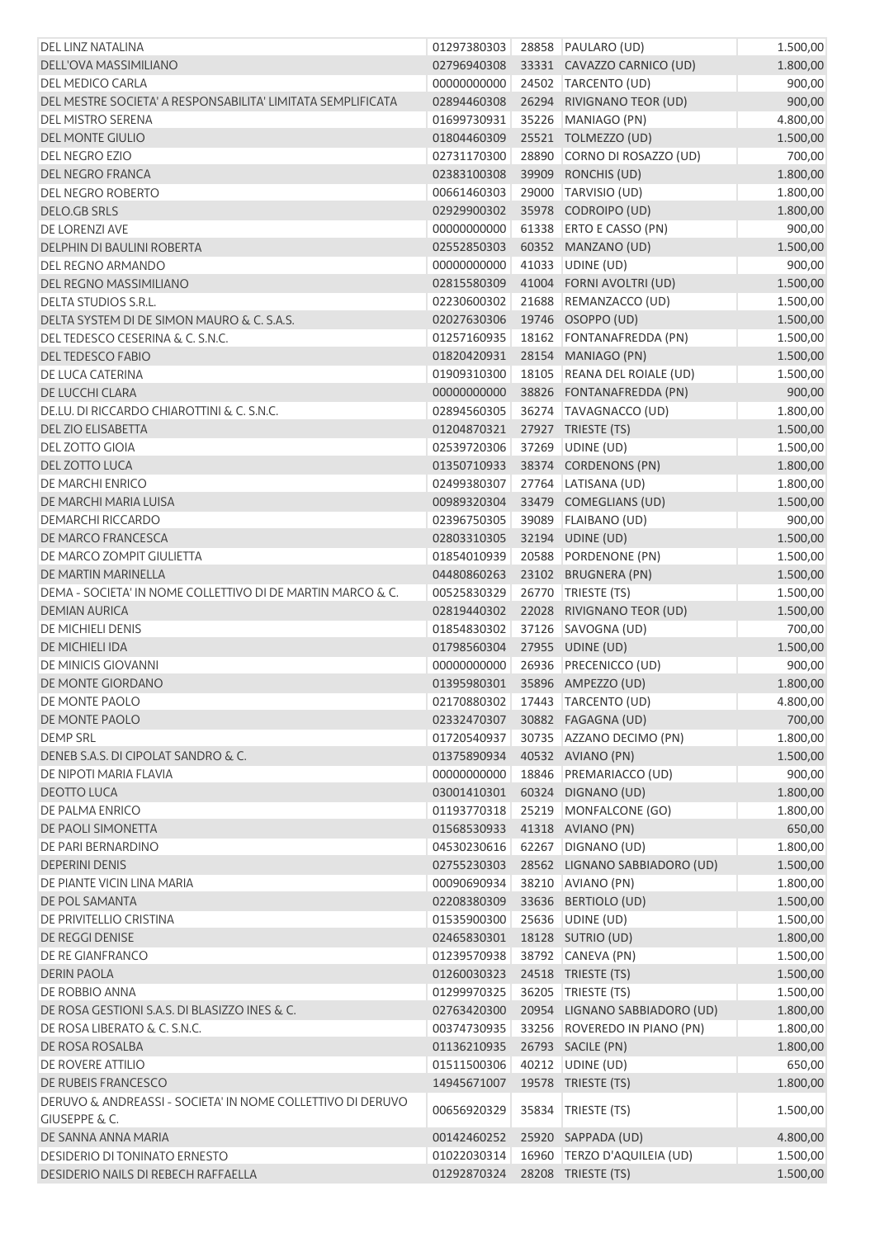| DEL LINZ NATALINA                                           | 01297380303 |       | 28858 PAULARO (UD)            | 1.500,00 |
|-------------------------------------------------------------|-------------|-------|-------------------------------|----------|
| DELL'OVA MASSIMILIANO                                       | 02796940308 |       | 33331 CAVAZZO CARNICO (UD)    | 1.800,00 |
| DEL MEDICO CARLA                                            | 00000000000 |       | 24502 TARCENTO (UD)           | 900,00   |
| DEL MESTRE SOCIETA' A RESPONSABILITA' LIMITATA SEMPLIFICATA | 02894460308 |       | 26294 RIVIGNANO TEOR (UD)     | 900,00   |
| DEL MISTRO SERENA                                           | 01699730931 |       | 35226 MANIAGO (PN)            | 4.800,00 |
| <b>DEL MONTE GIULIO</b>                                     | 01804460309 |       | 25521 TOLMEZZO (UD)           | 1.500,00 |
| <b>DEL NEGRO EZIO</b>                                       | 02731170300 |       | 28890 CORNO DI ROSAZZO (UD)   | 700,00   |
| DEL NEGRO FRANCA                                            | 02383100308 |       | 39909 RONCHIS (UD)            | 1.800,00 |
| <b>DEL NEGRO ROBERTO</b>                                    | 00661460303 | 29000 | TARVISIO (UD)                 | 1.800,00 |
| <b>DELO.GB SRLS</b>                                         | 02929900302 |       | 35978 CODROIPO (UD)           | 1.800,00 |
| DE LORENZI AVE                                              | 00000000000 |       | 61338 ERTO E CASSO (PN)       | 900,00   |
| DELPHIN DI BAULINI ROBERTA                                  | 02552850303 |       | 60352 MANZANO (UD)            | 1.500,00 |
| DEL REGNO ARMANDO                                           | 00000000000 |       | 41033 UDINE (UD)              | 900,00   |
| DEL REGNO MASSIMILIANO                                      | 02815580309 |       | 41004 FORNI AVOLTRI (UD)      | 1.500,00 |
| DELTA STUDIOS S.R.L.                                        | 02230600302 |       | 21688 REMANZACCO (UD)         | 1.500,00 |
| DELTA SYSTEM DI DE SIMON MAURO & C. S.A.S.                  | 02027630306 |       | 19746 OSOPPO (UD)             |          |
| DEL TEDESCO CESERINA & C. S.N.C.                            |             |       |                               | 1.500,00 |
|                                                             | 01257160935 |       | 18162 FONTANAFREDDA (PN)      | 1.500,00 |
| DEL TEDESCO FABIO                                           | 01820420931 |       | 28154 MANIAGO (PN)            | 1.500,00 |
| DE LUCA CATERINA                                            | 01909310300 |       | 18105 REANA DEL ROIALE (UD)   | 1.500,00 |
| DE LUCCHI CLARA                                             | 00000000000 |       | 38826 FONTANAFREDDA (PN)      | 900,00   |
| DE.LU. DI RICCARDO CHIAROTTINI & C. S.N.C.                  | 02894560305 |       | 36274 TAVAGNACCO (UD)         | 1.800,00 |
| <b>DEL ZIO ELISABETTA</b>                                   | 01204870321 |       | 27927 TRIESTE (TS)            | 1.500,00 |
| <b>DEL ZOTTO GIOIA</b>                                      | 02539720306 |       | 37269 UDINE (UD)              | 1.500,00 |
| DEL ZOTTO LUCA                                              | 01350710933 |       | 38374 CORDENONS (PN)          | 1.800,00 |
| <b>DE MARCHI ENRICO</b>                                     | 02499380307 |       | 27764 LATISANA (UD)           | 1.800,00 |
| DE MARCHI MARIA LUISA                                       | 00989320304 |       | 33479 COMEGLIANS (UD)         | 1.500,00 |
| <b>DEMARCHI RICCARDO</b>                                    | 02396750305 | 39089 | <b>FLAIBANO (UD)</b>          | 900,00   |
| DE MARCO FRANCESCA                                          | 02803310305 |       | 32194 UDINE (UD)              | 1.500,00 |
| DE MARCO ZOMPIT GIULIETTA                                   | 01854010939 |       | 20588 PORDENONE (PN)          | 1.500,00 |
| DE MARTIN MARINELLA                                         | 04480860263 |       | 23102 BRUGNERA (PN)           | 1.500,00 |
| DEMA - SOCIETA' IN NOME COLLETTIVO DI DE MARTIN MARCO & C.  | 00525830329 |       | 26770 TRIESTE (TS)            | 1.500,00 |
| <b>DEMIAN AURICA</b>                                        | 02819440302 |       | 22028 RIVIGNANO TEOR (UD)     | 1.500,00 |
| <b>DE MICHIELI DENIS</b>                                    | 01854830302 |       | 37126 SAVOGNA (UD)            | 700,00   |
| DE MICHIELI IDA                                             | 01798560304 |       | 27955 UDINE (UD)              | 1.500,00 |
| DE MINICIS GIOVANNI                                         | 00000000000 |       | 26936 PRECENICCO (UD)         | 900,00   |
| DE MONTE GIORDANO                                           | 01395980301 |       | 35896 AMPEZZO (UD)            | 1.800,00 |
| DE MONTE PAOLO                                              | 02170880302 |       | 17443   TARCENTO (UD)         | 4.800,00 |
| DE MONTE PAOLO                                              | 02332470307 |       | 30882 FAGAGNA (UD)            | 700,00   |
| <b>DEMP SRL</b>                                             | 01720540937 |       | 30735 AZZANO DECIMO (PN)      | 1.800,00 |
| DENEB S.A.S. DI CIPOLAT SANDRO & C.                         | 01375890934 |       | 40532 AVIANO (PN)             | 1.500,00 |
| DE NIPOTI MARIA FLAVIA                                      | 00000000000 |       | 18846 PREMARIACCO (UD)        | 900,00   |
| <b>DEOTTO LUCA</b>                                          |             |       |                               |          |
|                                                             | 03001410301 |       | 60324 DIGNANO (UD)            | 1.800,00 |
| <b>DE PALMA ENRICO</b>                                      | 01193770318 |       | 25219 MONFALCONE (GO)         | 1.800,00 |
| DE PAOLI SIMONETTA                                          | 01568530933 |       | 41318 AVIANO (PN)             | 650,00   |
| DE PARI BERNARDINO                                          | 04530230616 |       | 62267 DIGNANO (UD)            | 1.800,00 |
| <b>DEPERINI DENIS</b>                                       | 02755230303 |       | 28562 LIGNANO SABBIADORO (UD) | 1.500,00 |
| DE PIANTE VICIN LINA MARIA                                  | 00090690934 |       | 38210 AVIANO (PN)             | 1.800,00 |
| DE POL SAMANTA                                              | 02208380309 |       | 33636 BERTIOLO (UD)           | 1.500,00 |
| DE PRIVITELLIO CRISTINA                                     | 01535900300 |       | 25636 UDINE (UD)              | 1.500,00 |
| DE REGGI DENISE                                             | 02465830301 |       | 18128 SUTRIO (UD)             | 1.800,00 |
| DE RE GIANFRANCO                                            | 01239570938 |       | 38792 CANEVA (PN)             | 1.500,00 |
| <b>DERIN PAOLA</b>                                          | 01260030323 |       | 24518 TRIESTE (TS)            | 1.500,00 |
| DE ROBBIO ANNA                                              | 01299970325 |       | 36205   TRIESTE (TS)          | 1.500,00 |
| DE ROSA GESTIONI S.A.S. DI BLASIZZO INES & C.               | 02763420300 |       | 20954 LIGNANO SABBIADORO (UD) | 1.800,00 |
| DE ROSA LIBERATO & C. S.N.C.                                | 00374730935 |       | 33256 ROVEREDO IN PIANO (PN)  | 1.800,00 |
| DE ROSA ROSALBA                                             | 01136210935 |       | 26793 SACILE (PN)             | 1.800,00 |
| DE ROVERE ATTILIO                                           | 01511500306 |       | 40212 UDINE (UD)              | 650,00   |
| DE RUBEIS FRANCESCO                                         | 14945671007 |       | 19578 TRIESTE (TS)            | 1.800,00 |
| DERUVO & ANDREASSI - SOCIETA' IN NOME COLLETTIVO DI DERUVO  |             |       |                               |          |
| <b>GIUSEPPE &amp; C.</b>                                    | 00656920329 | 35834 | TRIESTE (TS)                  | 1.500,00 |
| DE SANNA ANNA MARIA                                         | 00142460252 |       | 25920 SAPPADA (UD)            | 4.800,00 |
| DESIDERIO DI TONINATO ERNESTO                               | 01022030314 |       | 16960 TERZO D'AQUILEIA (UD)   | 1.500,00 |
| DESIDERIO NAILS DI REBECH RAFFAELLA                         | 01292870324 |       | 28208 TRIESTE (TS)            | 1.500,00 |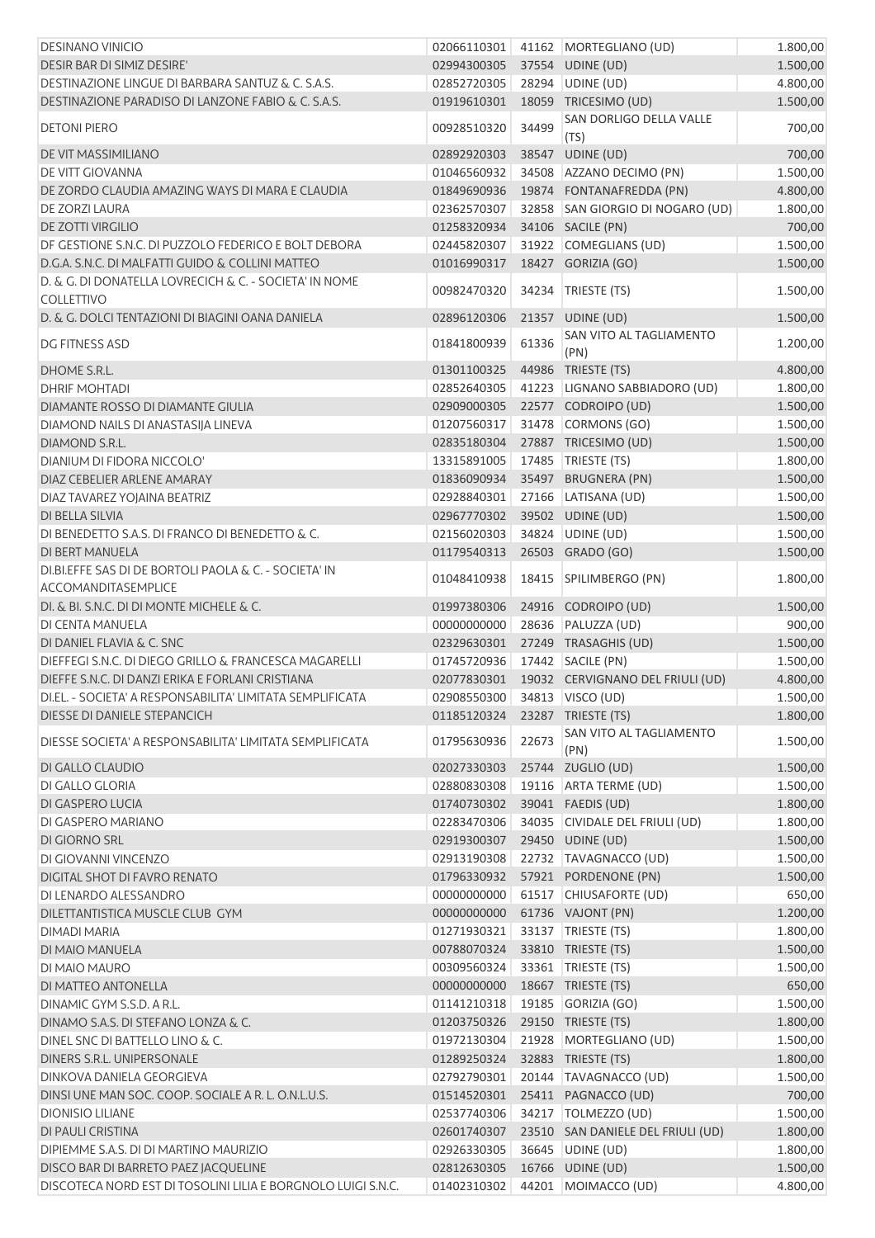| <b>DESINANO VINICIO</b>                                                     | 02066110301                  |       | 41162 MORTEGLIANO (UD)            | 1.800,00 |
|-----------------------------------------------------------------------------|------------------------------|-------|-----------------------------------|----------|
| DESIR BAR DI SIMIZ DESIRE'                                                  | 02994300305                  |       | 37554 UDINE (UD)                  | 1.500,00 |
| DESTINAZIONE LINGUE DI BARBARA SANTUZ & C. S.A.S.                           | 02852720305                  |       | 28294 UDINE (UD)                  | 4.800,00 |
| DESTINAZIONE PARADISO DI LANZONE FABIO & C. S.A.S.                          | 01919610301                  |       | 18059 TRICESIMO (UD)              | 1.500,00 |
| <b>DETONI PIERO</b>                                                         | 00928510320                  | 34499 | SAN DORLIGO DELLA VALLE<br>(TS)   | 700,00   |
| DE VIT MASSIMILIANO                                                         | 02892920303                  |       | 38547 UDINE (UD)                  | 700,00   |
| <b>DE VITT GIOVANNA</b>                                                     | 01046560932                  |       | 34508 AZZANO DECIMO (PN)          | 1.500,00 |
| DE ZORDO CLAUDIA AMAZING WAYS DI MARA E CLAUDIA                             | 01849690936                  |       | 19874 FONTANAFREDDA (PN)          | 4.800,00 |
| <b>DE ZORZI LAURA</b>                                                       | 02362570307                  |       | 32858 SAN GIORGIO DI NOGARO (UD)  | 1.800,00 |
| DE ZOTTI VIRGILIO                                                           | 01258320934                  |       | 34106 SACILE (PN)                 | 700,00   |
| DF GESTIONE S.N.C. DI PUZZOLO FEDERICO E BOLT DEBORA                        | 02445820307                  |       | 31922 COMEGLIANS (UD)             | 1.500,00 |
| D.G.A. S.N.C. DI MALFATTI GUIDO & COLLINI MATTEO                            | 01016990317                  |       | 18427 GORIZIA (GO)                | 1.500,00 |
| D. & G. DI DONATELLA LOVRECICH & C. - SOCIETA' IN NOME<br><b>COLLETTIVO</b> | 00982470320                  | 34234 | TRIESTE (TS)                      | 1.500,00 |
| D. & G. DOLCI TENTAZIONI DI BIAGINI OANA DANIELA                            | 02896120306                  |       | 21357 UDINE (UD)                  | 1.500,00 |
| <b>DG FITNESS ASD</b>                                                       | 01841800939                  | 61336 | SAN VITO AL TAGLIAMENTO<br>(PN)   | 1.200,00 |
| DHOME S.R.L.                                                                | 01301100325                  |       | 44986 TRIESTE (TS)                | 4.800,00 |
| <b>DHRIF MOHTADI</b>                                                        | 02852640305                  |       | 41223 LIGNANO SABBIADORO (UD)     | 1.800,00 |
| DIAMANTE ROSSO DI DIAMANTE GIULIA                                           | 02909000305                  |       | 22577 CODROIPO (UD)               | 1.500,00 |
| DIAMOND NAILS DI ANASTASIJA LINEVA                                          | 01207560317                  |       | 31478 CORMONS (GO)                | 1.500,00 |
| DIAMOND S.R.L.                                                              | 02835180304                  |       | 27887 TRICESIMO (UD)              | 1.500,00 |
| DIANIUM DI FIDORA NICCOLO'                                                  | 13315891005                  |       | 17485   TRIESTE (TS)              | 1.800,00 |
| DIAZ CEBELIER ARLENE AMARAY                                                 | 01836090934                  |       | 35497 BRUGNERA (PN)               | 1.500,00 |
| DIAZ TAVAREZ YOJAINA BEATRIZ                                                | 02928840301                  |       | 27166 LATISANA (UD)               | 1.500,00 |
| <b>DI BELLA SILVIA</b>                                                      | 02967770302                  |       | 39502 UDINE (UD)                  | 1.500,00 |
| DI BENEDETTO S.A.S. DI FRANCO DI BENEDETTO & C.                             | 02156020303                  |       | 34824 UDINE (UD)                  | 1.500,00 |
| DI BERT MANUELA                                                             | 01179540313                  |       | 26503 GRADO (GO)                  | 1.500,00 |
| DI.BI.EFFE SAS DI DE BORTOLI PAOLA & C. - SOCIETA' IN                       | 01048410938                  |       | 18415   SPILIMBERGO (PN)          | 1.800,00 |
| ACCOMANDITASEMPLICE<br>DI. & BI. S.N.C. DI DI MONTE MICHELE & C.            | 01997380306                  |       | 24916 CODROIPO (UD)               | 1.500,00 |
| DI CENTA MANUELA                                                            | 00000000000                  |       | 28636 PALUZZA (UD)                | 900,00   |
| DI DANIEL FLAVIA & C. SNC                                                   | 02329630301                  |       | 27249 TRASAGHIS (UD)              | 1.500,00 |
| DIEFFEGI S.N.C. DI DIEGO GRILLO & FRANCESCA MAGARELLI                       | 01745720936                  |       | 17442 SACILE (PN)                 | 1.500,00 |
| DIEFFE S.N.C. DI DANZI ERIKA E FORLANI CRISTIANA                            | 02077830301                  |       | 19032 CERVIGNANO DEL FRIULI (UD)  | 4.800,00 |
| DI.EL. - SOCIETA' A RESPONSABILITA' LIMITATA SEMPLIFICATA                   | 02908550300 34813 VISCO (UD) |       |                                   | 1.500,00 |
| DIESSE DI DANIELE STEPANCICH                                                | 01185120324                  |       | 23287 TRIESTE (TS)                | 1.800,00 |
|                                                                             |                              |       | SAN VITO AL TAGLIAMENTO           |          |
| DIESSE SOCIETA' A RESPONSABILITA' LIMITATA SEMPLIFICATA                     | 01795630936                  | 22673 | (PN)                              | 1.500,00 |
| DI GALLO CLAUDIO                                                            | 02027330303                  |       | 25744 ZUGLIO (UD)                 | 1.500,00 |
| DI GALLO GLORIA                                                             | 02880830308                  |       | 19116 ARTA TERME (UD)             | 1.500,00 |
| DI GASPERO LUCIA                                                            | 01740730302                  |       | 39041 FAEDIS (UD)                 | 1.800,00 |
| DI GASPERO MARIANO                                                          | 02283470306                  |       | 34035 CIVIDALE DEL FRIULI (UD)    | 1.800,00 |
| DI GIORNO SRL                                                               | 02919300307                  |       | 29450 UDINE (UD)                  | 1.500,00 |
| DI GIOVANNI VINCENZO                                                        | 02913190308                  |       | 22732 TAVAGNACCO (UD)             | 1.500,00 |
| DIGITAL SHOT DI FAVRO RENATO                                                | 01796330932                  |       | 57921 PORDENONE (PN)              | 1.500,00 |
| DI LENARDO ALESSANDRO                                                       | 00000000000                  |       | 61517 CHIUSAFORTE (UD)            | 650,00   |
| DILETTANTISTICA MUSCLE CLUB GYM                                             | 00000000000                  |       | 61736 VAJONT (PN)                 | 1.200,00 |
| DIMADI MARIA                                                                | 01271930321                  |       | 33137   TRIESTE (TS)              | 1.800,00 |
| DI MAIO MANUELA                                                             | 00788070324                  |       | 33810 TRIESTE (TS)                | 1.500,00 |
| DI MAIO MAURO                                                               | 00309560324                  |       | 33361   TRIESTE (TS)              | 1.500,00 |
| DI MATTEO ANTONELLA                                                         | 00000000000                  |       | 18667 TRIESTE (TS)                | 650,00   |
| DINAMIC GYM S.S.D. A R.L.                                                   | 01141210318                  |       | 19185 GORIZIA (GO)                | 1.500,00 |
| DINAMO S.A.S. DI STEFANO LONZA & C.                                         | 01203750326                  |       | 29150 TRIESTE (TS)                | 1.800,00 |
| DINEL SNC DI BATTELLO LINO & C.                                             | 01972130304                  |       | 21928 MORTEGLIANO (UD)            | 1.500,00 |
| DINERS S.R.L. UNIPERSONALE                                                  | 01289250324                  |       | 32883 TRIESTE (TS)                | 1.800,00 |
| <b>DINKOVA DANIELA GEORGIEVA</b>                                            | 02792790301                  |       | 20144   TAVAGNACCO (UD)           | 1.500,00 |
| DINSI UNE MAN SOC. COOP. SOCIALE A R. L. O.N.L.U.S.                         | 01514520301                  |       | 25411 PAGNACCO (UD)               | 700,00   |
| <b>DIONISIO LILIANE</b>                                                     | 02537740306                  |       | 34217 TOLMEZZO (UD)               | 1.500,00 |
| DI PAULI CRISTINA                                                           | 02601740307                  |       | 23510 SAN DANIELE DEL FRIULI (UD) | 1.800,00 |
| DIPIEMME S.A.S. DI DI MARTINO MAURIZIO                                      | 02926330305                  |       | 36645 UDINE (UD)                  | 1.800,00 |
| DISCO BAR DI BARRETO PAEZ JACQUELINE                                        | 02812630305                  |       | 16766 UDINE (UD)                  | 1.500,00 |
| DISCOTECA NORD EST DI TOSOLINI LILIA E BORGNOLO LUIGI S.N.C.                | 01402310302                  |       | 44201 MOIMACCO (UD)               | 4.800,00 |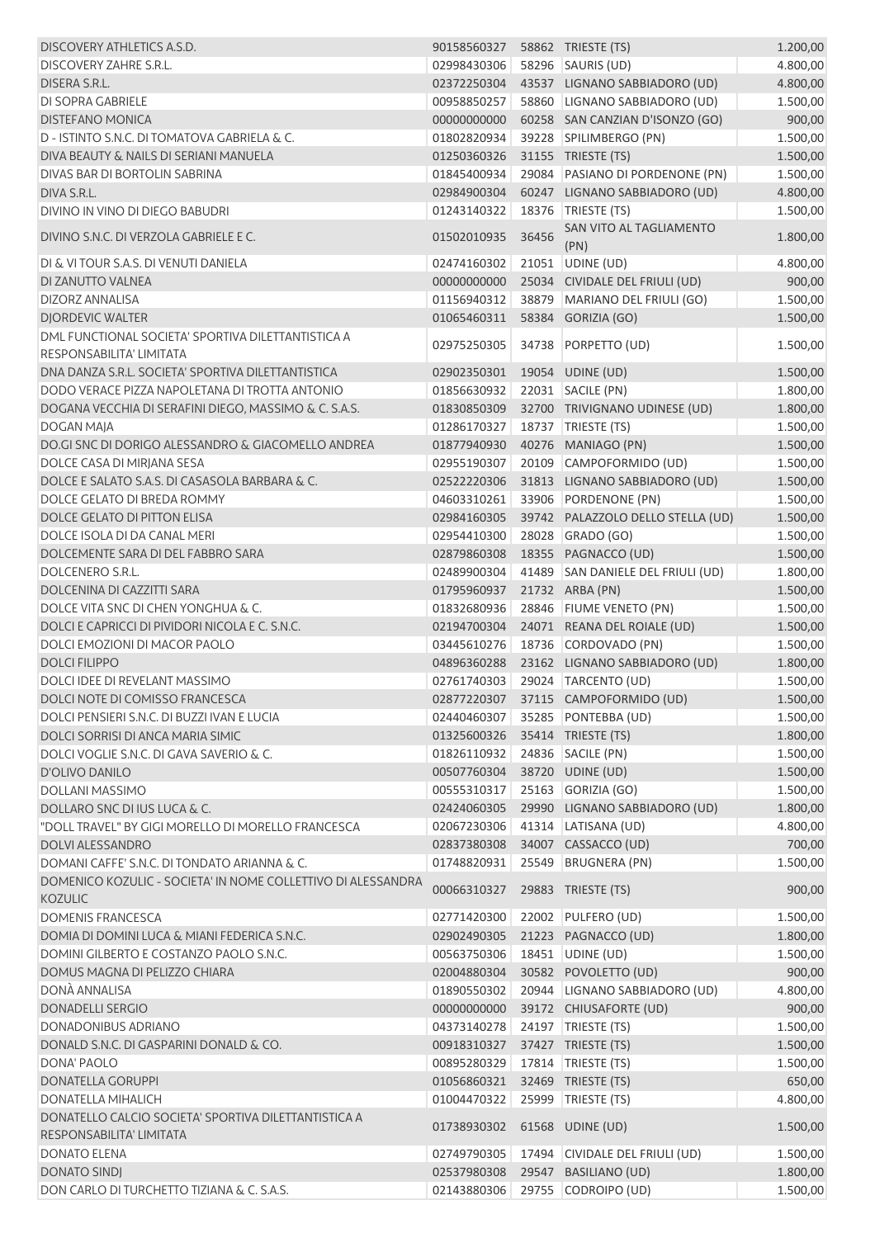| DISCOVERY ATHLETICS A.S.D.                                                            | 90158560327    58862    TRIESTE (TS) |       |                                     | 1.200,00 |
|---------------------------------------------------------------------------------------|--------------------------------------|-------|-------------------------------------|----------|
| <b>DISCOVERY ZAHRE S.R.L.</b>                                                         | 02998430306                          |       | 58296 SAURIS (UD)                   | 4.800,00 |
| DISERA S.R.L.                                                                         | 02372250304                          |       | 43537 LIGNANO SABBIADORO (UD)       | 4.800,00 |
| <b>DI SOPRA GABRIELE</b>                                                              | 00958850257                          |       | 58860 LIGNANO SABBIADORO (UD)       | 1.500,00 |
| <b>DISTEFANO MONICA</b>                                                               | 00000000000                          |       | 60258 SAN CANZIAN D'ISONZO (GO)     | 900,00   |
| D - ISTINTO S.N.C. DI TOMATOVA GABRIELA & C.                                          | 01802820934                          |       | 39228 SPILIMBERGO (PN)              | 1.500,00 |
| DIVA BEAUTY & NAILS DI SERIANI MANUELA                                                | 01250360326                          |       | 31155 TRIESTE (TS)                  | 1.500,00 |
| DIVAS BAR DI BORTOLIN SABRINA                                                         | 01845400934                          |       | 29084 PASIANO DI PORDENONE (PN)     | 1.500,00 |
| DIVA S.R.L.                                                                           | 02984900304                          |       | 60247 LIGNANO SABBIADORO (UD)       | 4.800,00 |
| DIVINO IN VINO DI DIEGO BABUDRI                                                       | 01243140322                          | 18376 | TRIESTE (TS)                        | 1.500,00 |
| DIVINO S.N.C. DI VERZOLA GABRIELE E C.                                                | 01502010935                          | 36456 | SAN VITO AL TAGLIAMENTO<br>(PN)     | 1.800,00 |
| DI & VI TOUR S.A.S. DI VENUTI DANIELA                                                 | 02474160302                          |       | 21051 UDINE (UD)                    | 4.800,00 |
| DI ZANUTTO VALNEA                                                                     | 00000000000                          |       | 25034 CIVIDALE DEL FRIULI (UD)      | 900,00   |
| <b>DIZORZ ANNALISA</b>                                                                | 01156940312                          |       | 38879 MARIANO DEL FRIULI (GO)       | 1.500,00 |
| <b>DJORDEVIC WALTER</b>                                                               | 01065460311                          |       | 58384 GORIZIA (GO)                  | 1.500,00 |
| DML FUNCTIONAL SOCIETA' SPORTIVA DILETTANTISTICA A<br><b>RESPONSABILITA' LIMITATA</b> | 02975250305                          |       | 34738 PORPETTO (UD)                 | 1.500,00 |
| DNA DANZA S.R.L. SOCIETA' SPORTIVA DILETTANTISTICA                                    | 02902350301                          |       | 19054 UDINE (UD)                    | 1.500,00 |
| DODO VERACE PIZZA NAPOLETANA DI TROTTA ANTONIO                                        | 01856630932                          |       | 22031 SACILE (PN)                   | 1.800,00 |
| DOGANA VECCHIA DI SERAFINI DIEGO, MASSIMO & C. S.A.S.                                 | 01830850309                          |       | 32700 TRIVIGNANO UDINESE (UD)       | 1.800,00 |
| <b>DOGAN MAJA</b>                                                                     | 01286170327                          |       | 18737 TRIESTE (TS)                  | 1.500,00 |
| DO.GI SNC DI DORIGO ALESSANDRO & GIACOMELLO ANDREA                                    | 01877940930                          |       | 40276 MANIAGO (PN)                  | 1.500,00 |
| DOLCE CASA DI MIRJANA SESA                                                            | 02955190307                          |       | 20109 CAMPOFORMIDO (UD)             | 1.500,00 |
| DOLCE E SALATO S.A.S. DI CASASOLA BARBARA & C.                                        | 02522220306                          |       | 31813 LIGNANO SABBIADORO (UD)       | 1.500,00 |
| DOLCE GELATO DI BREDA ROMMY                                                           | 04603310261                          |       | 33906 PORDENONE (PN)                | 1.500,00 |
| DOLCE GELATO DI PITTON ELISA                                                          | 02984160305                          |       | 39742 PALAZZOLO DELLO STELLA (UD)   | 1.500,00 |
| DOLCE ISOLA DI DA CANAL MERI                                                          | 02954410300                          |       | 28028 GRADO (GO)                    | 1.500,00 |
| DOLCEMENTE SARA DI DEL FABBRO SARA                                                    | 02879860308                          |       | 18355 PAGNACCO (UD)                 | 1.500,00 |
| DOLCENERO S.R.L.                                                                      | 02489900304                          |       | 41489 SAN DANIELE DEL FRIULI (UD)   | 1.800,00 |
| DOLCENINA DI CAZZITTI SARA                                                            | 01795960937                          |       | 21732 ARBA (PN)                     | 1.500,00 |
| DOLCE VITA SNC DI CHEN YONGHUA & C.                                                   | 01832680936                          |       | 28846 FIUME VENETO (PN)             | 1.500,00 |
| DOLCI E CAPRICCI DI PIVIDORI NICOLA E C. S.N.C.                                       | 02194700304                          |       | 24071 REANA DEL ROIALE (UD)         | 1.500,00 |
| DOLCI EMOZIONI DI MACOR PAOLO                                                         | 03445610276                          |       | 18736 CORDOVADO (PN)                | 1.500,00 |
| <b>DOLCI FILIPPO</b>                                                                  | 04896360288                          |       | 23162 LIGNANO SABBIADORO (UD)       | 1.800,00 |
| DOLCI IDEE DI REVELANT MASSIMO                                                        | 02761740303                          |       | 29024 TARCENTO (UD)                 | 1.500,00 |
| DOLCI NOTE DI COMISSO FRANCESCA                                                       |                                      |       | 02877220307 37115 CAMPOFORMIDO (UD) | 1.500,00 |
| DOLCI PENSIERI S.N.C. DI BUZZI IVAN E LUCIA                                           | 02440460307                          |       | 35285 PONTEBBA (UD)                 | 1.500,00 |
| DOLCI SORRISI DI ANCA MARIA SIMIC                                                     | 01325600326                          |       | 35414 TRIESTE (TS)                  | 1.800,00 |
| DOLCI VOGLIE S.N.C. DI GAVA SAVERIO & C.                                              | 01826110932                          |       | 24836 SACILE (PN)                   | 1.500,00 |
| D'OLIVO DANILO                                                                        | 00507760304                          |       | 38720 UDINE (UD)                    | 1.500,00 |
| <b>DOLLANI MASSIMO</b>                                                                | 00555310317                          |       | 25163 GORIZIA (GO)                  | 1.500,00 |
| DOLLARO SNC DI IUS LUCA & C.                                                          | 02424060305                          |       | 29990 LIGNANO SABBIADORO (UD)       | 1.800,00 |
| "DOLL TRAVEL" BY GIGI MORELLO DI MORELLO FRANCESCA                                    | 02067230306                          |       | 41314 LATISANA (UD)                 | 4.800,00 |
| <b>DOLVI ALESSANDRO</b>                                                               | 02837380308                          |       | 34007 CASSACCO (UD)                 | 700,00   |
| DOMANI CAFFE' S.N.C. DI TONDATO ARIANNA & C.                                          | 01748820931                          |       | 25549 BRUGNERA (PN)                 | 1.500,00 |
| DOMENICO KOZULIC - SOCIETA' IN NOME COLLETTIVO DI ALESSANDRA<br><b>KOZULIC</b>        | 00066310327                          |       | 29883 TRIESTE (TS)                  | 900,00   |
| <b>DOMENIS FRANCESCA</b>                                                              | 02771420300                          | 22002 | PULFERO (UD)                        | 1.500,00 |
| DOMIA DI DOMINI LUCA & MIANI FEDERICA S.N.C.                                          | 02902490305                          |       | 21223 PAGNACCO (UD)                 | 1.800,00 |
| DOMINI GILBERTO E COSTANZO PAOLO S.N.C.                                               | 00563750306                          |       | 18451 UDINE (UD)                    | 1.500,00 |
| DOMUS MAGNA DI PELIZZO CHIARA                                                         | 02004880304                          |       | 30582 POVOLETTO (UD)                | 900,00   |
| DONÀ ANNALISA                                                                         | 01890550302                          |       | 20944 LIGNANO SABBIADORO (UD)       | 4.800,00 |
| <b>DONADELLI SERGIO</b>                                                               | 00000000000                          |       | 39172 CHIUSAFORTE (UD)              | 900,00   |
| DONADONIBUS ADRIANO                                                                   | 04373140278                          |       | 24197   TRIESTE (TS)                | 1.500,00 |
| DONALD S.N.C. DI GASPARINI DONALD & CO.                                               | 00918310327                          |       | 37427 TRIESTE (TS)                  | 1.500,00 |
| DONA' PAOLO                                                                           | 00895280329                          |       | 17814   TRIESTE (TS)                | 1.500,00 |
| <b>DONATELLA GORUPPI</b>                                                              | 01056860321                          |       | 32469 TRIESTE (TS)                  | 650,00   |
| <b>DONATELLA MIHALICH</b>                                                             | 01004470322                          |       | 25999 TRIESTE (TS)                  | 4.800,00 |
| DONATELLO CALCIO SOCIETA' SPORTIVA DILETTANTISTICA A                                  |                                      |       |                                     |          |
| RESPONSABILITA' LIMITATA                                                              | 01738930302                          |       | 61568 UDINE (UD)                    | 1.500,00 |
| <b>DONATO ELENA</b>                                                                   | 02749790305                          |       | 17494 CIVIDALE DEL FRIULI (UD)      | 1.500,00 |
| <b>DONATO SINDJ</b>                                                                   | 02537980308                          |       | 29547 BASILIANO (UD)                | 1.800,00 |
| DON CARLO DI TURCHETTO TIZIANA & C. S.A.S.                                            | 02143880306                          |       | 29755 CODROIPO (UD)                 | 1.500,00 |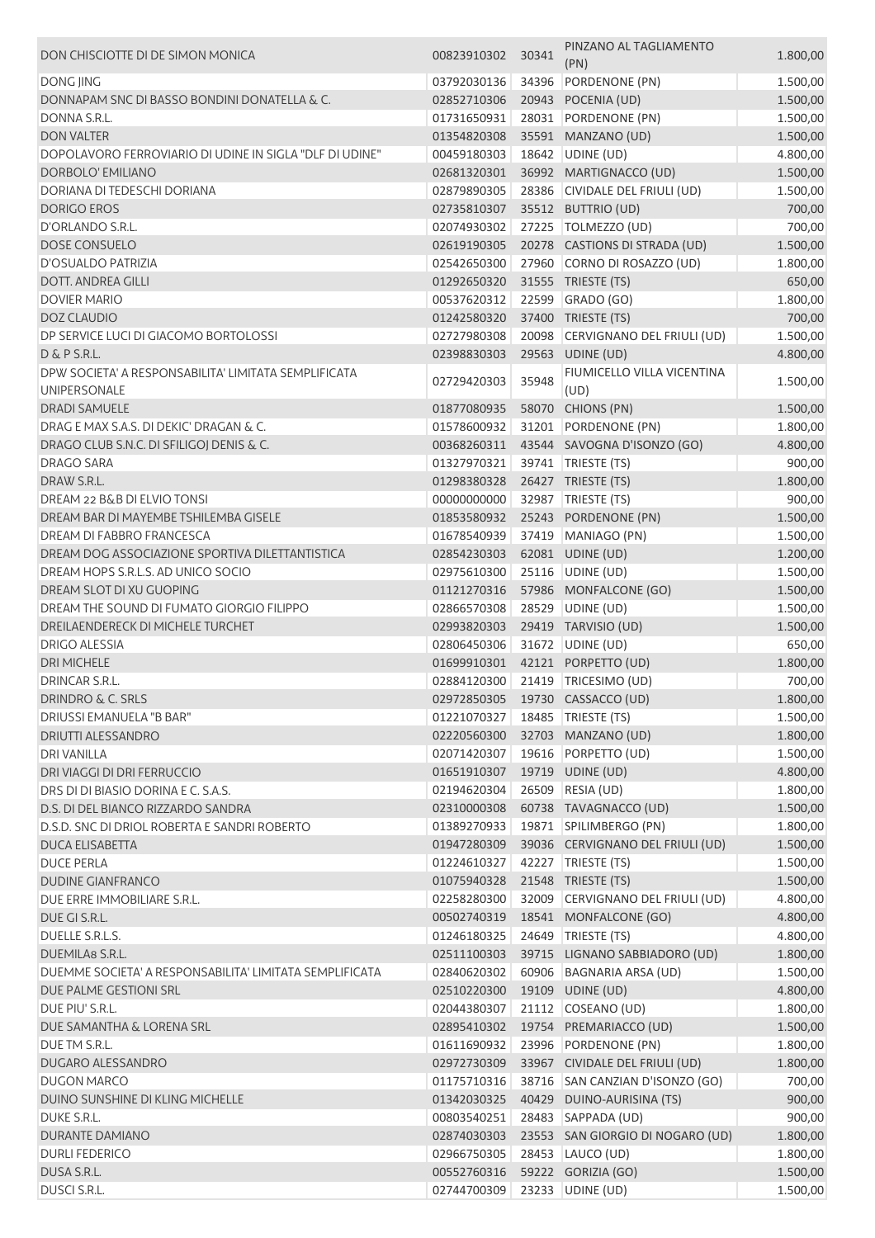| DON CHISCIOTTE DI DE SIMON MONICA                       | 00823910302                        | 30341 | PINZANO AL TAGLIAMENTO<br>(PN)   | 1.800,00 |
|---------------------------------------------------------|------------------------------------|-------|----------------------------------|----------|
| <b>DONG JING</b>                                        | 03792030136                        | 34396 | PORDENONE (PN)                   | 1.500,00 |
| DONNAPAM SNC DI BASSO BONDINI DONATELLA & C.            | 02852710306                        |       | 20943 POCENIA (UD)               | 1.500,00 |
| DONNA S.R.L.                                            |                                    |       |                                  |          |
|                                                         | 01731650931                        |       | 28031 PORDENONE (PN)             | 1.500,00 |
| <b>DON VALTER</b>                                       | 01354820308                        |       | 35591 MANZANO (UD)               | 1.500,00 |
| DOPOLAVORO FERROVIARIO DI UDINE IN SIGLA "DLF DI UDINE" | 00459180303                        |       | 18642 UDINE (UD)                 | 4.800,00 |
| DORBOLO' EMILIANO                                       | 02681320301                        |       | 36992 MARTIGNACCO (UD)           | 1.500,00 |
| DORIANA DI TEDESCHI DORIANA                             | 02879890305                        |       | 28386 CIVIDALE DEL FRIULI (UD)   | 1.500,00 |
| <b>DORIGO EROS</b>                                      | 02735810307                        |       | 35512 BUTTRIO (UD)               | 700,00   |
| D'ORLANDO S.R.L.                                        | 02074930302                        |       | 27225 TOLMEZZO (UD)              | 700,00   |
| <b>DOSE CONSUELO</b>                                    | 02619190305                        |       | 20278 CASTIONS DI STRADA (UD)    | 1.500,00 |
| D'OSUALDO PATRIZIA                                      | 02542650300                        |       | 27960 CORNO DI ROSAZZO (UD)      | 1.800,00 |
| <b>DOTT. ANDREA GILLI</b>                               | 01292650320                        |       | 31555 TRIESTE (TS)               | 650,00   |
| <b>DOVIER MARIO</b>                                     | 00537620312                        | 22599 | GRADO (GO)                       | 1.800,00 |
| <b>DOZ CLAUDIO</b>                                      | 01242580320                        |       | 37400 TRIESTE (TS)               | 700,00   |
| DP SERVICE LUCI DI GIACOMO BORTOLOSSI                   | 02727980308                        | 20098 | CERVIGNANO DEL FRIULI (UD)       | 1.500,00 |
| D & P S.R.L.                                            | 02398830303                        |       | 29563 UDINE (UD)                 | 4.800,00 |
| DPW SOCIETA' A RESPONSABILITA' LIMITATA SEMPLIFICATA    | 02729420303                        | 35948 | FIUMICELLO VILLA VICENTINA       | 1.500,00 |
| UNIPERSONALE                                            |                                    |       | (UD)                             |          |
| <b>DRADI SAMUELE</b>                                    | 01877080935                        |       | 58070 CHIONS (PN)                | 1.500,00 |
| DRAG E MAX S.A.S. DI DEKIC' DRAGAN & C.                 | 01578600932                        |       | 31201 PORDENONE (PN)             | 1.800,00 |
| DRAGO CLUB S.N.C. DI SFILIGOJ DENIS & C.                | 00368260311                        |       | 43544 SAVOGNA D'ISONZO (GO)      | 4.800,00 |
| <b>DRAGO SARA</b>                                       | 01327970321                        |       | 39741 TRIESTE (TS)               | 900,00   |
| DRAW S.R.L.                                             | 01298380328                        |       | 26427 TRIESTE (TS)               | 1.800,00 |
| DREAM 22 B&B DI ELVIO TONSI                             | 00000000000                        | 32987 | TRIESTE (TS)                     | 900,00   |
| DREAM BAR DI MAYEMBE TSHILEMBA GISELE                   | 01853580932                        |       | 25243 PORDENONE (PN)             | 1.500,00 |
| DREAM DI FABBRO FRANCESCA                               | 01678540939                        | 37419 | MANIAGO (PN)                     | 1.500,00 |
| DREAM DOG ASSOCIAZIONE SPORTIVA DILETTANTISTICA         | 02854230303                        |       | 62081 UDINE (UD)                 | 1.200,00 |
| DREAM HOPS S.R.L.S. AD UNICO SOCIO                      | 02975610300                        |       | 25116 UDINE (UD)                 | 1.500,00 |
| DREAM SLOT DI XU GUOPING                                | 01121270316                        |       | 57986 MONFALCONE (GO)            | 1.500,00 |
| DREAM THE SOUND DI FUMATO GIORGIO FILIPPO               | 02866570308                        | 28529 | UDINE (UD)                       | 1.500,00 |
| DREILAENDERECK DI MICHELE TURCHET                       | 02993820303                        |       | 29419 TARVISIO (UD)              | 1.500,00 |
| <b>DRIGO ALESSIA</b>                                    | 02806450306                        | 31672 | UDINE (UD)                       | 650,00   |
| <b>DRI MICHELE</b>                                      | 01699910301                        |       | 42121 PORPETTO (UD)              | 1.800,00 |
| <b>DRINCAR S.R.L.</b>                                   | 02884120300                        |       | 21419 TRICESIMO (UD)             | 700,00   |
| <b>DRINDRO &amp; C. SRLS</b>                            |                                    |       | 02972850305 19730 CASSACCO (UD)  | 1.800,00 |
| DRIUSSI EMANUELA "B BAR"                                | 01221070327   18485   TRIESTE (TS) |       |                                  | 1.500,00 |
| <b>DRIUTTI ALESSANDRO</b>                               | 02220560300                        |       | 32703 MANZANO (UD)               | 1.800,00 |
| <b>DRI VANILLA</b>                                      | 02071420307                        |       | 19616 PORPETTO (UD)              | 1.500,00 |
| DRI VIAGGI DI DRI FERRUCCIO                             | 01651910307                        |       | 19719 UDINE (UD)                 | 4.800,00 |
| DRS DI DI BIASIO DORINA E C. S.A.S.                     | 02194620304                        |       | 26509 RESIA (UD)                 | 1.800,00 |
| D.S. DI DEL BIANCO RIZZARDO SANDRA                      | 02310000308                        |       | 60738 TAVAGNACCO (UD)            | 1.500,00 |
| D.S.D. SNC DI DRIOL ROBERTA E SANDRI ROBERTO            | 01389270933                        |       | 19871 SPILIMBERGO (PN)           | 1.800,00 |
| <b>DUCA ELISABETTA</b>                                  | 01947280309                        |       | 39036 CERVIGNANO DEL FRIULI (UD) | 1.500,00 |
| <b>DUCE PERLA</b>                                       | 01224610327                        |       | 42227 TRIESTE (TS)               | 1.500,00 |
| <b>DUDINE GIANFRANCO</b>                                | 01075940328                        |       | 21548 TRIESTE (TS)               | 1.500,00 |
|                                                         |                                    |       |                                  |          |
| DUE ERRE IMMOBILIARE S.R.L.                             | 02258280300                        |       | 32009 CERVIGNANO DEL FRIULI (UD) | 4.800,00 |
| DUE GI S.R.L.                                           | 00502740319                        |       | 18541 MONFALCONE (GO)            | 4.800,00 |
| DUELLE S.R.L.S.                                         | 01246180325                        |       | 24649 TRIESTE (TS)               | 4.800,00 |
| DUEMILA8 S.R.L.                                         | 02511100303                        |       | 39715 LIGNANO SABBIADORO (UD)    | 1.800,00 |
| DUEMME SOCIETA' A RESPONSABILITA' LIMITATA SEMPLIFICATA | 02840620302                        |       | 60906 BAGNARIA ARSA (UD)         | 1.500,00 |
| DUE PALME GESTIONI SRL                                  | 02510220300                        |       | 19109 UDINE (UD)                 | 4.800,00 |
| DUE PIU' S.R.L.                                         | 02044380307                        |       | 21112 COSEANO (UD)               | 1.800,00 |
| DUE SAMANTHA & LORENA SRL                               | 02895410302                        |       | 19754 PREMARIACCO (UD)           | 1.500,00 |
| DUE TM S.R.L.                                           | 01611690932                        |       | 23996 PORDENONE (PN)             | 1.800,00 |
| DUGARO ALESSANDRO                                       | 02972730309                        |       | 33967 CIVIDALE DEL FRIULI (UD)   | 1.800,00 |
| <b>DUGON MARCO</b>                                      | 01175710316                        |       | 38716 SAN CANZIAN D'ISONZO (GO)  | 700,00   |
| DUINO SUNSHINE DI KLING MICHELLE                        | 01342030325                        |       | 40429 DUINO-AURISINA (TS)        | 900,00   |
| DUKE S.R.L.                                             | 00803540251                        |       | 28483 SAPPADA (UD)               | 900,00   |
| DURANTE DAMIANO                                         | 02874030303                        |       | 23553 SAN GIORGIO DI NOGARO (UD) | 1.800,00 |
| <b>DURLI FEDERICO</b>                                   | 02966750305                        |       | 28453 LAUCO (UD)                 | 1.800,00 |
| DUSA S.R.L.                                             | 00552760316                        |       | 59222 GORIZIA (GO)               | 1.500,00 |
| DUSCI S.R.L.                                            | 02744700309                        |       | 23233 UDINE (UD)                 | 1.500,00 |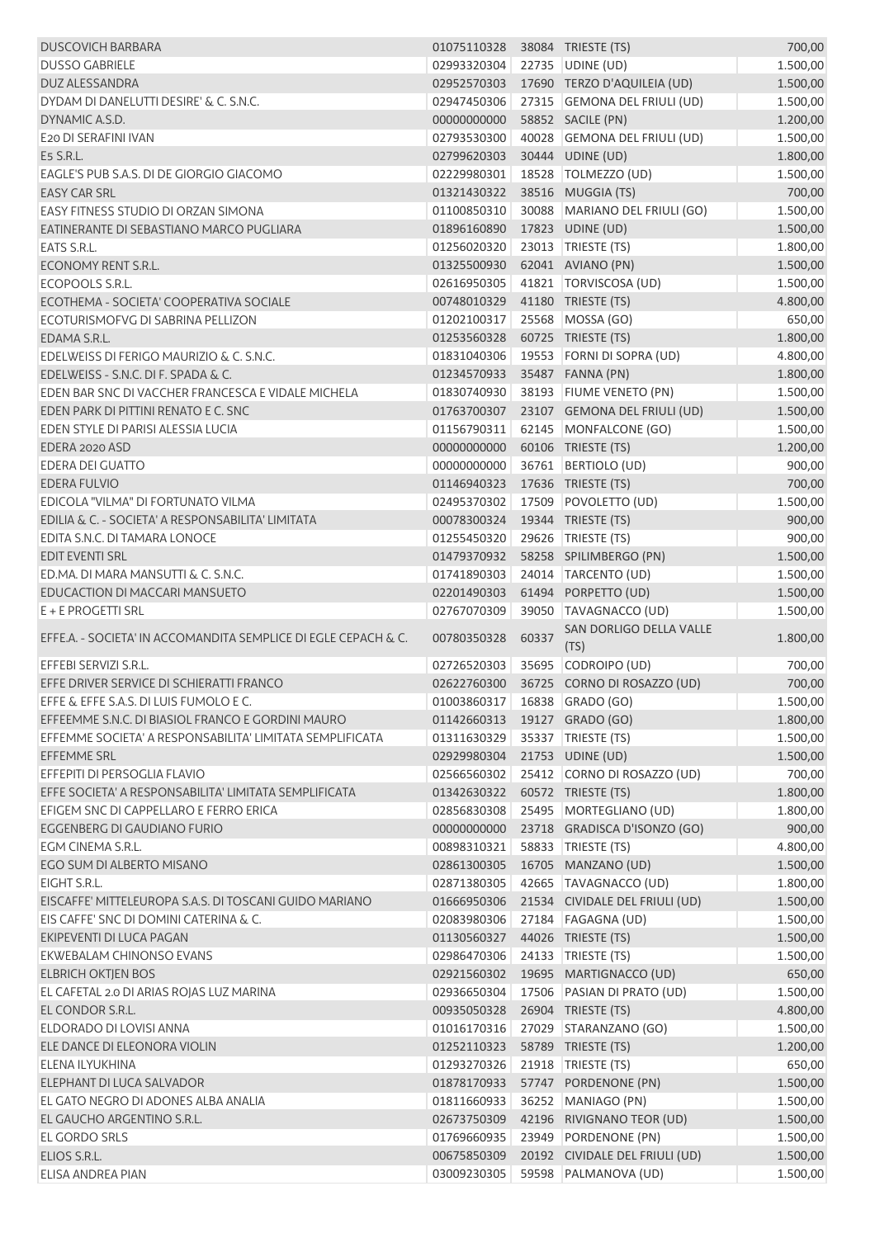| <b>DUSCOVICH BARBARA</b>                                       | 01075110328 38084 TRIESTE (TS) |       |                                                  | 700,00               |
|----------------------------------------------------------------|--------------------------------|-------|--------------------------------------------------|----------------------|
| <b>DUSSO GABRIELE</b>                                          | 02993320304                    |       | 22735 UDINE (UD)                                 | 1.500,00             |
| DUZ ALESSANDRA                                                 | 02952570303                    |       | 17690 TERZO D'AQUILEIA (UD)                      | 1.500,00             |
| DYDAM DI DANELUTTI DESIRE' & C. S.N.C.                         | 02947450306                    |       | 27315 GEMONA DEL FRIULI (UD)                     | 1.500,00             |
| DYNAMIC A.S.D.                                                 | 00000000000                    |       | 58852 SACILE (PN)                                | 1.200,00             |
| E20 DI SERAFINI IVAN                                           | 02793530300                    |       | 40028 GEMONA DEL FRIULI (UD)                     | 1.500,00             |
| E5 S.R.L.                                                      | 02799620303                    |       | 30444 UDINE (UD)                                 | 1.800,00             |
| EAGLE'S PUB S.A.S. DI DE GIORGIO GIACOMO                       | 02229980301                    |       | 18528   TOLMEZZO (UD)                            | 1.500,00             |
| <b>EASY CAR SRL</b>                                            | 01321430322                    |       | 38516 MUGGIA (TS)                                | 700,00               |
| EASY FITNESS STUDIO DI ORZAN SIMONA                            | 01100850310                    |       | 30088 MARIANO DEL FRIULI (GO)                    | 1.500,00             |
| EATINERANTE DI SEBASTIANO MARCO PUGLIARA                       | 01896160890                    |       | 17823 UDINE (UD)                                 | 1.500,00             |
| EATS S.R.L.                                                    | 01256020320                    |       | 23013 TRIESTE (TS)                               | 1.800,00             |
| ECONOMY RENT S.R.L.                                            | 01325500930                    |       | 62041 AVIANO (PN)                                | 1.500,00             |
| ECOPOOLS S.R.L.                                                | 02616950305                    |       | 41821 TORVISCOSA (UD)                            | 1.500,00             |
| ECOTHEMA - SOCIETA' COOPERATIVA SOCIALE                        | 00748010329                    |       | 41180 TRIESTE (TS)                               | 4.800,00             |
| ECOTURISMOFVG DI SABRINA PELLIZON                              | 01202100317                    |       | 25568 MOSSA (GO)                                 | 650,00               |
| EDAMA S.R.L.                                                   | 01253560328                    |       | 60725 TRIESTE (TS)                               | 1.800,00             |
| EDELWEISS DI FERIGO MAURIZIO & C. S.N.C.                       | 01831040306                    |       | 19553 FORNI DI SOPRA (UD)                        | 4.800,00             |
| EDELWEISS - S.N.C. DI F. SPADA & C.                            | 01234570933                    |       | 35487 FANNA (PN)                                 | 1.800,00             |
| EDEN BAR SNC DI VACCHER FRANCESCA E VIDALE MICHELA             | 01830740930                    |       | 38193 FIUME VENETO (PN)                          | 1.500,00             |
| EDEN PARK DI PITTINI RENATO E C. SNC                           | 01763700307                    |       | 23107 GEMONA DEL FRIULI (UD)                     | 1.500,00             |
| EDEN STYLE DI PARISI ALESSIA LUCIA                             | 01156790311                    |       | 62145 MONFALCONE (GO)                            | 1.500,00             |
| EDERA 2020 ASD                                                 | 00000000000                    |       | 60106 TRIESTE (TS)                               | 1.200,00             |
| <b>EDERA DEI GUATTO</b>                                        | 00000000000                    |       | 36761 BERTIOLO (UD)                              | 900,00               |
| <b>EDERA FULVIO</b>                                            | 01146940323                    |       | 17636 TRIESTE (TS)                               | 700,00               |
| EDICOLA "VILMA" DI FORTUNATO VILMA                             | 02495370302                    |       | 17509 POVOLETTO (UD)                             | 1.500,00             |
| EDILIA & C. - SOCIETA' A RESPONSABILITA' LIMITATA              | 00078300324                    |       | 19344 TRIESTE (TS)                               | 900,00               |
| EDITA S.N.C. DI TAMARA LONOCE                                  | 01255450320                    |       | 29626   TRIESTE (TS)                             | 900,00               |
| <b>EDIT EVENTI SRL</b>                                         | 01479370932                    |       | 58258 SPILIMBERGO (PN)                           |                      |
| ED.MA, DI MARA MANSUTTI & C. S.N.C.                            |                                |       |                                                  | 1.500,00<br>1.500,00 |
| EDUCACTION DI MACCARI MANSUETO                                 | 01741890303                    |       | 24014 TARCENTO (UD)                              |                      |
| E + E PROGETTI SRL                                             | 02201490303                    |       | 61494 PORPETTO (UD)                              | 1.500,00             |
|                                                                | 02767070309                    |       | 39050 TAVAGNACCO (UD)<br>SAN DORLIGO DELLA VALLE | 1.500,00             |
| EFFE.A. - SOCIETA' IN ACCOMANDITA SEMPLICE DI EGLE CEPACH & C. | 00780350328                    | 60337 | (TS)                                             | 1.800,00             |
| EFFEBI SERVIZI S.R.L.                                          | 02726520303                    |       | 35695 CODROIPO (UD)                              | 700,00               |
| EFFE DRIVER SERVICE DI SCHIERATTI FRANCO                       |                                |       | 02622760300 36725 CORNO DI ROSAZZO (UD)          | 700,00               |
| EFFE & EFFE S.A.S. DI LUIS FUMOLO E C.                         | 01003860317 16838 GRADO (GO)   |       |                                                  | 1.500,00             |
| EFFEEMME S.N.C. DI BIASIOL FRANCO E GORDINI MAURO              | 01142660313                    |       | 19127 GRADO (GO)                                 | 1.800,00             |
| EFFEMME SOCIETA' A RESPONSABILITA' LIMITATA SEMPLIFICATA       | 01311630329                    |       | 35337 TRIESTE (TS)                               | 1.500,00             |
| EFFEMME SRL                                                    | 02929980304                    |       | 21753 UDINE (UD)                                 | 1.500,00             |
| EFFEPITI DI PERSOGLIA FLAVIO                                   | 02566560302                    |       | 25412 CORNO DI ROSAZZO (UD)                      | 700,00               |
| EFFE SOCIETA' A RESPONSABILITA' LIMITATA SEMPLIFICATA          | 01342630322                    |       | 60572 TRIESTE (TS)                               | 1.800,00             |
| EFIGEM SNC DI CAPPELLARO E FERRO ERICA                         | 02856830308                    |       | 25495 MORTEGLIANO (UD)                           | 1.800,00             |
| EGGENBERG DI GAUDIANO FURIO                                    | 00000000000                    |       | 23718 GRADISCA D'ISONZO (GO)                     | 900,00               |
| EGM CINEMA S.R.L.                                              | 00898310321                    |       | 58833 TRIESTE (TS)                               | 4.800,00             |
| EGO SUM DI ALBERTO MISANO                                      | 02861300305                    |       | 16705 MANZANO (UD)                               | 1.500,00             |
| EIGHT S.R.L.                                                   | 02871380305                    |       | 42665 TAVAGNACCO (UD)                            | 1.800,00             |
| EISCAFFE' MITTELEUROPA S.A.S. DI TOSCANI GUIDO MARIANO         | 01666950306                    |       | 21534 CIVIDALE DEL FRIULI (UD)                   | 1.500,00             |
| EIS CAFFE' SNC DI DOMINI CATERINA & C.                         | 02083980306                    |       | 27184 FAGAGNA (UD)                               | 1.500,00             |
| EKIPEVENTI DI LUCA PAGAN                                       | 01130560327                    |       | 44026 TRIESTE (TS)                               | 1.500,00             |
| EKWEBALAM CHINONSO EVANS                                       | 02986470306                    |       | 24133 TRIESTE (TS)                               | 1.500,00             |
| <b>ELBRICH OKTJEN BOS</b>                                      | 02921560302                    |       | 19695 MARTIGNACCO (UD)                           | 650,00               |
| EL CAFETAL 2.0 DI ARIAS ROJAS LUZ MARINA                       | 02936650304                    |       | 17506 PASIAN DI PRATO (UD)                       | 1.500,00             |
| EL CONDOR S.R.L.                                               | 00935050328                    |       | 26904 TRIESTE (TS)                               | 4.800,00             |
| ELDORADO DI LOVISI ANNA                                        | 01016170316                    |       | 27029 STARANZANO (GO)                            | 1.500,00             |
| ELE DANCE DI ELEONORA VIOLIN                                   | 01252110323                    |       | 58789 TRIESTE (TS)                               | 1.200,00             |
| ELENA ILYUKHINA                                                | 01293270326                    |       | 21918   TRIESTE (TS)                             | 650,00               |
| ELEPHANT DI LUCA SALVADOR                                      | 01878170933                    |       | 57747 PORDENONE (PN)                             | 1.500,00             |
| EL GATO NEGRO DI ADONES ALBA ANALIA                            | 01811660933                    |       | 36252 MANIAGO (PN)                               | 1.500,00             |
| EL GAUCHO ARGENTINO S.R.L.                                     | 02673750309                    |       | 42196 RIVIGNANO TEOR (UD)                        | 1.500,00             |
| EL GORDO SRLS                                                  | 01769660935                    |       | 23949 PORDENONE (PN)                             | 1.500,00             |
| ELIOS S.R.L.                                                   | 00675850309                    |       | 20192 CIVIDALE DEL FRIULI (UD)                   | 1.500,00             |
| ELISA ANDREA PIAN                                              | 03009230305                    |       | 59598 PALMANOVA (UD)                             | 1.500,00             |
|                                                                |                                |       |                                                  |                      |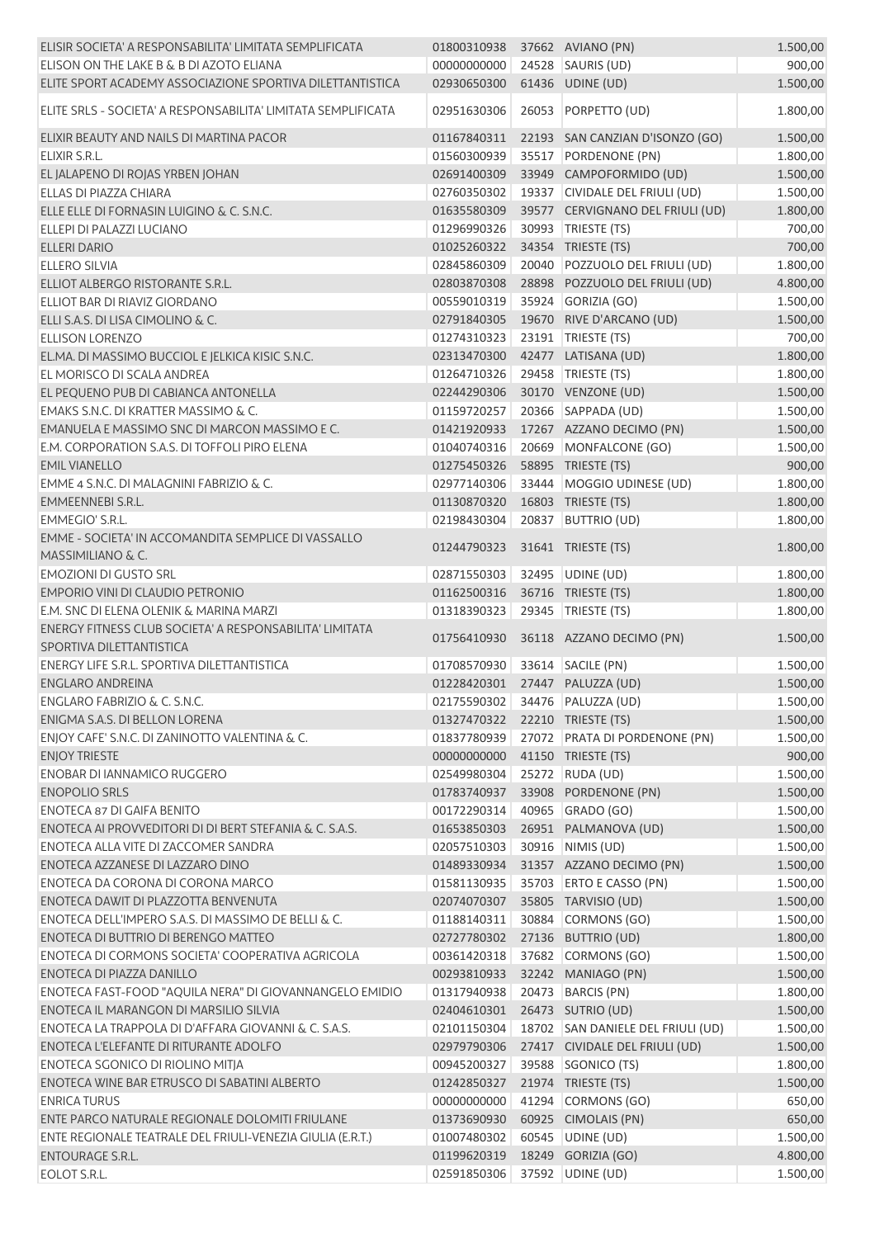| ELISIR SOCIETA' A RESPONSABILITA' LIMITATA SEMPLIFICATA                             | 01800310938                    |       | 37662 AVIANO (PN)                 | 1.500,00 |
|-------------------------------------------------------------------------------------|--------------------------------|-------|-----------------------------------|----------|
| ELISON ON THE LAKE B & B DI AZOTO ELIANA                                            | 00000000000                    |       | 24528 SAURIS (UD)                 | 900,00   |
| ELITE SPORT ACADEMY ASSOCIAZIONE SPORTIVA DILETTANTISTICA                           | 02930650300                    |       | 61436 UDINE (UD)                  | 1.500,00 |
|                                                                                     |                                |       |                                   |          |
| ELITE SRLS - SOCIETA' A RESPONSABILITA' LIMITATA SEMPLIFICATA                       | 02951630306                    |       | 26053 PORPETTO (UD)               | 1.800,00 |
| ELIXIR BEAUTY AND NAILS DI MARTINA PACOR                                            | 01167840311                    |       | 22193 SAN CANZIAN D'ISONZO (GO)   | 1.500,00 |
| ELIXIR S.R.L.                                                                       | 01560300939                    |       | 35517 PORDENONE (PN)              | 1.800,00 |
|                                                                                     |                                |       |                                   |          |
| EL JALAPENO DI ROJAS YRBEN JOHAN                                                    | 02691400309                    |       | 33949 CAMPOFORMIDO (UD)           | 1.500,00 |
| ELLAS DI PIAZZA CHIARA                                                              | 02760350302                    |       | 19337 CIVIDALE DEL FRIULI (UD)    | 1.500,00 |
| ELLE ELLE DI FORNASIN LUIGINO & C. S.N.C.                                           | 01635580309                    |       | 39577 CERVIGNANO DEL FRIULI (UD)  | 1.800,00 |
| ELLEPI DI PALAZZI LUCIANO                                                           | 01296990326                    |       | 30993 TRIESTE (TS)                | 700,00   |
| <b>ELLERI DARIO</b>                                                                 | 01025260322                    |       | 34354 TRIESTE (TS)                | 700,00   |
| <b>ELLERO SILVIA</b>                                                                | 02845860309                    |       | 20040 POZZUOLO DEL FRIULI (UD)    | 1.800,00 |
| ELLIOT ALBERGO RISTORANTE S.R.L.                                                    | 02803870308                    |       | 28898 POZZUOLO DEL FRIULI (UD)    | 4.800,00 |
| ELLIOT BAR DI RIAVIZ GIORDANO                                                       | 00559010319                    |       | 35924 GORIZIA (GO)                | 1.500,00 |
| ELLI S.A.S. DI LISA CIMOLINO & C.                                                   | 02791840305                    |       | 19670 RIVE D'ARCANO (UD)          | 1.500,00 |
| <b>ELLISON LORENZO</b>                                                              | 01274310323                    |       | 23191   TRIESTE (TS)              | 700,00   |
| EL.MA. DI MASSIMO BUCCIOL E JELKICA KISIC S.N.C.                                    | 02313470300                    |       | 42477 LATISANA (UD)               | 1.800,00 |
| EL MORISCO DI SCALA ANDREA                                                          | 01264710326                    |       | 29458 TRIESTE (TS)                | 1.800,00 |
| EL PEQUENO PUB DI CABIANCA ANTONELLA                                                | 02244290306                    |       | 30170 VENZONE (UD)                | 1.500,00 |
| EMAKS S.N.C. DI KRATTER MASSIMO & C.                                                | 01159720257                    |       | 20366 SAPPADA (UD)                | 1.500,00 |
| EMANUELA E MASSIMO SNC DI MARCON MASSIMO E C.                                       | 01421920933                    |       | 17267 AZZANO DECIMO (PN)          | 1.500,00 |
| E.M. CORPORATION S.A.S. DI TOFFOLI PIRO ELENA                                       | 01040740316                    |       | 20669 MONFALCONE (GO)             | 1.500,00 |
| <b>EMIL VIANELLO</b>                                                                | 01275450326                    |       | 58895 TRIESTE (TS)                | 900,00   |
| EMME 4 S.N.C. DI MALAGNINI FABRIZIO & C.                                            | 02977140306                    |       | 33444   MOGGIO UDINESE (UD)       | 1.800,00 |
| EMMEENNEBI S.R.L.                                                                   | 01130870320                    |       | 16803 TRIESTE (TS)                | 1.800,00 |
| EMMEGIO' S.R.L.                                                                     | 02198430304                    |       | 20837 BUTTRIO (UD)                | 1.800,00 |
|                                                                                     |                                |       |                                   |          |
| EMME - SOCIETA' IN ACCOMANDITA SEMPLICE DI VASSALLO<br>MASSIMILIANO & C.            | 01244790323                    |       | 31641 TRIESTE (TS)                | 1.800,00 |
| <b>EMOZIONI DI GUSTO SRL</b>                                                        | 02871550303                    |       | 32495 UDINE (UD)                  | 1.800,00 |
| EMPORIO VINI DI CLAUDIO PETRONIO                                                    | 01162500316                    |       | 36716 TRIESTE (TS)                | 1.800,00 |
| E.M. SNC DI ELENA OLENIK & MARINA MARZI                                             | 01318390323                    |       | 29345 TRIESTE (TS)                | 1.800,00 |
| ENERGY FITNESS CLUB SOCIETA' A RESPONSABILITA' LIMITATA<br>SPORTIVA DILETTANTISTICA | 01756410930                    |       | 36118 AZZANO DECIMO (PN)          | 1.500,00 |
| <b>ENERGY LIFE S.R.L. SPORTIVA DILETTANTISTICA</b>                                  | 01708570930                    |       | 33614 SACILE (PN)                 | 1.500,00 |
| <b>ENGLARO ANDREINA</b>                                                             | 01228420301 27447 PALUZZA (UD) |       |                                   | 1.500,00 |
| ENGLARO FABRIZIO & C. S.N.C.                                                        | 02175590302 34476 PALUZZA (UD) |       |                                   | 1.500,00 |
| ENIGMA S.A.S. DI BELLON LORENA                                                      | 01327470322                    |       | 22210 TRIESTE (TS)                | 1.500,00 |
|                                                                                     |                                |       |                                   |          |
| ENJOY CAFE' S.N.C. DI ZANINOTTO VALENTINA & C.                                      | 01837780939                    |       | 27072 PRATA DI PORDENONE (PN)     | 1.500,00 |
| <b>ENJOY TRIESTE</b>                                                                | 00000000000                    |       | 41150 TRIESTE (TS)                | 900,00   |
| <b>ENOBAR DI IANNAMICO RUGGERO</b>                                                  | 02549980304                    |       | 25272 RUDA (UD)                   | 1.500,00 |
| <b>ENOPOLIO SRLS</b>                                                                | 01783740937                    |       | 33908 PORDENONE (PN)              | 1.500,00 |
| <b>ENOTECA 87 DI GAIFA BENITO</b>                                                   | 00172290314                    | 40965 | GRADO (GO)                        | 1.500,00 |
| ENOTECA AI PROVVEDITORI DI DI BERT STEFANIA & C. S.A.S.                             | 01653850303                    |       | 26951 PALMANOVA (UD)              | 1.500,00 |
| ENOTECA ALLA VITE DI ZACCOMER SANDRA                                                | 02057510303                    |       | 30916 NIMIS (UD)                  | 1.500,00 |
| ENOTECA AZZANESE DI LAZZARO DINO                                                    | 01489330934                    |       | 31357 AZZANO DECIMO (PN)          | 1.500,00 |
| ENOTECA DA CORONA DI CORONA MARCO                                                   | 01581130935                    |       | 35703 ERTO E CASSO (PN)           | 1.500,00 |
| ENOTECA DAWIT DI PLAZZOTTA BENVENUTA                                                | 02074070307                    |       | 35805 TARVISIO (UD)               | 1.500,00 |
| ENOTECA DELL'IMPERO S.A.S. DI MASSIMO DE BELLI & C.                                 | 01188140311                    |       | 30884 CORMONS (GO)                | 1.500,00 |
| ENOTECA DI BUTTRIO DI BERENGO MATTEO                                                | 02727780302                    |       | 27136 BUTTRIO (UD)                | 1.800,00 |
| ENOTECA DI CORMONS SOCIETA' COOPERATIVA AGRICOLA                                    | 00361420318                    |       | 37682 CORMONS (GO)                | 1.500,00 |
| ENOTECA DI PIAZZA DANILLO                                                           | 00293810933                    |       | 32242 MANIAGO (PN)                | 1.500,00 |
| ENOTECA FAST-FOOD "AQUILA NERA" DI GIOVANNANGELO EMIDIO                             | 01317940938                    |       | 20473 BARCIS (PN)                 | 1.800,00 |
| ENOTECA IL MARANGON DI MARSILIO SILVIA                                              | 02404610301                    |       | 26473 SUTRIO (UD)                 | 1.500,00 |
| ENOTECA LA TRAPPOLA DI D'AFFARA GIOVANNI & C. S.A.S.                                | 02101150304                    |       | 18702 SAN DANIELE DEL FRIULI (UD) | 1.500,00 |
| ENOTECA L'ELEFANTE DI RITURANTE ADOLFO                                              | 02979790306                    |       | 27417 CIVIDALE DEL FRIULI (UD)    | 1.500,00 |
| ENOTECA SGONICO DI RIOLINO MITJA                                                    | 00945200327                    |       | 39588 SGONICO (TS)                | 1.800,00 |
| ENOTECA WINE BAR ETRUSCO DI SABATINI ALBERTO                                        | 01242850327                    |       | 21974 TRIESTE (TS)                | 1.500,00 |
| <b>ENRICA TURUS</b>                                                                 |                                |       |                                   |          |
|                                                                                     | 00000000000                    |       | 41294 CORMONS (GO)                | 650,00   |
| ENTE PARCO NATURALE REGIONALE DOLOMITI FRIULANE                                     | 01373690930                    |       | 60925 CIMOLAIS (PN)               | 650,00   |
| ENTE REGIONALE TEATRALE DEL FRIULI-VENEZIA GIULIA (E.R.T.)                          | 01007480302                    |       | 60545 UDINE (UD)                  | 1.500,00 |
| ENTOURAGE S.R.L.                                                                    | 01199620319                    |       | 18249 GORIZIA (GO)                | 4.800,00 |
| EOLOT S.R.L.                                                                        | 02591850306 37592 UDINE (UD)   |       |                                   | 1.500,00 |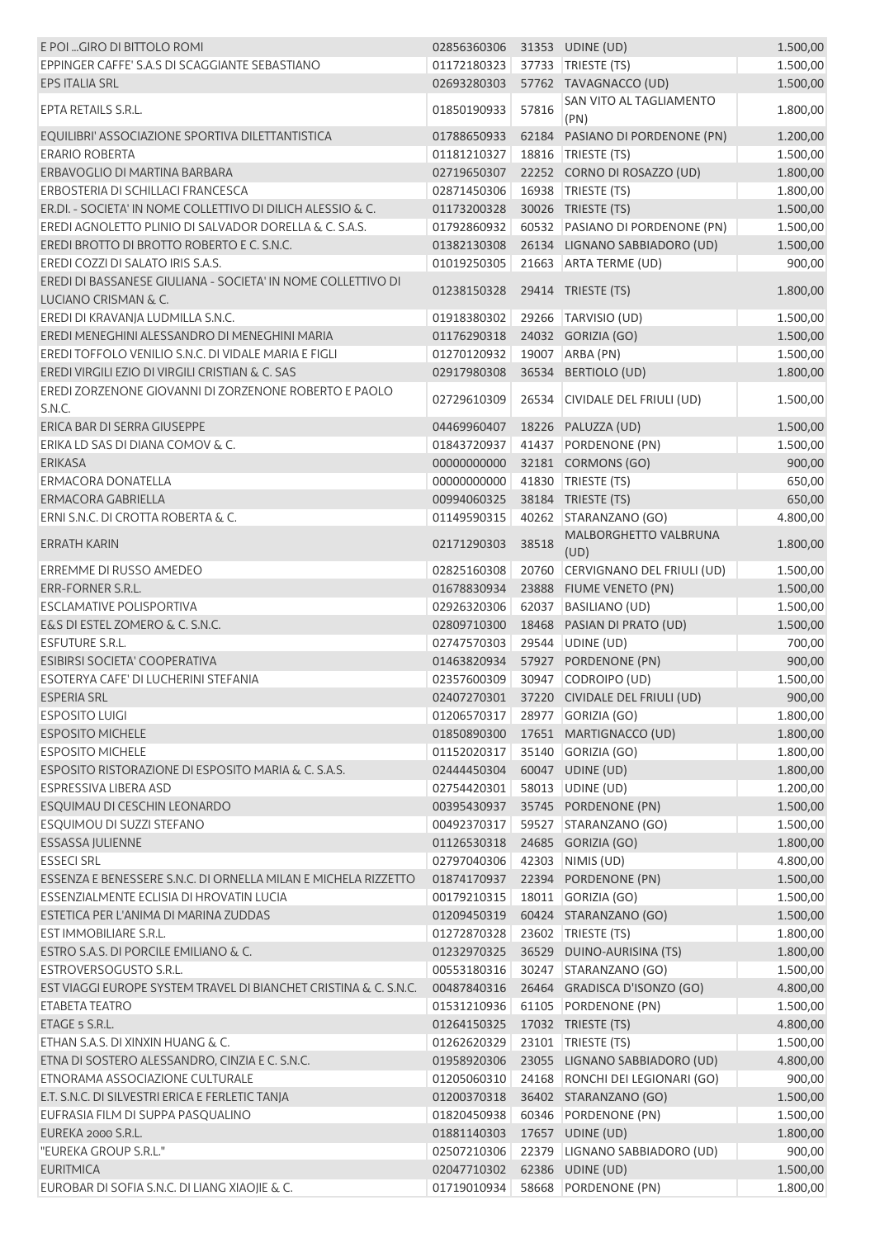| E POI  GIRO DI BITTOLO ROMI                                                          | 02856360306 |       | 31353 UDINE (UD)                           | 1.500,00 |
|--------------------------------------------------------------------------------------|-------------|-------|--------------------------------------------|----------|
| EPPINGER CAFFE' S.A.S DI SCAGGIANTE SEBASTIANO                                       | 01172180323 |       | 37733 TRIESTE (TS)                         | 1.500,00 |
| EPS ITALIA SRL                                                                       | 02693280303 |       | 57762 TAVAGNACCO (UD)                      | 1.500,00 |
| EPTA RETAILS S.R.L.                                                                  | 01850190933 | 57816 | SAN VITO AL TAGLIAMENTO<br>(PN)            | 1.800,00 |
| EQUILIBRI' ASSOCIAZIONE SPORTIVA DILETTANTISTICA                                     | 01788650933 |       | 62184 PASIANO DI PORDENONE (PN)            | 1.200,00 |
| <b>ERARIO ROBERTA</b>                                                                | 01181210327 |       | 18816   TRIESTE (TS)                       | 1.500,00 |
| ERBAVOGLIO DI MARTINA BARBARA                                                        | 02719650307 |       | 22252 CORNO DI ROSAZZO (UD)                | 1.800,00 |
| ERBOSTERIA DI SCHILLACI FRANCESCA                                                    | 02871450306 |       | 16938 TRIESTE (TS)                         | 1.800,00 |
| ER.DI. - SOCIETA' IN NOME COLLETTIVO DI DILICH ALESSIO & C.                          | 01173200328 |       | 30026 TRIESTE (TS)                         | 1.500,00 |
| EREDI AGNOLETTO PLINIO DI SALVADOR DORELLA & C. S.A.S.                               | 01792860932 |       | 60532 PASIANO DI PORDENONE (PN)            | 1.500,00 |
| EREDI BROTTO DI BROTTO ROBERTO E C. S.N.C.                                           | 01382130308 |       | 26134 LIGNANO SABBIADORO (UD)              |          |
|                                                                                      |             |       |                                            | 1.500,00 |
| EREDI COZZI DI SALATO IRIS S.A.S.                                                    | 01019250305 |       | 21663 ARTA TERME (UD)                      | 900,00   |
| EREDI DI BASSANESE GIULIANA - SOCIETA' IN NOME COLLETTIVO DI<br>LUCIANO CRISMAN & C. | 01238150328 |       | 29414 TRIESTE (TS)                         | 1.800,00 |
| EREDI DI KRAVANJA LUDMILLA S.N.C.                                                    | 01918380302 |       | 29266 TARVISIO (UD)                        | 1.500,00 |
| EREDI MENEGHINI ALESSANDRO DI MENEGHINI MARIA                                        | 01176290318 |       | 24032 GORIZIA (GO)                         | 1.500,00 |
| EREDI TOFFOLO VENILIO S.N.C. DI VIDALE MARIA E FIGLI                                 | 01270120932 |       | 19007 ARBA (PN)                            | 1.500,00 |
| EREDI VIRGILI EZIO DI VIRGILI CRISTIAN & C. SAS                                      | 02917980308 |       | 36534 BERTIOLO (UD)                        | 1.800,00 |
| EREDI ZORZENONE GIOVANNI DI ZORZENONE ROBERTO E PAOLO<br>S.N.C.                      | 02729610309 |       | 26534 CIVIDALE DEL FRIULI (UD)             | 1.500,00 |
| ERICA BAR DI SERRA GIUSEPPE                                                          | 04469960407 |       | 18226 PALUZZA (UD)                         | 1.500,00 |
| ERIKA LD SAS DI DIANA COMOV & C.                                                     | 01843720937 |       | 41437 PORDENONE (PN)                       | 1.500,00 |
| <b>ERIKASA</b>                                                                       | 00000000000 |       | 32181 CORMONS (GO)                         | 900,00   |
| <b>ERMACORA DONATELLA</b>                                                            | 00000000000 |       | 41830 TRIESTE (TS)                         | 650,00   |
| ERMACORA GABRIELLA                                                                   | 00994060325 |       | 38184 TRIESTE (TS)                         | 650,00   |
| ERNI S.N.C. DI CROTTA ROBERTA & C.                                                   | 01149590315 |       | 40262 STARANZANO (GO)                      | 4.800,00 |
| ERRATH KARIN                                                                         | 02171290303 | 38518 | MALBORGHETTO VALBRUNA                      | 1.800,00 |
|                                                                                      |             |       | (UD)                                       |          |
| ERREMME DI RUSSO AMEDEO                                                              | 02825160308 | 20760 | CERVIGNANO DEL FRIULI (UD)                 | 1.500,00 |
| ERR-FORNER S.R.L.                                                                    | 01678830934 |       | 23888 FIUME VENETO (PN)                    | 1.500,00 |
| <b>ESCLAMATIVE POLISPORTIVA</b>                                                      | 02926320306 |       | 62037 BASILIANO (UD)                       | 1.500,00 |
| E&S DI ESTEL ZOMERO & C. S.N.C.                                                      | 02809710300 |       | 18468 PASIAN DI PRATO (UD)                 | 1.500,00 |
| <b>ESFUTURE S.R.L.</b>                                                               | 02747570303 |       | 29544 UDINE (UD)                           | 700,00   |
| ESIBIRSI SOCIETA' COOPERATIVA                                                        | 01463820934 |       | 57927 PORDENONE (PN)                       | 900,00   |
| ESOTERYA CAFE' DI LUCHERINI STEFANIA                                                 | 02357600309 |       | 30947 CODROIPO (UD)                        | 1.500,00 |
| <b>ESPERIA SRL</b>                                                                   |             |       | 02407270301 37220 CIVIDALE DEL FRIULI (UD) | 900,00   |
| <b>ESPOSITO LUIGI</b>                                                                | 01206570317 |       | 28977 GORIZIA (GO)                         | 1.800,00 |
| <b>ESPOSITO MICHELE</b>                                                              | 01850890300 |       | 17651 MARTIGNACCO (UD)                     | 1.800,00 |
| <b>ESPOSITO MICHELE</b>                                                              | 01152020317 |       | 35140 GORIZIA (GO)                         | 1.800,00 |
| ESPOSITO RISTORAZIONE DI ESPOSITO MARIA & C. S.A.S.                                  | 02444450304 |       | 60047 UDINE (UD)                           | 1.800,00 |
| ESPRESSIVA LIBERA ASD                                                                | 02754420301 |       | 58013 UDINE (UD)                           | 1.200,00 |
| ESQUIMAU DI CESCHIN LEONARDO                                                         | 00395430937 |       | 35745 PORDENONE (PN)                       | 1.500,00 |
| ESOUIMOU DI SUZZI STEFANO                                                            | 00492370317 |       | 59527 STARANZANO (GO)                      | 1.500,00 |
| <b>ESSASSA JULIENNE</b>                                                              | 01126530318 |       | 24685 GORIZIA (GO)                         | 1.800,00 |
| <b>ESSECI SRL</b>                                                                    | 02797040306 | 42303 | NIMIS (UD)                                 | 4.800,00 |
| ESSENZA E BENESSERE S.N.C. DI ORNELLA MILAN E MICHELA RIZZETTO                       | 01874170937 |       | 22394 PORDENONE (PN)                       | 1.500,00 |
| ESSENZIALMENTE ECLISIA DI HROVATIN LUCIA                                             | 00179210315 |       | 18011 GORIZIA (GO)                         | 1.500,00 |
| ESTETICA PER L'ANIMA DI MARINA ZUDDAS                                                | 01209450319 |       | 60424 STARANZANO (GO)                      | 1.500,00 |
| <b>EST IMMOBILIARE S.R.L.</b>                                                        | 01272870328 |       | 23602 TRIESTE (TS)                         | 1.800,00 |
| ESTRO S.A.S. DI PORCILE EMILIANO & C.                                                | 01232970325 |       | 36529 DUINO-AURISINA (TS)                  | 1.800,00 |
| ESTROVERSOGUSTO S.R.L.                                                               | 00553180316 |       | 30247 STARANZANO (GO)                      | 1.500,00 |
| EST VIAGGI EUROPE SYSTEM TRAVEL DI BIANCHET CRISTINA & C. S.N.C.                     | 00487840316 |       | 26464 GRADISCA D'ISONZO (GO)               |          |
|                                                                                      |             |       |                                            | 4.800,00 |
| ETABETA TEATRO                                                                       | 01531210936 |       | 61105 PORDENONE (PN)                       | 1.500,00 |
| ETAGE 5 S.R.L.                                                                       | 01264150325 |       | 17032 TRIESTE (TS)                         | 4.800,00 |
| ETHAN S.A.S. DI XINXIN HUANG & C.                                                    | 01262620329 |       | 23101   TRIESTE (TS)                       | 1.500,00 |
| ETNA DI SOSTERO ALESSANDRO, CINZIA E C. S.N.C.                                       | 01958920306 |       | 23055 LIGNANO SABBIADORO (UD)              | 4.800,00 |
| ETNORAMA ASSOCIAZIONE CULTURALE                                                      | 01205060310 |       | 24168 RONCHI DEI LEGIONARI (GO)            | 900,00   |
| E.T. S.N.C. DI SILVESTRI ERICA E FERLETIC TANJA                                      | 01200370318 |       | 36402 STARANZANO (GO)                      | 1.500,00 |
| EUFRASIA FILM DI SUPPA PASQUALINO                                                    | 01820450938 |       | 60346 PORDENONE (PN)                       | 1.500,00 |
| EUREKA 2000 S.R.L.                                                                   | 01881140303 |       | 17657 UDINE (UD)                           | 1.800,00 |
| "EUREKA GROUP S.R.L."                                                                | 02507210306 |       | 22379 LIGNANO SABBIADORO (UD)              | 900,00   |
| <b>EURITMICA</b>                                                                     | 02047710302 |       | 62386 UDINE (UD)                           | 1.500,00 |
| EUROBAR DI SOFIA S.N.C. DI LIANG XIAOJIE & C.                                        | 01719010934 |       | 58668 PORDENONE (PN)                       | 1.800,00 |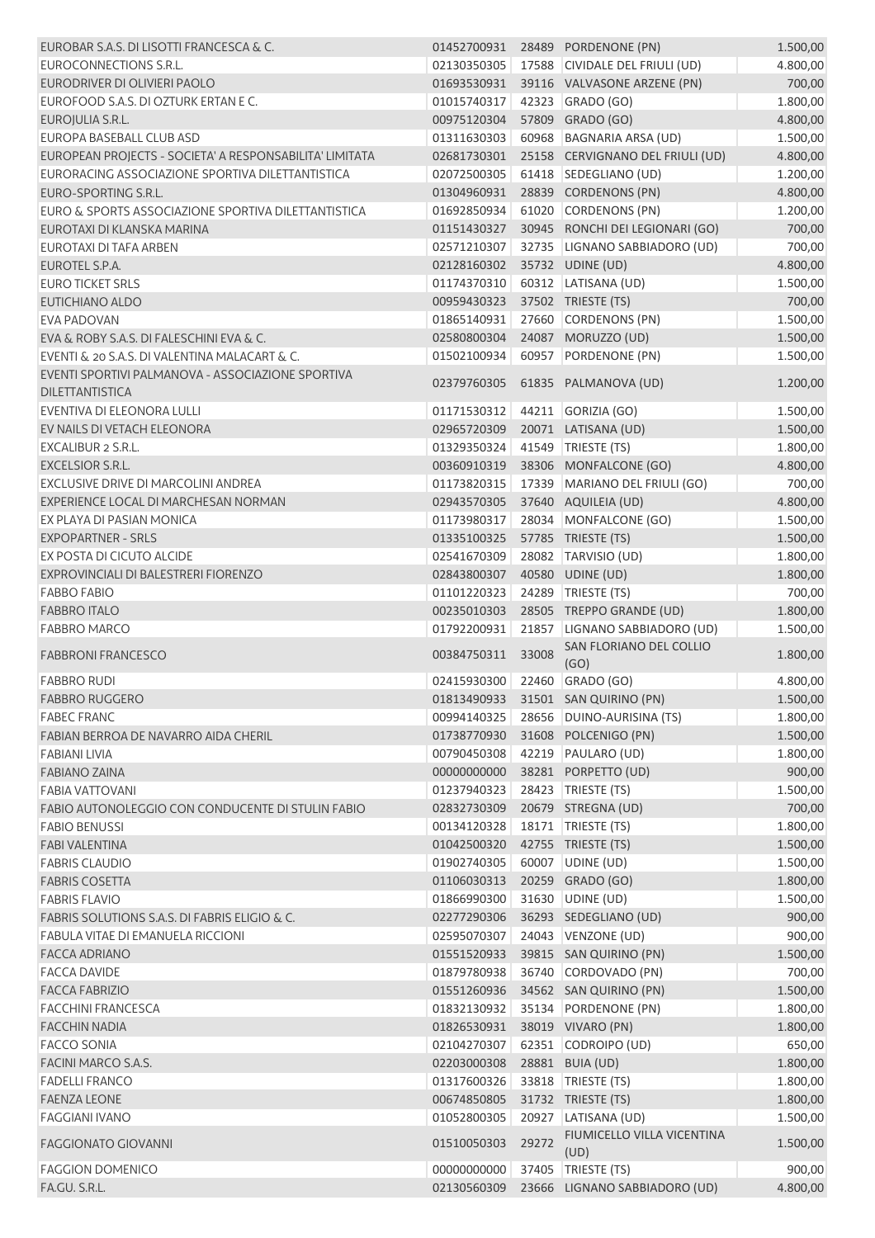| EUROBAR S.A.S. DI LISOTTI FRANCESCA & C.                |                              |       | 01452700931 28489 PORDENONE (PN)   | 1.500,00 |
|---------------------------------------------------------|------------------------------|-------|------------------------------------|----------|
| EUROCONNECTIONS S.R.L.                                  | 02130350305                  |       | 17588 CIVIDALE DEL FRIULI (UD)     | 4.800,00 |
| EURODRIVER DI OLIVIERI PAOLO                            | 01693530931                  |       | 39116 VALVASONE ARZENE (PN)        | 700,00   |
| EUROFOOD S.A.S. DI OZTURK ERTAN E C.                    | 01015740317                  |       | 42323 GRADO (GO)                   | 1.800,00 |
| EUROJULIA S.R.L.                                        | 00975120304                  |       | 57809 GRADO (GO)                   | 4.800,00 |
| EUROPA BASEBALL CLUB ASD                                | 01311630303                  |       | 60968 BAGNARIA ARSA (UD)           | 1.500,00 |
| EUROPEAN PROJECTS - SOCIETA' A RESPONSABILITA' LIMITATA | 02681730301                  |       | 25158 CERVIGNANO DEL FRIULI (UD)   | 4.800,00 |
| EURORACING ASSOCIAZIONE SPORTIVA DILETTANTISTICA        | 02072500305                  |       | 61418 SEDEGLIANO (UD)              | 1.200,00 |
| EURO-SPORTING S.R.L.                                    | 01304960931                  |       | 28839 CORDENONS (PN)               | 4.800,00 |
| EURO & SPORTS ASSOCIAZIONE SPORTIVA DILETTANTISTICA     | 01692850934                  |       | 61020 CORDENONS (PN)               | 1.200,00 |
| EUROTAXI DI KLANSKA MARINA                              | 01151430327                  |       | 30945 RONCHI DEI LEGIONARI (GO)    | 700,00   |
| EUROTAXI DI TAFA ARBEN                                  | 02571210307                  |       | 32735 LIGNANO SABBIADORO (UD)      | 700,00   |
| EUROTEL S.P.A.                                          | 02128160302                  |       | 35732 UDINE (UD)                   | 4.800,00 |
| <b>EURO TICKET SRLS</b>                                 | 01174370310                  |       | 60312 LATISANA (UD)                | 1.500,00 |
| <b>EUTICHIANO ALDO</b>                                  | 00959430323                  |       | 37502 TRIESTE (TS)                 | 700,00   |
| <b>EVA PADOVAN</b>                                      | 01865140931                  |       | 27660 CORDENONS (PN)               | 1.500,00 |
| EVA & ROBY S.A.S. DI FALESCHINI EVA & C.                | 02580800304                  |       | 24087 MORUZZO (UD)                 | 1.500,00 |
| EVENTI & 20 S.A.S. DI VALENTINA MALACART & C.           | 01502100934                  |       | 60957 PORDENONE (PN)               | 1.500,00 |
| EVENTI SPORTIVI PALMANOVA - ASSOCIAZIONE SPORTIVA       |                              |       |                                    |          |
| <b>DILETTANTISTICA</b>                                  | 02379760305                  |       | 61835 PALMANOVA (UD)               | 1.200,00 |
| EVENTIVA DI ELEONORA LULLI                              | 01171530312                  |       | 44211 GORIZIA (GO)                 | 1.500,00 |
| EV NAILS DI VETACH ELEONORA                             | 02965720309                  |       | 20071 LATISANA (UD)                | 1.500,00 |
| <b>EXCALIBUR 2 S.R.L.</b>                               | 01329350324                  |       | 41549 TRIESTE (TS)                 | 1.800,00 |
| <b>EXCELSIOR S.R.L.</b>                                 | 00360910319                  |       | 38306 MONFALCONE (GO)              | 4.800,00 |
| EXCLUSIVE DRIVE DI MARCOLINI ANDREA                     | 01173820315                  |       | 17339 MARIANO DEL FRIULI (GO)      | 700,00   |
| EXPERIENCE LOCAL DI MARCHESAN NORMAN                    | 02943570305                  |       | 37640 AQUILEIA (UD)                | 4.800,00 |
| EX PLAYA DI PASIAN MONICA                               | 01173980317                  |       | 28034 MONFALCONE (GO)              | 1.500,00 |
| <b>EXPOPARTNER - SRLS</b>                               | 01335100325                  |       | 57785 TRIESTE (TS)                 | 1.500,00 |
| EX POSTA DI CICUTO ALCIDE                               | 02541670309                  |       | 28082 TARVISIO (UD)                | 1.800,00 |
| EXPROVINCIALI DI BALESTRERI FIORENZO                    | 02843800307                  |       | 40580 UDINE (UD)                   | 1.800,00 |
| <b>FABBO FABIO</b>                                      | 01101220323                  |       | 24289 TRIESTE (TS)                 | 700,00   |
| <b>FABBRO ITALO</b>                                     | 00235010303                  |       | 28505 TREPPO GRANDE (UD)           | 1.800,00 |
| <b>FABBRO MARCO</b>                                     | 01792200931                  |       | 21857 LIGNANO SABBIADORO (UD)      | 1.500,00 |
| <b>FABBRONI FRANCESCO</b>                               | 00384750311                  | 33008 | SAN FLORIANO DEL COLLIO<br>(GO)    | 1.800,00 |
| <b>FABBRO RUDI</b>                                      | 02415930300 22460 GRADO (GO) |       |                                    | 4.800,00 |
| <b>FABBRO RUGGERO</b>                                   |                              |       | 01813490933 31501 SAN QUIRINO (PN) | 1.500,00 |
| <b>FABEC FRANC</b>                                      | 00994140325                  |       | 28656 DUINO-AURISINA (TS)          | 1.800,00 |
| FABIAN BERROA DE NAVARRO AIDA CHERIL                    | 01738770930                  |       | 31608 POLCENIGO (PN)               | 1.500,00 |
| FABIANI LIVIA                                           | 00790450308                  |       | 42219 PAULARO (UD)                 | 1.800,00 |
| <b>FABIANO ZAINA</b>                                    | 00000000000                  |       | 38281 PORPETTO (UD)                | 900,00   |
| <b>FABIA VATTOVANI</b>                                  | 01237940323                  |       | 28423 TRIESTE (TS)                 | 1.500,00 |
| FABIO AUTONOLEGGIO CON CONDUCENTE DI STULIN FABIO       | 02832730309                  |       | 20679 STREGNA (UD)                 | 700,00   |
| <b>FABIO BENUSSI</b>                                    | 00134120328                  |       | 18171   TRIESTE (TS)               | 1.800,00 |
| <b>FABI VALENTINA</b>                                   | 01042500320                  |       | 42755 TRIESTE (TS)                 | 1.500,00 |
| <b>FABRIS CLAUDIO</b>                                   | 01902740305                  | 60007 | UDINE (UD)                         | 1.500,00 |
| <b>FABRIS COSETTA</b>                                   | 01106030313                  |       | 20259 GRADO (GO)                   | 1.800,00 |
| <b>FABRIS FLAVIO</b>                                    | 01866990300                  |       | 31630 UDINE (UD)                   | 1.500,00 |
| FABRIS SOLUTIONS S.A.S. DI FABRIS ELIGIO & C.           | 02277290306                  |       | 36293 SEDEGLIANO (UD)              | 900,00   |
| FABULA VITAE DI EMANUELA RICCIONI                       | 02595070307                  |       | 24043 VENZONE (UD)                 | 900,00   |
| <b>FACCA ADRIANO</b>                                    | 01551520933                  |       | 39815 SAN QUIRINO (PN)             | 1.500,00 |
| <b>FACCA DAVIDE</b>                                     | 01879780938                  |       | 36740 CORDOVADO (PN)               | 700,00   |
| <b>FACCA FABRIZIO</b>                                   | 01551260936                  |       | 34562 SAN QUIRINO (PN)             | 1.500,00 |
| <b>FACCHINI FRANCESCA</b>                               | 01832130932                  |       | 35134 PORDENONE (PN)               | 1.800,00 |
| <b>FACCHIN NADIA</b>                                    | 01826530931                  |       | 38019 VIVARO (PN)                  | 1.800,00 |
| FACCO SONIA                                             | 02104270307                  |       | 62351 CODROIPO (UD)                | 650,00   |
| FACINI MARCO S.A.S.                                     | 02203000308                  |       | 28881 BUIA (UD)                    | 1.800,00 |
| <b>FADELLI FRANCO</b>                                   | 01317600326                  |       | 33818 TRIESTE (TS)                 | 1.800,00 |
| <b>FAENZA LEONE</b>                                     | 00674850805                  |       | 31732 TRIESTE (TS)                 | 1.800,00 |
| FAGGIANI IVANO                                          | 01052800305                  | 20927 | LATISANA (UD)                      | 1.500,00 |
|                                                         |                              |       | FIUMICELLO VILLA VICENTINA         |          |
| <b>FAGGIONATO GIOVANNI</b>                              | 01510050303                  | 29272 | (UD)                               | 1.500,00 |
| <b>FAGGION DOMENICO</b>                                 | 00000000000                  |       | 37405   TRIESTE (TS)               | 900,00   |
| FA.GU. S.R.L.                                           | 02130560309                  |       | 23666 LIGNANO SABBIADORO (UD)      | 4.800,00 |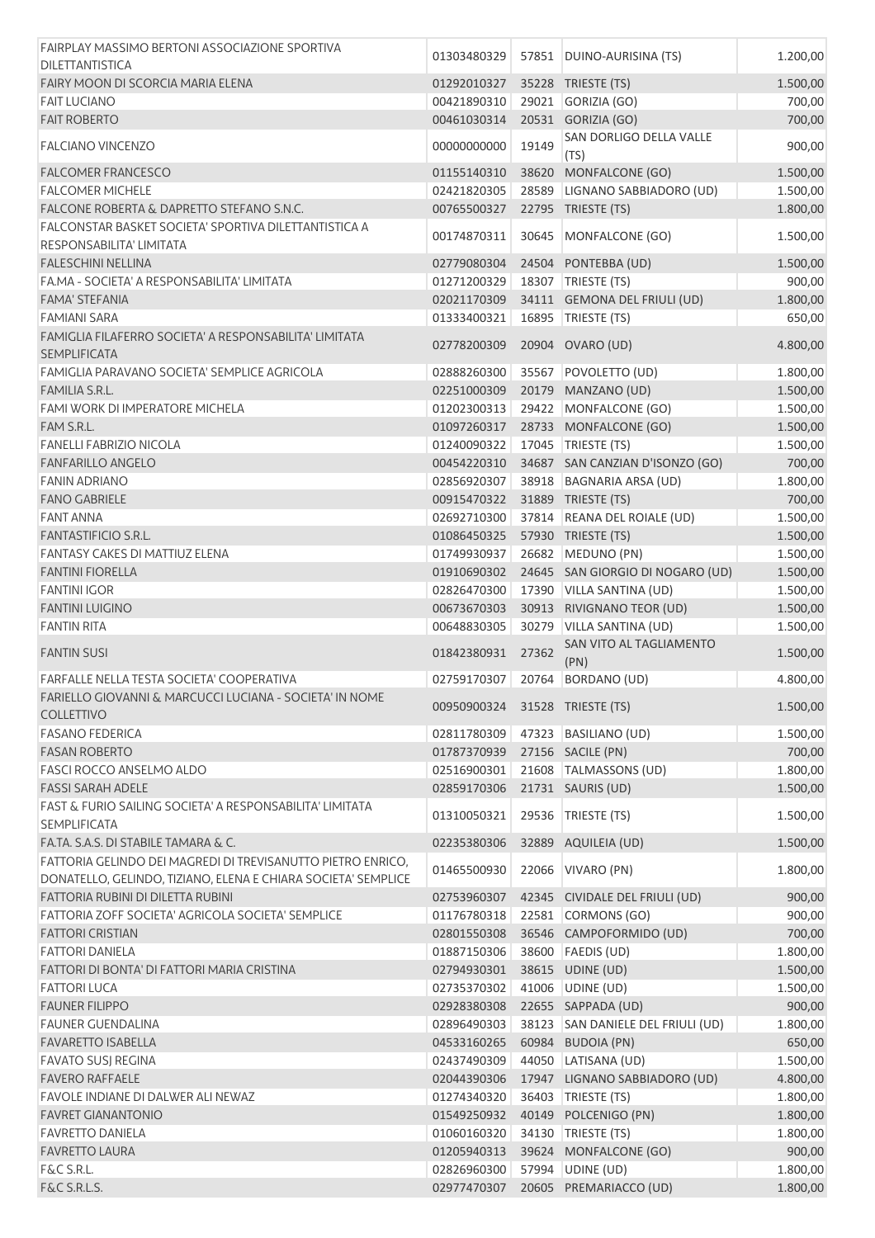| FAIRPLAY MASSIMO BERTONI ASSOCIAZIONE SPORTIVA                                                                               | 01303480329                |       | 57851   DUINO-AURISINA (TS)                | 1.200,00             |
|------------------------------------------------------------------------------------------------------------------------------|----------------------------|-------|--------------------------------------------|----------------------|
| <b>DILETTANTISTICA</b>                                                                                                       |                            |       |                                            |                      |
| FAIRY MOON DI SCORCIA MARIA ELENA                                                                                            | 01292010327                |       | 35228 TRIESTE (TS)                         | 1.500,00             |
| <b>FAIT LUCIANO</b>                                                                                                          | 00421890310                |       | 29021 GORIZIA (GO)                         | 700,00               |
| <b>FAIT ROBERTO</b>                                                                                                          | 00461030314                |       | 20531 GORIZIA (GO)                         | 700,00               |
| <b>FALCIANO VINCENZO</b>                                                                                                     | 00000000000                | 19149 | SAN DORLIGO DELLA VALLE<br>(TS)            | 900,00               |
| <b>FALCOMER FRANCESCO</b>                                                                                                    | 01155140310                | 38620 | MONFALCONE (GO)                            | 1.500,00             |
| <b>FALCOMER MICHELE</b>                                                                                                      | 02421820305                |       | 28589 LIGNANO SABBIADORO (UD)              | 1.500,00             |
| <b>FALCONE ROBERTA &amp; DAPRETTO STEFANO S.N.C.</b>                                                                         | 00765500327                |       | 22795 TRIESTE (TS)                         | 1.800,00             |
| FALCONSTAR BASKET SOCIETA' SPORTIVA DILETTANTISTICA A                                                                        |                            |       |                                            |                      |
| RESPONSABILITA' LIMITATA<br><b>FALESCHINI NELLINA</b>                                                                        | 00174870311<br>02779080304 | 30645 | MONFALCONE (GO)<br>24504 PONTEBBA (UD)     | 1.500,00<br>1.500,00 |
| FA.MA - SOCIETA' A RESPONSABILITA' LIMITATA                                                                                  | 01271200329                |       |                                            |                      |
|                                                                                                                              |                            |       | 18307 TRIESTE (TS)                         | 900,00               |
| FAMA' STEFANIA                                                                                                               | 02021170309                |       | 34111 GEMONA DEL FRIULI (UD)               | 1.800,00             |
| <b>FAMIANI SARA</b>                                                                                                          | 01333400321                |       | 16895   TRIESTE (TS)                       | 650,00               |
| FAMIGLIA FILAFERRO SOCIETA' A RESPONSABILITA' LIMITATA<br><b>SEMPLIFICATA</b>                                                | 02778200309                |       | 20904 OVARO (UD)                           | 4.800,00             |
| FAMIGLIA PARAVANO SOCIETA' SEMPLICE AGRICOLA                                                                                 | 02888260300                |       | 35567 POVOLETTO (UD)                       | 1.800,00             |
| <b>FAMILIA S.R.L.</b>                                                                                                        | 02251000309                |       | 20179 MANZANO (UD)                         | 1.500,00             |
| <b>FAMI WORK DI IMPERATORE MICHELA</b>                                                                                       | 01202300313                |       | 29422 MONFALCONE (GO)                      | 1.500,00             |
| FAM S.R.L.                                                                                                                   | 01097260317                |       | 28733 MONFALCONE (GO)                      | 1.500,00             |
| <b>FANELLI FABRIZIO NICOLA</b>                                                                                               | 01240090322                |       | 17045   TRIESTE (TS)                       | 1.500,00             |
| <b>FANFARILLO ANGELO</b>                                                                                                     | 00454220310                |       | 34687 SAN CANZIAN D'ISONZO (GO)            | 700,00               |
| <b>FANIN ADRIANO</b>                                                                                                         | 02856920307                |       | 38918 BAGNARIA ARSA (UD)                   | 1.800,00             |
| <b>FANO GABRIELE</b>                                                                                                         | 00915470322                |       | 31889 TRIESTE (TS)                         | 700,00               |
| <b>FANT ANNA</b>                                                                                                             | 02692710300                |       | 37814 REANA DEL ROIALE (UD)                | 1.500,00             |
| <b>FANTASTIFICIO S.R.L.</b>                                                                                                  | 01086450325                |       | 57930 TRIESTE (TS)                         | 1.500,00             |
| <b>FANTASY CAKES DI MATTIUZ ELENA</b>                                                                                        | 01749930937                | 26682 | MEDUNO (PN)                                | 1.500,00             |
| <b>FANTINI FIORELLA</b>                                                                                                      | 01910690302                |       | 24645 SAN GIORGIO DI NOGARO (UD)           |                      |
| <b>FANTINI IGOR</b>                                                                                                          |                            |       |                                            | 1.500,00             |
|                                                                                                                              | 02826470300                | 17390 | VILLA SANTINA (UD)                         | 1.500,00             |
| <b>FANTINI LUIGINO</b>                                                                                                       | 00673670303                |       | 30913 RIVIGNANO TEOR (UD)                  | 1.500,00             |
| <b>FANTIN RITA</b>                                                                                                           | 00648830305                |       | 30279 VILLA SANTINA (UD)                   | 1.500,00             |
| <b>FANTIN SUSI</b>                                                                                                           | 01842380931                | 27362 | SAN VITO AL TAGLIAMENTO<br>(PN)            | 1.500,00             |
| <b>FARFALLE NELLA TESTA SOCIETA' COOPERATIVA</b>                                                                             | 02759170307                |       | 20764 BORDANO (UD)                         | 4.800,00             |
| FARIELLO GIOVANNI & MARCUCCI LUCIANA - SOCIETA' IN NOME<br>COLLETTIVO                                                        | 00950900324                |       | 31528 TRIESTE (TS)                         | 1.500,00             |
| <b>FASANO FEDERICA</b>                                                                                                       | 02811780309                |       | 47323 BASILIANO (UD)                       | 1.500,00             |
| <b>FASAN ROBERTO</b>                                                                                                         | 01787370939                |       | 27156 SACILE (PN)                          | 700,00               |
| <b>FASCI ROCCO ANSELMO ALDO</b>                                                                                              | 02516900301                |       | 21608   TALMASSONS (UD)                    | 1.800,00             |
| <b>FASSI SARAH ADELE</b>                                                                                                     | 02859170306                |       | 21731 SAURIS (UD)                          | 1.500,00             |
|                                                                                                                              |                            |       |                                            |                      |
| FAST & FURIO SAILING SOCIETA' A RESPONSABILITA' LIMITATA<br><b>SEMPLIFICATA</b>                                              | 01310050321                | 29536 | TRIESTE (TS)                               | 1.500,00             |
| FA.TA. S.A.S. DI STABILE TAMARA & C.                                                                                         | 02235380306                | 32889 | AQUILEIA (UD)                              | 1.500,00             |
| FATTORIA GELINDO DEI MAGREDI DI TREVISANUTTO PIETRO ENRICO,<br>DONATELLO, GELINDO, TIZIANO, ELENA E CHIARA SOCIETA' SEMPLICE | 01465500930                |       | 22066 VIVARO (PN)                          | 1.800,00             |
| FATTORIA RUBINI DI DILETTA RUBINI                                                                                            | 02753960307                |       | 42345 CIVIDALE DEL FRIULI (UD)             | 900,00               |
| FATTORIA ZOFF SOCIETA' AGRICOLA SOCIETA' SEMPLICE                                                                            | 01176780318                | 22581 | CORMONS (GO)                               | 900,00               |
| <b>FATTORI CRISTIAN</b>                                                                                                      | 02801550308                |       | 36546 CAMPOFORMIDO (UD)                    | 700,00               |
| <b>FATTORI DANIELA</b>                                                                                                       | 01887150306                |       | 38600 FAEDIS (UD)                          | 1.800,00             |
| FATTORI DI BONTA' DI FATTORI MARIA CRISTINA                                                                                  | 02794930301                |       | 38615 UDINE (UD)                           | 1.500,00             |
| <b>FATTORI LUCA</b>                                                                                                          | 02735370302                |       | 41006 UDINE (UD)                           | 1.500,00             |
| <b>FAUNER FILIPPO</b>                                                                                                        | 02928380308                |       | 22655 SAPPADA (UD)                         | 900,00               |
| <b>FAUNER GUENDALINA</b>                                                                                                     | 02896490303                |       | 38123 SAN DANIELE DEL FRIULI (UD)          | 1.800,00             |
| <b>FAVARETTO ISABELLA</b>                                                                                                    | 04533160265                |       | 60984 BUDOIA (PN)                          | 650,00               |
| <b>FAVATO SUSJ REGINA</b>                                                                                                    | 02437490309                |       | 44050 LATISANA (UD)                        | 1.500,00             |
| <b>FAVERO RAFFAELE</b>                                                                                                       | 02044390306                |       | 17947 LIGNANO SABBIADORO (UD)              | 4.800,00             |
| <b>FAVOLE INDIANE DI DALWER ALI NEWAZ</b>                                                                                    | 01274340320                |       | 36403 TRIESTE (TS)                         | 1.800,00             |
|                                                                                                                              | 01549250932                |       | 40149 POLCENIGO (PN)                       |                      |
| <b>FAVRET GIANANTONIO</b>                                                                                                    |                            |       |                                            | 1.800,00             |
| <b>FAVRETTO DANIELA</b>                                                                                                      | 01060160320                |       | 34130 TRIESTE (TS)                         | 1.800,00             |
| <b>FAVRETTO LAURA</b>                                                                                                        | 01205940313                |       | 39624 MONFALCONE (GO)                      | 900,00               |
| F&C S.R.L.                                                                                                                   | 02826960300<br>02977470307 |       | 57994 UDINE (UD)<br>20605 PREMARIACCO (UD) | 1.800,00<br>1.800,00 |
| F&C S.R.L.S.                                                                                                                 |                            |       |                                            |                      |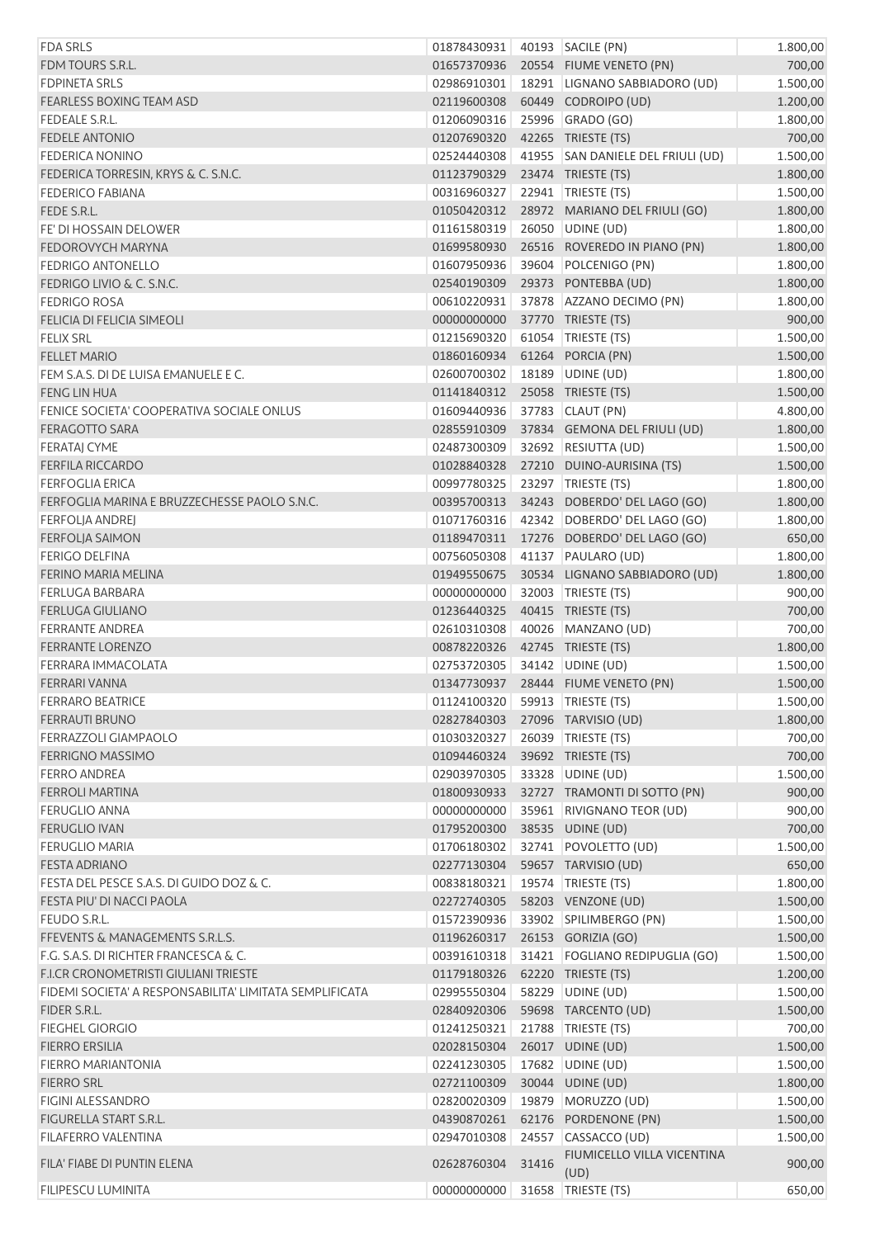| <b>FDA SRLS</b>                                         | 01878430931 |       | 40193   SACILE (PN)               | 1.800,00 |
|---------------------------------------------------------|-------------|-------|-----------------------------------|----------|
| FDM TOURS S.R.L.                                        | 01657370936 |       | 20554 FIUME VENETO (PN)           | 700,00   |
| <b>FDPINETA SRLS</b>                                    | 02986910301 |       | 18291 LIGNANO SABBIADORO (UD)     | 1.500,00 |
| <b>FEARLESS BOXING TEAM ASD</b>                         | 02119600308 |       | 60449 CODROIPO (UD)               | 1.200,00 |
| FEDEALE S.R.L.                                          | 01206090316 |       | 25996 GRADO (GO)                  | 1.800,00 |
| <b>FEDELE ANTONIO</b>                                   | 01207690320 |       | 42265 TRIESTE (TS)                | 700,00   |
| <b>FEDERICA NONINO</b>                                  | 02524440308 |       | 41955 SAN DANIELE DEL FRIULI (UD) | 1.500,00 |
| FEDERICA TORRESIN, KRYS & C. S.N.C.                     | 01123790329 |       | 23474 TRIESTE (TS)                | 1.800,00 |
| <b>FEDERICO FABIANA</b>                                 | 00316960327 |       | 22941   TRIESTE (TS)              | 1.500,00 |
| FEDE S.R.L.                                             | 01050420312 |       | 28972 MARIANO DEL FRIULI (GO)     | 1.800,00 |
| FE' DI HOSSAIN DELOWER                                  | 01161580319 |       | 26050 UDINE (UD)                  | 1.800,00 |
| <b>FEDOROVYCH MARYNA</b>                                | 01699580930 |       | 26516 ROVEREDO IN PIANO (PN)      | 1.800,00 |
| <b>FEDRIGO ANTONELLO</b>                                | 01607950936 |       | 39604 POLCENIGO (PN)              | 1.800,00 |
| FEDRIGO LIVIO & C. S.N.C.                               | 02540190309 |       | 29373 PONTEBBA (UD)               | 1.800,00 |
| <b>FEDRIGO ROSA</b>                                     | 00610220931 |       | 37878 AZZANO DECIMO (PN)          | 1.800,00 |
| FELICIA DI FELICIA SIMEOLI                              | 00000000000 |       | 37770 TRIESTE (TS)                | 900,00   |
| <b>FELIX SRL</b>                                        | 01215690320 |       | 61054 TRIESTE (TS)                | 1.500,00 |
| <b>FELLET MARIO</b>                                     | 01860160934 |       | 61264 PORCIA (PN)                 | 1.500,00 |
| FEM S.A.S. DI DE LUISA EMANUELE E C.                    | 02600700302 |       | 18189 UDINE (UD)                  | 1.800,00 |
| <b>FENG LIN HUA</b>                                     | 01141840312 |       | 25058 TRIESTE (TS)                | 1.500,00 |
| FENICE SOCIETA' COOPERATIVA SOCIALE ONLUS               | 01609440936 |       | 37783 CLAUT (PN)                  | 4.800,00 |
| FERAGOTTO SARA                                          | 02855910309 |       | 37834 GEMONA DEL FRIULI (UD)      | 1.800,00 |
| <b>FERATAJ CYME</b>                                     | 02487300309 |       | 32692 RESIUTTA (UD)               | 1.500,00 |
| <b>FERFILA RICCARDO</b>                                 | 01028840328 |       | 27210 DUINO-AURISINA (TS)         | 1.500,00 |
| <b>FERFOGLIA ERICA</b>                                  | 00997780325 |       | 23297 TRIESTE (TS)                | 1.800,00 |
| FERFOGLIA MARINA E BRUZZECHESSE PAOLO S.N.C.            | 00395700313 |       | 34243 DOBERDO' DEL LAGO (GO)      | 1.800,00 |
| <b>FERFOLJA ANDREJ</b>                                  | 01071760316 |       | 42342 DOBERDO' DEL LAGO (GO)      | 1.800,00 |
| <b>FERFOLJA SAIMON</b>                                  | 01189470311 |       | 17276 DOBERDO' DEL LAGO (GO)      | 650,00   |
| <b>FERIGO DELFINA</b>                                   | 00756050308 |       | 41137 PAULARO (UD)                | 1.800,00 |
| FERINO MARIA MELINA                                     | 01949550675 |       | 30534 LIGNANO SABBIADORO (UD)     | 1.800,00 |
| <b>FERLUGA BARBARA</b>                                  | 00000000000 |       | 32003 TRIESTE (TS)                | 900,00   |
| <b>FERLUGA GIULIANO</b>                                 | 01236440325 |       | 40415 TRIESTE (TS)                | 700,00   |
| <b>FERRANTE ANDREA</b>                                  | 02610310308 |       | 40026 MANZANO (UD)                | 700,00   |
| <b>FERRANTE LORENZO</b>                                 | 00878220326 |       | 42745 TRIESTE (TS)                | 1.800,00 |
| FERRARA IMMACOLATA                                      | 02753720305 |       | 34142 UDINE (UD)                  | 1.500,00 |
| FERRARI VANNA                                           | 01347730937 |       | 28444 FIUME VENETO (PN)           | 1.500,00 |
| <b>FERRARO BEATRICE</b>                                 | 01124100320 |       | 59913 TRIESTE (TS)                | 1.500,00 |
| <b>FERRAUTI BRUNO</b>                                   | 02827840303 |       | 27096 TARVISIO (UD)               | 1.800,00 |
| <b>FERRAZZOLI GIAMPAOLO</b>                             | 01030320327 |       | 26039 TRIESTE (TS)                | 700,00   |
| <b>FERRIGNO MASSIMO</b>                                 | 01094460324 |       | 39692 TRIESTE (TS)                | 700,00   |
| <b>FERRO ANDREA</b>                                     | 02903970305 |       | 33328 UDINE (UD)                  | 1.500,00 |
| <b>FERROLI MARTINA</b>                                  | 01800930933 |       | 32727 TRAMONTI DI SOTTO (PN)      | 900,00   |
| <b>FERUGLIO ANNA</b>                                    | 00000000000 |       | 35961 RIVIGNANO TEOR (UD)         | 900,00   |
| <b>FERUGLIO IVAN</b>                                    | 01795200300 |       | 38535 UDINE (UD)                  | 700,00   |
| <b>FERUGLIO MARIA</b>                                   | 01706180302 |       | 32741 POVOLETTO (UD)              | 1.500,00 |
| <b>FESTA ADRIANO</b>                                    | 02277130304 |       | 59657 TARVISIO (UD)               | 650,00   |
| FESTA DEL PESCE S.A.S. DI GUIDO DOZ & C.                | 00838180321 |       | 19574   TRIESTE (TS)              | 1.800,00 |
| FESTA PIU' DI NACCI PAOLA                               | 02272740305 |       | 58203 VENZONE (UD)                | 1.500,00 |
| FEUDO S.R.L.                                            | 01572390936 |       | 33902 SPILIMBERGO (PN)            | 1.500,00 |
| FFEVENTS & MANAGEMENTS S.R.L.S.                         | 01196260317 |       | 26153 GORIZIA (GO)                | 1.500,00 |
| F.G. S.A.S. DI RICHTER FRANCESCA & C.                   | 00391610318 |       | 31421   FOGLIANO REDIPUGLIA (GO)  | 1.500,00 |
| F.I.CR CRONOMETRISTI GIULIANI TRIESTE                   | 01179180326 |       | 62220 TRIESTE (TS)                | 1.200,00 |
| FIDEMI SOCIETA' A RESPONSABILITA' LIMITATA SEMPLIFICATA | 02995550304 |       | 58229 UDINE (UD)                  | 1.500,00 |
| FIDER S.R.L.                                            | 02840920306 |       | 59698 TARCENTO (UD)               | 1.500,00 |
| <b>FIEGHEL GIORGIO</b>                                  | 01241250321 |       | 21788 TRIESTE (TS)                | 700,00   |
| <b>FIERRO ERSILIA</b>                                   | 02028150304 |       | 26017 UDINE (UD)                  | 1.500,00 |
| <b>FIERRO MARIANTONIA</b>                               | 02241230305 |       | 17682 UDINE (UD)                  | 1.500,00 |
| <b>FIERRO SRL</b>                                       | 02721100309 |       | 30044 UDINE (UD)                  | 1.800,00 |
| <b>FIGINI ALESSANDRO</b>                                | 02820020309 |       | 19879   MORUZZO (UD)              | 1.500,00 |
| FIGURELLA START S.R.L.                                  | 04390870261 |       | 62176 PORDENONE (PN)              | 1.500,00 |
| <b>FILAFERRO VALENTINA</b>                              | 02947010308 |       | 24557 CASSACCO (UD)               | 1.500,00 |
| FILA' FIABE DI PUNTIN ELENA                             | 02628760304 | 31416 | FIUMICELLO VILLA VICENTINA        | 900,00   |
|                                                         |             |       | (UD)                              |          |
| FILIPESCU LUMINITA                                      | 00000000000 |       | 31658 TRIESTE (TS)                | 650,00   |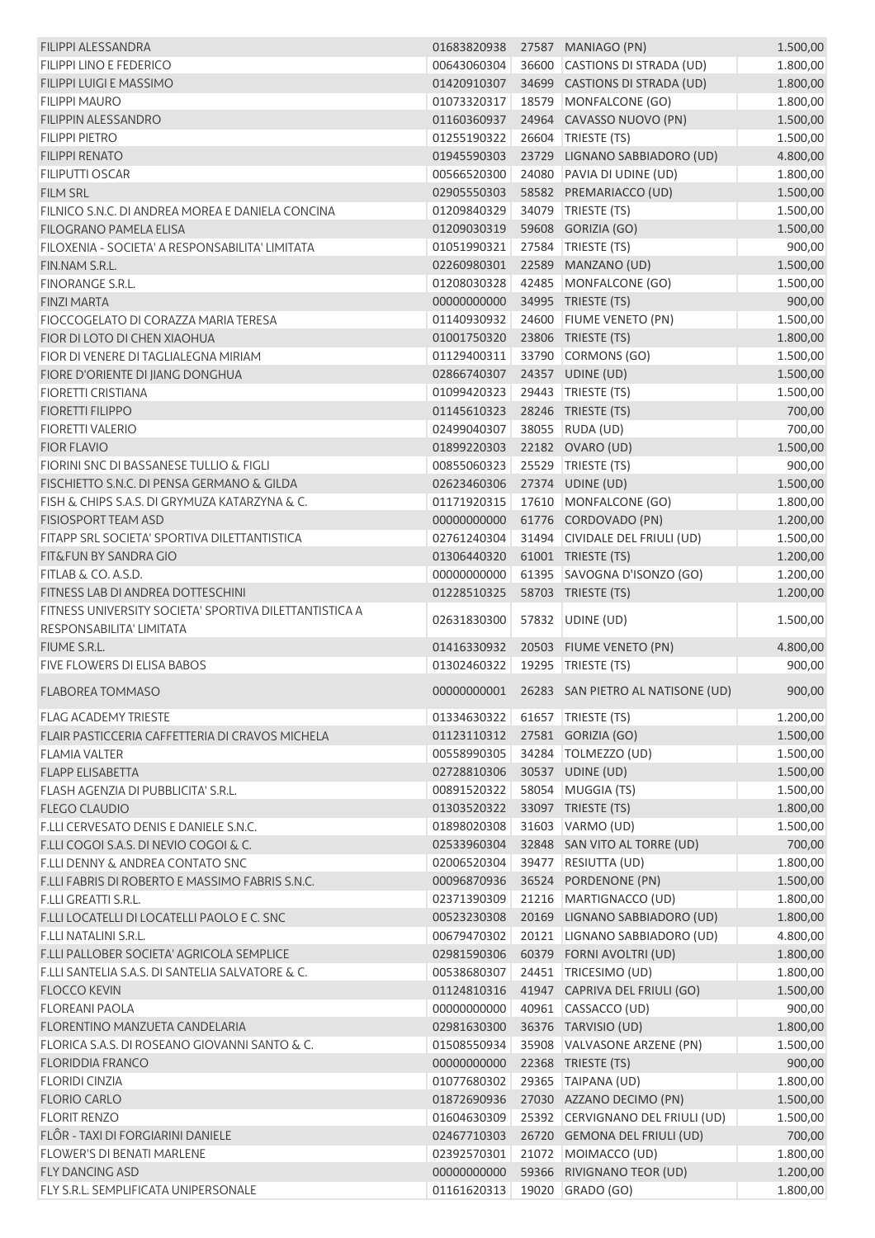| <b>FILIPPI ALESSANDRA</b>                              |                                | 01683820938 27587 MANIAGO (PN)                | 1.500,00             |
|--------------------------------------------------------|--------------------------------|-----------------------------------------------|----------------------|
| <b>FILIPPI LINO E FEDERICO</b>                         | 00643060304                    | 36600 CASTIONS DI STRADA (UD)                 | 1.800,00             |
| FILIPPI LUIGI E MASSIMO                                | 01420910307                    | 34699 CASTIONS DI STRADA (UD)                 | 1.800,00             |
| <b>FILIPPI MAURO</b>                                   | 01073320317                    | 18579 MONFALCONE (GO)                         | 1.800,00             |
| <b>FILIPPIN ALESSANDRO</b>                             | 01160360937                    | 24964 CAVASSO NUOVO (PN)                      | 1.500,00             |
| <b>FILIPPI PIETRO</b>                                  | 01255190322                    | 26604 TRIESTE (TS)                            | 1.500,00             |
| <b>FILIPPI RENATO</b>                                  | 01945590303                    | 23729 LIGNANO SABBIADORO (UD)                 | 4.800,00             |
| <b>FILIPUTTI OSCAR</b>                                 | 00566520300                    | 24080 PAVIA DI UDINE (UD)                     | 1.800,00             |
| <b>FILM SRL</b>                                        | 02905550303                    | 58582 PREMARIACCO (UD)                        | 1.500,00             |
| FILNICO S.N.C. DI ANDREA MOREA E DANIELA CONCINA       | 01209840329                    | 34079 TRIESTE (TS)                            | 1.500,00             |
| <b>FILOGRANO PAMELA ELISA</b>                          | 01209030319                    | 59608 GORIZIA (GO)                            | 1.500,00             |
| FILOXENIA - SOCIETA' A RESPONSABILITA' LIMITATA        | 01051990321                    | 27584   TRIESTE (TS)                          | 900,00               |
| FIN.NAM S.R.L.                                         | 02260980301                    | 22589 MANZANO (UD)                            | 1.500,00             |
| <b>FINORANGE S.R.L.</b>                                | 01208030328                    | 42485 MONFALCONE (GO)                         | 1.500,00             |
| <b>FINZI MARTA</b>                                     | 00000000000                    | 34995 TRIESTE (TS)                            | 900,00               |
| FIOCCOGELATO DI CORAZZA MARIA TERESA                   | 01140930932                    | 24600 FIUME VENETO (PN)                       | 1.500,00             |
| FIOR DI LOTO DI CHEN XIAOHUA                           | 01001750320                    | 23806 TRIESTE (TS)                            | 1.800,00             |
|                                                        |                                |                                               |                      |
| FIOR DI VENERE DI TAGLIALEGNA MIRIAM                   | 01129400311                    | 33790 CORMONS (GO)                            | 1.500,00             |
| FIORE D'ORIENTE DI JIANG DONGHUA                       | 02866740307                    | 24357 UDINE (UD)                              | 1.500,00             |
| <b>FIORETTI CRISTIANA</b>                              | 01099420323                    | 29443   TRIESTE (TS)                          | 1.500,00             |
| <b>FIORETTI FILIPPO</b>                                | 01145610323                    | 28246 TRIESTE (TS)                            | 700,00               |
| <b>FIORETTI VALERIO</b>                                | 02499040307                    | 38055 RUDA (UD)                               | 700,00               |
| <b>FIOR FLAVIO</b>                                     | 01899220303                    | 22182 OVARO (UD)                              | 1.500,00             |
| FIORINI SNC DI BASSANESE TULLIO & FIGLI                | 00855060323                    | 25529 TRIESTE (TS)                            | 900,00               |
| FISCHIETTO S.N.C. DI PENSA GERMANO & GILDA             | 02623460306                    | 27374 UDINE (UD)                              | 1.500,00             |
| FISH & CHIPS S.A.S. DI GRYMUZA KATARZYNA & C.          | 01171920315                    | 17610 MONFALCONE (GO)                         | 1.800,00             |
| <b>FISIOSPORT TEAM ASD</b>                             | 00000000000                    | 61776 CORDOVADO (PN)                          | 1.200,00             |
| FITAPP SRL SOCIETA' SPORTIVA DILETTANTISTICA           | 02761240304                    | 31494 CIVIDALE DEL FRIULI (UD)                | 1.500,00             |
| FIT&FUN BY SANDRA GIO                                  | 01306440320                    | 61001 TRIESTE (TS)                            | 1.200,00             |
| FITLAB & CO. A.S.D.                                    | 00000000000                    | 61395 SAVOGNA D'ISONZO (GO)                   | 1.200,00             |
| FITNESS LAB DI ANDREA DOTTESCHINI                      | 01228510325                    | 58703 TRIESTE (TS)                            | 1.200,00             |
| FITNESS UNIVERSITY SOCIETA' SPORTIVA DILETTANTISTICA A |                                | 57832 UDINE (UD)                              |                      |
| RESPONSABILITA' LIMITATA                               | 02631830300                    |                                               | 1.500,00             |
| FIUME S.R.L.                                           | 01416330932                    | 20503 FIUME VENETO (PN)                       | 4.800,00             |
| <b>FIVE FLOWERS DI ELISA BABOS</b>                     | 01302460322                    | 19295   TRIESTE (TS)                          | 900,00               |
| <b>FLABOREA TOMMASO</b>                                |                                |                                               | 900,00               |
|                                                        |                                | 00000000001 26283 SAN PIETRO AL NATISONE (UD) |                      |
| <b>FLAG ACADEMY TRIESTE</b>                            | 01334630322 61657 TRIESTE (TS) |                                               | 1.200,00             |
| FLAIR PASTICCERIA CAFFETTERIA DI CRAVOS MICHELA        | 01123110312                    | 27581 GORIZIA (GO)                            | 1.500,00             |
| <b>FLAMIA VALTER</b>                                   | 00558990305                    | 34284 TOLMEZZO (UD)                           | 1.500,00             |
| <b>FLAPP ELISABETTA</b>                                | 02728810306                    | 30537 UDINE (UD)                              | 1.500,00             |
| FLASH AGENZIA DI PUBBLICITA' S.R.L.                    | 00891520322                    | 58054 MUGGIA (TS)                             | 1.500,00             |
| <b>FLEGO CLAUDIO</b>                                   | 01303520322                    | 33097 TRIESTE (TS)                            | 1.800,00             |
| F.LLI CERVESATO DENIS E DANIELE S.N.C.                 | 01898020308                    | 31603 VARMO (UD)                              | 1.500,00             |
| F.LLI COGOI S.A.S. DI NEVIO COGOI & C.                 | 02533960304                    | 32848 SAN VITO AL TORRE (UD)                  | 700,00               |
| <b>F.LLI DENNY &amp; ANDREA CONTATO SNC</b>            | 02006520304                    | 39477 RESIUTTA (UD)                           | 1.800,00             |
| F.LLI FABRIS DI ROBERTO E MASSIMO FABRIS S.N.C.        | 00096870936                    | 36524 PORDENONE (PN)                          | 1.500,00             |
| <b>F.LLI GREATTI S.R.L.</b>                            | 02371390309                    | 21216 MARTIGNACCO (UD)                        | 1.800,00             |
| F.LLI LOCATELLI DI LOCATELLI PAOLO E C. SNC            | 00523230308                    | 20169 LIGNANO SABBIADORO (UD)                 | 1.800,00             |
| <b>F.LLI NATALINI S.R.L.</b>                           | 00679470302                    | 20121 LIGNANO SABBIADORO (UD)                 | 4.800,00             |
| F.LLI PALLOBER SOCIETA' AGRICOLA SEMPLICE              | 02981590306                    | 60379 FORNI AVOLTRI (UD)                      | 1.800,00             |
| F.LLI SANTELIA S.A.S. DI SANTELIA SALVATORE & C.       | 00538680307                    | 24451 TRICESIMO (UD)                          | 1.800,00             |
| <b>FLOCCO KEVIN</b>                                    | 01124810316                    | 41947 CAPRIVA DEL FRIULI (GO)                 | 1.500,00             |
| <b>FLOREANI PAOLA</b>                                  | 00000000000                    | 40961 CASSACCO (UD)                           | 900,00               |
| FLORENTINO MANZUETA CANDELARIA                         | 02981630300                    | 36376 TARVISIO (UD)                           | 1.800,00             |
| FLORICA S.A.S. DI ROSEANO GIOVANNI SANTO & C.          | 01508550934                    | 35908 VALVASONE ARZENE (PN)                   | 1.500,00             |
| <b>FLORIDDIA FRANCO</b>                                | 00000000000                    | 22368 TRIESTE (TS)                            | 900,00               |
|                                                        |                                |                                               |                      |
| <b>FLORIDI CINZIA</b>                                  | 01077680302                    | 29365 TAIPANA (UD)                            | 1.800,00             |
| <b>FLORIO CARLO</b>                                    | 01872690936                    | 27030 AZZANO DECIMO (PN)                      | 1.500,00             |
| <b>FLORIT RENZO</b>                                    | 01604630309                    | 25392 CERVIGNANO DEL FRIULI (UD)              | 1.500,00             |
| FLÔR - TAXI DI FORGIARINI DANIELE                      | 02467710303                    | 26720 GEMONA DEL FRIULI (UD)                  | 700,00               |
| <b>FLOWER'S DI BENATI MARLENE</b>                      | 02392570301                    | 21072 MOIMACCO (UD)                           | 1.800,00             |
| <b>FLY DANCING ASD</b>                                 | 00000000000<br>01161620313     | 59366 RIVIGNANO TEOR (UD)<br>19020 GRADO (GO) | 1.200,00<br>1.800,00 |
| FLY S.R.L. SEMPLIFICATA UNIPERSONALE                   |                                |                                               |                      |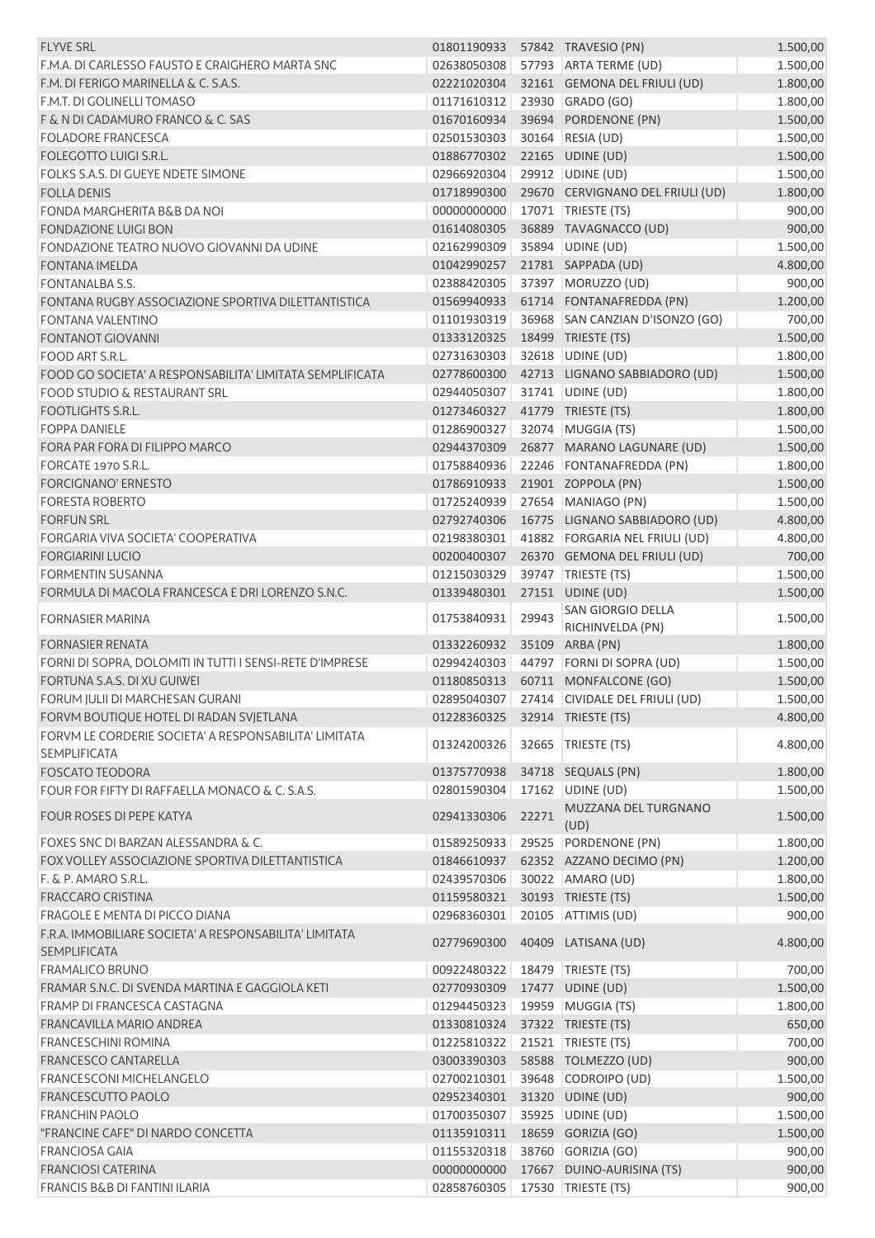| <b>FLYVE SRL</b>                                                              | 01801190933 |       | 57842 TRAVESIO (PN)                        | 1.500,00 |
|-------------------------------------------------------------------------------|-------------|-------|--------------------------------------------|----------|
| F.M.A. DI CARLESSO FAUSTO E CRAIGHERO MARTA SNC                               | 02638050308 |       | 57793 ARTA TERME (UD)                      | 1.500,00 |
| F.M. DI FERIGO MARINELLA & C. S.A.S.                                          | 02221020304 |       | 32161 GEMONA DEL FRIULI (UD)               | 1.800,00 |
| F.M.T. DI GOLINELLI TOMASO                                                    | 01171610312 |       | 23930 GRADO (GO)                           | 1.800,00 |
| F & N DI CADAMURO FRANCO & C. SAS                                             | 01670160934 |       | 39694 PORDENONE (PN)                       | 1.500,00 |
| <b>FOLADORE FRANCESCA</b>                                                     | 02501530303 |       | 30164 RESIA (UD)                           | 1.500,00 |
| FOLEGOTTO LUIGI S.R.L.                                                        | 01886770302 |       | 22165 UDINE (UD)                           | 1.500,00 |
| FOLKS S.A.S. DI GUEYE NDETE SIMONE                                            | 02966920304 |       | 29912 UDINE (UD)                           | 1.500,00 |
| <b>FOLLA DENIS</b>                                                            | 01718990300 |       | 29670 CERVIGNANO DEL FRIULI (UD)           | 1.800,00 |
| <b>FONDA MARGHERITA B&amp;B DA NOI</b>                                        | 00000000000 |       | 17071   TRIESTE (TS)                       | 900,00   |
| <b>FONDAZIONE LUIGI BON</b>                                                   | 01614080305 |       | 36889 TAVAGNACCO (UD)                      | 900,00   |
| FONDAZIONE TEATRO NUOVO GIOVANNI DA UDINE                                     | 02162990309 |       | 35894 UDINE (UD)                           | 1.500,00 |
| <b>FONTANA IMELDA</b>                                                         | 01042990257 |       | 21781 SAPPADA (UD)                         | 4.800,00 |
| <b>FONTANALBA S.S.</b>                                                        | 02388420305 |       | 37397 MORUZZO (UD)                         | 900,00   |
| FONTANA RUGBY ASSOCIAZIONE SPORTIVA DILETTANTISTICA                           | 01569940933 |       | 61714 FONTANAFREDDA (PN)                   | 1.200,00 |
| <b>FONTANA VALENTINO</b>                                                      | 01101930319 |       | 36968 SAN CANZIAN D'ISONZO (GO)            | 700,00   |
| <b>FONTANOT GIOVANNI</b>                                                      | 01333120325 |       | 18499 TRIESTE (TS)                         | 1.500,00 |
| FOOD ART S.R.L.                                                               | 02731630303 |       | 32618   UDINE (UD)                         | 1.800,00 |
| FOOD GO SOCIETA' A RESPONSABILITA' LIMITATA SEMPLIFICATA                      | 02778600300 |       | 42713 LIGNANO SABBIADORO (UD)              | 1.500,00 |
| <b>FOOD STUDIO &amp; RESTAURANT SRL</b>                                       | 02944050307 |       | 31741   UDINE (UD)                         | 1.800,00 |
| <b>FOOTLIGHTS S.R.L.</b>                                                      | 01273460327 |       | 41779 TRIESTE (TS)                         | 1.800,00 |
| <b>FOPPA DANIELE</b>                                                          | 01286900327 |       | 32074 MUGGIA (TS)                          | 1.500,00 |
| FORA PAR FORA DI FILIPPO MARCO                                                | 02944370309 |       | 26877 MARANO LAGUNARE (UD)                 | 1.500,00 |
| FORCATE 1970 S.R.L.                                                           | 01758840936 |       | 22246 FONTANAFREDDA (PN)                   | 1.800,00 |
| <b>FORCIGNANO' ERNESTO</b>                                                    | 01786910933 |       | 21901 ZOPPOLA (PN)                         | 1.500,00 |
| <b>FORESTA ROBERTO</b>                                                        | 01725240939 |       | 27654 MANIAGO (PN)                         | 1.500,00 |
| <b>FORFUN SRL</b>                                                             | 02792740306 |       | 16775 LIGNANO SABBIADORO (UD)              | 4.800,00 |
| FORGARIA VIVA SOCIETA' COOPERATIVA                                            | 02198380301 |       | 41882 FORGARIA NEL FRIULI (UD)             | 4.800,00 |
| <b>FORGIARINI LUCIO</b>                                                       | 00200400307 |       | 26370 GEMONA DEL FRIULI (UD)               | 700,00   |
| FORMENTIN SUSANNA                                                             | 01215030329 |       | 39747   TRIESTE (TS)                       | 1.500,00 |
| FORMULA DI MACOLA FRANCESCA E DRI LORENZO S.N.C.                              | 01339480301 |       | 27151 UDINE (UD)                           | 1.500,00 |
| <b>FORNASIER MARINA</b>                                                       | 01753840931 | 29943 | SAN GIORGIO DELLA                          | 1.500,00 |
|                                                                               |             |       | RICHINVELDA (PN)                           |          |
| <b>FORNASIER RENATA</b>                                                       | 01332260932 |       | 35109 ARBA (PN)                            | 1.800,00 |
| FORNI DI SOPRA, DOLOMITI IN TUTTI I SENSI-RETE D'IMPRESE                      | 02994240303 |       | 44797 FORNI DI SOPRA (UD)                  | 1.500,00 |
| FORTUNA S.A.S. DI XU GUIWEI                                                   | 01180850313 |       | 60711 MONFALCONE (GO)                      | 1.500,00 |
| FORUM JULII DI MARCHESAN GURANI                                               |             |       | 02895040307 27414 CIVIDALE DEL FRIULI (UD) | 1.500,00 |
| FORVM BOUTIQUE HOTEL DI RADAN SVJETLANA                                       | 01228360325 |       | 32914 TRIESTE (TS)                         | 4.800,00 |
| FORVM LE CORDERIE SOCIETA' A RESPONSABILITA' LIMITATA<br><b>SEMPLIFICATA</b>  | 01324200326 |       | 32665   TRIESTE (TS)                       | 4.800,00 |
| <b>FOSCATO TEODORA</b>                                                        | 01375770938 |       | 34718 SEQUALS (PN)                         | 1.800,00 |
| FOUR FOR FIFTY DI RAFFAELLA MONACO & C. S.A.S.                                | 02801590304 |       | 17162 UDINE (UD)                           | 1.500,00 |
| <b>FOUR ROSES DI PEPE KATYA</b>                                               | 02941330306 | 22271 | MUZZANA DEL TURGNANO<br>(UD)               | 1.500,00 |
| FOXES SNC DI BARZAN ALESSANDRA & C.                                           | 01589250933 |       | 29525 PORDENONE (PN)                       | 1.800,00 |
| FOX VOLLEY ASSOCIAZIONE SPORTIVA DILETTANTISTICA                              | 01846610937 |       | 62352 AZZANO DECIMO (PN)                   | 1.200,00 |
| F. & P. AMARO S.R.L.                                                          | 02439570306 |       | 30022 AMARO (UD)                           | 1.800,00 |
| <b>FRACCARO CRISTINA</b>                                                      | 01159580321 |       | 30193 TRIESTE (TS)                         | 1.500,00 |
| <b>FRAGOLE E MENTA DI PICCO DIANA</b>                                         | 02968360301 |       | 20105 ATTIMIS (UD)                         | 900,00   |
| F.R.A. IMMOBILIARE SOCIETA' A RESPONSABILITA' LIMITATA<br><b>SEMPLIFICATA</b> | 02779690300 |       | 40409 LATISANA (UD)                        | 4.800,00 |
| <b>FRAMALICO BRUNO</b>                                                        | 00922480322 |       | 18479 TRIESTE (TS)                         | 700,00   |
| FRAMAR S.N.C. DI SVENDA MARTINA E GAGGIOLA KETI                               | 02770930309 |       | 17477 UDINE (UD)                           | 1.500,00 |
| FRAMP DI FRANCESCA CASTAGNA                                                   | 01294450323 |       | 19959 MUGGIA (TS)                          | 1.800,00 |
| <b>FRANCAVILLA MARIO ANDREA</b>                                               | 01330810324 |       | 37322 TRIESTE (TS)                         | 650,00   |
| <b>FRANCESCHINI ROMINA</b>                                                    | 01225810322 |       | 21521   TRIESTE (TS)                       | 700,00   |
| <b>FRANCESCO CANTARELLA</b>                                                   | 03003390303 |       | 58588 TOLMEZZO (UD)                        | 900,00   |
| FRANCESCONI MICHELANGELO                                                      | 02700210301 |       | 39648 CODROIPO (UD)                        | 1.500,00 |
| <b>FRANCESCUTTO PAOLO</b>                                                     | 02952340301 |       | 31320 UDINE (UD)                           | 900,00   |
| <b>FRANCHIN PAOLO</b>                                                         | 01700350307 |       | 35925 UDINE (UD)                           | 1.500,00 |
| "FRANCINE CAFE" DI NARDO CONCETTA                                             | 01135910311 |       | 18659 GORIZIA (GO)                         | 1.500,00 |
| <b>FRANCIOSA GAIA</b>                                                         | 01155320318 |       | 38760 GORIZIA (GO)                         | 900,00   |
| <b>FRANCIOSI CATERINA</b>                                                     | 00000000000 |       | 17667 DUINO-AURISINA (TS)                  | 900,00   |
| <b>FRANCIS B&amp;B DI FANTINI ILARIA</b>                                      | 02858760305 |       | 17530 TRIESTE (TS)                         | 900,00   |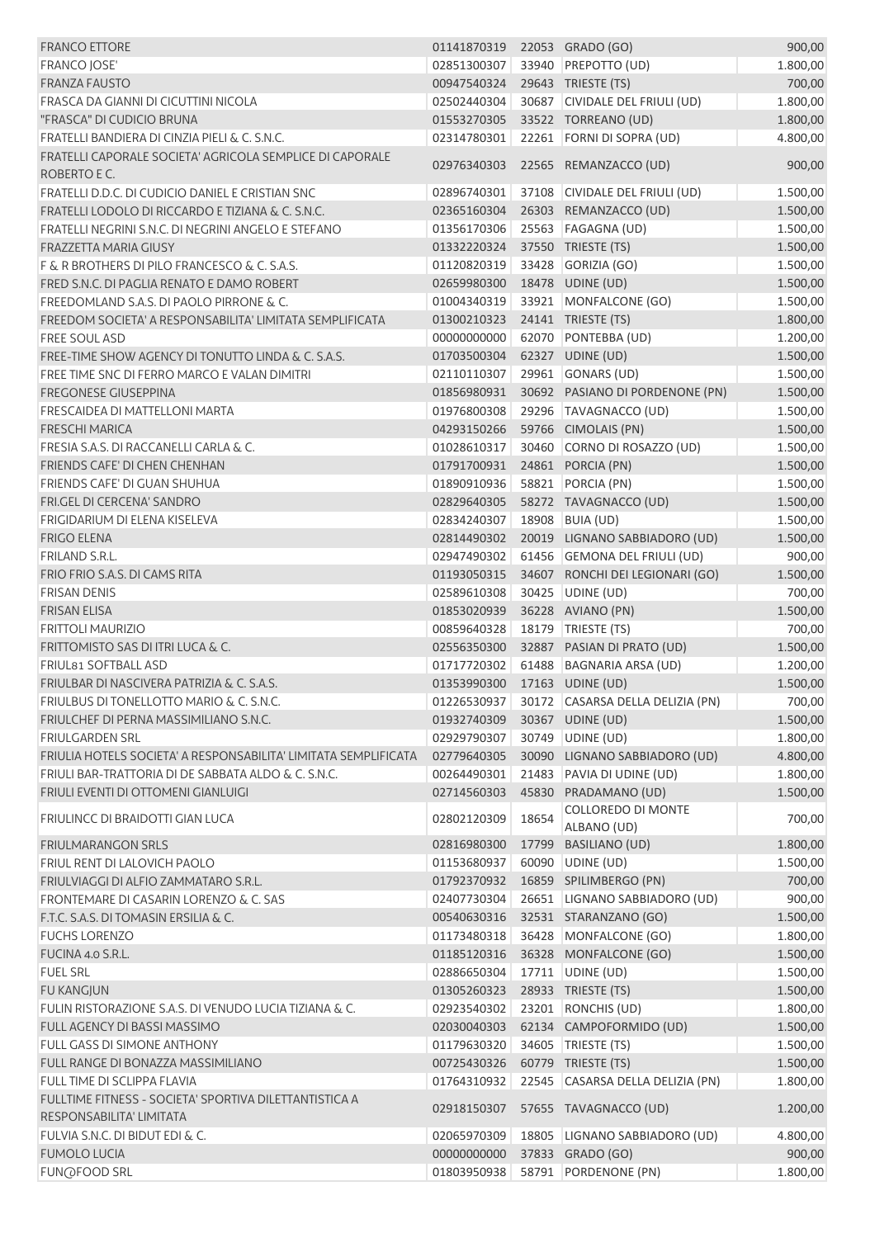| <b>FRANCO ETTORE</b>                                                     | 01141870319 |       | 22053 GRADO (GO)                         | 900,00   |
|--------------------------------------------------------------------------|-------------|-------|------------------------------------------|----------|
| <b>FRANCO JOSE'</b>                                                      | 02851300307 |       | 33940 PREPOTTO (UD)                      | 1.800,00 |
| <b>FRANZA FAUSTO</b>                                                     | 00947540324 |       | 29643 TRIESTE (TS)                       | 700,00   |
| FRASCA DA GIANNI DI CICUTTINI NICOLA                                     | 02502440304 |       | 30687 CIVIDALE DEL FRIULI (UD)           | 1.800,00 |
| "FRASCA" DI CUDICIO BRUNA                                                | 01553270305 |       | 33522 TORREANO (UD)                      | 1.800,00 |
| FRATELLI BANDIERA DI CINZIA PIELI & C. S.N.C.                            | 02314780301 |       | 22261 FORNI DI SOPRA (UD)                | 4.800,00 |
| FRATELLI CAPORALE SOCIETA' AGRICOLA SEMPLICE DI CAPORALE<br>ROBERTO E C. | 02976340303 |       | 22565 REMANZACCO (UD)                    | 900,00   |
| FRATELLI D.D.C. DI CUDICIO DANIEL E CRISTIAN SNC                         | 02896740301 |       | 37108 CIVIDALE DEL FRIULI (UD)           | 1.500,00 |
| FRATELLI LODOLO DI RICCARDO E TIZIANA & C. S.N.C.                        | 02365160304 |       | 26303 REMANZACCO (UD)                    | 1.500,00 |
| FRATELLI NEGRINI S.N.C. DI NEGRINI ANGELO E STEFANO                      | 01356170306 |       | 25563 FAGAGNA (UD)                       | 1.500,00 |
| <b>FRAZZETTA MARIA GIUSY</b>                                             | 01332220324 |       | 37550 TRIESTE (TS)                       | 1.500,00 |
| F & R BROTHERS DI PILO FRANCESCO & C. S.A.S.                             | 01120820319 |       | 33428 GORIZIA (GO)                       | 1.500,00 |
| FRED S.N.C. DI PAGLIA RENATO E DAMO ROBERT                               | 02659980300 |       | 18478 UDINE (UD)                         | 1.500,00 |
| FREEDOMLAND S.A.S. DI PAOLO PIRRONE & C.                                 | 01004340319 |       | 33921 MONFALCONE (GO)                    | 1.500,00 |
| FREEDOM SOCIETA' A RESPONSABILITA' LIMITATA SEMPLIFICATA                 | 01300210323 |       | 24141 TRIESTE (TS)                       | 1.800,00 |
| <b>FREE SOUL ASD</b>                                                     | 00000000000 |       | 62070 PONTEBBA (UD)                      | 1.200,00 |
| FREE-TIME SHOW AGENCY DI TONUTTO LINDA & C. S.A.S.                       | 01703500304 |       | 62327 UDINE (UD)                         | 1.500,00 |
| FREE TIME SNC DI FERRO MARCO E VALAN DIMITRI                             | 02110110307 |       | 29961 GONARS (UD)                        | 1.500,00 |
| <b>FREGONESE GIUSEPPINA</b>                                              | 01856980931 |       | 30692 PASIANO DI PORDENONE (PN)          | 1.500,00 |
| FRESCAIDEA DI MATTELLONI MARTA                                           | 01976800308 |       | 29296 TAVAGNACCO (UD)                    | 1.500,00 |
| <b>FRESCHI MARICA</b>                                                    | 04293150266 |       | 59766 CIMOLAIS (PN)                      | 1.500,00 |
| FRESIA S.A.S. DI RACCANELLI CARLA & C.                                   | 01028610317 |       | 30460 CORNO DI ROSAZZO (UD)              | 1.500,00 |
| FRIENDS CAFE' DI CHEN CHENHAN                                            | 01791700931 |       | 24861 PORCIA (PN)                        | 1.500,00 |
| FRIENDS CAFE' DI GUAN SHUHUA                                             | 01890910936 |       | 58821 PORCIA (PN)                        | 1.500,00 |
| FRI.GEL DI CERCENA' SANDRO                                               | 02829640305 |       | 58272 TAVAGNACCO (UD)                    | 1.500,00 |
| FRIGIDARIUM DI ELENA KISELEVA                                            | 02834240307 |       | 18908 BUIA (UD)                          | 1.500,00 |
| <b>FRIGO ELENA</b>                                                       | 02814490302 |       | 20019 LIGNANO SABBIADORO (UD)            | 1.500,00 |
| <b>FRILAND S.R.L.</b>                                                    | 02947490302 |       | 61456 GEMONA DEL FRIULI (UD)             | 900,00   |
| FRIO FRIO S.A.S. DI CAMS RITA                                            | 01193050315 |       | 34607 RONCHI DEI LEGIONARI (GO)          | 1.500,00 |
| <b>FRISAN DENIS</b>                                                      | 02589610308 |       | 30425 UDINE (UD)                         | 700,00   |
| <b>FRISAN ELISA</b>                                                      | 01853020939 |       | 36228 AVIANO (PN)                        | 1.500,00 |
| <b>FRITTOLI MAURIZIO</b>                                                 | 00859640328 |       | 18179 TRIESTE (TS)                       | 700,00   |
| FRITTOMISTO SAS DI ITRI LUCA & C.                                        | 02556350300 |       | 32887 PASIAN DI PRATO (UD)               | 1.500,00 |
| FRIUL81 SOFTBALL ASD                                                     | 01717720302 |       | 61488 BAGNARIA ARSA (UD)                 | 1.200,00 |
| FRIULBAR DI NASCIVERA PATRIZIA & C. S.A.S.                               | 01353990300 |       | 17163 UDINE (UD)                         | 1.500,00 |
| FRIULBUS DI TONELLOTTO MARIO & C. S.N.C.                                 | 01226530937 |       | 30172 CASARSA DELLA DELIZIA (PN)         | 700,00   |
| FRIULCHEF DI PERNA MASSIMILIANO S.N.C.                                   | 01932740309 |       | 30367 UDINE (UD)                         | 1.500,00 |
| <b>FRIULGARDEN SRL</b>                                                   | 02929790307 |       | 30749 UDINE (UD)                         | 1.800,00 |
| FRIULIA HOTELS SOCIETA' A RESPONSABILITA' LIMITATA SEMPLIFICATA          | 02779640305 |       | 30090 LIGNANO SABBIADORO (UD)            | 4.800,00 |
| FRIULI BAR-TRATTORIA DI DE SABBATA ALDO & C. S.N.C.                      | 00264490301 | 21483 | PAVIA DI UDINE (UD)                      | 1.800,00 |
| FRIULI EVENTI DI OTTOMENI GIANLUIGI                                      | 02714560303 |       | 45830 PRADAMANO (UD)                     | 1.500,00 |
| FRIULINCC DI BRAIDOTTI GIAN LUCA                                         | 02802120309 | 18654 | <b>COLLOREDO DI MONTE</b><br>ALBANO (UD) | 700,00   |
| <b>FRIULMARANGON SRLS</b>                                                | 02816980300 | 17799 | BASILIANO (UD)                           | 1.800,00 |
| <b>FRIUL RENT DI LALOVICH PAOLO</b>                                      | 01153680937 | 60090 | UDINE (UD)                               | 1.500,00 |
| FRIULVIAGGI DI ALFIO ZAMMATARO S.R.L.                                    | 01792370932 |       | 16859 SPILIMBERGO (PN)                   | 700,00   |
| FRONTEMARE DI CASARIN LORENZO & C. SAS                                   | 02407730304 |       | 26651 LIGNANO SABBIADORO (UD)            | 900,00   |
| F.T.C. S.A.S. DI TOMASIN ERSILIA & C.                                    | 00540630316 |       | 32531 STARANZANO (GO)                    | 1.500,00 |
| <b>FUCHS LORENZO</b>                                                     | 01173480318 |       | 36428 MONFALCONE (GO)                    | 1.800,00 |
| FUCINA 4.0 S.R.L.                                                        | 01185120316 |       | 36328 MONFALCONE (GO)                    | 1.500,00 |
| <b>FUEL SRL</b>                                                          | 02886650304 |       | 17711 UDINE (UD)                         | 1.500,00 |
| <b>FU KANGJUN</b>                                                        | 01305260323 |       | 28933 TRIESTE (TS)                       | 1.500,00 |
| FULIN RISTORAZIONE S.A.S. DI VENUDO LUCIA TIZIANA & C.                   | 02923540302 |       | 23201 RONCHIS (UD)                       | 1.800,00 |
| FULL AGENCY DI BASSI MASSIMO                                             | 02030040303 |       | 62134 CAMPOFORMIDO (UD)                  | 1.500,00 |
| FULL GASS DI SIMONE ANTHONY                                              | 01179630320 |       | 34605 TRIESTE (TS)                       | 1.500,00 |
| FULL RANGE DI BONAZZA MASSIMILIANO                                       | 00725430326 |       | 60779 TRIESTE (TS)                       | 1.500,00 |
| FULL TIME DI SCLIPPA FLAVIA                                              | 01764310932 |       | 22545 CASARSA DELLA DELIZIA (PN)         | 1.800,00 |
| FULLTIME FITNESS - SOCIETA' SPORTIVA DILETTANTISTICA A                   |             |       |                                          |          |
| RESPONSABILITA' LIMITATA                                                 | 02918150307 |       | 57655 TAVAGNACCO (UD)                    | 1.200,00 |
| FULVIA S.N.C. DI BIDUT EDI & C.                                          | 02065970309 | 18805 | LIGNANO SABBIADORO (UD)                  | 4.800,00 |
| <b>FUMOLO LUCIA</b>                                                      | 00000000000 |       | 37833 GRADO (GO)                         | 900,00   |
| <b>FUN@FOOD SRL</b>                                                      | 01803950938 |       | 58791 PORDENONE (PN)                     | 1.800,00 |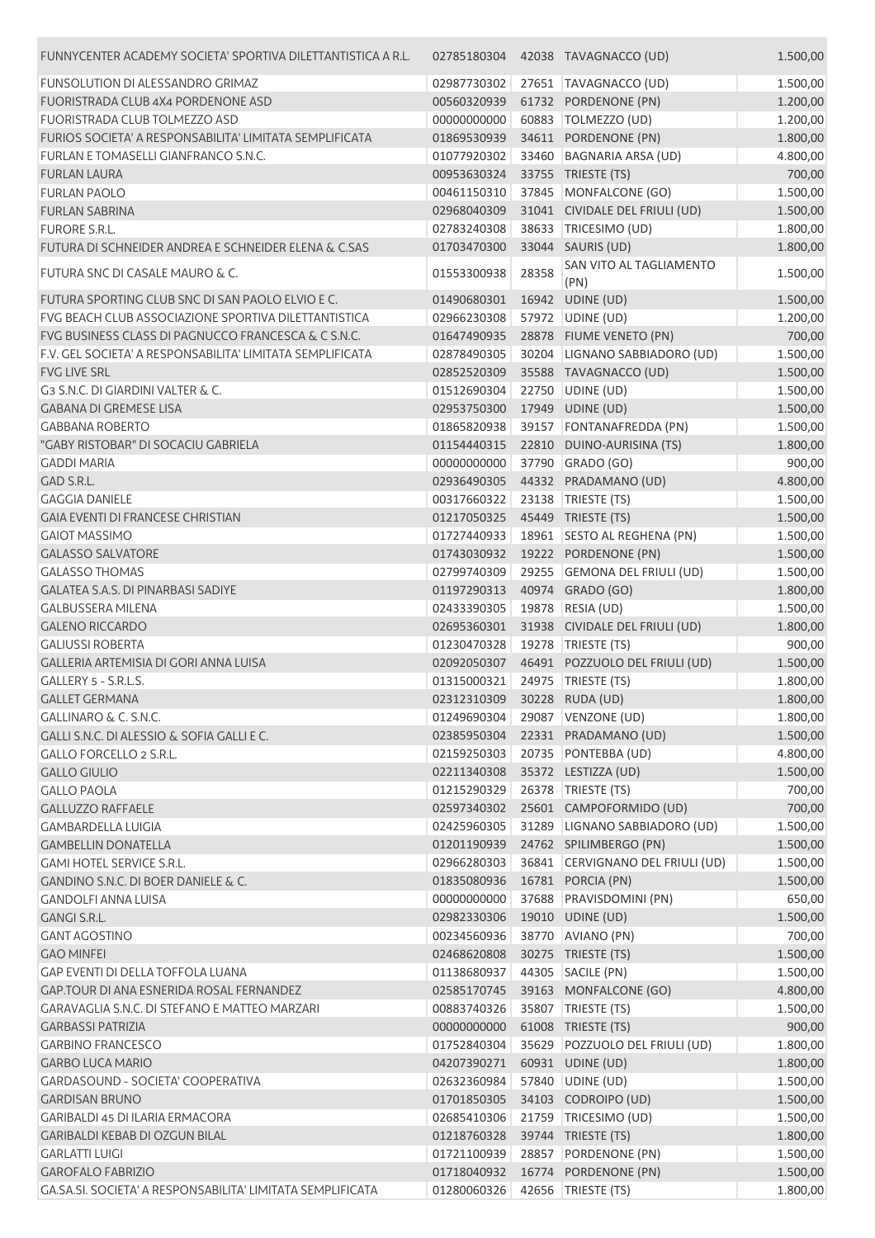| FUNNYCENTER ACADEMY SOCIETA' SPORTIVA DILETTANTISTICA A R.L. | 02785180304                    |       | 42038 TAVAGNACCO (UD)            | 1.500,00 |
|--------------------------------------------------------------|--------------------------------|-------|----------------------------------|----------|
| <b>FUNSOLUTION DI ALESSANDRO GRIMAZ</b>                      | 02987730302                    |       | 27651 TAVAGNACCO (UD)            | 1.500,00 |
| FUORISTRADA CLUB 4X4 PORDENONE ASD                           | 00560320939                    |       | 61732 PORDENONE (PN)             | 1.200,00 |
| <b>FUORISTRADA CLUB TOLMEZZO ASD</b>                         | 00000000000                    |       | 60883   TOLMEZZO (UD)            | 1.200,00 |
| FURIOS SOCIETA' A RESPONSABILITA' LIMITATA SEMPLIFICATA      | 01869530939                    |       | 34611 PORDENONE (PN)             | 1.800,00 |
| FURLAN E TOMASELLI GIANFRANCO S.N.C.                         | 01077920302                    |       | 33460 BAGNARIA ARSA (UD)         | 4.800,00 |
| <b>FURLAN LAURA</b>                                          | 00953630324                    |       | 33755 TRIESTE (TS)               | 700,00   |
| <b>FURLAN PAOLO</b>                                          | 00461150310                    |       | 37845 MONFALCONE (GO)            | 1.500,00 |
| <b>FURLAN SABRINA</b>                                        | 02968040309                    |       | 31041 CIVIDALE DEL FRIULI (UD)   | 1.500,00 |
| <b>FURORE S.R.L.</b>                                         | 02783240308                    |       | 38633 TRICESIMO (UD)             | 1.800,00 |
| FUTURA DI SCHNEIDER ANDREA E SCHNEIDER ELENA & C.SAS         | 01703470300                    |       | 33044 SAURIS (UD)                | 1.800,00 |
| FUTURA SNC DI CASALE MAURO & C.                              | 01553300938                    | 28358 | SAN VITO AL TAGLIAMENTO<br>(PN)  | 1.500,00 |
| FUTURA SPORTING CLUB SNC DI SAN PAOLO ELVIO E C.             | 01490680301                    | 16942 | UDINE (UD)                       | 1.500,00 |
| FVG BEACH CLUB ASSOCIAZIONE SPORTIVA DILETTANTISTICA         | 02966230308                    |       | 57972 UDINE (UD)                 | 1.200,00 |
| FVG BUSINESS CLASS DI PAGNUCCO FRANCESCA & C S.N.C.          | 01647490935                    |       | 28878 FIUME VENETO (PN)          | 700,00   |
| F.V. GEL SOCIETA' A RESPONSABILITA' LIMITATA SEMPLIFICATA    | 02878490305                    |       | 30204 LIGNANO SABBIADORO (UD)    | 1.500,00 |
| <b>FVG LIVE SRL</b>                                          | 02852520309                    |       | 35588 TAVAGNACCO (UD)            | 1.500,00 |
| G3 S.N.C. DI GIARDINI VALTER & C.                            | 01512690304                    |       | 22750 UDINE (UD)                 | 1.500,00 |
| <b>GABANA DI GREMESE LISA</b>                                | 02953750300                    |       | 17949 UDINE (UD)                 | 1.500,00 |
| <b>GABBANA ROBERTO</b>                                       | 01865820938                    |       | 39157 FONTANAFREDDA (PN)         | 1.500,00 |
| "GABY RISTOBAR" DI SOCACIU GABRIELA                          | 01154440315                    |       | 22810 DUINO-AURISINA (TS)        | 1.800,00 |
| <b>GADDI MARIA</b>                                           | 00000000000                    |       | 37790 GRADO (GO)                 | 900,00   |
| GAD S.R.L.                                                   | 02936490305                    |       | 44332 PRADAMANO (UD)             | 4.800,00 |
| <b>GAGGIA DANIELE</b>                                        | 00317660322                    |       | 23138 TRIESTE (TS)               | 1.500,00 |
| <b>GAIA EVENTI DI FRANCESE CHRISTIAN</b>                     | 01217050325                    |       | 45449 TRIESTE (TS)               | 1.500,00 |
| <b>GAIOT MASSIMO</b>                                         | 01727440933                    |       | 18961 SESTO AL REGHENA (PN)      | 1.500,00 |
| <b>GALASSO SALVATORE</b>                                     | 01743030932                    |       | 19222 PORDENONE (PN)             | 1.500,00 |
| <b>GALASSO THOMAS</b>                                        | 02799740309                    |       | 29255 GEMONA DEL FRIULI (UD)     | 1.500,00 |
| <b>GALATEA S.A.S. DI PINARBASI SADIYE</b>                    | 01197290313                    |       | 40974 GRADO (GO)                 | 1.800,00 |
| <b>GALBUSSERA MILENA</b>                                     | 02433390305                    | 19878 | RESIA (UD)                       | 1.500,00 |
| <b>GALENO RICCARDO</b>                                       | 02695360301                    |       | 31938 CIVIDALE DEL FRIULI (UD)   | 1.800,00 |
| <b>GALIUSSI ROBERTA</b>                                      | 01230470328                    |       | 19278 TRIESTE (TS)               | 900,00   |
| GALLERIA ARTEMISIA DI GORI ANNA LUISA                        | 02092050307                    |       | 46491 POZZUOLO DEL FRIULI (UD)   | 1.500,00 |
| GALLERY 5 - S.R.L.S.                                         | 01315000321                    |       | 24975 TRIESTE (TS)               | 1.800,00 |
| <b>GALLET GERMANA</b>                                        | 02312310309 30228 RUDA (UD)    |       |                                  | 1.800,00 |
| GALLINARO & C. S.N.C.                                        |                                |       | 01249690304 29087 VENZONE (UD)   | 1.800,00 |
| GALLI S.N.C. DI ALESSIO & SOFIA GALLI E C.                   | 02385950304                    |       | 22331 PRADAMANO (UD)             | 1.500,00 |
| GALLO FORCELLO 2 S.R.L.                                      | 02159250303                    |       | 20735 PONTEBBA (UD)              | 4.800,00 |
| <b>GALLO GIULIO</b>                                          | 02211340308                    |       | 35372 LESTIZZA (UD)              | 1.500,00 |
| <b>GALLO PAOLA</b>                                           | 01215290329                    |       | 26378   TRIESTE (TS)             | 700,00   |
| <b>GALLUZZO RAFFAELE</b>                                     | 02597340302                    |       | 25601 CAMPOFORMIDO (UD)          | 700,00   |
| <b>GAMBARDELLA LUIGIA</b>                                    | 02425960305                    |       | 31289 LIGNANO SABBIADORO (UD)    | 1.500,00 |
| <b>GAMBELLIN DONATELLA</b>                                   | 01201190939                    |       | 24762 SPILIMBERGO (PN)           | 1.500,00 |
| <b>GAMI HOTEL SERVICE S.R.L.</b>                             | 02966280303                    |       | 36841 CERVIGNANO DEL FRIULI (UD) | 1.500,00 |
| <b>GANDINO S.N.C. DI BOER DANIELE &amp; C.</b>               | 01835080936                    |       | 16781 PORCIA (PN)                | 1.500,00 |
| <b>GANDOLFI ANNA LUISA</b>                                   | 00000000000                    |       | 37688 PRAVISDOMINI (PN)          | 650,00   |
| GANGI S.R.L.                                                 | 02982330306                    |       | 19010 UDINE (UD)                 | 1.500,00 |
| <b>GANT AGOSTINO</b>                                         | 00234560936                    |       | 38770 AVIANO (PN)                | 700,00   |
| <b>GAO MINFEI</b>                                            | 02468620808                    |       | 30275 TRIESTE (TS)               | 1.500,00 |
| GAP EVENTI DI DELLA TOFFOLA LUANA                            | 01138680937                    |       | 44305 SACILE (PN)                | 1.500,00 |
| GAP.TOUR DI ANA ESNERIDA ROSAL FERNANDEZ                     | 02585170745                    |       | 39163 MONFALCONE (GO)            | 4.800,00 |
| GARAVAGLIA S.N.C. DI STEFANO E MATTEO MARZARI                | 00883740326                    |       | 35807 TRIESTE (TS)               | 1.500,00 |
| <b>GARBASSI PATRIZIA</b>                                     | 00000000000                    |       | 61008 TRIESTE (TS)               | 900,00   |
| <b>GARBINO FRANCESCO</b>                                     | 01752840304                    |       | 35629 POZZUOLO DEL FRIULI (UD)   | 1.800,00 |
| <b>GARBO LUCA MARIO</b>                                      | 04207390271                    |       | 60931 UDINE (UD)                 | 1.800,00 |
| GARDASOUND - SOCIETA' COOPERATIVA                            | 02632360984                    |       | 57840 UDINE (UD)                 | 1.500,00 |
| <b>GARDISAN BRUNO</b>                                        | 01701850305                    |       | 34103 CODROIPO (UD)              | 1.500,00 |
| <b>GARIBALDI 45 DI ILARIA ERMACORA</b>                       | 02685410306                    |       | 21759 TRICESIMO (UD)             | 1.500,00 |
| GARIBALDI KEBAB DI OZGUN BILAL                               | 01218760328                    |       | 39744 TRIESTE (TS)               | 1.800,00 |
| <b>GARLATTI LUIGI</b>                                        | 01721100939                    |       | 28857 PORDENONE (PN)             | 1.500,00 |
| <b>GAROFALO FABRIZIO</b>                                     | 01718040932                    |       | 16774 PORDENONE (PN)             | 1.500,00 |
| GA.SA.SI. SOCIETA' A RESPONSABILITA' LIMITATA SEMPLIFICATA   | 01280060326 42656 TRIESTE (TS) |       |                                  | 1.800,00 |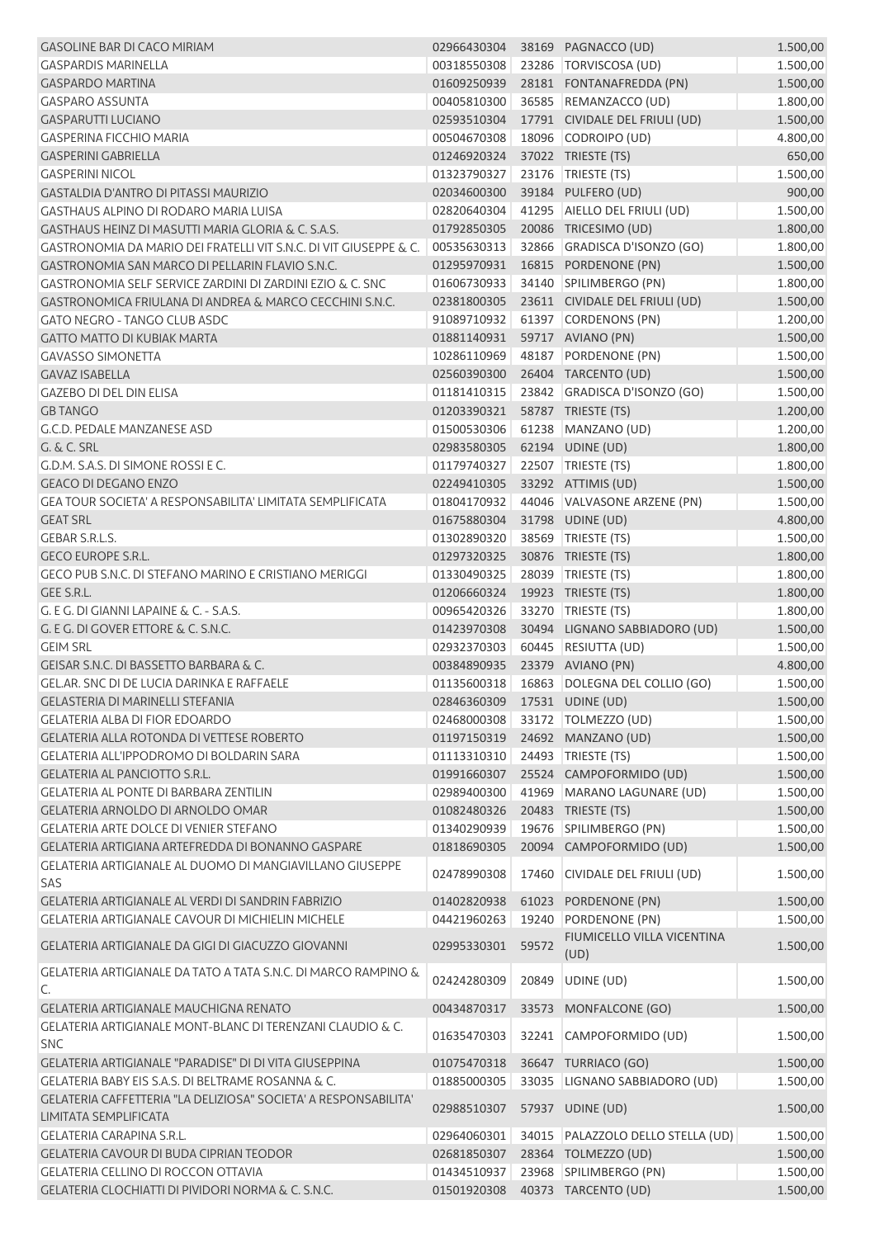| <b>GASOLINE BAR DI CACO MIRIAM</b>                                                       | 02966430304                    |       | 38169 PAGNACCO (UD)                       | 1.500,00 |
|------------------------------------------------------------------------------------------|--------------------------------|-------|-------------------------------------------|----------|
| <b>GASPARDIS MARINELLA</b>                                                               | 00318550308                    |       | 23286   TORVISCOSA (UD)                   | 1.500,00 |
| <b>GASPARDO MARTINA</b>                                                                  | 01609250939                    |       | 28181 FONTANAFREDDA (PN)                  | 1.500,00 |
| <b>GASPARO ASSUNTA</b>                                                                   | 00405810300                    |       | 36585 REMANZACCO (UD)                     | 1.800,00 |
| <b>GASPARUTTI LUCIANO</b>                                                                | 02593510304                    |       | 17791 CIVIDALE DEL FRIULI (UD)            | 1.500,00 |
| <b>GASPERINA FICCHIO MARIA</b>                                                           | 00504670308                    |       | 18096 CODROIPO (UD)                       | 4.800,00 |
| <b>GASPERINI GABRIELLA</b>                                                               | 01246920324                    |       | 37022 TRIESTE (TS)                        | 650,00   |
| <b>GASPERINI NICOL</b>                                                                   | 01323790327                    |       | 23176   TRIESTE (TS)                      | 1.500,00 |
| <b>GASTALDIA D'ANTRO DI PITASSI MAURIZIO</b>                                             | 02034600300                    |       | 39184 PULFERO (UD)                        | 900,00   |
| GASTHAUS ALPINO DI RODARO MARIA LUISA                                                    | 02820640304                    |       | 41295 AIELLO DEL FRIULI (UD)              | 1.500,00 |
| GASTHAUS HEINZ DI MASUTTI MARIA GLORIA & C. S.A.S.                                       | 01792850305                    |       | 20086 TRICESIMO (UD)                      | 1.800,00 |
| GASTRONOMIA DA MARIO DEI FRATELLI VIT S.N.C. DI VIT GIUSEPPE & C.                        | 00535630313                    |       | 32866 GRADISCA D'ISONZO (GO)              | 1.800,00 |
| GASTRONOMIA SAN MARCO DI PELLARIN FLAVIO S.N.C.                                          | 01295970931                    |       | 16815 PORDENONE (PN)                      | 1.500,00 |
| GASTRONOMIA SELF SERVICE ZARDINI DI ZARDINI EZIO & C. SNC                                | 01606730933                    |       | 34140 SPILIMBERGO (PN)                    | 1.800,00 |
| GASTRONOMICA FRIULANA DI ANDREA & MARCO CECCHINI S.N.C.                                  | 02381800305                    |       | 23611 CIVIDALE DEL FRIULI (UD)            | 1.500,00 |
| <b>GATO NEGRO - TANGO CLUB ASDC</b>                                                      | 91089710932                    |       | 61397 CORDENONS (PN)                      | 1.200,00 |
| <b>GATTO MATTO DI KUBIAK MARTA</b>                                                       | 01881140931 59717 AVIANO (PN)  |       |                                           | 1.500,00 |
| <b>GAVASSO SIMONETTA</b>                                                                 | 10286110969                    |       | 48187 PORDENONE (PN)                      | 1.500,00 |
| <b>GAVAZ ISABELLA</b>                                                                    |                                |       | 02560390300 26404 TARCENTO (UD)           | 1.500,00 |
| <b>GAZEBO DI DEL DIN ELISA</b>                                                           | 01181410315                    |       | 23842 GRADISCA D'ISONZO (GO)              | 1.500,00 |
| <b>GB TANGO</b>                                                                          | 01203390321                    |       | 58787 TRIESTE (TS)                        | 1.200,00 |
| G.C.D. PEDALE MANZANESE ASD                                                              | 01500530306                    |       | 61238 MANZANO (UD)                        | 1.200,00 |
| <b>G. &amp; C. SRL</b>                                                                   | 02983580305                    |       | 62194 UDINE (UD)                          | 1.800,00 |
| G.D.M. S.A.S. DI SIMONE ROSSI E C.                                                       | 01179740327                    |       | 22507 TRIESTE (TS)                        | 1.800,00 |
| <b>GEACO DI DEGANO ENZO</b>                                                              | 02249410305                    |       | 33292 ATTIMIS (UD)                        | 1.500,00 |
| GEA TOUR SOCIETA' A RESPONSABILITA' LIMITATA SEMPLIFICATA                                | 01804170932                    |       | 44046 VALVASONE ARZENE (PN)               | 1.500,00 |
| <b>GEAT SRL</b>                                                                          | 01675880304                    |       | 31798 UDINE (UD)                          | 4.800,00 |
| <b>GEBAR S.R.L.S.</b>                                                                    | 01302890320                    |       | 38569 TRIESTE (TS)                        | 1.500,00 |
| <b>GECO EUROPE S.R.L.</b>                                                                | 01297320325                    |       | 30876 TRIESTE (TS)                        | 1.800,00 |
| GECO PUB S.N.C. DI STEFANO MARINO E CRISTIANO MERIGGI                                    | 01330490325                    |       | 28039 TRIESTE (TS)                        | 1.800,00 |
| GEE S.R.L.                                                                               | 01206660324                    |       | 19923 TRIESTE (TS)                        | 1.800,00 |
| G. E G. DI GIANNI LAPAINE & C. - S.A.S.                                                  | 00965420326                    |       | 33270 TRIESTE (TS)                        | 1.800,00 |
| G. E G. DI GOVER ETTORE & C. S.N.C.                                                      | 01423970308                    |       | 30494 LIGNANO SABBIADORO (UD)             | 1.500,00 |
| <b>GEIM SRL</b>                                                                          | 02932370303                    |       | 60445 RESIUTTA (UD)                       | 1.500,00 |
| GEISAR S.N.C. DI BASSETTO BARBARA & C.                                                   | 00384890935                    |       | 23379 AVIANO (PN)                         | 4.800,00 |
| GEL.AR. SNC DI DE LUCIA DARINKA E RAFFAELE                                               |                                |       | 01135600318 16863 DOLEGNA DEL COLLIO (GO) | 1.500,00 |
| GELASTERIA DI MARINELLI STEFANIA                                                         | 02846360309 17531 UDINE (UD)   |       |                                           | 1.500,00 |
| <b>GELATERIA ALBA DI FIOR EDOARDO</b>                                                    | 02468000308                    |       | 33172   TOLMEZZO (UD)                     | 1.500,00 |
| GELATERIA ALLA ROTONDA DI VETTESE ROBERTO                                                | 01197150319                    |       | 24692 MANZANO (UD)                        | 1.500,00 |
| GELATERIA ALL'IPPODROMO DI BOLDARIN SARA                                                 | 01113310310 24493 TRIESTE (TS) |       |                                           | 1.500,00 |
| <b>GELATERIA AL PANCIOTTO S.R.L.</b>                                                     | 01991660307                    |       | 25524 CAMPOFORMIDO (UD)                   | 1.500,00 |
| <b>GELATERIA AL PONTE DI BARBARA ZENTILIN</b>                                            | 02989400300                    |       | 41969 MARANO LAGUNARE (UD)                | 1.500,00 |
| GELATERIA ARNOLDO DI ARNOLDO OMAR                                                        | 01082480326                    |       | 20483 TRIESTE (TS)                        | 1.500,00 |
| <b>GELATERIA ARTE DOLCE DI VENIER STEFANO</b>                                            | 01340290939                    |       | 19676 SPILIMBERGO (PN)                    | 1.500,00 |
| GELATERIA ARTIGIANA ARTEFREDDA DI BONANNO GASPARE                                        | 01818690305                    |       | 20094 CAMPOFORMIDO (UD)                   | 1.500,00 |
| GELATERIA ARTIGIANALE AL DUOMO DI MANGIAVILLANO GIUSEPPE<br>SAS                          | 02478990308                    |       | 17460 CIVIDALE DEL FRIULI (UD)            | 1.500,00 |
| GELATERIA ARTIGIANALE AL VERDI DI SANDRIN FABRIZIO                                       | 01402820938                    | 61023 | PORDENONE (PN)                            | 1.500,00 |
| <b>GELATERIA ARTIGIANALE CAVOUR DI MICHIELIN MICHELE</b>                                 | 04421960263                    | 19240 | PORDENONE (PN)                            | 1.500,00 |
| GELATERIA ARTIGIANALE DA GIGI DI GIACUZZO GIOVANNI                                       | 02995330301                    | 59572 | FIUMICELLO VILLA VICENTINA<br>(UD)        | 1.500,00 |
| GELATERIA ARTIGIANALE DA TATO A TATA S.N.C. DI MARCO RAMPINO &<br>C.                     | 02424280309                    | 20849 | UDINE (UD)                                | 1.500,00 |
| <b>GELATERIA ARTIGIANALE MAUCHIGNA RENATO</b>                                            | 00434870317                    |       | 33573 MONFALCONE (GO)                     | 1.500,00 |
| GELATERIA ARTIGIANALE MONT-BLANC DI TERENZANI CLAUDIO & C.                               |                                |       |                                           |          |
| <b>SNC</b>                                                                               | 01635470303                    |       | 32241 CAMPOFORMIDO (UD)                   | 1.500,00 |
| GELATERIA ARTIGIANALE "PARADISE" DI DI VITA GIUSEPPINA                                   | 01075470318                    |       | 36647 TURRIACO (GO)                       | 1.500,00 |
| GELATERIA BABY EIS S.A.S. DI BELTRAME ROSANNA & C.                                       | 01885000305                    |       | 33035 LIGNANO SABBIADORO (UD)             | 1.500,00 |
| GELATERIA CAFFETTERIA "LA DELIZIOSA" SOCIETA' A RESPONSABILITA'<br>LIMITATA SEMPLIFICATA | 02988510307                    |       | 57937 UDINE (UD)                          | 1.500,00 |
| GELATERIA CARAPINA S.R.L.                                                                | 02964060301                    |       | 34015 PALAZZOLO DELLO STELLA (UD)         | 1.500,00 |
| <b>GELATERIA CAVOUR DI BUDA CIPRIAN TEODOR</b>                                           | 02681850307                    |       | 28364 TOLMEZZO (UD)                       | 1.500,00 |
| GELATERIA CELLINO DI ROCCON OTTAVIA                                                      | 01434510937                    |       | 23968 SPILIMBERGO (PN)                    | 1.500,00 |
| GELATERIA CLOCHIATTI DI PIVIDORI NORMA & C. S.N.C.                                       |                                |       | 01501920308  40373  TARCENTO (UD)         | 1.500,00 |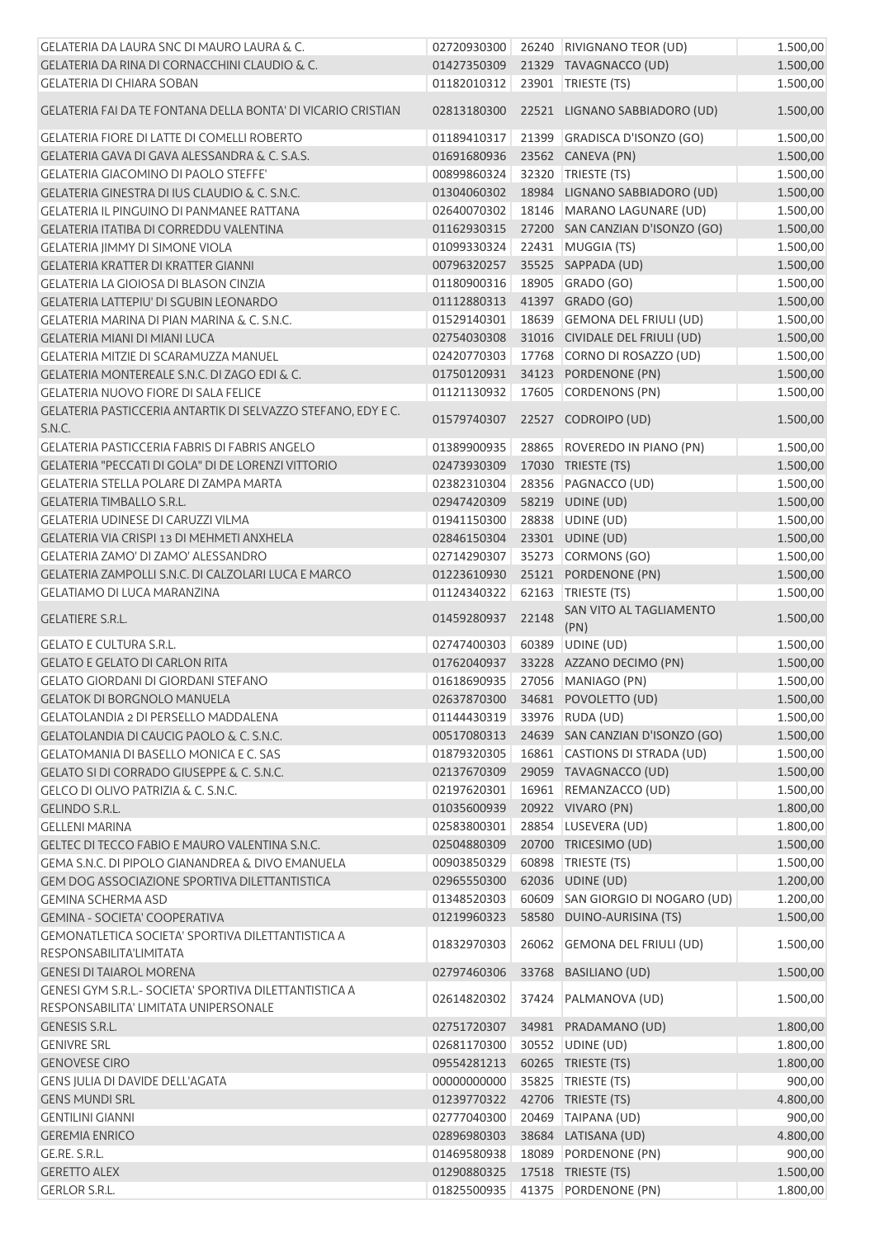| GELATERIA DA LAURA SNC DI MAURO LAURA & C.                                   | 02720930300                |       | 26240 RIVIGNANO TEOR (UD)                 | 1.500,00 |
|------------------------------------------------------------------------------|----------------------------|-------|-------------------------------------------|----------|
| GELATERIA DA RINA DI CORNACCHINI CLAUDIO & C.                                | 01427350309                |       | 21329 TAVAGNACCO (UD)                     | 1.500,00 |
| <b>GELATERIA DI CHIARA SOBAN</b>                                             | 01182010312                |       | 23901 TRIESTE (TS)                        | 1.500,00 |
| GELATERIA FAI DA TE FONTANA DELLA BONTA' DI VICARIO CRISTIAN                 |                            |       | 02813180300 22521 LIGNANO SABBIADORO (UD) | 1.500,00 |
| <b>GELATERIA FIORE DI LATTE DI COMELLI ROBERTO</b>                           | 01189410317                |       | 21399 GRADISCA D'ISONZO (GO)              | 1.500,00 |
| GELATERIA GAVA DI GAVA ALESSANDRA & C. S.A.S.                                | 01691680936                |       | 23562 CANEVA (PN)                         | 1.500,00 |
| <b>GELATERIA GIACOMINO DI PAOLO STEFFE'</b>                                  | 00899860324                |       | 32320 TRIESTE (TS)                        | 1.500,00 |
| GELATERIA GINESTRA DI IUS CLAUDIO & C. S.N.C.                                | 01304060302                |       | 18984 LIGNANO SABBIADORO (UD)             | 1.500,00 |
| GELATERIA IL PINGUINO DI PANMANEE RATTANA                                    | 02640070302                |       | 18146 MARANO LAGUNARE (UD)                | 1.500,00 |
| <b>GELATERIA ITATIBA DI CORREDDU VALENTINA</b>                               | 01162930315                |       | 27200 SAN CANZIAN D'ISONZO (GO)           | 1.500,00 |
| <b>GELATERIA IIMMY DI SIMONE VIOLA</b>                                       | 01099330324                |       | 22431 MUGGIA (TS)                         | 1.500,00 |
| <b>GELATERIA KRATTER DI KRATTER GIANNI</b>                                   | 00796320257                |       | 35525 SAPPADA (UD)                        | 1.500,00 |
| <b>GELATERIA LA GIOIOSA DI BLASON CINZIA</b>                                 | 01180900316                |       | 18905 GRADO (GO)                          | 1.500,00 |
| <b>GELATERIA LATTEPIU' DI SGUBIN LEONARDO</b>                                | 01112880313                |       | 41397 GRADO (GO)                          | 1.500,00 |
| GELATERIA MARINA DI PIAN MARINA & C. S.N.C.                                  | 01529140301                |       | 18639 GEMONA DEL FRIULI (UD)              | 1.500,00 |
| <b>GELATERIA MIANI DI MIANI LUCA</b>                                         | 02754030308                |       | 31016 CIVIDALE DEL FRIULI (UD)            | 1.500,00 |
| <b>GELATERIA MITZIE DI SCARAMUZZA MANUEL</b>                                 | 02420770303                |       | 17768 CORNO DI ROSAZZO (UD)               | 1.500,00 |
| <b>GELATERIA MONTEREALE S.N.C. DI ZAGO EDI &amp; C.</b>                      | 01750120931                |       | 34123 PORDENONE (PN)                      | 1.500,00 |
| <b>GELATERIA NUOVO FIORE DI SALA FELICE</b>                                  | 01121130932                |       | 17605 CORDENONS (PN)                      | 1.500,00 |
| GELATERIA PASTICCERIA ANTARTIK DI SELVAZZO STEFANO, EDY E C.                 |                            |       |                                           |          |
| S.N.C.                                                                       |                            |       | 01579740307 22527 CODROIPO (UD)           | 1.500,00 |
| <b>GELATERIA PASTICCERIA FABRIS DI FABRIS ANGELO</b>                         | 01389900935                |       | 28865 ROVEREDO IN PIANO (PN)              | 1.500,00 |
| <b>GELATERIA "PECCATI DI GOLA" DI DE LORENZI VITTORIO</b>                    | 02473930309                |       | 17030 TRIESTE (TS)                        | 1.500,00 |
| <b>GELATERIA STELLA POLARE DI ZAMPA MARTA</b>                                | 02382310304                |       | 28356 PAGNACCO (UD)                       | 1.500,00 |
| <b>GELATERIA TIMBALLO S.R.L.</b>                                             | 02947420309                |       | 58219 UDINE (UD)                          | 1.500,00 |
| <b>GELATERIA UDINESE DI CARUZZI VILMA</b>                                    | 01941150300                |       | 28838 UDINE (UD)                          | 1.500,00 |
| GELATERIA VIA CRISPI 13 DI MEHMETI ANXHELA                                   | 02846150304                |       | 23301 UDINE (UD)                          | 1.500,00 |
| GELATERIA ZAMO' DI ZAMO' ALESSANDRO                                          | 02714290307                |       | 35273 CORMONS (GO)                        | 1.500,00 |
| GELATERIA ZAMPOLLI S.N.C. DI CALZOLARI LUCA E MARCO                          | 01223610930                |       | 25121 PORDENONE (PN)                      | 1.500,00 |
| <b>GELATIAMO DI LUCA MARANZINA</b>                                           | 01124340322                |       | 62163 TRIESTE (TS)                        | 1.500,00 |
| <b>GELATIERE S.R.L.</b>                                                      | 01459280937                | 22148 | SAN VITO AL TAGLIAMENTO<br>(PN)           | 1.500,00 |
| <b>GELATO E CULTURA S.R.L.</b>                                               | 02747400303                |       | 60389 UDINE (UD)                          | 1.500,00 |
| <b>GELATO E GELATO DI CARLON RITA</b>                                        | 01762040937                |       | 33228 AZZANO DECIMO (PN)                  | 1.500,00 |
| <b>GELATO GIORDANI DI GIORDANI STEFANO</b>                                   |                            |       | 01618690935 27056 MANIAGO (PN)            | 1.500,00 |
| <b>GELATOK DI BORGNOLO MANUELA</b>                                           |                            |       | 02637870300 34681 POVOLETTO (UD)          | 1.500,00 |
| GELATOLANDIA 2 DI PERSELLO MADDALENA                                         | 01144430319                |       | 33976 RUDA (UD)                           | 1.500,00 |
| GELATOLANDIA DI CAUCIG PAOLO & C. S.N.C.                                     | 00517080313                |       | 24639 SAN CANZIAN D'ISONZO (GO)           | 1.500,00 |
| GELATOMANIA DI BASELLO MONICA E C. SAS                                       | 01879320305                |       | 16861 CASTIONS DI STRADA (UD)             | 1.500,00 |
| <b>GELATO SI DI CORRADO GIUSEPPE &amp; C. S.N.C.</b>                         | 02137670309                |       | 29059 TAVAGNACCO (UD)                     | 1.500,00 |
| GELCO DI OLIVO PATRIZIA & C. S.N.C.                                          | 02197620301                |       | 16961 REMANZACCO (UD)                     | 1.500,00 |
| <b>GELINDO S.R.L.</b>                                                        | 01035600939                |       | 20922 VIVARO (PN)                         | 1.800,00 |
| <b>GELLENI MARINA</b>                                                        | 02583800301                |       | 28854 LUSEVERA (UD)                       | 1.800,00 |
| GELTEC DI TECCO FABIO E MAURO VALENTINA S.N.C.                               | 02504880309                |       | 20700 TRICESIMO (UD)                      | 1.500,00 |
| GEMA S.N.C. DI PIPOLO GIANANDREA & DIVO EMANUELA                             | 00903850329                | 60898 | TRIESTE (TS)                              | 1.500,00 |
| GEM DOG ASSOCIAZIONE SPORTIVA DILETTANTISTICA                                | 02965550300                |       | 62036 UDINE (UD)                          | 1.200,00 |
| <b>GEMINA SCHERMA ASD</b>                                                    | 01348520303                | 60609 | SAN GIORGIO DI NOGARO (UD)                | 1.200,00 |
| <b>GEMINA - SOCIETA' COOPERATIVA</b>                                         | 01219960323                |       | 58580 DUINO-AURISINA (TS)                 | 1.500,00 |
| GEMONATLETICA SOCIETA' SPORTIVA DILETTANTISTICA A<br>RESPONSABILITA'LIMITATA | 01832970303                |       | 26062 GEMONA DEL FRIULI (UD)              | 1.500,00 |
| <b>GENESI DI TAIAROL MORENA</b>                                              | 02797460306                |       | 33768 BASILIANO (UD)                      | 1.500,00 |
| GENESI GYM S.R.L.- SOCIETA' SPORTIVA DILETTANTISTICA A                       | 02614820302                |       | 37424 PALMANOVA (UD)                      | 1.500,00 |
| RESPONSABILITA' LIMITATA UNIPERSONALE                                        |                            |       |                                           |          |
| <b>GENESIS S.R.L.</b>                                                        | 02751720307                |       | 34981 PRADAMANO (UD)                      | 1.800,00 |
| <b>GENIVRE SRL</b>                                                           | 02681170300                |       | 30552 UDINE (UD)                          | 1.800,00 |
| <b>GENOVESE CIRO</b>                                                         | 09554281213                |       | 60265 TRIESTE (TS)                        | 1.800,00 |
| <b>GENS JULIA DI DAVIDE DELL'AGATA</b>                                       | 00000000000                |       | 35825   TRIESTE (TS)                      | 900,00   |
| <b>GENS MUNDI SRL</b><br><b>GENTILINI GIANNI</b>                             | 01239770322<br>02777040300 |       | 42706 TRIESTE (TS)                        | 4.800,00 |
|                                                                              |                            |       | 20469 TAIPANA (UD)                        | 900,00   |
| <b>GEREMIA ENRICO</b><br>GE.RE. S.R.L.                                       | 02896980303                |       | 38684 LATISANA (UD)                       | 4.800,00 |
|                                                                              | 01469580938                |       | 18089 PORDENONE (PN)                      | 900,00   |
| <b>GERETTO ALEX</b>                                                          | 01290880325                |       | 17518 TRIESTE (TS)                        | 1.500,00 |
| <b>GERLOR S.R.L.</b>                                                         | 01825500935                |       | 41375 PORDENONE (PN)                      | 1.800,00 |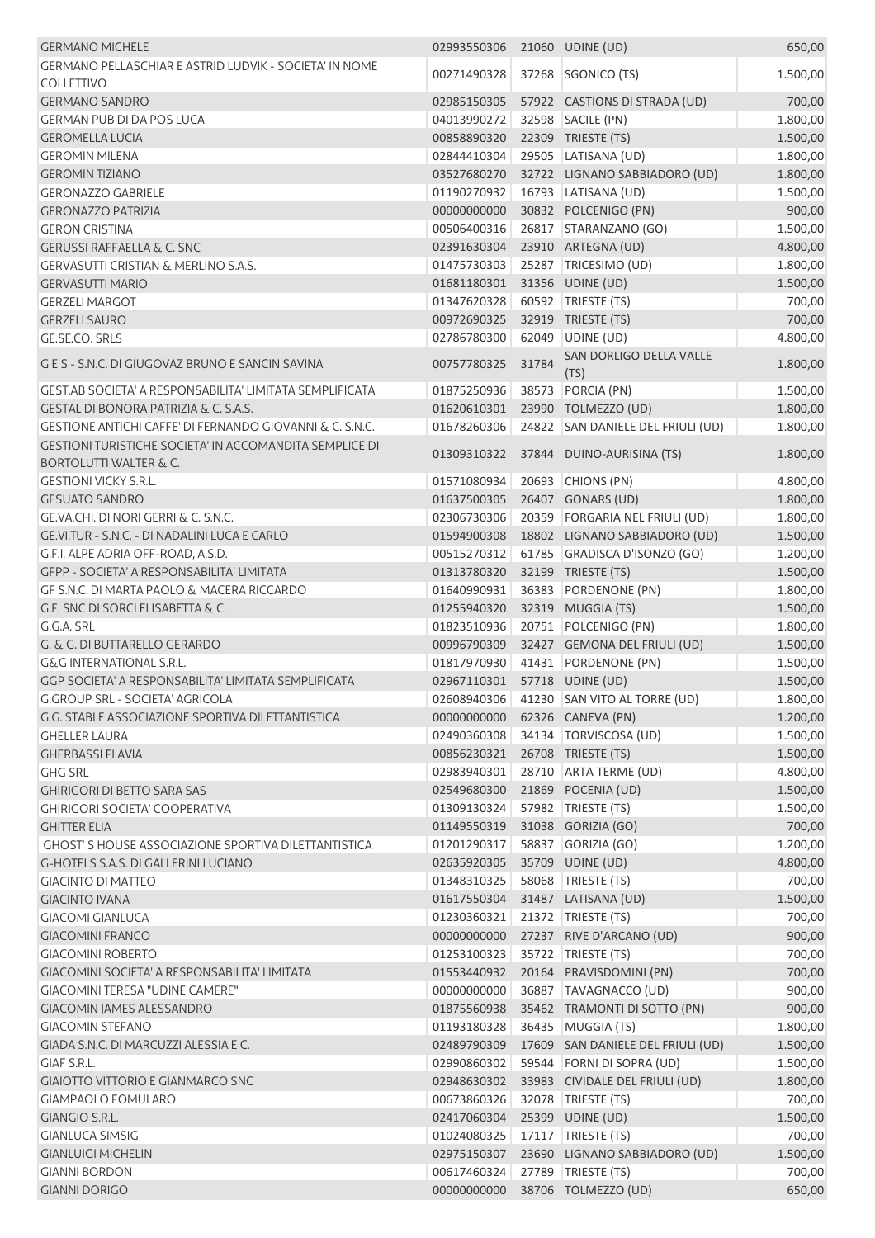| <b>GERMANO MICHELE</b>                                                                              | 02993550306                    |       | 21060 UDINE (UD)                  | 650,00               |
|-----------------------------------------------------------------------------------------------------|--------------------------------|-------|-----------------------------------|----------------------|
| GERMANO PELLASCHIAR E ASTRID LUDVIK - SOCIETA' IN NOME                                              | 00271490328                    | 37268 | SGONICO (TS)                      | 1.500,00             |
| <b>COLLETTIVO</b><br><b>GERMANO SANDRO</b>                                                          |                                |       | 57922 CASTIONS DI STRADA (UD)     |                      |
| <b>GERMAN PUB DI DA POS LUCA</b>                                                                    | 02985150305<br>04013990272     |       | 32598 SACILE (PN)                 | 700,00<br>1.800,00   |
| <b>GEROMELLA LUCIA</b>                                                                              | 00858890320                    |       | 22309 TRIESTE (TS)                | 1.500,00             |
| <b>GEROMIN MILENA</b>                                                                               | 02844410304                    |       | 29505 LATISANA (UD)               | 1.800,00             |
| <b>GEROMIN TIZIANO</b>                                                                              | 03527680270                    |       | 32722 LIGNANO SABBIADORO (UD)     |                      |
| <b>GERONAZZO GABRIELE</b>                                                                           | 01190270932                    |       | 16793 LATISANA (UD)               | 1.800,00<br>1.500,00 |
| <b>GERONAZZO PATRIZIA</b>                                                                           | 00000000000                    |       | 30832 POLCENIGO (PN)              | 900,00               |
| <b>GERON CRISTINA</b>                                                                               | 00506400316                    |       | 26817 STARANZANO (GO)             | 1.500,00             |
| <b>GERUSSI RAFFAELLA &amp; C. SNC</b>                                                               | 02391630304                    |       | 23910 ARTEGNA (UD)                | 4.800,00             |
| GERVASUTTI CRISTIAN & MERLINO S.A.S.                                                                | 01475730303                    |       | 25287 TRICESIMO (UD)              | 1.800,00             |
| <b>GERVASUTTI MARIO</b>                                                                             | 01681180301                    |       | 31356 UDINE (UD)                  | 1.500,00             |
| <b>GERZELI MARGOT</b>                                                                               | 01347620328                    |       | 60592 TRIESTE (TS)                |                      |
| <b>GERZELI SAURO</b>                                                                                | 00972690325                    | 32919 | TRIESTE (TS)                      | 700,00<br>700,00     |
| GE.SE.CO. SRLS                                                                                      | 02786780300                    | 62049 | UDINE (UD)                        | 4.800,00             |
|                                                                                                     |                                |       | SAN DORLIGO DELLA VALLE           |                      |
| G E S - S.N.C. DI GIUGOVAZ BRUNO E SANCIN SAVINA                                                    | 00757780325                    | 31784 | (TS)                              | 1.800,00             |
| GEST.AB SOCIETA' A RESPONSABILITA' LIMITATA SEMPLIFICATA                                            | 01875250936                    |       | 38573 PORCIA (PN)                 | 1.500,00             |
| GESTAL DI BONORA PATRIZIA & C. S.A.S.                                                               | 01620610301                    |       | 23990 TOLMEZZO (UD)               | 1.800,00             |
| GESTIONE ANTICHI CAFFE' DI FERNANDO GIOVANNI & C. S.N.C.                                            | 01678260306                    |       | 24822 SAN DANIELE DEL FRIULI (UD) | 1.800,00             |
| <b>GESTIONI TURISTICHE SOCIETA' IN ACCOMANDITA SEMPLICE DI</b><br><b>BORTOLUTTI WALTER &amp; C.</b> | 01309310322                    |       | 37844 DUINO-AURISINA (TS)         | 1.800,00             |
| <b>GESTIONI VICKY S.R.L.</b>                                                                        | 01571080934                    | 20693 | CHIONS (PN)                       | 4.800,00             |
| <b>GESUATO SANDRO</b>                                                                               | 01637500305                    |       | 26407 GONARS (UD)                 | 1.800,00             |
| GE.VA.CHI. DI NORI GERRI & C. S.N.C.                                                                | 02306730306                    |       | 20359 FORGARIA NEL FRIULI (UD)    | 1.800,00             |
| GE.VI.TUR - S.N.C. - DI NADALINI LUCA E CARLO                                                       | 01594900308                    |       | 18802 LIGNANO SABBIADORO (UD)     | 1.500,00             |
| G.F.I. ALPE ADRIA OFF-ROAD, A.S.D.                                                                  | 00515270312                    |       | 61785 GRADISCA D'ISONZO (GO)      | 1.200,00             |
| GFPP - SOCIETA' A RESPONSABILITA' LIMITATA                                                          | 01313780320                    |       | 32199 TRIESTE (TS)                | 1.500,00             |
| GF S.N.C. DI MARTA PAOLO & MACERA RICCARDO                                                          | 01640990931                    | 36383 | PORDENONE (PN)                    | 1.800,00             |
| G.F. SNC DI SORCI ELISABETTA & C.                                                                   | 01255940320                    |       | 32319 MUGGIA (TS)                 | 1.500,00             |
| G.G.A. SRL                                                                                          | 01823510936                    |       | 20751 POLCENIGO (PN)              | 1.800,00             |
| G. & G. DI BUTTARELLO GERARDO                                                                       | 00996790309                    |       | 32427 GEMONA DEL FRIULI (UD)      | 1.500,00             |
| <b>G&amp;G INTERNATIONAL S.R.L.</b>                                                                 | 01817970930                    |       | 41431 PORDENONE (PN)              | 1.500,00             |
| GGP SOCIETA' A RESPONSABILITA' LIMITATA SEMPLIFICATA                                                | 02967110301  57718  UDINE (UD) |       |                                   | 1.500,00             |
| G.GROUP SRL - SOCIETA' AGRICOLA                                                                     | 02608940306                    |       | 41230 SAN VITO AL TORRE (UD)      | 1.800,00             |
| G.G. STABLE ASSOCIAZIONE SPORTIVA DILETTANTISTICA                                                   | 00000000000                    |       | 62326 CANEVA (PN)                 | 1.200,00             |
| <b>GHELLER LAURA</b>                                                                                | 02490360308                    |       | 34134   TORVISCOSA (UD)           | 1.500,00             |
| <b>GHERBASSI FLAVIA</b>                                                                             | 00856230321                    |       | 26708 TRIESTE (TS)                | 1.500,00             |
| <b>GHG SRL</b>                                                                                      | 02983940301                    |       | 28710 ARTA TERME (UD)             | 4.800,00             |
| <b>GHIRIGORI DI BETTO SARA SAS</b>                                                                  | 02549680300                    |       | 21869 POCENIA (UD)                | 1.500,00             |
| <b>GHIRIGORI SOCIETA' COOPERATIVA</b>                                                               | 01309130324                    |       | 57982   TRIESTE (TS)              | 1.500,00             |
| <b>GHITTER ELIA</b>                                                                                 | 01149550319                    |       | 31038 GORIZIA (GO)                | 700,00               |
| <b>GHOST' S HOUSE ASSOCIAZIONE SPORTIVA DILETTANTISTICA</b>                                         | 01201290317                    |       | 58837 GORIZIA (GO)                | 1.200,00             |
| G-HOTELS S.A.S. DI GALLERINI LUCIANO                                                                | 02635920305                    |       | 35709 UDINE (UD)                  | 4.800,00             |
| <b>GIACINTO DI MATTEO</b>                                                                           | 01348310325                    |       | 58068 TRIESTE (TS)                | 700,00               |
| <b>GIACINTO IVANA</b>                                                                               | 01617550304                    |       | 31487 LATISANA (UD)               | 1.500,00             |
| <b>GIACOMI GIANLUCA</b>                                                                             | 01230360321                    |       | 21372 TRIESTE (TS)                | 700,00               |
| <b>GIACOMINI FRANCO</b>                                                                             | 00000000000                    |       | 27237 RIVE D'ARCANO (UD)          | 900,00               |
| <b>GIACOMINI ROBERTO</b>                                                                            | 01253100323                    |       | 35722 TRIESTE (TS)                | 700,00               |
| GIACOMINI SOCIETA' A RESPONSABILITA' LIMITATA                                                       | 01553440932                    |       | 20164 PRAVISDOMINI (PN)           | 700,00               |
| <b>GIACOMINI TERESA "UDINE CAMERE"</b>                                                              | 00000000000                    |       | 36887 TAVAGNACCO (UD)             | 900,00               |
| <b>GIACOMIN JAMES ALESSANDRO</b>                                                                    | 01875560938                    |       | 35462 TRAMONTI DI SOTTO (PN)      | 900,00               |
| <b>GIACOMIN STEFANO</b>                                                                             | 01193180328                    |       | 36435 MUGGIA (TS)                 | 1.800,00             |
| GIADA S.N.C. DI MARCUZZI ALESSIA E C.                                                               | 02489790309                    |       | 17609 SAN DANIELE DEL FRIULI (UD) | 1.500,00             |
| GIAF S.R.L.                                                                                         | 02990860302                    | 59544 | FORNI DI SOPRA (UD)               | 1.500,00             |
| <b>GIAIOTTO VITTORIO E GIANMARCO SNC</b>                                                            | 02948630302                    |       | 33983 CIVIDALE DEL FRIULI (UD)    | 1.800,00             |
| <b>GIAMPAOLO FOMULARO</b>                                                                           | 00673860326                    |       | 32078 TRIESTE (TS)                | 700,00               |
| GIANGIO S.R.L.                                                                                      | 02417060304                    |       | 25399 UDINE (UD)                  | 1.500,00             |
| <b>GIANLUCA SIMSIG</b>                                                                              | 01024080325                    |       | 17117   TRIESTE (TS)              | 700,00               |
| <b>GIANLUIGI MICHELIN</b>                                                                           | 02975150307                    |       | 23690 LIGNANO SABBIADORO (UD)     | 1.500,00             |
| <b>GIANNI BORDON</b>                                                                                | 00617460324                    |       | 27789 TRIESTE (TS)                | 700,00               |
| <b>GIANNI DORIGO</b>                                                                                | 00000000000                    |       | 38706 TOLMEZZO (UD)               | 650,00               |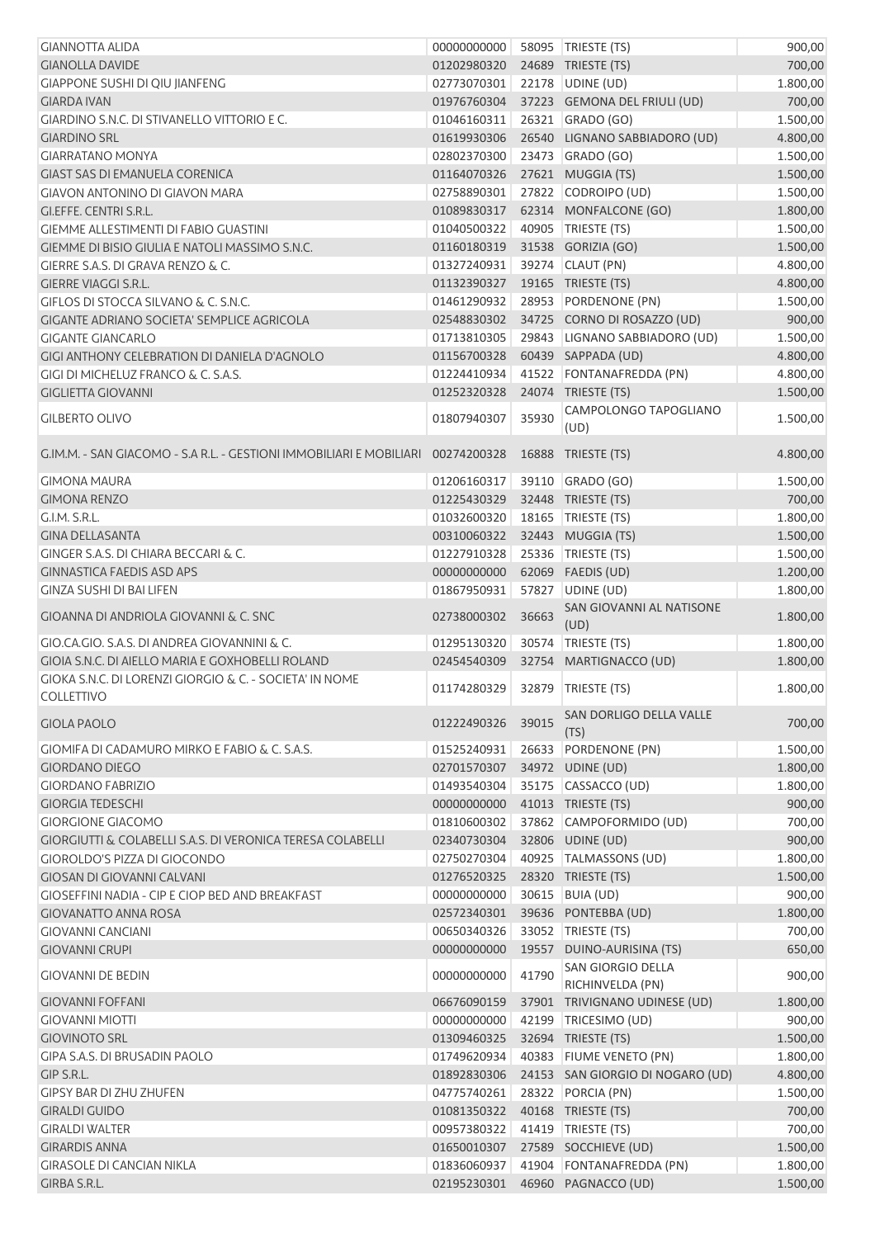| <b>GIANNOTTA ALIDA</b>                                                          | 00000000000 |       | 58095   TRIESTE (TS)                  | 900,00   |
|---------------------------------------------------------------------------------|-------------|-------|---------------------------------------|----------|
| <b>GIANOLLA DAVIDE</b>                                                          | 01202980320 |       | 24689 TRIESTE (TS)                    | 700,00   |
| <b>GIAPPONE SUSHI DI QIU JIANFENG</b>                                           | 02773070301 |       | 22178 UDINE (UD)                      | 1.800,00 |
| <b>GIARDA IVAN</b>                                                              | 01976760304 |       | 37223 GEMONA DEL FRIULI (UD)          | 700,00   |
| GIARDINO S.N.C. DI STIVANELLO VITTORIO E C.                                     | 01046160311 |       | 26321 GRADO (GO)                      | 1.500,00 |
| <b>GIARDINO SRL</b>                                                             | 01619930306 |       | 26540 LIGNANO SABBIADORO (UD)         | 4.800,00 |
| <b>GIARRATANO MONYA</b>                                                         | 02802370300 |       | 23473 GRADO (GO)                      | 1.500,00 |
| <b>GIAST SAS DI EMANUELA CORENICA</b>                                           | 01164070326 |       | 27621 MUGGIA (TS)                     | 1.500,00 |
| <b>GIAVON ANTONINO DI GIAVON MARA</b>                                           | 02758890301 |       | 27822 CODROIPO (UD)                   | 1.500,00 |
| GI.EFFE. CENTRI S.R.L.                                                          | 01089830317 |       | 62314 MONFALCONE (GO)                 | 1.800,00 |
| <b>GIEMME ALLESTIMENTI DI FABIO GUASTINI</b>                                    | 01040500322 |       | 40905 TRIESTE (TS)                    | 1.500,00 |
| GIEMME DI BISIO GIULIA E NATOLI MASSIMO S.N.C.                                  | 01160180319 |       | 31538 GORIZIA (GO)                    | 1.500,00 |
| GIERRE S.A.S. DI GRAVA RENZO & C.                                               | 01327240931 |       | 39274 CLAUT (PN)                      | 4.800,00 |
| GIERRE VIAGGI S.R.L.                                                            | 01132390327 |       | 19165 TRIESTE (TS)                    | 4.800,00 |
| GIFLOS DI STOCCA SILVANO & C. S.N.C.                                            | 01461290932 |       | 28953 PORDENONE (PN)                  | 1.500,00 |
| GIGANTE ADRIANO SOCIETA' SEMPLICE AGRICOLA                                      | 02548830302 |       | 34725 CORNO DI ROSAZZO (UD)           | 900,00   |
| <b>GIGANTE GIANCARLO</b>                                                        | 01713810305 |       | 29843 LIGNANO SABBIADORO (UD)         | 1.500,00 |
| GIGI ANTHONY CELEBRATION DI DANIELA D'AGNOLO                                    | 01156700328 |       | 60439 SAPPADA (UD)                    | 4.800,00 |
| GIGI DI MICHELUZ FRANCO & C. S.A.S.                                             | 01224410934 |       | 41522 FONTANAFREDDA (PN)              | 4.800,00 |
| <b>GIGLIETTA GIOVANNI</b>                                                       | 01252320328 |       | 24074 TRIESTE (TS)                    | 1.500,00 |
|                                                                                 |             |       |                                       |          |
| <b>GILBERTO OLIVO</b>                                                           | 01807940307 | 35930 | CAMPOLONGO TAPOGLIANO<br>(UD)         | 1.500,00 |
| G.IM.M. - SAN GIACOMO - S.A R.L. - GESTIONI IMMOBILIARI E MOBILIARI 00274200328 |             |       | 16888 TRIESTE (TS)                    | 4.800,00 |
| <b>GIMONA MAURA</b>                                                             | 01206160317 |       | 39110 GRADO (GO)                      | 1.500,00 |
| <b>GIMONA RENZO</b>                                                             | 01225430329 |       | 32448 TRIESTE (TS)                    | 700,00   |
| G.I.M. S.R.L.                                                                   | 01032600320 |       | 18165   TRIESTE (TS)                  | 1.800,00 |
| <b>GINA DELLASANTA</b>                                                          | 00310060322 |       | 32443 MUGGIA (TS)                     | 1.500,00 |
| GINGER S.A.S. DI CHIARA BECCARI & C.                                            | 01227910328 |       | 25336   TRIESTE (TS)                  | 1.500,00 |
| <b>GINNASTICA FAEDIS ASD APS</b>                                                | 00000000000 |       | 62069 FAEDIS (UD)                     | 1.200,00 |
| <b>GINZA SUSHI DI BAI LIFEN</b>                                                 | 01867950931 |       | 57827 UDINE (UD)                      | 1.800,00 |
| GIOANNA DI ANDRIOLA GIOVANNI & C. SNC                                           | 02738000302 | 36663 | SAN GIOVANNI AL NATISONE<br>(UD)      | 1.800,00 |
| GIO.CA.GIO. S.A.S. DI ANDREA GIOVANNINI & C.                                    | 01295130320 | 30574 | TRIESTE (TS)                          | 1.800,00 |
| GIOIA S.N.C. DI AIELLO MARIA E GOXHOBELLI ROLAND                                | 02454540309 |       | 32754 MARTIGNACCO (UD)                | 1.800,00 |
| GIOKA S.N.C. DI LORENZI GIORGIO & C. - SOCIETA' IN NOME                         |             |       |                                       |          |
| <b>COLLETTIVO</b>                                                               | 01174280329 |       | 32879 TRIESTE (TS)                    | 1.800,00 |
|                                                                                 |             |       | SAN DORLIGO DELLA VALLE               |          |
| <b>GIOLA PAOLO</b>                                                              | 01222490326 | 39015 | (TS)                                  | 700,00   |
| GIOMIFA DI CADAMURO MIRKO E FABIO & C. S.A.S.                                   | 01525240931 |       | 26633 PORDENONE (PN)                  | 1.500,00 |
| <b>GIORDANO DIEGO</b>                                                           | 02701570307 |       | 34972 UDINE (UD)                      | 1.800,00 |
| <b>GIORDANO FABRIZIO</b>                                                        | 01493540304 |       | 35175 CASSACCO (UD)                   | 1.800,00 |
| <b>GIORGIA TEDESCHI</b>                                                         | 00000000000 |       | 41013 TRIESTE (TS)                    | 900,00   |
| <b>GIORGIONE GIACOMO</b>                                                        | 01810600302 |       | 37862 CAMPOFORMIDO (UD)               | 700,00   |
| <b>GIORGIUTTI &amp; COLABELLI S.A.S. DI VERONICA TERESA COLABELLI</b>           | 02340730304 |       | 32806 UDINE (UD)                      | 900,00   |
| <b>GIOROLDO'S PIZZA DI GIOCONDO</b>                                             | 02750270304 |       | 40925 TALMASSONS (UD)                 | 1.800,00 |
| <b>GIOSAN DI GIOVANNI CALVANI</b>                                               | 01276520325 |       | 28320 TRIESTE (TS)                    | 1.500,00 |
| GIOSEFFINI NADIA - CIP E CIOP BED AND BREAKFAST                                 | 00000000000 |       | 30615 BUIA (UD)                       | 900,00   |
| <b>GIOVANATTO ANNA ROSA</b>                                                     | 02572340301 |       | 39636 PONTEBBA (UD)                   | 1.800,00 |
| <b>GIOVANNI CANCIANI</b>                                                        | 00650340326 |       | 33052 TRIESTE (TS)                    | 700,00   |
| <b>GIOVANNI CRUPI</b>                                                           | 00000000000 | 19557 | DUINO-AURISINA (TS)                   | 650,00   |
| <b>GIOVANNI DE BEDIN</b>                                                        | 00000000000 | 41790 | SAN GIORGIO DELLA<br>RICHINVELDA (PN) | 900,00   |
| <b>GIOVANNI FOFFANI</b>                                                         | 06676090159 |       | 37901 TRIVIGNANO UDINESE (UD)         | 1.800,00 |
| <b>GIOVANNI MIOTTI</b>                                                          | 00000000000 | 42199 | TRICESIMO (UD)                        | 900,00   |
| <b>GIOVINOTO SRL</b>                                                            | 01309460325 |       | 32694 TRIESTE (TS)                    | 1.500,00 |
| GIPA S.A.S. DI BRUSADIN PAOLO                                                   | 01749620934 | 40383 | <b>FIUME VENETO (PN)</b>              | 1.800,00 |
| GIP S.R.L.                                                                      | 01892830306 |       | 24153 SAN GIORGIO DI NOGARO (UD)      | 4.800,00 |
| <b>GIPSY BAR DI ZHU ZHUFEN</b>                                                  | 04775740261 | 28322 | PORCIA (PN)                           | 1.500,00 |
| <b>GIRALDI GUIDO</b>                                                            | 01081350322 |       | 40168 TRIESTE (TS)                    | 700,00   |
| <b>GIRALDI WALTER</b>                                                           | 00957380322 |       | 41419   TRIESTE (TS)                  | 700,00   |
| <b>GIRARDIS ANNA</b>                                                            | 01650010307 |       | 27589 SOCCHIEVE (UD)                  | 1.500,00 |
| <b>GIRASOLE DI CANCIAN NIKLA</b>                                                | 01836060937 |       | 41904 FONTANAFREDDA (PN)              | 1.800,00 |
| GIRBA S.R.L.                                                                    | 02195230301 |       | 46960 PAGNACCO (UD)                   | 1.500,00 |
|                                                                                 |             |       |                                       |          |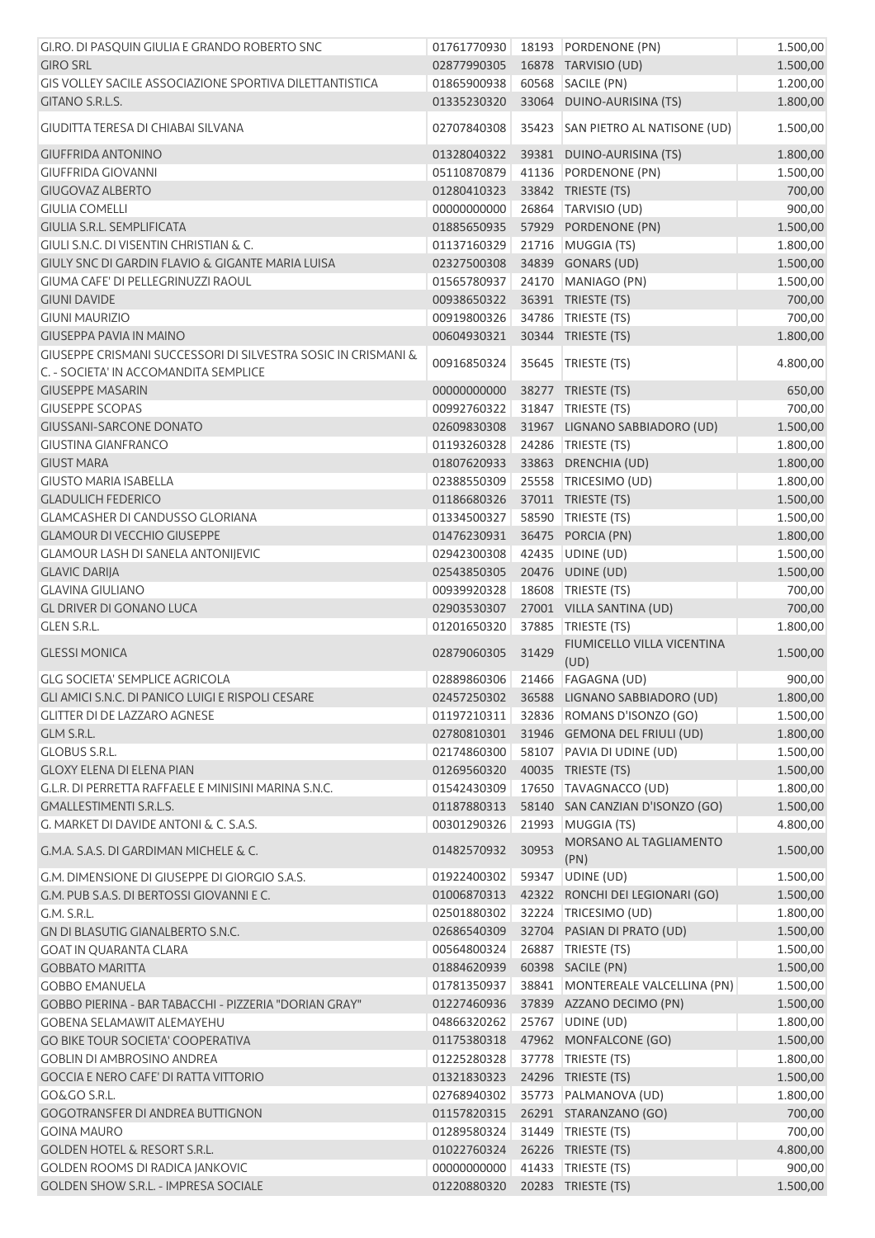| GI.RO. DI PASQUIN GIULIA E GRANDO ROBERTO SNC                                                          | 01761770930 |       | 18193 PORDENONE (PN)               | 1.500,00 |
|--------------------------------------------------------------------------------------------------------|-------------|-------|------------------------------------|----------|
| <b>GIRO SRL</b>                                                                                        | 02877990305 |       | 16878 TARVISIO (UD)                | 1.500,00 |
| GIS VOLLEY SACILE ASSOCIAZIONE SPORTIVA DILETTANTISTICA                                                | 01865900938 | 60568 | SACILE (PN)                        | 1.200,00 |
| GITANO S.R.L.S.                                                                                        | 01335230320 |       | 33064 DUINO-AURISINA (TS)          | 1.800,00 |
| GIUDITTA TERESA DI CHIABAI SILVANA                                                                     | 02707840308 | 35423 | SAN PIETRO AL NATISONE (UD)        | 1.500,00 |
| <b>GIUFFRIDA ANTONINO</b>                                                                              | 01328040322 |       | 39381 DUINO-AURISINA (TS)          | 1.800,00 |
| <b>GIUFFRIDA GIOVANNI</b>                                                                              | 05110870879 |       | 41136 PORDENONE (PN)               | 1.500,00 |
| <b>GIUGOVAZ ALBERTO</b>                                                                                | 01280410323 |       | 33842 TRIESTE (TS)                 | 700,00   |
| <b>GIULIA COMELLI</b>                                                                                  | 00000000000 |       | 26864 TARVISIO (UD)                | 900,00   |
| GIULIA S.R.L. SEMPLIFICATA                                                                             | 01885650935 |       | 57929 PORDENONE (PN)               | 1.500,00 |
| GIULI S.N.C. DI VISENTIN CHRISTIAN & C.                                                                | 01137160329 |       | 21716 MUGGIA (TS)                  | 1.800,00 |
| GIULY SNC DI GARDIN FLAVIO & GIGANTE MARIA LUISA                                                       | 02327500308 |       | 34839 GONARS (UD)                  | 1.500,00 |
| GIUMA CAFE' DI PELLEGRINUZZI RAOUL                                                                     | 01565780937 | 24170 | MANIAGO (PN)                       | 1.500,00 |
| <b>GIUNI DAVIDE</b>                                                                                    | 00938650322 |       | 36391 TRIESTE (TS)                 | 700,00   |
| <b>GIUNI MAURIZIO</b>                                                                                  | 00919800326 | 34786 | TRIESTE (TS)                       | 700,00   |
| <b>GIUSEPPA PAVIA IN MAINO</b>                                                                         | 00604930321 |       | 30344 TRIESTE (TS)                 | 1.800,00 |
| GIUSEPPE CRISMANI SUCCESSORI DI SILVESTRA SOSIC IN CRISMANI &<br>C. - SOCIETA' IN ACCOMANDITA SEMPLICE | 00916850324 |       | 35645   TRIESTE (TS)               | 4.800,00 |
| <b>GIUSEPPE MASARIN</b>                                                                                | 00000000000 |       | 38277 TRIESTE (TS)                 | 650,00   |
| <b>GIUSEPPE SCOPAS</b>                                                                                 | 00992760322 |       | 31847 TRIESTE (TS)                 | 700,00   |
| <b>GIUSSANI-SARCONE DONATO</b>                                                                         | 02609830308 |       | 31967 LIGNANO SABBIADORO (UD)      | 1.500,00 |
| <b>GIUSTINA GIANFRANCO</b>                                                                             | 01193260328 | 24286 | TRIESTE (TS)                       | 1.800,00 |
| <b>GIUST MARA</b>                                                                                      | 01807620933 |       | 33863 DRENCHIA (UD)                | 1.800,00 |
| <b>GIUSTO MARIA ISABELLA</b>                                                                           | 02388550309 |       | 25558 TRICESIMO (UD)               | 1.800,00 |
| <b>GLADULICH FEDERICO</b>                                                                              | 01186680326 |       | 37011 TRIESTE (TS)                 | 1.500,00 |
| <b>GLAMCASHER DI CANDUSSO GLORIANA</b>                                                                 | 01334500327 |       | 58590 TRIESTE (TS)                 | 1.500,00 |
| <b>GLAMOUR DI VECCHIO GIUSEPPE</b>                                                                     | 01476230931 |       | 36475 PORCIA (PN)                  | 1.800,00 |
| <b>GLAMOUR LASH DI SANELA ANTONIJEVIC</b>                                                              | 02942300308 |       | 42435 UDINE (UD)                   | 1.500,00 |
| <b>GLAVIC DARIJA</b>                                                                                   | 02543850305 |       | 20476 UDINE (UD)                   | 1.500,00 |
| <b>GLAVINA GIULIANO</b>                                                                                | 00939920328 |       | 18608 TRIESTE (TS)                 | 700,00   |
| <b>GL DRIVER DI GONANO LUCA</b>                                                                        | 02903530307 |       | 27001 VILLA SANTINA (UD)           | 700,00   |
| <b>GLEN S.R.L.</b>                                                                                     | 01201650320 | 37885 | TRIESTE (TS)                       | 1.800,00 |
| <b>GLESSI MONICA</b>                                                                                   | 02879060305 | 31429 | FIUMICELLO VILLA VICENTINA<br>(UD) | 1.500,00 |
| <b>GLG SOCIETA' SEMPLICE AGRICOLA</b>                                                                  |             |       | 02889860306 21466 FAGAGNA (UD)     | 900,00   |
| GLI AMICI S.N.C. DI PANICO LUIGI E RISPOLI CESARE                                                      | 02457250302 |       | 36588 LIGNANO SABBIADORO (UD)      | 1.800,00 |
| <b>GLITTER DI DE LAZZARO AGNESE</b>                                                                    | 01197210311 |       | 32836 ROMANS D'ISONZO (GO)         | 1.500,00 |
| GLM S.R.L.                                                                                             | 02780810301 |       | 31946 GEMONA DEL FRIULI (UD)       | 1.800,00 |
| <b>GLOBUS S.R.L.</b>                                                                                   | 02174860300 |       | 58107 PAVIA DI UDINE (UD)          | 1.500,00 |
| <b>GLOXY ELENA DI ELENA PIAN</b>                                                                       | 01269560320 |       | 40035 TRIESTE (TS)                 | 1.500,00 |
| G.L.R. DI PERRETTA RAFFAELE E MINISINI MARINA S.N.C.                                                   | 01542430309 |       | 17650 TAVAGNACCO (UD)              | 1.800,00 |
| <b>GMALLESTIMENTI S.R.L.S.</b>                                                                         | 01187880313 |       | 58140 SAN CANZIAN D'ISONZO (GO)    | 1.500,00 |
| G. MARKET DI DAVIDE ANTONI & C. S.A.S.                                                                 | 00301290326 | 21993 | MUGGIA (TS)                        | 4.800,00 |
| G.M.A. S.A.S. DI GARDIMAN MICHELE & C.                                                                 | 01482570932 | 30953 | MORSANO AL TAGLIAMENTO<br>(PN)     | 1.500,00 |
| G.M. DIMENSIONE DI GIUSEPPE DI GIORGIO S.A.S.                                                          | 01922400302 | 59347 | UDINE (UD)                         | 1.500,00 |
| G.M. PUB S.A.S. DI BERTOSSI GIOVANNI E C.                                                              | 01006870313 |       | 42322 RONCHI DEI LEGIONARI (GO)    | 1.500,00 |
| G.M. S.R.L.                                                                                            | 02501880302 |       | 32224 TRICESIMO (UD)               | 1.800,00 |
| GN DI BLASUTIG GIANALBERTO S.N.C.                                                                      | 02686540309 |       | 32704 PASIAN DI PRATO (UD)         | 1.500,00 |
| <b>GOAT IN QUARANTA CLARA</b>                                                                          | 00564800324 |       | 26887   TRIESTE (TS)               | 1.500,00 |
| <b>GOBBATO MARITTA</b>                                                                                 | 01884620939 |       | 60398 SACILE (PN)                  | 1.500,00 |
| <b>GOBBO EMANUELA</b>                                                                                  | 01781350937 |       | 38841 MONTEREALE VALCELLINA (PN)   | 1.500,00 |
| GOBBO PIERINA - BAR TABACCHI - PIZZERIA "DORIAN GRAY"                                                  | 01227460936 |       | 37839 AZZANO DECIMO (PN)           | 1.500,00 |
| <b>GOBENA SELAMAWIT ALEMAYEHU</b>                                                                      | 04866320262 |       | 25767 UDINE (UD)                   | 1.800,00 |
| <b>GO BIKE TOUR SOCIETA' COOPERATIVA</b>                                                               | 01175380318 |       | 47962 MONFALCONE (GO)              | 1.500,00 |
| <b>GOBLIN DI AMBROSINO ANDREA</b>                                                                      | 01225280328 |       | 37778   TRIESTE (TS)               | 1.800,00 |
| GOCCIA E NERO CAFE' DI RATTA VITTORIO                                                                  | 01321830323 |       | 24296 TRIESTE (TS)                 | 1.500,00 |
| GO&GO S.R.L.                                                                                           | 02768940302 |       | 35773 PALMANOVA (UD)               | 1.800,00 |
| <b>GOGOTRANSFER DI ANDREA BUTTIGNON</b>                                                                | 01157820315 |       | 26291 STARANZANO (GO)              | 700,00   |
| <b>GOINA MAURO</b>                                                                                     | 01289580324 |       | 31449 TRIESTE (TS)                 | 700,00   |
| <b>GOLDEN HOTEL &amp; RESORT S.R.L.</b>                                                                | 01022760324 |       | 26226 TRIESTE (TS)                 | 4.800,00 |
| <b>GOLDEN ROOMS DI RADICA JANKOVIC</b>                                                                 | 00000000000 |       | 41433 TRIESTE (TS)                 | 900,00   |
| GOLDEN SHOW S.R.L. - IMPRESA SOCIALE                                                                   | 01220880320 |       | 20283 TRIESTE (TS)                 | 1.500,00 |
|                                                                                                        |             |       |                                    |          |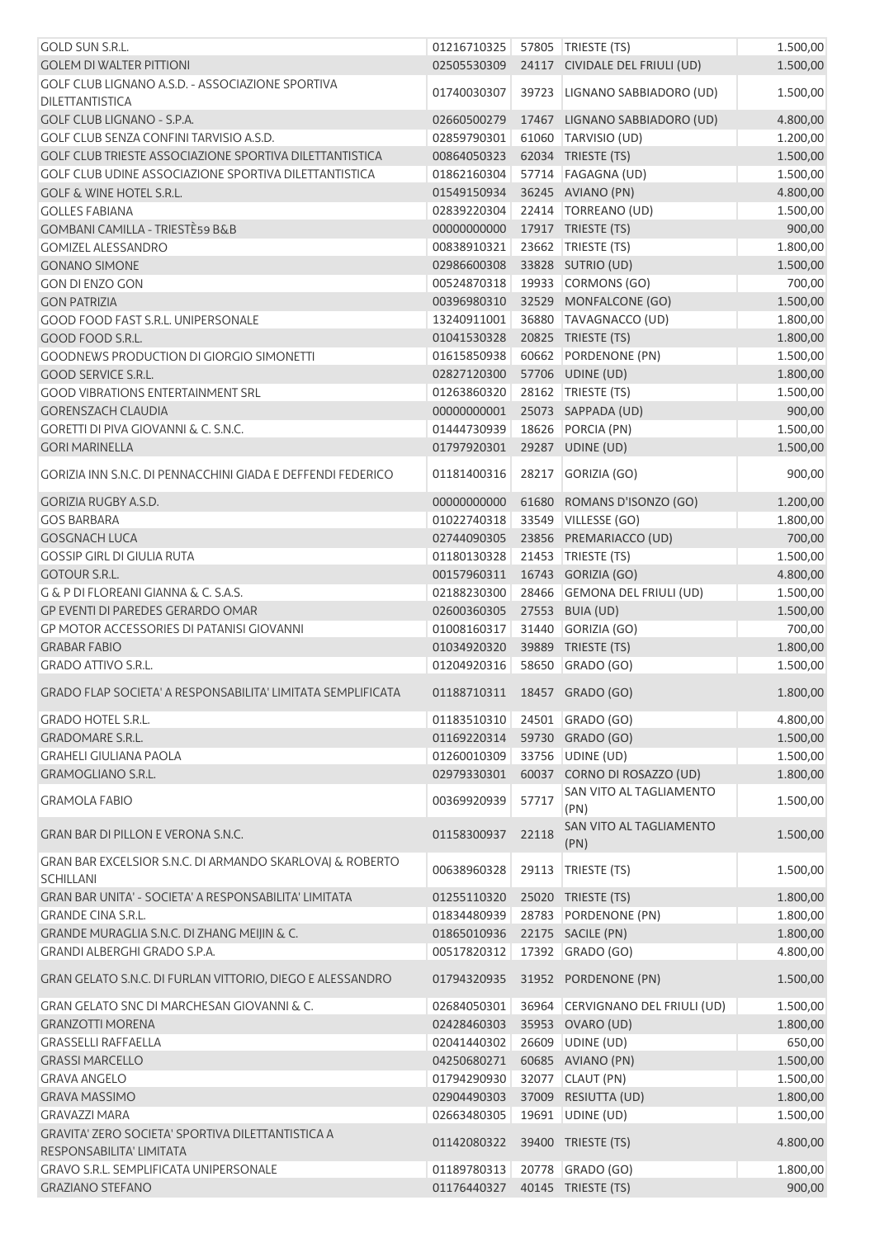| <b>GOLD SUN S.R.L.</b>                                         | 01216710325                    |       | 57805   TRIESTE (TS)             | 1.500,00 |
|----------------------------------------------------------------|--------------------------------|-------|----------------------------------|----------|
| <b>GOLEM DI WALTER PITTIONI</b>                                | 02505530309                    |       | 24117 CIVIDALE DEL FRIULI (UD)   | 1.500,00 |
| GOLF CLUB LIGNANO A.S.D. - ASSOCIAZIONE SPORTIVA               |                                |       |                                  |          |
| <b>DILETTANTISTICA</b>                                         | 01740030307                    | 39723 | LIGNANO SABBIADORO (UD)          | 1.500,00 |
| GOLF CLUB LIGNANO - S.P.A.                                     | 02660500279                    |       | 17467 LIGNANO SABBIADORO (UD)    | 4.800,00 |
| <b>GOLF CLUB SENZA CONFINI TARVISIO A.S.D.</b>                 |                                |       |                                  |          |
|                                                                | 02859790301                    |       | 61060 TARVISIO (UD)              | 1.200,00 |
| <b>GOLF CLUB TRIESTE ASSOCIAZIONE SPORTIVA DILETTANTISTICA</b> | 00864050323                    |       | 62034 TRIESTE (TS)               | 1.500,00 |
| GOLF CLUB UDINE ASSOCIAZIONE SPORTIVA DILETTANTISTICA          | 01862160304                    |       | 57714   FAGAGNA (UD)             | 1.500,00 |
| <b>GOLF &amp; WINE HOTEL S.R.L.</b>                            | 01549150934                    |       | 36245 AVIANO (PN)                | 4.800,00 |
| <b>GOLLES FABIANA</b>                                          | 02839220304                    |       | 22414 TORREANO (UD)              | 1.500,00 |
| <b>GOMBANI CAMILLA - TRIESTÈ59 B&amp;B</b>                     | 00000000000                    |       | 17917 TRIESTE (TS)               | 900,00   |
| <b>GOMIZEL ALESSANDRO</b>                                      | 00838910321                    |       | 23662 TRIESTE (TS)               | 1.800,00 |
|                                                                |                                |       |                                  |          |
| <b>GONANO SIMONE</b>                                           | 02986600308                    |       | 33828 SUTRIO (UD)                | 1.500,00 |
| <b>GON DI ENZO GON</b>                                         | 00524870318                    |       | 19933 CORMONS (GO)               | 700,00   |
| <b>GON PATRIZIA</b>                                            | 00396980310                    |       | 32529 MONFALCONE (GO)            | 1.500,00 |
| <b>GOOD FOOD FAST S.R.L. UNIPERSONALE</b>                      | 13240911001                    |       | 36880 TAVAGNACCO (UD)            | 1.800,00 |
| GOOD FOOD S.R.L.                                               | 01041530328                    |       | 20825 TRIESTE (TS)               | 1.800,00 |
| <b>GOODNEWS PRODUCTION DI GIORGIO SIMONETTI</b>                | 01615850938                    | 60662 | PORDENONE (PN)                   | 1.500,00 |
|                                                                |                                |       |                                  |          |
| <b>GOOD SERVICE S.R.L.</b>                                     | 02827120300                    |       | 57706 UDINE (UD)                 | 1.800,00 |
| <b>GOOD VIBRATIONS ENTERTAINMENT SRL</b>                       | 01263860320                    |       | 28162 TRIESTE (TS)               | 1.500,00 |
| <b>GORENSZACH CLAUDIA</b>                                      | 00000000001                    |       | 25073 SAPPADA (UD)               | 900,00   |
| <b>GORETTI DI PIVA GIOVANNI &amp; C. S.N.C.</b>                | 01444730939                    |       | 18626 PORCIA (PN)                | 1.500,00 |
| <b>GORI MARINELLA</b>                                          | 01797920301                    |       | 29287 UDINE (UD)                 | 1.500,00 |
|                                                                |                                |       |                                  |          |
| GORIZIA INN S.N.C. DI PENNACCHINI GIADA E DEFFENDI FEDERICO    | 01181400316                    | 28217 | GORIZIA (GO)                     | 900,00   |
| GORIZIA RUGBY A.S.D.                                           | 00000000000                    | 61680 | ROMANS D'ISONZO (GO)             | 1.200,00 |
| <b>GOS BARBARA</b>                                             | 01022740318                    |       | 33549 VILLESSE (GO)              | 1.800,00 |
| <b>GOSGNACH LUCA</b>                                           |                                |       |                                  | 700,00   |
|                                                                | 02744090305                    |       | 23856 PREMARIACCO (UD)           |          |
| <b>GOSSIP GIRL DI GIULIA RUTA</b>                              | 01180130328                    |       | 21453   TRIESTE (TS)             | 1.500,00 |
| <b>GOTOUR S.R.L.</b>                                           | 00157960311                    |       | 16743 GORIZIA (GO)               | 4.800,00 |
| G & P DI FLOREANI GIANNA & C. S.A.S.                           | 02188230300                    |       | 28466 GEMONA DEL FRIULI (UD)     | 1.500,00 |
| GP EVENTI DI PAREDES GERARDO OMAR                              | 02600360305                    |       | 27553 BUIA (UD)                  | 1.500,00 |
| <b>GP MOTOR ACCESSORIES DI PATANISI GIOVANNI</b>               | 01008160317                    |       | 31440 GORIZIA (GO)               | 700,00   |
| <b>GRABAR FABIO</b>                                            | 01034920320                    |       | 39889 TRIESTE (TS)               |          |
|                                                                |                                |       |                                  | 1.800,00 |
| <b>GRADO ATTIVO S.R.L.</b>                                     | 01204920316                    |       | 58650 GRADO (GO)                 | 1.500,00 |
| GRADO FLAP SOCIETA' A RESPONSABILITA' LIMITATA SEMPLIFICATA    | 01188710311 18457 GRADO (GO)   |       |                                  | 1.800,00 |
| <b>GRADO HOTEL S.R.L.</b>                                      | 01183510310                    |       | 24501 GRADO (GO)                 | 4.800,00 |
|                                                                |                                |       |                                  |          |
| <b>GRADOMARE S.R.L.</b>                                        | 01169220314                    |       | 59730 GRADO (GO)                 | 1.500,00 |
| <b>GRAHELI GIULIANA PAOLA</b>                                  | 01260010309                    |       | 33756 UDINE (UD)                 | 1.500,00 |
| GRAMOGLIANO S.R.L.                                             | 02979330301                    |       | 60037 CORNO DI ROSAZZO (UD)      | 1.800,00 |
| <b>GRAMOLA FABIO</b>                                           | 00369920939                    | 57717 | SAN VITO AL TAGLIAMENTO          | 1.500,00 |
|                                                                |                                |       | (PN)                             |          |
| <b>GRAN BAR DI PILLON E VERONA S.N.C.</b>                      | 01158300937                    | 22118 | SAN VITO AL TAGLIAMENTO          | 1.500,00 |
|                                                                |                                |       | (PN)                             |          |
| GRAN BAR EXCELSIOR S.N.C. DI ARMANDO SKARLOVAJ & ROBERTO       |                                |       |                                  |          |
| <b>SCHILLANI</b>                                               | 00638960328                    | 29113 | TRIESTE (TS)                     | 1.500,00 |
| GRAN BAR UNITA' - SOCIETA' A RESPONSABILITA' LIMITATA          | 01255110320                    |       | 25020 TRIESTE (TS)               | 1.800,00 |
| <b>GRANDE CINA S.R.L.</b>                                      | 01834480939                    |       | 28783 PORDENONE (PN)             | 1.800,00 |
|                                                                |                                |       |                                  |          |
| GRANDE MURAGLIA S.N.C. DI ZHANG MEIJIN & C.                    | 01865010936                    |       | 22175 SACILE (PN)                | 1.800,00 |
| GRANDI ALBERGHI GRADO S.P.A.                                   | 00517820312                    |       | 17392 GRADO (GO)                 | 4.800,00 |
| GRAN GELATO S.N.C. DI FURLAN VITTORIO, DIEGO E ALESSANDRO      | 01794320935                    |       | 31952 PORDENONE (PN)             | 1.500,00 |
|                                                                |                                |       |                                  |          |
| GRAN GELATO SNC DI MARCHESAN GIOVANNI & C.                     | 02684050301                    |       | 36964 CERVIGNANO DEL FRIULI (UD) | 1.500,00 |
| <b>GRANZOTTI MORENA</b>                                        | 02428460303                    |       | 35953 OVARO (UD)                 | 1.800,00 |
| <b>GRASSELLI RAFFAELLA</b>                                     | 02041440302                    |       | 26609 UDINE (UD)                 | 650,00   |
| <b>GRASSI MARCELLO</b>                                         | 04250680271                    |       | 60685 AVIANO (PN)                | 1.500,00 |
| <b>GRAVA ANGELO</b>                                            | 01794290930                    |       | 32077 CLAUT (PN)                 | 1.500,00 |
| <b>GRAVA MASSIMO</b>                                           | 02904490303                    |       | 37009 RESIUTTA (UD)              | 1.800,00 |
| <b>GRAVAZZI MARA</b>                                           | 02663480305                    | 19691 | UDINE (UD)                       | 1.500,00 |
| <b>GRAVITA' ZERO SOCIETA' SPORTIVA DILETTANTISTICA A</b>       |                                |       |                                  |          |
| RESPONSABILITA' LIMITATA                                       | 01142080322                    |       | 39400 TRIESTE (TS)               | 4.800,00 |
| <b>GRAVO S.R.L. SEMPLIFICATA UNIPERSONALE</b>                  | 01189780313                    |       | 20778 GRADO (GO)                 | 1.800,00 |
| <b>GRAZIANO STEFANO</b>                                        | 01176440327 40145 TRIESTE (TS) |       |                                  | 900,00   |
|                                                                |                                |       |                                  |          |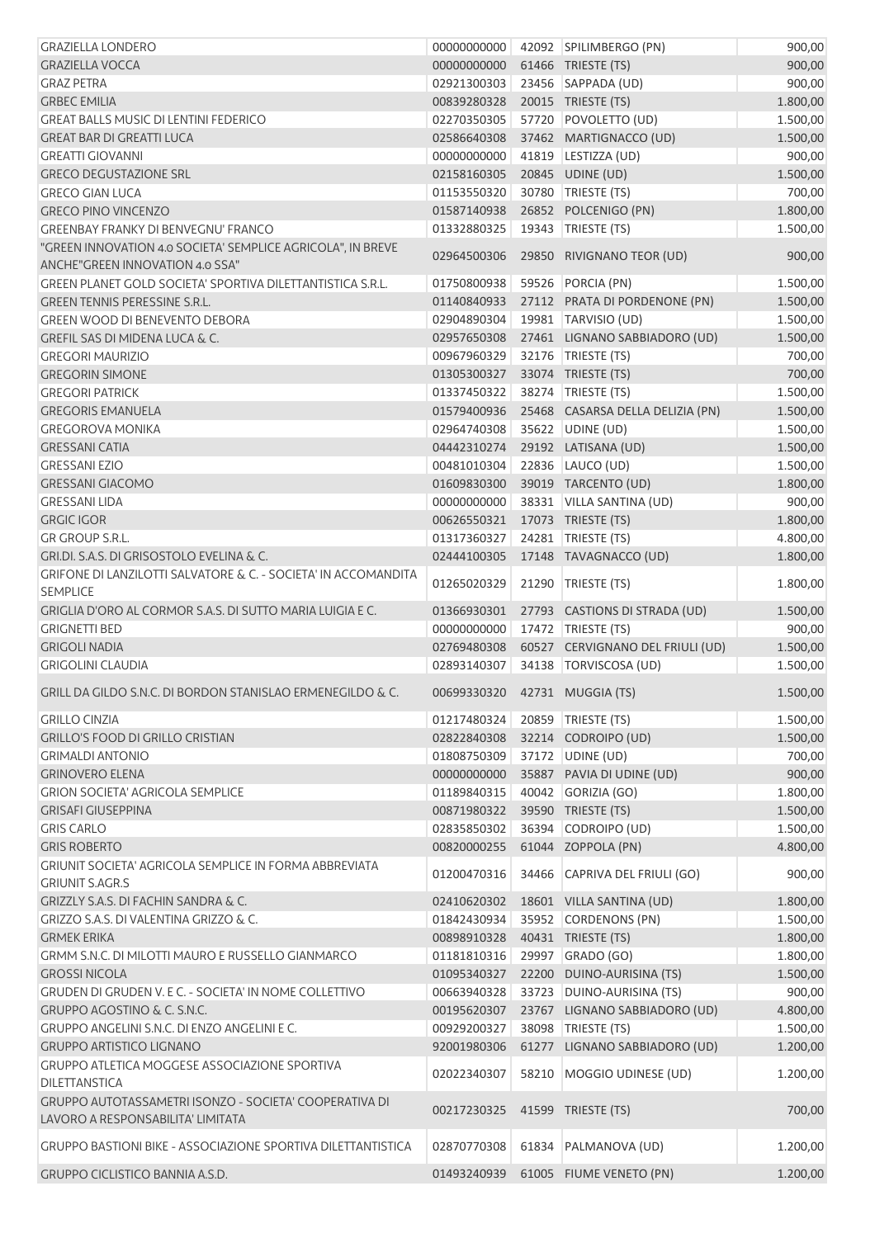| <b>GRAZIELLA LONDERO</b>                                            | 00000000000                     |       | 42092 SPILIMBERGO (PN)           | 900,00   |
|---------------------------------------------------------------------|---------------------------------|-------|----------------------------------|----------|
| <b>GRAZIELLA VOCCA</b>                                              | 00000000000                     |       | 61466 TRIESTE (TS)               | 900,00   |
| <b>GRAZ PETRA</b>                                                   | 02921300303                     |       | 23456 SAPPADA (UD)               | 900,00   |
| <b>GRBEC EMILIA</b>                                                 | 00839280328                     |       | 20015 TRIESTE (TS)               | 1.800,00 |
| <b>GREAT BALLS MUSIC DI LENTINI FEDERICO</b>                        | 02270350305                     |       | 57720 POVOLETTO (UD)             | 1.500,00 |
| <b>GREAT BAR DI GREATTI LUCA</b>                                    | 02586640308                     |       | 37462 MARTIGNACCO (UD)           | 1.500,00 |
| <b>GREATTI GIOVANNI</b>                                             | 00000000000                     |       | 41819 LESTIZZA (UD)              | 900,00   |
| <b>GRECO DEGUSTAZIONE SRL</b>                                       | 02158160305                     |       | 20845 UDINE (UD)                 | 1.500,00 |
| <b>GRECO GIAN LUCA</b>                                              | 01153550320                     |       | 30780 TRIESTE (TS)               | 700,00   |
| <b>GRECO PINO VINCENZO</b>                                          | 01587140938                     |       | 26852 POLCENIGO (PN)             | 1.800,00 |
| <b>GREENBAY FRANKY DI BENVEGNU' FRANCO</b>                          | 01332880325                     |       | 19343   TRIESTE (TS)             | 1.500,00 |
| "GREEN INNOVATION 4.0 SOCIETA' SEMPLICE AGRICOLA", IN BREVE         | 02964500306                     |       | 29850 RIVIGNANO TEOR (UD)        | 900,00   |
| ANCHE"GREEN INNOVATION 4.0 SSA"                                     |                                 |       |                                  |          |
| GREEN PLANET GOLD SOCIETA' SPORTIVA DILETTANTISTICA S.R.L.          | 01750800938                     |       | 59526 PORCIA (PN)                | 1.500,00 |
| GREEN TENNIS PERESSINE S.R.L.                                       | 01140840933                     |       | 27112 PRATA DI PORDENONE (PN)    | 1.500,00 |
| <b>GREEN WOOD DI BENEVENTO DEBORA</b>                               | 02904890304                     |       | 19981 TARVISIO (UD)              | 1.500,00 |
| <b>GREFIL SAS DI MIDENA LUCA &amp; C.</b>                           | 02957650308                     |       | 27461 LIGNANO SABBIADORO (UD)    | 1.500,00 |
| <b>GREGORI MAURIZIO</b>                                             | 00967960329                     |       | 32176   TRIESTE (TS)             | 700,00   |
| <b>GREGORIN SIMONE</b>                                              | 01305300327                     |       | 33074 TRIESTE (TS)               | 700,00   |
| <b>GREGORI PATRICK</b>                                              | 01337450322                     |       | 38274   TRIESTE (TS)             | 1.500,00 |
| <b>GREGORIS EMANUELA</b>                                            | 01579400936                     |       | 25468 CASARSA DELLA DELIZIA (PN) | 1.500,00 |
| <b>GREGOROVA MONIKA</b>                                             | 02964740308                     |       | 35622 UDINE (UD)                 | 1.500,00 |
| <b>GRESSANI CATIA</b>                                               | 04442310274                     |       | 29192 LATISANA (UD)              | 1.500,00 |
| <b>GRESSANI EZIO</b>                                                | 00481010304                     |       | 22836 LAUCO (UD)                 | 1.500,00 |
| <b>GRESSANI GIACOMO</b>                                             | 01609830300                     |       | 39019 TARCENTO (UD)              | 1.800,00 |
| <b>GRESSANI LIDA</b>                                                | 00000000000                     |       | 38331 VILLA SANTINA (UD)         | 900,00   |
| <b>GRGIC IGOR</b>                                                   | 00626550321                     |       | 17073 TRIESTE (TS)               | 1.800,00 |
| GR GROUP S.R.L.                                                     | 01317360327                     |       | 24281   TRIESTE (TS)             | 4.800,00 |
| GRI.DI. S.A.S. DI GRISOSTOLO EVELINA & C.                           | 02444100305                     |       | 17148 TAVAGNACCO (UD)            | 1.800,00 |
| GRIFONE DI LANZILOTTI SALVATORE & C. - SOCIETA' IN ACCOMANDITA      |                                 |       |                                  |          |
| <b>SEMPLICE</b>                                                     | 01265020329                     | 21290 | TRIESTE (TS)                     | 1.800,00 |
| GRIGLIA D'ORO AL CORMOR S.A.S. DI SUTTO MARIA LUIGIA E C.           | 01366930301                     |       | 27793 CASTIONS DI STRADA (UD)    | 1.500,00 |
| <b>GRIGNETTI BED</b>                                                | 00000000000                     |       | 17472 TRIESTE (TS)               | 900,00   |
| <b>GRIGOLI NADIA</b>                                                | 02769480308                     |       | 60527 CERVIGNANO DEL FRIULI (UD) | 1.500,00 |
| <b>GRIGOLINI CLAUDIA</b>                                            | 02893140307                     |       | 34138   TORVISCOSA (UD)          | 1.500,00 |
|                                                                     |                                 |       |                                  |          |
| GRILL DA GILDO S.N.C. DI BORDON STANISLAO ERMENEGILDO & C.          | 00699330320  42731  MUGGIA (TS) |       |                                  | 1.500,00 |
| <b>GRILLO CINZIA</b>                                                | 01217480324 20859 TRIESTE (TS)  |       |                                  | 1.500,00 |
| <b>GRILLO'S FOOD DI GRILLO CRISTIAN</b>                             | 02822840308                     |       | 32214 CODROIPO (UD)              | 1.500,00 |
| <b>GRIMALDI ANTONIO</b>                                             | 01808750309                     |       | 37172 UDINE (UD)                 | 700,00   |
| <b>GRINOVERO ELENA</b>                                              | 00000000000                     |       | 35887 PAVIA DI UDINE (UD)        | 900,00   |
| <b>GRION SOCIETA' AGRICOLA SEMPLICE</b>                             | 01189840315                     |       | 40042 GORIZIA (GO)               | 1.800,00 |
| <b>GRISAFI GIUSEPPINA</b>                                           | 00871980322                     |       | 39590 TRIESTE (TS)               | 1.500,00 |
| <b>GRIS CARLO</b>                                                   | 02835850302                     |       | 36394 CODROIPO (UD)              | 1.500,00 |
| <b>GRIS ROBERTO</b>                                                 | 00820000255                     |       | 61044 ZOPPOLA (PN)               | 4.800,00 |
| GRIUNIT SOCIETA' AGRICOLA SEMPLICE IN FORMA ABBREVIATA              |                                 |       |                                  |          |
| <b>GRIUNIT S.AGR.S</b>                                              | 01200470316                     |       | 34466 CAPRIVA DEL FRIULI (GO)    | 900,00   |
| GRIZZLY S.A.S. DI FACHIN SANDRA & C.                                | 02410620302                     |       | 18601 VILLA SANTINA (UD)         | 1.800,00 |
| GRIZZO S.A.S. DI VALENTINA GRIZZO & C.                              | 01842430934                     |       | 35952 CORDENONS (PN)             | 1.500,00 |
| <b>GRMEK ERIKA</b>                                                  | 00898910328                     |       | 40431 TRIESTE (TS)               | 1.800,00 |
| GRMM S.N.C. DI MILOTTI MAURO E RUSSELLO GIANMARCO                   | 01181810316                     |       | 29997 GRADO (GO)                 | 1.800,00 |
| <b>GROSSI NICOLA</b>                                                | 01095340327                     |       | 22200 DUINO-AURISINA (TS)        | 1.500,00 |
| GRUDEN DI GRUDEN V. E C. - SOCIETA' IN NOME COLLETTIVO              | 00663940328                     |       | 33723 DUINO-AURISINA (TS)        | 900,00   |
| <b>GRUPPO AGOSTINO &amp; C. S.N.C.</b>                              | 00195620307                     |       | 23767 LIGNANO SABBIADORO (UD)    | 4.800,00 |
| GRUPPO ANGELINI S.N.C. DI ENZO ANGELINI E C.                        | 00929200327                     |       | 38098 TRIESTE (TS)               | 1.500,00 |
| <b>GRUPPO ARTISTICO LIGNANO</b>                                     | 92001980306                     |       | 61277 LIGNANO SABBIADORO (UD)    | 1.200,00 |
| GRUPPO ATLETICA MOGGESE ASSOCIAZIONE SPORTIVA                       |                                 |       |                                  |          |
| DILETTANSTICA                                                       | 02022340307                     |       | 58210 MOGGIO UDINESE (UD)        | 1.200,00 |
| GRUPPO AUTOTASSAMETRI ISONZO - SOCIETA' COOPERATIVA DI              |                                 |       |                                  |          |
| LAVORO A RESPONSABILITA' LIMITATA                                   | 00217230325                     |       | 41599 TRIESTE (TS)               | 700,00   |
|                                                                     |                                 |       |                                  |          |
| <b>GRUPPO BASTIONI BIKE - ASSOCIAZIONE SPORTIVA DILETTANTISTICA</b> | 02870770308                     |       | 61834 PALMANOVA (UD)             | 1.200,00 |
| <b>GRUPPO CICLISTICO BANNIA A.S.D.</b>                              | 01493240939                     |       | 61005 FIUME VENETO (PN)          | 1.200,00 |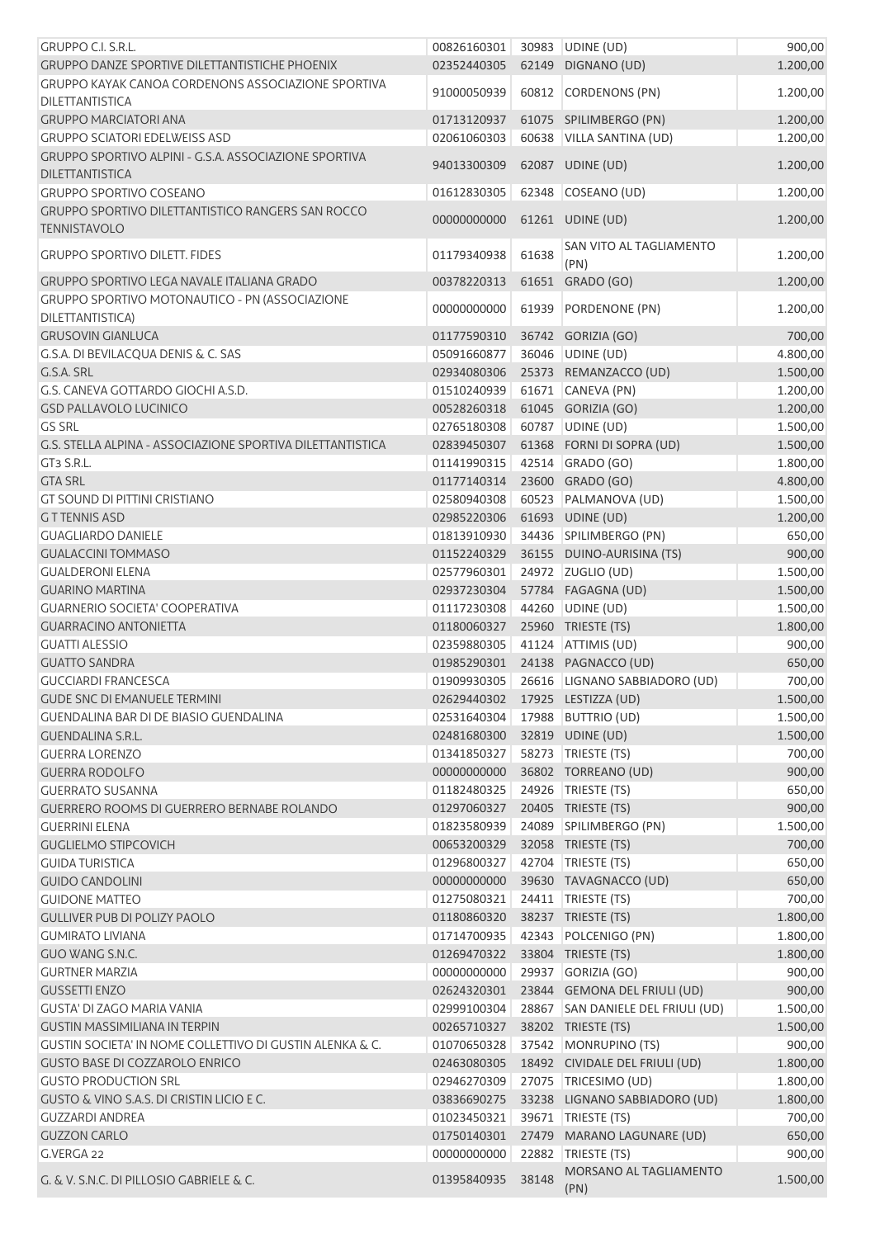| <b>GRUPPO C.I. S.R.L.</b>                                                       | 00826160301                |       | 30983 UDINE (UD)                          | 900,00           |
|---------------------------------------------------------------------------------|----------------------------|-------|-------------------------------------------|------------------|
| <b>GRUPPO DANZE SPORTIVE DILETTANTISTICHE PHOENIX</b>                           | 02352440305                |       | 62149 DIGNANO (UD)                        | 1.200,00         |
| GRUPPO KAYAK CANOA CORDENONS ASSOCIAZIONE SPORTIVA                              | 91000050939                |       | 60812 CORDENONS (PN)                      | 1.200,00         |
| <b>DILETTANTISTICA</b>                                                          |                            |       |                                           |                  |
| <b>GRUPPO MARCIATORI ANA</b>                                                    | 01713120937                |       | 61075 SPILIMBERGO (PN)                    | 1.200,00         |
| <b>GRUPPO SCIATORI EDELWEISS ASD</b>                                            | 02061060303                |       | 60638 VILLA SANTINA (UD)                  | 1.200,00         |
| GRUPPO SPORTIVO ALPINI - G.S.A. ASSOCIAZIONE SPORTIVA<br><b>DILETTANTISTICA</b> | 94013300309                |       | 62087 UDINE (UD)                          | 1.200,00         |
| <b>GRUPPO SPORTIVO COSEANO</b>                                                  | 01612830305                |       | 62348 COSEANO (UD)                        | 1.200,00         |
| GRUPPO SPORTIVO DILETTANTISTICO RANGERS SAN ROCCO                               |                            |       |                                           |                  |
| <b>TENNISTAVOLO</b>                                                             | 00000000000                |       | 61261 UDINE (UD)                          | 1.200,00         |
| <b>GRUPPO SPORTIVO DILETT. FIDES</b>                                            |                            | 61638 | SAN VITO AL TAGLIAMENTO                   |                  |
|                                                                                 | 01179340938                |       | (PN)                                      | 1.200,00         |
| GRUPPO SPORTIVO LEGA NAVALE ITALIANA GRADO                                      | 00378220313                |       | 61651 GRADO (GO)                          | 1.200,00         |
| GRUPPO SPORTIVO MOTONAUTICO - PN (ASSOCIAZIONE                                  | 00000000000                | 61939 | PORDENONE (PN)                            | 1.200,00         |
| DILETTANTISTICA)                                                                |                            |       |                                           |                  |
| <b>GRUSOVIN GIANLUCA</b>                                                        | 01177590310                |       | 36742 GORIZIA (GO)                        | 700,00           |
| G.S.A. DI BEVILACQUA DENIS & C. SAS                                             | 05091660877                |       | 36046 UDINE (UD)                          | 4.800,00         |
| G.S.A. SRL                                                                      | 02934080306                |       | 25373 REMANZACCO (UD)                     | 1.500,00         |
| G.S. CANEVA GOTTARDO GIOCHI A.S.D.                                              | 01510240939                |       | 61671 CANEVA (PN)                         | 1.200,00         |
| <b>GSD PALLAVOLO LUCINICO</b>                                                   | 00528260318                |       | 61045 GORIZIA (GO)                        | 1.200,00         |
| <b>GS SRL</b>                                                                   | 02765180308                |       | 60787 UDINE (UD)                          | 1.500,00         |
| G.S. STELLA ALPINA - ASSOCIAZIONE SPORTIVA DILETTANTISTICA                      | 02839450307                |       | 61368 FORNI DI SOPRA (UD)                 | 1.500,00         |
| GT3 S.R.L.                                                                      | 01141990315                |       | 42514 GRADO (GO)                          | 1.800,00         |
| <b>GTA SRL</b>                                                                  | 01177140314                |       | 23600 GRADO (GO)                          | 4.800,00         |
| <b>GT SOUND DI PITTINI CRISTIANO</b>                                            | 02580940308                | 60523 | PALMANOVA (UD)                            | 1.500,00         |
| <b>GTTENNIS ASD</b>                                                             | 02985220306                |       | 61693 UDINE (UD)                          | 1.200,00         |
| <b>GUAGLIARDO DANIELE</b>                                                       | 01813910930                |       | 34436 SPILIMBERGO (PN)                    | 650,00           |
| <b>GUALACCINI TOMMASO</b>                                                       | 01152240329                |       | 36155 DUINO-AURISINA (TS)                 | 900,00           |
| <b>GUALDERONI ELENA</b>                                                         | 02577960301                |       | 24972 ZUGLIO (UD)                         | 1.500,00         |
| <b>GUARINO MARTINA</b>                                                          | 02937230304                |       | 57784 FAGAGNA (UD)                        | 1.500,00         |
| <b>GUARNERIO SOCIETA' COOPERATIVA</b>                                           | 01117230308                |       | 44260 UDINE (UD)                          | 1.500,00         |
| <b>GUARRACINO ANTONIETTA</b>                                                    | 01180060327                |       | 25960 TRIESTE (TS)                        | 1.800,00         |
| <b>GUATTI ALESSIO</b>                                                           | 02359880305                |       | 41124 ATTIMIS (UD)                        | 900,00           |
| <b>GUATTO SANDRA</b>                                                            | 01985290301                |       | 24138 PAGNACCO (UD)                       | 650,00           |
| <b>GUCCIARDI FRANCESCA</b><br><b>GUDE SNC DI EMANUELE TERMINI</b>               | 01909930305                |       | 26616 LIGNANO SABBIADORO (UD)             | 700,00           |
|                                                                                 | 02629440302                |       | 17925 LESTIZZA (UD)                       | 1.500,00         |
| GUENDALINA BAR DI DE BIASIO GUENDALINA                                          | 02531640304                |       | 17988 BUTTRIO (UD)                        | 1.500,00         |
| <b>GUENDALINA S.R.L.</b><br><b>GUERRA LORENZO</b>                               | 02481680300<br>01341850327 |       | 32819 UDINE (UD)                          | 1.500,00         |
| <b>GUERRA RODOLFO</b>                                                           | 00000000000                |       | 58273 TRIESTE (TS)<br>36802 TORREANO (UD) | 700,00           |
| <b>GUERRATO SUSANNA</b>                                                         | 01182480325                |       | 24926   TRIESTE (TS)                      | 900,00<br>650,00 |
| <b>GUERRERO ROOMS DI GUERRERO BERNABE ROLANDO</b>                               | 01297060327                |       | 20405 TRIESTE (TS)                        | 900,00           |
| <b>GUERRINI ELENA</b>                                                           | 01823580939                | 24089 | SPILIMBERGO (PN)                          | 1.500,00         |
| <b>GUGLIELMO STIPCOVICH</b>                                                     | 00653200329                |       | 32058 TRIESTE (TS)                        | 700,00           |
| <b>GUIDA TURISTICA</b>                                                          | 01296800327                | 42704 | TRIESTE (TS)                              | 650,00           |
| <b>GUIDO CANDOLINI</b>                                                          | 00000000000                |       | 39630 TAVAGNACCO (UD)                     | 650,00           |
| <b>GUIDONE MATTEO</b>                                                           | 01275080321                |       | 24411   TRIESTE (TS)                      | 700,00           |
| <b>GULLIVER PUB DI POLIZY PAOLO</b>                                             | 01180860320                |       | 38237 TRIESTE (TS)                        | 1.800,00         |
| <b>GUMIRATO LIVIANA</b>                                                         | 01714700935                |       | 42343 POLCENIGO (PN)                      | 1.800,00         |
| GUO WANG S.N.C.                                                                 | 01269470322                |       | 33804 TRIESTE (TS)                        | 1.800,00         |
| <b>GURTNER MARZIA</b>                                                           | 00000000000                | 29937 | GORIZIA (GO)                              | 900,00           |
| <b>GUSSETTI ENZO</b>                                                            | 02624320301                |       | 23844 GEMONA DEL FRIULI (UD)              | 900,00           |
| <b>GUSTA' DI ZAGO MARIA VANIA</b>                                               | 02999100304                |       | 28867 SAN DANIELE DEL FRIULI (UD)         | 1.500,00         |
| <b>GUSTIN MASSIMILIANA IN TERPIN</b>                                            | 00265710327                |       | 38202 TRIESTE (TS)                        | 1.500,00         |
| GUSTIN SOCIETA' IN NOME COLLETTIVO DI GUSTIN ALENKA & C.                        | 01070650328                |       | 37542 MONRUPINO (TS)                      | 900,00           |
| <b>GUSTO BASE DI COZZAROLO ENRICO</b>                                           | 02463080305                |       | 18492 CIVIDALE DEL FRIULI (UD)            | 1.800,00         |
| <b>GUSTO PRODUCTION SRL</b>                                                     | 02946270309                |       | 27075 TRICESIMO (UD)                      | 1.800,00         |
| GUSTO & VINO S.A.S. DI CRISTIN LICIO E C.                                       | 03836690275                |       | 33238 LIGNANO SABBIADORO (UD)             | 1.800,00         |
| <b>GUZZARDI ANDREA</b>                                                          | 01023450321                | 39671 | TRIESTE (TS)                              | 700,00           |
| <b>GUZZON CARLO</b>                                                             | 01750140301                |       | 27479 MARANO LAGUNARE (UD)                | 650,00           |
| G.VERGA 22                                                                      | 00000000000                | 22882 | TRIESTE (TS)                              | 900,00           |
|                                                                                 |                            |       | MORSANO AL TAGLIAMENTO                    |                  |
| G. & V. S.N.C. DI PILLOSIO GABRIELE & C.                                        | 01395840935                | 38148 | (PN)                                      | 1.500,00         |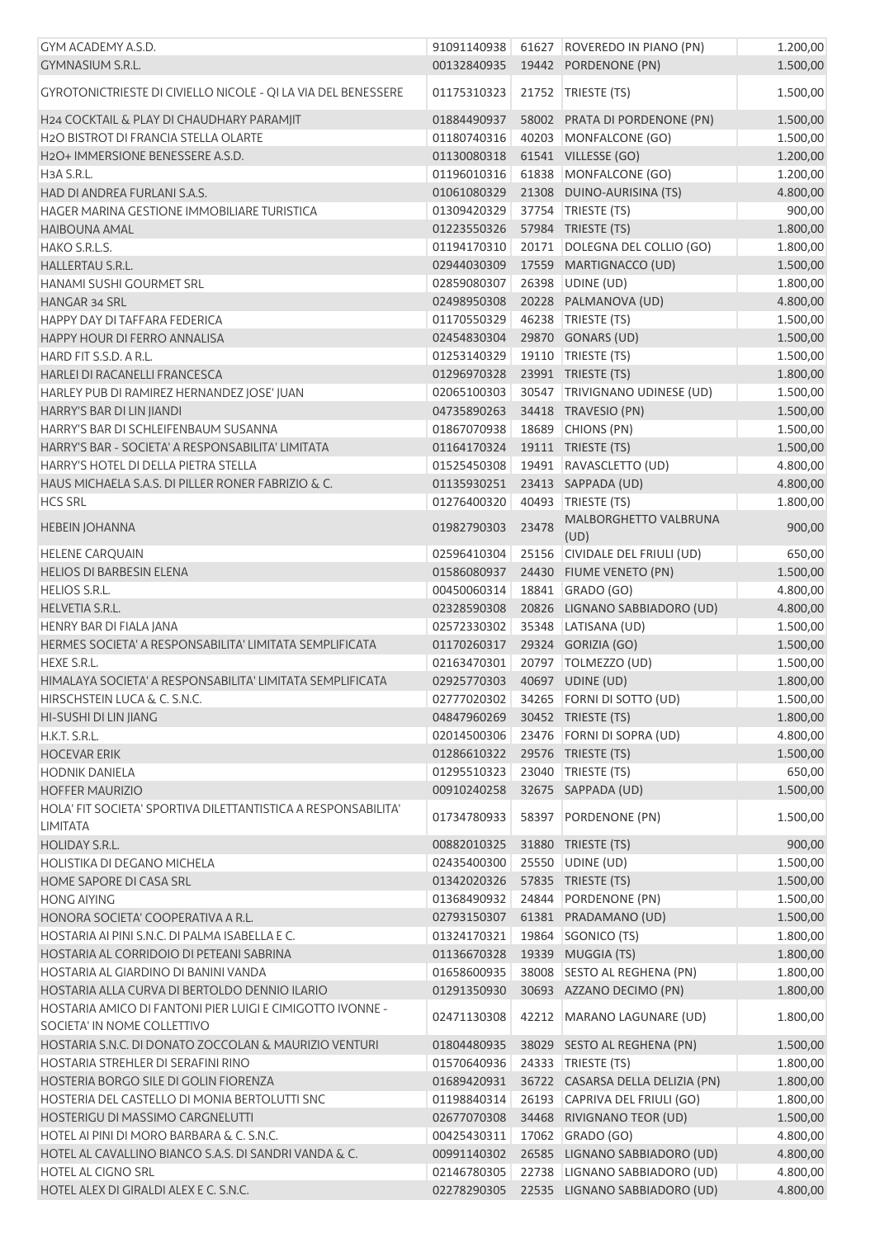| GYM ACADEMY A.S.D.                                                                   | 91091140938 |       | 61627 ROVEREDO IN PIANO (PN)              | 1.200,00 |
|--------------------------------------------------------------------------------------|-------------|-------|-------------------------------------------|----------|
| <b>GYMNASIUM S.R.L.</b>                                                              | 00132840935 |       | 19442 PORDENONE (PN)                      | 1.500,00 |
| GYROTONICTRIESTE DI CIVIELLO NICOLE - QI LA VIA DEL BENESSERE                        | 01175310323 |       | 21752 TRIESTE (TS)                        | 1.500,00 |
| H24 COCKTAIL & PLAY DI CHAUDHARY PARAMJIT                                            | 01884490937 |       | 58002 PRATA DI PORDENONE (PN)             | 1.500,00 |
| H2O BISTROT DI FRANCIA STELLA OLARTE                                                 | 01180740316 | 40203 | MONFALCONE (GO)                           | 1.500,00 |
| H2O+ IMMERSIONE BENESSERE A.S.D.                                                     | 01130080318 |       | 61541 VILLESSE (GO)                       | 1.200,00 |
|                                                                                      |             |       |                                           |          |
| H3A S.R.L.                                                                           | 01196010316 |       | 61838 MONFALCONE (GO)                     | 1.200,00 |
| HAD DI ANDREA FURLANI S.A.S.                                                         | 01061080329 |       | 21308 DUINO-AURISINA (TS)                 | 4.800,00 |
| HAGER MARINA GESTIONE IMMOBILIARE TURISTICA                                          | 01309420329 |       | 37754   TRIESTE (TS)                      | 900,00   |
| <b>HAIBOUNA AMAL</b>                                                                 | 01223550326 |       | 57984 TRIESTE (TS)                        | 1.800,00 |
| HAKO S.R.L.S.                                                                        | 01194170310 |       | 20171 DOLEGNA DEL COLLIO (GO)             | 1.800,00 |
| HALLERTAU S.R.L.                                                                     | 02944030309 |       | 17559 MARTIGNACCO (UD)                    | 1.500,00 |
| HANAMI SUSHI GOURMET SRL                                                             | 02859080307 |       | 26398 UDINE (UD)                          | 1.800,00 |
| HANGAR 34 SRL                                                                        | 02498950308 |       | 20228 PALMANOVA (UD)                      | 4.800,00 |
| HAPPY DAY DI TAFFARA FEDERICA                                                        | 01170550329 |       | 46238 TRIESTE (TS)                        | 1.500,00 |
| HAPPY HOUR DI FERRO ANNALISA                                                         | 02454830304 | 29870 | GONARS (UD)                               | 1.500,00 |
| HARD FIT S.S.D. A R.L.                                                               | 01253140329 |       | 19110   TRIESTE (TS)                      | 1.500,00 |
| HARLEI DI RACANELLI FRANCESCA                                                        | 01296970328 |       | 23991 TRIESTE (TS)                        | 1.800,00 |
| HARLEY PUB DI RAMIREZ HERNANDEZ JOSE' JUAN                                           | 02065100303 |       | 30547 TRIVIGNANO UDINESE (UD)             | 1.500,00 |
| HARRY'S BAR DI LIN JIANDI                                                            | 04735890263 |       | 34418 TRAVESIO (PN)                       | 1.500,00 |
| HARRY'S BAR DI SCHLEIFENBAUM SUSANNA                                                 | 01867070938 | 18689 | CHIONS (PN)                               | 1.500,00 |
| HARRY'S BAR - SOCIETA' A RESPONSABILITA' LIMITATA                                    | 01164170324 |       | 19111 TRIESTE (TS)                        | 1.500,00 |
| HARRY'S HOTEL DI DELLA PIETRA STELLA                                                 | 01525450308 |       | 19491 RAVASCLETTO (UD)                    | 4.800,00 |
| HAUS MICHAELA S.A.S. DI PILLER RONER FABRIZIO & C.                                   | 01135930251 |       | 23413 SAPPADA (UD)                        | 4.800,00 |
| <b>HCS SRL</b>                                                                       | 01276400320 |       | 40493 TRIESTE (TS)                        | 1.800,00 |
|                                                                                      |             |       | MALBORGHETTO VALBRUNA                     |          |
| <b>HEBEIN JOHANNA</b>                                                                | 01982790303 | 23478 | (UD)                                      | 900,00   |
| <b>HELENE CARQUAIN</b>                                                               | 02596410304 |       | 25156 CIVIDALE DEL FRIULI (UD)            | 650,00   |
| <b>HELIOS DI BARBESIN ELENA</b>                                                      | 01586080937 |       | 24430 FIUME VENETO (PN)                   | 1.500,00 |
| <b>HELIOS S.R.L.</b>                                                                 | 00450060314 |       | 18841 GRADO (GO)                          | 4.800,00 |
| <b>HELVETIA S.R.L.</b>                                                               | 02328590308 |       | 20826 LIGNANO SABBIADORO (UD)             | 4.800,00 |
| HENRY BAR DI FIALA JANA                                                              | 02572330302 |       | 35348 LATISANA (UD)                       | 1.500,00 |
| HERMES SOCIETA' A RESPONSABILITA' LIMITATA SEMPLIFICATA                              | 01170260317 |       | 29324 GORIZIA (GO)                        | 1.500,00 |
| <b>HEXE S.R.L.</b>                                                                   | 02163470301 |       | 20797   TOLMEZZO (UD)                     | 1.500,00 |
| HIMALAYA SOCIETA' A RESPONSABILITA' LIMITATA SEMPLIFICATA                            | 02925770303 |       | 40697 UDINE (UD)                          | 1.800,00 |
| HIRSCHSTEIN LUCA & C. S.N.C.                                                         |             |       |                                           |          |
|                                                                                      | 02777020302 |       | 34265   FORNI DI SOTTO (UD)               | 1.500,00 |
| HI-SUSHI DI LIN JIANG                                                                | 04847960269 |       | 30452 TRIESTE (TS)                        | 1.800,00 |
| H.K.T. S.R.L.                                                                        | 02014500306 |       | 23476 FORNI DI SOPRA (UD)                 | 4.800,00 |
| <b>HOCEVAR ERIK</b>                                                                  | 01286610322 |       | 29576 TRIESTE (TS)                        | 1.500,00 |
| <b>HODNIK DANIELA</b>                                                                | 01295510323 |       | 23040 TRIESTE (TS)                        | 650,00   |
| <b>HOFFER MAURIZIO</b>                                                               | 00910240258 |       | 32675 SAPPADA (UD)                        | 1.500,00 |
| HOLA' FIT SOCIETA' SPORTIVA DILETTANTISTICA A RESPONSABILITA'<br><b>LIMITATA</b>     | 01734780933 | 58397 | PORDENONE (PN)                            | 1.500,00 |
| <b>HOLIDAY S.R.L.</b>                                                                | 00882010325 |       | 31880 TRIESTE (TS)                        |          |
|                                                                                      |             |       |                                           | 900,00   |
| HOLISTIKA DI DEGANO MICHELA                                                          | 02435400300 |       | 25550 UDINE (UD)                          | 1.500,00 |
| HOME SAPORE DI CASA SRL                                                              | 01342020326 |       | 57835 TRIESTE (TS)                        | 1.500,00 |
| <b>HONG AIYING</b>                                                                   | 01368490932 |       | 24844 PORDENONE (PN)                      | 1.500,00 |
| HONORA SOCIETA' COOPERATIVA A R.L.                                                   | 02793150307 |       | 61381 PRADAMANO (UD)                      | 1.500,00 |
| HOSTARIA AI PINI S.N.C. DI PALMA ISABELLA E C.                                       | 01324170321 |       | 19864 SGONICO (TS)                        | 1.800,00 |
| HOSTARIA AL CORRIDOIO DI PETEANI SABRINA                                             | 01136670328 |       | 19339 MUGGIA (TS)                         | 1.800,00 |
| HOSTARIA AL GIARDINO DI BANINI VANDA                                                 | 01658600935 |       | 38008 SESTO AL REGHENA (PN)               | 1.800,00 |
| HOSTARIA ALLA CURVA DI BERTOLDO DENNIO ILARIO                                        | 01291350930 |       | 30693 AZZANO DECIMO (PN)                  | 1.800,00 |
| HOSTARIA AMICO DI FANTONI PIER LUIGI E CIMIGOTTO IVONNE -                            | 02471130308 |       | 42212 MARANO LAGUNARE (UD)                | 1.800,00 |
| SOCIETA' IN NOME COLLETTIVO<br>HOSTARIA S.N.C. DI DONATO ZOCCOLAN & MAURIZIO VENTURI | 01804480935 |       | 38029 SESTO AL REGHENA (PN)               | 1.500,00 |
| HOSTARIA STREHLER DI SERAFINI RINO                                                   | 01570640936 |       | 24333 TRIESTE (TS)                        | 1.800,00 |
|                                                                                      |             |       |                                           |          |
| HOSTERIA BORGO SILE DI GOLIN FIORENZA                                                | 01689420931 |       | 36722 CASARSA DELLA DELIZIA (PN)          | 1.800,00 |
| HOSTERIA DEL CASTELLO DI MONIA BERTOLUTTI SNC                                        | 01198840314 |       | 26193 CAPRIVA DEL FRIULI (GO)             | 1.800,00 |
| HOSTERIGU DI MASSIMO CARGNELUTTI                                                     | 02677070308 |       | 34468 RIVIGNANO TEOR (UD)                 | 1.500,00 |
| HOTEL AI PINI DI MORO BARBARA & C. S.N.C.                                            | 00425430311 |       | 17062 GRADO (GO)                          | 4.800,00 |
| HOTEL AL CAVALLINO BIANCO S.A.S. DI SANDRI VANDA & C.                                | 00991140302 |       | 26585 LIGNANO SABBIADORO (UD)             | 4.800,00 |
| <b>HOTEL AL CIGNO SRL</b>                                                            | 02146780305 |       | 22738 LIGNANO SABBIADORO (UD)             | 4.800,00 |
| HOTEL ALEX DI GIRALDI ALEX E C. S.N.C.                                               |             |       | 02278290305 22535 LIGNANO SABBIADORO (UD) | 4.800,00 |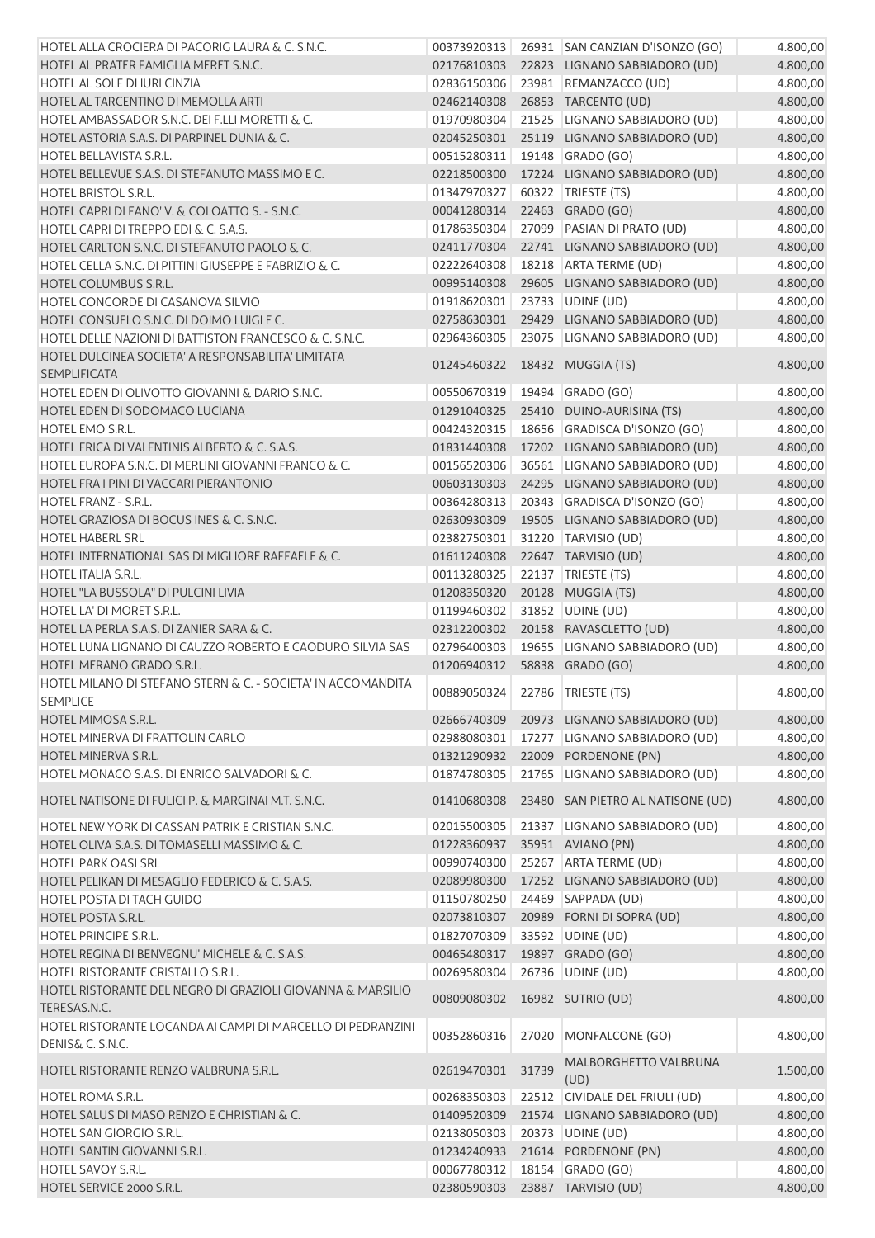| HOTEL ALLA CROCIERA DI PACORIG LAURA & C. S.N.C.                                | 00373920313 |       | 26931 SAN CANZIAN D'ISONZO (GO)           | 4.800,00 |
|---------------------------------------------------------------------------------|-------------|-------|-------------------------------------------|----------|
| HOTEL AL PRATER FAMIGLIA MERET S.N.C.                                           | 02176810303 |       | 22823 LIGNANO SABBIADORO (UD)             | 4.800,00 |
| HOTEL AL SOLE DI IURI CINZIA                                                    | 02836150306 |       | 23981 REMANZACCO (UD)                     | 4.800,00 |
| HOTEL AL TARCENTINO DI MEMOLLA ARTI                                             | 02462140308 |       | 26853 TARCENTO (UD)                       | 4.800,00 |
| HOTEL AMBASSADOR S.N.C. DEI F.LLI MORETTI & C.                                  | 01970980304 |       | 21525 LIGNANO SABBIADORO (UD)             | 4.800,00 |
| HOTEL ASTORIA S.A.S. DI PARPINEL DUNIA & C.                                     | 02045250301 |       | 25119 LIGNANO SABBIADORO (UD)             | 4.800,00 |
|                                                                                 |             |       |                                           |          |
| HOTEL BELLAVISTA S.R.L.                                                         | 00515280311 |       | 19148 GRADO (GO)                          | 4.800,00 |
| HOTEL BELLEVUE S.A.S. DI STEFANUTO MASSIMO E C.                                 | 02218500300 |       | 17224 LIGNANO SABBIADORO (UD)             | 4.800,00 |
| <b>HOTEL BRISTOL S.R.L.</b>                                                     | 01347970327 |       | 60322 TRIESTE (TS)                        | 4.800,00 |
| HOTEL CAPRI DI FANO' V. & COLOATTO S. - S.N.C.                                  | 00041280314 |       | 22463 GRADO (GO)                          | 4.800,00 |
| HOTEL CAPRI DI TREPPO EDI & C. S.A.S.                                           | 01786350304 |       | 27099 PASIAN DI PRATO (UD)                | 4.800,00 |
| HOTEL CARLTON S.N.C. DI STEFANUTO PAOLO & C.                                    | 02411770304 |       | 22741 LIGNANO SABBIADORO (UD)             | 4.800,00 |
| HOTEL CELLA S.N.C. DI PITTINI GIUSEPPE E FABRIZIO & C.                          | 02222640308 |       | 18218 ARTA TERME (UD)                     | 4.800,00 |
| HOTEL COLUMBUS S.R.L.                                                           | 00995140308 |       | 29605 LIGNANO SABBIADORO (UD)             | 4.800,00 |
| HOTEL CONCORDE DI CASANOVA SILVIO                                               | 01918620301 |       | 23733 UDINE (UD)                          | 4.800,00 |
| HOTEL CONSUELO S.N.C. DI DOIMO LUIGI E C.                                       | 02758630301 |       | 29429 LIGNANO SABBIADORO (UD)             | 4.800,00 |
| HOTEL DELLE NAZIONI DI BATTISTON FRANCESCO & C. S.N.C.                          | 02964360305 |       | 23075 LIGNANO SABBIADORO (UD)             | 4.800,00 |
| HOTEL DULCINEA SOCIETA' A RESPONSABILITA' LIMITATA                              |             |       |                                           |          |
| <b>SEMPLIFICATA</b>                                                             | 01245460322 |       | 18432 MUGGIA (TS)                         | 4.800,00 |
| HOTEL EDEN DI OLIVOTTO GIOVANNI & DARIO S.N.C.                                  | 00550670319 |       | 19494 GRADO (GO)                          | 4.800,00 |
| HOTEL EDEN DI SODOMACO LUCIANA                                                  | 01291040325 |       | 25410 DUINO-AURISINA (TS)                 | 4.800,00 |
| HOTEL EMO S.R.L.                                                                | 00424320315 |       | 18656 GRADISCA D'ISONZO (GO)              | 4.800,00 |
| HOTEL ERICA DI VALENTINIS ALBERTO & C. S.A.S.                                   | 01831440308 |       | 17202 LIGNANO SABBIADORO (UD)             | 4.800,00 |
| HOTEL EUROPA S.N.C. DI MERLINI GIOVANNI FRANCO & C.                             | 00156520306 |       | 36561 LIGNANO SABBIADORO (UD)             | 4.800,00 |
| HOTEL FRA I PINI DI VACCARI PIERANTONIO                                         | 00603130303 |       | 24295 LIGNANO SABBIADORO (UD)             | 4.800,00 |
| <b>HOTEL FRANZ - S.R.L.</b>                                                     | 00364280313 |       | 20343 GRADISCA D'ISONZO (GO)              | 4.800,00 |
| HOTEL GRAZIOSA DI BOCUS INES & C. S.N.C.                                        | 02630930309 |       | 19505 LIGNANO SABBIADORO (UD)             | 4.800,00 |
| <b>HOTEL HABERL SRL</b>                                                         | 02382750301 |       | 31220 TARVISIO (UD)                       | 4.800,00 |
| HOTEL INTERNATIONAL SAS DI MIGLIORE RAFFAELE & C.                               | 01611240308 |       | 22647 TARVISIO (UD)                       | 4.800,00 |
| <b>HOTEL ITALIA S.R.L.</b>                                                      |             |       |                                           |          |
|                                                                                 | 00113280325 |       | 22137 TRIESTE (TS)                        | 4.800,00 |
| HOTEL "LA BUSSOLA" DI PULCINI LIVIA                                             | 01208350320 |       | 20128 MUGGIA (TS)                         | 4.800,00 |
| HOTEL LA' DI MORET S.R.L.                                                       | 01199460302 |       | 31852 UDINE (UD)                          | 4.800,00 |
| HOTEL LA PERLA S.A.S. DI ZANIER SARA & C.                                       | 02312200302 |       | 20158 RAVASCLETTO (UD)                    | 4.800,00 |
| HOTEL LUNA LIGNANO DI CAUZZO ROBERTO E CAODURO SILVIA SAS                       | 02796400303 |       | 19655 LIGNANO SABBIADORO (UD)             | 4.800,00 |
| HOTEL MERANO GRADO S.R.L.                                                       | 01206940312 |       | 58838 GRADO (GO)                          | 4.800,00 |
| HOTEL MILANO DI STEFANO STERN & C. - SOCIETA' IN ACCOMANDITA<br>SEMPLICE        | 00889050324 |       | 22786 TRIESTE (TS)                        | 4.800,00 |
| HOTEL MIMOSA S.R.L.                                                             |             |       | 02666740309 20973 LIGNANO SABBIADORO (UD) | 4.800,00 |
| HOTEL MINERVA DI FRATTOLIN CARLO                                                | 02988080301 |       | 17277 LIGNANO SABBIADORO (UD)             | 4.800,00 |
|                                                                                 |             |       |                                           | 4.800,00 |
| HOTEL MINERVA S.R.L.<br>HOTEL MONACO S.A.S. DI ENRICO SALVADORI & C.            | 01321290932 |       | 22009 PORDENONE (PN)                      |          |
|                                                                                 | 01874780305 |       | 21765 LIGNANO SABBIADORO (UD)             | 4.800,00 |
| HOTEL NATISONE DI FULICI P. & MARGINAI M.T. S.N.C.                              | 01410680308 |       | 23480 SAN PIETRO AL NATISONE (UD)         | 4.800,00 |
| HOTEL NEW YORK DI CASSAN PATRIK E CRISTIAN S.N.C.                               | 02015500305 |       | 21337 LIGNANO SABBIADORO (UD)             | 4.800,00 |
| HOTEL OLIVA S.A.S. DI TOMASELLI MASSIMO & C.                                    | 01228360937 |       | 35951 AVIANO (PN)                         | 4.800,00 |
| <b>HOTEL PARK OASI SRL</b>                                                      | 00990740300 |       | 25267 ARTA TERME (UD)                     | 4.800,00 |
| HOTEL PELIKAN DI MESAGLIO FEDERICO & C. S.A.S.                                  | 02089980300 |       | 17252 LIGNANO SABBIADORO (UD)             | 4.800,00 |
| HOTEL POSTA DI TACH GUIDO                                                       | 01150780250 |       | 24469 SAPPADA (UD)                        | 4.800,00 |
| HOTEL POSTA S.R.L.                                                              | 02073810307 |       | 20989 FORNI DI SOPRA (UD)                 | 4.800,00 |
| HOTEL PRINCIPE S.R.L.                                                           | 01827070309 |       | 33592 UDINE (UD)                          | 4.800,00 |
| HOTEL REGINA DI BENVEGNU' MICHELE & C. S.A.S.                                   | 00465480317 |       | 19897 GRADO (GO)                          | 4.800,00 |
| HOTEL RISTORANTE CRISTALLO S.R.L.                                               | 00269580304 |       | 26736 UDINE (UD)                          | 4.800,00 |
| HOTEL RISTORANTE DEL NEGRO DI GRAZIOLI GIOVANNA & MARSILIO                      | 00809080302 |       | 16982 SUTRIO (UD)                         | 4.800,00 |
| TERESAS.N.C.                                                                    |             |       |                                           |          |
| HOTEL RISTORANTE LOCANDA AI CAMPI DI MARCELLO DI PEDRANZINI<br>DENIS& C. S.N.C. | 00352860316 | 27020 | MONFALCONE (GO)                           | 4.800,00 |
| HOTEL RISTORANTE RENZO VALBRUNA S.R.L.                                          | 02619470301 | 31739 | MALBORGHETTO VALBRUNA                     | 1.500,00 |
| HOTEL ROMA S.R.L.                                                               | 00268350303 | 22512 | (UD)<br>CIVIDALE DEL FRIULI (UD)          | 4.800,00 |
| HOTEL SALUS DI MASO RENZO E CHRISTIAN & C.                                      | 01409520309 |       | 21574 LIGNANO SABBIADORO (UD)             | 4.800,00 |
| HOTEL SAN GIORGIO S.R.L.                                                        | 02138050303 |       | 20373 UDINE (UD)                          | 4.800,00 |
| HOTEL SANTIN GIOVANNI S.R.L.                                                    | 01234240933 |       | 21614 PORDENONE (PN)                      | 4.800,00 |
| HOTEL SAVOY S.R.L.                                                              | 00067780312 |       | 18154 GRADO (GO)                          | 4.800,00 |
| HOTEL SERVICE 2000 S.R.L.                                                       | 02380590303 |       | 23887 TARVISIO (UD)                       | 4.800,00 |
|                                                                                 |             |       |                                           |          |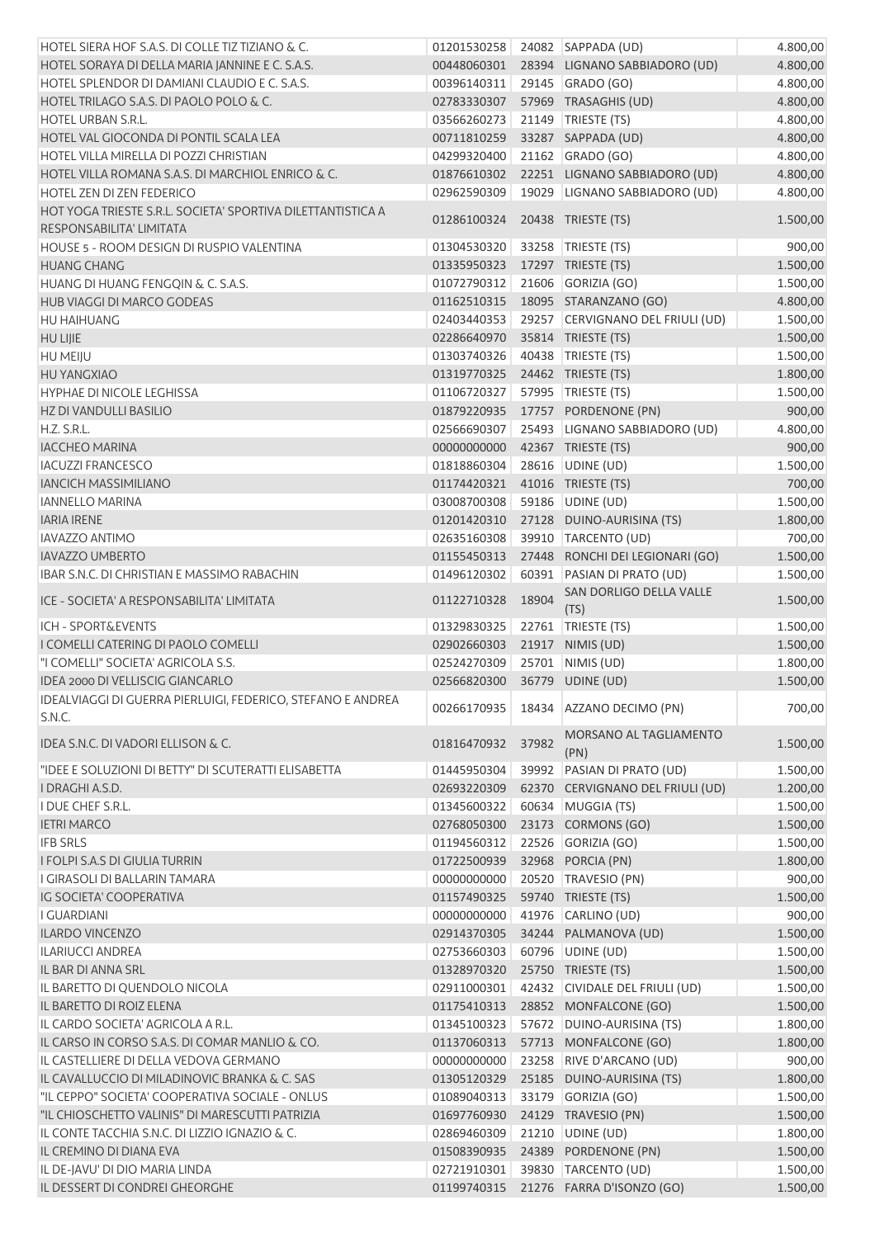| HOTEL SIERA HOF S.A.S. DI COLLE TIZ TIZIANO & C.            |             |       | 01201530258 24082 SAPPADA (UD)   | 4.800,00 |
|-------------------------------------------------------------|-------------|-------|----------------------------------|----------|
| HOTEL SORAYA DI DELLA MARIA JANNINE E C. S.A.S.             | 00448060301 |       | 28394 LIGNANO SABBIADORO (UD)    | 4.800,00 |
| HOTEL SPLENDOR DI DAMIANI CLAUDIO E C. S.A.S.               | 00396140311 |       | 29145 GRADO (GO)                 | 4.800,00 |
| HOTEL TRILAGO S.A.S. DI PAOLO POLO & C.                     | 02783330307 |       | 57969 TRASAGHIS (UD)             | 4.800,00 |
| HOTEL URBAN S.R.L.                                          | 03566260273 |       | 21149   TRIESTE (TS)             | 4.800,00 |
| HOTEL VAL GIOCONDA DI PONTIL SCALA LEA                      | 00711810259 |       | 33287 SAPPADA (UD)               | 4.800,00 |
| HOTEL VILLA MIRELLA DI POZZI CHRISTIAN                      | 04299320400 |       | 21162 GRADO (GO)                 | 4.800,00 |
| HOTEL VILLA ROMANA S.A.S. DI MARCHIOL ENRICO & C.           | 01876610302 |       | 22251 LIGNANO SABBIADORO (UD)    | 4.800,00 |
| HOTEL ZEN DI ZEN FEDERICO                                   | 02962590309 |       | 19029 LIGNANO SABBIADORO (UD)    | 4.800,00 |
| HOT YOGA TRIESTE S.R.L. SOCIETA' SPORTIVA DILETTANTISTICA A |             |       |                                  |          |
| RESPONSABILITA' LIMITATA                                    | 01286100324 |       | 20438 TRIESTE (TS)               | 1.500,00 |
| HOUSE 5 - ROOM DESIGN DI RUSPIO VALENTINA                   |             |       | 33258 TRIESTE (TS)               | 900,00   |
|                                                             | 01304530320 |       |                                  |          |
| <b>HUANG CHANG</b>                                          | 01335950323 |       | 17297 TRIESTE (TS)               | 1.500,00 |
| HUANG DI HUANG FENGQIN & C. S.A.S.                          | 01072790312 |       | 21606 GORIZIA (GO)               | 1.500,00 |
| HUB VIAGGI DI MARCO GODEAS                                  | 01162510315 |       | 18095 STARANZANO (GO)            | 4.800,00 |
| HU HAIHUANG                                                 | 02403440353 |       | 29257 CERVIGNANO DEL FRIULI (UD) | 1.500,00 |
| <b>HU LIJIE</b>                                             | 02286640970 |       | 35814 TRIESTE (TS)               | 1.500,00 |
| HU MEIJU                                                    | 01303740326 |       | 40438 TRIESTE (TS)               | 1.500,00 |
| <b>HU YANGXIAO</b>                                          | 01319770325 |       | 24462 TRIESTE (TS)               | 1.800,00 |
| <b>HYPHAE DI NICOLE LEGHISSA</b>                            | 01106720327 |       | 57995   TRIESTE (TS)             | 1.500,00 |
| HZ DI VANDULLI BASILIO                                      | 01879220935 |       | 17757 PORDENONE (PN)             | 900,00   |
| H.Z. S.R.L.                                                 | 02566690307 |       | 25493 LIGNANO SABBIADORO (UD)    | 4.800,00 |
| <b>IACCHEO MARINA</b>                                       | 00000000000 |       | 42367 TRIESTE (TS)               | 900,00   |
| <b>IACUZZI FRANCESCO</b>                                    | 01818860304 |       | 28616 UDINE (UD)                 | 1.500,00 |
| <b>IANCICH MASSIMILIANO</b>                                 | 01174420321 |       | 41016 TRIESTE (TS)               | 700,00   |
| <b>IANNELLO MARINA</b>                                      | 03008700308 |       | 59186 UDINE (UD)                 | 1.500,00 |
| <b>IARIA IRENE</b>                                          | 01201420310 |       | 27128 DUINO-AURISINA (TS)        | 1.800,00 |
| <b>IAVAZZO ANTIMO</b>                                       | 02635160308 |       | 39910 TARCENTO (UD)              | 700,00   |
| <b>IAVAZZO UMBERTO</b>                                      | 01155450313 |       | 27448 RONCHI DEI LEGIONARI (GO)  | 1.500,00 |
| IBAR S.N.C. DI CHRISTIAN E MASSIMO RABACHIN                 | 01496120302 | 60391 | PASIAN DI PRATO (UD)             | 1.500,00 |
|                                                             |             |       | SAN DORLIGO DELLA VALLE          |          |
| ICE - SOCIETA' A RESPONSABILITA' LIMITATA                   | 01122710328 | 18904 | (TS)                             | 1.500,00 |
| <b>ICH - SPORT&amp;EVENTS</b>                               | 01329830325 |       | 22761   TRIESTE (TS)             | 1.500,00 |
| I COMELLI CATERING DI PAOLO COMELLI                         | 02902660303 |       | 21917 NIMIS (UD)                 | 1.500,00 |
| "I COMELLI" SOCIETA' AGRICOLA S.S.                          | 02524270309 | 25701 | NIMIS (UD)                       | 1.800,00 |
| IDEA 2000 DI VELLISCIG GIANCARLO                            | 02566820300 |       | 36779 UDINE (UD)                 | 1.500,00 |
| IDEALVIAGGI DI GUERRA PIERLUIGI, FEDERICO, STEFANO E ANDREA |             |       |                                  |          |
| S.N.C.                                                      | 00266170935 |       | 18434 AZZANO DECIMO (PN)         | 700,00   |
| IDEA S.N.C. DI VADORI ELLISON & C.                          | 01816470932 | 37982 | MORSANO AL TAGLIAMENTO<br>(PN)   | 1.500,00 |
| "IDEE E SOLUZIONI DI BETTY" DI SCUTERATTI ELISABETTA        | 01445950304 |       | 39992 PASIAN DI PRATO (UD)       | 1.500,00 |
| I DRAGHI A.S.D.                                             | 02693220309 |       | 62370 CERVIGNANO DEL FRIULI (UD) | 1.200,00 |
| I DUE CHEF S.R.L.                                           | 01345600322 |       | 60634 MUGGIA (TS)                | 1.500,00 |
| <b>IETRI MARCO</b>                                          | 02768050300 |       | 23173 CORMONS (GO)               | 1.500,00 |
| <b>IFB SRLS</b>                                             | 01194560312 |       | 22526 GORIZIA (GO)               | 1.500,00 |
| <b>I FOLPI S.A.S DI GIULIA TURRIN</b>                       | 01722500939 |       | 32968 PORCIA (PN)                | 1.800,00 |
| I GIRASOLI DI BALLARIN TAMARA                               | 00000000000 |       | 20520 TRAVESIO (PN)              | 900,00   |
|                                                             |             |       |                                  |          |
| IG SOCIETA' COOPERATIVA                                     | 01157490325 |       | 59740 TRIESTE (TS)               | 1.500,00 |
| I GUARDIANI                                                 | 00000000000 |       | 41976 CARLINO (UD)               | 900,00   |
| <b>ILARDO VINCENZO</b>                                      | 02914370305 |       | 34244 PALMANOVA (UD)             | 1.500,00 |
| ILARIUCCI ANDREA                                            | 02753660303 |       | 60796 UDINE (UD)                 | 1.500,00 |
| IL BAR DI ANNA SRL                                          | 01328970320 |       | 25750 TRIESTE (TS)               | 1.500,00 |
| IL BARETTO DI QUENDOLO NICOLA                               | 02911000301 |       | 42432 CIVIDALE DEL FRIULI (UD)   | 1.500,00 |
| IL BARETTO DI ROIZ ELENA                                    | 01175410313 |       | 28852 MONFALCONE (GO)            | 1.500,00 |
| IL CARDO SOCIETA' AGRICOLA A R.L.                           | 01345100323 |       | 57672 DUINO-AURISINA (TS)        | 1.800,00 |
| IL CARSO IN CORSO S.A.S. DI COMAR MANLIO & CO.              | 01137060313 |       | 57713 MONFALCONE (GO)            | 1.800,00 |
| IL CASTELLIERE DI DELLA VEDOVA GERMANO                      | 00000000000 | 23258 | RIVE D'ARCANO (UD)               | 900,00   |
| IL CAVALLUCCIO DI MILADINOVIC BRANKA & C. SAS               | 01305120329 |       | 25185 DUINO-AURISINA (TS)        | 1.800,00 |
| "IL CEPPO" SOCIETA' COOPERATIVA SOCIALE - ONLUS             | 01089040313 |       | 33179 GORIZIA (GO)               | 1.500,00 |
| "IL CHIOSCHETTO VALINIS" DI MARESCUTTI PATRIZIA             |             |       |                                  |          |
|                                                             | 01697760930 |       | 24129 TRAVESIO (PN)              | 1.500,00 |
| IL CONTE TACCHIA S.N.C. DI LIZZIO IGNAZIO & C.              | 02869460309 |       | 21210 UDINE (UD)                 | 1.800,00 |
| IL CREMINO DI DIANA EVA                                     | 01508390935 |       | 24389 PORDENONE (PN)             | 1.500,00 |
| IL DE-JAVU' DI DIO MARIA LINDA                              | 02721910301 |       | 39830 TARCENTO (UD)              | 1.500,00 |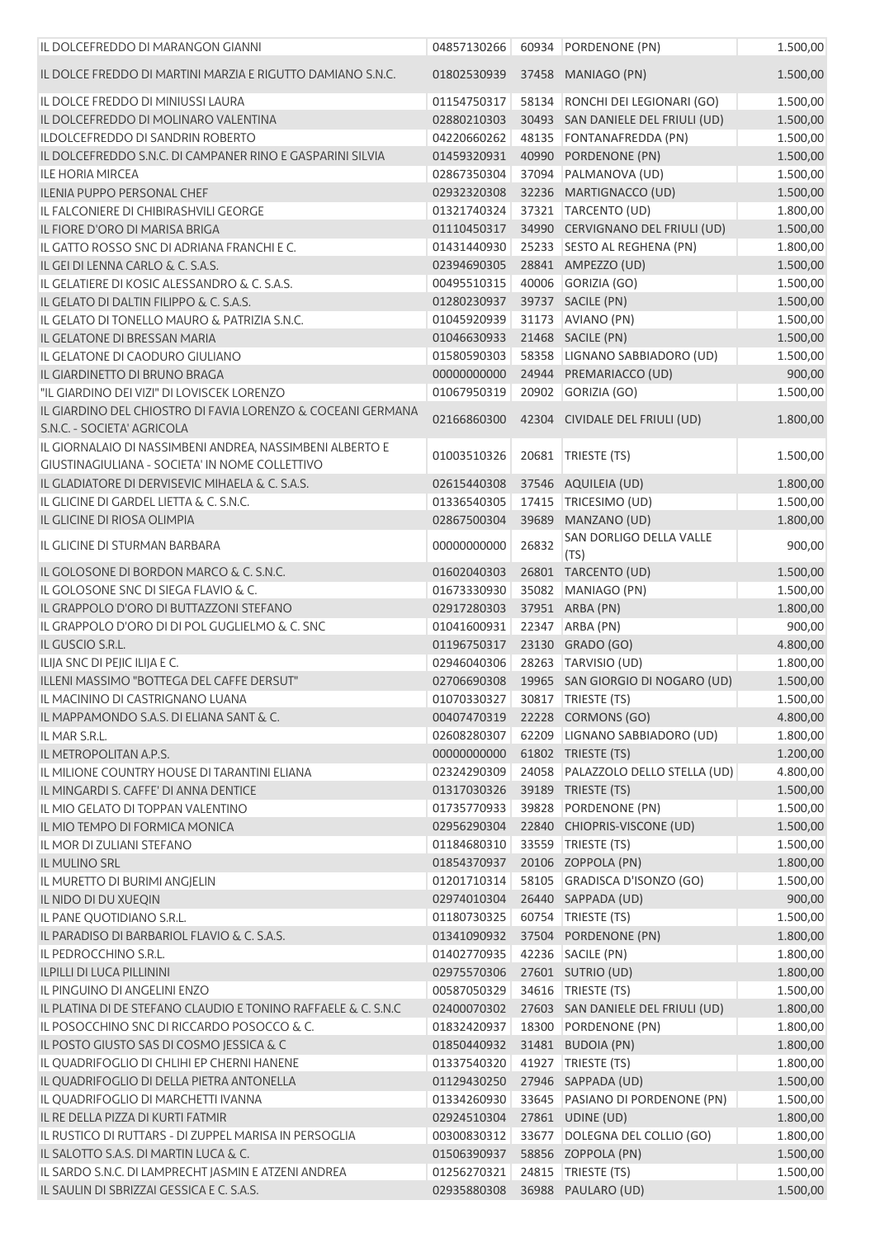| IL DOLCEFREDDO DI MARANGON GIANNI                                                            | 04857130266                |       | 60934 PORDENONE (PN)                         | 1.500,00             |
|----------------------------------------------------------------------------------------------|----------------------------|-------|----------------------------------------------|----------------------|
| IL DOLCE FREDDO DI MARTINI MARZIA E RIGUTTO DAMIANO S.N.C.                                   | 01802530939                |       | 37458 MANIAGO (PN)                           | 1.500,00             |
| IL DOLCE FREDDO DI MINIUSSI LAURA                                                            | 01154750317                |       | 58134 RONCHI DEI LEGIONARI (GO)              | 1.500,00             |
| IL DOLCEFREDDO DI MOLINARO VALENTINA                                                         | 02880210303                |       | 30493 SAN DANIELE DEL FRIULI (UD)            | 1.500,00             |
| ILDOLCEFREDDO DI SANDRIN ROBERTO                                                             | 04220660262                |       | 48135 FONTANAFREDDA (PN)                     | 1.500,00             |
| IL DOLCEFREDDO S.N.C. DI CAMPANER RINO E GASPARINI SILVIA                                    | 01459320931                |       | 40990 PORDENONE (PN)                         | 1.500,00             |
| <b>ILE HORIA MIRCEA</b>                                                                      | 02867350304                |       | 37094 PALMANOVA (UD)                         | 1.500,00             |
| <b>ILENIA PUPPO PERSONAL CHEF</b>                                                            | 02932320308                |       | 32236 MARTIGNACCO (UD)                       | 1.500,00             |
| IL FALCONIERE DI CHIBIRASHVILI GEORGE                                                        | 01321740324                |       | 37321 TARCENTO (UD)                          | 1.800,00             |
| IL FIORE D'ORO DI MARISA BRIGA                                                               | 01110450317                |       | 34990 CERVIGNANO DEL FRIULI (UD)             | 1.500,00             |
| IL GATTO ROSSO SNC DI ADRIANA FRANCHI E C.                                                   | 01431440930                |       | 25233 SESTO AL REGHENA (PN)                  | 1.800,00             |
| IL GEI DI LENNA CARLO & C. S.A.S.                                                            | 02394690305                |       | 28841 AMPEZZO (UD)                           | 1.500,00             |
| IL GELATIERE DI KOSIC ALESSANDRO & C. S.A.S.                                                 | 00495510315                |       | 40006 GORIZIA (GO)                           | 1.500,00             |
| IL GELATO DI DALTIN FILIPPO & C. S.A.S.                                                      | 01280230937                |       | 39737 SACILE (PN)                            | 1.500,00             |
| IL GELATO DI TONELLO MAURO & PATRIZIA S.N.C.                                                 | 01045920939                |       | 31173 AVIANO (PN)                            | 1.500,00             |
| IL GELATONE DI BRESSAN MARIA                                                                 | 01046630933                |       | 21468 SACILE (PN)                            | 1.500,00             |
| IL GELATONE DI CAODURO GIULIANO                                                              | 01580590303                |       | 58358 LIGNANO SABBIADORO (UD)                | 1.500,00             |
| IL GIARDINETTO DI BRUNO BRAGA                                                                | 00000000000                |       | 24944 PREMARIACCO (UD)                       | 900,00               |
| "IL GIARDINO DEI VIZI" DI LOVISCEK LORENZO                                                   | 01067950319                |       | 20902 GORIZIA (GO)                           | 1.500,00             |
| IL GIARDINO DEL CHIOSTRO DI FAVIA LORENZO & COCEANI GERMANA<br>S.N.C. - SOCIETA' AGRICOLA    | 02166860300                |       | 42304 CIVIDALE DEL FRIULI (UD)               | 1.800,00             |
| IL GIORNALAIO DI NASSIMBENI ANDREA, NASSIMBENI ALBERTO E                                     | 01003510326                |       | 20681 TRIESTE (TS)                           | 1.500,00             |
| GIUSTINAGIULIANA - SOCIETA' IN NOME COLLETTIVO                                               |                            |       |                                              |                      |
| IL GLADIATORE DI DERVISEVIC MIHAELA & C. S.A.S.                                              | 02615440308                |       | 37546 AQUILEIA (UD)                          | 1.800,00             |
| IL GLICINE DI GARDEL LIETTA & C. S.N.C.                                                      | 01336540305                |       | 17415 TRICESIMO (UD)                         | 1.500,00             |
| IL GLICINE DI RIOSA OLIMPIA                                                                  | 02867500304                |       | 39689 MANZANO (UD)                           | 1.800,00             |
| IL GLICINE DI STURMAN BARBARA                                                                | 00000000000                | 26832 | SAN DORLIGO DELLA VALLE<br>(TS)              | 900,00               |
| IL GOLOSONE DI BORDON MARCO & C. S.N.C.                                                      | 01602040303                |       | 26801 TARCENTO (UD)                          | 1.500,00             |
| IL GOLOSONE SNC DI SIEGA FLAVIO & C.                                                         | 01673330930                |       | 35082 MANIAGO (PN)                           | 1.500,00             |
| IL GRAPPOLO D'ORO DI BUTTAZZONI STEFANO                                                      | 02917280303                |       | 37951 ARBA (PN)                              | 1.800,00             |
| IL GRAPPOLO D'ORO DI DI POL GUGLIELMO & C. SNC                                               | 01041600931                |       | 22347 ARBA (PN)                              | 900,00               |
| IL GUSCIO S.R.L.                                                                             | 01196750317                |       | 23130 GRADO (GO)                             | 4.800,00             |
| ILIJA SNC DI PEJIC ILIJA E C.                                                                | 02946040306                |       | 28263 TARVISIO (UD)                          | 1.800,00             |
| ILLENI MASSIMO "BOTTEGA DEL CAFFE DERSUT"                                                    |                            |       | 02706690308 19965 SAN GIORGIO DI NOGARO (UD) | 1.500,00             |
| IL MACININO DI CASTRIGNANO LUANA                                                             | 01070330327                |       | 30817   TRIESTE (TS)                         | 1.500,00             |
| IL MAPPAMONDO S.A.S. DI ELIANA SANT & C.                                                     | 00407470319                |       | 22228 CORMONS (GO)                           | 4.800,00             |
| IL MAR S.R.L.                                                                                | 02608280307                |       | 62209 LIGNANO SABBIADORO (UD)                | 1.800,00             |
| IL METROPOLITAN A.P.S.                                                                       | 00000000000                |       | 61802 TRIESTE (TS)                           | 1.200,00             |
| IL MILIONE COUNTRY HOUSE DI TARANTINI ELIANA                                                 | 02324290309                |       | 24058 PALAZZOLO DELLO STELLA (UD)            | 4.800,00             |
| IL MINGARDI S. CAFFE' DI ANNA DENTICE                                                        | 01317030326                |       | 39189 TRIESTE (TS)                           | 1.500,00             |
| IL MIO GELATO DI TOPPAN VALENTINO                                                            | 01735770933                | 39828 | PORDENONE (PN)                               | 1.500,00             |
| IL MIO TEMPO DI FORMICA MONICA                                                               | 02956290304                |       | 22840 CHIOPRIS-VISCONE (UD)                  | 1.500,00             |
| IL MOR DI ZULIANI STEFANO                                                                    | 01184680310                |       | 33559 TRIESTE (TS)                           | 1.500,00             |
| <b>IL MULINO SRL</b>                                                                         | 01854370937                |       | 20106 ZOPPOLA (PN)                           | 1.800,00             |
| IL MURETTO DI BURIMI ANGJELIN                                                                | 01201710314                |       | 58105 GRADISCA D'ISONZO (GO)                 | 1.500,00             |
| IL NIDO DI DU XUEQIN                                                                         | 02974010304                |       | 26440 SAPPADA (UD)                           | 900,00               |
| IL PANE QUOTIDIANO S.R.L.                                                                    | 01180730325                |       | 60754 TRIESTE (TS)                           | 1.500,00             |
| IL PARADISO DI BARBARIOL FLAVIO & C. S.A.S.                                                  | 01341090932                |       | 37504 PORDENONE (PN)                         | 1.800,00             |
| IL PEDROCCHINO S.R.L.                                                                        | 01402770935                |       | 42236 SACILE (PN)                            | 1.800,00             |
| <b>ILPILLI DI LUCA PILLININI</b>                                                             | 02975570306                |       | 27601 SUTRIO (UD)                            | 1.800,00             |
| IL PINGUINO DI ANGELINI ENZO                                                                 | 00587050329                |       | 34616   TRIESTE (TS)                         | 1.500,00             |
| IL PLATINA DI DE STEFANO CLAUDIO E TONINO RAFFAELE & C. S.N.C                                | 02400070302                |       | 27603 SAN DANIELE DEL FRIULI (UD)            | 1.800,00             |
| IL POSOCCHINO SNC DI RICCARDO POSOCCO & C.                                                   | 01832420937<br>01850440932 |       | 18300 PORDENONE (PN)<br>31481 BUDOIA (PN)    | 1.800,00             |
| IL POSTO GIUSTO SAS DI COSMO JESSICA & C                                                     | 01337540320                |       | 41927   TRIESTE (TS)                         | 1.800,00<br>1.800,00 |
| IL QUADRIFOGLIO DI CHLIHI EP CHERNI HANENE                                                   |                            |       |                                              |                      |
| IL QUADRIFOGLIO DI DELLA PIETRA ANTONELLA                                                    | 01129430250                |       | 27946 SAPPADA (UD)                           | 1.500,00             |
| IL QUADRIFOGLIO DI MARCHETTI IVANNA                                                          | 01334260930                |       | 33645 PASIANO DI PORDENONE (PN)              | 1.500,00             |
| IL RE DELLA PIZZA DI KURTI FATMIR<br>IL RUSTICO DI RUTTARS - DI ZUPPEL MARISA IN PERSOGLIA   | 02924510304                |       | 27861 UDINE (UD)                             | 1.800,00             |
|                                                                                              | 00300830312                |       | 33677 DOLEGNA DEL COLLIO (GO)                | 1.800,00             |
| IL SALOTTO S.A.S. DI MARTIN LUCA & C.<br>IL SARDO S.N.C. DI LAMPRECHT JASMIN E ATZENI ANDREA | 01506390937<br>01256270321 |       | 58856 ZOPPOLA (PN)<br>24815 TRIESTE (TS)     | 1.500,00             |
| IL SAULIN DI SBRIZZAI GESSICA E C. S.A.S.                                                    |                            |       | 02935880308 36988 PAULARO (UD)               | 1.500,00<br>1.500,00 |
|                                                                                              |                            |       |                                              |                      |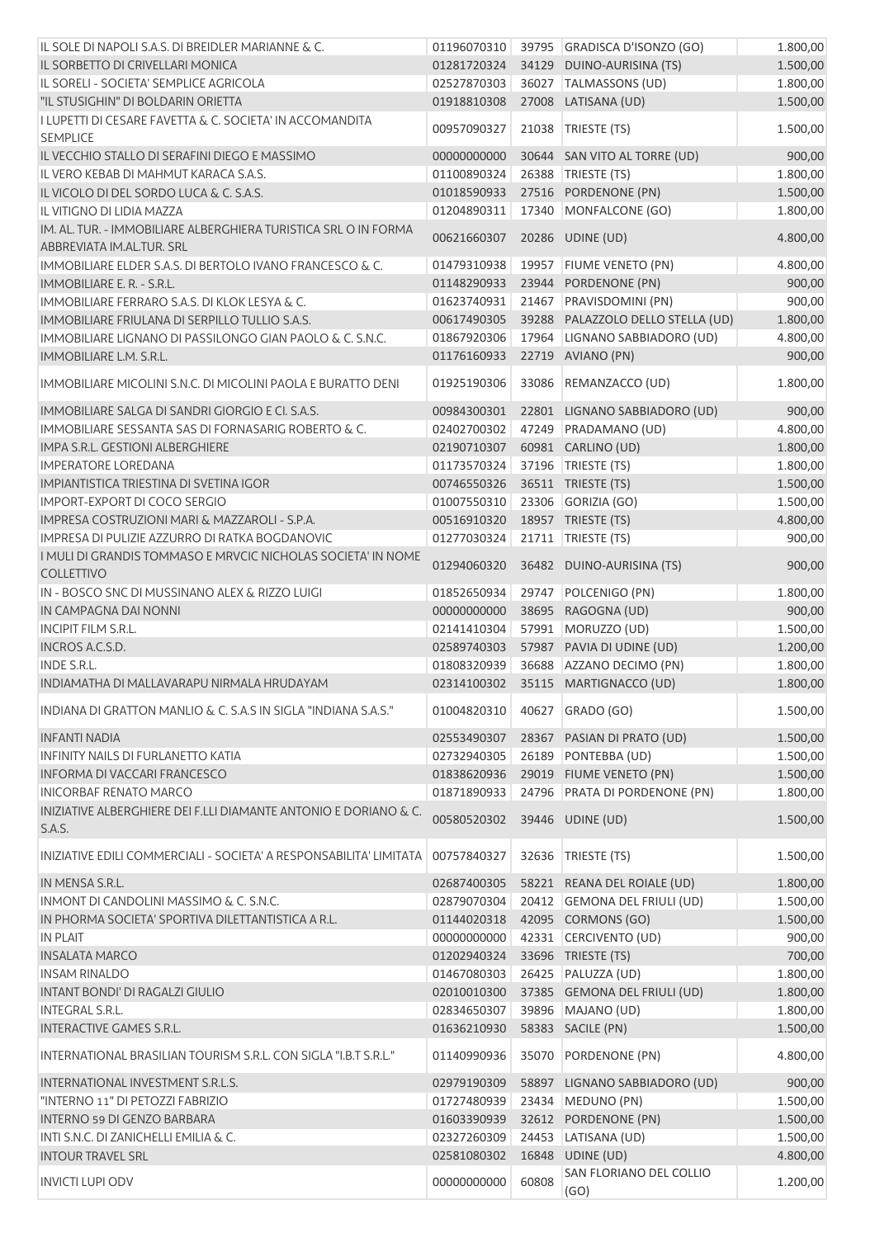| IL SOLE DI NAPOLI S.A.S. DI BREIDLER MARIANNE & C.                                           | 01196070310                |       | 39795 GRADISCA D'ISONZO (GO)        | 1.800,00             |
|----------------------------------------------------------------------------------------------|----------------------------|-------|-------------------------------------|----------------------|
| IL SORBETTO DI CRIVELLARI MONICA                                                             | 01281720324                |       | 34129 DUINO-AURISINA (TS)           | 1.500,00             |
| IL SORELI - SOCIETA' SEMPLICE AGRICOLA                                                       | 02527870303                |       | 36027   TALMASSONS (UD)             | 1.800,00             |
| "IL STUSIGHIN" DI BOLDARIN ORIETTA                                                           | 01918810308                |       | 27008 LATISANA (UD)                 | 1.500,00             |
| I LUPETTI DI CESARE FAVETTA & C. SOCIETA' IN ACCOMANDITA<br><b>SEMPLICE</b>                  | 00957090327                | 21038 | TRIESTE (TS)                        | 1.500,00             |
| IL VECCHIO STALLO DI SERAFINI DIEGO E MASSIMO                                                | 00000000000                |       | 30644 SAN VITO AL TORRE (UD)        | 900,00               |
| IL VERO KEBAB DI MAHMUT KARACA S.A.S.                                                        | 01100890324                |       | 26388 TRIESTE (TS)                  | 1.800,00             |
| IL VICOLO DI DEL SORDO LUCA & C. S.A.S.                                                      | 01018590933                |       | 27516 PORDENONE (PN)                | 1.500,00             |
| IL VITIGNO DI LIDIA MAZZA                                                                    | 01204890311                |       | 17340 MONFALCONE (GO)               | 1.800,00             |
| IM. AL. TUR. - IMMOBILIARE ALBERGHIERA TURISTICA SRL O IN FORMA<br>ABBREVIATA IM.AL.TUR. SRL | 00621660307                |       | 20286 UDINE (UD)                    | 4.800,00             |
| IMMOBILIARE ELDER S.A.S. DI BERTOLO IVANO FRANCESCO & C.                                     | 01479310938                | 19957 | <b>FIUME VENETO (PN)</b>            | 4.800,00             |
| IMMOBILIARE E. R. - S.R.L.                                                                   | 01148290933                |       | 23944 PORDENONE (PN)                | 900,00               |
| <b>IMMOBILIARE FERRARO S.A.S. DI KLOK LESYA &amp; C.</b>                                     | 01623740931                |       | 21467 PRAVISDOMINI (PN)             | 900,00               |
|                                                                                              |                            |       |                                     |                      |
| IMMOBILIARE FRIULANA DI SERPILLO TULLIO S.A.S.                                               | 00617490305                |       | 39288 PALAZZOLO DELLO STELLA (UD)   | 1.800,00             |
| IMMOBILIARE LIGNANO DI PASSILONGO GIAN PAOLO & C. S.N.C.                                     | 01867920306                |       | 17964 LIGNANO SABBIADORO (UD)       | 4.800,00             |
| IMMOBILIARE L.M. S.R.L.                                                                      | 01176160933                |       | 22719 AVIANO (PN)                   | 900,00               |
| IMMOBILIARE MICOLINI S.N.C. DI MICOLINI PAOLA E BURATTO DENI                                 | 01925190306                | 33086 | REMANZACCO (UD)                     | 1.800,00             |
| IMMOBILIARE SALGA DI SANDRI GIORGIO E CI. S.A.S.                                             | 00984300301                |       | 22801 LIGNANO SABBIADORO (UD)       | 900,00               |
| IMMOBILIARE SESSANTA SAS DI FORNASARIG ROBERTO & C.                                          | 02402700302                |       | 47249 PRADAMANO (UD)                | 4.800,00             |
| IMPA S.R.L. GESTIONI ALBERGHIERE                                                             | 02190710307                |       | 60981 CARLINO (UD)                  | 1.800,00             |
| <b>IMPERATORE LOREDANA</b>                                                                   | 01173570324                |       | 37196   TRIESTE (TS)                | 1.800,00             |
| IMPIANTISTICA TRIESTINA DI SVETINA IGOR                                                      | 00746550326                |       | 36511 TRIESTE (TS)                  | 1.500,00             |
| <b>IMPORT-EXPORT DI COCO SERGIO</b>                                                          | 01007550310                |       | 23306 GORIZIA (GO)                  | 1.500,00             |
| IMPRESA COSTRUZIONI MARI & MAZZAROLI - S.P.A.                                                | 00516910320                |       | 18957 TRIESTE (TS)                  | 4.800,00             |
| IMPRESA DI PULIZIE AZZURRO DI RATKA BOGDANOVIC                                               | 01277030324                |       | 21711   TRIESTE (TS)                | 900,00               |
| I MULI DI GRANDIS TOMMASO E MRVCIC NICHOLAS SOCIETA' IN NOME                                 |                            |       |                                     |                      |
| <b>COLLETTIVO</b>                                                                            | 01294060320                |       | 36482 DUINO-AURISINA (TS)           | 900,00               |
| IN - BOSCO SNC DI MUSSINANO ALEX & RIZZO LUIGI                                               | 01852650934                | 29747 | POLCENIGO (PN)                      | 1.800,00             |
| IN CAMPAGNA DAI NONNI                                                                        | 00000000000                |       | 38695 RAGOGNA (UD)                  | 900,00               |
| <b>INCIPIT FILM S.R.L.</b>                                                                   | 02141410304                |       | 57991 MORUZZO (UD)                  | 1.500,00             |
| <b>INCROS A.C.S.D.</b>                                                                       | 02589740303                |       | 57987 PAVIA DI UDINE (UD)           | 1.200,00             |
| <b>INDE S.R.L.</b>                                                                           | 01808320939                |       | 36688 AZZANO DECIMO (PN)            | 1.800,00             |
| INDIAMATHA DI MALLAVARAPU NIRMALA HRUDAYAM                                                   | 02314100302                |       | 35115 MARTIGNACCO (UD)              | 1.800,00             |
| INDIANA DI GRATTON MANLIO & C. S.A.S IN SIGLA "INDIANA S.A.S."                               | 01004820310                |       | 40627 GRADO (GO)                    | 1.500,00             |
| <b>INFANTI NADIA</b>                                                                         | 02553490307                |       | 28367 PASIAN DI PRATO (UD)          | 1.500,00             |
| <b>INFINITY NAILS DI FURLANETTO KATIA</b>                                                    | 02732940305                | 26189 | PONTEBBA (UD)                       | 1.500,00             |
| <b>INFORMA DI VACCARI FRANCESCO</b>                                                          | 01838620936                |       | 29019 FIUME VENETO (PN)             | 1.500,00             |
| <b>INICORBAF RENATO MARCO</b>                                                                | 01871890933                |       | 24796 PRATA DI PORDENONE (PN)       | 1.800,00             |
| INIZIATIVE ALBERGHIERE DEI F.LLI DIAMANTE ANTONIO E DORIANO & C.                             |                            |       |                                     |                      |
| S.A.S.                                                                                       | 00580520302                |       | 39446 UDINE (UD)                    | 1.500,00             |
| INIZIATIVE EDILI COMMERCIALI - SOCIETA' A RESPONSABILITA' LIMITATA                           | 00757840327                | 32636 | TRIESTE (TS)                        | 1.500,00             |
| IN MENSA S.R.L.                                                                              | 02687400305                |       | 58221 REANA DEL ROIALE (UD)         | 1.800,00             |
| INMONT DI CANDOLINI MASSIMO & C. S.N.C.                                                      | 02879070304                |       | 20412 GEMONA DEL FRIULI (UD)        | 1.500,00             |
| IN PHORMA SOCIETA' SPORTIVA DILETTANTISTICA A R.L.                                           | 01144020318                |       | 42095 CORMONS (GO)                  | 1.500,00             |
| <b>IN PLAIT</b>                                                                              | 00000000000                |       | 42331 CERCIVENTO (UD)               | 900,00               |
| <b>INSALATA MARCO</b>                                                                        | 01202940324                |       | 33696 TRIESTE (TS)                  | 700,00               |
| <b>INSAM RINALDO</b>                                                                         | 01467080303                |       | 26425 PALUZZA (UD)                  | 1.800,00             |
| INTANT BONDI' DI RAGALZI GIULIO                                                              | 02010010300                |       | 37385 GEMONA DEL FRIULI (UD)        | 1.800,00             |
| <b>INTEGRAL S.R.L.</b>                                                                       | 02834650307                |       | 39896 MAJANO (UD)                   | 1.800,00             |
|                                                                                              |                            |       |                                     |                      |
| INTERACTIVE GAMES S.R.L.<br>INTERNATIONAL BRASILIAN TOURISM S.R.L. CON SIGLA "I.B.T S.R.L."  | 01636210930<br>01140990936 | 35070 | 58383 SACILE (PN)<br>PORDENONE (PN) | 1.500,00<br>4.800,00 |
|                                                                                              |                            |       |                                     |                      |
| INTERNATIONAL INVESTMENT S.R.L.S.                                                            | 02979190309                |       | 58897 LIGNANO SABBIADORO (UD)       | 900,00               |
| "INTERNO 11" DI PETOZZI FABRIZIO                                                             | 01727480939                |       | 23434 MEDUNO (PN)                   | 1.500,00             |
| INTERNO 59 DI GENZO BARBARA                                                                  | 01603390939                |       | 32612 PORDENONE (PN)                | 1.500,00             |
| INTI S.N.C. DI ZANICHELLI EMILIA & C.                                                        | 02327260309                |       | 24453 LATISANA (UD)                 | 1.500,00             |
| <b>INTOUR TRAVEL SRL</b>                                                                     | 02581080302                | 16848 | UDINE (UD)                          | 4.800,00             |
| <b>INVICTI LUPI ODV</b>                                                                      | 00000000000                | 60808 | SAN FLORIANO DEL COLLIO<br>(GO)     | 1.200,00             |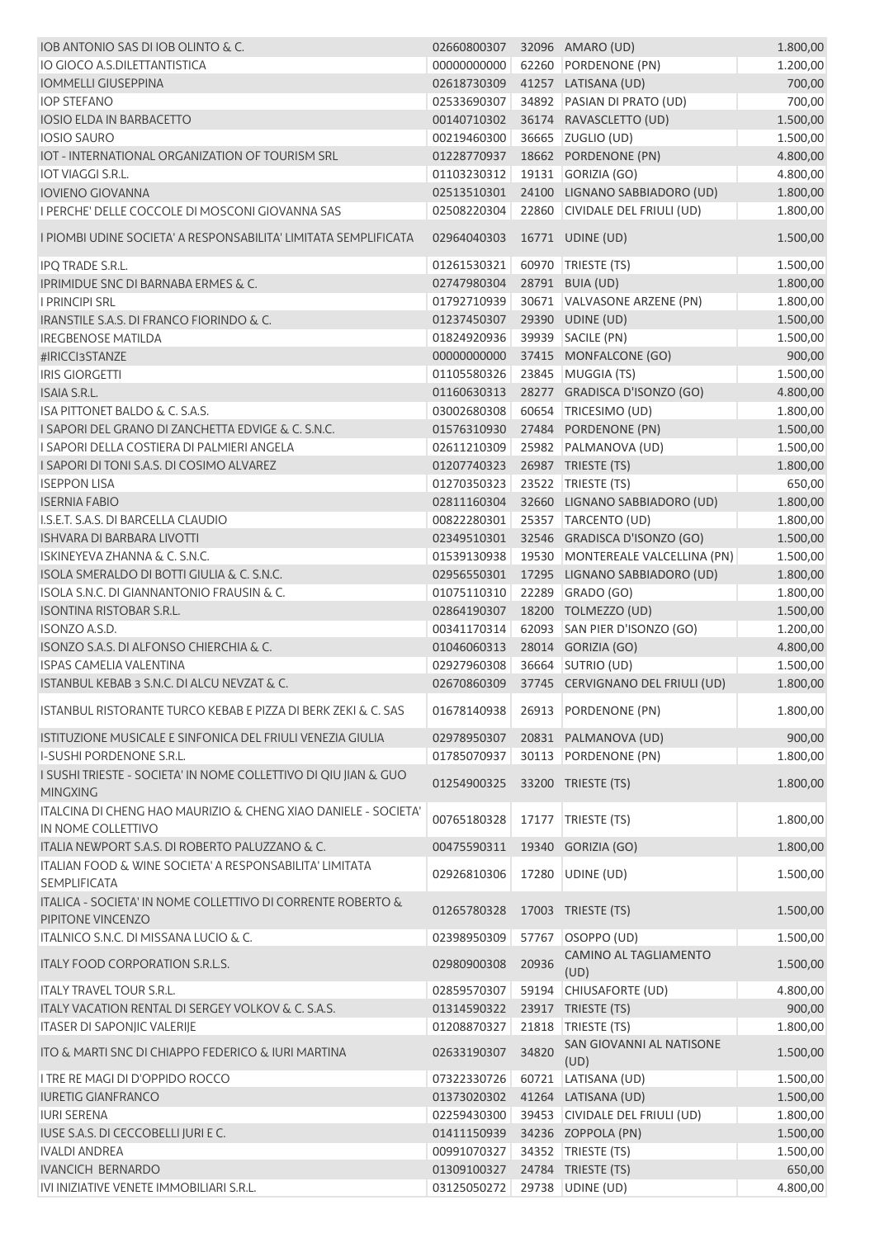| IOB ANTONIO SAS DI IOB OLINTO & C.                                                   | 02660800307 |       | 32096 AMARO (UD)                 | 1.800,00 |
|--------------------------------------------------------------------------------------|-------------|-------|----------------------------------|----------|
| IO GIOCO A.S.DILETTANTISTICA                                                         | 00000000000 |       | 62260 PORDENONE (PN)             | 1.200,00 |
| <b>IOMMELLI GIUSEPPINA</b>                                                           | 02618730309 |       | 41257 LATISANA (UD)              | 700,00   |
| <b>IOP STEFANO</b>                                                                   | 02533690307 |       | 34892 PASIAN DI PRATO (UD)       | 700,00   |
| <b>IOSIO ELDA IN BARBACETTO</b>                                                      | 00140710302 |       | 36174 RAVASCLETTO (UD)           | 1.500,00 |
| <b>IOSIO SAURO</b>                                                                   | 00219460300 |       | 36665 ZUGLIO (UD)                | 1.500,00 |
| IOT - INTERNATIONAL ORGANIZATION OF TOURISM SRL                                      | 01228770937 |       | 18662 PORDENONE (PN)             | 4.800,00 |
| <b>IOT VIAGGI S.R.L.</b>                                                             | 01103230312 |       | 19131 GORIZIA (GO)               | 4.800,00 |
| <b>IOVIENO GIOVANNA</b>                                                              | 02513510301 |       | 24100 LIGNANO SABBIADORO (UD)    | 1.800,00 |
| I PERCHE' DELLE COCCOLE DI MOSCONI GIOVANNA SAS                                      | 02508220304 |       | 22860 CIVIDALE DEL FRIULI (UD)   | 1.800,00 |
| <u>I PIOMBI UDINE SOCIETA' A RESPONSABILITA' LIMITATA SEMPLIFICATA</u>               | 02964040303 |       | 16771 UDINE (UD)                 | 1.500,00 |
| IPQ TRADE S.R.L.                                                                     | 01261530321 |       | 60970   TRIESTE (TS)             | 1.500,00 |
| IPRIMIDUE SNC DI BARNABA ERMES & C.                                                  | 02747980304 |       | 28791 BUIA (UD)                  | 1.800,00 |
| <b>I PRINCIPI SRL</b>                                                                | 01792710939 |       | 30671 VALVASONE ARZENE (PN)      | 1.800,00 |
| IRANSTILE S.A.S. DI FRANCO FIORINDO & C.                                             | 01237450307 |       | 29390 UDINE (UD)                 | 1.500,00 |
| <b>IREGBENOSE MATILDA</b>                                                            | 01824920936 |       | 39939 SACILE (PN)                | 1.500,00 |
| #IRICCI3STANZE                                                                       | 00000000000 |       | 37415 MONFALCONE (GO)            | 900,00   |
| <b>IRIS GIORGETTI</b>                                                                | 01105580326 |       | 23845 MUGGIA (TS)                | 1.500,00 |
| <b>ISAIA S.R.L.</b>                                                                  | 01160630313 |       | 28277 GRADISCA D'ISONZO (GO)     | 4.800,00 |
| ISA PITTONET BALDO & C. S.A.S.                                                       | 03002680308 |       | 60654 TRICESIMO (UD)             | 1.800,00 |
| I SAPORI DEL GRANO DI ZANCHETTA EDVIGE & C. S.N.C.                                   | 01576310930 |       | 27484 PORDENONE (PN)             | 1.500,00 |
| I SAPORI DELLA COSTIERA DI PALMIERI ANGELA                                           | 02611210309 |       | 25982 PALMANOVA (UD)             | 1.500,00 |
| I SAPORI DI TONI S.A.S. DI COSIMO ALVAREZ                                            | 01207740323 |       | 26987 TRIESTE (TS)               | 1.800,00 |
| <b>ISEPPON LISA</b>                                                                  |             |       |                                  |          |
|                                                                                      | 01270350323 |       | 23522 TRIESTE (TS)               | 650,00   |
| <b>ISERNIA FABIO</b>                                                                 | 02811160304 |       | 32660 LIGNANO SABBIADORO (UD)    | 1.800,00 |
| I.S.E.T. S.A.S. DI BARCELLA CLAUDIO                                                  | 00822280301 |       | 25357 TARCENTO (UD)              | 1.800,00 |
| <b>ISHVARA DI BARBARA LIVOTTI</b>                                                    | 02349510301 |       | 32546 GRADISCA D'ISONZO (GO)     | 1.500,00 |
| <b>ISKINEYEVA ZHANNA &amp; C. S.N.C.</b>                                             | 01539130938 |       | 19530 MONTEREALE VALCELLINA (PN) | 1.500,00 |
| ISOLA SMERALDO DI BOTTI GIULIA & C. S.N.C.                                           | 02956550301 |       | 17295 LIGNANO SABBIADORO (UD)    | 1.800,00 |
| ISOLA S.N.C. DI GIANNANTONIO FRAUSIN & C.                                            | 01075110310 |       | 22289 GRADO (GO)                 | 1.800,00 |
| <b>ISONTINA RISTOBAR S.R.L.</b>                                                      | 02864190307 |       | 18200 TOLMEZZO (UD)              | 1.500,00 |
| <b>ISONZO A.S.D.</b>                                                                 | 00341170314 |       | 62093 SAN PIER D'ISONZO (GO)     | 1.200,00 |
| ISONZO S.A.S. DI ALFONSO CHIERCHIA & C.                                              | 01046060313 |       | 28014 GORIZIA (GO)               | 4.800,00 |
| <b>ISPAS CAMELIA VALENTINA</b>                                                       | 02927960308 |       | 36664 SUTRIO (UD)                | 1.500,00 |
| ISTANBUL KEBAB 3 S.N.C. DI ALCU NEVZAT & C.                                          | 02670860309 |       | 37745 CERVIGNANO DEL FRIULI (UD) | 1.800,00 |
| <b>ISTANBUL RISTORANTE TURCO KEBAB E PIZZA DI BERK ZEKI &amp; C. SAS</b>             | 01678140938 |       | 26913 PORDENONE (PN)             | 1.800,00 |
| ISTITUZIONE MUSICALE E SINFONICA DEL FRIULI VENEZIA GIULIA                           | 02978950307 |       | 20831 PALMANOVA (UD)             | 900,00   |
| I-SUSHI PORDENONE S.R.L.                                                             | 01785070937 |       | 30113 PORDENONE (PN)             | 1.800,00 |
| I SUSHI TRIESTE - SOCIETA' IN NOME COLLETTIVO DI QIU JIAN & GUO<br><b>MINGXING</b>   | 01254900325 |       | 33200 TRIESTE (TS)               | 1.800,00 |
| ITALCINA DI CHENG HAO MAURIZIO & CHENG XIAO DANIELE - SOCIETA'<br>IN NOME COLLETTIVO | 00765180328 |       | 17177 TRIESTE (TS)               | 1.800,00 |
| ITALIA NEWPORT S.A.S. DI ROBERTO PALUZZANO & C.                                      | 00475590311 |       | 19340 GORIZIA (GO)               | 1.800,00 |
| ITALIAN FOOD & WINE SOCIETA' A RESPONSABILITA' LIMITATA<br><b>SEMPLIFICATA</b>       | 02926810306 | 17280 | UDINE (UD)                       | 1.500,00 |
| ITALICA - SOCIETA' IN NOME COLLETTIVO DI CORRENTE ROBERTO &<br>PIPITONE VINCENZO     | 01265780328 |       | 17003 TRIESTE (TS)               | 1.500,00 |
| ITALNICO S.N.C. DI MISSANA LUCIO & C.                                                | 02398950309 | 57767 | OSOPPO (UD)                      | 1.500,00 |
| ITALY FOOD CORPORATION S.R.L.S.                                                      | 02980900308 | 20936 | CAMINO AL TAGLIAMENTO<br>(UD)    | 1.500,00 |
| <b>ITALY TRAVEL TOUR S.R.L.</b>                                                      | 02859570307 |       | 59194 CHIUSAFORTE (UD)           | 4.800,00 |
| ITALY VACATION RENTAL DI SERGEY VOLKOV & C. S.A.S.                                   | 01314590322 |       | 23917 TRIESTE (TS)               | 900,00   |
| <b>ITASER DI SAPONJIC VALERIJE</b>                                                   | 01208870327 |       | 21818   TRIESTE (TS)             | 1.800,00 |
| ITO & MARTI SNC DI CHIAPPO FEDERICO & IURI MARTINA                                   | 02633190307 | 34820 | SAN GIOVANNI AL NATISONE<br>(UD) | 1.500,00 |
| I TRE RE MAGI DI D'OPPIDO ROCCO                                                      | 07322330726 |       | 60721 LATISANA (UD)              | 1.500,00 |
| <b>IURETIG GIANFRANCO</b>                                                            | 01373020302 |       | 41264 LATISANA (UD)              | 1.500,00 |
| <b>IURI SERENA</b>                                                                   | 02259430300 |       | 39453 CIVIDALE DEL FRIULI (UD)   | 1.800,00 |
| IUSE S.A.S. DI CECCOBELLI JURI E C.                                                  | 01411150939 |       | 34236 ZOPPOLA (PN)               | 1.500,00 |
| <b>IVALDI ANDREA</b>                                                                 | 00991070327 |       | 34352 TRIESTE (TS)               | 1.500,00 |
|                                                                                      |             |       |                                  |          |
| <b>IVANCICH BERNARDO</b>                                                             | 01309100327 |       | 24784 TRIESTE (TS)               | 650,00   |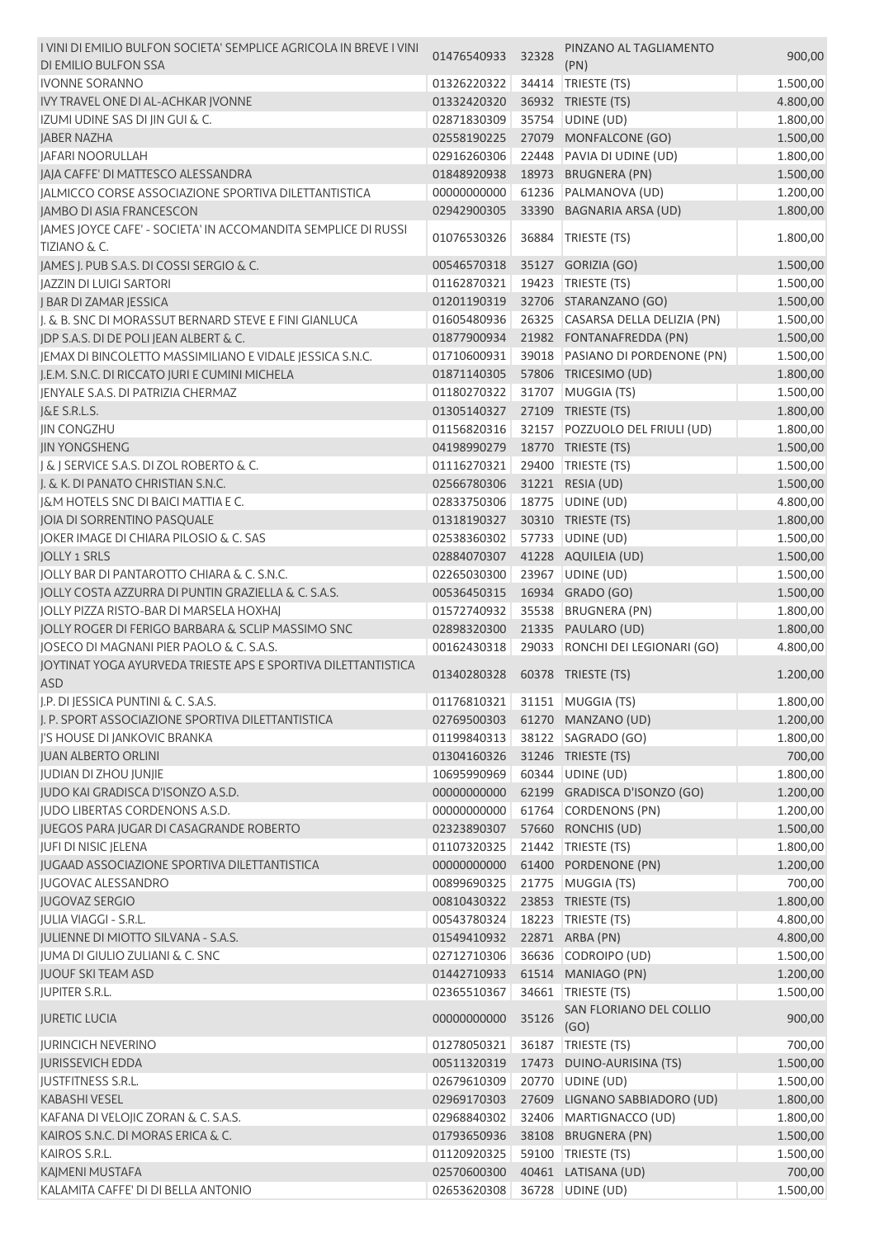| I VINI DI EMILIO BULFON SOCIETA' SEMPLICE AGRICOLA IN BREVE I VINI<br>DI EMILIO BULFON SSA | 01476540933 | 32328 | PINZANO AL TAGLIAMENTO<br>(PN)   | 900,00   |
|--------------------------------------------------------------------------------------------|-------------|-------|----------------------------------|----------|
| <b>IVONNE SORANNO</b>                                                                      | 01326220322 | 34414 | TRIESTE (TS)                     | 1.500,00 |
| IVY TRAVEL ONE DI AL-ACHKAR JVONNE                                                         | 01332420320 |       | 36932 TRIESTE (TS)               | 4.800,00 |
| IZUMI UDINE SAS DI JIN GUI & C.                                                            | 02871830309 |       | 35754 UDINE (UD)                 | 1.800,00 |
| <b>JABER NAZHA</b>                                                                         | 02558190225 |       | 27079 MONFALCONE (GO)            | 1.500,00 |
| <b>JAFARI NOORULLAH</b>                                                                    | 02916260306 |       | 22448 PAVIA DI UDINE (UD)        | 1.800,00 |
| JAJA CAFFE' DI MATTESCO ALESSANDRA                                                         | 01848920938 |       | 18973 BRUGNERA (PN)              | 1.500,00 |
| JALMICCO CORSE ASSOCIAZIONE SPORTIVA DILETTANTISTICA                                       | 00000000000 | 61236 | PALMANOVA (UD)                   | 1.200,00 |
| JAMBO DI ASIA FRANCESCON                                                                   | 02942900305 |       | 33390 BAGNARIA ARSA (UD)         | 1.800,00 |
| JAMES JOYCE CAFE' - SOCIETA' IN ACCOMANDITA SEMPLICE DI RUSSI                              |             |       |                                  |          |
| <b>TIZIANO &amp; C.</b>                                                                    | 01076530326 | 36884 | TRIESTE (TS)                     | 1.800,00 |
| JAMES J. PUB S.A.S. DI COSSI SERGIO & C.                                                   | 00546570318 |       | 35127 GORIZIA (GO)               | 1.500,00 |
| JAZZIN DI LUIGI SARTORI                                                                    | 01162870321 |       | 19423   TRIESTE (TS)             | 1.500,00 |
| J BAR DI ZAMAR JESSICA                                                                     | 01201190319 |       | 32706 STARANZANO (GO)            | 1.500,00 |
| I. & B. SNC DI MORASSUT BERNARD STEVE E FINI GIANLUCA                                      | 01605480936 |       | 26325 CASARSA DELLA DELIZIA (PN) | 1.500,00 |
| JDP S.A.S. DI DE POLI JEAN ALBERT & C.                                                     | 01877900934 |       | 21982 FONTANAFREDDA (PN)         | 1.500,00 |
| JEMAX DI BINCOLETTO MASSIMILIANO E VIDALE JESSICA S.N.C.                                   | 01710600931 |       | 39018 PASIANO DI PORDENONE (PN)  | 1.500,00 |
| J.E.M. S.N.C. DI RICCATO JURI E CUMINI MICHELA                                             | 01871140305 |       | 57806 TRICESIMO (UD)             | 1.800,00 |
| JENYALE S.A.S. DI PATRIZIA CHERMAZ                                                         | 01180270322 |       | 31707 MUGGIA (TS)                | 1.500,00 |
| J&E S.R.L.S.                                                                               | 01305140327 |       | 27109 TRIESTE (TS)               | 1.800,00 |
| <b>JIN CONGZHU</b>                                                                         | 01156820316 |       | 32157 POZZUOLO DEL FRIULI (UD)   | 1.800,00 |
| <b>IIN YONGSHENG</b>                                                                       | 04198990279 |       | 18770 TRIESTE (TS)               | 1.500,00 |
| J & J SERVICE S.A.S. DI ZOL ROBERTO & C.                                                   | 01116270321 |       | 29400 TRIESTE (TS)               | 1.500,00 |
| J. & K. DI PANATO CHRISTIAN S.N.C.                                                         | 02566780306 |       | 31221 RESIA (UD)                 |          |
| J&M HOTELS SNC DI BAICI MATTIA E C.                                                        |             |       |                                  | 1.500,00 |
|                                                                                            | 02833750306 |       | 18775   UDINE (UD)               | 4.800,00 |
| JOIA DI SORRENTINO PASQUALE                                                                | 01318190327 |       | 30310 TRIESTE (TS)               | 1.800,00 |
| JOKER IMAGE DI CHIARA PILOSIO & C. SAS                                                     | 02538360302 | 57733 | UDINE (UD)                       | 1.500,00 |
| <b>JOLLY 1 SRLS</b>                                                                        | 02884070307 |       | 41228 AQUILEIA (UD)              | 1.500,00 |
| JOLLY BAR DI PANTAROTTO CHIARA & C. S.N.C.                                                 | 02265030300 |       | 23967 UDINE (UD)                 | 1.500,00 |
| JOLLY COSTA AZZURRA DI PUNTIN GRAZIELLA & C. S.A.S.                                        | 00536450315 |       | 16934 GRADO (GO)                 | 1.500,00 |
| JOLLY PIZZA RISTO-BAR DI MARSELA HOXHAJ                                                    | 01572740932 |       | 35538 BRUGNERA (PN)              | 1.800,00 |
| JOLLY ROGER DI FERIGO BARBARA & SCLIP MASSIMO SNC                                          | 02898320300 |       | 21335 PAULARO (UD)               | 1.800,00 |
| JOSECO DI MAGNANI PIER PAOLO & C. S.A.S.                                                   | 00162430318 |       | 29033 RONCHI DEI LEGIONARI (GO)  | 4.800,00 |
| JOYTINAT YOGA AYURVEDA TRIESTE APS E SPORTIVA DILETTANTISTICA                              | 01340280328 |       | 60378 TRIESTE (TS)               | 1.200,00 |
| <b>ASD</b>                                                                                 |             |       |                                  |          |
| J.P. DI JESSICA PUNTINI & C. S.A.S.                                                        | 01176810321 |       | 31151   MUGGIA (TS)              | 1.800,00 |
| I. P. SPORT ASSOCIAZIONE SPORTIVA DILETTANTISTICA                                          | 02769500303 |       | 61270 MANZANO (UD)               | 1.200,00 |
| J'S HOUSE DI JANKOVIC BRANKA                                                               | 01199840313 |       | 38122   SAGRADO (GO)             | 1.800,00 |
| <b>JUAN ALBERTO ORLINI</b>                                                                 | 01304160326 |       | 31246 TRIESTE (TS)               | 700,00   |
| JUDIAN DI ZHOU JUNJIE                                                                      | 10695990969 |       | 60344 UDINE (UD)                 | 1.800,00 |
| JUDO KAI GRADISCA D'ISONZO A.S.D.                                                          | 00000000000 |       | 62199 GRADISCA D'ISONZO (GO)     | 1.200,00 |
| JUDO LIBERTAS CORDENONS A.S.D.                                                             | 00000000000 | 61764 | <b>CORDENONS (PN)</b>            | 1.200,00 |
| JUEGOS PARA JUGAR DI CASAGRANDE ROBERTO                                                    | 02323890307 |       | 57660 RONCHIS (UD)               | 1.500,00 |
| <b>JUFI DI NISIC JELENA</b>                                                                | 01107320325 |       | 21442 TRIESTE (TS)               | 1.800,00 |
| <b>JUGAAD ASSOCIAZIONE SPORTIVA DILETTANTISTICA</b>                                        | 00000000000 |       | 61400 PORDENONE (PN)             | 1.200,00 |
| <b>JUGOVAC ALESSANDRO</b>                                                                  | 00899690325 |       | 21775 MUGGIA (TS)                | 700,00   |
| <b>JUGOVAZ SERGIO</b>                                                                      | 00810430322 |       | 23853 TRIESTE (TS)               | 1.800,00 |
| JULIA VIAGGI - S.R.L.                                                                      | 00543780324 |       | 18223   TRIESTE (TS)             | 4.800,00 |
| JULIENNE DI MIOTTO SILVANA - S.A.S.                                                        | 01549410932 |       | 22871 ARBA (PN)                  | 4.800,00 |
| JUMA DI GIULIO ZULIANI & C. SNC                                                            | 02712710306 |       | 36636 CODROIPO (UD)              | 1.500,00 |
| <b>JUOUF SKI TEAM ASD</b>                                                                  | 01442710933 |       | 61514 MANIAGO (PN)               | 1.200,00 |
| <b>JUPITER S.R.L.</b>                                                                      | 02365510367 | 34661 | TRIESTE (TS)                     | 1.500,00 |
| <b>JURETIC LUCIA</b>                                                                       | 00000000000 | 35126 | SAN FLORIANO DEL COLLIO<br>(GO)  | 900,00   |
| <b>JURINCICH NEVERINO</b>                                                                  | 01278050321 |       | 36187   TRIESTE (TS)             | 700,00   |
| <b>JURISSEVICH EDDA</b>                                                                    | 00511320319 |       | 17473 DUINO-AURISINA (TS)        | 1.500,00 |
| JUSTFITNESS S.R.L.                                                                         | 02679610309 |       | 20770   UDINE (UD)               | 1.500,00 |
| <b>KABASHI VESEL</b>                                                                       | 02969170303 |       | 27609 LIGNANO SABBIADORO (UD)    | 1.800,00 |
| KAFANA DI VELOJIC ZORAN & C. S.A.S.                                                        | 02968840302 |       | 32406 MARTIGNACCO (UD)           | 1.800,00 |
| KAIROS S.N.C. DI MORAS ERICA & C.                                                          | 01793650936 |       | 38108 BRUGNERA (PN)              | 1.500,00 |
| KAIROS S.R.L.                                                                              | 01120920325 |       | 59100 TRIESTE (TS)               | 1.500,00 |
| KAJMENI MUSTAFA                                                                            | 02570600300 |       | 40461 LATISANA (UD)              | 700,00   |
|                                                                                            |             |       | 36728 UDINE (UD)                 | 1.500,00 |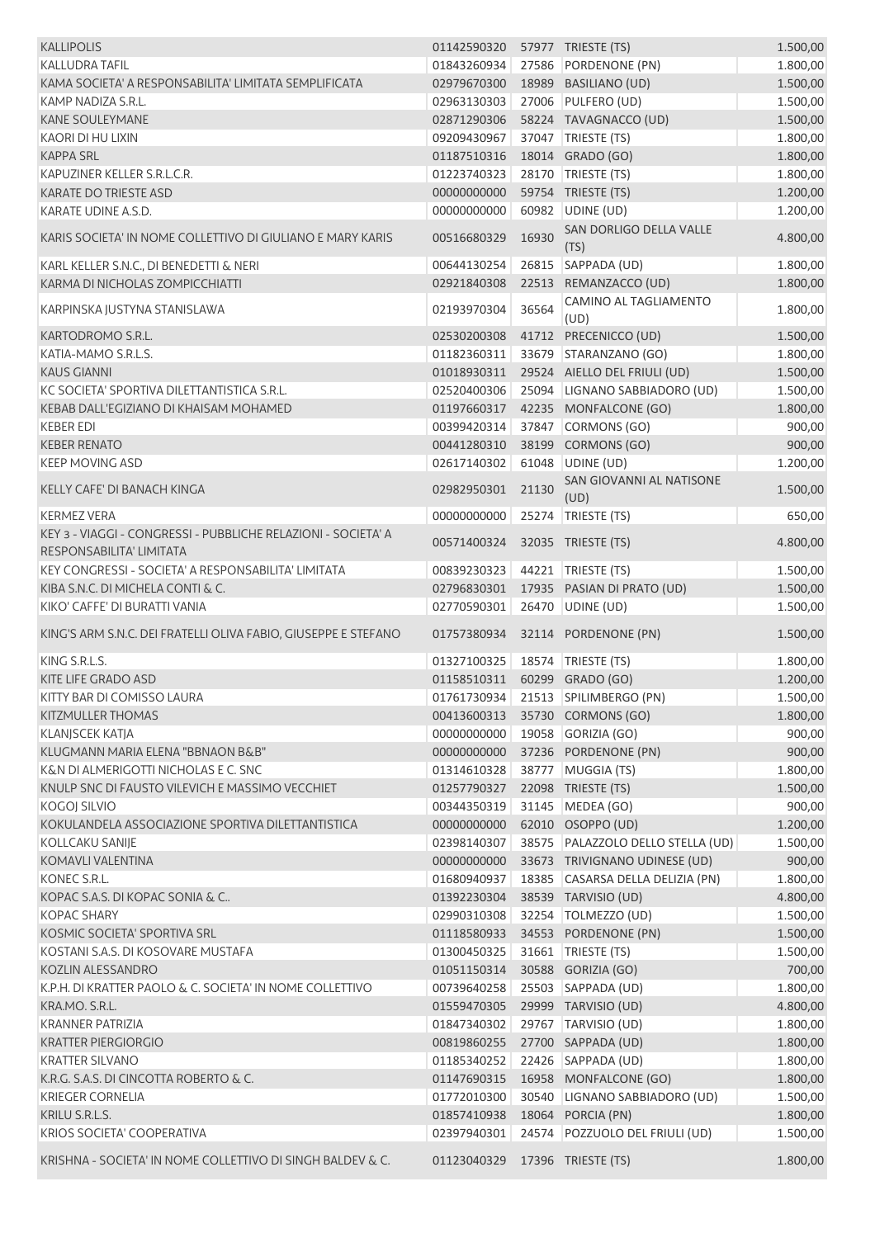| <b>KALLIPOLIS</b>                                                                         | 01142590320                  |       | 57977 TRIESTE (TS)                     | 1.500,00 |
|-------------------------------------------------------------------------------------------|------------------------------|-------|----------------------------------------|----------|
| <b>KALLUDRA TAFIL</b>                                                                     | 01843260934                  |       | 27586 PORDENONE (PN)                   | 1.800,00 |
| KAMA SOCIETA' A RESPONSABILITA' LIMITATA SEMPLIFICATA                                     | 02979670300                  |       | 18989 BASILIANO (UD)                   | 1.500,00 |
| KAMP NADIZA S.R.L.                                                                        | 02963130303                  |       | 27006 PULFERO (UD)                     | 1.500,00 |
| <b>KANE SOULEYMANE</b>                                                                    | 02871290306                  |       | 58224 TAVAGNACCO (UD)                  | 1.500,00 |
| <b>KAORI DI HU LIXIN</b>                                                                  | 09209430967                  |       | 37047 TRIESTE (TS)                     | 1.800,00 |
| <b>KAPPA SRL</b>                                                                          | 01187510316                  |       | 18014 GRADO (GO)                       | 1.800,00 |
| KAPUZINER KELLER S.R.L.C.R.                                                               | 01223740323                  |       | 28170 TRIESTE (TS)                     | 1.800,00 |
| <b>KARATE DO TRIESTE ASD</b>                                                              | 00000000000                  |       | 59754 TRIESTE (TS)                     | 1.200,00 |
| KARATE UDINE A.S.D.                                                                       | 00000000000                  |       | 60982 UDINE (UD)                       | 1.200,00 |
| KARIS SOCIETA' IN NOME COLLETTIVO DI GIULIANO E MARY KARIS                                | 00516680329                  | 16930 | <b>SAN DORLIGO DELLA VALLE</b><br>(TS) | 4.800,00 |
| KARL KELLER S.N.C., DI BENEDETTI & NERI                                                   | 00644130254                  |       | 26815 SAPPADA (UD)                     | 1.800,00 |
| KARMA DI NICHOLAS ZOMPICCHIATTI                                                           | 02921840308                  |       | 22513 REMANZACCO (UD)                  | 1.800,00 |
| KARPINSKA JUSTYNA STANISLAWA                                                              | 02193970304                  | 36564 | CAMINO AL TAGLIAMENTO                  | 1.800,00 |
|                                                                                           |                              |       | (UD)                                   |          |
| KARTODROMO S.R.L.                                                                         | 02530200308                  |       | 41712 PRECENICCO (UD)                  | 1.500,00 |
| KATIA-MAMO S.R.L.S.                                                                       | 01182360311                  |       | 33679 STARANZANO (GO)                  | 1.800,00 |
| <b>KAUS GIANNI</b>                                                                        | 01018930311                  |       | 29524 AIELLO DEL FRIULI (UD)           | 1.500,00 |
| KC SOCIETA' SPORTIVA DILETTANTISTICA S.R.L.                                               | 02520400306                  |       | 25094 LIGNANO SABBIADORO (UD)          | 1.500,00 |
| KEBAB DALL'EGIZIANO DI KHAISAM MOHAMED                                                    | 01197660317                  |       | 42235 MONFALCONE (GO)                  | 1.800,00 |
| <b>KEBER EDI</b>                                                                          | 00399420314                  |       | 37847 CORMONS (GO)                     | 900,00   |
| <b>KEBER RENATO</b>                                                                       | 00441280310                  | 38199 | CORMONS (GO)                           | 900,00   |
| <b>KEEP MOVING ASD</b>                                                                    | 02617140302                  |       | 61048 UDINE (UD)                       | 1.200,00 |
| KELLY CAFE' DI BANACH KINGA                                                               | 02982950301                  | 21130 | SAN GIOVANNI AL NATISONE<br>(UD)       | 1.500,00 |
| <b>KERMEZ VERA</b>                                                                        | 00000000000                  |       | 25274 TRIESTE (TS)                     | 650,00   |
| KEY 3 - VIAGGI - CONGRESSI - PUBBLICHE RELAZIONI - SOCIETA' A<br>RESPONSABILITA' LIMITATA | 00571400324                  |       | 32035 TRIESTE (TS)                     | 4.800,00 |
| KEY CONGRESSI - SOCIETA' A RESPONSABILITA' LIMITATA                                       | 00839230323                  |       | 44221   TRIESTE (TS)                   | 1.500,00 |
| KIBA S.N.C. DI MICHELA CONTI & C.                                                         | 02796830301                  |       | 17935 PASIAN DI PRATO (UD)             | 1.500,00 |
| KIKO' CAFFE' DI BURATTI VANIA                                                             | 02770590301                  |       | 26470 UDINE (UD)                       | 1.500,00 |
| KING'S ARM S.N.C. DEI FRATELLI OLIVA FABIO, GIUSEPPE E STEFANO                            | 01757380934                  |       | 32114 PORDENONE (PN)                   | 1.500,00 |
| KING S.R.L.S.                                                                             | 01327100325                  |       | 18574 TRIESTE (TS)                     | 1.800,00 |
| <b>KITE LIFE GRADO ASD</b>                                                                | 01158510311 60299 GRADO (GO) |       |                                        | 1.200,00 |
| KITTY BAR DI COMISSO LAURA                                                                |                              |       | 01761730934 21513 SPILIMBERGO (PN)     | 1.500,00 |
| <b>KITZMULLER THOMAS</b>                                                                  |                              |       | 00413600313 35730 CORMONS (GO)         | 1.800,00 |
| KLANJSCEK KATJA                                                                           | 00000000000                  |       | 19058 GORIZIA (GO)                     | 900,00   |
| KLUGMANN MARIA ELENA "BBNAON B&B"                                                         | 00000000000                  |       | 37236 PORDENONE (PN)                   | 900,00   |
| K&N DI ALMERIGOTTI NICHOLAS E C. SNC                                                      | 01314610328                  |       | 38777 MUGGIA (TS)                      | 1.800,00 |
| KNULP SNC DI FAUSTO VILEVICH E MASSIMO VECCHIET                                           | 01257790327                  |       | 22098 TRIESTE (TS)                     | 1.500,00 |
| KOGOJ SILVIO                                                                              | 00344350319                  |       | 31145 MEDEA (GO)                       | 900,00   |
| KOKULANDELA ASSOCIAZIONE SPORTIVA DILETTANTISTICA                                         | 00000000000                  |       | 62010 OSOPPO (UD)                      | 1.200,00 |
| KOLLCAKU SANIJE                                                                           | 02398140307                  |       | 38575 PALAZZOLO DELLO STELLA (UD)      | 1.500,00 |
| KOMAVLI VALENTINA                                                                         | 00000000000                  |       | 33673 TRIVIGNANO UDINESE (UD)          | 900,00   |
| KONEC S.R.L.                                                                              | 01680940937                  |       | 18385 CASARSA DELLA DELIZIA (PN)       | 1.800,00 |
| KOPAC S.A.S. DI KOPAC SONIA & C                                                           |                              |       |                                        |          |
| <b>KOPAC SHARY</b>                                                                        | 01392230304                  |       | 38539 TARVISIO (UD)                    | 4.800,00 |
|                                                                                           | 02990310308                  |       | 32254   TOLMEZZO (UD)                  | 1.500,00 |
| KOSMIC SOCIETA' SPORTIVA SRL                                                              | 01118580933                  |       | 34553 PORDENONE (PN)                   | 1.500,00 |
| KOSTANI S.A.S. DI KOSOVARE MUSTAFA                                                        | 01300450325                  |       | 31661   TRIESTE (TS)                   | 1.500,00 |
| KOZLIN ALESSANDRO                                                                         | 01051150314                  |       | 30588 GORIZIA (GO)                     | 700,00   |
| K.P.H. DI KRATTER PAOLO & C. SOCIETA' IN NOME COLLETTIVO                                  | 00739640258                  |       | 25503 SAPPADA (UD)                     | 1.800,00 |
| KRA.MO. S.R.L.                                                                            | 01559470305                  |       | 29999 TARVISIO (UD)                    | 4.800,00 |
| <b>KRANNER PATRIZIA</b>                                                                   | 01847340302                  |       | 29767 TARVISIO (UD)                    | 1.800,00 |
| <b>KRATTER PIERGIORGIO</b>                                                                | 00819860255                  |       | 27700 SAPPADA (UD)                     | 1.800,00 |
| <b>KRATTER SILVANO</b>                                                                    | 01185340252                  |       | 22426 SAPPADA (UD)                     | 1.800,00 |
| K.R.G. S.A.S. DI CINCOTTA ROBERTO & C.                                                    | 01147690315                  |       | 16958 MONFALCONE (GO)                  | 1.800,00 |
| <b>KRIEGER CORNELIA</b>                                                                   | 01772010300                  |       | 30540 LIGNANO SABBIADORO (UD)          | 1.500,00 |
| KRILU S.R.L.S.                                                                            | 01857410938                  |       | 18064 PORCIA (PN)                      | 1.800,00 |
| KRIOS SOCIETA' COOPERATIVA                                                                | 02397940301                  |       | 24574 POZZUOLO DEL FRIULI (UD)         | 1.500,00 |
| KRISHNA - SOCIETA' IN NOME COLLETTIVO DI SINGH BALDEV & C.                                | 01123040329                  |       | 17396 TRIESTE (TS)                     | 1.800,00 |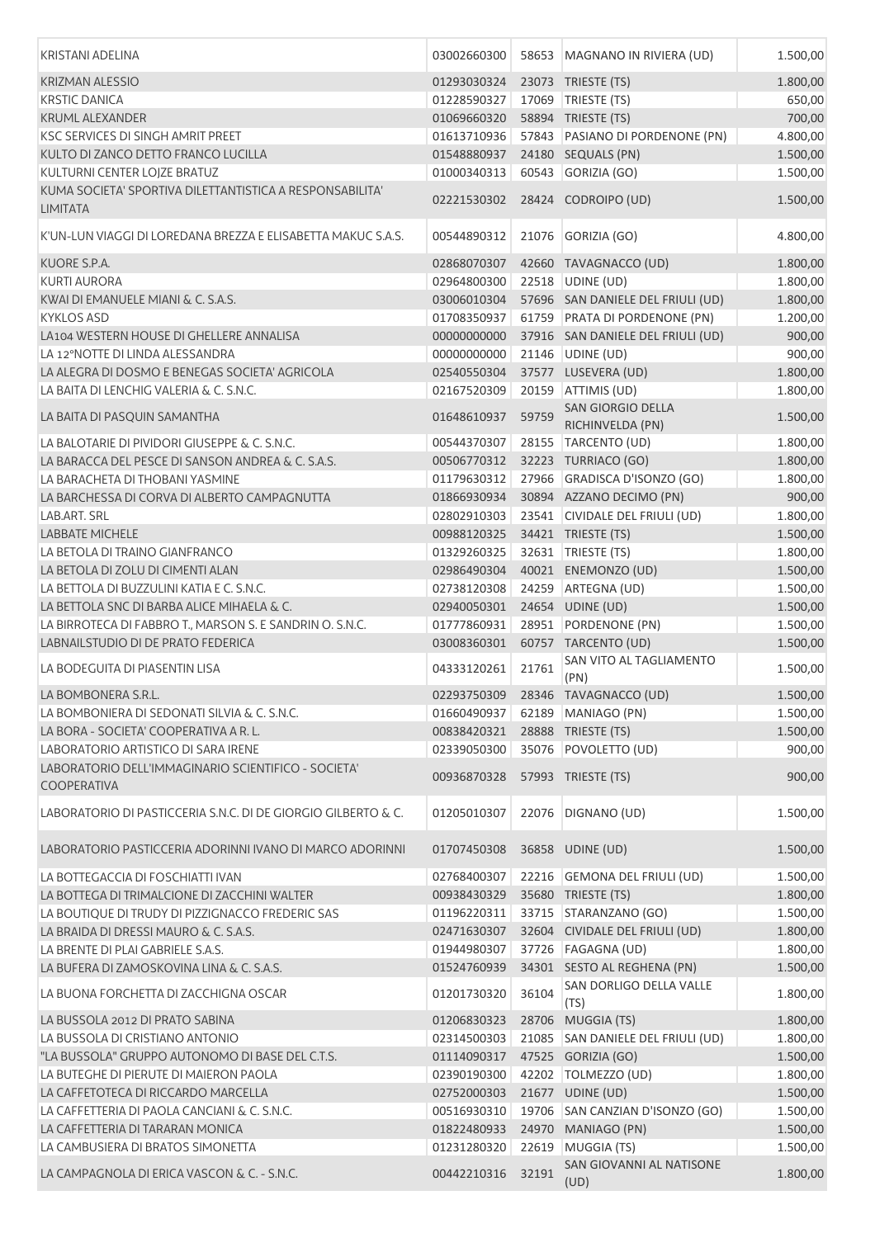| <b>KRISTANI ADELINA</b>                                                     | 03002660300 |       | 58653 MAGNANO IN RIVIERA (UD)                          | 1.500,00 |
|-----------------------------------------------------------------------------|-------------|-------|--------------------------------------------------------|----------|
| <b>KRIZMAN ALESSIO</b>                                                      | 01293030324 |       | 23073 TRIESTE (TS)                                     | 1.800,00 |
| <b>KRSTIC DANICA</b>                                                        | 01228590327 |       | 17069 TRIESTE (TS)                                     | 650,00   |
| <b>KRUML ALEXANDER</b>                                                      | 01069660320 |       | 58894 TRIESTE (TS)                                     | 700,00   |
| <b>KSC SERVICES DI SINGH AMRIT PREET</b>                                    | 01613710936 |       | 57843 PASIANO DI PORDENONE (PN)                        | 4.800,00 |
| KULTO DI ZANCO DETTO FRANCO LUCILLA                                         | 01548880937 |       | 24180 SEQUALS (PN)                                     | 1.500,00 |
| KULTURNI CENTER LOJZE BRATUZ                                                | 01000340313 |       | 60543 GORIZIA (GO)                                     | 1.500,00 |
| KUMA SOCIETA' SPORTIVA DILETTANTISTICA A RESPONSABILITA'<br><b>LIMITATA</b> | 02221530302 |       | 28424 CODROIPO (UD)                                    | 1.500,00 |
| K'UN-LUN VIAGGI DI LOREDANA BREZZA E ELISABETTA MAKUC S.A.S.                | 00544890312 | 21076 | GORIZIA (GO)                                           | 4.800,00 |
| KUORE S.P.A.                                                                | 02868070307 |       | 42660 TAVAGNACCO (UD)                                  | 1.800,00 |
| <b>KURTI AURORA</b>                                                         | 02964800300 |       | 22518 UDINE (UD)                                       | 1.800,00 |
| KWAI DI EMANUELE MIANI & C. S.A.S.                                          | 03006010304 |       | 57696 SAN DANIELE DEL FRIULI (UD)                      | 1.800,00 |
| <b>KYKLOS ASD</b>                                                           | 01708350937 |       | 61759 PRATA DI PORDENONE (PN)                          | 1.200,00 |
| LA104 WESTERN HOUSE DI GHELLERE ANNALISA                                    | 00000000000 |       | 37916 SAN DANIELE DEL FRIULI (UD)                      | 900,00   |
| LA 12°NOTTE DI LINDA ALESSANDRA                                             | 00000000000 |       | 21146 UDINE (UD)                                       | 900,00   |
| LA ALEGRA DI DOSMO E BENEGAS SOCIETA' AGRICOLA                              | 02540550304 |       | 37577 LUSEVERA (UD)                                    | 1.800,00 |
| LA BAITA DI LENCHIG VALERIA & C. S.N.C.                                     | 02167520309 |       | 20159 ATTIMIS (UD)                                     | 1.800,00 |
| LA BAITA DI PASQUIN SAMANTHA                                                | 01648610937 | 59759 | <b>SAN GIORGIO DELLA</b><br>RICHINVELDA (PN)           | 1.500,00 |
| LA BALOTARIE DI PIVIDORI GIUSEPPE & C. S.N.C.                               | 00544370307 |       | 28155 TARCENTO (UD)                                    | 1.800,00 |
| LA BARACCA DEL PESCE DI SANSON ANDREA & C. S.A.S.                           | 00506770312 |       | 32223 TURRIACO (GO)                                    | 1.800,00 |
| LA BARACHETA DI THOBANI YASMINE                                             | 01179630312 |       | 27966 GRADISCA D'ISONZO (GO)                           | 1.800,00 |
| LA BARCHESSA DI CORVA DI ALBERTO CAMPAGNUTTA                                | 01866930934 |       | 30894 AZZANO DECIMO (PN)                               | 900,00   |
| LAB.ART. SRL                                                                | 02802910303 |       | 23541 CIVIDALE DEL FRIULI (UD)                         | 1.800,00 |
| <b>LABBATE MICHELE</b>                                                      | 00988120325 |       | 34421 TRIESTE (TS)                                     | 1.500,00 |
| LA BETOLA DI TRAINO GIANFRANCO                                              | 01329260325 |       | 32631   TRIESTE (TS)                                   | 1.800,00 |
| LA BETOLA DI ZOLU DI CIMENTI ALAN                                           | 02986490304 |       | 40021 ENEMONZO (UD)                                    | 1.500,00 |
| LA BETTOLA DI BUZZULINI KATIA E C. S.N.C.                                   | 02738120308 |       | 24259 ARTEGNA (UD)                                     | 1.500,00 |
| LA BETTOLA SNC DI BARBA ALICE MIHAELA & C.                                  | 02940050301 |       | 24654 UDINE (UD)                                       | 1.500,00 |
| LA BIRROTECA DI FABBRO T., MARSON S. E SANDRIN O. S.N.C.                    | 01777860931 |       | 28951 PORDENONE (PN)                                   | 1.500,00 |
| LABNAILSTUDIO DI DE PRATO FEDERICA                                          | 03008360301 |       | 60757 TARCENTO (UD)                                    | 1.500,00 |
| LA BODEGUITA DI PIASENTIN LISA                                              | 04333120261 | 21761 | SAN VITO AL TAGLIAMENTO<br>(PN)                        | 1.500,00 |
| LA BOMBONERA S.R.L.                                                         |             |       | 02293750309 28346 TAVAGNACCO (UD)                      | 1.500,00 |
| LA BOMBONIERA DI SEDONATI SILVIA & C. S.N.C.                                | 01660490937 |       | 62189 MANIAGO (PN)                                     | 1.500,00 |
| LA BORA - SOCIETA' COOPERATIVA A R. L.                                      | 00838420321 |       | 28888 TRIESTE (TS)                                     | 1.500,00 |
| LABORATORIO ARTISTICO DI SARA IRENE                                         | 02339050300 |       | 35076 POVOLETTO (UD)                                   | 900,00   |
| LABORATORIO DELL'IMMAGINARIO SCIENTIFICO - SOCIETA'<br><b>COOPERATIVA</b>   | 00936870328 |       | 57993 TRIESTE (TS)                                     | 900,00   |
| LABORATORIO DI PASTICCERIA S.N.C. DI DE GIORGIO GILBERTO & C.               | 01205010307 | 22076 | DIGNANO (UD)                                           | 1.500,00 |
| LABORATORIO PASTICCERIA ADORINNI IVANO DI MARCO ADORINNI                    | 01707450308 |       | 36858 UDINE (UD)                                       | 1.500,00 |
| LA BOTTEGACCIA DI FOSCHIATTI IVAN                                           | 02768400307 |       | 22216 GEMONA DEL FRIULI (UD)                           | 1.500,00 |
| LA BOTTEGA DI TRIMALCIONE DI ZACCHINI WALTER                                | 00938430329 |       | 35680 TRIESTE (TS)                                     | 1.800,00 |
| LA BOUTIQUE DI TRUDY DI PIZZIGNACCO FREDERIC SAS                            | 01196220311 |       | 33715 STARANZANO (GO)                                  | 1.500,00 |
| LA BRAIDA DI DRESSI MAURO & C. S.A.S.                                       | 02471630307 |       | 32604 CIVIDALE DEL FRIULI (UD)                         | 1.800,00 |
| LA BRENTE DI PLAI GABRIELE S.A.S.                                           | 01944980307 |       | 37726   FAGAGNA (UD)                                   | 1.800,00 |
| LA BUFERA DI ZAMOSKOVINA LINA & C. S.A.S.                                   | 01524760939 |       | 34301 SESTO AL REGHENA (PN)                            | 1.500,00 |
| LA BUONA FORCHETTA DI ZACCHIGNA OSCAR                                       | 01201730320 | 36104 | SAN DORLIGO DELLA VALLE                                | 1.800,00 |
| LA BUSSOLA 2012 DI PRATO SABINA                                             | 01206830323 |       | (TS)                                                   | 1.800,00 |
| LA BUSSOLA DI CRISTIANO ANTONIO                                             | 02314500303 |       | 28706 MUGGIA (TS)<br>21085 SAN DANIELE DEL FRIULI (UD) | 1.800,00 |
| "LA BUSSOLA" GRUPPO AUTONOMO DI BASE DEL C.T.S.                             | 01114090317 |       | 47525 GORIZIA (GO)                                     | 1.500,00 |
| LA BUTEGHE DI PIERUTE DI MAIERON PAOLA                                      | 02390190300 |       | 42202 TOLMEZZO (UD)                                    | 1.800,00 |
| LA CAFFETOTECA DI RICCARDO MARCELLA                                         | 02752000303 |       | 21677 UDINE (UD)                                       | 1.500,00 |
| LA CAFFETTERIA DI PAOLA CANCIANI & C. S.N.C.                                | 00516930310 |       | 19706 SAN CANZIAN D'ISONZO (GO)                        | 1.500,00 |
| LA CAFFETTERIA DI TARARAN MONICA                                            | 01822480933 |       | 24970 MANIAGO (PN)                                     | 1.500,00 |
| LA CAMBUSIERA DI BRATOS SIMONETTA                                           | 01231280320 |       | 22619 MUGGIA (TS)                                      | 1.500,00 |
| LA CAMPAGNOLA DI ERICA VASCON & C. - S.N.C.                                 | 00442210316 | 32191 | SAN GIOVANNI AL NATISONE                               | 1.800,00 |
|                                                                             |             |       | (UD)                                                   |          |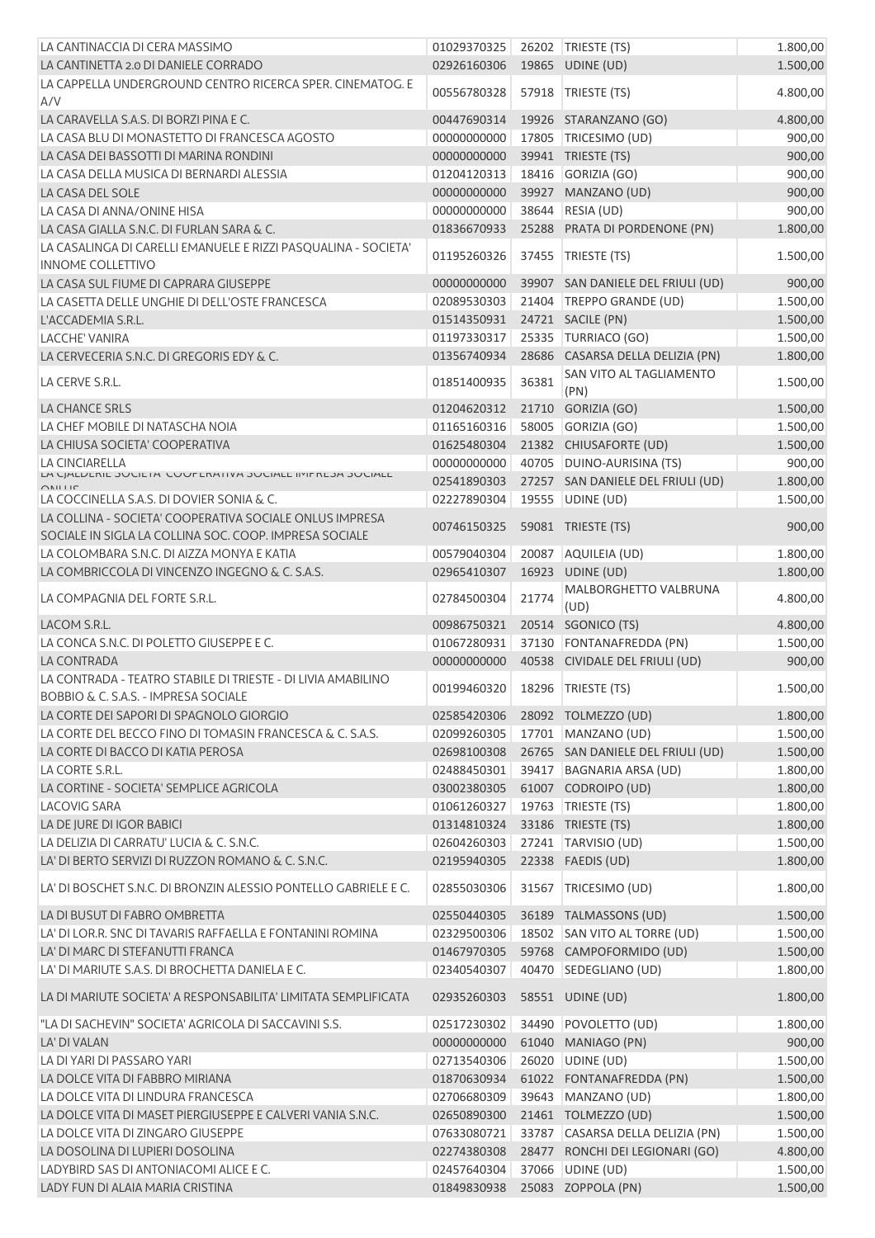| LA CANTINACCIA DI CERA MASSIMO                                                                                    | 01029370325 |       | 26202 TRIESTE (TS)                | 1.800,00 |
|-------------------------------------------------------------------------------------------------------------------|-------------|-------|-----------------------------------|----------|
| LA CANTINETTA 2.0 DI DANIELE CORRADO                                                                              | 02926160306 |       | 19865 UDINE (UD)                  | 1.500,00 |
| LA CAPPELLA UNDERGROUND CENTRO RICERCA SPER. CINEMATOG. E<br>A/V                                                  | 00556780328 | 57918 | TRIESTE (TS)                      | 4.800,00 |
| LA CARAVELLA S.A.S. DI BORZI PINA E C.                                                                            | 00447690314 |       | 19926 STARANZANO (GO)             | 4.800,00 |
| LA CASA BLU DI MONASTETTO DI FRANCESCA AGOSTO                                                                     | 00000000000 |       | 17805 TRICESIMO (UD)              | 900,00   |
| LA CASA DEI BASSOTTI DI MARINA RONDINI                                                                            | 00000000000 |       | 39941 TRIESTE (TS)                | 900,00   |
| LA CASA DELLA MUSICA DI BERNARDI ALESSIA                                                                          | 01204120313 |       | 18416 GORIZIA (GO)                | 900,00   |
| LA CASA DEL SOLE                                                                                                  | 00000000000 |       | 39927 MANZANO (UD)                | 900,00   |
| LA CASA DI ANNA/ONINE HISA                                                                                        | 00000000000 | 38644 | RESIA (UD)                        | 900,00   |
| LA CASA GIALLA S.N.C. DI FURLAN SARA & C.                                                                         | 01836670933 |       | 25288 PRATA DI PORDENONE (PN)     | 1.800,00 |
| LA CASALINGA DI CARELLI EMANUELE E RIZZI PASQUALINA - SOCIETA'                                                    |             |       |                                   |          |
| <b>INNOME COLLETTIVO</b>                                                                                          | 01195260326 | 37455 | TRIESTE (TS)                      | 1.500,00 |
| LA CASA SUL FIUME DI CAPRARA GIUSEPPE                                                                             | 00000000000 |       | 39907 SAN DANIELE DEL FRIULI (UD) | 900,00   |
| LA CASETTA DELLE UNGHIE DI DELL'OSTE FRANCESCA                                                                    | 02089530303 |       | 21404 TREPPO GRANDE (UD)          | 1.500,00 |
| L'ACCADEMIA S.R.L.                                                                                                | 01514350931 |       | 24721 SACILE (PN)                 | 1.500,00 |
| <b>LACCHE' VANIRA</b>                                                                                             | 01197330317 |       | 25335 TURRIACO (GO)               | 1.500,00 |
| LA CERVECERIA S.N.C. DI GREGORIS EDY & C.                                                                         | 01356740934 |       | 28686 CASARSA DELLA DELIZIA (PN)  | 1.800,00 |
| LA CERVE S.R.L.                                                                                                   | 01851400935 | 36381 | SAN VITO AL TAGLIAMENTO<br>(PN)   | 1.500,00 |
| LA CHANCE SRLS                                                                                                    | 01204620312 |       | 21710 GORIZIA (GO)                | 1.500,00 |
| LA CHEF MOBILE DI NATASCHA NOIA                                                                                   | 01165160316 |       | 58005 GORIZIA (GO)                | 1.500,00 |
| LA CHIUSA SOCIETA' COOPERATIVA                                                                                    | 01625480304 |       | 21382 CHIUSAFORTE (UD)            | 1.500,00 |
|                                                                                                                   | 00000000000 |       | 40705 DUINO-AURISINA (TS)         | 900,00   |
| LA CINCIARELLA<br>LA UJALIZENIE JUUIETA UUUPERATIVA JUUIALE IIYIPREJA JUUIALE                                     |             |       |                                   |          |
|                                                                                                                   | 02541890303 |       | 27257 SAN DANIELE DEL FRIULI (UD) | 1.800,00 |
| LA COCCINELLA S.A.S. DI DOVIER SONIA & C.                                                                         | 02227890304 |       | 19555 UDINE (UD)                  | 1.500,00 |
| LA COLLINA - SOCIETA' COOPERATIVA SOCIALE ONLUS IMPRESA<br>SOCIALE IN SIGLA LA COLLINA SOC. COOP. IMPRESA SOCIALE | 00746150325 |       | 59081 TRIESTE (TS)                | 900,00   |
| LA COLOMBARA S.N.C. DI AIZZA MONYA E KATIA                                                                        | 00579040304 |       | 20087 AQUILEIA (UD)               | 1.800,00 |
| LA COMBRICCOLA DI VINCENZO INGEGNO & C. S.A.S.                                                                    | 02965410307 |       | 16923 UDINE (UD)                  | 1.800,00 |
| LA COMPAGNIA DEL FORTE S.R.L.                                                                                     | 02784500304 | 21774 | MALBORGHETTO VALBRUNA<br>(UD)     | 4.800,00 |
| LACOM S.R.L.                                                                                                      | 00986750321 |       | 20514 SGONICO (TS)                | 4.800,00 |
| LA CONCA S.N.C. DI POLETTO GIUSEPPE E C.                                                                          | 01067280931 |       | 37130 FONTANAFREDDA (PN)          | 1.500,00 |
| <b>LA CONTRADA</b>                                                                                                | 00000000000 |       | 40538 CIVIDALE DEL FRIULI (UD)    | 900,00   |
| LA CONTRADA - TEATRO STABILE DI TRIESTE - DI LIVIA AMABILINO                                                      |             |       |                                   |          |
| BOBBIO & C. S.A.S. - IMPRESA SOCIALE                                                                              | 00199460320 |       | 18296   TRIESTE (TS)              | 1.500,00 |
| LA CORTE DEI SAPORI DI SPAGNOLO GIORGIO                                                                           | 02585420306 |       | 28092 TOLMEZZO (UD)               | 1.800,00 |
| LA CORTE DEL BECCO FINO DI TOMASIN FRANCESCA & C. S.A.S.                                                          | 02099260305 |       | 17701 MANZANO (UD)                | 1.500,00 |
| LA CORTE DI BACCO DI KATIA PEROSA                                                                                 | 02698100308 |       | 26765 SAN DANIELE DEL FRIULI (UD) | 1.500,00 |
| LA CORTE S.R.L.                                                                                                   | 02488450301 |       | 39417 BAGNARIA ARSA (UD)          | 1.800,00 |
| LA CORTINE - SOCIETA' SEMPLICE AGRICOLA                                                                           | 03002380305 |       | 61007 CODROIPO (UD)               | 1.800,00 |
| <b>LACOVIG SARA</b>                                                                                               | 01061260327 |       | 19763   TRIESTE (TS)              | 1.800,00 |
| LA DE JURE DI IGOR BABICI                                                                                         | 01314810324 |       | 33186 TRIESTE (TS)                | 1.800,00 |
| LA DELIZIA DI CARRATU' LUCIA & C. S.N.C.                                                                          | 02604260303 |       | 27241 TARVISIO (UD)               | 1.500,00 |
| LA' DI BERTO SERVIZI DI RUZZON ROMANO & C. S.N.C.                                                                 | 02195940305 |       | 22338 FAEDIS (UD)                 | 1.800,00 |
| LA' DI BOSCHET S.N.C. DI BRONZIN ALESSIO PONTELLO GABRIELE E C.                                                   | 02855030306 |       | 31567 TRICESIMO (UD)              | 1.800,00 |
| LA DI BUSUT DI FABRO OMBRETTA                                                                                     | 02550440305 |       | 36189 TALMASSONS (UD)             | 1.500,00 |
| LA' DI LOR.R. SNC DI TAVARIS RAFFAELLA E FONTANINI ROMINA                                                         | 02329500306 |       | 18502 SAN VITO AL TORRE (UD)      | 1.500,00 |
| LA' DI MARC DI STEFANUTTI FRANCA                                                                                  | 01467970305 |       | 59768 CAMPOFORMIDO (UD)           | 1.500,00 |
| LA' DI MARIUTE S.A.S. DI BROCHETTA DANIELA E C.                                                                   | 02340540307 |       | 40470 SEDEGLIANO (UD)             | 1.800,00 |
| LA DI MARIUTE SOCIETA' A RESPONSABILITA' LIMITATA SEMPLIFICATA                                                    | 02935260303 |       | 58551 UDINE (UD)                  | 1.800,00 |
|                                                                                                                   |             |       |                                   |          |
| "LA DI SACHEVIN" SOCIETA' AGRICOLA DI SACCAVINI S.S.                                                              | 02517230302 | 34490 | POVOLETTO (UD)                    | 1.800,00 |
| LA' DI VALAN                                                                                                      | 00000000000 |       | 61040 MANIAGO (PN)                | 900,00   |
| LA DI YARI DI PASSARO YARI                                                                                        | 02713540306 |       | 26020 UDINE (UD)                  | 1.500,00 |
| LA DOLCE VITA DI FABBRO MIRIANA                                                                                   | 01870630934 |       | 61022 FONTANAFREDDA (PN)          | 1.500,00 |
| LA DOLCE VITA DI LINDURA FRANCESCA                                                                                | 02706680309 |       | 39643 MANZANO (UD)                | 1.800,00 |
| LA DOLCE VITA DI MASET PIERGIUSEPPE E CALVERI VANIA S.N.C.                                                        | 02650890300 |       | 21461 TOLMEZZO (UD)               | 1.500,00 |
| LA DOLCE VITA DI ZINGARO GIUSEPPE                                                                                 | 07633080721 |       | 33787 CASARSA DELLA DELIZIA (PN)  | 1.500,00 |
| LA DOSOLINA DI LUPIERI DOSOLINA                                                                                   | 02274380308 |       | 28477 RONCHI DEI LEGIONARI (GO)   | 4.800,00 |
| LADYBIRD SAS DI ANTONIACOMI ALICE E C.                                                                            | 02457640304 |       | 37066 UDINE (UD)                  | 1.500,00 |
| LADY FUN DI ALAIA MARIA CRISTINA                                                                                  | 01849830938 |       | 25083 ZOPPOLA (PN)                | 1.500,00 |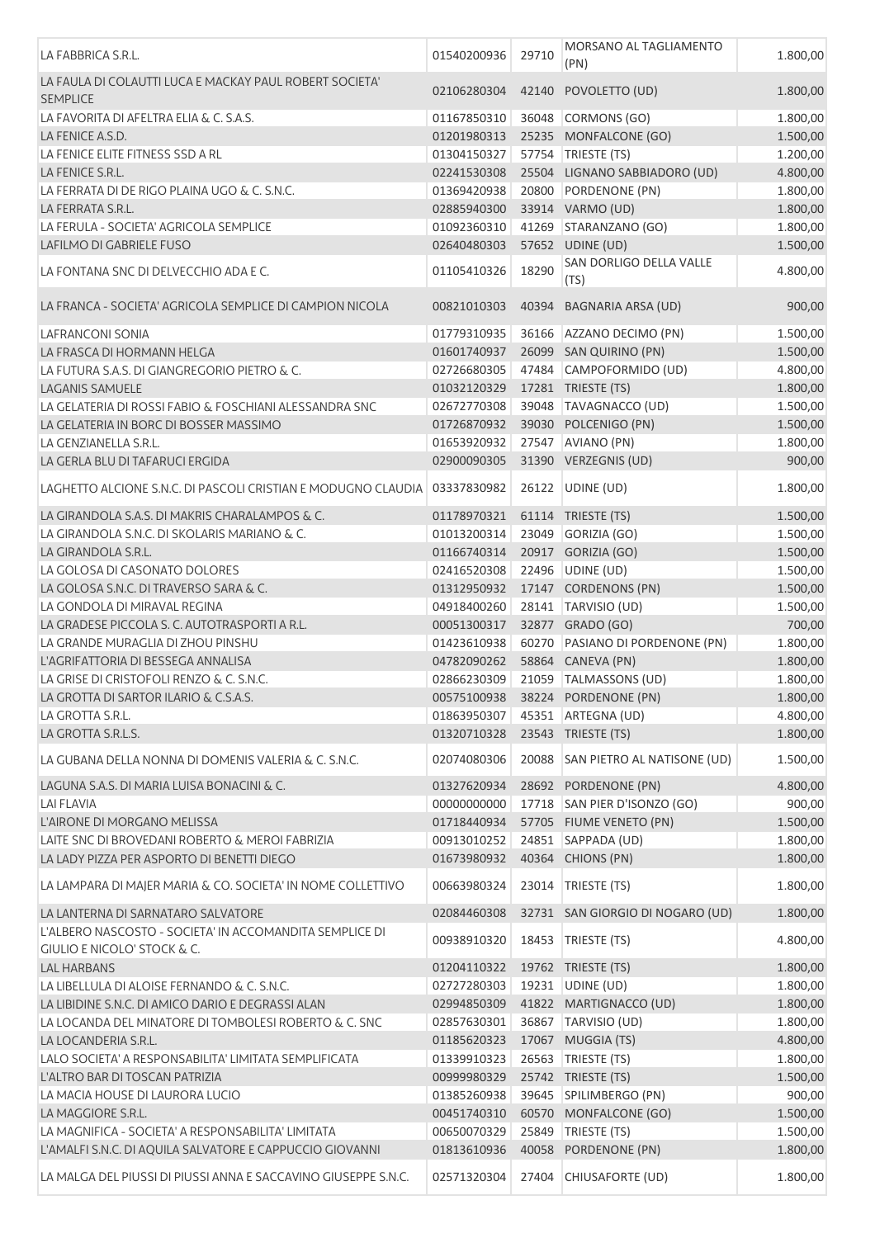| LA FABBRICA S.R.L.                                                                     | 01540200936 | 29710 | MORSANO AL TAGLIAMENTO<br>(PN)    | 1.800,00 |
|----------------------------------------------------------------------------------------|-------------|-------|-----------------------------------|----------|
| LA FAULA DI COLAUTTI LUCA E MACKAY PAUL ROBERT SOCIETA'<br><b>SEMPLICE</b>             | 02106280304 |       | 42140 POVOLETTO (UD)              | 1.800,00 |
| LA FAVORITA DI AFELTRA ELIA & C. S.A.S.                                                | 01167850310 |       | 36048 CORMONS (GO)                | 1.800,00 |
| LA FENICE A.S.D.                                                                       | 01201980313 |       | 25235 MONFALCONE (GO)             | 1.500,00 |
| LA FENICE ELITE FITNESS SSD A RL                                                       | 01304150327 |       | 57754 TRIESTE (TS)                | 1.200,00 |
| LA FENICE S.R.L.                                                                       | 02241530308 |       | 25504 LIGNANO SABBIADORO (UD)     | 4.800,00 |
| LA FERRATA DI DE RIGO PLAINA UGO & C. S.N.C.                                           | 01369420938 |       | 20800 PORDENONE (PN)              | 1.800,00 |
| LA FERRATA S.R.L.                                                                      | 02885940300 |       | 33914 VARMO (UD)                  | 1.800,00 |
| LA FERULA - SOCIETA' AGRICOLA SEMPLICE                                                 | 01092360310 |       | 41269 STARANZANO (GO)             | 1.800,00 |
| LAFILMO DI GABRIELE FUSO                                                               | 02640480303 |       | 57652 UDINE (UD)                  | 1.500,00 |
| LA FONTANA SNC DI DELVECCHIO ADA E C.                                                  | 01105410326 | 18290 | SAN DORLIGO DELLA VALLE<br>(TS)   | 4.800,00 |
| LA FRANCA - SOCIETA' AGRICOLA SEMPLICE DI CAMPION NICOLA                               | 00821010303 |       | 40394 BAGNARIA ARSA (UD)          | 900,00   |
| LAFRANCONI SONIA                                                                       | 01779310935 |       | 36166 AZZANO DECIMO (PN)          | 1.500,00 |
| LA FRASCA DI HORMANN HELGA                                                             | 01601740937 |       | 26099 SAN QUIRINO (PN)            | 1.500,00 |
| LA FUTURA S.A.S. DI GIANGREGORIO PIETRO & C.                                           | 02726680305 |       | 47484 CAMPOFORMIDO (UD)           | 4.800,00 |
| <b>LAGANIS SAMUELE</b>                                                                 | 01032120329 |       | 17281 TRIESTE (TS)                | 1.800,00 |
| LA GELATERIA DI ROSSI FABIO & FOSCHIANI ALESSANDRA SNC                                 | 02672770308 |       | 39048 TAVAGNACCO (UD)             | 1.500,00 |
| LA GELATERIA IN BORC DI BOSSER MASSIMO                                                 | 01726870932 |       | 39030 POLCENIGO (PN)              | 1.500,00 |
| LA GENZIANELLA S.R.L.                                                                  | 01653920932 |       | 27547 AVIANO (PN)                 | 1.800,00 |
| LA GERLA BLU DI TAFARUCI ERGIDA                                                        | 02900090305 |       | 31390 VERZEGNIS (UD)              | 900,00   |
| LAGHETTO ALCIONE S.N.C. DI PASCOLI CRISTIAN E MODUGNO CLAUDIA   03337830982            |             |       | 26122   UDINE (UD)                | 1.800,00 |
| LA GIRANDOLA S.A.S. DI MAKRIS CHARALAMPOS & C.                                         | 01178970321 |       | 61114 TRIESTE (TS)                | 1.500,00 |
| LA GIRANDOLA S.N.C. DI SKOLARIS MARIANO & C.                                           | 01013200314 | 23049 | GORIZIA (GO)                      | 1.500,00 |
| LA GIRANDOLA S.R.L.                                                                    | 01166740314 |       | 20917 GORIZIA (GO)                | 1.500,00 |
| LA GOLOSA DI CASONATO DOLORES                                                          | 02416520308 |       | 22496 UDINE (UD)                  | 1.500,00 |
| LA GOLOSA S.N.C. DI TRAVERSO SARA & C.                                                 | 01312950932 |       | 17147 CORDENONS (PN)              | 1.500,00 |
| LA GONDOLA DI MIRAVAL REGINA                                                           | 04918400260 |       | 28141 TARVISIO (UD)               | 1.500,00 |
| LA GRADESE PICCOLA S. C. AUTOTRASPORTI A R.L.                                          | 00051300317 |       | 32877 GRADO (GO)                  |          |
| LA GRANDE MURAGLIA DI ZHOU PINSHU                                                      | 01423610938 |       | 60270 PASIANO DI PORDENONE (PN)   | 700,00   |
|                                                                                        |             |       |                                   | 1.800,00 |
| L'AGRIFATTORIA DI BESSEGA ANNALISA                                                     | 04782090262 |       | 58864 CANEVA (PN)                 | 1.800,00 |
| LA GRISE DI CRISTOFOLI RENZO & C. S.N.C.                                               | 02866230309 |       | 21059 TALMASSONS (UD)             | 1.800,00 |
| LA GROTTA DI SARTOR ILARIO & C.S.A.S.                                                  | 00575100938 |       | 38224 PORDENONE (PN)              | 1.800,00 |
| LA GROTTA S.R.L.                                                                       | 01863950307 |       | 45351 ARTEGNA (UD)                | 4.800,00 |
| LA GROTTA S.R.L.S.                                                                     | 01320710328 |       | 23543 TRIESTE (TS)                | 1.800,00 |
| LA GUBANA DELLA NONNA DI DOMENIS VALERIA & C. S.N.C.                                   | 02074080306 |       | 20088 SAN PIETRO AL NATISONE (UD) | 1.500,00 |
| LAGUNA S.A.S. DI MARIA LUISA BONACINI & C.                                             | 01327620934 |       | 28692 PORDENONE (PN)              | 4.800,00 |
| <b>LAI FLAVIA</b>                                                                      | 00000000000 |       | 17718 SAN PIER D'ISONZO (GO)      | 900,00   |
| L'AIRONE DI MORGANO MELISSA                                                            | 01718440934 |       | 57705 FIUME VENETO (PN)           | 1.500,00 |
| LAITE SNC DI BROVEDANI ROBERTO & MEROI FABRIZIA                                        | 00913010252 |       | 24851 SAPPADA (UD)                | 1.800,00 |
| LA LADY PIZZA PER ASPORTO DI BENETTI DIEGO                                             | 01673980932 |       | 40364 CHIONS (PN)                 | 1.800,00 |
| LA LAMPARA DI MAJER MARIA & CO. SOCIETA' IN NOME COLLETTIVO                            | 00663980324 |       | 23014 TRIESTE (TS)                | 1.800,00 |
| LA LANTERNA DI SARNATARO SALVATORE                                                     | 02084460308 |       | 32731 SAN GIORGIO DI NOGARO (UD)  | 1.800,00 |
| L'ALBERO NASCOSTO - SOCIETA' IN ACCOMANDITA SEMPLICE DI<br>GIULIO E NICOLO' STOCK & C. | 00938910320 | 18453 | TRIESTE (TS)                      | 4.800,00 |
| <b>LAL HARBANS</b>                                                                     | 01204110322 |       | 19762 TRIESTE (TS)                | 1.800,00 |
| LA LIBELLULA DI ALOISE FERNANDO & C. S.N.C.                                            | 02727280303 |       | 19231 UDINE (UD)                  | 1.800,00 |
| LA LIBIDINE S.N.C. DI AMICO DARIO E DEGRASSI ALAN                                      | 02994850309 |       | 41822 MARTIGNACCO (UD)            | 1.800,00 |
| LA LOCANDA DEL MINATORE DI TOMBOLESI ROBERTO & C. SNC                                  | 02857630301 |       | 36867 TARVISIO (UD)               | 1.800,00 |
| LA LOCANDERIA S.R.L.                                                                   | 01185620323 |       | 17067 MUGGIA (TS)                 | 4.800,00 |
| LALO SOCIETA' A RESPONSABILITA' LIMITATA SEMPLIFICATA                                  | 01339910323 |       | 26563 TRIESTE (TS)                | 1.800,00 |
| L'ALTRO BAR DI TOSCAN PATRIZIA                                                         | 00999980329 |       | 25742 TRIESTE (TS)                | 1.500,00 |
| LA MACIA HOUSE DI LAURORA LUCIO                                                        | 01385260938 |       | 39645 SPILIMBERGO (PN)            | 900,00   |
| LA MAGGIORE S.R.L.                                                                     | 00451740310 |       | 60570 MONFALCONE (GO)             | 1.500,00 |
| LA MAGNIFICA - SOCIETA' A RESPONSABILITA' LIMITATA                                     | 00650070329 |       | 25849 TRIESTE (TS)                | 1.500,00 |
| L'AMALFI S.N.C. DI AQUILA SALVATORE E CAPPUCCIO GIOVANNI                               | 01813610936 |       | 40058 PORDENONE (PN)              | 1.800,00 |
| LA MALGA DEL PIUSSI DI PIUSSI ANNA E SACCAVINO GIUSEPPE S.N.C.                         | 02571320304 | 27404 | CHIUSAFORTE (UD)                  | 1.800,00 |
|                                                                                        |             |       |                                   |          |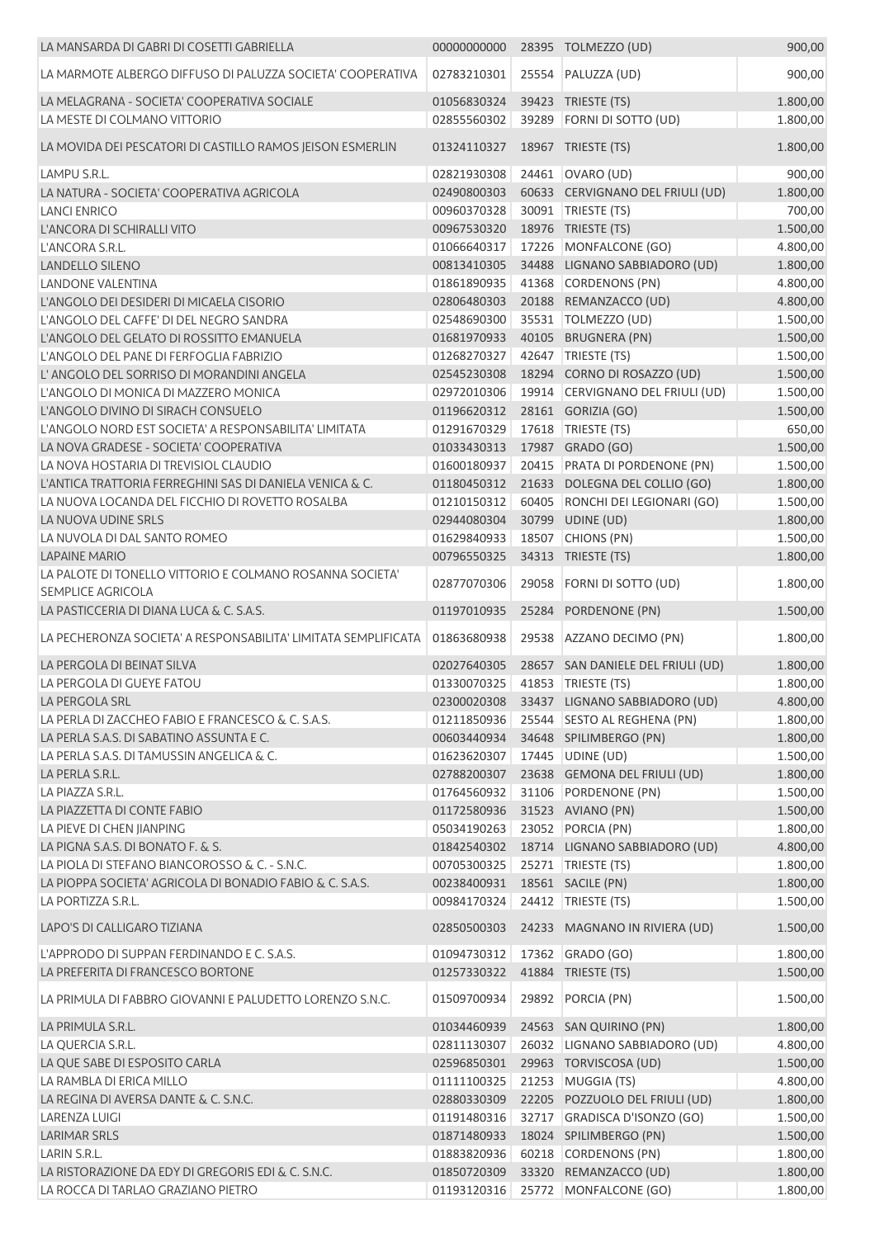| LA MANSARDA DI GABRI DI COSETTI GABRIELLA                      | 00000000000 |       | 28395 TOLMEZZO (UD)               | 900,00   |
|----------------------------------------------------------------|-------------|-------|-----------------------------------|----------|
| LA MARMOTE ALBERGO DIFFUSO DI PALUZZA SOCIETA' COOPERATIVA     | 02783210301 |       | 25554 PALUZZA (UD)                | 900,00   |
| LA MELAGRANA - SOCIETA' COOPERATIVA SOCIALE                    | 01056830324 |       | 39423 TRIESTE (TS)                | 1.800,00 |
| LA MESTE DI COLMANO VITTORIO                                   | 02855560302 | 39289 | FORNI DI SOTTO (UD)               | 1.800,00 |
| LA MOVIDA DEI PESCATORI DI CASTILLO RAMOS JEISON ESMERLIN      | 01324110327 |       | 18967 TRIESTE (TS)                | 1.800,00 |
| LAMPU S.R.L.                                                   | 02821930308 |       | 24461 OVARO (UD)                  | 900,00   |
| LA NATURA - SOCIETA' COOPERATIVA AGRICOLA                      | 02490800303 |       | 60633 CERVIGNANO DEL FRIULI (UD)  | 1.800,00 |
| <b>LANCI ENRICO</b>                                            | 00960370328 |       | 30091 TRIESTE (TS)                | 700,00   |
| L'ANCORA DI SCHIRALLI VITO                                     | 00967530320 |       | 18976 TRIESTE (TS)                | 1.500,00 |
| L'ANCORA S.R.L.                                                | 01066640317 |       | 17226 MONFALCONE (GO)             | 4.800,00 |
| LANDELLO SILENO                                                | 00813410305 |       | 34488 LIGNANO SABBIADORO (UD)     | 1.800,00 |
| <b>LANDONE VALENTINA</b>                                       | 01861890935 |       | 41368 CORDENONS (PN)              | 4.800,00 |
| L'ANGOLO DEI DESIDERI DI MICAELA CISORIO                       | 02806480303 |       | 20188 REMANZACCO (UD)             | 4.800,00 |
| L'ANGOLO DEL CAFFE' DI DEL NEGRO SANDRA                        | 02548690300 |       | 35531   TOLMEZZO (UD)             | 1.500,00 |
| L'ANGOLO DEL GELATO DI ROSSITTO EMANUELA                       | 01681970933 |       | 40105 BRUGNERA (PN)               | 1.500,00 |
| L'ANGOLO DEL PANE DI FERFOGLIA FABRIZIO                        | 01268270327 |       | 42647 TRIESTE (TS)                | 1.500,00 |
| L'ANGOLO DEL SORRISO DI MORANDINI ANGELA                       | 02545230308 |       | 18294 CORNO DI ROSAZZO (UD)       | 1.500,00 |
| L'ANGOLO DI MONICA DI MAZZERO MONICA                           | 02972010306 |       | 19914 CERVIGNANO DEL FRIULI (UD)  | 1.500,00 |
| L'ANGOLO DIVINO DI SIRACH CONSUELO                             | 01196620312 |       | 28161 GORIZIA (GO)                | 1.500,00 |
| L'ANGOLO NORD EST SOCIETA' A RESPONSABILITA' LIMITATA          | 01291670329 |       | 17618 TRIESTE (TS)                | 650,00   |
| LA NOVA GRADESE - SOCIETA' COOPERATIVA                         | 01033430313 |       | 17987 GRADO (GO)                  | 1.500,00 |
| LA NOVA HOSTARIA DI TREVISIOL CLAUDIO                          | 01600180937 |       | 20415 PRATA DI PORDENONE (PN)     | 1.500,00 |
| L'ANTICA TRATTORIA FERREGHINI SAS DI DANIELA VENICA & C.       | 01180450312 |       | 21633 DOLEGNA DEL COLLIO (GO)     | 1.800,00 |
| LA NUOVA LOCANDA DEL FICCHIO DI ROVETTO ROSALBA                | 01210150312 |       | 60405 RONCHI DEI LEGIONARI (GO)   | 1.500,00 |
| LA NUOVA UDINE SRLS                                            | 02944080304 |       | 30799 UDINE (UD)                  | 1.800,00 |
| LA NUVOLA DI DAL SANTO ROMEO                                   | 01629840933 |       | 18507 CHIONS (PN)                 | 1.500,00 |
| <b>LAPAINE MARIO</b>                                           | 00796550325 |       | 34313 TRIESTE (TS)                | 1.800,00 |
| LA PALOTE DI TONELLO VITTORIO E COLMANO ROSANNA SOCIETA'       |             |       |                                   |          |
| <b>SEMPLICE AGRICOLA</b>                                       | 02877070306 | 29058 | FORNI DI SOTTO (UD)               | 1.800,00 |
| LA PASTICCERIA DI DIANA LUCA & C. S.A.S.                       | 01197010935 | 25284 | PORDENONE (PN)                    | 1.500,00 |
| LA PECHERONZA SOCIETA' A RESPONSABILITA' LIMITATA SEMPLIFICATA | 01863680938 |       | 29538 AZZANO DECIMO (PN)          | 1.800,00 |
| LA PERGOLA DI BEINAT SILVA                                     | 02027640305 |       | 28657 SAN DANIELE DEL FRIULI (UD) | 1.800,00 |
| LA PERGOLA DI GUEYE FATOU                                      | 01330070325 |       | 41853 TRIESTE (TS)                | 1.800,00 |
| LA PERGOLA SRL                                                 | 02300020308 |       | 33437 LIGNANO SABBIADORO (UD)     | 4.800,00 |
| LA PERLA DI ZACCHEO FABIO E FRANCESCO & C. S.A.S.              | 01211850936 |       | 25544 SESTO AL REGHENA (PN)       | 1.800,00 |
| LA PERLA S.A.S. DI SABATINO ASSUNTA E C.                       | 00603440934 |       | 34648 SPILIMBERGO (PN)            | 1.800,00 |
| LA PERLA S.A.S. DI TAMUSSIN ANGELICA & C.                      | 01623620307 |       | 17445 UDINE (UD)                  | 1.500,00 |
| LA PERLA S.R.L.                                                | 02788200307 |       | 23638 GEMONA DEL FRIULI (UD)      | 1.800,00 |
| LA PIAZZA S.R.L.                                               | 01764560932 |       | 31106 PORDENONE (PN)              | 1.500,00 |
| LA PIAZZETTA DI CONTE FABIO                                    | 01172580936 |       | 31523 AVIANO (PN)                 | 1.500,00 |
| LA PIEVE DI CHEN JIANPING                                      | 05034190263 |       | 23052 PORCIA (PN)                 | 1.800,00 |
| LA PIGNA S.A.S. DI BONATO F. & S.                              | 01842540302 |       | 18714 LIGNANO SABBIADORO (UD)     | 4.800,00 |
| LA PIOLA DI STEFANO BIANCOROSSO & C. - S.N.C.                  | 00705300325 |       | 25271 TRIESTE (TS)                | 1.800,00 |
| LA PIOPPA SOCIETA' AGRICOLA DI BONADIO FABIO & C. S.A.S.       | 00238400931 |       | 18561 SACILE (PN)                 | 1.800,00 |
| LA PORTIZZA S.R.L.                                             | 00984170324 |       | 24412 TRIESTE (TS)                | 1.500,00 |
| LAPO'S DI CALLIGARO TIZIANA                                    | 02850500303 |       | 24233 MAGNANO IN RIVIERA (UD)     | 1.500,00 |
| L'APPRODO DI SUPPAN FERDINANDO E C. S.A.S.                     | 01094730312 |       | 17362 GRADO (GO)                  | 1.800,00 |
| LA PREFERITA DI FRANCESCO BORTONE                              | 01257330322 |       | 41884 TRIESTE (TS)                | 1.500,00 |
| LA PRIMULA DI FABBRO GIOVANNI E PALUDETTO LORENZO S.N.C.       | 01509700934 |       | 29892 PORCIA (PN)                 | 1.500,00 |
| LA PRIMULA S.R.L.                                              | 01034460939 |       | 24563 SAN QUIRINO (PN)            | 1.800,00 |
| LA QUERCIA S.R.L.                                              | 02811130307 |       | 26032 LIGNANO SABBIADORO (UD)     | 4.800,00 |
| LA QUE SABE DI ESPOSITO CARLA                                  | 02596850301 |       | 29963 TORVISCOSA (UD)             | 1.500,00 |
| LA RAMBLA DI ERICA MILLO                                       | 01111100325 |       | 21253 MUGGIA (TS)                 | 4.800,00 |
| LA REGINA DI AVERSA DANTE & C. S.N.C.                          | 02880330309 |       | 22205 POZZUOLO DEL FRIULI (UD)    | 1.800,00 |
| LARENZA LUIGI                                                  | 01191480316 |       | 32717 GRADISCA D'ISONZO (GO)      | 1.500,00 |
| LARIMAR SRLS                                                   | 01871480933 |       | 18024 SPILIMBERGO (PN)            | 1.500,00 |
| LARIN S.R.L.                                                   | 01883820936 |       | 60218 CORDENONS (PN)              | 1.800,00 |
| LA RISTORAZIONE DA EDY DI GREGORIS EDI & C. S.N.C.             | 01850720309 |       | 33320 REMANZACCO (UD)             | 1.800,00 |
| LA ROCCA DI TARLAO GRAZIANO PIETRO                             | 01193120316 |       | 25772 MONFALCONE (GO)             | 1.800,00 |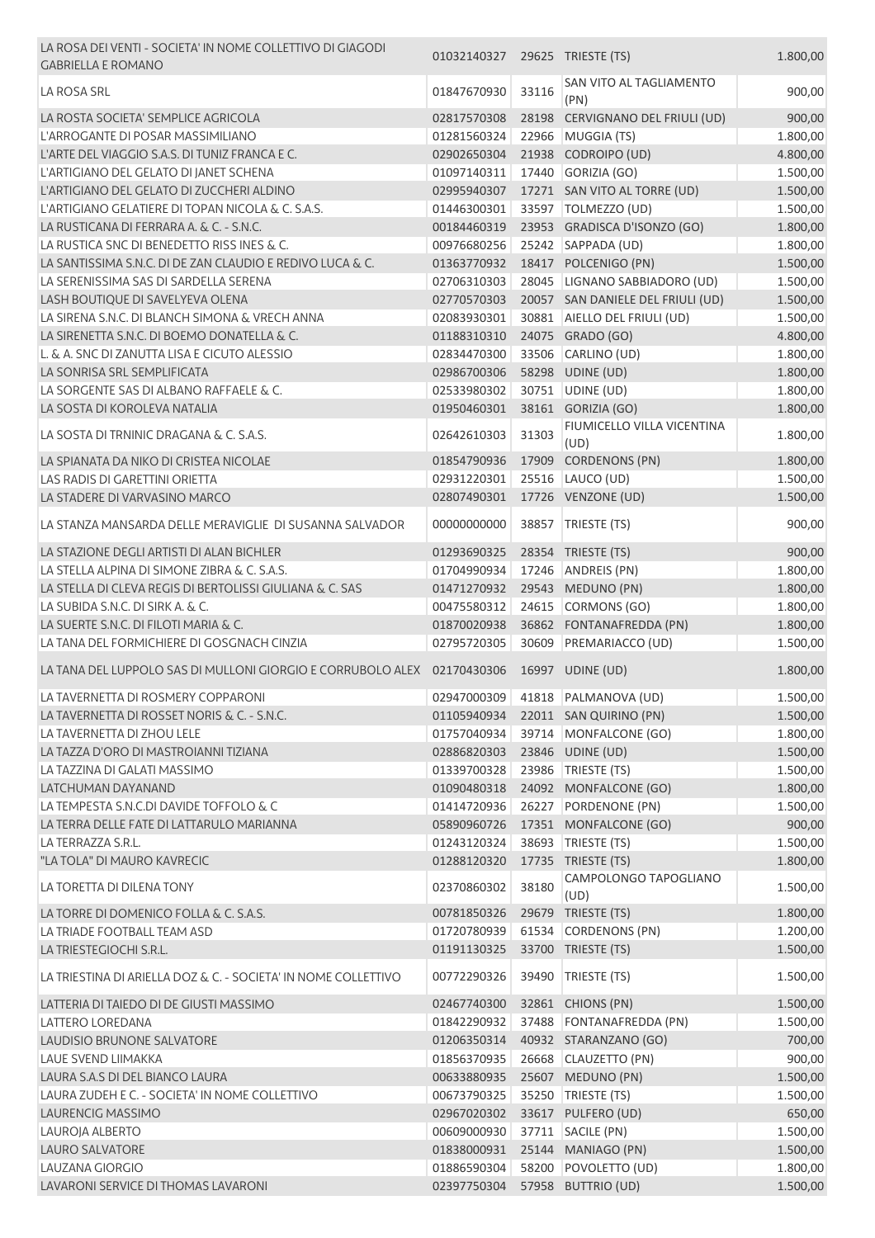| LA ROSA DEI VENTI - SOCIETA' IN NOME COLLETTIVO DI GIAGODI<br><b>GABRIELLA E ROMANO</b>  | 01032140327 29625 TRIESTE (TS)       |       |                                    | 1.800,00 |
|------------------------------------------------------------------------------------------|--------------------------------------|-------|------------------------------------|----------|
| LA ROSA SRL                                                                              | 01847670930                          | 33116 | SAN VITO AL TAGLIAMENTO<br>(PN)    | 900,00   |
| LA ROSTA SOCIETA' SEMPLICE AGRICOLA                                                      | 02817570308                          |       | 28198 CERVIGNANO DEL FRIULI (UD)   | 900,00   |
| L'ARROGANTE DI POSAR MASSIMILIANO                                                        | 01281560324                          |       | 22966 MUGGIA (TS)                  | 1.800,00 |
| L'ARTE DEL VIAGGIO S.A.S. DI TUNIZ FRANCA E C.                                           | 02902650304                          |       | 21938 CODROIPO (UD)                | 4.800,00 |
| L'ARTIGIANO DEL GELATO DI JANET SCHENA                                                   | 01097140311                          |       | 17440 GORIZIA (GO)                 | 1.500,00 |
| L'ARTIGIANO DEL GELATO DI ZUCCHERI ALDINO                                                | 02995940307                          |       | 17271 SAN VITO AL TORRE (UD)       | 1.500,00 |
| L'ARTIGIANO GELATIERE DI TOPAN NICOLA & C. S.A.S.                                        | 01446300301                          |       | 33597 TOLMEZZO (UD)                | 1.500,00 |
| LA RUSTICANA DI FERRARA A. & C. - S.N.C.                                                 | 00184460319                          |       | 23953 GRADISCA D'ISONZO (GO)       | 1.800,00 |
| LA RUSTICA SNC DI BENEDETTO RISS INES & C.                                               | 00976680256                          |       | 25242 SAPPADA (UD)                 | 1.800,00 |
| LA SANTISSIMA S.N.C. DI DE ZAN CLAUDIO E REDIVO LUCA & C.                                | 01363770932                          |       | 18417 POLCENIGO (PN)               | 1.500,00 |
| LA SERENISSIMA SAS DI SARDELLA SERENA                                                    | 02706310303                          |       | 28045 LIGNANO SABBIADORO (UD)      | 1.500,00 |
| LASH BOUTIQUE DI SAVELYEVA OLENA                                                         | 02770570303                          |       | 20057 SAN DANIELE DEL FRIULI (UD)  | 1.500,00 |
| LA SIRENA S.N.C. DI BLANCH SIMONA & VRECH ANNA                                           | 02083930301                          |       | 30881 AIELLO DEL FRIULI (UD)       | 1.500,00 |
| LA SIRENETTA S.N.C. DI BOEMO DONATELLA & C.                                              | 01188310310                          |       | 24075 GRADO (GO)                   | 4.800,00 |
| L. & A. SNC DI ZANUTTA LISA E CICUTO ALESSIO                                             | 02834470300                          |       | 33506 CARLINO (UD)                 | 1.800,00 |
| LA SONRISA SRL SEMPLIFICATA                                                              | 02986700306                          |       | 58298 UDINE (UD)                   | 1.800,00 |
| LA SORGENTE SAS DI ALBANO RAFFAELE & C.                                                  | 02533980302                          |       | 30751 UDINE (UD)                   | 1.800,00 |
| LA SOSTA DI KOROLEVA NATALIA                                                             | 01950460301                          |       | 38161 GORIZIA (GO)                 | 1.800,00 |
| LA SOSTA DI TRNINIC DRAGANA & C. S.A.S.                                                  | 02642610303                          | 31303 | FIUMICELLO VILLA VICENTINA<br>(UD) | 1.800,00 |
| LA SPIANATA DA NIKO DI CRISTEA NICOLAE                                                   | 01854790936                          |       | 17909 CORDENONS (PN)               | 1.800,00 |
| LAS RADIS DI GARETTINI ORIETTA                                                           | 02931220301                          |       | 25516 LAUCO (UD)                   | 1.500,00 |
| LA STADERE DI VARVASINO MARCO                                                            | 02807490301                          |       | 17726 VENZONE (UD)                 | 1.500,00 |
| LA STANZA MANSARDA DELLE MERAVIGLIE DI SUSANNA SALVADOR                                  | 00000000000                          |       | 38857 TRIESTE (TS)                 | 900,00   |
| LA STAZIONE DEGLI ARTISTI DI ALAN BICHLER                                                | 01293690325                          |       | 28354 TRIESTE (TS)                 | 900,00   |
| LA STELLA ALPINA DI SIMONE ZIBRA & C. S.A.S.                                             | 01704990934                          |       | 17246 ANDREIS (PN)                 | 1.800,00 |
| LA STELLA DI CLEVA REGIS DI BERTOLISSI GIULIANA & C. SAS                                 | 01471270932                          |       | 29543 MEDUNO (PN)                  | 1.800,00 |
| LA SUBIDA S.N.C. DI SIRK A. & C.                                                         | 00475580312                          |       | 24615 CORMONS (GO)                 | 1.800,00 |
| LA SUERTE S.N.C. DI FILOTI MARIA & C.                                                    | 01870020938                          |       | 36862 FONTANAFREDDA (PN)           | 1.800,00 |
| LA TANA DEL FORMICHIERE DI GOSGNACH CINZIA                                               | 02795720305                          |       | 30609 PREMARIACCO (UD)             | 1.500,00 |
| LA TANA DEL LUPPOLO SAS DI MULLONI GIORGIO E CORRUBOLO ALEX 02170430306 16997 UDINE (UD) |                                      |       |                                    | 1.800,00 |
| LA TAVERNETTA DI ROSMERY COPPARONI                                                       |                                      |       | 02947000309 41818 PALMANOVA (UD)   | 1.500,00 |
| LA TAVERNETTA DI ROSSET NORIS & C. - S.N.C.                                              |                                      |       | 01105940934 22011 SAN QUIRINO (PN) | 1.500,00 |
| LA TAVERNETTA DI ZHOU LELE                                                               | 01757040934                          |       | 39714 MONFALCONE (GO)              | 1.800,00 |
| LA TAZZA D'ORO DI MASTROIANNI TIZIANA                                                    | 02886820303                          |       | 23846 UDINE (UD)                   | 1.500,00 |
| LA TAZZINA DI GALATI MASSIMO                                                             | 01339700328                          |       | 23986 TRIESTE (TS)                 | 1.500,00 |
| LATCHUMAN DAYANAND                                                                       | 01090480318                          |       | 24092 MONFALCONE (GO)              | 1.800,00 |
| LA TEMPESTA S.N.C.DI DAVIDE TOFFOLO & C                                                  | 01414720936                          |       | 26227 PORDENONE (PN)               | 1.500,00 |
| LA TERRA DELLE FATE DI LATTARULO MARIANNA                                                | 05890960726                          |       | 17351 MONFALCONE (GO)              | 900,00   |
| LA TERRAZZA S.R.L.                                                                       | 01243120324                          |       | 38693   TRIESTE (TS)               | 1.500,00 |
| "LA TOLA" DI MAURO KAVRECIC                                                              | 01288120320                          |       | 17735 TRIESTE (TS)                 | 1.800,00 |
| LA TORETTA DI DILENA TONY                                                                | 02370860302                          | 38180 | CAMPOLONGO TAPOGLIANO<br>(UD)      | 1.500,00 |
| LA TORRE DI DOMENICO FOLLA & C. S.A.S.                                                   | 00781850326                          |       | 29679 TRIESTE (TS)                 | 1.800,00 |
| LA TRIADE FOOTBALL TEAM ASD                                                              | 01720780939                          |       | 61534 CORDENONS (PN)               | 1.200,00 |
| LA TRIESTEGIOCHI S.R.L.                                                                  | 01191130325                          |       | 33700 TRIESTE (TS)                 | 1.500,00 |
| LA TRIESTINA DI ARIELLA DOZ & C. - SOCIETA' IN NOME COLLETTIVO                           | 00772290326                          |       | 39490 TRIESTE (TS)                 | 1.500,00 |
| LATTERIA DI TAIEDO DI DE GIUSTI MASSIMO                                                  | 02467740300                          |       | 32861 CHIONS (PN)                  | 1.500,00 |
| LATTERO LOREDANA                                                                         | 01842290932                          |       | 37488 FONTANAFREDDA (PN)           | 1.500,00 |
| LAUDISIO BRUNONE SALVATORE                                                               | 01206350314                          |       | 40932 STARANZANO (GO)              | 700,00   |
| LAUE SVEND LIIMAKKA                                                                      | 01856370935                          |       | 26668 CLAUZETTO (PN)               | 900,00   |
| LAURA S.A.S DI DEL BIANCO LAURA                                                          | 00633880935                          |       | 25607 MEDUNO (PN)                  | 1.500,00 |
| LAURA ZUDEH E C. - SOCIETA' IN NOME COLLETTIVO                                           | 00673790325                          |       | 35250 TRIESTE (TS)                 | 1.500,00 |
| LAURENCIG MASSIMO                                                                        | 02967020302                          |       | 33617 PULFERO (UD)                 | 650,00   |
| LAUROJA ALBERTO                                                                          | 00609000930                          |       | 37711 SACILE (PN)                  | 1.500,00 |
| <b>LAURO SALVATORE</b>                                                                   | 01838000931                          |       | 25144 MANIAGO (PN)                 | 1.500,00 |
| LAUZANA GIORGIO                                                                          | 01886590304                          |       | 58200 POVOLETTO (UD)               | 1.800,00 |
| LAVARONI SERVICE DI THOMAS LAVARONI                                                      | 02397750304    57958    BUTTRIO (UD) |       |                                    | 1.500,00 |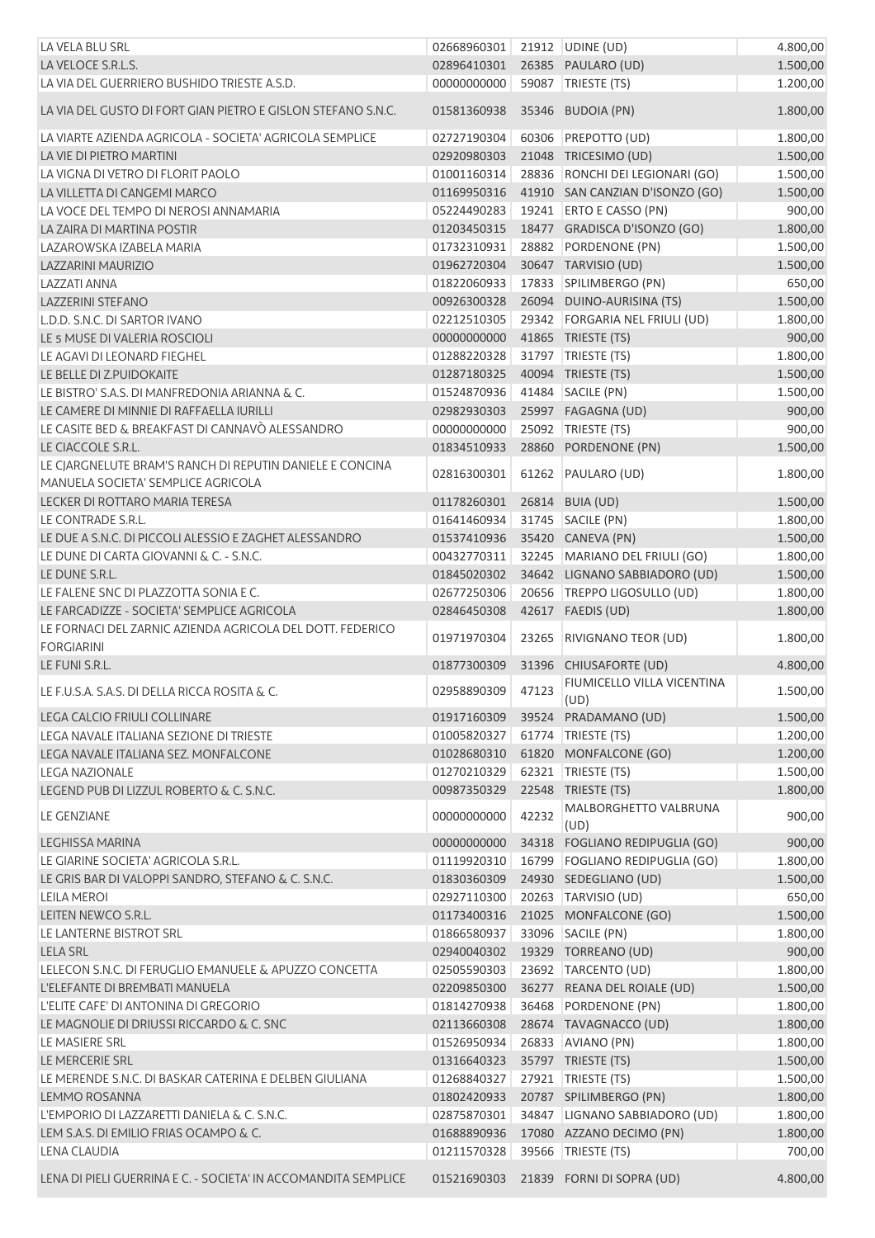| LA VELA BLU SRL                                                                                | 02668960301 |       | 21912   UDINE (UD)                 | 4.800,00 |
|------------------------------------------------------------------------------------------------|-------------|-------|------------------------------------|----------|
| LA VELOCE S.R.L.S.                                                                             | 02896410301 |       | 26385 PAULARO (UD)                 | 1.500,00 |
| LA VIA DEL GUERRIERO BUSHIDO TRIESTE A.S.D.                                                    | 0000000000  |       | 59087 TRIESTE (TS)                 | 1.200,00 |
| LA VIA DEL GUSTO DI FORT GIAN PIETRO E GISLON STEFANO S.N.C.                                   | 01581360938 |       | 35346 BUDOIA (PN)                  | 1.800,00 |
| LA VIARTE AZIENDA AGRICOLA - SOCIETA' AGRICOLA SEMPLICE                                        | 02727190304 |       | 60306 PREPOTTO (UD)                | 1.800,00 |
| LA VIE DI PIETRO MARTINI                                                                       | 02920980303 |       | 21048 TRICESIMO (UD)               | 1.500,00 |
| LA VIGNA DI VETRO DI FLORIT PAOLO                                                              | 01001160314 |       | 28836 RONCHI DEI LEGIONARI (GO)    | 1.500,00 |
| LA VILLETTA DI CANGEMI MARCO                                                                   | 01169950316 |       | 41910 SAN CANZIAN D'ISONZO (GO)    | 1.500,00 |
| LA VOCE DEL TEMPO DI NEROSI ANNAMARIA                                                          | 05224490283 |       | 19241 ERTO E CASSO (PN)            | 900,00   |
| LA ZAIRA DI MARTINA POSTIR                                                                     | 01203450315 |       | 18477 GRADISCA D'ISONZO (GO)       | 1.800,00 |
| LAZAROWSKA IZABELA MARIA                                                                       | 01732310931 |       | 28882 PORDENONE (PN)               | 1.500,00 |
| <b>LAZZARINI MAURIZIO</b>                                                                      | 01962720304 |       | 30647 TARVISIO (UD)                | 1.500,00 |
| <b>LAZZATI ANNA</b>                                                                            | 01822060933 |       | 17833 SPILIMBERGO (PN)             | 650,00   |
|                                                                                                |             |       |                                    |          |
| <b>LAZZERINI STEFANO</b>                                                                       | 00926300328 |       | 26094 DUINO-AURISINA (TS)          | 1.500,00 |
| L.D.D. S.N.C. DI SARTOR IVANO                                                                  | 02212510305 |       | 29342 FORGARIA NEL FRIULI (UD)     | 1.800,00 |
| LE 5 MUSE DI VALERIA ROSCIOLI                                                                  | 00000000000 |       | 41865 TRIESTE (TS)                 | 900,00   |
| LE AGAVI DI LEONARD FIEGHEL                                                                    | 01288220328 |       | 31797   TRIESTE (TS)               | 1.800,00 |
| LE BELLE DI Z.PUIDOKAITE                                                                       | 01287180325 |       | 40094 TRIESTE (TS)                 | 1.500,00 |
| LE BISTRO' S.A.S. DI MANFREDONIA ARIANNA & C.                                                  | 01524870936 |       | 41484 SACILE (PN)                  | 1.500,00 |
| LE CAMERE DI MINNIE DI RAFFAELLA IURILLI                                                       | 02982930303 |       | 25997 FAGAGNA (UD)                 | 900,00   |
| LE CASITE BED & BREAKFAST DI CANNAVÒ ALESSANDRO                                                | 00000000000 |       | 25092 TRIESTE (TS)                 | 900,00   |
| LE CIACCOLE S.R.L.                                                                             | 01834510933 |       | 28860 PORDENONE (PN)               | 1.500,00 |
| LE CJARGNELUTE BRAM'S RANCH DI REPUTIN DANIELE E CONCINA<br>MANUELA SOCIETA' SEMPLICE AGRICOLA | 02816300301 |       | 61262 PAULARO (UD)                 | 1.800,00 |
| LECKER DI ROTTARO MARIA TERESA                                                                 | 01178260301 |       | 26814 BUIA (UD)                    | 1.500,00 |
| LE CONTRADE S.R.L.                                                                             | 01641460934 |       | 31745 SACILE (PN)                  | 1.800,00 |
| LE DUE A S.N.C. DI PICCOLI ALESSIO E ZAGHET ALESSANDRO                                         | 01537410936 |       | 35420 CANEVA (PN)                  | 1.500,00 |
| LE DUNE DI CARTA GIOVANNI & C. - S.N.C.                                                        | 00432770311 |       | 32245 MARIANO DEL FRIULI (GO)      | 1.800,00 |
| LE DUNE S.R.L.                                                                                 | 01845020302 |       | 34642 LIGNANO SABBIADORO (UD)      | 1.500,00 |
|                                                                                                |             |       |                                    |          |
| LE FALENE SNC DI PLAZZOTTA SONIA E C.                                                          | 02677250306 |       | 20656 TREPPO LIGOSULLO (UD)        | 1.800,00 |
| LE FARCADIZZE - SOCIETA' SEMPLICE AGRICOLA                                                     | 02846450308 |       | 42617 FAEDIS (UD)                  | 1.800,00 |
| LE FORNACI DEL ZARNIC AZIENDA AGRICOLA DEL DOTT. FEDERICO<br><b>FORGIARINI</b>                 | 01971970304 | 23265 | RIVIGNANO TEOR (UD)                | 1.800,00 |
| LE FUNI S.R.L.                                                                                 | 01877300309 | 31396 | CHIUSAFORTE (UD)                   | 4.800,00 |
| LE F.U.S.A. S.A.S. DI DELLA RICCA ROSITA & C.                                                  | 02958890309 | 47123 | FIUMICELLO VILLA VICENTINA<br>(UD) | 1.500,00 |
| <b>LEGA CALCIO FRIULI COLLINARE</b>                                                            | 01917160309 |       | 39524 PRADAMANO (UD)               | 1.500,00 |
| LEGA NAVALE ITALIANA SEZIONE DI TRIESTE                                                        | 01005820327 |       | 61774 TRIESTE (TS)                 | 1.200,00 |
| LEGA NAVALE ITALIANA SEZ. MONFALCONE                                                           | 01028680310 |       | 61820 MONFALCONE (GO)              | 1.200,00 |
| <b>LEGA NAZIONALE</b>                                                                          | 01270210329 |       | 62321 TRIESTE (TS)                 | 1.500,00 |
| LEGEND PUB DI LIZZUL ROBERTO & C. S.N.C.                                                       | 00987350329 |       | 22548 TRIESTE (TS)                 | 1.800,00 |
|                                                                                                |             |       | MALBORGHETTO VALBRUNA              |          |
| <b>LE GENZIANE</b>                                                                             | 00000000000 | 42232 | (UD)                               | 900,00   |
| LEGHISSA MARINA                                                                                | 00000000000 |       | 34318 FOGLIANO REDIPUGLIA (GO)     | 900,00   |
| LE GIARINE SOCIETA' AGRICOLA S.R.L.                                                            | 01119920310 | 16799 | FOGLIANO REDIPUGLIA (GO)           | 1.800,00 |
| LE GRIS BAR DI VALOPPI SANDRO, STEFANO & C. S.N.C.                                             | 01830360309 |       | 24930 SEDEGLIANO (UD)              | 1.500,00 |
| <b>LEILA MEROI</b>                                                                             | 02927110300 | 20263 | TARVISIO (UD)                      | 650,00   |
| LEITEN NEWCO S.R.L.                                                                            | 01173400316 |       | 21025 MONFALCONE (GO)              | 1.500,00 |
| LE LANTERNE BISTROT SRL                                                                        | 01866580937 |       | 33096 SACILE (PN)                  | 1.800,00 |
| <b>LELA SRL</b>                                                                                | 02940040302 |       | 19329 TORREANO (UD)                | 900,00   |
| LELECON S.N.C. DI FERUGLIO EMANUELE & APUZZO CONCETTA                                          |             |       |                                    |          |
|                                                                                                | 02505590303 |       | 23692 TARCENTO (UD)                | 1.800,00 |
| L'ELEFANTE DI BREMBATI MANUELA                                                                 | 02209850300 |       | 36277 REANA DEL ROIALE (UD)        | 1.500,00 |
| L'ELITE CAFE' DI ANTONINA DI GREGORIO                                                          | 01814270938 |       | 36468 PORDENONE (PN)               | 1.800,00 |
| LE MAGNOLIE DI DRIUSSI RICCARDO & C. SNC                                                       | 02113660308 |       | 28674 TAVAGNACCO (UD)              | 1.800,00 |
| LE MASIERE SRL                                                                                 | 01526950934 |       | 26833 AVIANO (PN)                  | 1.800,00 |
| LE MERCERIE SRL                                                                                | 01316640323 |       | 35797 TRIESTE (TS)                 | 1.500,00 |
| LE MERENDE S.N.C. DI BASKAR CATERINA E DELBEN GIULIANA                                         | 01268840327 |       | 27921   TRIESTE (TS)               | 1.500,00 |
| LEMMO ROSANNA                                                                                  | 01802420933 |       | 20787 SPILIMBERGO (PN)             | 1.800,00 |
| L'EMPORIO DI LAZZARETTI DANIELA & C. S.N.C.                                                    | 02875870301 |       | 34847 LIGNANO SABBIADORO (UD)      | 1.800,00 |
| LEM S.A.S. DI EMILIO FRIAS OCAMPO & C.                                                         | 01688890936 |       | 17080 AZZANO DECIMO (PN)           | 1.800,00 |
| <b>LENA CLAUDIA</b>                                                                            | 01211570328 |       | 39566   TRIESTE (TS)               | 700,00   |
| LENA DI PIELI GUERRINA E C. - SOCIETA' IN ACCOMANDITA SEMPLICE                                 | 01521690303 |       | 21839 FORNI DI SOPRA (UD)          | 4.800,00 |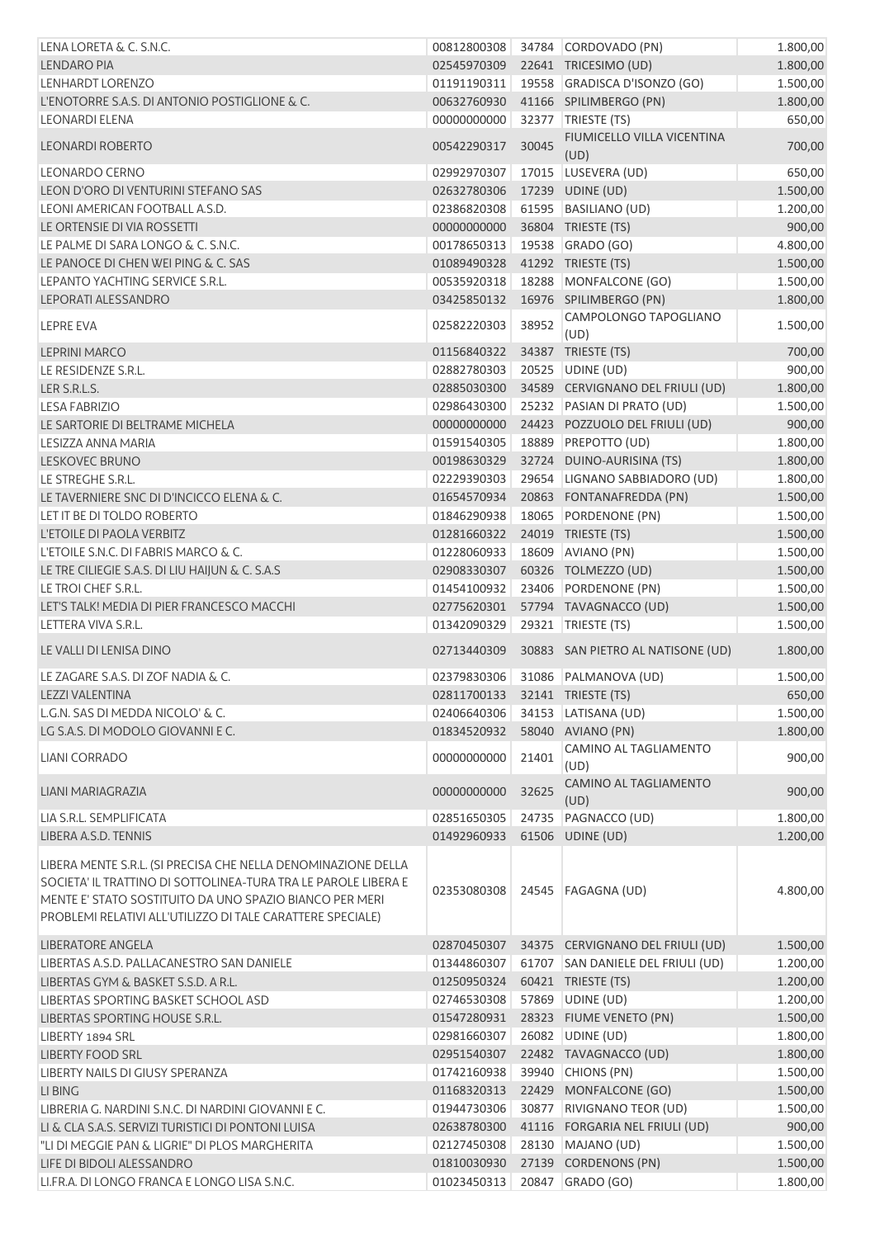| LENA LORETA & C. S.N.C.                                                                                                                                                                                                                                  | 00812800308                    |       | 34784 CORDOVADO (PN)              | 1.800,00 |
|----------------------------------------------------------------------------------------------------------------------------------------------------------------------------------------------------------------------------------------------------------|--------------------------------|-------|-----------------------------------|----------|
| LENDARO PIA                                                                                                                                                                                                                                              | 02545970309                    |       | 22641 TRICESIMO (UD)              | 1.800,00 |
| LENHARDT LORENZO                                                                                                                                                                                                                                         | 01191190311                    |       | 19558 GRADISCA D'ISONZO (GO)      | 1.500,00 |
| L'ENOTORRE S.A.S. DI ANTONIO POSTIGLIONE & C.                                                                                                                                                                                                            | 00632760930                    |       | 41166 SPILIMBERGO (PN)            | 1.800,00 |
| <b>LEONARDI ELENA</b>                                                                                                                                                                                                                                    | 00000000000                    |       | 32377 TRIESTE (TS)                | 650,00   |
|                                                                                                                                                                                                                                                          |                                |       | FIUMICELLO VILLA VICENTINA        |          |
| <b>LEONARDI ROBERTO</b>                                                                                                                                                                                                                                  | 00542290317                    | 30045 | (UD)                              | 700,00   |
| LEONARDO CERNO                                                                                                                                                                                                                                           | 02992970307                    |       | 17015 LUSEVERA (UD)               | 650,00   |
| LEON D'ORO DI VENTURINI STEFANO SAS                                                                                                                                                                                                                      | 02632780306                    |       |                                   |          |
| LEONI AMERICAN FOOTBALL A.S.D.                                                                                                                                                                                                                           |                                |       | 17239 UDINE (UD)                  | 1.500,00 |
|                                                                                                                                                                                                                                                          | 02386820308                    |       | 61595 BASILIANO (UD)              | 1.200,00 |
| LE ORTENSIE DI VIA ROSSETTI                                                                                                                                                                                                                              | 00000000000                    |       | 36804 TRIESTE (TS)                | 900,00   |
| LE PALME DI SARA LONGO & C. S.N.C.                                                                                                                                                                                                                       | 00178650313                    |       | 19538 GRADO (GO)                  | 4.800,00 |
| LE PANOCE DI CHEN WEI PING & C. SAS                                                                                                                                                                                                                      | 01089490328                    |       | 41292 TRIESTE (TS)                | 1.500,00 |
| LEPANTO YACHTING SERVICE S.R.L.                                                                                                                                                                                                                          | 00535920318                    |       | 18288 MONFALCONE (GO)             | 1.500,00 |
| LEPORATI ALESSANDRO                                                                                                                                                                                                                                      | 03425850132                    |       | 16976 SPILIMBERGO (PN)            | 1.800,00 |
| <b>LEPRE EVA</b>                                                                                                                                                                                                                                         | 02582220303                    | 38952 | CAMPOLONGO TAPOGLIANO<br>(UD)     | 1.500,00 |
| <b>LEPRINI MARCO</b>                                                                                                                                                                                                                                     | 01156840322                    |       | 34387 TRIESTE (TS)                | 700,00   |
| LE RESIDENZE S.R.L.                                                                                                                                                                                                                                      | 02882780303                    |       | 20525 UDINE (UD)                  | 900,00   |
| LER S.R.L.S.                                                                                                                                                                                                                                             | 02885030300                    |       | 34589 CERVIGNANO DEL FRIULI (UD)  | 1.800,00 |
| <b>LESA FABRIZIO</b>                                                                                                                                                                                                                                     | 02986430300                    |       | 25232 PASIAN DI PRATO (UD)        | 1.500,00 |
| LE SARTORIE DI BELTRAME MICHELA                                                                                                                                                                                                                          | 00000000000                    |       | 24423 POZZUOLO DEL FRIULI (UD)    | 900,00   |
| LESIZZA ANNA MARIA                                                                                                                                                                                                                                       | 01591540305                    |       | 18889 PREPOTTO (UD)               | 1.800,00 |
| <b>LESKOVEC BRUNO</b>                                                                                                                                                                                                                                    | 00198630329                    |       | 32724 DUINO-AURISINA (TS)         | 1.800,00 |
|                                                                                                                                                                                                                                                          |                                |       |                                   |          |
| LE STREGHE S.R.L.                                                                                                                                                                                                                                        | 02229390303                    |       | 29654 LIGNANO SABBIADORO (UD)     | 1.800,00 |
| LE TAVERNIERE SNC DI D'INCICCO ELENA & C.                                                                                                                                                                                                                | 01654570934                    |       | 20863 FONTANAFREDDA (PN)          | 1.500,00 |
| LET IT BE DI TOLDO ROBERTO                                                                                                                                                                                                                               | 01846290938                    |       | 18065 PORDENONE (PN)              | 1.500,00 |
| L'ETOILE DI PAOLA VERBITZ                                                                                                                                                                                                                                | 01281660322                    |       | 24019 TRIESTE (TS)                | 1.500,00 |
| L'ETOILE S.N.C. DI FABRIS MARCO & C.                                                                                                                                                                                                                     | 01228060933                    |       | 18609 AVIANO (PN)                 | 1.500,00 |
| LE TRE CILIEGIE S.A.S. DI LIU HAIJUN & C. S.A.S                                                                                                                                                                                                          | 02908330307                    |       | 60326 TOLMEZZO (UD)               | 1.500,00 |
| LE TROI CHEF S.R.L.                                                                                                                                                                                                                                      | 01454100932                    |       | 23406 PORDENONE (PN)              | 1.500,00 |
| LET'S TALK! MEDIA DI PIER FRANCESCO MACCHI                                                                                                                                                                                                               | 02775620301                    |       | 57794 TAVAGNACCO (UD)             | 1.500,00 |
| LETTERA VIVA S.R.L.                                                                                                                                                                                                                                      | 01342090329                    |       | 29321 TRIESTE (TS)                | 1.500,00 |
| LE VALLI DI LENISA DINO                                                                                                                                                                                                                                  | 02713440309                    |       | 30883 SAN PIETRO AL NATISONE (UD) | 1.800,00 |
| LE ZAGARE S.A.S. DI ZOF NADIA & C.                                                                                                                                                                                                                       | 02379830306                    |       | 31086 PALMANOVA (UD)              | 1.500,00 |
| LEZZI VALENTINA                                                                                                                                                                                                                                          | 02811700133 32141 TRIESTE (TS) |       |                                   | 650,00   |
| L.G.N. SAS DI MEDDA NICOLO' & C.                                                                                                                                                                                                                         | 02406640306                    |       | 34153 LATISANA (UD)               | 1.500,00 |
| LG S.A.S. DI MODOLO GIOVANNI E C.                                                                                                                                                                                                                        | 01834520932                    |       | 58040 AVIANO (PN)                 | 1.800,00 |
|                                                                                                                                                                                                                                                          |                                |       | CAMINO AL TAGLIAMENTO             |          |
| LIANI CORRADO                                                                                                                                                                                                                                            | 00000000000                    | 21401 | (UD)                              | 900,00   |
| LIANI MARIAGRAZIA                                                                                                                                                                                                                                        | 00000000000                    | 32625 | CAMINO AL TAGLIAMENTO             | 900,00   |
|                                                                                                                                                                                                                                                          |                                |       | (UD)                              |          |
| LIA S.R.L. SEMPLIFICATA                                                                                                                                                                                                                                  | 02851650305                    | 24735 | PAGNACCO (UD)                     | 1.800,00 |
| LIBERA A.S.D. TENNIS                                                                                                                                                                                                                                     | 01492960933                    |       | 61506 UDINE (UD)                  | 1.200,00 |
| LIBERA MENTE S.R.L. (SI PRECISA CHE NELLA DENOMINAZIONE DELLA<br>SOCIETA' IL TRATTINO DI SOTTOLINEA-TURA TRA LE PAROLE LIBERA E<br>MENTE E' STATO SOSTITUITO DA UNO SPAZIO BIANCO PER MERI<br>PROBLEMI RELATIVI ALL'UTILIZZO DI TALE CARATTERE SPECIALE) | 02353080308                    |       | 24545 FAGAGNA (UD)                | 4.800,00 |
| LIBERATORE ANGELA                                                                                                                                                                                                                                        | 02870450307                    |       | 34375 CERVIGNANO DEL FRIULI (UD)  | 1.500,00 |
| LIBERTAS A.S.D. PALLACANESTRO SAN DANIELE                                                                                                                                                                                                                | 01344860307                    |       | 61707 SAN DANIELE DEL FRIULI (UD) | 1.200,00 |
| LIBERTAS GYM & BASKET S.S.D. A R.L.                                                                                                                                                                                                                      | 01250950324                    |       | 60421 TRIESTE (TS)                | 1.200,00 |
| LIBERTAS SPORTING BASKET SCHOOL ASD                                                                                                                                                                                                                      | 02746530308                    |       | 57869 UDINE (UD)                  | 1.200,00 |
| LIBERTAS SPORTING HOUSE S.R.L.                                                                                                                                                                                                                           | 01547280931                    |       | 28323 FIUME VENETO (PN)           | 1.500,00 |
| LIBERTY 1894 SRL                                                                                                                                                                                                                                         | 02981660307                    |       | 26082 UDINE (UD)                  | 1.800,00 |
| <b>LIBERTY FOOD SRL</b>                                                                                                                                                                                                                                  | 02951540307                    |       | 22482 TAVAGNACCO (UD)             | 1.800,00 |
| LIBERTY NAILS DI GIUSY SPERANZA                                                                                                                                                                                                                          |                                |       |                                   |          |
| LI BING                                                                                                                                                                                                                                                  | 01742160938                    |       | 39940 CHIONS (PN)                 | 1.500,00 |
| LIBRERIA G. NARDINI S.N.C. DI NARDINI GIOVANNI E C.                                                                                                                                                                                                      | 01168320313                    |       | 22429 MONFALCONE (GO)             | 1.500,00 |
|                                                                                                                                                                                                                                                          | 01944730306                    |       | 30877 RIVIGNANO TEOR (UD)         | 1.500,00 |
| LI & CLA S.A.S. SERVIZI TURISTICI DI PONTONI LUISA                                                                                                                                                                                                       | 02638780300                    |       | 41116 FORGARIA NEL FRIULI (UD)    | 900,00   |
| "LI DI MEGGIE PAN & LIGRIE" DI PLOS MARGHERITA                                                                                                                                                                                                           | 02127450308                    |       | 28130 MAJANO (UD)                 | 1.500,00 |
| LIFE DI BIDOLI ALESSANDRO                                                                                                                                                                                                                                | 01810030930                    |       | 27139 CORDENONS (PN)              | 1.500,00 |
| LI.FR.A. DI LONGO FRANCA E LONGO LISA S.N.C.                                                                                                                                                                                                             | 01023450313                    |       | 20847 GRADO (GO)                  | 1.800,00 |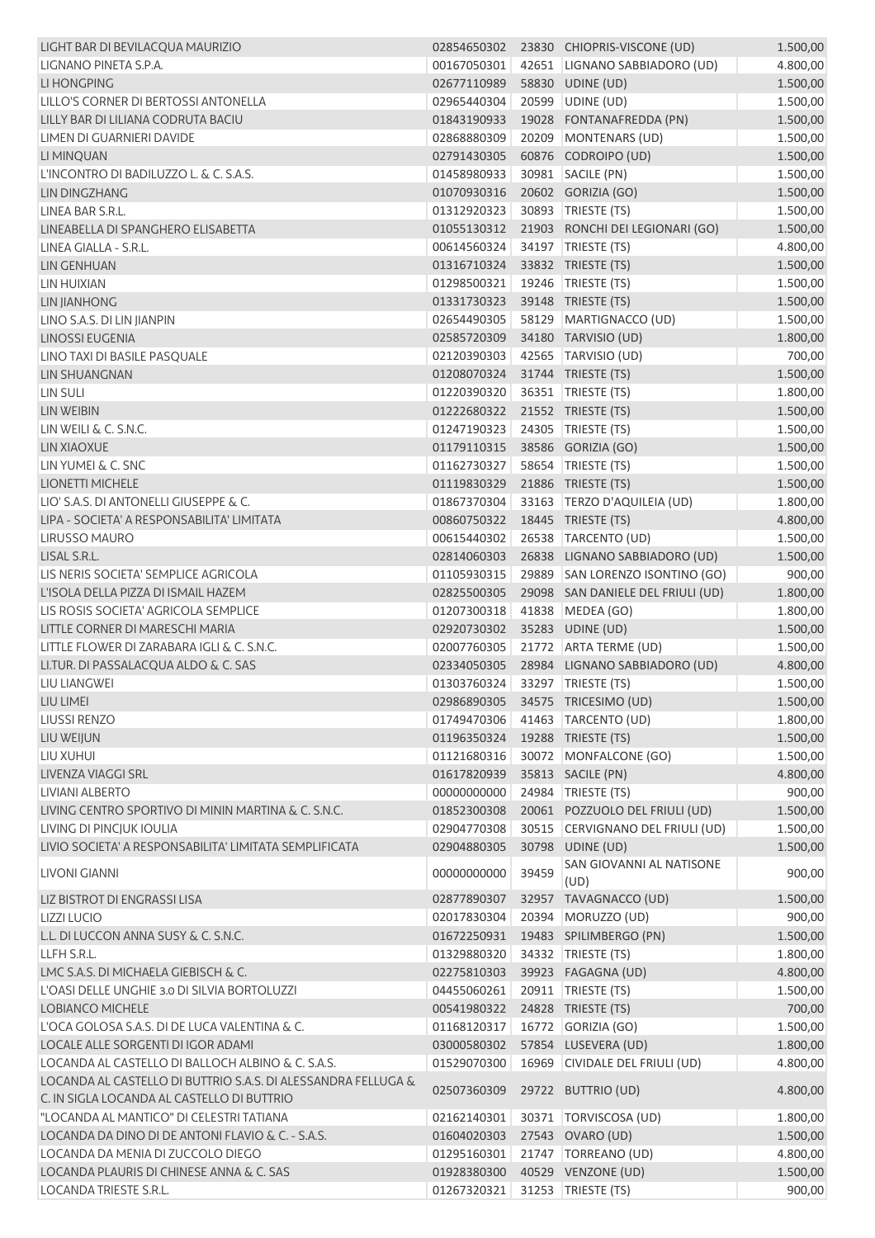| LIGHT BAR DI BEVILACQUA MAURIZIO                                                                            |                                |       | 02854650302 23830 CHIOPRIS-VISCONE (UD) | 1.500,00 |
|-------------------------------------------------------------------------------------------------------------|--------------------------------|-------|-----------------------------------------|----------|
| LIGNANO PINETA S.P.A.                                                                                       | 00167050301                    |       | 42651 LIGNANO SABBIADORO (UD)           | 4.800,00 |
| LI HONGPING                                                                                                 | 02677110989                    |       | 58830 UDINE (UD)                        | 1.500,00 |
| LILLO'S CORNER DI BERTOSSI ANTONELLA                                                                        | 02965440304                    |       | 20599 UDINE (UD)                        | 1.500,00 |
| LILLY BAR DI LILIANA CODRUTA BACIU                                                                          | 01843190933                    |       | 19028 FONTANAFREDDA (PN)                | 1.500,00 |
| LIMEN DI GUARNIERI DAVIDE                                                                                   | 02868880309                    |       | 20209 MONTENARS (UD)                    | 1.500,00 |
| LI MINQUAN                                                                                                  | 02791430305                    |       | 60876 CODROIPO (UD)                     | 1.500,00 |
| L'INCONTRO DI BADILUZZO L. & C. S.A.S.                                                                      | 01458980933                    |       | 30981 SACILE (PN)                       | 1.500,00 |
| LIN DINGZHANG                                                                                               | 01070930316                    |       | 20602 GORIZIA (GO)                      | 1.500,00 |
| LINEA BAR S.R.L.                                                                                            | 01312920323                    |       | 30893 TRIESTE (TS)                      | 1.500,00 |
| LINEABELLA DI SPANGHERO ELISABETTA                                                                          | 01055130312                    |       | 21903 RONCHI DEI LEGIONARI (GO)         | 1.500,00 |
| LINEA GIALLA - S.R.L.                                                                                       | 00614560324                    |       | 34197 TRIESTE (TS)                      | 4.800,00 |
| <b>LIN GENHUAN</b>                                                                                          | 01316710324                    |       | 33832 TRIESTE (TS)                      | 1.500,00 |
| <b>LIN HUIXIAN</b>                                                                                          | 01298500321                    |       | 19246   TRIESTE (TS)                    | 1.500,00 |
| <b>LIN JIANHONG</b>                                                                                         | 01331730323                    |       | 39148 TRIESTE (TS)                      | 1.500,00 |
| LINO S.A.S. DI LIN JIANPIN                                                                                  | 02654490305                    |       | 58129 MARTIGNACCO (UD)                  | 1.500,00 |
| <b>LINOSSI EUGENIA</b>                                                                                      | 02585720309                    |       | 34180 TARVISIO (UD)                     | 1.800,00 |
| LINO TAXI DI BASILE PASQUALE                                                                                | 02120390303                    |       | 42565 TARVISIO (UD)                     | 700,00   |
| <b>LIN SHUANGNAN</b>                                                                                        | 01208070324                    |       | 31744 TRIESTE (TS)                      | 1.500,00 |
| <b>LIN SULI</b>                                                                                             | 01220390320                    |       | 36351   TRIESTE (TS)                    | 1.800,00 |
| LIN WEIBIN                                                                                                  | 01222680322                    |       | 21552 TRIESTE (TS)                      | 1.500,00 |
| LIN WEILI & C. S.N.C.                                                                                       | 01247190323                    |       | 24305 TRIESTE (TS)                      | 1.500,00 |
| LIN XIAOXUE                                                                                                 | 01179110315                    |       | 38586 GORIZIA (GO)                      | 1.500,00 |
| LIN YUMEI & C. SNC                                                                                          | 01162730327                    |       | 58654 TRIESTE (TS)                      | 1.500,00 |
| <b>LIONETTI MICHELE</b>                                                                                     | 01119830329                    |       | 21886 TRIESTE (TS)                      | 1.500,00 |
| LIO' S.A.S. DI ANTONELLI GIUSEPPE & C.                                                                      | 01867370304                    |       | 33163 TERZO D'AQUILEIA (UD)             | 1.800,00 |
| LIPA - SOCIETA' A RESPONSABILITA' LIMITATA                                                                  | 00860750322                    |       | 18445 TRIESTE (TS)                      | 4.800,00 |
| <b>LIRUSSO MAURO</b>                                                                                        | 00615440302                    |       | 26538 TARCENTO (UD)                     | 1.500,00 |
| LISAL S.R.L.                                                                                                | 02814060303                    |       | 26838 LIGNANO SABBIADORO (UD)           | 1.500,00 |
| LIS NERIS SOCIETA' SEMPLICE AGRICOLA                                                                        | 01105930315                    |       | 29889 SAN LORENZO ISONTINO (GO)         | 900,00   |
| L'ISOLA DELLA PIZZA DI ISMAIL HAZEM                                                                         | 02825500305                    |       | 29098 SAN DANIELE DEL FRIULI (UD)       | 1.800,00 |
| LIS ROSIS SOCIETA' AGRICOLA SEMPLICE                                                                        | 01207300318                    |       | 41838 MEDEA (GO)                        | 1.800,00 |
| LITTLE CORNER DI MARESCHI MARIA                                                                             | 02920730302                    |       | 35283 UDINE (UD)                        | 1.500,00 |
| LITTLE FLOWER DI ZARABARA IGLI & C. S.N.C.                                                                  | 02007760305                    |       | 21772 ARTA TERME (UD)                   | 1.500,00 |
| LI.TUR. DI PASSALACQUA ALDO & C. SAS                                                                        | 02334050305                    |       | 28984 LIGNANO SABBIADORO (UD)           | 4.800,00 |
| <b>LIU LIANGWEI</b>                                                                                         | 01303760324 33297 TRIESTE (TS) |       |                                         | 1.500,00 |
| LIU LIMEI                                                                                                   |                                |       | 02986890305 34575 TRICESIMO (UD)        | 1.500,00 |
| <b>LIUSSI RENZO</b>                                                                                         | 01749470306                    |       | 41463 TARCENTO (UD)                     | 1.800,00 |
| LIU WEIJUN                                                                                                  | 01196350324                    |       | 19288 TRIESTE (TS)                      | 1.500,00 |
| LIU XUHUI                                                                                                   | 01121680316                    |       | 30072 MONFALCONE (GO)                   | 1.500,00 |
| LIVENZA VIAGGI SRL                                                                                          | 01617820939                    |       | 35813 SACILE (PN)                       | 4.800,00 |
| LIVIANI ALBERTO                                                                                             | 00000000000                    |       | 24984   TRIESTE (TS)                    | 900,00   |
| LIVING CENTRO SPORTIVO DI MININ MARTINA & C. S.N.C.                                                         | 01852300308                    |       | 20061 POZZUOLO DEL FRIULI (UD)          | 1.500,00 |
| LIVING DI PINCIUK IOULIA                                                                                    | 02904770308                    |       | 30515 CERVIGNANO DEL FRIULI (UD)        | 1.500,00 |
| LIVIO SOCIETA' A RESPONSABILITA' LIMITATA SEMPLIFICATA                                                      | 02904880305                    |       | 30798 UDINE (UD)                        | 1.500,00 |
|                                                                                                             |                                |       | SAN GIOVANNI AL NATISONE                |          |
| LIVONI GIANNI                                                                                               | 00000000000                    | 39459 | (UD)                                    | 900,00   |
| LIZ BISTROT DI ENGRASSI LISA                                                                                | 02877890307                    | 32957 | TAVAGNACCO (UD)                         | 1.500,00 |
| <b>LIZZI LUCIO</b>                                                                                          | 02017830304                    | 20394 | MORUZZO (UD)                            | 900,00   |
| L.L. DI LUCCON ANNA SUSY & C. S.N.C.                                                                        | 01672250931                    |       | 19483 SPILIMBERGO (PN)                  | 1.500,00 |
| LLFH S.R.L.                                                                                                 | 01329880320                    |       | 34332 TRIESTE (TS)                      | 1.800,00 |
| LMC S.A.S. DI MICHAELA GIEBISCH & C.                                                                        | 02275810303                    |       | 39923 FAGAGNA (UD)                      | 4.800,00 |
| L'OASI DELLE UNGHIE 3.0 DI SILVIA BORTOLUZZI                                                                | 04455060261                    |       | 20911   TRIESTE (TS)                    | 1.500,00 |
| <b>LOBIANCO MICHELE</b>                                                                                     | 00541980322                    |       | 24828 TRIESTE (TS)                      | 700,00   |
| L'OCA GOLOSA S.A.S. DI DE LUCA VALENTINA & C.                                                               | 01168120317                    |       | 16772 GORIZIA (GO)                      | 1.500,00 |
| LOCALE ALLE SORGENTI DI IGOR ADAMI                                                                          | 03000580302                    |       | 57854 LUSEVERA (UD)                     | 1.800,00 |
| LOCANDA AL CASTELLO DI BALLOCH ALBINO & C. S.A.S.                                                           | 01529070300                    |       | 16969 CIVIDALE DEL FRIULI (UD)          | 4.800,00 |
| LOCANDA AL CASTELLO DI BUTTRIO S.A.S. DI ALESSANDRA FELLUGA &<br>C. IN SIGLA LOCANDA AL CASTELLO DI BUTTRIO | 02507360309                    |       | 29722 BUTTRIO (UD)                      | 4.800,00 |
| "LOCANDA AL MANTICO" DI CELESTRI TATIANA                                                                    | 02162140301                    |       | 30371   TORVISCOSA (UD)                 | 1.800,00 |
| LOCANDA DA DINO DI DE ANTONI FLAVIO & C. - S.A.S.                                                           | 01604020303                    |       | 27543 OVARO (UD)                        | 1.500,00 |
| LOCANDA DA MENIA DI ZUCCOLO DIEGO                                                                           | 01295160301                    |       | 21747   TORREANO (UD)                   | 4.800,00 |
| LOCANDA PLAURIS DI CHINESE ANNA & C. SAS                                                                    | 01928380300                    |       | 40529 VENZONE (UD)                      | 1.500,00 |
| LOCANDA TRIESTE S.R.L.                                                                                      | 01267320321                    |       | 31253 TRIESTE (TS)                      | 900,00   |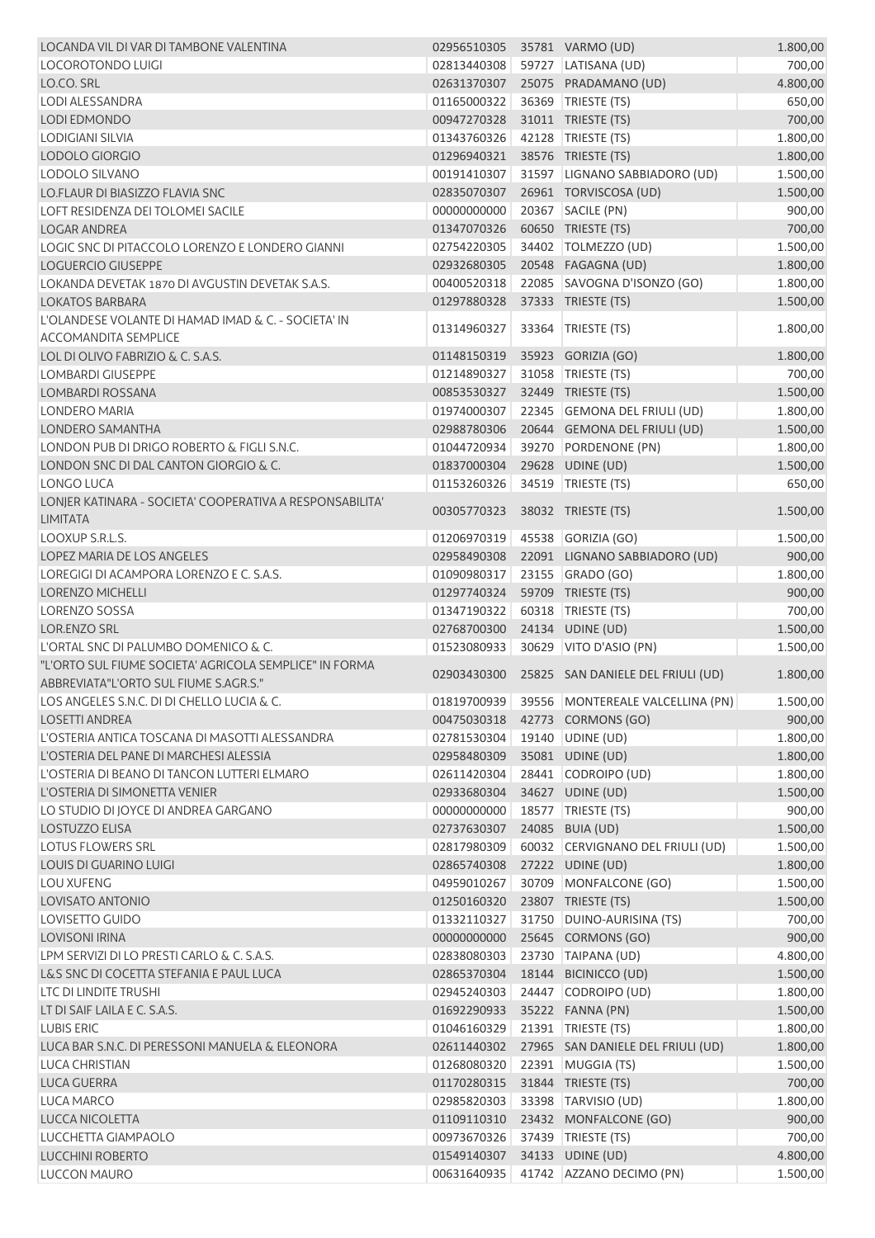| LOCANDA VIL DI VAR DI TAMBONE VALENTINA                  | 02956510305 35781 VARMO (UD) |       |                                               | 1.800,00 |
|----------------------------------------------------------|------------------------------|-------|-----------------------------------------------|----------|
| LOCOROTONDO LUIGI                                        | 02813440308                  |       | 59727 LATISANA (UD)                           | 700,00   |
| LO.CO. SRL                                               | 02631370307                  |       | 25075 PRADAMANO (UD)                          | 4.800,00 |
| <b>LODI ALESSANDRA</b>                                   | 01165000322                  |       | 36369 TRIESTE (TS)                            | 650,00   |
| <b>LODI EDMONDO</b>                                      | 00947270328                  |       | 31011 TRIESTE (TS)                            | 700,00   |
| <b>LODIGIANI SILVIA</b>                                  | 01343760326                  |       | 42128 TRIESTE (TS)                            | 1.800,00 |
| <b>LODOLO GIORGIO</b>                                    | 01296940321                  |       | 38576 TRIESTE (TS)                            | 1.800,00 |
| LODOLO SILVANO                                           | 00191410307                  |       | 31597 LIGNANO SABBIADORO (UD)                 | 1.500,00 |
| <b>LO.FLAUR DI BIASIZZO FLAVIA SNC</b>                   | 02835070307                  |       | 26961 TORVISCOSA (UD)                         | 1.500,00 |
| LOFT RESIDENZA DEI TOLOMEI SACILE                        | 00000000000                  |       | 20367   SACILE (PN)                           | 900,00   |
| <b>LOGAR ANDREA</b>                                      | 01347070326                  |       | 60650 TRIESTE (TS)                            | 700,00   |
| LOGIC SNC DI PITACCOLO LORENZO E LONDERO GIANNI          | 02754220305                  |       | 34402   TOLMEZZO (UD)                         | 1.500,00 |
|                                                          |                              |       |                                               |          |
| <b>LOGUERCIO GIUSEPPE</b>                                | 02932680305                  |       | 20548 FAGAGNA (UD)                            | 1.800,00 |
| LOKANDA DEVETAK 1870 DI AVGUSTIN DEVETAK S.A.S.          | 00400520318                  |       | 22085 SAVOGNA D'ISONZO (GO)                   | 1.800,00 |
| <b>LOKATOS BARBARA</b>                                   | 01297880328                  |       | 37333 TRIESTE (TS)                            | 1.500,00 |
| L'OLANDESE VOLANTE DI HAMAD IMAD & C. - SOCIETA' IN      | 01314960327                  | 33364 | TRIESTE (TS)                                  | 1.800,00 |
| <b>ACCOMANDITA SEMPLICE</b>                              |                              |       |                                               |          |
| LOL DI OLIVO FABRIZIO & C. S.A.S.                        | 01148150319                  |       | 35923 GORIZIA (GO)                            | 1.800,00 |
| <b>LOMBARDI GIUSEPPE</b>                                 | 01214890327                  |       | 31058 TRIESTE (TS)                            | 700,00   |
| <b>LOMBARDI ROSSANA</b>                                  | 00853530327                  |       | 32449 TRIESTE (TS)                            | 1.500,00 |
| LONDERO MARIA                                            | 01974000307                  |       | 22345 GEMONA DEL FRIULI (UD)                  | 1.800,00 |
| LONDERO SAMANTHA                                         | 02988780306                  |       | 20644 GEMONA DEL FRIULI (UD)                  | 1.500,00 |
| LONDON PUB DI DRIGO ROBERTO & FIGLI S.N.C.               | 01044720934                  |       | 39270 PORDENONE (PN)                          | 1.800,00 |
| LONDON SNC DI DAL CANTON GIORGIO & C.                    | 01837000304                  |       | 29628 UDINE (UD)                              | 1.500,00 |
| LONGO LUCA                                               | 01153260326                  |       | 34519 TRIESTE (TS)                            | 650,00   |
| LONJER KATINARA - SOCIETA' COOPERATIVA A RESPONSABILITA' |                              |       |                                               |          |
| <b>LIMITATA</b>                                          | 00305770323                  |       | 38032 TRIESTE (TS)                            | 1.500,00 |
| LOOXUP S.R.L.S.                                          | 01206970319                  |       | 45538 GORIZIA (GO)                            | 1.500,00 |
| LOPEZ MARIA DE LOS ANGELES                               | 02958490308                  |       | 22091 LIGNANO SABBIADORO (UD)                 | 900,00   |
| LOREGIGI DI ACAMPORA LORENZO E C. S.A.S.                 | 01090980317                  |       | 23155 GRADO (GO)                              | 1.800,00 |
| <b>LORENZO MICHELLI</b>                                  | 01297740324                  |       | 59709 TRIESTE (TS)                            | 900,00   |
| <b>LORENZO SOSSA</b>                                     | 01347190322                  |       | 60318 TRIESTE (TS)                            | 700,00   |
| <b>LOR.ENZO SRL</b>                                      | 02768700300                  |       | 24134 UDINE (UD)                              | 1.500,00 |
| L'ORTAL SNC DI PALUMBO DOMENICO & C.                     | 01523080933                  |       | 30629 VITO D'ASIO (PN)                        | 1.500,00 |
| "L'ORTO SUL FIUME SOCIETA' AGRICOLA SEMPLICE" IN FORMA   |                              |       |                                               |          |
| ABBREVIATA"L'ORTO SUL FIUME S.AGR.S."                    |                              |       | 02903430300 25825 SAN DANIELE DEL FRIULI (UD) | 1.800,00 |
| LOS ANGELES S.N.C. DI DI CHELLO LUCIA & C.               |                              |       | 01819700939 39556 MONTEREALE VALCELLINA (PN)  | 1.500,00 |
|                                                          |                              |       |                                               |          |
| <b>LOSETTI ANDREA</b>                                    | 00475030318                  |       | 42773 CORMONS (GO)                            | 900,00   |
| L'OSTERIA ANTICA TOSCANA DI MASOTTI ALESSANDRA           | 02781530304                  |       | 19140 UDINE (UD)                              | 1.800,00 |
| L'OSTERIA DEL PANE DI MARCHESI ALESSIA                   | 02958480309                  |       | 35081 UDINE (UD)                              | 1.800,00 |
| L'OSTERIA DI BEANO DI TANCON LUTTERI ELMARO              | 02611420304                  |       | 28441 CODROIPO (UD)                           | 1.800,00 |
| L'OSTERIA DI SIMONETTA VENIER                            | 02933680304                  |       | 34627 UDINE (UD)                              | 1.500,00 |
| LO STUDIO DI JOYCE DI ANDREA GARGANO                     | 00000000000                  |       | 18577 TRIESTE (TS)                            | 900,00   |
| <b>LOSTUZZO ELISA</b>                                    | 02737630307                  |       | 24085 BUIA (UD)                               | 1.500,00 |
| <b>LOTUS FLOWERS SRL</b>                                 | 02817980309                  |       | 60032 CERVIGNANO DEL FRIULI (UD)              | 1.500,00 |
| <b>LOUIS DI GUARINO LUIGI</b>                            | 02865740308                  |       | 27222 UDINE (UD)                              | 1.800,00 |
| <b>LOU XUFENG</b>                                        | 04959010267                  |       | 30709 MONFALCONE (GO)                         | 1.500,00 |
| <b>LOVISATO ANTONIO</b>                                  | 01250160320                  |       | 23807 TRIESTE (TS)                            | 1.500,00 |
| LOVISETTO GUIDO                                          | 01332110327                  |       | 31750 DUINO-AURISINA (TS)                     | 700,00   |
| <b>LOVISONI IRINA</b>                                    | 00000000000                  |       | 25645 CORMONS (GO)                            | 900,00   |
| LPM SERVIZI DI LO PRESTI CARLO & C. S.A.S.               | 02838080303                  |       | 23730 TAIPANA (UD)                            | 4.800,00 |
| L&S SNC DI COCETTA STEFANIA E PAUL LUCA                  | 02865370304                  |       | 18144 BICINICCO (UD)                          | 1.500,00 |
| LTC DI LINDITE TRUSHI                                    | 02945240303                  |       | 24447 CODROIPO (UD)                           | 1.800,00 |
| LT DI SAIF LAILA E C. S.A.S.                             | 01692290933                  |       | 35222 FANNA (PN)                              | 1.500,00 |
| <b>LUBIS ERIC</b>                                        | 01046160329                  |       | 21391 TRIESTE (TS)                            | 1.800,00 |
| LUCA BAR S.N.C. DI PERESSONI MANUELA & ELEONORA          | 02611440302                  |       | 27965 SAN DANIELE DEL FRIULI (UD)             | 1.800,00 |
| LUCA CHRISTIAN                                           | 01268080320                  |       | 22391 MUGGIA (TS)                             | 1.500,00 |
| LUCA GUERRA                                              | 01170280315                  |       | 31844 TRIESTE (TS)                            | 700,00   |
| LUCA MARCO                                               | 02985820303                  |       | 33398 TARVISIO (UD)                           | 1.800,00 |
| LUCCA NICOLETTA                                          | 01109110310                  |       | 23432 MONFALCONE (GO)                         | 900,00   |
| LUCCHETTA GIAMPAOLO                                      | 00973670326                  |       | 37439 TRIESTE (TS)                            | 700,00   |
| <b>LUCCHINI ROBERTO</b>                                  | 01549140307                  |       | 34133 UDINE (UD)                              | 4.800,00 |
| LUCCON MAURO                                             | 00631640935                  |       | 41742 AZZANO DECIMO (PN)                      | 1.500,00 |
|                                                          |                              |       |                                               |          |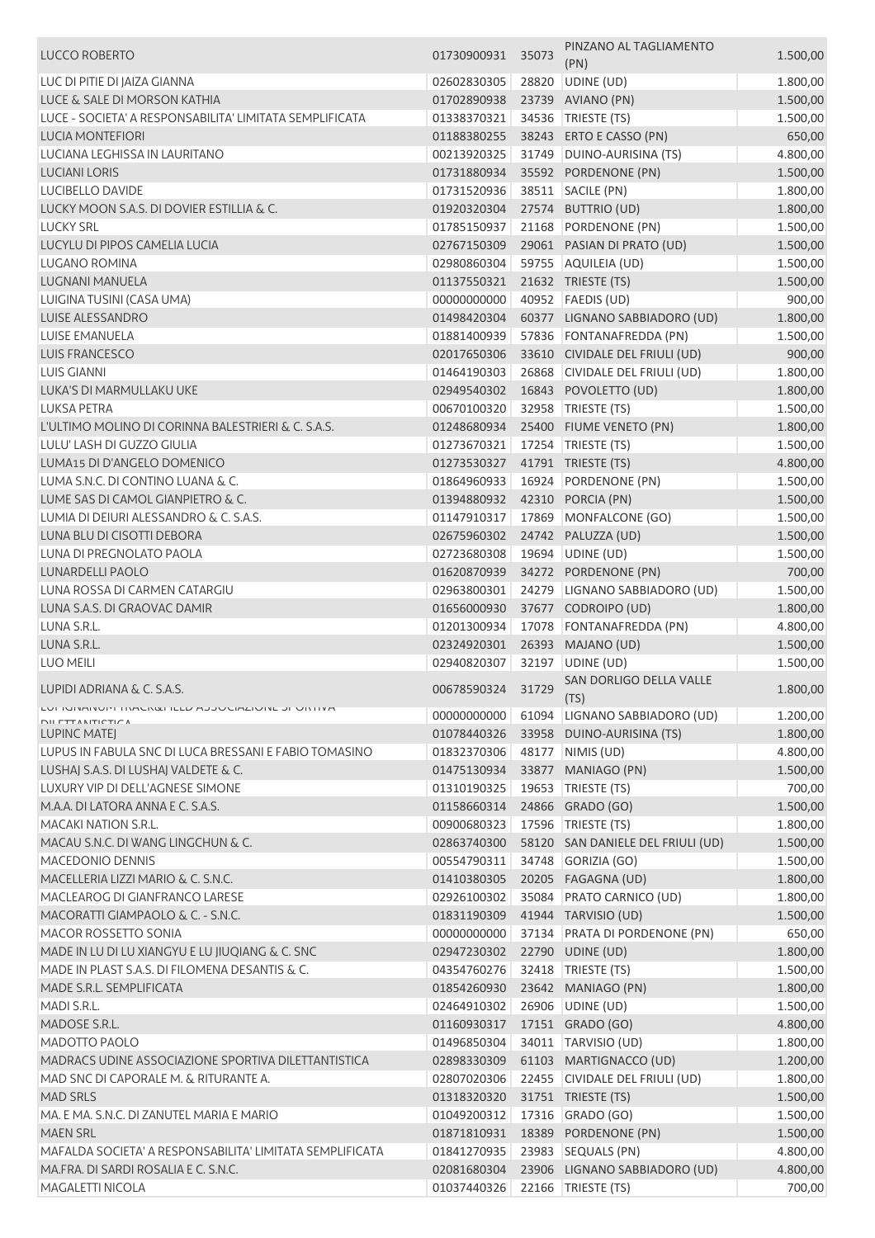| LUCCO ROBERTO                                            | 01730900931 | 35073 | PINZANO AL TAGLIAMENTO<br>(PN)    | 1.500,00 |
|----------------------------------------------------------|-------------|-------|-----------------------------------|----------|
| LUC DI PITIE DI JAIZA GIANNA                             | 02602830305 |       | 28820 UDINE (UD)                  | 1.800,00 |
| LUCE & SALE DI MORSON KATHIA                             | 01702890938 |       | 23739 AVIANO (PN)                 | 1.500,00 |
| LUCE - SOCIETA' A RESPONSABILITA' LIMITATA SEMPLIFICATA  | 01338370321 |       | 34536   TRIESTE (TS)              | 1.500,00 |
| <b>LUCIA MONTEFIORI</b>                                  | 01188380255 |       | 38243 ERTO E CASSO (PN)           | 650,00   |
| LUCIANA LEGHISSA IN LAURITANO                            | 00213920325 |       | 31749 DUINO-AURISINA (TS)         | 4.800,00 |
| <b>LUCIANI LORIS</b>                                     | 01731880934 |       | 35592 PORDENONE (PN)              | 1.500,00 |
| LUCIBELLO DAVIDE                                         | 01731520936 |       | 38511 SACILE (PN)                 | 1.800,00 |
| LUCKY MOON S.A.S. DI DOVIER ESTILLIA & C.                | 01920320304 |       | 27574 BUTTRIO (UD)                |          |
| <b>LUCKY SRL</b>                                         |             |       |                                   | 1.800,00 |
|                                                          | 01785150937 |       | 21168 PORDENONE (PN)              | 1.500,00 |
| LUCYLU DI PIPOS CAMELIA LUCIA                            | 02767150309 |       | 29061 PASIAN DI PRATO (UD)        | 1.500,00 |
| LUGANO ROMINA                                            | 02980860304 |       | 59755 AQUILEIA (UD)               | 1.500,00 |
| LUGNANI MANUELA                                          | 01137550321 |       | 21632 TRIESTE (TS)                | 1.500,00 |
| LUIGINA TUSINI (CASA UMA)                                | 00000000000 |       | 40952 FAEDIS (UD)                 | 900,00   |
| <b>LUISE ALESSANDRO</b>                                  | 01498420304 |       | 60377 LIGNANO SABBIADORO (UD)     | 1.800,00 |
| <b>LUISE EMANUELA</b>                                    | 01881400939 |       | 57836 FONTANAFREDDA (PN)          | 1.500,00 |
| <b>LUIS FRANCESCO</b>                                    | 02017650306 |       | 33610 CIVIDALE DEL FRIULI (UD)    | 900,00   |
| <b>LUIS GIANNI</b>                                       | 01464190303 |       | 26868 CIVIDALE DEL FRIULI (UD)    | 1.800,00 |
| LUKA'S DI MARMULLAKU UKE                                 | 02949540302 |       | 16843 POVOLETTO (UD)              | 1.800,00 |
| LUKSA PETRA                                              | 00670100320 |       | 32958 TRIESTE (TS)                | 1.500,00 |
| L'ULTIMO MOLINO DI CORINNA BALESTRIERI & C. S.A.S.       | 01248680934 |       | 25400 FIUME VENETO (PN)           | 1.800,00 |
| LULU' LASH DI GUZZO GIULIA                               | 01273670321 |       | 17254   TRIESTE (TS)              | 1.500,00 |
| LUMA15 DI D'ANGELO DOMENICO                              | 01273530327 |       | 41791 TRIESTE (TS)                | 4.800,00 |
| LUMA S.N.C. DI CONTINO LUANA & C.                        | 01864960933 |       | 16924 PORDENONE (PN)              | 1.500,00 |
| LUME SAS DI CAMOL GIANPIETRO & C.                        | 01394880932 |       | 42310 PORCIA (PN)                 | 1.500,00 |
| LUMIA DI DEIURI ALESSANDRO & C. S.A.S.                   | 01147910317 |       | 17869 MONFALCONE (GO)             | 1.500,00 |
| LUNA BLU DI CISOTTI DEBORA                               | 02675960302 |       | 24742 PALUZZA (UD)                | 1.500,00 |
| LUNA DI PREGNOLATO PAOLA                                 | 02723680308 |       | 19694 UDINE (UD)                  | 1.500,00 |
| <b>LUNARDELLI PAOLO</b>                                  | 01620870939 |       | 34272 PORDENONE (PN)              | 700,00   |
| LUNA ROSSA DI CARMEN CATARGIU                            | 02963800301 |       | 24279 LIGNANO SABBIADORO (UD)     | 1.500,00 |
| LUNA S.A.S. DI GRAOVAC DAMIR                             | 01656000930 |       | 37677 CODROIPO (UD)               | 1.800,00 |
| LUNA S.R.L.                                              | 01201300934 |       | 17078 FONTANAFREDDA (PN)          | 4.800,00 |
| LUNA S.R.L.                                              | 02324920301 |       | 26393 MAJANO (UD)                 | 1.500,00 |
| LUO MEILI                                                | 02940820307 |       | 32197 UDINE (UD)                  | 1.500,00 |
|                                                          |             |       | SAN DORLIGO DELLA VALLE           |          |
| LUPIDI ADRIANA & C. S.A.S.                               | 00678590324 | 31729 | (TS)                              | 1.800,00 |
| LUFIUINAINUMI IRAUN&FIELD AJJUUIAZIUNE JPURIIVA          | 00000000000 |       | 61094 LIGNANO SABBIADORO (UD)     | 1.200,00 |
| <b>NII FTTANITICTICA</b><br><b>LUPINC MATEJ</b>          | 01078440326 |       | 33958 DUINO-AURISINA (TS)         | 1.800,00 |
| LUPUS IN FABULA SNC DI LUCA BRESSANI E FABIO TOMASINO    | 01832370306 |       | 48177   NIMIS (UD)                | 4.800,00 |
| LUSHAJ S.A.S. DI LUSHAJ VALDETE & C.                     | 01475130934 |       | 33877 MANIAGO (PN)                | 1.500,00 |
| LUXURY VIP DI DELL'AGNESE SIMONE                         | 01310190325 |       | 19653   TRIESTE (TS)              | 700,00   |
|                                                          |             |       |                                   |          |
| M.A.A. DI LATORA ANNA E C. S.A.S.                        | 01158660314 |       | 24866 GRADO (GO)                  | 1.500,00 |
| <b>MACAKI NATION S.R.L.</b>                              | 00900680323 |       | 17596   TRIESTE (TS)              | 1.800,00 |
| MACAU S.N.C. DI WANG LINGCHUN & C.                       | 02863740300 |       | 58120 SAN DANIELE DEL FRIULI (UD) | 1.500,00 |
| MACEDONIO DENNIS                                         | 00554790311 |       | 34748 GORIZIA (GO)                | 1.500,00 |
| MACELLERIA LIZZI MARIO & C. S.N.C.                       | 01410380305 |       | 20205 FAGAGNA (UD)                | 1.800,00 |
| MACLEAROG DI GIANFRANCO LARESE                           | 02926100302 |       | 35084 PRATO CARNICO (UD)          | 1.800,00 |
| MACORATTI GIAMPAOLO & C. - S.N.C.                        | 01831190309 |       | 41944 TARVISIO (UD)               | 1.500,00 |
| <b>MACOR ROSSETTO SONIA</b>                              | 00000000000 |       | 37134 PRATA DI PORDENONE (PN)     | 650,00   |
| MADE IN LU DI LU XIANGYU E LU JIUQIANG & C. SNC          | 02947230302 |       | 22790 UDINE (UD)                  | 1.800,00 |
| MADE IN PLAST S.A.S. DI FILOMENA DESANTIS & C.           | 04354760276 |       | 32418   TRIESTE (TS)              | 1.500,00 |
| MADE S.R.L. SEMPLIFICATA                                 | 01854260930 |       | 23642 MANIAGO (PN)                | 1.800,00 |
| MADI S.R.L.                                              | 02464910302 | 26906 | UDINE (UD)                        | 1.500,00 |
| MADOSE S.R.L.                                            | 01160930317 |       | 17151 GRADO (GO)                  | 4.800,00 |
| MADOTTO PAOLO                                            | 01496850304 |       | 34011   TARVISIO (UD)             | 1.800,00 |
| MADRACS UDINE ASSOCIAZIONE SPORTIVA DILETTANTISTICA      | 02898330309 |       | 61103 MARTIGNACCO (UD)            | 1.200,00 |
| MAD SNC DI CAPORALE M. & RITURANTE A.                    | 02807020306 |       | 22455 CIVIDALE DEL FRIULI (UD)    | 1.800,00 |
| <b>MAD SRLS</b>                                          | 01318320320 |       | 31751 TRIESTE (TS)                | 1.500,00 |
| MA. E MA. S.N.C. DI ZANUTEL MARIA E MARIO                | 01049200312 |       | 17316 GRADO (GO)                  | 1.500,00 |
| <b>MAEN SRL</b>                                          | 01871810931 |       | 18389 PORDENONE (PN)              | 1.500,00 |
| MAFALDA SOCIETA' A RESPONSABILITA' LIMITATA SEMPLIFICATA | 01841270935 |       | 23983 SEQUALS (PN)                | 4.800,00 |
| MA.FRA. DI SARDI ROSALIA E C. S.N.C.                     | 02081680304 |       | 23906 LIGNANO SABBIADORO (UD)     | 4.800,00 |
| <b>MAGALETTI NICOLA</b>                                  | 01037440326 |       | 22166   TRIESTE (TS)              | 700,00   |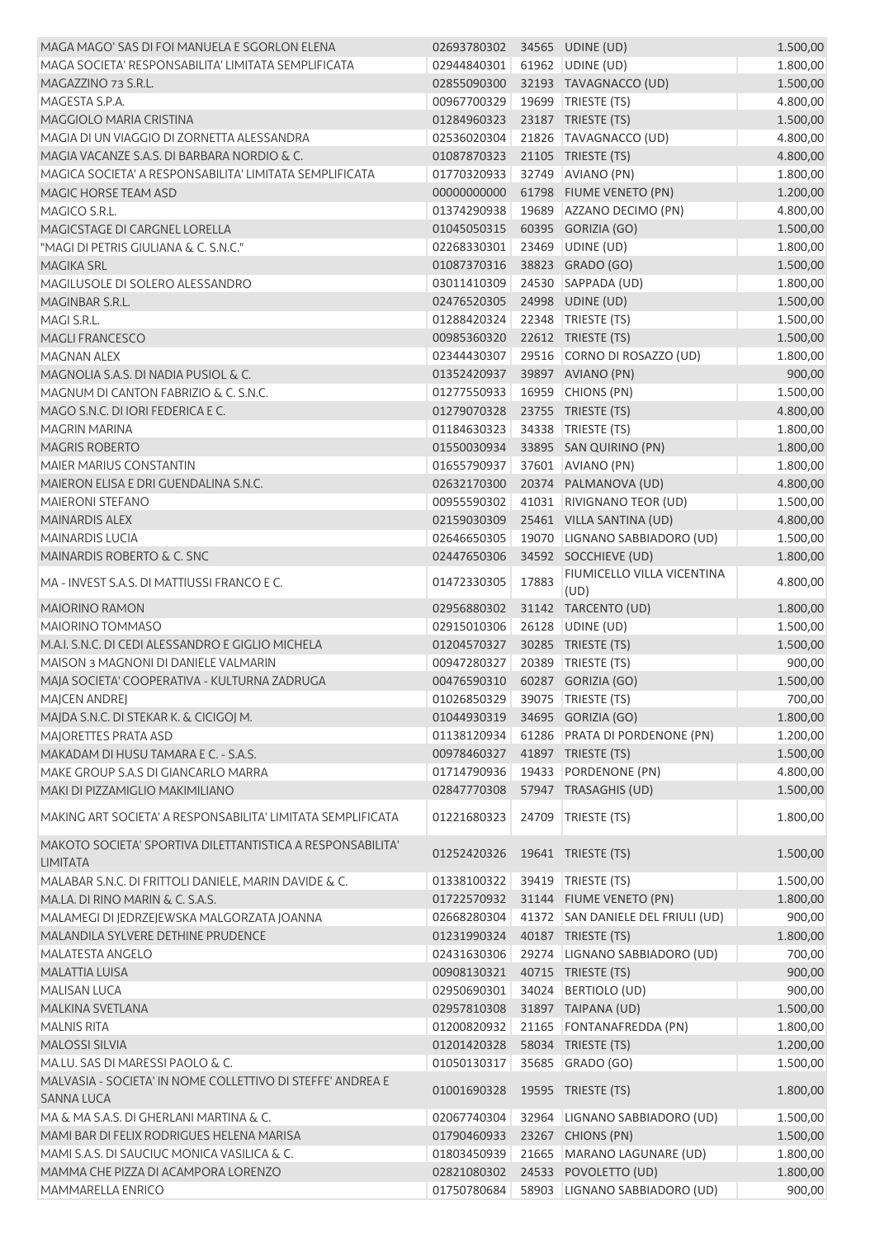| MAGA MAGO' SAS DI FOI MANUELA E SGORLON ELENA                                   | 02693780302 34565 UDINE (UD)         |       |                                                     | 1.500,00             |
|---------------------------------------------------------------------------------|--------------------------------------|-------|-----------------------------------------------------|----------------------|
| MAGA SOCIETA' RESPONSABILITA' LIMITATA SEMPLIFICATA                             | 02944840301                          |       | 61962 UDINE (UD)                                    | 1.800,00             |
| MAGAZZINO 73 S.R.L.                                                             | 02855090300                          |       | 32193 TAVAGNACCO (UD)                               | 1.500,00             |
| MAGESTA S.P.A.                                                                  | 00967700329                          |       | 19699   TRIESTE (TS)                                | 4.800,00             |
| MAGGIOLO MARIA CRISTINA                                                         | 01284960323                          |       | 23187 TRIESTE (TS)                                  | 1.500,00             |
| MAGIA DI UN VIAGGIO DI ZORNETTA ALESSANDRA                                      | 02536020304                          |       | 21826   TAVAGNACCO (UD)                             | 4.800,00             |
| MAGIA VACANZE S.A.S. DI BARBARA NORDIO & C.                                     | 01087870323                          |       | 21105 TRIESTE (TS)                                  | 4.800,00             |
| MAGICA SOCIETA' A RESPONSABILITA' LIMITATA SEMPLIFICATA                         | 01770320933                          |       | 32749 AVIANO (PN)                                   | 1.800,00             |
| MAGIC HORSE TEAM ASD                                                            | 00000000000                          |       | 61798 FIUME VENETO (PN)                             | 1.200,00             |
| MAGICO S.R.L.                                                                   | 01374290938                          |       | 19689 AZZANO DECIMO (PN)                            | 4.800,00             |
| MAGICSTAGE DI CARGNEL LORELLA                                                   | 01045050315                          |       | 60395 GORIZIA (GO)                                  | 1.500,00             |
| "MAGI DI PETRIS GIULIANA & C. S.N.C."                                           | 02268330301                          |       | 23469 UDINE (UD)                                    | 1.800,00             |
| MAGIKA SRL                                                                      | 01087370316                          |       | 38823 GRADO (GO)                                    | 1.500,00             |
| MAGILUSOLE DI SOLERO ALESSANDRO                                                 | 03011410309                          |       | 24530 SAPPADA (UD)                                  | 1.800,00             |
| MAGINBAR S.R.L.                                                                 | 02476520305                          |       | 24998 UDINE (UD)                                    | 1.500,00             |
| MAGI S.R.L.                                                                     | 01288420324                          |       | 22348 TRIESTE (TS)                                  | 1.500,00             |
| <b>MAGLI FRANCESCO</b>                                                          | 00985360320                          |       | 22612 TRIESTE (TS)                                  | 1.500,00             |
| <b>MAGNAN ALEX</b>                                                              | 02344430307                          |       | 29516 CORNO DI ROSAZZO (UD)                         | 1.800,00             |
| MAGNOLIA S.A.S. DI NADIA PUSIOL & C.                                            | 01352420937                          |       | 39897 AVIANO (PN)                                   | 900,00               |
| MAGNUM DI CANTON FABRIZIO & C. S.N.C.                                           | 01277550933                          |       | 16959 CHIONS (PN)                                   | 1.500,00             |
| MAGO S.N.C. DI IORI FEDERICA E C.                                               | 01279070328                          |       | 23755 TRIESTE (TS)                                  | 4.800,00             |
| <b>MAGRIN MARINA</b>                                                            | 01184630323                          |       | 34338 TRIESTE (TS)                                  | 1.800,00             |
| <b>MAGRIS ROBERTO</b>                                                           | 01550030934                          |       | 33895 SAN QUIRINO (PN)                              | 1.800,00             |
| <b>MAIER MARIUS CONSTANTIN</b>                                                  | 01655790937                          |       | 37601 AVIANO (PN)                                   | 1.800,00             |
| MAIERON ELISA E DRI GUENDALINA S.N.C.                                           | 02632170300                          |       | 20374 PALMANOVA (UD)                                | 4.800,00             |
| <b>MAIERONI STEFANO</b>                                                         | 00955590302                          |       | 41031 RIVIGNANO TEOR (UD)                           | 1.500,00             |
| <b>MAINARDIS ALEX</b>                                                           | 02159030309                          |       | 25461 VILLA SANTINA (UD)                            | 4.800,00             |
| <b>MAINARDIS LUCIA</b>                                                          | 02646650305                          |       | 19070 LIGNANO SABBIADORO (UD)                       | 1.500,00             |
| MAINARDIS ROBERTO & C. SNC                                                      | 02447650306                          |       | 34592 SOCCHIEVE (UD)                                | 1.800,00             |
| MA - INVEST S.A.S. DI MATTIUSSI FRANCO E C.                                     | 01472330305                          | 17883 | FIUMICELLO VILLA VICENTINA                          | 4.800,00             |
| <b>MAIORINO RAMON</b>                                                           | 02956880302                          |       | (UD)<br>31142 TARCENTO (UD)                         | 1.800,00             |
| MAIORINO TOMMASO                                                                | 02915010306                          |       |                                                     |                      |
| M.A.I. S.N.C. DI CEDI ALESSANDRO E GIGLIO MICHELA                               | 01204570327                          |       | 26128 UDINE (UD)<br>30285 TRIESTE (TS)              | 1.500,00<br>1.500,00 |
| MAISON 3 MAGNONI DI DANIELE VALMARIN                                            | 00947280327                          |       | 20389   TRIESTE (TS)                                | 900,00               |
| MAJA SOCIETA' COOPERATIVA - KULTURNA ZADRUGA                                    | 00476590310    60287    GORIZIA (GO) |       |                                                     |                      |
| MAJCEN ANDREJ                                                                   | 01026850329 39075 TRIESTE (TS)       |       |                                                     | 1.500,00<br>700,00   |
| MAJDA S.N.C. DI STEKAR K. & CICIGOJ M.                                          | 01044930319                          |       |                                                     | 1.800,00             |
| MAJORETTES PRATA ASD                                                            | 01138120934                          |       | 34695 GORIZIA (GO)<br>61286 PRATA DI PORDENONE (PN) | 1.200,00             |
| MAKADAM DI HUSU TAMARA E C. - S.A.S.                                            | 00978460327                          |       | 41897 TRIESTE (TS)                                  | 1.500,00             |
| MAKE GROUP S.A.S DI GIANCARLO MARRA                                             | 01714790936                          |       | 19433 PORDENONE (PN)                                | 4.800,00             |
| MAKI DI PIZZAMIGLIO MAKIMILIANO                                                 | 02847770308                          |       | 57947 TRASAGHIS (UD)                                | 1.500,00             |
|                                                                                 |                                      |       |                                                     |                      |
| MAKING ART SOCIETA' A RESPONSABILITA' LIMITATA SEMPLIFICATA                     | 01221680323                          |       | 24709 TRIESTE (TS)                                  | 1.800,00             |
| MAKOTO SOCIETA' SPORTIVA DILETTANTISTICA A RESPONSABILITA'<br><b>LIMITATA</b>   | 01252420326                          |       | 19641 TRIESTE (TS)                                  | 1.500,00             |
| MALABAR S.N.C. DI FRITTOLI DANIELE, MARIN DAVIDE & C.                           | 01338100322                          | 39419 | TRIESTE (TS)                                        | 1.500,00             |
| MA.LA. DI RINO MARIN & C. S.A.S.                                                | 01722570932                          |       | 31144 FIUME VENETO (PN)                             | 1.800,00             |
| MALAMEGI DI JEDRZEJEWSKA MALGORZATA JOANNA                                      | 02668280304                          |       | 41372 SAN DANIELE DEL FRIULI (UD)                   | 900,00               |
| MALANDILA SYLVERE DETHINE PRUDENCE                                              | 01231990324                          |       | 40187 TRIESTE (TS)                                  | 1.800,00             |
| <b>MALATESTA ANGELO</b>                                                         | 02431630306                          |       | 29274 LIGNANO SABBIADORO (UD)                       | 700,00               |
| <b>MALATTIA LUISA</b>                                                           | 00908130321                          |       | 40715 TRIESTE (TS)                                  | 900,00               |
| <b>MALISAN LUCA</b>                                                             | 02950690301                          |       | 34024 BERTIOLO (UD)                                 | 900,00               |
| MALKINA SVETLANA                                                                | 02957810308                          |       | 31897 TAIPANA (UD)                                  | 1.500,00             |
| <b>MALNIS RITA</b>                                                              | 01200820932                          |       | 21165 FONTANAFREDDA (PN)                            | 1.800,00             |
| <b>MALOSSI SILVIA</b>                                                           | 01201420328                          |       | 58034 TRIESTE (TS)                                  | 1.200,00             |
| MA.LU. SAS DI MARESSI PAOLO & C.                                                | 01050130317                          |       | 35685 GRADO (GO)                                    | 1.500,00             |
| MALVASIA - SOCIETA' IN NOME COLLETTIVO DI STEFFE' ANDREA E<br><b>SANNA LUCA</b> | 01001690328                          |       | 19595 TRIESTE (TS)                                  | 1.800,00             |
| MA & MA S.A.S. DI GHERLANI MARTINA & C.                                         | 02067740304                          |       | 32964 LIGNANO SABBIADORO (UD)                       | 1.500,00             |
| MAMI BAR DI FELIX RODRIGUES HELENA MARISA                                       | 01790460933                          |       | 23267 CHIONS (PN)                                   | 1.500,00             |
| MAMI S.A.S. DI SAUCIUC MONICA VASILICA & C.                                     | 01803450939                          |       | 21665 MARANO LAGUNARE (UD)                          | 1.800,00             |
| MAMMA CHE PIZZA DI ACAMPORA LORENZO                                             | 02821080302                          |       | 24533 POVOLETTO (UD)                                | 1.800,00             |
| MAMMARELLA ENRICO                                                               | 01750780684                          |       | 58903 LIGNANO SABBIADORO (UD)                       | 900,00               |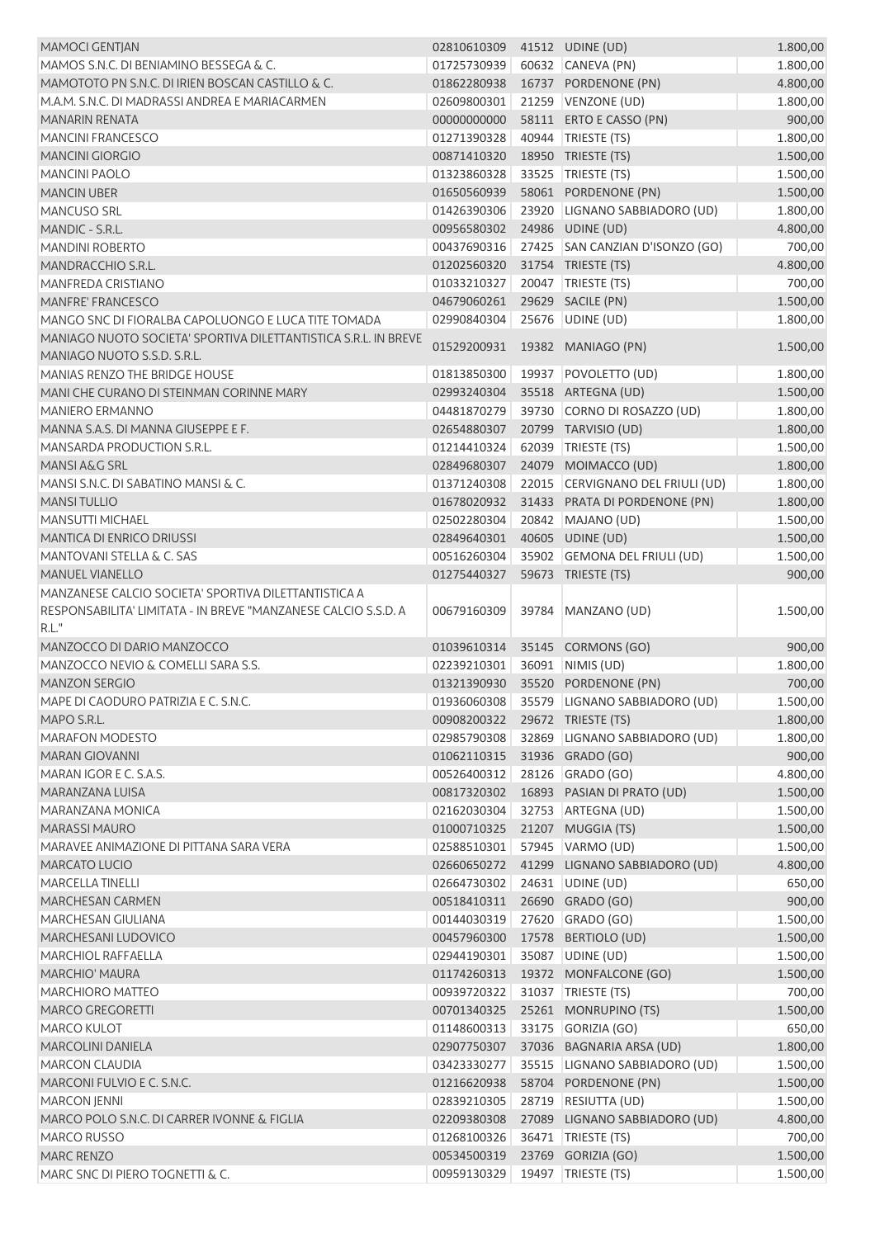| MAMOCI GENTJAN                                                  | 02810610309 | 41512 UDINE (UD)                 | 1.800,00 |
|-----------------------------------------------------------------|-------------|----------------------------------|----------|
| MAMOS S.N.C. DI BENIAMINO BESSEGA & C.                          | 01725730939 | 60632 CANEVA (PN)                | 1.800,00 |
| MAMOTOTO PN S.N.C. DI IRIEN BOSCAN CASTILLO & C.                | 01862280938 | 16737 PORDENONE (PN)             | 4.800,00 |
| M.A.M. S.N.C. DI MADRASSI ANDREA E MARIACARMEN                  | 02609800301 | 21259 VENZONE (UD)               | 1.800,00 |
| <b>MANARIN RENATA</b>                                           | 00000000000 | 58111 ERTO E CASSO (PN)          | 900,00   |
| <b>MANCINI FRANCESCO</b>                                        | 01271390328 | 40944 TRIESTE (TS)               | 1.800,00 |
| <b>MANCINI GIORGIO</b>                                          | 00871410320 | 18950 TRIESTE (TS)               | 1.500,00 |
| <b>MANCINI PAOLO</b>                                            | 01323860328 | 33525   TRIESTE (TS)             | 1.500,00 |
| <b>MANCIN UBER</b>                                              | 01650560939 | 58061 PORDENONE (PN)             | 1.500,00 |
| <b>MANCUSO SRL</b>                                              | 01426390306 | 23920 LIGNANO SABBIADORO (UD)    | 1.800,00 |
| MANDIC - S.R.L.                                                 | 00956580302 | 24986 UDINE (UD)                 | 4.800,00 |
| <b>MANDINI ROBERTO</b>                                          | 00437690316 | 27425 SAN CANZIAN D'ISONZO (GO)  | 700,00   |
| MANDRACCHIO S.R.L.                                              | 01202560320 | 31754 TRIESTE (TS)               | 4.800,00 |
| MANFREDA CRISTIANO                                              | 01033210327 | 20047   TRIESTE (TS)             | 700,00   |
| MANFRE' FRANCESCO                                               | 04679060261 | 29629 SACILE (PN)                | 1.500,00 |
| MANGO SNC DI FIORALBA CAPOLUONGO E LUCA TITE TOMADA             | 02990840304 | 25676 UDINE (UD)                 | 1.800,00 |
| MANIAGO NUOTO SOCIETA' SPORTIVA DILETTANTISTICA S.R.L. IN BREVE |             |                                  |          |
| MANIAGO NUOTO S.S.D. S.R.L.                                     |             | 01529200931  19382  MANIAGO (PN) | 1.500,00 |
|                                                                 |             |                                  |          |
| MANIAS RENZO THE BRIDGE HOUSE                                   | 01813850300 | 19937 POVOLETTO (UD)             | 1.800,00 |
| MANI CHE CURANO DI STEINMAN CORINNE MARY                        | 02993240304 | 35518 ARTEGNA (UD)               | 1.500,00 |
| <b>MANIERO ERMANNO</b>                                          | 04481870279 | 39730 CORNO DI ROSAZZO (UD)      | 1.800,00 |
| MANNA S.A.S. DI MANNA GIUSEPPE E F.                             | 02654880307 | 20799 TARVISIO (UD)              | 1.800,00 |
| MANSARDA PRODUCTION S.R.L.                                      | 01214410324 | 62039 TRIESTE (TS)               | 1.500,00 |
| MANSI A&G SRL                                                   | 02849680307 | 24079 MOIMACCO (UD)              | 1.800,00 |
| MANSI S.N.C. DI SABATINO MANSI & C.                             | 01371240308 | 22015 CERVIGNANO DEL FRIULI (UD) | 1.800,00 |
| <b>MANSI TULLIO</b>                                             | 01678020932 | 31433 PRATA DI PORDENONE (PN)    | 1.800,00 |
| <b>MANSUTTI MICHAEL</b>                                         | 02502280304 | 20842 MAJANO (UD)                | 1.500,00 |
| <b>MANTICA DI ENRICO DRIUSSI</b>                                | 02849640301 | 40605 UDINE (UD)                 | 1.500,00 |
| MANTOVANI STELLA & C. SAS                                       | 00516260304 | 35902 GEMONA DEL FRIULI (UD)     | 1.500,00 |
| <b>MANUEL VIANELLO</b>                                          | 01275440327 | 59673 TRIESTE (TS)               | 900,00   |
| MANZANESE CALCIO SOCIETA' SPORTIVA DILETTANTISTICA A            |             |                                  |          |
| RESPONSABILITA' LIMITATA - IN BREVE "MANZANESE CALCIO S.S.D. A  | 00679160309 | 39784   MANZANO (UD)             | 1.500,00 |
| R.L."                                                           |             |                                  |          |
| MANZOCCO DI DARIO MANZOCCO                                      | 01039610314 | 35145 CORMONS (GO)               | 900,00   |
| MANZOCCO NEVIO & COMELLI SARA S.S.                              | 02239210301 | 36091 NIMIS (UD)                 | 1.800,00 |
| <b>MANZON SERGIO</b>                                            |             | 01321390930 35520 PORDENONE (PN) | 700,00   |
| MAPE DI CAODURO PATRIZIA E C. S.N.C.                            | 01936060308 | 35579 LIGNANO SABBIADORO (UD)    | 1.500,00 |
| MAPO S.R.L.                                                     | 00908200322 | 29672 TRIESTE (TS)               | 1.800,00 |
| <b>MARAFON MODESTO</b>                                          | 02985790308 | 32869 LIGNANO SABBIADORO (UD)    | 1.800,00 |
|                                                                 |             |                                  |          |
| <b>MARAN GIOVANNI</b>                                           | 01062110315 | 31936 GRADO (GO)                 | 900,00   |
| MARAN IGOR E C. S.A.S.                                          | 00526400312 | 28126 GRADO (GO)                 | 4.800,00 |
| MARANZANA LUISA                                                 | 00817320302 | 16893 PASIAN DI PRATO (UD)       | 1.500,00 |
| MARANZANA MONICA                                                | 02162030304 | 32753 ARTEGNA (UD)               | 1.500,00 |
| <b>MARASSI MAURO</b>                                            | 01000710325 | 21207 MUGGIA (TS)                | 1.500,00 |
| MARAVEE ANIMAZIONE DI PITTANA SARA VERA                         | 02588510301 | 57945 VARMO (UD)                 | 1.500,00 |
| <b>MARCATO LUCIO</b>                                            | 02660650272 | 41299 LIGNANO SABBIADORO (UD)    | 4.800,00 |
| <b>MARCELLA TINELLI</b>                                         | 02664730302 | 24631   UDINE (UD)               | 650,00   |
| <b>MARCHESAN CARMEN</b>                                         | 00518410311 | 26690 GRADO (GO)                 | 900,00   |
| <b>MARCHESAN GIULIANA</b>                                       | 00144030319 | 27620 GRADO (GO)                 | 1.500,00 |
| MARCHESANI LUDOVICO                                             | 00457960300 | 17578 BERTIOLO (UD)              | 1.500,00 |
| <b>MARCHIOL RAFFAELLA</b>                                       | 02944190301 | 35087 UDINE (UD)                 | 1.500,00 |
| <b>MARCHIO' MAURA</b>                                           | 01174260313 | 19372 MONFALCONE (GO)            | 1.500,00 |
| <b>MARCHIORO MATTEO</b>                                         | 00939720322 | 31037 TRIESTE (TS)               | 700,00   |
| <b>MARCO GREGORETTI</b>                                         | 00701340325 | 25261 MONRUPINO (TS)             | 1.500,00 |
| MARCO KULOT                                                     | 01148600313 | 33175 GORIZIA (GO)               | 650,00   |
| <b>MARCOLINI DANIELA</b>                                        | 02907750307 | 37036 BAGNARIA ARSA (UD)         | 1.800,00 |
| <b>MARCON CLAUDIA</b>                                           | 03423330277 | 35515 LIGNANO SABBIADORO (UD)    | 1.500,00 |
| MARCONI FULVIO E C. S.N.C.                                      | 01216620938 | 58704 PORDENONE (PN)             | 1.500,00 |
| <b>MARCON JENNI</b>                                             | 02839210305 | 28719 RESIUTTA (UD)              | 1.500,00 |
| MARCO POLO S.N.C. DI CARRER IVONNE & FIGLIA                     | 02209380308 | 27089 LIGNANO SABBIADORO (UD)    | 4.800,00 |
| MARCO RUSSO                                                     | 01268100326 | 36471   TRIESTE (TS)             | 700,00   |
|                                                                 |             |                                  |          |
| MARC RENZO                                                      | 00534500319 | 23769 GORIZIA (GO)               | 1.500,00 |
| MARC SNC DI PIERO TOGNETTI & C.                                 | 00959130329 | 19497 TRIESTE (TS)               | 1.500,00 |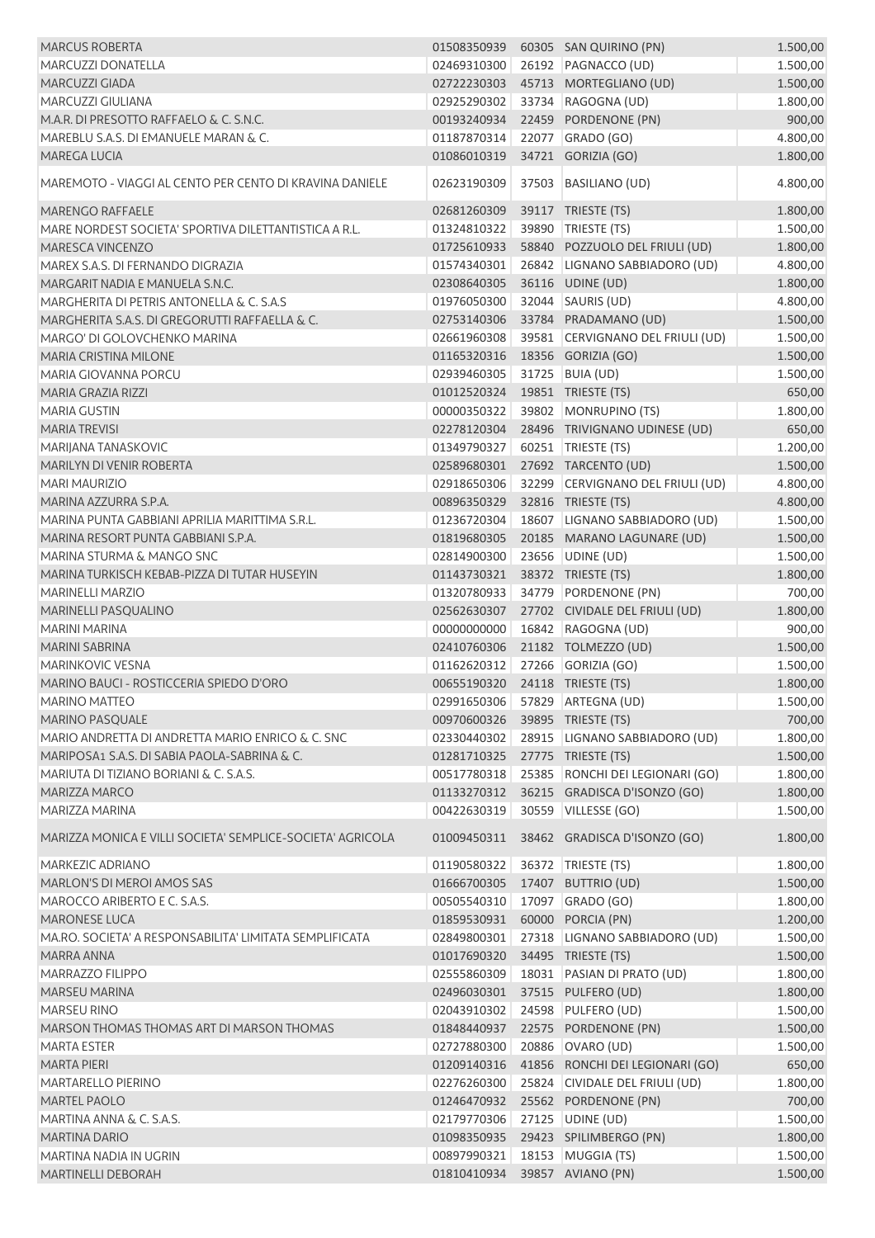| <b>MARCUS ROBERTA</b>                                           | 01508350939                |       | 60305 SAN QUIRINO (PN)                                            | 1.500,00             |
|-----------------------------------------------------------------|----------------------------|-------|-------------------------------------------------------------------|----------------------|
| MARCUZZI DONATELLA                                              | 02469310300                |       | 26192 PAGNACCO (UD)                                               | 1.500,00             |
| <b>MARCUZZI GIADA</b>                                           | 02722230303                |       | 45713 MORTEGLIANO (UD)                                            | 1.500,00             |
| MARCUZZI GIULIANA                                               | 02925290302                |       | 33734 RAGOGNA (UD)                                                | 1.800,00             |
| M.A.R. DI PRESOTTO RAFFAELO & C. S.N.C.                         | 00193240934                |       | 22459 PORDENONE (PN)                                              | 900,00               |
| MAREBLU S.A.S. DI EMANUELE MARAN & C.                           | 01187870314                |       | 22077 GRADO (GO)                                                  | 4.800,00             |
| MAREGA LUCIA                                                    | 01086010319                |       | 34721 GORIZIA (GO)                                                | 1.800,00             |
| MAREMOTO - VIAGGI AL CENTO PER CENTO DI KRAVINA DANIELE         | 02623190309                | 37503 | <b>BASILIANO (UD)</b>                                             | 4.800,00             |
| <b>MARENGO RAFFAELE</b>                                         | 02681260309                |       | 39117 TRIESTE (TS)                                                | 1.800,00             |
| MARE NORDEST SOCIETA' SPORTIVA DILETTANTISTICA A R.L.           | 01324810322                |       | 39890 TRIESTE (TS)                                                | 1.500,00             |
| MARESCA VINCENZO                                                | 01725610933                |       | 58840 POZZUOLO DEL FRIULI (UD)                                    | 1.800,00             |
| MAREX S.A.S. DI FERNANDO DIGRAZIA                               | 01574340301                |       | 26842 LIGNANO SABBIADORO (UD)                                     | 4.800,00             |
| MARGARIT NADIA E MANUELA S.N.C.                                 | 02308640305                |       | 36116 UDINE (UD)                                                  | 1.800,00             |
| MARGHERITA DI PETRIS ANTONELLA & C. S.A.S                       | 01976050300                |       | 32044 SAURIS (UD)                                                 | 4.800,00             |
| MARGHERITA S.A.S. DI GREGORUTTI RAFFAELLA & C.                  | 02753140306                |       | 33784 PRADAMANO (UD)                                              | 1.500,00             |
| MARGO' DI GOLOVCHENKO MARINA                                    | 02661960308                |       | 39581 CERVIGNANO DEL FRIULI (UD)                                  | 1.500,00             |
| MARIA CRISTINA MILONE                                           | 01165320316                |       | 18356 GORIZIA (GO)                                                | 1.500,00             |
| MARIA GIOVANNA PORCU                                            | 02939460305                |       | 31725 BUIA (UD)                                                   | 1.500,00             |
| MARIA GRAZIA RIZZI                                              | 01012520324                |       | 19851 TRIESTE (TS)                                                | 650,00               |
| <b>MARIA GUSTIN</b>                                             | 00000350322                |       | 39802 MONRUPINO (TS)                                              | 1.800,00             |
| <b>MARIA TREVISI</b>                                            | 02278120304                |       | 28496 TRIVIGNANO UDINESE (UD)                                     | 650,00               |
| MARIJANA TANASKOVIC                                             | 01349790327                |       | 60251 TRIESTE (TS)                                                | 1.200,00             |
| MARILYN DI VENIR ROBERTA                                        | 02589680301                |       | 27692 TARCENTO (UD)                                               | 1.500,00             |
| <b>MARI MAURIZIO</b>                                            | 02918650306                |       | 32299 CERVIGNANO DEL FRIULI (UD)                                  | 4.800,00             |
| MARINA AZZURRA S.P.A.                                           | 00896350329                |       | 32816 TRIESTE (TS)                                                | 4.800,00             |
| MARINA PUNTA GABBIANI APRILIA MARITTIMA S.R.L.                  | 01236720304                |       | 18607 LIGNANO SABBIADORO (UD)                                     | 1.500,00             |
| MARINA RESORT PUNTA GABBIANI S.P.A.                             | 01819680305                |       | 20185 MARANO LAGUNARE (UD)                                        | 1.500,00             |
| <b>MARINA STURMA &amp; MANGO SNC</b>                            | 02814900300                |       | 23656 UDINE (UD)                                                  | 1.500,00             |
| MARINA TURKISCH KEBAB-PIZZA DI TUTAR HUSEYIN                    | 01143730321                |       | 38372 TRIESTE (TS)                                                | 1.800,00             |
| <b>MARINELLI MARZIO</b>                                         | 01320780933                |       | 34779 PORDENONE (PN)                                              | 700,00               |
| MARINELLI PASQUALINO                                            | 02562630307                |       | 27702 CIVIDALE DEL FRIULI (UD)                                    | 1.800,00             |
| <b>MARINI MARINA</b>                                            | 00000000000                |       | 16842 RAGOGNA (UD)                                                | 900,00               |
| <b>MARINI SABRINA</b>                                           | 02410760306                |       | 21182 TOLMEZZO (UD)                                               | 1.500,00             |
| MARINKOVIC VESNA                                                | 01162620312                |       | 27266 GORIZIA (GO)                                                | 1.500,00             |
| MARINO BAUCI - ROSTICCERIA SPIEDO D'ORO                         | 00655190320                |       | 24118 TRIESTE (TS)                                                | 1.800,00             |
| MARINO MATTEO                                                   | 02991650306                |       | 57829 ARTEGNA (UD)                                                | 1.500,00             |
| <b>MARINO PASQUALE</b>                                          | 00970600326                |       | 39895 TRIESTE (TS)                                                | 700,00               |
| MARIO ANDRETTA DI ANDRETTA MARIO ENRICO & C. SNC                | 02330440302                |       | 28915 LIGNANO SABBIADORO (UD)                                     | 1.800,00             |
| MARIPOSA1 S.A.S. DI SABIA PAOLA-SABRINA & C.                    | 01281710325                |       | 27775 TRIESTE (TS)                                                | 1.500,00             |
| MARIUTA DI TIZIANO BORIANI & C. S.A.S.                          | 00517780318                | 25385 | RONCHI DEI LEGIONARI (GO)                                         | 1.800,00             |
| MARIZZA MARCO                                                   | 01133270312                |       | 36215 GRADISCA D'ISONZO (GO)                                      | 1.800,00             |
| MARIZZA MARINA                                                  | 00422630319                |       | 30559 VILLESSE (GO)                                               | 1.500,00             |
| MARIZZA MONICA E VILLI SOCIETA' SEMPLICE-SOCIETA' AGRICOLA      | 01009450311                |       | 38462 GRADISCA D'ISONZO (GO)                                      | 1.800,00             |
| MARKEZIC ADRIANO                                                | 01190580322                |       | 36372 TRIESTE (TS)                                                | 1.800,00             |
| MARLON'S DI MEROI AMOS SAS                                      | 01666700305                |       | 17407 BUTTRIO (UD)                                                | 1.500,00             |
| MAROCCO ARIBERTO E C. S.A.S.                                    | 00505540310                |       | 17097 GRADO (GO)                                                  | 1.800,00             |
| <b>MARONESE LUCA</b>                                            | 01859530931                |       | 60000 PORCIA (PN)                                                 | 1.200,00             |
| MA.RO. SOCIETA' A RESPONSABILITA' LIMITATA SEMPLIFICATA         | 02849800301                |       | 27318 LIGNANO SABBIADORO (UD)                                     | 1.500,00             |
| MARRA ANNA                                                      | 01017690320                |       | 34495 TRIESTE (TS)                                                | 1.500,00             |
| MARRAZZO FILIPPO                                                | 02555860309                |       | 18031   PASIAN DI PRATO (UD)                                      | 1.800,00             |
| <b>MARSEU MARINA</b>                                            | 02496030301                |       | 37515 PULFERO (UD)                                                | 1.800,00             |
| <b>MARSEU RINO</b>                                              | 02043910302                |       | 24598 PULFERO (UD)                                                |                      |
|                                                                 |                            |       |                                                                   | 1.500,00             |
| MARSON THOMAS THOMAS ART DI MARSON THOMAS<br><b>MARTA ESTER</b> | 01848440937<br>02727880300 |       | 22575 PORDENONE (PN)<br>20886 OVARO (UD)                          | 1.500,00             |
| <b>MARTA PIERI</b>                                              | 01209140316                |       |                                                                   | 1.500,00             |
| <b>MARTARELLO PIERINO</b>                                       | 02276260300                |       | 41856 RONCHI DEI LEGIONARI (GO)<br>25824 CIVIDALE DEL FRIULI (UD) | 650,00<br>1.800,00   |
| MARTEL PAOLO                                                    |                            |       |                                                                   |                      |
| MARTINA ANNA & C. S.A.S.                                        | 01246470932                |       | 25562 PORDENONE (PN)                                              | 700,00               |
| <b>MARTINA DARIO</b>                                            | 02179770306<br>01098350935 |       | 27125 UDINE (UD)<br>29423 SPILIMBERGO (PN)                        | 1.500,00<br>1.800,00 |
| MARTINA NADIA IN UGRIN                                          | 00897990321                |       | 18153 MUGGIA (TS)                                                 | 1.500,00             |
| <b>MARTINELLI DEBORAH</b>                                       | 01810410934                |       | 39857 AVIANO (PN)                                                 | 1.500,00             |
|                                                                 |                            |       |                                                                   |                      |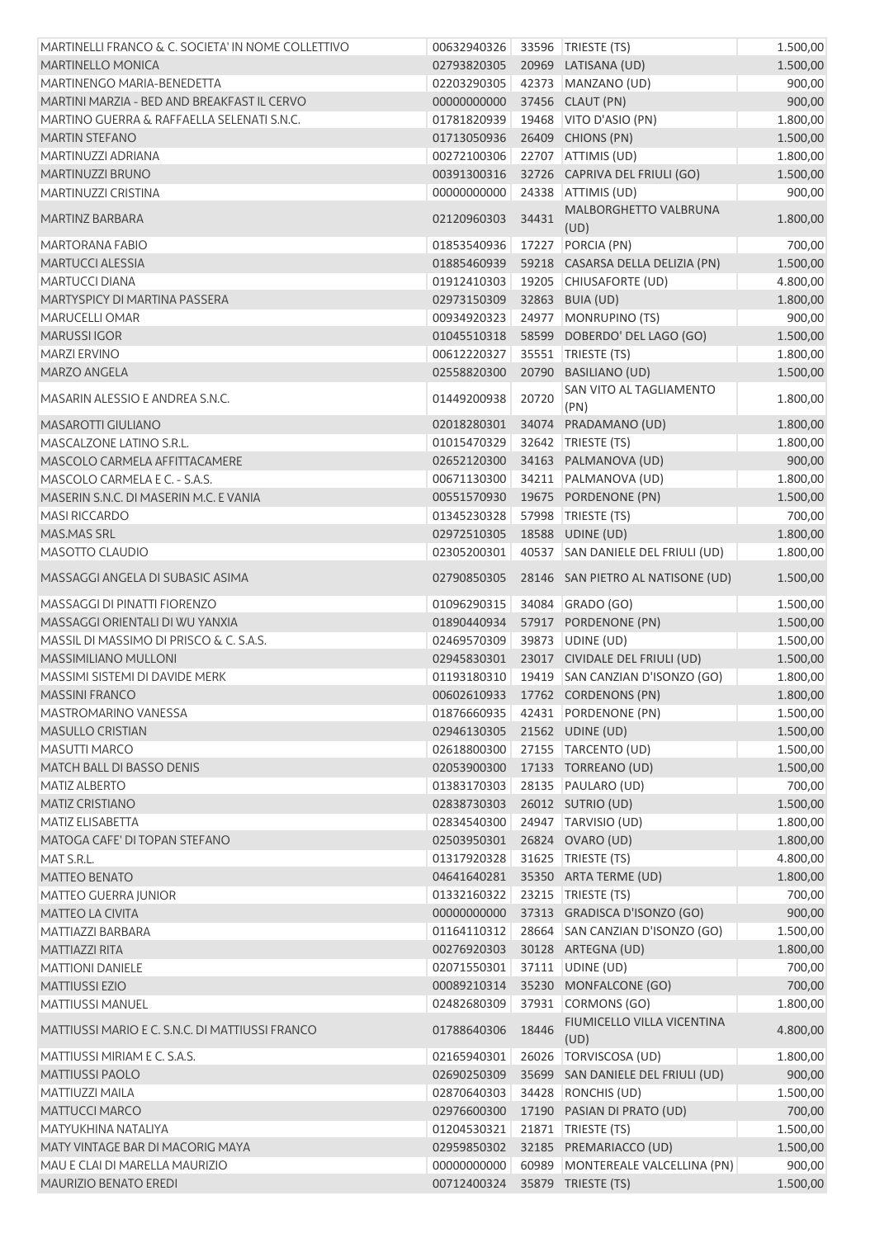| MARTINELLI FRANCO & C. SOCIETA' IN NOME COLLETTIVO | 00632940326                    |       | 33596   TRIESTE (TS)               | 1.500,00 |
|----------------------------------------------------|--------------------------------|-------|------------------------------------|----------|
| <b>MARTINELLO MONICA</b>                           | 02793820305                    |       | 20969 LATISANA (UD)                | 1.500,00 |
| MARTINENGO MARIA-BENEDETTA                         | 02203290305                    |       | 42373 MANZANO (UD)                 | 900,00   |
| MARTINI MARZIA - BED AND BREAKFAST IL CERVO        | 00000000000                    |       | 37456 CLAUT (PN)                   | 900,00   |
| MARTINO GUERRA & RAFFAELLA SELENATI S.N.C.         | 01781820939                    |       | 19468   VITO D'ASIO (PN)           | 1.800,00 |
| <b>MARTIN STEFANO</b>                              | 01713050936                    |       | 26409 CHIONS (PN)                  | 1.500,00 |
| MARTINUZZI ADRIANA                                 | 00272100306                    |       | 22707 ATTIMIS (UD)                 | 1.800,00 |
| MARTINUZZI BRUNO                                   | 00391300316                    |       | 32726 CAPRIVA DEL FRIULI (GO)      | 1.500,00 |
| MARTINUZZI CRISTINA                                | 00000000000                    |       | 24338 ATTIMIS (UD)                 | 900,00   |
| MARTINZ BARBARA                                    | 02120960303                    | 34431 | MALBORGHETTO VALBRUNA<br>(UD)      | 1.800,00 |
| MARTORANA FABIO                                    | 01853540936                    | 17227 | PORCIA (PN)                        | 700,00   |
| MARTUCCI ALESSIA                                   | 01885460939                    |       | 59218 CASARSA DELLA DELIZIA (PN)   | 1.500,00 |
| <b>MARTUCCI DIANA</b>                              | 01912410303                    |       | 19205 CHIUSAFORTE (UD)             | 4.800,00 |
| MARTYSPICY DI MARTINA PASSERA                      | 02973150309                    |       | 32863 BUIA (UD)                    | 1.800,00 |
| MARUCELLI OMAR                                     | 00934920323                    | 24977 | MONRUPINO (TS)                     | 900,00   |
| <b>MARUSSIIGOR</b>                                 | 01045510318                    |       | 58599 DOBERDO' DEL LAGO (GO)       | 1.500,00 |
| <b>MARZI ERVINO</b>                                | 00612220327                    |       | 35551 TRIESTE (TS)                 | 1.800,00 |
| MARZO ANGELA                                       | 02558820300                    |       | 20790 BASILIANO (UD)               | 1.500,00 |
| MASARIN ALESSIO E ANDREA S.N.C.                    | 01449200938                    | 20720 | SAN VITO AL TAGLIAMENTO<br>(PN)    | 1.800,00 |
| MASAROTTI GIULIANO                                 | 02018280301                    |       | 34074 PRADAMANO (UD)               | 1.800,00 |
| MASCALZONE LATINO S.R.L.                           | 01015470329                    |       | 32642 TRIESTE (TS)                 | 1.800,00 |
| MASCOLO CARMELA AFFITTACAMERE                      | 02652120300                    |       | 34163 PALMANOVA (UD)               | 900,00   |
| MASCOLO CARMELA E C. - S.A.S.                      | 00671130300                    |       | 34211 PALMANOVA (UD)               | 1.800,00 |
| MASERIN S.N.C. DI MASERIN M.C. E VANIA             | 00551570930                    |       | 19675 PORDENONE (PN)               | 1.500,00 |
| <b>MASI RICCARDO</b>                               | 01345230328                    |       | 57998   TRIESTE (TS)               | 700,00   |
| <b>MAS.MAS SRL</b>                                 | 02972510305                    |       | 18588 UDINE (UD)                   | 1.800,00 |
| MASOTTO CLAUDIO                                    | 02305200301                    |       | 40537 SAN DANIELE DEL FRIULI (UD)  | 1.800,00 |
| MASSAGGI ANGELA DI SUBASIC ASIMA                   | 02790850305                    |       | 28146 SAN PIETRO AL NATISONE (UD)  | 1.500,00 |
|                                                    |                                |       |                                    |          |
| MASSAGGI DI PINATTI FIORENZO                       | 01096290315                    |       | 34084 GRADO (GO)                   | 1.500,00 |
| MASSAGGI ORIENTALI DI WU YANXIA                    | 01890440934                    |       | 57917 PORDENONE (PN)               | 1.500,00 |
| MASSIL DI MASSIMO DI PRISCO & C. S.A.S.            | 02469570309                    |       | 39873 UDINE (UD)                   | 1.500,00 |
| MASSIMILIANO MULLONI                               | 02945830301                    |       | 23017 CIVIDALE DEL FRIULI (UD)     | 1.500,00 |
| MASSIMI SISTEMI DI DAVIDE MERK                     | 01193180310                    |       | 19419 SAN CANZIAN D'ISONZO (GO)    | 1.800,00 |
| <b>MASSINI FRANCO</b>                              |                                |       | 00602610933 17762 CORDENONS (PN)   | 1.800,00 |
| <b>MASTROMARINO VANESSA</b>                        |                                |       | 01876660935 42431 PORDENONE (PN)   | 1.500,00 |
| <b>MASULLO CRISTIAN</b>                            | 02946130305                    |       | 21562 UDINE (UD)                   | 1.500,00 |
| <b>MASUTTI MARCO</b>                               | 02618800300                    |       | 27155 TARCENTO (UD)                | 1.500,00 |
| <b>MATCH BALL DI BASSO DENIS</b>                   | 02053900300                    |       | 17133 TORREANO (UD)                | 1.500,00 |
| <b>MATIZ ALBERTO</b>                               | 01383170303                    |       | 28135 PAULARO (UD)                 | 700,00   |
| <b>MATIZ CRISTIANO</b>                             | 02838730303                    |       | 26012 SUTRIO (UD)                  | 1.500,00 |
| <b>MATIZ ELISABETTA</b>                            | 02834540300                    |       | 24947 TARVISIO (UD)                | 1.800,00 |
| MATOGA CAFE' DI TOPAN STEFANO                      | 02503950301                    |       | 26824 OVARO (UD)                   | 1.800,00 |
| MAT S.R.L.                                         | 01317920328                    |       | 31625 TRIESTE (TS)                 | 4.800,00 |
| <b>MATTEO BENATO</b>                               | 04641640281                    |       | 35350 ARTA TERME (UD)              | 1.800,00 |
| <b>MATTEO GUERRA JUNIOR</b>                        | 01332160322                    |       | 23215   TRIESTE (TS)               | 700,00   |
| <b>MATTEO LA CIVITA</b>                            | 00000000000                    |       | 37313 GRADISCA D'ISONZO (GO)       | 900,00   |
| MATTIAZZI BARBARA                                  | 01164110312                    |       | 28664 SAN CANZIAN D'ISONZO (GO)    | 1.500,00 |
| MATTIAZZI RITA                                     | 00276920303                    |       | 30128 ARTEGNA (UD)                 | 1.800,00 |
| <b>MATTIONI DANIELE</b>                            | 02071550301                    |       | 37111 UDINE (UD)                   | 700,00   |
| <b>MATTIUSSI EZIO</b>                              | 00089210314                    |       | 35230 MONFALCONE (GO)              | 700,00   |
| <b>MATTIUSSI MANUEL</b>                            | 02482680309                    |       | 37931 CORMONS (GO)                 | 1.800,00 |
| MATTIUSSI MARIO E C. S.N.C. DI MATTIUSSI FRANCO    | 01788640306                    | 18446 | FIUMICELLO VILLA VICENTINA<br>(UD) | 4.800,00 |
| MATTIUSSI MIRIAM E C. S.A.S.                       | 02165940301                    |       | 26026   TORVISCOSA (UD)            | 1.800,00 |
| <b>MATTIUSSI PAOLO</b>                             | 02690250309                    |       | 35699 SAN DANIELE DEL FRIULI (UD)  | 900,00   |
| <b>MATTIUZZI MAILA</b>                             | 02870640303                    |       | 34428 RONCHIS (UD)                 | 1.500,00 |
| <b>MATTUCCI MARCO</b>                              | 02976600300                    |       | 17190 PASIAN DI PRATO (UD)         | 700,00   |
| MATYUKHINA NATALIYA                                | 01204530321                    |       | 21871 TRIESTE (TS)                 | 1.500,00 |
| MATY VINTAGE BAR DI MACORIG MAYA                   | 02959850302                    |       | 32185 PREMARIACCO (UD)             | 1.500,00 |
| MAU E CLAI DI MARELLA MAURIZIO                     | 00000000000                    |       | 60989 MONTEREALE VALCELLINA (PN)   | 900,00   |
| MAURIZIO BENATO EREDI                              | 00712400324 35879 TRIESTE (TS) |       |                                    | 1.500,00 |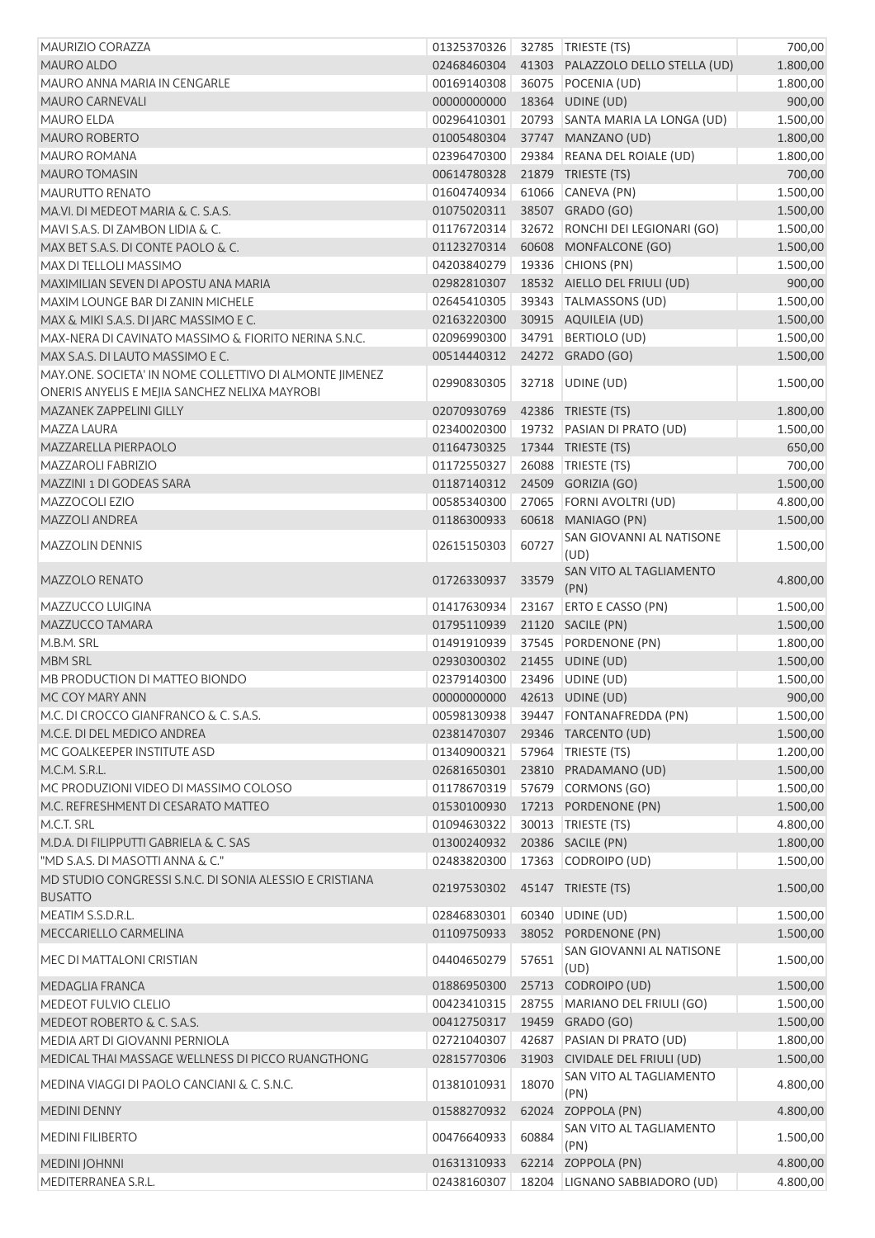| <b>MAURIZIO CORAZZA</b>                                 | 01325370326                    |       | 32785 TRIESTE (TS)                                        | 700,00   |
|---------------------------------------------------------|--------------------------------|-------|-----------------------------------------------------------|----------|
| <b>MAURO ALDO</b>                                       | 02468460304                    |       | 41303 PALAZZOLO DELLO STELLA (UD)                         | 1.800,00 |
| MAURO ANNA MARIA IN CENGARLE                            | 00169140308                    |       | 36075 POCENIA (UD)                                        | 1.800,00 |
| <b>MAURO CARNEVALI</b>                                  | 00000000000                    |       | 18364 UDINE (UD)                                          | 900,00   |
| MAURO ELDA                                              | 00296410301                    |       | 20793 SANTA MARIA LA LONGA (UD)                           | 1.500,00 |
| <b>MAURO ROBERTO</b>                                    | 01005480304                    |       | 37747 MANZANO (UD)                                        | 1.800,00 |
| <b>MAURO ROMANA</b>                                     | 02396470300                    |       | 29384 REANA DEL ROIALE (UD)                               | 1.800,00 |
| <b>MAURO TOMASIN</b>                                    | 00614780328                    |       | 21879 TRIESTE (TS)                                        | 700,00   |
| <b>MAURUTTO RENATO</b>                                  | 01604740934                    |       | 61066 CANEVA (PN)                                         | 1.500,00 |
| MA.VI. DI MEDEOT MARIA & C. S.A.S.                      | 01075020311                    |       | 38507 GRADO (GO)                                          | 1.500,00 |
| MAVI S.A.S. DI ZAMBON LIDIA & C.                        | 01176720314                    |       | 32672 RONCHI DEI LEGIONARI (GO)                           | 1.500,00 |
| MAX BET S.A.S. DI CONTE PAOLO & C.                      | 01123270314                    |       | 60608 MONFALCONE (GO)                                     | 1.500,00 |
| MAX DI TELLOLI MASSIMO                                  | 04203840279                    |       | 19336 CHIONS (PN)                                         | 1.500,00 |
| MAXIMILIAN SEVEN DI APOSTU ANA MARIA                    | 02982810307                    |       | 18532 AIELLO DEL FRIULI (UD)                              | 900,00   |
| MAXIM LOUNGE BAR DI ZANIN MICHELE                       | 02645410305                    |       | 39343   TALMASSONS (UD)                                   | 1.500,00 |
| MAX & MIKI S.A.S. DI JARC MASSIMO E C.                  | 02163220300                    |       | 30915 AQUILEIA (UD)                                       | 1.500,00 |
| MAX-NERA DI CAVINATO MASSIMO & FIORITO NERINA S.N.C.    | 02096990300                    |       | 34791 BERTIOLO (UD)                                       | 1.500,00 |
| MAX S.A.S. DI LAUTO MASSIMO E C.                        | 00514440312                    |       | 24272 GRADO (GO)                                          | 1.500,00 |
| MAY.ONE. SOCIETA' IN NOME COLLETTIVO DI ALMONTE JIMENEZ |                                |       |                                                           |          |
| ONERIS ANYELIS E MEJIA SANCHEZ NELIXA MAYROBI           | 02990830305                    |       | 32718 UDINE (UD)                                          | 1.500,00 |
|                                                         |                                |       |                                                           |          |
| MAZANEK ZAPPELINI GILLY                                 | 02070930769                    |       | 42386 TRIESTE (TS)                                        | 1.800,00 |
| MAZZA LAURA                                             | 02340020300                    |       | 19732 PASIAN DI PRATO (UD)                                | 1.500,00 |
| MAZZARELLA PIERPAOLO                                    | 01164730325                    |       | 17344 TRIESTE (TS)                                        | 650,00   |
| <b>MAZZAROLI FABRIZIO</b>                               | 01172550327                    |       | 26088 TRIESTE (TS)                                        | 700,00   |
| MAZZINI 1 DI GODEAS SARA                                | 01187140312                    |       | 24509 GORIZIA (GO)                                        | 1.500,00 |
| MAZZOCOLI EZIO                                          | 00585340300                    |       | 27065 FORNI AVOLTRI (UD)                                  | 4.800,00 |
| <b>MAZZOLI ANDREA</b>                                   | 01186300933                    |       | 60618 MANIAGO (PN)                                        | 1.500,00 |
| <b>MAZZOLIN DENNIS</b>                                  | 02615150303                    | 60727 | SAN GIOVANNI AL NATISONE<br>(UD)                          | 1.500,00 |
| <b>MAZZOLO RENATO</b>                                   | 01726330937                    | 33579 | SAN VITO AL TAGLIAMENTO<br>(PN)                           | 4.800,00 |
| MAZZUCCO LUIGINA                                        | 01417630934                    |       | 23167   ERTO E CASSO (PN)                                 | 1.500,00 |
| MAZZUCCO TAMARA                                         | 01795110939                    |       | 21120 SACILE (PN)                                         | 1.500,00 |
| M.B.M. SRL                                              | 01491910939                    |       | 37545 PORDENONE (PN)                                      | 1.800,00 |
| MBM SRL                                                 | 02930300302                    |       | 21455 UDINE (UD)                                          | 1.500,00 |
| MB PRODUCTION DI MATTEO BIONDO                          | 02379140300                    |       | 23496 UDINE (UD)                                          | 1.500,00 |
| MC COY MARY ANN                                         | 00000000000 42613 UDINE (UD)   |       |                                                           | 900,00   |
| M.C. DI CROCCO GIANFRANCO & C. S.A.S.                   |                                |       | 00598130938 39447 FONTANAFREDDA (PN)                      | 1.500,00 |
| M.C.E. DI DEL MEDICO ANDREA                             | 02381470307                    |       | 29346 TARCENTO (UD)                                       | 1.500,00 |
| MC GOALKEEPER INSTITUTE ASD                             | 01340900321                    |       | 57964   TRIESTE (TS)                                      | 1.200,00 |
| M.C.M. S.R.L.                                           |                                |       | 02681650301 23810 PRADAMANO (UD)                          | 1.500,00 |
| MC PRODUZIONI VIDEO DI MASSIMO COLOSO                   | 01178670319                    |       | 57679 CORMONS (GO)                                        | 1.500,00 |
| M.C. REFRESHMENT DI CESARATO MATTEO                     | 01530100930                    |       | 17213 PORDENONE (PN)                                      | 1.500,00 |
| M.C.T. SRL                                              | 01094630322                    |       | 30013   TRIESTE (TS)                                      | 4.800,00 |
| M.D.A. DI FILIPPUTTI GABRIELA & C. SAS                  | 01300240932                    |       | 20386 SACILE (PN)                                         | 1.800,00 |
| "MD S.A.S. DI MASOTTI ANNA & C."                        | 02483820300                    |       | 17363 CODROIPO (UD)                                       | 1.500,00 |
| MD STUDIO CONGRESSI S.N.C. DI SONIA ALESSIO E CRISTIANA | 02197530302 45147 TRIESTE (TS) |       |                                                           | 1.500,00 |
| <b>BUSATTO</b>                                          |                                |       |                                                           |          |
| MEATIM S.S.D.R.L.                                       | 02846830301                    |       | 60340 UDINE (UD)                                          | 1.500,00 |
| MECCARIELLO CARMELINA                                   | 01109750933                    |       | 38052 PORDENONE (PN)                                      | 1.500,00 |
| MEC DI MATTALONI CRISTIAN                               | 04404650279                    | 57651 | SAN GIOVANNI AL NATISONE<br>(UD)                          | 1.500,00 |
| MEDAGLIA FRANCA                                         | 01886950300                    |       | 25713 CODROIPO (UD)                                       | 1.500,00 |
| MEDEOT FULVIO CLELIO                                    | 00423410315                    |       | 28755 MARIANO DEL FRIULI (GO)                             | 1.500,00 |
| MEDEOT ROBERTO & C. S.A.S.                              | 00412750317                    |       | 19459 GRADO (GO)                                          | 1.500,00 |
| MEDIA ART DI GIOVANNI PERNIOLA                          | 02721040307                    | 42687 | PASIAN DI PRATO (UD)                                      | 1.800,00 |
| MEDICAL THAI MASSAGE WELLNESS DI PICCO RUANGTHONG       | 02815770306                    |       | 31903 CIVIDALE DEL FRIULI (UD)<br>SAN VITO AL TAGLIAMENTO | 1.500,00 |
| MEDINA VIAGGI DI PAOLO CANCIANI & C. S.N.C.             | 01381010931                    | 18070 | (PN)                                                      | 4.800,00 |
| <b>MEDINI DENNY</b>                                     | 01588270932                    |       | 62024 ZOPPOLA (PN)                                        | 4.800,00 |
| <b>MEDINI FILIBERTO</b>                                 | 00476640933                    | 60884 | SAN VITO AL TAGLIAMENTO<br>(PN)                           | 1.500,00 |
| <b>MEDINI JOHNNI</b>                                    | 01631310933                    |       | 62214 ZOPPOLA (PN)                                        | 4.800,00 |
| MEDITERRANEA S.R.L.                                     | 02438160307                    |       | 18204 LIGNANO SABBIADORO (UD)                             | 4.800,00 |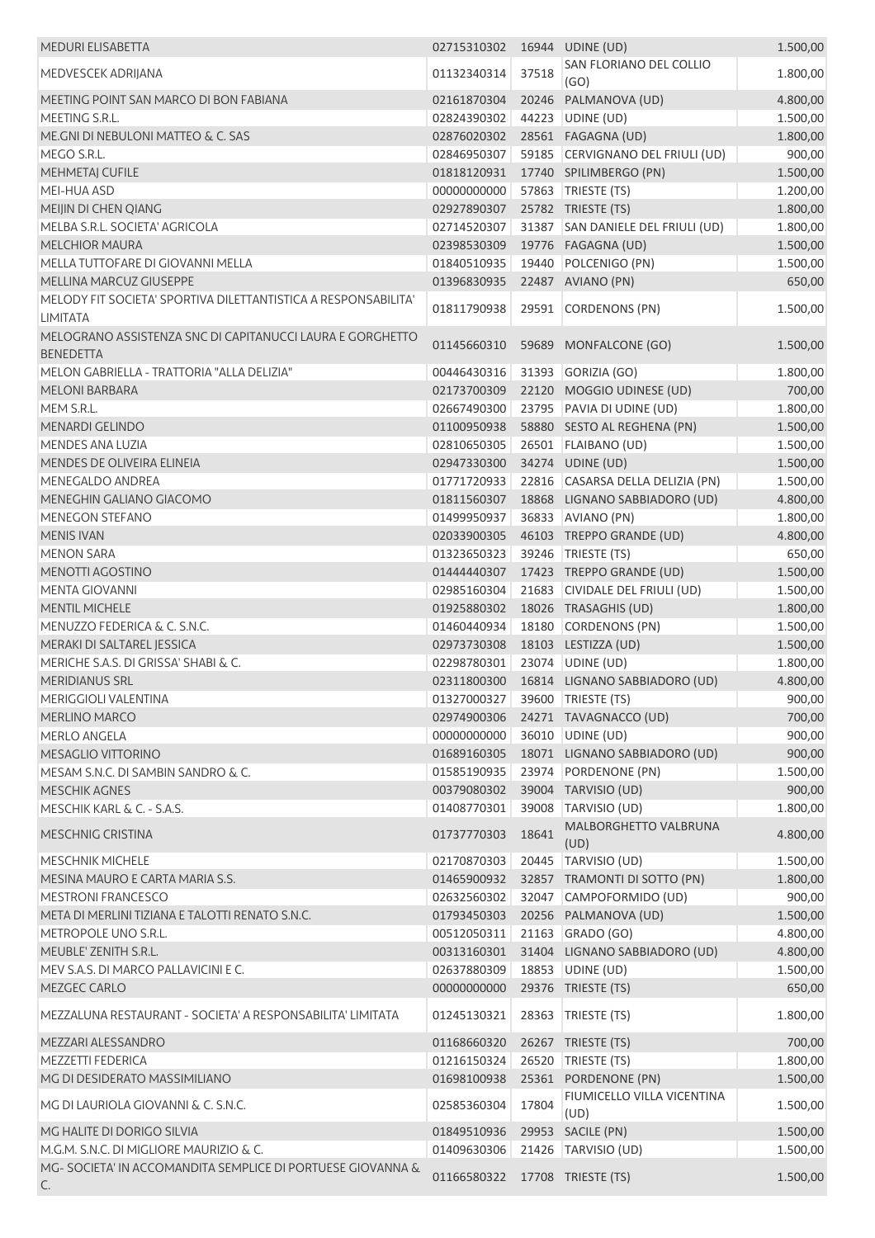| <b>MEDURI ELISABETTA</b>                                       | 02715310302 16944 UDINE (UD)   |       |                                    | 1.500,00 |
|----------------------------------------------------------------|--------------------------------|-------|------------------------------------|----------|
| MEDVESCEK ADRIJANA                                             | 01132340314                    | 37518 | SAN FLORIANO DEL COLLIO            | 1.800,00 |
| MEETING POINT SAN MARCO DI BON FABIANA                         | 02161870304                    |       | (GO)<br>20246 PALMANOVA (UD)       | 4.800,00 |
| MEETING S.R.L.                                                 | 02824390302                    |       | 44223 UDINE (UD)                   | 1.500,00 |
| ME.GNI DI NEBULONI MATTEO & C. SAS                             | 02876020302                    |       | 28561 FAGAGNA (UD)                 | 1.800,00 |
| MEGO S.R.L.                                                    | 02846950307                    |       | 59185 CERVIGNANO DEL FRIULI (UD)   | 900,00   |
| MEHMETAJ CUFILE                                                | 01818120931                    |       | 17740 SPILIMBERGO (PN)             | 1.500,00 |
| MEI-HUA ASD                                                    | 00000000000                    |       | 57863 TRIESTE (TS)                 | 1.200,00 |
| MEIJIN DI CHEN QIANG                                           | 02927890307                    |       | 25782 TRIESTE (TS)                 | 1.800,00 |
| MELBA S.R.L. SOCIETA' AGRICOLA                                 | 02714520307                    |       | 31387 SAN DANIELE DEL FRIULI (UD)  | 1.800,00 |
| <b>MELCHIOR MAURA</b>                                          | 02398530309                    |       | 19776 FAGAGNA (UD)                 | 1.500,00 |
| MELLA TUTTOFARE DI GIOVANNI MELLA                              | 01840510935                    |       | 19440 POLCENIGO (PN)               | 1.500,00 |
| MELLINA MARCUZ GIUSEPPE                                        | 01396830935                    |       | 22487 AVIANO (PN)                  | 650,00   |
| MELODY FIT SOCIETA' SPORTIVA DILETTANTISTICA A RESPONSABILITA' |                                |       |                                    |          |
| <b>LIMITATA</b>                                                | 01811790938                    |       | 29591 CORDENONS (PN)               | 1.500,00 |
| MELOGRANO ASSISTENZA SNC DI CAPITANUCCI LAURA E GORGHETTO      |                                |       |                                    |          |
| <b>BENEDETTA</b>                                               | 01145660310                    |       | 59689 MONFALCONE (GO)              | 1.500,00 |
| MELON GABRIELLA - TRATTORIA "ALLA DELIZIA"                     | 00446430316                    |       | 31393 GORIZIA (GO)                 | 1.800,00 |
| <b>MELONI BARBARA</b>                                          | 02173700309                    |       | 22120 MOGGIO UDINESE (UD)          | 700,00   |
| MEM S.R.L.                                                     | 02667490300                    |       | 23795 PAVIA DI UDINE (UD)          | 1.800,00 |
| <b>MENARDI GELINDO</b>                                         | 01100950938                    |       | 58880 SESTO AL REGHENA (PN)        | 1.500,00 |
| MENDES ANA LUZIA                                               | 02810650305                    |       | 26501   FLAIBANO (UD)              | 1.500,00 |
| MENDES DE OLIVEIRA ELINEIA                                     | 02947330300                    |       | 34274 UDINE (UD)                   | 1.500,00 |
| MENEGALDO ANDREA                                               | 01771720933                    |       | 22816 CASARSA DELLA DELIZIA (PN)   | 1.500,00 |
| MENEGHIN GALIANO GIACOMO                                       | 01811560307                    |       | 18868 LIGNANO SABBIADORO (UD)      | 4.800,00 |
| <b>MENEGON STEFANO</b>                                         | 01499950937                    |       | 36833 AVIANO (PN)                  | 1.800,00 |
| <b>MENIS IVAN</b>                                              | 02033900305                    |       | 46103 TREPPO GRANDE (UD)           | 4.800,00 |
| <b>MENON SARA</b>                                              | 01323650323                    |       | 39246 TRIESTE (TS)                 | 650,00   |
| MENOTTI AGOSTINO                                               | 01444440307                    |       | 17423 TREPPO GRANDE (UD)           | 1.500,00 |
| <b>MENTA GIOVANNI</b>                                          | 02985160304                    |       | 21683 CIVIDALE DEL FRIULI (UD)     | 1.500,00 |
| <b>MENTIL MICHELE</b>                                          | 01925880302                    |       | 18026 TRASAGHIS (UD)               | 1.800,00 |
| MENUZZO FEDERICA & C. S.N.C.                                   | 01460440934                    |       | 18180 CORDENONS (PN)               | 1.500,00 |
| MERAKI DI SALTAREL JESSICA                                     | 02973730308                    |       | 18103 LESTIZZA (UD)                | 1.500,00 |
| MERICHE S.A.S. DI GRISSA' SHABI & C.                           | 02298780301                    |       | 23074 UDINE (UD)                   | 1.800,00 |
| MERIDIANUS SRL                                                 | 02311800300                    |       | 16814 LIGNANO SABBIADORO (UD)      | 4.800,00 |
| MERIGGIOLI VALENTINA                                           | 01327000327 39600 TRIESTE (TS) |       |                                    | 900,00   |
| <b>MERLINO MARCO</b>                                           |                                |       | 02974900306 24271 TAVAGNACCO (UD)  | 700,00   |
| <b>MERLO ANGELA</b>                                            | 00000000000                    |       | 36010 UDINE (UD)                   | 900,00   |
| MESAGLIO VITTORINO                                             | 01689160305                    |       | 18071 LIGNANO SABBIADORO (UD)      | 900,00   |
| MESAM S.N.C. DI SAMBIN SANDRO & C.                             | 01585190935                    |       | 23974 PORDENONE (PN)               | 1.500,00 |
| <b>MESCHIK AGNES</b>                                           | 00379080302                    |       | 39004 TARVISIO (UD)                | 900,00   |
| MESCHIK KARL & C. - S.A.S.                                     | 01408770301                    | 39008 | TARVISIO (UD)                      | 1.800,00 |
|                                                                |                                |       | MALBORGHETTO VALBRUNA              |          |
| <b>MESCHNIG CRISTINA</b>                                       | 01737770303                    | 18641 | (UD)                               | 4.800,00 |
| <b>MESCHNIK MICHELE</b>                                        | 02170870303                    |       | 20445   TARVISIO (UD)              | 1.500,00 |
| MESINA MAURO E CARTA MARIA S.S.                                | 01465900932                    |       | 32857 TRAMONTI DI SOTTO (PN)       | 1.800,00 |
| <b>MESTRONI FRANCESCO</b>                                      | 02632560302                    |       | 32047 CAMPOFORMIDO (UD)            | 900,00   |
| META DI MERLINI TIZIANA E TALOTTI RENATO S.N.C.                | 01793450303                    |       | 20256 PALMANOVA (UD)               | 1.500,00 |
| METROPOLE UNO S.R.L.                                           | 00512050311                    |       | 21163 GRADO (GO)                   | 4.800,00 |
| MEUBLE' ZENITH S.R.L.                                          | 00313160301                    |       | 31404 LIGNANO SABBIADORO (UD)      | 4.800,00 |
| MEV S.A.S. DI MARCO PALLAVICINI E C.                           | 02637880309                    |       | 18853 UDINE (UD)                   | 1.500,00 |
| MEZGEC CARLO                                                   | 00000000000                    |       | 29376 TRIESTE (TS)                 | 650,00   |
|                                                                |                                |       |                                    |          |
| MEZZALUNA RESTAURANT - SOCIETA' A RESPONSABILITA' LIMITATA     | 01245130321                    | 28363 | TRIESTE (TS)                       | 1.800,00 |
| MEZZARI ALESSANDRO                                             | 01168660320                    |       | 26267 TRIESTE (TS)                 | 700,00   |
| <b>MEZZETTI FEDERICA</b>                                       | 01216150324                    |       | 26520 TRIESTE (TS)                 | 1.800,00 |
| MG DI DESIDERATO MASSIMILIANO                                  | 01698100938                    |       | 25361 PORDENONE (PN)               | 1.500,00 |
| MG DI LAURIOLA GIOVANNI & C. S.N.C.                            | 02585360304                    | 17804 | FIUMICELLO VILLA VICENTINA<br>(UD) | 1.500,00 |
| MG HALITE DI DORIGO SILVIA                                     | 01849510936                    |       | 29953 SACILE (PN)                  | 1.500,00 |
| M.G.M. S.N.C. DI MIGLIORE MAURIZIO & C.                        | 01409630306                    |       | 21426 TARVISIO (UD)                | 1.500,00 |
| MG-SOCIETA' IN ACCOMANDITA SEMPLICE DI PORTUESE GIOVANNA &     |                                |       |                                    |          |
| C.                                                             | 01166580322 17708 TRIESTE (TS) |       |                                    | 1.500,00 |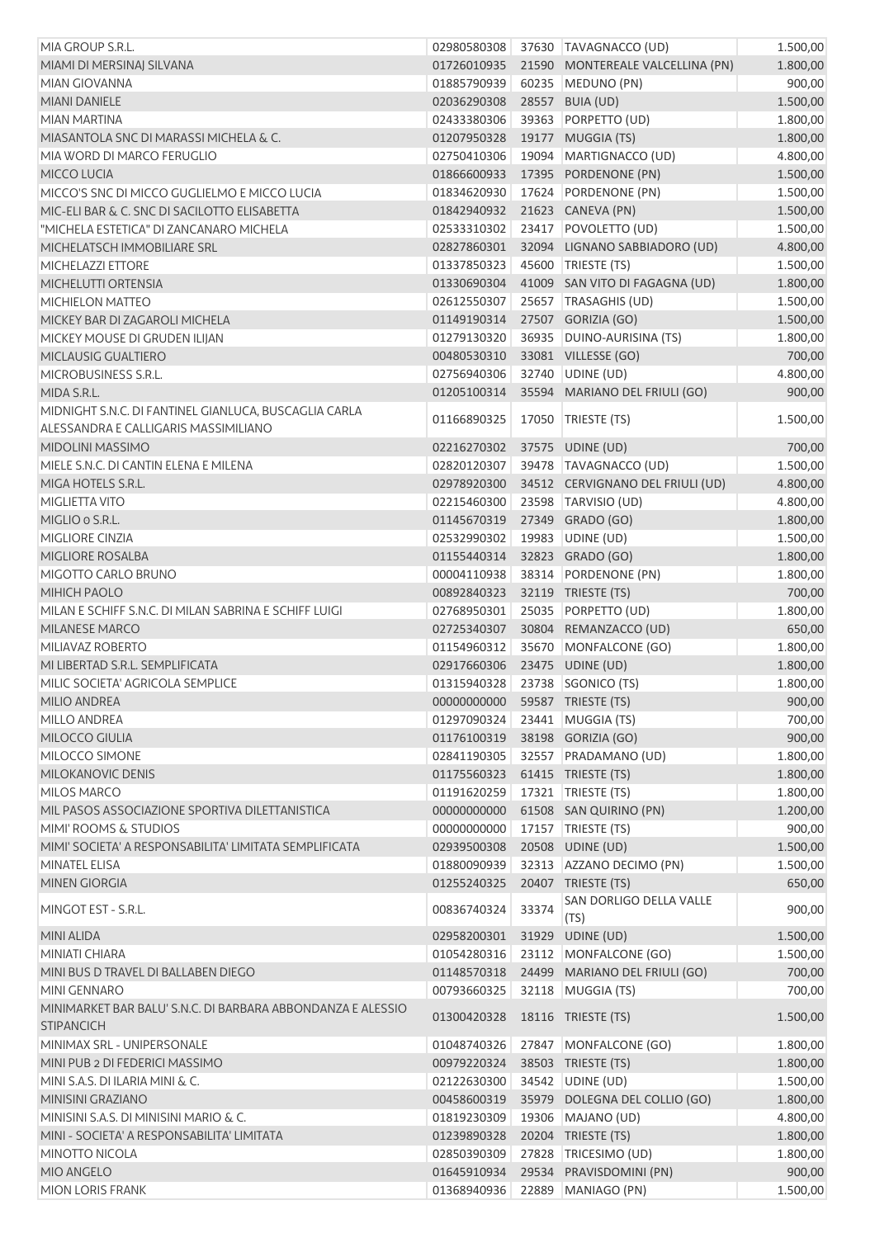| MIA GROUP S.R.L.                                                                 | 02980580308                    |       | 37630 TAVAGNACCO (UD)            | 1.500,00 |
|----------------------------------------------------------------------------------|--------------------------------|-------|----------------------------------|----------|
| MIAMI DI MERSINAJ SILVANA                                                        | 01726010935                    |       | 21590 MONTEREALE VALCELLINA (PN) | 1.800,00 |
| <b>MIAN GIOVANNA</b>                                                             | 01885790939                    |       | 60235 MEDUNO (PN)                | 900,00   |
| <b>MIANI DANIELE</b>                                                             | 02036290308                    |       | 28557 BUIA (UD)                  | 1.500,00 |
| MIAN MARTINA                                                                     | 02433380306                    |       | 39363 PORPETTO (UD)              | 1.800,00 |
| MIASANTOLA SNC DI MARASSI MICHELA & C.                                           | 01207950328                    |       | 19177 MUGGIA (TS)                | 1.800,00 |
| MIA WORD DI MARCO FERUGLIO                                                       | 02750410306                    |       | 19094 MARTIGNACCO (UD)           | 4.800,00 |
| MICCO LUCIA                                                                      | 01866600933                    |       | 17395 PORDENONE (PN)             | 1.500,00 |
| MICCO'S SNC DI MICCO GUGLIELMO E MICCO LUCIA                                     | 01834620930                    |       | 17624 PORDENONE (PN)             | 1.500,00 |
| MIC-ELI BAR & C. SNC DI SACILOTTO ELISABETTA                                     | 01842940932                    |       | 21623 CANEVA (PN)                | 1.500,00 |
| "MICHELA ESTETICA" DI ZANCANARO MICHELA                                          | 02533310302                    |       | 23417 POVOLETTO (UD)             | 1.500,00 |
| MICHELATSCH IMMOBILIARE SRL                                                      | 02827860301                    |       | 32094 LIGNANO SABBIADORO (UD)    | 4.800,00 |
| MICHELAZZI ETTORE                                                                | 01337850323                    |       | 45600 TRIESTE (TS)               | 1.500,00 |
| MICHELUTTI ORTENSIA                                                              | 01330690304                    |       | 41009 SAN VITO DI FAGAGNA (UD)   | 1.800,00 |
| <b>MICHIELON MATTEO</b>                                                          | 02612550307                    |       | 25657 TRASAGHIS (UD)             | 1.500,00 |
| MICKEY BAR DI ZAGAROLI MICHELA                                                   | 01149190314                    |       | 27507 GORIZIA (GO)               | 1.500,00 |
| MICKEY MOUSE DI GRUDEN ILIJAN                                                    | 01279130320                    |       | 36935 DUINO-AURISINA (TS)        | 1.800,00 |
| MICLAUSIG GUALTIERO                                                              | 00480530310                    |       | 33081 VILLESSE (GO)              | 700,00   |
| MICROBUSINESS S.R.L.                                                             | 02756940306                    |       | 32740 UDINE (UD)                 | 4.800,00 |
| MIDA S.R.L.                                                                      | 01205100314                    |       | 35594 MARIANO DEL FRIULI (GO)    | 900,00   |
| MIDNIGHT S.N.C. DI FANTINEL GIANLUCA, BUSCAGLIA CARLA                            | 01166890325                    |       | 17050 TRIESTE (TS)               | 1.500,00 |
| ALESSANDRA E CALLIGARIS MASSIMILIANO                                             |                                |       |                                  |          |
| <b>MIDOLINI MASSIMO</b>                                                          | 02216270302                    |       | 37575 UDINE (UD)                 | 700,00   |
| MIELE S.N.C. DI CANTIN ELENA E MILENA                                            | 02820120307                    |       | 39478 TAVAGNACCO (UD)            | 1.500,00 |
| MIGA HOTELS S.R.L.                                                               | 02978920300                    |       | 34512 CERVIGNANO DEL FRIULI (UD) | 4.800,00 |
| MIGLIETTA VITO                                                                   | 02215460300                    |       | 23598 TARVISIO (UD)              | 4.800,00 |
| MIGLIO o S.R.L.                                                                  | 01145670319                    |       | 27349 GRADO (GO)                 | 1.800,00 |
| MIGLIORE CINZIA                                                                  | 02532990302                    |       | 19983 UDINE (UD)                 | 1.500,00 |
| MIGLIORE ROSALBA                                                                 | 01155440314                    |       | 32823 GRADO (GO)                 | 1.800,00 |
| MIGOTTO CARLO BRUNO                                                              | 00004110938                    |       | 38314 PORDENONE (PN)             | 1.800,00 |
| MIHICH PAOLO                                                                     | 00892840323                    |       | 32119 TRIESTE (TS)               | 700,00   |
| MILAN E SCHIFF S.N.C. DI MILAN SABRINA E SCHIFF LUIGI                            | 02768950301                    |       | 25035 PORPETTO (UD)              | 1.800,00 |
| <b>MILANESE MARCO</b>                                                            | 02725340307                    |       | 30804 REMANZACCO (UD)            | 650,00   |
| MILIAVAZ ROBERTO                                                                 | 01154960312                    |       | 35670 MONFALCONE (GO)            | 1.800,00 |
| MI LIBERTAD S.R.L. SEMPLIFICATA                                                  | 02917660306                    |       | 23475 UDINE (UD)                 | 1.800,00 |
| MILIC SOCIETA' AGRICOLA SEMPLICE                                                 | 01315940328 23738 SGONICO (TS) |       |                                  | 1.800,00 |
| MILIO ANDREA                                                                     | 00000000000                    |       | 59587 TRIESTE (TS)               | 900,00   |
| <b>MILLO ANDREA</b>                                                              | 01297090324                    |       | 23441 MUGGIA (TS)                | 700,00   |
| MILOCCO GIULIA                                                                   | 01176100319                    |       | 38198 GORIZIA (GO)               | 900,00   |
| MILOCCO SIMONE                                                                   | 02841190305                    |       | 32557 PRADAMANO (UD)             | 1.800,00 |
| MILOKANOVIC DENIS                                                                | 01175560323                    |       | 61415 TRIESTE (TS)               | 1.800,00 |
| <b>MILOS MARCO</b>                                                               | 01191620259                    | 17321 | TRIESTE (TS)                     | 1.800,00 |
| MIL PASOS ASSOCIAZIONE SPORTIVA DILETTANISTICA                                   | 00000000000                    |       | 61508 SAN QUIRINO (PN)           | 1.200,00 |
| MIMI' ROOMS & STUDIOS                                                            | 00000000000                    |       | 17157   TRIESTE (TS)             | 900,00   |
| MIMI' SOCIETA' A RESPONSABILITA' LIMITATA SEMPLIFICATA                           | 02939500308                    |       | 20508 UDINE (UD)                 | 1.500,00 |
| <b>MINATEL ELISA</b>                                                             | 01880090939                    |       | 32313 AZZANO DECIMO (PN)         | 1.500,00 |
| <b>MINEN GIORGIA</b>                                                             | 01255240325                    |       | 20407 TRIESTE (TS)               | 650,00   |
| MINGOT EST - S.R.L.                                                              | 00836740324                    | 33374 | SAN DORLIGO DELLA VALLE<br>(TS)  | 900,00   |
| <b>MINI ALIDA</b>                                                                | 02958200301                    | 31929 | UDINE (UD)                       | 1.500,00 |
| MINIATI CHIARA                                                                   | 01054280316                    |       | 23112 MONFALCONE (GO)            | 1.500,00 |
| MINI BUS D TRAVEL DI BALLABEN DIEGO                                              | 01148570318                    |       | 24499 MARIANO DEL FRIULI (GO)    | 700,00   |
| <b>MINI GENNARO</b>                                                              | 00793660325                    |       | 32118 MUGGIA (TS)                | 700,00   |
| MINIMARKET BAR BALU' S.N.C. DI BARBARA ABBONDANZA E ALESSIO<br><b>STIPANCICH</b> | 01300420328                    |       | 18116 TRIESTE (TS)               | 1.500,00 |
| MINIMAX SRL - UNIPERSONALE                                                       | 01048740326                    |       | 27847 MONFALCONE (GO)            | 1.800,00 |
| MINI PUB 2 DI FEDERICI MASSIMO                                                   | 00979220324                    |       | 38503 TRIESTE (TS)               | 1.800,00 |
| MINI S.A.S. DI ILARIA MINI & C.                                                  | 02122630300                    |       | 34542 UDINE (UD)                 | 1.500,00 |
| MINISINI GRAZIANO                                                                | 00458600319                    |       | 35979 DOLEGNA DEL COLLIO (GO)    | 1.800,00 |
| MINISINI S.A.S. DI MINISINI MARIO & C.                                           | 01819230309                    |       | 19306 MAJANO (UD)                | 4.800,00 |
| MINI - SOCIETA' A RESPONSABILITA' LIMITATA                                       | 01239890328                    |       | 20204 TRIESTE (TS)               | 1.800,00 |
| MINOTTO NICOLA                                                                   | 02850390309                    | 27828 | TRICESIMO (UD)                   | 1.800,00 |
| MIO ANGELO                                                                       | 01645910934                    |       | 29534 PRAVISDOMINI (PN)          | 900,00   |
| <b>MION LORIS FRANK</b>                                                          | 01368940936                    |       | 22889 MANIAGO (PN)               | 1.500,00 |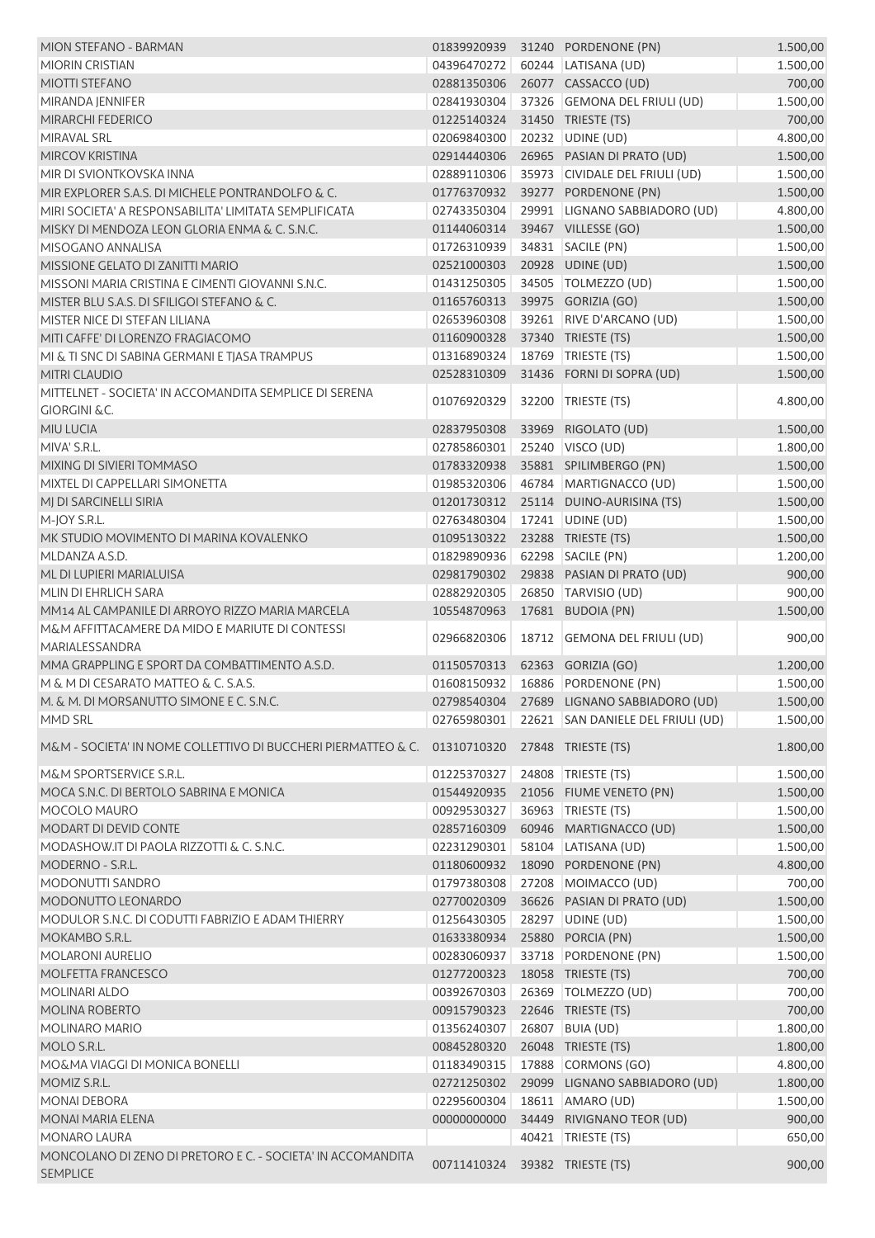| MION STEFANO - BARMAN                                                                        | 01839920939 |       | 31240 PORDENONE (PN)                          | 1.500,00 |
|----------------------------------------------------------------------------------------------|-------------|-------|-----------------------------------------------|----------|
| <b>MIORIN CRISTIAN</b>                                                                       | 04396470272 |       | 60244 LATISANA (UD)                           | 1.500,00 |
| <b>MIOTTI STEFANO</b>                                                                        | 02881350306 |       | 26077 CASSACCO (UD)                           | 700,00   |
| MIRANDA JENNIFER                                                                             | 02841930304 |       | 37326 GEMONA DEL FRIULI (UD)                  | 1.500,00 |
| MIRARCHI FEDERICO                                                                            | 01225140324 |       | 31450 TRIESTE (TS)                            | 700,00   |
| MIRAVAL SRL                                                                                  | 02069840300 |       | 20232 UDINE (UD)                              | 4.800,00 |
|                                                                                              |             |       |                                               |          |
| <b>MIRCOV KRISTINA</b>                                                                       | 02914440306 |       | 26965 PASIAN DI PRATO (UD)                    | 1.500,00 |
| MIR DI SVIONTKOVSKA INNA                                                                     | 02889110306 |       | 35973 CIVIDALE DEL FRIULI (UD)                | 1.500,00 |
| MIR EXPLORER S.A.S. DI MICHELE PONTRANDOLFO & C.                                             | 01776370932 |       | 39277 PORDENONE (PN)                          | 1.500,00 |
| MIRI SOCIETA' A RESPONSABILITA' LIMITATA SEMPLIFICATA                                        | 02743350304 |       | 29991 LIGNANO SABBIADORO (UD)                 | 4.800,00 |
| MISKY DI MENDOZA LEON GLORIA ENMA & C. S.N.C.                                                | 01144060314 |       | 39467 VILLESSE (GO)                           | 1.500,00 |
| MISOGANO ANNALISA                                                                            | 01726310939 |       | 34831 SACILE (PN)                             | 1.500,00 |
| MISSIONE GELATO DI ZANITTI MARIO                                                             | 02521000303 |       | 20928 UDINE (UD)                              | 1.500,00 |
| MISSONI MARIA CRISTINA E CIMENTI GIOVANNI S.N.C.                                             | 01431250305 |       | 34505   TOLMEZZO (UD)                         | 1.500,00 |
| MISTER BLU S.A.S. DI SFILIGOI STEFANO & C.                                                   | 01165760313 |       | 39975 GORIZIA (GO)                            | 1.500,00 |
| MISTER NICE DI STEFAN LILIANA                                                                | 02653960308 |       | 39261 RIVE D'ARCANO (UD)                      | 1.500,00 |
| MITI CAFFE' DI LORENZO FRAGIACOMO                                                            | 01160900328 |       | 37340 TRIESTE (TS)                            | 1.500,00 |
| MI & TI SNC DI SABINA GERMANI E TJASA TRAMPUS                                                | 01316890324 | 18769 | TRIESTE (TS)                                  | 1.500,00 |
| MITRI CLAUDIO                                                                                | 02528310309 |       | 31436 FORNI DI SOPRA (UD)                     | 1.500,00 |
|                                                                                              |             |       |                                               |          |
| MITTELNET - SOCIETA' IN ACCOMANDITA SEMPLICE DI SERENA                                       | 01076920329 |       | 32200 TRIESTE (TS)                            | 4.800,00 |
| <b>GIORGINI &amp;C.</b>                                                                      |             |       |                                               |          |
| MIU LUCIA                                                                                    | 02837950308 | 33969 | RIGOLATO (UD)                                 | 1.500,00 |
| MIVA' S.R.L.                                                                                 | 02785860301 |       | 25240   VISCO (UD)                            | 1.800,00 |
| MIXING DI SIVIERI TOMMASO                                                                    | 01783320938 |       | 35881 SPILIMBERGO (PN)                        | 1.500,00 |
| MIXTEL DI CAPPELLARI SIMONETTA                                                               | 01985320306 |       | 46784 MARTIGNACCO (UD)                        | 1.500,00 |
| MJ DI SARCINELLI SIRIA                                                                       | 01201730312 |       | 25114 DUINO-AURISINA (TS)                     | 1.500,00 |
| M-JOY S.R.L.                                                                                 | 02763480304 |       | 17241 UDINE (UD)                              | 1.500,00 |
| MK STUDIO MOVIMENTO DI MARINA KOVALENKO                                                      | 01095130322 |       | 23288 TRIESTE (TS)                            | 1.500,00 |
| MLDANZA A.S.D.                                                                               | 01829890936 |       | 62298 SACILE (PN)                             | 1.200,00 |
| ML DI LUPIERI MARIALUISA                                                                     | 02981790302 |       | 29838 PASIAN DI PRATO (UD)                    | 900,00   |
| MLIN DI EHRLICH SARA                                                                         | 02882920305 |       | 26850 TARVISIO (UD)                           | 900,00   |
| MM14 AL CAMPANILE DI ARROYO RIZZO MARIA MARCELA                                              | 10554870963 |       | 17681 BUDOIA (PN)                             | 1.500,00 |
| M&M AFFITTACAMERE DA MIDO E MARIUTE DI CONTESSI                                              | 02966820306 |       | 18712 GEMONA DEL FRIULI (UD)                  | 900,00   |
| MARIALESSANDRA                                                                               |             |       |                                               |          |
| MMA GRAPPLING E SPORT DA COMBATTIMENTO A.S.D.                                                | 01150570313 |       | 62363 GORIZIA (GO)                            | 1.200,00 |
| M & M DI CESARATO MATTEO & C. S.A.S.                                                         | 01608150932 |       | 16886 PORDENONE (PN)                          | 1.500,00 |
| M. & M. DI MORSANUTTO SIMONE E C. S.N.C.                                                     |             |       | 02798540304 27689 LIGNANO SABBIADORO (UD)     | 1.500,00 |
| MMD SRL                                                                                      |             |       | 02765980301 22621 SAN DANIELE DEL FRIULI (UD) | 1.500,00 |
|                                                                                              |             |       |                                               |          |
| M&M - SOCIETA' IN NOME COLLETTIVO DI BUCCHERI PIERMATTEO & C. 01310710320 27848 TRIESTE (TS) |             |       |                                               | 1.800,00 |
| M&M SPORTSERVICE S.R.L.                                                                      | 01225370327 |       | 24808 TRIESTE (TS)                            | 1.500,00 |
| MOCA S.N.C. DI BERTOLO SABRINA E MONICA                                                      | 01544920935 |       | 21056 FIUME VENETO (PN)                       | 1.500,00 |
| MOCOLO MAURO                                                                                 | 00929530327 |       | 36963 TRIESTE (TS)                            | 1.500,00 |
| MODART DI DEVID CONTE                                                                        | 02857160309 |       | 60946 MARTIGNACCO (UD)                        | 1.500,00 |
| MODASHOW.IT DI PAOLA RIZZOTTI & C. S.N.C.                                                    | 02231290301 |       | 58104 LATISANA (UD)                           | 1.500,00 |
| MODERNO - S.R.L.                                                                             | 01180600932 |       | 18090 PORDENONE (PN)                          | 4.800,00 |
| MODONUTTI SANDRO                                                                             | 01797380308 |       | 27208 MOIMACCO (UD)                           | 700,00   |
| MODONUTTO LEONARDO                                                                           | 02770020309 |       | 36626 PASIAN DI PRATO (UD)                    | 1.500,00 |
| MODULOR S.N.C. DI CODUTTI FABRIZIO E ADAM THIERRY                                            | 01256430305 |       | 28297 UDINE (UD)                              | 1.500,00 |
|                                                                                              |             |       |                                               |          |
| MOKAMBO S.R.L.                                                                               | 01633380934 |       | 25880 PORCIA (PN)                             | 1.500,00 |
| <b>MOLARONI AURELIO</b>                                                                      | 00283060937 |       | 33718 PORDENONE (PN)                          | 1.500,00 |
| MOLFETTA FRANCESCO                                                                           | 01277200323 |       | 18058 TRIESTE (TS)                            | 700,00   |
| <b>MOLINARI ALDO</b>                                                                         | 00392670303 |       | 26369   TOLMEZZO (UD)                         | 700,00   |
| <b>MOLINA ROBERTO</b>                                                                        | 00915790323 |       | 22646 TRIESTE (TS)                            | 700,00   |
| <b>MOLINARO MARIO</b>                                                                        | 01356240307 |       | 26807 BUIA (UD)                               | 1.800,00 |
| MOLO S.R.L.                                                                                  | 00845280320 |       | 26048 TRIESTE (TS)                            | 1.800,00 |
| MO&MA VIAGGI DI MONICA BONELLI                                                               |             |       |                                               | 4.800,00 |
|                                                                                              | 01183490315 |       | 17888 CORMONS (GO)                            |          |
| MOMIZ S.R.L.                                                                                 | 02721250302 |       | 29099 LIGNANO SABBIADORO (UD)                 | 1.800,00 |
| <b>MONAI DEBORA</b>                                                                          | 02295600304 |       | 18611 AMARO (UD)                              | 1.500,00 |
| MONAI MARIA ELENA                                                                            | 00000000000 |       | 34449 RIVIGNANO TEOR (UD)                     | 900,00   |
| <b>MONARO LAURA</b>                                                                          |             |       | 40421   TRIESTE (TS)                          | 650,00   |
| MONCOLANO DI ZENO DI PRETORO E C. - SOCIETA' IN ACCOMANDITA<br><b>SEMPLICE</b>               | 00711410324 |       | 39382 TRIESTE (TS)                            | 900,00   |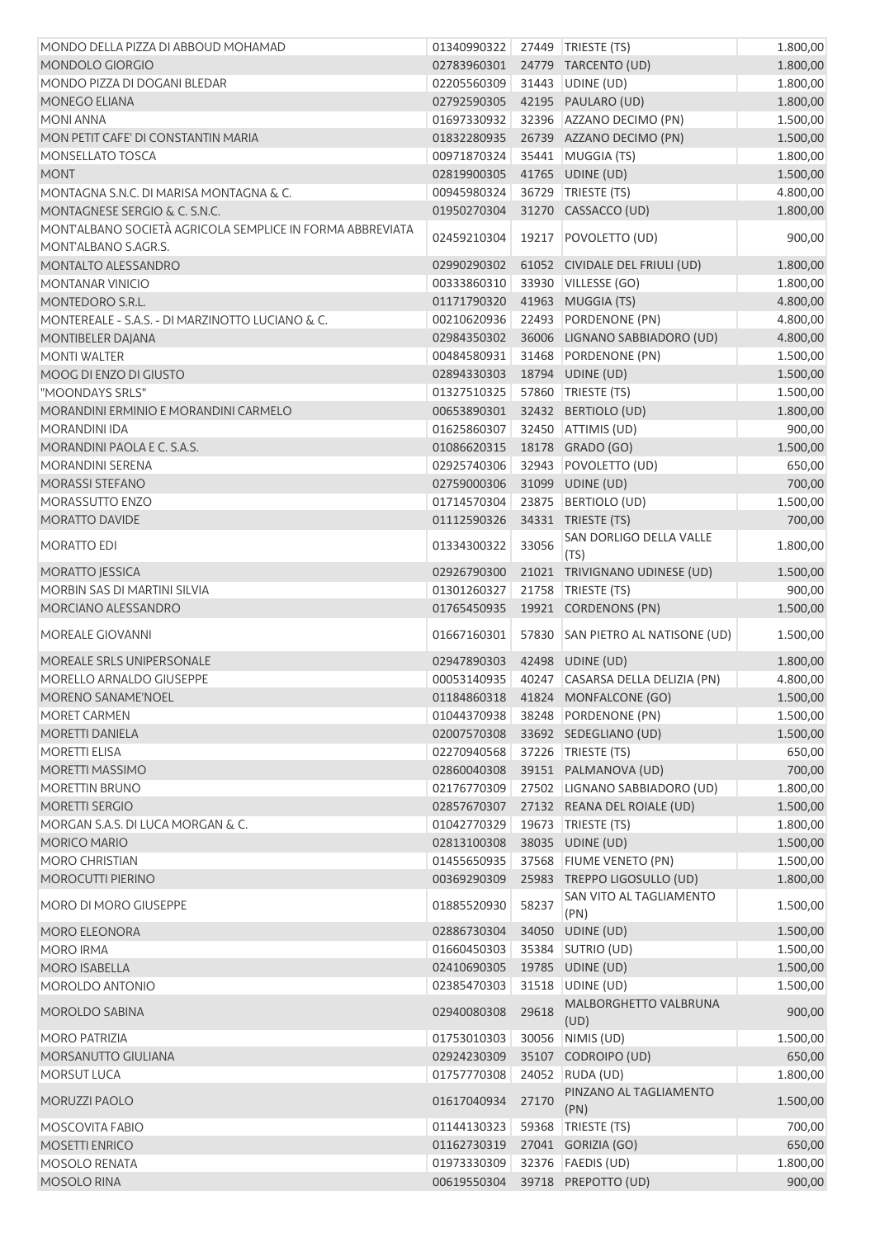| MONDO DELLA PIZZA DI ABBOUD MOHAMAD                       | 01340990322 27449 TRIESTE (TS) |       |                                     | 1.800,00 |
|-----------------------------------------------------------|--------------------------------|-------|-------------------------------------|----------|
| MONDOLO GIORGIO                                           | 02783960301                    |       | 24779 TARCENTO (UD)                 | 1.800,00 |
| MONDO PIZZA DI DOGANI BLEDAR                              | 02205560309                    |       | 31443 UDINE (UD)                    | 1.800,00 |
| MONEGO ELIANA                                             | 02792590305                    |       | 42195 PAULARO (UD)                  | 1.800,00 |
| <b>MONI ANNA</b>                                          | 01697330932                    |       | 32396 AZZANO DECIMO (PN)            | 1.500,00 |
| MON PETIT CAFE' DI CONSTANTIN MARIA                       | 01832280935                    |       | 26739 AZZANO DECIMO (PN)            | 1.500,00 |
| MONSELLATO TOSCA                                          | 00971870324                    |       | 35441 MUGGIA (TS)                   | 1.800,00 |
| <b>MONT</b>                                               | 02819900305                    |       | 41765 UDINE (UD)                    | 1.500,00 |
| MONTAGNA S.N.C. DI MARISA MONTAGNA & C.                   | 00945980324                    |       | 36729 TRIESTE (TS)                  | 4.800,00 |
| MONTAGNESE SERGIO & C. S.N.C.                             | 01950270304                    |       | 31270 CASSACCO (UD)                 | 1.800,00 |
| MONT'ALBANO SOCIETÀ AGRICOLA SEMPLICE IN FORMA ABBREVIATA |                                |       |                                     |          |
| MONT'ALBANO S.AGR.S.                                      | 02459210304                    |       | 19217 POVOLETTO (UD)                | 900,00   |
| MONTALTO ALESSANDRO                                       | 02990290302                    |       | 61052 CIVIDALE DEL FRIULI (UD)      | 1.800,00 |
| <b>MONTANAR VINICIO</b>                                   | 00333860310                    |       | 33930 VILLESSE (GO)                 | 1.800,00 |
| MONTEDORO S.R.L.                                          | 01171790320                    |       | 41963 MUGGIA (TS)                   | 4.800,00 |
| MONTEREALE - S.A.S. - DI MARZINOTTO LUCIANO & C.          | 00210620936                    |       | 22493 PORDENONE (PN)                | 4.800,00 |
| MONTIBELER DAJANA                                         | 02984350302                    |       | 36006 LIGNANO SABBIADORO (UD)       | 4.800,00 |
| <b>MONTI WALTER</b>                                       | 00484580931                    |       | 31468 PORDENONE (PN)                | 1.500,00 |
| MOOG DI ENZO DI GIUSTO                                    | 02894330303                    |       | 18794 UDINE (UD)                    | 1.500,00 |
| "MOONDAYS SRLS"                                           | 01327510325                    |       | 57860 TRIESTE (TS)                  | 1.500,00 |
| MORANDINI ERMINIO E MORANDINI CARMELO                     | 00653890301                    |       | 32432 BERTIOLO (UD)                 | 1.800,00 |
| <b>MORANDINI IDA</b>                                      | 01625860307                    |       | 32450 ATTIMIS (UD)                  | 900,00   |
| MORANDINI PAOLA E C. S.A.S.                               | 01086620315                    |       | 18178 GRADO (GO)                    | 1.500,00 |
| MORANDINI SERENA                                          | 02925740306                    |       | 32943 POVOLETTO (UD)                | 650,00   |
| MORASSI STEFANO                                           | 02759000306                    |       | 31099 UDINE (UD)                    | 700,00   |
| MORASSUTTO ENZO                                           | 01714570304                    |       | 23875 BERTIOLO (UD)                 | 1.500,00 |
| MORATTO DAVIDE                                            | 01112590326                    |       | 34331 TRIESTE (TS)                  | 700,00   |
|                                                           |                                |       | SAN DORLIGO DELLA VALLE             |          |
| MORATTO EDI                                               | 01334300322                    | 33056 | (TS)                                | 1.800,00 |
| <b>MORATTO JESSICA</b>                                    | 02926790300                    |       | 21021 TRIVIGNANO UDINESE (UD)       | 1.500,00 |
| MORBIN SAS DI MARTINI SILVIA                              | 01301260327                    |       | 21758 TRIESTE (TS)                  | 900,00   |
| MORCIANO ALESSANDRO                                       | 01765450935                    |       | 19921 CORDENONS (PN)                | 1.500,00 |
|                                                           |                                |       |                                     |          |
| <b>MOREALE GIOVANNI</b>                                   | 01667160301                    |       | 57830 SAN PIETRO AL NATISONE (UD)   | 1.500,00 |
| MOREALE SRLS UNIPERSONALE                                 | 02947890303                    |       | 42498 UDINE (UD)                    | 1.800,00 |
| MORELLO ARNALDO GIUSEPPE                                  | 00053140935                    |       | 40247 CASARSA DELLA DELIZIA (PN)    | 4.800,00 |
| MORENO SANAME'NOEL                                        |                                |       | 01184860318  41824  MONFALCONE (GO) | 1.500,00 |
| <b>MORET CARMEN</b>                                       | 01044370938                    |       | 38248 PORDENONE (PN)                | 1.500,00 |
| MORETTI DANIELA                                           | 02007570308                    |       | 33692 SEDEGLIANO (UD)               | 1.500,00 |
| <b>MORETTI ELISA</b>                                      | 02270940568                    |       | 37226   TRIESTE (TS)                | 650,00   |
| MORETTI MASSIMO                                           | 02860040308                    |       | 39151 PALMANOVA (UD)                | 700,00   |
| <b>MORETTIN BRUNO</b>                                     | 02176770309                    |       | 27502 LIGNANO SABBIADORO (UD)       | 1.800,00 |
| MORETTI SERGIO                                            | 02857670307                    |       | 27132 REANA DEL ROIALE (UD)         | 1.500,00 |
| MORGAN S.A.S. DI LUCA MORGAN & C.                         | 01042770329                    |       | 19673   TRIESTE (TS)                | 1.800,00 |
| <b>MORICO MARIO</b>                                       | 02813100308                    |       | 38035 UDINE (UD)                    | 1.500,00 |
| <b>MORO CHRISTIAN</b>                                     | 01455650935                    |       | 37568 FIUME VENETO (PN)             | 1.500,00 |
| MOROCUTTI PIERINO                                         | 00369290309                    |       | 25983 TREPPO LIGOSULLO (UD)         | 1.800,00 |
|                                                           |                                |       | SAN VITO AL TAGLIAMENTO             |          |
| MORO DI MORO GIUSEPPE                                     | 01885520930                    | 58237 | (PN)                                | 1.500,00 |
| MORO ELEONORA                                             | 02886730304                    |       | 34050 UDINE (UD)                    | 1.500,00 |
| <b>MORO IRMA</b>                                          | 01660450303                    |       | 35384 SUTRIO (UD)                   | 1.500,00 |
| <b>MORO ISABELLA</b>                                      | 02410690305                    |       | 19785 UDINE (UD)                    | 1.500,00 |
| MOROLDO ANTONIO                                           | 02385470303                    | 31518 | UDINE (UD)                          | 1.500,00 |
| <b>MOROLDO SABINA</b>                                     | 02940080308                    | 29618 | MALBORGHETTO VALBRUNA               | 900,00   |
|                                                           |                                |       | (UD)                                |          |
| <b>MORO PATRIZIA</b>                                      | 01753010303                    | 30056 | NIMIS (UD)                          | 1.500,00 |
| MORSANUTTO GIULIANA                                       | 02924230309                    | 35107 | CODROIPO (UD)                       | 650,00   |
| <b>MORSUT LUCA</b>                                        | 01757770308                    | 24052 | RUDA (UD)                           | 1.800,00 |
| MORUZZI PAOLO                                             | 01617040934                    | 27170 | PINZANO AL TAGLIAMENTO              | 1.500,00 |
|                                                           |                                |       | (PN)                                |          |
| <b>MOSCOVITA FABIO</b>                                    | 01144130323                    | 59368 | TRIESTE (TS)                        | 700,00   |
| MOSETTI ENRICO                                            | 01162730319                    |       | 27041 GORIZIA (GO)                  | 650,00   |
| <b>MOSOLO RENATA</b>                                      | 01973330309                    |       | 32376   FAEDIS (UD)                 | 1.800,00 |
| MOSOLO RINA                                               | 00619550304                    |       | 39718 PREPOTTO (UD)                 | 900,00   |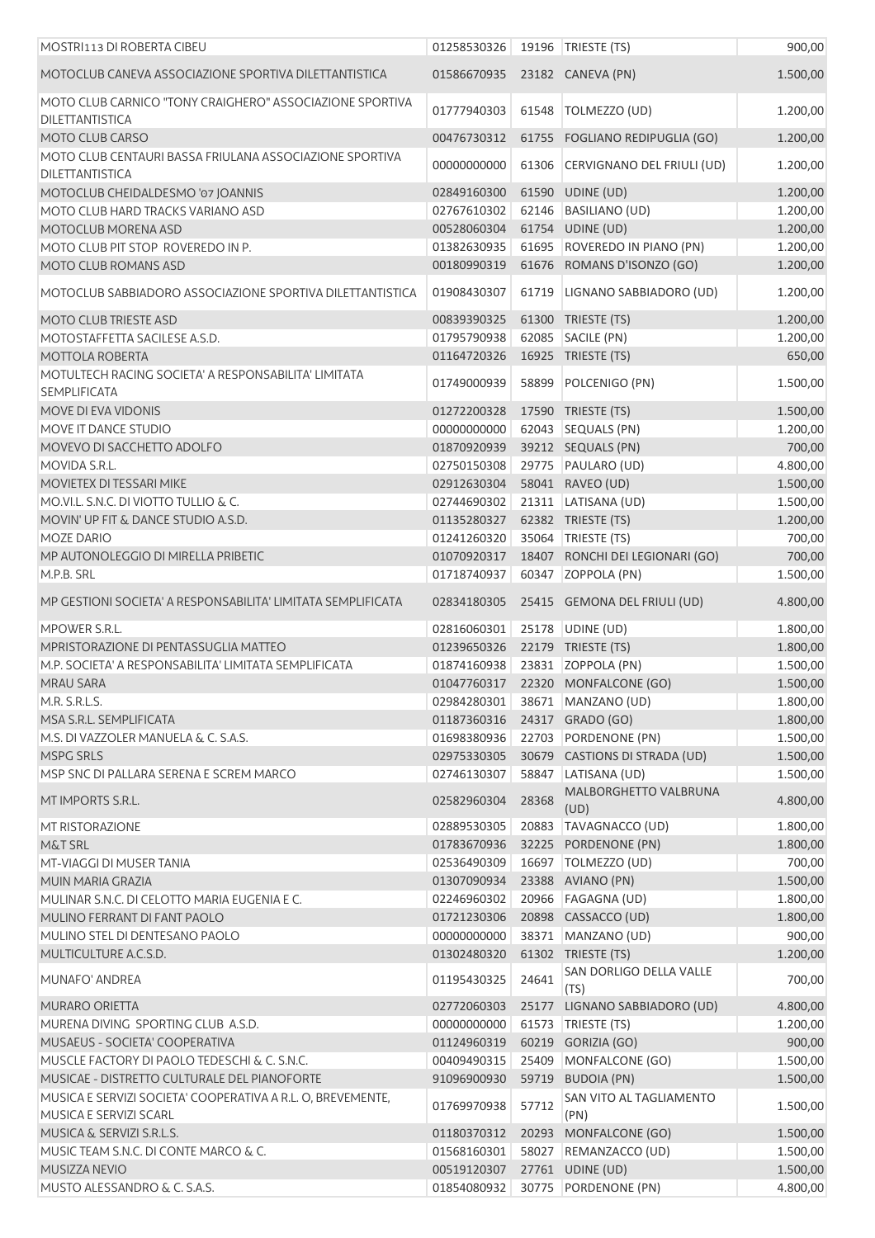| MOSTRI113 DI ROBERTA CIBEU                                                         | 01258530326                |       | 19196 TRIESTE (TS)                           | 900,00   |
|------------------------------------------------------------------------------------|----------------------------|-------|----------------------------------------------|----------|
| MOTOCLUB CANEVA ASSOCIAZIONE SPORTIVA DILETTANTISTICA                              | 01586670935                |       | 23182 CANEVA (PN)                            | 1.500,00 |
| MOTO CLUB CARNICO "TONY CRAIGHERO" ASSOCIAZIONE SPORTIVA<br><b>DILETTANTISTICA</b> | 01777940303                | 61548 | TOLMEZZO (UD)                                | 1.200,00 |
| MOTO CLUB CARSO                                                                    | 00476730312                |       | 61755 FOGLIANO REDIPUGLIA (GO)               | 1.200,00 |
| MOTO CLUB CENTAURI BASSA FRIULANA ASSOCIAZIONE SPORTIVA<br><b>DILETTANTISTICA</b>  | 00000000000                | 61306 | CERVIGNANO DEL FRIULI (UD)                   | 1.200,00 |
| MOTOCLUB CHEIDALDESMO '07 JOANNIS                                                  | 02849160300                |       | 61590 UDINE (UD)                             | 1.200,00 |
| MOTO CLUB HARD TRACKS VARIANO ASD                                                  | 02767610302                |       | 62146 BASILIANO (UD)                         | 1.200,00 |
| MOTOCLUB MORENA ASD                                                                | 00528060304                |       | 61754 UDINE (UD)                             | 1.200,00 |
| MOTO CLUB PIT STOP ROVEREDO IN P.                                                  | 01382630935                |       | 61695 ROVEREDO IN PIANO (PN)                 | 1.200,00 |
| MOTO CLUB ROMANS ASD                                                               | 00180990319                |       | 61676 ROMANS D'ISONZO (GO)                   | 1.200,00 |
| MOTOCLUB SABBIADORO ASSOCIAZIONE SPORTIVA DILETTANTISTICA                          | 01908430307                |       | 61719 LIGNANO SABBIADORO (UD)                | 1.200,00 |
| MOTO CLUB TRIESTE ASD                                                              | 00839390325                |       | 61300 TRIESTE (TS)                           | 1.200,00 |
| MOTOSTAFFETTA SACILESE A.S.D.                                                      | 01795790938                |       | 62085 SACILE (PN)                            | 1.200,00 |
| <b>MOTTOLA ROBERTA</b>                                                             | 01164720326                |       | 16925 TRIESTE (TS)                           | 650,00   |
| MOTULTECH RACING SOCIETA' A RESPONSABILITA' LIMITATA<br><b>SEMPLIFICATA</b>        | 01749000939                |       | 58899 POLCENIGO (PN)                         | 1.500,00 |
| MOVE DI EVA VIDONIS                                                                | 01272200328                |       | 17590 TRIESTE (TS)                           | 1.500,00 |
| MOVE IT DANCE STUDIO                                                               | 00000000000                |       | 62043 SEQUALS (PN)                           | 1.200,00 |
| MOVEVO DI SACCHETTO ADOLFO                                                         | 01870920939                |       | 39212 SEQUALS (PN)                           | 700,00   |
| MOVIDA S.R.L.                                                                      | 02750150308                |       | 29775 PAULARO (UD)                           | 4.800,00 |
| MOVIETEX DI TESSARI MIKE                                                           | 02912630304                |       | 58041 RAVEO (UD)                             | 1.500,00 |
| MO.VI.L. S.N.C. DI VIOTTO TULLIO & C.                                              | 02744690302                |       | 21311 LATISANA (UD)                          | 1.500,00 |
| MOVIN' UP FIT & DANCE STUDIO A.S.D.                                                | 01135280327                |       | 62382 TRIESTE (TS)                           | 1.200,00 |
| <b>MOZE DARIO</b>                                                                  | 01241260320                |       | 35064 TRIESTE (TS)                           | 700,00   |
| MP AUTONOLEGGIO DI MIRELLA PRIBETIC                                                | 01070920317                |       | 18407 RONCHI DEI LEGIONARI (GO)              | 700,00   |
| M.P.B. SRL                                                                         | 01718740937                |       | 60347 ZOPPOLA (PN)                           | 1.500,00 |
| MP GESTIONI SOCIETA' A RESPONSABILITA' LIMITATA SEMPLIFICATA                       | 02834180305                |       | 25415 GEMONA DEL FRIULI (UD)                 | 4.800,00 |
| MPOWER S.R.L.                                                                      |                            |       |                                              |          |
| MPRISTORAZIONE DI PENTASSUGLIA MATTEO                                              | 02816060301<br>01239650326 |       | 25178 UDINE (UD)                             | 1.800,00 |
| M.P. SOCIETA' A RESPONSABILITA' LIMITATA SEMPLIFICATA                              |                            |       | 22179 TRIESTE (TS)<br>23831 ZOPPOLA (PN)     | 1.800,00 |
|                                                                                    | 01874160938                |       |                                              | 1.500,00 |
| MRAU SARA                                                                          | 01047760317                |       | 22320 MONFALCONE (GO)                        | 1.500,00 |
| M.R. S.R.L.S.                                                                      | 02984280301                |       | 38671 MANZANO (UD)                           | 1.800,00 |
| MSA S.R.L. SEMPLIFICATA                                                            | 01187360316                |       | 24317 GRADO (GO)                             | 1.800,00 |
| M.S. DI VAZZOLER MANUELA & C. S.A.S.                                               | 01698380936                |       | 22703 PORDENONE (PN)                         | 1.500,00 |
| MSPG SRLS<br>MSP SNC DI PALLARA SERENA E SCREM MARCO                               | 02975330305                |       | 30679 CASTIONS DI STRADA (UD)                | 1.500,00 |
|                                                                                    | 02746130307                |       | 58847 LATISANA (UD)<br>MALBORGHETTO VALBRUNA | 1.500,00 |
| MT IMPORTS S.R.L.                                                                  | 02582960304                | 28368 | (UD)                                         | 4.800,00 |
| <b>MT RISTORAZIONE</b>                                                             | 02889530305                |       | 20883 TAVAGNACCO (UD)                        | 1.800,00 |
| M&T SRL                                                                            | 01783670936                |       | 32225 PORDENONE (PN)                         | 1.800,00 |
| MT-VIAGGI DI MUSER TANIA                                                           | 02536490309                |       | 16697   TOLMEZZO (UD)                        | 700,00   |
| MUIN MARIA GRAZIA                                                                  | 01307090934                |       | 23388 AVIANO (PN)                            | 1.500,00 |
| MULINAR S.N.C. DI CELOTTO MARIA EUGENIA E C.                                       | 02246960302                |       | 20966 FAGAGNA (UD)                           | 1.800,00 |
| MULINO FERRANT DI FANT PAOLO                                                       | 01721230306                |       | 20898 CASSACCO (UD)                          | 1.800,00 |
| MULINO STEL DI DENTESANO PAOLO                                                     | 00000000000                |       | 38371 MANZANO (UD)                           | 900,00   |
| MULTICULTURE A.C.S.D.                                                              | 01302480320                |       | 61302 TRIESTE (TS)                           | 1.200,00 |
| MUNAFO' ANDREA                                                                     | 01195430325                | 24641 | SAN DORLIGO DELLA VALLE<br>(TS)              | 700,00   |
| <b>MURARO ORIETTA</b>                                                              | 02772060303                |       | 25177 LIGNANO SABBIADORO (UD)                | 4.800,00 |
| MURENA DIVING SPORTING CLUB A.S.D.                                                 | 00000000000                |       | 61573   TRIESTE (TS)                         | 1.200,00 |
| MUSAEUS - SOCIETA' COOPERATIVA                                                     | 01124960319                |       | 60219 GORIZIA (GO)                           | 900,00   |
| MUSCLE FACTORY DI PAOLO TEDESCHI & C. S.N.C.                                       | 00409490315                |       | 25409 MONFALCONE (GO)                        | 1.500,00 |
| MUSICAE - DISTRETTO CULTURALE DEL PIANOFORTE                                       | 91096900930                |       | 59719 BUDOIA (PN)                            | 1.500,00 |
| MUSICA E SERVIZI SOCIETA' COOPERATIVA A R.L. O, BREVEMENTE,                        | 01769970938                | 57712 | SAN VITO AL TAGLIAMENTO                      | 1.500,00 |
| MUSICA E SERVIZI SCARL                                                             |                            |       | (PN)                                         |          |
| MUSICA & SERVIZI S.R.L.S.                                                          | 01180370312                |       | 20293 MONFALCONE (GO)                        | 1.500,00 |
| MUSIC TEAM S.N.C. DI CONTE MARCO & C.                                              | 01568160301                |       | 58027 REMANZACCO (UD)                        | 1.500,00 |
| MUSIZZA NEVIO                                                                      | 00519120307                |       | 27761 UDINE (UD)                             | 1.500,00 |
| MUSTO ALESSANDRO & C. S.A.S.                                                       | 01854080932                |       | 30775 PORDENONE (PN)                         | 4.800,00 |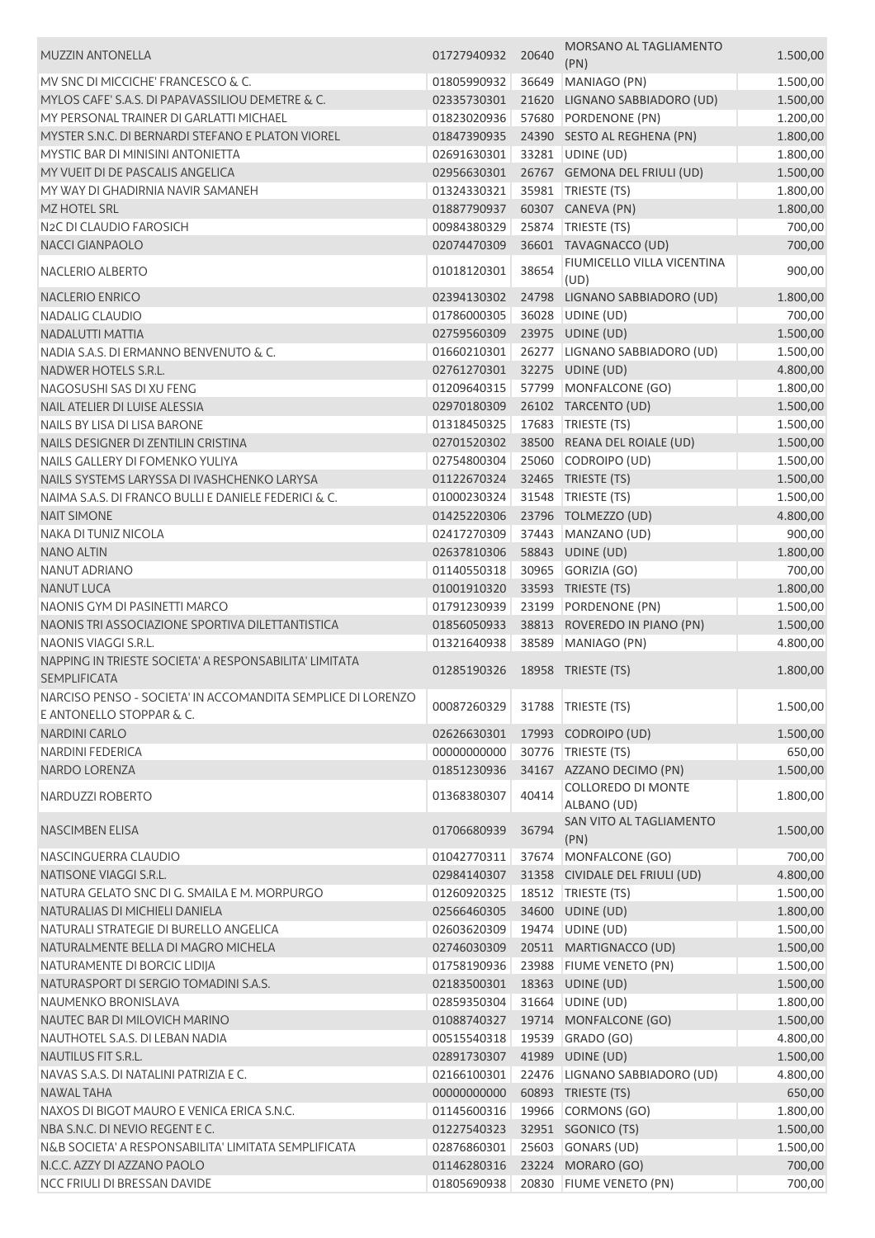| <b>MUZZIN ANTONELLA</b>                                                            | 01727940932 | 20640 | MORSANO AL TAGLIAMENTO<br>(PN) | 1.500,00 |
|------------------------------------------------------------------------------------|-------------|-------|--------------------------------|----------|
| MV SNC DI MICCICHE' FRANCESCO & C.                                                 | 01805990932 | 36649 | MANIAGO (PN)                   | 1.500,00 |
| MYLOS CAFE' S.A.S. DI PAPAVASSILIOU DEMETRE & C.                                   | 02335730301 | 21620 | LIGNANO SABBIADORO (UD)        | 1.500,00 |
| MY PERSONAL TRAINER DI GARLATTI MICHAEL                                            | 01823020936 | 57680 | PORDENONE (PN)                 | 1.200,00 |
| MYSTER S.N.C. DI BERNARDI STEFANO E PLATON VIOREL                                  | 01847390935 |       | 24390 SESTO AL REGHENA (PN)    | 1.800,00 |
| MYSTIC BAR DI MINISINI ANTONIETTA                                                  | 02691630301 |       | 33281 UDINE (UD)               | 1.800,00 |
| MY VUEIT DI DE PASCALIS ANGELICA                                                   | 02956630301 |       | 26767 GEMONA DEL FRIULI (UD)   | 1.500,00 |
| MY WAY DI GHADIRNIA NAVIR SAMANEH                                                  | 01324330321 |       | 35981   TRIESTE (TS)           | 1.800,00 |
| <b>MZ HOTEL SRL</b>                                                                | 01887790937 |       | 60307 CANEVA (PN)              | 1.800,00 |
| N <sub>2</sub> C DI CLAUDIO FAROSICH                                               | 00984380329 |       | 25874   TRIESTE (TS)           | 700,00   |
| <b>NACCI GIANPAOLO</b>                                                             | 02074470309 |       | 36601 TAVAGNACCO (UD)          |          |
|                                                                                    |             |       | FIUMICELLO VILLA VICENTINA     | 700,00   |
| NACLERIO ALBERTO                                                                   | 01018120301 | 38654 | (UD)                           | 900,00   |
| <b>NACLERIO ENRICO</b>                                                             | 02394130302 | 24798 | LIGNANO SABBIADORO (UD)        | 1.800,00 |
| NADALIG CLAUDIO                                                                    | 01786000305 |       | 36028 UDINE (UD)               | 700,00   |
| NADALUTTI MATTIA                                                                   | 02759560309 |       | 23975 UDINE (UD)               | 1.500,00 |
| NADIA S.A.S. DI ERMANNO BENVENUTO & C.                                             | 01660210301 |       | 26277 LIGNANO SABBIADORO (UD)  | 1.500,00 |
| NADWER HOTELS S.R.L.                                                               | 02761270301 |       | 32275 UDINE (UD)               | 4.800,00 |
| NAGOSUSHI SAS DI XU FENG                                                           | 01209640315 |       | 57799 MONFALCONE (GO)          | 1.800,00 |
| NAIL ATELIER DI LUISE ALESSIA                                                      | 02970180309 |       | 26102 TARCENTO (UD)            | 1.500,00 |
| NAILS BY LISA DI LISA BARONE                                                       | 01318450325 |       | 17683 TRIESTE (TS)             | 1.500,00 |
| NAILS DESIGNER DI ZENTILIN CRISTINA                                                | 02701520302 |       | 38500 REANA DEL ROIALE (UD)    | 1.500,00 |
| NAILS GALLERY DI FOMENKO YULIYA                                                    | 02754800304 | 25060 | CODROIPO (UD)                  | 1.500,00 |
| NAILS SYSTEMS LARYSSA DI IVASHCHENKO LARYSA                                        | 01122670324 |       | 32465 TRIESTE (TS)             | 1.500,00 |
| NAIMA S.A.S. DI FRANCO BULLI E DANIELE FEDERICI & C.                               | 01000230324 |       | 31548   TRIESTE (TS)           | 1.500,00 |
| <b>NAIT SIMONE</b>                                                                 | 01425220306 |       | 23796 TOLMEZZO (UD)            | 4.800,00 |
| NAKA DI TUNIZ NICOLA                                                               | 02417270309 |       | 37443 MANZANO (UD)             | 900,00   |
| <b>NANO ALTIN</b>                                                                  | 02637810306 |       | 58843 UDINE (UD)               | 1.800,00 |
| NANUT ADRIANO                                                                      | 01140550318 |       | 30965 GORIZIA (GO)             | 700,00   |
| <b>NANUT LUCA</b>                                                                  | 01001910320 |       | 33593 TRIESTE (TS)             | 1.800,00 |
| NAONIS GYM DI PASINETTI MARCO                                                      | 01791230939 |       | 23199 PORDENONE (PN)           | 1.500,00 |
| NAONIS TRI ASSOCIAZIONE SPORTIVA DILETTANTISTICA                                   | 01856050933 |       | 38813 ROVEREDO IN PIANO (PN)   | 1.500,00 |
| NAONIS VIAGGI S.R.L.                                                               | 01321640938 |       | 38589 MANIAGO (PN)             | 4.800,00 |
| NAPPING IN TRIESTE SOCIETA' A RESPONSABILITA' LIMITATA                             | 01285190326 |       | 18958 TRIESTE (TS)             | 1.800,00 |
| <b>SEMPLIFICATA</b><br>NARCISO PENSO - SOCIETA' IN ACCOMANDITA SEMPLICE DI LORENZO |             |       |                                |          |
| E ANTONELLO STOPPAR & C.                                                           | 00087260329 |       | 31788   TRIESTE (TS)           | 1.500,00 |
| <b>NARDINI CARLO</b>                                                               | 02626630301 |       | 17993 CODROIPO (UD)            | 1.500,00 |
| <b>NARDINI FEDERICA</b>                                                            | 00000000000 | 30776 | TRIESTE (TS)                   | 650,00   |
| <b>NARDO LORENZA</b>                                                               | 01851230936 |       | 34167 AZZANO DECIMO (PN)       |          |
|                                                                                    |             |       | <b>COLLOREDO DI MONTE</b>      | 1.500,00 |
| NARDUZZI ROBERTO                                                                   | 01368380307 | 40414 | ALBANO (UD)                    | 1.800,00 |
|                                                                                    |             |       | SAN VITO AL TAGLIAMENTO        |          |
| <b>NASCIMBEN ELISA</b>                                                             | 01706680939 | 36794 | (PN)                           | 1.500,00 |
| NASCINGUERRA CLAUDIO                                                               | 01042770311 |       | 37674 MONFALCONE (GO)          | 700,00   |
| NATISONE VIAGGI S.R.L.                                                             | 02984140307 |       | 31358 CIVIDALE DEL FRIULI (UD) | 4.800,00 |
| NATURA GELATO SNC DI G. SMAILA E M. MORPURGO                                       | 01260920325 |       | 18512   TRIESTE (TS)           | 1.500,00 |
| NATURALIAS DI MICHIELI DANIELA                                                     | 02566460305 |       | 34600 UDINE (UD)               | 1.800,00 |
| NATURALI STRATEGIE DI BURELLO ANGELICA                                             | 02603620309 |       | 19474 UDINE (UD)               | 1.500,00 |
| NATURALMENTE BELLA DI MAGRO MICHELA                                                | 02746030309 |       | 20511 MARTIGNACCO (UD)         |          |
|                                                                                    |             |       |                                | 1.500,00 |
| NATURAMENTE DI BORCIC LIDIJA                                                       | 01758190936 |       | 23988 FIUME VENETO (PN)        | 1.500,00 |
| NATURASPORT DI SERGIO TOMADINI S.A.S.                                              | 02183500301 |       | 18363 UDINE (UD)               | 1.500,00 |
| NAUMENKO BRONISLAVA                                                                | 02859350304 |       | 31664 UDINE (UD)               | 1.800,00 |
| NAUTEC BAR DI MILOVICH MARINO                                                      | 01088740327 |       | 19714 MONFALCONE (GO)          | 1.500,00 |
| NAUTHOTEL S.A.S. DI LEBAN NADIA                                                    | 00515540318 |       | 19539 GRADO (GO)               | 4.800,00 |
| NAUTILUS FIT S.R.L.                                                                | 02891730307 |       | 41989 UDINE (UD)               | 1.500,00 |
| NAVAS S.A.S. DI NATALINI PATRIZIA E C.                                             | 02166100301 |       | 22476 LIGNANO SABBIADORO (UD)  | 4.800,00 |
| <b>NAWAL TAHA</b>                                                                  | 00000000000 |       | 60893 TRIESTE (TS)             | 650,00   |
| NAXOS DI BIGOT MAURO E VENICA ERICA S.N.C.                                         | 01145600316 |       | 19966 CORMONS (GO)             | 1.800,00 |
| NBA S.N.C. DI NEVIO REGENTE C.                                                     | 01227540323 |       | 32951 SGONICO (TS)             | 1.500,00 |
| N&B SOCIETA' A RESPONSABILITA' LIMITATA SEMPLIFICATA                               | 02876860301 |       | 25603 GONARS (UD)              | 1.500,00 |
| N.C.C. AZZY DI AZZANO PAOLO                                                        | 01146280316 |       | 23224 MORARO (GO)              | 700,00   |
| NCC FRIULI DI BRESSAN DAVIDE                                                       | 01805690938 |       | 20830 FIUME VENETO (PN)        | 700,00   |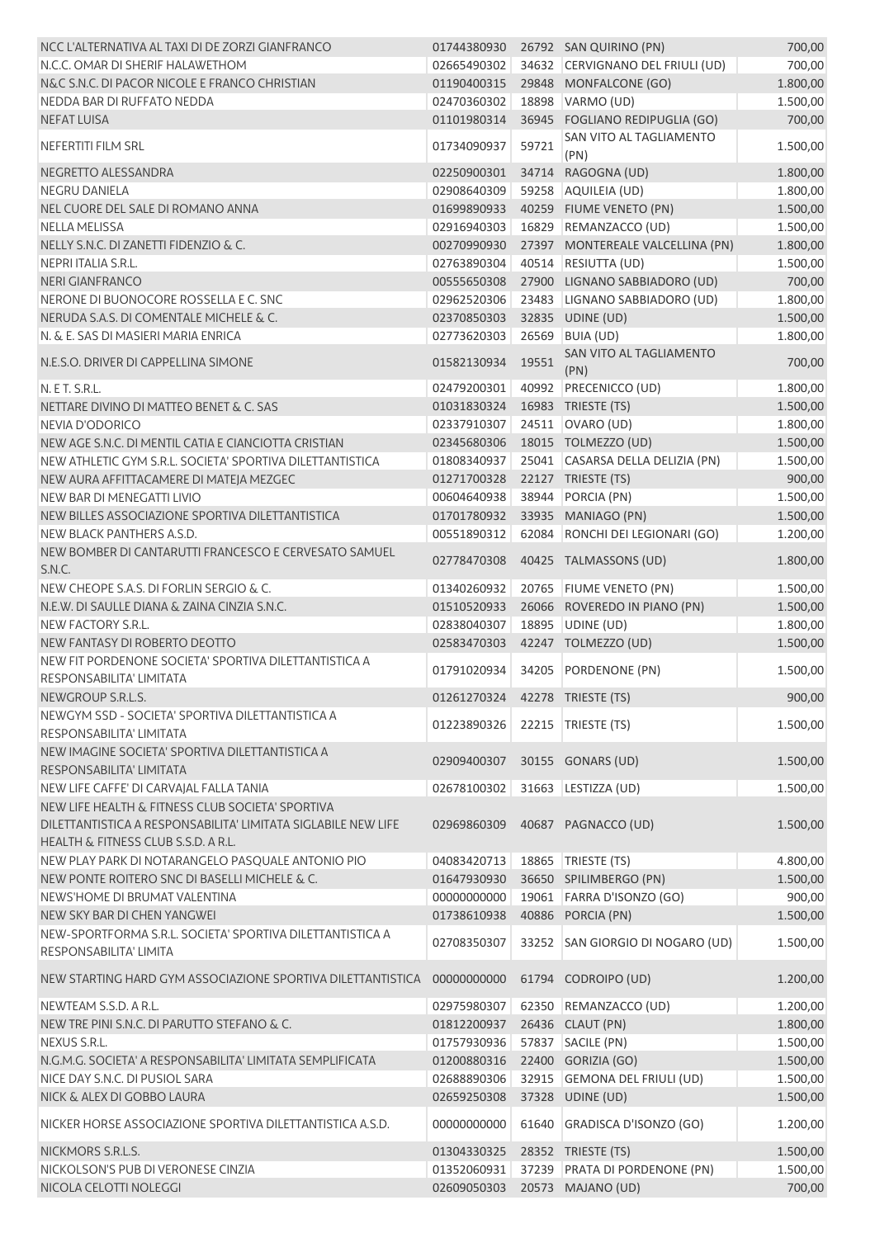| NCC L'ALTERNATIVA AL TAXI DI DE ZORZI GIANFRANCO                                                     | 01744380930                      |       | 26792 SAN QUIRINO (PN)           | 700,00   |
|------------------------------------------------------------------------------------------------------|----------------------------------|-------|----------------------------------|----------|
| N.C.C. OMAR DI SHERIF HALAWETHOM                                                                     | 02665490302                      |       | 34632 CERVIGNANO DEL FRIULI (UD) | 700,00   |
| N&C S.N.C. DI PACOR NICOLE E FRANCO CHRISTIAN                                                        | 01190400315                      |       | 29848 MONFALCONE (GO)            | 1.800,00 |
| NEDDA BAR DI RUFFATO NEDDA                                                                           | 02470360302                      |       | 18898 VARMO (UD)                 | 1.500,00 |
| <b>NEFAT LUISA</b>                                                                                   | 01101980314                      |       | 36945 FOGLIANO REDIPUGLIA (GO)   | 700,00   |
| NEFERTITI FILM SRL                                                                                   | 01734090937                      | 59721 | SAN VITO AL TAGLIAMENTO<br>(PN)  | 1.500,00 |
| NEGRETTO ALESSANDRA                                                                                  | 02250900301                      | 34714 | RAGOGNA (UD)                     | 1.800,00 |
| <b>NEGRU DANIELA</b>                                                                                 | 02908640309                      |       | 59258 AQUILEIA (UD)              | 1.800,00 |
| NEL CUORE DEL SALE DI ROMANO ANNA                                                                    | 01699890933                      |       | 40259 FIUME VENETO (PN)          | 1.500,00 |
| <b>NELLA MELISSA</b>                                                                                 | 02916940303                      |       | 16829 REMANZACCO (UD)            | 1.500,00 |
| NELLY S.N.C. DI ZANETTI FIDENZIO & C.                                                                | 00270990930                      |       | 27397 MONTEREALE VALCELLINA (PN) | 1.800,00 |
| NEPRI ITALIA S.R.L.                                                                                  | 02763890304                      |       | 40514 RESIUTTA (UD)              | 1.500,00 |
| <b>NERI GIANFRANCO</b>                                                                               | 00555650308                      |       | 27900 LIGNANO SABBIADORO (UD)    | 700,00   |
| NERONE DI BUONOCORE ROSSELLA E C. SNC                                                                | 02962520306                      |       | 23483 LIGNANO SABBIADORO (UD)    | 1.800,00 |
| NERUDA S.A.S. DI COMENTALE MICHELE & C.                                                              | 02370850303                      |       | 32835 UDINE (UD)                 | 1.500,00 |
| N. & E. SAS DI MASIERI MARIA ENRICA                                                                  | 02773620303                      | 26569 | BUIA (UD)                        | 1.800,00 |
| N.E.S.O. DRIVER DI CAPPELLINA SIMONE                                                                 | 01582130934                      | 19551 | SAN VITO AL TAGLIAMENTO          | 700,00   |
|                                                                                                      |                                  |       | (PN)                             |          |
| N. E T. S.R.L.                                                                                       | 02479200301                      | 40992 | PRECENICCO (UD)                  | 1.800,00 |
| NETTARE DIVINO DI MATTEO BENET & C. SAS                                                              | 01031830324                      |       | 16983 TRIESTE (TS)               | 1.500,00 |
| <b>NEVIA D'ODORICO</b>                                                                               | 02337910307                      |       | 24511 OVARO (UD)                 | 1.800,00 |
| NEW AGE S.N.C. DI MENTIL CATIA E CIANCIOTTA CRISTIAN                                                 | 02345680306                      |       | 18015 TOLMEZZO (UD)              | 1.500,00 |
| NEW ATHLETIC GYM S.R.L. SOCIETA' SPORTIVA DILETTANTISTICA                                            | 01808340937                      |       | 25041 CASARSA DELLA DELIZIA (PN) | 1.500,00 |
| NEW AURA AFFITTACAMERE DI MATEJA MEZGEC                                                              | 01271700328                      |       | 22127 TRIESTE (TS)               | 900,00   |
| NEW BAR DI MENEGATTI LIVIO                                                                           | 00604640938                      |       | 38944 PORCIA (PN)                | 1.500,00 |
| NEW BILLES ASSOCIAZIONE SPORTIVA DILETTANTISTICA                                                     | 01701780932                      |       | 33935 MANIAGO (PN)               | 1.500,00 |
| NEW BLACK PANTHERS A.S.D.<br>NEW BOMBER DI CANTARUTTI FRANCESCO E CERVESATO SAMUEL                   | 00551890312                      |       | 62084 RONCHI DEI LEGIONARI (GO)  | 1.200,00 |
| S.N.C.                                                                                               | 02778470308                      |       | 40425 TALMASSONS (UD)            | 1.800,00 |
| NEW CHEOPE S.A.S. DI FORLIN SERGIO & C.                                                              | 01340260932                      |       | 20765 FIUME VENETO (PN)          | 1.500,00 |
| N.E.W. DI SAULLE DIANA & ZAINA CINZIA S.N.C.                                                         | 01510520933                      |       | 26066 ROVEREDO IN PIANO (PN)     | 1.500,00 |
| NEW FACTORY S.R.L.                                                                                   | 02838040307                      |       | 18895 UDINE (UD)                 | 1.800,00 |
| NEW FANTASY DI ROBERTO DEOTTO                                                                        | 02583470303                      |       | 42247 TOLMEZZO (UD)              | 1.500,00 |
| NEW FIT PORDENONE SOCIETA' SPORTIVA DILETTANTISTICA A<br><b>RESPONSABILITA' LIMITATA</b>             | 01791020934                      |       | 34205 PORDENONE (PN)             | 1.500,00 |
| NEWGROUP S.R.L.S.                                                                                    | 01261270324  42278  TRIESTE (TS) |       |                                  | 900,00   |
| NEWGYM SSD - SOCIETA' SPORTIVA DILETTANTISTICA A                                                     | 01223890326                      |       | 22215 TRIESTE (TS)               | 1.500,00 |
| RESPONSABILITA' LIMITATA<br>NEW IMAGINE SOCIETA' SPORTIVA DILETTANTISTICA A                          |                                  |       |                                  |          |
| RESPONSABILITA' LIMITATA                                                                             | 02909400307                      |       | 30155 GONARS (UD)                | 1.500,00 |
| NEW LIFE CAFFE' DI CARVAJAL FALLA TANIA                                                              | 02678100302                      |       | 31663 LESTIZZA (UD)              | 1.500,00 |
| NEW LIFE HEALTH & FITNESS CLUB SOCIETA' SPORTIVA                                                     |                                  |       |                                  |          |
| DILETTANTISTICA A RESPONSABILITA' LIMITATA SIGLABILE NEW LIFE<br>HEALTH & FITNESS CLUB S.S.D. A R.L. | 02969860309                      |       | 40687 PAGNACCO (UD)              | 1.500,00 |
| NEW PLAY PARK DI NOTARANGELO PASQUALE ANTONIO PIO                                                    | 04083420713                      |       | 18865   TRIESTE (TS)             | 4.800,00 |
| NEW PONTE ROITERO SNC DI BASELLI MICHELE & C.                                                        | 01647930930                      |       | 36650 SPILIMBERGO (PN)           | 1.500,00 |
| NEWS'HOME DI BRUMAT VALENTINA                                                                        | 00000000000                      |       | 19061 FARRA D'ISONZO (GO)        | 900,00   |
| NEW SKY BAR DI CHEN YANGWEI                                                                          | 01738610938                      |       | 40886 PORCIA (PN)                | 1.500,00 |
| NEW-SPORTFORMA S.R.L. SOCIETA' SPORTIVA DILETTANTISTICA A                                            |                                  |       |                                  |          |
| RESPONSABILITA' LIMITA                                                                               | 02708350307                      |       | 33252 SAN GIORGIO DI NOGARO (UD) | 1.500,00 |
| NEW STARTING HARD GYM ASSOCIAZIONE SPORTIVA DILETTANTISTICA                                          | 00000000000                      |       | 61794 CODROIPO (UD)              | 1.200,00 |
| NEWTEAM S.S.D. A R.L.                                                                                | 02975980307                      |       | 62350 REMANZACCO (UD)            | 1.200,00 |
| NEW TRE PINI S.N.C. DI PARUTTO STEFANO & C.                                                          | 01812200937                      |       | 26436 CLAUT (PN)                 | 1.800,00 |
| NEXUS S.R.L.                                                                                         | 01757930936                      |       | 57837 SACILE (PN)                | 1.500,00 |
| N.G.M.G. SOCIETA' A RESPONSABILITA' LIMITATA SEMPLIFICATA                                            | 01200880316                      |       | 22400 GORIZIA (GO)               | 1.500,00 |
| NICE DAY S.N.C. DI PUSIOL SARA                                                                       | 02688890306                      |       | 32915 GEMONA DEL FRIULI (UD)     | 1.500,00 |
| NICK & ALEX DI GOBBO LAURA                                                                           | 02659250308                      |       | 37328 UDINE (UD)                 | 1.500,00 |
| NICKER HORSE ASSOCIAZIONE SPORTIVA DILETTANTISTICA A.S.D.                                            | 00000000000                      |       | 61640 GRADISCA D'ISONZO (GO)     | 1.200,00 |
| NICKMORS S.R.L.S.                                                                                    | 01304330325                      |       | 28352 TRIESTE (TS)               | 1.500,00 |
| NICKOLSON'S PUB DI VERONESE CINZIA                                                                   | 01352060931                      |       | 37239 PRATA DI PORDENONE (PN)    | 1.500,00 |
| NICOLA CELOTTI NOLEGGI                                                                               | 02609050303                      |       | 20573 MAJANO (UD)                | 700,00   |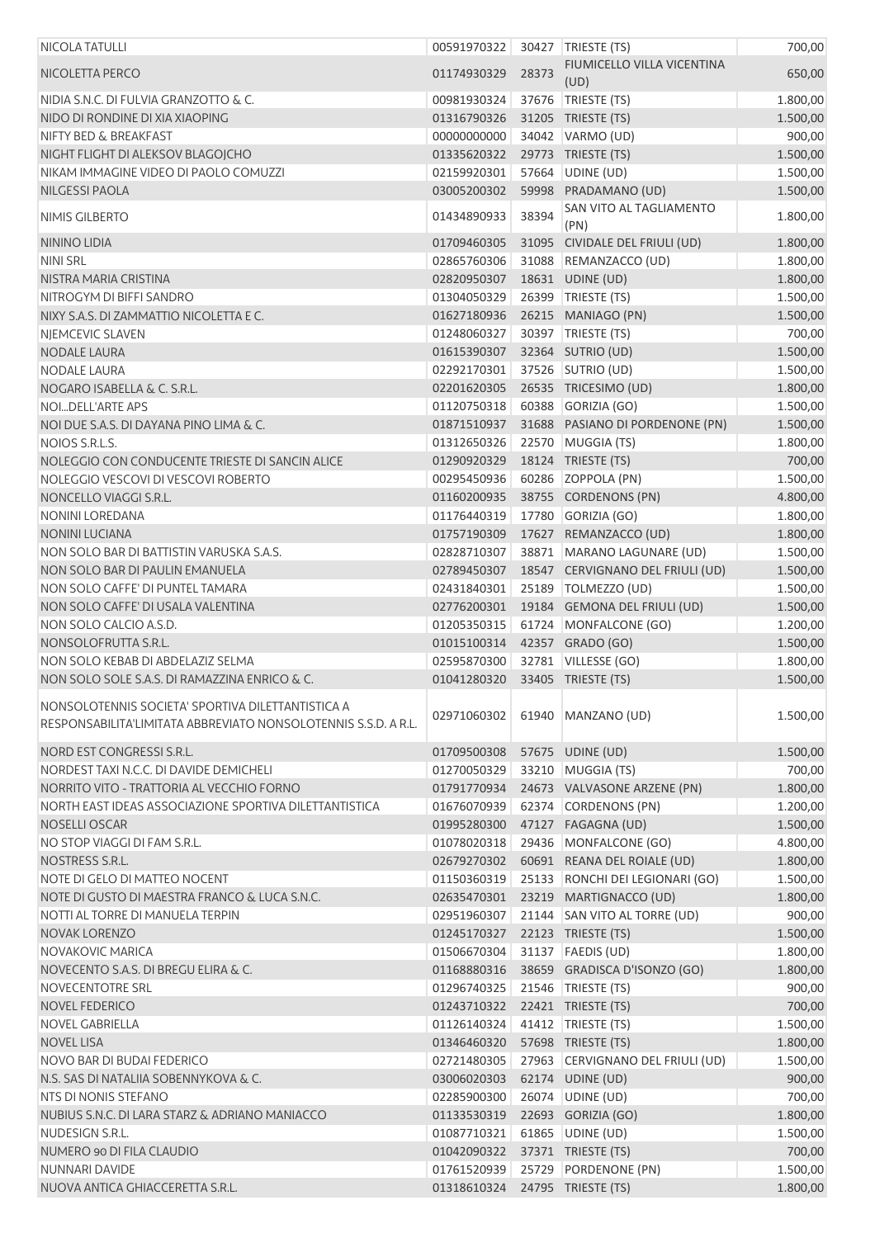| <b>NICOLA TATULLI</b>                                                                                               | 00591970322 |       | 30427 TRIESTE (TS)                 | 700,00   |
|---------------------------------------------------------------------------------------------------------------------|-------------|-------|------------------------------------|----------|
| NICOLETTA PERCO                                                                                                     | 01174930329 | 28373 | FIUMICELLO VILLA VICENTINA<br>(UD) | 650,00   |
| NIDIA S.N.C. DI FULVIA GRANZOTTO & C.                                                                               | 00981930324 |       | 37676 TRIESTE (TS)                 | 1.800,00 |
| NIDO DI RONDINE DI XIA XIAOPING                                                                                     | 01316790326 |       | 31205 TRIESTE (TS)                 | 1.500,00 |
| <b>NIFTY BED &amp; BREAKFAST</b>                                                                                    | 00000000000 |       | 34042 VARMO (UD)                   | 900,00   |
| NIGHT FLIGHT DI ALEKSOV BLAGOJCHO                                                                                   | 01335620322 |       | 29773 TRIESTE (TS)                 | 1.500,00 |
| NIKAM IMMAGINE VIDEO DI PAOLO COMUZZI                                                                               | 02159920301 |       | 57664 UDINE (UD)                   | 1.500,00 |
| <b>NILGESSI PAOLA</b>                                                                                               | 03005200302 |       | 59998 PRADAMANO (UD)               | 1.500,00 |
|                                                                                                                     |             |       | SAN VITO AL TAGLIAMENTO            |          |
| NIMIS GILBERTO                                                                                                      | 01434890933 | 38394 | (PN)                               | 1.800,00 |
| NININO LIDIA                                                                                                        | 01709460305 |       | 31095 CIVIDALE DEL FRIULI (UD)     | 1.800,00 |
| <b>NINI SRL</b>                                                                                                     | 02865760306 |       | 31088 REMANZACCO (UD)              | 1.800,00 |
| NISTRA MARIA CRISTINA                                                                                               | 02820950307 |       | 18631 UDINE (UD)                   | 1.800,00 |
| NITROGYM DI BIFFI SANDRO                                                                                            | 01304050329 |       | 26399 TRIESTE (TS)                 | 1.500,00 |
| NIXY S.A.S. DI ZAMMATTIO NICOLETTA E C.                                                                             | 01627180936 |       | 26215 MANIAGO (PN)                 | 1.500,00 |
| NIEMCEVIC SLAVEN                                                                                                    | 01248060327 |       | 30397 TRIESTE (TS)                 | 700,00   |
| <b>NODALE LAURA</b>                                                                                                 | 01615390307 |       | 32364 SUTRIO (UD)                  | 1.500,00 |
| <b>NODALE LAURA</b>                                                                                                 | 02292170301 |       | 37526 SUTRIO (UD)                  | 1.500,00 |
| NOGARO ISABELLA & C. S.R.L.                                                                                         | 02201620305 |       | 26535 TRICESIMO (UD)               | 1.800,00 |
| NOIDELL'ARTE APS                                                                                                    | 01120750318 |       | 60388 GORIZIA (GO)                 | 1.500,00 |
| NOI DUE S.A.S. DI DAYANA PINO LIMA & C.                                                                             | 01871510937 |       | 31688 PASIANO DI PORDENONE (PN)    | 1.500,00 |
| NOIOS S.R.L.S.                                                                                                      | 01312650326 |       | 22570 MUGGIA (TS)                  | 1.800,00 |
| NOLEGGIO CON CONDUCENTE TRIESTE DI SANCIN ALICE                                                                     | 01290920329 |       | 18124 TRIESTE (TS)                 | 700,00   |
| NOLEGGIO VESCOVI DI VESCOVI ROBERTO                                                                                 | 00295450936 |       | 60286 ZOPPOLA (PN)                 | 1.500,00 |
| NONCELLO VIAGGI S.R.L.                                                                                              | 01160200935 |       | 38755 CORDENONS (PN)               | 4.800,00 |
| <b>NONINI LOREDANA</b>                                                                                              | 01176440319 |       | 17780 GORIZIA (GO)                 | 1.800,00 |
| <b>NONINI LUCIANA</b>                                                                                               | 01757190309 |       | 17627 REMANZACCO (UD)              | 1.800,00 |
| NON SOLO BAR DI BATTISTIN VARUSKA S.A.S.                                                                            | 02828710307 |       |                                    |          |
|                                                                                                                     |             |       | 38871 MARANO LAGUNARE (UD)         | 1.500,00 |
| NON SOLO BAR DI PAULIN EMANUELA                                                                                     | 02789450307 |       | 18547 CERVIGNANO DEL FRIULI (UD)   | 1.500,00 |
| NON SOLO CAFFE' DI PUNTEL TAMARA                                                                                    | 02431840301 |       | 25189   TOLMEZZO (UD)              | 1.500,00 |
| NON SOLO CAFFE' DI USALA VALENTINA                                                                                  | 02776200301 |       | 19184 GEMONA DEL FRIULI (UD)       | 1.500,00 |
| NON SOLO CALCIO A.S.D.                                                                                              | 01205350315 |       | 61724 MONFALCONE (GO)              | 1.200,00 |
| NONSOLOFRUTTA S.R.L.                                                                                                | 01015100314 |       | 42357 GRADO (GO)                   | 1.500,00 |
| NON SOLO KEBAB DI ABDELAZIZ SELMA                                                                                   | 02595870300 |       | 32781 VILLESSE (GO)                | 1.800,00 |
| NON SOLO SOLE S.A.S. DI RAMAZZINA ENRICO & C.                                                                       | 01041280320 |       | 33405 TRIESTE (TS)                 | 1.500,00 |
| NONSOLOTENNIS SOCIETA' SPORTIVA DILETTANTISTICA A<br>RESPONSABILITA'LIMITATA ABBREVIATO NONSOLOTENNIS S.S.D. A R.L. | 02971060302 |       | 61940 MANZANO (UD)                 | 1.500,00 |
|                                                                                                                     |             |       |                                    |          |
| NORD EST CONGRESSI S.R.L.                                                                                           | 01709500308 |       | 57675 UDINE (UD)                   | 1.500,00 |
| NORDEST TAXI N.C.C. DI DAVIDE DEMICHELI                                                                             | 01270050329 |       | 33210 MUGGIA (TS)                  | 700,00   |
| NORRITO VITO - TRATTORIA AL VECCHIO FORNO                                                                           | 01791770934 |       | 24673 VALVASONE ARZENE (PN)        | 1.800,00 |
| NORTH EAST IDEAS ASSOCIAZIONE SPORTIVA DILETTANTISTICA                                                              | 01676070939 |       | 62374 CORDENONS (PN)               | 1.200,00 |
| NOSELLI OSCAR                                                                                                       | 01995280300 |       | 47127 FAGAGNA (UD)                 | 1.500,00 |
| NO STOP VIAGGI DI FAM S.R.L.                                                                                        | 01078020318 |       | 29436 MONFALCONE (GO)              | 4.800,00 |
| NOSTRESS S.R.L.                                                                                                     | 02679270302 |       | 60691 REANA DEL ROIALE (UD)        | 1.800,00 |
| NOTE DI GELO DI MATTEO NOCENT                                                                                       | 01150360319 |       | 25133 RONCHI DEI LEGIONARI (GO)    | 1.500,00 |
| NOTE DI GUSTO DI MAESTRA FRANCO & LUCA S.N.C.                                                                       | 02635470301 |       | 23219 MARTIGNACCO (UD)             | 1.800,00 |
| NOTTI AL TORRE DI MANUELA TERPIN                                                                                    | 02951960307 |       | 21144 SAN VITO AL TORRE (UD)       | 900,00   |
| <b>NOVAK LORENZO</b>                                                                                                | 01245170327 |       | 22123 TRIESTE (TS)                 | 1.500,00 |
| <b>NOVAKOVIC MARICA</b>                                                                                             | 01506670304 |       | 31137   FAEDIS (UD)                | 1.800,00 |
| NOVECENTO S.A.S. DI BREGU ELIRA & C.                                                                                | 01168880316 |       | 38659 GRADISCA D'ISONZO (GO)       | 1.800,00 |
| NOVECENTOTRE SRL                                                                                                    | 01296740325 |       | 21546   TRIESTE (TS)               | 900,00   |
| <b>NOVEL FEDERICO</b>                                                                                               | 01243710322 |       | 22421 TRIESTE (TS)                 | 700,00   |
| <b>NOVEL GABRIELLA</b>                                                                                              | 01126140324 |       | 41412   TRIESTE (TS)               | 1.500,00 |
|                                                                                                                     |             |       |                                    |          |
| <b>NOVEL LISA</b>                                                                                                   | 01346460320 |       | 57698 TRIESTE (TS)                 | 1.800,00 |
| <b>NOVO BAR DI BUDAI FEDERICO</b>                                                                                   | 02721480305 |       | 27963 CERVIGNANO DEL FRIULI (UD)   | 1.500,00 |
| N.S. SAS DI NATALIIA SOBENNYKOVA & C.                                                                               | 03006020303 |       | 62174 UDINE (UD)                   | 900,00   |
| NTS DI NONIS STEFANO                                                                                                | 02285900300 |       | 26074 UDINE (UD)                   | 700,00   |
| NUBIUS S.N.C. DI LARA STARZ & ADRIANO MANIACCO                                                                      | 01133530319 |       | 22693 GORIZIA (GO)                 | 1.800,00 |
| NUDESIGN S.R.L.                                                                                                     | 01087710321 |       | 61865 UDINE (UD)                   | 1.500,00 |
| NUMERO 90 DI FILA CLAUDIO                                                                                           | 01042090322 |       | 37371 TRIESTE (TS)                 | 700,00   |
| NUNNARI DAVIDE                                                                                                      | 01761520939 |       | 25729 PORDENONE (PN)               | 1.500,00 |
| NUOVA ANTICA GHIACCERETTA S.R.L.                                                                                    | 01318610324 |       | 24795 TRIESTE (TS)                 | 1.800,00 |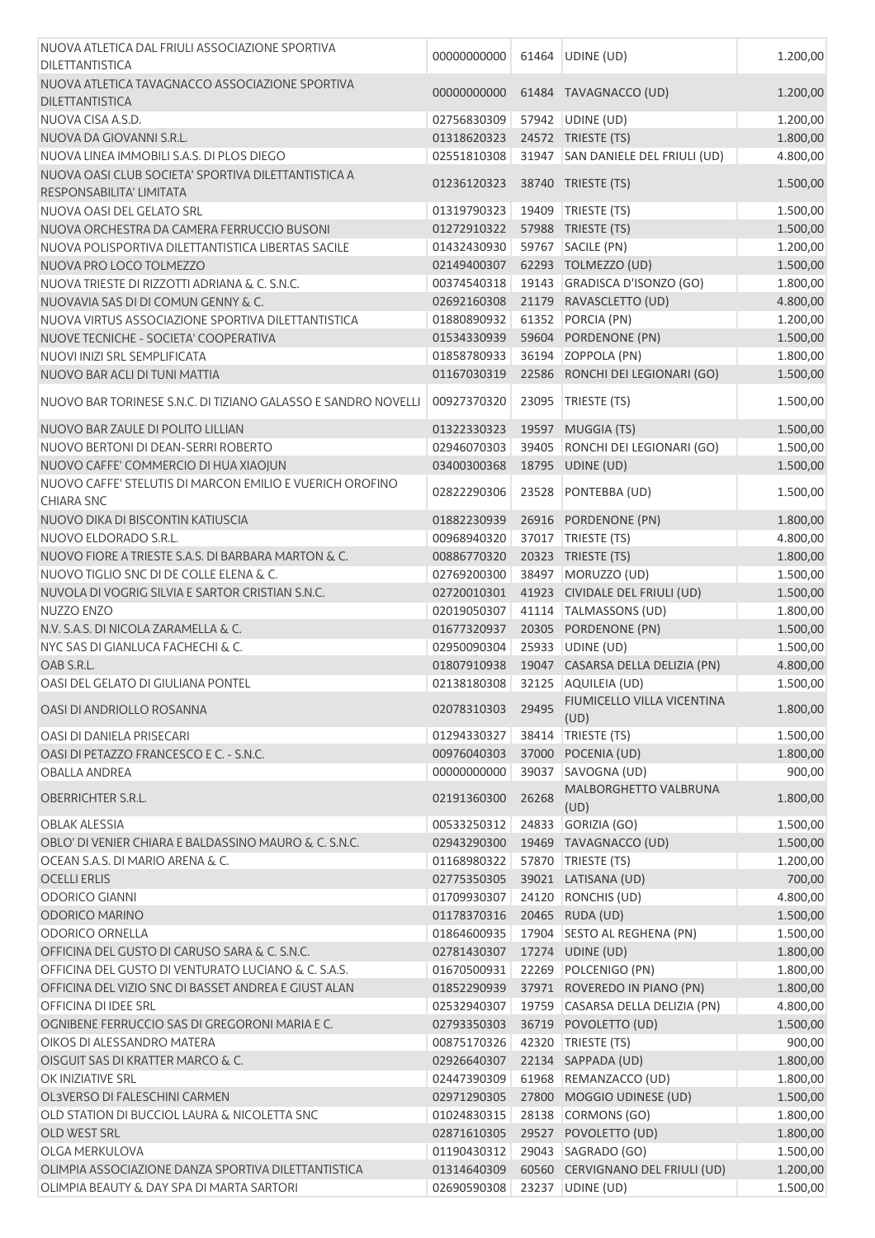| NUOVA ATLETICA DAL FRIULI ASSOCIAZIONE SPORTIVA<br><b>DILETTANTISTICA</b>       | 00000000000 | 61464 | UDINE (UD)                         | 1.200,00 |
|---------------------------------------------------------------------------------|-------------|-------|------------------------------------|----------|
| NUOVA ATLETICA TAVAGNACCO ASSOCIAZIONE SPORTIVA<br><b>DILETTANTISTICA</b>       | 00000000000 |       | 61484 TAVAGNACCO (UD)              | 1.200,00 |
| NUOVA CISA A.S.D.                                                               | 02756830309 |       | 57942 UDINE (UD)                   | 1.200,00 |
| NUOVA DA GIOVANNI S.R.L.                                                        | 01318620323 |       | 24572 TRIESTE (TS)                 | 1.800,00 |
| NUOVA LINEA IMMOBILI S.A.S. DI PLOS DIEGO                                       | 02551810308 |       | 31947 SAN DANIELE DEL FRIULI (UD)  | 4.800,00 |
| NUOVA OASI CLUB SOCIETA' SPORTIVA DILETTANTISTICA A<br>RESPONSABILITA' LIMITATA | 01236120323 |       | 38740 TRIESTE (TS)                 | 1.500,00 |
| NUOVA OASI DEL GELATO SRL                                                       | 01319790323 | 19409 | TRIESTE (TS)                       | 1.500,00 |
| NUOVA ORCHESTRA DA CAMERA FERRUCCIO BUSONI                                      | 01272910322 |       | 57988 TRIESTE (TS)                 | 1.500,00 |
| NUOVA POLISPORTIVA DILETTANTISTICA LIBERTAS SACILE                              | 01432430930 |       | 59767 SACILE (PN)                  | 1.200,00 |
| NUOVA PRO LOCO TOLMEZZO                                                         | 02149400307 |       | 62293 TOLMEZZO (UD)                | 1.500,00 |
| NUOVA TRIESTE DI RIZZOTTI ADRIANA & C. S.N.C.                                   | 00374540318 |       | 19143 GRADISCA D'ISONZO (GO)       | 1.800,00 |
| NUOVAVIA SAS DI DI COMUN GENNY & C.                                             | 02692160308 |       | 21179 RAVASCLETTO (UD)             | 4.800,00 |
| NUOVA VIRTUS ASSOCIAZIONE SPORTIVA DILETTANTISTICA                              | 01880890932 |       | 61352 PORCIA (PN)                  | 1.200,00 |
| NUOVE TECNICHE - SOCIETA' COOPERATIVA                                           | 01534330939 |       | 59604 PORDENONE (PN)               | 1.500,00 |
| NUOVI INIZI SRL SEMPLIFICATA                                                    | 01858780933 |       | 36194 ZOPPOLA (PN)                 | 1.800,00 |
| NUOVO BAR ACLI DI TUNI MATTIA                                                   | 01167030319 |       | 22586 RONCHI DEI LEGIONARI (GO)    | 1.500,00 |
| NUOVO BAR TORINESE S.N.C. DI TIZIANO GALASSO E SANDRO NOVELLI                   | 00927370320 | 23095 | TRIESTE (TS)                       | 1.500,00 |
| NUOVO BAR ZAULE DI POLITO LILLIAN                                               | 01322330323 |       | 19597 MUGGIA (TS)                  | 1.500,00 |
| NUOVO BERTONI DI DEAN-SERRI ROBERTO                                             | 02946070303 | 39405 | RONCHI DEI LEGIONARI (GO)          | 1.500,00 |
| NUOVO CAFFE' COMMERCIO DI HUA XIAOJUN                                           | 03400300368 |       | 18795 UDINE (UD)                   | 1.500,00 |
| NUOVO CAFFE' STELUTIS DI MARCON EMILIO E VUERICH OROFINO<br><b>CHIARA SNC</b>   | 02822290306 | 23528 | PONTEBBA (UD)                      | 1.500,00 |
| NUOVO DIKA DI BISCONTIN KATIUSCIA                                               | 01882230939 |       | 26916 PORDENONE (PN)               | 1.800,00 |
| NUOVO ELDORADO S.R.L.                                                           | 00968940320 | 37017 | TRIESTE (TS)                       | 4.800,00 |
| NUOVO FIORE A TRIESTE S.A.S. DI BARBARA MARTON & C.                             | 00886770320 |       | 20323 TRIESTE (TS)                 | 1.800,00 |
| NUOVO TIGLIO SNC DI DE COLLE ELENA & C.                                         | 02769200300 |       | 38497   MORUZZO (UD)               | 1.500,00 |
| NUVOLA DI VOGRIG SILVIA E SARTOR CRISTIAN S.N.C.                                | 02720010301 |       | 41923 CIVIDALE DEL FRIULI (UD)     | 1.500,00 |
| NUZZO ENZO                                                                      | 02019050307 |       | 41114 TALMASSONS (UD)              | 1.800,00 |
| N.V. S.A.S. DI NICOLA ZARAMELLA & C.                                            | 01677320937 |       | 20305 PORDENONE (PN)               | 1.500,00 |
| NYC SAS DI GIANLUCA FACHECHI & C.                                               | 02950090304 |       | 25933 UDINE (UD)                   | 1.500,00 |
| OAB S.R.L.                                                                      | 01807910938 |       | 19047 CASARSA DELLA DELIZIA (PN)   | 4.800,00 |
| OASI DEL GELATO DI GIULIANA PONTEL                                              | 02138180308 |       | 32125 AQUILEIA (UD)                | 1.500,00 |
| OASI DI ANDRIOLLO ROSANNA                                                       | 02078310303 | 29495 | FIUMICELLO VILLA VICENTINA<br>(UD) | 1.800,00 |
| OASI DI DANIELA PRISECARI                                                       | 01294330327 | 38414 | TRIESTE (TS)                       | 1.500,00 |
| OASI DI PETAZZO FRANCESCO E C. - S.N.C.                                         | 00976040303 | 37000 | POCENIA (UD)                       | 1.800,00 |
| <b>OBALLA ANDREA</b>                                                            | 00000000000 | 39037 | SAVOGNA (UD)                       | 900,00   |
| <b>OBERRICHTER S.R.L.</b>                                                       | 02191360300 | 26268 | MALBORGHETTO VALBRUNA<br>(UD)      | 1.800,00 |
| <b>OBLAK ALESSIA</b>                                                            | 00533250312 | 24833 | GORIZIA (GO)                       | 1.500,00 |
| OBLO' DI VENIER CHIARA E BALDASSINO MAURO & C. S.N.C.                           | 02943290300 |       | 19469 TAVAGNACCO (UD)              | 1.500,00 |
| OCEAN S.A.S. DI MARIO ARENA & C.                                                | 01168980322 | 57870 | TRIESTE (TS)                       | 1.200,00 |
| <b>OCELLI ERLIS</b>                                                             | 02775350305 |       | 39021 LATISANA (UD)                | 700,00   |
| <b>ODORICO GIANNI</b>                                                           | 01709930307 |       | 24120 RONCHIS (UD)                 | 4.800,00 |
| <b>ODORICO MARINO</b>                                                           | 01178370316 |       | 20465 RUDA (UD)                    | 1.500,00 |
| <b>ODORICO ORNELLA</b>                                                          | 01864600935 |       | 17904 SESTO AL REGHENA (PN)        | 1.500,00 |
| OFFICINA DEL GUSTO DI CARUSO SARA & C. S.N.C.                                   | 02781430307 |       | 17274 UDINE (UD)                   | 1.800,00 |
| OFFICINA DEL GUSTO DI VENTURATO LUCIANO & C. S.A.S.                             | 01670500931 |       | 22269 POLCENIGO (PN)               | 1.800,00 |
| OFFICINA DEL VIZIO SNC DI BASSET ANDREA E GIUST ALAN                            | 01852290939 |       | 37971 ROVEREDO IN PIANO (PN)       | 1.800,00 |
| OFFICINA DI IDEE SRL                                                            | 02532940307 |       | 19759 CASARSA DELLA DELIZIA (PN)   | 4.800,00 |
| OGNIBENE FERRUCCIO SAS DI GREGORONI MARIA E C.                                  | 02793350303 |       | 36719 POVOLETTO (UD)               | 1.500,00 |
| OIKOS DI ALESSANDRO MATERA                                                      | 00875170326 |       | 42320 TRIESTE (TS)                 | 900,00   |
| OISGUIT SAS DI KRATTER MARCO & C.                                               | 02926640307 |       | 22134 SAPPADA (UD)                 | 1.800,00 |
| OK INIZIATIVE SRL                                                               | 02447390309 |       | 61968 REMANZACCO (UD)              | 1.800,00 |
| OL3VERSO DI FALESCHINI CARMEN                                                   | 02971290305 |       | 27800 MOGGIO UDINESE (UD)          | 1.500,00 |
| OLD STATION DI BUCCIOL LAURA & NICOLETTA SNC                                    | 01024830315 |       | 28138 CORMONS (GO)                 | 1.800,00 |
| OLD WEST SRL                                                                    | 02871610305 |       | 29527 POVOLETTO (UD)               | 1.800,00 |
| <b>OLGA MERKULOVA</b>                                                           | 01190430312 |       | 29043 SAGRADO (GO)                 | 1.500,00 |
| OLIMPIA ASSOCIAZIONE DANZA SPORTIVA DILETTANTISTICA                             | 01314640309 |       | 60560 CERVIGNANO DEL FRIULI (UD)   | 1.200,00 |
| OLIMPIA BEAUTY & DAY SPA DI MARTA SARTORI                                       | 02690590308 |       | 23237 UDINE (UD)                   | 1.500,00 |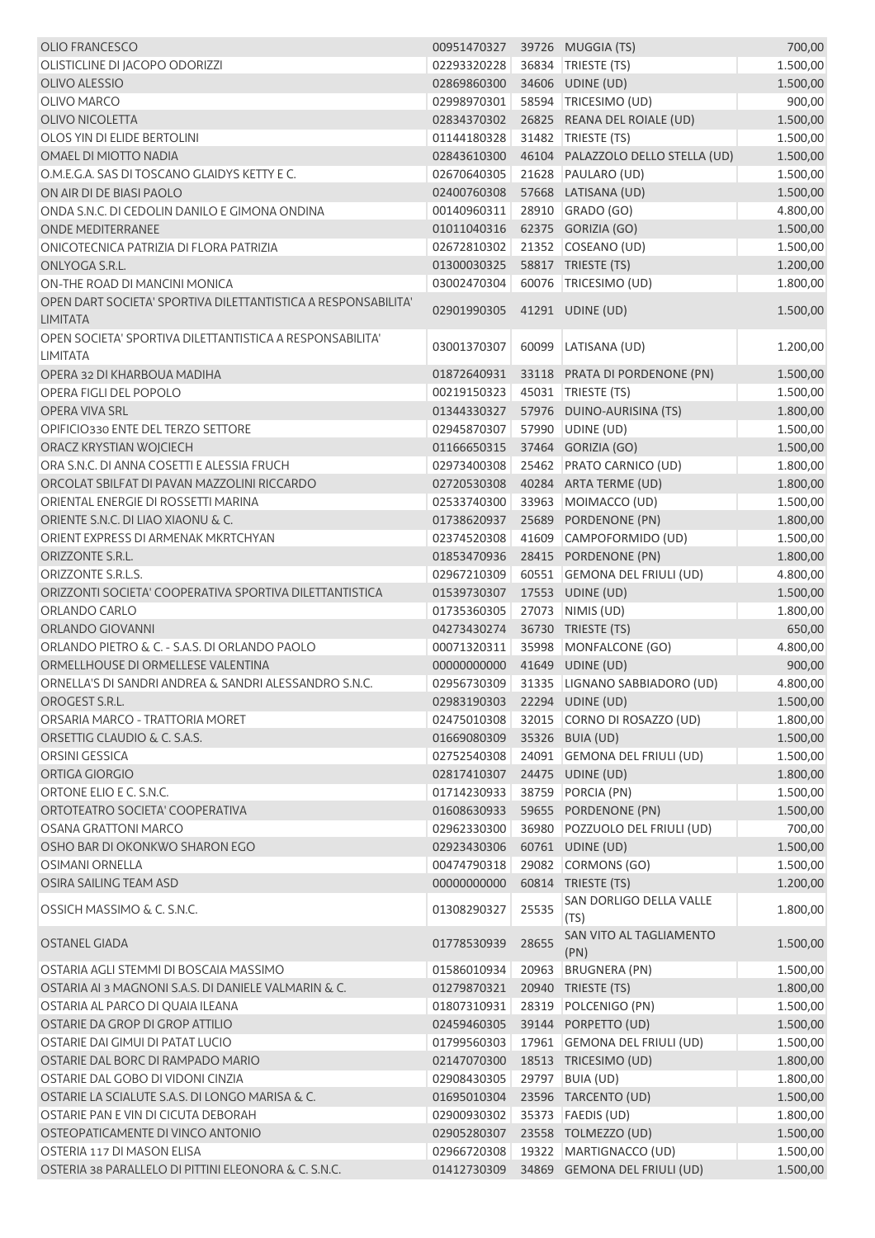| <b>OLIO FRANCESCO</b>                                                       | 00951470327 39726 MUGGIA (TS) |       |                                   | 700,00   |
|-----------------------------------------------------------------------------|-------------------------------|-------|-----------------------------------|----------|
| OLISTICLINE DI JACOPO ODORIZZI                                              | 02293320228                   |       | 36834   TRIESTE (TS)              | 1.500,00 |
| <b>OLIVO ALESSIO</b>                                                        | 02869860300                   |       | 34606 UDINE (UD)                  | 1.500,00 |
| <b>OLIVO MARCO</b>                                                          | 02998970301                   |       | 58594 TRICESIMO (UD)              | 900,00   |
| <b>OLIVO NICOLETTA</b>                                                      | 02834370302                   |       | 26825 REANA DEL ROIALE (UD)       | 1.500,00 |
| OLOS YIN DI ELIDE BERTOLINI                                                 | 01144180328                   |       | 31482 TRIESTE (TS)                | 1.500,00 |
| OMAEL DI MIOTTO NADIA                                                       | 02843610300                   |       | 46104 PALAZZOLO DELLO STELLA (UD) | 1.500,00 |
| O.M.E.G.A. SAS DI TOSCANO GLAIDYS KETTY E C.                                | 02670640305                   |       | 21628 PAULARO (UD)                | 1.500,00 |
| ON AIR DI DE BIASI PAOLO                                                    | 02400760308                   |       | 57668 LATISANA (UD)               | 1.500,00 |
| ONDA S.N.C. DI CEDOLIN DANILO E GIMONA ONDINA                               | 00140960311                   |       | 28910 GRADO (GO)                  | 4.800,00 |
| <b>ONDE MEDITERRANEE</b>                                                    | 01011040316                   |       | 62375 GORIZIA (GO)                | 1.500,00 |
| ONICOTECNICA PATRIZIA DI FLORA PATRIZIA                                     | 02672810302                   |       | 21352 COSEANO (UD)                | 1.500,00 |
| ONLYOGA S.R.L.                                                              | 01300030325                   |       | 58817 TRIESTE (TS)                | 1.200,00 |
| ON-THE ROAD DI MANCINI MONICA                                               | 03002470304                   |       | 60076 TRICESIMO (UD)              | 1.800,00 |
| OPEN DART SOCIETA' SPORTIVA DILETTANTISTICA A RESPONSABILITA'               |                               |       |                                   |          |
| <b>LIMITATA</b>                                                             | 02901990305                   |       | 41291 UDINE (UD)                  | 1.500,00 |
| OPEN SOCIETA' SPORTIVA DILETTANTISTICA A RESPONSABILITA'<br><b>LIMITATA</b> | 03001370307                   |       | 60099 LATISANA (UD)               | 1.200,00 |
| OPERA 32 DI KHARBOUA MADIHA                                                 | 01872640931                   |       | 33118 PRATA DI PORDENONE (PN)     | 1.500,00 |
| OPERA FIGLI DEL POPOLO                                                      | 00219150323                   |       | 45031   TRIESTE (TS)              | 1.500,00 |
| OPERA VIVA SRL                                                              | 01344330327                   |       | 57976 DUINO-AURISINA (TS)         | 1.800,00 |
| OPIFICIO330 ENTE DEL TERZO SETTORE                                          | 02945870307                   |       | 57990 UDINE (UD)                  | 1.500,00 |
| ORACZ KRYSTIAN WOJCIECH                                                     | 01166650315                   |       | 37464 GORIZIA (GO)                | 1.500,00 |
| ORA S.N.C. DI ANNA COSETTI E ALESSIA FRUCH                                  | 02973400308                   |       | 25462 PRATO CARNICO (UD)          | 1.800,00 |
| ORCOLAT SBILFAT DI PAVAN MAZZOLINI RICCARDO                                 | 02720530308                   |       | 40284 ARTA TERME (UD)             | 1.800,00 |
| ORIENTAL ENERGIE DI ROSSETTI MARINA                                         |                               |       |                                   |          |
| ORIENTE S.N.C. DI LIAO XIAONU & C.                                          | 02533740300                   |       | 33963 MOIMACCO (UD)               | 1.500,00 |
| ORIENT EXPRESS DI ARMENAK MKRTCHYAN                                         | 01738620937<br>02374520308    |       | 25689 PORDENONE (PN)              | 1.800,00 |
| ORIZZONTE S.R.L.                                                            |                               |       | 41609 CAMPOFORMIDO (UD)           | 1.500,00 |
| ORIZZONTE S.R.L.S.                                                          | 01853470936<br>02967210309    |       | 28415 PORDENONE (PN)              | 1.800,00 |
| ORIZZONTI SOCIETA' COOPERATIVA SPORTIVA DILETTANTISTICA                     |                               |       | 60551 GEMONA DEL FRIULI (UD)      | 4.800,00 |
|                                                                             | 01539730307                   |       | 17553 UDINE (UD)                  | 1.500,00 |
| ORLANDO CARLO<br><b>ORLANDO GIOVANNI</b>                                    | 01735360305                   |       | 27073 NIMIS (UD)                  | 1.800,00 |
|                                                                             | 04273430274                   |       | 36730 TRIESTE (TS)                | 650,00   |
| ORLANDO PIETRO & C. - S.A.S. DI ORLANDO PAOLO                               | 00071320311                   |       | 35998 MONFALCONE (GO)             | 4.800,00 |
| ORMELLHOUSE DI ORMELLESE VALENTINA                                          | 00000000000                   |       | 41649 UDINE (UD)                  | 900,00   |
| ORNELLA'S DI SANDRI ANDREA & SANDRI ALESSANDRO S.N.C.                       | 02956730309                   |       | 31335 LIGNANO SABBIADORO (UD)     | 4.800,00 |
| OROGEST S.R.L.                                                              | 02983190303 22294 UDINE (UD)  |       |                                   | 1.500,00 |
| ORSARIA MARCO - TRATTORIA MORET                                             | 02475010308                   |       | 32015 CORNO DI ROSAZZO (UD)       | 1.800,00 |
| ORSETTIG CLAUDIO & C. S.A.S.                                                | 01669080309                   |       | 35326 BUIA (UD)                   | 1.500,00 |
| ORSINI GESSICA                                                              | 02752540308                   |       | 24091 GEMONA DEL FRIULI (UD)      | 1.500,00 |
| ORTIGA GIORGIO                                                              | 02817410307                   |       | 24475 UDINE (UD)                  | 1.800,00 |
| ORTONE ELIO E C. S.N.C.                                                     | 01714230933                   |       | 38759 PORCIA (PN)                 | 1.500,00 |
| ORTOTEATRO SOCIETA' COOPERATIVA                                             | 01608630933                   |       | 59655 PORDENONE (PN)              | 1.500,00 |
| <b>OSANA GRATTONI MARCO</b>                                                 | 02962330300                   |       | 36980 POZZUOLO DEL FRIULI (UD)    | 700,00   |
| OSHO BAR DI OKONKWO SHARON EGO                                              | 02923430306                   |       | 60761 UDINE (UD)                  | 1.500,00 |
| <b>OSIMANI ORNELLA</b>                                                      | 00474790318                   |       | 29082 CORMONS (GO)                | 1.500,00 |
| OSIRA SAILING TEAM ASD                                                      | 00000000000                   |       | 60814 TRIESTE (TS)                | 1.200,00 |
| OSSICH MASSIMO & C. S.N.C.                                                  | 01308290327                   | 25535 | SAN DORLIGO DELLA VALLE<br>(TS)   | 1.800,00 |
| OSTANEL GIADA                                                               | 01778530939                   | 28655 | SAN VITO AL TAGLIAMENTO<br>(PN)   | 1.500,00 |
| OSTARIA AGLI STEMMI DI BOSCAIA MASSIMO                                      | 01586010934                   |       | 20963 BRUGNERA (PN)               | 1.500,00 |
| OSTARIA AI 3 MAGNONI S.A.S. DI DANIELE VALMARIN & C.                        | 01279870321                   |       | 20940 TRIESTE (TS)                | 1.800,00 |
| OSTARIA AL PARCO DI QUAIA ILEANA                                            | 01807310931                   | 28319 | POLCENIGO (PN)                    | 1.500,00 |
| OSTARIE DA GROP DI GROP ATTILIO                                             | 02459460305                   |       | 39144 PORPETTO (UD)               | 1.500,00 |
| OSTARIE DAI GIMUI DI PATAT LUCIO                                            | 01799560303                   |       | 17961 GEMONA DEL FRIULI (UD)      | 1.500,00 |
| OSTARIE DAL BORC DI RAMPADO MARIO                                           | 02147070300                   |       | 18513 TRICESIMO (UD)              | 1.800,00 |
| OSTARIE DAL GOBO DI VIDONI CINZIA                                           | 02908430305                   |       | 29797 BUIA (UD)                   | 1.800,00 |
| OSTARIE LA SCIALUTE S.A.S. DI LONGO MARISA & C.                             | 01695010304                   |       | 23596 TARCENTO (UD)               | 1.500,00 |
| OSTARIE PAN E VIN DI CICUTA DEBORAH                                         | 02900930302                   |       | 35373   FAEDIS (UD)               | 1.800,00 |
| OSTEOPATICAMENTE DI VINCO ANTONIO                                           | 02905280307                   |       | 23558 TOLMEZZO (UD)               | 1.500,00 |
| OSTERIA 117 DI MASON ELISA                                                  | 02966720308                   |       | 19322 MARTIGNACCO (UD)            | 1.500,00 |
| OSTERIA 38 PARALLELO DI PITTINI ELEONORA & C. S.N.C.                        | 01412730309                   |       | 34869 GEMONA DEL FRIULI (UD)      | 1.500,00 |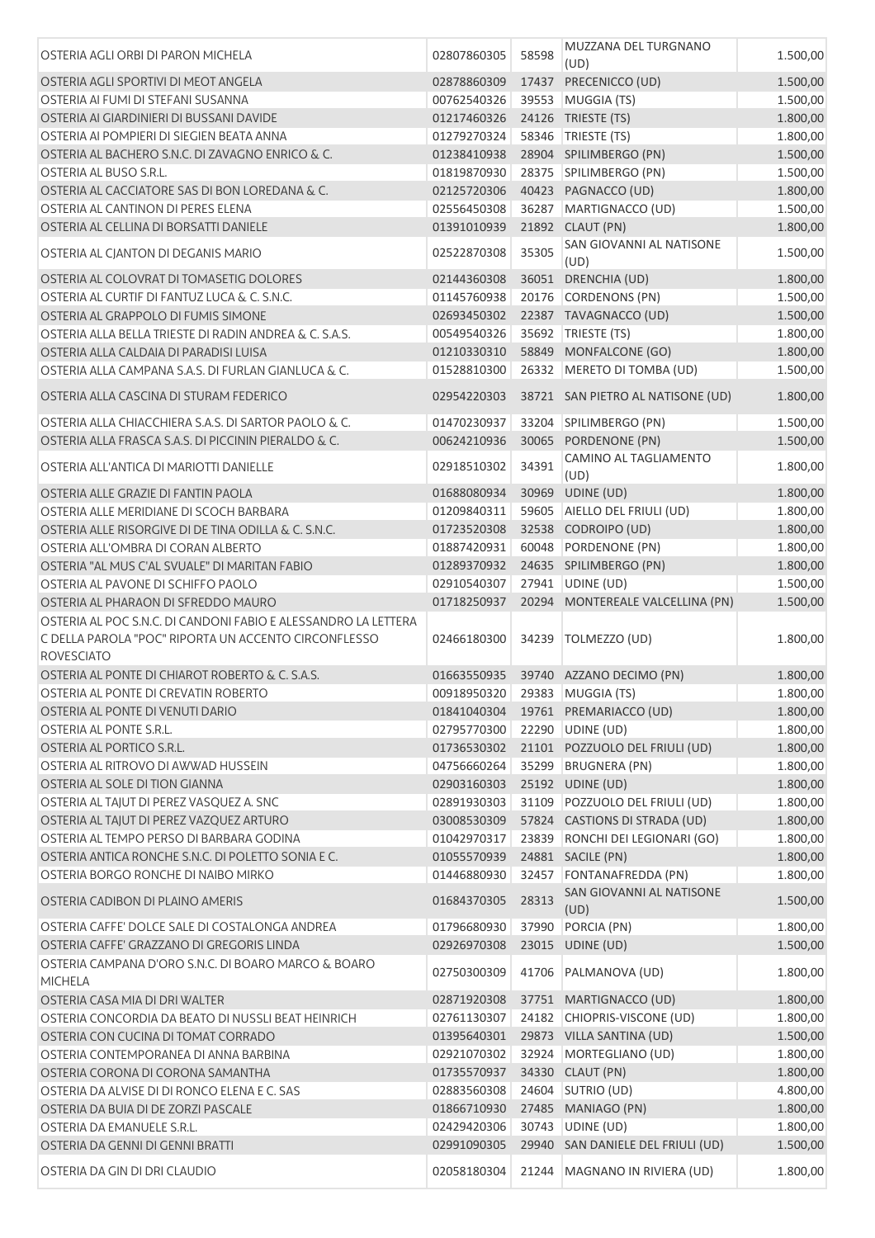| OSTERIA AGLI ORBI DI PARON MICHELA                                        | 02807860305 | 58598 | MUZZANA DEL TURGNANO<br>(UD)      | 1.500,00 |
|---------------------------------------------------------------------------|-------------|-------|-----------------------------------|----------|
| OSTERIA AGLI SPORTIVI DI MEOT ANGELA                                      | 02878860309 |       | 17437 PRECENICCO (UD)             | 1.500,00 |
| OSTERIA AI FUMI DI STEFANI SUSANNA                                        | 00762540326 |       | 39553 MUGGIA (TS)                 | 1.500,00 |
| OSTERIA AI GIARDINIERI DI BUSSANI DAVIDE                                  | 01217460326 |       | 24126 TRIESTE (TS)                | 1.800,00 |
| OSTERIA AI POMPIERI DI SIEGIEN BEATA ANNA                                 | 01279270324 |       | 58346 TRIESTE (TS)                | 1.800,00 |
| OSTERIA AL BACHERO S.N.C. DI ZAVAGNO ENRICO & C.                          | 01238410938 |       | 28904 SPILIMBERGO (PN)            | 1.500,00 |
| OSTERIA AL BUSO S.R.L.                                                    | 01819870930 |       | 28375 SPILIMBERGO (PN)            | 1.500,00 |
| OSTERIA AL CACCIATORE SAS DI BON LOREDANA & C.                            | 02125720306 |       | 40423 PAGNACCO (UD)               | 1.800,00 |
| OSTERIA AL CANTINON DI PERES ELENA                                        | 02556450308 |       | 36287 MARTIGNACCO (UD)            | 1.500,00 |
| OSTERIA AL CELLINA DI BORSATTI DANIELE                                    | 01391010939 |       | 21892 CLAUT (PN)                  | 1.800,00 |
|                                                                           |             |       | SAN GIOVANNI AL NATISONE          |          |
| OSTERIA AL CJANTON DI DEGANIS MARIO                                       | 02522870308 | 35305 | (UD)                              | 1.500,00 |
| OSTERIA AL COLOVRAT DI TOMASETIG DOLORES                                  | 02144360308 |       | 36051 DRENCHIA (UD)               | 1.800,00 |
| OSTERIA AL CURTIF DI FANTUZ LUCA & C. S.N.C.                              | 01145760938 |       | 20176 CORDENONS (PN)              | 1.500,00 |
| OSTERIA AL GRAPPOLO DI FUMIS SIMONE                                       | 02693450302 |       | 22387 TAVAGNACCO (UD)             | 1.500,00 |
| OSTERIA ALLA BELLA TRIESTE DI RADIN ANDREA & C. S.A.S.                    | 00549540326 |       | 35692 TRIESTE (TS)                | 1.800,00 |
| OSTERIA ALLA CALDAIA DI PARADISI LUISA                                    | 01210330310 |       | 58849 MONFALCONE (GO)             | 1.800,00 |
| OSTERIA ALLA CAMPANA S.A.S. DI FURLAN GIANLUCA & C.                       | 01528810300 |       | 26332 MERETO DI TOMBA (UD)        | 1.500,00 |
| OSTERIA ALLA CASCINA DI STURAM FEDERICO                                   | 02954220303 |       | 38721 SAN PIETRO AL NATISONE (UD) | 1.800,00 |
| OSTERIA ALLA CHIACCHIERA S.A.S. DI SARTOR PAOLO & C.                      | 01470230937 |       | 33204 SPILIMBERGO (PN)            | 1.500,00 |
| OSTERIA ALLA FRASCA S.A.S. DI PICCININ PIERALDO & C.                      | 00624210936 |       | 30065 PORDENONE (PN)              | 1.500,00 |
|                                                                           |             |       | CAMINO AL TAGLIAMENTO             |          |
| OSTERIA ALL'ANTICA DI MARIOTTI DANIELLE                                   | 02918510302 | 34391 | (UD)                              | 1.800,00 |
| OSTERIA ALLE GRAZIE DI FANTIN PAOLA                                       | 01688080934 |       | 30969 UDINE (UD)                  | 1.800,00 |
| OSTERIA ALLE MERIDIANE DI SCOCH BARBARA                                   | 01209840311 |       | 59605 AIELLO DEL FRIULI (UD)      | 1.800,00 |
| OSTERIA ALLE RISORGIVE DI DE TINA ODILLA & C. S.N.C.                      | 01723520308 |       | 32538 CODROIPO (UD)               | 1.800,00 |
| OSTERIA ALL'OMBRA DI CORAN ALBERTO                                        | 01887420931 | 60048 | PORDENONE (PN)                    | 1.800,00 |
| OSTERIA "AL MUS C'AL SVUALE" DI MARITAN FABIO                             | 01289370932 |       | 24635 SPILIMBERGO (PN)            | 1.800,00 |
| OSTERIA AL PAVONE DI SCHIFFO PAOLO                                        | 02910540307 |       | 27941 UDINE (UD)                  | 1.500,00 |
| OSTERIA AL PHARAON DI SFREDDO MAURO                                       | 01718250937 |       | 20294 MONTEREALE VALCELLINA (PN)  | 1.500,00 |
| OSTERIA AL POC S.N.C. DI CANDONI FABIO E ALESSANDRO LA LETTERA            |             |       |                                   |          |
| C DELLA PAROLA "POC" RIPORTA UN ACCENTO CIRCONFLESSO<br><b>ROVESCIATO</b> | 02466180300 | 34239 | TOLMEZZO (UD)                     | 1.800,00 |
| OSTERIA AL PONTE DI CHIAROT ROBERTO & C. S.A.S.                           | 01663550935 |       | 39740 AZZANO DECIMO (PN)          | 1.800,00 |
| OSTERIA AL PONTE DI CREVATIN ROBERTO                                      | 00918950320 |       | 29383 MUGGIA (TS)                 | 1.800,00 |
| OSTERIA AL PONTE DI VENUTI DARIO                                          | 01841040304 |       | 19761 PREMARIACCO (UD)            | 1.800,00 |
| OSTERIA AL PONTE S.R.L.                                                   | 02795770300 |       | 22290 UDINE (UD)                  | 1.800,00 |
| OSTERIA AL PORTICO S.R.L.                                                 | 01736530302 |       | 21101 POZZUOLO DEL FRIULI (UD)    | 1.800,00 |
| OSTERIA AL RITROVO DI AWWAD HUSSEIN                                       | 04756660264 |       | 35299 BRUGNERA (PN)               | 1.800,00 |
| OSTERIA AL SOLE DI TION GIANNA                                            | 02903160303 |       | 25192 UDINE (UD)                  | 1.800,00 |
| OSTERIA AL TAJUT DI PEREZ VASQUEZ A. SNC                                  | 02891930303 |       | 31109 POZZUOLO DEL FRIULI (UD)    | 1.800,00 |
| OSTERIA AL TAJUT DI PEREZ VAZQUEZ ARTURO                                  | 03008530309 |       | 57824 CASTIONS DI STRADA (UD)     | 1.800,00 |
| OSTERIA AL TEMPO PERSO DI BARBARA GODINA                                  |             |       | 23839 RONCHI DEI LEGIONARI (GO)   | 1.800,00 |
|                                                                           | 01042970317 |       |                                   |          |
| OSTERIA ANTICA RONCHE S.N.C. DI POLETTO SONIA E C.                        | 01055570939 |       | 24881 SACILE (PN)                 | 1.800,00 |
| OSTERIA BORGO RONCHE DI NAIBO MIRKO                                       | 01446880930 | 32457 | FONTANAFREDDA (PN)                | 1.800,00 |
| OSTERIA CADIBON DI PLAINO AMERIS                                          | 01684370305 | 28313 | SAN GIOVANNI AL NATISONE<br>(UD)  | 1.500,00 |
| OSTERIA CAFFE' DOLCE SALE DI COSTALONGA ANDREA                            | 01796680930 | 37990 | PORCIA (PN)                       | 1.800,00 |
| OSTERIA CAFFE' GRAZZANO DI GREGORIS LINDA                                 | 02926970308 |       | 23015 UDINE (UD)                  | 1.500,00 |
| OSTERIA CAMPANA D'ORO S.N.C. DI BOARO MARCO & BOARO<br><b>MICHELA</b>     | 02750300309 | 41706 | PALMANOVA (UD)                    | 1.800,00 |
| OSTERIA CASA MIA DI DRI WALTER                                            | 02871920308 |       | 37751 MARTIGNACCO (UD)            | 1.800,00 |
| OSTERIA CONCORDIA DA BEATO DI NUSSLI BEAT HEINRICH                        | 02761130307 |       | 24182 CHIOPRIS-VISCONE (UD)       | 1.800,00 |
| OSTERIA CON CUCINA DI TOMAT CORRADO                                       | 01395640301 |       | 29873 VILLA SANTINA (UD)          | 1.500,00 |
| OSTERIA CONTEMPORANEA DI ANNA BARBINA                                     | 02921070302 | 32924 | MORTEGLIANO (UD)                  | 1.800,00 |
| OSTERIA CORONA DI CORONA SAMANTHA                                         | 01735570937 |       | 34330 CLAUT (PN)                  | 1.800,00 |
| OSTERIA DA ALVISE DI DI RONCO ELENA E C. SAS                              | 02883560308 |       | 24604 SUTRIO (UD)                 | 4.800,00 |
| OSTERIA DA BUIA DI DE ZORZI PASCALE                                       | 01866710930 |       | 27485 MANIAGO (PN)                | 1.800,00 |
| OSTERIA DA EMANUELE S.R.L.                                                | 02429420306 |       | 30743 UDINE (UD)                  | 1.800,00 |
| OSTERIA DA GENNI DI GENNI BRATTI                                          | 02991090305 |       | 29940 SAN DANIELE DEL FRIULI (UD) | 1.500,00 |
| OSTERIA DA GIN DI DRI CLAUDIO                                             | 02058180304 |       | 21244   MAGNANO IN RIVIERA (UD)   | 1.800,00 |
|                                                                           |             |       |                                   |          |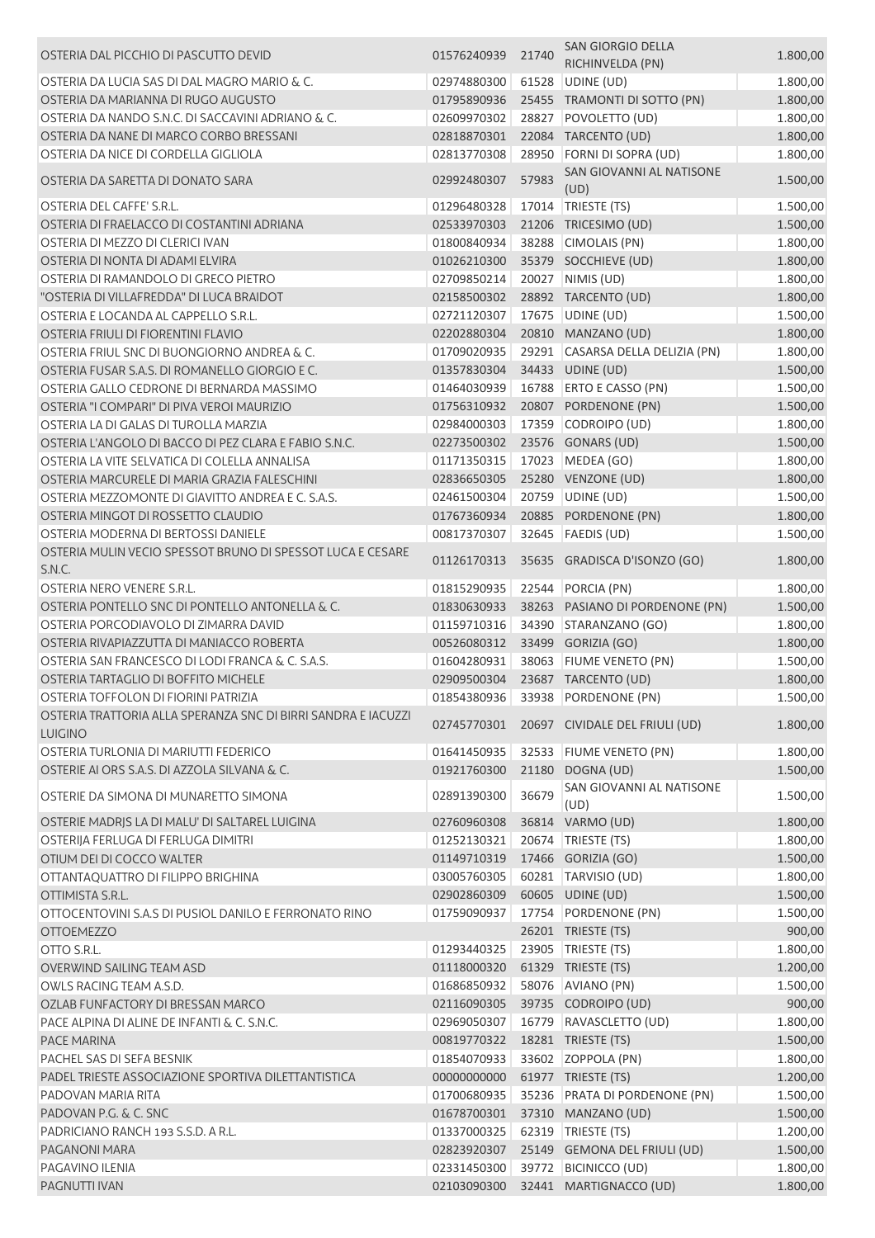| OSTERIA DAL PICCHIO DI PASCUTTO DEVID                         | 01576240939 | 21740 | SAN GIORGIO DELLA<br>RICHINVELDA (PN)      | 1.800,00 |
|---------------------------------------------------------------|-------------|-------|--------------------------------------------|----------|
| OSTERIA DA LUCIA SAS DI DAL MAGRO MARIO & C.                  | 02974880300 | 61528 |                                            | 1.800,00 |
| OSTERIA DA MARIANNA DI RUGO AUGUSTO                           | 01795890936 |       | UDINE (UD)<br>25455 TRAMONTI DI SOTTO (PN) | 1.800,00 |
| OSTERIA DA NANDO S.N.C. DI SACCAVINI ADRIANO & C.             | 02609970302 | 28827 | POVOLETTO (UD)                             |          |
|                                                               |             |       |                                            | 1.800,00 |
| OSTERIA DA NANE DI MARCO CORBO BRESSANI                       | 02818870301 |       | 22084 TARCENTO (UD)                        | 1.800,00 |
| OSTERIA DA NICE DI CORDELLA GIGLIOLA                          | 02813770308 |       | 28950 FORNI DI SOPRA (UD)                  | 1.800,00 |
| OSTERIA DA SARETTA DI DONATO SARA                             | 02992480307 | 57983 | SAN GIOVANNI AL NATISONE<br>(UD)           | 1.500,00 |
| OSTERIA DEL CAFFE' S.R.L.                                     | 01296480328 |       | 17014 TRIESTE (TS)                         | 1.500,00 |
| OSTERIA DI FRAELACCO DI COSTANTINI ADRIANA                    | 02533970303 |       | 21206 TRICESIMO (UD)                       | 1.500,00 |
| OSTERIA DI MEZZO DI CLERICI IVAN                              | 01800840934 |       | 38288 CIMOLAIS (PN)                        | 1.800,00 |
| OSTERIA DI NONTA DI ADAMI ELVIRA                              | 01026210300 |       | 35379 SOCCHIEVE (UD)                       | 1.800,00 |
| OSTERIA DI RAMANDOLO DI GRECO PIETRO                          | 02709850214 |       | 20027 NIMIS (UD)                           | 1.800,00 |
| "OSTERIA DI VILLAFREDDA" DI LUCA BRAIDOT                      | 02158500302 |       | 28892 TARCENTO (UD)                        | 1.800,00 |
| OSTERIA E LOCANDA AL CAPPELLO S.R.L.                          | 02721120307 |       | 17675 UDINE (UD)                           | 1.500,00 |
| OSTERIA FRIULI DI FIORENTINI FLAVIO                           | 02202880304 |       | 20810 MANZANO (UD)                         | 1.800,00 |
| OSTERIA FRIUL SNC DI BUONGIORNO ANDREA & C.                   | 01709020935 |       | 29291 CASARSA DELLA DELIZIA (PN)           | 1.800,00 |
| OSTERIA FUSAR S.A.S. DI ROMANELLO GIORGIO E C.                | 01357830304 |       | 34433 UDINE (UD)                           | 1.500,00 |
| OSTERIA GALLO CEDRONE DI BERNARDA MASSIMO                     | 01464030939 |       | 16788 ERTO E CASSO (PN)                    | 1.500,00 |
| OSTERIA "I COMPARI" DI PIVA VEROI MAURIZIO                    | 01756310932 |       | 20807 PORDENONE (PN)                       | 1.500,00 |
| OSTERIA LA DI GALAS DI TUROLLA MARZIA                         | 02984000303 |       | 17359 CODROIPO (UD)                        | 1.800,00 |
| OSTERIA L'ANGOLO DI BACCO DI PEZ CLARA E FABIO S.N.C.         | 02273500302 |       | 23576 GONARS (UD)                          | 1.500,00 |
| OSTERIA LA VITE SELVATICA DI COLELLA ANNALISA                 | 01171350315 |       | 17023 MEDEA (GO)                           | 1.800,00 |
| OSTERIA MARCURELE DI MARIA GRAZIA FALESCHINI                  | 02836650305 |       | 25280 VENZONE (UD)                         | 1.800,00 |
| OSTERIA MEZZOMONTE DI GIAVITTO ANDREA E C. S.A.S.             | 02461500304 |       | 20759 UDINE (UD)                           | 1.500,00 |
| OSTERIA MINGOT DI ROSSETTO CLAUDIO                            | 01767360934 |       | 20885 PORDENONE (PN)                       | 1.800,00 |
| OSTERIA MODERNA DI BERTOSSI DANIELE                           | 00817370307 |       | 32645   FAEDIS (UD)                        | 1.500,00 |
| OSTERIA MULIN VECIO SPESSOT BRUNO DI SPESSOT LUCA E CESARE    |             |       |                                            |          |
| S.N.C.                                                        | 01126170313 |       | 35635 GRADISCA D'ISONZO (GO)               | 1.800,00 |
| OSTERIA NERO VENERE S.R.L.                                    | 01815290935 |       | 22544 PORCIA (PN)                          | 1.800,00 |
| OSTERIA PONTELLO SNC DI PONTELLO ANTONELLA & C.               | 01830630933 |       | 38263 PASIANO DI PORDENONE (PN)            | 1.500,00 |
| OSTERIA PORCODIAVOLO DI ZIMARRA DAVID                         | 01159710316 |       | 34390 STARANZANO (GO)                      | 1.800,00 |
| OSTERIA RIVAPIAZZUTTA DI MANIACCO ROBERTA                     | 00526080312 |       | 33499 GORIZIA (GO)                         | 1.800,00 |
| OSTERIA SAN FRANCESCO DI LODI FRANCA & C. S.A.S.              | 01604280931 |       | 38063 FIUME VENETO (PN)                    | 1.500,00 |
| OSTERIA TARTAGLIO DI BOFFITO MICHELE                          | 02909500304 |       | 23687 TARCENTO (UD)                        | 1.800,00 |
| OSTERIA TOFFOLON DI FIORINI PATRIZIA                          | 01854380936 |       | 33938 PORDENONE (PN)                       | 1.500,00 |
| OSTERIA TRATTORIA ALLA SPERANZA SNC DI BIRRI SANDRA E IACUZZI |             |       | 02745770301 20697 CIVIDALE DEL FRIULI (UD) | 1.800,00 |
| <b>LUIGINO</b><br>OSTERIA TURLONIA DI MARIUTTI FEDERICO       | 01641450935 |       | 32533 FIUME VENETO (PN)                    | 1.800,00 |
| OSTERIE AI ORS S.A.S. DI AZZOLA SILVANA & C.                  | 01921760300 | 21180 | DOGNA (UD)                                 | 1.500,00 |
|                                                               |             |       | SAN GIOVANNI AL NATISONE                   |          |
| OSTERIE DA SIMONA DI MUNARETTO SIMONA                         | 02891390300 | 36679 | (UD)                                       | 1.500,00 |
| OSTERIE MADRIS LA DI MALU' DI SALTAREL LUIGINA                | 02760960308 |       | 36814 VARMO (UD)                           | 1.800,00 |
| OSTERIJA FERLUGA DI FERLUGA DIMITRI                           | 01252130321 |       | 20674   TRIESTE (TS)                       | 1.800,00 |
| OTIUM DEI DI COCCO WALTER                                     | 01149710319 |       | 17466 GORIZIA (GO)                         | 1.500,00 |
| OTTANTAQUATTRO DI FILIPPO BRIGHINA                            | 03005760305 |       | 60281 TARVISIO (UD)                        | 1.800,00 |
| OTTIMISTA S.R.L.                                              | 02902860309 |       | 60605 UDINE (UD)                           | 1.500,00 |
| OTTOCENTOVINI S.A.S DI PUSIOL DANILO E FERRONATO RINO         | 01759090937 |       | 17754 PORDENONE (PN)                       | 1.500,00 |
| <b>OTTOEMEZZO</b>                                             |             |       | 26201 TRIESTE (TS)                         | 900,00   |
| OTTO S.R.L.                                                   | 01293440325 |       | 23905   TRIESTE (TS)                       | 1.800,00 |
| OVERWIND SAILING TEAM ASD                                     | 01118000320 |       | 61329 TRIESTE (TS)                         | 1.200,00 |
| OWLS RACING TEAM A.S.D.                                       | 01686850932 |       | 58076 AVIANO (PN)                          | 1.500,00 |
| OZLAB FUNFACTORY DI BRESSAN MARCO                             | 02116090305 |       | 39735 CODROIPO (UD)                        | 900,00   |
| PACE ALPINA DI ALINE DE INFANTI & C. S.N.C.                   | 02969050307 |       | 16779   RAVASCLETTO (UD)                   | 1.800,00 |
| <b>PACE MARINA</b>                                            | 00819770322 |       | 18281 TRIESTE (TS)                         | 1.500,00 |
| PACHEL SAS DI SEFA BESNIK                                     | 01854070933 |       | 33602 ZOPPOLA (PN)                         | 1.800,00 |
| PADEL TRIESTE ASSOCIAZIONE SPORTIVA DILETTANTISTICA           | 00000000000 |       | 61977 TRIESTE (TS)                         | 1.200,00 |
| PADOVAN MARIA RITA                                            | 01700680935 |       | 35236 PRATA DI PORDENONE (PN)              | 1.500,00 |
| PADOVAN P.G. & C. SNC                                         | 01678700301 |       | 37310 MANZANO (UD)                         | 1.500,00 |
| PADRICIANO RANCH 193 S.S.D. A R.L.                            | 01337000325 |       | 62319 TRIESTE (TS)                         | 1.200,00 |
| PAGANONI MARA                                                 | 02823920307 |       | 25149 GEMONA DEL FRIULI (UD)               | 1.500,00 |
| PAGAVINO ILENIA                                               | 02331450300 |       | 39772 BICINICCO (UD)                       | 1.800,00 |
| <b>PAGNUTTI IVAN</b>                                          | 02103090300 |       | 32441 MARTIGNACCO (UD)                     | 1.800,00 |
|                                                               |             |       |                                            |          |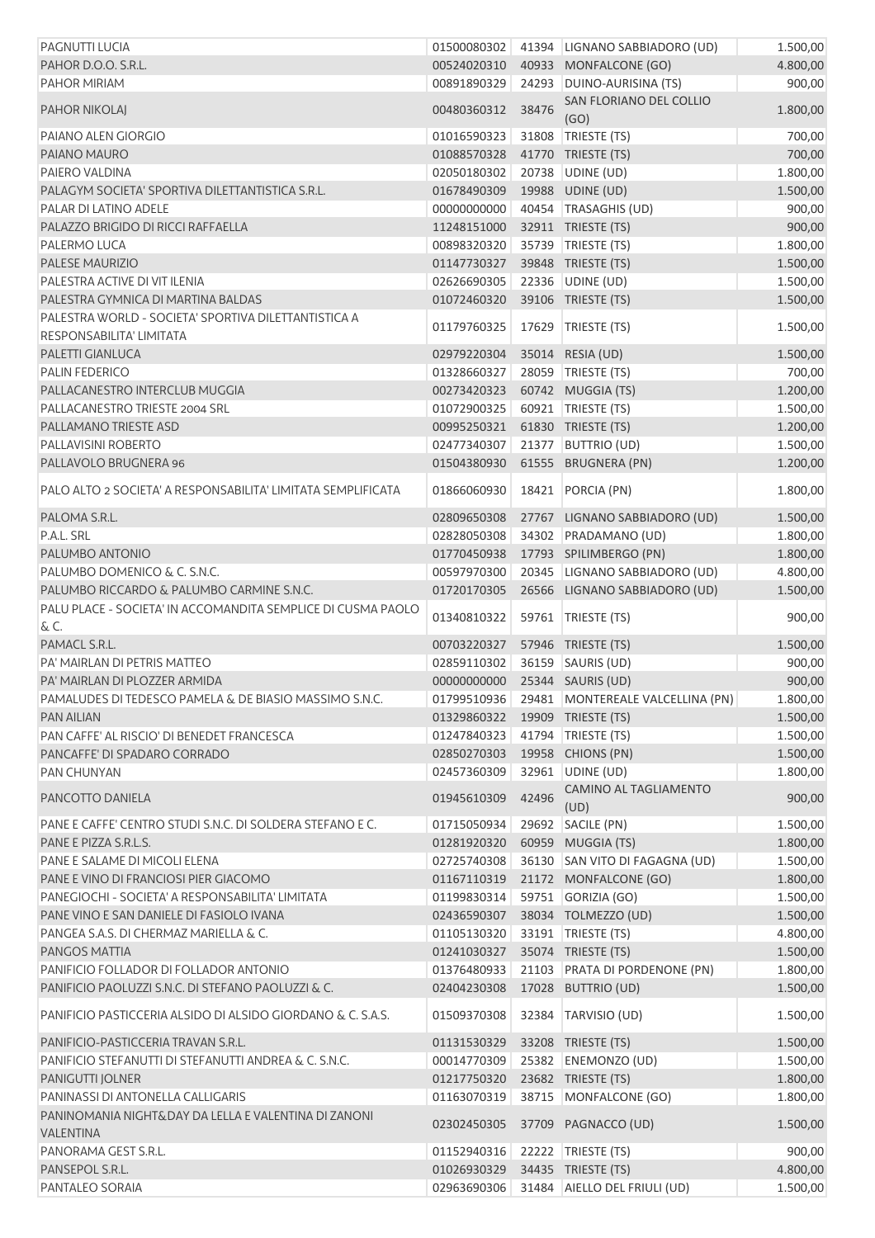| PAGNUTTI LUCIA                                                                   | 01500080302                   |       | 41394 LIGNANO SABBIADORO (UD)                | 1.500,00             |
|----------------------------------------------------------------------------------|-------------------------------|-------|----------------------------------------------|----------------------|
| PAHOR D.O.O. S.R.L.                                                              | 00524020310                   |       | 40933 MONFALCONE (GO)                        | 4.800,00             |
| PAHOR MIRIAM                                                                     | 00891890329                   |       | 24293 DUINO-AURISINA (TS)                    | 900,00               |
| <b>PAHOR NIKOLAJ</b>                                                             | 00480360312                   | 38476 | SAN FLORIANO DEL COLLIO<br>(GO)              | 1.800,00             |
| PAIANO ALEN GIORGIO                                                              | 01016590323                   |       | 31808 TRIESTE (TS)                           | 700,00               |
| PAIANO MAURO                                                                     | 01088570328                   |       | 41770 TRIESTE (TS)                           | 700,00               |
| PAIERO VALDINA                                                                   | 02050180302                   |       | 20738 UDINE (UD)                             | 1.800,00             |
| PALAGYM SOCIETA' SPORTIVA DILETTANTISTICA S.R.L.                                 | 01678490309                   |       | 19988 UDINE (UD)                             | 1.500,00             |
| PALAR DI LATINO ADELE                                                            | 00000000000                   |       | 40454 TRASAGHIS (UD)                         | 900,00               |
| PALAZZO BRIGIDO DI RICCI RAFFAELLA                                               | 11248151000                   |       | 32911 TRIESTE (TS)                           | 900,00               |
| PALERMO LUCA                                                                     | 00898320320                   |       | 35739 TRIESTE (TS)                           | 1.800,00             |
| PALESE MAURIZIO                                                                  | 01147730327                   |       | 39848 TRIESTE (TS)                           | 1.500,00             |
| PALESTRA ACTIVE DI VIT ILENIA                                                    | 02626690305                   |       | 22336 UDINE (UD)                             |                      |
| PALESTRA GYMNICA DI MARTINA BALDAS                                               | 01072460320                   |       | 39106 TRIESTE (TS)                           | 1.500,00<br>1.500,00 |
|                                                                                  |                               |       |                                              |                      |
| PALESTRA WORLD - SOCIETA' SPORTIVA DILETTANTISTICA A<br>RESPONSABILITA' LIMITATA | 01179760325                   | 17629 | TRIESTE (TS)                                 | 1.500,00             |
| PALETTI GIANLUCA                                                                 | 02979220304                   |       | 35014 RESIA (UD)                             | 1.500,00             |
| <b>PALIN FEDERICO</b>                                                            | 01328660327                   |       | 28059 TRIESTE (TS)                           | 700,00               |
| PALLACANESTRO INTERCLUB MUGGIA                                                   | 00273420323                   |       | 60742 MUGGIA (TS)                            | 1.200,00             |
| PALLACANESTRO TRIESTE 2004 SRL                                                   | 01072900325                   |       | 60921 TRIESTE (TS)                           | 1.500,00             |
| PALLAMANO TRIESTE ASD                                                            | 00995250321                   |       | 61830 TRIESTE (TS)                           | 1.200,00             |
| PALLAVISINI ROBERTO                                                              | 02477340307                   |       | 21377 BUTTRIO (UD)                           | 1.500,00             |
| PALLAVOLO BRUGNERA 96                                                            | 01504380930                   |       | 61555 BRUGNERA (PN)                          | 1.200,00             |
| PALO ALTO 2 SOCIETA' A RESPONSABILITA' LIMITATA SEMPLIFICATA                     | 01866060930                   |       | 18421 PORCIA (PN)                            | 1.800,00             |
| PALOMA S.R.L.                                                                    | 02809650308                   |       | 27767 LIGNANO SABBIADORO (UD)                | 1.500,00             |
| P.A.L. SRL                                                                       | 02828050308                   |       | 34302 PRADAMANO (UD)                         | 1.800,00             |
| PALUMBO ANTONIO                                                                  | 01770450938                   |       | 17793 SPILIMBERGO (PN)                       | 1.800,00             |
| PALUMBO DOMENICO & C. S.N.C.                                                     | 00597970300                   |       | 20345 LIGNANO SABBIADORO (UD)                | 4.800,00             |
| PALUMBO RICCARDO & PALUMBO CARMINE S.N.C.                                        | 01720170305                   |       | 26566 LIGNANO SABBIADORO (UD)                | 1.500,00             |
| PALU PLACE - SOCIETA' IN ACCOMANDITA SEMPLICE DI CUSMA PAOLO                     |                               |       |                                              |                      |
| & C.                                                                             | 01340810322                   |       | 59761 TRIESTE (TS)                           | 900,00               |
| PAMACL S.R.L.                                                                    | 00703220327                   |       | 57946 TRIESTE (TS)                           | 1.500,00             |
| PA' MAIRLAN DI PETRIS MATTEO                                                     | 02859110302                   |       | 36159 SAURIS (UD)                            | 900,00               |
| PA' MAIRLAN DI PLOZZER ARMIDA                                                    | 00000000000 25344 SAURIS (UD) |       |                                              | 900,00               |
| PAMALUDES DI TEDESCO PAMELA & DE BIASIO MASSIMO S.N.C.                           |                               |       | 01799510936 29481 MONTEREALE VALCELLINA (PN) | 1.800,00             |
| <b>PAN AILIAN</b>                                                                | 01329860322                   |       | 19909 TRIESTE (TS)                           | 1.500,00             |
| PAN CAFFE' AL RISCIO' DI BENEDET FRANCESCA                                       | 01247840323                   |       | 41794 TRIESTE (TS)                           | 1.500,00             |
| PANCAFFE' DI SPADARO CORRADO                                                     | 02850270303                   |       | 19958 CHIONS (PN)                            | 1.500,00             |
| <b>PAN CHUNYAN</b>                                                               | 02457360309                   |       | 32961 UDINE (UD)                             | 1.800,00             |
| PANCOTTO DANIELA                                                                 | 01945610309                   | 42496 | CAMINO AL TAGLIAMENTO<br>(UD)                | 900,00               |
| PANE E CAFFE' CENTRO STUDI S.N.C. DI SOLDERA STEFANO E C.                        | 01715050934                   |       | 29692 SACILE (PN)                            | 1.500,00             |
| PANE E PIZZA S.R.L.S.                                                            |                               |       |                                              |                      |
|                                                                                  | 01281920320                   |       | 60959 MUGGIA (TS)                            | 1.800,00             |
| PANE E SALAME DI MICOLI ELENA                                                    | 02725740308                   |       | 36130 SAN VITO DI FAGAGNA (UD)               | 1.500,00             |
| PANE E VINO DI FRANCIOSI PIER GIACOMO                                            | 01167110319                   |       | 21172 MONFALCONE (GO)                        | 1.800,00             |
| PANEGIOCHI - SOCIETA' A RESPONSABILITA' LIMITATA                                 | 01199830314                   |       | 59751 GORIZIA (GO)                           | 1.500,00             |
| PANE VINO E SAN DANIELE DI FASIOLO IVANA                                         | 02436590307                   |       | 38034 TOLMEZZO (UD)                          | 1.500,00             |
| PANGEA S.A.S. DI CHERMAZ MARIELLA & C.                                           | 01105130320                   | 33191 | TRIESTE (TS)                                 | 4.800,00             |
| PANGOS MATTIA                                                                    | 01241030327                   |       | 35074 TRIESTE (TS)                           | 1.500,00             |
| PANIFICIO FOLLADOR DI FOLLADOR ANTONIO                                           | 01376480933                   |       | 21103 PRATA DI PORDENONE (PN)                | 1.800,00             |
| PANIFICIO PAOLUZZI S.N.C. DI STEFANO PAOLUZZI & C.                               | 02404230308                   |       | 17028 BUTTRIO (UD)                           | 1.500,00             |
| PANIFICIO PASTICCERIA ALSIDO DI ALSIDO GIORDANO & C. S.A.S.                      | 01509370308                   | 32384 | TARVISIO (UD)                                | 1.500,00             |
| PANIFICIO-PASTICCERIA TRAVAN S.R.L.                                              | 01131530329                   |       | 33208 TRIESTE (TS)                           | 1.500,00             |
| PANIFICIO STEFANUTTI DI STEFANUTTI ANDREA & C. S.N.C.                            | 00014770309                   |       | 25382 ENEMONZO (UD)                          | 1.500,00             |
| PANIGUTTI JOLNER                                                                 | 01217750320                   |       | 23682 TRIESTE (TS)                           | 1.800,00             |
| PANINASSI DI ANTONELLA CALLIGARIS                                                | 01163070319                   |       | 38715 MONFALCONE (GO)                        | 1.800,00             |
| PANINOMANIA NIGHT&DAY DA LELLA E VALENTINA DI ZANONI<br><b>VALENTINA</b>         | 02302450305                   |       | 37709 PAGNACCO (UD)                          | 1.500,00             |
| PANORAMA GEST S.R.L.                                                             | 01152940316                   |       | 22222 TRIESTE (TS)                           | 900,00               |
| PANSEPOL S.R.L.                                                                  | 01026930329                   |       | 34435 TRIESTE (TS)                           | 4.800,00             |
| PANTALEO SORAIA                                                                  | 02963690306                   |       | 31484 AIELLO DEL FRIULI (UD)                 | 1.500,00             |
|                                                                                  |                               |       |                                              |                      |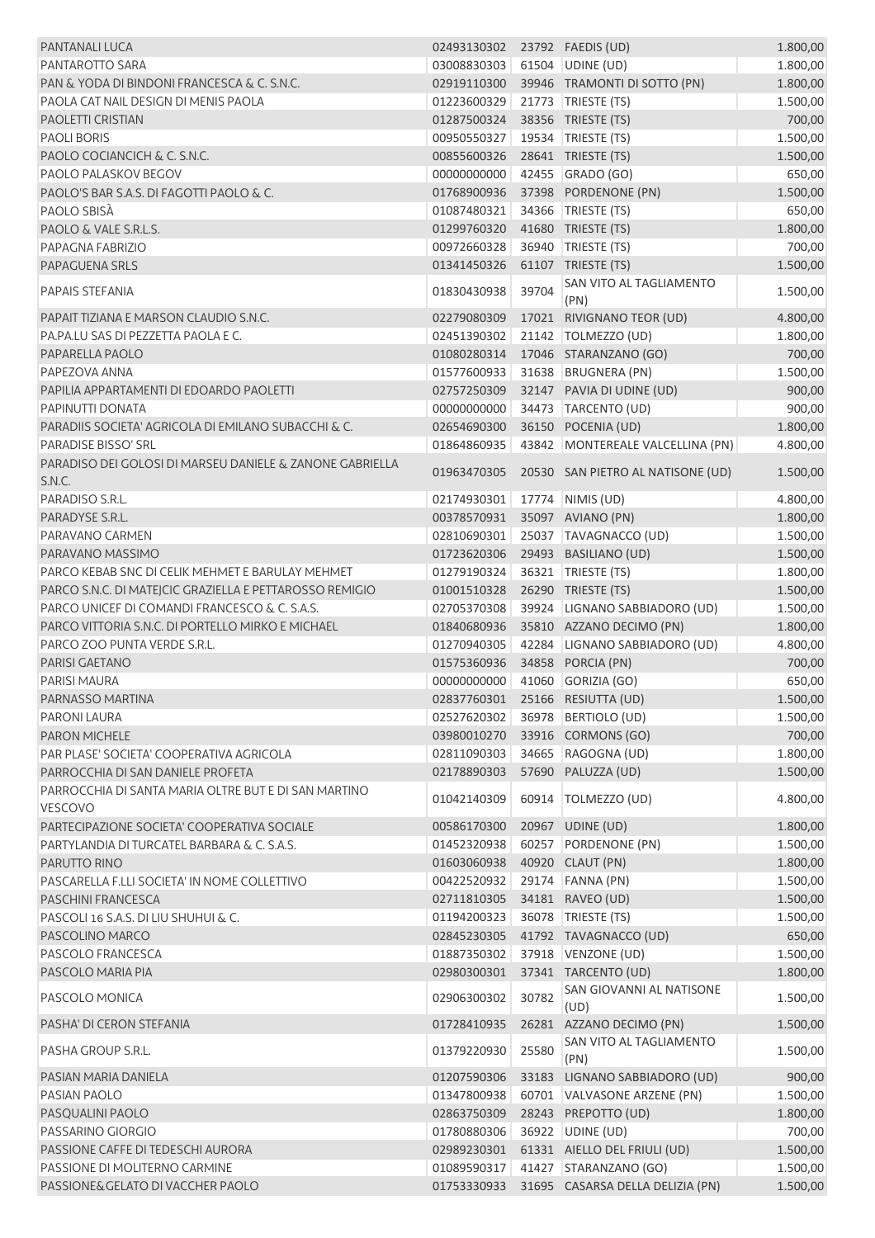| <b>PANTANALI LUCA</b>                                                                                    | 02493130302 23792 FAEDIS (UD) |       |                                   | 1.800,00 |
|----------------------------------------------------------------------------------------------------------|-------------------------------|-------|-----------------------------------|----------|
| PANTAROTTO SARA                                                                                          | 03008830303                   |       | 61504 UDINE (UD)                  | 1.800,00 |
| PAN & YODA DI BINDONI FRANCESCA & C. S.N.C.                                                              | 02919110300                   |       | 39946 TRAMONTI DI SOTTO (PN)      | 1.800,00 |
| PAOLA CAT NAIL DESIGN DI MENIS PAOLA                                                                     | 01223600329                   |       | 21773   TRIESTE (TS)              | 1.500,00 |
| <b>PAOLETTI CRISTIAN</b>                                                                                 | 01287500324                   |       | 38356 TRIESTE (TS)                | 700,00   |
| <b>PAOLI BORIS</b>                                                                                       | 00950550327                   |       | 19534   TRIESTE (TS)              | 1.500,00 |
| PAOLO COCIANCICH & C. S.N.C.                                                                             | 00855600326                   |       | 28641 TRIESTE (TS)                | 1.500,00 |
| PAOLO PALASKOV BEGOV                                                                                     | 00000000000                   |       | 42455 GRADO (GO)                  | 650,00   |
| PAOLO'S BAR S.A.S. DI FAGOTTI PAOLO & C.                                                                 | 01768900936                   |       | 37398 PORDENONE (PN)              | 1.500,00 |
| PAOLO SBISÀ                                                                                              | 01087480321                   |       | 34366 TRIESTE (TS)                | 650,00   |
| PAOLO & VALE S.R.L.S.                                                                                    | 01299760320                   |       | 41680 TRIESTE (TS)                | 1.800,00 |
| PAPAGNA FABRIZIO                                                                                         | 00972660328                   |       | 36940 TRIESTE (TS)                | 700,00   |
| <b>PAPAGUENA SRLS</b>                                                                                    | 01341450326                   |       | 61107 TRIESTE (TS)                | 1.500,00 |
| PAPAIS STEFANIA                                                                                          | 01830430938                   | 39704 | SAN VITO AL TAGLIAMENTO<br>(PN)   | 1.500,00 |
| PAPAIT TIZIANA E MARSON CLAUDIO S.N.C.                                                                   | 02279080309                   |       | 17021 RIVIGNANO TEOR (UD)         | 4.800,00 |
| PA.PA.LU SAS DI PEZZETTA PAOLA E C.                                                                      | 02451390302                   |       | 21142 TOLMEZZO (UD)               | 1.800,00 |
| PAPARELLA PAOLO                                                                                          | 01080280314                   |       | 17046 STARANZANO (GO)             | 700,00   |
| PAPEZOVA ANNA                                                                                            | 01577600933                   |       | 31638 BRUGNERA (PN)               | 1.500,00 |
| PAPILIA APPARTAMENTI DI EDOARDO PAOLETTI                                                                 | 02757250309                   |       | 32147 PAVIA DI UDINE (UD)         | 900,00   |
| PAPINUTTI DONATA                                                                                         | 00000000000                   |       | 34473 TARCENTO (UD)               | 900,00   |
| PARADIIS SOCIETA' AGRICOLA DI EMILANO SUBACCHI & C.                                                      | 02654690300                   |       | 36150 POCENIA (UD)                | 1.800,00 |
| <b>PARADISE BISSO' SRL</b>                                                                               | 01864860935                   |       | 43842 MONTEREALE VALCELLINA (PN)  | 4.800,00 |
| PARADISO DEI GOLOSI DI MARSEU DANIELE & ZANONE GABRIELLA<br>S.N.C.                                       | 01963470305                   |       | 20530 SAN PIETRO AL NATISONE (UD) | 1.500,00 |
| PARADISO S.R.L.                                                                                          | 02174930301                   |       | 17774   NIMIS (UD)                | 4.800,00 |
| PARADYSE S.R.L.                                                                                          | 00378570931                   |       | 35097 AVIANO (PN)                 | 1.800,00 |
| PARAVANO CARMEN                                                                                          | 02810690301                   |       | 25037 TAVAGNACCO (UD)             | 1.500,00 |
| PARAVANO MASSIMO                                                                                         | 01723620306                   |       | 29493 BASILIANO (UD)              | 1.500,00 |
| PARCO KEBAB SNC DI CELIK MEHMET E BARULAY MEHMET                                                         | 01279190324                   |       | 36321   TRIESTE (TS)              | 1.800,00 |
|                                                                                                          | 01001510328                   |       | 26290 TRIESTE (TS)                |          |
| PARCO S.N.C. DI MATEJCIC GRAZIELLA E PETTAROSSO REMIGIO<br>PARCO UNICEF DI COMANDI FRANCESCO & C. S.A.S. |                               |       | 39924 LIGNANO SABBIADORO (UD)     | 1.500,00 |
| PARCO VITTORIA S.N.C. DI PORTELLO MIRKO E MICHAEL                                                        | 02705370308                   |       |                                   | 1.500,00 |
|                                                                                                          | 01840680936                   |       | 35810 AZZANO DECIMO (PN)          | 1.800,00 |
| PARCO ZOO PUNTA VERDE S.R.L.                                                                             | 01270940305                   |       | 42284 LIGNANO SABBIADORO (UD)     | 4.800,00 |
| PARISI GAETANO                                                                                           | 01575360936                   |       | 34858 PORCIA (PN)                 | 700,00   |
| <b>PARISI MAURA</b>                                                                                      | 00000000000                   |       | 41060 GORIZIA (GO)                | 650,00   |
| PARNASSO MARTINA                                                                                         |                               |       | 02837760301 25166 RESIUTTA (UD)   | 1.500,00 |
| PARONI LAURA                                                                                             | 02527620302                   |       | 36978 BERTIOLO (UD)               | 1.500,00 |
| PARON MICHELE                                                                                            | 03980010270                   |       | 33916 CORMONS (GO)                | 700,00   |
| PAR PLASE' SOCIETA' COOPERATIVA AGRICOLA                                                                 | 02811090303                   |       | 34665 RAGOGNA (UD)                | 1.800,00 |
| PARROCCHIA DI SAN DANIELE PROFETA<br>PARROCCHIA DI SANTA MARIA OLTRE BUT E DI SAN MARTINO                | 02178890303                   |       | 57690 PALUZZA (UD)                | 1.500,00 |
| VESCOVO                                                                                                  | 01042140309                   |       | 60914   TOLMEZZO (UD)             | 4.800,00 |
| PARTECIPAZIONE SOCIETA' COOPERATIVA SOCIALE                                                              | 00586170300                   |       | 20967 UDINE (UD)                  | 1.800,00 |
| PARTYLANDIA DI TURCATEL BARBARA & C. S.A.S.                                                              | 01452320938                   |       | 60257 PORDENONE (PN)              | 1.500,00 |
| PARUTTO RINO                                                                                             | 01603060938                   |       | 40920 CLAUT (PN)                  | 1.800,00 |
| PASCARELLA F.LLI SOCIETA' IN NOME COLLETTIVO                                                             | 00422520932                   |       | 29174 FANNA (PN)                  | 1.500,00 |
| <b>PASCHINI FRANCESCA</b>                                                                                | 02711810305                   |       | 34181 RAVEO (UD)                  | 1.500,00 |
| PASCOLI 16 S.A.S. DI LIU SHUHUI & C.                                                                     | 01194200323                   |       | 36078   TRIESTE (TS)              | 1.500,00 |
| PASCOLINO MARCO                                                                                          | 02845230305                   |       | 41792 TAVAGNACCO (UD)             | 650,00   |
| PASCOLO FRANCESCA                                                                                        | 01887350302                   |       | 37918 VENZONE (UD)                | 1.500,00 |
| PASCOLO MARIA PIA                                                                                        | 02980300301                   |       | 37341 TARCENTO (UD)               | 1.800,00 |
| PASCOLO MONICA                                                                                           | 02906300302                   | 30782 | SAN GIOVANNI AL NATISONE<br>(UD)  | 1.500,00 |
| PASHA' DI CERON STEFANIA                                                                                 | 01728410935                   |       | 26281 AZZANO DECIMO (PN)          | 1.500,00 |
| PASHA GROUP S.R.L.                                                                                       | 01379220930                   | 25580 | SAN VITO AL TAGLIAMENTO<br>(PN)   | 1.500,00 |
| PASIAN MARIA DANIELA                                                                                     | 01207590306                   |       | 33183 LIGNANO SABBIADORO (UD)     | 900,00   |
| PASIAN PAOLO                                                                                             | 01347800938                   |       | 60701 VALVASONE ARZENE (PN)       | 1.500,00 |
| PASQUALINI PAOLO                                                                                         | 02863750309                   |       | 28243 PREPOTTO (UD)               | 1.800,00 |
| PASSARINO GIORGIO                                                                                        | 01780880306                   |       | 36922 UDINE (UD)                  | 700,00   |
| PASSIONE CAFFE DI TEDESCHI AURORA                                                                        | 02989230301                   |       | 61331 AIELLO DEL FRIULI (UD)      | 1.500,00 |
| PASSIONE DI MOLITERNO CARMINE                                                                            | 01089590317                   |       | 41427 STARANZANO (GO)             | 1.500,00 |
| PASSIONE& GELATO DI VACCHER PAOLO                                                                        | 01753330933                   |       | 31695 CASARSA DELLA DELIZIA (PN)  | 1.500,00 |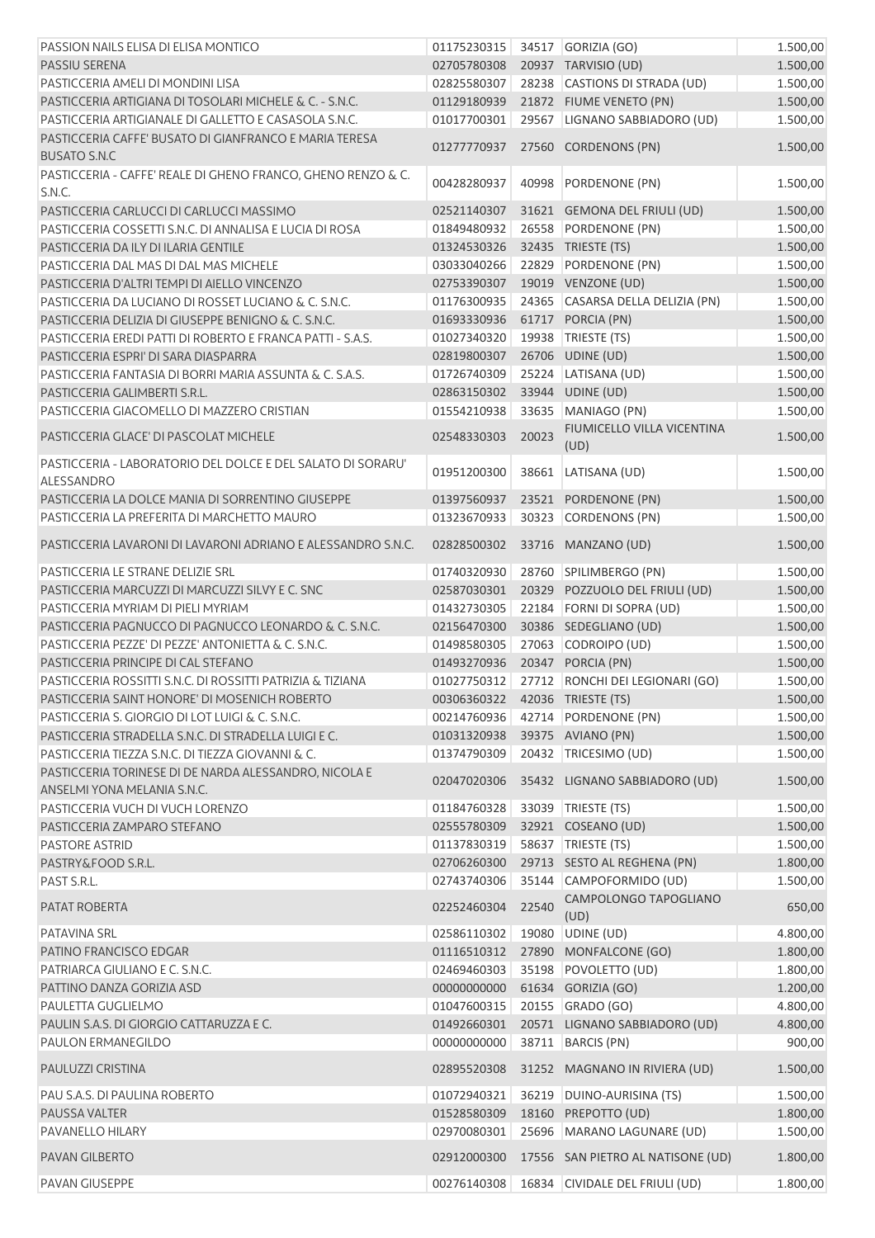| PASSION NAILS ELISA DI ELISA MONTICO                                                 | 01175230315                |       | 34517 GORIZIA (GO)                                                  | 1.500,00             |
|--------------------------------------------------------------------------------------|----------------------------|-------|---------------------------------------------------------------------|----------------------|
| <b>PASSIU SERENA</b>                                                                 | 02705780308                |       | 20937 TARVISIO (UD)                                                 | 1.500,00             |
| PASTICCERIA AMELI DI MONDINI LISA                                                    | 02825580307                |       | 28238 CASTIONS DI STRADA (UD)                                       | 1.500,00             |
| PASTICCERIA ARTIGIANA DI TOSOLARI MICHELE & C. - S.N.C.                              | 01129180939                |       | 21872 FIUME VENETO (PN)                                             | 1.500,00             |
| PASTICCERIA ARTIGIANALE DI GALLETTO E CASASOLA S.N.C.                                | 01017700301                |       | 29567 LIGNANO SABBIADORO (UD)                                       | 1.500,00             |
| PASTICCERIA CAFFE' BUSATO DI GIANFRANCO E MARIA TERESA<br><b>BUSATO S.N.C</b>        | 01277770937                |       | 27560 CORDENONS (PN)                                                | 1.500,00             |
| PASTICCERIA - CAFFE' REALE DI GHENO FRANCO, GHENO RENZO & C.<br>S.N.C.               | 00428280937                | 40998 | PORDENONE (PN)                                                      | 1.500,00             |
| PASTICCERIA CARLUCCI DI CARLUCCI MASSIMO                                             | 02521140307                |       | 31621 GEMONA DEL FRIULI (UD)                                        | 1.500,00             |
| PASTICCERIA COSSETTI S.N.C. DI ANNALISA E LUCIA DI ROSA                              | 01849480932                |       | 26558 PORDENONE (PN)                                                | 1.500,00             |
| PASTICCERIA DA ILY DI ILARIA GENTILE                                                 | 01324530326                |       | 32435 TRIESTE (TS)                                                  | 1.500,00             |
| PASTICCERIA DAL MAS DI DAL MAS MICHELE                                               | 03033040266                |       | 22829 PORDENONE (PN)                                                | 1.500,00             |
| PASTICCERIA D'ALTRI TEMPI DI AIELLO VINCENZO                                         | 02753390307                |       | 19019 VENZONE (UD)                                                  | 1.500,00             |
| PASTICCERIA DA LUCIANO DI ROSSET LUCIANO & C. S.N.C.                                 | 01176300935                |       | 24365 CASARSA DELLA DELIZIA (PN)                                    | 1.500,00             |
| PASTICCERIA DELIZIA DI GIUSEPPE BENIGNO & C. S.N.C.                                  | 01693330936                |       | 61717 PORCIA (PN)                                                   | 1.500,00             |
| PASTICCERIA EREDI PATTI DI ROBERTO E FRANCA PATTI - S.A.S.                           | 01027340320                |       | 19938 TRIESTE (TS)                                                  | 1.500,00             |
| PASTICCERIA ESPRI' DI SARA DIASPARRA                                                 | 02819800307                |       | 26706 UDINE (UD)                                                    | 1.500,00             |
| PASTICCERIA FANTASIA DI BORRI MARIA ASSUNTA & C. S.A.S.                              | 01726740309                |       | 25224 LATISANA (UD)                                                 | 1.500,00             |
| PASTICCERIA GALIMBERTI S.R.L.                                                        | 02863150302                |       | 33944 UDINE (UD)                                                    | 1.500,00             |
| PASTICCERIA GIACOMELLO DI MAZZERO CRISTIAN                                           | 01554210938                | 33635 | MANIAGO (PN)                                                        | 1.500,00             |
|                                                                                      |                            |       | FIUMICELLO VILLA VICENTINA                                          |                      |
| PASTICCERIA GLACE' DI PASCOLAT MICHELE                                               | 02548330303                | 20023 | (UD)                                                                | 1.500,00             |
| PASTICCERIA - LABORATORIO DEL DOLCE E DEL SALATO DI SORARU'<br>ALESSANDRO            | 01951200300                | 38661 | LATISANA (UD)                                                       | 1.500,00             |
| PASTICCERIA LA DOLCE MANIA DI SORRENTINO GIUSEPPE                                    | 01397560937                | 23521 | PORDENONE (PN)                                                      | 1.500,00             |
| PASTICCERIA LA PREFERITA DI MARCHETTO MAURO                                          | 01323670933                | 30323 | CORDENONS (PN)                                                      | 1.500,00             |
| PASTICCERIA LAVARONI DI LAVARONI ADRIANO E ALESSANDRO S.N.C.                         | 02828500302                |       | 33716 MANZANO (UD)                                                  | 1.500,00             |
| PASTICCERIA LE STRANE DELIZIE SRL                                                    | 01740320930                |       | 28760 SPILIMBERGO (PN)                                              | 1.500,00             |
| PASTICCERIA MARCUZZI DI MARCUZZI SILVY E C. SNC                                      | 02587030301                |       | 20329 POZZUOLO DEL FRIULI (UD)                                      | 1.500,00             |
| PASTICCERIA MYRIAM DI PIELI MYRIAM                                                   | 01432730305                |       | 22184 FORNI DI SOPRA (UD)                                           | 1.500,00             |
| PASTICCERIA PAGNUCCO DI PAGNUCCO LEONARDO & C. S.N.C.                                | 02156470300                |       | 30386 SEDEGLIANO (UD)                                               | 1.500,00             |
| PASTICCERIA PEZZE' DI PEZZE' ANTONIETTA & C. S.N.C.                                  | 01498580305                |       | 27063 CODROIPO (UD)                                                 | 1.500,00             |
| PASTICCERIA PRINCIPE DI CAL STEFANO                                                  | 01493270936                |       | 20347 PORCIA (PN)                                                   | 1.500,00             |
| PASTICCERIA ROSSITTI S.N.C. DI ROSSITTI PATRIZIA & TIZIANA                           | 01027750312                |       | 27712 RONCHI DEI LEGIONARI (GO)                                     | 1.500,00             |
| PASTICCERIA SAINT HONORE' DI MOSENICH ROBERTO                                        | 00306360322                |       | 42036 TRIESTE (TS)                                                  | 1.500,00             |
| PASTICCERIA S. GIORGIO DI LOT LUIGI & C. S.N.C.                                      | 00214760936                |       | 42714 PORDENONE (PN)                                                | 1.500,00             |
| PASTICCERIA STRADELLA S.N.C. DI STRADELLA LUIGI E C.                                 | 01031320938                |       | 39375 AVIANO (PN)                                                   | 1.500,00             |
| PASTICCERIA TIEZZA S.N.C. DI TIEZZA GIOVANNI & C.                                    | 01374790309                |       | 20432 TRICESIMO (UD)                                                | 1.500,00             |
| PASTICCERIA TORINESE DI DE NARDA ALESSANDRO, NICOLA E<br>ANSELMI YONA MELANIA S.N.C. | 02047020306                |       | 35432 LIGNANO SABBIADORO (UD)                                       | 1.500,00             |
| PASTICCERIA VUCH DI VUCH LORENZO                                                     | 01184760328                |       | 33039 TRIESTE (TS)                                                  | 1.500,00             |
| PASTICCERIA ZAMPARO STEFANO                                                          | 02555780309                |       | 32921 COSEANO (UD)                                                  | 1.500,00             |
| <b>PASTORE ASTRID</b>                                                                | 01137830319                |       | 58637 TRIESTE (TS)                                                  | 1.500,00             |
| PASTRY&FOOD S.R.L.                                                                   | 02706260300                |       | 29713 SESTO AL REGHENA (PN)                                         | 1.800,00             |
| PAST S.R.L.                                                                          | 02743740306                |       | 35144 CAMPOFORMIDO (UD)                                             | 1.500,00             |
| PATAT ROBERTA                                                                        | 02252460304                | 22540 | CAMPOLONGO TAPOGLIANO<br>(UD)                                       | 650,00               |
| PATAVINA SRL                                                                         | 02586110302                | 19080 | UDINE (UD)                                                          | 4.800,00             |
| PATINO FRANCISCO EDGAR                                                               | 01116510312                |       | 27890 MONFALCONE (GO)                                               | 1.800,00             |
| PATRIARCA GIULIANO E C. S.N.C.                                                       | 02469460303                |       | 35198 POVOLETTO (UD)                                                | 1.800,00             |
| PATTINO DANZA GORIZIA ASD                                                            | 00000000000                |       | 61634 GORIZIA (GO)                                                  | 1.200,00             |
| PAULETTA GUGLIELMO                                                                   | 01047600315                |       | 20155 GRADO (GO)                                                    | 4.800,00             |
| PAULIN S.A.S. DI GIORGIO CATTARUZZA E C.                                             | 01492660301                |       | 20571 LIGNANO SABBIADORO (UD)                                       | 4.800,00             |
| PAULON ERMANEGILDO                                                                   | 00000000000                |       | 38711   BARCIS (PN)                                                 | 900,00               |
| PAULUZZI CRISTINA                                                                    | 02895520308                |       | 31252 MAGNANO IN RIVIERA (UD)                                       | 1.500,00             |
| PAU S.A.S. DI PAULINA ROBERTO                                                        | 01072940321                |       | 36219 DUINO-AURISINA (TS)                                           | 1.500,00             |
| PAUSSA VALTER                                                                        | 01528580309                |       | 18160 PREPOTTO (UD)                                                 | 1.800,00             |
| PAVANELLO HILARY                                                                     | 02970080301                |       | 25696 MARANO LAGUNARE (UD)                                          | 1.500,00             |
|                                                                                      |                            |       |                                                                     |                      |
| <b>PAVAN GILBERTO</b><br>PAVAN GIUSEPPE                                              | 02912000300<br>00276140308 |       | 17556 SAN PIETRO AL NATISONE (UD)<br>16834 CIVIDALE DEL FRIULI (UD) | 1.800,00<br>1.800,00 |
|                                                                                      |                            |       |                                                                     |                      |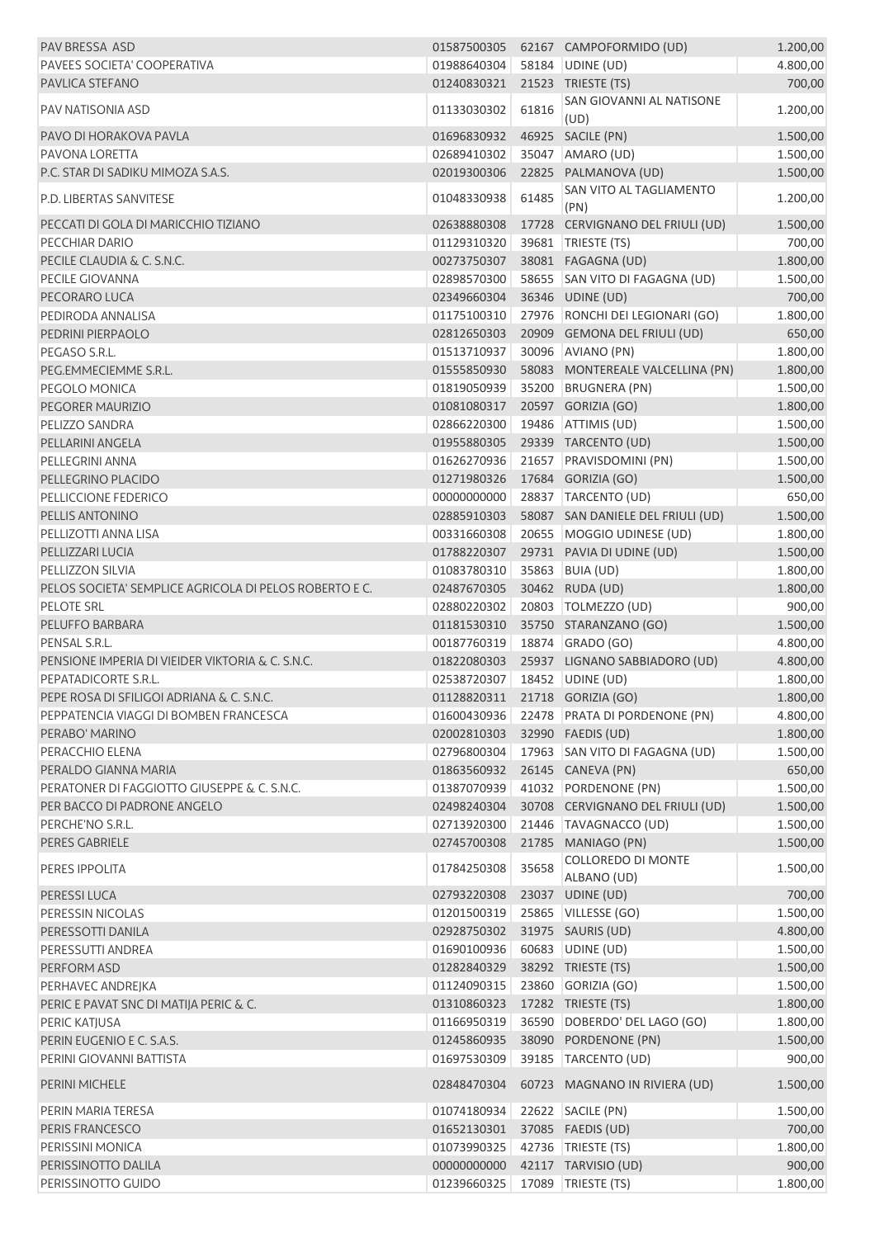| PAV BRESSA ASD                                         | 01587500305                    |       | 62167 CAMPOFORMIDO (UD)                   | 1.200,00 |
|--------------------------------------------------------|--------------------------------|-------|-------------------------------------------|----------|
| PAVEES SOCIETA' COOPERATIVA                            | 01988640304                    |       | 58184 UDINE (UD)                          | 4.800,00 |
| PAVLICA STEFANO                                        | 01240830321                    |       | 21523 TRIESTE (TS)                        | 700,00   |
| PAV NATISONIA ASD                                      | 01133030302                    | 61816 | SAN GIOVANNI AL NATISONE<br>(UD)          | 1.200,00 |
| PAVO DI HORAKOVA PAVLA                                 | 01696830932                    |       | 46925 SACILE (PN)                         | 1.500,00 |
| PAVONA LORETTA                                         | 02689410302                    |       | 35047 AMARO (UD)                          | 1.500,00 |
| P.C. STAR DI SADIKU MIMOZA S.A.S.                      | 02019300306                    |       | 22825 PALMANOVA (UD)                      | 1.500,00 |
|                                                        |                                |       | SAN VITO AL TAGLIAMENTO                   |          |
| P.D. LIBERTAS SANVITESE                                | 01048330938                    | 61485 | (PN)                                      | 1.200,00 |
| PECCATI DI GOLA DI MARICCHIO TIZIANO                   | 02638880308                    | 17728 | CERVIGNANO DEL FRIULI (UD)                | 1.500,00 |
| PECCHIAR DARIO                                         | 01129310320                    |       | 39681   TRIESTE (TS)                      | 700,00   |
| PECILE CLAUDIA & C. S.N.C.                             | 00273750307                    |       | 38081 FAGAGNA (UD)                        | 1.800,00 |
| PECILE GIOVANNA                                        | 02898570300                    |       | 58655 SAN VITO DI FAGAGNA (UD)            | 1.500,00 |
| PECORARO LUCA                                          | 02349660304                    |       | 36346 UDINE (UD)                          | 700,00   |
| PEDIRODA ANNALISA                                      | 01175100310                    |       | 27976 RONCHI DEI LEGIONARI (GO)           | 1.800,00 |
| PEDRINI PIERPAOLO                                      | 02812650303                    |       | 20909 GEMONA DEL FRIULI (UD)              | 650,00   |
| PEGASO S.R.L.                                          | 01513710937                    |       | 30096 AVIANO (PN)                         | 1.800,00 |
| PEG.EMMECIEMME S.R.L.                                  | 01555850930                    |       | 58083 MONTEREALE VALCELLINA (PN)          | 1.800,00 |
| PEGOLO MONICA                                          | 01819050939                    |       | 35200 BRUGNERA (PN)                       | 1.500,00 |
| PEGORER MAURIZIO                                       | 01081080317                    |       | 20597 GORIZIA (GO)                        | 1.800,00 |
| PELIZZO SANDRA                                         | 02866220300                    |       | 19486 ATTIMIS (UD)                        | 1.500,00 |
| PELLARINI ANGELA                                       | 01955880305                    |       | 29339 TARCENTO (UD)                       | 1.500,00 |
| PELLEGRINI ANNA                                        | 01626270936                    |       | 21657 PRAVISDOMINI (PN)                   | 1.500,00 |
| PELLEGRINO PLACIDO                                     | 01271980326                    |       | 17684 GORIZIA (GO)                        | 1.500,00 |
|                                                        |                                |       |                                           |          |
| PELLICCIONE FEDERICO                                   | 00000000000                    |       | 28837 TARCENTO (UD)                       | 650,00   |
| PELLIS ANTONINO                                        | 02885910303                    |       | 58087 SAN DANIELE DEL FRIULI (UD)         | 1.500,00 |
| PELLIZOTTI ANNA LISA                                   | 00331660308                    |       | 20655   MOGGIO UDINESE (UD)               | 1.800,00 |
| PELLIZZARI LUCIA                                       | 01788220307                    |       | 29731 PAVIA DI UDINE (UD)                 | 1.500,00 |
| PELLIZZON SILVIA                                       | 01083780310                    |       | 35863 BUIA (UD)                           | 1.800,00 |
| PELOS SOCIETA' SEMPLICE AGRICOLA DI PELOS ROBERTO E C. | 02487670305                    |       | 30462 RUDA (UD)                           | 1.800,00 |
| <b>PELOTE SRL</b>                                      | 02880220302                    |       | 20803 TOLMEZZO (UD)                       | 900,00   |
| PELUFFO BARBARA                                        | 01181530310                    |       | 35750 STARANZANO (GO)                     | 1.500,00 |
| PENSAL S.R.L.                                          | 00187760319                    |       | 18874 GRADO (GO)                          | 4.800,00 |
| PENSIONE IMPERIA DI VIEIDER VIKTORIA & C. S.N.C.       | 01822080303                    |       | 25937 LIGNANO SABBIADORO (UD)             | 4.800,00 |
| PEPATADICORTE S.R.L.                                   | 02538720307                    |       | 18452 UDINE (UD)                          | 1.800,00 |
| PEPE ROSA DI SFILIGOI ADRIANA & C. S.N.C.              | 01128820311 21718 GORIZIA (GO) |       |                                           | 1.800,00 |
| PEPPATENCIA VIAGGI DI BOMBEN FRANCESCA                 |                                |       | 01600430936 22478 PRATA DI PORDENONE (PN) | 4.800,00 |
| PERABO' MARINO                                         | 02002810303                    |       | 32990 FAEDIS (UD)                         | 1.800,00 |
| PERACCHIO ELENA                                        | 02796800304                    |       | 17963 SAN VITO DI FAGAGNA (UD)            | 1.500,00 |
| PERALDO GIANNA MARIA                                   | 01863560932                    |       | 26145 CANEVA (PN)                         | 650,00   |
| PERATONER DI FAGGIOTTO GIUSEPPE & C. S.N.C.            | 01387070939                    |       | 41032 PORDENONE (PN)                      | 1.500,00 |
| PER BACCO DI PADRONE ANGELO                            | 02498240304                    |       | 30708 CERVIGNANO DEL FRIULI (UD)          | 1.500,00 |
| PERCHE'NO S.R.L.                                       | 02713920300                    |       | 21446 TAVAGNACCO (UD)                     | 1.500,00 |
| PERES GABRIELE                                         | 02745700308                    |       | 21785 MANIAGO (PN)                        | 1.500,00 |
|                                                        |                                |       | <b>COLLOREDO DI MONTE</b>                 |          |
| PERES IPPOLITA                                         | 01784250308                    | 35658 | ALBANO (UD)                               | 1.500,00 |
| PERESSI LUCA                                           | 02793220308                    |       | 23037 UDINE (UD)                          | 700,00   |
| PERESSIN NICOLAS                                       | 01201500319                    |       | 25865 VILLESSE (GO)                       | 1.500,00 |
| PERESSOTTI DANILA                                      | 02928750302                    |       | 31975 SAURIS (UD)                         | 4.800,00 |
| PERESSUTTI ANDREA                                      | 01690100936                    |       | 60683 UDINE (UD)                          | 1.500,00 |
| PERFORM ASD                                            | 01282840329                    |       | 38292 TRIESTE (TS)                        | 1.500,00 |
| PERHAVEC ANDREJKA                                      | 01124090315                    |       | 23860 GORIZIA (GO)                        | 1.500,00 |
| PERIC E PAVAT SNC DI MATIJA PERIC & C.                 | 01310860323                    |       | 17282 TRIESTE (TS)                        | 1.800,00 |
| PERIC KATJUSA                                          | 01166950319                    |       | 36590 DOBERDO' DEL LAGO (GO)              | 1.800,00 |
| PERIN EUGENIO E C. S.A.S.                              | 01245860935                    |       | 38090 PORDENONE (PN)                      | 1.500,00 |
| PERINI GIOVANNI BATTISTA                               | 01697530309                    |       | 39185 TARCENTO (UD)                       | 900,00   |
| <b>PERINI MICHELE</b>                                  | 02848470304                    |       | 60723 MAGNANO IN RIVIERA (UD)             | 1.500,00 |
| PERIN MARIA TERESA                                     | 01074180934                    |       | 22622 SACILE (PN)                         | 1.500,00 |
| PERIS FRANCESCO                                        |                                |       | 37085 FAEDIS (UD)                         |          |
| PERISSINI MONICA                                       | 01652130301                    |       |                                           | 700,00   |
|                                                        | 01073990325                    |       | 42736   TRIESTE (TS)                      | 1.800,00 |
| PERISSINOTTO DALILA                                    | 00000000000                    |       | 42117 TARVISIO (UD)                       | 900,00   |
| PERISSINOTTO GUIDO                                     | 01239660325                    |       | 17089 TRIESTE (TS)                        | 1.800,00 |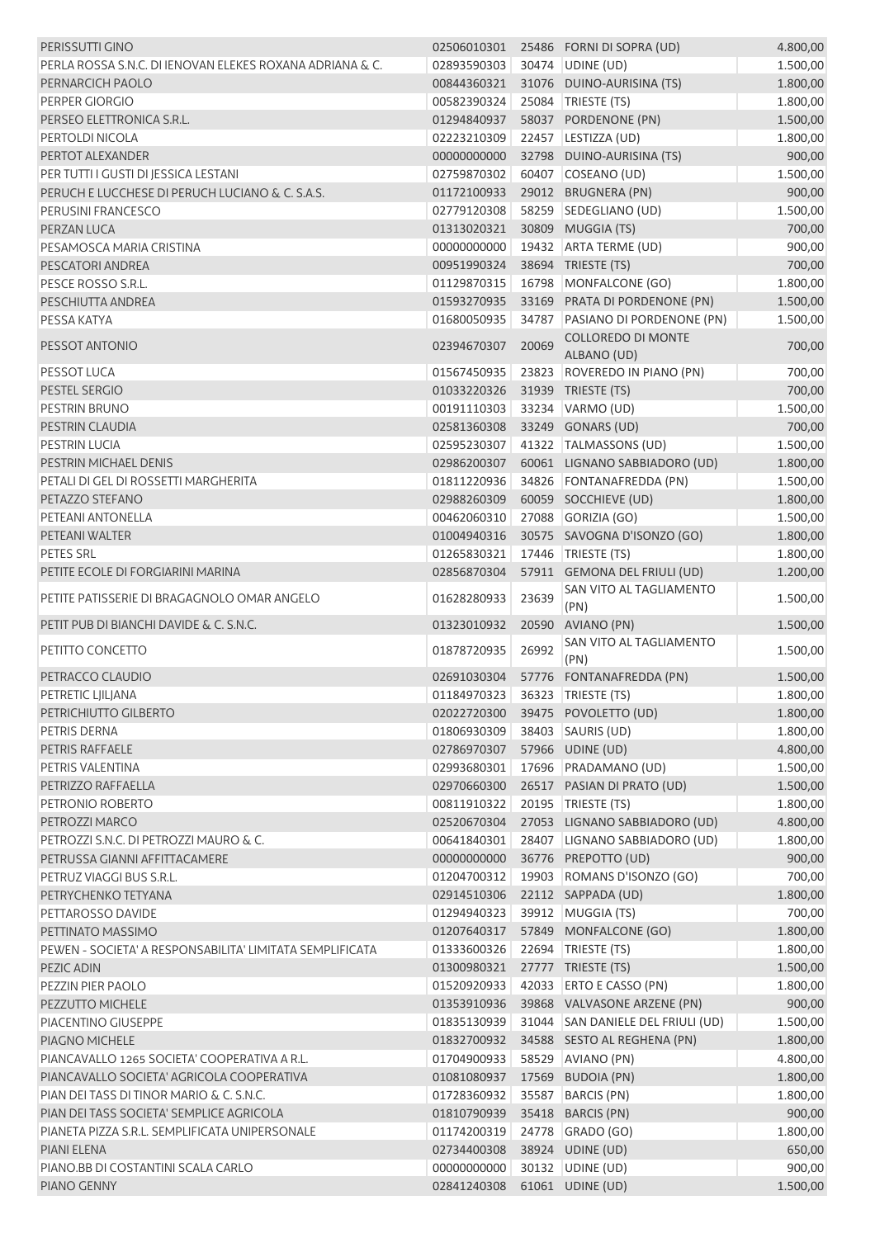| PERISSUTTI GINO                                          | 02506010301                    |       | 25486 FORNI DI SOPRA (UD)                | 4.800,00 |
|----------------------------------------------------------|--------------------------------|-------|------------------------------------------|----------|
| PERLA ROSSA S.N.C. DI IENOVAN ELEKES ROXANA ADRIANA & C. | 02893590303                    |       | 30474 UDINE (UD)                         | 1.500,00 |
| PERNARCICH PAOLO                                         | 00844360321                    |       | 31076 DUINO-AURISINA (TS)                | 1.800,00 |
| PERPER GIORGIO                                           | 00582390324                    |       | 25084 TRIESTE (TS)                       | 1.800,00 |
| PERSEO ELETTRONICA S.R.L.                                | 01294840937                    |       | 58037 PORDENONE (PN)                     | 1.500,00 |
| PERTOLDI NICOLA                                          | 02223210309                    |       | 22457 LESTIZZA (UD)                      | 1.800,00 |
| PERTOT ALEXANDER                                         | 00000000000                    |       | 32798 DUINO-AURISINA (TS)                | 900,00   |
| PER TUTTI I GUSTI DI JESSICA LESTANI                     | 02759870302                    |       | 60407 COSEANO (UD)                       | 1.500,00 |
| PERUCH E LUCCHESE DI PERUCH LUCIANO & C. S.A.S.          | 01172100933                    |       | 29012 BRUGNERA (PN)                      | 900,00   |
| PERUSINI FRANCESCO                                       | 02779120308                    |       | 58259 SEDEGLIANO (UD)                    | 1.500,00 |
| PERZAN LUCA                                              | 01313020321                    |       | 30809 MUGGIA (TS)                        | 700,00   |
| PESAMOSCA MARIA CRISTINA                                 | 00000000000                    |       | 19432 ARTA TERME (UD)                    | 900,00   |
| PESCATORI ANDREA                                         | 00951990324                    |       | 38694 TRIESTE (TS)                       | 700,00   |
| PESCE ROSSO S.R.L.                                       | 01129870315                    |       | 16798 MONFALCONE (GO)                    | 1.800,00 |
| PESCHIUTTA ANDREA                                        | 01593270935                    |       | 33169 PRATA DI PORDENONE (PN)            | 1.500,00 |
| PESSA KATYA                                              | 01680050935                    | 34787 | PASIANO DI PORDENONE (PN)                | 1.500,00 |
| PESSOT ANTONIO                                           | 02394670307                    | 20069 | <b>COLLOREDO DI MONTE</b><br>ALBANO (UD) | 700,00   |
| PESSOT LUCA                                              | 01567450935                    |       | 23823 ROVEREDO IN PIANO (PN)             | 700,00   |
| PESTEL SERGIO                                            | 01033220326                    |       | 31939 TRIESTE (TS)                       | 700,00   |
| PESTRIN BRUNO                                            | 00191110303                    |       | 33234 VARMO (UD)                         | 1.500,00 |
| PESTRIN CLAUDIA                                          | 02581360308                    |       | 33249 GONARS (UD)                        | 700,00   |
| <b>PESTRIN LUCIA</b>                                     | 02595230307                    |       | 41322 TALMASSONS (UD)                    | 1.500,00 |
| PESTRIN MICHAEL DENIS                                    | 02986200307                    |       | 60061 LIGNANO SABBIADORO (UD)            | 1.800,00 |
| PETALI DI GEL DI ROSSETTI MARGHERITA                     | 01811220936                    |       | 34826 FONTANAFREDDA (PN)                 | 1.500,00 |
| PETAZZO STEFANO                                          | 02988260309                    |       | 60059 SOCCHIEVE (UD)                     | 1.800,00 |
| PETEANI ANTONELLA                                        | 00462060310                    |       | 27088 GORIZIA (GO)                       | 1.500,00 |
| PETEANI WALTER                                           | 01004940316                    |       | 30575 SAVOGNA D'ISONZO (GO)              | 1.800,00 |
| PETES SRL                                                | 01265830321                    |       | 17446 TRIESTE (TS)                       | 1.800,00 |
| PETITE ECOLE DI FORGIARINI MARINA                        | 02856870304                    |       | 57911 GEMONA DEL FRIULI (UD)             | 1.200,00 |
| PETITE PATISSERIE DI BRAGAGNOLO OMAR ANGELO              | 01628280933                    | 23639 | SAN VITO AL TAGLIAMENTO<br>(PN)          | 1.500,00 |
| PETIT PUB DI BIANCHI DAVIDE & C. S.N.C.                  | 01323010932                    | 20590 | AVIANO (PN)                              | 1.500,00 |
| PETITTO CONCETTO                                         | 01878720935                    | 26992 | SAN VITO AL TAGLIAMENTO<br>(PN)          | 1.500,00 |
| PETRACCO CLAUDIO                                         | 02691030304                    |       | 57776 FONTANAFREDDA (PN)                 | 1.500,00 |
| PETRETIC LJILJANA                                        | 01184970323 36323 TRIESTE (TS) |       |                                          | 1.800,00 |
| PETRICHIUTTO GILBERTO                                    |                                |       | 02022720300 39475 POVOLETTO (UD)         | 1.800,00 |
| PETRIS DERNA                                             | 01806930309                    |       | 38403 SAURIS (UD)                        | 1.800,00 |
| <b>PETRIS RAFFAELE</b>                                   | 02786970307                    |       | 57966 UDINE (UD)                         | 4.800,00 |
| PETRIS VALENTINA                                         | 02993680301                    |       | 17696 PRADAMANO (UD)                     | 1.500,00 |
| PETRIZZO RAFFAELLA                                       | 02970660300                    |       | 26517 PASIAN DI PRATO (UD)               | 1.500,00 |
| PETRONIO ROBERTO                                         | 00811910322                    |       | 20195   TRIESTE (TS)                     | 1.800,00 |
| PETROZZI MARCO                                           | 02520670304                    |       | 27053 LIGNANO SABBIADORO (UD)            | 4.800,00 |
| PETROZZI S.N.C. DI PETROZZI MAURO & C.                   | 00641840301                    |       | 28407 LIGNANO SABBIADORO (UD)            | 1.800,00 |
| PETRUSSA GIANNI AFFITTACAMERE                            | 00000000000                    |       | 36776 PREPOTTO (UD)                      | 900,00   |
| PETRUZ VIAGGI BUS S.R.L.                                 | 01204700312                    |       | 19903 ROMANS D'ISONZO (GO)               | 700,00   |
| PETRYCHENKO TETYANA                                      | 02914510306                    |       | 22112 SAPPADA (UD)                       | 1.800,00 |
| PETTAROSSO DAVIDE                                        | 01294940323                    |       | 39912 MUGGIA (TS)                        | 700,00   |
| PETTINATO MASSIMO                                        | 01207640317                    |       | 57849 MONFALCONE (GO)                    | 1.800,00 |
| PEWEN - SOCIETA' A RESPONSABILITA' LIMITATA SEMPLIFICATA | 01333600326                    |       | 22694 TRIESTE (TS)                       | 1.800,00 |
| PEZIC ADIN                                               | 01300980321                    |       | 27777 TRIESTE (TS)                       | 1.500,00 |
| PEZZIN PIER PAOLO                                        | 01520920933                    | 42033 | <b>ERTO E CASSO (PN)</b>                 | 1.800,00 |
| PEZZUTTO MICHELE                                         | 01353910936                    |       | 39868 VALVASONE ARZENE (PN)              | 900,00   |
| PIACENTINO GIUSEPPE                                      | 01835130939                    |       | 31044 SAN DANIELE DEL FRIULI (UD)        | 1.500,00 |
| PIAGNO MICHELE                                           | 01832700932                    |       | 34588 SESTO AL REGHENA (PN)              | 1.800,00 |
| PIANCAVALLO 1265 SOCIETA' COOPERATIVA A R.L.             | 01704900933                    |       | 58529 AVIANO (PN)                        | 4.800,00 |
| PIANCAVALLO SOCIETA' AGRICOLA COOPERATIVA                | 01081080937                    |       | 17569 BUDOIA (PN)                        | 1.800,00 |
| PIAN DEI TASS DI TINOR MARIO & C. S.N.C.                 | 01728360932                    | 35587 | <b>BARCIS (PN)</b>                       | 1.800,00 |
| PIAN DEI TASS SOCIETA' SEMPLICE AGRICOLA                 | 01810790939                    |       | 35418 BARCIS (PN)                        | 900,00   |
| PIANETA PIZZA S.R.L. SEMPLIFICATA UNIPERSONALE           | 01174200319                    |       | 24778 GRADO (GO)                         | 1.800,00 |
| PIANI ELENA                                              | 02734400308                    |       | 38924 UDINE (UD)                         | 650,00   |
| PIANO.BB DI COSTANTINI SCALA CARLO                       | 00000000000                    |       | 30132   UDINE (UD)                       | 900,00   |
| PIANO GENNY                                              | 02841240308                    |       | 61061 UDINE (UD)                         | 1.500,00 |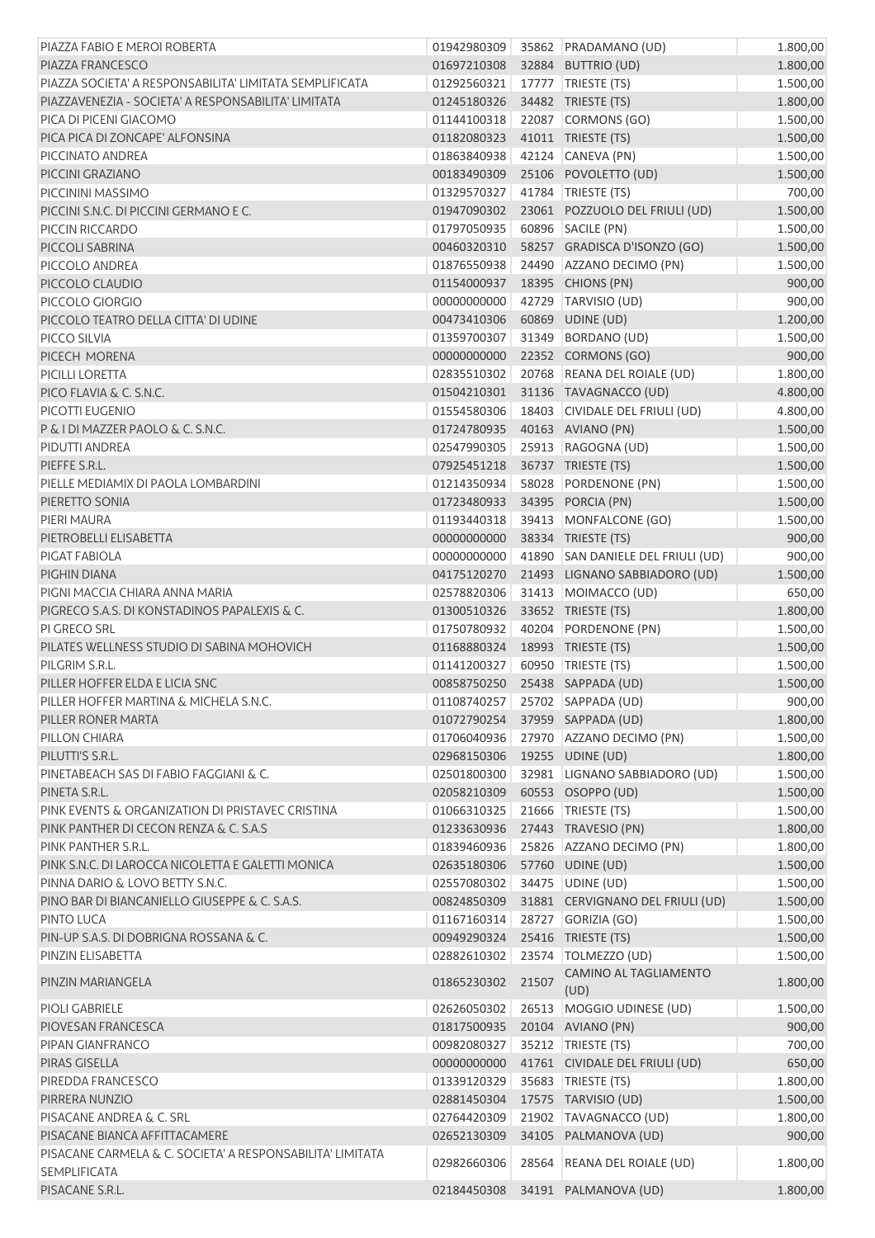| PIAZZA FABIO E MEROI ROBERTA                                                     | 01942980309 |       | 35862 PRADAMANO (UD)              | 1.800,00 |
|----------------------------------------------------------------------------------|-------------|-------|-----------------------------------|----------|
| PIAZZA FRANCESCO                                                                 | 01697210308 |       | 32884 BUTTRIO (UD)                | 1.800,00 |
| PIAZZA SOCIETA' A RESPONSABILITA' LIMITATA SEMPLIFICATA                          | 01292560321 |       | 17777   TRIESTE (TS)              | 1.500,00 |
| PIAZZAVENEZIA - SOCIETA' A RESPONSABILITA' LIMITATA                              | 01245180326 |       | 34482 TRIESTE (TS)                | 1.800,00 |
| PICA DI PICENI GIACOMO                                                           | 01144100318 |       | 22087 CORMONS (GO)                | 1.500,00 |
| PICA PICA DI ZONCAPE' ALFONSINA                                                  | 01182080323 |       | 41011 TRIESTE (TS)                | 1.500,00 |
| PICCINATO ANDREA                                                                 | 01863840938 |       | 42124 CANEVA (PN)                 | 1.500,00 |
| PICCINI GRAZIANO                                                                 | 00183490309 |       | 25106 POVOLETTO (UD)              | 1.500,00 |
| PICCININI MASSIMO                                                                | 01329570327 |       | 41784 TRIESTE (TS)                | 700,00   |
| PICCINI S.N.C. DI PICCINI GERMANO E C.                                           | 01947090302 |       | 23061 POZZUOLO DEL FRIULI (UD)    | 1.500,00 |
| PICCIN RICCARDO                                                                  | 01797050935 |       | 60896 SACILE (PN)                 | 1.500,00 |
| PICCOLI SABRINA                                                                  | 00460320310 |       | 58257 GRADISCA D'ISONZO (GO)      | 1.500,00 |
| PICCOLO ANDREA                                                                   | 01876550938 |       | 24490 AZZANO DECIMO (PN)          | 1.500,00 |
| PICCOLO CLAUDIO                                                                  | 01154000937 |       | 18395 CHIONS (PN)                 | 900,00   |
| PICCOLO GIORGIO                                                                  | 00000000000 |       | 42729 TARVISIO (UD)               | 900,00   |
| PICCOLO TEATRO DELLA CITTA' DI UDINE                                             | 00473410306 | 60869 | UDINE (UD)                        | 1.200,00 |
| PICCO SILVIA                                                                     | 01359700307 |       | 31349 BORDANO (UD)                | 1.500,00 |
| PICECH MORENA                                                                    | 00000000000 |       | 22352 CORMONS (GO)                | 900,00   |
| PICILLI LORETTA                                                                  | 02835510302 |       | 20768 REANA DEL ROIALE (UD)       | 1.800,00 |
| PICO FLAVIA & C. S.N.C.                                                          | 01504210301 |       | 31136 TAVAGNACCO (UD)             | 4.800,00 |
| PICOTTI EUGENIO                                                                  | 01554580306 |       | 18403 CIVIDALE DEL FRIULI (UD)    | 4.800,00 |
| P & I DI MAZZER PAOLO & C. S.N.C.                                                | 01724780935 |       | 40163 AVIANO (PN)                 | 1.500,00 |
| PIDUTTI ANDREA                                                                   | 02547990305 |       | 25913 RAGOGNA (UD)                | 1.500,00 |
| PIEFFE S.R.L.                                                                    | 07925451218 |       | 36737 TRIESTE (TS)                | 1.500,00 |
| PIELLE MEDIAMIX DI PAOLA LOMBARDINI                                              | 01214350934 |       | 58028 PORDENONE (PN)              | 1.500,00 |
| PIERETTO SONIA                                                                   | 01723480933 |       | 34395 PORCIA (PN)                 | 1.500,00 |
| PIERI MAURA                                                                      | 01193440318 |       | 39413 MONFALCONE (GO)             | 1.500,00 |
| PIETROBELLI ELISABETTA                                                           | 00000000000 |       | 38334 TRIESTE (TS)                | 900,00   |
| PIGAT FABIOLA                                                                    | 00000000000 |       | 41890 SAN DANIELE DEL FRIULI (UD) | 900,00   |
| PIGHIN DIANA                                                                     | 04175120270 |       | 21493 LIGNANO SABBIADORO (UD)     | 1.500,00 |
| PIGNI MACCIA CHIARA ANNA MARIA                                                   | 02578820306 |       | 31413 MOIMACCO (UD)               | 650,00   |
| PIGRECO S.A.S. DI KONSTADINOS PAPALEXIS & C.                                     | 01300510326 |       | 33652 TRIESTE (TS)                | 1.800,00 |
| PI GRECO SRL                                                                     | 01750780932 |       | 40204 PORDENONE (PN)              | 1.500,00 |
| PILATES WELLNESS STUDIO DI SABINA MOHOVICH                                       | 01168880324 |       | 18993 TRIESTE (TS)                | 1.500,00 |
| PILGRIM S.R.L.                                                                   | 01141200327 |       | 60950 TRIESTE (TS)                | 1.500,00 |
| PILLER HOFFER ELDA E LICIA SNC                                                   |             |       | 00858750250 25438 SAPPADA (UD)    | 1.500,00 |
| PILLER HOFFER MARTINA & MICHELA S.N.C.                                           | 01108740257 |       | 25702 SAPPADA (UD)                | 900,00   |
| PILLER RONER MARTA                                                               | 01072790254 |       | 37959 SAPPADA (UD)                | 1.800,00 |
| PILLON CHIARA                                                                    | 01706040936 |       | 27970 AZZANO DECIMO (PN)          | 1.500,00 |
| PILUTTI'S S.R.L.                                                                 | 02968150306 |       | 19255 UDINE (UD)                  | 1.800,00 |
| PINETABEACH SAS DI FABIO FAGGIANI & C.                                           | 02501800300 |       | 32981 LIGNANO SABBIADORO (UD)     | 1.500,00 |
| PINETA S.R.L.                                                                    | 02058210309 |       | 60553 OSOPPO (UD)                 | 1.500,00 |
| PINK EVENTS & ORGANIZATION DI PRISTAVEC CRISTINA                                 | 01066310325 |       | 21666   TRIESTE (TS)              | 1.500,00 |
| PINK PANTHER DI CECON RENZA & C. S.A.S                                           | 01233630936 |       | 27443 TRAVESIO (PN)               | 1.800,00 |
| PINK PANTHER S.R.L.                                                              | 01839460936 |       | 25826 AZZANO DECIMO (PN)          | 1.800,00 |
| PINK S.N.C. DI LAROCCA NICOLETTA E GALETTI MONICA                                | 02635180306 |       | 57760 UDINE (UD)                  | 1.500,00 |
| PINNA DARIO & LOVO BETTY S.N.C.                                                  | 02557080302 |       | 34475   UDINE (UD)                | 1.500,00 |
| PINO BAR DI BIANCANIELLO GIUSEPPE & C. S.A.S.                                    | 00824850309 |       | 31881 CERVIGNANO DEL FRIULI (UD)  | 1.500,00 |
| PINTO LUCA                                                                       | 01167160314 |       | 28727 GORIZIA (GO)                | 1.500,00 |
| PIN-UP S.A.S. DI DOBRIGNA ROSSANA & C.                                           | 00949290324 |       | 25416 TRIESTE (TS)                | 1.500,00 |
| PINZIN ELISABETTA                                                                | 02882610302 |       | 23574   TOLMEZZO (UD)             | 1.500,00 |
| PINZIN MARIANGELA                                                                | 01865230302 | 21507 | CAMINO AL TAGLIAMENTO<br>(UD)     | 1.800,00 |
| PIOLI GABRIELE                                                                   | 02626050302 |       | 26513 MOGGIO UDINESE (UD)         | 1.500,00 |
| PIOVESAN FRANCESCA                                                               | 01817500935 |       | 20104 AVIANO (PN)                 | 900,00   |
| PIPAN GIANFRANCO                                                                 | 00982080327 |       | 35212 TRIESTE (TS)                | 700,00   |
| PIRAS GISELLA                                                                    | 00000000000 |       | 41761 CIVIDALE DEL FRIULI (UD)    | 650,00   |
| PIREDDA FRANCESCO                                                                | 01339120329 |       | 35683 TRIESTE (TS)                | 1.800,00 |
| PIRRERA NUNZIO                                                                   | 02881450304 |       | 17575 TARVISIO (UD)               | 1.500,00 |
| PISACANE ANDREA & C. SRL                                                         | 02764420309 |       | 21902 TAVAGNACCO (UD)             | 1.800,00 |
| PISACANE BIANCA AFFITTACAMERE                                                    | 02652130309 |       | 34105 PALMANOVA (UD)              | 900,00   |
| PISACANE CARMELA & C. SOCIETA' A RESPONSABILITA' LIMITATA<br><b>SEMPLIFICATA</b> | 02982660306 |       | 28564 REANA DEL ROIALE (UD)       | 1.800,00 |
| PISACANE S.R.L.                                                                  | 02184450308 |       | 34191 PALMANOVA (UD)              | 1.800,00 |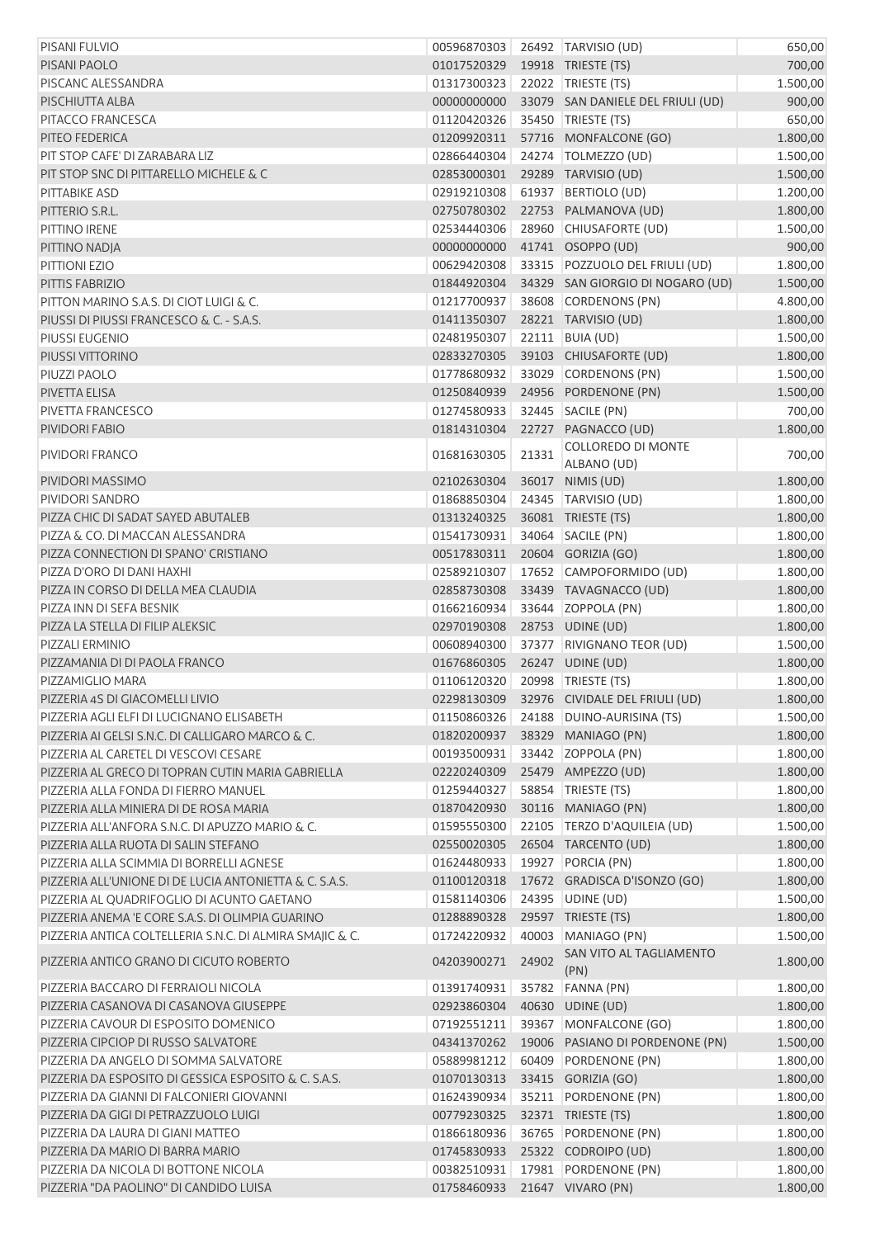| PISANI FULVIO                                            | 00596870303                    |       | 26492 TARVISIO (UD)               | 650,00   |
|----------------------------------------------------------|--------------------------------|-------|-----------------------------------|----------|
| PISANI PAOLO                                             | 01017520329                    |       | 19918 TRIESTE (TS)                | 700,00   |
| PISCANC ALESSANDRA                                       | 01317300323                    |       | 22022 TRIESTE (TS)                | 1.500,00 |
| PISCHIUTTA ALBA                                          | 00000000000                    |       | 33079 SAN DANIELE DEL FRIULI (UD) | 900,00   |
| PITACCO FRANCESCA                                        | 01120420326                    |       | 35450 TRIESTE (TS)                | 650,00   |
| PITEO FEDERICA                                           | 01209920311                    |       | 57716 MONFALCONE (GO)             | 1.800,00 |
| PIT STOP CAFE' DI ZARABARA LIZ                           | 02866440304                    |       | 24274   TOLMEZZO (UD)             | 1.500,00 |
| PIT STOP SNC DI PITTARELLO MICHELE & C                   | 02853000301                    |       | 29289 TARVISIO (UD)               | 1.500,00 |
| <b>PITTABIKE ASD</b>                                     | 02919210308                    |       | 61937 BERTIOLO (UD)               | 1.200,00 |
| PITTERIO S.R.L.                                          | 02750780302                    |       | 22753 PALMANOVA (UD)              | 1.800,00 |
| PITTINO IRENE                                            | 02534440306                    |       | 28960 CHIUSAFORTE (UD)            | 1.500,00 |
| PITTINO NADJA                                            | 00000000000                    |       | 41741 OSOPPO (UD)                 | 900,00   |
| PITTIONI EZIO                                            | 00629420308                    |       | 33315 POZZUOLO DEL FRIULI (UD)    | 1.800,00 |
| PITTIS FABRIZIO                                          | 01844920304                    |       | 34329 SAN GIORGIO DI NOGARO (UD)  | 1.500,00 |
| PITTON MARINO S.A.S. DI CIOT LUIGI & C.                  | 01217700937                    |       | 38608 CORDENONS (PN)              | 4.800,00 |
| PIUSSI DI PIUSSI FRANCESCO & C. - S.A.S.                 | 01411350307                    |       | 28221 TARVISIO (UD)               | 1.800,00 |
| PIUSSI EUGENIO                                           | 02481950307                    |       | 22111   BUIA (UD)                 | 1.500,00 |
| PIUSSI VITTORINO                                         | 02833270305                    |       | 39103 CHIUSAFORTE (UD)            | 1.800,00 |
| PIUZZI PAOLO                                             | 01778680932                    |       | 33029 CORDENONS (PN)              | 1.500,00 |
| PIVETTA ELISA                                            | 01250840939                    |       | 24956 PORDENONE (PN)              | 1.500,00 |
| PIVETTA FRANCESCO                                        | 01274580933                    |       | 32445 SACILE (PN)                 | 700,00   |
| PIVIDORI FABIO                                           | 01814310304                    |       | 22727 PAGNACCO (UD)               | 1.800,00 |
|                                                          |                                |       | COLLOREDO DI MONTE                |          |
| PIVIDORI FRANCO                                          | 01681630305                    | 21331 | ALBANO (UD)                       | 700,00   |
| PIVIDORI MASSIMO                                         | 02102630304                    |       | 36017 NIMIS (UD)                  | 1.800,00 |
| PIVIDORI SANDRO                                          | 01868850304                    |       | 24345 TARVISIO (UD)               | 1.800,00 |
| PIZZA CHIC DI SADAT SAYED ABUTALEB                       | 01313240325                    |       | 36081 TRIESTE (TS)                | 1.800,00 |
| PIZZA & CO. DI MACCAN ALESSANDRA                         | 01541730931                    |       | 34064 SACILE (PN)                 | 1.800,00 |
| PIZZA CONNECTION DI SPANO' CRISTIANO                     | 00517830311                    |       | 20604 GORIZIA (GO)                | 1.800,00 |
| PIZZA D'ORO DI DANI HAXHI                                | 02589210307                    |       | 17652 CAMPOFORMIDO (UD)           | 1.800,00 |
| PIZZA IN CORSO DI DELLA MEA CLAUDIA                      | 02858730308                    |       | 33439 TAVAGNACCO (UD)             | 1.800,00 |
| PIZZA INN DI SEFA BESNIK                                 | 01662160934                    |       | 33644 ZOPPOLA (PN)                | 1.800,00 |
| PIZZA LA STELLA DI FILIP ALEKSIC                         | 02970190308                    |       | 28753 UDINE (UD)                  | 1.800,00 |
| PIZZALI ERMINIO                                          | 00608940300                    |       | 37377 RIVIGNANO TEOR (UD)         | 1.500,00 |
| PIZZAMANIA DI DI PAOLA FRANCO                            | 01676860305                    |       | 26247 UDINE (UD)                  | 1.800,00 |
| PIZZAMIGLIO MARA                                         | 01106120320 20998 TRIESTE (TS) |       |                                   | 1.800,00 |
| PIZZERIA 4S DI GIACOMELLI LIVIO                          | 02298130309                    |       | 32976 CIVIDALE DEL FRIULI (UD)    | 1.800,00 |
| PIZZERIA AGLI ELFI DI LUCIGNANO ELISABETH                | 01150860326                    |       | 24188 DUINO-AURISINA (TS)         | 1.500,00 |
| PIZZERIA AI GELSI S.N.C. DI CALLIGARO MARCO & C.         | 01820200937                    |       | 38329 MANIAGO (PN)                | 1.800,00 |
| PIZZERIA AL CARETEL DI VESCOVI CESARE                    | 00193500931                    |       | 33442 ZOPPOLA (PN)                | 1.800,00 |
| PIZZERIA AL GRECO DI TOPRAN CUTIN MARIA GABRIELLA        | 02220240309                    |       | 25479 AMPEZZO (UD)                | 1.800,00 |
| PIZZERIA ALLA FONDA DI FIERRO MANUEL                     | 01259440327                    | 58854 | TRIESTE (TS)                      | 1.800,00 |
| PIZZERIA ALLA MINIERA DI DE ROSA MARIA                   | 01870420930                    |       | 30116 MANIAGO (PN)                | 1.800,00 |
| PIZZERIA ALL'ANFORA S.N.C. DI APUZZO MARIO & C.          | 01595550300                    |       | 22105 TERZO D'AQUILEIA (UD)       | 1.500,00 |
| PIZZERIA ALLA RUOTA DI SALIN STEFANO                     | 02550020305                    |       | 26504 TARCENTO (UD)               | 1.800,00 |
| PIZZERIA ALLA SCIMMIA DI BORRELLI AGNESE                 | 01624480933                    |       | 19927 PORCIA (PN)                 | 1.800,00 |
| PIZZERIA ALL'UNIONE DI DE LUCIA ANTONIETTA & C. S.A.S.   | 01100120318                    |       | 17672 GRADISCA D'ISONZO (GO)      | 1.800,00 |
| PIZZERIA AL QUADRIFOGLIO DI ACUNTO GAETANO               | 01581140306                    |       | 24395 UDINE (UD)                  | 1.500,00 |
| PIZZERIA ANEMA 'E CORE S.A.S. DI OLIMPIA GUARINO         | 01288890328                    |       | 29597 TRIESTE (TS)                | 1.800,00 |
| PIZZERIA ANTICA COLTELLERIA S.N.C. DI ALMIRA SMAJIC & C. | 01724220932                    |       | 40003 MANIAGO (PN)                | 1.500,00 |
| PIZZERIA ANTICO GRANO DI CICUTO ROBERTO                  | 04203900271                    | 24902 | SAN VITO AL TAGLIAMENTO<br>(PN)   | 1.800,00 |
| PIZZERIA BACCARO DI FERRAIOLI NICOLA                     | 01391740931                    |       | 35782 FANNA (PN)                  | 1.800,00 |
| PIZZERIA CASANOVA DI CASANOVA GIUSEPPE                   | 02923860304                    |       | 40630 UDINE (UD)                  | 1.800,00 |
| PIZZERIA CAVOUR DI ESPOSITO DOMENICO                     | 07192551211                    |       | 39367 MONFALCONE (GO)             | 1.800,00 |
| PIZZERIA CIPCIOP DI RUSSO SALVATORE                      | 04341370262                    |       | 19006 PASIANO DI PORDENONE (PN)   | 1.500,00 |
| PIZZERIA DA ANGELO DI SOMMA SALVATORE                    | 05889981212                    | 60409 | PORDENONE (PN)                    | 1.800,00 |
| PIZZERIA DA ESPOSITO DI GESSICA ESPOSITO & C. S.A.S.     | 01070130313                    |       | 33415 GORIZIA (GO)                | 1.800,00 |
| PIZZERIA DA GIANNI DI FALCONIERI GIOVANNI                | 01624390934                    |       | 35211 PORDENONE (PN)              | 1.800,00 |
| PIZZERIA DA GIGI DI PETRAZZUOLO LUIGI                    | 00779230325                    |       | 32371 TRIESTE (TS)                | 1.800,00 |
| PIZZERIA DA LAURA DI GIANI MATTEO                        | 01866180936                    |       | 36765 PORDENONE (PN)              | 1.800,00 |
| PIZZERIA DA MARIO DI BARRA MARIO                         | 01745830933                    |       | 25322 CODROIPO (UD)               | 1.800,00 |
| PIZZERIA DA NICOLA DI BOTTONE NICOLA                     | 00382510931                    |       | 17981 PORDENONE (PN)              | 1.800,00 |
| PIZZERIA "DA PAOLINO" DI CANDIDO LUISA                   | 01758460933                    |       | 21647 VIVARO (PN)                 | 1.800,00 |
|                                                          |                                |       |                                   |          |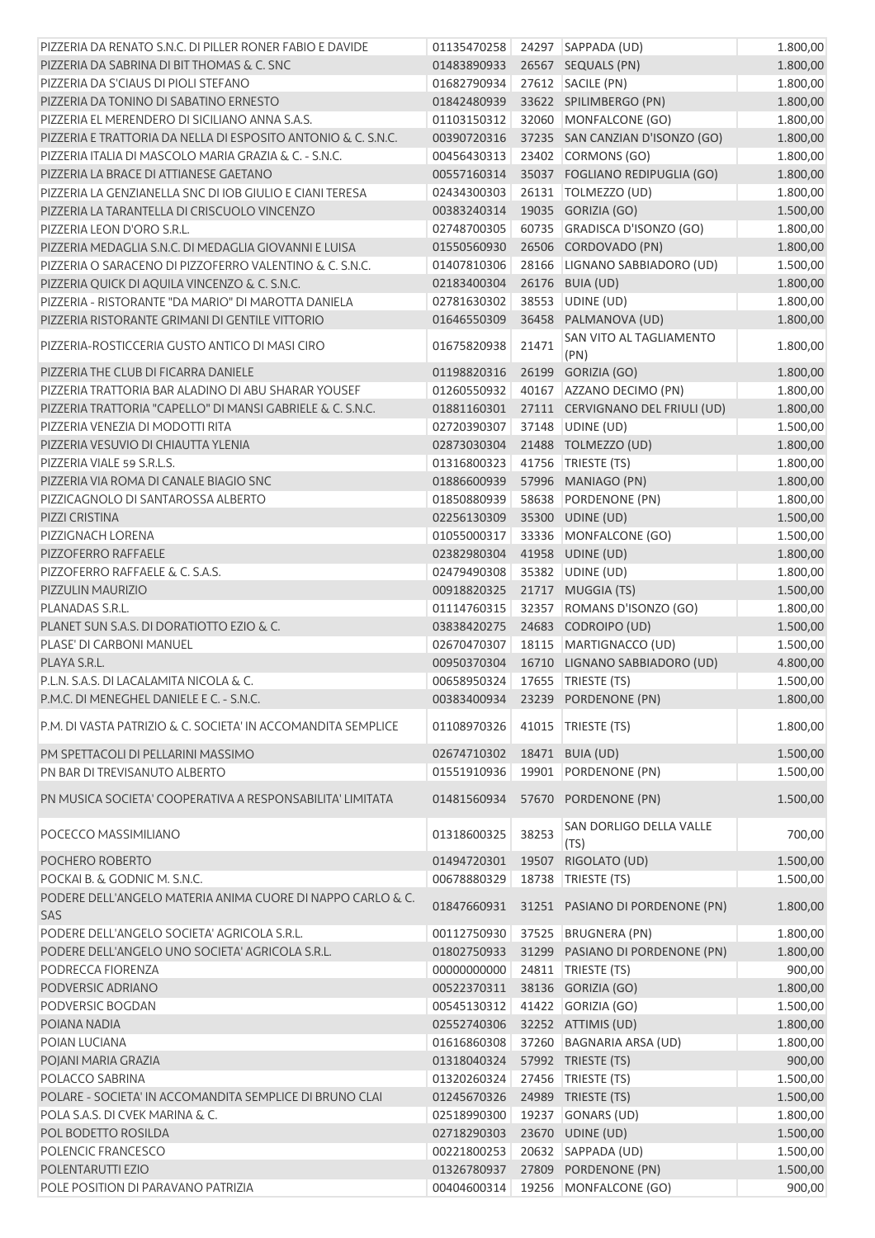| PIZZERIA DA RENATO S.N.C. DI PILLER RONER FABIO E DAVIDE      |                             |       | 01135470258 24297 SAPPADA (UD)              | 1.800,00 |
|---------------------------------------------------------------|-----------------------------|-------|---------------------------------------------|----------|
| PIZZERIA DA SABRINA DI BITTHOMAS & C. SNC                     | 01483890933                 |       | 26567 SEQUALS (PN)                          | 1.800,00 |
| PIZZERIA DA S'CIAUS DI PIOLI STEFANO                          | 01682790934                 |       | 27612 SACILE (PN)                           | 1.800,00 |
| PIZZERIA DA TONINO DI SABATINO ERNESTO                        | 01842480939                 |       | 33622 SPILIMBERGO (PN)                      | 1.800,00 |
| PIZZERIA EL MERENDERO DI SICILIANO ANNA S.A.S.                | 01103150312                 |       | 32060 MONFALCONE (GO)                       | 1.800,00 |
| PIZZERIA E TRATTORIA DA NELLA DI ESPOSITO ANTONIO & C. S.N.C. | 00390720316                 |       | 37235 SAN CANZIAN D'ISONZO (GO)             | 1.800,00 |
| PIZZERIA ITALIA DI MASCOLO MARIA GRAZIA & C. - S.N.C.         | 00456430313                 |       | 23402 CORMONS (GO)                          | 1.800,00 |
| PIZZERIA LA BRACE DI ATTIANESE GAETANO                        | 00557160314                 |       | 35037 FOGLIANO REDIPUGLIA (GO)              | 1.800,00 |
| PIZZERIA LA GENZIANELLA SNC DI IOB GIULIO E CIANI TERESA      | 02434300303                 |       | 26131   TOLMEZZO (UD)                       | 1.800,00 |
| PIZZERIA LA TARANTELLA DI CRISCUOLO VINCENZO                  | 00383240314                 |       | 19035 GORIZIA (GO)                          | 1.500,00 |
| PIZZERIA LEON D'ORO S.R.L.                                    | 02748700305                 |       | 60735 GRADISCA D'ISONZO (GO)                | 1.800,00 |
| PIZZERIA MEDAGLIA S.N.C. DI MEDAGLIA GIOVANNI E LUISA         | 01550560930                 |       | 26506 CORDOVADO (PN)                        | 1.800,00 |
|                                                               |                             |       |                                             |          |
| PIZZERIA O SARACENO DI PIZZOFERRO VALENTINO & C. S.N.C.       | 01407810306                 |       | 28166 LIGNANO SABBIADORO (UD)               | 1.500,00 |
| PIZZERIA QUICK DI AQUILA VINCENZO & C. S.N.C.                 | 02183400304                 |       | 26176 BUIA (UD)                             | 1.800,00 |
| PIZZERIA - RISTORANTE "DA MARIO" DI MAROTTA DANIELA           | 02781630302                 |       | 38553 UDINE (UD)                            | 1.800,00 |
| PIZZERIA RISTORANTE GRIMANI DI GENTILE VITTORIO               | 01646550309                 |       | 36458 PALMANOVA (UD)                        | 1.800,00 |
| PIZZERIA-ROSTICCERIA GUSTO ANTICO DI MASI CIRO                | 01675820938                 | 21471 | SAN VITO AL TAGLIAMENTO<br>(PN)             | 1.800,00 |
| PIZZERIA THE CLUB DI FICARRA DANIELE                          | 01198820316                 |       | 26199 GORIZIA (GO)                          | 1.800,00 |
| PIZZERIA TRATTORIA BAR ALADINO DI ABU SHARAR YOUSEF           | 01260550932                 |       | 40167 AZZANO DECIMO (PN)                    | 1.800,00 |
| PIZZERIA TRATTORIA "CAPELLO" DI MANSI GABRIELE & C. S.N.C.    | 01881160301                 |       | 27111 CERVIGNANO DEL FRIULI (UD)            | 1.800,00 |
| PIZZERIA VENEZIA DI MODOTTI RITA                              | 02720390307                 |       | 37148 UDINE (UD)                            | 1.500,00 |
| PIZZERIA VESUVIO DI CHIAUTTA YLENIA                           | 02873030304                 |       | 21488 TOLMEZZO (UD)                         | 1.800,00 |
|                                                               |                             |       |                                             |          |
| PIZZERIA VIALE 59 S.R.L.S.                                    | 01316800323                 |       | 41756   TRIESTE (TS)                        | 1.800,00 |
| PIZZERIA VIA ROMA DI CANALE BIAGIO SNC                        | 01886600939                 |       | 57996 MANIAGO (PN)                          | 1.800,00 |
| PIZZICAGNOLO DI SANTAROSSA ALBERTO                            | 01850880939                 |       | 58638 PORDENONE (PN)                        | 1.800,00 |
| PIZZI CRISTINA                                                | 02256130309                 |       | 35300 UDINE (UD)                            | 1.500,00 |
| PIZZIGNACH LORENA                                             | 01055000317                 |       | 33336 MONFALCONE (GO)                       | 1.500,00 |
| PIZZOFERRO RAFFAELE                                           | 02382980304                 |       | 41958 UDINE (UD)                            | 1.800,00 |
| PIZZOFERRO RAFFAELE & C. S.A.S.                               | 02479490308                 |       | 35382 UDINE (UD)                            | 1.800,00 |
| PIZZULIN MAURIZIO                                             | 00918820325                 |       | 21717 MUGGIA (TS)                           | 1.500,00 |
| PLANADAS S.R.L.                                               | 01114760315                 |       | 32357 ROMANS D'ISONZO (GO)                  | 1.800,00 |
| PLANET SUN S.A.S. DI DORATIOTTO EZIO & C.                     | 03838420275                 |       | 24683 CODROIPO (UD)                         | 1.500,00 |
| PLASE' DI CARBONI MANUEL                                      | 02670470307                 |       | 18115 MARTIGNACCO (UD)                      | 1.500,00 |
| PLAYA S.R.L.                                                  | 00950370304                 |       | 16710 LIGNANO SABBIADORO (UD)               | 4.800,00 |
| P.L.N. S.A.S. DI LACALAMITA NICOLA & C.                       | 00658950324                 |       | 17655 TRIESTE (TS)                          | 1.500,00 |
| P.M.C. DI MENEGHEL DANIELE E C. - S.N.C.                      |                             |       | 00383400934 23239 PORDENONE (PN)            | 1.800,00 |
|                                                               |                             |       |                                             |          |
| P.M. DI VASTA PATRIZIO & C. SOCIETA' IN ACCOMANDITA SEMPLICE  | 01108970326                 |       | 41015 TRIESTE (TS)                          | 1.800,00 |
| PM SPETTACOLI DI PELLARINI MASSIMO                            | 02674710302 18471 BUIA (UD) |       |                                             | 1.500,00 |
| PN BAR DI TREVISANUTO ALBERTO                                 | 01551910936                 |       | 19901 PORDENONE (PN)                        | 1.500,00 |
| PN MUSICA SOCIETA' COOPERATIVA A RESPONSABILITA' LIMITATA     | 01481560934                 |       | 57670 PORDENONE (PN)                        | 1.500,00 |
|                                                               |                             |       | SAN DORLIGO DELLA VALLE                     |          |
| POCECCO MASSIMILIANO                                          | 01318600325                 | 38253 | (TS)                                        | 700,00   |
| POCHERO ROBERTO                                               | 01494720301                 |       | 19507 RIGOLATO (UD)                         | 1.500,00 |
| POCKAI B. & GODNIC M. S.N.C.                                  | 00678880329                 |       | 18738   TRIESTE (TS)                        | 1.500,00 |
| PODERE DELL'ANGELO MATERIA ANIMA CUORE DI NAPPO CARLO & C.    |                             |       | 01847660931 31251 PASIANO DI PORDENONE (PN) | 1.800,00 |
| SAS                                                           |                             |       |                                             |          |
| PODERE DELL'ANGELO SOCIETA' AGRICOLA S.R.L.                   | 00112750930                 |       | 37525 BRUGNERA (PN)                         | 1.800,00 |
| PODERE DELL'ANGELO UNO SOCIETA' AGRICOLA S.R.L.               | 01802750933                 |       | 31299 PASIANO DI PORDENONE (PN)             | 1.800,00 |
| PODRECCA FIORENZA                                             | 00000000000                 |       | 24811   TRIESTE (TS)                        | 900,00   |
| PODVERSIC ADRIANO                                             | 00522370311                 |       | 38136 GORIZIA (GO)                          | 1.800,00 |
| PODVERSIC BOGDAN                                              | 00545130312                 |       | 41422 GORIZIA (GO)                          | 1.500,00 |
| POIANA NADIA                                                  | 02552740306                 |       | 32252 ATTIMIS (UD)                          | 1.800,00 |
| POIAN LUCIANA                                                 | 01616860308                 |       | 37260 BAGNARIA ARSA (UD)                    | 1.800,00 |
| POJANI MARIA GRAZIA                                           | 01318040324                 |       | 57992 TRIESTE (TS)                          | 900,00   |
| POLACCO SABRINA                                               | 01320260324                 |       | 27456 TRIESTE (TS)                          | 1.500,00 |
| POLARE - SOCIETA' IN ACCOMANDITA SEMPLICE DI BRUNO CLAI       | 01245670326                 |       | 24989 TRIESTE (TS)                          | 1.500,00 |
| POLA S.A.S. DI CVEK MARINA & C.                               | 02518990300                 |       | 19237 GONARS (UD)                           | 1.800,00 |
| POL BODETTO ROSILDA                                           | 02718290303                 |       | 23670 UDINE (UD)                            | 1.500,00 |
| POLENCIC FRANCESCO                                            | 00221800253                 |       | 20632 SAPPADA (UD)                          | 1.500,00 |
| POLENTARUTTI EZIO                                             | 01326780937                 |       | 27809 PORDENONE (PN)                        | 1.500,00 |
| POLE POSITION DI PARAVANO PATRIZIA                            |                             |       | 00404600314  19256  MONFALCONE (GO)         | 900,00   |
|                                                               |                             |       |                                             |          |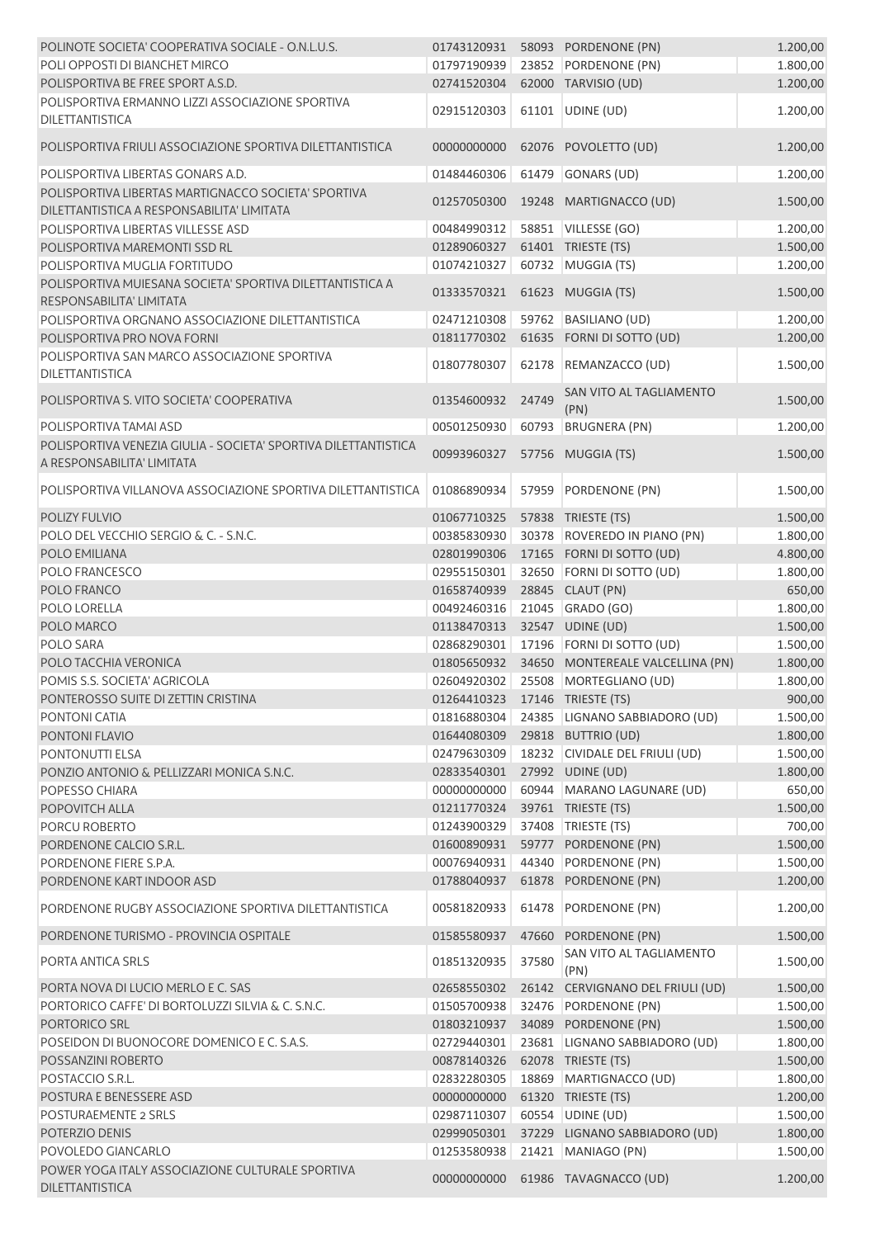| POLINOTE SOCIETA' COOPERATIVA SOCIALE - O.N.L.U.S.                                                |             |       | 01743120931    58093    PORDENONE (PN) | 1.200,00 |
|---------------------------------------------------------------------------------------------------|-------------|-------|----------------------------------------|----------|
| POLI OPPOSTI DI BIANCHET MIRCO                                                                    | 01797190939 |       | 23852 PORDENONE (PN)                   | 1.800,00 |
| POLISPORTIVA BE FREE SPORT A.S.D.                                                                 | 02741520304 |       | 62000 TARVISIO (UD)                    | 1.200,00 |
| POLISPORTIVA ERMANNO LIZZI ASSOCIAZIONE SPORTIVA<br><b>DILETTANTISTICA</b>                        | 02915120303 |       | 61101 UDINE (UD)                       | 1.200,00 |
| POLISPORTIVA FRIULI ASSOCIAZIONE SPORTIVA DILETTANTISTICA                                         | 00000000000 |       | 62076 POVOLETTO (UD)                   | 1.200,00 |
| POLISPORTIVA LIBERTAS GONARS A.D.                                                                 | 01484460306 |       | 61479 GONARS (UD)                      | 1.200,00 |
| POLISPORTIVA LIBERTAS MARTIGNACCO SOCIETA' SPORTIVA<br>DILETTANTISTICA A RESPONSABILITA' LIMITATA | 01257050300 |       | 19248 MARTIGNACCO (UD)                 | 1.500,00 |
| POLISPORTIVA LIBERTAS VILLESSE ASD                                                                | 00484990312 |       | 58851 VILLESSE (GO)                    | 1.200,00 |
| POLISPORTIVA MAREMONTI SSD RL                                                                     | 01289060327 |       | 61401 TRIESTE (TS)                     | 1.500,00 |
| POLISPORTIVA MUGLIA FORTITUDO                                                                     | 01074210327 |       | 60732 MUGGIA (TS)                      | 1.200,00 |
| POLISPORTIVA MUIESANA SOCIETA' SPORTIVA DILETTANTISTICA A<br>RESPONSABILITA' LIMITATA             | 01333570321 |       | 61623 MUGGIA (TS)                      | 1.500,00 |
| POLISPORTIVA ORGNANO ASSOCIAZIONE DILETTANTISTICA                                                 | 02471210308 |       | 59762 BASILIANO (UD)                   | 1.200,00 |
| POLISPORTIVA PRO NOVA FORNI                                                                       | 01811770302 |       | 61635 FORNI DI SOTTO (UD)              | 1.200,00 |
| POLISPORTIVA SAN MARCO ASSOCIAZIONE SPORTIVA                                                      |             |       |                                        |          |
| <b>DILETTANTISTICA</b>                                                                            | 01807780307 |       | 62178 REMANZACCO (UD)                  | 1.500,00 |
| POLISPORTIVA S. VITO SOCIETA' COOPERATIVA                                                         | 01354600932 | 24749 | SAN VITO AL TAGLIAMENTO<br>(PN)        | 1.500,00 |
| POLISPORTIVA TAMAI ASD                                                                            | 00501250930 | 60793 | <b>BRUGNERA (PN)</b>                   | 1.200,00 |
| POLISPORTIVA VENEZIA GIULIA - SOCIETA' SPORTIVA DILETTANTISTICA<br>A RESPONSABILITA' LIMITATA     | 00993960327 |       | 57756 MUGGIA (TS)                      | 1.500,00 |
| POLISPORTIVA VILLANOVA ASSOCIAZIONE SPORTIVA DILETTANTISTICA                                      | 01086890934 | 57959 | PORDENONE (PN)                         | 1.500,00 |
| POLIZY FULVIO                                                                                     | 01067710325 |       | 57838 TRIESTE (TS)                     | 1.500,00 |
| POLO DEL VECCHIO SERGIO & C. - S.N.C.                                                             | 00385830930 |       | 30378 ROVEREDO IN PIANO (PN)           | 1.800,00 |
| POLO EMILIANA                                                                                     | 02801990306 |       | 17165 FORNI DI SOTTO (UD)              | 4.800,00 |
| <b>POLO FRANCESCO</b>                                                                             | 02955150301 |       | 32650 FORNI DI SOTTO (UD)              | 1.800,00 |
| POLO FRANCO                                                                                       | 01658740939 |       | 28845 CLAUT (PN)                       | 650,00   |
| POLO LORELLA                                                                                      | 00492460316 |       | 21045 GRADO (GO)                       | 1.800,00 |
| POLO MARCO                                                                                        | 01138470313 |       | 32547 UDINE (UD)                       | 1.500,00 |
| POLO SARA                                                                                         | 02868290301 |       | 17196 FORNI DI SOTTO (UD)              | 1.500,00 |
| POLO TACCHIA VERONICA                                                                             | 01805650932 |       | 34650 MONTEREALE VALCELLINA (PN)       | 1.800,00 |
| POMIS S.S. SOCIETA' AGRICOLA                                                                      |             |       | 02604920302 25508 MORTEGLIANO (UD)     | 1.800,00 |
| PONTEROSSO SUITE DI ZETTIN CRISTINA                                                               |             |       | 01264410323  17146  TRIESTE (TS)       | 900,00   |
| PONTONI CATIA                                                                                     | 01816880304 |       | 24385 LIGNANO SABBIADORO (UD)          | 1.500,00 |
| PONTONI FLAVIO                                                                                    | 01644080309 |       | 29818 BUTTRIO (UD)                     | 1.800,00 |
| <b>PONTONUTTI ELSA</b>                                                                            | 02479630309 |       | 18232 CIVIDALE DEL FRIULI (UD)         | 1.500,00 |
| PONZIO ANTONIO & PELLIZZARI MONICA S.N.C.                                                         | 02833540301 |       | 27992 UDINE (UD)                       | 1.800,00 |
| POPESSO CHIARA                                                                                    | 00000000000 |       | 60944 MARANO LAGUNARE (UD)             | 650,00   |
| POPOVITCH ALLA                                                                                    | 01211770324 |       | 39761 TRIESTE (TS)                     | 1.500,00 |
| PORCU ROBERTO                                                                                     | 01243900329 |       | 37408   TRIESTE (TS)                   | 700,00   |
| PORDENONE CALCIO S.R.L.                                                                           | 01600890931 |       | 59777 PORDENONE (PN)                   | 1.500,00 |
| PORDENONE FIERE S.P.A.                                                                            | 00076940931 |       | 44340 PORDENONE (PN)                   | 1.500,00 |
| PORDENONE KART INDOOR ASD                                                                         | 01788040937 |       | 61878 PORDENONE (PN)                   | 1.200,00 |
| PORDENONE RUGBY ASSOCIAZIONE SPORTIVA DILETTANTISTICA                                             | 00581820933 | 61478 | PORDENONE (PN)                         | 1.200,00 |
| PORDENONE TURISMO - PROVINCIA OSPITALE                                                            | 01585580937 | 47660 | PORDENONE (PN)                         | 1.500,00 |
| PORTA ANTICA SRLS                                                                                 | 01851320935 | 37580 | SAN VITO AL TAGLIAMENTO<br>(PN)        | 1.500,00 |
| PORTA NOVA DI LUCIO MERLO E C. SAS                                                                | 02658550302 | 26142 | CERVIGNANO DEL FRIULI (UD)             | 1.500,00 |
| PORTORICO CAFFE' DI BORTOLUZZI SILVIA & C. S.N.C.                                                 | 01505700938 | 32476 | PORDENONE (PN)                         | 1.500,00 |
| PORTORICO SRL                                                                                     | 01803210937 |       | 34089 PORDENONE (PN)                   | 1.500,00 |
| POSEIDON DI BUONOCORE DOMENICO E C. S.A.S.                                                        | 02729440301 |       | 23681 LIGNANO SABBIADORO (UD)          | 1.800,00 |
| POSSANZINI ROBERTO                                                                                | 00878140326 |       | 62078 TRIESTE (TS)                     | 1.500,00 |
| POSTACCIO S.R.L.                                                                                  | 02832280305 |       | 18869 MARTIGNACCO (UD)                 | 1.800,00 |
| POSTURA E BENESSERE ASD                                                                           | 00000000000 |       | 61320 TRIESTE (TS)                     | 1.200,00 |
| <b>POSTURAEMENTE 2 SRLS</b>                                                                       | 02987110307 |       | 60554 UDINE (UD)                       | 1.500,00 |
| POTERZIO DENIS                                                                                    | 02999050301 |       | 37229 LIGNANO SABBIADORO (UD)          | 1.800,00 |
| POVOLEDO GIANCARLO                                                                                | 01253580938 |       | 21421 MANIAGO (PN)                     | 1.500,00 |
| POWER YOGA ITALY ASSOCIAZIONE CULTURALE SPORTIVA<br>DILETTANTISTICA                               | 00000000000 |       | 61986 TAVAGNACCO (UD)                  | 1.200,00 |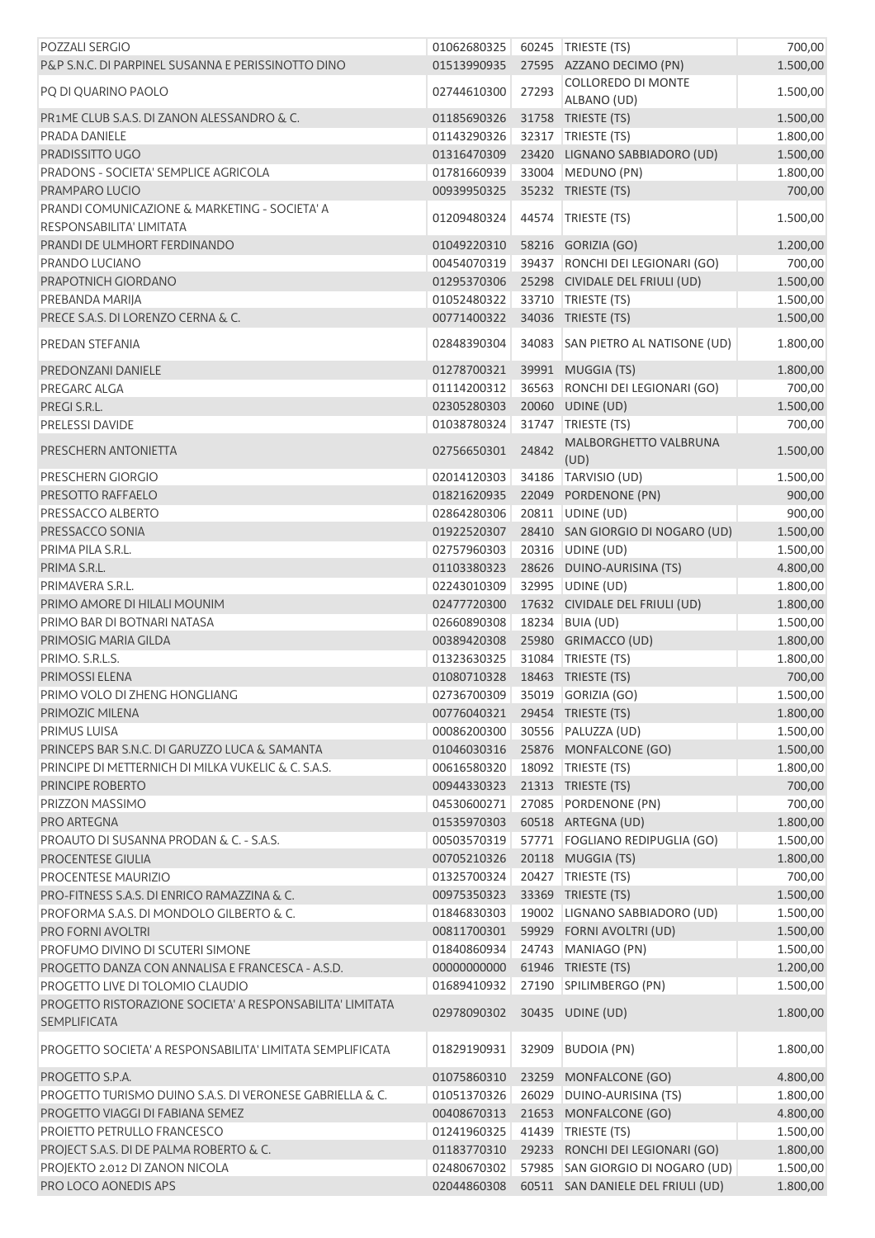| POZZALI SERGIO                                                                   | 01062680325                    |       | 60245   TRIESTE (TS)              | 700,00   |
|----------------------------------------------------------------------------------|--------------------------------|-------|-----------------------------------|----------|
| P&P S.N.C. DI PARPINEL SUSANNA E PERISSINOTTO DINO                               | 01513990935                    |       | 27595 AZZANO DECIMO (PN)          | 1.500,00 |
|                                                                                  | 02744610300                    |       | COLLOREDO DI MONTE                | 1.500,00 |
| PQ DI QUARINO PAOLO                                                              |                                | 27293 | ALBANO (UD)                       |          |
| <b>PR1ME CLUB S.A.S. DI ZANON ALESSANDRO &amp; C.</b>                            | 01185690326                    |       | 31758 TRIESTE (TS)                | 1.500,00 |
| PRADA DANIELE                                                                    | 01143290326                    |       | 32317   TRIESTE (TS)              | 1.800,00 |
| PRADISSITTO UGO                                                                  | 01316470309                    |       | 23420 LIGNANO SABBIADORO (UD)     | 1.500,00 |
| PRADONS - SOCIETA' SEMPLICE AGRICOLA                                             | 01781660939                    |       | 33004 MEDUNO (PN)                 | 1.800,00 |
| PRAMPARO LUCIO                                                                   | 00939950325                    |       | 35232 TRIESTE (TS)                | 700,00   |
| PRANDI COMUNICAZIONE & MARKETING - SOCIETA' A                                    |                                |       |                                   |          |
| RESPONSABILITA' LIMITATA                                                         | 01209480324                    |       | 44574 TRIESTE (TS)                | 1.500,00 |
| PRANDI DE ULMHORT FERDINANDO                                                     | 01049220310                    |       | 58216 GORIZIA (GO)                | 1.200,00 |
| PRANDO LUCIANO                                                                   | 00454070319                    |       | 39437 RONCHI DEI LEGIONARI (GO)   | 700,00   |
| PRAPOTNICH GIORDANO                                                              | 01295370306                    |       | 25298 CIVIDALE DEL FRIULI (UD)    | 1.500,00 |
| PREBANDA MARIJA                                                                  | 01052480322                    |       | 33710   TRIESTE (TS)              | 1.500,00 |
| PRECE S.A.S. DI LORENZO CERNA & C.                                               | 00771400322                    |       | 34036 TRIESTE (TS)                | 1.500,00 |
| PREDAN STEFANIA                                                                  | 02848390304                    |       | 34083 SAN PIETRO AL NATISONE (UD) | 1.800,00 |
| PREDONZANI DANIELE                                                               | 01278700321                    |       | 39991 MUGGIA (TS)                 | 1.800,00 |
| PREGARC ALGA                                                                     | 01114200312                    |       | 36563 RONCHI DEI LEGIONARI (GO)   | 700,00   |
| PREGI S.R.L.                                                                     | 02305280303                    |       | 20060 UDINE (UD)                  | 1.500,00 |
| <b>PRELESSI DAVIDE</b>                                                           | 01038780324                    |       | 31747 TRIESTE (TS)                | 700,00   |
|                                                                                  |                                |       | <b>MALBORGHETTO VALBRUNA</b>      |          |
| PRESCHERN ANTONIETTA                                                             | 02756650301                    | 24842 | (UD)                              | 1.500,00 |
| PRESCHERN GIORGIO                                                                | 02014120303                    |       | 34186 TARVISIO (UD)               | 1.500,00 |
| PRESOTTO RAFFAELO                                                                | 01821620935                    |       | 22049 PORDENONE (PN)              | 900,00   |
| PRESSACCO ALBERTO                                                                | 02864280306                    |       | 20811 UDINE (UD)                  | 900,00   |
| PRESSACCO SONIA                                                                  | 01922520307                    |       | 28410 SAN GIORGIO DI NOGARO (UD)  | 1.500,00 |
| PRIMA PILA S.R.L.                                                                | 02757960303                    |       | 20316 UDINE (UD)                  | 1.500,00 |
| PRIMA S.R.L.                                                                     | 01103380323                    |       | 28626 DUINO-AURISINA (TS)         | 4.800,00 |
| PRIMAVERA S.R.L.                                                                 | 02243010309                    |       | 32995 UDINE (UD)                  | 1.800,00 |
| PRIMO AMORE DI HILALI MOUNIM                                                     | 02477720300                    |       | 17632 CIVIDALE DEL FRIULI (UD)    | 1.800,00 |
| PRIMO BAR DI BOTNARI NATASA                                                      | 02660890308                    |       | 18234 BUIA (UD)                   | 1.500,00 |
| PRIMOSIG MARIA GILDA                                                             | 00389420308                    |       | 25980 GRIMACCO (UD)               | 1.800,00 |
| PRIMO. S.R.L.S.                                                                  | 01323630325                    |       | 31084 TRIESTE (TS)                | 1.800,00 |
| PRIMOSSI ELENA                                                                   | 01080710328                    |       | 18463 TRIESTE (TS)                | 700,00   |
| PRIMO VOLO DI ZHENG HONGLIANG                                                    | 02736700309 35019 GORIZIA (GO) |       |                                   | 1.500,00 |
| PRIMOZIC MILENA                                                                  | 00776040321 29454 TRIESTE (TS) |       |                                   | 1.800,00 |
| <b>PRIMUS LUISA</b>                                                              | 00086200300                    |       | 30556 PALUZZA (UD)                | 1.500,00 |
| PRINCEPS BAR S.N.C. DI GARUZZO LUCA & SAMANTA                                    | 01046030316                    |       | 25876 MONFALCONE (GO)             | 1.500,00 |
| PRINCIPE DI METTERNICH DI MILKA VUKELIC & C. S.A.S.                              | 00616580320                    |       | 18092 TRIESTE (TS)                | 1.800,00 |
| PRINCIPE ROBERTO                                                                 | 00944330323                    |       | 21313 TRIESTE (TS)                | 700,00   |
| PRIZZON MASSIMO                                                                  | 04530600271                    |       | 27085 PORDENONE (PN)              | 700,00   |
| PRO ARTEGNA                                                                      | 01535970303                    |       | 60518 ARTEGNA (UD)                | 1.800,00 |
| PROAUTO DI SUSANNA PRODAN & C. - S.A.S.                                          | 00503570319                    |       | 57771 FOGLIANO REDIPUGLIA (GO)    | 1.500,00 |
| <b>PROCENTESE GIULIA</b>                                                         | 00705210326                    |       | 20118 MUGGIA (TS)                 | 1.800,00 |
| <b>PROCENTESE MAURIZIO</b>                                                       | 01325700324                    |       | 20427   TRIESTE (TS)              | 700,00   |
| PRO-FITNESS S.A.S. DI ENRICO RAMAZZINA & C.                                      |                                |       |                                   |          |
|                                                                                  | 00975350323                    |       | 33369 TRIESTE (TS)                | 1.500,00 |
| PROFORMA S.A.S. DI MONDOLO GILBERTO & C.                                         | 01846830303                    |       | 19002 LIGNANO SABBIADORO (UD)     | 1.500,00 |
| PRO FORNI AVOLTRI<br>PROFUMO DIVINO DI SCUTERI SIMONE                            | 00811700301                    |       | 59929 FORNI AVOLTRI (UD)          | 1.500,00 |
|                                                                                  | 01840860934                    |       | 24743 MANIAGO (PN)                | 1.500,00 |
| PROGETTO DANZA CON ANNALISA E FRANCESCA - A.S.D.                                 | 00000000000                    |       | 61946 TRIESTE (TS)                | 1.200,00 |
| PROGETTO LIVE DI TOLOMIO CLAUDIO                                                 | 01689410932                    |       | 27190 SPILIMBERGO (PN)            | 1.500,00 |
| PROGETTO RISTORAZIONE SOCIETA' A RESPONSABILITA' LIMITATA<br><b>SEMPLIFICATA</b> | 02978090302                    |       | 30435 UDINE (UD)                  | 1.800,00 |
| PROGETTO SOCIETA' A RESPONSABILITA' LIMITATA SEMPLIFICATA                        | 01829190931                    |       | 32909 BUDOIA (PN)                 | 1.800,00 |
| PROGETTO S.P.A.                                                                  | 01075860310                    |       | 23259 MONFALCONE (GO)             | 4.800,00 |
| PROGETTO TURISMO DUINO S.A.S. DI VERONESE GABRIELLA & C.                         | 01051370326                    |       | 26029 DUINO-AURISINA (TS)         | 1.800,00 |
| PROGETTO VIAGGI DI FABIANA SEMEZ                                                 | 00408670313                    |       | 21653 MONFALCONE (GO)             | 4.800,00 |
| PROIETTO PETRULLO FRANCESCO                                                      | 01241960325                    |       | 41439 TRIESTE (TS)                | 1.500,00 |
| PROJECT S.A.S. DI DE PALMA ROBERTO & C.                                          | 01183770310                    |       | 29233 RONCHI DEI LEGIONARI (GO)   | 1.800,00 |
| PROJEKTO 2.012 DI ZANON NICOLA                                                   | 02480670302                    |       | 57985 SAN GIORGIO DI NOGARO (UD)  | 1.500,00 |
| PRO LOCO AONEDIS APS                                                             | 02044860308                    |       | 60511 SAN DANIELE DEL FRIULI (UD) | 1.800,00 |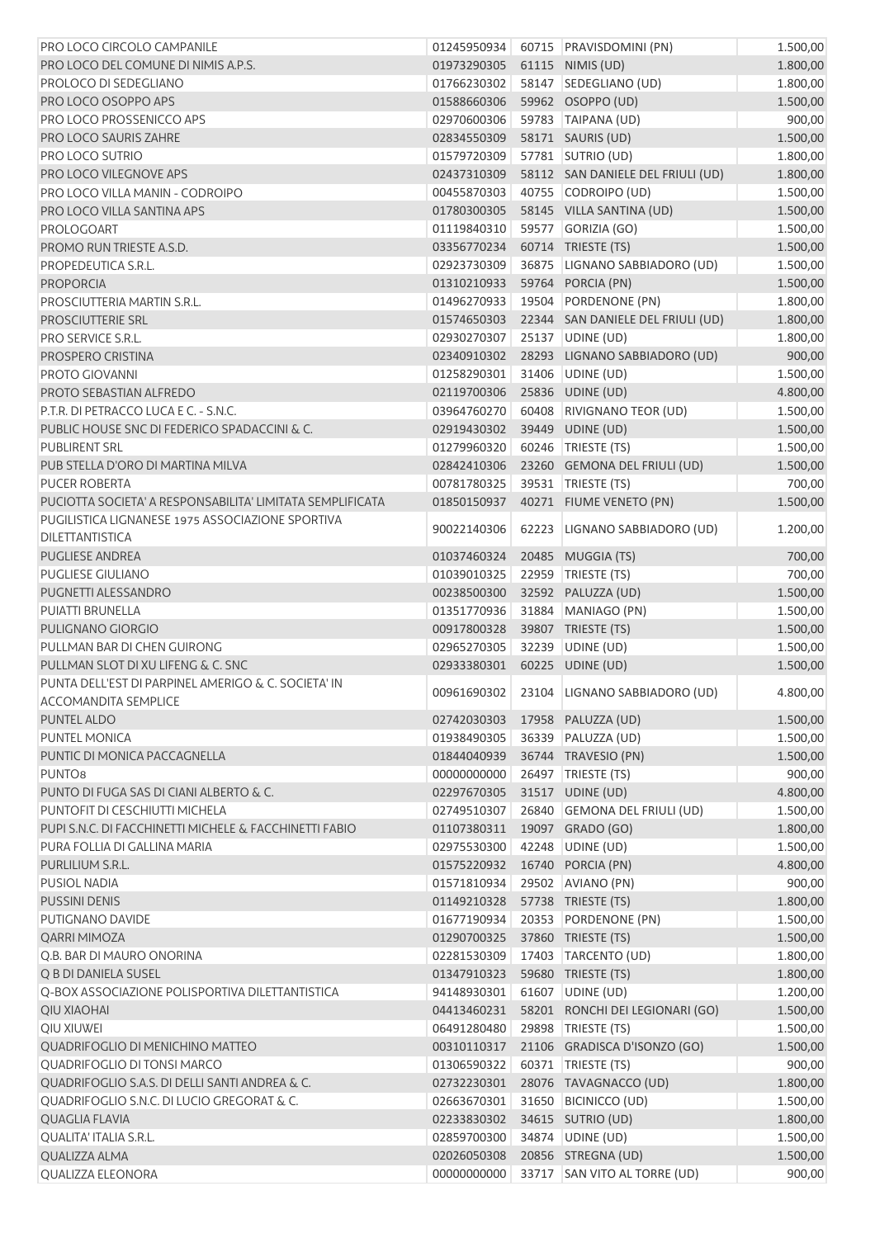| PRO LOCO CIRCOLO CAMPANILE                                                         | 01245950934 |       | 60715 PRAVISDOMINI (PN)           | 1.500,00 |
|------------------------------------------------------------------------------------|-------------|-------|-----------------------------------|----------|
| PRO LOCO DEL COMUNE DI NIMIS A.P.S.                                                | 01973290305 |       | 61115 NIMIS (UD)                  | 1.800,00 |
| PROLOCO DI SEDEGLIANO                                                              | 01766230302 |       | 58147 SEDEGLIANO (UD)             | 1.800,00 |
| PRO LOCO OSOPPO APS                                                                | 01588660306 |       | 59962 OSOPPO (UD)                 | 1.500,00 |
| PRO LOCO PROSSENICCO APS                                                           | 02970600306 |       | 59783 TAIPANA (UD)                | 900,00   |
| PRO LOCO SAURIS ZAHRE                                                              | 02834550309 |       | 58171 SAURIS (UD)                 | 1.500,00 |
| PRO LOCO SUTRIO                                                                    | 01579720309 |       | 57781 SUTRIO (UD)                 | 1.800,00 |
| PRO LOCO VILEGNOVE APS                                                             | 02437310309 |       | 58112 SAN DANIELE DEL FRIULI (UD) | 1.800,00 |
| PRO LOCO VILLA MANIN - CODROIPO                                                    | 00455870303 |       | 40755 CODROIPO (UD)               | 1.500,00 |
| PRO LOCO VILLA SANTINA APS                                                         | 01780300305 |       | 58145 VILLA SANTINA (UD)          | 1.500,00 |
| PROLOGOART                                                                         | 01119840310 |       | 59577 GORIZIA (GO)                | 1.500,00 |
| PROMO RUN TRIESTE A.S.D.                                                           | 03356770234 |       | 60714 TRIESTE (TS)                | 1.500,00 |
| PROPEDEUTICA S.R.L.                                                                | 02923730309 |       | 36875   LIGNANO SABBIADORO (UD)   | 1.500,00 |
| <b>PROPORCIA</b>                                                                   | 01310210933 |       | 59764 PORCIA (PN)                 | 1.500,00 |
| PROSCIUTTERIA MARTIN S.R.L.                                                        | 01496270933 |       | 19504 PORDENONE (PN)              | 1.800,00 |
| PROSCIUTTERIE SRL                                                                  | 01574650303 |       | 22344 SAN DANIELE DEL FRIULI (UD) | 1.800,00 |
| PRO SERVICE S.R.L.                                                                 | 02930270307 |       | 25137 UDINE (UD)                  | 1.800,00 |
| PROSPERO CRISTINA                                                                  | 02340910302 |       | 28293 LIGNANO SABBIADORO (UD)     | 900,00   |
| PROTO GIOVANNI                                                                     | 01258290301 |       | 31406 UDINE (UD)                  | 1.500,00 |
| PROTO SEBASTIAN ALFREDO                                                            | 02119700306 |       | 25836 UDINE (UD)                  |          |
|                                                                                    |             |       |                                   | 4.800,00 |
| P.T.R. DI PETRACCO LUCA E C. - S.N.C.                                              | 03964760270 |       | 60408 RIVIGNANO TEOR (UD)         | 1.500,00 |
| PUBLIC HOUSE SNC DI FEDERICO SPADACCINI & C.                                       | 02919430302 |       | 39449 UDINE (UD)                  | 1.500,00 |
| <b>PUBLIRENT SRL</b>                                                               | 01279960320 |       | 60246   TRIESTE (TS)              | 1.500,00 |
| PUB STELLA D'ORO DI MARTINA MILVA                                                  | 02842410306 |       | 23260 GEMONA DEL FRIULI (UD)      | 1.500,00 |
| <b>PUCER ROBERTA</b>                                                               | 00781780325 |       | 39531 TRIESTE (TS)                | 700,00   |
| PUCIOTTA SOCIETA' A RESPONSABILITA' LIMITATA SEMPLIFICATA                          | 01850150937 |       | 40271 FIUME VENETO (PN)           | 1.500,00 |
| PUGILISTICA LIGNANESE 1975 ASSOCIAZIONE SPORTIVA                                   | 90022140306 |       | 62223 LIGNANO SABBIADORO (UD)     | 1.200,00 |
| <b>DILETTANTISTICA</b>                                                             |             |       |                                   |          |
| <b>PUGLIESE ANDREA</b>                                                             | 01037460324 |       | 20485 MUGGIA (TS)                 | 700,00   |
| <b>PUGLIESE GIULIANO</b>                                                           | 01039010325 |       | 22959 TRIESTE (TS)                | 700,00   |
| PUGNETTI ALESSANDRO                                                                | 00238500300 |       | 32592 PALUZZA (UD)                | 1.500,00 |
| <b>PUIATTI BRUNELLA</b>                                                            | 01351770936 |       | 31884 MANIAGO (PN)                | 1.500,00 |
| PULIGNANO GIORGIO                                                                  | 00917800328 |       | 39807 TRIESTE (TS)                | 1.500,00 |
| PULLMAN BAR DI CHEN GUIRONG                                                        | 02965270305 |       | 32239 UDINE (UD)                  | 1.500,00 |
| PULLMAN SLOT DI XU LIFENG & C. SNC                                                 | 02933380301 |       | 60225 UDINE (UD)                  | 1.500,00 |
| PUNTA DELL'EST DI PARPINEL AMERIGO & C. SOCIETA' IN<br><b>ACCOMANDITA SEMPLICE</b> | 00961690302 |       | 23104 LIGNANO SABBIADORO (UD)     | 4.800,00 |
| PUNTEL ALDO                                                                        | 02742030303 |       | 17958 PALUZZA (UD)                | 1.500,00 |
| PUNTEL MONICA                                                                      | 01938490305 |       | 36339 PALUZZA (UD)                | 1.500,00 |
| PUNTIC DI MONICA PACCAGNELLA                                                       | 01844040939 |       | 36744 TRAVESIO (PN)               | 1.500,00 |
| <b>PUNTO8</b>                                                                      | 00000000000 |       | 26497   TRIESTE (TS)              | 900,00   |
| PUNTO DI FUGA SAS DI CIANI ALBERTO & C.                                            | 02297670305 |       | 31517 UDINE (UD)                  | 4.800,00 |
| PUNTOFIT DI CESCHIUTTI MICHELA                                                     | 02749510307 |       | 26840 GEMONA DEL FRIULI (UD)      | 1.500,00 |
| PUPI S.N.C. DI FACCHINETTI MICHELE & FACCHINETTI FABIO                             | 01107380311 |       | 19097 GRADO (GO)                  | 1.800,00 |
| PURA FOLLIA DI GALLINA MARIA                                                       | 02975530300 | 42248 | UDINE (UD)                        | 1.500,00 |
| PURLILIUM S.R.L.                                                                   | 01575220932 |       | 16740 PORCIA (PN)                 | 4.800,00 |
| <b>PUSIOL NADIA</b>                                                                | 01571810934 |       | 29502 AVIANO (PN)                 | 900,00   |
| <b>PUSSINI DENIS</b>                                                               | 01149210328 |       | 57738 TRIESTE (TS)                | 1.800,00 |
| PUTIGNANO DAVIDE                                                                   | 01677190934 |       | 20353 PORDENONE (PN)              | 1.500,00 |
| <b>QARRI MIMOZA</b>                                                                | 01290700325 |       | 37860 TRIESTE (TS)                | 1.500,00 |
| Q.B. BAR DI MAURO ONORINA                                                          | 02281530309 |       | 17403 TARCENTO (UD)               | 1.800,00 |
| Q B DI DANIELA SUSEL                                                               | 01347910323 |       | 59680 TRIESTE (TS)                | 1.800,00 |
| Q-BOX ASSOCIAZIONE POLISPORTIVA DILETTANTISTICA                                    | 94148930301 |       | 61607 UDINE (UD)                  | 1.200,00 |
| <b>QIU XIAOHAI</b>                                                                 | 04413460231 |       | 58201 RONCHI DEI LEGIONARI (GO)   | 1.500,00 |
| QIU XIUWEI                                                                         | 06491280480 |       | 29898 TRIESTE (TS)                | 1.500,00 |
| QUADRIFOGLIO DI MENICHINO MATTEO                                                   | 00310110317 |       | 21106 GRADISCA D'ISONZO (GO)      | 1.500,00 |
| QUADRIFOGLIO DI TONSI MARCO                                                        | 01306590322 |       | 60371   TRIESTE (TS)              | 900,00   |
| QUADRIFOGLIO S.A.S. DI DELLI SANTI ANDREA & C.                                     | 02732230301 |       | 28076 TAVAGNACCO (UD)             | 1.800,00 |
| QUADRIFOGLIO S.N.C. DI LUCIO GREGORAT & C.                                         | 02663670301 |       | 31650 BICINICCO (UD)              | 1.500,00 |
| <b>QUAGLIA FLAVIA</b>                                                              | 02233830302 |       | 34615 SUTRIO (UD)                 | 1.800,00 |
| QUALITA' ITALIA S.R.L.                                                             | 02859700300 |       | 34874   UDINE (UD)                | 1.500,00 |
| <b>QUALIZZA ALMA</b>                                                               | 02026050308 |       | 20856 STREGNA (UD)                | 1.500,00 |
| QUALIZZA ELEONORA                                                                  | 00000000000 |       | 33717 SAN VITO AL TORRE (UD)      | 900,00   |
|                                                                                    |             |       |                                   |          |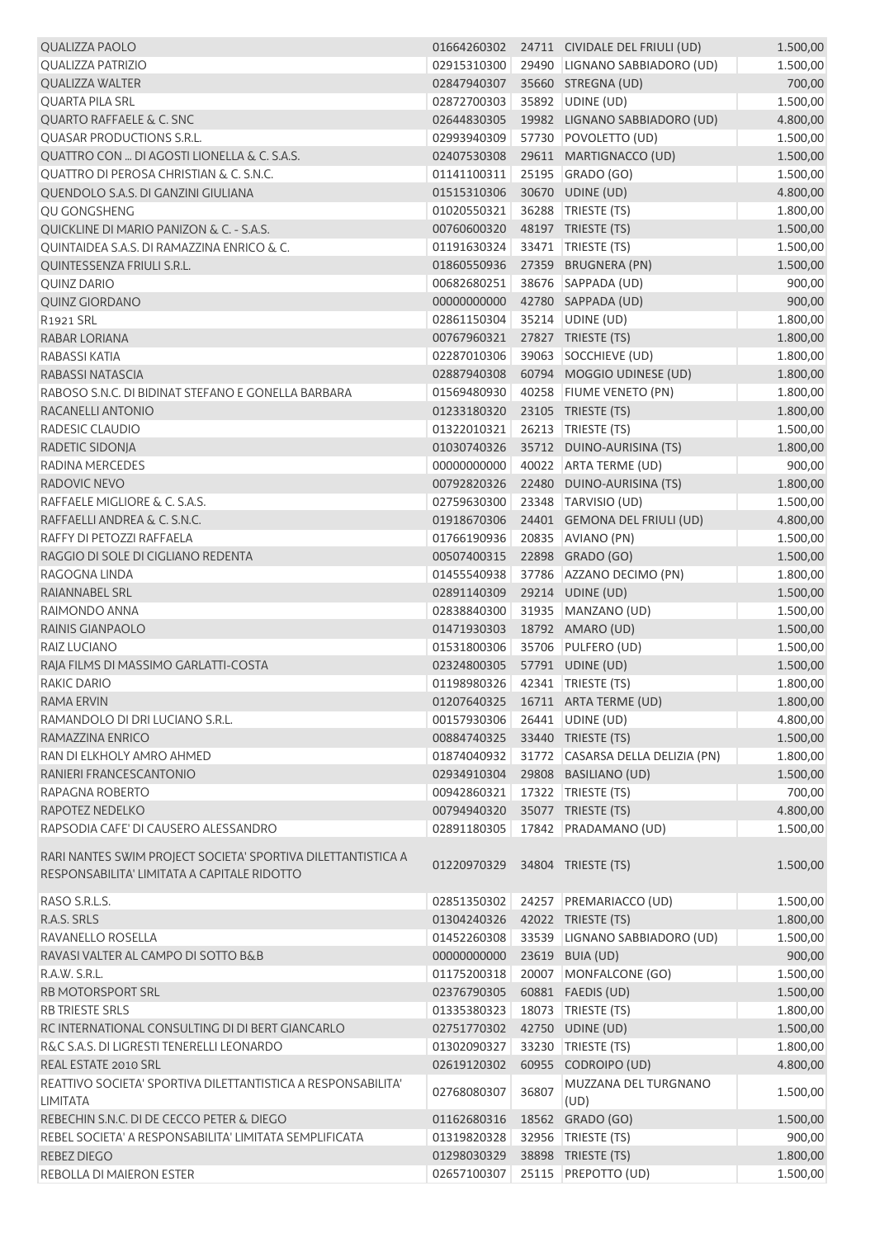| <b>QUALIZZA PAOLO</b>                                                                                       |                                |       | 01664260302 24711 CIVIDALE DEL FRIULI (UD) | 1.500,00 |
|-------------------------------------------------------------------------------------------------------------|--------------------------------|-------|--------------------------------------------|----------|
| <b>QUALIZZA PATRIZIO</b>                                                                                    | 02915310300                    |       | 29490 LIGNANO SABBIADORO (UD)              | 1.500,00 |
| <b>QUALIZZA WALTER</b>                                                                                      | 02847940307                    |       | 35660 STREGNA (UD)                         | 700,00   |
| <b>QUARTA PILA SRL</b>                                                                                      | 02872700303                    |       | 35892 UDINE (UD)                           | 1.500,00 |
| <b>QUARTO RAFFAELE &amp; C. SNC</b>                                                                         | 02644830305                    |       | 19982 LIGNANO SABBIADORO (UD)              | 4.800,00 |
| QUASAR PRODUCTIONS S.R.L.                                                                                   | 02993940309                    |       | 57730 POVOLETTO (UD)                       | 1.500,00 |
| QUATTRO CON  DI AGOSTI LIONELLA & C. S.A.S.                                                                 | 02407530308                    |       | 29611 MARTIGNACCO (UD)                     | 1.500,00 |
| QUATTRO DI PEROSA CHRISTIAN & C. S.N.C.                                                                     | 01141100311                    |       | 25195 GRADO (GO)                           | 1.500,00 |
|                                                                                                             |                                |       |                                            |          |
| QUENDOLO S.A.S. DI GANZINI GIULIANA                                                                         | 01515310306                    |       | 30670 UDINE (UD)                           | 4.800,00 |
| QU GONGSHENG                                                                                                | 01020550321                    |       | 36288 TRIESTE (TS)                         | 1.800,00 |
| QUICKLINE DI MARIO PANIZON & C. - S.A.S.                                                                    | 00760600320                    |       | 48197 TRIESTE (TS)                         | 1.500,00 |
| <b>OUINTAIDEA S.A.S. DI RAMAZZINA ENRICO &amp; C.</b>                                                       | 01191630324                    |       | 33471   TRIESTE (TS)                       | 1.500,00 |
| QUINTESSENZA FRIULI S.R.L.                                                                                  | 01860550936                    |       | 27359 BRUGNERA (PN)                        | 1.500,00 |
| <b>QUINZ DARIO</b>                                                                                          | 00682680251                    |       | 38676 SAPPADA (UD)                         | 900,00   |
| <b>QUINZ GIORDANO</b>                                                                                       | 00000000000                    |       | 42780 SAPPADA (UD)                         | 900,00   |
| R1921 SRL                                                                                                   | 02861150304                    |       | 35214 UDINE (UD)                           | 1.800,00 |
| RABAR LORIANA                                                                                               | 00767960321                    |       | 27827 TRIESTE (TS)                         | 1.800,00 |
| RABASSI KATIA                                                                                               | 02287010306                    |       | 39063 SOCCHIEVE (UD)                       | 1.800,00 |
| RABASSI NATASCIA                                                                                            | 02887940308                    |       | 60794 MOGGIO UDINESE (UD)                  | 1.800,00 |
| RABOSO S.N.C. DI BIDINAT STEFANO E GONELLA BARBARA                                                          | 01569480930                    |       | 40258 FIUME VENETO (PN)                    | 1.800,00 |
| RACANELLI ANTONIO                                                                                           | 01233180320                    |       | 23105 TRIESTE (TS)                         | 1.800,00 |
| RADESIC CLAUDIO                                                                                             | 01322010321                    |       | 26213 TRIESTE (TS)                         | 1.500,00 |
| RADETIC SIDONJA                                                                                             | 01030740326                    |       | 35712 DUINO-AURISINA (TS)                  | 1.800,00 |
| RADINA MERCEDES                                                                                             | 00000000000                    |       | 40022 ARTA TERME (UD)                      | 900,00   |
|                                                                                                             |                                |       |                                            |          |
| RADOVIC NEVO                                                                                                | 00792820326                    |       | 22480 DUINO-AURISINA (TS)                  | 1.800,00 |
| RAFFAELE MIGLIORE & C. S.A.S.                                                                               | 02759630300                    |       | 23348 TARVISIO (UD)                        | 1.500,00 |
| RAFFAELLI ANDREA & C. S.N.C.                                                                                | 01918670306                    |       | 24401 GEMONA DEL FRIULI (UD)               | 4.800,00 |
| RAFFY DI PETOZZI RAFFAELA                                                                                   | 01766190936                    |       | 20835 AVIANO (PN)                          | 1.500,00 |
| RAGGIO DI SOLE DI CIGLIANO REDENTA                                                                          | 00507400315                    |       | 22898 GRADO (GO)                           | 1.500,00 |
| RAGOGNA LINDA                                                                                               | 01455540938                    |       | 37786 AZZANO DECIMO (PN)                   | 1.800,00 |
| RAIANNABEL SRL                                                                                              | 02891140309                    |       | 29214 UDINE (UD)                           | 1.500,00 |
| RAIMONDO ANNA                                                                                               | 02838840300                    |       | 31935 MANZANO (UD)                         | 1.500,00 |
| <b>RAINIS GIANPAOLO</b>                                                                                     | 01471930303                    |       | 18792 AMARO (UD)                           | 1.500,00 |
| RAIZ LUCIANO                                                                                                | 01531800306                    |       | 35706 PULFERO (UD)                         | 1.500,00 |
| RAJA FILMS DI MASSIMO GARLATTI-COSTA                                                                        | 02324800305                    |       | 57791 UDINE (UD)                           | 1.500,00 |
| RAKIC DARIO                                                                                                 | 01198980326 42341 TRIESTE (TS) |       |                                            | 1.800,00 |
| RAMA ERVIN                                                                                                  |                                |       | 01207640325  16711  ARTA TERME (UD)        | 1.800,00 |
| RAMANDOLO DI DRI LUCIANO S.R.L.                                                                             | 00157930306                    |       | 26441 UDINE (UD)                           | 4.800,00 |
| RAMAZZINA ENRICO                                                                                            | 00884740325                    |       | 33440 TRIESTE (TS)                         | 1.500,00 |
| RAN DI ELKHOLY AMRO AHMED                                                                                   | 01874040932                    |       | 31772 CASARSA DELLA DELIZIA (PN)           | 1.800,00 |
| RANIERI FRANCESCANTONIO                                                                                     | 02934910304                    |       | 29808 BASILIANO (UD)                       | 1.500,00 |
| RAPAGNA ROBERTO                                                                                             | 00942860321                    |       | 17322 TRIESTE (TS)                         | 700,00   |
|                                                                                                             |                                |       |                                            |          |
| RAPOTEZ NEDELKO                                                                                             | 00794940320                    |       | 35077 TRIESTE (TS)                         | 4.800,00 |
| RAPSODIA CAFE' DI CAUSERO ALESSANDRO                                                                        | 02891180305                    |       | 17842 PRADAMANO (UD)                       | 1.500,00 |
| RARI NANTES SWIM PROJECT SOCIETA' SPORTIVA DILETTANTISTICA A<br>RESPONSABILITA' LIMITATA A CAPITALE RIDOTTO | 01220970329                    |       | 34804 TRIESTE (TS)                         | 1.500,00 |
| RASO S.R.L.S.                                                                                               | 02851350302                    |       | 24257 PREMARIACCO (UD)                     | 1.500,00 |
| R.A.S. SRLS                                                                                                 | 01304240326                    |       | 42022 TRIESTE (TS)                         | 1.800,00 |
| RAVANELLO ROSELLA                                                                                           | 01452260308                    |       | 33539 LIGNANO SABBIADORO (UD)              | 1.500,00 |
| RAVASI VALTER AL CAMPO DI SOTTO B&B                                                                         | 00000000000                    |       | 23619 BUIA (UD)                            | 900,00   |
| R.A.W. S.R.L.                                                                                               | 01175200318                    |       | 20007 MONFALCONE (GO)                      | 1.500,00 |
| <b>RB MOTORSPORT SRL</b>                                                                                    | 02376790305                    |       | 60881 FAEDIS (UD)                          | 1.500,00 |
| <b>RB TRIESTE SRLS</b>                                                                                      | 01335380323                    |       | 18073   TRIESTE (TS)                       | 1.800,00 |
| RC INTERNATIONAL CONSULTING DI DI BERT GIANCARLO                                                            |                                |       |                                            |          |
|                                                                                                             | 02751770302                    |       | 42750 UDINE (UD)                           | 1.500,00 |
| R&C S.A.S. DI LIGRESTI TENERELLI LEONARDO                                                                   | 01302090327                    |       | 33230 TRIESTE (TS)                         | 1.800,00 |
| REAL ESTATE 2010 SRL                                                                                        | 02619120302                    |       | 60955 CODROIPO (UD)                        | 4.800,00 |
| REATTIVO SOCIETA' SPORTIVA DILETTANTISTICA A RESPONSABILITA'<br><b>LIMITATA</b>                             | 02768080307                    | 36807 | MUZZANA DEL TURGNANO<br>(UD)               | 1.500,00 |
| REBECHIN S.N.C. DI DE CECCO PETER & DIEGO                                                                   | 01162680316                    |       | 18562 GRADO (GO)                           | 1.500,00 |
| REBEL SOCIETA' A RESPONSABILITA' LIMITATA SEMPLIFICATA                                                      | 01319820328                    |       | 32956   TRIESTE (TS)                       | 900,00   |
| REBEZ DIEGO                                                                                                 | 01298030329                    |       | 38898 TRIESTE (TS)                         | 1.800,00 |
| REBOLLA DI MAIERON ESTER                                                                                    | 02657100307                    |       | 25115 PREPOTTO (UD)                        | 1.500,00 |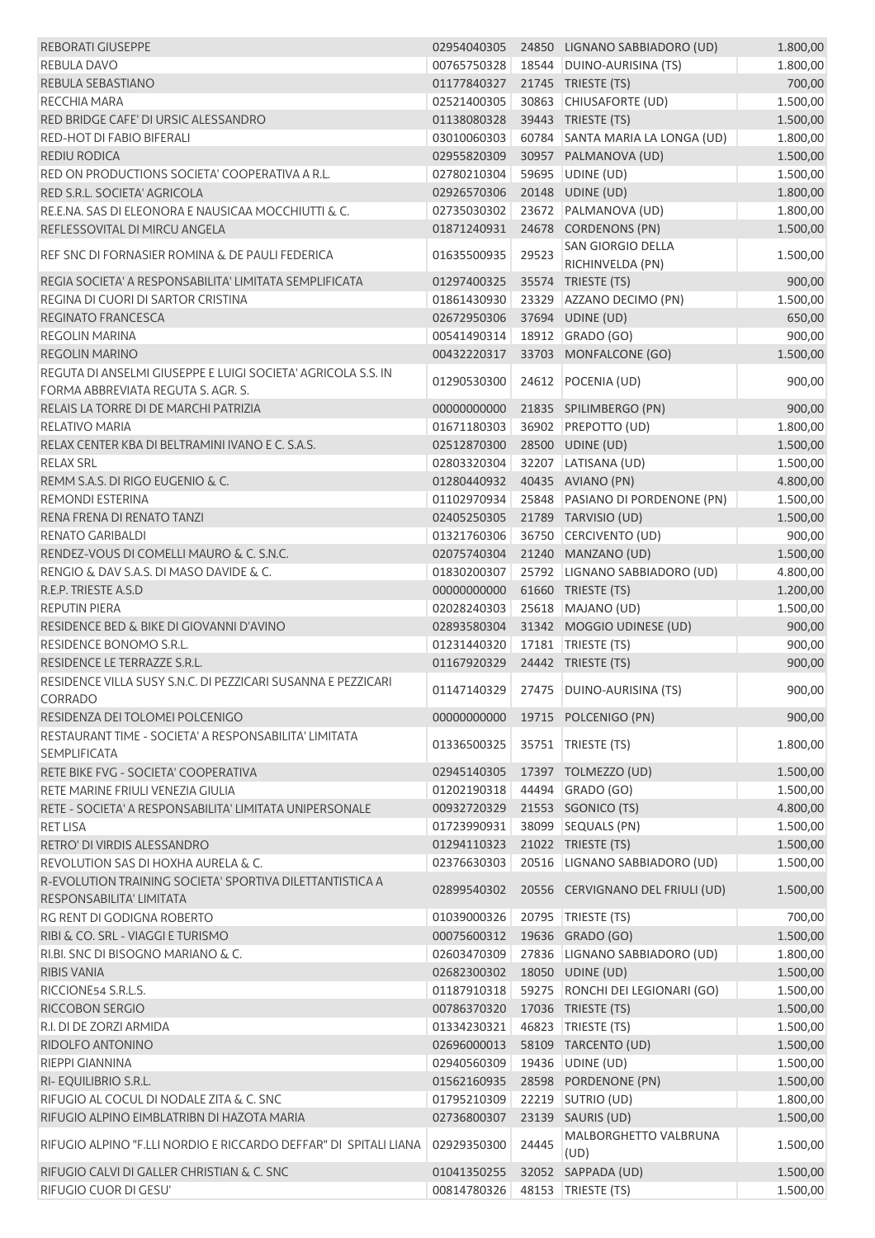| <b>REBORATI GIUSEPPE</b>                                          | 02954040305                |       | 24850 LIGNANO SABBIADORO (UD)           | 1.800,00             |
|-------------------------------------------------------------------|----------------------------|-------|-----------------------------------------|----------------------|
| <b>REBULA DAVO</b>                                                | 00765750328                |       | 18544 DUINO-AURISINA (TS)               | 1.800,00             |
| REBULA SEBASTIANO                                                 | 01177840327                |       | 21745 TRIESTE (TS)                      | 700,00               |
| <b>RECCHIA MARA</b>                                               | 02521400305                |       | 30863 CHIUSAFORTE (UD)                  | 1.500,00             |
| RED BRIDGE CAFE' DI URSIC ALESSANDRO                              | 01138080328                |       | 39443 TRIESTE (TS)                      | 1.500,00             |
| <b>RED-HOT DI FABIO BIFERALI</b>                                  | 03010060303                |       | 60784 SANTA MARIA LA LONGA (UD)         | 1.800,00             |
| <b>REDIU RODICA</b>                                               | 02955820309                |       | 30957 PALMANOVA (UD)                    | 1.500,00             |
| RED ON PRODUCTIONS SOCIETA' COOPERATIVA A R.L.                    | 02780210304                |       | 59695 UDINE (UD)                        | 1.500,00             |
| RED S.R.L. SOCIETA' AGRICOLA                                      | 02926570306                |       | 20148 UDINE (UD)                        | 1.800,00             |
| RE.E.NA. SAS DI ELEONORA E NAUSICAA MOCCHIUTTI & C.               | 02735030302                |       | 23672 PALMANOVA (UD)                    | 1.800,00             |
| REFLESSOVITAL DI MIRCU ANGELA                                     | 01871240931                |       | 24678 CORDENONS (PN)                    | 1.500,00             |
| REF SNC DI FORNASIER ROMINA & DE PAULI FEDERICA                   |                            |       | <b>SAN GIORGIO DELLA</b>                | 1.500,00             |
|                                                                   | 01635500935                | 29523 | RICHINVELDA (PN)                        |                      |
| REGIA SOCIETA' A RESPONSABILITA' LIMITATA SEMPLIFICATA            | 01297400325                |       | 35574 TRIESTE (TS)                      | 900,00               |
| REGINA DI CUORI DI SARTOR CRISTINA                                | 01861430930                |       | 23329 AZZANO DECIMO (PN)                | 1.500,00             |
| REGINATO FRANCESCA                                                | 02672950306                |       | 37694 UDINE (UD)                        | 650,00               |
| <b>REGOLIN MARINA</b>                                             | 00541490314                |       | 18912 GRADO (GO)                        | 900,00               |
| <b>REGOLIN MARINO</b>                                             | 00432220317                |       | 33703 MONFALCONE (GO)                   | 1.500,00             |
| REGUTA DI ANSELMI GIUSEPPE E LUIGI SOCIETA' AGRICOLA S.S. IN      | 01290530300                |       | 24612 POCENIA (UD)                      |                      |
| FORMA ABBREVIATA REGUTA S. AGR. S.                                |                            |       |                                         | 900,00               |
| RELAIS LA TORRE DI DE MARCHI PATRIZIA                             | 00000000000                |       | 21835 SPILIMBERGO (PN)                  | 900,00               |
| RELATIVO MARIA                                                    | 01671180303                |       | 36902 PREPOTTO (UD)                     | 1.800,00             |
| RELAX CENTER KBA DI BELTRAMINI IVANO E C. S.A.S.                  | 02512870300                |       | 28500 UDINE (UD)                        | 1.500,00             |
| <b>RELAX SRL</b>                                                  | 02803320304                |       | 32207 LATISANA (UD)                     | 1.500,00             |
| REMM S.A.S. DI RIGO EUGENIO & C.                                  | 01280440932                |       | 40435 AVIANO (PN)                       | 4.800,00             |
| <b>REMONDI ESTERINA</b>                                           | 01102970934                |       | 25848 PASIANO DI PORDENONE (PN)         | 1.500,00             |
| RENA FRENA DI RENATO TANZI                                        | 02405250305                |       | 21789 TARVISIO (UD)                     | 1.500,00             |
| <b>RENATO GARIBALDI</b>                                           | 01321760306                |       | 36750 CERCIVENTO (UD)                   | 900,00               |
| RENDEZ-VOUS DI COMELLI MAURO & C. S.N.C.                          | 02075740304                |       | 21240 MANZANO (UD)                      | 1.500,00             |
| RENGIO & DAV S.A.S. DI MASO DAVIDE & C.                           | 01830200307                |       | 25792 LIGNANO SABBIADORO (UD)           | 4.800,00             |
| R.E.P. TRIESTE A.S.D                                              | 00000000000                |       | 61660 TRIESTE (TS)                      | 1.200,00             |
| <b>REPUTIN PIERA</b>                                              | 02028240303                |       | 25618 MAJANO (UD)                       | 1.500,00             |
| RESIDENCE BED & BIKE DI GIOVANNI D'AVINO                          | 02893580304                |       | 31342 MOGGIO UDINESE (UD)               | 900,00               |
| <b>RESIDENCE BONOMO S.R.L.</b>                                    | 01231440320                |       | 17181   TRIESTE (TS)                    | 900,00               |
| RESIDENCE LE TERRAZZE S.R.L.                                      | 01167920329                |       | 24442 TRIESTE (TS)                      | 900,00               |
| RESIDENCE VILLA SUSY S.N.C. DI PEZZICARI SUSANNA E PEZZICARI      | 01147140329                |       | 27475 DUINO-AURISINA (TS)               | 900,00               |
| CORRADO                                                           |                            |       |                                         |                      |
| RESIDENZA DEI TOLOMEI POLCENIGO                                   | 00000000000                |       | 19715 POLCENIGO (PN)                    | 900,00               |
| RESTAURANT TIME - SOCIETA' A RESPONSABILITA' LIMITATA             | 01336500325                |       | 35751 TRIESTE (TS)                      | 1.800,00             |
| <b>SEMPLIFICATA</b>                                               |                            |       |                                         |                      |
| RETE BIKE FVG - SOCIETA' COOPERATIVA                              | 02945140305                |       | 17397 TOLMEZZO (UD)                     | 1.500,00             |
| RETE MARINE FRIULI VENEZIA GIULIA                                 | 01202190318                |       | 44494 GRADO (GO)                        | 1.500,00             |
| RETE - SOCIETA' A RESPONSABILITA' LIMITATA UNIPERSONALE           | 00932720329                |       | 21553 SGONICO (TS)                      | 4.800,00             |
| <b>RET LISA</b>                                                   | 01723990931                |       | 38099 SEQUALS (PN)                      | 1.500,00             |
| RETRO' DI VIRDIS ALESSANDRO                                       | 01294110323                |       | 21022 TRIESTE (TS)                      | 1.500,00             |
| REVOLUTION SAS DI HOXHA AURELA & C.                               | 02376630303                |       | 20516 LIGNANO SABBIADORO (UD)           | 1.500,00             |
| R-EVOLUTION TRAINING SOCIETA' SPORTIVA DILETTANTISTICA A          | 02899540302                |       | 20556 CERVIGNANO DEL FRIULI (UD)        | 1.500,00             |
| RESPONSABILITA' LIMITATA                                          |                            |       |                                         |                      |
| RG RENT DI GODIGNA ROBERTO                                        | 01039000326                |       | 20795   TRIESTE (TS)                    | 700,00               |
| RIBI & CO. SRL - VIAGGI E TURISMO                                 | 00075600312                |       | 19636 GRADO (GO)                        | 1.500,00             |
| RI.BI. SNC DI BISOGNO MARIANO & C.                                | 02603470309                |       | 27836 LIGNANO SABBIADORO (UD)           | 1.800,00             |
| <b>RIBIS VANIA</b>                                                | 02682300302                |       | 18050 UDINE (UD)                        | 1.500,00             |
| RICCIONE54 S.R.L.S.                                               | 01187910318                |       | 59275 RONCHI DEI LEGIONARI (GO)         | 1.500,00             |
| RICCOBON SERGIO                                                   | 00786370320                |       | 17036 TRIESTE (TS)                      | 1.500,00             |
| R.I. DI DE ZORZI ARMIDA                                           | 01334230321                |       | 46823 TRIESTE (TS)                      | 1.500,00             |
| RIDOLFO ANTONINO<br>RIEPPI GIANNINA                               | 02696000013<br>02940560309 |       | 58109 TARCENTO (UD)<br>19436 UDINE (UD) | 1.500,00<br>1.500,00 |
|                                                                   | 01562160935                |       | 28598 PORDENONE (PN)                    | 1.500,00             |
| RI- EQUILIBRIO S.R.L.<br>RIFUGIO AL COCUL DI NODALE ZITA & C. SNC | 01795210309                |       | 22219   SUTRIO (UD)                     | 1.800,00             |
| RIFUGIO ALPINO EIMBLATRIBN DI HAZOTA MARIA                        | 02736800307                |       | 23139 SAURIS (UD)                       | 1.500,00             |
|                                                                   |                            |       | MALBORGHETTO VALBRUNA                   |                      |
| RIFUGIO ALPINO "F.LLI NORDIO E RICCARDO DEFFAR" DI SPITALI LIANA  | 02929350300                | 24445 | (UD)                                    | 1.500,00             |
| RIFUGIO CALVI DI GALLER CHRISTIAN & C. SNC                        | 01041350255                |       | 32052 SAPPADA (UD)                      | 1.500,00             |
| RIFUGIO CUOR DI GESU'                                             | 00814780326                |       | 48153 TRIESTE (TS)                      | 1.500,00             |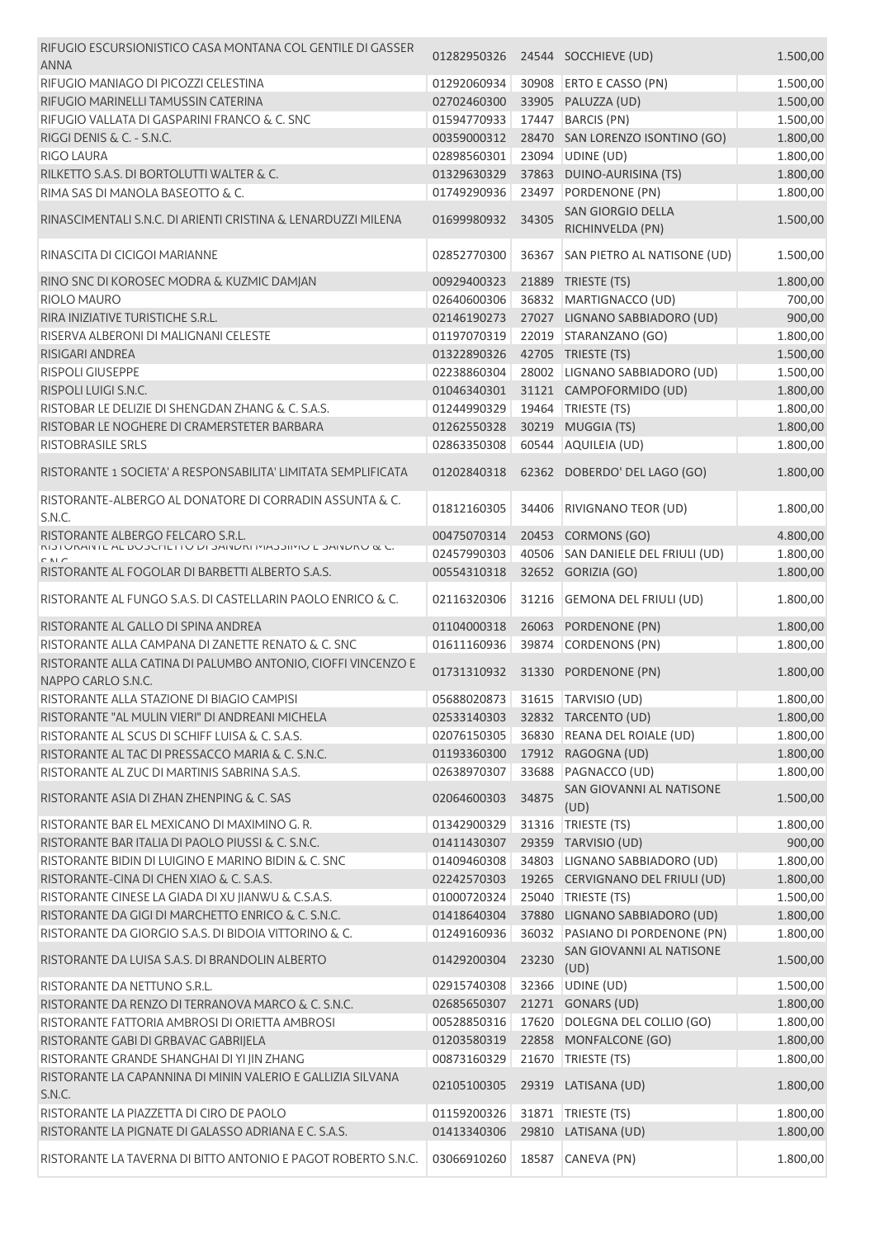| RIFUGIO ESCURSIONISTICO CASA MONTANA COL GENTILE DI GASSER<br>01282950326<br>24544 SOCCHIEVE (UD)<br><b>ANNA</b>                                | 1.500,00                                                                            |
|-------------------------------------------------------------------------------------------------------------------------------------------------|-------------------------------------------------------------------------------------|
| RIFUGIO MANIAGO DI PICOZZI CELESTINA<br>30908 ERTO E CASSO (PN)<br>01292060934                                                                  | 1.500,00                                                                            |
| RIFUGIO MARINELLI TAMUSSIN CATERINA<br>PALUZZA (UD)<br>02702460300<br>33905                                                                     | 1.500,00                                                                            |
| RIFUGIO VALLATA DI GASPARINI FRANCO & C. SNC<br>17447<br><b>BARCIS (PN)</b><br>01594770933                                                      | 1.500,00                                                                            |
| RIGGI DENIS & C. - S.N.C.<br>00359000312                                                                                                        | 28470 SAN LORENZO ISONTINO (GO)<br>1.800,00                                         |
| <b>RIGO LAURA</b><br>02898560301<br>23094 UDINE (UD)                                                                                            | 1.800,00                                                                            |
| RILKETTO S.A.S. DI BORTOLUTTI WALTER & C.<br>37863 DUINO-AURISINA (TS)<br>01329630329                                                           | 1.800,00                                                                            |
| RIMA SAS DI MANOLA BASEOTTO & C.<br>01749290936<br>23497<br>PORDENONE (PN)                                                                      | 1.800,00                                                                            |
|                                                                                                                                                 | <b>SAN GIORGIO DELLA</b>                                                            |
| RINASCIMENTALI S.N.C. DI ARIENTI CRISTINA & LENARDUZZI MILENA<br>34305<br>01699980932<br>RICHINVELDA (PN)                                       | 1.500,00                                                                            |
| RINASCITA DI CICIGOI MARIANNE<br>02852770300<br>36367                                                                                           | SAN PIETRO AL NATISONE (UD)<br>1.500,00                                             |
| RINO SNC DI KOROSEC MODRA & KUZMIC DAMJAN<br>00929400323<br>21889<br>TRIESTE (TS)                                                               | 1.800,00                                                                            |
| <b>RIOLO MAURO</b><br>02640600306<br>36832                                                                                                      | MARTIGNACCO (UD)<br>700,00                                                          |
| RIRA INIZIATIVE TURISTICHE S.R.L.<br>02146190273                                                                                                | 27027 LIGNANO SABBIADORO (UD)<br>900,00                                             |
| STARANZANO (GO)<br>RISERVA ALBERONI DI MALIGNANI CELESTE<br>01197070319<br>22019                                                                | 1.800,00                                                                            |
| 42705 TRIESTE (TS)<br>RISIGARI ANDREA<br>01322890326                                                                                            | 1.500,00                                                                            |
| <b>RISPOLI GIUSEPPE</b><br>02238860304                                                                                                          | 28002 LIGNANO SABBIADORO (UD)<br>1.500,00                                           |
| 31121 CAMPOFORMIDO (UD)<br>RISPOLI LUIGI S.N.C.<br>01046340301                                                                                  | 1.800,00                                                                            |
| 19464   TRIESTE (TS)<br>RISTOBAR LE DELIZIE DI SHENGDAN ZHANG & C. S.A.S.<br>01244990329                                                        | 1.800,00                                                                            |
| RISTOBAR LE NOGHERE DI CRAMERSTETER BARBARA<br>01262550328<br>30219<br>MUGGIA (TS)                                                              | 1.800,00                                                                            |
| 60544 AQUILEIA (UD)<br><b>RISTOBRASILE SRLS</b><br>02863350308                                                                                  | 1.800,00                                                                            |
|                                                                                                                                                 |                                                                                     |
| RISTORANTE 1 SOCIETA' A RESPONSABILITA' LIMITATA SEMPLIFICATA<br>62362 DOBERDO' DEL LAGO (GO)<br>01202840318                                    | 1.800,00                                                                            |
| RISTORANTE-ALBERGO AL DONATORE DI CORRADIN ASSUNTA & C.<br>01812160305<br>34406<br>S.N.C.                                                       | RIVIGNANO TEOR (UD)<br>1.800,00                                                     |
| RISTORANTE ALBERGO FELCARO S.R.L.<br><b>CORMONS (GO)</b><br>00475070314<br>20453                                                                | 4.800,00                                                                            |
| 02457990303<br>40506                                                                                                                            | SAN DANIELE DEL FRIULI (UD)<br>1.800,00                                             |
| RISTORANTE AL FOGOLAR DI BARBETTI ALBERTO S.A.S.<br>00554310318<br>32652 GORIZIA (GO)                                                           | 1.800,00                                                                            |
| RISTORANTE AL FUNGO S.A.S. DI CASTELLARIN PAOLO ENRICO & C.<br>02116320306<br>31216                                                             | 1.800,00<br><b>GEMONA DEL FRIULI (UD)</b>                                           |
| RISTORANTE AL GALLO DI SPINA ANDREA<br>01104000318<br>26063<br>PORDENONE (PN)                                                                   | 1.800,00                                                                            |
| RISTORANTE ALLA CAMPANA DI ZANETTE RENATO & C. SNC<br><b>CORDENONS (PN)</b><br>01611160936<br>39874                                             | 1.800,00                                                                            |
| RISTORANTE ALLA CATINA DI PALUMBO ANTONIO, CIOFFI VINCENZO E<br>01731310932<br>31330<br>PORDENONE (PN)<br>NAPPO CARLO S.N.C.                    | 1.800,00                                                                            |
| 05688020873 31615 TARVISIO (UD)<br>RISTORANTE ALLA STAZIONE DI BIAGIO CAMPISI                                                                   | 1.800,00                                                                            |
| RISTORANTE "AL MULIN VIERI" DI ANDREANI MICHELA<br>32832 TARCENTO (UD)<br>02533140303                                                           | 1.800,00                                                                            |
| 36830 REANA DEL ROIALE (UD)<br>RISTORANTE AL SCUS DI SCHIFF LUISA & C. S.A.S.<br>02076150305                                                    | 1.800,00                                                                            |
| RISTORANTE AL TAC DI PRESSACCO MARIA & C. S.N.C.<br>17912 RAGOGNA (UD)<br>01193360300                                                           | 1.800,00                                                                            |
| RISTORANTE AL ZUC DI MARTINIS SABRINA S.A.S.<br>33688<br>PAGNACCO (UD)<br>02638970307                                                           | 1.800,00                                                                            |
| 34875<br>RISTORANTE ASIA DI ZHAN ZHENPING & C. SAS<br>02064600303<br>(UD)                                                                       | SAN GIOVANNI AL NATISONE<br>1.500,00                                                |
| RISTORANTE BAR EL MEXICANO DI MAXIMINO G.R.<br>01342900329<br>31316   TRIESTE (TS)                                                              | 1.800,00                                                                            |
| RISTORANTE BAR ITALIA DI PAOLO PIUSSI & C. S.N.C.<br>01411430307<br>29359 TARVISIO (UD)                                                         | 900,00                                                                              |
| RISTORANTE BIDIN DI LUIGINO E MARINO BIDIN & C. SNC<br>01409460308                                                                              | 1.800,00<br>34803   LIGNANO SABBIADORO (UD)                                         |
| RISTORANTE-CINA DI CHEN XIAO & C. S.A.S.<br>02242570303                                                                                         | 19265 CERVIGNANO DEL FRIULI (UD)<br>1.800,00                                        |
| RISTORANTE CINESE LA GIADA DI XU JIANWU & C.S.A.S.<br>25040 TRIESTE (TS)<br>01000720324                                                         |                                                                                     |
|                                                                                                                                                 | 1.500,00                                                                            |
| RISTORANTE DA GIGI DI MARCHETTO ENRICO & C. S.N.C.<br>01418640304                                                                               | 37880 LIGNANO SABBIADORO (UD)<br>1.800,00                                           |
| RISTORANTE DA GIORGIO S.A.S. DI BIDOIA VITTORINO & C.<br>01249160936<br>RISTORANTE DA LUISA S.A.S. DI BRANDOLIN ALBERTO<br>23230<br>01429200304 | 36032 PASIANO DI PORDENONE (PN)<br>1.800,00<br>SAN GIOVANNI AL NATISONE<br>1.500,00 |
| (UD)                                                                                                                                            |                                                                                     |
| RISTORANTE DA NETTUNO S.R.L.<br>02915740308<br>32366 UDINE (UD)                                                                                 | 1.500,00                                                                            |
| RISTORANTE DA RENZO DI TERRANOVA MARCO & C. S.N.C.<br>21271 GONARS (UD)<br>02685650307                                                          | 1.800,00                                                                            |
| RISTORANTE FATTORIA AMBROSI DI ORIETTA AMBROSI<br>17620 DOLEGNA DEL COLLIO (GO)<br>00528850316                                                  | 1.800,00                                                                            |
| RISTORANTE GABI DI GRBAVAC GABRIJELA<br>22858 MONFALCONE (GO)<br>01203580319                                                                    | 1.800,00                                                                            |
| RISTORANTE GRANDE SHANGHAI DI YI JIN ZHANG<br>TRIESTE (TS)<br>00873160329<br>21670                                                              | 1.800,00                                                                            |
| RISTORANTE LA CAPANNINA DI MININ VALERIO E GALLIZIA SILVANA<br>02105100305<br>29319 LATISANA (UD)<br>S.N.C.                                     | 1.800,00                                                                            |
| RISTORANTE LA PIAZZETTA DI CIRO DE PAOLO<br>TRIESTE (TS)<br>01159200326<br>31871                                                                | 1.800,00                                                                            |
| 29810 LATISANA (UD)<br>01413340306<br>RISTORANTE LA PIGNATE DI GALASSO ADRIANA E C. S.A.S.                                                      | 1.800,00                                                                            |
| RISTORANTE LA TAVERNA DI BITTO ANTONIO E PAGOT ROBERTO S.N.C.<br>03066910260<br>18587<br>CANEVA (PN)                                            | 1.800,00                                                                            |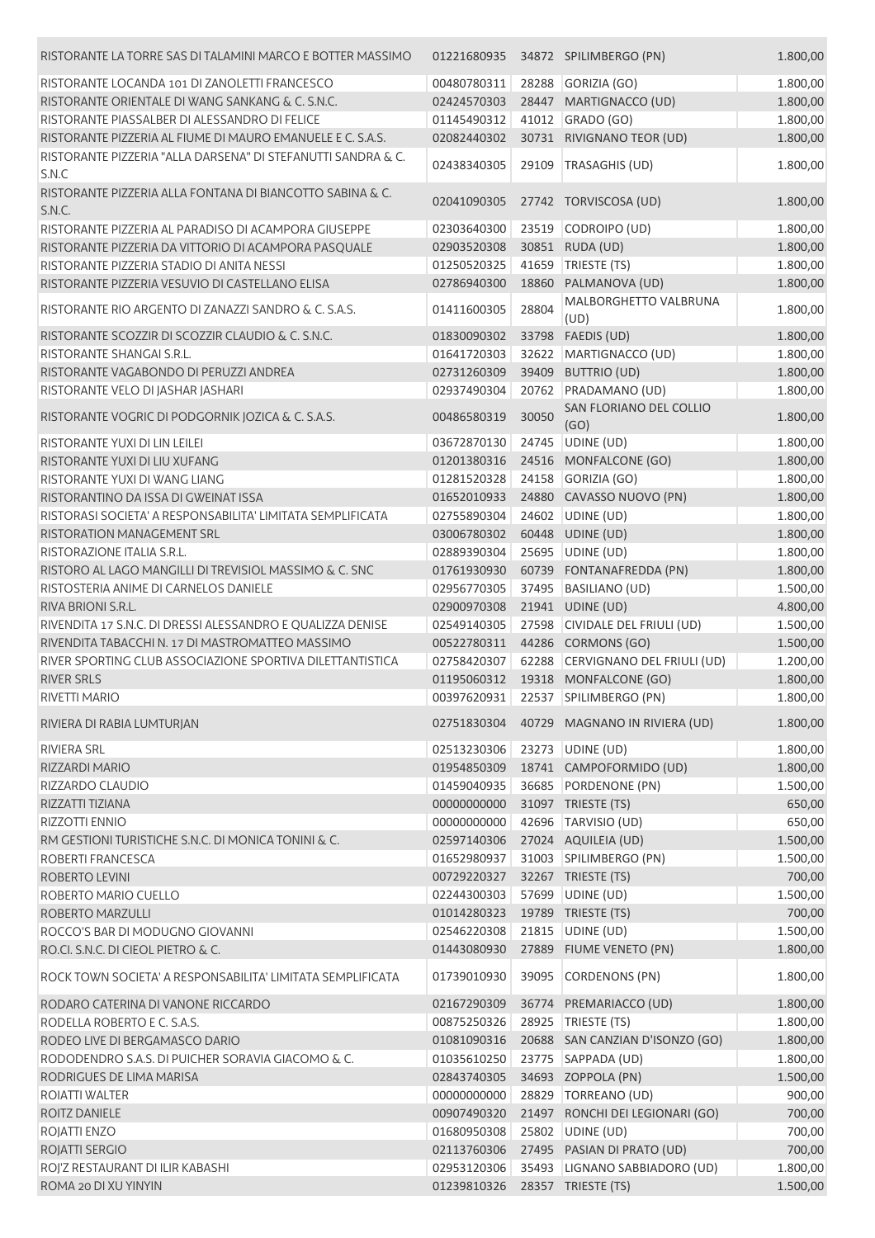| RISTORANTE LA TORRE SAS DI TALAMINI MARCO E BOTTER MASSIMO            | 01221680935                |       | 34872 SPILIMBERGO (PN)                                  | 1.800,00             |
|-----------------------------------------------------------------------|----------------------------|-------|---------------------------------------------------------|----------------------|
| RISTORANTE LOCANDA 101 DI ZANOLETTI FRANCESCO                         | 00480780311                |       | 28288 GORIZIA (GO)                                      | 1.800,00             |
| RISTORANTE ORIENTALE DI WANG SANKANG & C. S.N.C.                      | 02424570303                |       | 28447 MARTIGNACCO (UD)                                  | 1.800,00             |
| RISTORANTE PIASSALBER DI ALESSANDRO DI FELICE                         | 01145490312                | 41012 | GRADO (GO)                                              | 1.800,00             |
| RISTORANTE PIZZERIA AL FIUME DI MAURO EMANUELE E C. S.A.S.            | 02082440302                |       | 30731 RIVIGNANO TEOR (UD)                               | 1.800,00             |
| RISTORANTE PIZZERIA "ALLA DARSENA" DI STEFANUTTI SANDRA & C.<br>S.N.C | 02438340305                | 29109 | TRASAGHIS (UD)                                          | 1.800,00             |
| RISTORANTE PIZZERIA ALLA FONTANA DI BIANCOTTO SABINA & C.<br>S.N.C.   | 02041090305                |       | 27742 TORVISCOSA (UD)                                   | 1.800,00             |
| RISTORANTE PIZZERIA AL PARADISO DI ACAMPORA GIUSEPPE                  | 02303640300                |       | 23519 CODROIPO (UD)                                     | 1.800,00             |
| RISTORANTE PIZZERIA DA VITTORIO DI ACAMPORA PASQUALE                  | 02903520308                |       | 30851 RUDA (UD)                                         | 1.800,00             |
| RISTORANTE PIZZERIA STADIO DI ANITA NESSI                             | 01250520325                | 41659 | TRIESTE (TS)                                            | 1.800,00             |
| RISTORANTE PIZZERIA VESUVIO DI CASTELLANO ELISA                       | 02786940300                | 18860 | PALMANOVA (UD)                                          | 1.800,00             |
| RISTORANTE RIO ARGENTO DI ZANAZZI SANDRO & C. S.A.S.                  | 01411600305                | 28804 | MALBORGHETTO VALBRUNA<br>(UD)                           | 1.800,00             |
| RISTORANTE SCOZZIR DI SCOZZIR CLAUDIO & C. S.N.C.                     | 01830090302                | 33798 | FAEDIS (UD)                                             | 1.800,00             |
| RISTORANTE SHANGAI S.R.L.                                             | 01641720303                | 32622 | MARTIGNACCO (UD)                                        | 1.800,00             |
| RISTORANTE VAGABONDO DI PERUZZI ANDREA                                | 02731260309                | 39409 | <b>BUTTRIO (UD)</b>                                     | 1.800,00             |
| RISTORANTE VELO DI JASHAR JASHARI                                     | 02937490304                |       | 20762 PRADAMANO (UD)                                    | 1.800,00             |
| RISTORANTE VOGRIC DI PODGORNIK JOZICA & C. S.A.S.                     | 00486580319                | 30050 | SAN FLORIANO DEL COLLIO<br>(GO)                         | 1.800,00             |
| RISTORANTE YUXI DI LIN LEILEI                                         | 03672870130                | 24745 | UDINE (UD)                                              | 1.800,00             |
| RISTORANTE YUXI DI LIU XUFANG                                         | 01201380316                |       | 24516 MONFALCONE (GO)                                   | 1.800,00             |
| RISTORANTE YUXI DI WANG LIANG                                         | 01281520328                |       | 24158 GORIZIA (GO)                                      | 1.800,00             |
| RISTORANTINO DA ISSA DI GWEINAT ISSA                                  | 01652010933                |       | 24880 CAVASSO NUOVO (PN)                                | 1.800,00             |
| RISTORASI SOCIETA' A RESPONSABILITA' LIMITATA SEMPLIFICATA            | 02755890304                |       | 24602 UDINE (UD)                                        | 1.800,00             |
| RISTORATION MANAGEMENT SRL                                            | 03006780302                |       | 60448 UDINE (UD)                                        | 1.800,00             |
| RISTORAZIONE ITALIA S.R.L.                                            | 02889390304                |       | 25695 UDINE (UD)                                        | 1.800,00             |
| RISTORO AL LAGO MANGILLI DI TREVISIOL MASSIMO & C. SNC                | 01761930930                |       | 60739 FONTANAFREDDA (PN)                                | 1.800,00             |
| RISTOSTERIA ANIME DI CARNELOS DANIELE                                 | 02956770305                | 37495 | <b>BASILIANO (UD)</b>                                   | 1.500,00             |
| RIVA BRIONI S.R.L.                                                    | 02900970308                |       | 21941 UDINE (UD)                                        | 4.800,00             |
| RIVENDITA 17 S.N.C. DI DRESSI ALESSANDRO E QUALIZZA DENISE            | 02549140305                |       | 27598 CIVIDALE DEL FRIULI (UD)                          | 1.500,00             |
| RIVENDITA TABACCHI N. 17 DI MASTROMATTEO MASSIMO                      | 00522780311                |       | 44286 CORMONS (GO)                                      | 1.500,00             |
| RIVER SPORTING CLUB ASSOCIAZIONE SPORTIVA DILETTANTISTICA             | 02758420307                |       | 62288 CERVIGNANO DEL FRIULI (UD)                        | 1.200,00             |
| <b>RIVER SRLS</b><br>RIVETTI MARIO                                    | 01195060312<br>00397620931 |       | 19318 MONFALCONE (GO)                                   | 1.800,00<br>1.800,00 |
|                                                                       |                            |       | 22537 SPILIMBERGO (PN)                                  |                      |
| RIVIERA DI RABIA LUMTURJAN                                            | 02751830304                |       | 40729 MAGNANO IN RIVIERA (UD)                           | 1.800,00             |
| <b>RIVIERA SRL</b>                                                    | 02513230306                |       | 23273 UDINE (UD)                                        | 1.800,00             |
| RIZZARDI MARIO                                                        | 01954850309                |       | 18741 CAMPOFORMIDO (UD)                                 | 1.800,00             |
| RIZZARDO CLAUDIO                                                      | 01459040935                |       | 36685 PORDENONE (PN)                                    | 1.500,00             |
| RIZZATTI TIZIANA                                                      | 00000000000<br>00000000000 |       | 31097 TRIESTE (TS)                                      | 650,00               |
| RIZZOTTI ENNIO<br>RM GESTIONI TURISTICHE S.N.C. DI MONICA TONINI & C. | 02597140306                |       | 42696 TARVISIO (UD)<br>27024 AQUILEIA (UD)              | 650,00<br>1.500,00   |
| ROBERTI FRANCESCA                                                     | 01652980937                |       | 31003 SPILIMBERGO (PN)                                  | 1.500,00             |
| <b>ROBERTO LEVINI</b>                                                 | 00729220327                |       | 32267 TRIESTE (TS)                                      | 700,00               |
| ROBERTO MARIO CUELLO                                                  | 02244300303                |       | 57699 UDINE (UD)                                        | 1.500,00             |
| ROBERTO MARZULLI                                                      | 01014280323                |       | 19789 TRIESTE (TS)                                      | 700,00               |
| ROCCO'S BAR DI MODUGNO GIOVANNI                                       | 02546220308                |       | 21815 UDINE (UD)                                        | 1.500,00             |
| RO.CI. S.N.C. DI CIEOL PIETRO & C.                                    | 01443080930                |       | 27889 FIUME VENETO (PN)                                 | 1.800,00             |
| ROCK TOWN SOCIETA' A RESPONSABILITA' LIMITATA SEMPLIFICATA            | 01739010930                | 39095 | <b>CORDENONS (PN)</b>                                   | 1.800,00             |
|                                                                       |                            |       |                                                         |                      |
| RODARO CATERINA DI VANONE RICCARDO                                    | 02167290309                |       | 36774 PREMARIACCO (UD)                                  | 1.800,00             |
| RODELLA ROBERTO E C. S.A.S.<br>RODEO LIVE DI BERGAMASCO DARIO         | 00875250326<br>01081090316 |       | 28925   TRIESTE (TS)<br>20688 SAN CANZIAN D'ISONZO (GO) | 1.800,00<br>1.800,00 |
| RODODENDRO S.A.S. DI PUICHER SORAVIA GIACOMO & C.                     | 01035610250                |       | 23775 SAPPADA (UD)                                      | 1.800,00             |
| RODRIGUES DE LIMA MARISA                                              | 02843740305                |       | 34693 ZOPPOLA (PN)                                      | 1.500,00             |
| ROIATTI WALTER                                                        | 00000000000                |       | 28829   TORREANO (UD)                                   | 900,00               |
| ROITZ DANIELE                                                         | 00907490320                |       | 21497 RONCHI DEI LEGIONARI (GO)                         | 700,00               |
| ROJATTI ENZO                                                          | 01680950308                |       | 25802 UDINE (UD)                                        | 700,00               |
| ROJATTI SERGIO                                                        | 02113760306                |       | 27495 PASIAN DI PRATO (UD)                              | 700,00               |
| ROJ'Z RESTAURANT DI ILIR KABASHI                                      | 02953120306                |       | 35493 LIGNANO SABBIADORO (UD)                           | 1.800,00             |
| ROMA 20 DI XU YINYIN                                                  | 01239810326                |       | 28357 TRIESTE (TS)                                      | 1.500,00             |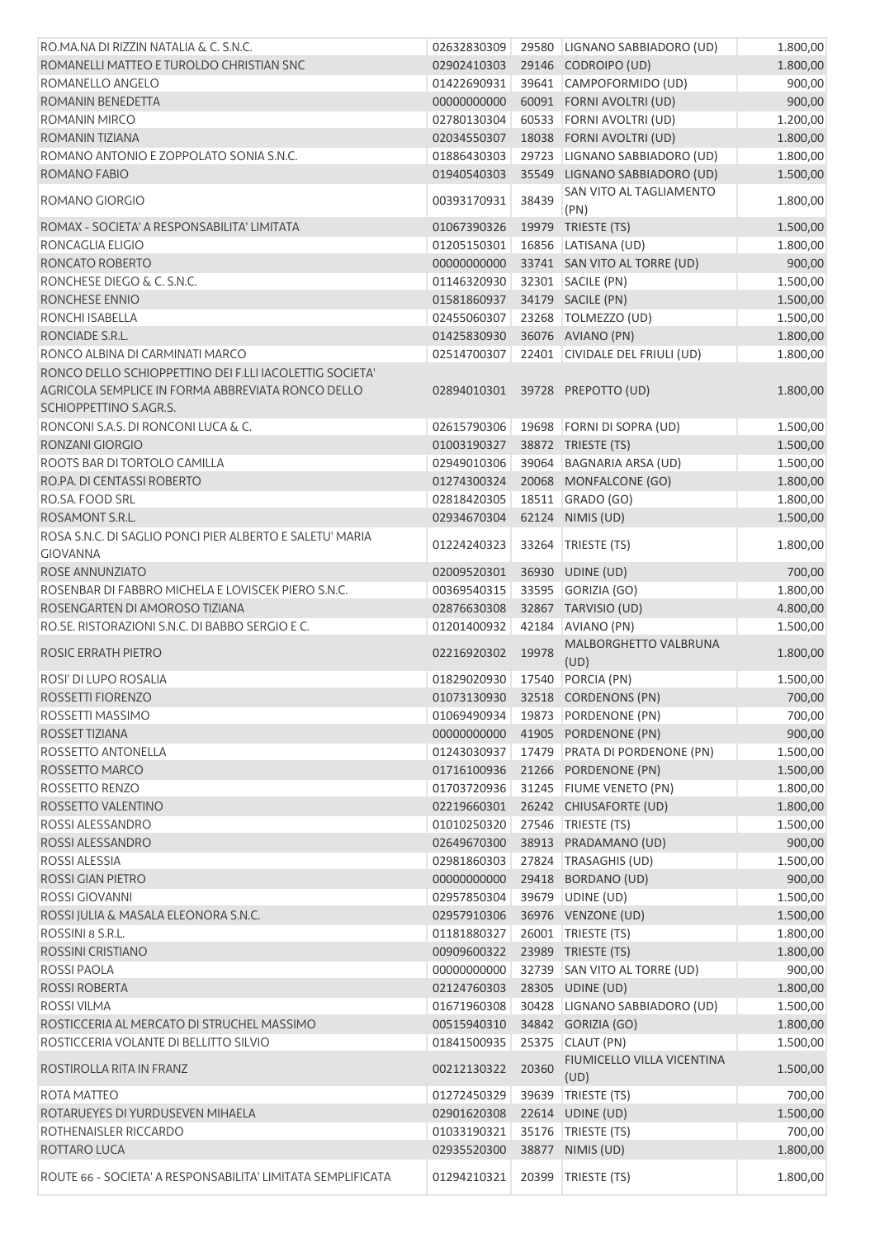| RO.MA.NA DI RIZZIN NATALIA & C. S.N.C.                                      | 02632830309                |       | 29580 LIGNANO SABBIADORO (UD)                  | 1.800,00             |
|-----------------------------------------------------------------------------|----------------------------|-------|------------------------------------------------|----------------------|
| ROMANELLI MATTEO E TUROLDO CHRISTIAN SNC                                    | 02902410303                |       | 29146 CODROIPO (UD)                            | 1.800,00             |
| ROMANELLO ANGELO                                                            | 01422690931                |       | 39641 CAMPOFORMIDO (UD)                        | 900,00               |
| ROMANIN BENEDETTA                                                           | 00000000000                |       | 60091 FORNI AVOLTRI (UD)                       | 900,00               |
| <b>ROMANIN MIRCO</b>                                                        | 02780130304                |       | 60533 FORNI AVOLTRI (UD)                       | 1.200,00             |
| <b>ROMANIN TIZIANA</b>                                                      | 02034550307                |       | 18038 FORNI AVOLTRI (UD)                       | 1.800,00             |
| ROMANO ANTONIO E ZOPPOLATO SONIA S.N.C.                                     | 01886430303                |       | 29723 LIGNANO SABBIADORO (UD)                  | 1.800,00             |
| ROMANO FABIO                                                                | 01940540303                |       | 35549 LIGNANO SABBIADORO (UD)                  | 1.500,00             |
| ROMANO GIORGIO                                                              | 00393170931                | 38439 | SAN VITO AL TAGLIAMENTO<br>(PN)                | 1.800,00             |
| ROMAX - SOCIETA' A RESPONSABILITA' LIMITATA                                 | 01067390326                |       | 19979 TRIESTE (TS)                             | 1.500,00             |
| RONCAGLIA ELIGIO                                                            | 01205150301                |       | 16856 LATISANA (UD)                            | 1.800,00             |
| RONCATO ROBERTO                                                             | 00000000000                |       | 33741 SAN VITO AL TORRE (UD)                   | 900,00               |
| RONCHESE DIEGO & C. S.N.C.                                                  | 01146320930                |       | 32301 SACILE (PN)                              | 1.500,00             |
| RONCHESE ENNIO                                                              | 01581860937                |       | 34179 SACILE (PN)                              | 1.500,00             |
| RONCHI ISABELLA                                                             | 02455060307                |       | 23268   TOLMEZZO (UD)                          | 1.500,00             |
| RONCIADE S.R.L.                                                             | 01425830930                |       | 36076 AVIANO (PN)                              | 1.800,00             |
| RONCO ALBINA DI CARMINATI MARCO                                             | 02514700307                |       | 22401 CIVIDALE DEL FRIULI (UD)                 | 1.800,00             |
| RONCO DELLO SCHIOPPETTINO DEI F.LLI IACOLETTIG SOCIETA'                     |                            |       |                                                |                      |
| AGRICOLA SEMPLICE IN FORMA ABBREVIATA RONCO DELLO<br>SCHIOPPETTINO S.AGR.S. | 02894010301                |       | 39728 PREPOTTO (UD)                            | 1.800,00             |
| RONCONI S.A.S. DI RONCONI LUCA & C.                                         | 02615790306                |       | 19698 FORNI DI SOPRA (UD)                      | 1.500,00             |
| RONZANI GIORGIO                                                             | 01003190327                |       | 38872 TRIESTE (TS)                             | 1.500,00             |
| ROOTS BAR DI TORTOLO CAMILLA                                                | 02949010306                |       | 39064 BAGNARIA ARSA (UD)                       | 1.500,00             |
| RO.PA. DI CENTASSI ROBERTO                                                  | 01274300324                |       | 20068 MONFALCONE (GO)                          | 1.800,00             |
| RO.SA. FOOD SRL                                                             | 02818420305                |       | 18511 GRADO (GO)                               | 1.800,00             |
| ROSAMONT S.R.L.                                                             | 02934670304                |       | 62124 NIMIS (UD)                               | 1.500,00             |
| ROSA S.N.C. DI SAGLIO PONCI PIER ALBERTO E SALETU' MARIA                    |                            |       |                                                |                      |
| <b>GIOVANNA</b>                                                             | 01224240323                |       | 33264 TRIESTE (TS)                             | 1.800,00             |
| ROSE ANNUNZIATO                                                             | 02009520301                |       | 36930 UDINE (UD)                               | 700,00               |
| ROSENBAR DI FABBRO MICHELA E LOVISCEK PIERO S.N.C.                          | 00369540315                |       | 33595 GORIZIA (GO)                             | 1.800,00             |
| ROSENGARTEN DI AMOROSO TIZIANA                                              | 02876630308                |       | 32867 TARVISIO (UD)                            | 4.800,00             |
| RO. SE. RISTORAZIONI S.N.C. DI BABBO SERGIO E C.                            | 01201400932                |       | 42184 AVIANO (PN)                              | 1.500,00             |
|                                                                             |                            |       | MALBORGHETTO VALBRUNA                          |                      |
| ROSIC ERRATH PIETRO                                                         | 02216920302                | 19978 |                                                | 1.800,00             |
| <b>ROSI' DI LUPO ROSALIA</b>                                                | 01829020930                |       | (UD)                                           |                      |
| ROSSETTI FIORENZO                                                           |                            |       | 17540 PORCIA (PN)                              | 1.500,00             |
| ROSSETTI MASSIMO                                                            |                            |       | 01073130930 32518 CORDENONS (PN)               | 700,00               |
| ROSSET TIZIANA                                                              | 00000000000                |       | 01069490934 19873 PORDENONE (PN)               | 700,00               |
| <b>ROSSETTO ANTONELLA</b>                                                   |                            |       | 41905 PORDENONE (PN)                           | 900,00               |
|                                                                             | 01243030937                |       | 17479 PRATA DI PORDENONE (PN)                  | 1.500,00             |
| ROSSETTO MARCO                                                              | 01716100936                |       | 21266 PORDENONE (PN)                           | 1.500,00             |
| ROSSETTO RENZO                                                              | 01703720936                |       | 31245 FIUME VENETO (PN)                        | 1.800,00             |
| ROSSETTO VALENTINO                                                          | 02219660301                |       | 26242 CHIUSAFORTE (UD)                         | 1.800,00             |
| ROSSI ALESSANDRO                                                            | 01010250320                |       | 27546   TRIESTE (TS)                           | 1.500,00             |
| ROSSI ALESSANDRO                                                            | 02649670300                |       | 38913 PRADAMANO (UD)                           | 900,00               |
| <b>ROSSI ALESSIA</b>                                                        | 02981860303                |       | 27824 TRASAGHIS (UD)                           | 1.500,00             |
| <b>ROSSI GIAN PIETRO</b>                                                    | 00000000000                |       | 29418 BORDANO (UD)                             | 900,00               |
| <b>ROSSI GIOVANNI</b>                                                       | 02957850304                |       | 39679 UDINE (UD)                               | 1.500,00             |
| ROSSI JULIA & MASALA ELEONORA S.N.C.                                        | 02957910306                |       | 36976 VENZONE (UD)                             | 1.500,00             |
| ROSSINI 8 S.R.L.                                                            | 01181880327                |       | 26001   TRIESTE (TS)                           | 1.800,00             |
| <b>ROSSINI CRISTIANO</b>                                                    | 00909600322                |       | 23989 TRIESTE (TS)                             | 1.800,00             |
| <b>ROSSI PAOLA</b>                                                          | 00000000000                |       | 32739 SAN VITO AL TORRE (UD)                   | 900,00               |
| <b>ROSSI ROBERTA</b>                                                        | 02124760303                |       | 28305 UDINE (UD)                               | 1.800,00             |
| <b>ROSSI VILMA</b>                                                          | 01671960308                |       | 30428 LIGNANO SABBIADORO (UD)                  | 1.500,00             |
| ROSTICCERIA AL MERCATO DI STRUCHEL MASSIMO                                  | 00515940310                |       | 34842 GORIZIA (GO)                             | 1.800,00             |
| ROSTICCERIA VOLANTE DI BELLITTO SILVIO<br>ROSTIROLLA RITA IN FRANZ          | 01841500935<br>00212130322 | 20360 | 25375 CLAUT (PN)<br>FIUMICELLO VILLA VICENTINA | 1.500,00<br>1.500,00 |
|                                                                             |                            |       | (UD)                                           |                      |
| <b>ROTA MATTEO</b>                                                          | 01272450329                |       | 39639 TRIESTE (TS)                             | 700,00               |
| ROTARUEYES DI YURDUSEVEN MIHAELA                                            | 02901620308                |       | 22614 UDINE (UD)                               | 1.500,00             |
| ROTHENAISLER RICCARDO                                                       | 01033190321                |       | 35176 TRIESTE (TS)                             | 700,00               |
| ROTTARO LUCA                                                                | 02935520300                |       | 38877 NIMIS (UD)                               | 1.800,00<br>1.800,00 |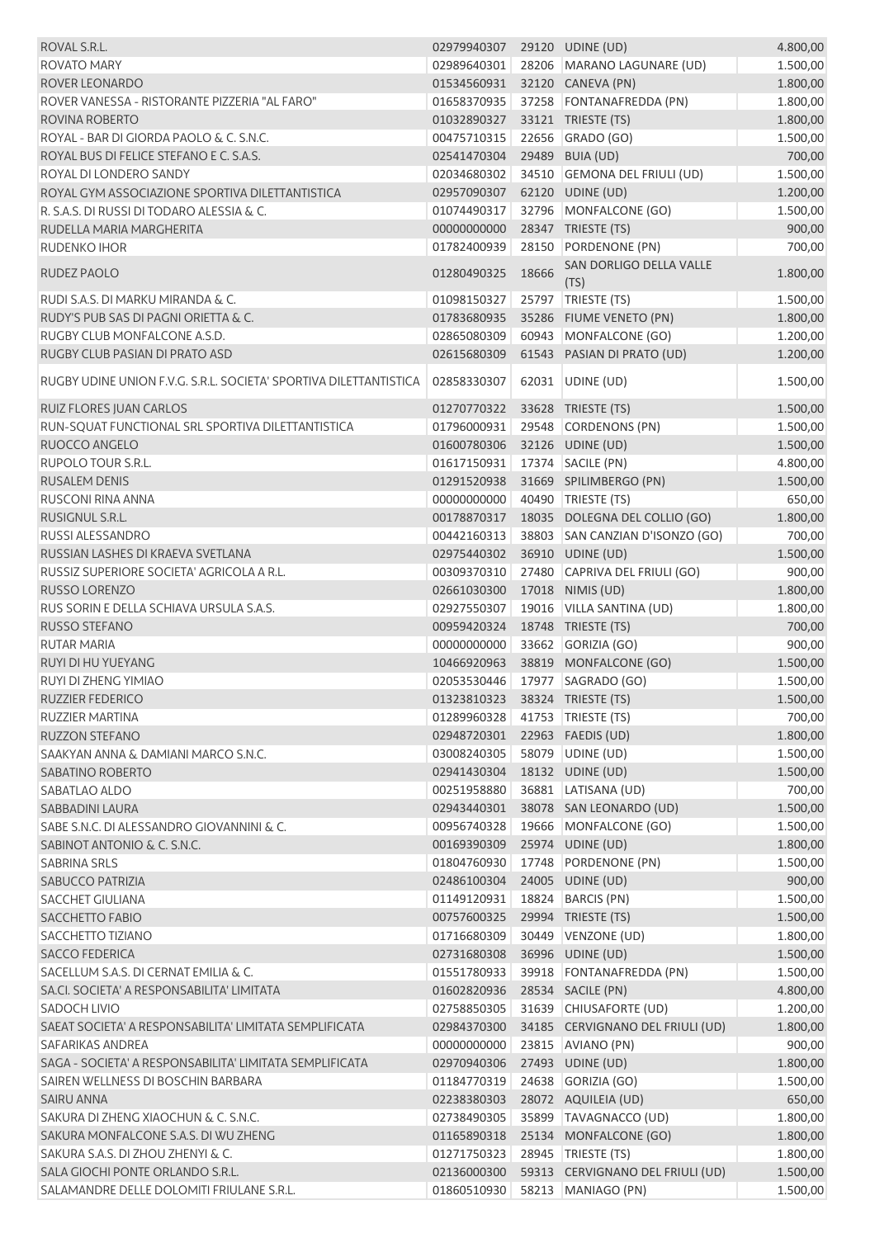| ROVAL S.R.L.                                                      | 02979940307                |       | 29120 UDINE (UD)                                 | 4.800,00             |
|-------------------------------------------------------------------|----------------------------|-------|--------------------------------------------------|----------------------|
| <b>ROVATO MARY</b>                                                | 02989640301                |       | 28206 MARANO LAGUNARE (UD)                       | 1.500,00             |
| ROVER LEONARDO                                                    | 01534560931                |       | 32120 CANEVA (PN)                                | 1.800,00             |
| ROVER VANESSA - RISTORANTE PIZZERIA "AL FARO"                     | 01658370935                |       | 37258 FONTANAFREDDA (PN)                         | 1.800,00             |
| ROVINA ROBERTO                                                    | 01032890327                |       | 33121 TRIESTE (TS)                               | 1.800,00             |
| ROYAL - BAR DI GIORDA PAOLO & C. S.N.C.                           | 00475710315                |       | 22656 GRADO (GO)                                 | 1.500,00             |
| ROYAL BUS DI FELICE STEFANO E C. S.A.S.                           | 02541470304                |       | 29489 BUIA (UD)                                  | 700,00               |
| ROYAL DI LONDERO SANDY                                            | 02034680302                |       | 34510 GEMONA DEL FRIULI (UD)                     | 1.500,00             |
| ROYAL GYM ASSOCIAZIONE SPORTIVA DILETTANTISTICA                   | 02957090307                |       | 62120 UDINE (UD)                                 | 1.200,00             |
| R. S.A.S. DI RUSSI DI TODARO ALESSIA & C.                         | 01074490317                |       | 32796 MONFALCONE (GO)                            | 1.500,00             |
| RUDELLA MARIA MARGHERITA                                          | 00000000000                |       | 28347 TRIESTE (TS)                               | 900,00               |
| RUDENKO IHOR                                                      | 01782400939                | 28150 | PORDENONE (PN)                                   | 700,00               |
| RUDEZ PAOLO                                                       | 01280490325                | 18666 | SAN DORLIGO DELLA VALLE<br>(TS)                  | 1.800,00             |
| RUDI S.A.S. DI MARKU MIRANDA & C.                                 | 01098150327                |       | 25797 TRIESTE (TS)                               | 1.500,00             |
| RUDY'S PUB SAS DI PAGNI ORIETTA & C.                              | 01783680935                |       | 35286 FIUME VENETO (PN)                          | 1.800,00             |
| RUGBY CLUB MONFALCONE A.S.D.                                      | 02865080309                |       | 60943 MONFALCONE (GO)                            | 1.200,00             |
| RUGBY CLUB PASIAN DI PRATO ASD                                    | 02615680309                |       | 61543 PASIAN DI PRATO (UD)                       | 1.200,00             |
| RUGBY UDINE UNION F.V.G. S.R.L. SOCIETA' SPORTIVA DILETTANTISTICA | 02858330307                |       | 62031 UDINE (UD)                                 | 1.500,00             |
| <b>RUIZ FLORES JUAN CARLOS</b>                                    | 01270770322                |       | 33628 TRIESTE (TS)                               | 1.500,00             |
| RUN-SQUAT FUNCTIONAL SRL SPORTIVA DILETTANTISTICA                 | 01796000931                |       | 29548 CORDENONS (PN)                             | 1.500,00             |
| RUOCCO ANGELO                                                     | 01600780306                |       | 32126 UDINE (UD)                                 | 1.500,00             |
| <b>RUPOLO TOUR S.R.L.</b>                                         | 01617150931                |       | 17374 SACILE (PN)                                | 4.800,00             |
| <b>RUSALEM DENIS</b>                                              | 01291520938                |       | 31669 SPILIMBERGO (PN)                           | 1.500,00             |
| <b>RUSCONI RINA ANNA</b>                                          | 00000000000                |       | 40490 TRIESTE (TS)                               | 650,00               |
| RUSIGNUL S.R.L.                                                   | 00178870317                |       | 18035 DOLEGNA DEL COLLIO (GO)                    | 1.800,00             |
| <b>RUSSI ALESSANDRO</b>                                           | 00442160313                |       | 38803 SAN CANZIAN D'ISONZO (GO)                  | 700,00               |
| RUSSIAN LASHES DI KRAEVA SVETLANA                                 | 02975440302                |       | 36910 UDINE (UD)                                 | 1.500,00             |
| RUSSIZ SUPERIORE SOCIETA' AGRICOLA A R.L.                         | 00309370310                |       | 27480 CAPRIVA DEL FRIULI (GO)                    | 900,00               |
| RUSSO LORENZO                                                     | 02661030300                |       | 17018 NIMIS (UD)                                 | 1.800,00             |
| RUS SORIN E DELLA SCHIAVA URSULA S.A.S.                           | 02927550307                |       | 19016 VILLA SANTINA (UD)                         | 1.800,00             |
| <b>RUSSO STEFANO</b>                                              | 00959420324                |       | 18748 TRIESTE (TS)                               | 700,00               |
| <b>RUTAR MARIA</b>                                                | 00000000000                |       | 33662 GORIZIA (GO)                               | 900,00               |
| RUYI DI HU YUEYANG                                                | 10466920963                |       | 38819 MONFALCONE (GO)                            | 1.500,00             |
| RUYI DI ZHENG YIMIAO                                              |                            |       | 02053530446 17977 SAGRADO (GO)                   | 1.500,00             |
| RUZZIER FEDERICO                                                  |                            |       | 01323810323 38324 TRIESTE (TS)                   | 1.500,00             |
| RUZZIER MARTINA                                                   |                            |       |                                                  | 700,00               |
|                                                                   | 01289960328<br>02948720301 |       | 41753   TRIESTE (TS)                             |                      |
| <b>RUZZON STEFANO</b>                                             |                            |       | 22963 FAEDIS (UD)                                | 1.800,00             |
| SAAKYAN ANNA & DAMIANI MARCO S.N.C.<br><b>SABATINO ROBERTO</b>    | 03008240305<br>02941430304 |       | 58079 UDINE (UD)<br>18132 UDINE (UD)             | 1.500,00             |
| SABATLAO ALDO                                                     |                            |       |                                                  | 1.500,00<br>700,00   |
|                                                                   | 00251958880<br>02943440301 |       | 36881 LATISANA (UD)                              |                      |
| SABBADINI LAURA<br>SABE S.N.C. DI ALESSANDRO GIOVANNINI & C.      |                            |       | 38078 SAN LEONARDO (UD)<br>19666 MONFALCONE (GO) | 1.500,00             |
| SABINOT ANTONIO & C. S.N.C.                                       | 00956740328                |       |                                                  | 1.500,00             |
| <b>SABRINA SRLS</b>                                               | 00169390309<br>01804760930 |       | 25974 UDINE (UD)                                 | 1.800,00             |
| <b>SABUCCO PATRIZIA</b>                                           | 02486100304                | 17748 | PORDENONE (PN)                                   | 1.500,00             |
| <b>SACCHET GIULIANA</b>                                           |                            |       | 24005 UDINE (UD)                                 | 900,00               |
| <b>SACCHETTO FABIO</b>                                            | 01149120931<br>00757600325 |       | 18824   BARCIS (PN)<br>29994 TRIESTE (TS)        | 1.500,00<br>1.500,00 |
|                                                                   |                            |       |                                                  |                      |
| SACCHETTO TIZIANO                                                 | 01716680309                |       | 30449 VENZONE (UD)                               | 1.800,00             |
| <b>SACCO FEDERICA</b>                                             | 02731680308                |       | 36996 UDINE (UD)                                 | 1.500,00             |
| SACELLUM S.A.S. DI CERNAT EMILIA & C.                             | 01551780933                |       | 39918 FONTANAFREDDA (PN)                         | 1.500,00             |
| SA.CI. SOCIETA' A RESPONSABILITA' LIMITATA                        | 01602820936                |       | 28534 SACILE (PN)                                | 4.800,00             |
| SADOCH LIVIO                                                      | 02758850305                |       | 31639 CHIUSAFORTE (UD)                           | 1.200,00             |
| SAEAT SOCIETA' A RESPONSABILITA' LIMITATA SEMPLIFICATA            | 02984370300                |       | 34185 CERVIGNANO DEL FRIULI (UD)                 | 1.800,00             |
| SAFARIKAS ANDREA                                                  | 00000000000                |       | 23815 AVIANO (PN)                                | 900,00               |
| SAGA - SOCIETA' A RESPONSABILITA' LIMITATA SEMPLIFICATA           | 02970940306                |       | 27493 UDINE (UD)                                 | 1.800,00             |
| SAIREN WELLNESS DI BOSCHIN BARBARA                                | 01184770319                |       | 24638 GORIZIA (GO)                               | 1.500,00             |
| SAIRU ANNA                                                        | 02238380303                |       | 28072 AQUILEIA (UD)                              | 650,00               |
| SAKURA DI ZHENG XIAOCHUN & C. S.N.C.                              | 02738490305                |       | 35899 TAVAGNACCO (UD)                            | 1.800,00             |
| SAKURA MONFALCONE S.A.S. DI WU ZHENG                              | 01165890318                |       | 25134 MONFALCONE (GO)                            | 1.800,00             |
| SAKURA S.A.S. DI ZHOU ZHENYI & C.                                 | 01271750323                |       | 28945   TRIESTE (TS)                             | 1.800,00             |
| SALA GIOCHI PONTE ORLANDO S.R.L.                                  | 02136000300                |       | 59313 CERVIGNANO DEL FRIULI (UD)                 | 1.500,00             |
| SALAMANDRE DELLE DOLOMITI FRIULANE S.R.L.                         | 01860510930                |       | 58213 MANIAGO (PN)                               | 1.500,00             |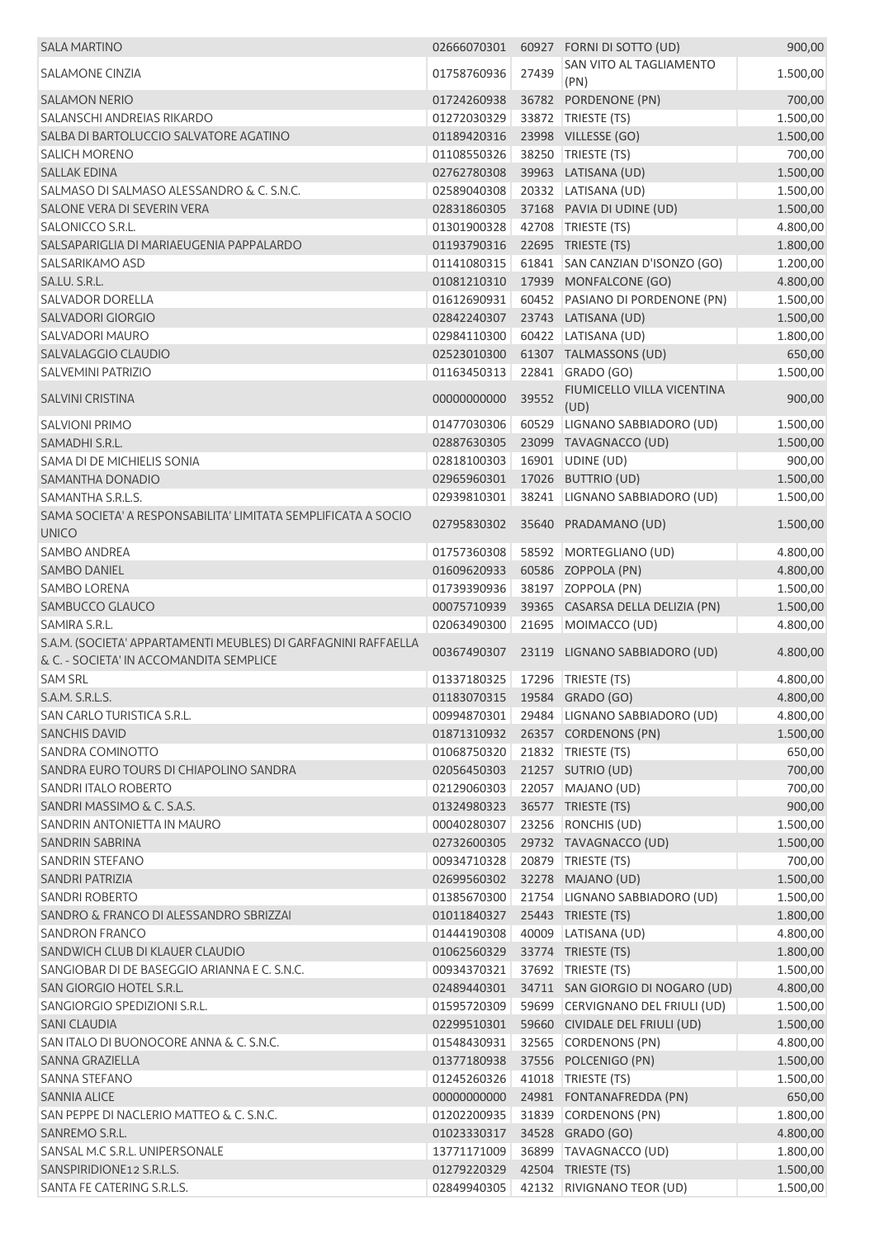| <b>SALA MARTINO</b>                                                           | 02666070301                    |       | 60927 FORNI DI SOTTO (UD)                 | 900,00   |
|-------------------------------------------------------------------------------|--------------------------------|-------|-------------------------------------------|----------|
| <b>SALAMONE CINZIA</b>                                                        | 01758760936                    | 27439 | SAN VITO AL TAGLIAMENTO<br>(PN)           | 1.500,00 |
| <b>SALAMON NERIO</b>                                                          | 01724260938                    |       | 36782 PORDENONE (PN)                      | 700,00   |
| SALANSCHI ANDREIAS RIKARDO                                                    | 01272030329                    |       | 33872 TRIESTE (TS)                        | 1.500,00 |
| SALBA DI BARTOLUCCIO SALVATORE AGATINO                                        | 01189420316                    |       | 23998 VILLESSE (GO)                       | 1.500,00 |
| <b>SALICH MORENO</b>                                                          | 01108550326                    | 38250 | TRIESTE (TS)                              | 700,00   |
| <b>SALLAK EDINA</b>                                                           | 02762780308                    |       | 39963 LATISANA (UD)                       | 1.500,00 |
| SALMASO DI SALMASO ALESSANDRO & C. S.N.C.                                     | 02589040308                    |       | 20332 LATISANA (UD)                       | 1.500,00 |
| SALONE VERA DI SEVERIN VERA                                                   | 02831860305                    |       | 37168 PAVIA DI UDINE (UD)                 | 1.500,00 |
| SALONICCO S.R.L.                                                              | 01301900328                    |       | 42708   TRIESTE (TS)                      | 4.800,00 |
| SALSAPARIGLIA DI MARIAEUGENIA PAPPALARDO                                      | 01193790316                    |       | 22695 TRIESTE (TS)                        | 1.800,00 |
| SALSARIKAMO ASD                                                               | 01141080315                    |       | 61841 SAN CANZIAN D'ISONZO (GO)           | 1.200,00 |
| SA.LU. S.R.L.                                                                 | 01081210310                    |       | 17939 MONFALCONE (GO)                     | 4.800,00 |
| <b>SALVADOR DORELLA</b>                                                       | 01612690931                    |       | 60452 PASIANO DI PORDENONE (PN)           | 1.500,00 |
| <b>SALVADORI GIORGIO</b>                                                      | 02842240307                    |       | 23743 LATISANA (UD)                       | 1.500,00 |
| <b>SALVADORI MAURO</b>                                                        | 02984110300                    |       | 60422 LATISANA (UD)                       |          |
| SALVALAGGIO CLAUDIO                                                           |                                |       |                                           | 1.800,00 |
|                                                                               | 02523010300                    |       | 61307 TALMASSONS (UD)                     | 650,00   |
| <b>SALVEMINI PATRIZIO</b>                                                     | 01163450313                    |       | 22841 GRADO (GO)                          | 1.500,00 |
| <b>SALVINI CRISTINA</b>                                                       | 00000000000                    | 39552 | FIUMICELLO VILLA VICENTINA<br>(UD)        | 900,00   |
| <b>SALVIONI PRIMO</b>                                                         | 01477030306                    |       | 60529 LIGNANO SABBIADORO (UD)             | 1.500,00 |
| SAMADHI S.R.L.                                                                | 02887630305                    |       | 23099 TAVAGNACCO (UD)                     | 1.500,00 |
| SAMA DI DE MICHIELIS SONIA                                                    | 02818100303                    |       | 16901 UDINE (UD)                          | 900,00   |
| SAMANTHA DONADIO                                                              | 02965960301                    |       | 17026 BUTTRIO (UD)                        | 1.500,00 |
| SAMANTHA S.R.L.S.                                                             | 02939810301                    |       | 38241 LIGNANO SABBIADORO (UD)             | 1.500,00 |
| SAMA SOCIETA' A RESPONSABILITA' LIMITATA SEMPLIFICATA A SOCIO<br><b>UNICO</b> | 02795830302                    |       | 35640 PRADAMANO (UD)                      | 1.500,00 |
| <b>SAMBO ANDREA</b>                                                           | 01757360308                    |       | 58592 MORTEGLIANO (UD)                    | 4.800,00 |
| <b>SAMBO DANIEL</b>                                                           | 01609620933                    |       | 60586 ZOPPOLA (PN)                        | 4.800,00 |
| <b>SAMBO LORENA</b>                                                           | 01739390936                    |       | 38197 ZOPPOLA (PN)                        | 1.500,00 |
| SAMBUCCO GLAUCO                                                               | 00075710939                    |       | 39365 CASARSA DELLA DELIZIA (PN)          | 1.500,00 |
| SAMIRA S.R.L.                                                                 | 02063490300                    |       | 21695 MOIMACCO (UD)                       | 4.800,00 |
| S.A.M. (SOCIETA' APPARTAMENTI MEUBLES) DI GARFAGNINI RAFFAELLA                |                                |       |                                           |          |
| & C. - SOCIETA' IN ACCOMANDITA SEMPLICE                                       | 00367490307                    |       | 23119 LIGNANO SABBIADORO (UD)             | 4.800,00 |
| <b>SAM SRL</b>                                                                | 01337180325                    |       | 17296   TRIESTE (TS)                      | 4.800,00 |
| S.A.M. S.R.L.S.                                                               | 01183070315  19584  GRADO (GO) |       |                                           | 4.800,00 |
| SAN CARLO TURISTICA S.R.L.                                                    |                                |       | 00994870301 29484 LIGNANO SABBIADORO (UD) | 4.800,00 |
| <b>SANCHIS DAVID</b>                                                          |                                |       | 01871310932 26357 CORDENONS (PN)          | 1.500,00 |
| SANDRA COMINOTTO                                                              | 01068750320                    |       | 21832 TRIESTE (TS)                        | 650,00   |
| SANDRA EURO TOURS DI CHIAPOLINO SANDRA                                        | 02056450303                    |       | 21257 SUTRIO (UD)                         | 700,00   |
| SANDRI ITALO ROBERTO                                                          | 02129060303                    |       | 22057 MAJANO (UD)                         | 700,00   |
| SANDRI MASSIMO & C. S.A.S.                                                    | 01324980323                    |       | 36577 TRIESTE (TS)                        | 900,00   |
| SANDRIN ANTONIETTA IN MAURO                                                   | 00040280307                    |       | 23256 RONCHIS (UD)                        | 1.500,00 |
| <b>SANDRIN SABRINA</b>                                                        |                                |       |                                           |          |
|                                                                               | 02732600305                    |       | 29732 TAVAGNACCO (UD)                     | 1.500,00 |
| SANDRIN STEFANO                                                               | 00934710328                    |       | 20879   TRIESTE (TS)                      | 700,00   |
| SANDRI PATRIZIA                                                               | 02699560302                    |       | 32278 MAJANO (UD)                         | 1.500,00 |
| <b>SANDRI ROBERTO</b>                                                         | 01385670300                    |       | 21754 LIGNANO SABBIADORO (UD)             | 1.500,00 |
| SANDRO & FRANCO DI ALESSANDRO SBRIZZAI                                        | 01011840327                    |       | 25443 TRIESTE (TS)                        | 1.800,00 |
| <b>SANDRON FRANCO</b>                                                         | 01444190308                    |       | 40009 LATISANA (UD)                       | 4.800,00 |
| SANDWICH CLUB DI KLAUER CLAUDIO                                               | 01062560329                    |       | 33774 TRIESTE (TS)                        | 1.800,00 |
| SANGIOBAR DI DE BASEGGIO ARIANNA E C. S.N.C.                                  | 00934370321                    |       | 37692 TRIESTE (TS)                        | 1.500,00 |
| SAN GIORGIO HOTEL S.R.L.                                                      | 02489440301                    |       | 34711 SAN GIORGIO DI NOGARO (UD)          | 4.800,00 |
| SANGIORGIO SPEDIZIONI S.R.L.                                                  | 01595720309                    |       | 59699 CERVIGNANO DEL FRIULI (UD)          | 1.500,00 |
| <b>SANI CLAUDIA</b>                                                           | 02299510301                    |       | 59660 CIVIDALE DEL FRIULI (UD)            | 1.500,00 |
| SAN ITALO DI BUONOCORE ANNA & C. S.N.C.                                       | 01548430931                    |       | 32565 CORDENONS (PN)                      | 4.800,00 |
| SANNA GRAZIELLA                                                               | 01377180938                    |       | 37556 POLCENIGO (PN)                      | 1.500,00 |
| <b>SANNA STEFANO</b>                                                          | 01245260326                    |       | 41018   TRIESTE (TS)                      | 1.500,00 |
| <b>SANNIA ALICE</b>                                                           | 00000000000                    |       | 24981 FONTANAFREDDA (PN)                  | 650,00   |
| SAN PEPPE DI NACLERIO MATTEO & C. S.N.C.                                      | 01202200935                    |       | 31839 CORDENONS (PN)                      | 1.800,00 |
| SANREMO S.R.L.                                                                | 01023330317                    |       | 34528 GRADO (GO)                          | 4.800,00 |
| SANSAL M.C S.R.L. UNIPERSONALE                                                | 13771171009                    |       | 36899 TAVAGNACCO (UD)                     | 1.800,00 |
| SANSPIRIDIONE12 S.R.L.S.                                                      | 01279220329                    |       | 42504 TRIESTE (TS)                        | 1.500,00 |
| SANTA FE CATERING S.R.L.S.                                                    |                                |       | 02849940305 42132 RIVIGNANO TEOR (UD)     | 1.500,00 |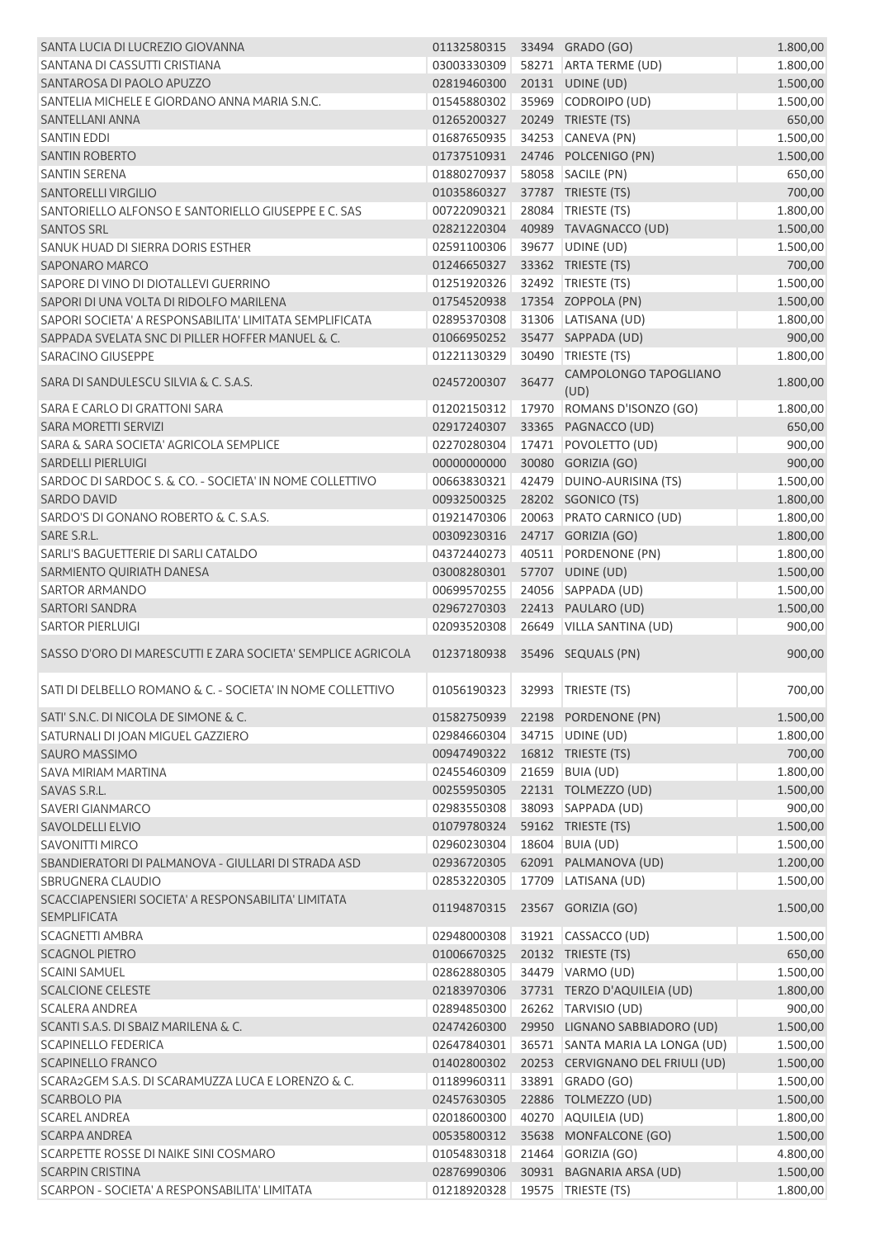| SANTA LUCIA DI LUCREZIO GIOVANNA                                                | 01132580315 33494 GRADO (GO)   |       |                                           | 1.800,00             |
|---------------------------------------------------------------------------------|--------------------------------|-------|-------------------------------------------|----------------------|
| SANTANA DI CASSUTTI CRISTIANA                                                   | 03003330309                    |       | 58271 ARTA TERME (UD)                     | 1.800,00             |
| SANTAROSA DI PAOLO APUZZO                                                       | 02819460300                    |       | 20131 UDINE (UD)                          | 1.500,00             |
| SANTELIA MICHELE E GIORDANO ANNA MARIA S.N.C.                                   | 01545880302                    |       | 35969 CODROIPO (UD)                       | 1.500,00             |
| SANTELLANI ANNA                                                                 | 01265200327                    |       | 20249 TRIESTE (TS)                        | 650,00               |
| <b>SANTIN EDDI</b>                                                              | 01687650935                    |       | 34253 CANEVA (PN)                         | 1.500,00             |
| <b>SANTIN ROBERTO</b>                                                           | 01737510931                    |       | 24746 POLCENIGO (PN)                      | 1.500,00             |
| <b>SANTIN SERENA</b>                                                            | 01880270937                    |       | 58058 SACILE (PN)                         | 650,00               |
| <b>SANTORELLI VIRGILIO</b>                                                      | 01035860327                    |       | 37787 TRIESTE (TS)                        | 700,00               |
| SANTORIELLO ALFONSO E SANTORIELLO GIUSEPPE E C. SAS                             | 00722090321                    |       | 28084 TRIESTE (TS)                        | 1.800,00             |
| <b>SANTOS SRL</b>                                                               | 02821220304                    |       | 40989 TAVAGNACCO (UD)                     | 1.500,00             |
| SANUK HUAD DI SIERRA DORIS ESTHER                                               | 02591100306                    |       | 39677 UDINE (UD)                          | 1.500,00             |
| <b>SAPONARO MARCO</b>                                                           | 01246650327                    |       | 33362 TRIESTE (TS)                        | 700,00               |
| SAPORE DI VINO DI DIOTALLEVI GUERRINO                                           | 01251920326                    |       | 32492 TRIESTE (TS)                        | 1.500,00             |
| SAPORI DI UNA VOLTA DI RIDOLFO MARILENA                                         | 01754520938                    |       | 17354 ZOPPOLA (PN)                        | 1.500,00             |
| SAPORI SOCIETA' A RESPONSABILITA' LIMITATA SEMPLIFICATA                         | 02895370308                    |       | 31306 LATISANA (UD)                       | 1.800,00             |
| SAPPADA SVELATA SNC DI PILLER HOFFER MANUEL & C.                                | 01066950252                    |       | 35477 SAPPADA (UD)                        | 900,00               |
| <b>SARACINO GIUSEPPE</b>                                                        | 01221130329                    |       | 30490 TRIESTE (TS)                        | 1.800,00             |
| SARA DI SANDULESCU SILVIA & C. S.A.S.                                           | 02457200307                    | 36477 | CAMPOLONGO TAPOGLIANO<br>(UD)             | 1.800,00             |
| SARA E CARLO DI GRATTONI SARA                                                   | 01202150312                    |       | 17970 ROMANS D'ISONZO (GO)                | 1.800,00             |
| SARA MORETTI SERVIZI                                                            | 02917240307                    |       | 33365 PAGNACCO (UD)                       | 650,00               |
| SARA & SARA SOCIETA' AGRICOLA SEMPLICE                                          | 02270280304                    |       | 17471 POVOLETTO (UD)                      | 900,00               |
| <b>SARDELLI PIERLUIGI</b>                                                       | 00000000000                    |       | 30080 GORIZIA (GO)                        | 900,00               |
| SARDOC DI SARDOC S. & CO. - SOCIETA' IN NOME COLLETTIVO                         | 00663830321                    |       | 42479 DUINO-AURISINA (TS)                 | 1.500,00             |
| <b>SARDO DAVID</b>                                                              | 00932500325                    |       | 28202 SGONICO (TS)                        | 1.800,00             |
| SARDO'S DI GONANO ROBERTO & C. S.A.S.                                           | 01921470306                    |       | 20063 PRATO CARNICO (UD)                  | 1.800,00             |
| SARE S.R.L.                                                                     | 00309230316                    |       | 24717 GORIZIA (GO)                        | 1.800,00             |
| SARLI'S BAGUETTERIE DI SARLI CATALDO                                            | 04372440273                    |       | 40511 PORDENONE (PN)                      | 1.800,00             |
| SARMIENTO QUIRIATH DANESA                                                       | 03008280301                    |       | 57707 UDINE (UD)                          | 1.500,00             |
| <b>SARTOR ARMANDO</b>                                                           | 00699570255                    |       | 24056 SAPPADA (UD)                        | 1.500,00             |
| <b>SARTORI SANDRA</b>                                                           | 02967270303                    |       | 22413 PAULARO (UD)                        | 1.500,00             |
| <b>SARTOR PIERLUIGI</b>                                                         | 02093520308                    |       | 26649 VILLA SANTINA (UD)                  | 900,00               |
| SASSO D'ORO DI MARESCUTTI E ZARA SOCIETA' SEMPLICE AGRICOLA                     | 01237180938                    |       | 35496 SEQUALS (PN)                        | 900,00               |
| SATI DI DELBELLO ROMANO & C. - SOCIETA' IN NOME COLLETTIVO                      | 01056190323                    |       | 32993 TRIESTE (TS)                        | 700,00               |
| SATI' S.N.C. DI NICOLA DE SIMONE & C.                                           |                                |       | 01582750939 22198 PORDENONE (PN)          | 1.500,00             |
| SATURNALI DI JOAN MIGUEL GAZZIERO                                               | 02984660304                    |       | 34715 UDINE (UD)                          | 1.800,00             |
| <b>SAURO MASSIMO</b>                                                            |                                |       |                                           |                      |
| <b>SAVA MIRIAM MARTINA</b>                                                      | 00947490322                    |       | 16812 TRIESTE (TS)                        | 700,00               |
|                                                                                 | 02455460309<br>00255950305     |       | 21659 BUIA (UD)                           | 1.800,00             |
| SAVAS S.R.L.                                                                    |                                |       | 22131 TOLMEZZO (UD)                       | 1.500,00             |
| SAVERI GIANMARCO                                                                | 02983550308                    |       | 38093 SAPPADA (UD)                        | 900,00               |
| <b>SAVOLDELLI ELVIO</b>                                                         | 01079780324                    |       | 59162 TRIESTE (TS)                        | 1.500,00             |
| <b>SAVONITTI MIRCO</b>                                                          | 02960230304                    |       | 18604 BUIA (UD)                           | 1.500,00             |
| SBANDIERATORI DI PALMANOVA - GIULLARI DI STRADA ASD<br><b>SBRUGNERA CLAUDIO</b> | 02936720305<br>02853220305     |       | 62091 PALMANOVA (UD)                      | 1.200,00             |
| SCACCIAPENSIERI SOCIETA' A RESPONSABILITA' LIMITATA<br><b>SEMPLIFICATA</b>      | 01194870315                    |       | 17709 LATISANA (UD)<br>23567 GORIZIA (GO) | 1.500,00<br>1.500,00 |
| <b>SCAGNETTI AMBRA</b>                                                          | 02948000308                    | 31921 | CASSACCO (UD)                             | 1.500,00             |
| <b>SCAGNOL PIETRO</b>                                                           | 01006670325                    |       | 20132 TRIESTE (TS)                        | 650,00               |
| <b>SCAINI SAMUEL</b>                                                            | 02862880305                    |       | 34479 VARMO (UD)                          | 1.500,00             |
| <b>SCALCIONE CELESTE</b>                                                        | 02183970306                    |       | 37731 TERZO D'AQUILEIA (UD)               | 1.800,00             |
| <b>SCALERA ANDREA</b>                                                           | 02894850300                    |       | 26262 TARVISIO (UD)                       | 900,00               |
| SCANTI S.A.S. DI SBAIZ MARILENA & C.                                            | 02474260300                    |       | 29950 LIGNANO SABBIADORO (UD)             | 1.500,00             |
| <b>SCAPINELLO FEDERICA</b>                                                      | 02647840301                    |       | 36571 SANTA MARIA LA LONGA (UD)           | 1.500,00             |
| <b>SCAPINELLO FRANCO</b>                                                        | 01402800302                    |       | 20253 CERVIGNANO DEL FRIULI (UD)          | 1.500,00             |
| SCARA2GEM S.A.S. DI SCARAMUZZA LUCA E LORENZO & C.                              | 01189960311                    |       | 33891 GRADO (GO)                          | 1.500,00             |
| <b>SCARBOLO PIA</b>                                                             | 02457630305                    |       | 22886 TOLMEZZO (UD)                       | 1.500,00             |
| <b>SCAREL ANDREA</b>                                                            | 02018600300                    |       | 40270 AQUILEIA (UD)                       | 1.800,00             |
| <b>SCARPA ANDREA</b>                                                            | 00535800312                    |       | 35638 MONFALCONE (GO)                     | 1.500,00             |
| SCARPETTE ROSSE DI NAIKE SINI COSMARO                                           | 01054830318                    |       | 21464 GORIZIA (GO)                        | 4.800,00             |
| <b>SCARPIN CRISTINA</b>                                                         | 02876990306                    |       | 30931 BAGNARIA ARSA (UD)                  | 1.500,00             |
| SCARPON - SOCIETA' A RESPONSABILITA' LIMITATA                                   | 01218920328 19575 TRIESTE (TS) |       |                                           | 1.800,00             |
|                                                                                 |                                |       |                                           |                      |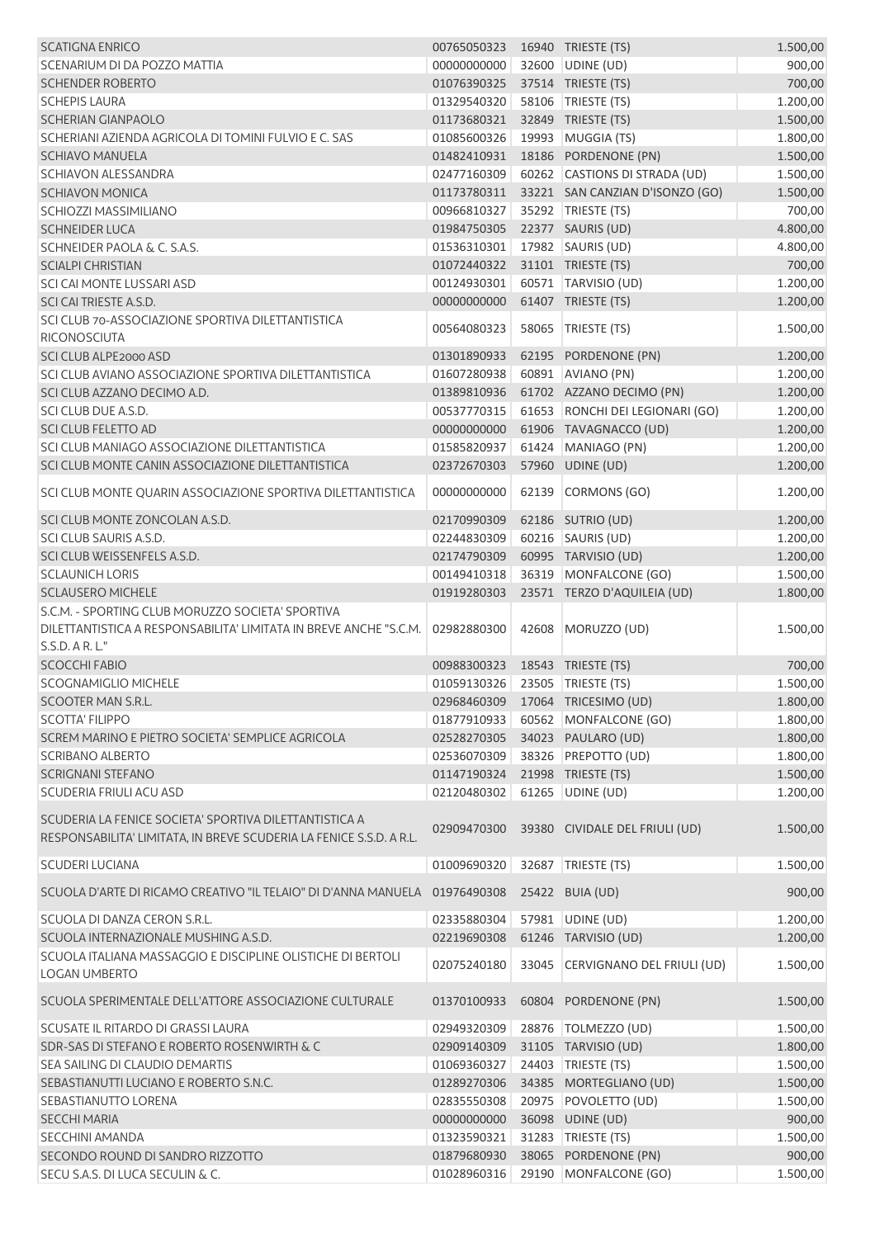| <b>SCATIGNA ENRICO</b>                                                                                                        | 00765050323  16940  TRIESTE (TS) |       |                                  | 1.500,00 |
|-------------------------------------------------------------------------------------------------------------------------------|----------------------------------|-------|----------------------------------|----------|
| SCENARIUM DI DA POZZO MATTIA                                                                                                  | 00000000000                      |       | 32600 UDINE (UD)                 | 900,00   |
| <b>SCHENDER ROBERTO</b>                                                                                                       | 01076390325                      |       | 37514 TRIESTE (TS)               | 700,00   |
| <b>SCHEPIS LAURA</b>                                                                                                          | 01329540320                      |       | 58106   TRIESTE (TS)             | 1.200,00 |
| <b>SCHERIAN GIANPAOLO</b>                                                                                                     | 01173680321                      |       | 32849 TRIESTE (TS)               | 1.500,00 |
| SCHERIANI AZIENDA AGRICOLA DI TOMINI FULVIO E C. SAS                                                                          | 01085600326                      |       | 19993 MUGGIA (TS)                | 1.800,00 |
| <b>SCHIAVO MANUELA</b>                                                                                                        | 01482410931                      |       | 18186 PORDENONE (PN)             | 1.500,00 |
| <b>SCHIAVON ALESSANDRA</b>                                                                                                    | 02477160309                      |       | 60262 CASTIONS DI STRADA (UD)    | 1.500,00 |
| <b>SCHIAVON MONICA</b>                                                                                                        | 01173780311                      |       | 33221 SAN CANZIAN D'ISONZO (GO)  | 1.500,00 |
| SCHIOZZI MASSIMILIANO                                                                                                         | 00966810327                      |       | 35292 TRIESTE (TS)               | 700,00   |
| <b>SCHNEIDER LUCA</b>                                                                                                         | 01984750305                      |       | 22377 SAURIS (UD)                | 4.800,00 |
| SCHNEIDER PAOLA & C. S.A.S.                                                                                                   | 01536310301                      |       | 17982 SAURIS (UD)                | 4.800,00 |
| <b>SCIALPI CHRISTIAN</b>                                                                                                      | 01072440322                      |       | 31101 TRIESTE (TS)               | 700,00   |
| SCI CAI MONTE LUSSARI ASD                                                                                                     | 00124930301                      |       | 60571 TARVISIO (UD)              | 1.200,00 |
|                                                                                                                               |                                  |       |                                  |          |
| SCI CAI TRIESTE A.S.D.                                                                                                        | 00000000000                      |       | 61407 TRIESTE (TS)               | 1.200,00 |
| SCI CLUB 70-ASSOCIAZIONE SPORTIVA DILETTANTISTICA<br>RICONOSCIUTA                                                             | 00564080323                      |       | 58065 TRIESTE (TS)               | 1.500,00 |
| SCI CLUB ALPE2000 ASD                                                                                                         | 01301890933                      |       | 62195 PORDENONE (PN)             | 1.200,00 |
| SCI CLUB AVIANO ASSOCIAZIONE SPORTIVA DILETTANTISTICA                                                                         | 01607280938                      |       | 60891 AVIANO (PN)                | 1.200,00 |
| SCI CLUB AZZANO DECIMO A.D.                                                                                                   | 01389810936                      |       | 61702 AZZANO DECIMO (PN)         | 1.200,00 |
| SCI CLUB DUE A.S.D.                                                                                                           | 00537770315                      |       | 61653 RONCHI DEI LEGIONARI (GO)  | 1.200,00 |
| <b>SCI CLUB FELETTO AD</b>                                                                                                    | 00000000000                      |       | 61906 TAVAGNACCO (UD)            | 1.200,00 |
| SCI CLUB MANIAGO ASSOCIAZIONE DILETTANTISTICA                                                                                 | 01585820937                      |       | 61424 MANIAGO (PN)               | 1.200,00 |
| SCI CLUB MONTE CANIN ASSOCIAZIONE DILETTANTISTICA                                                                             | 02372670303                      |       | 57960 UDINE (UD)                 | 1.200,00 |
| SCI CLUB MONTE QUARIN ASSOCIAZIONE SPORTIVA DILETTANTISTICA                                                                   | 00000000000                      |       | 62139 CORMONS (GO)               | 1.200,00 |
|                                                                                                                               |                                  |       |                                  |          |
| SCI CLUB MONTE ZONCOLAN A.S.D.                                                                                                | 02170990309                      |       | 62186 SUTRIO (UD)                | 1.200,00 |
| SCI CLUB SAURIS A.S.D.                                                                                                        | 02244830309                      |       | 60216 SAURIS (UD)                | 1.200,00 |
| SCI CLUB WEISSENFELS A.S.D.                                                                                                   | 02174790309                      |       | 60995 TARVISIO (UD)              | 1.200,00 |
| <b>SCLAUNICH LORIS</b>                                                                                                        | 00149410318                      |       | 36319 MONFALCONE (GO)            | 1.500,00 |
| <b>SCLAUSERO MICHELE</b>                                                                                                      | 01919280303                      |       | 23571 TERZO D'AQUILEIA (UD)      | 1.800,00 |
| S.C.M. - SPORTING CLUB MORUZZO SOCIETA' SPORTIVA                                                                              |                                  |       |                                  |          |
| DILETTANTISTICA A RESPONSABILITA' LIMITATA IN BREVE ANCHE "S.C.M.                                                             | 02982880300                      |       | 42608   MORUZZO (UD)             | 1.500,00 |
| S.S.D. A R. L."                                                                                                               |                                  |       |                                  |          |
| <b>SCOCCHI FABIO</b>                                                                                                          | 00988300323                      |       | 18543 TRIESTE (TS)               | 700,00   |
| <b>SCOGNAMIGLIO MICHELE</b>                                                                                                   | 01059130326 23505 TRIESTE (TS)   |       |                                  | 1.500,00 |
| SCOOTER MAN S.R.L.                                                                                                            |                                  |       | 02968460309 17064 TRICESIMO (UD) | 1.800,00 |
| <b>SCOTTA' FILIPPO</b>                                                                                                        | 01877910933                      |       | 60562 MONFALCONE (GO)            | 1.800,00 |
| SCREM MARINO E PIETRO SOCIETA' SEMPLICE AGRICOLA                                                                              | 02528270305                      |       | 34023 PAULARO (UD)               | 1.800,00 |
| <b>SCRIBANO ALBERTO</b>                                                                                                       | 02536070309                      |       | 38326 PREPOTTO (UD)              | 1.800,00 |
| <b>SCRIGNANI STEFANO</b>                                                                                                      | 01147190324                      |       | 21998 TRIESTE (TS)               | 1.500,00 |
| <b>SCUDERIA FRIULI ACU ASD</b>                                                                                                | 02120480302                      |       | 61265 UDINE (UD)                 | 1.200,00 |
|                                                                                                                               |                                  |       |                                  |          |
| SCUDERIA LA FENICE SOCIETA' SPORTIVA DILETTANTISTICA A<br>RESPONSABILITA' LIMITATA, IN BREVE SCUDERIA LA FENICE S.S.D. A R.L. | 02909470300                      |       | 39380 CIVIDALE DEL FRIULI (UD)   | 1.500,00 |
| <b>SCUDERI LUCIANA</b>                                                                                                        | 01009690320                      |       | 32687 TRIESTE (TS)               | 1.500,00 |
| SCUOLA D'ARTE DI RICAMO CREATIVO "IL TELAIO" DI D'ANNA MANUELA 01976490308                                                    |                                  |       | 25422 BUIA (UD)                  | 900,00   |
| SCUOLA DI DANZA CERON S.R.L.                                                                                                  | 02335880304                      |       | 57981 UDINE (UD)                 | 1.200,00 |
| SCUOLA INTERNAZIONALE MUSHING A.S.D.                                                                                          | 02219690308                      |       | 61246 TARVISIO (UD)              | 1.200,00 |
| SCUOLA ITALIANA MASSAGGIO E DISCIPLINE OLISTICHE DI BERTOLI                                                                   |                                  |       |                                  |          |
| <b>LOGAN UMBERTO</b>                                                                                                          | 02075240180                      |       | 33045 CERVIGNANO DEL FRIULI (UD) | 1.500,00 |
| SCUOLA SPERIMENTALE DELL'ATTORE ASSOCIAZIONE CULTURALE                                                                        | 01370100933                      |       | 60804 PORDENONE (PN)             | 1.500,00 |
| SCUSATE IL RITARDO DI GRASSI LAURA                                                                                            | 02949320309                      |       | 28876   TOLMEZZO (UD)            | 1.500,00 |
| SDR-SAS DI STEFANO E ROBERTO ROSENWIRTH & C                                                                                   | 02909140309                      |       | 31105 TARVISIO (UD)              | 1.800,00 |
| SEA SAILING DI CLAUDIO DEMARTIS                                                                                               | 01069360327                      |       | 24403 TRIESTE (TS)               | 1.500,00 |
| SEBASTIANUTTI LUCIANO E ROBERTO S.N.C.                                                                                        | 01289270306                      |       | 34385 MORTEGLIANO (UD)           | 1.500,00 |
| SEBASTIANUTTO LORENA                                                                                                          | 02835550308                      |       | 20975 POVOLETTO (UD)             | 1.500,00 |
| <b>SECCHI MARIA</b>                                                                                                           | 00000000000                      |       | 36098 UDINE (UD)                 | 900,00   |
| <b>SECCHINI AMANDA</b>                                                                                                        | 01323590321                      | 31283 | TRIESTE (TS)                     | 1.500,00 |
| SECONDO ROUND DI SANDRO RIZZOTTO                                                                                              | 01879680930                      |       | 38065 PORDENONE (PN)             | 900,00   |
| SECU S.A.S. DI LUCA SECULIN & C.                                                                                              | 01028960316                      |       | 29190 MONFALCONE (GO)            | 1.500,00 |
|                                                                                                                               |                                  |       |                                  |          |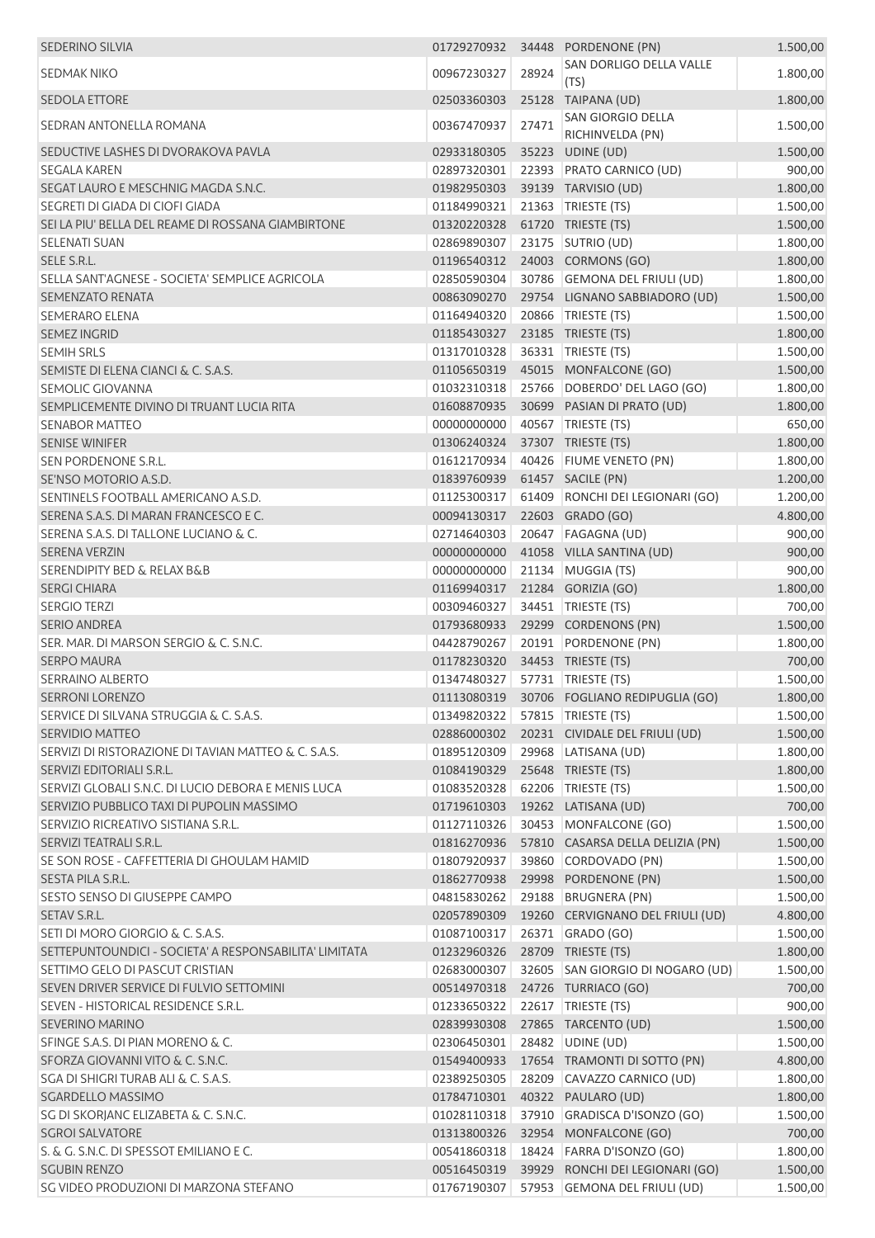| <b>SEDERINO SILVIA</b>                                 | 01729270932                        |       | 34448 PORDENONE (PN)                       | 1.500,00 |
|--------------------------------------------------------|------------------------------------|-------|--------------------------------------------|----------|
| SEDMAK NIKO                                            | 00967230327                        | 28924 | SAN DORLIGO DELLA VALLE                    | 1.800,00 |
|                                                        |                                    |       | (TS)                                       |          |
| <b>SEDOLA ETTORE</b>                                   | 02503360303                        |       | 25128 TAIPANA (UD)<br>SAN GIORGIO DELLA    | 1.800,00 |
| SEDRAN ANTONELLA ROMANA                                | 00367470937                        | 27471 | RICHINVELDA (PN)                           | 1.500,00 |
| SEDUCTIVE LASHES DI DVORAKOVA PAVLA                    | 02933180305                        |       | 35223 UDINE (UD)                           | 1.500,00 |
| <b>SEGALA KAREN</b>                                    | 02897320301                        |       | 22393 PRATO CARNICO (UD)                   | 900,00   |
| SEGAT LAURO E MESCHNIG MAGDA S.N.C.                    | 01982950303                        |       | 39139 TARVISIO (UD)                        | 1.800,00 |
| SEGRETI DI GIADA DI CIOFI GIADA                        | 01184990321                        |       | 21363 TRIESTE (TS)                         | 1.500,00 |
| SEI LA PIU' BELLA DEL REAME DI ROSSANA GIAMBIRTONE     | 01320220328                        |       | 61720 TRIESTE (TS)                         | 1.500,00 |
| <b>SELENATI SUAN</b>                                   | 02869890307                        |       | 23175 SUTRIO (UD)                          | 1.800,00 |
| SELE S.R.L.                                            | 01196540312                        |       | 24003 CORMONS (GO)                         | 1.800,00 |
| SELLA SANT'AGNESE - SOCIETA' SEMPLICE AGRICOLA         | 02850590304                        |       | 30786 GEMONA DEL FRIULI (UD)               | 1.800,00 |
| <b>SEMENZATO RENATA</b>                                | 00863090270                        |       | 29754 LIGNANO SABBIADORO (UD)              | 1.500,00 |
| <b>SEMERARO ELENA</b>                                  | 01164940320                        |       | 20866 TRIESTE (TS)                         | 1.500,00 |
| <b>SEMEZ INGRID</b>                                    | 01185430327                        |       | 23185 TRIESTE (TS)                         | 1.800,00 |
| <b>SEMIH SRLS</b>                                      | 01317010328                        |       | 36331 TRIESTE (TS)                         | 1.500,00 |
| SEMISTE DI ELENA CIANCI & C. S.A.S.                    | 01105650319                        |       | 45015 MONFALCONE (GO)                      | 1.500,00 |
| <b>SEMOLIC GIOVANNA</b>                                | 01032310318                        | 25766 | DOBERDO' DEL LAGO (GO)                     | 1.800,00 |
| SEMPLICEMENTE DIVINO DI TRUANT LUCIA RITA              | 01608870935                        |       | 30699 PASIAN DI PRATO (UD)                 | 1.800,00 |
| <b>SENABOR MATTEO</b>                                  | 00000000000                        |       | 40567 TRIESTE (TS)                         | 650,00   |
| <b>SENISE WINIFER</b>                                  | 01306240324                        |       | 37307 TRIESTE (TS)                         | 1.800,00 |
| SEN PORDENONE S.R.L.                                   | 01612170934                        |       | 40426 FIUME VENETO (PN)                    | 1.800,00 |
| SE'NSO MOTORIO A.S.D.                                  | 01839760939                        |       | 61457 SACILE (PN)                          | 1.200,00 |
| SENTINELS FOOTBALL AMERICANO A.S.D.                    | 01125300317                        |       | 61409 RONCHI DEI LEGIONARI (GO)            | 1.200,00 |
| SERENA S.A.S. DI MARAN FRANCESCO E C.                  | 00094130317                        |       | 22603 GRADO (GO)                           | 4.800,00 |
| SERENA S.A.S. DI TALLONE LUCIANO & C.                  | 02714640303                        |       | 20647   FAGAGNA (UD)                       | 900,00   |
| <b>SERENA VERZIN</b>                                   | 00000000000                        |       | 41058 VILLA SANTINA (UD)                   | 900,00   |
| <b>SERENDIPITY BED &amp; RELAX B&amp;B</b>             | 00000000000                        |       | 21134 MUGGIA (TS)                          | 900,00   |
| <b>SERGI CHIARA</b>                                    | 01169940317                        |       | 21284 GORIZIA (GO)                         | 1.800,00 |
| <b>SERGIO TERZI</b>                                    | 00309460327                        |       | 34451 TRIESTE (TS)                         | 700,00   |
| <b>SERIO ANDREA</b>                                    | 01793680933                        |       | 29299 CORDENONS (PN)                       | 1.500,00 |
| SER. MAR. DI MARSON SERGIO & C. S.N.C.                 | 04428790267                        |       | 20191 PORDENONE (PN)                       | 1.800,00 |
| <b>SERPO MAURA</b>                                     | 01178230320                        |       | 34453 TRIESTE (TS)                         | 700,00   |
| <b>SERRAINO ALBERTO</b>                                | 01347480327                        |       | 57731 TRIESTE (TS)                         | 1.500,00 |
| <b>SERRONI LORENZO</b>                                 |                                    |       | 01113080319 30706 FOGLIANO REDIPUGLIA (GO) | 1.800,00 |
| SERVICE DI SILVANA STRUGGIA & C. S.A.S.                | 01349820322   57815   TRIESTE (TS) |       |                                            | 1.500,00 |
| <b>SERVIDIO MATTEO</b>                                 | 02886000302                        |       | 20231 CIVIDALE DEL FRIULI (UD)             | 1.500,00 |
| SERVIZI DI RISTORAZIONE DI TAVIAN MATTEO & C. S.A.S.   | 01895120309                        |       | 29968 LATISANA (UD)                        | 1.800,00 |
| SERVIZI EDITORIALI S.R.L.                              | 01084190329                        |       | 25648 TRIESTE (TS)                         | 1.800,00 |
| SERVIZI GLOBALI S.N.C. DI LUCIO DEBORA E MENIS LUCA    | 01083520328                        |       | 62206 TRIESTE (TS)                         | 1.500,00 |
| SERVIZIO PUBBLICO TAXI DI PUPOLIN MASSIMO              | 01719610303                        |       | 19262 LATISANA (UD)                        | 700,00   |
| SERVIZIO RICREATIVO SISTIANA S.R.L.                    | 01127110326                        |       | 30453 MONFALCONE (GO)                      | 1.500,00 |
| SERVIZI TEATRALI S.R.L.                                | 01816270936                        |       | 57810 CASARSA DELLA DELIZIA (PN)           | 1.500,00 |
| SE SON ROSE - CAFFETTERIA DI GHOULAM HAMID             | 01807920937                        |       | 39860 CORDOVADO (PN)                       | 1.500,00 |
| SESTA PILA S.R.L.                                      | 01862770938                        |       | 29998 PORDENONE (PN)                       | 1.500,00 |
| SESTO SENSO DI GIUSEPPE CAMPO                          | 04815830262                        |       | 29188 BRUGNERA (PN)                        | 1.500,00 |
| SETAV S.R.L.                                           | 02057890309                        |       | 19260 CERVIGNANO DEL FRIULI (UD)           | 4.800,00 |
| SETI DI MORO GIORGIO & C. S.A.S.                       | 01087100317                        |       | 26371 GRADO (GO)                           | 1.500,00 |
| SETTEPUNTOUNDICI - SOCIETA' A RESPONSABILITA' LIMITATA | 01232960326                        |       | 28709 TRIESTE (TS)                         | 1.800,00 |
| SETTIMO GELO DI PASCUT CRISTIAN                        | 02683000307                        |       | 32605 SAN GIORGIO DI NOGARO (UD)           | 1.500,00 |
| SEVEN DRIVER SERVICE DI FULVIO SETTOMINI               | 00514970318                        |       | 24726 TURRIACO (GO)                        | 700,00   |
| SEVEN - HISTORICAL RESIDENCE S.R.L.                    | 01233650322                        |       | 22617 TRIESTE (TS)                         | 900,00   |
| <b>SEVERINO MARINO</b>                                 | 02839930308                        |       | 27865 TARCENTO (UD)                        | 1.500,00 |
| SFINGE S.A.S. DI PIAN MORENO & C.                      | 02306450301                        |       | 28482 UDINE (UD)                           | 1.500,00 |
| SFORZA GIOVANNI VITO & C. S.N.C.                       | 01549400933                        |       | 17654 TRAMONTI DI SOTTO (PN)               | 4.800,00 |
| SGA DI SHIGRI TURAB ALI & C. S.A.S.                    | 02389250305                        |       | 28209 CAVAZZO CARNICO (UD)                 | 1.800,00 |
| <b>SGARDELLO MASSIMO</b>                               | 01784710301                        |       | 40322 PAULARO (UD)                         | 1.800,00 |
|                                                        | 01028110318                        |       | 37910 GRADISCA D'ISONZO (GO)               | 1.500,00 |
| SG DI SKORJANC ELIZABETA & C. S.N.C.                   | 01313800326                        |       | 32954 MONFALCONE (GO)                      | 700,00   |
| <b>SGROI SALVATORE</b>                                 | 00541860318                        |       | 18424 FARRA D'ISONZO (GO)                  | 1.800,00 |
| S. & G. S.N.C. DI SPESSOT EMILIANO E C.                |                                    |       |                                            |          |
| <b>SGUBIN RENZO</b>                                    | 00516450319                        |       | 39929 RONCHI DEI LEGIONARI (GO)            | 1.500,00 |
| SG VIDEO PRODUZIONI DI MARZONA STEFANO                 |                                    |       | 01767190307   57953 GEMONA DEL FRIULI (UD) | 1.500,00 |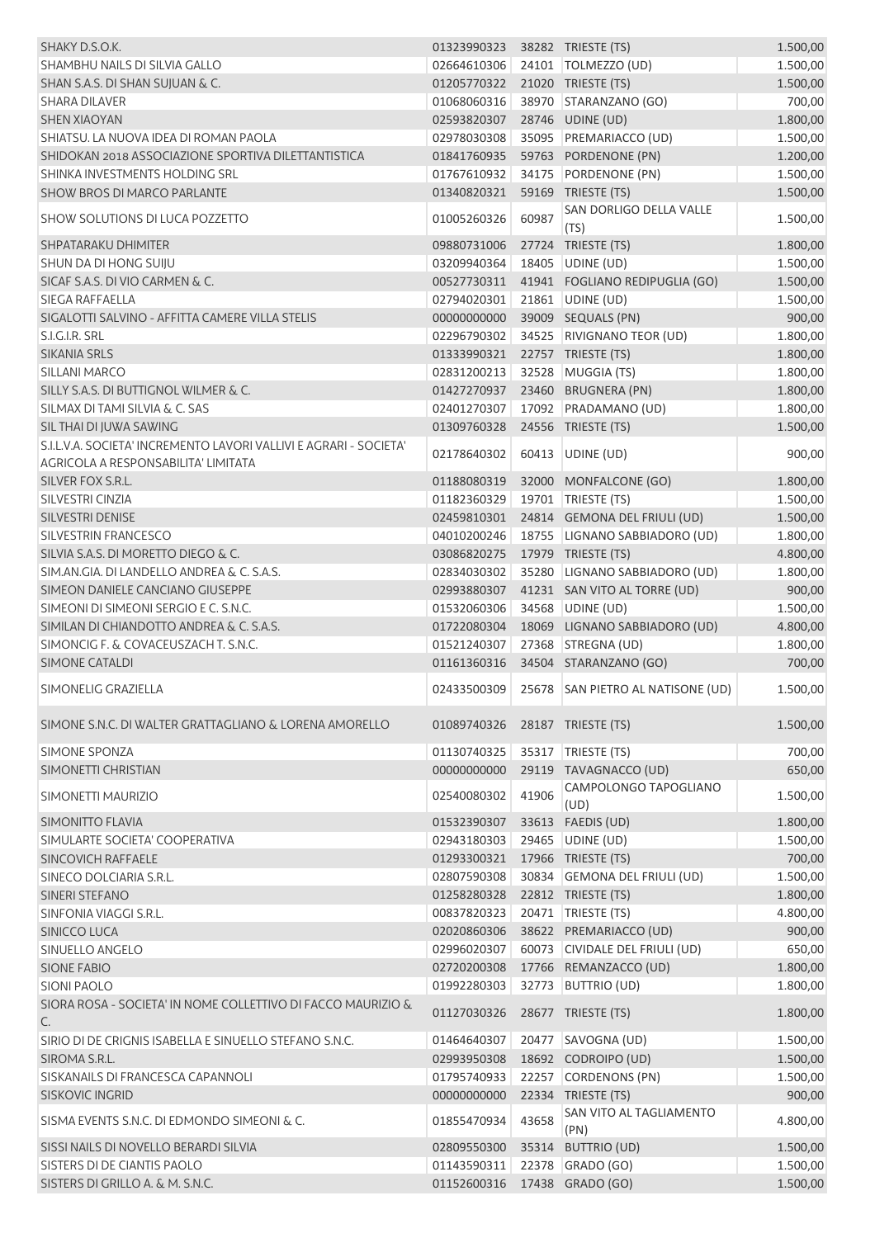| SHAKY D.S.O.K.                                                     | 01323990323                  |       | 38282 TRIESTE (TS)                            | 1.500,00 |
|--------------------------------------------------------------------|------------------------------|-------|-----------------------------------------------|----------|
| SHAMBHU NAILS DI SILVIA GALLO                                      | 02664610306                  |       | 24101   TOLMEZZO (UD)                         | 1.500,00 |
| SHAN S.A.S. DI SHAN SUJUAN & C.                                    | 01205770322                  |       | 21020 TRIESTE (TS)                            | 1.500,00 |
| <b>SHARA DILAVER</b>                                               | 01068060316                  |       | 38970 STARANZANO (GO)                         | 700,00   |
| <b>SHEN XIAOYAN</b>                                                | 02593820307                  |       | 28746 UDINE (UD)                              | 1.800,00 |
| SHIATSU. LA NUOVA IDEA DI ROMAN PAOLA                              | 02978030308                  |       | 35095 PREMARIACCO (UD)                        | 1.500,00 |
| SHIDOKAN 2018 ASSOCIAZIONE SPORTIVA DILETTANTISTICA                | 01841760935                  |       | 59763 PORDENONE (PN)                          | 1.200,00 |
| SHINKA INVESTMENTS HOLDING SRL                                     | 01767610932                  |       | 34175 PORDENONE (PN)                          | 1.500,00 |
| <b>SHOW BROS DI MARCO PARLANTE</b>                                 | 01340820321                  |       | 59169 TRIESTE (TS)                            | 1.500,00 |
| <b>SHOW SOLUTIONS DI LUCA POZZETTO</b>                             | 01005260326                  | 60987 | SAN DORLIGO DELLA VALLE<br>(TS)               | 1.500,00 |
| SHPATARAKU DHIMITER                                                | 09880731006                  |       | 27724 TRIESTE (TS)                            | 1.800,00 |
| SHUN DA DI HONG SUIJU                                              | 03209940364                  |       | 18405 UDINE (UD)                              | 1.500,00 |
| SICAF S.A.S. DI VIO CARMEN & C.                                    | 00527730311                  |       | 41941 FOGLIANO REDIPUGLIA (GO)                | 1.500,00 |
| <b>SIEGA RAFFAELLA</b>                                             | 02794020301                  |       | 21861 UDINE (UD)                              | 1.500,00 |
| SIGALOTTI SALVINO - AFFITTA CAMERE VILLA STELIS                    | 00000000000                  |       | 39009 SEQUALS (PN)                            | 900,00   |
| S.I.G.I.R. SRL                                                     | 02296790302                  |       | 34525 RIVIGNANO TEOR (UD)                     | 1.800,00 |
| SIKANIA SRLS                                                       | 01333990321                  |       | 22757 TRIESTE (TS)                            | 1.800,00 |
| <b>SILLANI MARCO</b>                                               | 02831200213                  |       | 32528 MUGGIA (TS)                             | 1.800,00 |
| SILLY S.A.S. DI BUTTIGNOL WILMER & C.                              | 01427270937                  |       | 23460 BRUGNERA (PN)                           | 1.800,00 |
| SILMAX DI TAMI SILVIA & C. SAS                                     | 02401270307                  |       | 17092 PRADAMANO (UD)                          | 1.800,00 |
| SIL THAI DI JUWA SAWING                                            | 01309760328                  |       | 24556 TRIESTE (TS)                            | 1.500,00 |
| S.I.L.V.A. SOCIETA' INCREMENTO LAVORI VALLIVI E AGRARI - SOCIETA'  |                              |       |                                               |          |
| AGRICOLA A RESPONSABILITA' LIMITATA                                | 02178640302                  |       | 60413 UDINE (UD)                              | 900,00   |
| SILVER FOX S.R.L.                                                  | 01188080319                  |       | 32000 MONFALCONE (GO)                         | 1.800,00 |
| SILVESTRI CINZIA                                                   | 01182360329                  |       | 19701   TRIESTE (TS)                          | 1.500,00 |
| SILVESTRI DENISE                                                   | 02459810301                  |       | 24814 GEMONA DEL FRIULI (UD)                  | 1.500,00 |
| <b>SILVESTRIN FRANCESCO</b>                                        | 04010200246                  |       | 18755 LIGNANO SABBIADORO (UD)                 | 1.800,00 |
| SILVIA S.A.S. DI MORETTO DIEGO & C.                                | 03086820275                  |       | 17979 TRIESTE (TS)                            | 4.800,00 |
| SIM, AN, GIA, DI LANDELLO ANDREA & C, S, A, S,                     | 02834030302                  |       | 35280 LIGNANO SABBIADORO (UD)                 | 1.800,00 |
| SIMEON DANIELE CANCIANO GIUSEPPE                                   | 02993880307                  |       | 41231 SAN VITO AL TORRE (UD)                  | 900,00   |
| SIMEONI DI SIMEONI SERGIO E C. S.N.C.                              | 01532060306                  |       | 34568 UDINE (UD)                              | 1.500,00 |
| SIMILAN DI CHIANDOTTO ANDREA & C. S.A.S.                           | 01722080304                  |       | 18069 LIGNANO SABBIADORO (UD)                 | 4.800,00 |
| SIMONCIG F. & COVACEUSZACH T. S.N.C.                               | 01521240307                  |       | 27368 STREGNA (UD)                            | 1.800,00 |
| SIMONE CATALDI                                                     | 01161360316                  |       | 34504 STARANZANO (GO)                         | 700,00   |
| SIMONELIG GRAZIELLA                                                | 02433500309                  |       | 25678 SAN PIETRO AL NATISONE (UD)             | 1.500,00 |
| SIMONE S.N.C. DI WALTER GRATTAGLIANO & LORENA AMORELLO             | 01089740326                  |       | 28187 TRIESTE (TS)                            | 1.500,00 |
| SIMONE SPONZA                                                      | 01130740325                  |       | 35317   TRIESTE (TS)                          | 700,00   |
| SIMONETTI CHRISTIAN                                                | 00000000000                  |       | 29119 TAVAGNACCO (UD)                         | 650,00   |
|                                                                    |                              |       | CAMPOLONGO TAPOGLIANO                         |          |
| SIMONETTI MAURIZIO                                                 | 02540080302                  | 41906 | (UD)                                          | 1.500,00 |
| <b>SIMONITTO FLAVIA</b>                                            | 01532390307                  |       | 33613 FAEDIS (UD)                             | 1.800,00 |
| SIMULARTE SOCIETA' COOPERATIVA                                     | 02943180303                  |       | 29465 UDINE (UD)                              | 1.500,00 |
| <b>SINCOVICH RAFFAELE</b>                                          | 01293300321                  |       | 17966 TRIESTE (TS)                            | 700,00   |
| SINECO DOLCIARIA S.R.L.                                            | 02807590308                  |       | 30834 GEMONA DEL FRIULI (UD)                  | 1.500,00 |
| SINERI STEFANO                                                     | 01258280328                  |       | 22812 TRIESTE (TS)                            | 1.800,00 |
| SINFONIA VIAGGI S.R.L.                                             | 00837820323                  |       | 20471   TRIESTE (TS)                          | 4.800,00 |
| SINICCO LUCA                                                       | 02020860306                  |       | 38622 PREMARIACCO (UD)                        | 900,00   |
| SINUELLO ANGELO                                                    | 02996020307                  |       | 60073 CIVIDALE DEL FRIULI (UD)                | 650,00   |
| <b>SIONE FABIO</b>                                                 | 02720200308                  |       | 17766 REMANZACCO (UD)                         | 1.800,00 |
| <b>SIONI PAOLO</b>                                                 | 01992280303                  |       | 32773 BUTTRIO (UD)                            | 1.800,00 |
| SIORA ROSA - SOCIETA' IN NOME COLLETTIVO DI FACCO MAURIZIO &<br>C. | 01127030326                  |       | 28677 TRIESTE (TS)                            | 1.800,00 |
| SIRIO DI DE CRIGNIS ISABELLA E SINUELLO STEFANO S.N.C.             | 01464640307                  | 20477 | SAVOGNA (UD)                                  | 1.500,00 |
| SIROMA S.R.L.                                                      |                              |       |                                               |          |
|                                                                    | 02993950308                  |       | 18692 CODROIPO (UD)                           | 1.500,00 |
| SISKANAILS DI FRANCESCA CAPANNOLI                                  | 01795740933                  |       | 22257 CORDENONS (PN)                          | 1.500,00 |
| <b>SISKOVIC INGRID</b>                                             | 00000000000                  |       | 22334 TRIESTE (TS)<br>SAN VITO AL TAGLIAMENTO | 900,00   |
| SISMA EVENTS S.N.C. DI EDMONDO SIMEONI & C.                        | 01855470934                  | 43658 | (PN)                                          | 4.800,00 |
| SISSI NAILS DI NOVELLO BERARDI SILVIA                              | 02809550300                  |       | 35314 BUTTRIO (UD)                            | 1.500,00 |
| SISTERS DI DE CIANTIS PAOLO                                        | 01143590311                  |       | 22378 GRADO (GO)                              | 1.500,00 |
| SISTERS DI GRILLO A. & M. S.N.C.                                   | 01152600316 17438 GRADO (GO) |       |                                               | 1.500,00 |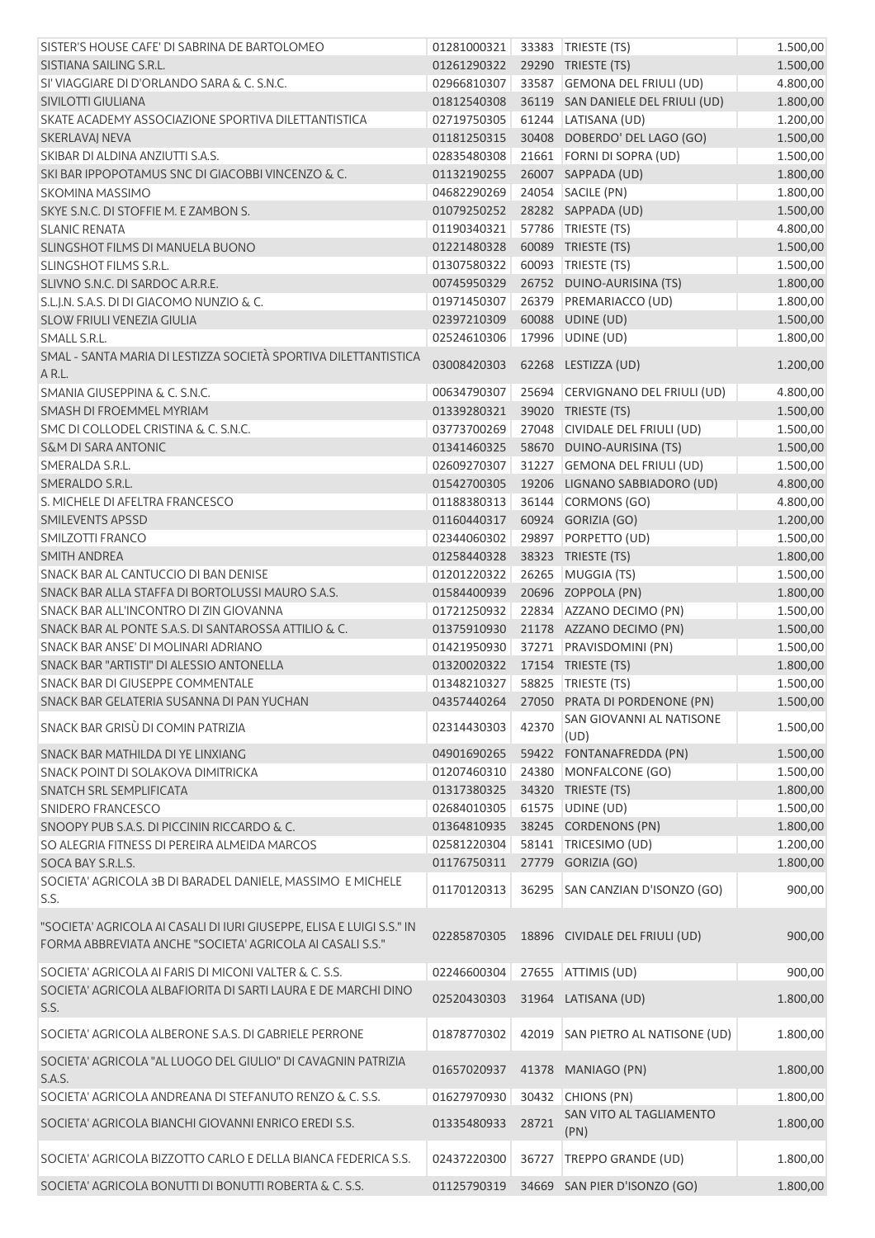| SISTER'S HOUSE CAFE' DI SABRINA DE BARTOLOMEO                                                                                      | 01281000321 |       | 33383 TRIESTE (TS)                | 1.500,00 |
|------------------------------------------------------------------------------------------------------------------------------------|-------------|-------|-----------------------------------|----------|
|                                                                                                                                    |             |       |                                   |          |
| SISTIANA SAILING S.R.L.                                                                                                            | 01261290322 |       | 29290 TRIESTE (TS)                | 1.500,00 |
| SI' VIAGGIARE DI D'ORLANDO SARA & C. S.N.C.                                                                                        | 02966810307 |       | 33587 GEMONA DEL FRIULI (UD)      | 4.800,00 |
| SIVILOTTI GIULIANA                                                                                                                 | 01812540308 |       | 36119 SAN DANIELE DEL FRIULI (UD) | 1.800,00 |
| SKATE ACADEMY ASSOCIAZIONE SPORTIVA DILETTANTISTICA                                                                                | 02719750305 |       | 61244 LATISANA (UD)               | 1.200,00 |
| <b>SKERLAVAJ NEVA</b>                                                                                                              | 01181250315 |       | 30408 DOBERDO' DEL LAGO (GO)      | 1.500,00 |
| SKIBAR DI ALDINA ANZIUTTI S.A.S.                                                                                                   | 02835480308 |       | 21661 FORNI DI SOPRA (UD)         | 1.500,00 |
| SKI BAR IPPOPOTAMUS SNC DI GIACOBBI VINCENZO & C.                                                                                  | 01132190255 |       | 26007 SAPPADA (UD)                | 1.800,00 |
| SKOMINA MASSIMO                                                                                                                    | 04682290269 |       | 24054 SACILE (PN)                 | 1.800,00 |
| SKYE S.N.C. DI STOFFIE M. E ZAMBON S.                                                                                              | 01079250252 |       | 28282 SAPPADA (UD)                | 1.500,00 |
| <b>SLANIC RENATA</b>                                                                                                               | 01190340321 |       | 57786   TRIESTE (TS)              | 4.800,00 |
| SLINGSHOT FILMS DI MANUELA BUONO                                                                                                   | 01221480328 |       | 60089 TRIESTE (TS)                | 1.500,00 |
| <b>SLINGSHOT FILMS S.R.L.</b>                                                                                                      | 01307580322 |       | 60093 TRIESTE (TS)                | 1.500,00 |
| SLIVNO S.N.C. DI SARDOC A.R.R.E.                                                                                                   | 00745950329 |       | 26752 DUINO-AURISINA (TS)         | 1.800,00 |
| S.L.J.N. S.A.S. DI DI GIACOMO NUNZIO & C.                                                                                          | 01971450307 |       | 26379 PREMARIACCO (UD)            | 1.800,00 |
| SLOW FRIULI VENEZIA GIULIA                                                                                                         | 02397210309 |       | 60088 UDINE (UD)                  |          |
|                                                                                                                                    |             |       |                                   | 1.500,00 |
| SMALL S.R.L.                                                                                                                       | 02524610306 |       | 17996 UDINE (UD)                  | 1.800,00 |
| SMAL - SANTA MARIA DI LESTIZZA SOCIETÀ SPORTIVA DILETTANTISTICA<br>A R.L.                                                          | 03008420303 |       | 62268 LESTIZZA (UD)               | 1.200,00 |
| SMANIA GIUSEPPINA & C. S.N.C.                                                                                                      | 00634790307 |       | 25694 CERVIGNANO DEL FRIULI (UD)  | 4.800,00 |
| SMASH DI FROEMMEL MYRIAM                                                                                                           | 01339280321 |       | 39020 TRIESTE (TS)                | 1.500,00 |
| SMC DI COLLODEL CRISTINA & C. S.N.C.                                                                                               | 03773700269 | 27048 | CIVIDALE DEL FRIULI (UD)          | 1.500,00 |
| <b>S&amp;M DI SARA ANTONIC</b>                                                                                                     | 01341460325 |       | 58670 DUINO-AURISINA (TS)         | 1.500,00 |
| SMERALDA S.R.L.                                                                                                                    | 02609270307 |       | 31227 GEMONA DEL FRIULI (UD)      | 1.500,00 |
| SMERALDO S.R.L.                                                                                                                    | 01542700305 |       | 19206 LIGNANO SABBIADORO (UD)     | 4.800,00 |
| S. MICHELE DI AFELTRA FRANCESCO                                                                                                    | 01188380313 |       | 36144 CORMONS (GO)                | 4.800,00 |
| SMILEVENTS APSSD                                                                                                                   | 01160440317 |       | 60924 GORIZIA (GO)                | 1.200,00 |
| SMILZOTTI FRANCO                                                                                                                   | 02344060302 |       | 29897 PORPETTO (UD)               | 1.500,00 |
| <b>SMITH ANDREA</b>                                                                                                                | 01258440328 |       | 38323 TRIESTE (TS)                | 1.800,00 |
| SNACK BAR AL CANTUCCIO DI BAN DENISE                                                                                               | 01201220322 |       | 26265 MUGGIA (TS)                 | 1.500,00 |
| SNACK BAR ALLA STAFFA DI BORTOLUSSI MAURO S.A.S.                                                                                   | 01584400939 |       | 20696 ZOPPOLA (PN)                | 1.800,00 |
| SNACK BAR ALL'INCONTRO DI ZIN GIOVANNA                                                                                             | 01721250932 |       | 22834 AZZANO DECIMO (PN)          | 1.500,00 |
| SNACK BAR AL PONTE S.A.S. DI SANTAROSSA ATTILIO & C.                                                                               | 01375910930 |       | 21178 AZZANO DECIMO (PN)          |          |
| SNACK BAR ANSE' DI MOLINARI ADRIANO                                                                                                |             |       | 37271 PRAVISDOMINI (PN)           | 1.500,00 |
|                                                                                                                                    | 01421950930 |       |                                   | 1.500,00 |
| SNACK BAR "ARTISTI" DI ALESSIO ANTONELLA                                                                                           | 01320020322 |       | 17154 TRIESTE (TS)                | 1.800,00 |
| SNACK BAR DI GIUSEPPE COMMENTALE                                                                                                   | 01348210327 |       | 58825   TRIESTE (TS)              | 1.500,00 |
| SNACK BAR GELATERIA SUSANNA DI PAN YUCHAN                                                                                          | 04357440264 |       | 27050 PRATA DI PORDENONE (PN)     | 1.500,00 |
| SNACK BAR GRISÙ DI COMIN PATRIZIA                                                                                                  | 02314430303 | 42370 | SAN GIOVANNI AL NATISONE<br>(UD)  | 1.500,00 |
| SNACK BAR MATHILDA DI YE LINXIANG                                                                                                  | 04901690265 |       | 59422 FONTANAFREDDA (PN)          | 1.500,00 |
| SNACK POINT DI SOLAKOVA DIMITRICKA                                                                                                 | 01207460310 | 24380 | MONFALCONE (GO)                   | 1.500,00 |
| SNATCH SRL SEMPLIFICATA                                                                                                            | 01317380325 |       | 34320 TRIESTE (TS)                | 1.800,00 |
| SNIDERO FRANCESCO                                                                                                                  | 02684010305 |       | 61575 UDINE (UD)                  | 1.500,00 |
| SNOOPY PUB S.A.S. DI PICCININ RICCARDO & C.                                                                                        | 01364810935 |       | 38245 CORDENONS (PN)              | 1.800,00 |
| SO ALEGRIA FITNESS DI PEREIRA ALMEIDA MARCOS                                                                                       | 02581220304 |       | 58141 TRICESIMO (UD)              | 1.200,00 |
| SOCA BAY S.R.L.S.                                                                                                                  | 01176750311 |       | 27779 GORIZIA (GO)                | 1.800,00 |
| SOCIETA' AGRICOLA 3B DI BARADEL DANIELE, MASSIMO E MICHELE                                                                         |             |       |                                   |          |
| S.S.                                                                                                                               | 01170120313 | 36295 | SAN CANZIAN D'ISONZO (GO)         | 900,00   |
| "SOCIETA' AGRICOLA AI CASALI DI IURI GIUSEPPE, ELISA E LUIGI S.S." IN<br>FORMA ABBREVIATA ANCHE "SOCIETA' AGRICOLA AI CASALI S.S." | 02285870305 |       | 18896 CIVIDALE DEL FRIULI (UD)    | 900,00   |
| SOCIETA' AGRICOLA AI FARIS DI MICONI VALTER & C. S.S.                                                                              | 02246600304 |       | 27655 ATTIMIS (UD)                | 900,00   |
| SOCIETA' AGRICOLA ALBAFIORITA DI SARTI LAURA E DE MARCHI DINO<br>S.S.                                                              | 02520430303 |       | 31964 LATISANA (UD)               | 1.800,00 |
| SOCIETA' AGRICOLA ALBERONE S.A.S. DI GABRIELE PERRONE                                                                              | 01878770302 |       | 42019 SAN PIETRO AL NATISONE (UD) | 1.800,00 |
| SOCIETA' AGRICOLA "AL LUOGO DEL GIULIO" DI CAVAGNIN PATRIZIA<br>S.A.S.                                                             | 01657020937 |       | 41378 MANIAGO (PN)                | 1.800,00 |
| SOCIETA' AGRICOLA ANDREANA DI STEFANUTO RENZO & C. S.S.                                                                            | 01627970930 |       | 30432 CHIONS (PN)                 | 1.800,00 |
| SOCIETA' AGRICOLA BIANCHI GIOVANNI ENRICO EREDI S.S.                                                                               | 01335480933 | 28721 | SAN VITO AL TAGLIAMENTO           | 1.800,00 |
| SOCIETA' AGRICOLA BIZZOTTO CARLO E DELLA BIANCA FEDERICA S.S.                                                                      | 02437220300 | 36727 | (PN)<br>TREPPO GRANDE (UD)        | 1.800,00 |
|                                                                                                                                    |             |       |                                   |          |
| SOCIETA' AGRICOLA BONUTTI DI BONUTTI ROBERTA & C. S.S.                                                                             | 01125790319 |       | 34669 SAN PIER D'ISONZO (GO)      | 1.800,00 |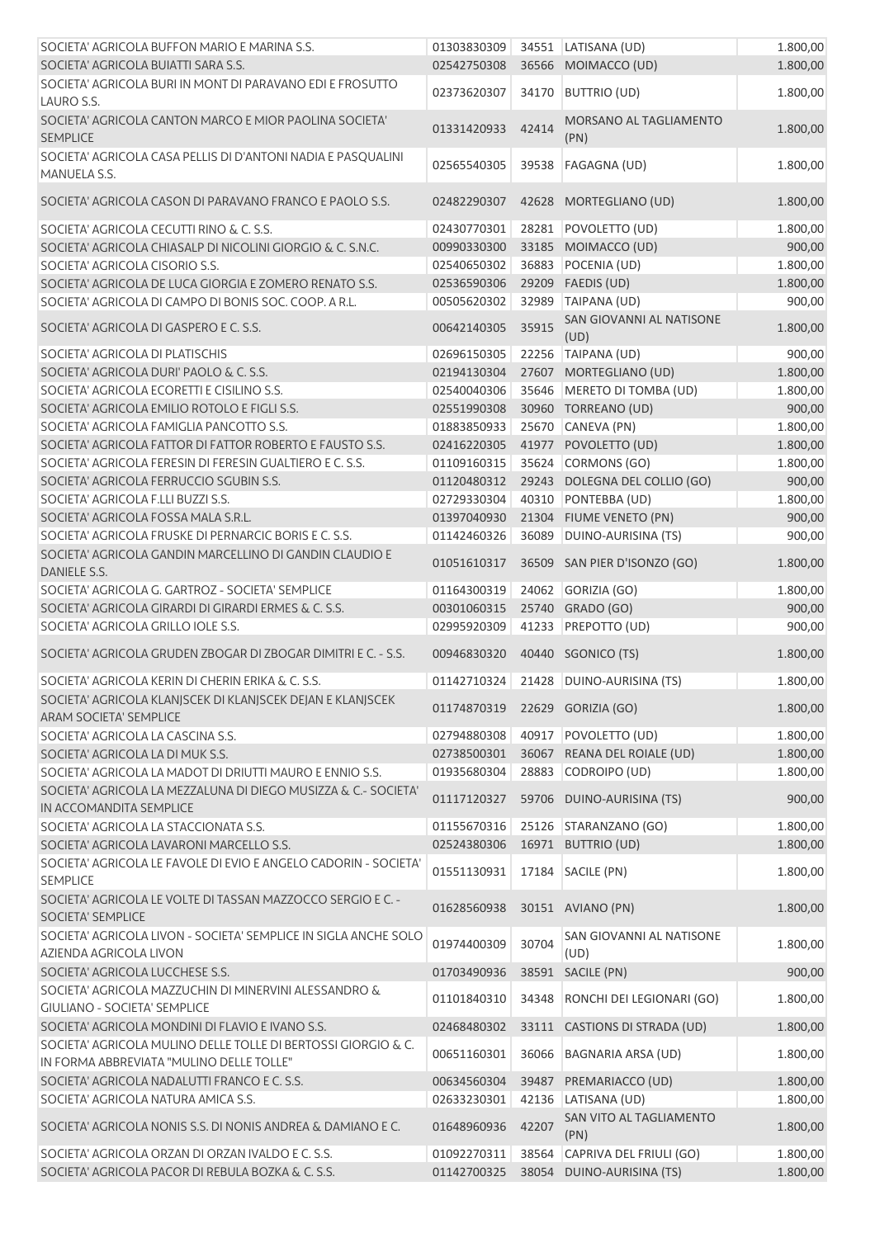| SOCIETA' AGRICOLA BUFFON MARIO E MARINA S.S.                                                              | 01303830309 |       | 34551 LATISANA (UD)                   | 1.800,00 |
|-----------------------------------------------------------------------------------------------------------|-------------|-------|---------------------------------------|----------|
| SOCIETA' AGRICOLA BUIATTI SARA S.S.                                                                       | 02542750308 |       | 36566 MOIMACCO (UD)                   | 1.800,00 |
| SOCIETA' AGRICOLA BURI IN MONT DI PARAVANO EDI E FROSUTTO<br>LAURO S.S.                                   | 02373620307 | 34170 | <b>BUTTRIO (UD)</b>                   | 1.800,00 |
| SOCIETA' AGRICOLA CANTON MARCO E MIOR PAOLINA SOCIETA'<br><b>SEMPLICE</b>                                 | 01331420933 | 42414 | <b>MORSANO AL TAGLIAMENTO</b><br>(PN) | 1.800,00 |
| SOCIETA' AGRICOLA CASA PELLIS DI D'ANTONI NADIA E PASQUALINI<br>MANUELA S.S.                              | 02565540305 | 39538 | <b>FAGAGNA (UD)</b>                   | 1.800,00 |
| SOCIETA' AGRICOLA CASON DI PARAVANO FRANCO E PAOLO S.S.                                                   | 02482290307 | 42628 | MORTEGLIANO (UD)                      | 1.800,00 |
| SOCIETA' AGRICOLA CECUTTI RINO & C. S.S.                                                                  | 02430770301 | 28281 | POVOLETTO (UD)                        | 1.800,00 |
| SOCIETA' AGRICOLA CHIASALP DI NICOLINI GIORGIO & C. S.N.C.                                                | 00990330300 |       | 33185 MOIMACCO (UD)                   | 900,00   |
| SOCIETA' AGRICOLA CISORIO S.S.                                                                            | 02540650302 |       | 36883 POCENIA (UD)                    | 1.800,00 |
| SOCIETA' AGRICOLA DE LUCA GIORGIA E ZOMERO RENATO S.S.                                                    | 02536590306 |       | 29209 FAEDIS (UD)                     | 1.800,00 |
| SOCIETA' AGRICOLA DI CAMPO DI BONIS SOC. COOP. A R.L.                                                     | 00505620302 | 32989 | TAIPANA (UD)                          | 900,00   |
| SOCIETA' AGRICOLA DI GASPERO E C. S.S.                                                                    | 00642140305 | 35915 | SAN GIOVANNI AL NATISONE<br>(UD)      | 1.800,00 |
| SOCIETA' AGRICOLA DI PLATISCHIS                                                                           | 02696150305 |       | 22256 TAIPANA (UD)                    | 900,00   |
| SOCIETA' AGRICOLA DURI' PAOLO & C. S.S.                                                                   | 02194130304 |       | 27607 MORTEGLIANO (UD)                | 1.800,00 |
| SOCIETA' AGRICOLA ECORETTI E CISILINO S.S.                                                                | 02540040306 |       | 35646 MERETO DI TOMBA (UD)            | 1.800,00 |
| SOCIETA' AGRICOLA EMILIO ROTOLO E FIGLI S.S.                                                              | 02551990308 |       | 30960 TORREANO (UD)                   | 900,00   |
| SOCIETA' AGRICOLA FAMIGLIA PANCOTTO S.S.                                                                  | 01883850933 |       | 25670 CANEVA (PN)                     | 1.800,00 |
| SOCIETA' AGRICOLA FATTOR DI FATTOR ROBERTO E FAUSTO S.S.                                                  | 02416220305 |       | 41977 POVOLETTO (UD)                  | 1.800,00 |
|                                                                                                           |             |       | 35624 CORMONS (GO)                    |          |
| SOCIETA' AGRICOLA FERESIN DI FERESIN GUALTIERO E C. S.S.                                                  | 01109160315 |       |                                       | 1.800,00 |
| SOCIETA' AGRICOLA FERRUCCIO SGUBIN S.S.                                                                   | 01120480312 |       | 29243 DOLEGNA DEL COLLIO (GO)         | 900,00   |
| SOCIETA' AGRICOLA F.LLI BUZZI S.S.                                                                        | 02729330304 | 40310 | PONTEBBA (UD)                         | 1.800,00 |
| SOCIETA' AGRICOLA FOSSA MALA S.R.L.                                                                       | 01397040930 |       | 21304 FIUME VENETO (PN)               | 900,00   |
| SOCIETA' AGRICOLA FRUSKE DI PERNARCIC BORIS E C. S.S.                                                     | 01142460326 | 36089 | DUINO-AURISINA (TS)                   | 900,00   |
| SOCIETA' AGRICOLA GANDIN MARCELLINO DI GANDIN CLAUDIO E<br>DANIELE S.S.                                   | 01051610317 |       | 36509 SAN PIER D'ISONZO (GO)          | 1.800,00 |
| SOCIETA' AGRICOLA G. GARTROZ - SOCIETA' SEMPLICE                                                          | 01164300319 | 24062 | GORIZIA (GO)                          | 1.800,00 |
| SOCIETA' AGRICOLA GIRARDI DI GIRARDI ERMES & C. S.S.                                                      | 00301060315 |       | 25740 GRADO (GO)                      | 900,00   |
| SOCIETA' AGRICOLA GRILLO IOLE S.S.                                                                        | 02995920309 |       | 41233 PREPOTTO (UD)                   | 900,00   |
| SOCIETA' AGRICOLA GRUDEN ZBOGAR DI ZBOGAR DIMITRI E C. - S.S.                                             | 00946830320 | 40440 | SGONICO (TS)                          | 1.800,00 |
| SOCIETA' AGRICOLA KERIN DI CHERIN ERIKA & C. S.S.                                                         | 01142710324 |       | 21428 DUINO-AURISINA (TS)             | 1.800,00 |
| SOCIETA' AGRICOLA KLANJSCEK DI KLANJSCEK DEJAN E KLANJSCEK                                                |             |       |                                       |          |
| ARAM SOCIETA' SEMPLICE                                                                                    | 01174870319 |       | 22629 GORIZIA (GO)                    | 1.800,00 |
| SOCIETA' AGRICOLA LA CASCINA S.S.                                                                         | 02794880308 |       | 40917 POVOLETTO (UD)                  | 1.800,00 |
| SOCIETA' AGRICOLA LA DI MUK S.S.                                                                          | 02738500301 |       | 36067 REANA DEL ROIALE (UD)           | 1.800,00 |
| SOCIETA' AGRICOLA LA MADOT DI DRIUTTI MAURO E ENNIO S.S.                                                  | 01935680304 |       | 28883 CODROIPO (UD)                   | 1.800,00 |
| SOCIETA' AGRICOLA LA MEZZALUNA DI DIEGO MUSIZZA & C.- SOCIETA'<br>IN ACCOMANDITA SEMPLICE                 | 01117120327 |       | 59706 DUINO-AURISINA (TS)             | 900,00   |
| SOCIETA' AGRICOLA LA STACCIONATA S.S.                                                                     | 01155670316 |       | 25126 STARANZANO (GO)                 | 1.800,00 |
| SOCIETA' AGRICOLA LAVARONI MARCELLO S.S.                                                                  | 02524380306 |       | 16971 BUTTRIO (UD)                    | 1.800,00 |
| SOCIETA' AGRICOLA LE FAVOLE DI EVIO E ANGELO CADORIN - SOCIETA'                                           |             |       |                                       |          |
| <b>SEMPLICE</b>                                                                                           | 01551130931 |       | 17184 SACILE (PN)                     | 1.800,00 |
| SOCIETA' AGRICOLA LE VOLTE DI TASSAN MAZZOCCO SERGIO E C. -<br>SOCIETA' SEMPLICE                          | 01628560938 |       | 30151 AVIANO (PN)                     | 1.800,00 |
| SOCIETA' AGRICOLA LIVON - SOCIETA' SEMPLICE IN SIGLA ANCHE SOLO<br><b>AZIENDA AGRICOLA LIVON</b>          | 01974400309 | 30704 | SAN GIOVANNI AL NATISONE<br>(UD)      | 1.800,00 |
| SOCIETA' AGRICOLA LUCCHESE S.S.                                                                           | 01703490936 | 38591 | SACILE (PN)                           | 900,00   |
| SOCIETA' AGRICOLA MAZZUCHIN DI MINERVINI ALESSANDRO &                                                     | 01101840310 | 34348 | RONCHI DEI LEGIONARI (GO)             | 1.800,00 |
| <b>GIULIANO - SOCIETA' SEMPLICE</b>                                                                       |             |       |                                       |          |
| SOCIETA' AGRICOLA MONDINI DI FLAVIO E IVANO S.S.                                                          | 02468480302 |       | 33111 CASTIONS DI STRADA (UD)         | 1.800,00 |
| SOCIETA' AGRICOLA MULINO DELLE TOLLE DI BERTOSSI GIORGIO & C.<br>IN FORMA ABBREVIATA "MULINO DELLE TOLLE" | 00651160301 | 36066 | <b>BAGNARIA ARSA (UD)</b>             | 1.800,00 |
| SOCIETA' AGRICOLA NADALUTTI FRANCO E C. S.S.                                                              | 00634560304 | 39487 | PREMARIACCO (UD)                      | 1.800,00 |
| SOCIETA' AGRICOLA NATURA AMICA S.S.                                                                       | 02633230301 | 42136 | LATISANA (UD)                         | 1.800,00 |
| SOCIETA' AGRICOLA NONIS S.S. DI NONIS ANDREA & DAMIANO E C.                                               | 01648960936 | 42207 | SAN VITO AL TAGLIAMENTO<br>(PN)       | 1.800,00 |
| SOCIETA' AGRICOLA ORZAN DI ORZAN IVALDO E C. S.S.                                                         | 01092270311 | 38564 | CAPRIVA DEL FRIULI (GO)               | 1.800,00 |
| SOCIETA' AGRICOLA PACOR DI REBULA BOZKA & C. S.S.                                                         | 01142700325 |       | 38054 DUINO-AURISINA (TS)             | 1.800,00 |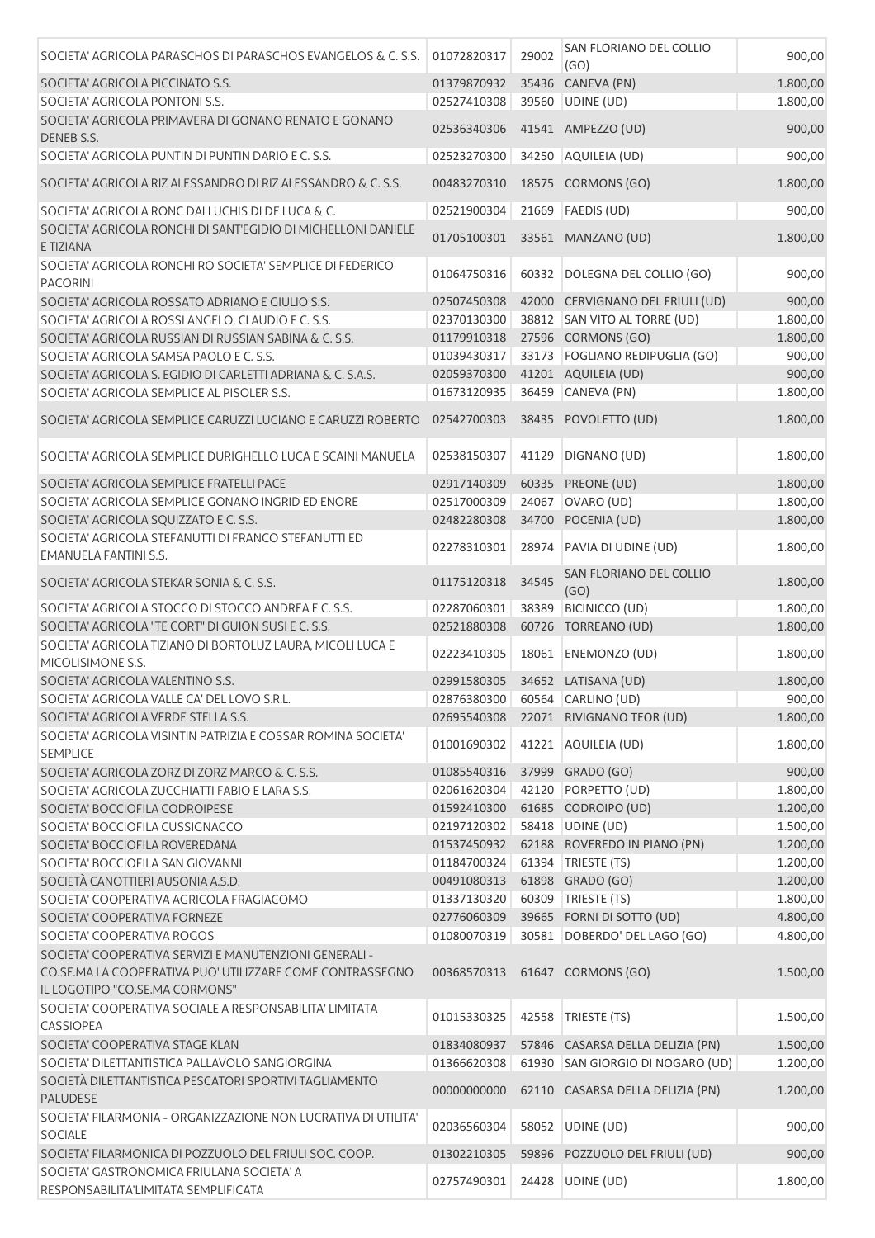| SOCIETA' AGRICOLA PARASCHOS DI PARASCHOS EVANGELOS & C. S.S.                                | 01072820317                    | 29002 | SAN FLORIANO DEL COLLIO<br>(GO)  | 900,00   |
|---------------------------------------------------------------------------------------------|--------------------------------|-------|----------------------------------|----------|
| SOCIETA' AGRICOLA PICCINATO S.S.                                                            | 01379870932                    | 35436 | CANEVA (PN)                      | 1.800,00 |
| SOCIETA' AGRICOLA PONTONI S.S.                                                              | 02527410308                    |       | 39560 UDINE (UD)                 | 1.800,00 |
| SOCIETA' AGRICOLA PRIMAVERA DI GONANO RENATO E GONANO<br>DENEB S.S.                         | 02536340306                    |       | 41541 AMPEZZO (UD)               | 900,00   |
| SOCIETA' AGRICOLA PUNTIN DI PUNTIN DARIO E C. S.S.                                          | 02523270300                    |       | 34250 AQUILEIA (UD)              | 900,00   |
| SOCIETA' AGRICOLA RIZ ALESSANDRO DI RIZ ALESSANDRO & C. S.S.                                | 00483270310                    |       | 18575 CORMONS (GO)               | 1.800,00 |
| SOCIETA' AGRICOLA RONC DAI LUCHIS DI DE LUCA & C.                                           | 02521900304                    |       | 21669   FAEDIS (UD)              | 900,00   |
| SOCIETA' AGRICOLA RONCHI DI SANT'EGIDIO DI MICHELLONI DANIELE<br>E TIZIANA                  | 01705100301                    |       | 33561 MANZANO (UD)               | 1.800,00 |
| SOCIETA' AGRICOLA RONCHI RO SOCIETA' SEMPLICE DI FEDERICO<br><b>PACORINI</b>                | 01064750316                    | 60332 | DOLEGNA DEL COLLIO (GO)          | 900,00   |
| SOCIETA' AGRICOLA ROSSATO ADRIANO E GIULIO S.S.                                             | 02507450308                    | 42000 | CERVIGNANO DEL FRIULI (UD)       | 900,00   |
| SOCIETA' AGRICOLA ROSSI ANGELO, CLAUDIO E C. S.S.                                           | 02370130300                    |       | 38812 SAN VITO AL TORRE (UD)     | 1.800,00 |
| SOCIETA' AGRICOLA RUSSIAN DI RUSSIAN SABINA & C. S.S.                                       | 01179910318                    |       | 27596 CORMONS (GO)               | 1.800,00 |
| SOCIETA' AGRICOLA SAMSA PAOLO E C. S.S.                                                     | 01039430317                    |       | 33173 FOGLIANO REDIPUGLIA (GO)   | 900,00   |
| SOCIETA' AGRICOLA S. EGIDIO DI CARLETTI ADRIANA & C. S.A.S.                                 | 02059370300                    |       | 41201 AQUILEIA (UD)              | 900,00   |
| SOCIETA' AGRICOLA SEMPLICE AL PISOLER S.S.                                                  | 01673120935                    |       | 36459 CANEVA (PN)                | 1.800,00 |
| SOCIETA' AGRICOLA SEMPLICE CARUZZI LUCIANO E CARUZZI ROBERTO                                | 02542700303                    |       | 38435 POVOLETTO (UD)             | 1.800,00 |
| SOCIETA' AGRICOLA SEMPLICE DURIGHELLO LUCA E SCAINI MANUELA                                 | 02538150307                    | 41129 | DIGNANO (UD)                     | 1.800,00 |
| SOCIETA' AGRICOLA SEMPLICE FRATELLI PACE                                                    | 02917140309                    |       | 60335 PREONE (UD)                | 1.800,00 |
| SOCIETA' AGRICOLA SEMPLICE GONANO INGRID ED ENORE                                           | 02517000309                    | 24067 | OVARO (UD)                       | 1.800,00 |
| SOCIETA' AGRICOLA SQUIZZATO E C. S.S.                                                       | 02482280308                    | 34700 | POCENIA (UD)                     | 1.800,00 |
| SOCIETA' AGRICOLA STEFANUTTI DI FRANCO STEFANUTTI ED                                        |                                |       |                                  |          |
| <b>EMANUELA FANTINI S.S.</b>                                                                | 02278310301                    | 28974 | PAVIA DI UDINE (UD)              | 1.800,00 |
| SOCIETA' AGRICOLA STEKAR SONIA & C. S.S.                                                    | 01175120318                    | 34545 | SAN FLORIANO DEL COLLIO<br>(GO)  | 1.800,00 |
| SOCIETA' AGRICOLA STOCCO DI STOCCO ANDREA E C. S.S.                                         | 02287060301                    | 38389 | <b>BICINICCO (UD)</b>            | 1.800,00 |
| SOCIETA' AGRICOLA "TE CORT" DI GUION SUSI E C. S.S.                                         | 02521880308                    | 60726 | TORREANO (UD)                    | 1.800,00 |
| SOCIETA' AGRICOLA TIZIANO DI BORTOLUZ LAURA, MICOLI LUCA E<br>MICOLISIMONE S.S.             | 02223410305                    | 18061 | ENEMONZO (UD)                    | 1.800,00 |
| SOCIETA' AGRICOLA VALENTINO S.S.                                                            |                                |       | 02991580305 34652 LATISANA (UD)  | 1.800,00 |
| SOCIETA' AGRICOLA VALLE CA' DEL LOVO S.R.L.                                                 | 02876380300 60564 CARLINO (UD) |       |                                  | 900,00   |
| SOCIETA' AGRICOLA VERDE STELLA S.S.                                                         | 02695540308                    |       | 22071 RIVIGNANO TEOR (UD)        | 1.800,00 |
| SOCIETA' AGRICOLA VISINTIN PATRIZIA E COSSAR ROMINA SOCIETA'<br><b>SEMPLICE</b>             | 01001690302                    |       | 41221 AQUILEIA (UD)              | 1.800,00 |
| SOCIETA' AGRICOLA ZORZ DI ZORZ MARCO & C. S.S.                                              | 01085540316                    |       | 37999 GRADO (GO)                 | 900,00   |
| SOCIETA' AGRICOLA ZUCCHIATTI FABIO E LARA S.S.                                              | 02061620304                    |       | 42120 PORPETTO (UD)              | 1.800,00 |
| SOCIETA' BOCCIOFILA CODROIPESE                                                              | 01592410300                    |       | 61685 CODROIPO (UD)              | 1.200,00 |
| SOCIETA' BOCCIOFILA CUSSIGNACCO                                                             | 02197120302                    |       | 58418 UDINE (UD)                 | 1.500,00 |
| SOCIETA' BOCCIOFILA ROVEREDANA                                                              | 01537450932                    |       | 62188 ROVEREDO IN PIANO (PN)     | 1.200,00 |
| SOCIETA' BOCCIOFILA SAN GIOVANNI                                                            | 01184700324                    |       | 61394 TRIESTE (TS)               | 1.200,00 |
| SOCIETÀ CANOTTIERI AUSONIA A.S.D.                                                           | 00491080313                    |       | 61898 GRADO (GO)                 | 1.200,00 |
| SOCIETA' COOPERATIVA AGRICOLA FRAGIACOMO                                                    | 01337130320                    | 60309 | TRIESTE (TS)                     | 1.800,00 |
| SOCIETA' COOPERATIVA FORNEZE                                                                | 02776060309                    |       | 39665 FORNI DI SOTTO (UD)        | 4.800,00 |
| SOCIETA' COOPERATIVA ROGOS                                                                  | 01080070319                    |       | 30581 DOBERDO' DEL LAGO (GO)     | 4.800,00 |
| SOCIETA' COOPERATIVA SERVIZI E MANUTENZIONI GENERALI -                                      |                                |       |                                  |          |
| CO.SE.MA LA COOPERATIVA PUO' UTILIZZARE COME CONTRASSEGNO<br>IL LOGOTIPO "CO.SE.MA CORMONS" | 00368570313                    |       | 61647 CORMONS (GO)               | 1.500,00 |
| SOCIETA' COOPERATIVA SOCIALE A RESPONSABILITA' LIMITATA<br>CASSIOPEA                        | 01015330325                    | 42558 | TRIESTE (TS)                     | 1.500,00 |
| SOCIETA' COOPERATIVA STAGE KLAN                                                             | 01834080937                    |       | 57846 CASARSA DELLA DELIZIA (PN) | 1.500,00 |
| SOCIETA' DILETTANTISTICA PALLAVOLO SANGIORGINA                                              | 01366620308                    |       | 61930 SAN GIORGIO DI NOGARO (UD) | 1.200,00 |
| SOCIETÀ DILETTANTISTICA PESCATORI SPORTIVI TAGLIAMENTO<br><b>PALUDESE</b>                   | 00000000000                    |       | 62110 CASARSA DELLA DELIZIA (PN) | 1.200,00 |
| SOCIETA' FILARMONIA - ORGANIZZAZIONE NON LUCRATIVA DI UTILITA'<br><b>SOCIALE</b>            | 02036560304                    |       | 58052 UDINE (UD)                 | 900,00   |
| SOCIETA' FILARMONICA DI POZZUOLO DEL FRIULI SOC. COOP.                                      | 01302210305                    |       | 59896 POZZUOLO DEL FRIULI (UD)   | 900,00   |
| SOCIETA' GASTRONOMICA FRIULANA SOCIETA' A<br>RESPONSABILITA'LIMITATA SEMPLIFICATA           | 02757490301                    |       | 24428 UDINE (UD)                 | 1.800,00 |
|                                                                                             |                                |       |                                  |          |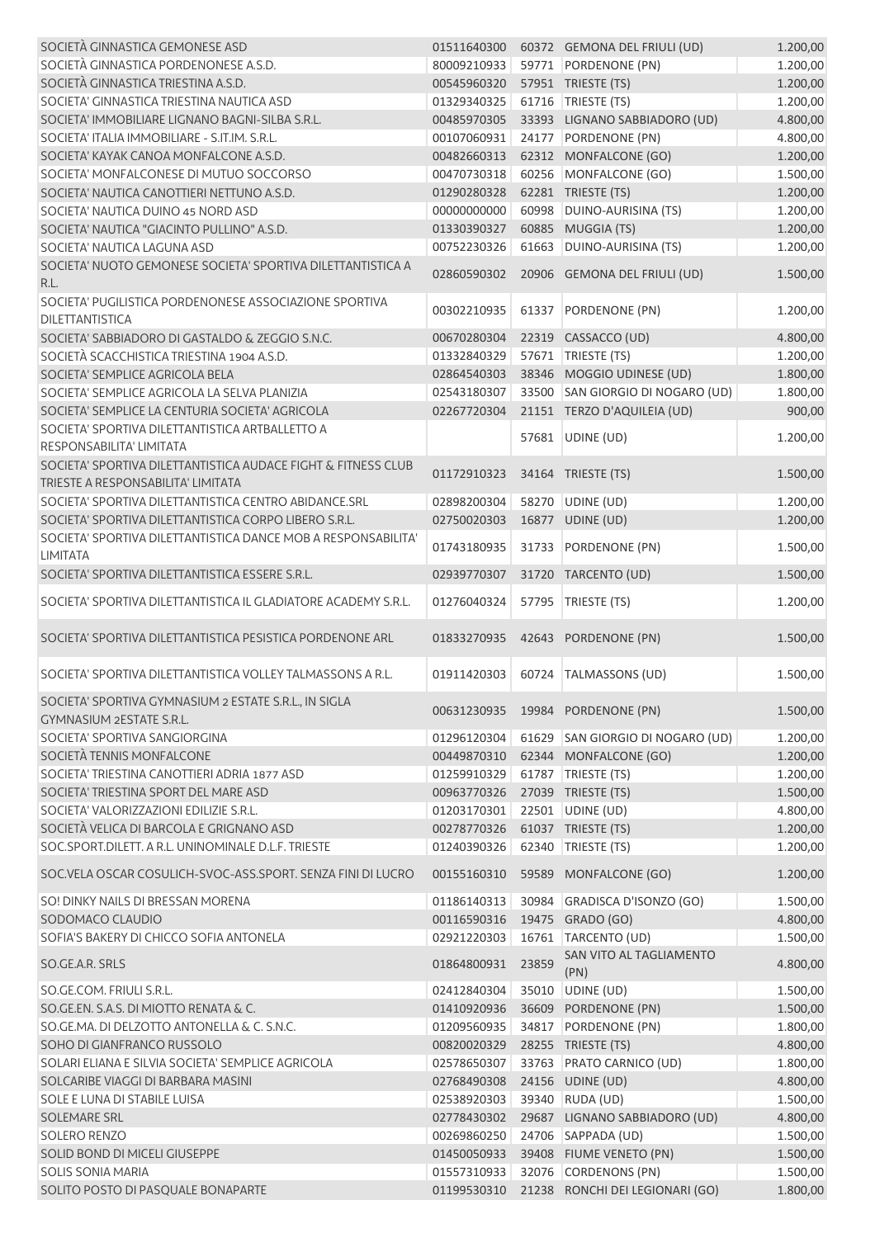| SOCIETÀ GINNASTICA GEMONESE ASD                                                                  | 01511640300 |       | 60372 GEMONA DEL FRIULI (UD)     | 1.200,00             |
|--------------------------------------------------------------------------------------------------|-------------|-------|----------------------------------|----------------------|
| SOCIETÀ GINNASTICA PORDENONESE A.S.D.                                                            | 80009210933 |       | 59771 PORDENONE (PN)             | 1.200,00             |
| SOCIETÀ GINNASTICA TRIESTINA A.S.D.                                                              | 00545960320 |       | 57951 TRIESTE (TS)               | 1.200,00             |
| SOCIETA' GINNASTICA TRIESTINA NAUTICA ASD                                                        | 01329340325 |       | 61716   TRIESTE (TS)             | 1.200,00             |
| SOCIETA' IMMOBILIARE LIGNANO BAGNI-SILBA S.R.L.                                                  | 00485970305 |       | 33393 LIGNANO SABBIADORO (UD)    | 4.800,00             |
| SOCIETA' ITALIA IMMOBILIARE - S.IT.IM. S.R.L.                                                    | 00107060931 |       | 24177 PORDENONE (PN)             | 4.800,00             |
|                                                                                                  |             |       |                                  |                      |
| SOCIETA' KAYAK CANOA MONFALCONE A.S.D.                                                           | 00482660313 |       | 62312 MONFALCONE (GO)            | 1.200,00             |
| SOCIETA' MONFALCONESE DI MUTUO SOCCORSO                                                          | 00470730318 |       | 60256 MONFALCONE (GO)            | 1.500,00             |
| SOCIETA' NAUTICA CANOTTIERI NETTUNO A.S.D.                                                       | 01290280328 |       | 62281 TRIESTE (TS)               | 1.200,00             |
| SOCIETA' NAUTICA DUINO 45 NORD ASD                                                               | 00000000000 |       | 60998 DUINO-AURISINA (TS)        | 1.200,00             |
| SOCIETA' NAUTICA "GIACINTO PULLINO" A.S.D.                                                       | 01330390327 |       | 60885 MUGGIA (TS)                | 1.200,00             |
| SOCIETA' NAUTICA LAGUNA ASD                                                                      | 00752230326 |       | 61663 DUINO-AURISINA (TS)        | 1.200,00             |
| SOCIETA' NUOTO GEMONESE SOCIETA' SPORTIVA DILETTANTISTICA A<br>R.L.                              | 02860590302 |       | 20906 GEMONA DEL FRIULI (UD)     | 1.500,00             |
| SOCIETA' PUGILISTICA PORDENONESE ASSOCIAZIONE SPORTIVA<br><b>DILETTANTISTICA</b>                 | 00302210935 | 61337 | PORDENONE (PN)                   | 1.200,00             |
| SOCIETA' SABBIADORO DI GASTALDO & ZEGGIO S.N.C.                                                  | 00670280304 |       | 22319 CASSACCO (UD)              | 4.800,00             |
| SOCIETÀ SCACCHISTICA TRIESTINA 1904 A.S.D.                                                       | 01332840329 |       | 57671   TRIESTE (TS)             | 1.200,00             |
| SOCIETA' SEMPLICE AGRICOLA BELA                                                                  | 02864540303 |       | 38346 MOGGIO UDINESE (UD)        | 1.800,00             |
| SOCIETA' SEMPLICE AGRICOLA LA SELVA PLANIZIA                                                     | 02543180307 |       | 33500 SAN GIORGIO DI NOGARO (UD) | 1.800,00             |
| SOCIETA' SEMPLICE LA CENTURIA SOCIETA' AGRICOLA                                                  | 02267720304 |       | 21151 TERZO D'AQUILEIA (UD)      | 900,00               |
| SOCIETA' SPORTIVA DILETTANTISTICA ARTBALLETTO A                                                  |             |       |                                  |                      |
| <b>RESPONSABILITA' LIMITATA</b><br>SOCIETA' SPORTIVA DILETTANTISTICA AUDACE FIGHT & FITNESS CLUB |             |       | 57681 UDINE (UD)                 | 1.200,00             |
| TRIESTE A RESPONSABILITA' LIMITATA                                                               | 01172910323 |       | 34164 TRIESTE (TS)               | 1.500,00             |
| SOCIETA' SPORTIVA DILETTANTISTICA CENTRO ABIDANCE.SRL                                            | 02898200304 |       | 58270 UDINE (UD)                 | 1.200,00             |
| SOCIETA' SPORTIVA DILETTANTISTICA CORPO LIBERO S.R.L.                                            | 02750020303 |       | 16877 UDINE (UD)                 | 1.200,00             |
| SOCIETA' SPORTIVA DILETTANTISTICA DANCE MOB A RESPONSABILITA'<br><b>LIMITATA</b>                 | 01743180935 |       | 31733 PORDENONE (PN)             | 1.500,00             |
| SOCIETA' SPORTIVA DILETTANTISTICA ESSERE S.R.L.                                                  | 02939770307 |       | 31720 TARCENTO (UD)              | 1.500,00             |
| SOCIETA' SPORTIVA DILETTANTISTICA IL GLADIATORE ACADEMY S.R.L.                                   | 01276040324 | 57795 | TRIESTE (TS)                     | 1.200,00             |
| SOCIETA' SPORTIVA DILETTANTISTICA PESISTICA PORDENONE ARL                                        | 01833270935 |       | 42643 PORDENONE (PN)             | 1.500,00             |
| SOCIETA' SPORTIVA DILETTANTISTICA VOLLEY TALMASSONS A R.L.                                       | 01911420303 | 60724 | TALMASSONS (UD)                  | 1.500,00             |
| SOCIETA' SPORTIVA GYMNASIUM 2 ESTATE S.R.L., IN SIGLA<br>GYMNASIUM 2ESTATE S.R.L.                |             |       | 00631230935 19984 PORDENONE (PN) | 1.500,00             |
| SOCIETA' SPORTIVA SANGIORGINA                                                                    | 01296120304 |       | 61629 SAN GIORGIO DI NOGARO (UD) | 1.200,00             |
| SOCIETÀ TENNIS MONFALCONE                                                                        | 00449870310 |       | 62344 MONFALCONE (GO)            | 1.200,00             |
| SOCIETA' TRIESTINA CANOTTIERI ADRIA 1877 ASD                                                     | 01259910329 |       | 61787   TRIESTE (TS)             | 1.200,00             |
| SOCIETA' TRIESTINA SPORT DEL MARE ASD                                                            | 00963770326 |       | 27039 TRIESTE (TS)               | 1.500,00             |
| SOCIETA' VALORIZZAZIONI EDILIZIE S.R.L.                                                          | 01203170301 |       | 22501 UDINE (UD)                 | 4.800,00             |
| SOCIETÀ VELICA DI BARCOLA E GRIGNANO ASD                                                         | 00278770326 |       | 61037 TRIESTE (TS)               | 1.200,00             |
| SOC.SPORT.DILETT. A R.L. UNINOMINALE D.L.F. TRIESTE                                              | 01240390326 |       | 62340 TRIESTE (TS)               | 1.200,00             |
|                                                                                                  |             |       |                                  |                      |
| SOC.VELA OSCAR COSULICH-SVOC-ASS.SPORT. SENZA FINI DI LUCRO                                      | 00155160310 |       | 59589 MONFALCONE (GO)            | 1.200,00             |
| SO! DINKY NAILS DI BRESSAN MORENA                                                                | 01186140313 | 30984 | GRADISCA D'ISONZO (GO)           | 1.500,00             |
| SODOMACO CLAUDIO                                                                                 | 00116590316 |       | 19475 GRADO (GO)                 | 4.800,00             |
| SOFIA'S BAKERY DI CHICCO SOFIA ANTONELA                                                          | 02921220303 |       | 16761 TARCENTO (UD)              | 1.500,00             |
| SO.GE.A.R. SRLS                                                                                  | 01864800931 | 23859 | SAN VITO AL TAGLIAMENTO<br>(PN)  | 4.800,00             |
| SO.GE.COM. FRIULI S.R.L.                                                                         | 02412840304 | 35010 | UDINE (UD)                       | 1.500,00             |
| SO.GE.EN. S.A.S. DI MIOTTO RENATA & C.                                                           | 01410920936 |       | 36609 PORDENONE (PN)             | 1.500,00             |
| SO.GE.MA. DI DELZOTTO ANTONELLA & C. S.N.C.                                                      | 01209560935 |       | 34817 PORDENONE (PN)             | 1.800,00             |
| SOHO DI GIANFRANCO RUSSOLO                                                                       | 00820020329 |       | 28255 TRIESTE (TS)               | 4.800,00             |
| SOLARI ELIANA E SILVIA SOCIETA' SEMPLICE AGRICOLA                                                | 02578650307 |       | 33763 PRATO CARNICO (UD)         | 1.800,00             |
| SOLCARIBE VIAGGI DI BARBARA MASINI                                                               | 02768490308 |       | 24156 UDINE (UD)                 | 4.800,00             |
| SOLE E LUNA DI STABILE LUISA                                                                     | 02538920303 |       | 39340 RUDA (UD)                  | 1.500,00             |
|                                                                                                  |             |       |                                  |                      |
| SOLEMARE SRL                                                                                     | 02778430302 |       | 29687 LIGNANO SABBIADORO (UD)    | 4.800,00             |
| <b>SOLERO RENZO</b>                                                                              | 00269860250 |       | 24706 SAPPADA (UD)               | 1.500,00             |
| SOLID BOND DI MICELI GIUSEPPE                                                                    | 01450050933 |       | 39408 FIUME VENETO (PN)          |                      |
| <b>SOLIS SONIA MARIA</b>                                                                         | 01557310933 |       | 32076 CORDENONS (PN)             | 1.500,00<br>1.500,00 |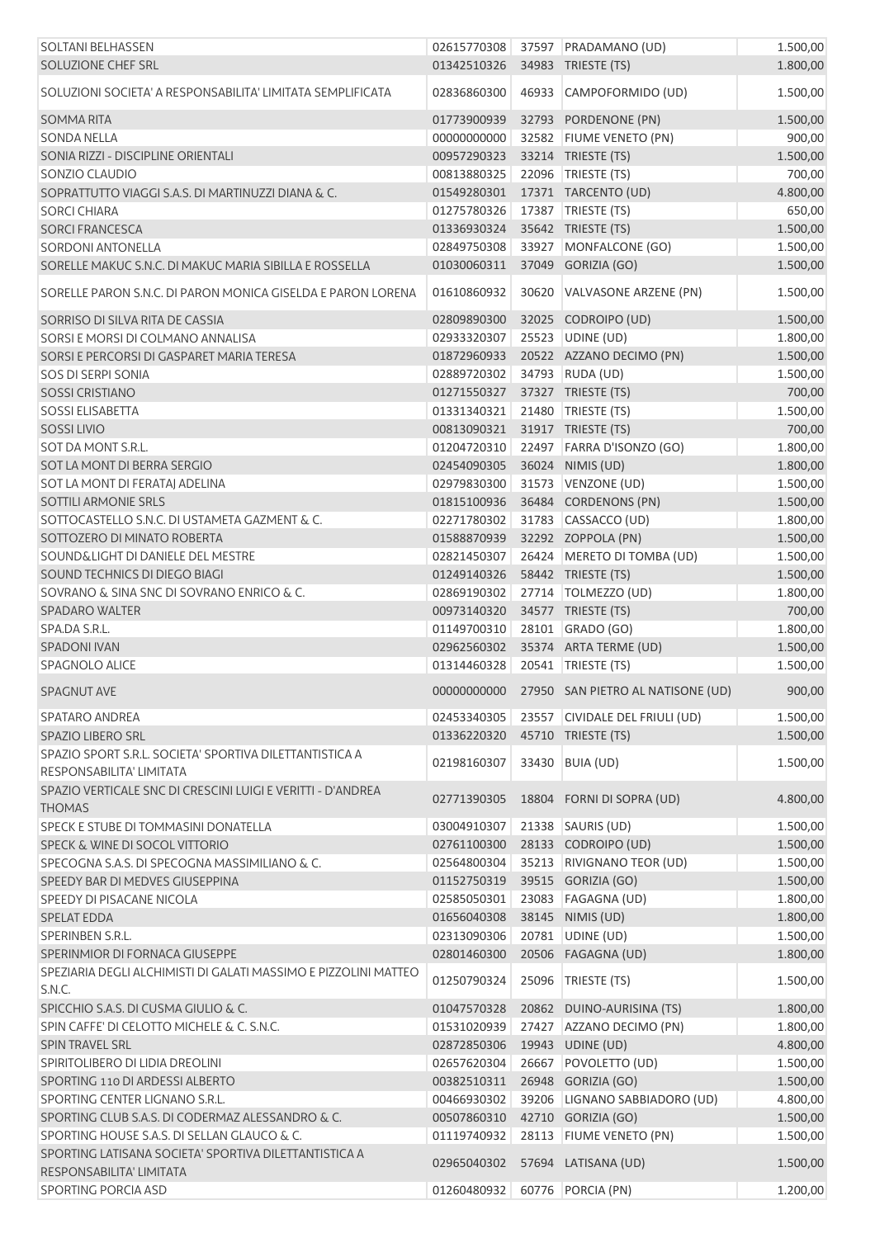| <b>SOLTANI BELHASSEN</b><br>SOLUZIONE CHEF SRL                               | 02615770308<br>01342510326 |       | 37597 PRADAMANO (UD)<br>34983 TRIESTE (TS)    | 1.500,00<br>1.800,00 |
|------------------------------------------------------------------------------|----------------------------|-------|-----------------------------------------------|----------------------|
| SOLUZIONI SOCIETA' A RESPONSABILITA' LIMITATA SEMPLIFICATA                   | 02836860300                | 46933 | CAMPOFORMIDO (UD)                             | 1.500,00             |
| SOMMA RITA                                                                   | 01773900939                |       | 32793 PORDENONE (PN)                          | 1.500,00             |
| <b>SONDA NELLA</b>                                                           | 00000000000                |       | 32582 FIUME VENETO (PN)                       | 900,00               |
| SONIA RIZZI - DISCIPLINE ORIENTALI                                           | 00957290323                |       | 33214 TRIESTE (TS)                            | 1.500,00             |
| SONZIO CLAUDIO                                                               | 00813880325                |       | 22096   TRIESTE (TS)                          | 700,00               |
| SOPRATTUTTO VIAGGI S.A.S. DI MARTINUZZI DIANA & C.                           | 01549280301                |       | 17371 TARCENTO (UD)                           | 4.800,00             |
|                                                                              |                            |       |                                               |                      |
| <b>SORCI CHIARA</b>                                                          | 01275780326                |       | 17387   TRIESTE (TS)                          | 650,00               |
| <b>SORCI FRANCESCA</b>                                                       | 01336930324                |       | 35642 TRIESTE (TS)                            | 1.500,00             |
| <b>SORDONI ANTONELLA</b>                                                     | 02849750308                |       | 33927 MONFALCONE (GO)                         | 1.500,00             |
| SORELLE MAKUC S.N.C. DI MAKUC MARIA SIBILLA E ROSSELLA                       | 01030060311                |       | 37049 GORIZIA (GO)                            | 1.500,00             |
| SORELLE PARON S.N.C. DI PARON MONICA GISELDA E PARON LORENA                  | 01610860932                |       | 30620 VALVASONE ARZENE (PN)                   | 1.500,00             |
| SORRISO DI SILVA RITA DE CASSIA                                              | 02809890300                |       | 32025 CODROIPO (UD)                           | 1.500,00             |
| SORSI E MORSI DI COLMANO ANNALISA                                            | 02933320307                |       | 25523 UDINE (UD)                              | 1.800,00             |
| SORSI E PERCORSI DI GASPARET MARIA TERESA                                    | 01872960933                |       | 20522 AZZANO DECIMO (PN)                      | 1.500,00             |
| <b>SOS DI SERPI SONIA</b>                                                    | 02889720302                |       | 34793 RUDA (UD)                               | 1.500,00             |
| <b>SOSSI CRISTIANO</b>                                                       | 01271550327                |       | 37327 TRIESTE (TS)                            | 700,00               |
| <b>SOSSI ELISABETTA</b>                                                      | 01331340321                |       | 21480 TRIESTE (TS)                            | 1.500,00             |
| <b>SOSSI LIVIO</b>                                                           | 00813090321                |       | 31917 TRIESTE (TS)                            | 700,00               |
| SOT DA MONT S.R.L.                                                           | 01204720310                |       | 22497 FARRA D'ISONZO (GO)                     | 1.800,00             |
| SOT LA MONT DI BERRA SERGIO                                                  |                            |       |                                               |                      |
|                                                                              | 02454090305                |       | 36024 NIMIS (UD)                              | 1.800,00             |
| SOT LA MONT DI FERATAJ ADELINA                                               | 02979830300                |       | 31573 VENZONE (UD)                            | 1.500,00             |
| SOTTILI ARMONIE SRLS                                                         | 01815100936                |       | 36484 CORDENONS (PN)                          | 1.500,00             |
| SOTTOCASTELLO S.N.C. DI USTAMETA GAZMENT & C.                                | 02271780302                |       | 31783 CASSACCO (UD)                           | 1.800,00             |
| SOTTOZERO DI MINATO ROBERTA                                                  | 01588870939                |       | 32292 ZOPPOLA (PN)                            | 1.500,00             |
| SOUND&LIGHT DI DANIELE DEL MESTRE                                            | 02821450307                |       | 26424 MERETO DI TOMBA (UD)                    | 1.500,00             |
| SOUND TECHNICS DI DIEGO BIAGI                                                | 01249140326                |       | 58442 TRIESTE (TS)                            | 1.500,00             |
| SOVRANO & SINA SNC DI SOVRANO ENRICO & C.                                    | 02869190302                |       | 27714   TOLMEZZO (UD)                         | 1.800,00             |
| <b>SPADARO WALTER</b>                                                        | 00973140320                |       | 34577 TRIESTE (TS)                            | 700,00               |
| SPA.DA S.R.L.                                                                | 01149700310                |       | 28101 GRADO (GO)                              | 1.800,00             |
| <b>SPADONI IVAN</b>                                                          | 02962560302                |       | 35374 ARTA TERME (UD)                         | 1.500,00             |
| SPAGNOLO ALICE                                                               | 01314460328                |       | 20541 TRIESTE (TS)                            | 1.500,00             |
| <b>SPAGNUT AVE</b>                                                           |                            |       | 00000000000 27950 SAN PIETRO AL NATISONE (UD) | 900,00               |
| SPATARO ANDREA                                                               | 02453340305                |       | 23557 CIVIDALE DEL FRIULI (UD)                | 1.500,00             |
| <b>SPAZIO LIBERO SRL</b>                                                     | 01336220320                |       | 45710 TRIESTE (TS)                            | 1.500,00             |
| SPAZIO SPORT S.R.L. SOCIETA' SPORTIVA DILETTANTISTICA A                      |                            |       |                                               |                      |
| RESPONSABILITA' LIMITATA                                                     | 02198160307                |       | 33430 BUIA (UD)                               | 1.500,00             |
| SPAZIO VERTICALE SNC DI CRESCINI LUIGI E VERITTI - D'ANDREA<br><b>THOMAS</b> | 02771390305                |       | 18804 FORNI DI SOPRA (UD)                     | 4.800,00             |
| SPECK E STUBE DI TOMMASINI DONATELLA                                         | 03004910307                |       | 21338 SAURIS (UD)                             | 1.500,00             |
| SPECK & WINE DI SOCOL VITTORIO                                               | 02761100300                |       | 28133 CODROIPO (UD)                           | 1.500,00             |
| SPECOGNA S.A.S. DI SPECOGNA MASSIMILIANO & C.                                | 02564800304                |       | 35213 RIVIGNANO TEOR (UD)                     | 1.500,00             |
| SPEEDY BAR DI MEDVES GIUSEPPINA                                              | 01152750319                |       | 39515 GORIZIA (GO)                            | 1.500,00             |
| SPEEDY DI PISACANE NICOLA                                                    | 02585050301                |       | 23083 FAGAGNA (UD)                            | 1.800,00             |
| SPELAT EDDA                                                                  | 01656040308                |       | 38145 NIMIS (UD)                              | 1.800,00             |
| SPERINBEN S.R.L.                                                             | 02313090306                |       | 20781 UDINE (UD)                              | 1.500,00             |
| SPERINMIOR DI FORNACA GIUSEPPE                                               | 02801460300                |       | 20506 FAGAGNA (UD)                            | 1.800,00             |
| SPEZIARIA DEGLI ALCHIMISTI DI GALATI MASSIMO E PIZZOLINI MATTEO              |                            |       |                                               |                      |
| S.N.C.                                                                       | 01250790324                | 25096 | TRIESTE (TS)                                  | 1.500,00             |
| SPICCHIO S.A.S. DI CUSMA GIULIO & C.                                         | 01047570328                |       | 20862 DUINO-AURISINA (TS)                     | 1.800,00             |
| SPIN CAFFE' DI CELOTTO MICHELE & C. S.N.C.                                   | 01531020939                |       | 27427 AZZANO DECIMO (PN)                      | 1.800,00             |
| <b>SPIN TRAVEL SRL</b>                                                       | 02872850306                |       | 19943 UDINE (UD)                              | 4.800,00             |
| SPIRITOLIBERO DI LIDIA DREOLINI                                              | 02657620304                |       | 26667 POVOLETTO (UD)                          | 1.500,00             |
| SPORTING 110 DI ARDESSI ALBERTO                                              | 00382510311                |       | 26948 GORIZIA (GO)                            | 1.500,00             |
| SPORTING CENTER LIGNANO S.R.L.                                               | 00466930302                |       | 39206 LIGNANO SABBIADORO (UD)                 | 4.800,00             |
| SPORTING CLUB S.A.S. DI CODERMAZ ALESSANDRO & C.                             | 00507860310                |       | 42710 GORIZIA (GO)                            | 1.500,00             |
| SPORTING HOUSE S.A.S. DI SELLAN GLAUCO & C.                                  | 01119740932                |       | 28113 FIUME VENETO (PN)                       | 1.500,00             |
| SPORTING LATISANA SOCIETA' SPORTIVA DILETTANTISTICA A                        |                            |       |                                               |                      |
| RESPONSABILITA' LIMITATA                                                     |                            |       | 02965040302 57694 LATISANA (UD)               | 1.500,00             |
| <b>SPORTING PORCIA ASD</b>                                                   | 01260480932                |       | 60776 PORCIA (PN)                             | 1.200,00             |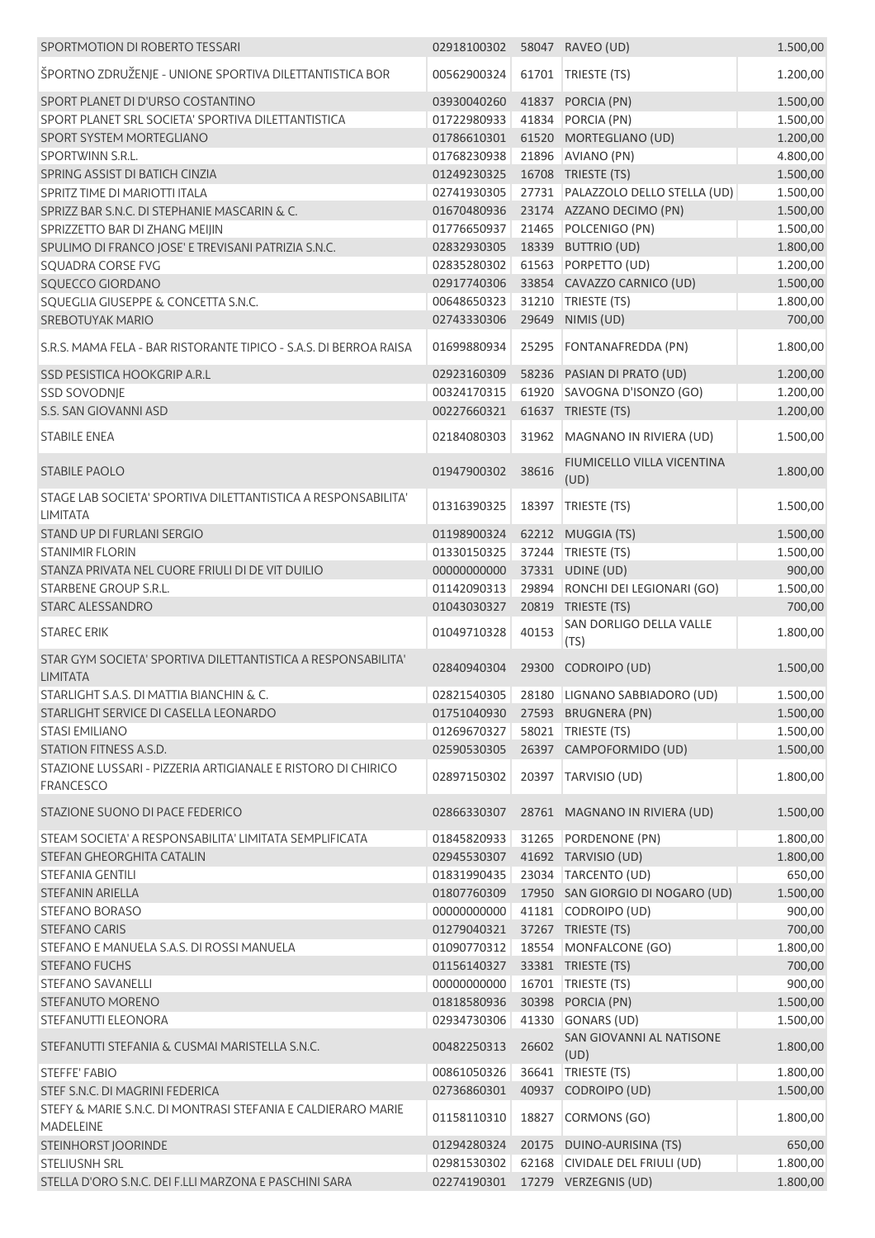| SPORTMOTION DI ROBERTO TESSARI                                                   | 02918100302                    |       | 58047 RAVEO (UD)                              | 1.500,00 |
|----------------------------------------------------------------------------------|--------------------------------|-------|-----------------------------------------------|----------|
| ŠPORTNO ZDRUŽENJE - UNIONE SPORTIVA DILETTANTISTICA BOR                          | 00562900324                    |       | 61701   TRIESTE (TS)                          | 1.200,00 |
| SPORT PLANET DI D'URSO COSTANTINO                                                | 03930040260                    |       | 41837 PORCIA (PN)                             | 1.500,00 |
| SPORT PLANET SRL SOCIETA' SPORTIVA DILETTANTISTICA                               | 01722980933                    |       | 41834 PORCIA (PN)                             | 1.500,00 |
| SPORT SYSTEM MORTEGLIANO                                                         | 01786610301                    |       | 61520 MORTEGLIANO (UD)                        | 1.200,00 |
| SPORTWINN S.R.L.                                                                 | 01768230938                    |       | 21896 AVIANO (PN)                             | 4.800,00 |
| SPRING ASSIST DI BATICH CINZIA                                                   | 01249230325                    |       | 16708 TRIESTE (TS)                            | 1.500,00 |
| SPRITZ TIME DI MARIOTTI ITALA                                                    | 02741930305                    |       | 27731 PALAZZOLO DELLO STELLA (UD)             | 1.500,00 |
| SPRIZZ BAR S.N.C. DI STEPHANIE MASCARIN & C.                                     | 01670480936                    |       | 23174 AZZANO DECIMO (PN)                      | 1.500,00 |
| SPRIZZETTO BAR DI ZHANG MEIJIN                                                   | 01776650937                    |       | 21465 POLCENIGO (PN)                          | 1.500,00 |
| SPULIMO DI FRANCO JOSE' E TREVISANI PATRIZIA S.N.C.                              | 02832930305                    |       | 18339 BUTTRIO (UD)                            | 1.800,00 |
| SQUADRA CORSE FVG                                                                | 02835280302                    |       | 61563 PORPETTO (UD)                           | 1.200,00 |
| SQUECCO GIORDANO                                                                 | 02917740306                    |       | 33854 CAVAZZO CARNICO (UD)                    | 1.500,00 |
| SQUEGLIA GIUSEPPE & CONCETTA S.N.C.                                              | 00648650323                    |       | 31210   TRIESTE (TS)                          | 1.800,00 |
| <b>SREBOTUYAK MARIO</b>                                                          | 02743330306                    |       | 29649 NIMIS (UD)                              | 700,00   |
| S.R.S. MAMA FELA - BAR RISTORANTE TIPICO - S.A.S. DI BERROA RAISA                | 01699880934                    |       | 25295 FONTANAFREDDA (PN)                      | 1.800,00 |
| SSD PESISTICA HOOKGRIP A.R.L                                                     | 02923160309                    |       | 58236 PASIAN DI PRATO (UD)                    | 1.200,00 |
| <b>SSD SOVODNJE</b>                                                              | 00324170315                    |       | 61920 SAVOGNA D'ISONZO (GO)                   | 1.200,00 |
| S.S. SAN GIOVANNI ASD                                                            | 00227660321                    |       | 61637 TRIESTE (TS)                            | 1.200,00 |
|                                                                                  |                                |       |                                               |          |
| <b>STABILE ENEA</b>                                                              | 02184080303                    |       | 31962 MAGNANO IN RIVIERA (UD)                 | 1.500,00 |
| <b>STABILE PAOLO</b>                                                             | 01947900302                    | 38616 | FIUMICELLO VILLA VICENTINA<br>(UD)            | 1.800,00 |
| STAGE LAB SOCIETA' SPORTIVA DILETTANTISTICA A RESPONSABILITA'<br><b>LIMITATA</b> | 01316390325                    |       | 18397 TRIESTE (TS)                            | 1.500,00 |
| STAND UP DI FURLANI SERGIO                                                       | 01198900324                    |       | 62212 MUGGIA (TS)                             | 1.500,00 |
| <b>STANIMIR FLORIN</b>                                                           | 01330150325                    |       | 37244 TRIESTE (TS)                            | 1.500,00 |
| STANZA PRIVATA NEL CUORE FRIULI DI DE VIT DUILIO                                 | 00000000000                    |       | 37331 UDINE (UD)                              | 900,00   |
| STARBENE GROUP S.R.L.                                                            | 01142090313                    |       | 29894 RONCHI DEI LEGIONARI (GO)               | 1.500,00 |
| STARC ALESSANDRO                                                                 | 01043030327                    |       | 20819 TRIESTE (TS)                            | 700,00   |
| <b>STAREC ERIK</b>                                                               | 01049710328                    | 40153 | SAN DORLIGO DELLA VALLE<br>(TS)               | 1.800,00 |
| STAR GYM SOCIETA' SPORTIVA DILETTANTISTICA A RESPONSABILITA'<br><b>LIMITATA</b>  | 02840940304                    |       | 29300 CODROIPO (UD)                           | 1.500,00 |
| STARLIGHT S.A.S. DI MATTIA BIANCHIN & C.                                         |                                |       | 02821540305   28180   LIGNANO SABBIADORO (UD) | 1.500,00 |
| STARLIGHT SERVICE DI CASELLA LEONARDO                                            |                                |       | 01751040930 27593 BRUGNERA (PN)               | 1.500,00 |
| <b>STASI EMILIANO</b>                                                            | 01269670327 58021 TRIESTE (TS) |       |                                               | 1.500,00 |
| STATION FITNESS A.S.D.                                                           | 02590530305                    |       | 26397 CAMPOFORMIDO (UD)                       | 1.500,00 |
| STAZIONE LUSSARI - PIZZERIA ARTIGIANALE E RISTORO DI CHIRICO<br><b>FRANCESCO</b> | 02897150302                    |       | 20397 TARVISIO (UD)                           | 1.800,00 |
| STAZIONE SUONO DI PACE FEDERICO                                                  |                                |       | 02866330307 28761 MAGNANO IN RIVIERA (UD)     | 1.500,00 |
|                                                                                  |                                |       |                                               |          |
| STEAM SOCIETA' A RESPONSABILITA' LIMITATA SEMPLIFICATA                           | 01845820933                    |       | 31265 PORDENONE (PN)                          | 1.800,00 |
| STEFAN GHEORGHITA CATALIN                                                        |                                |       | 02945530307 41692 TARVISIO (UD)               | 1.800,00 |
| STEFANIA GENTILI                                                                 |                                |       | 01831990435 23034 TARCENTO (UD)               | 650,00   |
| <b>STEFANIN ARIELLA</b>                                                          | 01807760309                    |       | 17950 SAN GIORGIO DI NOGARO (UD)              | 1.500,00 |
| <b>STEFANO BORASO</b>                                                            | 00000000000                    |       | 41181 CODROIPO (UD)                           | 900,00   |
| <b>STEFANO CARIS</b>                                                             | 01279040321                    |       | 37267 TRIESTE (TS)                            | 700,00   |
| STEFANO E MANUELA S.A.S. DI ROSSI MANUELA                                        |                                |       | 01090770312 18554 MONFALCONE (GO)             | 1.800,00 |
| <b>STEFANO FUCHS</b>                                                             | 01156140327                    |       | 33381 TRIESTE (TS)                            | 700,00   |
| STEFANO SAVANELLI                                                                | 00000000000                    |       | 16701   TRIESTE (TS)                          | 900,00   |
| STEFANUTO MORENO                                                                 | 01818580936                    |       | 30398 PORCIA (PN)                             | 1.500,00 |
| STEFANUTTI ELEONORA                                                              | 02934730306                    |       | 41330 GONARS (UD)                             | 1.500,00 |
| STEFANUTTI STEFANIA & CUSMAI MARISTELLA S.N.C.                                   | 00482250313                    | 26602 | SAN GIOVANNI AL NATISONE<br>(UD)              | 1.800,00 |
| <b>STEFFE' FABIO</b>                                                             | 00861050326                    |       | 36641   TRIESTE (TS)                          | 1.800,00 |
| STEF S.N.C. DI MAGRINI FEDERICA                                                  | 02736860301                    |       | 40937 CODROIPO (UD)                           | 1.500,00 |
| STEFY & MARIE S.N.C. DI MONTRASI STEFANIA E CALDIERARO MARIE<br><b>MADELEINE</b> | 01158110310                    |       | 18827 CORMONS (GO)                            | 1.800,00 |
| STEINHORST JOORINDE                                                              | 01294280324                    |       | 20175 DUINO-AURISINA (TS)                     | 650,00   |
| <b>STELIUSNH SRL</b>                                                             | 02981530302                    |       | 62168 CIVIDALE DEL FRIULI (UD)                | 1.800,00 |
| STELLA D'ORO S.N.C. DEI F.LLI MARZONA E PASCHINI SARA                            |                                |       | 02274190301  17279  VERZEGNIS (UD)            | 1.800,00 |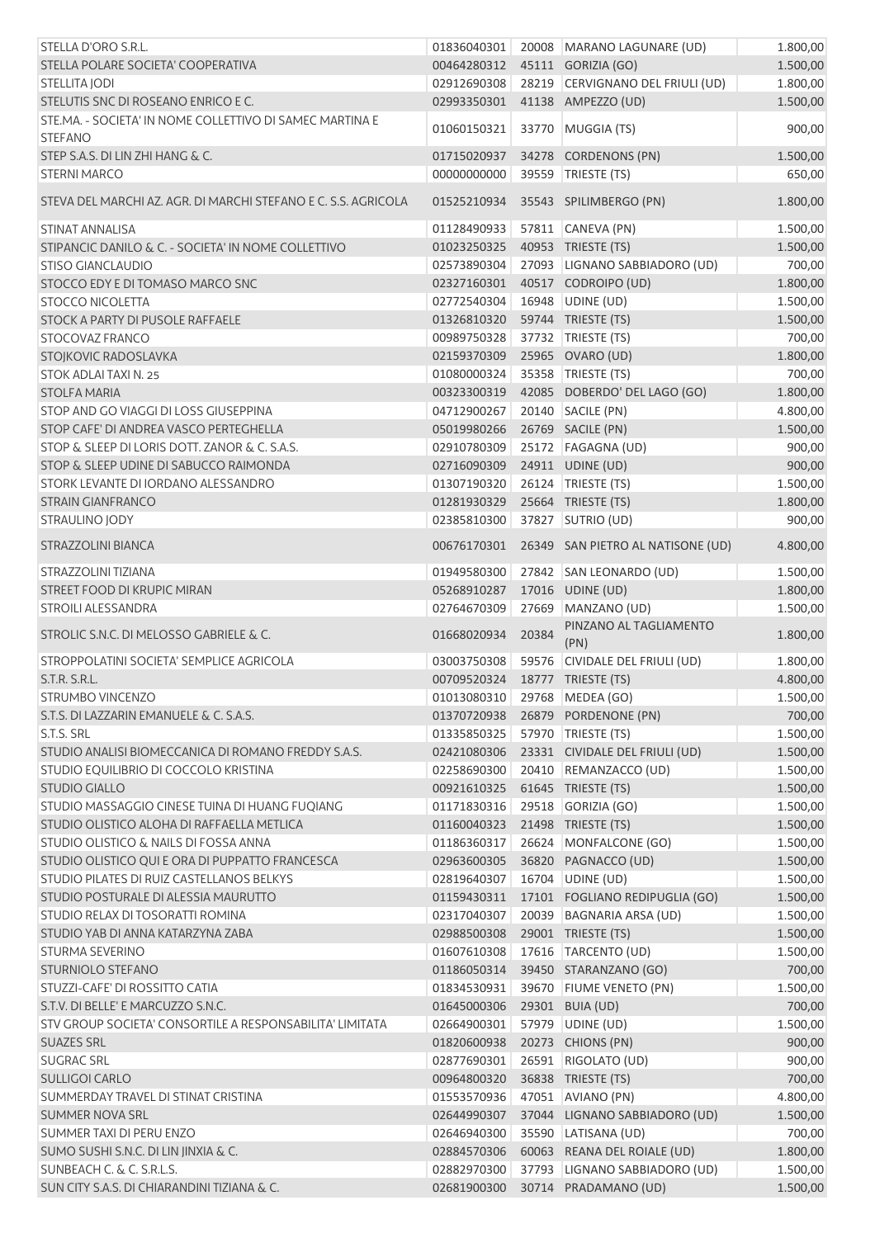| STELLA D'ORO S.R.L.                                                        | 01836040301                  |       | 20008 MARANO LAGUNARE (UD)        | 1.800,00 |
|----------------------------------------------------------------------------|------------------------------|-------|-----------------------------------|----------|
| STELLA POLARE SOCIETA' COOPERATIVA                                         | 00464280312                  |       | 45111 GORIZIA (GO)                | 1.500,00 |
| STELLITA JODI                                                              | 02912690308                  |       | 28219 CERVIGNANO DEL FRIULI (UD)  | 1.800,00 |
| STELUTIS SNC DI ROSEANO ENRICO E C.                                        | 02993350301                  |       | 41138 AMPEZZO (UD)                | 1.500,00 |
| STE.MA. - SOCIETA' IN NOME COLLETTIVO DI SAMEC MARTINA E<br><b>STEFANO</b> | 01060150321                  |       | 33770 MUGGIA (TS)                 | 900,00   |
| STEP S.A.S. DI LIN ZHI HANG & C.                                           | 01715020937                  |       | 34278 CORDENONS (PN)              | 1.500,00 |
| <b>STERNI MARCO</b>                                                        | 00000000000                  |       | 39559 TRIESTE (TS)                | 650,00   |
| STEVA DEL MARCHI AZ. AGR. DI MARCHI STEFANO E C. S.S. AGRICOLA             | 01525210934                  |       | 35543 SPILIMBERGO (PN)            | 1.800,00 |
| <b>STINAT ANNALISA</b>                                                     | 01128490933                  |       | 57811 CANEVA (PN)                 | 1.500,00 |
| STIPANCIC DANILO & C. - SOCIETA' IN NOME COLLETTIVO                        | 01023250325                  |       | 40953 TRIESTE (TS)                | 1.500,00 |
| <b>STISO GIANCLAUDIO</b>                                                   | 02573890304                  |       | 27093 LIGNANO SABBIADORO (UD)     | 700,00   |
| STOCCO EDY E DI TOMASO MARCO SNC                                           | 02327160301                  |       | 40517 CODROIPO (UD)               | 1.800,00 |
| <b>STOCCO NICOLETTA</b>                                                    | 02772540304                  |       | 16948 UDINE (UD)                  | 1.500,00 |
| STOCK A PARTY DI PUSOLE RAFFAELE                                           | 01326810320                  |       | 59744 TRIESTE (TS)                | 1.500,00 |
| <b>STOCOVAZ FRANCO</b>                                                     | 00989750328                  |       | 37732 TRIESTE (TS)                | 700,00   |
| STOJKOVIC RADOSLAVKA                                                       | 02159370309                  |       | 25965 OVARO (UD)                  | 1.800,00 |
| <b>STOK ADLAI TAXI N. 25</b>                                               | 01080000324                  |       | 35358 TRIESTE (TS)                | 700,00   |
| <b>STOLFA MARIA</b>                                                        | 00323300319                  |       | 42085 DOBERDO' DEL LAGO (GO)      | 1.800,00 |
| STOP AND GO VIAGGI DI LOSS GIUSEPPINA                                      | 04712900267                  |       | 20140 SACILE (PN)                 | 4.800,00 |
| STOP CAFE' DI ANDREA VASCO PERTEGHELLA                                     | 05019980266                  |       | 26769 SACILE (PN)                 | 1.500,00 |
| STOP & SLEEP DI LORIS DOTT. ZANOR & C. S.A.S.                              | 02910780309                  |       | 25172   FAGAGNA (UD)              | 900,00   |
| STOP & SLEEP UDINE DI SABUCCO RAIMONDA                                     | 02716090309                  |       | 24911 UDINE (UD)                  | 900,00   |
| STORK LEVANTE DI IORDANO ALESSANDRO                                        | 01307190320                  |       | 26124 TRIESTE (TS)                | 1.500,00 |
| <b>STRAIN GIANFRANCO</b>                                                   | 01281930329                  |       | 25664 TRIESTE (TS)                | 1.800,00 |
| <b>STRAULINO JODY</b>                                                      | 02385810300                  |       | 37827 SUTRIO (UD)                 | 900,00   |
| STRAZZOLINI BIANCA                                                         | 00676170301                  |       | 26349 SAN PIETRO AL NATISONE (UD) | 4.800,00 |
| STRAZZOLINI TIZIANA                                                        | 01949580300                  |       | 27842 SAN LEONARDO (UD)           | 1.500,00 |
| STREET FOOD DI KRUPIC MIRAN                                                | 05268910287                  |       | 17016 UDINE (UD)                  | 1.800,00 |
| <b>STROILI ALESSANDRA</b>                                                  | 02764670309                  |       | 27669 MANZANO (UD)                | 1.500,00 |
| STROLIC S.N.C. DI MELOSSO GABRIELE & C.                                    | 01668020934                  | 20384 | PINZANO AL TAGLIAMENTO<br>(PN)    | 1.800,00 |
| STROPPOLATINI SOCIETA' SEMPLICE AGRICOLA                                   | 03003750308                  |       | 59576 CIVIDALE DEL FRIULI (UD)    | 1.800,00 |
| S.T.R. S.R.L.                                                              | 00709520324                  |       | 18777 TRIESTE (TS)                | 4.800,00 |
| STRUMBO VINCENZO                                                           | 01013080310 29768 MEDEA (GO) |       |                                   | 1.500,00 |
| S.T.S. DI LAZZARIN EMANUELE & C. S.A.S.                                    |                              |       | 01370720938 26879 PORDENONE (PN)  | 700,00   |
| S.T.S. SRL                                                                 | 01335850325                  |       | 57970 TRIESTE (TS)                | 1.500,00 |
| STUDIO ANALISI BIOMECCANICA DI ROMANO FREDDY S.A.S.                        | 02421080306                  |       | 23331 CIVIDALE DEL FRIULI (UD)    | 1.500,00 |
| STUDIO EQUILIBRIO DI COCCOLO KRISTINA                                      | 02258690300                  |       | 20410 REMANZACCO (UD)             | 1.500,00 |
| <b>STUDIO GIALLO</b>                                                       | 00921610325                  |       | 61645 TRIESTE (TS)                | 1.500,00 |
| STUDIO MASSAGGIO CINESE TUINA DI HUANG FUQIANG                             | 01171830316                  |       | 29518 GORIZIA (GO)                | 1.500,00 |
| STUDIO OLISTICO ALOHA DI RAFFAELLA METLICA                                 | 01160040323                  |       | 21498 TRIESTE (TS)                | 1.500,00 |
| STUDIO OLISTICO & NAILS DI FOSSA ANNA                                      | 01186360317                  |       | 26624 MONFALCONE (GO)             | 1.500,00 |
| STUDIO OLISTICO QUI E ORA DI PUPPATTO FRANCESCA                            | 02963600305                  |       | 36820 PAGNACCO (UD)               | 1.500,00 |
| STUDIO PILATES DI RUIZ CASTELLANOS BELKYS                                  | 02819640307                  |       | 16704 UDINE (UD)                  | 1.500,00 |
| STUDIO POSTURALE DI ALESSIA MAURUTTO                                       | 01159430311                  |       | 17101 FOGLIANO REDIPUGLIA (GO)    | 1.500,00 |
| STUDIO RELAX DI TOSORATTI ROMINA                                           | 02317040307                  |       | 20039 BAGNARIA ARSA (UD)          | 1.500,00 |
| STUDIO YAB DI ANNA KATARZYNA ZABA                                          | 02988500308                  |       | 29001 TRIESTE (TS)                | 1.500,00 |
| <b>STURMA SEVERINO</b>                                                     | 01607610308                  |       | 17616 TARCENTO (UD)               | 1.500,00 |
| <b>STURNIOLO STEFANO</b>                                                   | 01186050314                  |       | 39450 STARANZANO (GO)             | 700,00   |
| STUZZI-CAFE' DI ROSSITTO CATIA                                             | 01834530931                  |       | 39670 FIUME VENETO (PN)           | 1.500,00 |
| S.T.V. DI BELLE' E MARCUZZO S.N.C.                                         | 01645000306                  |       | 29301 BUIA (UD)                   | 700,00   |
| STV GROUP SOCIETA' CONSORTILE A RESPONSABILITA' LIMITATA                   | 02664900301                  |       | 57979 UDINE (UD)                  | 1.500,00 |
| <b>SUAZES SRL</b>                                                          | 01820600938                  |       | 20273 CHIONS (PN)                 | 900,00   |
| <b>SUGRAC SRL</b>                                                          | 02877690301                  |       | 26591 RIGOLATO (UD)               | 900,00   |
| <b>SULLIGOI CARLO</b>                                                      | 00964800320                  |       | 36838 TRIESTE (TS)                | 700,00   |
| SUMMERDAY TRAVEL DI STINAT CRISTINA                                        | 01553570936                  |       | 47051 AVIANO (PN)                 | 4.800,00 |
| <b>SUMMER NOVA SRL</b>                                                     | 02644990307                  |       | 37044 LIGNANO SABBIADORO (UD)     | 1.500,00 |
| SUMMER TAXI DI PERU ENZO                                                   | 02646940300                  |       | 35590 LATISANA (UD)               | 700,00   |
| SUMO SUSHI S.N.C. DI LIN JINXIA & C.                                       | 02884570306                  |       | 60063 REANA DEL ROIALE (UD)       | 1.800,00 |
| SUNBEACH C. & C. S.R.L.S.                                                  | 02882970300                  |       | 37793 LIGNANO SABBIADORO (UD)     | 1.500,00 |
| SUN CITY S.A.S. DI CHIARANDINI TIZIANA & C.                                | 02681900300                  |       | 30714 PRADAMANO (UD)              | 1.500,00 |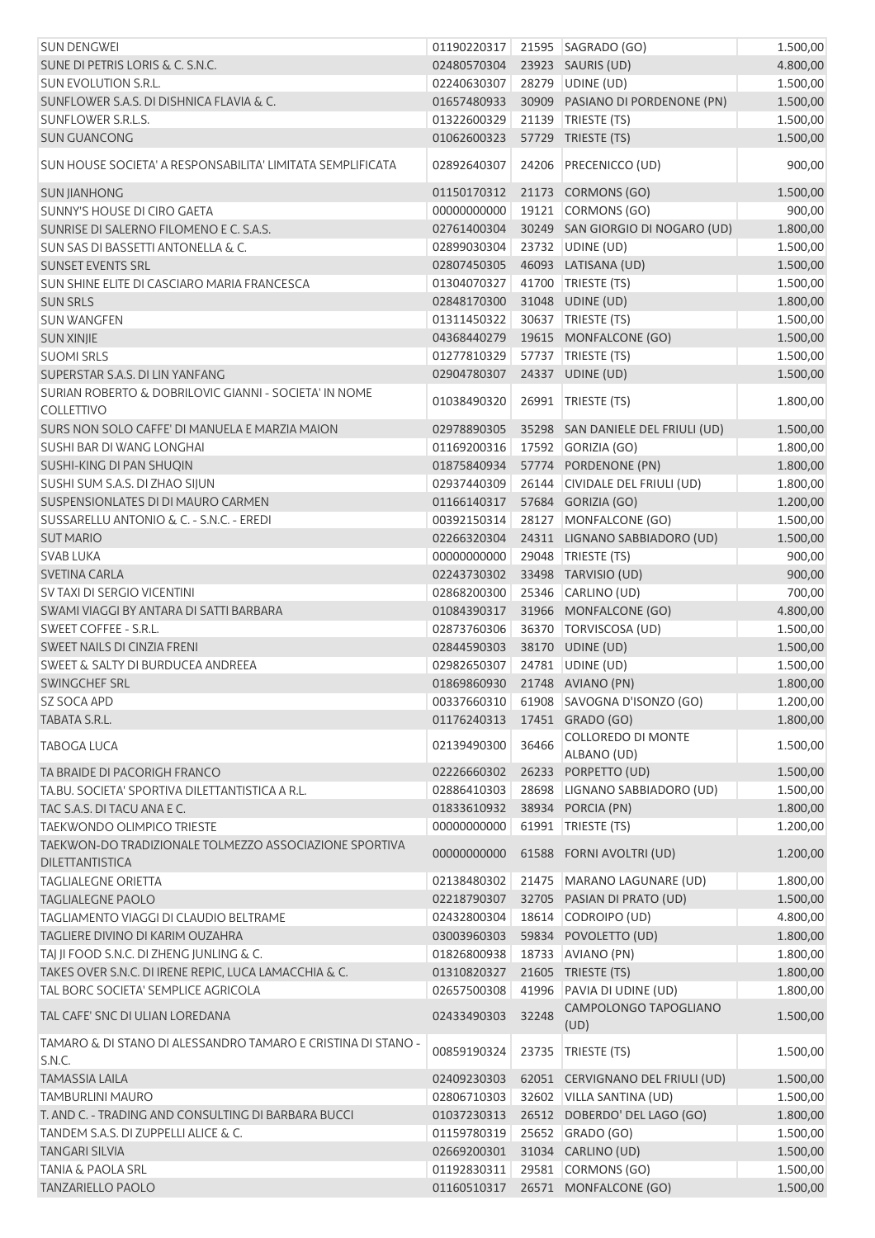| <b>SUN DENGWEI</b>                                                               |             |       | 01190220317 21595 SAGRADO (GO)              | 1.500,00 |
|----------------------------------------------------------------------------------|-------------|-------|---------------------------------------------|----------|
| SUNE DI PETRIS LORIS & C. S.N.C.                                                 | 02480570304 |       | 23923 SAURIS (UD)                           | 4.800,00 |
| <b>SUN EVOLUTION S.R.L.</b>                                                      | 02240630307 |       | 28279 UDINE (UD)                            | 1.500,00 |
| SUNFLOWER S.A.S. DI DISHNICA FLAVIA & C.                                         | 01657480933 |       | 30909 PASIANO DI PORDENONE (PN)             | 1.500,00 |
| SUNFLOWER S.R.L.S.                                                               | 01322600329 |       | 21139 TRIESTE (TS)                          | 1.500,00 |
| <b>SUN GUANCONG</b>                                                              | 01062600323 |       | 57729 TRIESTE (TS)                          | 1.500,00 |
| SUN HOUSE SOCIETA' A RESPONSABILITA' LIMITATA SEMPLIFICATA                       | 02892640307 | 24206 | <b>PRECENICCO (UD)</b>                      | 900,00   |
| <b>SUN JIANHONG</b>                                                              | 01150170312 |       | 21173 CORMONS (GO)                          | 1.500,00 |
| SUNNY'S HOUSE DI CIRO GAETA                                                      | 00000000000 |       | 19121 CORMONS (GO)                          | 900,00   |
| SUNRISE DI SALERNO FILOMENO E C. S.A.S.                                          | 02761400304 |       | 30249 SAN GIORGIO DI NOGARO (UD)            | 1.800,00 |
| <b>SUN SAS DI BASSETTI ANTONELLA &amp; C.</b>                                    | 02899030304 |       | 23732 UDINE (UD)                            | 1.500,00 |
| <b>SUNSET EVENTS SRL</b>                                                         | 02807450305 |       | 46093 LATISANA (UD)                         | 1.500,00 |
| SUN SHINE ELITE DI CASCIARO MARIA FRANCESCA                                      | 01304070327 |       | 41700 TRIESTE (TS)                          | 1.500,00 |
| <b>SUN SRLS</b>                                                                  | 02848170300 |       | 31048 UDINE (UD)                            | 1.800,00 |
| <b>SUN WANGFEN</b>                                                               | 01311450322 |       | 30637 TRIESTE (TS)                          | 1.500,00 |
| <b>SUN XINJIE</b>                                                                | 04368440279 |       | 19615 MONFALCONE (GO)                       | 1.500,00 |
| <b>SUOMI SRLS</b>                                                                | 01277810329 |       | 57737 TRIESTE (TS)                          | 1.500,00 |
| SUPERSTAR S.A.S. DI LIN YANFANG                                                  | 02904780307 |       | 24337 UDINE (UD)                            | 1.500,00 |
| SURIAN ROBERTO & DOBRILOVIC GIANNI - SOCIETA' IN NOME                            |             |       |                                             |          |
| <b>COLLETTIVO</b>                                                                | 01038490320 |       | 26991   TRIESTE (TS)                        | 1.800,00 |
| SURS NON SOLO CAFFE' DI MANUELA E MARZIA MAION                                   | 02978890305 |       | 35298 SAN DANIELE DEL FRIULI (UD)           | 1.500,00 |
| SUSHI BAR DI WANG LONGHAI                                                        | 01169200316 |       | 17592 GORIZIA (GO)                          | 1.800,00 |
| SUSHI-KING DI PAN SHUQIN                                                         | 01875840934 |       | 57774 PORDENONE (PN)                        | 1.800,00 |
| SUSHI SUM S.A.S. DI ZHAO SIJUN                                                   | 02937440309 |       | 26144 CIVIDALE DEL FRIULI (UD)              | 1.800,00 |
| SUSPENSIONLATES DI DI MAURO CARMEN                                               | 01166140317 |       | 57684 GORIZIA (GO)                          | 1.200,00 |
| SUSSARELLU ANTONIO & C. - S.N.C. - EREDI                                         | 00392150314 |       | 28127 MONFALCONE (GO)                       | 1.500,00 |
| <b>SUT MARIO</b>                                                                 | 02266320304 |       | 24311 LIGNANO SABBIADORO (UD)               | 1.500,00 |
| <b>SVAB LUKA</b>                                                                 | 00000000000 |       | 29048   TRIESTE (TS)                        | 900,00   |
| SVETINA CARLA                                                                    | 02243730302 |       | 33498 TARVISIO (UD)                         | 900,00   |
| SV TAXI DI SERGIO VICENTINI                                                      |             |       |                                             |          |
|                                                                                  | 02868200300 |       | 25346 CARLINO (UD)<br>31966 MONFALCONE (GO) | 700,00   |
| SWAMI VIAGGI BY ANTARA DI SATTI BARBARA                                          | 01084390317 |       |                                             | 4.800,00 |
| SWEET COFFEE - S.R.L.                                                            | 02873760306 |       | 36370   TORVISCOSA (UD)                     | 1.500,00 |
| SWEET NAILS DI CINZIA FRENI                                                      | 02844590303 |       | 38170 UDINE (UD)                            | 1.500,00 |
| <b>SWEET &amp; SALTY DI BURDUCEA ANDREEA</b>                                     | 02982650307 |       | 24781 UDINE (UD)                            | 1.500,00 |
| SWINGCHEF SRL                                                                    | 01869860930 |       | 21748 AVIANO (PN)                           | 1.800,00 |
| SZ SOCA APD                                                                      | 00337660310 |       | 61908 SAVOGNA D'ISONZO (GO)                 | 1.200,00 |
| TABATA S.R.L.                                                                    | 01176240313 |       | 17451 GRADO (GO)                            | 1.800,00 |
| <b>TABOGA LUCA</b>                                                               | 02139490300 | 36466 | COLLOREDO DI MONTE<br>ALBANO (UD)           | 1.500,00 |
| TA BRAIDE DI PACORIGH FRANCO                                                     | 02226660302 |       | 26233 PORPETTO (UD)                         | 1.500,00 |
| TA.BU. SOCIETA' SPORTIVA DILETTANTISTICA A R.L.                                  | 02886410303 |       | 28698 LIGNANO SABBIADORO (UD)               | 1.500,00 |
| TAC S.A.S. DI TACU ANA E C.                                                      | 01833610932 |       | 38934 PORCIA (PN)                           | 1.800,00 |
| <b>TAEKWONDO OLIMPICO TRIESTE</b>                                                | 00000000000 |       | 61991 TRIESTE (TS)                          | 1.200,00 |
| TAEKWON-DO TRADIZIONALE TOLMEZZO ASSOCIAZIONE SPORTIVA<br><b>DILETTANTISTICA</b> | 00000000000 |       | 61588 FORNI AVOLTRI (UD)                    | 1.200,00 |
| <b>TAGLIALEGNE ORIETTA</b>                                                       | 02138480302 |       | 21475 MARANO LAGUNARE (UD)                  | 1.800,00 |
| <b>TAGLIALEGNE PAOLO</b>                                                         | 02218790307 |       | 32705 PASIAN DI PRATO (UD)                  | 1.500,00 |
| TAGLIAMENTO VIAGGI DI CLAUDIO BELTRAME                                           | 02432800304 |       | 18614 CODROIPO (UD)                         | 4.800,00 |
| TAGLIERE DIVINO DI KARIM OUZAHRA                                                 | 03003960303 |       | 59834 POVOLETTO (UD)                        | 1.800,00 |
| TAJ JI FOOD S.N.C. DI ZHENG JUNLING & C.                                         | 01826800938 |       | 18733 AVIANO (PN)                           | 1.800,00 |
| TAKES OVER S.N.C. DI IRENE REPIC, LUCA LAMACCHIA & C.                            | 01310820327 |       | 21605 TRIESTE (TS)                          | 1.800,00 |
| TAL BORC SOCIETA' SEMPLICE AGRICOLA                                              | 02657500308 |       | 41996 PAVIA DI UDINE (UD)                   | 1.800,00 |
| TAL CAFE' SNC DI ULIAN LOREDANA                                                  | 02433490303 | 32248 | CAMPOLONGO TAPOGLIANO                       | 1.500,00 |
|                                                                                  |             |       | (UD)                                        |          |
| TAMARO & DI STANO DI ALESSANDRO TAMARO E CRISTINA DI STANO -<br>S.N.C.           | 00859190324 | 23735 | TRIESTE (TS)                                | 1.500,00 |
| <b>TAMASSIA LAILA</b>                                                            | 02409230303 |       | 62051 CERVIGNANO DEL FRIULI (UD)            | 1.500,00 |
| <b>TAMBURLINI MAURO</b>                                                          | 02806710303 |       | 32602 VILLA SANTINA (UD)                    | 1.500,00 |
| T. AND C. - TRADING AND CONSULTING DI BARBARA BUCCI                              | 01037230313 |       | 26512 DOBERDO' DEL LAGO (GO)                | 1.800,00 |
| TANDEM S.A.S. DI ZUPPELLI ALICE & C.                                             | 01159780319 |       | 25652 GRADO (GO)                            | 1.500,00 |
| <b>TANGARI SILVIA</b>                                                            | 02669200301 |       | 31034 CARLINO (UD)                          | 1.500,00 |
| <b>TANIA &amp; PAOLA SRL</b>                                                     | 01192830311 |       | 29581 CORMONS (GO)                          | 1.500,00 |
| <b>TANZARIELLO PAOLO</b>                                                         |             |       | 01160510317 26571 MONFALCONE (GO)           | 1.500,00 |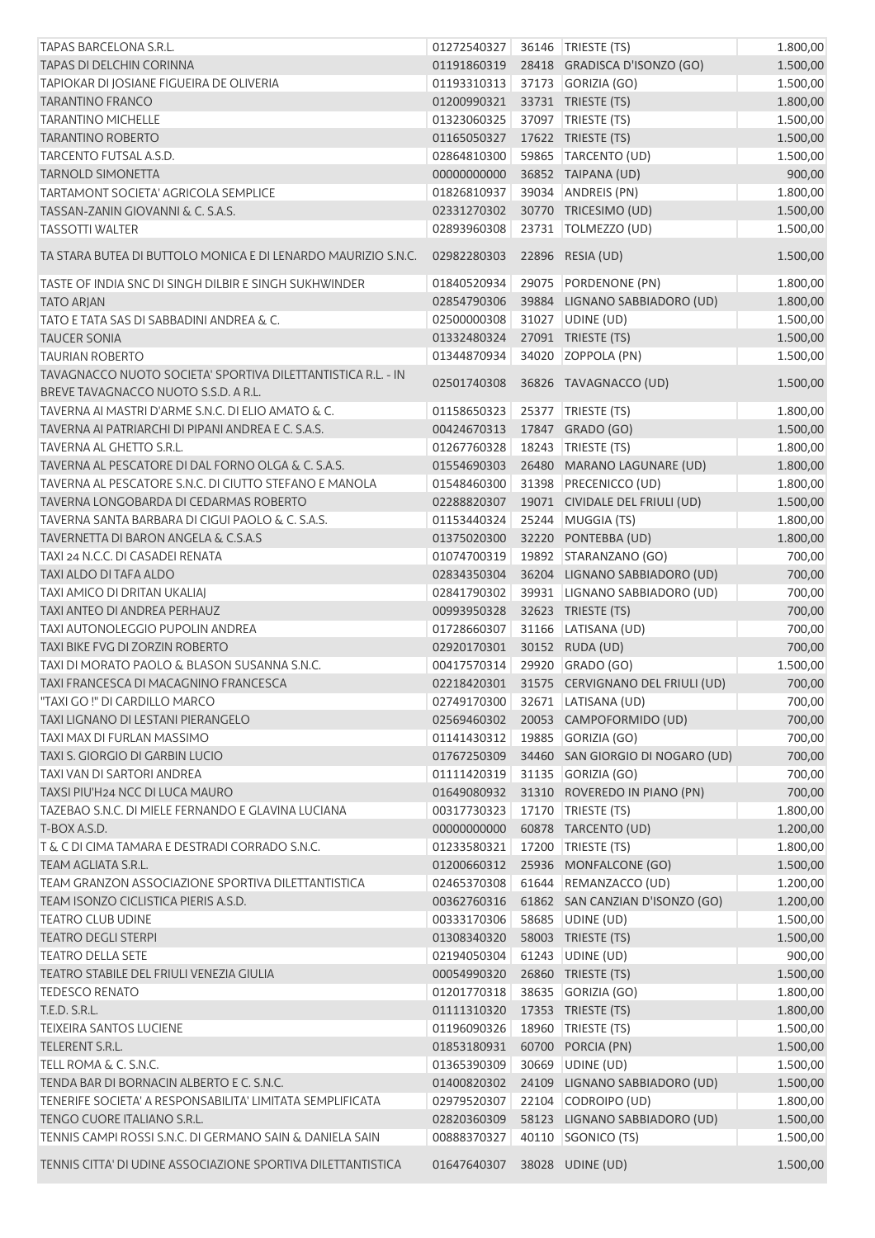| TAPAS BARCELONA S.R.L.                                        | 01272540327 |       | 36146   TRIESTE (TS)                         | 1.800,00 |
|---------------------------------------------------------------|-------------|-------|----------------------------------------------|----------|
| TAPAS DI DELCHIN CORINNA                                      | 01191860319 |       | 28418 GRADISCA D'ISONZO (GO)                 | 1.500,00 |
| TAPIOKAR DI JOSIANE FIGUEIRA DE OLIVERIA                      | 01193310313 |       | 37173 GORIZIA (GO)                           | 1.500,00 |
| <b>TARANTINO FRANCO</b>                                       | 01200990321 |       | 33731 TRIESTE (TS)                           | 1.800,00 |
| <b>TARANTINO MICHELLE</b>                                     | 01323060325 |       | 37097 TRIESTE (TS)                           | 1.500,00 |
| <b>TARANTINO ROBERTO</b>                                      | 01165050327 |       | 17622 TRIESTE (TS)                           | 1.500,00 |
| TARCENTO FUTSAL A.S.D.                                        | 02864810300 |       | 59865 TARCENTO (UD)                          | 1.500,00 |
| <b>TARNOLD SIMONETTA</b>                                      | 00000000000 |       | 36852 TAIPANA (UD)                           | 900,00   |
| TARTAMONT SOCIETA' AGRICOLA SEMPLICE                          | 01826810937 |       | 39034 ANDREIS (PN)                           | 1.800,00 |
| TASSAN-ZANIN GIOVANNI & C. S.A.S.                             | 02331270302 |       | 30770 TRICESIMO (UD)                         | 1.500,00 |
| <b>TASSOTTI WALTER</b>                                        | 02893960308 |       | 23731 TOLMEZZO (UD)                          | 1.500,00 |
| TA STARA BUTEA DI BUTTOLO MONICA E DI LENARDO MAURIZIO S.N.C. | 02982280303 |       | 22896 RESIA (UD)                             | 1.500,00 |
| TASTE OF INDIA SNC DI SINGH DILBIR E SINGH SUKHWINDER         | 01840520934 |       | 29075 PORDENONE (PN)                         | 1.800,00 |
| <b>TATO ARJAN</b>                                             | 02854790306 |       | 39884 LIGNANO SABBIADORO (UD)                | 1.800,00 |
| TATO E TATA SAS DI SABBADINI ANDREA & C.                      | 02500000308 |       | 31027 UDINE (UD)                             | 1.500,00 |
| <b>TAUCER SONIA</b>                                           | 01332480324 |       | 27091 TRIESTE (TS)                           | 1.500,00 |
| <b>TAURIAN ROBERTO</b>                                        | 01344870934 |       | 34020 ZOPPOLA (PN)                           | 1.500,00 |
| TAVAGNACCO NUOTO SOCIETA' SPORTIVA DILETTANTISTICA R.L. - IN  |             |       |                                              |          |
| BREVE TAVAGNACCO NUOTO S.S.D. A R.L.                          | 02501740308 |       | 36826 TAVAGNACCO (UD)                        | 1.500,00 |
| TAVERNA AI MASTRI D'ARME S.N.C. DI ELIO AMATO & C.            | 01158650323 |       | 25377 TRIESTE (TS)                           | 1.800,00 |
| TAVERNA AI PATRIARCHI DI PIPANI ANDREA E C. S.A.S.            | 00424670313 |       | 17847 GRADO (GO)                             | 1.500,00 |
| TAVERNA AL GHETTO S.R.L.                                      | 01267760328 |       | 18243 TRIESTE (TS)                           | 1.800,00 |
| TAVERNA AL PESCATORE DI DAL FORNO OLGA & C. S.A.S.            | 01554690303 |       | 26480 MARANO LAGUNARE (UD)                   | 1.800,00 |
| TAVERNA AL PESCATORE S.N.C. DI CIUTTO STEFANO E MANOLA        | 01548460300 |       | 31398 PRECENICCO (UD)                        | 1.800,00 |
| TAVERNA LONGOBARDA DI CEDARMAS ROBERTO                        | 02288820307 |       | 19071 CIVIDALE DEL FRIULI (UD)               | 1.500,00 |
| TAVERNA SANTA BARBARA DI CIGUI PAOLO & C. S.A.S.              | 01153440324 |       | 25244 MUGGIA (TS)                            | 1.800,00 |
| TAVERNETTA DI BARON ANGELA & C.S.A.S                          | 01375020300 |       | 32220 PONTEBBA (UD)                          | 1.800,00 |
| TAXI 24 N.C.C. DI CASADEI RENATA                              | 01074700319 |       | 19892   STARANZANO (GO)                      | 700,00   |
| TAXI ALDO DI TAFA ALDO                                        | 02834350304 |       | 36204 LIGNANO SABBIADORO (UD)                | 700,00   |
| TAXI AMICO DI DRITAN UKALIAJ                                  | 02841790302 |       | 39931 LIGNANO SABBIADORO (UD)                | 700,00   |
| TAXI ANTEO DI ANDREA PERHAUZ                                  | 00993950328 |       | 32623 TRIESTE (TS)                           | 700,00   |
| <b>TAXI AUTONOLEGGIO PUPOLIN ANDREA</b>                       | 01728660307 |       | 31166 LATISANA (UD)                          | 700,00   |
| TAXI BIKE FVG DI ZORZIN ROBERTO                               | 02920170301 |       | 30152 RUDA (UD)                              | 700,00   |
| TAXI DI MORATO PAOLO & BLASON SUSANNA S.N.C.                  | 00417570314 |       | 29920 GRADO (GO)                             | 1.500,00 |
| TAXI FRANCESCA DI MACAGNINO FRANCESCA                         |             |       | 02218420301 31575 CERVIGNANO DEL FRIULI (UD) | 700,00   |
| "TAXI GO !" DI CARDILLO MARCO                                 | 02749170300 |       | 32671 LATISANA (UD)                          | 700,00   |
| TAXI LIGNANO DI LESTANI PIERANGELO                            | 02569460302 |       | 20053 CAMPOFORMIDO (UD)                      | 700,00   |
| TAXI MAX DI FURLAN MASSIMO                                    | 01141430312 |       | 19885 GORIZIA (GO)                           | 700,00   |
| TAXI S. GIORGIO DI GARBIN LUCIO                               | 01767250309 |       | 34460 SAN GIORGIO DI NOGARO (UD)             | 700,00   |
| TAXI VAN DI SARTORI ANDREA                                    | 01111420319 |       | 31135 GORIZIA (GO)                           | 700,00   |
| TAXSI PIU'H24 NCC DI LUCA MAURO                               | 01649080932 |       | 31310 ROVEREDO IN PIANO (PN)                 | 700,00   |
| TAZEBAO S.N.C. DI MIELE FERNANDO E GLAVINA LUCIANA            | 00317730323 | 17170 | TRIESTE (TS)                                 | 1.800,00 |
| T-BOX A.S.D.                                                  | 00000000000 |       | 60878 TARCENTO (UD)                          | 1.200,00 |
| T & C DI CIMA TAMARA E DESTRADI CORRADO S.N.C.                | 01233580321 | 17200 | TRIESTE (TS)                                 | 1.800,00 |
| <b>TEAM AGLIATA S.R.L.</b>                                    | 01200660312 |       | 25936 MONFALCONE (GO)                        | 1.500,00 |
| TEAM GRANZON ASSOCIAZIONE SPORTIVA DILETTANTISTICA            | 02465370308 |       | 61644 REMANZACCO (UD)                        | 1.200,00 |
| TEAM ISONZO CICLISTICA PIERIS A.S.D.                          | 00362760316 |       | 61862 SAN CANZIAN D'ISONZO (GO)              | 1.200,00 |
| <b>TEATRO CLUB UDINE</b>                                      | 00333170306 |       | 58685 UDINE (UD)                             | 1.500,00 |
| <b>TEATRO DEGLI STERPI</b>                                    | 01308340320 |       | 58003 TRIESTE (TS)                           | 1.500,00 |
| <b>TEATRO DELLA SETE</b>                                      | 02194050304 |       | 61243 UDINE (UD)                             | 900,00   |
| TEATRO STABILE DEL FRIULI VENEZIA GIULIA                      | 00054990320 |       | 26860 TRIESTE (TS)                           | 1.500,00 |
| <b>TEDESCO RENATO</b>                                         | 01201770318 |       | 38635 GORIZIA (GO)                           | 1.800,00 |
| T.E.D. S.R.L.                                                 | 01111310320 |       | 17353 TRIESTE (TS)                           | 1.800,00 |
| <b>TEIXEIRA SANTOS LUCIENE</b>                                | 01196090326 |       | 18960   TRIESTE (TS)                         | 1.500,00 |
| TELERENT S.R.L.                                               | 01853180931 |       | 60700 PORCIA (PN)                            | 1.500,00 |
| TELL ROMA & C. S.N.C.                                         | 01365390309 |       | 30669 UDINE (UD)                             | 1.500,00 |
| TENDA BAR DI BORNACIN ALBERTO E C. S.N.C.                     | 01400820302 |       | 24109 LIGNANO SABBIADORO (UD)                | 1.500,00 |
| TENERIFE SOCIETA' A RESPONSABILITA' LIMITATA SEMPLIFICATA     | 02979520307 |       | 22104 CODROIPO (UD)                          | 1.800,00 |
| TENGO CUORE ITALIANO S.R.L.                                   | 02820360309 |       | 58123 LIGNANO SABBIADORO (UD)                | 1.500,00 |
| TENNIS CAMPI ROSSI S.N.C. DI GERMANO SAIN & DANIELA SAIN      | 00888370327 |       | 40110 SGONICO (TS)                           | 1.500,00 |
| TENNIS CITTA' DI UDINE ASSOCIAZIONE SPORTIVA DILETTANTISTICA  | 01647640307 |       | 38028 UDINE (UD)                             | 1.500,00 |
|                                                               |             |       |                                              |          |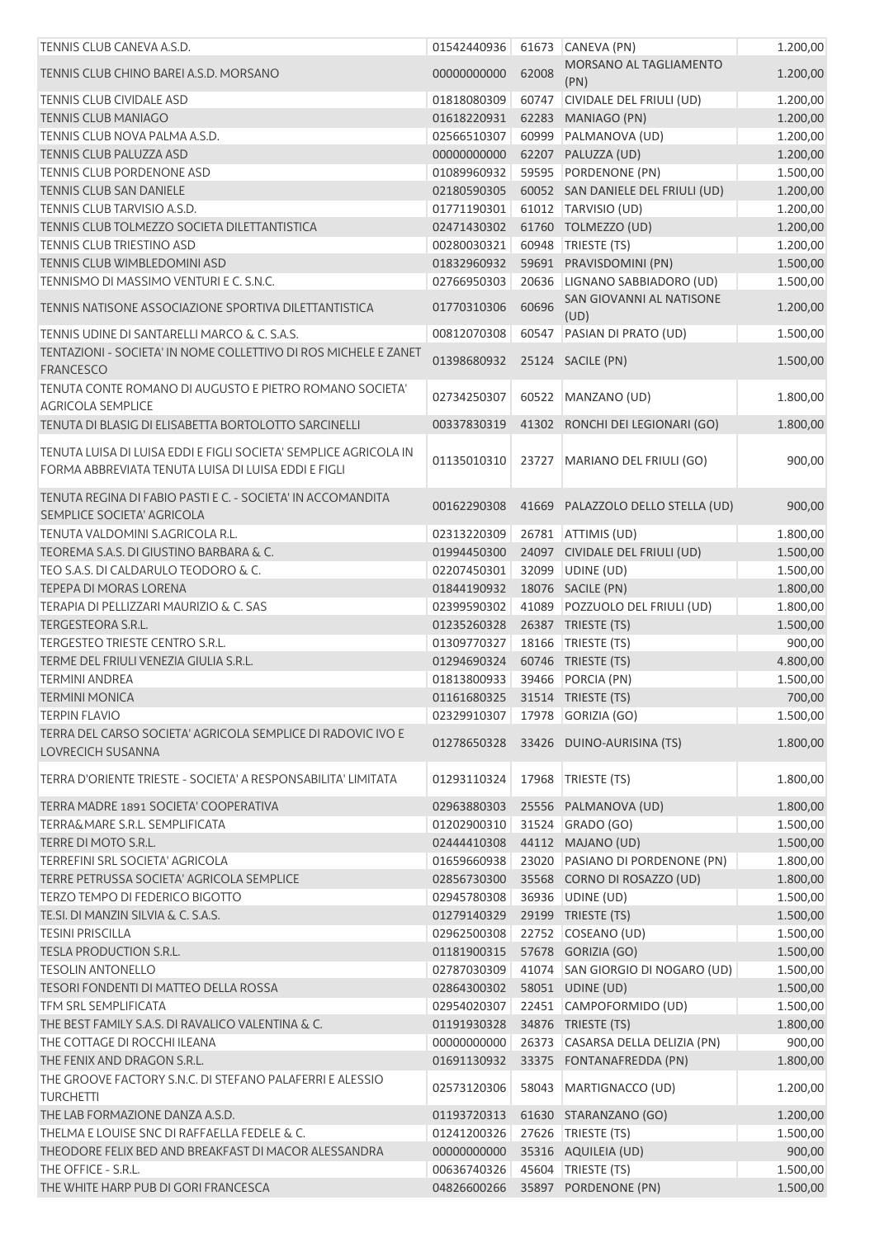| TENNIS CLUB CANEVA A.S.D.                                                           | 01542440936                      |       | 61673 CANEVA (PN)                 | 1.200,00 |
|-------------------------------------------------------------------------------------|----------------------------------|-------|-----------------------------------|----------|
| TENNIS CLUB CHINO BAREI A.S.D. MORSANO                                              | 00000000000                      | 62008 | MORSANO AL TAGLIAMENTO            | 1.200,00 |
| TENNIS CLUB CIVIDALE ASD                                                            | 01818080309                      | 60747 | (PN)<br>CIVIDALE DEL FRIULI (UD)  | 1.200,00 |
| <b>TENNIS CLUB MANIAGO</b>                                                          | 01618220931                      |       | 62283 MANIAGO (PN)                | 1.200,00 |
| TENNIS CLUB NOVA PALMA A.S.D.                                                       | 02566510307                      | 60999 | PALMANOVA (UD)                    | 1.200,00 |
| TENNIS CLUB PALUZZA ASD                                                             | 00000000000                      |       | 62207 PALUZZA (UD)                | 1.200,00 |
| TENNIS CLUB PORDENONE ASD                                                           | 01089960932                      |       | 59595 PORDENONE (PN)              | 1.500,00 |
| <b>TENNIS CLUB SAN DANIELE</b>                                                      | 02180590305                      |       | 60052 SAN DANIELE DEL FRIULI (UD) | 1.200,00 |
| TENNIS CLUB TARVISIO A.S.D.                                                         | 01771190301                      |       | 61012   TARVISIO (UD)             | 1.200,00 |
| TENNIS CLUB TOLMEZZO SOCIETA DILETTANTISTICA                                        | 02471430302                      |       | 61760 TOLMEZZO (UD)               | 1.200,00 |
| TENNIS CLUB TRIESTINO ASD                                                           | 00280030321                      |       | 60948 TRIESTE (TS)                | 1.200,00 |
| TENNIS CLUB WIMBLEDOMINI ASD                                                        | 01832960932                      |       | 59691 PRAVISDOMINI (PN)           | 1.500,00 |
| TENNISMO DI MASSIMO VENTURI E C. S.N.C.                                             | 02766950303                      |       | 20636 LIGNANO SABBIADORO (UD)     | 1.500,00 |
|                                                                                     |                                  |       | SAN GIOVANNI AL NATISONE          |          |
| TENNIS NATISONE ASSOCIAZIONE SPORTIVA DILETTANTISTICA                               | 01770310306                      | 60696 | (UD)                              | 1.200,00 |
| TENNIS UDINE DI SANTARELLI MARCO & C. S.A.S.                                        | 00812070308                      |       | 60547 PASIAN DI PRATO (UD)        | 1.500,00 |
| TENTAZIONI - SOCIETA' IN NOME COLLETTIVO DI ROS MICHELE E ZANET<br><b>FRANCESCO</b> | 01398680932                      |       | 25124 SACILE (PN)                 | 1.500,00 |
| TENUTA CONTE ROMANO DI AUGUSTO E PIETRO ROMANO SOCIETA'                             |                                  |       |                                   |          |
| <b>AGRICOLA SEMPLICE</b>                                                            | 02734250307                      | 60522 | MANZANO (UD)                      | 1.800,00 |
| TENUTA DI BLASIG DI ELISABETTA BORTOLOTTO SARCINELLI                                | 00337830319                      |       | 41302 RONCHI DEI LEGIONARI (GO)   | 1.800,00 |
| TENUTA LUISA DI LUISA EDDI E FIGLI SOCIETA' SEMPLICE AGRICOLA IN                    |                                  |       |                                   |          |
| FORMA ABBREVIATA TENUTA LUISA DI LUISA EDDI E FIGLI                                 | 01135010310                      |       | 23727   MARIANO DEL FRIULI (GO)   | 900,00   |
|                                                                                     |                                  |       |                                   |          |
| TENUTA REGINA DI FABIO PASTI E C. - SOCIETA' IN ACCOMANDITA                         | 00162290308                      |       | 41669 PALAZZOLO DELLO STELLA (UD) | 900,00   |
| SEMPLICE SOCIETA' AGRICOLA<br>TENUTA VALDOMINI S.AGRICOLA R.L.                      | 02313220309                      |       | 26781 ATTIMIS (UD)                | 1.800,00 |
| TEOREMA S.A.S. DI GIUSTINO BARBARA & C.                                             | 01994450300                      |       | 24097 CIVIDALE DEL FRIULI (UD)    | 1.500,00 |
| TEO S.A.S. DI CALDARULO TEODORO & C.                                                | 02207450301                      |       | 32099 UDINE (UD)                  | 1.500,00 |
|                                                                                     |                                  |       |                                   |          |
| TEPEPA DI MORAS LORENA                                                              | 01844190932                      |       | 18076 SACILE (PN)                 | 1.800,00 |
| TERAPIA DI PELLIZZARI MAURIZIO & C. SAS                                             | 02399590302                      |       | 41089 POZZUOLO DEL FRIULI (UD)    | 1.800,00 |
| TERGESTEORA S.R.L.                                                                  | 01235260328                      |       | 26387 TRIESTE (TS)                | 1.500,00 |
| TERGESTEO TRIESTE CENTRO S.R.L.                                                     | 01309770327                      |       | 18166   TRIESTE (TS)              | 900,00   |
| TERME DEL FRIULI VENEZIA GIULIA S.R.L.                                              | 01294690324                      |       | 60746 TRIESTE (TS)                | 4.800,00 |
| <b>TERMINI ANDREA</b>                                                               | 01813800933                      |       | 39466 PORCIA (PN)                 | 1.500,00 |
| <b>TERMINI MONICA</b>                                                               | 01161680325 31514 TRIESTE (TS)   |       |                                   | 700,00   |
| <b>TERPIN FLAVIO</b>                                                                | 02329910307   17978 GORIZIA (GO) |       |                                   | 1.500,00 |
| TERRA DEL CARSO SOCIETA' AGRICOLA SEMPLICE DI RADOVIC IVO E<br>LOVRECICH SUSANNA    | 01278650328                      |       | 33426 DUINO-AURISINA (TS)         | 1.800,00 |
|                                                                                     |                                  |       |                                   |          |
| TERRA D'ORIENTE TRIESTE - SOCIETA' A RESPONSABILITA' LIMITATA                       | 01293110324                      |       | 17968 TRIESTE (TS)                | 1.800,00 |
| TERRA MADRE 1891 SOCIETA' COOPERATIVA                                               | 02963880303                      |       | 25556 PALMANOVA (UD)              | 1.800,00 |
| TERRA&MARE S.R.L. SEMPLIFICATA                                                      | 01202900310                      |       | 31524 GRADO (GO)                  | 1.500,00 |
| TERRE DI MOTO S.R.L.                                                                | 02444410308                      |       | 44112 MAJANO (UD)                 | 1.500,00 |
| TERREFINI SRL SOCIETA' AGRICOLA                                                     | 01659660938                      |       | 23020 PASIANO DI PORDENONE (PN)   | 1.800,00 |
| TERRE PETRUSSA SOCIETA' AGRICOLA SEMPLICE                                           | 02856730300                      |       | 35568 CORNO DI ROSAZZO (UD)       | 1.800,00 |
| TERZO TEMPO DI FEDERICO BIGOTTO                                                     | 02945780308                      |       | 36936 UDINE (UD)                  | 1.500,00 |
| TE.SI. DI MANZIN SILVIA & C. S.A.S.                                                 | 01279140329                      |       | 29199 TRIESTE (TS)                | 1.500,00 |
| <b>TESINI PRISCILLA</b>                                                             | 02962500308                      |       | 22752 COSEANO (UD)                | 1.500,00 |
| <b>TESLA PRODUCTION S.R.L.</b>                                                      | 01181900315                      |       | 57678 GORIZIA (GO)                | 1.500,00 |
| <b>TESOLIN ANTONELLO</b>                                                            | 02787030309                      |       | 41074 SAN GIORGIO DI NOGARO (UD)  | 1.500,00 |
| TESORI FONDENTI DI MATTEO DELLA ROSSA                                               | 02864300302                      |       | 58051 UDINE (UD)                  | 1.500,00 |
| TFM SRL SEMPLIFICATA                                                                | 02954020307                      |       | 22451 CAMPOFORMIDO (UD)           | 1.500,00 |
| THE BEST FAMILY S.A.S. DI RAVALICO VALENTINA & C.                                   | 01191930328                      |       | 34876 TRIESTE (TS)                | 1.800,00 |
| THE COTTAGE DI ROCCHI ILEANA                                                        | 00000000000                      |       | 26373 CASARSA DELLA DELIZIA (PN)  | 900,00   |
| THE FENIX AND DRAGON S.R.L.                                                         | 01691130932                      |       | 33375 FONTANAFREDDA (PN)          | 1.800,00 |
| THE GROOVE FACTORY S.N.C. DI STEFANO PALAFERRI E ALESSIO                            |                                  |       |                                   |          |
| <b>TURCHETTI</b>                                                                    | 02573120306                      |       | 58043   MARTIGNACCO (UD)          | 1.200,00 |
| THE LAB FORMAZIONE DANZA A.S.D.                                                     | 01193720313                      |       | 61630 STARANZANO (GO)             | 1.200,00 |
| THELMA E LOUISE SNC DI RAFFAELLA FEDELE & C.                                        | 01241200326                      |       | 27626   TRIESTE (TS)              | 1.500,00 |
| THEODORE FELIX BED AND BREAKFAST DI MACOR ALESSANDRA                                | 00000000000                      |       | 35316 AQUILEIA (UD)               | 900,00   |
| THE OFFICE - S.R.L.                                                                 | 00636740326                      |       | 45604 TRIESTE (TS)                | 1.500,00 |
| THE WHITE HARP PUB DI GORI FRANCESCA                                                | 04826600266                      |       | 35897 PORDENONE (PN)              | 1.500,00 |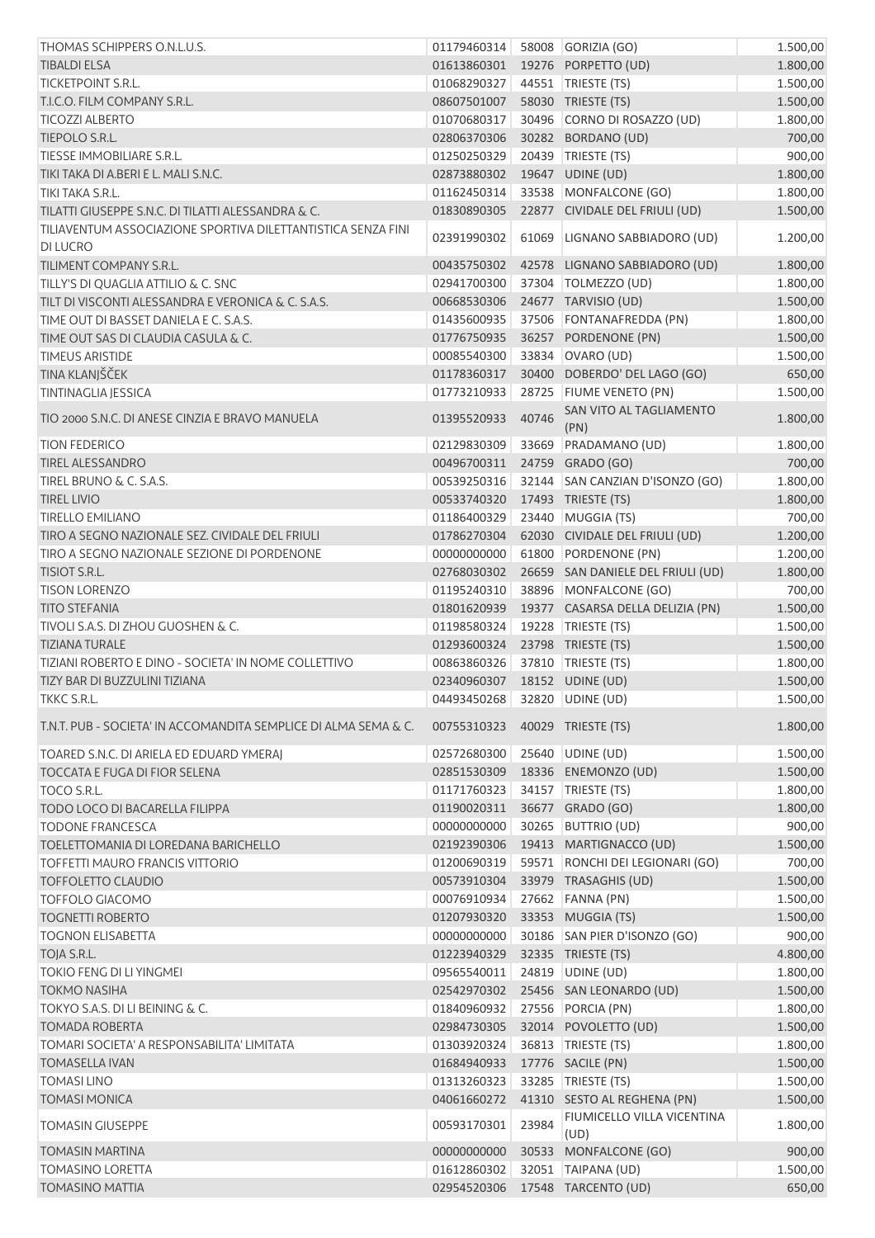| THOMAS SCHIPPERS O.N.L.U.S.                                                     | 01179460314                  |       | 58008 GORIZIA (GO)                | 1.500,00 |
|---------------------------------------------------------------------------------|------------------------------|-------|-----------------------------------|----------|
| <b>TIBALDI ELSA</b>                                                             | 01613860301                  |       | 19276 PORPETTO (UD)               | 1.800,00 |
| TICKETPOINT S.R.L.                                                              | 01068290327                  |       | 44551   TRIESTE (TS)              | 1.500,00 |
| T.I.C.O. FILM COMPANY S.R.L.                                                    | 08607501007                  |       | 58030 TRIESTE (TS)                | 1.500,00 |
| <b>TICOZZI ALBERTO</b>                                                          | 01070680317                  |       | 30496 CORNO DI ROSAZZO (UD)       | 1.800,00 |
| TIEPOLO S.R.L.                                                                  | 02806370306                  |       | 30282 BORDANO (UD)                | 700,00   |
| TIESSE IMMOBILIARE S.R.L.                                                       | 01250250329                  |       | 20439 TRIESTE (TS)                | 900,00   |
| TIKI TAKA DI A.BERI E L. MALI S.N.C.                                            | 02873880302                  |       | 19647 UDINE (UD)                  | 1.800,00 |
| TIKI TAKA S.R.L.                                                                | 01162450314                  |       | 33538 MONFALCONE (GO)             | 1.800,00 |
| TILATTI GIUSEPPE S.N.C. DI TILATTI ALESSANDRA & C.                              | 01830890305                  |       | 22877 CIVIDALE DEL FRIULI (UD)    | 1.500,00 |
| TILIAVENTUM ASSOCIAZIONE SPORTIVA DILETTANTISTICA SENZA FINI<br><b>DI LUCRO</b> | 02391990302                  | 61069 | LIGNANO SABBIADORO (UD)           | 1.200,00 |
| TILIMENT COMPANY S.R.L.                                                         | 00435750302                  |       | 42578 LIGNANO SABBIADORO (UD)     | 1.800,00 |
| TILLY'S DI QUAGLIA ATTILIO & C. SNC                                             | 02941700300                  |       | 37304   TOLMEZZO (UD)             | 1.800,00 |
| TILT DI VISCONTI ALESSANDRA E VERONICA & C. S.A.S.                              | 00668530306                  |       | 24677 TARVISIO (UD)               | 1.500,00 |
| TIME OUT DI BASSET DANIELA E C. S.A.S.                                          | 01435600935                  |       | 37506 FONTANAFREDDA (PN)          | 1.800,00 |
| TIME OUT SAS DI CLAUDIA CASULA & C.                                             | 01776750935                  |       | 36257 PORDENONE (PN)              | 1.500,00 |
| <b>TIMEUS ARISTIDE</b>                                                          | 00085540300                  |       | 33834 OVARO (UD)                  | 1.500,00 |
| TINA KLANJŠČEK                                                                  | 01178360317                  |       | 30400 DOBERDO' DEL LAGO (GO)      | 650,00   |
| <b>TINTINAGLIA JESSICA</b>                                                      | 01773210933                  |       | 28725 FIUME VENETO (PN)           | 1.500,00 |
|                                                                                 |                              |       | SAN VITO AL TAGLIAMENTO           |          |
| TIO 2000 S.N.C. DI ANESE CINZIA E BRAVO MANUELA                                 | 01395520933                  | 40746 | (PN)                              | 1.800,00 |
| <b>TION FEDERICO</b>                                                            | 02129830309                  |       | 33669 PRADAMANO (UD)              | 1.800,00 |
| <b>TIREL ALESSANDRO</b>                                                         | 00496700311                  |       | 24759 GRADO (GO)                  | 700,00   |
| TIREL BRUNO & C. S.A.S.                                                         | 00539250316                  |       | 32144 SAN CANZIAN D'ISONZO (GO)   | 1.800,00 |
| <b>TIREL LIVIO</b>                                                              | 00533740320                  |       | 17493 TRIESTE (TS)                | 1.800,00 |
| <b>TIRELLO EMILIANO</b>                                                         | 01186400329                  |       | 23440 MUGGIA (TS)                 | 700,00   |
| TIRO A SEGNO NAZIONALE SEZ. CIVIDALE DEL FRIULI                                 | 01786270304                  |       | 62030 CIVIDALE DEL FRIULI (UD)    | 1.200,00 |
| TIRO A SEGNO NAZIONALE SEZIONE DI PORDENONE                                     | 00000000000                  | 61800 | PORDENONE (PN)                    | 1.200,00 |
| TISIOT S.R.L.                                                                   | 02768030302                  |       | 26659 SAN DANIELE DEL FRIULI (UD) | 1.800,00 |
| <b>TISON LORENZO</b>                                                            | 01195240310                  |       | 38896 MONFALCONE (GO)             | 700,00   |
| <b>TITO STEFANIA</b>                                                            | 01801620939                  |       | 19377 CASARSA DELLA DELIZIA (PN)  | 1.500,00 |
| TIVOLI S.A.S. DI ZHOU GUOSHEN & C.                                              | 01198580324                  |       | 19228   TRIESTE (TS)              | 1.500,00 |
| <b>TIZIANA TURALE</b>                                                           | 01293600324                  |       | 23798 TRIESTE (TS)                | 1.500,00 |
| TIZIANI ROBERTO E DINO - SOCIETA' IN NOME COLLETTIVO                            | 00863860326                  |       | 37810 TRIESTE (TS)                | 1.800,00 |
| TIZY BAR DI BUZZULINI TIZIANA                                                   | 02340960307 18152 UDINE (UD) |       |                                   | 1.500,00 |
| TKKC S.R.L.                                                                     | 04493450268 32820 UDINE (UD) |       |                                   | 1.500,00 |
| T.N.T. PUB - SOCIETA' IN ACCOMANDITA SEMPLICE DI ALMA SEMA & C.                 | 00755310323                  |       | 40029 TRIESTE (TS)                | 1.800,00 |
| TOARED S.N.C. DI ARIELA ED EDUARD YMERAJ                                        | 02572680300                  |       | 25640 UDINE (UD)                  | 1.500,00 |
| <b>TOCCATA E FUGA DI FIOR SELENA</b>                                            | 02851530309                  |       | 18336 ENEMONZO (UD)               | 1.500,00 |
| TOCO S.R.L.                                                                     | 01171760323                  |       | 34157   TRIESTE (TS)              | 1.800,00 |
| TODO LOCO DI BACARELLA FILIPPA                                                  | 01190020311                  |       | 36677 GRADO (GO)                  | 1.800,00 |
| <b>TODONE FRANCESCA</b>                                                         | 00000000000                  | 30265 | <b>BUTTRIO (UD)</b>               | 900,00   |
| TOELETTOMANIA DI LOREDANA BARICHELLO                                            | 02192390306                  |       | 19413 MARTIGNACCO (UD)            | 1.500,00 |
| TOFFETTI MAURO FRANCIS VITTORIO                                                 | 01200690319                  |       | 59571 RONCHI DEI LEGIONARI (GO)   | 700,00   |
| <b>TOFFOLETTO CLAUDIO</b>                                                       | 00573910304                  |       | 33979 TRASAGHIS (UD)              | 1.500,00 |
| <b>TOFFOLO GIACOMO</b>                                                          | 00076910934                  |       | 27662 FANNA (PN)                  | 1.500,00 |
| <b>TOGNETTI ROBERTO</b>                                                         | 01207930320                  |       | 33353 MUGGIA (TS)                 | 1.500,00 |
| <b>TOGNON ELISABETTA</b>                                                        | 00000000000                  |       | 30186 SAN PIER D'ISONZO (GO)      | 900,00   |
| TOJA S.R.L.                                                                     | 01223940329                  |       | 32335 TRIESTE (TS)                | 4.800,00 |
| TOKIO FENG DI LI YINGMEI                                                        | 09565540011                  |       | 24819 UDINE (UD)                  | 1.800,00 |
| <b>TOKMO NASIHA</b>                                                             | 02542970302                  |       | 25456 SAN LEONARDO (UD)           | 1.500,00 |
| TOKYO S.A.S. DI LI BEINING & C.                                                 | 01840960932                  |       | 27556 PORCIA (PN)                 | 1.800,00 |
| <b>TOMADA ROBERTA</b>                                                           | 02984730305                  |       | 32014 POVOLETTO (UD)              | 1.500,00 |
| TOMARI SOCIETA' A RESPONSABILITA' LIMITATA                                      | 01303920324                  |       | 36813   TRIESTE (TS)              | 1.800,00 |
| <b>TOMASELLA IVAN</b>                                                           | 01684940933                  |       | 17776 SACILE (PN)                 | 1.500,00 |
| <b>TOMASI LINO</b>                                                              | 01313260323                  |       | 33285 TRIESTE (TS)                | 1.500,00 |
| <b>TOMASI MONICA</b>                                                            | 04061660272                  |       | 41310 SESTO AL REGHENA (PN)       | 1.500,00 |
|                                                                                 |                              |       | FIUMICELLO VILLA VICENTINA        |          |
| <b>TOMASIN GIUSEPPE</b>                                                         | 00593170301                  | 23984 | (UD)                              | 1.800,00 |
| <b>TOMASIN MARTINA</b>                                                          | 00000000000                  |       | 30533 MONFALCONE (GO)             | 900,00   |
| <b>TOMASINO LORETTA</b>                                                         | 01612860302                  |       | 32051 TAIPANA (UD)                | 1.500,00 |
| <b>TOMASINO MATTIA</b>                                                          |                              |       | 02954520306 17548 TARCENTO (UD)   | 650,00   |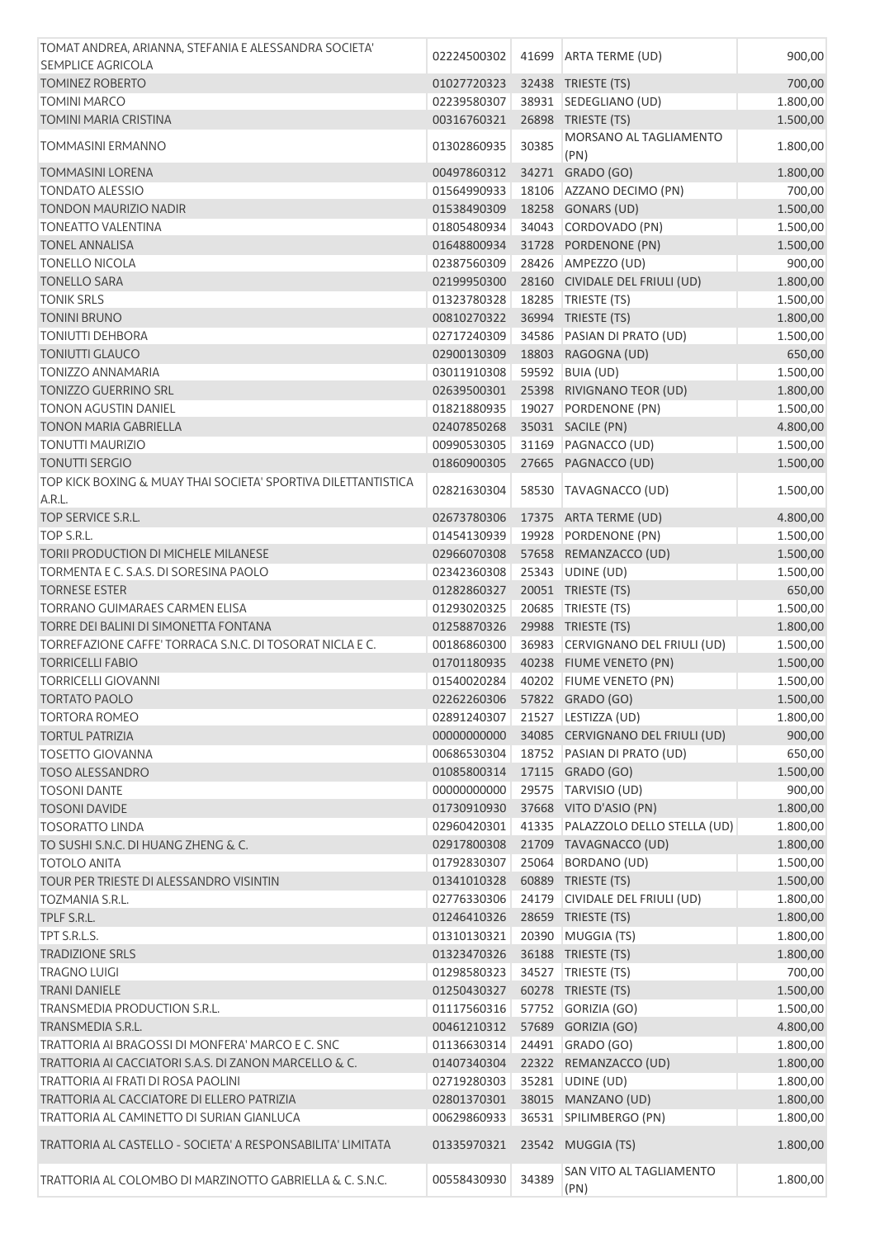| TOMAT ANDREA, ARIANNA, STEFANIA E ALESSANDRA SOCIETA'                                                     | 02224500302                  |       | 41699   ARTA TERME (UD)           | 900,00               |
|-----------------------------------------------------------------------------------------------------------|------------------------------|-------|-----------------------------------|----------------------|
| <b>SEMPLICE AGRICOLA</b>                                                                                  |                              |       |                                   |                      |
| <b>TOMINEZ ROBERTO</b>                                                                                    | 01027720323                  |       | 32438 TRIESTE (TS)                | 700,00               |
| <b>TOMINI MARCO</b>                                                                                       | 02239580307                  |       | 38931 SEDEGLIANO (UD)             | 1.800,00             |
| TOMINI MARIA CRISTINA                                                                                     | 00316760321                  |       | 26898 TRIESTE (TS)                | 1.500,00             |
| <b>TOMMASINI ERMANNO</b>                                                                                  | 01302860935                  | 30385 | MORSANO AL TAGLIAMENTO<br>(PN)    | 1.800,00             |
| <b>TOMMASINI LORENA</b>                                                                                   | 00497860312                  |       | 34271 GRADO (GO)                  | 1.800,00             |
| <b>TONDATO ALESSIO</b>                                                                                    | 01564990933                  |       | 18106 AZZANO DECIMO (PN)          | 700,00               |
| <b>TONDON MAURIZIO NADIR</b>                                                                              | 01538490309                  |       | 18258 GONARS (UD)                 | 1.500,00             |
| <b>TONEATTO VALENTINA</b>                                                                                 | 01805480934                  |       | 34043 CORDOVADO (PN)              | 1.500,00             |
| <b>TONEL ANNALISA</b>                                                                                     | 01648800934                  |       | 31728 PORDENONE (PN)              | 1.500,00             |
| <b>TONELLO NICOLA</b>                                                                                     | 02387560309                  |       | 28426 AMPEZZO (UD)                | 900,00               |
| <b>TONELLO SARA</b>                                                                                       | 02199950300                  |       | 28160 CIVIDALE DEL FRIULI (UD)    | 1.800,00             |
| <b>TONIK SRLS</b>                                                                                         | 01323780328                  |       | 18285   TRIESTE (TS)              | 1.500,00             |
| <b>TONINI BRUNO</b>                                                                                       | 00810270322                  |       | 36994 TRIESTE (TS)                | 1.800,00             |
| <b>TONIUTTI DEHBORA</b>                                                                                   | 02717240309                  |       | 34586 PASIAN DI PRATO (UD)        | 1.500,00             |
| <b>TONIUTTI GLAUCO</b>                                                                                    | 02900130309                  |       | 18803 RAGOGNA (UD)                | 650,00               |
| <b>TONIZZO ANNAMARIA</b>                                                                                  | 03011910308                  |       | 59592 BUIA (UD)                   | 1.500,00             |
| <b>TONIZZO GUERRINO SRL</b>                                                                               | 02639500301                  |       | 25398 RIVIGNANO TEOR (UD)         | 1.800,00             |
| <b>TONON AGUSTIN DANIEL</b>                                                                               | 01821880935                  |       | 19027 PORDENONE (PN)              | 1.500,00             |
| <b>TONON MARIA GABRIELLA</b>                                                                              | 02407850268                  |       | 35031 SACILE (PN)                 | 4.800,00             |
| <b>TONUTTI MAURIZIO</b>                                                                                   | 00990530305                  |       | 31169 PAGNACCO (UD)               | 1.500,00             |
| <b>TONUTTI SERGIO</b>                                                                                     | 01860900305                  |       | 27665 PAGNACCO (UD)               | 1.500,00             |
| TOP KICK BOXING & MUAY THAI SOCIETA' SPORTIVA DILETTANTISTICA<br>A.R.L.                                   | 02821630304                  |       | 58530 TAVAGNACCO (UD)             | 1.500,00             |
| TOP SERVICE S.R.L.                                                                                        | 02673780306                  |       | 17375 ARTA TERME (UD)             | 4.800,00             |
| TOP S.R.L.                                                                                                | 01454130939                  | 19928 | PORDENONE (PN)                    | 1.500,00             |
| TORII PRODUCTION DI MICHELE MILANESE                                                                      | 02966070308                  |       | 57658 REMANZACCO (UD)             | 1.500,00             |
| TORMENTA E C. S.A.S. DI SORESINA PAOLO                                                                    | 02342360308                  |       | 25343 UDINE (UD)                  | 1.500,00             |
| <b>TORNESE ESTER</b>                                                                                      | 01282860327                  |       | 20051 TRIESTE (TS)                | 650,00               |
| TORRANO GUIMARAES CARMEN ELISA                                                                            | 01293020325                  |       | 20685   TRIESTE (TS)              | 1.500,00             |
| TORRE DEI BALINI DI SIMONETTA FONTANA                                                                     | 01258870326                  |       | 29988 TRIESTE (TS)                | 1.800,00             |
| TORREFAZIONE CAFFE' TORRACA S.N.C. DI TOSORAT NICLA E C.                                                  | 00186860300                  |       | 36983 CERVIGNANO DEL FRIULI (UD)  | 1.500,00             |
| <b>TORRICELLI FABIO</b>                                                                                   | 01701180935                  |       | 40238 FIUME VENETO (PN)           | 1.500,00             |
| <b>TORRICELLI GIOVANNI</b>                                                                                | 01540020284                  |       | 40202 FIUME VENETO (PN)           | 1.500,00             |
| <b>TORTATO PAOLO</b>                                                                                      | 02262260306 57822 GRADO (GO) |       |                                   | 1.500,00             |
| <b>TORTORA ROMEO</b>                                                                                      | 02891240307                  |       | 21527 LESTIZZA (UD)               | 1.800,00             |
| <b>TORTUL PATRIZIA</b>                                                                                    | 00000000000                  |       | 34085 CERVIGNANO DEL FRIULI (UD)  | 900,00               |
| <b>TOSETTO GIOVANNA</b>                                                                                   | 00686530304                  |       | 18752 PASIAN DI PRATO (UD)        | 650,00               |
| <b>TOSO ALESSANDRO</b>                                                                                    | 01085800314                  |       | 17115 GRADO (GO)                  | 1.500,00             |
| <b>TOSONI DANTE</b>                                                                                       | 00000000000                  |       | 29575 TARVISIO (UD)               | 900,00               |
| <b>TOSONI DAVIDE</b>                                                                                      | 01730910930                  |       | 37668 VITO D'ASIO (PN)            | 1.800,00             |
| <b>TOSORATTO LINDA</b>                                                                                    | 02960420301                  |       | 41335 PALAZZOLO DELLO STELLA (UD) | 1.800,00             |
| TO SUSHI S.N.C. DI HUANG ZHENG & C.                                                                       | 02917800308                  |       | 21709 TAVAGNACCO (UD)             | 1.800,00             |
| <b>TOTOLO ANITA</b>                                                                                       | 01792830307                  | 25064 | BORDANO (UD)                      | 1.500,00             |
| TOUR PER TRIESTE DI ALESSANDRO VISINTIN                                                                   | 01341010328                  |       | 60889 TRIESTE (TS)                | 1.500,00             |
| <b>TOZMANIA S.R.L.</b>                                                                                    | 02776330306                  |       | 24179 CIVIDALE DEL FRIULI (UD)    | 1.800,00             |
| TPLF S.R.L.                                                                                               | 01246410326                  |       | 28659 TRIESTE (TS)                | 1.800,00             |
| TPT S.R.L.S.                                                                                              | 01310130321                  |       | 20390 MUGGIA (TS)                 | 1.800,00             |
| <b>TRADIZIONE SRLS</b>                                                                                    | 01323470326                  |       | 36188 TRIESTE (TS)                | 1.800,00             |
| <b>TRAGNO LUIGI</b>                                                                                       | 01298580323                  |       | 34527 TRIESTE (TS)                | 700,00               |
| <b>TRANI DANIELE</b>                                                                                      | 01250430327                  |       | 60278 TRIESTE (TS)                | 1.500,00             |
| TRANSMEDIA PRODUCTION S.R.L.                                                                              | 01117560316                  |       | 57752 GORIZIA (GO)                | 1.500,00             |
|                                                                                                           | 00461210312                  |       | 57689 GORIZIA (GO)                | 4.800,00             |
| TRANSMEDIA S.R.L.                                                                                         |                              |       | 24491 GRADO (GO)                  |                      |
| TRATTORIA AI BRAGOSSI DI MONFERA' MARCO E C. SNC<br>TRATTORIA AI CACCIATORI S.A.S. DI ZANON MARCELLO & C. | 01136630314<br>01407340304   |       | 22322 REMANZACCO (UD)             | 1.800,00             |
| TRATTORIA AI FRATI DI ROSA PAOLINI                                                                        | 02719280303                  |       | 35281 UDINE (UD)                  | 1.800,00<br>1.800,00 |
| TRATTORIA AL CACCIATORE DI ELLERO PATRIZIA                                                                | 02801370301                  |       | 38015 MANZANO (UD)                |                      |
| TRATTORIA AL CAMINETTO DI SURIAN GIANLUCA                                                                 | 00629860933                  |       | 36531 SPILIMBERGO (PN)            | 1.800,00<br>1.800,00 |
|                                                                                                           |                              |       |                                   |                      |
| TRATTORIA AL CASTELLO - SOCIETA' A RESPONSABILITA' LIMITATA                                               | 01335970321                  |       | 23542 MUGGIA (TS)                 | 1.800,00             |
| TRATTORIA AL COLOMBO DI MARZINOTTO GABRIELLA & C. S.N.C.                                                  | 00558430930                  | 34389 | SAN VITO AL TAGLIAMENTO<br>(PN)   | 1.800,00             |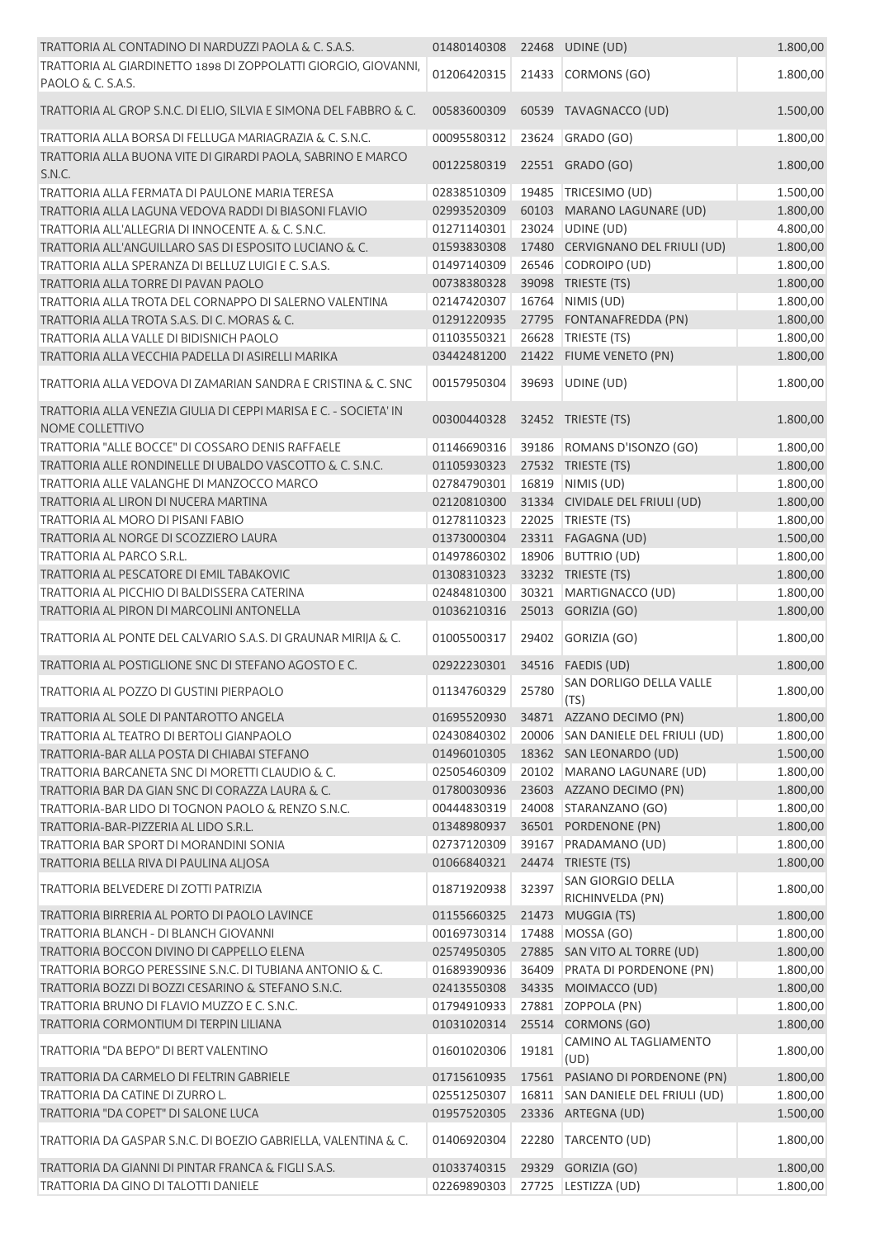| TRATTORIA AL CONTADINO DI NARDUZZI PAOLA & C. S.A.S.                                    | 01480140308                |       | 22468 UDINE (UD)                                       | 1.800,00             |
|-----------------------------------------------------------------------------------------|----------------------------|-------|--------------------------------------------------------|----------------------|
| TRATTORIA AL GIARDINETTO 1898 DI ZOPPOLATTI GIORGIO, GIOVANNI,                          | 01206420315                |       | 21433 CORMONS (GO)                                     | 1.800,00             |
| PAOLO & C. S.A.S.                                                                       |                            |       |                                                        |                      |
| TRATTORIA AL GROP S.N.C. DI ELIO, SILVIA E SIMONA DEL FABBRO & C.                       | 00583600309                |       | 60539 TAVAGNACCO (UD)                                  | 1.500,00             |
| TRATTORIA ALLA BORSA DI FELLUGA MARIAGRAZIA & C. S.N.C.                                 | 00095580312                |       | 23624 GRADO (GO)                                       | 1.800,00             |
| TRATTORIA ALLA BUONA VITE DI GIRARDI PAOLA, SABRINO E MARCO                             | 00122580319                |       | 22551 GRADO (GO)                                       | 1.800,00             |
| S.N.C.                                                                                  |                            |       |                                                        |                      |
| TRATTORIA ALLA FERMATA DI PAULONE MARIA TERESA                                          | 02838510309                |       | 19485 TRICESIMO (UD)                                   | 1.500,00             |
| TRATTORIA ALLA LAGUNA VEDOVA RADDI DI BIASONI FLAVIO                                    | 02993520309                |       | 60103 MARANO LAGUNARE (UD)                             | 1.800,00             |
| TRATTORIA ALL'ALLEGRIA DI INNOCENTE A. & C. S.N.C.                                      | 01271140301                |       | 23024 UDINE (UD)                                       | 4.800,00             |
| TRATTORIA ALL'ANGUILLARO SAS DI ESPOSITO LUCIANO & C.                                   | 01593830308                |       | 17480 CERVIGNANO DEL FRIULI (UD)                       | 1.800,00             |
| TRATTORIA ALLA SPERANZA DI BELLUZ LUIGI E C. S.A.S.                                     | 01497140309                |       | 26546 CODROIPO (UD)                                    | 1.800,00             |
| TRATTORIA ALLA TORRE DI PAVAN PAOLO                                                     | 00738380328                |       | 39098 TRIESTE (TS)                                     | 1.800,00             |
| TRATTORIA ALLA TROTA DEL CORNAPPO DI SALERNO VALENTINA                                  | 02147420307                |       | 16764 NIMIS (UD)                                       | 1.800,00             |
| TRATTORIA ALLA TROTA S.A.S. DI C. MORAS & C.                                            | 01291220935                |       | 27795 FONTANAFREDDA (PN)<br>26628 TRIESTE (TS)         | 1.800,00             |
| TRATTORIA ALLA VALLE DI BIDISNICH PAOLO                                                 | 01103550321                |       |                                                        | 1.800,00<br>1.800,00 |
| TRATTORIA ALLA VECCHIA PADELLA DI ASIRELLI MARIKA                                       | 03442481200                |       | 21422 FIUME VENETO (PN)                                |                      |
| TRATTORIA ALLA VEDOVA DI ZAMARIAN SANDRA E CRISTINA & C. SNC                            | 00157950304                |       | 39693 UDINE (UD)                                       | 1.800,00             |
| TRATTORIA ALLA VENEZIA GIULIA DI CEPPI MARISA E C. - SOCIETA' IN<br>NOME COLLETTIVO     | 00300440328                |       | 32452 TRIESTE (TS)                                     | 1.800,00             |
| TRATTORIA "ALLE BOCCE" DI COSSARO DENIS RAFFAELE                                        | 01146690316                |       | 39186 ROMANS D'ISONZO (GO)                             | 1.800,00             |
| TRATTORIA ALLE RONDINELLE DI UBALDO VASCOTTO & C. S.N.C.                                | 01105930323                |       | 27532 TRIESTE (TS)                                     | 1.800,00             |
| TRATTORIA ALLE VALANGHE DI MANZOCCO MARCO                                               | 02784790301                |       | 16819 NIMIS (UD)                                       | 1.800,00             |
| TRATTORIA AL LIRON DI NUCERA MARTINA                                                    | 02120810300                |       | 31334 CIVIDALE DEL FRIULI (UD)                         | 1.800,00             |
| TRATTORIA AL MORO DI PISANI FABIO                                                       | 01278110323                |       | 22025 TRIESTE (TS)                                     | 1.800,00             |
| TRATTORIA AL NORGE DI SCOZZIERO LAURA                                                   | 01373000304                |       | 23311 FAGAGNA (UD)                                     | 1.500,00             |
| TRATTORIA AL PARCO S.R.L.                                                               | 01497860302                |       | 18906 BUTTRIO (UD)                                     | 1.800,00             |
| TRATTORIA AL PESCATORE DI EMIL TABAKOVIC                                                | 01308310323                |       | 33232 TRIESTE (TS)                                     | 1.800,00             |
| TRATTORIA AL PICCHIO DI BALDISSERA CATERINA                                             | 02484810300                |       | 30321 MARTIGNACCO (UD)                                 | 1.800,00             |
| TRATTORIA AL PIRON DI MARCOLINI ANTONELLA                                               | 01036210316                |       | 25013 GORIZIA (GO)                                     | 1.800,00             |
| TRATTORIA AL PONTE DEL CALVARIO S.A.S. DI GRAUNAR MIRIJA & C.                           | 01005500317                | 29402 | GORIZIA (GO)                                           | 1.800,00             |
| TRATTORIA AL POSTIGLIONE SNC DI STEFANO AGOSTO E C.                                     | 02922230301                | 34516 | FAEDIS (UD)                                            | 1.800,00             |
| TRATTORIA AL POZZO DI GUSTINI PIERPAOLO                                                 | 01134760329                | 25780 | SAN DORLIGO DELLA VALLE                                | 1.800,00             |
|                                                                                         |                            |       | (TS)                                                   |                      |
| TRATTORIA AL SOLE DI PANTAROTTO ANGELA                                                  | 01695520930                |       | 34871 AZZANO DECIMO (PN)                               | 1.800,00             |
| TRATTORIA AL TEATRO DI BERTOLI GIANPAOLO<br>TRATTORIA-BAR ALLA POSTA DI CHIABAI STEFANO | 02430840302                |       | 20006 SAN DANIELE DEL FRIULI (UD)                      | 1.800,00             |
| TRATTORIA BARCANETA SNC DI MORETTI CLAUDIO & C.                                         | 01496010305<br>02505460309 |       | 18362 SAN LEONARDO (UD)                                | 1.500,00             |
| TRATTORIA BAR DA GIAN SNC DI CORAZZA LAURA & C.                                         | 01780030936                |       | 20102 MARANO LAGUNARE (UD)<br>23603 AZZANO DECIMO (PN) | 1.800,00             |
| TRATTORIA-BAR LIDO DI TOGNON PAOLO & RENZO S.N.C.                                       | 00444830319                |       | 24008 STARANZANO (GO)                                  | 1.800,00<br>1.800,00 |
| TRATTORIA-BAR-PIZZERIA AL LIDO S.R.L.                                                   | 01348980937                |       | 36501 PORDENONE (PN)                                   | 1.800,00             |
| TRATTORIA BAR SPORT DI MORANDINI SONIA                                                  | 02737120309                |       | 39167 PRADAMANO (UD)                                   | 1.800,00             |
| TRATTORIA BELLA RIVA DI PAULINA ALJOSA                                                  | 01066840321                |       | 24474 TRIESTE (TS)                                     | 1.800,00             |
|                                                                                         |                            |       | SAN GIORGIO DELLA                                      |                      |
| TRATTORIA BELVEDERE DI ZOTTI PATRIZIA                                                   | 01871920938                | 32397 | RICHINVELDA (PN)                                       | 1.800,00             |
| TRATTORIA BIRRERIA AL PORTO DI PAOLO LAVINCE                                            | 01155660325                | 21473 | MUGGIA (TS)                                            | 1.800,00             |
| TRATTORIA BLANCH - DI BLANCH GIOVANNI                                                   | 00169730314                | 17488 | MOSSA (GO)                                             | 1.800,00             |
| TRATTORIA BOCCON DIVINO DI CAPPELLO ELENA                                               | 02574950305                |       | 27885 SAN VITO AL TORRE (UD)                           | 1.800,00             |
| TRATTORIA BORGO PERESSINE S.N.C. DI TUBIANA ANTONIO & C.                                | 01689390936                |       | 36409 PRATA DI PORDENONE (PN)                          | 1.800,00             |
| TRATTORIA BOZZI DI BOZZI CESARINO & STEFANO S.N.C.                                      | 02413550308                |       | 34335 MOIMACCO (UD)                                    | 1.800,00             |
| TRATTORIA BRUNO DI FLAVIO MUZZO E C. S.N.C.                                             | 01794910933                |       | 27881 ZOPPOLA (PN)                                     | 1.800,00             |
| TRATTORIA CORMONTIUM DI TERPIN LILIANA                                                  | 01031020314                |       | 25514 CORMONS (GO)                                     | 1.800,00             |
| TRATTORIA "DA BEPO" DI BERT VALENTINO                                                   | 01601020306                | 19181 | CAMINO AL TAGLIAMENTO<br>(UD)                          | 1.800,00             |
| TRATTORIA DA CARMELO DI FELTRIN GABRIELE                                                | 01715610935                |       | 17561 PASIANO DI PORDENONE (PN)                        | 1.800,00             |
| TRATTORIA DA CATINE DI ZURRO L.                                                         | 02551250307                |       | 16811 SAN DANIELE DEL FRIULI (UD)                      | 1.800,00             |
| TRATTORIA "DA COPET" DI SALONE LUCA                                                     | 01957520305                |       | 23336 ARTEGNA (UD)                                     | 1.500,00             |
| TRATTORIA DA GASPAR S.N.C. DI BOEZIO GABRIELLA, VALENTINA & C.                          | 01406920304                | 22280 | TARCENTO (UD)                                          | 1.800,00             |
| TRATTORIA DA GIANNI DI PINTAR FRANCA & FIGLI S.A.S.                                     | 01033740315                |       | 29329 GORIZIA (GO)                                     | 1.800,00             |
| TRATTORIA DA GINO DI TALOTTI DANIELE                                                    | 02269890303                |       | 27725 LESTIZZA (UD)                                    | 1.800,00             |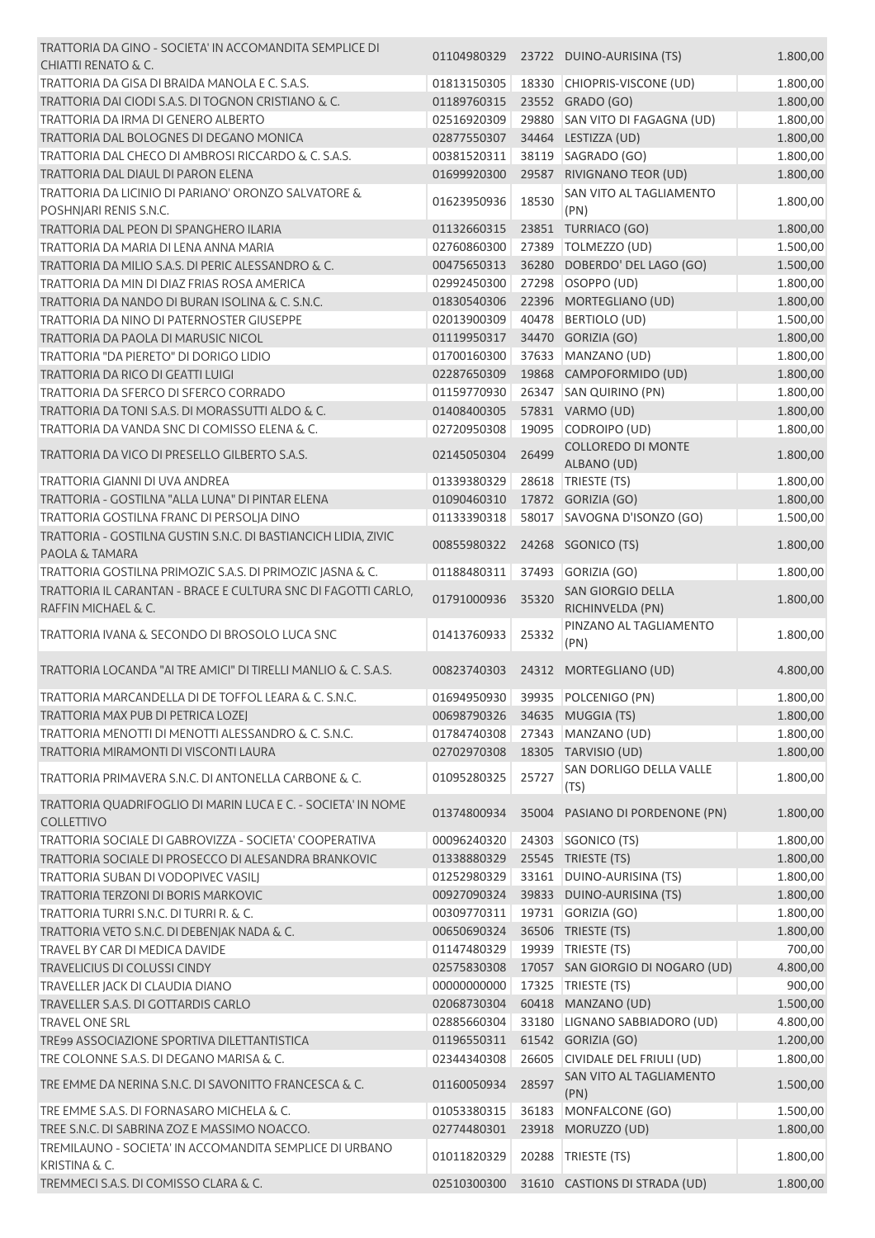| TRATTORIA DA GINO - SOCIETA' IN ACCOMANDITA SEMPLICE DI                          |                               |       | 01104980329 23722 DUINO-AURISINA (TS) | 1.800,00 |
|----------------------------------------------------------------------------------|-------------------------------|-------|---------------------------------------|----------|
| CHIATTI RENATO & C.                                                              |                               |       |                                       |          |
| TRATTORIA DA GISA DI BRAIDA MANOLA E C. S.A.S.                                   | 01813150305                   |       | 18330 CHIOPRIS-VISCONE (UD)           | 1.800,00 |
| TRATTORIA DAI CIODI S.A.S. DI TOGNON CRISTIANO & C.                              | 01189760315                   |       | 23552 GRADO (GO)                      | 1.800,00 |
| TRATTORIA DA IRMA DI GENERO ALBERTO                                              | 02516920309                   |       | 29880 SAN VITO DI FAGAGNA (UD)        | 1.800,00 |
| <b>TRATTORIA DAL BOLOGNES DI DEGANO MONICA</b>                                   | 02877550307                   |       | 34464 LESTIZZA (UD)                   | 1.800,00 |
| TRATTORIA DAL CHECO DI AMBROSI RICCARDO & C. S.A.S.                              | 00381520311                   |       | 38119 SAGRADO (GO)                    | 1.800,00 |
| TRATTORIA DAL DIAUL DI PARON ELENA                                               | 01699920300                   |       | 29587 RIVIGNANO TEOR (UD)             | 1.800,00 |
| TRATTORIA DA LICINIO DI PARIANO' ORONZO SALVATORE &                              | 01623950936                   | 18530 | SAN VITO AL TAGLIAMENTO               | 1.800,00 |
| POSHNJARI RENIS S.N.C.                                                           |                               |       | (PN)                                  |          |
| TRATTORIA DAL PEON DI SPANGHERO ILARIA                                           | 01132660315                   |       | 23851 TURRIACO (GO)                   | 1.800,00 |
| TRATTORIA DA MARIA DI LENA ANNA MARIA                                            | 02760860300                   |       | 27389 TOLMEZZO (UD)                   | 1.500,00 |
| TRATTORIA DA MILIO S.A.S. DI PERIC ALESSANDRO & C.                               | 00475650313                   |       | 36280 DOBERDO' DEL LAGO (GO)          | 1.500,00 |
| TRATTORIA DA MIN DI DIAZ FRIAS ROSA AMERICA                                      | 02992450300                   |       | 27298 OSOPPO (UD)                     | 1.800,00 |
| TRATTORIA DA NANDO DI BURAN ISOLINA & C. S.N.C.                                  | 01830540306                   |       | 22396 MORTEGLIANO (UD)                | 1.800,00 |
| TRATTORIA DA NINO DI PATERNOSTER GIUSEPPE                                        | 02013900309                   | 40478 | BERTIOLO (UD)                         | 1.500,00 |
| TRATTORIA DA PAOLA DI MARUSIC NICOL                                              | 01119950317                   |       | 34470 GORIZIA (GO)                    | 1.800,00 |
| TRATTORIA "DA PIERETO" DI DORIGO LIDIO                                           | 01700160300                   |       | 37633 MANZANO (UD)                    | 1.800,00 |
| TRATTORIA DA RICO DI GEATTI LUIGI                                                | 02287650309                   |       | 19868 CAMPOFORMIDO (UD)               | 1.800,00 |
| TRATTORIA DA SFERCO DI SFERCO CORRADO                                            | 01159770930                   |       | 26347 SAN QUIRINO (PN)                | 1.800,00 |
| TRATTORIA DA TONI S.A.S. DI MORASSUTTI ALDO & C.                                 | 01408400305                   |       | 57831 VARMO (UD)                      | 1.800,00 |
| TRATTORIA DA VANDA SNC DI COMISSO ELENA & C.                                     | 02720950308                   | 19095 | CODROIPO (UD)                         | 1.800,00 |
| TRATTORIA DA VICO DI PRESELLO GILBERTO S.A.S.                                    | 02145050304                   | 26499 | <b>COLLOREDO DI MONTE</b>             | 1.800,00 |
|                                                                                  |                               |       | ALBANO (UD)                           |          |
| TRATTORIA GIANNI DI UVA ANDREA                                                   | 01339380329                   | 28618 | TRIESTE (TS)                          | 1.800,00 |
| TRATTORIA - GOSTILNA "ALLA LUNA" DI PINTAR ELENA                                 | 01090460310                   |       | 17872 GORIZIA (GO)                    | 1.800,00 |
| TRATTORIA GOSTILNA FRANC DI PERSOLJA DINO                                        | 01133390318                   |       | 58017 SAVOGNA D'ISONZO (GO)           | 1.500,00 |
| TRATTORIA - GOSTILNA GUSTIN S.N.C. DI BASTIANCICH LIDIA, ZIVIC<br>PAOLA & TAMARA | 00855980322                   |       | 24268 SGONICO (TS)                    | 1.800,00 |
| TRATTORIA GOSTILNA PRIMOZIC S.A.S. DI PRIMOZIC JASNA & C.                        | 01188480311                   |       | 37493 GORIZIA (GO)                    | 1.800,00 |
| TRATTORIA IL CARANTAN - BRACE E CULTURA SNC DI FAGOTTI CARLO,                    |                               |       | SAN GIORGIO DELLA                     |          |
| RAFFIN MICHAEL & C.                                                              | 01791000936                   | 35320 | RICHINVELDA (PN)                      | 1.800,00 |
| TRATTORIA IVANA & SECONDO DI BROSOLO LUCA SNC                                    | 01413760933                   | 25332 | PINZANO AL TAGLIAMENTO<br>(PN)        | 1.800,00 |
| TRATTORIA LOCANDA "AI TRE AMICI" DI TIRELLI MANLIO & C. S.A.S.                   | 00823740303                   |       | 24312 MORTEGLIANO (UD)                | 4.800,00 |
|                                                                                  |                               |       |                                       |          |
| TRATTORIA MARCANDELLA DI DE TOFFOL LEARA & C. S.N.C.                             |                               |       | 01694950930 39935 POLCENIGO (PN)      | 1.800,00 |
| TRATTORIA MAX PUB DI PETRICA LOZEI                                               | 00698790326 34635 MUGGIA (TS) |       |                                       | 1.800,00 |
| TRATTORIA MENOTTI DI MENOTTI ALESSANDRO & C. S.N.C.                              | 01784740308                   |       | 27343 MANZANO (UD)                    | 1.800,00 |
| TRATTORIA MIRAMONTI DI VISCONTI LAURA                                            | 02702970308                   |       | 18305 TARVISIO (UD)                   | 1.800,00 |
| TRATTORIA PRIMAVERA S.N.C. DI ANTONELLA CARBONE & C.                             | 01095280325                   | 25727 | SAN DORLIGO DELLA VALLE<br>(TS)       | 1.800,00 |
| TRATTORIA QUADRIFOGLIO DI MARIN LUCA E C. - SOCIETA' IN NOME                     |                               |       |                                       |          |
| <b>COLLETTIVO</b>                                                                | 01374800934                   |       | 35004 PASIANO DI PORDENONE (PN)       | 1.800,00 |
| TRATTORIA SOCIALE DI GABROVIZZA - SOCIETA' COOPERATIVA                           | 00096240320                   |       | 24303 SGONICO (TS)                    | 1.800,00 |
| TRATTORIA SOCIALE DI PROSECCO DI ALESANDRA BRANKOVIC                             | 01338880329                   |       | 25545 TRIESTE (TS)                    | 1.800,00 |
| TRATTORIA SUBAN DI VODOPIVEC VASILJ                                              | 01252980329                   |       | 33161 DUINO-AURISINA (TS)             | 1.800,00 |
| TRATTORIA TERZONI DI BORIS MARKOVIC                                              | 00927090324                   |       | 39833 DUINO-AURISINA (TS)             | 1.800,00 |
| TRATTORIA TURRI S.N.C. DI TURRI R. & C.                                          | 00309770311                   |       | 19731 GORIZIA (GO)                    | 1.800,00 |
| TRATTORIA VETO S.N.C. DI DEBENJAK NADA & C.                                      | 00650690324                   |       | 36506 TRIESTE (TS)                    | 1.800,00 |
| TRAVEL BY CAR DI MEDICA DAVIDE                                                   | 01147480329                   |       | 19939   TRIESTE (TS)                  | 700,00   |
| TRAVELICIUS DI COLUSSI CINDY                                                     | 02575830308                   |       | 17057 SAN GIORGIO DI NOGARO (UD)      | 4.800,00 |
| TRAVELLER JACK DI CLAUDIA DIANO                                                  | 00000000000                   |       | 17325 TRIESTE (TS)                    | 900,00   |
| TRAVELLER S.A.S. DI GOTTARDIS CARLO                                              | 02068730304                   |       | 60418 MANZANO (UD)                    | 1.500,00 |
| <b>TRAVEL ONE SRL</b>                                                            | 02885660304                   |       | 33180 LIGNANO SABBIADORO (UD)         | 4.800,00 |
| TRE99 ASSOCIAZIONE SPORTIVA DILETTANTISTICA                                      | 01196550311                   |       | 61542 GORIZIA (GO)                    | 1.200,00 |
| TRE COLONNE S.A.S. DI DEGANO MARISA & C.                                         | 02344340308                   |       | 26605 CIVIDALE DEL FRIULI (UD)        | 1.800,00 |
| TRE EMME DA NERINA S.N.C. DI SAVONITTO FRANCESCA & C.                            | 01160050934                   | 28597 | SAN VITO AL TAGLIAMENTO               | 1.500,00 |
| TRE EMME S.A.S. DI FORNASARO MICHELA & C.                                        | 01053380315                   | 36183 | (PN)<br>MONFALCONE (GO)               | 1.500,00 |
| TREE S.N.C. DI SABRINA ZOZ E MASSIMO NOACCO.                                     | 02774480301                   |       | 23918 MORUZZO (UD)                    | 1.800,00 |
| TREMILAUNO - SOCIETA' IN ACCOMANDITA SEMPLICE DI URBANO                          |                               |       |                                       |          |
| <b>KRISTINA &amp; C.</b>                                                         | 01011820329                   |       | 20288 TRIESTE (TS)                    | 1.800,00 |
| TREMMECI S.A.S. DI COMISSO CLARA & C.                                            | 02510300300                   |       | 31610 CASTIONS DI STRADA (UD)         | 1.800,00 |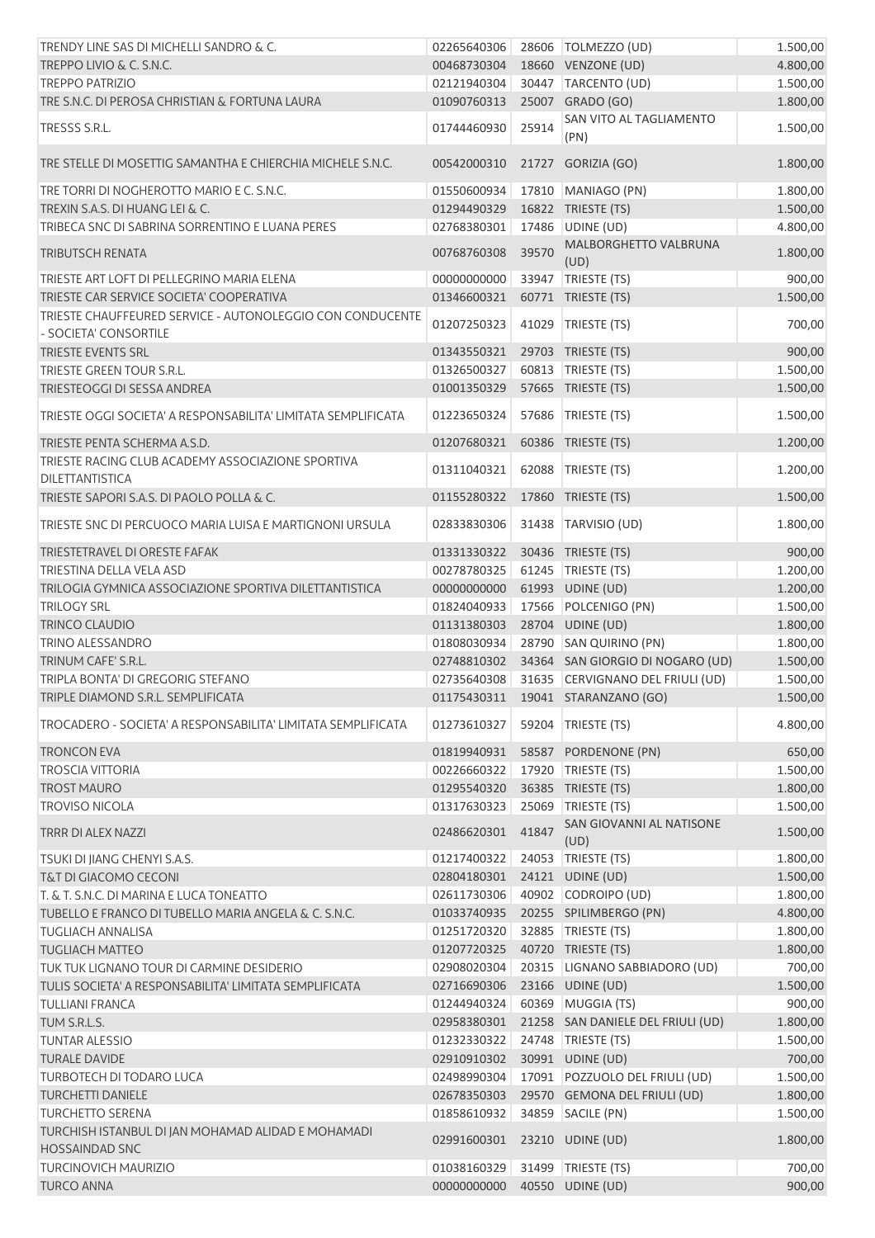| TRENDY LINE SAS DI MICHELLI SANDRO & C.                                            | 02265640306 |       | 28606   TOLMEZZO (UD)                | 1.500,00 |
|------------------------------------------------------------------------------------|-------------|-------|--------------------------------------|----------|
| TREPPO LIVIO & C. S.N.C.                                                           | 00468730304 |       | 18660 VENZONE (UD)                   | 4.800,00 |
| <b>TREPPO PATRIZIO</b>                                                             | 02121940304 |       | 30447 TARCENTO (UD)                  | 1.500,00 |
| TRE S.N.C. DI PEROSA CHRISTIAN & FORTUNA LAURA                                     | 01090760313 |       | 25007 GRADO (GO)                     | 1.800,00 |
| TRESSS S.R.L.                                                                      | 01744460930 | 25914 | SAN VITO AL TAGLIAMENTO<br>(PN)      | 1.500,00 |
| TRE STELLE DI MOSETTIG SAMANTHA E CHIERCHIA MICHELE S.N.C.                         | 00542000310 |       | 21727 GORIZIA (GO)                   | 1.800,00 |
| TRE TORRI DI NOGHEROTTO MARIO E C. S.N.C.                                          | 01550600934 |       | 17810   MANIAGO (PN)                 | 1.800,00 |
| TREXIN S.A.S. DI HUANG LEI & C.                                                    | 01294490329 |       | 16822 TRIESTE (TS)                   | 1.500,00 |
| TRIBECA SNC DI SABRINA SORRENTINO E LUANA PERES                                    | 02768380301 | 17486 | UDINE (UD)                           | 4.800,00 |
| <b>TRIBUTSCH RENATA</b>                                                            | 00768760308 | 39570 | <b>MALBORGHETTO VALBRUNA</b><br>(UD) | 1.800,00 |
| TRIESTE ART LOFT DI PELLEGRINO MARIA ELENA                                         | 00000000000 |       | 33947   TRIESTE (TS)                 | 900,00   |
| TRIESTE CAR SERVICE SOCIETA' COOPERATIVA                                           | 01346600321 |       | 60771 TRIESTE (TS)                   | 1.500,00 |
| TRIESTE CHAUFFEURED SERVICE - AUTONOLEGGIO CON CONDUCENTE<br>- SOCIETA' CONSORTILE | 01207250323 | 41029 | TRIESTE (TS)                         | 700,00   |
| <b>TRIESTE EVENTS SRL</b>                                                          | 01343550321 |       | 29703 TRIESTE (TS)                   | 900,00   |
| TRIESTE GREEN TOUR S.R.L.                                                          | 01326500327 |       | 60813   TRIESTE (TS)                 | 1.500,00 |
| TRIESTEOGGI DI SESSA ANDREA                                                        | 01001350329 |       | 57665 TRIESTE (TS)                   | 1.500,00 |
| TRIESTE OGGI SOCIETA' A RESPONSABILITA' LIMITATA SEMPLIFICATA                      | 01223650324 |       | 57686   TRIESTE (TS)                 | 1.500,00 |
| TRIESTE PENTA SCHERMA A.S.D.                                                       | 01207680321 |       | 60386 TRIESTE (TS)                   | 1.200,00 |
| TRIESTE RACING CLUB ACADEMY ASSOCIAZIONE SPORTIVA<br><b>DILETTANTISTICA</b>        | 01311040321 |       | 62088 TRIESTE (TS)                   | 1.200,00 |
| TRIESTE SAPORI S.A.S. DI PAOLO POLLA & C.                                          | 01155280322 |       | 17860 TRIESTE (TS)                   | 1.500,00 |
| TRIESTE SNC DI PERCUOCO MARIA LUISA E MARTIGNONI URSULA                            | 02833830306 |       | 31438   TARVISIO (UD)                | 1.800,00 |
| TRIESTETRAVEL DI ORESTE FAFAK                                                      | 01331330322 |       | 30436 TRIESTE (TS)                   | 900,00   |
| TRIESTINA DELLA VELA ASD                                                           | 00278780325 |       | 61245   TRIESTE (TS)                 | 1.200,00 |
| TRILOGIA GYMNICA ASSOCIAZIONE SPORTIVA DILETTANTISTICA                             | 00000000000 |       | 61993 UDINE (UD)                     | 1.200,00 |
| <b>TRILOGY SRL</b>                                                                 | 01824040933 |       | 17566 POLCENIGO (PN)                 | 1.500,00 |
| <b>TRINCO CLAUDIO</b>                                                              | 01131380303 |       | 28704 UDINE (UD)                     | 1.800,00 |
| <b>TRINO ALESSANDRO</b>                                                            | 01808030934 |       | 28790 SAN QUIRINO (PN)               | 1.800,00 |
| TRINUM CAFE' S.R.L.                                                                | 02748810302 |       | 34364 SAN GIORGIO DI NOGARO (UD)     | 1.500,00 |
| TRIPLA BONTA' DI GREGORIG STEFANO                                                  | 02735640308 |       | 31635 CERVIGNANO DEL FRIULI (UD)     | 1.500,00 |
| TRIPLE DIAMOND S.R.L. SEMPLIFICATA                                                 |             |       | 01175430311  19041  STARANZANO (GO)  | 1.500,00 |
| TROCADERO - SOCIETA' A RESPONSABILITA' LIMITATA SEMPLIFICATA                       | 01273610327 | 59204 | TRIESTE (TS)                         | 4.800,00 |
| <b>TRONCON EVA</b>                                                                 | 01819940931 |       | 58587 PORDENONE (PN)                 | 650,00   |
| <b>TROSCIA VITTORIA</b>                                                            | 00226660322 | 17920 | TRIESTE (TS)                         | 1.500,00 |
| <b>TROST MAURO</b>                                                                 | 01295540320 |       | 36385 TRIESTE (TS)                   | 1.800,00 |
| <b>TROVISO NICOLA</b>                                                              | 01317630323 | 25069 | TRIESTE (TS)                         | 1.500,00 |
| <b>TRRR DI ALEX NAZZI</b>                                                          | 02486620301 | 41847 | SAN GIOVANNI AL NATISONE<br>(UD)     | 1.500,00 |
| TSUKI DI JIANG CHENYI S.A.S.                                                       | 01217400322 |       | 24053 TRIESTE (TS)                   | 1.800,00 |
| <b>T&amp;T DI GIACOMO CECONI</b>                                                   | 02804180301 |       | 24121 UDINE (UD)                     | 1.500,00 |
| T. & T. S.N.C. DI MARINA E LUCA TONEATTO                                           | 02611730306 |       | 40902 CODROIPO (UD)                  | 1.800,00 |
| TUBELLO E FRANCO DI TUBELLO MARIA ANGELA & C. S.N.C.                               | 01033740935 |       | 20255 SPILIMBERGO (PN)               | 4.800,00 |
| <b>TUGLIACH ANNALISA</b>                                                           | 01251720320 |       | 32885   TRIESTE (TS)                 | 1.800,00 |
| <b>TUGLIACH MATTEO</b>                                                             | 01207720325 |       | 40720 TRIESTE (TS)                   | 1.800,00 |
| TUK TUK LIGNANO TOUR DI CARMINE DESIDERIO                                          | 02908020304 |       | 20315   LIGNANO SABBIADORO (UD)      | 700,00   |
| TULIS SOCIETA' A RESPONSABILITA' LIMITATA SEMPLIFICATA                             | 02716690306 |       | 23166 UDINE (UD)                     | 1.500,00 |
| <b>TULLIANI FRANCA</b>                                                             | 01244940324 |       | 60369 MUGGIA (TS)                    | 900,00   |
| TUM S.R.L.S.                                                                       | 02958380301 |       | 21258 SAN DANIELE DEL FRIULI (UD)    | 1.800,00 |
| <b>TUNTAR ALESSIO</b>                                                              | 01232330322 |       | 24748 TRIESTE (TS)                   | 1.500,00 |
| <b>TURALE DAVIDE</b>                                                               | 02910910302 |       | 30991 UDINE (UD)                     | 700,00   |
| TURBOTECH DI TODARO LUCA                                                           | 02498990304 |       | 17091 POZZUOLO DEL FRIULI (UD)       | 1.500,00 |
| <b>TURCHETTI DANIELE</b>                                                           | 02678350303 |       | 29570 GEMONA DEL FRIULI (UD)         | 1.800,00 |
| <b>TURCHETTO SERENA</b>                                                            | 01858610932 |       | 34859 SACILE (PN)                    | 1.500,00 |
| TURCHISH ISTANBUL DI JAN MOHAMAD ALIDAD E MOHAMADI<br><b>HOSSAINDAD SNC</b>        | 02991600301 |       | 23210 UDINE (UD)                     | 1.800,00 |
| <b>TURCINOVICH MAURIZIO</b>                                                        | 01038160329 |       | 31499   TRIESTE (TS)                 | 700,00   |
| <b>TURCO ANNA</b>                                                                  | 00000000000 |       | 40550 UDINE (UD)                     | 900,00   |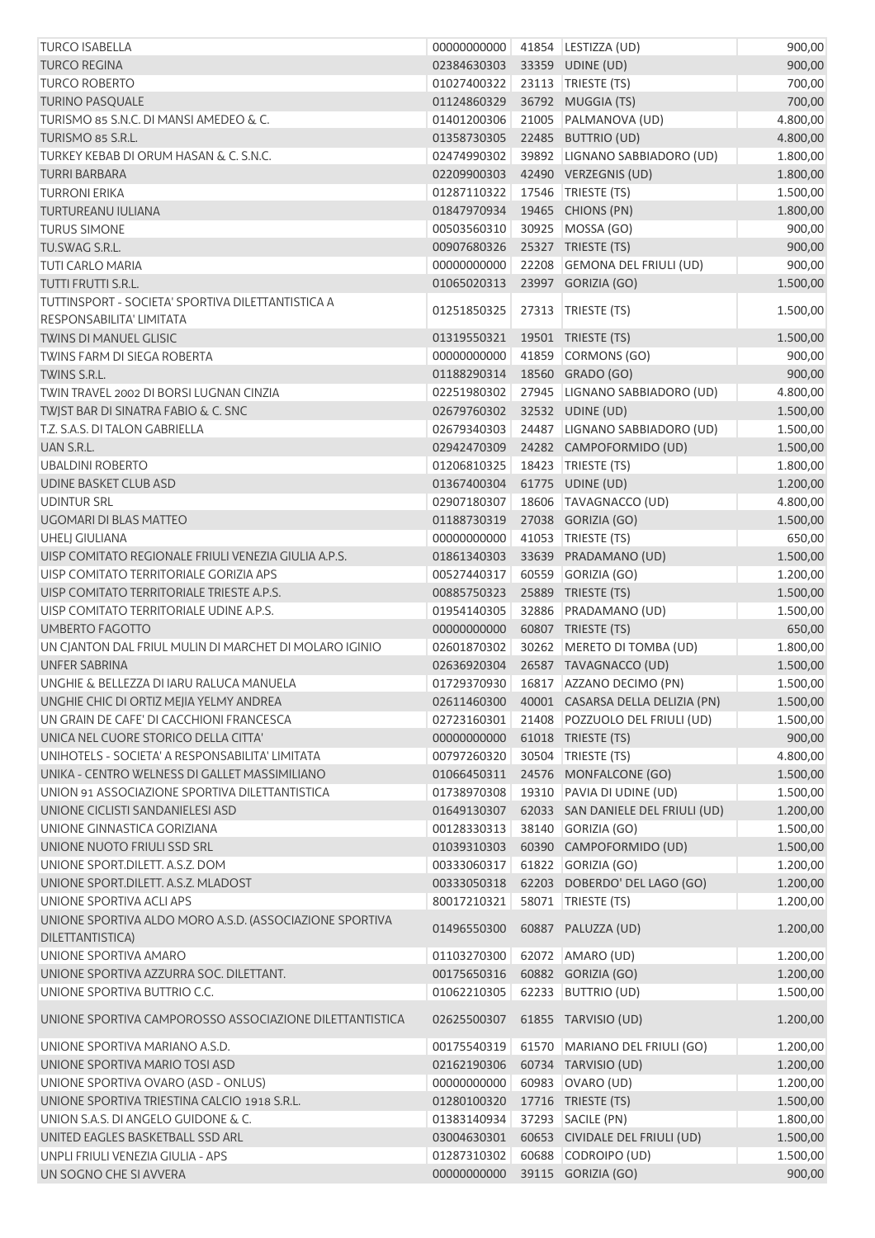| <b>TURCO ISABELLA</b>                                   | 00000000000 | 41854 LESTIZZA (UD)                          | 900,00   |
|---------------------------------------------------------|-------------|----------------------------------------------|----------|
| <b>TURCO REGINA</b>                                     | 02384630303 | 33359 UDINE (UD)                             | 900,00   |
| <b>TURCO ROBERTO</b>                                    | 01027400322 | 23113   TRIESTE (TS)                         | 700,00   |
| <b>TURINO PASQUALE</b>                                  | 01124860329 | 36792 MUGGIA (TS)                            | 700,00   |
| TURISMO 85 S.N.C. DI MANSI AMEDEO & C.                  | 01401200306 | 21005 PALMANOVA (UD)                         | 4.800,00 |
| TURISMO 85 S.R.L.                                       | 01358730305 | 22485 BUTTRIO (UD)                           | 4.800,00 |
| TURKEY KEBAB DI ORUM HASAN & C. S.N.C.                  | 02474990302 | 39892 LIGNANO SABBIADORO (UD)                | 1.800,00 |
| <b>TURRI BARBARA</b>                                    | 02209900303 | 42490 VERZEGNIS (UD)                         | 1.800,00 |
| <b>TURRONI ERIKA</b>                                    | 01287110322 | 17546   TRIESTE (TS)                         | 1.500,00 |
| <b>TURTUREANU IULIANA</b>                               | 01847970934 | 19465 CHIONS (PN)                            | 1.800,00 |
| <b>TURUS SIMONE</b>                                     | 00503560310 | 30925 MOSSA (GO)                             | 900,00   |
| TU.SWAG S.R.L.                                          | 00907680326 | 25327 TRIESTE (TS)                           | 900,00   |
| <b>TUTI CARLO MARIA</b>                                 | 00000000000 | 22208 GEMONA DEL FRIULI (UD)                 | 900,00   |
| TUTTI FRUTTI S.R.L.                                     | 01065020313 | 23997 GORIZIA (GO)                           | 1.500,00 |
| TUTTINSPORT - SOCIETA' SPORTIVA DILETTANTISTICA A       |             |                                              |          |
| RESPONSABILITA' LIMITATA                                | 01251850325 | 27313 TRIESTE (TS)                           | 1.500,00 |
| <b>TWINS DI MANUEL GLISIC</b>                           | 01319550321 | 19501 TRIESTE (TS)                           | 1.500,00 |
| <b>TWINS FARM DI SIEGA ROBERTA</b>                      | 00000000000 | 41859 CORMONS (GO)                           | 900,00   |
| TWINS S.R.L.                                            | 01188290314 | 18560 GRADO (GO)                             | 900,00   |
| TWIN TRAVEL 2002 DI BORSI LUGNAN CINZIA                 | 02251980302 | 27945 LIGNANO SABBIADORO (UD)                | 4.800,00 |
| TWJST BAR DI SINATRA FABIO & C. SNC                     | 02679760302 | 32532 UDINE (UD)                             | 1.500,00 |
| T.Z. S.A.S. DI TALON GABRIELLA                          | 02679340303 | 24487 LIGNANO SABBIADORO (UD)                | 1.500,00 |
| UAN S.R.L.                                              | 02942470309 | 24282 CAMPOFORMIDO (UD)                      | 1.500,00 |
| <b>UBALDINI ROBERTO</b>                                 | 01206810325 | 18423 TRIESTE (TS)                           | 1.800,00 |
| UDINE BASKET CLUB ASD                                   | 01367400304 | 61775 UDINE (UD)                             | 1.200,00 |
| <b>UDINTUR SRL</b>                                      | 02907180307 | 18606   TAVAGNACCO (UD)                      | 4.800,00 |
| UGOMARI DI BLAS MATTEO                                  | 01188730319 | 27038 GORIZIA (GO)                           | 1.500,00 |
| <b>UHELI GIULIANA</b>                                   | 00000000000 | 41053 TRIESTE (TS)                           | 650,00   |
| UISP COMITATO REGIONALE FRIULI VENEZIA GIULIA A.P.S.    | 01861340303 | 33639 PRADAMANO (UD)                         | 1.500,00 |
| UISP COMITATO TERRITORIALE GORIZIA APS                  | 00527440317 | 60559 GORIZIA (GO)                           | 1.200,00 |
| UISP COMITATO TERRITORIALE TRIESTE A.P.S.               | 00885750323 | 25889 TRIESTE (TS)                           | 1.500,00 |
| UISP COMITATO TERRITORIALE UDINE A.P.S.                 | 01954140305 | 32886 PRADAMANO (UD)                         | 1.500,00 |
| <b>UMBERTO FAGOTTO</b>                                  | 00000000000 | 60807 TRIESTE (TS)                           | 650,00   |
| UN CJANTON DAL FRIUL MULIN DI MARCHET DI MOLARO IGINIO  | 02601870302 | 30262 MERETO DI TOMBA (UD)                   | 1.800,00 |
| <b>UNFER SABRINA</b>                                    | 02636920304 | 26587 TAVAGNACCO (UD)                        | 1.500,00 |
| UNGHIE & BELLEZZA DI IARU RALUCA MANUELA                | 01729370930 | 16817 AZZANO DECIMO (PN)                     | 1.500,00 |
| UNGHIE CHIC DI ORTIZ MEJIA YELMY ANDREA                 |             | 02611460300 40001 CASARSA DELLA DELIZIA (PN) | 1.500,00 |
| UN GRAIN DE CAFE' DI CACCHIONI FRANCESCA                | 02723160301 | 21408 POZZUOLO DEL FRIULI (UD)               | 1.500,00 |
| UNICA NEL CUORE STORICO DELLA CITTA'                    | 00000000000 | 61018 TRIESTE (TS)                           | 900,00   |
| UNIHOTELS - SOCIETA' A RESPONSABILITA' LIMITATA         | 00797260320 | 30504 TRIESTE (TS)                           | 4.800,00 |
| UNIKA - CENTRO WELNESS DI GALLET MASSIMILIANO           | 01066450311 | 24576 MONFALCONE (GO)                        | 1.500,00 |
| UNION 91 ASSOCIAZIONE SPORTIVA DILETTANTISTICA          | 01738970308 | 19310 PAVIA DI UDINE (UD)                    | 1.500,00 |
| UNIONE CICLISTI SANDANIELESI ASD                        | 01649130307 | 62033 SAN DANIELE DEL FRIULI (UD)            | 1.200,00 |
| UNIONE GINNASTICA GORIZIANA                             | 00128330313 | 38140 GORIZIA (GO)                           | 1.500,00 |
| UNIONE NUOTO FRIULI SSD SRL                             | 01039310303 | 60390 CAMPOFORMIDO (UD)                      | 1.500,00 |
| UNIONE SPORT.DILETT. A.S.Z. DOM                         | 00333060317 | 61822 GORIZIA (GO)                           | 1.200,00 |
| UNIONE SPORT.DILETT. A.S.Z. MLADOST                     | 00333050318 | 62203 DOBERDO' DEL LAGO (GO)                 | 1.200,00 |
| UNIONE SPORTIVA ACLI APS                                | 80017210321 | 58071   TRIESTE (TS)                         | 1.200,00 |
| UNIONE SPORTIVA ALDO MORO A.S.D. (ASSOCIAZIONE SPORTIVA |             |                                              |          |
| DILETTANTISTICA)                                        | 01496550300 | 60887 PALUZZA (UD)                           | 1.200,00 |
| UNIONE SPORTIVA AMARO                                   | 01103270300 | 62072 AMARO (UD)                             | 1.200,00 |
| UNIONE SPORTIVA AZZURRA SOC. DILETTANT.                 | 00175650316 | 60882 GORIZIA (GO)                           | 1.200,00 |
| UNIONE SPORTIVA BUTTRIO C.C.                            | 01062210305 | 62233 BUTTRIO (UD)                           | 1.500,00 |
| UNIONE SPORTIVA CAMPOROSSO ASSOCIAZIONE DILETTANTISTICA | 02625500307 | 61855 TARVISIO (UD)                          | 1.200,00 |
| UNIONE SPORTIVA MARIANO A.S.D.                          | 00175540319 | 61570 MARIANO DEL FRIULI (GO)                | 1.200,00 |
| UNIONE SPORTIVA MARIO TOSI ASD                          | 02162190306 | 60734 TARVISIO (UD)                          | 1.200,00 |
| UNIONE SPORTIVA OVARO (ASD - ONLUS)                     | 00000000000 | 60983 OVARO (UD)                             | 1.200,00 |
| UNIONE SPORTIVA TRIESTINA CALCIO 1918 S.R.L.            | 01280100320 | 17716 TRIESTE (TS)                           | 1.500,00 |
| UNION S.A.S. DI ANGELO GUIDONE & C.                     | 01383140934 | 37293 SACILE (PN)                            | 1.800,00 |
| UNITED EAGLES BASKETBALL SSD ARL                        | 03004630301 | 60653 CIVIDALE DEL FRIULI (UD)               | 1.500,00 |
| UNPLI FRIULI VENEZIA GIULIA - APS                       | 01287310302 | 60688 CODROIPO (UD)                          | 1.500,00 |
| UN SOGNO CHE SI AVVERA                                  | 00000000000 | 39115 GORIZIA (GO)                           | 900,00   |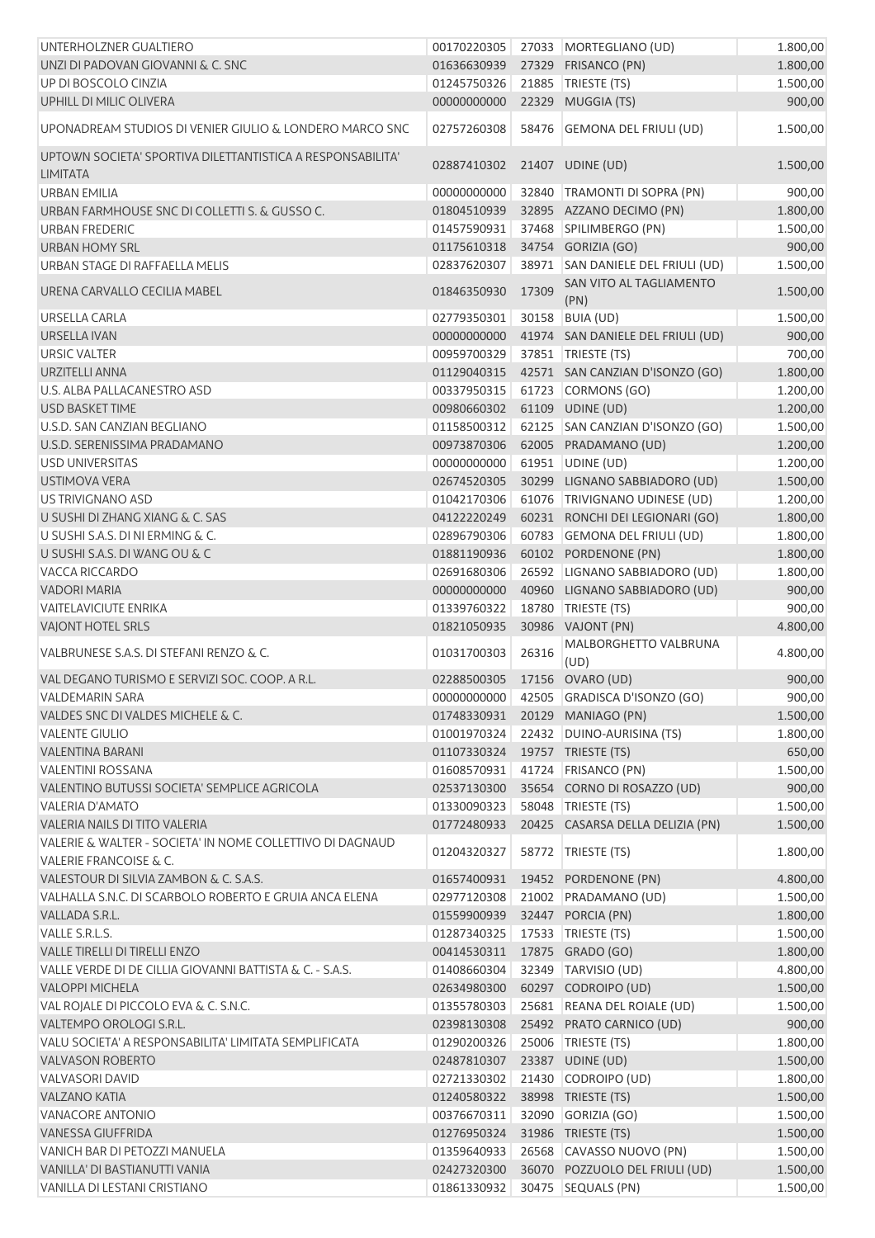| UNTERHOLZNER GUALTIERO                                                        | 00170220305                  |       | 27033 MORTEGLIANO (UD)                   | 1.800,00 |
|-------------------------------------------------------------------------------|------------------------------|-------|------------------------------------------|----------|
| UNZI DI PADOVAN GIOVANNI & C. SNC                                             | 01636630939                  |       | 27329 FRISANCO (PN)                      | 1.800,00 |
| UP DI BOSCOLO CINZIA                                                          | 01245750326                  |       | 21885   TRIESTE (TS)                     | 1.500,00 |
| UPHILL DI MILIC OLIVERA                                                       | 00000000000                  |       | 22329 MUGGIA (TS)                        | 900,00   |
| UPONADREAM STUDIOS DI VENIER GIULIO & LONDERO MARCO SNC                       | 02757260308                  |       | 58476 GEMONA DEL FRIULI (UD)             | 1.500,00 |
| UPTOWN SOCIETA' SPORTIVA DILETTANTISTICA A RESPONSABILITA'<br><b>LIMITATA</b> | 02887410302                  |       | 21407 UDINE (UD)                         | 1.500,00 |
| <b>URBAN EMILIA</b>                                                           | 00000000000                  |       | 32840 TRAMONTI DI SOPRA (PN)             | 900,00   |
| URBAN FARMHOUSE SNC DI COLLETTI S. & GUSSO C.                                 | 01804510939                  |       | 32895 AZZANO DECIMO (PN)                 | 1.800,00 |
| URBAN FREDERIC                                                                | 01457590931                  |       | 37468 SPILIMBERGO (PN)                   | 1.500,00 |
| URBAN HOMY SRL                                                                | 01175610318                  |       | 34754 GORIZIA (GO)                       | 900,00   |
| URBAN STAGE DI RAFFAELLA MELIS                                                | 02837620307                  |       | 38971 SAN DANIELE DEL FRIULI (UD)        | 1.500,00 |
| URENA CARVALLO CECILIA MABEL                                                  | 01846350930                  | 17309 | SAN VITO AL TAGLIAMENTO<br>(PN)          | 1.500,00 |
| <b>URSELLA CARLA</b>                                                          | 02779350301                  |       | 30158 BUIA (UD)                          | 1.500,00 |
| URSELLA IVAN                                                                  | 00000000000                  |       | 41974 SAN DANIELE DEL FRIULI (UD)        | 900,00   |
| <b>URSIC VALTER</b>                                                           | 00959700329                  |       | 37851   TRIESTE (TS)                     | 700,00   |
| <b>URZITELLI ANNA</b>                                                         | 01129040315                  |       | 42571 SAN CANZIAN D'ISONZO (GO)          | 1.800,00 |
| U.S. ALBA PALLACANESTRO ASD                                                   | 00337950315                  |       | 61723 CORMONS (GO)                       | 1.200,00 |
| <b>USD BASKET TIME</b>                                                        | 00980660302                  |       | 61109 UDINE (UD)                         | 1.200,00 |
| U.S.D. SAN CANZIAN BEGLIANO                                                   | 01158500312                  |       | 62125 SAN CANZIAN D'ISONZO (GO)          | 1.500,00 |
| U.S.D. SERENISSIMA PRADAMANO                                                  | 00973870306                  |       | 62005 PRADAMANO (UD)                     | 1.200,00 |
| <b>USD UNIVERSITAS</b>                                                        | 00000000000                  |       | 61951 UDINE (UD)                         | 1.200,00 |
| <b>USTIMOVA VERA</b>                                                          | 02674520305                  |       | 30299 LIGNANO SABBIADORO (UD)            | 1.500,00 |
| US TRIVIGNANO ASD                                                             | 01042170306                  |       | 61076 TRIVIGNANO UDINESE (UD)            | 1.200,00 |
| U SUSHI DI ZHANG XIANG & C. SAS                                               | 04122220249                  |       | 60231 RONCHI DEI LEGIONARI (GO)          | 1.800,00 |
| U SUSHI S.A.S. DI NI ERMING & C.                                              | 02896790306                  |       | 60783 GEMONA DEL FRIULI (UD)             | 1.800,00 |
| U SUSHI S.A.S. DI WANG OU & C                                                 | 01881190936                  |       | 60102 PORDENONE (PN)                     | 1.800,00 |
| VACCA RICCARDO                                                                | 02691680306                  |       | 26592 LIGNANO SABBIADORO (UD)            | 1.800,00 |
| <b>VADORI MARIA</b>                                                           | 00000000000                  |       | 40960 LIGNANO SABBIADORO (UD)            | 900,00   |
| <b>VAITELAVICIUTE ENRIKA</b>                                                  | 01339760322                  |       | 18780   TRIESTE (TS)                     | 900,00   |
| VAJONT HOTEL SRLS                                                             | 01821050935                  |       | 30986 VAJONT (PN)                        | 4.800,00 |
| VALBRUNESE S.A.S. DI STEFANI RENZO & C.                                       | 01031700303                  | 26316 | MALBORGHETTO VALBRUNA<br>(UD)            | 4.800,00 |
| VAL DEGANO TURISMO E SERVIZI SOC. COOP. A R.L.                                | 02288500305 17156 OVARO (UD) |       |                                          | 900,00   |
| VALDEMARIN SARA                                                               |                              |       | 00000000000 42505 GRADISCA D'ISONZO (GO) | 900,00   |
| VALDES SNC DI VALDES MICHELE & C.                                             |                              |       | 01748330931 20129 MANIAGO (PN)           | 1.500,00 |
| <b>VALENTE GIULIO</b>                                                         | 01001970324                  |       | 22432 DUINO-AURISINA (TS)                | 1.800,00 |
| <b>VALENTINA BARANI</b>                                                       | 01107330324                  |       | 19757 TRIESTE (TS)                       | 650,00   |
| <b>VALENTINI ROSSANA</b>                                                      | 01608570931                  |       | 41724 FRISANCO (PN)                      | 1.500,00 |
| VALENTINO BUTUSSI SOCIETA' SEMPLICE AGRICOLA                                  | 02537130300                  |       | 35654 CORNO DI ROSAZZO (UD)              | 900,00   |
| <b>VALERIA D'AMATO</b>                                                        | 01330090323                  |       | 58048 TRIESTE (TS)                       | 1.500,00 |
| <b>VALERIA NAILS DI TITO VALERIA</b>                                          | 01772480933                  |       | 20425 CASARSA DELLA DELIZIA (PN)         | 1.500,00 |
| VALERIE & WALTER - SOCIETA' IN NOME COLLETTIVO DI DAGNAUD                     | 01204320327                  |       | 58772   TRIESTE (TS)                     | 1.800,00 |
| <b>VALERIE FRANCOISE &amp; C.</b>                                             |                              |       |                                          |          |
| VALESTOUR DI SILVIA ZAMBON & C. S.A.S.                                        | 01657400931                  |       | 19452 PORDENONE (PN)                     | 4.800,00 |
| VALHALLA S.N.C. DI SCARBOLO ROBERTO E GRUIA ANCA ELENA                        | 02977120308                  |       | 21002 PRADAMANO (UD)                     | 1.500,00 |
| VALLADA S.R.L.                                                                | 01559900939                  |       | 32447 PORCIA (PN)                        | 1.800,00 |
| VALLE S.R.L.S.                                                                | 01287340325                  |       | 17533 TRIESTE (TS)                       | 1.500,00 |
| <b>VALLE TIRELLI DI TIRELLI ENZO</b>                                          | 00414530311                  |       | 17875 GRADO (GO)                         | 1.800,00 |
| VALLE VERDE DI DE CILLIA GIOVANNI BATTISTA & C. - S.A.S.                      | 01408660304                  |       | 32349 TARVISIO (UD)                      | 4.800,00 |
| <b>VALOPPI MICHELA</b>                                                        | 02634980300                  |       | 60297 CODROIPO (UD)                      | 1.500,00 |
| VAL ROJALE DI PICCOLO EVA & C. S.N.C.                                         | 01355780303                  |       | 25681 REANA DEL ROIALE (UD)              | 1.500,00 |
| VALTEMPO OROLOGI S.R.L.                                                       | 02398130308                  |       | 25492 PRATO CARNICO (UD)                 | 900,00   |
| VALU SOCIETA' A RESPONSABILITA' LIMITATA SEMPLIFICATA                         | 01290200326                  |       | 25006   TRIESTE (TS)                     | 1.800,00 |
| <b>VALVASON ROBERTO</b>                                                       | 02487810307                  |       | 23387 UDINE (UD)                         | 1.500,00 |
| <b>VALVASORI DAVID</b>                                                        | 02721330302                  |       | 21430 CODROIPO (UD)                      | 1.800,00 |
| <b>VALZANO KATIA</b>                                                          | 01240580322                  |       | 38998 TRIESTE (TS)                       | 1.500,00 |
| <b>VANACORE ANTONIO</b>                                                       | 00376670311                  |       | 32090 GORIZIA (GO)                       | 1.500,00 |
| <b>VANESSA GIUFFRIDA</b>                                                      | 01276950324                  |       | 31986 TRIESTE (TS)                       | 1.500,00 |
| VANICH BAR DI PETOZZI MANUELA                                                 | 01359640933                  |       | 26568 CAVASSO NUOVO (PN)                 | 1.500,00 |
| VANILLA' DI BASTIANUTTI VANIA                                                 | 02427320300                  |       | 36070 POZZUOLO DEL FRIULI (UD)           | 1.500,00 |
| VANILLA DI LESTANI CRISTIANO                                                  | 01861330932                  |       | 30475 SEQUALS (PN)                       | 1.500,00 |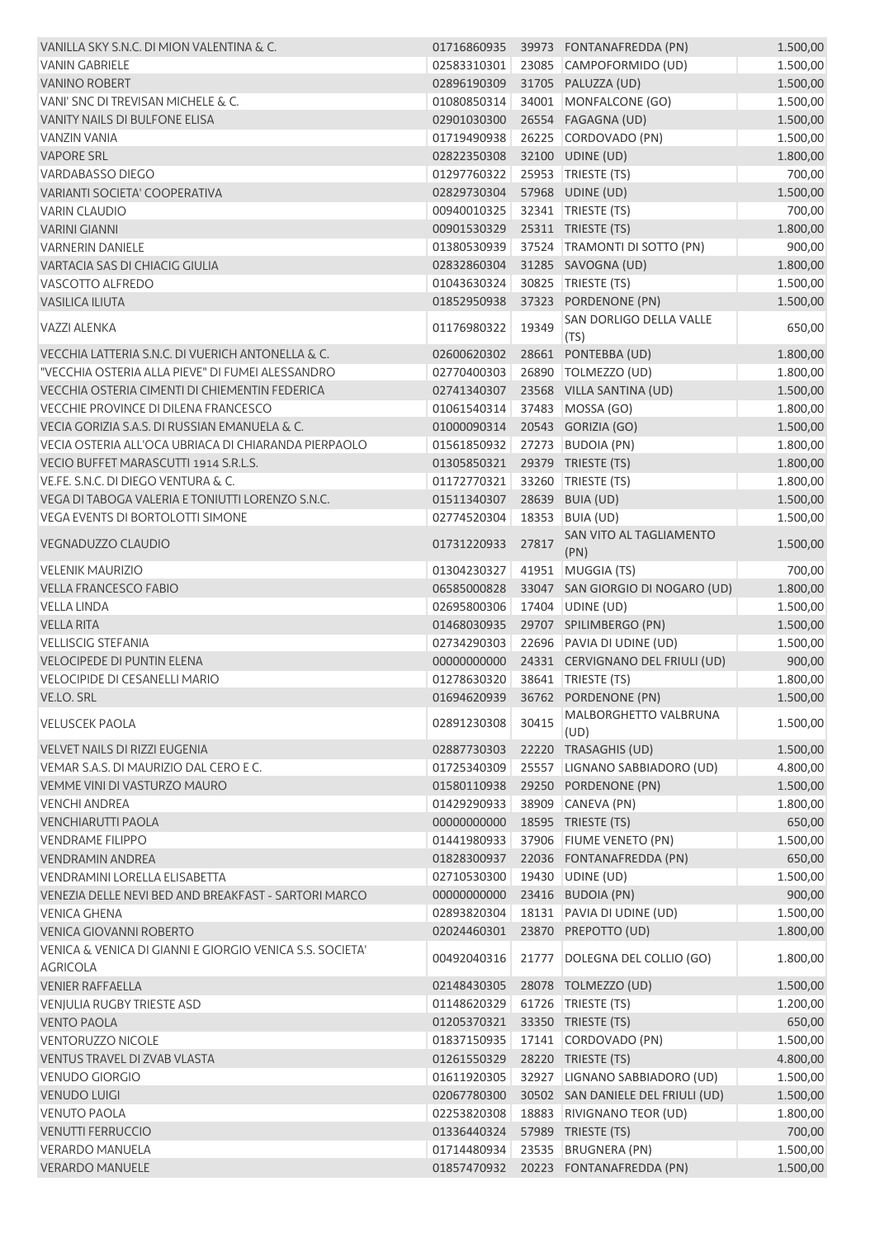| VANILLA SKY S.N.C. DI MION VALENTINA & C.                |             |       | 01716860935 39973 FONTANAFREDDA (PN) | 1.500,00 |
|----------------------------------------------------------|-------------|-------|--------------------------------------|----------|
| <b>VANIN GABRIELE</b>                                    | 02583310301 |       | 23085 CAMPOFORMIDO (UD)              | 1.500,00 |
| <b>VANINO ROBERT</b>                                     | 02896190309 |       | 31705 PALUZZA (UD)                   | 1.500,00 |
| VANI' SNC DI TREVISAN MICHELE & C.                       | 01080850314 |       | 34001 MONFALCONE (GO)                | 1.500,00 |
| VANITY NAILS DI BULFONE ELISA                            | 02901030300 |       | 26554 FAGAGNA (UD)                   | 1.500,00 |
| <b>VANZIN VANIA</b>                                      | 01719490938 |       | 26225 CORDOVADO (PN)                 | 1.500,00 |
| <b>VAPORE SRL</b>                                        | 02822350308 |       | 32100 UDINE (UD)                     | 1.800,00 |
| VARDABASSO DIEGO                                         | 01297760322 |       | 25953 TRIESTE (TS)                   | 700,00   |
| VARIANTI SOCIETA' COOPERATIVA                            | 02829730304 |       | 57968 UDINE (UD)                     | 1.500,00 |
| <b>VARIN CLAUDIO</b>                                     | 00940010325 |       | 32341   TRIESTE (TS)                 | 700,00   |
| <b>VARINI GIANNI</b>                                     | 00901530329 |       | 25311 TRIESTE (TS)                   | 1.800,00 |
| <b>VARNERIN DANIELE</b>                                  | 01380530939 |       | 37524 TRAMONTI DI SOTTO (PN)         | 900,00   |
|                                                          |             |       |                                      |          |
| VARTACIA SAS DI CHIACIG GIULIA                           | 02832860304 |       | 31285 SAVOGNA (UD)                   | 1.800,00 |
| VASCOTTO ALFREDO                                         | 01043630324 |       | 30825   TRIESTE (TS)                 | 1.500,00 |
| <b>VASILICA ILIUTA</b>                                   | 01852950938 |       | 37323 PORDENONE (PN)                 | 1.500,00 |
| VAZZI ALENKA                                             | 01176980322 | 19349 | SAN DORLIGO DELLA VALLE<br>(TS)      | 650,00   |
| VECCHIA LATTERIA S.N.C. DI VUERICH ANTONELLA & C.        | 02600620302 |       | 28661 PONTEBBA (UD)                  | 1.800,00 |
| "VECCHIA OSTERIA ALLA PIEVE" DI FUMEI ALESSANDRO         | 02770400303 |       | 26890   TOLMEZZO (UD)                | 1.800,00 |
| VECCHIA OSTERIA CIMENTI DI CHIEMENTIN FEDERICA           | 02741340307 |       | 23568 VILLA SANTINA (UD)             | 1.500,00 |
| VECCHIE PROVINCE DI DILENA FRANCESCO                     | 01061540314 |       | 37483 MOSSA (GO)                     | 1.800,00 |
| VECIA GORIZIA S.A.S. DI RUSSIAN EMANUELA & C.            | 01000090314 |       | 20543 GORIZIA (GO)                   | 1.500,00 |
| VECIA OSTERIA ALL'OCA UBRIACA DI CHIARANDA PIERPAOLO     | 01561850932 |       | 27273 BUDOIA (PN)                    | 1.800,00 |
| VECIO BUFFET MARASCUTTI 1914 S.R.L.S.                    | 01305850321 |       | 29379 TRIESTE (TS)                   |          |
|                                                          |             |       |                                      | 1.800,00 |
| VE.FE. S.N.C. DI DIEGO VENTURA & C.                      | 01172770321 |       | 33260 TRIESTE (TS)                   | 1.800,00 |
| VEGA DI TABOGA VALERIA E TONIUTTI LORENZO S.N.C.         | 01511340307 |       | 28639 BUIA (UD)                      | 1.500,00 |
| VEGA EVENTS DI BORTOLOTTI SIMONE                         | 02774520304 |       | 18353 BUIA (UD)                      | 1.500,00 |
| <b>VEGNADUZZO CLAUDIO</b>                                | 01731220933 | 27817 | SAN VITO AL TAGLIAMENTO<br>(PN)      | 1.500,00 |
| <b>VELENIK MAURIZIO</b>                                  | 01304230327 |       | 41951 MUGGIA (TS)                    | 700,00   |
| <b>VELLA FRANCESCO FABIO</b>                             | 06585000828 |       | 33047 SAN GIORGIO DI NOGARO (UD)     | 1.800,00 |
| VELLA LINDA                                              | 02695800306 |       | 17404 UDINE (UD)                     | 1.500,00 |
| <b>VELLA RITA</b>                                        | 01468030935 |       | 29707 SPILIMBERGO (PN)               | 1.500,00 |
| <b>VELLISCIG STEFANIA</b>                                | 02734290303 |       | 22696 PAVIA DI UDINE (UD)            | 1.500,00 |
| <b>VELOCIPEDE DI PUNTIN ELENA</b>                        | 00000000000 |       | 24331 CERVIGNANO DEL FRIULI (UD)     | 900,00   |
| VELOCIPIDE DI CESANELLI MARIO                            | 01278630320 |       | 38641   TRIESTE (TS)                 | 1.800,00 |
| VE.LO. SRL                                               |             |       | 01694620939 36762 PORDENONE (PN)     | 1.500,00 |
| <b>VELUSCEK PAOLA</b>                                    | 02891230308 | 30415 | MALBORGHETTO VALBRUNA                | 1.500,00 |
| <b>VELVET NAILS DI RIZZI EUGENIA</b>                     | 02887730303 |       | (UD)<br>22220 TRASAGHIS (UD)         | 1.500,00 |
| VEMAR S.A.S. DI MAURIZIO DAL CERO E C.                   | 01725340309 |       | 25557 LIGNANO SABBIADORO (UD)        | 4.800,00 |
| VEMME VINI DI VASTURZO MAURO                             | 01580110938 |       | 29250 PORDENONE (PN)                 |          |
|                                                          |             |       |                                      | 1.500,00 |
| <b>VENCHI ANDREA</b>                                     | 01429290933 |       | 38909 CANEVA (PN)                    | 1.800,00 |
| <b>VENCHIARUTTI PAOLA</b>                                | 00000000000 |       | 18595 TRIESTE (TS)                   | 650,00   |
| <b>VENDRAME FILIPPO</b>                                  | 01441980933 |       | 37906 FIUME VENETO (PN)              | 1.500,00 |
| <b>VENDRAMIN ANDREA</b>                                  | 01828300937 |       | 22036 FONTANAFREDDA (PN)             | 650,00   |
| VENDRAMINI LORELLA ELISABETTA                            | 02710530300 |       | 19430 UDINE (UD)                     | 1.500,00 |
| VENEZIA DELLE NEVI BED AND BREAKFAST - SARTORI MARCO     | 00000000000 |       | 23416 BUDOIA (PN)                    | 900,00   |
| VENICA GHENA                                             | 02893820304 |       | 18131 PAVIA DI UDINE (UD)            | 1.500,00 |
| <b>VENICA GIOVANNI ROBERTO</b>                           | 02024460301 |       | 23870 PREPOTTO (UD)                  | 1.800,00 |
| VENICA & VENICA DI GIANNI E GIORGIO VENICA S.S. SOCIETA' | 00492040316 |       | 21777 DOLEGNA DEL COLLIO (GO)        | 1.800,00 |
| <b>AGRICOLA</b>                                          |             |       |                                      |          |
| <b>VENIER RAFFAELLA</b>                                  | 02148430305 |       | 28078 TOLMEZZO (UD)                  | 1.500,00 |
| VENJULIA RUGBY TRIESTE ASD                               | 01148620329 |       | 61726   TRIESTE (TS)                 | 1.200,00 |
| <b>VENTO PAOLA</b>                                       | 01205370321 |       | 33350 TRIESTE (TS)                   | 650,00   |
| <b>VENTORUZZO NICOLE</b>                                 | 01837150935 |       | 17141 CORDOVADO (PN)                 | 1.500,00 |
| VENTUS TRAVEL DI ZVAB VLASTA                             | 01261550329 |       | 28220 TRIESTE (TS)                   | 4.800,00 |
| <b>VENUDO GIORGIO</b>                                    | 01611920305 |       | 32927 LIGNANO SABBIADORO (UD)        | 1.500,00 |
| <b>VENUDO LUIGI</b>                                      | 02067780300 |       | 30502 SAN DANIELE DEL FRIULI (UD)    | 1.500,00 |
| <b>VENUTO PAOLA</b>                                      | 02253820308 |       | 18883 RIVIGNANO TEOR (UD)            | 1.800,00 |
| <b>VENUTTI FERRUCCIO</b>                                 | 01336440324 |       | 57989 TRIESTE (TS)                   | 700,00   |
| <b>VERARDO MANUELA</b>                                   | 01714480934 |       | 23535 BRUGNERA (PN)                  | 1.500,00 |
| <b>VERARDO MANUELE</b>                                   | 01857470932 |       | 20223 FONTANAFREDDA (PN)             | 1.500,00 |
|                                                          |             |       |                                      |          |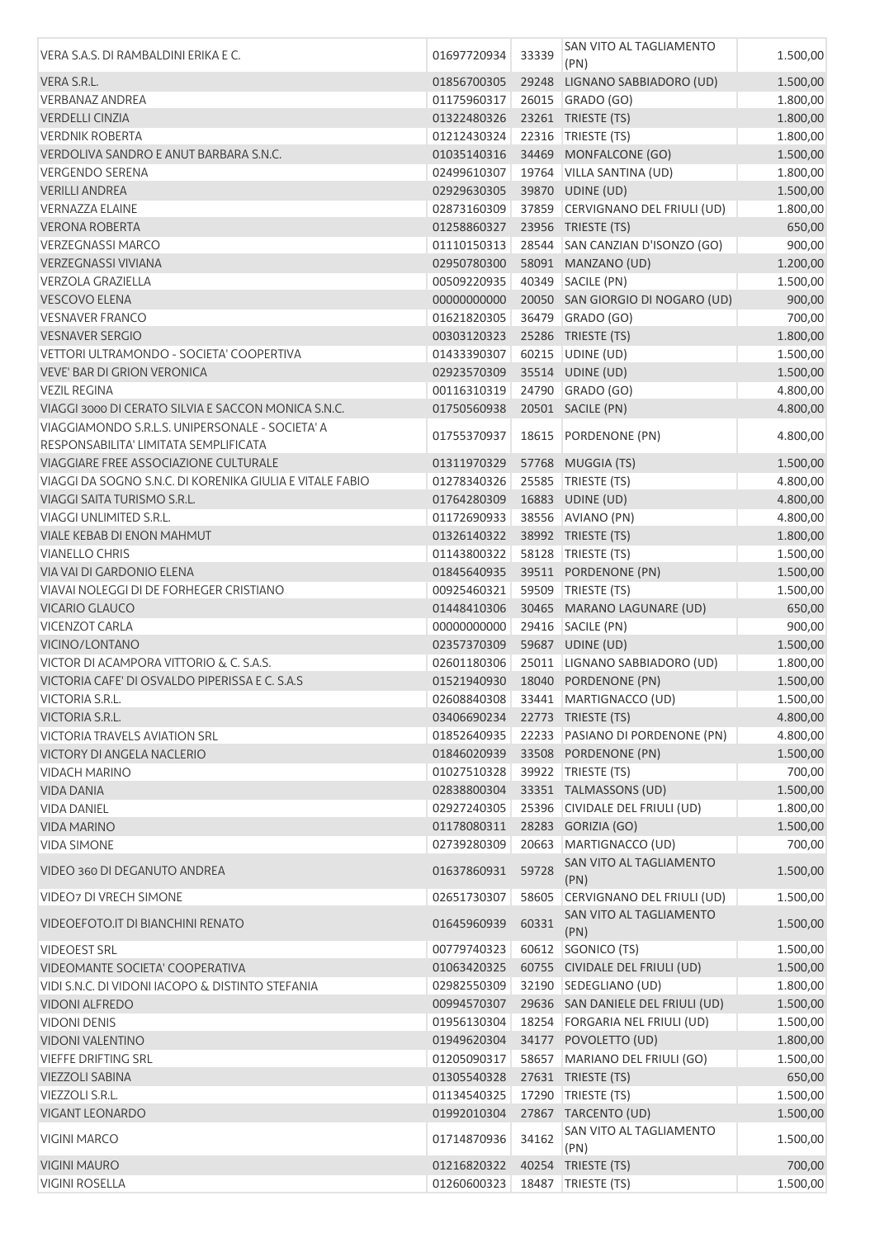| VERA S.A.S. DI RAMBALDINI ERIKA E C.                                           | 01697720934                    | 33339 | SAN VITO AL TAGLIAMENTO<br>(PN)    | 1.500,00 |
|--------------------------------------------------------------------------------|--------------------------------|-------|------------------------------------|----------|
| VERA S.R.L.                                                                    | 01856700305                    | 29248 | LIGNANO SABBIADORO (UD)            | 1.500,00 |
| <b>VERBANAZ ANDREA</b>                                                         | 01175960317                    |       | 26015 GRADO (GO)                   | 1.800,00 |
| <b>VERDELLI CINZIA</b>                                                         | 01322480326                    |       | 23261 TRIESTE (TS)                 | 1.800,00 |
| <b>VERDNIK ROBERTA</b>                                                         | 01212430324                    |       | 22316 TRIESTE (TS)                 | 1.800,00 |
| VERDOLIVA SANDRO E ANUT BARBARA S.N.C.                                         | 01035140316                    |       | 34469 MONFALCONE (GO)              | 1.500,00 |
| <b>VERGENDO SERENA</b>                                                         | 02499610307                    |       | 19764 VILLA SANTINA (UD)           | 1.800,00 |
| <b>VERILLI ANDREA</b>                                                          | 02929630305                    |       | 39870 UDINE (UD)                   | 1.500,00 |
| <b>VERNAZZA ELAINE</b>                                                         | 02873160309                    |       | 37859 CERVIGNANO DEL FRIULI (UD)   | 1.800,00 |
| <b>VERONA ROBERTA</b>                                                          | 01258860327                    |       | 23956 TRIESTE (TS)                 | 650,00   |
| <b>VERZEGNASSI MARCO</b>                                                       | 01110150313                    |       | 28544 SAN CANZIAN D'ISONZO (GO)    | 900,00   |
| <b>VERZEGNASSI VIVIANA</b>                                                     | 02950780300                    |       | 58091 MANZANO (UD)                 | 1.200,00 |
| <b>VERZOLA GRAZIELLA</b>                                                       | 00509220935                    |       | 40349 SACILE (PN)                  | 1.500,00 |
| <b>VESCOVO ELENA</b>                                                           | 00000000000                    |       | 20050 SAN GIORGIO DI NOGARO (UD)   | 900,00   |
| <b>VESNAVER FRANCO</b>                                                         | 01621820305                    |       | 36479 GRADO (GO)                   | 700,00   |
| <b>VESNAVER SERGIO</b>                                                         | 00303120323                    |       | 25286 TRIESTE (TS)                 | 1.800,00 |
| VETTORI ULTRAMONDO - SOCIETA' COOPERTIVA                                       | 01433390307                    | 60215 | UDINE (UD)                         | 1.500,00 |
| <b>VEVE' BAR DI GRION VERONICA</b>                                             | 02923570309                    |       | 35514 UDINE (UD)                   | 1.500,00 |
| <b>VEZIL REGINA</b>                                                            | 00116310319                    |       | 24790 GRADO (GO)                   | 4.800,00 |
| VIAGGI 3000 DI CERATO SILVIA E SACCON MONICA S.N.C.                            | 01750560938                    |       | 20501 SACILE (PN)                  | 4.800,00 |
| VIAGGIAMONDO S.R.L.S. UNIPERSONALE - SOCIETA' A                                | 01755370937                    | 18615 | PORDENONE (PN)                     | 4.800,00 |
| RESPONSABILITA' LIMITATA SEMPLIFICATA<br>VIAGGIARE FREE ASSOCIAZIONE CULTURALE | 01311970329                    |       | 57768 MUGGIA (TS)                  | 1.500,00 |
| VIAGGI DA SOGNO S.N.C. DI KORENIKA GIULIA E VITALE FABIO                       | 01278340326                    | 25585 | TRIESTE (TS)                       | 4.800,00 |
| VIAGGI SAITA TURISMO S.R.L.                                                    | 01764280309                    |       | 16883 UDINE (UD)                   | 4.800,00 |
| <b>VIAGGI UNLIMITED S.R.L.</b>                                                 | 01172690933                    |       | 38556 AVIANO (PN)                  | 4.800,00 |
| VIALE KEBAB DI ENON MAHMUT                                                     | 01326140322                    |       | 38992 TRIESTE (TS)                 | 1.800,00 |
| <b>VIANELLO CHRIS</b>                                                          | 01143800322                    |       | 58128   TRIESTE (TS)               | 1.500,00 |
| VIA VAI DI GARDONIO ELENA                                                      | 01845640935                    |       | 39511 PORDENONE (PN)               | 1.500,00 |
| VIAVAI NOLEGGI DI DE FORHEGER CRISTIANO                                        | 00925460321                    |       | 59509 TRIESTE (TS)                 | 1.500,00 |
| <b>VICARIO GLAUCO</b>                                                          | 01448410306                    |       | 30465 MARANO LAGUNARE (UD)         | 650,00   |
| <b>VICENZOT CARLA</b>                                                          | 00000000000                    |       | 29416 SACILE (PN)                  | 900,00   |
| VICINO/LONTANO                                                                 | 02357370309                    |       | 59687 UDINE (UD)                   | 1.500,00 |
| VICTOR DI ACAMPORA VITTORIO & C. S.A.S.                                        | 02601180306                    |       | 25011 LIGNANO SABBIADORO (UD)      | 1.800,00 |
| VICTORIA CAFE' DI OSVALDO PIPERISSA E C. S.A.S                                 | 01521940930                    |       | 18040 PORDENONE (PN)               | 1.500,00 |
| <b>VICTORIA S.R.L.</b>                                                         |                                |       | 02608840308 33441 MARTIGNACCO (UD) | 1.500,00 |
| VICTORIA S.R.L.                                                                | 03406690234 22773 TRIESTE (TS) |       |                                    | 4.800,00 |
| VICTORIA TRAVELS AVIATION SRL                                                  | 01852640935                    |       | 22233 PASIANO DI PORDENONE (PN)    | 4.800,00 |
| <b>VICTORY DI ANGELA NACLERIO</b>                                              | 01846020939                    |       | 33508 PORDENONE (PN)               | 1.500,00 |
| <b>VIDACH MARINO</b>                                                           | 01027510328                    |       | 39922 TRIESTE (TS)                 | 700,00   |
| <b>VIDA DANIA</b>                                                              | 02838800304                    |       | 33351 TALMASSONS (UD)              | 1.500,00 |
| <b>VIDA DANIEL</b>                                                             | 02927240305                    |       | 25396 CIVIDALE DEL FRIULI (UD)     | 1.800,00 |
| <b>VIDA MARINO</b>                                                             | 01178080311                    |       | 28283 GORIZIA (GO)                 | 1.500,00 |
| <b>VIDA SIMONE</b>                                                             | 02739280309                    | 20663 | MARTIGNACCO (UD)                   | 700,00   |
| VIDEO 360 DI DEGANUTO ANDREA                                                   | 01637860931                    | 59728 | SAN VITO AL TAGLIAMENTO            | 1.500,00 |
| VIDEO7 DI VRECH SIMONE                                                         | 02651730307                    | 58605 | (PN)<br>CERVIGNANO DEL FRIULI (UD) | 1.500,00 |
| VIDEOEFOTO.IT DI BIANCHINI RENATO                                              | 01645960939                    | 60331 | SAN VITO AL TAGLIAMENTO            | 1.500,00 |
| <b>VIDEOEST SRL</b>                                                            | 00779740323                    |       | (PN)<br>60612 SGONICO (TS)         | 1.500,00 |
| VIDEOMANTE SOCIETA' COOPERATIVA                                                | 01063420325                    |       | 60755 CIVIDALE DEL FRIULI (UD)     | 1.500,00 |
| VIDI S.N.C. DI VIDONI IACOPO & DISTINTO STEFANIA                               | 02982550309                    |       | 32190   SEDEGLIANO (UD)            | 1.800,00 |
| <b>VIDONI ALFREDO</b>                                                          | 00994570307                    |       | 29636 SAN DANIELE DEL FRIULI (UD)  | 1.500,00 |
| <b>VIDONI DENIS</b>                                                            | 01956130304                    |       | 18254 FORGARIA NEL FRIULI (UD)     | 1.500,00 |
| <b>VIDONI VALENTINO</b>                                                        | 01949620304                    |       | 34177 POVOLETTO (UD)               | 1.800,00 |
| <b>VIEFFE DRIFTING SRL</b>                                                     | 01205090317                    |       | 58657 MARIANO DEL FRIULI (GO)      | 1.500,00 |
| <b>VIEZZOLI SABINA</b>                                                         | 01305540328                    |       | 27631 TRIESTE (TS)                 | 650,00   |
| VIEZZOLI S.R.L.                                                                | 01134540325                    | 17290 | TRIESTE (TS)                       | 1.500,00 |
| <b>VIGANT LEONARDO</b>                                                         | 01992010304                    |       | 27867 TARCENTO (UD)                | 1.500,00 |
| <b>VIGINI MARCO</b>                                                            | 01714870936                    | 34162 | SAN VITO AL TAGLIAMENTO<br>(PN)    | 1.500,00 |
| <b>VIGINI MAURO</b>                                                            | 01216820322                    |       | 40254 TRIESTE (TS)                 | 700,00   |
| <b>VIGINI ROSELLA</b>                                                          | 01260600323                    |       | 18487 TRIESTE (TS)                 | 1.500,00 |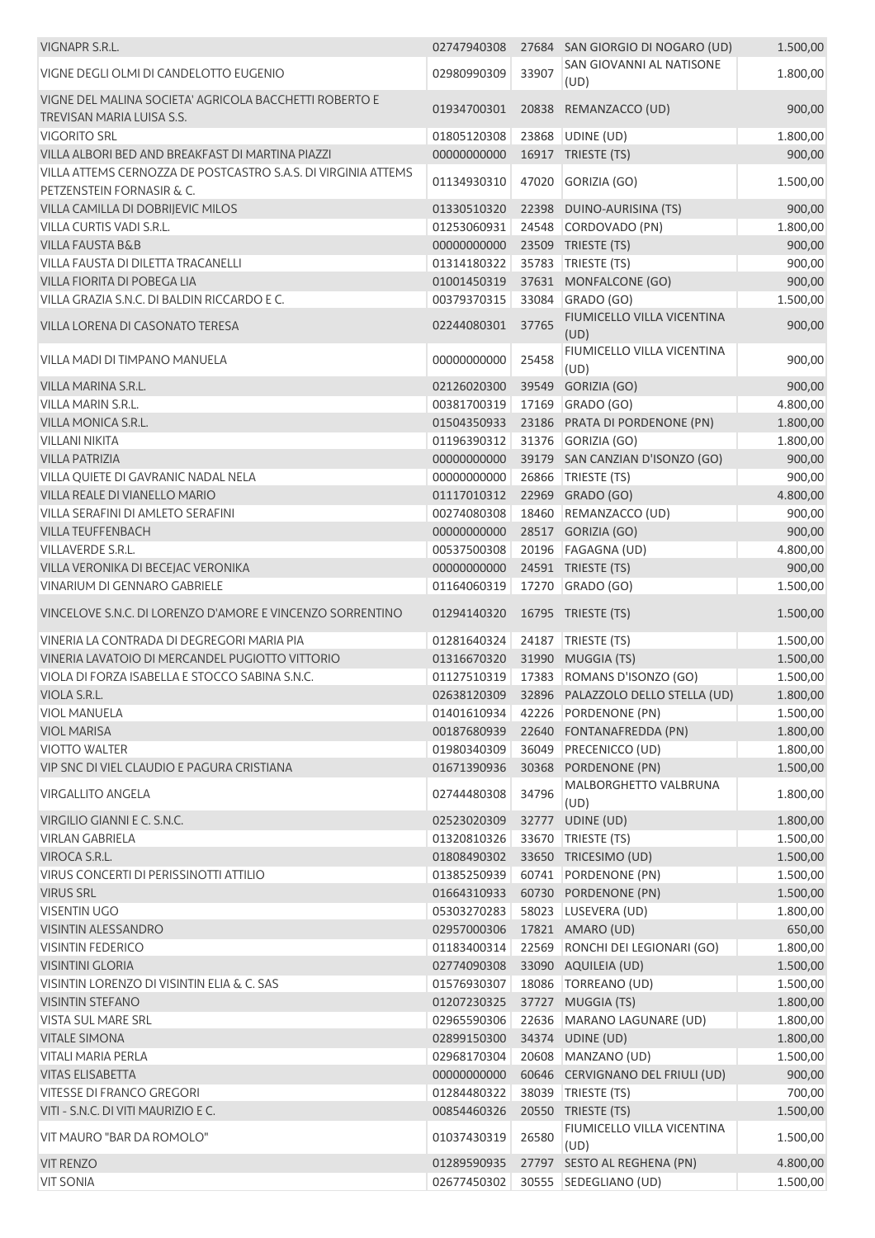| VIGNAPR S.R.L.                                                                             | 02747940308                |       | 27684 SAN GIORGIO DI NOGARO (UD)              | 1.500,00             |
|--------------------------------------------------------------------------------------------|----------------------------|-------|-----------------------------------------------|----------------------|
| VIGNE DEGLI OLMI DI CANDELOTTO EUGENIO                                                     | 02980990309                | 33907 | SAN GIOVANNI AL NATISONE<br>(UD)              | 1.800,00             |
| VIGNE DEL MALINA SOCIETA' AGRICOLA BACCHETTI ROBERTO E<br>TREVISAN MARIA LUISA S.S.        | 01934700301                |       | 20838 REMANZACCO (UD)                         | 900,00               |
| <b>VIGORITO SRL</b>                                                                        | 01805120308                |       | 23868 UDINE (UD)                              | 1.800,00             |
| VILLA ALBORI BED AND BREAKFAST DI MARTINA PIAZZI                                           | 00000000000                |       | 16917 TRIESTE (TS)                            | 900,00               |
| VILLA ATTEMS CERNOZZA DE POSTCASTRO S.A.S. DI VIRGINIA ATTEMS<br>PETZENSTEIN FORNASIR & C. | 01134930310                |       | 47020 GORIZIA (GO)                            | 1.500,00             |
| VILLA CAMILLA DI DOBRIJEVIC MILOS                                                          | 01330510320                |       | 22398 DUINO-AURISINA (TS)                     | 900,00               |
| VILLA CURTIS VADI S.R.L.                                                                   | 01253060931                |       | 24548 CORDOVADO (PN)                          | 1.800,00             |
| <b>VILLA FAUSTA B&amp;B</b>                                                                | 00000000000                |       | 23509 TRIESTE (TS)                            | 900,00               |
| VILLA FAUSTA DI DILETTA TRACANELLI                                                         | 01314180322                |       | 35783 TRIESTE (TS)                            | 900,00               |
| VILLA FIORITA DI POBEGA LIA                                                                | 01001450319                |       | 37631 MONFALCONE (GO)                         | 900,00               |
| VILLA GRAZIA S.N.C. DI BALDIN RICCARDO E C.                                                | 00379370315                |       | 33084 GRADO (GO)                              | 1.500,00             |
| VILLA LORENA DI CASONATO TERESA                                                            | 02244080301                | 37765 | FIUMICELLO VILLA VICENTINA<br>(UD)            | 900,00               |
| VILLA MADI DI TIMPANO MANUELA                                                              | 00000000000                | 25458 | FIUMICELLO VILLA VICENTINA<br>(UD)            | 900,00               |
| VILLA MARINA S.R.L.                                                                        | 02126020300                |       | 39549 GORIZIA (GO)                            | 900,00               |
| VILLA MARIN S.R.L.                                                                         | 00381700319                |       | 17169 GRADO (GO)                              | 4.800,00             |
| <b>VILLA MONICA S.R.L.</b>                                                                 | 01504350933                |       | 23186 PRATA DI PORDENONE (PN)                 | 1.800,00             |
| <b>VILLANI NIKITA</b>                                                                      | 01196390312                |       | 31376 GORIZIA (GO)                            | 1.800,00             |
| <b>VILLA PATRIZIA</b>                                                                      | 00000000000                |       | 39179 SAN CANZIAN D'ISONZO (GO)               | 900,00               |
| VILLA QUIETE DI GAVRANIC NADAL NELA                                                        | 00000000000                |       | 26866   TRIESTE (TS)                          | 900,00               |
| VILLA REALE DI VIANELLO MARIO                                                              | 01117010312                |       | 22969 GRADO (GO)                              | 4.800,00             |
| VILLA SERAFINI DI AMLETO SERAFINI                                                          | 00274080308                |       | 18460 REMANZACCO (UD)                         | 900,00               |
| <b>VILLA TEUFFENBACH</b>                                                                   | 00000000000                |       | 28517 GORIZIA (GO)                            | 900,00               |
| <b>VILLAVERDE S.R.L.</b>                                                                   | 00537500308                |       | 20196   FAGAGNA (UD)                          | 4.800,00             |
| VILLA VERONIKA DI BECEJAC VERONIKA                                                         | 00000000000                |       | 24591 TRIESTE (TS)                            | 900,00               |
| VINARIUM DI GENNARO GABRIELE                                                               | 01164060319                |       | 17270 GRADO (GO)                              | 1.500,00             |
| VINCELOVE S.N.C. DI LORENZO D'AMORE E VINCENZO SORRENTINO                                  | 01294140320                |       | 16795 TRIESTE (TS)                            | 1.500,00             |
| VINERIA LA CONTRADA DI DEGREGORI MARIA PIA                                                 | 01281640324                |       | 24187 TRIESTE (TS)                            | 1.500,00             |
| VINERIA LAVATOIO DI MERCANDEL PUGIOTTO VITTORIO                                            | 01316670320                |       | 31990 MUGGIA (TS)                             | 1.500,00             |
| VIOLA DI FORZA ISABELLA E STOCCO SABINA S.N.C.                                             | 01127510319                |       | 17383 ROMANS D'ISONZO (GO)                    | 1.500,00             |
| VIOLA S.R.L.                                                                               |                            |       | 02638120309 32896 PALAZZOLO DELLO STELLA (UD) | 1.800,00             |
| <b>VIOL MANUELA</b>                                                                        | 01401610934                |       | 42226 PORDENONE (PN)                          | 1.500,00             |
| <b>VIOL MARISA</b>                                                                         | 00187680939                |       | 22640 FONTANAFREDDA (PN)                      | 1.800,00             |
| <b>VIOTTO WALTER</b>                                                                       | 01980340309                |       | 36049 PRECENICCO (UD)                         | 1.800,00             |
| VIP SNC DI VIEL CLAUDIO E PAGURA CRISTIANA                                                 | 01671390936                |       | 30368 PORDENONE (PN)<br>MALBORGHETTO VALBRUNA | 1.500,00             |
| VIRGALLITO ANGELA                                                                          | 02744480308                | 34796 | (UD)                                          | 1.800,00             |
| VIRGILIO GIANNI E C. S.N.C.                                                                | 02523020309                |       | 32777 UDINE (UD)                              | 1.800,00             |
| <b>VIRLAN GABRIELA</b>                                                                     | 01320810326                |       | 33670   TRIESTE (TS)                          | 1.500,00             |
| VIROCA S.R.L.                                                                              | 01808490302                |       | 33650 TRICESIMO (UD)                          | 1.500,00             |
| VIRUS CONCERTI DI PERISSINOTTI ATTILIO                                                     | 01385250939                |       | 60741 PORDENONE (PN)                          | 1.500,00             |
| <b>VIRUS SRL</b>                                                                           | 01664310933                |       | 60730 PORDENONE (PN)                          | 1.500,00             |
| <b>VISENTIN UGO</b>                                                                        | 05303270283                |       | 58023 LUSEVERA (UD)                           | 1.800,00             |
| <b>VISINTIN ALESSANDRO</b>                                                                 | 02957000306                |       | 17821 AMARO (UD)                              | 650,00               |
| <b>VISINTIN FEDERICO</b>                                                                   | 01183400314                |       | 22569 RONCHI DEI LEGIONARI (GO)               | 1.800,00             |
| <b>VISINTINI GLORIA</b>                                                                    | 02774090308                |       | 33090 AQUILEIA (UD)                           | 1.500,00             |
| VISINTIN LORENZO DI VISINTIN ELIA & C. SAS                                                 | 01576930307                |       | 18086   TORREANO (UD)                         | 1.500,00             |
| <b>VISINTIN STEFANO</b>                                                                    | 01207230325                |       | 37727 MUGGIA (TS)                             | 1.800,00             |
| <b>VISTA SUL MARE SRL</b><br><b>VITALE SIMONA</b>                                          | 02965590306                |       | 22636 MARANO LAGUNARE (UD)                    | 1.800,00             |
| <b>VITALI MARIA PERLA</b>                                                                  | 02899150300<br>02968170304 |       | 34374 UDINE (UD)<br>20608 MANZANO (UD)        | 1.800,00<br>1.500,00 |
| <b>VITAS ELISABETTA</b>                                                                    | 00000000000                |       | 60646 CERVIGNANO DEL FRIULI (UD)              | 900,00               |
| <b>VITESSE DI FRANCO GREGORI</b>                                                           | 01284480322                |       | 38039 TRIESTE (TS)                            |                      |
| VITI - S.N.C. DI VITI MAURIZIO E C.                                                        | 00854460326                |       | 20550 TRIESTE (TS)                            | 700,00<br>1.500,00   |
| VIT MAURO "BAR DA ROMOLO"                                                                  | 01037430319                | 26580 | FIUMICELLO VILLA VICENTINA                    | 1.500,00             |
| <b>VIT RENZO</b>                                                                           | 01289590935                |       | (UD)<br>27797 SESTO AL REGHENA (PN)           | 4.800,00             |
| <b>VIT SONIA</b>                                                                           | 02677450302                |       | 30555 SEDEGLIANO (UD)                         | 1.500,00             |
|                                                                                            |                            |       |                                               |                      |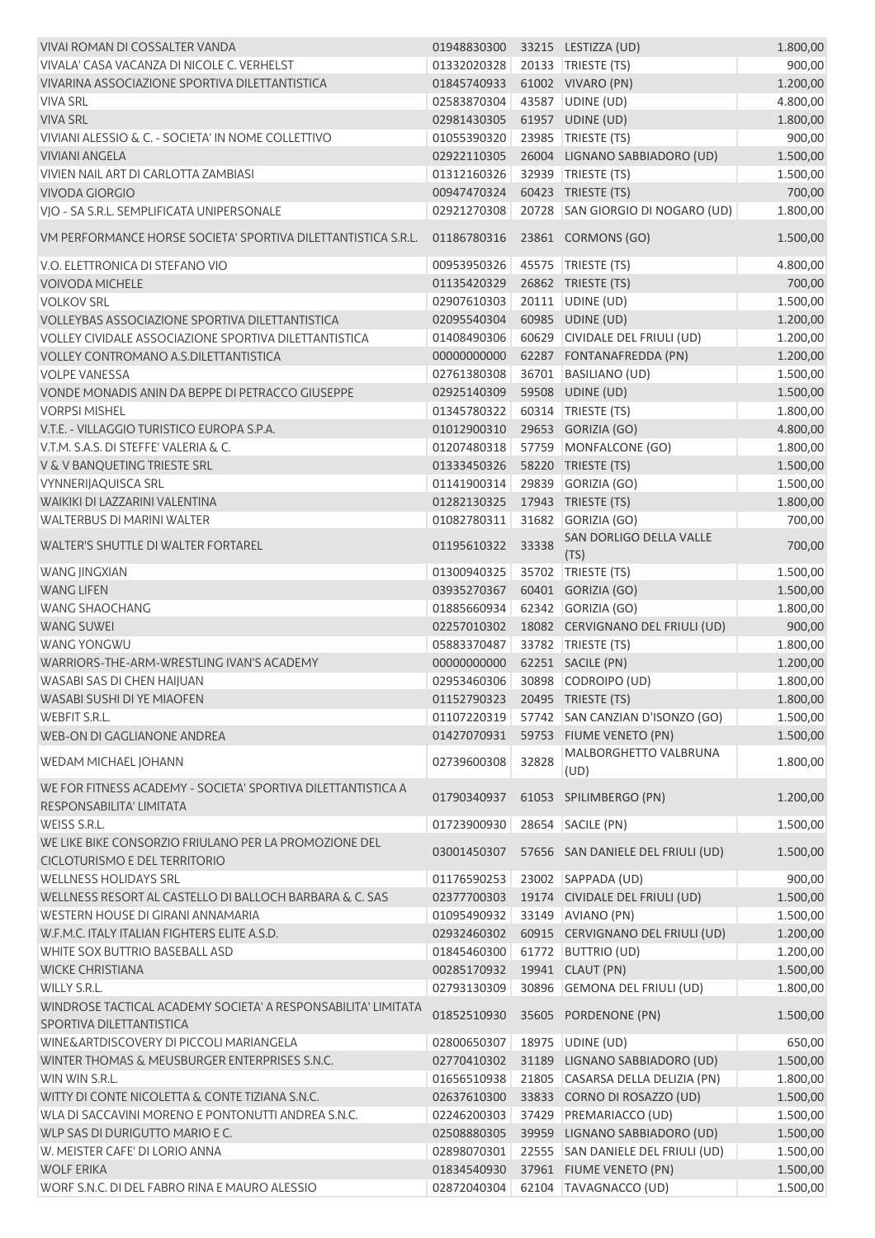| VIVAI ROMAN DI COSSALTER VANDA                                                            | 01948830300                    |       | 33215 LESTIZZA (UD)               | 1.800,00 |
|-------------------------------------------------------------------------------------------|--------------------------------|-------|-----------------------------------|----------|
| VIVALA' CASA VACANZA DI NICOLE C. VERHELST                                                | 01332020328                    |       | 20133 TRIESTE (TS)                | 900,00   |
| VIVARINA ASSOCIAZIONE SPORTIVA DILETTANTISTICA                                            | 01845740933                    |       | 61002 VIVARO (PN)                 | 1.200,00 |
| <b>VIVA SRL</b>                                                                           | 02583870304                    |       | 43587 UDINE (UD)                  | 4.800,00 |
| <b>VIVA SRL</b>                                                                           | 02981430305                    |       | 61957 UDINE (UD)                  | 1.800,00 |
| VIVIANI ALESSIO & C. - SOCIETA' IN NOME COLLETTIVO                                        | 01055390320                    |       | 23985 TRIESTE (TS)                | 900,00   |
| <b>VIVIANI ANGELA</b>                                                                     | 02922110305                    |       | 26004 LIGNANO SABBIADORO (UD)     | 1.500,00 |
| VIVIEN NAIL ART DI CARLOTTA ZAMBIASI                                                      | 01312160326                    |       | 32939 TRIESTE (TS)                | 1.500,00 |
| <b>VIVODA GIORGIO</b>                                                                     | 00947470324                    |       | 60423 TRIESTE (TS)                | 700,00   |
| VIO - SA S.R.L. SEMPLIFICATA UNIPERSONALE                                                 | 02921270308                    |       | 20728 SAN GIORGIO DI NOGARO (UD)  | 1.800,00 |
| VM PERFORMANCE HORSE SOCIETA' SPORTIVA DILETTANTISTICA S.R.L.                             | 01186780316                    |       | 23861 CORMONS (GO)                | 1.500,00 |
| V.O. ELETTRONICA DI STEFANO VIO                                                           | 00953950326                    |       | 45575 TRIESTE (TS)                | 4.800,00 |
| <b>VOIVODA MICHELE</b>                                                                    | 01135420329                    |       | 26862 TRIESTE (TS)                | 700,00   |
| <b>VOLKOV SRL</b>                                                                         | 02907610303                    |       | 20111 UDINE (UD)                  | 1.500,00 |
| VOLLEYBAS ASSOCIAZIONE SPORTIVA DILETTANTISTICA                                           | 02095540304                    |       | 60985 UDINE (UD)                  | 1.200,00 |
| <b>VOLLEY CIVIDALE ASSOCIAZIONE SPORTIVA DILETTANTISTICA</b>                              | 01408490306                    |       | 60629 CIVIDALE DEL FRIULI (UD)    | 1.200,00 |
| <b>VOLLEY CONTROMANO A.S.DILETTANTISTICA</b>                                              | 00000000000                    |       | 62287 FONTANAFREDDA (PN)          | 1.200,00 |
| <b>VOLPE VANESSA</b>                                                                      | 02761380308                    |       | 36701 BASILIANO (UD)              | 1.500,00 |
| VONDE MONADIS ANIN DA BEPPE DI PETRACCO GIUSEPPE                                          | 02925140309                    |       | 59508 UDINE (UD)                  | 1.500,00 |
| <b>VORPSI MISHEL</b>                                                                      | 01345780322                    |       | 60314   TRIESTE (TS)              | 1.800,00 |
| V.T.E. - VILLAGGIO TURISTICO EUROPA S.P.A.                                                | 01012900310                    |       | 29653 GORIZIA (GO)                | 4.800,00 |
| V.T.M. S.A.S. DI STEFFE' VALERIA & C.                                                     | 01207480318                    |       | 57759 MONFALCONE (GO)             | 1.800,00 |
| V & V BANQUETING TRIESTE SRL                                                              | 01333450326                    |       | 58220 TRIESTE (TS)                | 1.500,00 |
| <b>VYNNERIJAQUISCA SRL</b>                                                                | 01141900314                    |       | 29839 GORIZIA (GO)                | 1.500,00 |
| WAIKIKI DI LAZZARINI VALENTINA                                                            | 01282130325                    |       | 17943 TRIESTE (TS)                | 1.800,00 |
| WALTERBUS DI MARINI WALTER                                                                |                                |       |                                   | 700,00   |
|                                                                                           | 01082780311                    | 31682 | GORIZIA (GO)                      |          |
| WALTER'S SHUTTLE DI WALTER FORTAREL                                                       | 01195610322                    | 33338 | SAN DORLIGO DELLA VALLE<br>(TS)   | 700,00   |
| <b>WANG JINGXIAN</b>                                                                      | 01300940325                    | 35702 | TRIESTE (TS)                      | 1.500,00 |
| <b>WANG LIFEN</b>                                                                         | 03935270367                    |       | 60401 GORIZIA (GO)                | 1.500,00 |
| <b>WANG SHAOCHANG</b>                                                                     | 01885660934                    |       | 62342 GORIZIA (GO)                | 1.800,00 |
| <b>WANG SUWEI</b>                                                                         | 02257010302                    |       | 18082 CERVIGNANO DEL FRIULI (UD)  | 900,00   |
| <b>WANG YONGWU</b>                                                                        | 05883370487                    |       | 33782 TRIESTE (TS)                | 1.800,00 |
| WARRIORS-THE-ARM-WRESTLING IVAN'S ACADEMY                                                 | 00000000000                    |       | 62251 SACILE (PN)                 | 1.200,00 |
| WASABI SAS DI CHEN HAIJUAN                                                                | 02953460306                    |       | 30898 CODROIPO (UD)               | 1.800,00 |
| WASABI SUSHI DI YE MIAOFEN                                                                | 01152790323 20495 TRIESTE (TS) |       |                                   | 1.800,00 |
| <b>WEBFIT S.R.L.</b>                                                                      | 01107220319                    |       | 57742 SAN CANZIAN D'ISONZO (GO)   | 1.500,00 |
| WEB-ON DI GAGLIANONE ANDREA                                                               | 01427070931                    |       | 59753 FIUME VENETO (PN)           | 1.500,00 |
| WEDAM MICHAEL JOHANN                                                                      | 02739600308                    | 32828 | MALBORGHETTO VALBRUNA<br>(UD)     | 1.800,00 |
| WE FOR FITNESS ACADEMY - SOCIETA' SPORTIVA DILETTANTISTICA A                              | 01790340937                    |       | 61053 SPILIMBERGO (PN)            | 1.200,00 |
| RESPONSABILITA' LIMITATA                                                                  |                                |       |                                   |          |
| WEISS S.R.L.<br>WE LIKE BIKE CONSORZIO FRIULANO PER LA PROMOZIONE DEL                     | 01723900930                    |       | 28654 SACILE (PN)                 | 1.500,00 |
| CICLOTURISMO E DEL TERRITORIO                                                             | 03001450307                    |       | 57656 SAN DANIELE DEL FRIULI (UD) | 1.500,00 |
| <b>WELLNESS HOLIDAYS SRL</b>                                                              | 01176590253                    |       | 23002 SAPPADA (UD)                | 900,00   |
| WELLNESS RESORT AL CASTELLO DI BALLOCH BARBARA & C. SAS                                   | 02377700303                    |       | 19174 CIVIDALE DEL FRIULI (UD)    | 1.500,00 |
| <b>WESTERN HOUSE DI GIRANI ANNAMARIA</b>                                                  | 01095490932                    |       | 33149 AVIANO (PN)                 | 1.500,00 |
| W.F.M.C. ITALY ITALIAN FIGHTERS ELITE A.S.D.                                              | 02932460302                    |       | 60915 CERVIGNANO DEL FRIULI (UD)  | 1.200,00 |
| WHITE SOX BUTTRIO BASEBALL ASD                                                            | 01845460300                    |       | 61772 BUTTRIO (UD)                | 1.200,00 |
| <b>WICKE CHRISTIANA</b>                                                                   | 00285170932                    |       | 19941 CLAUT (PN)                  | 1.500,00 |
| WILLY S.R.L.                                                                              | 02793130309                    |       | 30896 GEMONA DEL FRIULI (UD)      | 1.800,00 |
| WINDROSE TACTICAL ACADEMY SOCIETA' A RESPONSABILITA' LIMITATA<br>SPORTIVA DILETTANTISTICA | 01852510930                    |       | 35605 PORDENONE (PN)              | 1.500,00 |
| WINE&ARTDISCOVERY DI PICCOLI MARIANGELA                                                   | 02800650307                    |       | 18975 UDINE (UD)                  | 650,00   |
| WINTER THOMAS & MEUSBURGER ENTERPRISES S.N.C.                                             | 02770410302                    |       | 31189 LIGNANO SABBIADORO (UD)     | 1.500,00 |
| WIN WIN S.R.L.                                                                            | 01656510938                    |       | 21805 CASARSA DELLA DELIZIA (PN)  | 1.800,00 |
| WITTY DI CONTE NICOLETTA & CONTE TIZIANA S.N.C.                                           | 02637610300                    |       | 33833 CORNO DI ROSAZZO (UD)       | 1.500,00 |
| WLA DI SACCAVINI MORENO E PONTONUTTI ANDREA S.N.C.                                        | 02246200303                    |       | 37429 PREMARIACCO (UD)            | 1.500,00 |
| WLP SAS DI DURIGUTTO MARIO E C.                                                           | 02508880305                    |       | 39959 LIGNANO SABBIADORO (UD)     | 1.500,00 |
| W. MEISTER CAFE' DI LORIO ANNA                                                            | 02898070301                    |       | 22555 SAN DANIELE DEL FRIULI (UD) | 1.500,00 |
| <b>WOLF ERIKA</b>                                                                         | 01834540930                    |       | 37961 FIUME VENETO (PN)           | 1.500,00 |
| WORF S.N.C. DI DEL FABRO RINA E MAURO ALESSIO                                             | 02872040304                    |       | 62104 TAVAGNACCO (UD)             | 1.500,00 |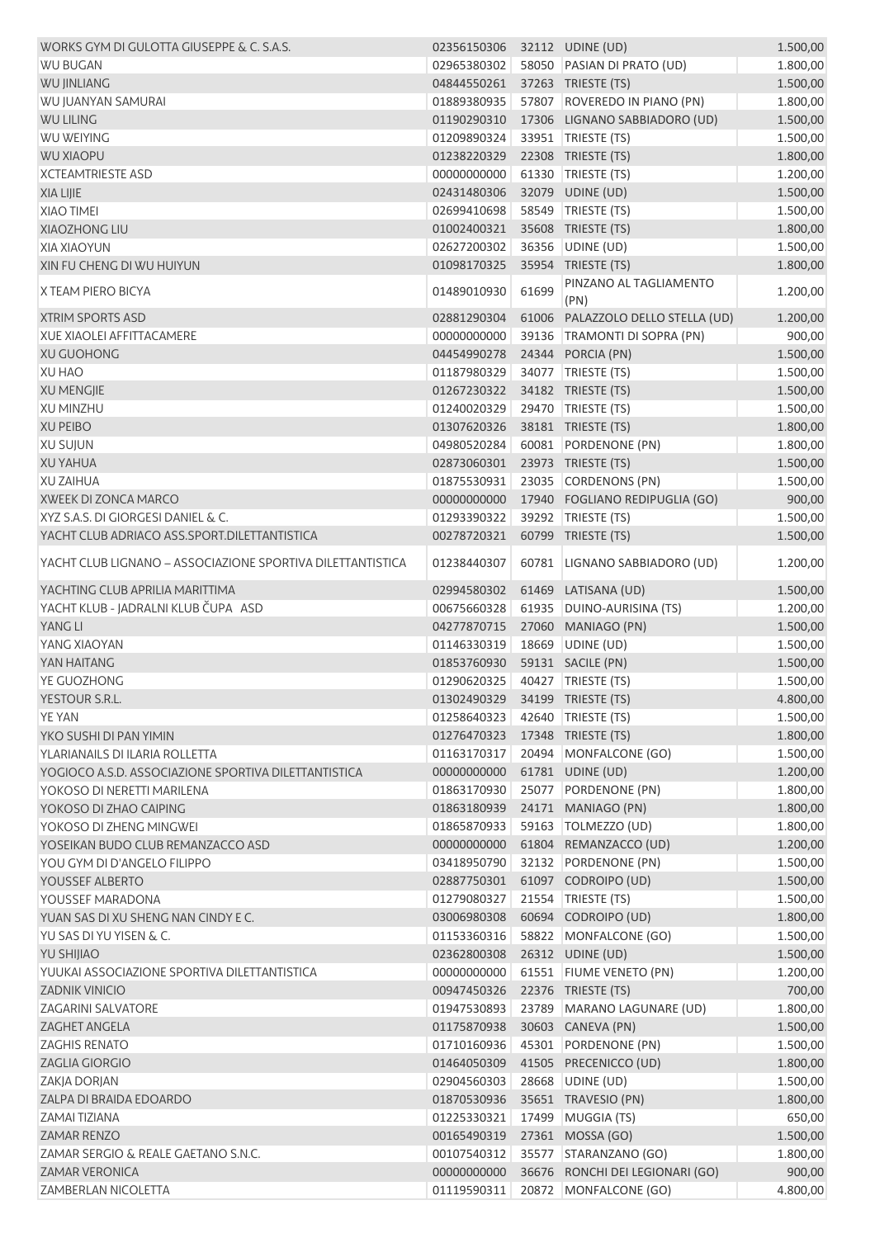| WORKS GYM DI GULOTTA GIUSEPPE & C. S.A.S.                  | 02356150306 32112 UDINE (UD)   |       |                                           | 1.500,00 |
|------------------------------------------------------------|--------------------------------|-------|-------------------------------------------|----------|
| <b>WU BUGAN</b>                                            | 02965380302                    |       | 58050 PASIAN DI PRATO (UD)                | 1.800,00 |
| <b>WU JINLIANG</b>                                         | 04844550261                    |       | 37263 TRIESTE (TS)                        | 1.500,00 |
| WU JUANYAN SAMURAI                                         | 01889380935                    |       | 57807 ROVEREDO IN PIANO (PN)              | 1.800,00 |
| <b>WU LILING</b>                                           | 01190290310                    |       | 17306 LIGNANO SABBIADORO (UD)             | 1.500,00 |
| <b>WU WEIYING</b>                                          | 01209890324                    |       | 33951 TRIESTE (TS)                        | 1.500,00 |
| <b>WU XIAOPU</b>                                           | 01238220329                    |       | 22308 TRIESTE (TS)                        | 1.800,00 |
| <b>XCTEAMTRIESTE ASD</b>                                   | 00000000000                    |       | 61330 TRIESTE (TS)                        | 1.200,00 |
| <b>XIA LIJIE</b>                                           | 02431480306                    |       | 32079 UDINE (UD)                          | 1.500,00 |
| <b>XIAO TIMEI</b>                                          | 02699410698                    |       | 58549 TRIESTE (TS)                        | 1.500,00 |
| <b>XIAOZHONG LIU</b>                                       | 01002400321                    |       | 35608 TRIESTE (TS)                        | 1.800,00 |
| <b>XIA XIAOYUN</b>                                         | 02627200302                    |       | 36356 UDINE (UD)                          | 1.500,00 |
| XIN FU CHENG DI WU HUIYUN                                  | 01098170325                    |       | 35954 TRIESTE (TS)                        | 1.800,00 |
| X TEAM PIERO BICYA                                         | 01489010930                    | 61699 | PINZANO AL TAGLIAMENTO                    | 1.200,00 |
| <b>XTRIM SPORTS ASD</b>                                    | 02881290304                    |       | (PN)<br>61006 PALAZZOLO DELLO STELLA (UD) | 1.200,00 |
| <b>XUE XIAOLEI AFFITTACAMERE</b>                           | 00000000000                    |       | 39136 TRAMONTI DI SOPRA (PN)              | 900,00   |
| <b>XU GUOHONG</b>                                          | 04454990278                    |       | 24344 PORCIA (PN)                         | 1.500,00 |
| <b>XU HAO</b>                                              | 01187980329                    |       | 34077   TRIESTE (TS)                      |          |
|                                                            |                                |       | 34182 TRIESTE (TS)                        | 1.500,00 |
| <b>XU MENGJIE</b>                                          | 01267230322                    |       |                                           | 1.500,00 |
| <b>XU MINZHU</b>                                           | 01240020329                    |       | 29470 TRIESTE (TS)                        | 1.500,00 |
| <b>XU PEIBO</b>                                            | 01307620326                    |       | 38181 TRIESTE (TS)                        | 1.800,00 |
| <b>XU SUJUN</b>                                            | 04980520284                    |       | 60081 PORDENONE (PN)                      | 1.800,00 |
| <b>XU YAHUA</b>                                            | 02873060301                    |       | 23973 TRIESTE (TS)                        | 1.500,00 |
| <b>XU ZAIHUA</b>                                           | 01875530931                    |       | 23035 CORDENONS (PN)                      | 1.500,00 |
| XWEEK DI ZONCA MARCO                                       | 00000000000                    |       | 17940 FOGLIANO REDIPUGLIA (GO)            | 900,00   |
| XYZ S.A.S. DI GIORGESI DANIEL & C.                         | 01293390322                    |       | 39292 TRIESTE (TS)                        | 1.500,00 |
| YACHT CLUB ADRIACO ASS.SPORT.DILETTANTISTICA               | 00278720321                    |       | 60799 TRIESTE (TS)                        | 1.500,00 |
| YACHT CLUB LIGNANO - ASSOCIAZIONE SPORTIVA DILETTANTISTICA | 01238440307                    |       | 60781 LIGNANO SABBIADORO (UD)             | 1.200,00 |
| YACHTING CLUB APRILIA MARITTIMA                            | 02994580302                    |       | 61469 LATISANA (UD)                       | 1.500,00 |
| YACHT KLUB - JADRALNI KLUB ČUPA ASD                        | 00675660328                    |       | 61935 DUINO-AURISINA (TS)                 | 1.200,00 |
| YANG LI                                                    | 04277870715                    |       | 27060 MANIAGO (PN)                        | 1.500,00 |
| YANG XIAOYAN                                               | 01146330319                    |       | 18669 UDINE (UD)                          | 1.500,00 |
| YAN HAITANG                                                | 01853760930                    |       | 59131 SACILE (PN)                         | 1.500,00 |
| YE GUOZHONG                                                | 01290620325                    |       | 40427 TRIESTE (TS)                        | 1.500,00 |
| YESTOUR S.R.L.                                             | 01302490329 34199 TRIESTE (TS) |       |                                           | 4.800,00 |
| <b>YE YAN</b>                                              | 01258640323 42640 TRIESTE (TS) |       |                                           | 1.500,00 |
| YKO SUSHI DI PAN YIMIN                                     | 01276470323                    |       | 17348 TRIESTE (TS)                        | 1.800,00 |
| YLARIANAILS DI ILARIA ROLLETTA                             | 01163170317                    |       | 20494 MONFALCONE (GO)                     | 1.500,00 |
| YOGIOCO A.S.D. ASSOCIAZIONE SPORTIVA DILETTANTISTICA       | 00000000000                    |       | 61781 UDINE (UD)                          | 1.200,00 |
| YOKOSO DI NERETTI MARILENA                                 | 01863170930                    |       | 25077 PORDENONE (PN)                      | 1.800,00 |
| YOKOSO DI ZHAO CAIPING                                     | 01863180939                    |       | 24171 MANIAGO (PN)                        | 1.800,00 |
| YOKOSO DI ZHENG MINGWEI                                    | 01865870933                    |       | 59163   TOLMEZZO (UD)                     | 1.800,00 |
| YOSEIKAN BUDO CLUB REMANZACCO ASD                          | 00000000000                    |       | 61804 REMANZACCO (UD)                     | 1.200,00 |
| YOU GYM DI D'ANGELO FILIPPO                                | 03418950790                    |       | 32132 PORDENONE (PN)                      | 1.500,00 |
| YOUSSEF ALBERTO                                            | 02887750301                    |       | 61097 CODROIPO (UD)                       | 1.500,00 |
| YOUSSEF MARADONA                                           | 01279080327                    |       | 21554 TRIESTE (TS)                        | 1.500,00 |
| YUAN SAS DI XU SHENG NAN CINDY E C.                        | 03006980308                    |       | 60694 CODROIPO (UD)                       |          |
|                                                            |                                |       |                                           | 1.800,00 |
| YU SAS DI YU YISEN & C.                                    | 01153360316                    |       | 58822 MONFALCONE (GO)                     | 1.500,00 |
| <b>YU SHIJIAO</b>                                          | 02362800308                    |       | 26312 UDINE (UD)                          | 1.500,00 |
| YUUKAI ASSOCIAZIONE SPORTIVA DILETTANTISTICA               | 00000000000                    |       | 61551 FIUME VENETO (PN)                   | 1.200,00 |
| <b>ZADNIK VINICIO</b>                                      | 00947450326                    |       | 22376 TRIESTE (TS)                        | 700,00   |
| <b>ZAGARINI SALVATORE</b>                                  | 01947530893                    |       | 23789 MARANO LAGUNARE (UD)                | 1.800,00 |
| ZAGHET ANGELA                                              | 01175870938                    |       | 30603 CANEVA (PN)                         | 1.500,00 |
| <b>ZAGHIS RENATO</b>                                       | 01710160936                    |       | 45301 PORDENONE (PN)                      | 1.500,00 |
| <b>ZAGLIA GIORGIO</b>                                      | 01464050309                    |       | 41505 PRECENICCO (UD)                     | 1.800,00 |
| ZAKJA DORJAN                                               | 02904560303                    |       | 28668 UDINE (UD)                          | 1.500,00 |
| ZALPA DI BRAIDA EDOARDO                                    | 01870530936                    |       | 35651 TRAVESIO (PN)                       | 1.800,00 |
| ZAMAI TIZIANA                                              | 01225330321                    |       | 17499 MUGGIA (TS)                         | 650,00   |
| <b>ZAMAR RENZO</b>                                         | 00165490319                    |       | 27361 MOSSA (GO)                          | 1.500,00 |
| ZAMAR SERGIO & REALE GAETANO S.N.C.                        | 00107540312                    |       | 35577   STARANZANO (GO)                   | 1.800,00 |
| <b>ZAMAR VERONICA</b>                                      | 00000000000                    |       | 36676 RONCHI DEI LEGIONARI (GO)           | 900,00   |
| ZAMBERLAN NICOLETTA                                        | 01119590311                    |       | 20872 MONFALCONE (GO)                     | 4.800,00 |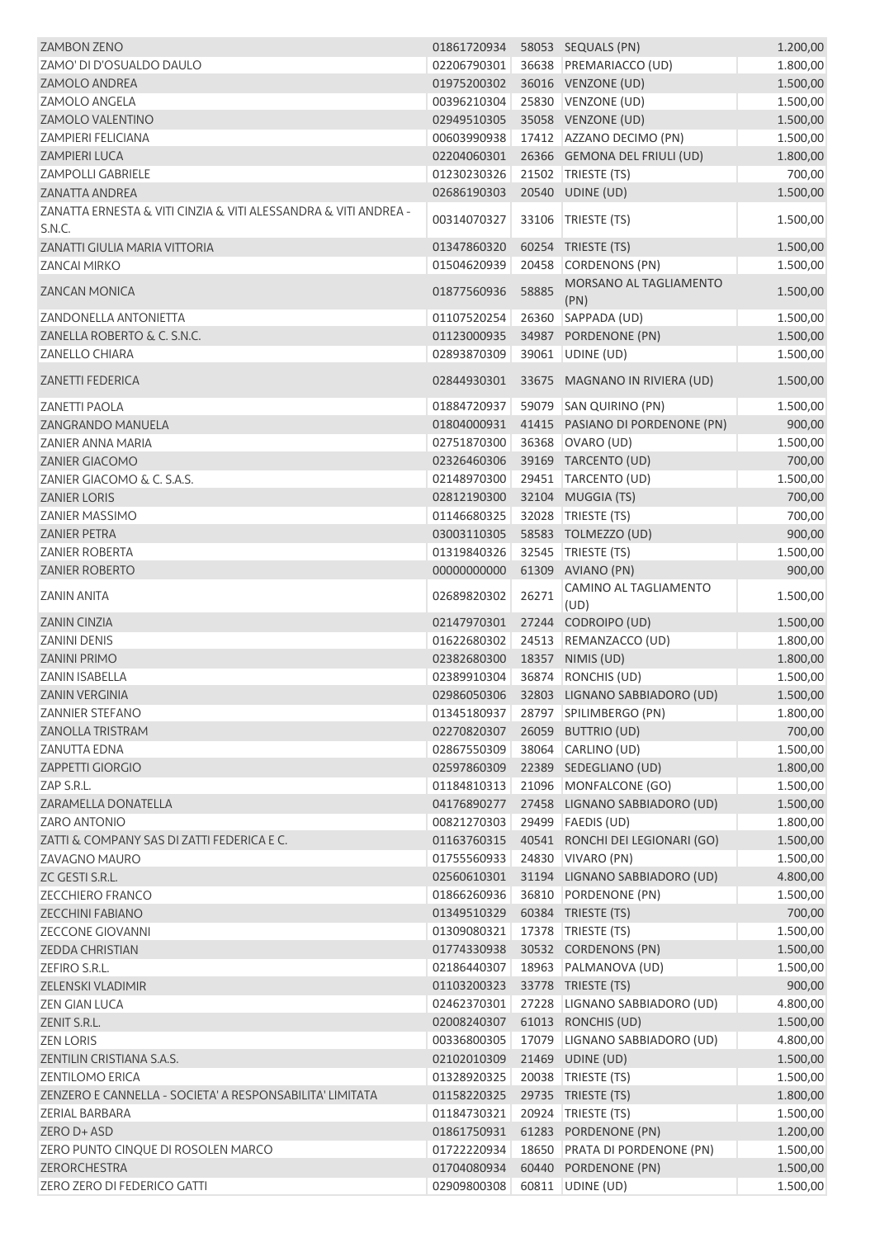| <b>ZAMBON ZENO</b>                                                        | 01861720934    58053    SEQUALS (PN) |       |                                             | 1.200,00 |
|---------------------------------------------------------------------------|--------------------------------------|-------|---------------------------------------------|----------|
| ZAMO' DI D'OSUALDO DAULO                                                  | 02206790301                          |       | 36638 PREMARIACCO (UD)                      | 1.800,00 |
| <b>ZAMOLO ANDREA</b>                                                      |                                      |       | 01975200302 36016 VENZONE (UD)              | 1.500,00 |
| <b>ZAMOLO ANGELA</b>                                                      | 00396210304                          |       | 25830 VENZONE (UD)                          | 1.500,00 |
| <b>ZAMOLO VALENTINO</b>                                                   | 02949510305                          |       | 35058 VENZONE (UD)                          | 1.500,00 |
| <b>ZAMPIERI FELICIANA</b>                                                 | 00603990938                          |       | 17412 AZZANO DECIMO (PN)                    | 1.500,00 |
| <b>ZAMPIERI LUCA</b>                                                      | 02204060301                          |       | 26366 GEMONA DEL FRIULI (UD)                | 1.800,00 |
| <b>ZAMPOLLI GABRIELE</b>                                                  | 01230230326                          |       | 21502 TRIESTE (TS)                          | 700,00   |
| <b>ZANATTA ANDREA</b>                                                     | 02686190303                          |       | 20540 UDINE (UD)                            | 1.500,00 |
| ZANATTA ERNESTA & VITI CINZIA & VITI ALESSANDRA & VITI ANDREA -<br>S.N.C. | 00314070327                          |       | 33106   TRIESTE (TS)                        | 1.500,00 |
| ZANATTI GIULIA MARIA VITTORIA                                             | 01347860320                          |       | 60254 TRIESTE (TS)                          | 1.500,00 |
| <b>ZANCAI MIRKO</b>                                                       | 01504620939                          | 20458 | CORDENONS (PN)                              | 1.500,00 |
| <b>ZANCAN MONICA</b>                                                      | 01877560936                          | 58885 | MORSANO AL TAGLIAMENTO<br>(PN)              | 1.500,00 |
| <b>ZANDONELLA ANTONIETTA</b>                                              | 01107520254                          |       | 26360 SAPPADA (UD)                          | 1.500,00 |
| ZANELLA ROBERTO & C. S.N.C.                                               | 01123000935                          |       | 34987 PORDENONE (PN)                        | 1.500,00 |
| <b>ZANELLO CHIARA</b>                                                     | 02893870309                          |       | 39061 UDINE (UD)                            | 1.500,00 |
| <b>ZANETTI FEDERICA</b>                                                   | 02844930301                          |       | 33675 MAGNANO IN RIVIERA (UD)               | 1.500,00 |
| <b>ZANETTI PAOLA</b>                                                      | 01884720937                          |       | 59079 SAN QUIRINO (PN)                      | 1.500,00 |
| <b>ZANGRANDO MANUELA</b>                                                  | 01804000931                          |       | 41415 PASIANO DI PORDENONE (PN)             | 900,00   |
| <b>ZANIER ANNA MARIA</b>                                                  | 02751870300                          |       | 36368 OVARO (UD)                            | 1.500,00 |
| <b>ZANIER GIACOMO</b>                                                     | 02326460306                          |       | 39169 TARCENTO (UD)                         | 700,00   |
| ZANIER GIACOMO & C. S.A.S.                                                | 02148970300                          |       | 29451   TARCENTO (UD)                       | 1.500,00 |
| <b>ZANIER LORIS</b>                                                       | 02812190300                          |       | 32104 MUGGIA (TS)                           | 700,00   |
| <b>ZANIER MASSIMO</b>                                                     | 01146680325                          |       | 32028 TRIESTE (TS)                          | 700,00   |
| <b>ZANIER PETRA</b>                                                       | 03003110305                          |       | 58583 TOLMEZZO (UD)                         | 900,00   |
| <b>ZANIER ROBERTA</b>                                                     | 01319840326                          |       | 32545   TRIESTE (TS)                        | 1.500,00 |
|                                                                           | 00000000000                          |       | 61309 AVIANO (PN)                           | 900,00   |
| <b>ZANIER ROBERTO</b>                                                     |                                      |       | CAMINO AL TAGLIAMENTO                       |          |
| <b>ZANIN ANITA</b>                                                        | 02689820302                          | 26271 | (UD)                                        | 1.500,00 |
| <b>ZANIN CINZIA</b>                                                       | 02147970301                          |       | 27244 CODROIPO (UD)                         | 1.500,00 |
| <b>ZANINI DENIS</b>                                                       | 01622680302                          |       | 24513 REMANZACCO (UD)                       | 1.800,00 |
| <b>ZANINI PRIMO</b>                                                       | 02382680300                          |       | 18357 NIMIS (UD)                            | 1.800,00 |
| <b>ZANIN ISABELLA</b>                                                     | 02389910304                          |       | 36874 RONCHIS (UD)                          | 1.500,00 |
| <b>ZANIN VERGINIA</b>                                                     |                                      |       | 02986050306 32803 LIGNANO SABBIADORO (UD)   | 1.500,00 |
| <b>ZANNIER STEFANO</b>                                                    |                                      |       | 01345180937 28797 SPILIMBERGO (PN)          | 1.800,00 |
| <b>ZANOLLA TRISTRAM</b>                                                   | 02270820307                          |       | 26059 BUTTRIO (UD)                          | 700,00   |
| <b>ZANUTTA EDNA</b>                                                       | 02867550309                          |       | 38064 CARLINO (UD)                          | 1.500,00 |
| ZAPPETTI GIORGIO                                                          | 02597860309                          |       | 22389 SEDEGLIANO (UD)                       | 1.800,00 |
| ZAP S.R.L.                                                                | 01184810313                          |       | 21096 MONFALCONE (GO)                       | 1.500,00 |
| ZARAMELLA DONATELLA                                                       | 04176890277                          |       | 27458 LIGNANO SABBIADORO (UD)               | 1.500,00 |
| <b>ZARO ANTONIO</b>                                                       | 00821270303                          |       | 29499   FAEDIS (UD)                         | 1.800,00 |
| ZATTI & COMPANY SAS DI ZATTI FEDERICA E C.                                |                                      |       | 01163760315 40541 RONCHI DEI LEGIONARI (GO) | 1.500,00 |
| <b>ZAVAGNO MAURO</b>                                                      | 01755560933                          |       | 24830 VIVARO (PN)                           | 1.500,00 |
| ZC GESTI S.R.L.                                                           |                                      |       | 02560610301 31194 LIGNANO SABBIADORO (UD)   | 4.800,00 |
| <b>ZECCHIERO FRANCO</b>                                                   | 01866260936                          |       | 36810 PORDENONE (PN)                        | 1.500,00 |
| ZECCHINI FABIANO                                                          | 01349510329                          |       | 60384 TRIESTE (TS)                          | 700,00   |
| <b>ZECCONE GIOVANNI</b>                                                   | 01309080321                          |       | 17378   TRIESTE (TS)                        | 1.500,00 |
| <b>ZEDDA CHRISTIAN</b>                                                    | 01774330938                          |       | 30532 CORDENONS (PN)                        | 1.500,00 |
| ZEFIRO S.R.L.                                                             | 02186440307                          |       | 18963   PALMANOVA (UD)                      | 1.500,00 |
| ZELENSKI VLADIMIR                                                         | 01103200323                          |       | 33778 TRIESTE (TS)                          | 900,00   |
| <b>ZEN GIAN LUCA</b>                                                      | 02462370301                          |       | 27228 LIGNANO SABBIADORO (UD)               | 4.800,00 |
| ZENIT S.R.L.                                                              | 02008240307                          |       | 61013 RONCHIS (UD)                          | 1.500,00 |
| <b>ZEN LORIS</b>                                                          | 00336800305                          |       | 17079 LIGNANO SABBIADORO (UD)               | 4.800,00 |
| ZENTILIN CRISTIANA S.A.S.                                                 | 02102010309                          |       | 21469 UDINE (UD)                            | 1.500,00 |
| <b>ZENTILOMO ERICA</b>                                                    | 01328920325                          |       | 20038 TRIESTE (TS)                          | 1.500,00 |
| ZENZERO E CANNELLA - SOCIETA' A RESPONSABILITA' LIMITATA                  | 01158220325                          |       | 29735 TRIESTE (TS)                          | 1.800,00 |
| ZERIAL BARBARA                                                            | 01184730321                          |       | 20924 TRIESTE (TS)                          | 1.500,00 |
| ZERO D+ ASD                                                               | 01861750931                          |       | 61283 PORDENONE (PN)                        | 1.200,00 |
| ZERO PUNTO CINQUE DI ROSOLEN MARCO                                        | 01722220934                          |       | 18650 PRATA DI PORDENONE (PN)               | 1.500,00 |
| ZERORCHESTRA                                                              | 01704080934                          |       | 60440 PORDENONE (PN)                        | 1.500,00 |
| ZERO ZERO DI FEDERICO GATTI                                               | 02909800308 60811 UDINE (UD)         |       |                                             | 1.500,00 |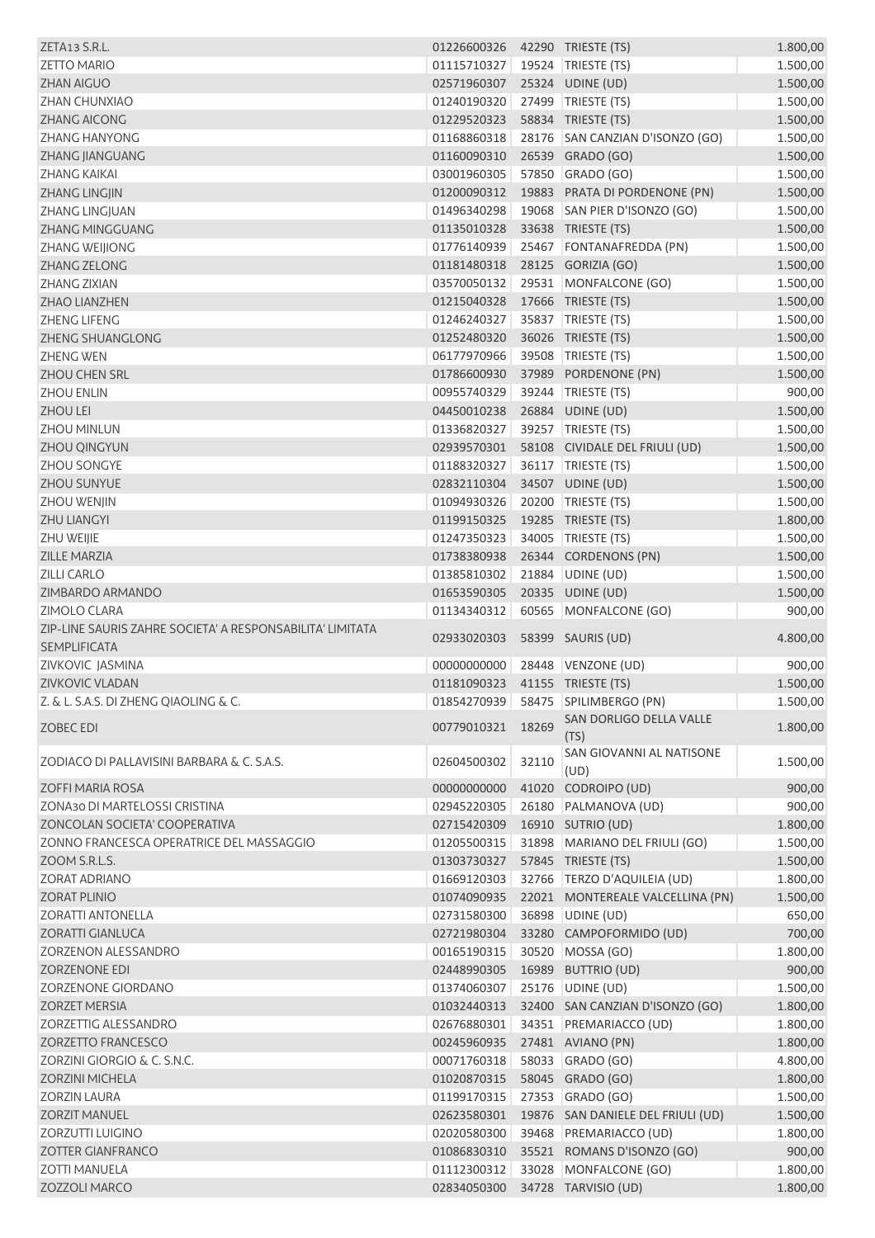| ZETA13 S.R.L.                                             | 01226600326 |       | 42290 TRIESTE (TS)                     | 1.800,00 |
|-----------------------------------------------------------|-------------|-------|----------------------------------------|----------|
| <b>ZETTO MARIO</b>                                        | 01115710327 |       | 19524 TRIESTE (TS)                     | 1.500,00 |
| <b>ZHAN AIGUO</b>                                         | 02571960307 |       | 25324 UDINE (UD)                       | 1.500,00 |
| ZHAN CHUNXIAO                                             | 01240190320 |       | 27499 TRIESTE (TS)                     | 1.500,00 |
| <b>ZHANG AICONG</b>                                       | 01229520323 |       | 58834 TRIESTE (TS)                     | 1.500,00 |
| <b>ZHANG HANYONG</b>                                      | 01168860318 |       | 28176 SAN CANZIAN D'ISONZO (GO)        | 1.500,00 |
| ZHANG JIANGUANG                                           | 01160090310 |       | 26539 GRADO (GO)                       | 1.500,00 |
| <b>ZHANG KAIKAI</b>                                       | 03001960305 |       | 57850 GRADO (GO)                       | 1.500,00 |
| <b>ZHANG LINGJIN</b>                                      | 01200090312 |       | 19883 PRATA DI PORDENONE (PN)          | 1.500,00 |
| <b>ZHANG LINGJUAN</b>                                     | 01496340298 | 19068 | SAN PIER D'ISONZO (GO)                 | 1.500,00 |
| ZHANG MINGGUANG                                           | 01135010328 |       | 33638 TRIESTE (TS)                     | 1.500,00 |
| <b>ZHANG WEIJIONG</b>                                     | 01776140939 |       | 25467 FONTANAFREDDA (PN)               | 1.500,00 |
| ZHANG ZELONG                                              | 01181480318 |       | 28125 GORIZIA (GO)                     | 1.500,00 |
| <b>ZHANG ZIXIAN</b>                                       | 03570050132 |       | 29531 MONFALCONE (GO)                  | 1.500,00 |
| <b>ZHAO LIANZHEN</b>                                      | 01215040328 |       | 17666 TRIESTE (TS)                     | 1.500,00 |
| ZHENG LIFENG                                              | 01246240327 |       | 35837 TRIESTE (TS)                     | 1.500,00 |
| ZHENG SHUANGLONG                                          | 01252480320 |       | 36026 TRIESTE (TS)                     | 1.500,00 |
| <b>ZHENG WEN</b>                                          | 06177970966 |       | 39508 TRIESTE (TS)                     | 1.500,00 |
| <b>ZHOU CHEN SRL</b>                                      | 01786600930 |       | 37989 PORDENONE (PN)                   | 1.500,00 |
| <b>ZHOU ENLIN</b>                                         | 00955740329 |       | 39244 TRIESTE (TS)                     | 900,00   |
| <b>ZHOU LEI</b>                                           | 04450010238 |       | 26884 UDINE (UD)                       | 1.500,00 |
| <b>ZHOU MINLUN</b>                                        | 01336820327 |       | 39257   TRIESTE (TS)                   | 1.500,00 |
| ZHOU QINGYUN                                              | 02939570301 |       | 58108 CIVIDALE DEL FRIULI (UD)         | 1.500,00 |
| <b>ZHOU SONGYE</b>                                        | 01188320327 |       | 36117 TRIESTE (TS)                     | 1.500,00 |
| ZHOU SUNYUE                                               | 02832110304 |       | 34507 UDINE (UD)                       | 1.500,00 |
| ZHOU WENJIN                                               | 01094930326 |       | 20200 TRIESTE (TS)                     | 1.500,00 |
| <b>ZHU LIANGYI</b>                                        | 01199150325 |       | 19285 TRIESTE (TS)                     | 1.800,00 |
| ZHU WEIJIE                                                | 01247350323 |       | 34005 TRIESTE (TS)                     | 1.500,00 |
| <b>ZILLE MARZIA</b>                                       | 01738380938 |       | 26344 CORDENONS (PN)                   | 1.500,00 |
| <b>ZILLI CARLO</b>                                        | 01385810302 |       | 21884 UDINE (UD)                       | 1.500,00 |
| ZIMBARDO ARMANDO                                          | 01653590305 |       | 20335 UDINE (UD)                       | 1.500,00 |
| ZIMOLO CLARA                                              | 01134340312 |       | 60565 MONFALCONE (GO)                  | 900,00   |
| ZIP-LINE SAURIS ZAHRE SOCIETA' A RESPONSABILITA' LIMITATA |             |       |                                        |          |
| <b>SEMPLIFICATA</b>                                       | 02933020303 |       | 58399 SAURIS (UD)                      | 4.800,00 |
| ZIVKOVIC JASMINA                                          | 00000000000 |       | 28448 VENZONE (UD)                     | 900,00   |
| <b>ZIVKOVIC VLADAN</b>                                    | 01181090323 |       | 41155 TRIESTE (TS)                     | 1.500,00 |
| Z. & L. S.A.S. DI ZHENG QIAOLING & C.                     |             |       | 01854270939   58475   SPILIMBERGO (PN) | 1.500,00 |
| ZOBEC EDI                                                 | 00779010321 | 18269 | SAN DORLIGO DELLA VALLE                | 1.800,00 |
|                                                           |             |       | (TS)                                   |          |
| ZODIACO DI PALLAVISINI BARBARA & C. S.A.S.                | 02604500302 | 32110 | SAN GIOVANNI AL NATISONE<br>(UD)       | 1.500,00 |
| ZOFFI MARIA ROSA                                          | 00000000000 | 41020 | CODROIPO (UD)                          | 900,00   |
| ZONA30 DI MARTELOSSI CRISTINA                             | 02945220305 |       | 26180 PALMANOVA (UD)                   | 900,00   |
| ZONCOLAN SOCIETA' COOPERATIVA                             | 02715420309 |       | 16910 SUTRIO (UD)                      | 1.800,00 |
| ZONNO FRANCESCA OPERATRICE DEL MASSAGGIO                  | 01205500315 |       | 31898 MARIANO DEL FRIULI (GO)          | 1.500,00 |
| ZOOM S.R.L.S.                                             | 01303730327 |       | 57845 TRIESTE (TS)                     | 1.500,00 |
| ZORAT ADRIANO                                             | 01669120303 |       | 32766 TERZO D'AQUILEIA (UD)            | 1.800,00 |
| <b>ZORAT PLINIO</b>                                       | 01074090935 |       | 22021 MONTEREALE VALCELLINA (PN)       | 1.500,00 |
| <b>ZORATTI ANTONELLA</b>                                  | 02731580300 |       | 36898 UDINE (UD)                       | 650,00   |
| <b>ZORATTI GIANLUCA</b>                                   | 02721980304 |       | 33280 CAMPOFORMIDO (UD)                | 700,00   |
| ZORZENON ALESSANDRO                                       | 00165190315 | 30520 | MOSSA (GO)                             | 1.800,00 |
| <b>ZORZENONE EDI</b>                                      | 02448990305 |       | 16989 BUTTRIO (UD)                     | 900,00   |
| ZORZENONE GIORDANO                                        | 01374060307 |       | 25176 UDINE (UD)                       | 1.500,00 |
| <b>ZORZET MERSIA</b>                                      | 01032440313 |       | 32400 SAN CANZIAN D'ISONZO (GO)        | 1.800,00 |
| ZORZETTIG ALESSANDRO                                      | 02676880301 |       | 34351 PREMARIACCO (UD)                 | 1.800,00 |
| <b>ZORZETTO FRANCESCO</b>                                 | 00245960935 |       | 27481 AVIANO (PN)                      | 1.800,00 |
| ZORZINI GIORGIO & C. S.N.C.                               | 00071760318 |       | 58033 GRADO (GO)                       | 4.800,00 |
| <b>ZORZINI MICHELA</b>                                    | 01020870315 |       | 58045 GRADO (GO)                       | 1.800,00 |
| <b>ZORZIN LAURA</b>                                       | 01199170315 |       | 27353 GRADO (GO)                       | 1.500,00 |
| <b>ZORZIT MANUEL</b>                                      | 02623580301 |       | 19876 SAN DANIELE DEL FRIULI (UD)      | 1.500,00 |
| ZORZUTTI LUIGINO                                          | 02020580300 |       | 39468 PREMARIACCO (UD)                 | 1.800,00 |
| <b>ZOTTER GIANFRANCO</b>                                  |             |       |                                        |          |
|                                                           | 01086830310 |       | 35521 ROMANS D'ISONZO (GO)             | 900,00   |
| <b>ZOTTI MANUELA</b>                                      | 01112300312 |       | 33028 MONFALCONE (GO)                  | 1.800,00 |